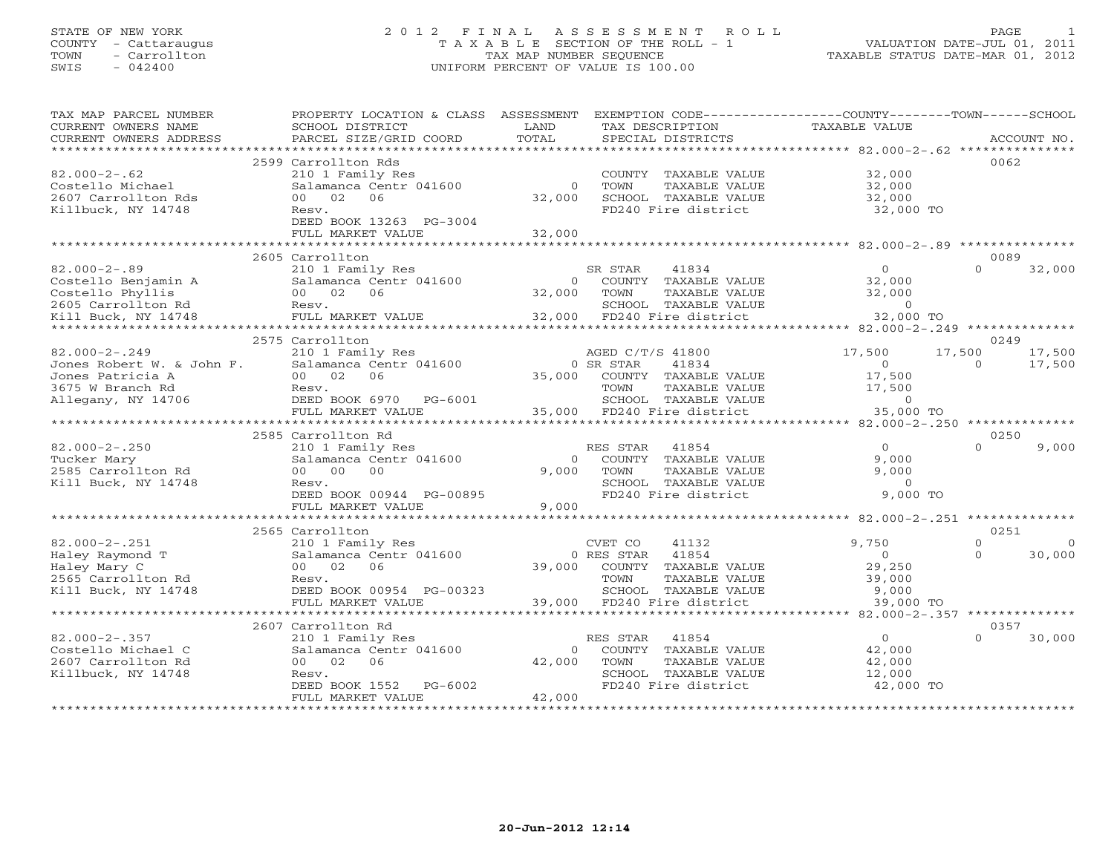## STATE OF NEW YORK 2 0 1 2 F I N A L A S S E S S M E N T R O L L PAGE 1 COUNTY - Cattaraugus T A X A B L E SECTION OF THE ROLL - 1 VALUATION DATE-JUL 01, 2011 TOWN - Carrollton TAX MAP NUMBER SEQUENCE TAXABLE STATUS DATE-MAR 01, 2012 SWIS - 042400 UNIFORM PERCENT OF VALUE IS 100.00UNIFORM PERCENT OF VALUE IS 100.00

| TAX MAP PARCEL NUMBER<br>CURRENT OWNERS NAME<br>CURRENT OWNERS ADDRESS | PROPERTY LOCATION & CLASS<br>SCHOOL DISTRICT<br>PARCEL SIZE/GRID COORD | ASSESSMENT<br>LAND<br>TOTAL |                  | TAX DESCRIPTION<br>SPECIAL DISTRICTS | EXEMPTION CODE----------------COUNTY-------TOWN-----SCHOOL<br><b>TAXABLE VALUE</b> |                  | ACCOUNT NO. |
|------------------------------------------------------------------------|------------------------------------------------------------------------|-----------------------------|------------------|--------------------------------------|------------------------------------------------------------------------------------|------------------|-------------|
| **************                                                         |                                                                        |                             |                  |                                      |                                                                                    |                  |             |
|                                                                        | 2599 Carrollton Rds                                                    |                             |                  |                                      |                                                                                    | 0062             |             |
| $82.000 - 2 - .62$                                                     | 210 1 Family Res                                                       |                             | COUNTY           | TAXABLE VALUE                        | 32,000                                                                             |                  |             |
| Costello Michael                                                       | Salamanca Centr 041600                                                 | $\Omega$                    | TOWN             | TAXABLE VALUE                        | 32,000                                                                             |                  |             |
| 2607 Carrollton Rds                                                    | 06<br>00 <sup>o</sup><br>02                                            | 32,000                      |                  | SCHOOL TAXABLE VALUE                 | 32,000                                                                             |                  |             |
| Killbuck, NY 14748                                                     | Resv.                                                                  |                             |                  | FD240 Fire district                  | 32,000 TO                                                                          |                  |             |
|                                                                        | DEED BOOK 13263 PG-3004                                                |                             |                  |                                      |                                                                                    |                  |             |
|                                                                        | FULL MARKET VALUE                                                      | 32,000                      |                  |                                      |                                                                                    |                  |             |
|                                                                        |                                                                        | <b>+++++++</b>              |                  |                                      | ********** 82.000-2-.89 **********                                                 |                  |             |
|                                                                        | 2605 Carrollton                                                        |                             |                  |                                      |                                                                                    | 0089             |             |
| $82.000 - 2 - .89$                                                     | 210 1 Family Res                                                       |                             | SR STAR          | 41834                                | $\Omega$                                                                           | $\Omega$         | 32,000      |
| Costello Benjamin A                                                    | Salamanca Centr 041600                                                 | $\Omega$                    |                  | COUNTY TAXABLE VALUE                 | 32,000                                                                             |                  |             |
| Costello Phyllis                                                       | 00 02<br>06                                                            | 32,000                      | TOWN             | <b>TAXABLE VALUE</b>                 | 32,000                                                                             |                  |             |
| 2605 Carrollton Rd                                                     | Resv.                                                                  |                             |                  | SCHOOL TAXABLE VALUE                 | $\Omega$                                                                           |                  |             |
| Kill Buck, NY 14748                                                    | FULL MARKET VALUE                                                      | 32,000                      |                  | FD240 Fire district                  | 32,000 TO                                                                          |                  |             |
|                                                                        |                                                                        |                             |                  | **********************************   | ********** 82.000-2-.249 ***************                                           |                  |             |
|                                                                        | 2575 Carrollton                                                        |                             |                  |                                      |                                                                                    | 0249             |             |
| $82.000 - 2 - .249$                                                    | 210 1 Family Res                                                       |                             | AGED C/T/S 41800 |                                      | 17,500                                                                             | 17,500           | 17,500      |
| Jones Robert W. & John F.                                              | Salamanca Centr 041600                                                 |                             | 0 SR STAR        | 41834                                | $\Omega$                                                                           | $\Omega$         | 17,500      |
| Jones Patricia A                                                       | 00 02<br>06                                                            | 35,000                      | COUNTY           | TAXABLE VALUE                        | 17,500                                                                             |                  |             |
| 3675 W Branch Rd                                                       | Resv.                                                                  |                             | TOWN             | TAXABLE VALUE                        | 17,500                                                                             |                  |             |
| Allegany, NY 14706                                                     | DEED BOOK 6970 PG-6001                                                 |                             |                  | SCHOOL TAXABLE VALUE                 | $\circ$                                                                            |                  |             |
|                                                                        | FULL MARKET VALUE                                                      | 35,000                      |                  | FD240 Fire district                  | 35,000 TO                                                                          |                  |             |
|                                                                        |                                                                        |                             |                  |                                      | $82.000 - 2 - .250$ *********                                                      |                  |             |
|                                                                        | 2585 Carrollton Rd                                                     |                             |                  |                                      |                                                                                    | 0250<br>$\Omega$ |             |
| $82.000 - 2 - .250$                                                    | 210 1 Family Res                                                       | $\Omega$                    | RES STAR         | 41854<br>COUNTY TAXABLE VALUE        | $\Omega$<br>9,000                                                                  |                  | 9,000       |
| Tucker Mary                                                            | Salamanca Centr 041600<br>0 <sub>0</sub><br>00<br>0 <sub>0</sub>       | 9.000                       | TOWN             | TAXABLE VALUE                        | 9,000                                                                              |                  |             |
| 2585 Carrollton Rd                                                     |                                                                        |                             |                  | SCHOOL TAXABLE VALUE                 | $\Omega$                                                                           |                  |             |
| Kill Buck, NY 14748                                                    | Resv.<br>DEED BOOK 00944 PG-00895                                      |                             |                  | FD240 Fire district                  | 9,000 TO                                                                           |                  |             |
|                                                                        | FULL MARKET VALUE                                                      | 9,000                       |                  |                                      |                                                                                    |                  |             |
|                                                                        | ***********************                                                |                             |                  |                                      |                                                                                    |                  |             |
|                                                                        | 2565 Carrollton                                                        |                             |                  |                                      |                                                                                    | 0251             |             |
| $82.000 - 2 - .251$                                                    | 210 1 Family Res                                                       |                             | CVET CO          | 41132                                | 9,750                                                                              | $\Omega$         | $\Omega$    |
| Haley Raymond T                                                        | Salamanca Centr 041600                                                 |                             | 0 RES STAR       | 41854                                | $\mathbf{O}$                                                                       | $\Omega$         | 30,000      |
| Haley Mary C                                                           | 00 02<br>06                                                            | 39,000                      |                  | COUNTY TAXABLE VALUE                 | 29,250                                                                             |                  |             |
| 2565 Carrollton Rd                                                     | Resv.                                                                  |                             | TOWN             | TAXABLE VALUE                        | 39,000                                                                             |                  |             |
| Kill Buck, NY 14748                                                    | DEED BOOK 00954 PG-00323                                               |                             |                  | SCHOOL TAXABLE VALUE                 | 9,000                                                                              |                  |             |
|                                                                        | FULL MARKET VALUE                                                      | 39,000                      |                  | FD240 Fire district                  | 39,000 TO                                                                          |                  |             |
|                                                                        |                                                                        |                             |                  |                                      | ***** 82.000-2-.357 ********                                                       |                  |             |
|                                                                        | 2607 Carrollton Rd                                                     |                             |                  |                                      |                                                                                    | 0357             |             |
| $82.000 - 2 - .357$                                                    | 210 1 Family Res                                                       |                             | RES STAR         | 41854                                | $\circ$                                                                            | $\cap$           | 30,000      |
| Costello Michael C                                                     | Salamanca Centr 041600                                                 | $\Omega$                    |                  | COUNTY TAXABLE VALUE                 | 42,000                                                                             |                  |             |
| 2607 Carrollton Rd                                                     | 00 02<br>06                                                            | 42,000                      | TOWN             | <b>TAXABLE VALUE</b>                 | 42,000                                                                             |                  |             |
| Killbuck, NY 14748                                                     | Resv.                                                                  |                             |                  | SCHOOL TAXABLE VALUE                 | 12,000                                                                             |                  |             |
|                                                                        | DEED BOOK 1552<br>$PG-6002$                                            |                             |                  | FD240 Fire district                  | 42,000 TO                                                                          |                  |             |
|                                                                        | FULL MARKET VALUE                                                      | 42,000                      |                  |                                      |                                                                                    |                  |             |
|                                                                        |                                                                        |                             |                  |                                      |                                                                                    |                  |             |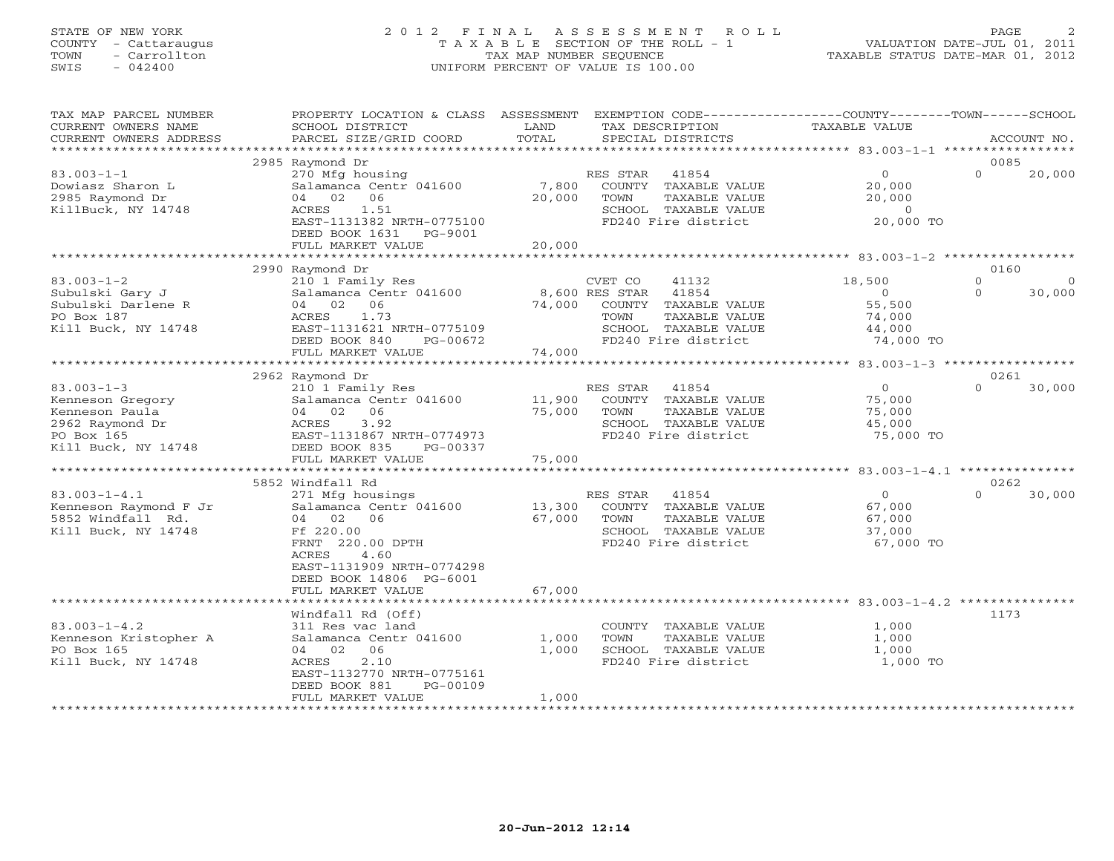# STATE OF NEW YORK 2 0 1 2 F I N A L A S S E S S M E N T R O L L PAGE 2 COUNTY - Cattaraugus T A X A B L E SECTION OF THE ROLL - 1 VALUATION DATE-JUL 01, 2011 TOWN - Carrollton TAX MAP NUMBER SEQUENCE TAXABLE STATUS DATE-MAR 01, 2012 SWIS - 042400 UNIFORM PERCENT OF VALUE IS 100.00UNIFORM PERCENT OF VALUE IS 100.00

| TAX MAP PARCEL NUMBER                        | PROPERTY LOCATION & CLASS ASSESSMENT                |        |                         |               | EXEMPTION CODE----------------COUNTY-------TOWN------SCHOOL |          |             |
|----------------------------------------------|-----------------------------------------------------|--------|-------------------------|---------------|-------------------------------------------------------------|----------|-------------|
| CURRENT OWNERS NAME                          | SCHOOL DISTRICT                                     | LAND   | TAX DESCRIPTION         |               | TAXABLE VALUE                                               |          |             |
| CURRENT OWNERS ADDRESS<br>****************** | PARCEL SIZE/GRID COORD<br>************************* | TOTAL  | SPECIAL DISTRICTS       |               |                                                             |          | ACCOUNT NO. |
|                                              |                                                     |        |                         |               |                                                             |          |             |
|                                              | 2985 Raymond Dr                                     |        |                         |               |                                                             | 0085     |             |
| $83.003 - 1 - 1$                             | 270 Mfg housing                                     |        | RES STAR<br>41854       |               | $\circ$                                                     | $\Omega$ | 20,000      |
| Dowiasz Sharon L                             | Salamanca Centr 041600                              | 7,800  | COUNTY TAXABLE VALUE    |               | 20,000                                                      |          |             |
| 2985 Raymond Dr                              | 04 02 06                                            | 20,000 | TOWN                    | TAXABLE VALUE | 20,000                                                      |          |             |
| KillBuck, NY 14748                           | ACRES 1.51                                          |        | SCHOOL TAXABLE VALUE    |               | $\sim$ 0                                                    |          |             |
|                                              | EAST-1131382 NRTH-0775100                           |        | FD240 Fire district     |               | 20,000 TO                                                   |          |             |
|                                              | DEED BOOK 1631   PG-9001                            |        |                         |               |                                                             |          |             |
|                                              | FULL MARKET VALUE                                   | 20,000 |                         |               |                                                             |          |             |
|                                              |                                                     |        |                         |               |                                                             |          |             |
|                                              | 2990 Raymond Dr                                     |        |                         |               |                                                             | 0160     |             |
| $83.003 - 1 - 2$                             | 210 1 Family Res                                    |        | CVET CO<br>41132        |               | 18,500                                                      | $\Omega$ | $\Omega$    |
| Subulski Gary J                              | Salamanca Centr 041600                              |        | 8,600 RES STAR<br>41854 |               | $\Omega$                                                    | $\Omega$ | 30,000      |
| Subulski Darlene R                           | 04 02 06                                            | 74,000 | COUNTY TAXABLE VALUE    |               | 55,500                                                      |          |             |
| PO Box 187                                   | ACRES<br>1.73                                       |        | TOWN                    | TAXABLE VALUE | 74,000                                                      |          |             |
| Kill Buck, NY 14748                          | EAST-1131621 NRTH-0775109                           |        | SCHOOL TAXABLE VALUE    |               | 44,000                                                      |          |             |
|                                              | DEED BOOK 840<br>PG-00672                           |        | FD240 Fire district     |               | 74,000 TO                                                   |          |             |
|                                              | FULL MARKET VALUE                                   | 74,000 |                         |               |                                                             |          |             |
|                                              | *******************************                     |        |                         |               |                                                             |          |             |
|                                              | 2962 Raymond Dr                                     |        |                         |               |                                                             | 0261     |             |
| $83.003 - 1 - 3$                             | 210 1 Family Res                                    |        | RES STAR 41854          |               | $\overline{0}$                                              | $\Omega$ | 30,000      |
| Kenneson Gregory                             | Salamanca Centr 041600                              | 11,900 | COUNTY TAXABLE VALUE    |               | 75,000                                                      |          |             |
| Kenneson Paula                               | 04 02 06                                            | 75,000 | TOWN                    | TAXABLE VALUE | 75,000                                                      |          |             |
| 2962 Raymond Dr                              | ACRES<br>3.92                                       |        | SCHOOL TAXABLE VALUE    |               | 45,000                                                      |          |             |
| PO Box 165                                   | EAST-1131867 NRTH-0774973                           |        | FD240 Fire district     |               | 75,000 TO                                                   |          |             |
| Kill Buck, NY 14748                          | DEED BOOK 835<br>PG-00337                           |        |                         |               |                                                             |          |             |
|                                              | FULL MARKET VALUE                                   | 75,000 |                         |               |                                                             |          |             |
|                                              | **************************                          |        |                         |               |                                                             |          |             |
|                                              | 5852 Windfall Rd                                    |        |                         |               |                                                             | 0262     |             |
| $83.003 - 1 - 4.1$                           | 271 Mfg housings                                    |        | RES STAR 41854          |               | $\overline{0}$                                              | $\cap$   | 30,000      |
| Kenneson Raymond F Jr                        | Salamanca Centr 041600                              | 13,300 | COUNTY TAXABLE VALUE    |               | 67,000                                                      |          |             |
| 5852 Windfall Rd.                            | 04 02 06                                            | 67,000 | TOWN                    | TAXABLE VALUE | 67,000                                                      |          |             |
| Kill Buck, NY 14748                          | Ff 220.00                                           |        | SCHOOL TAXABLE VALUE    |               | 37,000                                                      |          |             |
|                                              | FRNT 220.00 DPTH                                    |        | FD240 Fire district     |               | 67,000 TO                                                   |          |             |
|                                              | 4.60<br>ACRES                                       |        |                         |               |                                                             |          |             |
|                                              | EAST-1131909 NRTH-0774298                           |        |                         |               |                                                             |          |             |
|                                              | DEED BOOK 14806 PG-6001                             |        |                         |               |                                                             |          |             |
|                                              | FULL MARKET VALUE                                   | 67,000 |                         |               |                                                             |          |             |
|                                              |                                                     |        |                         |               |                                                             |          |             |
|                                              | Windfall Rd (Off)                                   |        |                         |               |                                                             | 1173     |             |
| $83.003 - 1 - 4.2$                           | 311 Res vac land                                    |        | COUNTY TAXABLE VALUE    |               | 1,000                                                       |          |             |
| Kenneson Kristopher A                        | Salamanca Centr 041600                              | 1,000  | TOWN                    | TAXABLE VALUE | 1,000                                                       |          |             |
| PO Box 165                                   | 04 02 06                                            | 1,000  | SCHOOL TAXABLE VALUE    |               | 1,000                                                       |          |             |
| Kill Buck, NY 14748                          | 2.10<br>ACRES                                       |        | FD240 Fire district     |               | 1,000 TO                                                    |          |             |
|                                              | EAST-1132770 NRTH-0775161                           |        |                         |               |                                                             |          |             |
|                                              | DEED BOOK 881<br>PG-00109                           |        |                         |               |                                                             |          |             |
|                                              | FULL MARKET VALUE                                   | 1,000  |                         |               |                                                             |          |             |
|                                              | ***********************                             |        |                         |               |                                                             |          |             |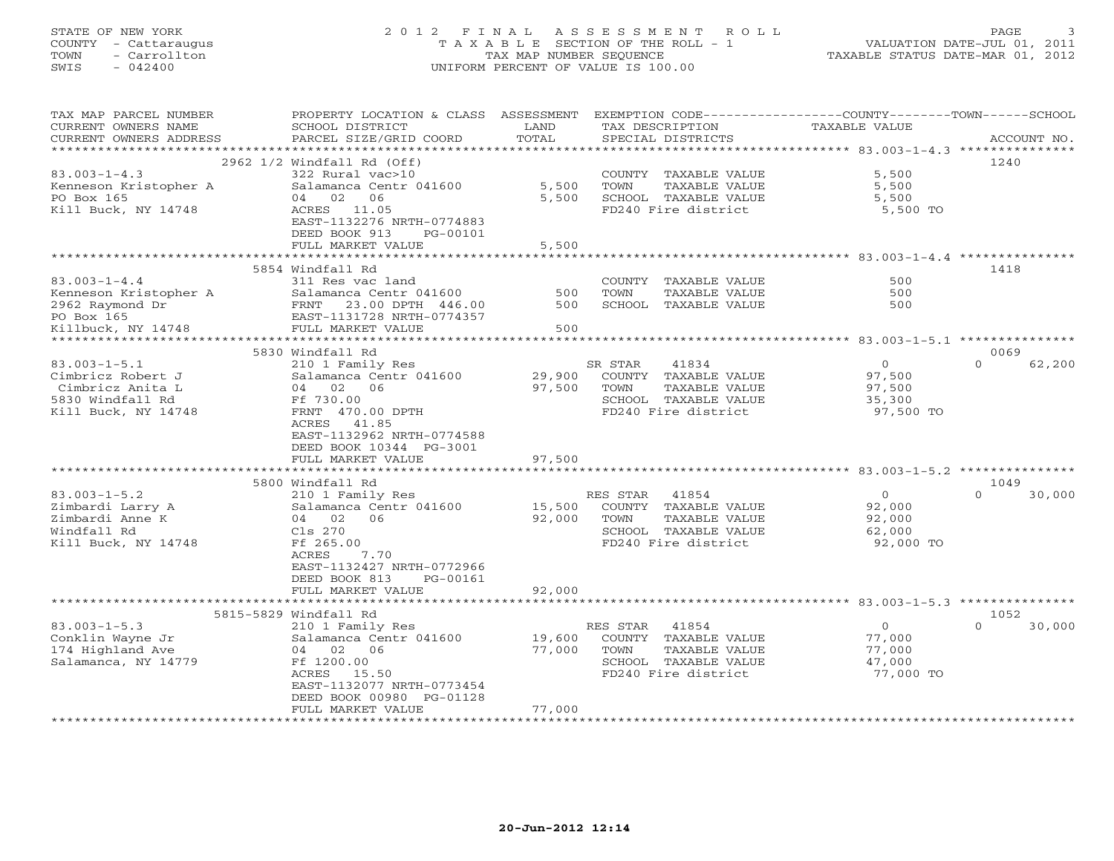# STATE OF NEW YORK 2 0 1 2 F I N A L A S S E S S M E N T R O L L PAGE 3 COUNTY - Cattaraugus T A X A B L E SECTION OF THE ROLL - 1 VALUATION DATE-JUL 01, 2011 TOWN - Carrollton TAX MAP NUMBER SEQUENCE TAXABLE STATUS DATE-MAR 01, 2012 SWIS - 042400 UNIFORM PERCENT OF VALUE IS 100.00UNIFORM PERCENT OF VALUE IS 100.00

| TAX MAP PARCEL NUMBER<br>CURRENT OWNERS NAME<br>CURRENT OWNERS ADDRESS | PROPERTY LOCATION & CLASS ASSESSMENT<br>SCHOOL DISTRICT<br>PARCEL SIZE/GRID COORD | LAND<br>TOTAL       |          | TAX DESCRIPTION<br>SPECIAL DISTRICTS | EXEMPTION CODE-----------------COUNTY-------TOWN-----SCHOOL<br>TAXABLE VALUE | ACCOUNT NO.        |
|------------------------------------------------------------------------|-----------------------------------------------------------------------------------|---------------------|----------|--------------------------------------|------------------------------------------------------------------------------|--------------------|
| *******************                                                    |                                                                                   |                     |          |                                      |                                                                              |                    |
|                                                                        | 2962 1/2 Windfall Rd (Off)                                                        |                     |          |                                      |                                                                              | 1240               |
| $83.003 - 1 - 4.3$                                                     | 322 Rural vac>10                                                                  |                     |          | COUNTY TAXABLE VALUE                 | 5,500                                                                        |                    |
| Kenneson Kristopher A                                                  | Salamanca Centr 041600                                                            | 5,500               | TOWN     | TAXABLE VALUE                        | 5,500                                                                        |                    |
| PO Box 165                                                             | 04 02<br>06                                                                       | 5,500               |          | SCHOOL TAXABLE VALUE                 | 5,500                                                                        |                    |
| Kill Buck, NY 14748                                                    | ACRES 11.05                                                                       |                     |          | FD240 Fire district                  | 5,500 TO                                                                     |                    |
|                                                                        | EAST-1132276 NRTH-0774883                                                         |                     |          |                                      |                                                                              |                    |
|                                                                        | DEED BOOK 913<br>PG-00101                                                         |                     |          |                                      |                                                                              |                    |
|                                                                        | FULL MARKET VALUE                                                                 | 5,500               |          |                                      |                                                                              |                    |
|                                                                        |                                                                                   |                     |          |                                      |                                                                              |                    |
|                                                                        | 5854 Windfall Rd                                                                  |                     |          |                                      |                                                                              | 1418               |
| $83.003 - 1 - 4.4$                                                     | 311 Res vac land                                                                  |                     |          | COUNTY TAXABLE VALUE                 | 500                                                                          |                    |
| Kenneson Kristopher A                                                  | Salamanca Centr 041600                                                            | 500                 | TOWN     | TAXABLE VALUE                        | 500                                                                          |                    |
| 2962 Raymond Dr<br>PO Box 165                                          | FRNT 23.00 DPTH 446.00                                                            | 500                 |          | SCHOOL TAXABLE VALUE                 | 500                                                                          |                    |
| PO Box 165                                                             | EAST-1131728 NRTH-0774357                                                         |                     |          |                                      |                                                                              |                    |
| Killbuck, NY 14748                                                     | FULL MARKET VALUE                                                                 | 500                 |          |                                      |                                                                              |                    |
| *********************                                                  | ***************************                                                       | ******************* |          |                                      |                                                                              |                    |
|                                                                        | 5830 Windfall Rd                                                                  |                     |          |                                      |                                                                              | 0069               |
| $83.003 - 1 - 5.1$                                                     | 210 1 Family Res                                                                  |                     | SR STAR  | 41834                                | $\overline{O}$                                                               | $\Omega$<br>62,200 |
| Cimbricz Robert J                                                      | Salamanca Centr 041600                                                            | 29,900              |          | COUNTY TAXABLE VALUE                 | 97,500                                                                       |                    |
| Cimbricz Anita L                                                       | 04 02 06                                                                          | 97,500              | TOWN     | TAXABLE VALUE                        | 97,500                                                                       |                    |
| 5830 Windfall Rd                                                       | Ff 730.00                                                                         |                     |          | SCHOOL TAXABLE VALUE                 | 35,300                                                                       |                    |
| Kill Buck, NY 14748                                                    | FRNT 470.00 DPTH                                                                  |                     |          | FD240 Fire district                  | 97,500 TO                                                                    |                    |
|                                                                        | ACRES 41.85                                                                       |                     |          |                                      |                                                                              |                    |
|                                                                        | EAST-1132962 NRTH-0774588                                                         |                     |          |                                      |                                                                              |                    |
|                                                                        | DEED BOOK 10344 PG-3001                                                           |                     |          |                                      |                                                                              |                    |
|                                                                        | FULL MARKET VALUE                                                                 | 97,500              |          |                                      |                                                                              |                    |
|                                                                        | 5800 Windfall Rd                                                                  |                     |          |                                      |                                                                              | 1049               |
| $83.003 - 1 - 5.2$                                                     | 210 1 Family Res                                                                  |                     | RES STAR | 41854                                | $\overline{O}$                                                               | $\Omega$<br>30,000 |
| Zimbardi Larry A                                                       | Salamanca Centr 041600                                                            | 15,500              |          | COUNTY TAXABLE VALUE                 | 92,000                                                                       |                    |
| Zimbardi Anne K                                                        | 04 02 06                                                                          | 92,000              | TOWN     | TAXABLE VALUE                        | 92,000                                                                       |                    |
| Windfall Rd                                                            | Cls 270                                                                           |                     |          | SCHOOL TAXABLE VALUE                 | 62,000                                                                       |                    |
| Kill Buck, NY 14748                                                    | Ff 265.00                                                                         |                     |          | FD240 Fire district                  | 92,000 TO                                                                    |                    |
|                                                                        | ACRES<br>7.70                                                                     |                     |          |                                      |                                                                              |                    |
|                                                                        | EAST-1132427 NRTH-0772966                                                         |                     |          |                                      |                                                                              |                    |
|                                                                        | DEED BOOK 813<br>PG-00161                                                         |                     |          |                                      |                                                                              |                    |
|                                                                        | FULL MARKET VALUE                                                                 | 92,000              |          |                                      |                                                                              |                    |
|                                                                        | *************************                                                         |                     |          |                                      |                                                                              |                    |
|                                                                        | 5815-5829 Windfall Rd                                                             |                     |          |                                      |                                                                              | 1052               |
| $83.003 - 1 - 5.3$                                                     | 210 1 Family Res                                                                  |                     | RES STAR | 41854                                | $\overline{0}$                                                               | $\Omega$<br>30,000 |
| Conklin Wayne Jr                                                       | Salamanca Centr 041600                                                            | 19,600              |          | COUNTY TAXABLE VALUE                 | 77,000                                                                       |                    |
| 174 Highland Ave                                                       | 04 02 06                                                                          | 77,000              | TOWN     | TAXABLE VALUE                        | 77,000                                                                       |                    |
| Salamanca, NY 14779                                                    | Ff 1200.00                                                                        |                     |          | SCHOOL TAXABLE VALUE                 | 47,000                                                                       |                    |
|                                                                        | ACRES 15.50                                                                       |                     |          | FD240 Fire district                  | 77,000 TO                                                                    |                    |
|                                                                        | EAST-1132077 NRTH-0773454                                                         |                     |          |                                      |                                                                              |                    |
|                                                                        | DEED BOOK 00980 PG-01128                                                          |                     |          |                                      |                                                                              |                    |
|                                                                        | FULL MARKET VALUE                                                                 | 77,000              |          |                                      |                                                                              |                    |
|                                                                        |                                                                                   |                     |          |                                      |                                                                              |                    |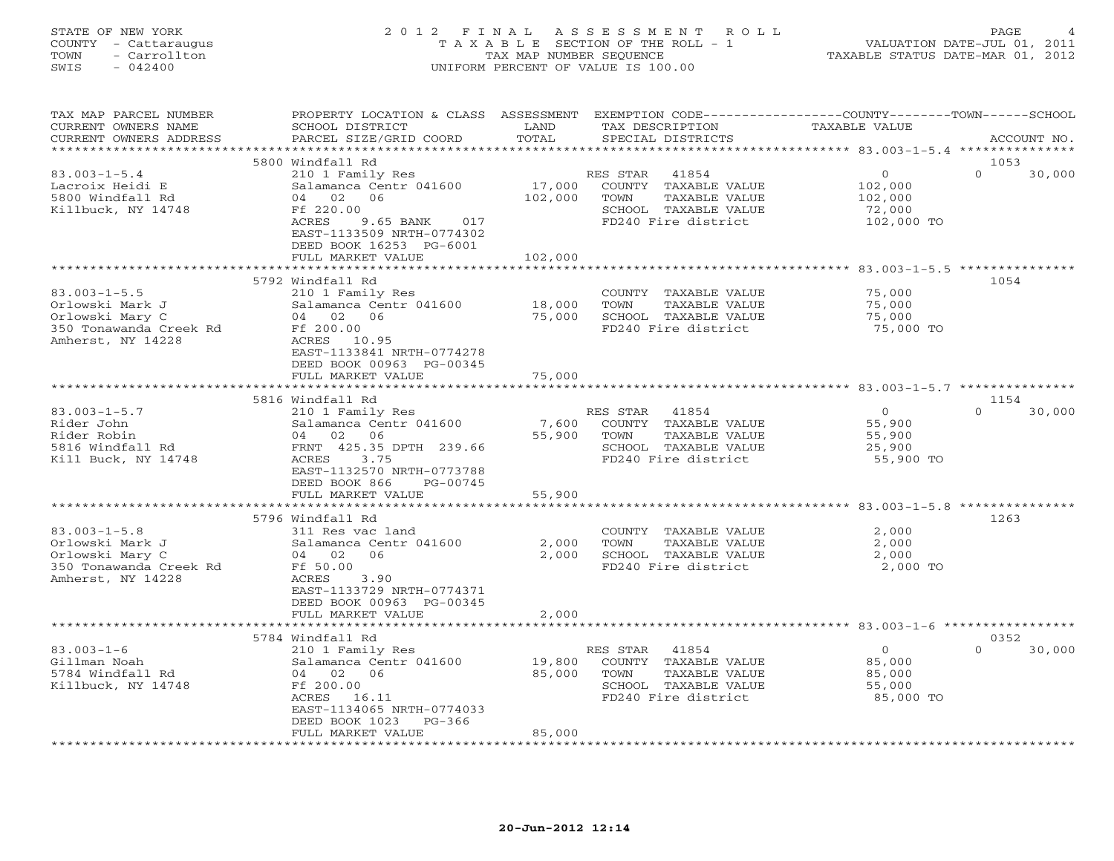## STATE OF NEW YORK 2 0 1 2 F I N A L A S S E S S M E N T R O L L PAGE 4 COUNTY - Cattaraugus T A X A B L E SECTION OF THE ROLL - 1 VALUATION DATE-JUL 01, 2011 TOWN - Carrollton TAX MAP NUMBER SEQUENCE TAXABLE STATUS DATE-MAR 01, 2012 SWIS - 042400 UNIFORM PERCENT OF VALUE IS 100.00UNIFORM PERCENT OF VALUE IS 100.00

| TAX MAP PARCEL NUMBER<br>CURRENT OWNERS NAME | PROPERTY LOCATION & CLASS ASSESSMENT EXEMPTION CODE----------------COUNTY-------TOWN------SCHOOL<br>SCHOOL DISTRICT | LAND    | TAX DESCRIPTION                             | TAXABLE VALUE       |                    |
|----------------------------------------------|---------------------------------------------------------------------------------------------------------------------|---------|---------------------------------------------|---------------------|--------------------|
| CURRENT OWNERS ADDRESS                       | PARCEL SIZE/GRID COORD                                                                                              | TOTAL   | SPECIAL DISTRICTS                           |                     | ACCOUNT NO.        |
|                                              |                                                                                                                     |         |                                             |                     |                    |
|                                              | 5800 Windfall Rd                                                                                                    |         |                                             |                     | 1053               |
| $83.003 - 1 - 5.4$                           | 210 1 Family Res                                                                                                    |         | RES STAR 41854                              | $\overline{O}$      | $\Omega$<br>30,000 |
| Lacroix Heidi E                              | Salamanca Centr 041600                                                                                              | 17,000  | COUNTY TAXABLE VALUE                        | 102,000             |                    |
| 5800 Windfall Rd                             | 04 02 06                                                                                                            | 102,000 | TOWN<br>TAXABLE VALUE                       | 102,000             |                    |
| Killbuck, NY 14748                           | Ff 220.00                                                                                                           |         | SCHOOL TAXABLE VALUE                        | 72,000              |                    |
|                                              | ACRES<br>9.65 BANK 017                                                                                              |         | FD240 Fire district                         | 102,000 TO          |                    |
|                                              | EAST-1133509 NRTH-0774302                                                                                           |         |                                             |                     |                    |
|                                              | DEED BOOK 16253 PG-6001                                                                                             |         |                                             |                     |                    |
|                                              | FULL MARKET VALUE<br>***********************                                                                        | 102,000 |                                             |                     |                    |
|                                              | 5792 Windfall Rd                                                                                                    |         |                                             |                     | 1054               |
| $83.003 - 1 - 5.5$                           | 210 1 Family Res                                                                                                    |         | COUNTY TAXABLE VALUE                        | 75,000              |                    |
| Orlowski Mark J                              | Salamanca Centr 041600                                                                                              | 18,000  | TOWN<br>TAXABLE VALUE                       | 75,000              |                    |
| Orlowski Mary C                              | 04 02 06                                                                                                            | 75,000  | SCHOOL TAXABLE VALUE                        | 75,000              |                    |
| 350 Tonawanda Creek Rd                       | Ff 200.00                                                                                                           |         | FD240 Fire district                         | 75,000 TO           |                    |
| Amherst, NY 14228                            | ACRES 10.95                                                                                                         |         |                                             |                     |                    |
|                                              | EAST-1133841 NRTH-0774278                                                                                           |         |                                             |                     |                    |
|                                              | DEED BOOK 00963 PG-00345                                                                                            |         |                                             |                     |                    |
|                                              | FULL MARKET VALUE                                                                                                   | 75,000  |                                             |                     |                    |
|                                              |                                                                                                                     |         |                                             |                     |                    |
|                                              | 5816 Windfall Rd                                                                                                    |         |                                             |                     | 1154               |
| $83.003 - 1 - 5.7$                           | 210 1 Family Res                                                                                                    |         | RES STAR<br>41854                           | $\overline{0}$      | $\Omega$<br>30,000 |
| Rider John                                   | Salamanca Centr 041600                                                                                              | 7,600   | COUNTY TAXABLE VALUE                        | 55,900              |                    |
| Rider Robin                                  | 04 02 06                                                                                                            | 55,900  | TOWN<br>TAXABLE VALUE                       | 55,900              |                    |
| 5816 Windfall Rd                             | FRNT 425.35 DPTH 239.66                                                                                             |         | SCHOOL TAXABLE VALUE                        | 25,900              |                    |
| Kill Buck, NY 14748                          | ACRES 3.75                                                                                                          |         | FD240 Fire district                         | 55,900 TO           |                    |
|                                              | EAST-1132570 NRTH-0773788                                                                                           |         |                                             |                     |                    |
|                                              | DEED BOOK 866<br>PG-00745                                                                                           |         |                                             |                     |                    |
|                                              | FULL MARKET VALUE<br>***********************                                                                        | 55,900  |                                             |                     |                    |
|                                              | 5796 Windfall Rd                                                                                                    |         |                                             |                     | 1263               |
| $83.003 - 1 - 5.8$                           | 311 Res vac land                                                                                                    |         | COUNTY TAXABLE VALUE                        | 2,000               |                    |
| Orlowski Mark J                              | Salamanca Centr 041600                                                                                              | 2,000   | TOWN<br>TAXABLE VALUE                       | 2,000               |                    |
| Orlowski Mary C                              | 04 02<br>06                                                                                                         | 2,000   | SCHOOL TAXABLE VALUE                        | 2,000               |                    |
| 350 Tonawanda Creek Rd                       | Ff 50.00                                                                                                            |         | FD240 Fire district                         | 2,000 TO            |                    |
| Amherst, NY 14228                            | ACRES<br>3.90                                                                                                       |         |                                             |                     |                    |
|                                              | EAST-1133729 NRTH-0774371                                                                                           |         |                                             |                     |                    |
|                                              | DEED BOOK 00963 PG-00345                                                                                            |         |                                             |                     |                    |
|                                              | FULL MARKET VALUE                                                                                                   | 2,000   |                                             |                     |                    |
|                                              | *********************                                                                                               |         |                                             |                     |                    |
|                                              | 5784 Windfall Rd                                                                                                    |         |                                             |                     | 0352               |
| $83.003 - 1 - 6$                             | 210 1 Family Res                                                                                                    |         | RES STAR<br>41854                           | $\Omega$            | $\cap$<br>30,000   |
| Gillman Noah                                 | Salamanca Centr 041600                                                                                              | 19,800  | COUNTY TAXABLE VALUE                        | 85,000              |                    |
| 5784 Windfall Rd                             | 04 02 06                                                                                                            | 85,000  | TOWN<br>TAXABLE VALUE                       | 85,000              |                    |
| Killbuck, NY 14748                           | Ff 200.00<br>ACRES 16.11                                                                                            |         | SCHOOL TAXABLE VALUE<br>FD240 Fire district | 55,000<br>85,000 TO |                    |
|                                              | EAST-1134065 NRTH-0774033                                                                                           |         |                                             |                     |                    |
|                                              | DEED BOOK 1023 PG-366                                                                                               |         |                                             |                     |                    |
|                                              | FULL MARKET VALUE                                                                                                   | 85,000  |                                             |                     |                    |
|                                              |                                                                                                                     |         |                                             |                     |                    |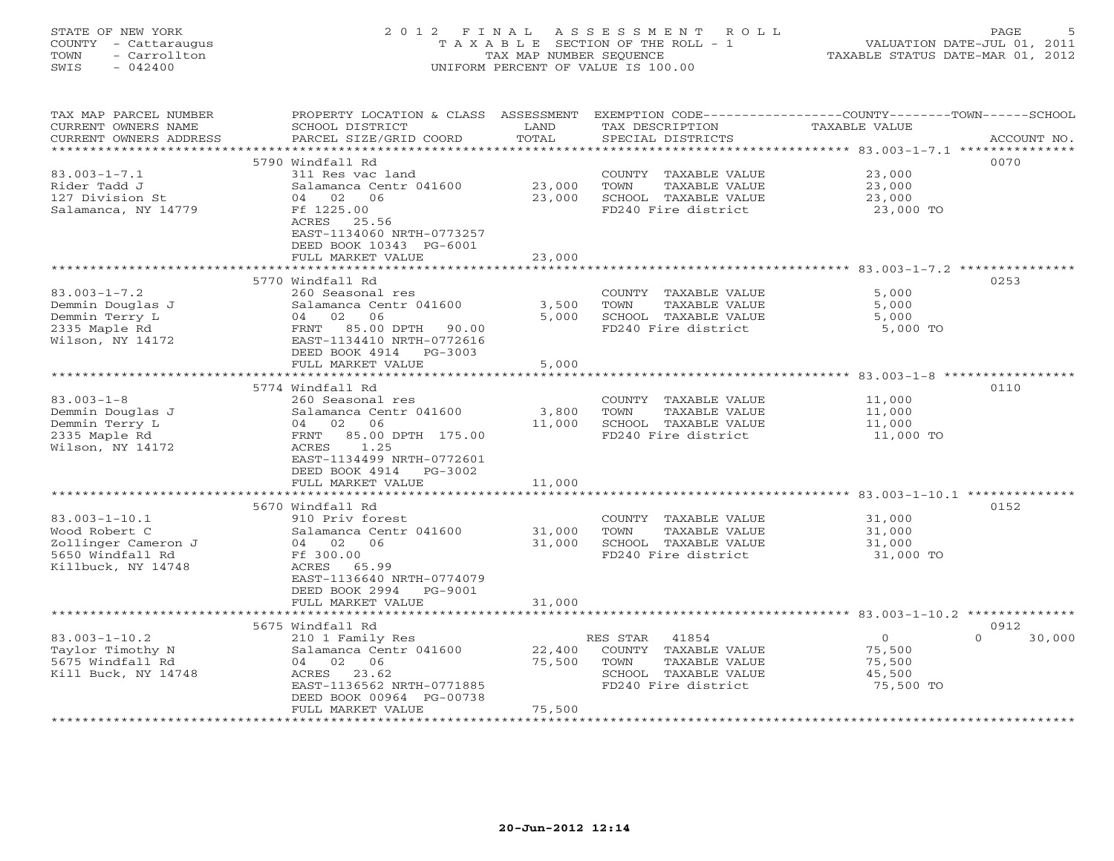| COUNTY<br>- Cattaraugus<br>- Carrollton<br>TOWN<br>SWIS<br>$-042400$                                  |                                                                                                                                                                                          | T A X A B L E SECTION OF THE ROLL - 1<br>TAX MAP NUMBER SEOUENCE<br>UNIFORM PERCENT OF VALUE IS 100.00 |                                                                                              |                                                                           |                            |  |
|-------------------------------------------------------------------------------------------------------|------------------------------------------------------------------------------------------------------------------------------------------------------------------------------------------|--------------------------------------------------------------------------------------------------------|----------------------------------------------------------------------------------------------|---------------------------------------------------------------------------|----------------------------|--|
| TAX MAP PARCEL NUMBER<br>CURRENT OWNERS NAME<br>CURRENT OWNERS ADDRESS<br>*****************           | PROPERTY LOCATION & CLASS ASSESSMENT EXEMPTION CODE---------------COUNTY-------TOWN------SCHOOL<br>SCHOOL DISTRICT<br>PARCEL SIZE/GRID COORD                                             | LAND<br>TOTAL                                                                                          | TAX DESCRIPTION<br>SPECIAL DISTRICTS                                                         | TAXABLE VALUE<br>*************************** 83.003-1-7.1 *************** | ACCOUNT NO.                |  |
|                                                                                                       | 5790 Windfall Rd                                                                                                                                                                         |                                                                                                        |                                                                                              |                                                                           | 0070                       |  |
| $83.003 - 1 - 7.1$<br>Rider Tadd J<br>127 Division St<br>Salamanca, NY 14779                          | 311 Res vac land<br>Salamanca Centr 041600<br>04 02 06<br>Ff 1225.00<br>ACRES 25.56<br>EAST-1134060 NRTH-0773257<br>DEED BOOK 10343 PG-6001                                              | 23,000<br>23,000                                                                                       | COUNTY TAXABLE VALUE<br>TAXABLE VALUE<br>TOWN<br>SCHOOL TAXABLE VALUE<br>FD240 Fire district | 23,000<br>23,000<br>23,000<br>23,000 TO                                   |                            |  |
|                                                                                                       | FULL MARKET VALUE                                                                                                                                                                        | 23,000                                                                                                 |                                                                                              |                                                                           |                            |  |
| $83.003 - 1 - 7.2$<br>Demmin Douglas J<br>Demmin Terry L<br>2335 Maple Rd<br>Wilson, NY 14172         | ********************<br>5770 Windfall Rd<br>260 Seasonal res<br>Salamanca Centr 041600<br>02 06<br>04<br>FRNT 85.00 DPTH<br>90.00<br>EAST-1134410 NRTH-0772616<br>DEED BOOK 4914 PG-3003 | 3,500<br>5,000                                                                                         | COUNTY TAXABLE VALUE<br>TOWN<br>TAXABLE VALUE<br>SCHOOL TAXABLE VALUE<br>FD240 Fire district | 5,000<br>5,000<br>5,000<br>5,000 TO                                       | 0253                       |  |
|                                                                                                       | FULL MARKET VALUE                                                                                                                                                                        | 5,000                                                                                                  |                                                                                              |                                                                           |                            |  |
|                                                                                                       | ************************<br>5774 Windfall Rd                                                                                                                                             |                                                                                                        |                                                                                              |                                                                           | 0110                       |  |
| $83.003 - 1 - 8$<br>Demmin Douglas J<br>Demmin Terry L<br>2335 Maple Rd<br>Wilson, NY 14172           | 260 Seasonal res<br>Salamanca Centr 041600<br>02<br>06<br>04<br>85.00 DPTH 175.00<br>FRNT<br>1.25<br>ACRES<br>EAST-1134499 NRTH-0772601<br>DEED BOOK 4914 PG-3002                        | 3,800<br>11,000                                                                                        | COUNTY TAXABLE VALUE<br>TOWN<br>TAXABLE VALUE<br>SCHOOL TAXABLE VALUE<br>FD240 Fire district | 11,000<br>11,000<br>11,000<br>11,000 TO                                   |                            |  |
|                                                                                                       | FULL MARKET VALUE                                                                                                                                                                        | 11,000                                                                                                 |                                                                                              |                                                                           |                            |  |
| $83.003 - 1 - 10.1$<br>Wood Robert C<br>Zollinger Cameron J<br>5650 Windfall Rd<br>Killbuck, NY 14748 | 5670 Windfall Rd<br>910 Priv forest<br>Salamanca Centr 041600<br>04 02 06<br>Ff 300.00<br>ACRES 65.99<br>EAST-1136640 NRTH-0774079<br>DEED BOOK 2994<br>PG-9001                          | 31,000<br>31,000                                                                                       | COUNTY TAXABLE VALUE<br>TOWN<br>TAXABLE VALUE<br>SCHOOL TAXABLE VALUE<br>FD240 Fire district | 31,000<br>31,000<br>31,000<br>31,000 TO                                   | 0152                       |  |
|                                                                                                       | FULL MARKET VALUE                                                                                                                                                                        | 31,000                                                                                                 |                                                                                              |                                                                           |                            |  |
| $83.003 - 1 - 10.2$<br>Taylor Timothy N                                                               | 5675 Windfall Rd<br>210 1 Family Res<br>Salamanca Centr 041600                                                                                                                           | 22,400                                                                                                 | 41854<br>RES STAR<br>COUNTY TAXABLE VALUE                                                    | $\overline{O}$<br>75,500                                                  | 0912<br>30,000<br>$\Omega$ |  |
| 5675 Windfall Rd<br>Kill Buck, NY 14748                                                               | 04 02 06<br>ACRES 23.62<br>EAST-1136562 NRTH-0771885<br>DEED BOOK 00964 PG-00738                                                                                                         | 75,500                                                                                                 | TAXABLE VALUE<br>TOWN<br>SCHOOL TAXABLE VALUE<br>FD240 Fire district                         | 75,500<br>45,500<br>75,500 TO                                             |                            |  |

STATE OF NEW YORK 2 0 1 2 F I N A L A S S E S S M E N T R O L L PAGE 5

\*\*\*\*\*\*\*\*\*\*\*\*\*\*\*\*\*\*\*\*\*\*\*\*\*\*\*\*\*\*\*\*\*\*\*\*\*\*\*\*\*\*\*\*\*\*\*\*\*\*\*\*\*\*\*\*\*\*\*\*\*\*\*\*\*\*\*\*\*\*\*\*\*\*\*\*\*\*\*\*\*\*\*\*\*\*\*\*\*\*\*\*\*\*\*\*\*\*\*\*\*\*\*\*\*\*\*\*\*\*\*\*\*\*\*\*\*\*\*\*\*\*\*\*\*\*\*\*\*\*\*\*

FULL MARKET VALUE 75,500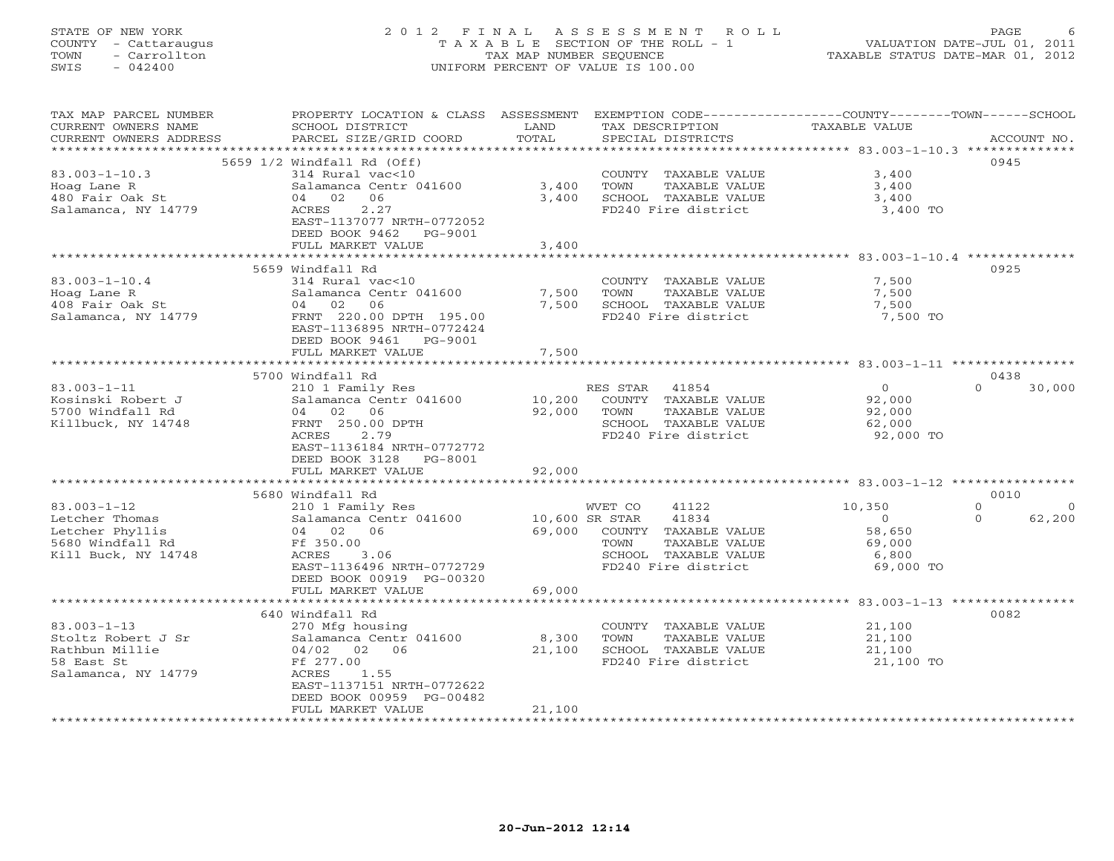# STATE OF NEW YORK 2 0 1 2 F I N A L A S S E S S M E N T R O L L PAGE 6 COUNTY - Cattaraugus T A X A B L E SECTION OF THE ROLL - 1 VALUATION DATE-JUL 01, 2011 TOWN - Carrollton TAX MAP NUMBER SEQUENCE TAXABLE STATUS DATE-MAR 01, 2012 SWIS - 042400 UNIFORM PERCENT OF VALUE IS 100.00UNIFORM PERCENT OF VALUE IS 100.00

| TAX MAP PARCEL NUMBER<br>CURRENT OWNERS NAME     | PROPERTY LOCATION & CLASS ASSESSMENT<br>SCHOOL DISTRICT | LAND<br>TOTAL  | TAX DESCRIPTION       | EXEMPTION CODE-----------------COUNTY-------TOWN-----SCHOOL<br>TAXABLE VALUE |                      |
|--------------------------------------------------|---------------------------------------------------------|----------------|-----------------------|------------------------------------------------------------------------------|----------------------|
| CURRENT OWNERS ADDRESS<br>********************** | PARCEL SIZE/GRID COORD                                  |                | SPECIAL DISTRICTS     |                                                                              | ACCOUNT NO.          |
|                                                  |                                                         |                |                       |                                                                              | 0945                 |
|                                                  | 5659 1/2 Windfall Rd (Off)                              |                |                       |                                                                              |                      |
| $83.003 - 1 - 10.3$                              | 314 Rural vac<10                                        |                | COUNTY TAXABLE VALUE  | 3,400                                                                        |                      |
| Hoag Lane R                                      | Salamanca Centr 041600                                  | 3,400          | TOWN<br>TAXABLE VALUE | 3,400                                                                        |                      |
| 480 Fair Oak St                                  | 04 02<br>06                                             | 3,400          | SCHOOL TAXABLE VALUE  | 3,400                                                                        |                      |
| Salamanca, NY 14779                              | 2.27<br>ACRES                                           |                | FD240 Fire district   | 3,400 TO                                                                     |                      |
|                                                  | EAST-1137077 NRTH-0772052                               |                |                       |                                                                              |                      |
|                                                  | DEED BOOK 9462 PG-9001                                  |                |                       |                                                                              |                      |
|                                                  | FULL MARKET VALUE                                       | 3,400          |                       |                                                                              |                      |
|                                                  |                                                         |                |                       |                                                                              |                      |
|                                                  | 5659 Windfall Rd                                        |                |                       |                                                                              | 0925                 |
| $83.003 - 1 - 10.4$                              | 314 Rural vac<10                                        |                | COUNTY TAXABLE VALUE  | 7,500                                                                        |                      |
| Hoag Lane R                                      | Salamanca Centr 041600                                  | 7,500          | TAXABLE VALUE<br>TOWN | 7,500                                                                        |                      |
| 408 Fair Oak St                                  | 04 02<br>06                                             | 7,500          | SCHOOL TAXABLE VALUE  | 7,500                                                                        |                      |
| Salamanca, NY 14779                              | FRNT 220.00 DPTH 195.00                                 |                | FD240 Fire district   | 7,500 TO                                                                     |                      |
|                                                  | EAST-1136895 NRTH-0772424                               |                |                       |                                                                              |                      |
|                                                  | DEED BOOK 9461<br>PG-9001                               |                |                       |                                                                              |                      |
|                                                  | FULL MARKET VALUE                                       | 7,500          |                       |                                                                              |                      |
|                                                  |                                                         |                |                       |                                                                              |                      |
|                                                  | 5700 Windfall Rd                                        |                |                       |                                                                              | 0438                 |
| $83.003 - 1 - 11$                                | 210 1 Family Res                                        |                | RES STAR<br>41854     | $\overline{0}$                                                               | 30,000<br>$\Omega$   |
| Kosinski Robert J                                | Salamanca Centr 041600                                  | 10,200         | COUNTY TAXABLE VALUE  | 92,000                                                                       |                      |
| 5700 Windfall Rd                                 | 02<br>06<br>04                                          | 92,000         | TAXABLE VALUE<br>TOWN | 92,000                                                                       |                      |
| Killbuck, NY 14748                               | FRNT 250.00 DPTH                                        |                | SCHOOL TAXABLE VALUE  | 62,000                                                                       |                      |
|                                                  | ACRES<br>2.79                                           |                | FD240 Fire district   | 92,000 TO                                                                    |                      |
|                                                  | EAST-1136184 NRTH-0772772                               |                |                       |                                                                              |                      |
|                                                  | DEED BOOK 3128 PG-8001                                  |                |                       |                                                                              |                      |
|                                                  | FULL MARKET VALUE                                       | 92,000         |                       |                                                                              |                      |
|                                                  |                                                         |                |                       |                                                                              |                      |
|                                                  | 5680 Windfall Rd                                        |                |                       |                                                                              | 0010                 |
| $83.003 - 1 - 12$                                | 210 1 Family Res                                        |                | WVET CO<br>41122      | 10,350                                                                       | $\Omega$<br>$\Omega$ |
| Letcher Thomas                                   | Salamanca Centr 041600                                  | 10,600 SR STAR | 41834                 | $\circ$                                                                      | 62,200<br>$\Omega$   |
| Letcher Phyllis                                  | 04 02 06                                                | 69,000         | COUNTY TAXABLE VALUE  | 58,650                                                                       |                      |
| 5680 Windfall Rd                                 | Ff 350.00                                               |                | TAXABLE VALUE<br>TOWN | 69,000                                                                       |                      |
| Kill Buck, NY 14748                              | ACRES<br>3.06                                           |                | SCHOOL TAXABLE VALUE  | 6,800                                                                        |                      |
|                                                  | EAST-1136496 NRTH-0772729                               |                | FD240 Fire district   | 69,000 TO                                                                    |                      |
|                                                  |                                                         |                |                       |                                                                              |                      |
|                                                  | DEED BOOK 00919 PG-00320                                |                |                       |                                                                              |                      |
|                                                  | FULL MARKET VALUE                                       | 69,000         |                       |                                                                              |                      |
|                                                  | 640 Windfall Rd                                         |                |                       |                                                                              | 0082                 |
| $83.003 - 1 - 13$                                | 270 Mfg housing                                         |                | COUNTY TAXABLE VALUE  | 21,100                                                                       |                      |
|                                                  |                                                         |                |                       |                                                                              |                      |
| Stoltz Robert J Sr<br>Rathbun Millie             | Salamanca Centr 041600                                  | 8,300          | TAXABLE VALUE<br>TOWN | 21,100                                                                       |                      |
|                                                  | 04/02 02 06                                             | 21,100         | SCHOOL TAXABLE VALUE  | 21,100                                                                       |                      |
| 58 East St                                       | Ff 277.00                                               |                | FD240 Fire district   | 21,100 TO                                                                    |                      |
| Salamanca, NY 14779                              | ACRES<br>1.55                                           |                |                       |                                                                              |                      |
|                                                  | EAST-1137151 NRTH-0772622                               |                |                       |                                                                              |                      |
|                                                  | DEED BOOK 00959 PG-00482                                |                |                       |                                                                              |                      |
|                                                  | FULL MARKET VALUE                                       | 21,100         |                       |                                                                              |                      |
|                                                  |                                                         |                |                       |                                                                              |                      |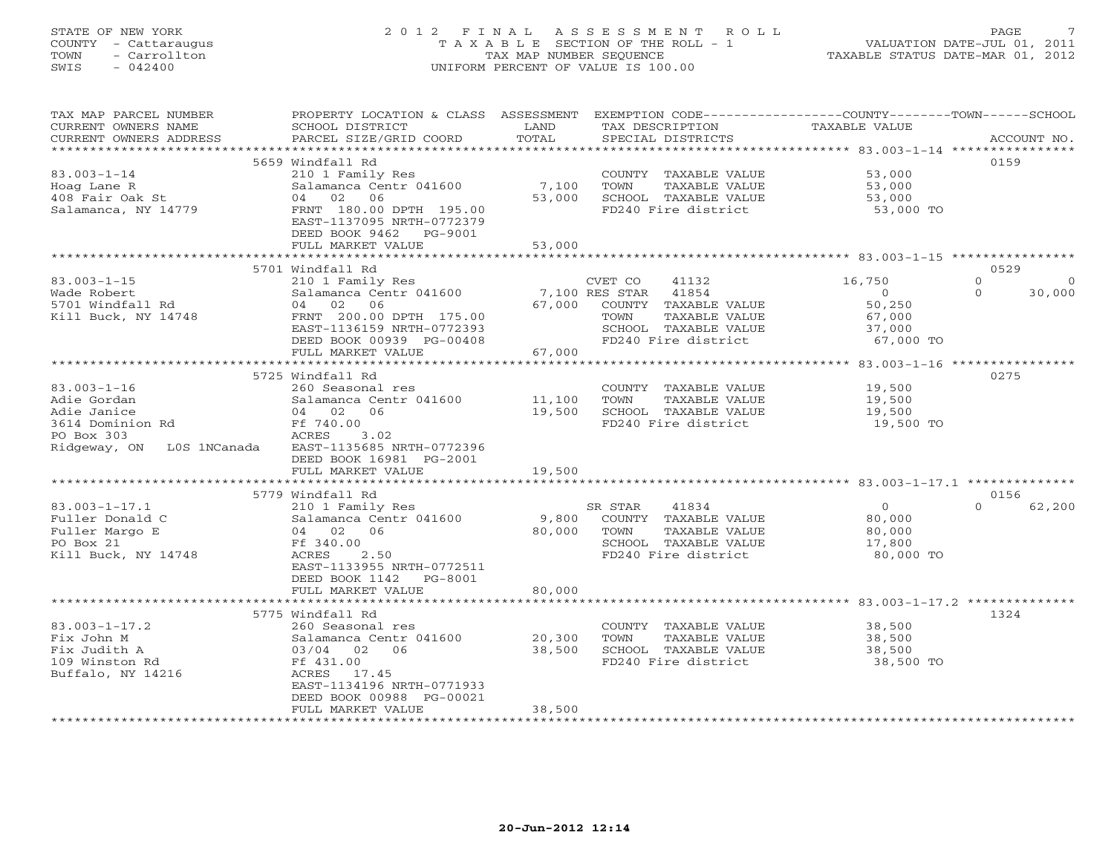# STATE OF NEW YORK 2 0 1 2 F I N A L A S S E S S M E N T R O L L PAGE 7 COUNTY - Cattaraugus T A X A B L E SECTION OF THE ROLL - 1 VALUATION DATE-JUL 01, 2011 TOWN - Carrollton TAX MAP NUMBER SEQUENCE TAXABLE STATUS DATE-MAR 01, 2012 SWIS - 042400 UNIFORM PERCENT OF VALUE IS 100.00UNIFORM PERCENT OF VALUE IS 100.00

| TAX MAP PARCEL NUMBER<br>CURRENT OWNERS NAME     | PROPERTY LOCATION & CLASS ASSESSMENT<br>SCHOOL DISTRICT | LAND<br>TOTAL | EXEMPTION CODE-----------------COUNTY-------TOWN-----SCHOOL<br>TAX DESCRIPTION | <b>TAXABLE VALUE</b> | ACCOUNT NO.        |
|--------------------------------------------------|---------------------------------------------------------|---------------|--------------------------------------------------------------------------------|----------------------|--------------------|
| CURRENT OWNERS ADDRESS<br>********************** | PARCEL SIZE/GRID COORD                                  |               | SPECIAL DISTRICTS                                                              |                      |                    |
|                                                  | 5659 Windfall Rd                                        |               |                                                                                |                      | 0159               |
| $83.003 - 1 - 14$                                | 210 1 Family Res                                        |               | COUNTY TAXABLE VALUE                                                           | 53,000               |                    |
| Hoag Lane R                                      | Salamanca Centr 041600                                  | 7,100         | TOWN<br>TAXABLE VALUE                                                          | 53,000               |                    |
| 408 Fair Oak St                                  | 02<br>06<br>04                                          | 53,000        | SCHOOL TAXABLE VALUE                                                           | 53,000               |                    |
| Salamanca, NY 14779                              | FRNT 180.00 DPTH 195.00                                 |               | FD240 Fire district                                                            | 53,000 TO            |                    |
|                                                  | EAST-1137095 NRTH-0772379                               |               |                                                                                |                      |                    |
|                                                  | DEED BOOK 9462<br>PG-9001                               |               |                                                                                |                      |                    |
|                                                  | FULL MARKET VALUE                                       | 53,000        |                                                                                |                      |                    |
|                                                  |                                                         |               |                                                                                |                      |                    |
|                                                  | 5701 Windfall Rd                                        |               |                                                                                |                      | 0529               |
| $83.003 - 1 - 15$                                | 210 1 Family Res                                        |               | CVET CO<br>41132                                                               | 16,750               | $\circ$<br>$\circ$ |
| Wade Robert                                      | Salamanca Centr 041600                                  |               | 7,100 RES STAR<br>41854                                                        | $\circ$              | $\Omega$<br>30,000 |
| 5701 Windfall Rd                                 | 04<br>02<br>06                                          | 67,000        | COUNTY TAXABLE VALUE                                                           | 50,250               |                    |
| Kill Buck, NY 14748                              | FRNT 200.00 DPTH 175.00                                 |               | TOWN<br>TAXABLE VALUE                                                          | 67,000               |                    |
|                                                  | EAST-1136159 NRTH-0772393                               |               | SCHOOL TAXABLE VALUE                                                           | 37,000               |                    |
|                                                  | DEED BOOK 00939 PG-00408                                |               | FD240 Fire district                                                            | 67,000 TO            |                    |
|                                                  | FULL MARKET VALUE                                       | 67,000        |                                                                                |                      |                    |
|                                                  | 5725 Windfall Rd                                        |               |                                                                                |                      | 0275               |
| $83.003 - 1 - 16$                                | 260 Seasonal res                                        |               | COUNTY TAXABLE VALUE                                                           | 19,500               |                    |
| Adie Gordan                                      | Salamanca Centr 041600                                  | 11,100        | TOWN<br>TAXABLE VALUE                                                          | 19,500               |                    |
| Adie Janice                                      | 06<br>04 02                                             | 19,500        | SCHOOL TAXABLE VALUE                                                           | 19,500               |                    |
| 3614 Dominion Rd                                 | Ff 740.00                                               |               | FD240 Fire district                                                            | 19,500 TO            |                    |
| PO Box 303                                       | ACRES<br>3.02                                           |               |                                                                                |                      |                    |
| Ridgeway, ON<br>LOS 1NCanada                     | EAST-1135685 NRTH-0772396                               |               |                                                                                |                      |                    |
|                                                  | DEED BOOK 16981 PG-2001                                 |               |                                                                                |                      |                    |
|                                                  | FULL MARKET VALUE                                       | 19,500        |                                                                                |                      |                    |
|                                                  |                                                         |               |                                                                                |                      |                    |
|                                                  | 5779 Windfall Rd                                        |               |                                                                                |                      | 0156               |
| $83.003 - 1 - 17.1$                              | 210 1 Family Res                                        |               | 41834<br>SR STAR                                                               | $\overline{0}$       | $\Omega$<br>62,200 |
| Fuller Donald C                                  | Salamanca Centr 041600                                  | 9,800         | COUNTY TAXABLE VALUE                                                           | 80,000               |                    |
| Fuller Margo E                                   | 04 02 06                                                | 80,000        | TOWN<br>TAXABLE VALUE                                                          | 80,000               |                    |
| PO Box 21                                        | Ff 340.00                                               |               | SCHOOL TAXABLE VALUE                                                           | 17,800               |                    |
| Kill Buck, NY 14748                              | 2.50<br>ACRES                                           |               | FD240 Fire district                                                            | 80,000 TO            |                    |
|                                                  | EAST-1133955 NRTH-0772511                               |               |                                                                                |                      |                    |
|                                                  | DEED BOOK 1142<br>PG-8001                               |               |                                                                                |                      |                    |
|                                                  | FULL MARKET VALUE<br>*************************          | 80,000        |                                                                                |                      |                    |
|                                                  | 5775 Windfall Rd                                        |               |                                                                                |                      | 1324               |
| $83.003 - 1 - 17.2$                              | 260 Seasonal res                                        |               | COUNTY TAXABLE VALUE                                                           | 38,500               |                    |
| Fix John M                                       | Salamanca Centr 041600                                  | 20,300        | TOWN<br>TAXABLE VALUE                                                          | 38,500               |                    |
| Fix Judith A                                     | 03/04 02<br>06                                          | 38,500        | SCHOOL TAXABLE VALUE                                                           | 38,500               |                    |
| 109 Winston Rd                                   | Ff 431.00                                               |               | FD240 Fire district                                                            | 38,500 TO            |                    |
| Buffalo, NY 14216                                | ACRES<br>17.45                                          |               |                                                                                |                      |                    |
|                                                  | EAST-1134196 NRTH-0771933                               |               |                                                                                |                      |                    |
|                                                  | DEED BOOK 00988 PG-00021                                |               |                                                                                |                      |                    |
|                                                  | FULL MARKET VALUE                                       | 38,500        |                                                                                |                      |                    |
|                                                  |                                                         |               |                                                                                |                      |                    |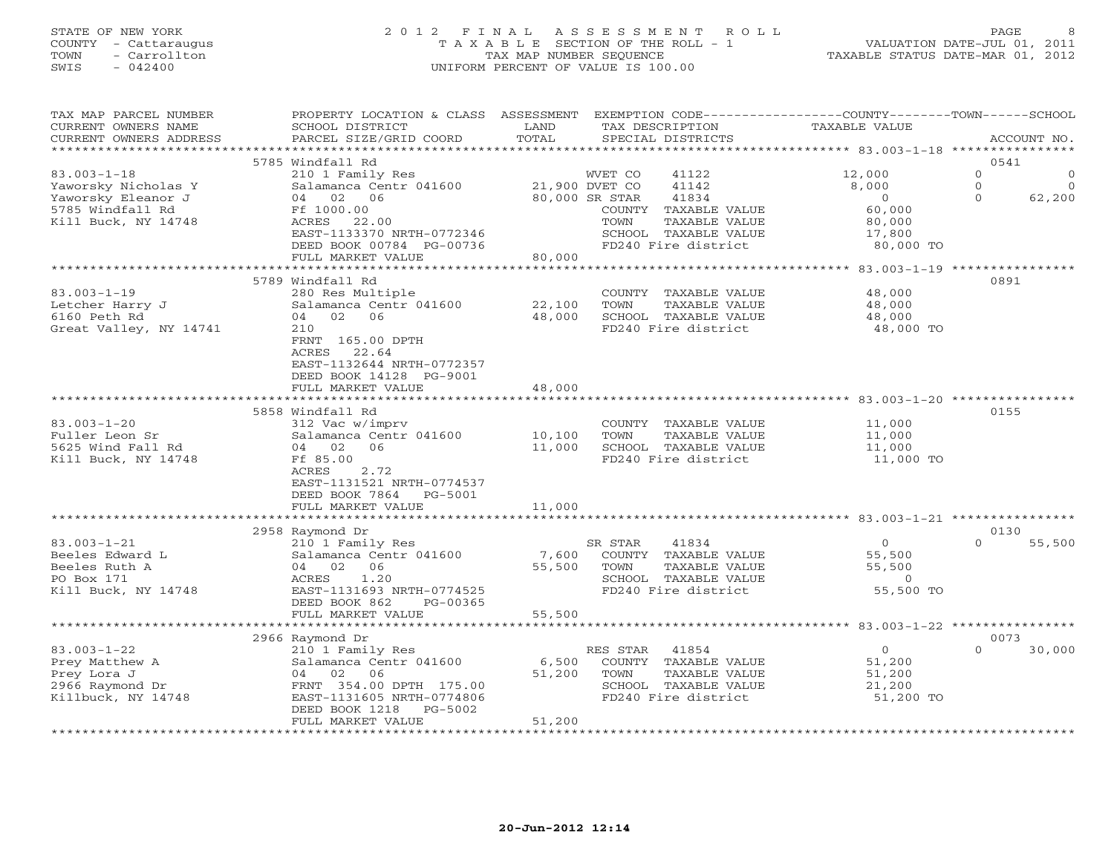## STATE OF NEW YORK 2 0 1 2 F I N A L A S S E S S M E N T R O L L PAGE 8 COUNTY - Cattaraugus T A X A B L E SECTION OF THE ROLL - 1 VALUATION DATE-JUL 01, 2011 TOWN - Carrollton TAX MAP NUMBER SEQUENCE TAXABLE STATUS DATE-MAR 01, 2012 SWIS - 042400 UNIFORM PERCENT OF VALUE IS 100.00UNIFORM PERCENT OF VALUE IS 100.00

| TAX MAP PARCEL NUMBER<br>CURRENT OWNERS NAME | PROPERTY LOCATION & CLASS ASSESSMENT EXEMPTION CODE----------------COUNTY-------TOWN------SCHOOL<br>SCHOOL DISTRICT | LAND             | TAX DESCRIPTION         | <b>TAXABLE VALUE</b>                     |                      |
|----------------------------------------------|---------------------------------------------------------------------------------------------------------------------|------------------|-------------------------|------------------------------------------|----------------------|
| CURRENT OWNERS ADDRESS                       | PARCEL SIZE/GRID COORD                                                                                              | TOTAL            | SPECIAL DISTRICTS       |                                          | ACCOUNT NO.          |
|                                              |                                                                                                                     |                  |                         |                                          |                      |
|                                              | 5785 Windfall Rd                                                                                                    |                  |                         |                                          | 0541                 |
| $83.003 - 1 - 18$                            | 210 1 Family Res                                                                                                    |                  | WVET CO<br>41122        | 12,000                                   | $\Omega$             |
| Yaworsky Nicholas Y                          | Salamanca Centr 041600 21,900 DVET CO                                                                               |                  | 41142                   | 8,000                                    | $\Omega$<br>$\Omega$ |
| Yaworsky Eleanor J                           | 04 02 06                                                                                                            |                  | 80,000 SR STAR<br>41834 | $\overline{0}$                           | $\Omega$<br>62,200   |
| 5785 Windfall Rd                             | Ff 1000.00                                                                                                          |                  | COUNTY TAXABLE VALUE    | 60,000                                   |                      |
| Kill Buck, NY 14748                          | ACRES 22.00                                                                                                         |                  | TOWN<br>TAXABLE VALUE   | 80,000                                   |                      |
|                                              | EAST-1133370 NRTH-0772346                                                                                           |                  | SCHOOL TAXABLE VALUE    | 17,800                                   |                      |
|                                              | DEED BOOK 00784 PG-00736                                                                                            |                  | FD240 Fire district     | 80,000 TO                                |                      |
|                                              | FULL MARKET VALUE                                                                                                   | 80,000           |                         |                                          |                      |
|                                              |                                                                                                                     |                  |                         | ************ 83.003-1-19 *************** |                      |
|                                              | 5789 Windfall Rd                                                                                                    |                  |                         |                                          | 0891                 |
| $83.003 - 1 - 19$                            | 280 Res Multiple                                                                                                    |                  | COUNTY TAXABLE VALUE    | 48,000                                   |                      |
| Letcher Harry J                              | Salamanca Centr 041600                                                                                              | 22,100           | TOWN<br>TAXABLE VALUE   | 48,000                                   |                      |
| 6160 Peth Rd                                 | 04 02 06                                                                                                            | 48,000           | SCHOOL TAXABLE VALUE    | 48,000                                   |                      |
| Great Valley, NY 14741                       | 210                                                                                                                 |                  | FD240 Fire district     | 48,000 TO                                |                      |
|                                              | FRNT 165.00 DPTH                                                                                                    |                  |                         |                                          |                      |
|                                              |                                                                                                                     |                  |                         |                                          |                      |
|                                              | 22.64<br>ACRES                                                                                                      |                  |                         |                                          |                      |
|                                              | EAST-1132644 NRTH-0772357                                                                                           |                  |                         |                                          |                      |
|                                              | DEED BOOK 14128 PG-9001                                                                                             |                  |                         |                                          |                      |
|                                              | FULL MARKET VALUE                                                                                                   | 48,000           |                         |                                          |                      |
|                                              |                                                                                                                     |                  |                         |                                          |                      |
|                                              | 5858 Windfall Rd                                                                                                    |                  |                         |                                          | 0155                 |
| $83.003 - 1 - 20$                            | 312 Vac w/imprv                                                                                                     |                  | COUNTY TAXABLE VALUE    | 11,000                                   |                      |
| Fuller Leon Sr                               | Salamanca Centr 041600                                                                                              | 10,100           | TAXABLE VALUE<br>TOWN   | 11,000                                   |                      |
| 5625 Wind Fall Rd                            | 04 02<br>06                                                                                                         | 11,000           | SCHOOL TAXABLE VALUE    | 11,000                                   |                      |
| Kill Buck, NY 14748                          | Ff 85.00                                                                                                            |                  | FD240 Fire district     | 11,000 TO                                |                      |
|                                              | ACRES<br>2.72                                                                                                       |                  |                         |                                          |                      |
|                                              | EAST-1131521 NRTH-0774537                                                                                           |                  |                         |                                          |                      |
|                                              | DEED BOOK 7864 PG-5001                                                                                              |                  |                         |                                          |                      |
|                                              | FULL MARKET VALUE                                                                                                   | 11,000           |                         |                                          |                      |
|                                              | **************************                                                                                          |                  |                         |                                          |                      |
|                                              | 2958 Raymond Dr                                                                                                     |                  |                         |                                          | 0130                 |
| $83.003 - 1 - 21$                            |                                                                                                                     |                  | SR STAR<br>41834        | $\overline{0}$                           | $\Omega$             |
|                                              | 210 1 Family Res                                                                                                    |                  |                         |                                          | 55,500               |
| Beeles Edward L                              | Salamanca Centr 041600                                                                                              | 7,600            | COUNTY TAXABLE VALUE    | 55,500                                   |                      |
| Beeles Ruth A                                | 04 02 06                                                                                                            | 55,500           | TOWN<br>TAXABLE VALUE   | 55,500                                   |                      |
| PO Box 171                                   | ACRES<br>1.20                                                                                                       |                  | SCHOOL TAXABLE VALUE    | $\overline{0}$                           |                      |
| Kill Buck, NY 14748                          | EAST-1131693 NRTH-0774525                                                                                           |                  | FD240 Fire district     | 55,500 TO                                |                      |
|                                              | DEED BOOK 862<br>PG-00365                                                                                           |                  |                         |                                          |                      |
|                                              | FULL MARKET VALUE                                                                                                   | 55,500           |                         |                                          |                      |
|                                              |                                                                                                                     |                  |                         |                                          |                      |
|                                              | 2966 Raymond Dr                                                                                                     |                  |                         |                                          | 0073                 |
| $83.003 - 1 - 22$                            | 210 1 Family Res                                                                                                    |                  | RES STAR 41854          | $\overline{0}$                           | $\Omega$<br>30,000   |
| Prey Matthew A                               | Salamanca Centr 041600                                                                                              | 6,500            | COUNTY TAXABLE VALUE    | 51,200                                   |                      |
| Prey Lora J                                  | 04 02 06                                                                                                            | 51,200           | TAXABLE VALUE<br>TOWN   | 51,200                                   |                      |
| 2966 Raymond Dr                              | FRNT 354.00 DPTH 175.00                                                                                             |                  | SCHOOL TAXABLE VALUE    | 21,200                                   |                      |
| Killbuck, NY 14748                           | EAST-1131605 NRTH-0774806                                                                                           |                  | FD240 Fire district     | 51,200 TO                                |                      |
|                                              | DEED BOOK 1218<br>PG-5002                                                                                           |                  |                         |                                          |                      |
|                                              | FULL MARKET VALUE                                                                                                   | 51,200           |                         |                                          |                      |
|                                              |                                                                                                                     | **************** |                         |                                          |                      |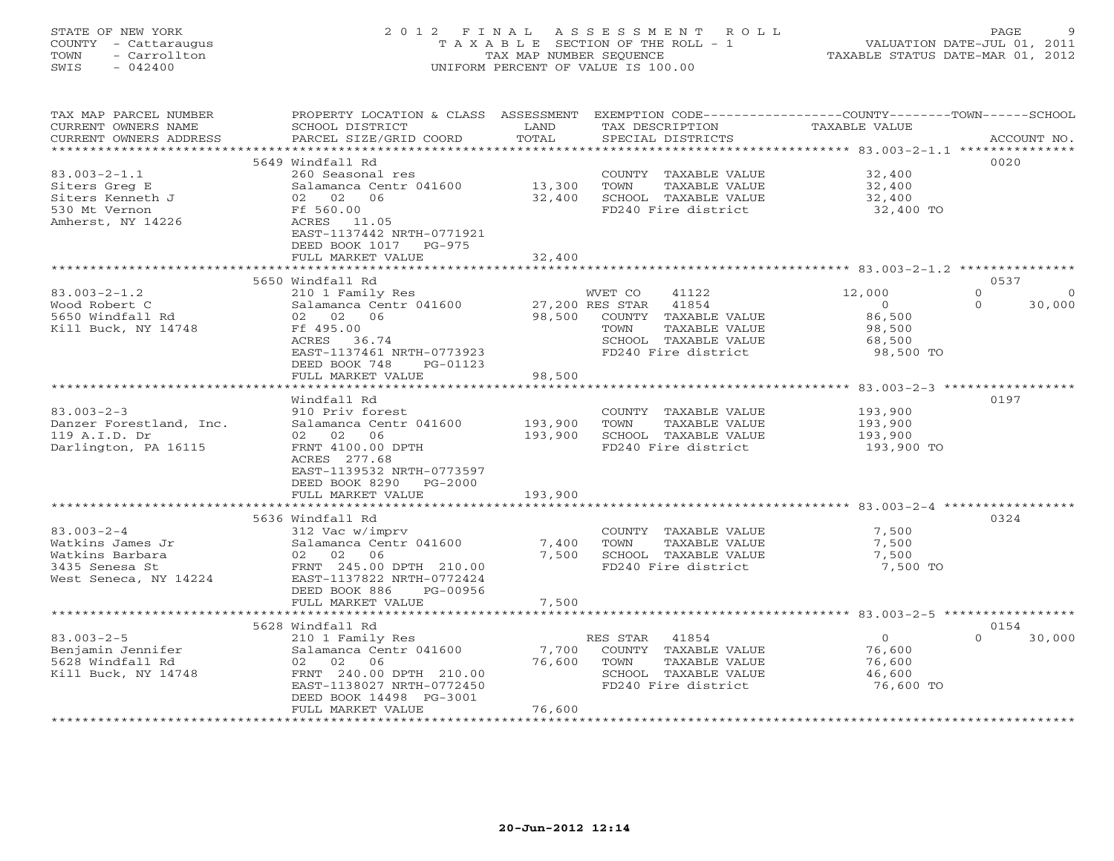### STATE OF NEW YORK 2 0 1 2 F I N A L A S S E S S M E N T R O L L PAGE 9 COUNTY - Cattaraugus T A X A B L E SECTION OF THE ROLL - 1 VALUATION DATE-JUL 01, 2011 TOWN - Carrollton TAX MAP NUMBER SEQUENCE TAXABLE STATUS DATE-MAR 01, 2012 SWIS - 042400 UNIFORM PERCENT OF VALUE IS 100.00UNIFORM PERCENT OF VALUE IS 100.00

| TAXABLE VALUE<br>CURRENT OWNERS NAME<br>SCHOOL DISTRICT<br>LAND<br>TAX DESCRIPTION<br>TOTAL<br>SPECIAL DISTRICTS<br>CURRENT OWNERS ADDRESS<br>PARCEL SIZE/GRID COORD<br>ACCOUNT NO.<br>**********************<br>5649 Windfall Rd<br>0020<br>$83.003 - 2 - 1.1$<br>32,400<br>260 Seasonal res<br>COUNTY TAXABLE VALUE<br>13,300<br>32,400<br>Siters Greg E<br>Salamanca Centr 041600<br>TOWN<br>TAXABLE VALUE<br>Siters Kenneth J<br>02 02 06<br>32,400<br>SCHOOL TAXABLE VALUE<br>32,400<br>530 Mt Vernon<br>FD240 Fire district<br>Ff 560.00<br>32,400 TO<br>Amherst, NY 14226<br>ACRES 11.05<br>EAST-1137442 NRTH-0771921<br>DEED BOOK 1017 PG-975<br>32,400<br>FULL MARKET VALUE<br>0537<br>5650 Windfall Rd<br>$\Omega$<br>$83.003 - 2 - 1.2$<br>210 1 Family Res<br>WVET CO<br>41122<br>12,000<br>$\Omega$<br>41854<br>Salamanca Centr 041600<br>27,200 RES STAR<br>30,000<br>Wood Robert C<br>$\overline{0}$<br>$\Omega$<br>02 02 06<br>COUNTY TAXABLE VALUE<br>5650 Windfall Rd<br>98,500<br>86,500<br>Kill Buck, NY 14748<br>Ff 495.00<br>TAXABLE VALUE<br>98,500<br>TOWN<br>ACRES 36.74<br>SCHOOL TAXABLE VALUE<br>68,500<br>FD240 Fire district<br>EAST-1137461 NRTH-0773923<br>98,500 TO<br>DEED BOOK 748<br>PG-01123<br>98,500<br>FULL MARKET VALUE<br>********************<br>0197<br>Windfall Rd<br>$83.003 - 2 - 3$<br>910 Priv forest<br>COUNTY TAXABLE VALUE<br>193,900<br>193,900<br>Danzer Forestland, Inc.<br>Salamanca Centr 041600<br>TOWN<br>TAXABLE VALUE<br>193,900<br>193,900<br>119 A.I.D. Dr<br>02 02 06<br>SCHOOL TAXABLE VALUE<br>193,900<br>Darlington, PA 16115<br>FRNT 4100.00 DPTH<br>FD240 Fire district<br>193,900 TO<br>ACRES 277.68<br>EAST-1139532 NRTH-0773597<br>DEED BOOK 8290 PG-2000<br>FULL MARKET VALUE<br>193,900<br>5636 Windfall Rd<br>0324<br>$83.003 - 2 - 4$<br>312 Vac w/imprv<br>COUNTY TAXABLE VALUE<br>7,500<br>Salamanca Centr 041600<br>7,400<br>TAXABLE VALUE<br>7,500<br>Watkins James Jr<br>TOWN<br>Watkins Barbara<br>02 02 06<br>7,500<br>SCHOOL TAXABLE VALUE<br>7,500<br>3435 Senesa St<br>FRNT 245.00 DPTH 210.00<br>FD240 Fire district<br>7,500 TO<br>West Seneca, NY 14224<br>EAST-1137822 NRTH-0772424<br>DEED BOOK 886<br>PG-00956<br>7,500<br>FULL MARKET VALUE<br>*********************************<br>5628 Windfall Rd<br>0154<br>$83.003 - 2 - 5$<br>RES STAR 41854<br>$\overline{O}$<br>30,000<br>$\Omega$<br>210 1 Family Res<br>Benjamin Jennifer<br>Salamanca Centr 041600<br>7,700<br>COUNTY TAXABLE VALUE<br>76,600<br>5628 Windfall Rd<br>TAXABLE VALUE<br>02 02 06<br>76,600<br>TOWN<br>76,600<br>Kill Buck, NY 14748<br>FRNT 240.00 DPTH 210.00<br>SCHOOL TAXABLE VALUE<br>46,600<br>EAST-1138027 NRTH-0772450<br>FD240 Fire district<br>76,600 TO<br>DEED BOOK 14498 PG-3001<br>76,600<br>FULL MARKET VALUE | TAX MAP PARCEL NUMBER |  | PROPERTY LOCATION & CLASS ASSESSMENT EXEMPTION CODE---------------COUNTY-------TOWN-----SCHOOL |  |
|---------------------------------------------------------------------------------------------------------------------------------------------------------------------------------------------------------------------------------------------------------------------------------------------------------------------------------------------------------------------------------------------------------------------------------------------------------------------------------------------------------------------------------------------------------------------------------------------------------------------------------------------------------------------------------------------------------------------------------------------------------------------------------------------------------------------------------------------------------------------------------------------------------------------------------------------------------------------------------------------------------------------------------------------------------------------------------------------------------------------------------------------------------------------------------------------------------------------------------------------------------------------------------------------------------------------------------------------------------------------------------------------------------------------------------------------------------------------------------------------------------------------------------------------------------------------------------------------------------------------------------------------------------------------------------------------------------------------------------------------------------------------------------------------------------------------------------------------------------------------------------------------------------------------------------------------------------------------------------------------------------------------------------------------------------------------------------------------------------------------------------------------------------------------------------------------------------------------------------------------------------------------------------------------------------------------------------------------------------------------------------------------------------------------------------------------------------------------------------------------------------------------------------------------------------------------------------------------------------------------------------------------------------------------------------------------------------------------------------------------------------------------------------------------------|-----------------------|--|------------------------------------------------------------------------------------------------|--|
|                                                                                                                                                                                                                                                                                                                                                                                                                                                                                                                                                                                                                                                                                                                                                                                                                                                                                                                                                                                                                                                                                                                                                                                                                                                                                                                                                                                                                                                                                                                                                                                                                                                                                                                                                                                                                                                                                                                                                                                                                                                                                                                                                                                                                                                                                                                                                                                                                                                                                                                                                                                                                                                                                                                                                                                                   |                       |  |                                                                                                |  |
|                                                                                                                                                                                                                                                                                                                                                                                                                                                                                                                                                                                                                                                                                                                                                                                                                                                                                                                                                                                                                                                                                                                                                                                                                                                                                                                                                                                                                                                                                                                                                                                                                                                                                                                                                                                                                                                                                                                                                                                                                                                                                                                                                                                                                                                                                                                                                                                                                                                                                                                                                                                                                                                                                                                                                                                                   |                       |  |                                                                                                |  |
|                                                                                                                                                                                                                                                                                                                                                                                                                                                                                                                                                                                                                                                                                                                                                                                                                                                                                                                                                                                                                                                                                                                                                                                                                                                                                                                                                                                                                                                                                                                                                                                                                                                                                                                                                                                                                                                                                                                                                                                                                                                                                                                                                                                                                                                                                                                                                                                                                                                                                                                                                                                                                                                                                                                                                                                                   |                       |  |                                                                                                |  |
|                                                                                                                                                                                                                                                                                                                                                                                                                                                                                                                                                                                                                                                                                                                                                                                                                                                                                                                                                                                                                                                                                                                                                                                                                                                                                                                                                                                                                                                                                                                                                                                                                                                                                                                                                                                                                                                                                                                                                                                                                                                                                                                                                                                                                                                                                                                                                                                                                                                                                                                                                                                                                                                                                                                                                                                                   |                       |  |                                                                                                |  |
|                                                                                                                                                                                                                                                                                                                                                                                                                                                                                                                                                                                                                                                                                                                                                                                                                                                                                                                                                                                                                                                                                                                                                                                                                                                                                                                                                                                                                                                                                                                                                                                                                                                                                                                                                                                                                                                                                                                                                                                                                                                                                                                                                                                                                                                                                                                                                                                                                                                                                                                                                                                                                                                                                                                                                                                                   |                       |  |                                                                                                |  |
|                                                                                                                                                                                                                                                                                                                                                                                                                                                                                                                                                                                                                                                                                                                                                                                                                                                                                                                                                                                                                                                                                                                                                                                                                                                                                                                                                                                                                                                                                                                                                                                                                                                                                                                                                                                                                                                                                                                                                                                                                                                                                                                                                                                                                                                                                                                                                                                                                                                                                                                                                                                                                                                                                                                                                                                                   |                       |  |                                                                                                |  |
|                                                                                                                                                                                                                                                                                                                                                                                                                                                                                                                                                                                                                                                                                                                                                                                                                                                                                                                                                                                                                                                                                                                                                                                                                                                                                                                                                                                                                                                                                                                                                                                                                                                                                                                                                                                                                                                                                                                                                                                                                                                                                                                                                                                                                                                                                                                                                                                                                                                                                                                                                                                                                                                                                                                                                                                                   |                       |  |                                                                                                |  |
|                                                                                                                                                                                                                                                                                                                                                                                                                                                                                                                                                                                                                                                                                                                                                                                                                                                                                                                                                                                                                                                                                                                                                                                                                                                                                                                                                                                                                                                                                                                                                                                                                                                                                                                                                                                                                                                                                                                                                                                                                                                                                                                                                                                                                                                                                                                                                                                                                                                                                                                                                                                                                                                                                                                                                                                                   |                       |  |                                                                                                |  |
|                                                                                                                                                                                                                                                                                                                                                                                                                                                                                                                                                                                                                                                                                                                                                                                                                                                                                                                                                                                                                                                                                                                                                                                                                                                                                                                                                                                                                                                                                                                                                                                                                                                                                                                                                                                                                                                                                                                                                                                                                                                                                                                                                                                                                                                                                                                                                                                                                                                                                                                                                                                                                                                                                                                                                                                                   |                       |  |                                                                                                |  |
|                                                                                                                                                                                                                                                                                                                                                                                                                                                                                                                                                                                                                                                                                                                                                                                                                                                                                                                                                                                                                                                                                                                                                                                                                                                                                                                                                                                                                                                                                                                                                                                                                                                                                                                                                                                                                                                                                                                                                                                                                                                                                                                                                                                                                                                                                                                                                                                                                                                                                                                                                                                                                                                                                                                                                                                                   |                       |  |                                                                                                |  |
|                                                                                                                                                                                                                                                                                                                                                                                                                                                                                                                                                                                                                                                                                                                                                                                                                                                                                                                                                                                                                                                                                                                                                                                                                                                                                                                                                                                                                                                                                                                                                                                                                                                                                                                                                                                                                                                                                                                                                                                                                                                                                                                                                                                                                                                                                                                                                                                                                                                                                                                                                                                                                                                                                                                                                                                                   |                       |  |                                                                                                |  |
|                                                                                                                                                                                                                                                                                                                                                                                                                                                                                                                                                                                                                                                                                                                                                                                                                                                                                                                                                                                                                                                                                                                                                                                                                                                                                                                                                                                                                                                                                                                                                                                                                                                                                                                                                                                                                                                                                                                                                                                                                                                                                                                                                                                                                                                                                                                                                                                                                                                                                                                                                                                                                                                                                                                                                                                                   |                       |  |                                                                                                |  |
|                                                                                                                                                                                                                                                                                                                                                                                                                                                                                                                                                                                                                                                                                                                                                                                                                                                                                                                                                                                                                                                                                                                                                                                                                                                                                                                                                                                                                                                                                                                                                                                                                                                                                                                                                                                                                                                                                                                                                                                                                                                                                                                                                                                                                                                                                                                                                                                                                                                                                                                                                                                                                                                                                                                                                                                                   |                       |  |                                                                                                |  |
|                                                                                                                                                                                                                                                                                                                                                                                                                                                                                                                                                                                                                                                                                                                                                                                                                                                                                                                                                                                                                                                                                                                                                                                                                                                                                                                                                                                                                                                                                                                                                                                                                                                                                                                                                                                                                                                                                                                                                                                                                                                                                                                                                                                                                                                                                                                                                                                                                                                                                                                                                                                                                                                                                                                                                                                                   |                       |  |                                                                                                |  |
|                                                                                                                                                                                                                                                                                                                                                                                                                                                                                                                                                                                                                                                                                                                                                                                                                                                                                                                                                                                                                                                                                                                                                                                                                                                                                                                                                                                                                                                                                                                                                                                                                                                                                                                                                                                                                                                                                                                                                                                                                                                                                                                                                                                                                                                                                                                                                                                                                                                                                                                                                                                                                                                                                                                                                                                                   |                       |  |                                                                                                |  |
|                                                                                                                                                                                                                                                                                                                                                                                                                                                                                                                                                                                                                                                                                                                                                                                                                                                                                                                                                                                                                                                                                                                                                                                                                                                                                                                                                                                                                                                                                                                                                                                                                                                                                                                                                                                                                                                                                                                                                                                                                                                                                                                                                                                                                                                                                                                                                                                                                                                                                                                                                                                                                                                                                                                                                                                                   |                       |  |                                                                                                |  |
|                                                                                                                                                                                                                                                                                                                                                                                                                                                                                                                                                                                                                                                                                                                                                                                                                                                                                                                                                                                                                                                                                                                                                                                                                                                                                                                                                                                                                                                                                                                                                                                                                                                                                                                                                                                                                                                                                                                                                                                                                                                                                                                                                                                                                                                                                                                                                                                                                                                                                                                                                                                                                                                                                                                                                                                                   |                       |  |                                                                                                |  |
|                                                                                                                                                                                                                                                                                                                                                                                                                                                                                                                                                                                                                                                                                                                                                                                                                                                                                                                                                                                                                                                                                                                                                                                                                                                                                                                                                                                                                                                                                                                                                                                                                                                                                                                                                                                                                                                                                                                                                                                                                                                                                                                                                                                                                                                                                                                                                                                                                                                                                                                                                                                                                                                                                                                                                                                                   |                       |  |                                                                                                |  |
|                                                                                                                                                                                                                                                                                                                                                                                                                                                                                                                                                                                                                                                                                                                                                                                                                                                                                                                                                                                                                                                                                                                                                                                                                                                                                                                                                                                                                                                                                                                                                                                                                                                                                                                                                                                                                                                                                                                                                                                                                                                                                                                                                                                                                                                                                                                                                                                                                                                                                                                                                                                                                                                                                                                                                                                                   |                       |  |                                                                                                |  |
|                                                                                                                                                                                                                                                                                                                                                                                                                                                                                                                                                                                                                                                                                                                                                                                                                                                                                                                                                                                                                                                                                                                                                                                                                                                                                                                                                                                                                                                                                                                                                                                                                                                                                                                                                                                                                                                                                                                                                                                                                                                                                                                                                                                                                                                                                                                                                                                                                                                                                                                                                                                                                                                                                                                                                                                                   |                       |  |                                                                                                |  |
|                                                                                                                                                                                                                                                                                                                                                                                                                                                                                                                                                                                                                                                                                                                                                                                                                                                                                                                                                                                                                                                                                                                                                                                                                                                                                                                                                                                                                                                                                                                                                                                                                                                                                                                                                                                                                                                                                                                                                                                                                                                                                                                                                                                                                                                                                                                                                                                                                                                                                                                                                                                                                                                                                                                                                                                                   |                       |  |                                                                                                |  |
|                                                                                                                                                                                                                                                                                                                                                                                                                                                                                                                                                                                                                                                                                                                                                                                                                                                                                                                                                                                                                                                                                                                                                                                                                                                                                                                                                                                                                                                                                                                                                                                                                                                                                                                                                                                                                                                                                                                                                                                                                                                                                                                                                                                                                                                                                                                                                                                                                                                                                                                                                                                                                                                                                                                                                                                                   |                       |  |                                                                                                |  |
|                                                                                                                                                                                                                                                                                                                                                                                                                                                                                                                                                                                                                                                                                                                                                                                                                                                                                                                                                                                                                                                                                                                                                                                                                                                                                                                                                                                                                                                                                                                                                                                                                                                                                                                                                                                                                                                                                                                                                                                                                                                                                                                                                                                                                                                                                                                                                                                                                                                                                                                                                                                                                                                                                                                                                                                                   |                       |  |                                                                                                |  |
|                                                                                                                                                                                                                                                                                                                                                                                                                                                                                                                                                                                                                                                                                                                                                                                                                                                                                                                                                                                                                                                                                                                                                                                                                                                                                                                                                                                                                                                                                                                                                                                                                                                                                                                                                                                                                                                                                                                                                                                                                                                                                                                                                                                                                                                                                                                                                                                                                                                                                                                                                                                                                                                                                                                                                                                                   |                       |  |                                                                                                |  |
|                                                                                                                                                                                                                                                                                                                                                                                                                                                                                                                                                                                                                                                                                                                                                                                                                                                                                                                                                                                                                                                                                                                                                                                                                                                                                                                                                                                                                                                                                                                                                                                                                                                                                                                                                                                                                                                                                                                                                                                                                                                                                                                                                                                                                                                                                                                                                                                                                                                                                                                                                                                                                                                                                                                                                                                                   |                       |  |                                                                                                |  |
|                                                                                                                                                                                                                                                                                                                                                                                                                                                                                                                                                                                                                                                                                                                                                                                                                                                                                                                                                                                                                                                                                                                                                                                                                                                                                                                                                                                                                                                                                                                                                                                                                                                                                                                                                                                                                                                                                                                                                                                                                                                                                                                                                                                                                                                                                                                                                                                                                                                                                                                                                                                                                                                                                                                                                                                                   |                       |  |                                                                                                |  |
|                                                                                                                                                                                                                                                                                                                                                                                                                                                                                                                                                                                                                                                                                                                                                                                                                                                                                                                                                                                                                                                                                                                                                                                                                                                                                                                                                                                                                                                                                                                                                                                                                                                                                                                                                                                                                                                                                                                                                                                                                                                                                                                                                                                                                                                                                                                                                                                                                                                                                                                                                                                                                                                                                                                                                                                                   |                       |  |                                                                                                |  |
|                                                                                                                                                                                                                                                                                                                                                                                                                                                                                                                                                                                                                                                                                                                                                                                                                                                                                                                                                                                                                                                                                                                                                                                                                                                                                                                                                                                                                                                                                                                                                                                                                                                                                                                                                                                                                                                                                                                                                                                                                                                                                                                                                                                                                                                                                                                                                                                                                                                                                                                                                                                                                                                                                                                                                                                                   |                       |  |                                                                                                |  |
|                                                                                                                                                                                                                                                                                                                                                                                                                                                                                                                                                                                                                                                                                                                                                                                                                                                                                                                                                                                                                                                                                                                                                                                                                                                                                                                                                                                                                                                                                                                                                                                                                                                                                                                                                                                                                                                                                                                                                                                                                                                                                                                                                                                                                                                                                                                                                                                                                                                                                                                                                                                                                                                                                                                                                                                                   |                       |  |                                                                                                |  |
|                                                                                                                                                                                                                                                                                                                                                                                                                                                                                                                                                                                                                                                                                                                                                                                                                                                                                                                                                                                                                                                                                                                                                                                                                                                                                                                                                                                                                                                                                                                                                                                                                                                                                                                                                                                                                                                                                                                                                                                                                                                                                                                                                                                                                                                                                                                                                                                                                                                                                                                                                                                                                                                                                                                                                                                                   |                       |  |                                                                                                |  |
|                                                                                                                                                                                                                                                                                                                                                                                                                                                                                                                                                                                                                                                                                                                                                                                                                                                                                                                                                                                                                                                                                                                                                                                                                                                                                                                                                                                                                                                                                                                                                                                                                                                                                                                                                                                                                                                                                                                                                                                                                                                                                                                                                                                                                                                                                                                                                                                                                                                                                                                                                                                                                                                                                                                                                                                                   |                       |  |                                                                                                |  |
|                                                                                                                                                                                                                                                                                                                                                                                                                                                                                                                                                                                                                                                                                                                                                                                                                                                                                                                                                                                                                                                                                                                                                                                                                                                                                                                                                                                                                                                                                                                                                                                                                                                                                                                                                                                                                                                                                                                                                                                                                                                                                                                                                                                                                                                                                                                                                                                                                                                                                                                                                                                                                                                                                                                                                                                                   |                       |  |                                                                                                |  |
|                                                                                                                                                                                                                                                                                                                                                                                                                                                                                                                                                                                                                                                                                                                                                                                                                                                                                                                                                                                                                                                                                                                                                                                                                                                                                                                                                                                                                                                                                                                                                                                                                                                                                                                                                                                                                                                                                                                                                                                                                                                                                                                                                                                                                                                                                                                                                                                                                                                                                                                                                                                                                                                                                                                                                                                                   |                       |  |                                                                                                |  |
|                                                                                                                                                                                                                                                                                                                                                                                                                                                                                                                                                                                                                                                                                                                                                                                                                                                                                                                                                                                                                                                                                                                                                                                                                                                                                                                                                                                                                                                                                                                                                                                                                                                                                                                                                                                                                                                                                                                                                                                                                                                                                                                                                                                                                                                                                                                                                                                                                                                                                                                                                                                                                                                                                                                                                                                                   |                       |  |                                                                                                |  |
|                                                                                                                                                                                                                                                                                                                                                                                                                                                                                                                                                                                                                                                                                                                                                                                                                                                                                                                                                                                                                                                                                                                                                                                                                                                                                                                                                                                                                                                                                                                                                                                                                                                                                                                                                                                                                                                                                                                                                                                                                                                                                                                                                                                                                                                                                                                                                                                                                                                                                                                                                                                                                                                                                                                                                                                                   |                       |  |                                                                                                |  |
|                                                                                                                                                                                                                                                                                                                                                                                                                                                                                                                                                                                                                                                                                                                                                                                                                                                                                                                                                                                                                                                                                                                                                                                                                                                                                                                                                                                                                                                                                                                                                                                                                                                                                                                                                                                                                                                                                                                                                                                                                                                                                                                                                                                                                                                                                                                                                                                                                                                                                                                                                                                                                                                                                                                                                                                                   |                       |  |                                                                                                |  |
|                                                                                                                                                                                                                                                                                                                                                                                                                                                                                                                                                                                                                                                                                                                                                                                                                                                                                                                                                                                                                                                                                                                                                                                                                                                                                                                                                                                                                                                                                                                                                                                                                                                                                                                                                                                                                                                                                                                                                                                                                                                                                                                                                                                                                                                                                                                                                                                                                                                                                                                                                                                                                                                                                                                                                                                                   |                       |  |                                                                                                |  |
|                                                                                                                                                                                                                                                                                                                                                                                                                                                                                                                                                                                                                                                                                                                                                                                                                                                                                                                                                                                                                                                                                                                                                                                                                                                                                                                                                                                                                                                                                                                                                                                                                                                                                                                                                                                                                                                                                                                                                                                                                                                                                                                                                                                                                                                                                                                                                                                                                                                                                                                                                                                                                                                                                                                                                                                                   |                       |  |                                                                                                |  |
|                                                                                                                                                                                                                                                                                                                                                                                                                                                                                                                                                                                                                                                                                                                                                                                                                                                                                                                                                                                                                                                                                                                                                                                                                                                                                                                                                                                                                                                                                                                                                                                                                                                                                                                                                                                                                                                                                                                                                                                                                                                                                                                                                                                                                                                                                                                                                                                                                                                                                                                                                                                                                                                                                                                                                                                                   |                       |  |                                                                                                |  |
|                                                                                                                                                                                                                                                                                                                                                                                                                                                                                                                                                                                                                                                                                                                                                                                                                                                                                                                                                                                                                                                                                                                                                                                                                                                                                                                                                                                                                                                                                                                                                                                                                                                                                                                                                                                                                                                                                                                                                                                                                                                                                                                                                                                                                                                                                                                                                                                                                                                                                                                                                                                                                                                                                                                                                                                                   |                       |  |                                                                                                |  |
|                                                                                                                                                                                                                                                                                                                                                                                                                                                                                                                                                                                                                                                                                                                                                                                                                                                                                                                                                                                                                                                                                                                                                                                                                                                                                                                                                                                                                                                                                                                                                                                                                                                                                                                                                                                                                                                                                                                                                                                                                                                                                                                                                                                                                                                                                                                                                                                                                                                                                                                                                                                                                                                                                                                                                                                                   |                       |  |                                                                                                |  |
|                                                                                                                                                                                                                                                                                                                                                                                                                                                                                                                                                                                                                                                                                                                                                                                                                                                                                                                                                                                                                                                                                                                                                                                                                                                                                                                                                                                                                                                                                                                                                                                                                                                                                                                                                                                                                                                                                                                                                                                                                                                                                                                                                                                                                                                                                                                                                                                                                                                                                                                                                                                                                                                                                                                                                                                                   |                       |  |                                                                                                |  |
|                                                                                                                                                                                                                                                                                                                                                                                                                                                                                                                                                                                                                                                                                                                                                                                                                                                                                                                                                                                                                                                                                                                                                                                                                                                                                                                                                                                                                                                                                                                                                                                                                                                                                                                                                                                                                                                                                                                                                                                                                                                                                                                                                                                                                                                                                                                                                                                                                                                                                                                                                                                                                                                                                                                                                                                                   |                       |  |                                                                                                |  |
|                                                                                                                                                                                                                                                                                                                                                                                                                                                                                                                                                                                                                                                                                                                                                                                                                                                                                                                                                                                                                                                                                                                                                                                                                                                                                                                                                                                                                                                                                                                                                                                                                                                                                                                                                                                                                                                                                                                                                                                                                                                                                                                                                                                                                                                                                                                                                                                                                                                                                                                                                                                                                                                                                                                                                                                                   |                       |  |                                                                                                |  |
|                                                                                                                                                                                                                                                                                                                                                                                                                                                                                                                                                                                                                                                                                                                                                                                                                                                                                                                                                                                                                                                                                                                                                                                                                                                                                                                                                                                                                                                                                                                                                                                                                                                                                                                                                                                                                                                                                                                                                                                                                                                                                                                                                                                                                                                                                                                                                                                                                                                                                                                                                                                                                                                                                                                                                                                                   |                       |  |                                                                                                |  |
|                                                                                                                                                                                                                                                                                                                                                                                                                                                                                                                                                                                                                                                                                                                                                                                                                                                                                                                                                                                                                                                                                                                                                                                                                                                                                                                                                                                                                                                                                                                                                                                                                                                                                                                                                                                                                                                                                                                                                                                                                                                                                                                                                                                                                                                                                                                                                                                                                                                                                                                                                                                                                                                                                                                                                                                                   |                       |  |                                                                                                |  |
|                                                                                                                                                                                                                                                                                                                                                                                                                                                                                                                                                                                                                                                                                                                                                                                                                                                                                                                                                                                                                                                                                                                                                                                                                                                                                                                                                                                                                                                                                                                                                                                                                                                                                                                                                                                                                                                                                                                                                                                                                                                                                                                                                                                                                                                                                                                                                                                                                                                                                                                                                                                                                                                                                                                                                                                                   |                       |  |                                                                                                |  |
|                                                                                                                                                                                                                                                                                                                                                                                                                                                                                                                                                                                                                                                                                                                                                                                                                                                                                                                                                                                                                                                                                                                                                                                                                                                                                                                                                                                                                                                                                                                                                                                                                                                                                                                                                                                                                                                                                                                                                                                                                                                                                                                                                                                                                                                                                                                                                                                                                                                                                                                                                                                                                                                                                                                                                                                                   |                       |  |                                                                                                |  |
|                                                                                                                                                                                                                                                                                                                                                                                                                                                                                                                                                                                                                                                                                                                                                                                                                                                                                                                                                                                                                                                                                                                                                                                                                                                                                                                                                                                                                                                                                                                                                                                                                                                                                                                                                                                                                                                                                                                                                                                                                                                                                                                                                                                                                                                                                                                                                                                                                                                                                                                                                                                                                                                                                                                                                                                                   |                       |  |                                                                                                |  |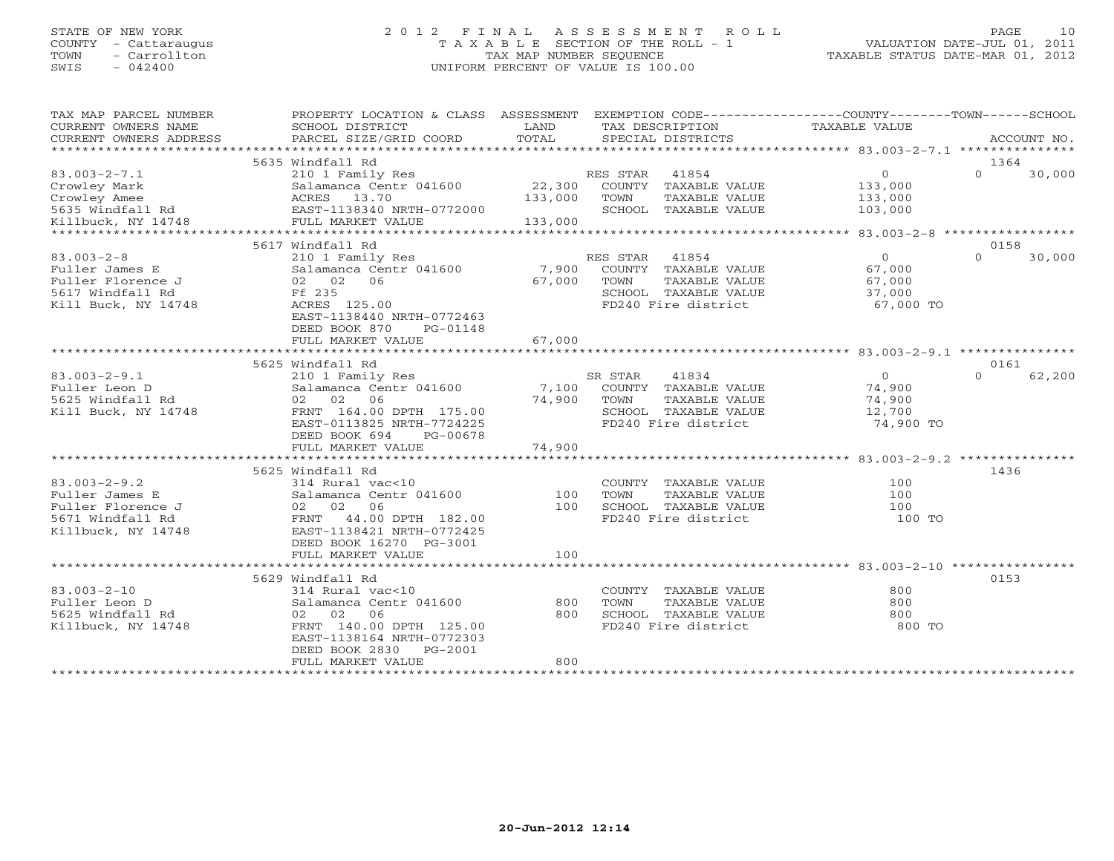## STATE OF NEW YORK 2 0 1 2 F I N A L A S S E S S M E N T R O L L PAGE 10 COUNTY - Cattaraugus T A X A B L E SECTION OF THE ROLL - 1 VALUATION DATE-JUL 01, 2011 TOWN - Carrollton TAX MAP NUMBER SEQUENCE TAXABLE STATUS DATE-MAR 01, 2012 SWIS - 042400 UNIFORM PERCENT OF VALUE IS 100.00UNIFORM PERCENT OF VALUE IS 100.00

| EXEMPTION CODE-----------------COUNTY-------TOWN------SCHOOL<br>PROPERTY LOCATION & CLASS ASSESSMENT<br>CURRENT OWNERS NAME<br>SCHOOL DISTRICT<br>LAND<br>TAXABLE VALUE<br>TAX DESCRIPTION<br>TOTAL<br>PARCEL SIZE/GRID COORD<br>SPECIAL DISTRICTS<br>CURRENT OWNERS ADDRESS<br>ACCOUNT NO.<br>***********************<br>5635 Windfall Rd<br>1364<br>$83.003 - 2 - 7.1$<br>RES STAR<br>41854<br>$\circ$<br>$\Omega$<br>30,000<br>210 1 Family Res<br>22,300<br>Crowley Mark<br>Salamanca Centr 041600<br>COUNTY TAXABLE VALUE<br>133,000<br>Crowley Amee<br>ACRES 13.70<br>133,000<br>TAXABLE VALUE<br>TOWN<br>133,000<br>EAST-1138340 NRTH-0772000<br>SCHOOL TAXABLE VALUE<br>5635 Windfall Rd<br>103,000<br>FULL MARKET VALUE<br>Killbuck, NY 14748<br>133,000<br>****************************<br>*************<br>******************<br>********* 83.003-2-8 ******************<br>5617 Windfall Rd<br>0158<br>$83.003 - 2 - 8$<br>$\Omega$<br>210 1 Family Res<br>RES STAR<br>41854<br>$\Omega$<br>30,000<br>7,900<br>COUNTY TAXABLE VALUE<br>67,000<br>Fuller James E<br>Salamanca Centr 041600<br>02 02 06<br>Fuller Florence J<br>67,000<br>TOWN<br>TAXABLE VALUE<br>67,000<br>5617 Windfall Rd<br>Ff 235<br>SCHOOL TAXABLE VALUE<br>37,000<br>FD240 Fire district<br>Kill Buck, NY 14748<br>ACRES 125.00<br>67,000 TO<br>EAST-1138440 NRTH-0772463<br>DEED BOOK 870<br>PG-01148<br>FULL MARKET VALUE<br>67,000<br>5625 Windfall Rd<br>0161<br>$83.003 - 2 - 9.1$<br>SR STAR<br>41834<br>$\circ$<br>$\Omega$<br>62,200<br>210 1 Family Res<br>7,100<br>Fuller Leon D<br>Salamanca Centr 041600<br>COUNTY TAXABLE VALUE<br>74,900<br>02 02 06<br>5625 Windfall Rd<br>74,900<br>TOWN<br>TAXABLE VALUE<br>74,900<br>Kill Buck, NY 14748<br>FRNT 164.00 DPTH 175.00<br>SCHOOL TAXABLE VALUE<br>12,700<br>EAST-0113825 NRTH-7724225<br>FD240 Fire district<br>74,900 TO<br>DEED BOOK 694<br>PG-00678<br>74,900<br>FULL MARKET VALUE<br>5625 Windfall Rd<br>1436<br>$83.003 - 2 - 9.2$<br>100<br>314 Rural vac<10<br>COUNTY TAXABLE VALUE<br>Fuller James E<br>Salamanca Centr 041600<br>100<br>TOWN<br>TAXABLE VALUE<br>100<br>06<br>Fuller Florence J<br>02 02<br>SCHOOL TAXABLE VALUE<br>100<br>100<br>FD240 Fire district<br>5671 Windfall Rd<br>FRNT<br>44.00 DPTH 182.00<br>100 TO<br>Killbuck, NY 14748<br>EAST-1138421 NRTH-0772425<br>DEED BOOK 16270 PG-3001<br>FULL MARKET VALUE<br>100<br>0153<br>5629 Windfall Rd<br>$83.003 - 2 - 10$<br>800<br>$314$ Rural vac<10<br>COUNTY TAXABLE VALUE<br>800<br>Salamanca Centr 041600<br>800<br>TOWN<br>TAXABLE VALUE<br>Fuller Leon D<br>06<br>SCHOOL TAXABLE VALUE<br>800<br>5625 Windfall Rd<br>02<br>02<br>800<br>Killbuck, NY 14748<br>FRNT 140.00 DPTH 125.00<br>FD240 Fire district<br>800 TO<br>EAST-1138164 NRTH-0772303<br>DEED BOOK 2830<br>PG-2001<br>FULL MARKET VALUE<br>800<br>********************* |                       |  |  |  |
|---------------------------------------------------------------------------------------------------------------------------------------------------------------------------------------------------------------------------------------------------------------------------------------------------------------------------------------------------------------------------------------------------------------------------------------------------------------------------------------------------------------------------------------------------------------------------------------------------------------------------------------------------------------------------------------------------------------------------------------------------------------------------------------------------------------------------------------------------------------------------------------------------------------------------------------------------------------------------------------------------------------------------------------------------------------------------------------------------------------------------------------------------------------------------------------------------------------------------------------------------------------------------------------------------------------------------------------------------------------------------------------------------------------------------------------------------------------------------------------------------------------------------------------------------------------------------------------------------------------------------------------------------------------------------------------------------------------------------------------------------------------------------------------------------------------------------------------------------------------------------------------------------------------------------------------------------------------------------------------------------------------------------------------------------------------------------------------------------------------------------------------------------------------------------------------------------------------------------------------------------------------------------------------------------------------------------------------------------------------------------------------------------------------------------------------------------------------------------------------------------------------------------------------------------------------------------------------------------------------------------------------------------------------------------------------------------------------------------------------------------------------------------------------------------------------------------------------------------------------------------|-----------------------|--|--|--|
|                                                                                                                                                                                                                                                                                                                                                                                                                                                                                                                                                                                                                                                                                                                                                                                                                                                                                                                                                                                                                                                                                                                                                                                                                                                                                                                                                                                                                                                                                                                                                                                                                                                                                                                                                                                                                                                                                                                                                                                                                                                                                                                                                                                                                                                                                                                                                                                                                                                                                                                                                                                                                                                                                                                                                                                                                                                                           | TAX MAP PARCEL NUMBER |  |  |  |
|                                                                                                                                                                                                                                                                                                                                                                                                                                                                                                                                                                                                                                                                                                                                                                                                                                                                                                                                                                                                                                                                                                                                                                                                                                                                                                                                                                                                                                                                                                                                                                                                                                                                                                                                                                                                                                                                                                                                                                                                                                                                                                                                                                                                                                                                                                                                                                                                                                                                                                                                                                                                                                                                                                                                                                                                                                                                           |                       |  |  |  |
|                                                                                                                                                                                                                                                                                                                                                                                                                                                                                                                                                                                                                                                                                                                                                                                                                                                                                                                                                                                                                                                                                                                                                                                                                                                                                                                                                                                                                                                                                                                                                                                                                                                                                                                                                                                                                                                                                                                                                                                                                                                                                                                                                                                                                                                                                                                                                                                                                                                                                                                                                                                                                                                                                                                                                                                                                                                                           |                       |  |  |  |
|                                                                                                                                                                                                                                                                                                                                                                                                                                                                                                                                                                                                                                                                                                                                                                                                                                                                                                                                                                                                                                                                                                                                                                                                                                                                                                                                                                                                                                                                                                                                                                                                                                                                                                                                                                                                                                                                                                                                                                                                                                                                                                                                                                                                                                                                                                                                                                                                                                                                                                                                                                                                                                                                                                                                                                                                                                                                           |                       |  |  |  |
|                                                                                                                                                                                                                                                                                                                                                                                                                                                                                                                                                                                                                                                                                                                                                                                                                                                                                                                                                                                                                                                                                                                                                                                                                                                                                                                                                                                                                                                                                                                                                                                                                                                                                                                                                                                                                                                                                                                                                                                                                                                                                                                                                                                                                                                                                                                                                                                                                                                                                                                                                                                                                                                                                                                                                                                                                                                                           |                       |  |  |  |
|                                                                                                                                                                                                                                                                                                                                                                                                                                                                                                                                                                                                                                                                                                                                                                                                                                                                                                                                                                                                                                                                                                                                                                                                                                                                                                                                                                                                                                                                                                                                                                                                                                                                                                                                                                                                                                                                                                                                                                                                                                                                                                                                                                                                                                                                                                                                                                                                                                                                                                                                                                                                                                                                                                                                                                                                                                                                           |                       |  |  |  |
|                                                                                                                                                                                                                                                                                                                                                                                                                                                                                                                                                                                                                                                                                                                                                                                                                                                                                                                                                                                                                                                                                                                                                                                                                                                                                                                                                                                                                                                                                                                                                                                                                                                                                                                                                                                                                                                                                                                                                                                                                                                                                                                                                                                                                                                                                                                                                                                                                                                                                                                                                                                                                                                                                                                                                                                                                                                                           |                       |  |  |  |
|                                                                                                                                                                                                                                                                                                                                                                                                                                                                                                                                                                                                                                                                                                                                                                                                                                                                                                                                                                                                                                                                                                                                                                                                                                                                                                                                                                                                                                                                                                                                                                                                                                                                                                                                                                                                                                                                                                                                                                                                                                                                                                                                                                                                                                                                                                                                                                                                                                                                                                                                                                                                                                                                                                                                                                                                                                                                           |                       |  |  |  |
|                                                                                                                                                                                                                                                                                                                                                                                                                                                                                                                                                                                                                                                                                                                                                                                                                                                                                                                                                                                                                                                                                                                                                                                                                                                                                                                                                                                                                                                                                                                                                                                                                                                                                                                                                                                                                                                                                                                                                                                                                                                                                                                                                                                                                                                                                                                                                                                                                                                                                                                                                                                                                                                                                                                                                                                                                                                                           |                       |  |  |  |
|                                                                                                                                                                                                                                                                                                                                                                                                                                                                                                                                                                                                                                                                                                                                                                                                                                                                                                                                                                                                                                                                                                                                                                                                                                                                                                                                                                                                                                                                                                                                                                                                                                                                                                                                                                                                                                                                                                                                                                                                                                                                                                                                                                                                                                                                                                                                                                                                                                                                                                                                                                                                                                                                                                                                                                                                                                                                           |                       |  |  |  |
|                                                                                                                                                                                                                                                                                                                                                                                                                                                                                                                                                                                                                                                                                                                                                                                                                                                                                                                                                                                                                                                                                                                                                                                                                                                                                                                                                                                                                                                                                                                                                                                                                                                                                                                                                                                                                                                                                                                                                                                                                                                                                                                                                                                                                                                                                                                                                                                                                                                                                                                                                                                                                                                                                                                                                                                                                                                                           |                       |  |  |  |
|                                                                                                                                                                                                                                                                                                                                                                                                                                                                                                                                                                                                                                                                                                                                                                                                                                                                                                                                                                                                                                                                                                                                                                                                                                                                                                                                                                                                                                                                                                                                                                                                                                                                                                                                                                                                                                                                                                                                                                                                                                                                                                                                                                                                                                                                                                                                                                                                                                                                                                                                                                                                                                                                                                                                                                                                                                                                           |                       |  |  |  |
|                                                                                                                                                                                                                                                                                                                                                                                                                                                                                                                                                                                                                                                                                                                                                                                                                                                                                                                                                                                                                                                                                                                                                                                                                                                                                                                                                                                                                                                                                                                                                                                                                                                                                                                                                                                                                                                                                                                                                                                                                                                                                                                                                                                                                                                                                                                                                                                                                                                                                                                                                                                                                                                                                                                                                                                                                                                                           |                       |  |  |  |
|                                                                                                                                                                                                                                                                                                                                                                                                                                                                                                                                                                                                                                                                                                                                                                                                                                                                                                                                                                                                                                                                                                                                                                                                                                                                                                                                                                                                                                                                                                                                                                                                                                                                                                                                                                                                                                                                                                                                                                                                                                                                                                                                                                                                                                                                                                                                                                                                                                                                                                                                                                                                                                                                                                                                                                                                                                                                           |                       |  |  |  |
|                                                                                                                                                                                                                                                                                                                                                                                                                                                                                                                                                                                                                                                                                                                                                                                                                                                                                                                                                                                                                                                                                                                                                                                                                                                                                                                                                                                                                                                                                                                                                                                                                                                                                                                                                                                                                                                                                                                                                                                                                                                                                                                                                                                                                                                                                                                                                                                                                                                                                                                                                                                                                                                                                                                                                                                                                                                                           |                       |  |  |  |
|                                                                                                                                                                                                                                                                                                                                                                                                                                                                                                                                                                                                                                                                                                                                                                                                                                                                                                                                                                                                                                                                                                                                                                                                                                                                                                                                                                                                                                                                                                                                                                                                                                                                                                                                                                                                                                                                                                                                                                                                                                                                                                                                                                                                                                                                                                                                                                                                                                                                                                                                                                                                                                                                                                                                                                                                                                                                           |                       |  |  |  |
|                                                                                                                                                                                                                                                                                                                                                                                                                                                                                                                                                                                                                                                                                                                                                                                                                                                                                                                                                                                                                                                                                                                                                                                                                                                                                                                                                                                                                                                                                                                                                                                                                                                                                                                                                                                                                                                                                                                                                                                                                                                                                                                                                                                                                                                                                                                                                                                                                                                                                                                                                                                                                                                                                                                                                                                                                                                                           |                       |  |  |  |
|                                                                                                                                                                                                                                                                                                                                                                                                                                                                                                                                                                                                                                                                                                                                                                                                                                                                                                                                                                                                                                                                                                                                                                                                                                                                                                                                                                                                                                                                                                                                                                                                                                                                                                                                                                                                                                                                                                                                                                                                                                                                                                                                                                                                                                                                                                                                                                                                                                                                                                                                                                                                                                                                                                                                                                                                                                                                           |                       |  |  |  |
|                                                                                                                                                                                                                                                                                                                                                                                                                                                                                                                                                                                                                                                                                                                                                                                                                                                                                                                                                                                                                                                                                                                                                                                                                                                                                                                                                                                                                                                                                                                                                                                                                                                                                                                                                                                                                                                                                                                                                                                                                                                                                                                                                                                                                                                                                                                                                                                                                                                                                                                                                                                                                                                                                                                                                                                                                                                                           |                       |  |  |  |
|                                                                                                                                                                                                                                                                                                                                                                                                                                                                                                                                                                                                                                                                                                                                                                                                                                                                                                                                                                                                                                                                                                                                                                                                                                                                                                                                                                                                                                                                                                                                                                                                                                                                                                                                                                                                                                                                                                                                                                                                                                                                                                                                                                                                                                                                                                                                                                                                                                                                                                                                                                                                                                                                                                                                                                                                                                                                           |                       |  |  |  |
|                                                                                                                                                                                                                                                                                                                                                                                                                                                                                                                                                                                                                                                                                                                                                                                                                                                                                                                                                                                                                                                                                                                                                                                                                                                                                                                                                                                                                                                                                                                                                                                                                                                                                                                                                                                                                                                                                                                                                                                                                                                                                                                                                                                                                                                                                                                                                                                                                                                                                                                                                                                                                                                                                                                                                                                                                                                                           |                       |  |  |  |
|                                                                                                                                                                                                                                                                                                                                                                                                                                                                                                                                                                                                                                                                                                                                                                                                                                                                                                                                                                                                                                                                                                                                                                                                                                                                                                                                                                                                                                                                                                                                                                                                                                                                                                                                                                                                                                                                                                                                                                                                                                                                                                                                                                                                                                                                                                                                                                                                                                                                                                                                                                                                                                                                                                                                                                                                                                                                           |                       |  |  |  |
|                                                                                                                                                                                                                                                                                                                                                                                                                                                                                                                                                                                                                                                                                                                                                                                                                                                                                                                                                                                                                                                                                                                                                                                                                                                                                                                                                                                                                                                                                                                                                                                                                                                                                                                                                                                                                                                                                                                                                                                                                                                                                                                                                                                                                                                                                                                                                                                                                                                                                                                                                                                                                                                                                                                                                                                                                                                                           |                       |  |  |  |
|                                                                                                                                                                                                                                                                                                                                                                                                                                                                                                                                                                                                                                                                                                                                                                                                                                                                                                                                                                                                                                                                                                                                                                                                                                                                                                                                                                                                                                                                                                                                                                                                                                                                                                                                                                                                                                                                                                                                                                                                                                                                                                                                                                                                                                                                                                                                                                                                                                                                                                                                                                                                                                                                                                                                                                                                                                                                           |                       |  |  |  |
|                                                                                                                                                                                                                                                                                                                                                                                                                                                                                                                                                                                                                                                                                                                                                                                                                                                                                                                                                                                                                                                                                                                                                                                                                                                                                                                                                                                                                                                                                                                                                                                                                                                                                                                                                                                                                                                                                                                                                                                                                                                                                                                                                                                                                                                                                                                                                                                                                                                                                                                                                                                                                                                                                                                                                                                                                                                                           |                       |  |  |  |
|                                                                                                                                                                                                                                                                                                                                                                                                                                                                                                                                                                                                                                                                                                                                                                                                                                                                                                                                                                                                                                                                                                                                                                                                                                                                                                                                                                                                                                                                                                                                                                                                                                                                                                                                                                                                                                                                                                                                                                                                                                                                                                                                                                                                                                                                                                                                                                                                                                                                                                                                                                                                                                                                                                                                                                                                                                                                           |                       |  |  |  |
|                                                                                                                                                                                                                                                                                                                                                                                                                                                                                                                                                                                                                                                                                                                                                                                                                                                                                                                                                                                                                                                                                                                                                                                                                                                                                                                                                                                                                                                                                                                                                                                                                                                                                                                                                                                                                                                                                                                                                                                                                                                                                                                                                                                                                                                                                                                                                                                                                                                                                                                                                                                                                                                                                                                                                                                                                                                                           |                       |  |  |  |
|                                                                                                                                                                                                                                                                                                                                                                                                                                                                                                                                                                                                                                                                                                                                                                                                                                                                                                                                                                                                                                                                                                                                                                                                                                                                                                                                                                                                                                                                                                                                                                                                                                                                                                                                                                                                                                                                                                                                                                                                                                                                                                                                                                                                                                                                                                                                                                                                                                                                                                                                                                                                                                                                                                                                                                                                                                                                           |                       |  |  |  |
|                                                                                                                                                                                                                                                                                                                                                                                                                                                                                                                                                                                                                                                                                                                                                                                                                                                                                                                                                                                                                                                                                                                                                                                                                                                                                                                                                                                                                                                                                                                                                                                                                                                                                                                                                                                                                                                                                                                                                                                                                                                                                                                                                                                                                                                                                                                                                                                                                                                                                                                                                                                                                                                                                                                                                                                                                                                                           |                       |  |  |  |
|                                                                                                                                                                                                                                                                                                                                                                                                                                                                                                                                                                                                                                                                                                                                                                                                                                                                                                                                                                                                                                                                                                                                                                                                                                                                                                                                                                                                                                                                                                                                                                                                                                                                                                                                                                                                                                                                                                                                                                                                                                                                                                                                                                                                                                                                                                                                                                                                                                                                                                                                                                                                                                                                                                                                                                                                                                                                           |                       |  |  |  |
|                                                                                                                                                                                                                                                                                                                                                                                                                                                                                                                                                                                                                                                                                                                                                                                                                                                                                                                                                                                                                                                                                                                                                                                                                                                                                                                                                                                                                                                                                                                                                                                                                                                                                                                                                                                                                                                                                                                                                                                                                                                                                                                                                                                                                                                                                                                                                                                                                                                                                                                                                                                                                                                                                                                                                                                                                                                                           |                       |  |  |  |
|                                                                                                                                                                                                                                                                                                                                                                                                                                                                                                                                                                                                                                                                                                                                                                                                                                                                                                                                                                                                                                                                                                                                                                                                                                                                                                                                                                                                                                                                                                                                                                                                                                                                                                                                                                                                                                                                                                                                                                                                                                                                                                                                                                                                                                                                                                                                                                                                                                                                                                                                                                                                                                                                                                                                                                                                                                                                           |                       |  |  |  |
|                                                                                                                                                                                                                                                                                                                                                                                                                                                                                                                                                                                                                                                                                                                                                                                                                                                                                                                                                                                                                                                                                                                                                                                                                                                                                                                                                                                                                                                                                                                                                                                                                                                                                                                                                                                                                                                                                                                                                                                                                                                                                                                                                                                                                                                                                                                                                                                                                                                                                                                                                                                                                                                                                                                                                                                                                                                                           |                       |  |  |  |
|                                                                                                                                                                                                                                                                                                                                                                                                                                                                                                                                                                                                                                                                                                                                                                                                                                                                                                                                                                                                                                                                                                                                                                                                                                                                                                                                                                                                                                                                                                                                                                                                                                                                                                                                                                                                                                                                                                                                                                                                                                                                                                                                                                                                                                                                                                                                                                                                                                                                                                                                                                                                                                                                                                                                                                                                                                                                           |                       |  |  |  |
|                                                                                                                                                                                                                                                                                                                                                                                                                                                                                                                                                                                                                                                                                                                                                                                                                                                                                                                                                                                                                                                                                                                                                                                                                                                                                                                                                                                                                                                                                                                                                                                                                                                                                                                                                                                                                                                                                                                                                                                                                                                                                                                                                                                                                                                                                                                                                                                                                                                                                                                                                                                                                                                                                                                                                                                                                                                                           |                       |  |  |  |
|                                                                                                                                                                                                                                                                                                                                                                                                                                                                                                                                                                                                                                                                                                                                                                                                                                                                                                                                                                                                                                                                                                                                                                                                                                                                                                                                                                                                                                                                                                                                                                                                                                                                                                                                                                                                                                                                                                                                                                                                                                                                                                                                                                                                                                                                                                                                                                                                                                                                                                                                                                                                                                                                                                                                                                                                                                                                           |                       |  |  |  |
|                                                                                                                                                                                                                                                                                                                                                                                                                                                                                                                                                                                                                                                                                                                                                                                                                                                                                                                                                                                                                                                                                                                                                                                                                                                                                                                                                                                                                                                                                                                                                                                                                                                                                                                                                                                                                                                                                                                                                                                                                                                                                                                                                                                                                                                                                                                                                                                                                                                                                                                                                                                                                                                                                                                                                                                                                                                                           |                       |  |  |  |
|                                                                                                                                                                                                                                                                                                                                                                                                                                                                                                                                                                                                                                                                                                                                                                                                                                                                                                                                                                                                                                                                                                                                                                                                                                                                                                                                                                                                                                                                                                                                                                                                                                                                                                                                                                                                                                                                                                                                                                                                                                                                                                                                                                                                                                                                                                                                                                                                                                                                                                                                                                                                                                                                                                                                                                                                                                                                           |                       |  |  |  |
|                                                                                                                                                                                                                                                                                                                                                                                                                                                                                                                                                                                                                                                                                                                                                                                                                                                                                                                                                                                                                                                                                                                                                                                                                                                                                                                                                                                                                                                                                                                                                                                                                                                                                                                                                                                                                                                                                                                                                                                                                                                                                                                                                                                                                                                                                                                                                                                                                                                                                                                                                                                                                                                                                                                                                                                                                                                                           |                       |  |  |  |
|                                                                                                                                                                                                                                                                                                                                                                                                                                                                                                                                                                                                                                                                                                                                                                                                                                                                                                                                                                                                                                                                                                                                                                                                                                                                                                                                                                                                                                                                                                                                                                                                                                                                                                                                                                                                                                                                                                                                                                                                                                                                                                                                                                                                                                                                                                                                                                                                                                                                                                                                                                                                                                                                                                                                                                                                                                                                           |                       |  |  |  |
|                                                                                                                                                                                                                                                                                                                                                                                                                                                                                                                                                                                                                                                                                                                                                                                                                                                                                                                                                                                                                                                                                                                                                                                                                                                                                                                                                                                                                                                                                                                                                                                                                                                                                                                                                                                                                                                                                                                                                                                                                                                                                                                                                                                                                                                                                                                                                                                                                                                                                                                                                                                                                                                                                                                                                                                                                                                                           |                       |  |  |  |
|                                                                                                                                                                                                                                                                                                                                                                                                                                                                                                                                                                                                                                                                                                                                                                                                                                                                                                                                                                                                                                                                                                                                                                                                                                                                                                                                                                                                                                                                                                                                                                                                                                                                                                                                                                                                                                                                                                                                                                                                                                                                                                                                                                                                                                                                                                                                                                                                                                                                                                                                                                                                                                                                                                                                                                                                                                                                           |                       |  |  |  |
|                                                                                                                                                                                                                                                                                                                                                                                                                                                                                                                                                                                                                                                                                                                                                                                                                                                                                                                                                                                                                                                                                                                                                                                                                                                                                                                                                                                                                                                                                                                                                                                                                                                                                                                                                                                                                                                                                                                                                                                                                                                                                                                                                                                                                                                                                                                                                                                                                                                                                                                                                                                                                                                                                                                                                                                                                                                                           |                       |  |  |  |
|                                                                                                                                                                                                                                                                                                                                                                                                                                                                                                                                                                                                                                                                                                                                                                                                                                                                                                                                                                                                                                                                                                                                                                                                                                                                                                                                                                                                                                                                                                                                                                                                                                                                                                                                                                                                                                                                                                                                                                                                                                                                                                                                                                                                                                                                                                                                                                                                                                                                                                                                                                                                                                                                                                                                                                                                                                                                           |                       |  |  |  |
|                                                                                                                                                                                                                                                                                                                                                                                                                                                                                                                                                                                                                                                                                                                                                                                                                                                                                                                                                                                                                                                                                                                                                                                                                                                                                                                                                                                                                                                                                                                                                                                                                                                                                                                                                                                                                                                                                                                                                                                                                                                                                                                                                                                                                                                                                                                                                                                                                                                                                                                                                                                                                                                                                                                                                                                                                                                                           |                       |  |  |  |
|                                                                                                                                                                                                                                                                                                                                                                                                                                                                                                                                                                                                                                                                                                                                                                                                                                                                                                                                                                                                                                                                                                                                                                                                                                                                                                                                                                                                                                                                                                                                                                                                                                                                                                                                                                                                                                                                                                                                                                                                                                                                                                                                                                                                                                                                                                                                                                                                                                                                                                                                                                                                                                                                                                                                                                                                                                                                           |                       |  |  |  |
|                                                                                                                                                                                                                                                                                                                                                                                                                                                                                                                                                                                                                                                                                                                                                                                                                                                                                                                                                                                                                                                                                                                                                                                                                                                                                                                                                                                                                                                                                                                                                                                                                                                                                                                                                                                                                                                                                                                                                                                                                                                                                                                                                                                                                                                                                                                                                                                                                                                                                                                                                                                                                                                                                                                                                                                                                                                                           |                       |  |  |  |
|                                                                                                                                                                                                                                                                                                                                                                                                                                                                                                                                                                                                                                                                                                                                                                                                                                                                                                                                                                                                                                                                                                                                                                                                                                                                                                                                                                                                                                                                                                                                                                                                                                                                                                                                                                                                                                                                                                                                                                                                                                                                                                                                                                                                                                                                                                                                                                                                                                                                                                                                                                                                                                                                                                                                                                                                                                                                           |                       |  |  |  |
|                                                                                                                                                                                                                                                                                                                                                                                                                                                                                                                                                                                                                                                                                                                                                                                                                                                                                                                                                                                                                                                                                                                                                                                                                                                                                                                                                                                                                                                                                                                                                                                                                                                                                                                                                                                                                                                                                                                                                                                                                                                                                                                                                                                                                                                                                                                                                                                                                                                                                                                                                                                                                                                                                                                                                                                                                                                                           |                       |  |  |  |
|                                                                                                                                                                                                                                                                                                                                                                                                                                                                                                                                                                                                                                                                                                                                                                                                                                                                                                                                                                                                                                                                                                                                                                                                                                                                                                                                                                                                                                                                                                                                                                                                                                                                                                                                                                                                                                                                                                                                                                                                                                                                                                                                                                                                                                                                                                                                                                                                                                                                                                                                                                                                                                                                                                                                                                                                                                                                           |                       |  |  |  |
|                                                                                                                                                                                                                                                                                                                                                                                                                                                                                                                                                                                                                                                                                                                                                                                                                                                                                                                                                                                                                                                                                                                                                                                                                                                                                                                                                                                                                                                                                                                                                                                                                                                                                                                                                                                                                                                                                                                                                                                                                                                                                                                                                                                                                                                                                                                                                                                                                                                                                                                                                                                                                                                                                                                                                                                                                                                                           |                       |  |  |  |
|                                                                                                                                                                                                                                                                                                                                                                                                                                                                                                                                                                                                                                                                                                                                                                                                                                                                                                                                                                                                                                                                                                                                                                                                                                                                                                                                                                                                                                                                                                                                                                                                                                                                                                                                                                                                                                                                                                                                                                                                                                                                                                                                                                                                                                                                                                                                                                                                                                                                                                                                                                                                                                                                                                                                                                                                                                                                           |                       |  |  |  |
|                                                                                                                                                                                                                                                                                                                                                                                                                                                                                                                                                                                                                                                                                                                                                                                                                                                                                                                                                                                                                                                                                                                                                                                                                                                                                                                                                                                                                                                                                                                                                                                                                                                                                                                                                                                                                                                                                                                                                                                                                                                                                                                                                                                                                                                                                                                                                                                                                                                                                                                                                                                                                                                                                                                                                                                                                                                                           |                       |  |  |  |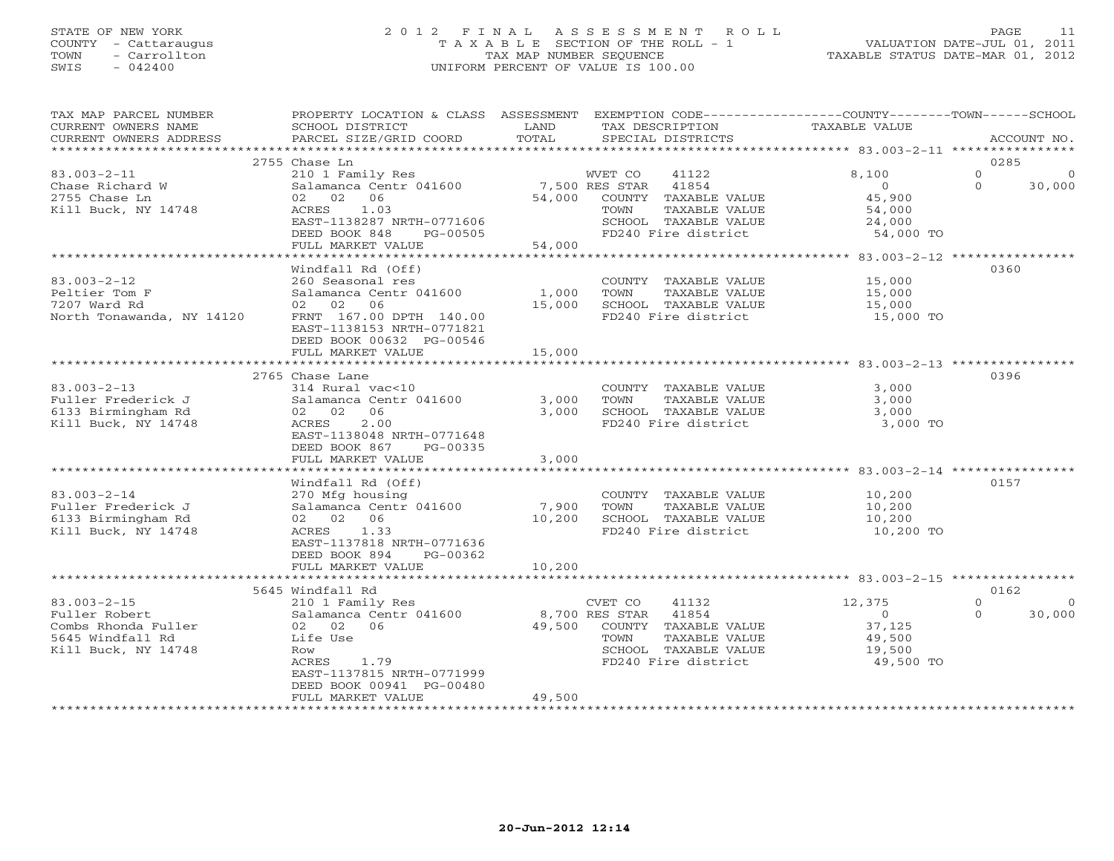## STATE OF NEW YORK 2 0 1 2 F I N A L A S S E S S M E N T R O L L PAGE 11 COUNTY - Cattaraugus T A X A B L E SECTION OF THE ROLL - 1 VALUATION DATE-JUL 01, 2011 TOWN - Carrollton TAX MAP NUMBER SEQUENCE TAXABLE STATUS DATE-MAR 01, 2012 SWIS - 042400 UNIFORM PERCENT OF VALUE IS 100.00UNIFORM PERCENT OF VALUE IS 100.00

| TAX MAP PARCEL NUMBER<br>CURRENT OWNERS NAME<br>CURRENT OWNERS ADDRESS                               | SCHOOL DISTRICT<br>PARCEL SIZE/GRID COORD                                                                                                                                                    | LAND<br>TAX DESCRIPTION<br>TOTAL<br>SPECIAL DISTRICTS                                                                                                           | PROPERTY LOCATION & CLASS ASSESSMENT EXEMPTION CODE---------------COUNTY-------TOWN------SCHOOL<br>TAXABLE VALUE<br>ACCOUNT NO. |
|------------------------------------------------------------------------------------------------------|----------------------------------------------------------------------------------------------------------------------------------------------------------------------------------------------|-----------------------------------------------------------------------------------------------------------------------------------------------------------------|---------------------------------------------------------------------------------------------------------------------------------|
|                                                                                                      |                                                                                                                                                                                              |                                                                                                                                                                 |                                                                                                                                 |
| $83.003 - 2 - 11$<br>Chase Richard W<br>2755 Chase Ln<br>Kill Buck, NY 14748                         | 2755 Chase Ln<br>210 1 Family Res<br>Salamanca Centr 041600<br>02 02 06<br>1.03<br>ACRES<br>EAST-1138287 NRTH-0771606                                                                        | WVET CO<br>41122<br>7,500 RES STAR 41854<br>54,000<br>COUNTY TAXABLE VALUE<br>TAXABLE VALUE<br>TOWN<br>SCHOOL TAXABLE VALUE                                     | 0285<br>8,100<br>$\Omega$<br>$\overline{0}$<br>$\Omega$<br>30,000<br>45,900<br>54,000<br>24,000                                 |
|                                                                                                      | DEED BOOK 848<br>PG-00505                                                                                                                                                                    | FD240 Fire district                                                                                                                                             | 54,000 TO                                                                                                                       |
|                                                                                                      | FULL MARKET VALUE                                                                                                                                                                            | 54,000                                                                                                                                                          |                                                                                                                                 |
| $83.003 - 2 - 12$<br>Peltier Tom F<br>7207 Ward Rd<br>North Tonawanda, NY 14120                      | Windfall Rd (Off)<br>260 Seasonal res<br>Salamanca Centr 041600<br>02 02 06<br>FRNT 167.00 DPTH 140.00<br>EAST-1138153 NRTH-0771821<br>DEED BOOK 00632 PG-00546<br>FULL MARKET VALUE         | COUNTY TAXABLE VALUE<br>1,000<br>TOWN<br>TAXABLE VALUE<br>15,000<br>SCHOOL TAXABLE VALUE<br>FD240 Fire district<br>15,000                                       | 0360<br>15,000<br>15,000<br>15,000<br>15,000 TO                                                                                 |
|                                                                                                      |                                                                                                                                                                                              |                                                                                                                                                                 | 0396                                                                                                                            |
| $83.003 - 2 - 13$<br>Fuller Frederick J<br>6133 Birmingham Rd<br>Kill Buck, NY 14748                 | 2765 Chase Lane<br>314 Rural vac<10<br>Salamanca Centr 041600<br>02 02 06<br>2.00<br>ACRES<br>EAST-1138048 NRTH-0771648<br>DEED BOOK 867<br>PG-00335<br>FULL MARKET VALUE                    | COUNTY TAXABLE VALUE<br>3,000<br>TOWN<br>TAXABLE VALUE<br>3,000<br>SCHOOL TAXABLE VALUE<br>FD240 Fire district<br>3,000                                         | 3,000<br>3.000<br>3,000<br>3,000 TO                                                                                             |
|                                                                                                      | Windfall Rd (Off)                                                                                                                                                                            |                                                                                                                                                                 | 0157                                                                                                                            |
| $83.003 - 2 - 14$<br>Fuller Frederick J<br>6133 Birmingham Rd<br>Kill Buck, NY 14748                 | 270 Mfg housing<br>Salamanca Centr 041600<br>02 02 06<br>ACRES 1.33<br>EAST-1137818 NRTH-0771636<br>DEED BOOK 894<br>PG-00362<br>FULL MARKET VALUE                                           | COUNTY TAXABLE VALUE<br>7,900<br>TAXABLE VALUE<br>TOWN<br>SCHOOL TAXABLE VALUE<br>10,200<br>FD240 Fire district<br>10,200                                       | 10,200<br>10,200<br>10,200<br>10,200 TO                                                                                         |
|                                                                                                      | *********************                                                                                                                                                                        |                                                                                                                                                                 |                                                                                                                                 |
| $83.003 - 2 - 15$<br>Fuller Robert<br>Combs Rhonda Fuller<br>5645 Windfall Rd<br>Kill Buck, NY 14748 | 5645 Windfall Rd<br>210 1 Family Res<br>Salamanca Centr 041600<br>02 02 06<br>Life Use<br>Row<br>ACRES<br>1.79<br>EAST-1137815 NRTH-0771999<br>DEED BOOK 00941 PG-00480<br>FULL MARKET VALUE | 41132<br>CVET CO<br>8,700 RES STAR<br>41854<br>49,500<br>COUNTY TAXABLE VALUE<br>TOWN<br>TAXABLE VALUE<br>SCHOOL TAXABLE VALUE<br>FD240 Fire district<br>49,500 | 0162<br>12,375<br>$\circ$<br>$\overline{0}$<br>$\overline{0}$<br>$\Omega$<br>30,000<br>37,125<br>49,500<br>19,500<br>49,500 TO  |
|                                                                                                      |                                                                                                                                                                                              |                                                                                                                                                                 |                                                                                                                                 |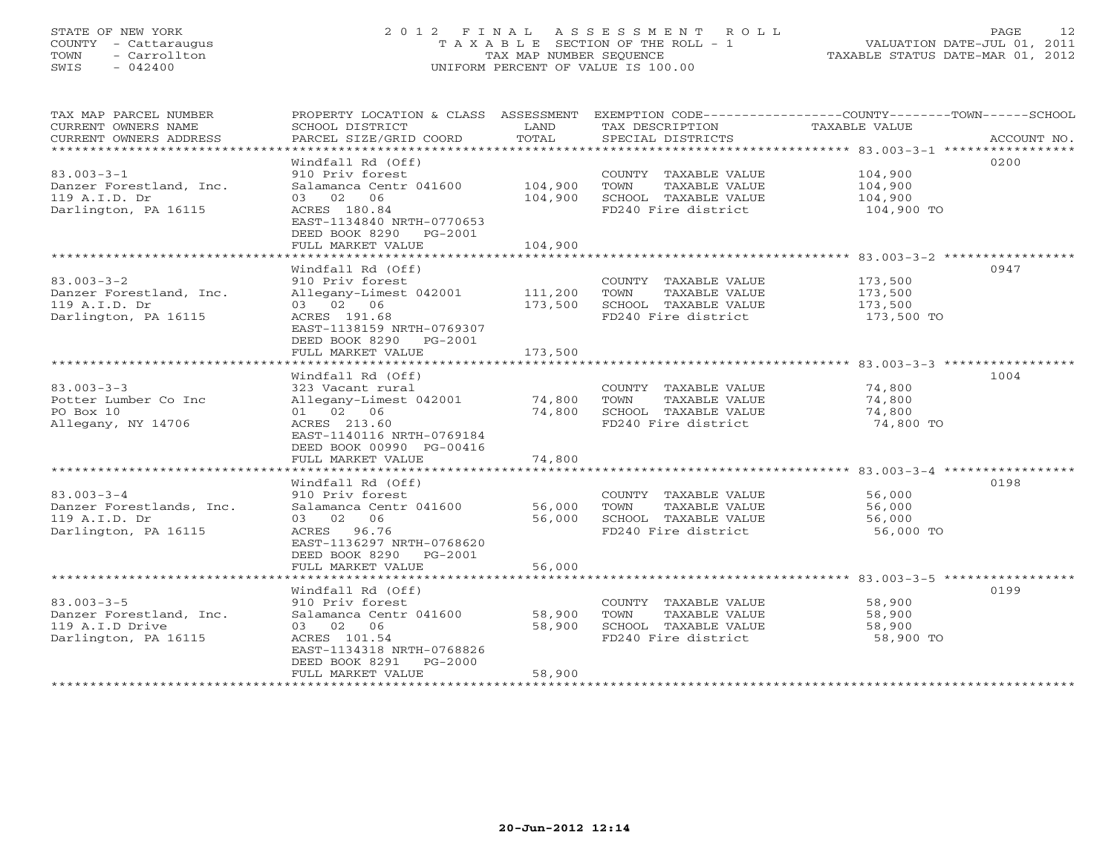# STATE OF NEW YORK 2 0 1 2 F I N A L A S S E S S M E N T R O L L PAGE 12 COUNTY - Cattaraugus T A X A B L E SECTION OF THE ROLL - 1 VALUATION DATE-JUL 01, 2011 TOWN - Carrollton TAX MAP NUMBER SEQUENCE TAXABLE STATUS DATE-MAR 01, 2012 SWIS - 042400 UNIFORM PERCENT OF VALUE IS 100.00UNIFORM PERCENT OF VALUE IS 100.00

| TAX MAP PARCEL NUMBER          | PROPERTY LOCATION & CLASS ASSESSMENT |              |                                             | EXEMPTION CODE-----------------COUNTY-------TOWN------SCHOOL |
|--------------------------------|--------------------------------------|--------------|---------------------------------------------|--------------------------------------------------------------|
| CURRENT OWNERS NAME            | SCHOOL DISTRICT                      | LAND         | TAX DESCRIPTION                             | TAXABLE VALUE                                                |
| CURRENT OWNERS ADDRESS         | PARCEL SIZE/GRID COORD               | TOTAL        | SPECIAL DISTRICTS                           | ACCOUNT NO.                                                  |
| *****************************  |                                      |              |                                             |                                                              |
|                                | Windfall Rd (Off)                    |              |                                             | 0200                                                         |
| $83.003 - 3 - 1$               | 910 Priv forest                      |              | COUNTY TAXABLE VALUE                        | 104,900                                                      |
| Danzer Forestland, Inc.        | Salamanca Centr 041600               | 104,900      | TOWN<br>TAXABLE VALUE                       | 104,900                                                      |
| 119 A.I.D. Dr                  | 03 02 06                             | 104,900      | SCHOOL TAXABLE VALUE                        | 104,900                                                      |
| Darlington, PA 16115           | ACRES 180.84                         |              | FD240 Fire district                         | 104,900 TO                                                   |
|                                | EAST-1134840 NRTH-0770653            |              |                                             |                                                              |
|                                | DEED BOOK 8290 PG-2001               |              |                                             |                                                              |
|                                | FULL MARKET VALUE                    | 104,900      |                                             |                                                              |
|                                |                                      |              |                                             |                                                              |
|                                | Windfall Rd (Off)                    |              |                                             | 0947                                                         |
| $83.003 - 3 - 2$               | 910 Priv forest                      |              | COUNTY TAXABLE VALUE                        | 173,500                                                      |
| Danzer Forestland, Inc.        | Allegany-Limest 042001               | 111,200 TOWN | TAXABLE VALUE                               | 173,500                                                      |
| 119 A.I.D. Dr                  | 03 02 06                             | 173,500      | SCHOOL TAXABLE VALUE                        | 173,500                                                      |
| Darlington, PA 16115           | ACRES 191.68                         |              | FD240 Fire district                         | 173,500 TO                                                   |
|                                | EAST-1138159 NRTH-0769307            |              |                                             |                                                              |
|                                | DEED BOOK 8290 PG-2001               |              |                                             |                                                              |
|                                | FULL MARKET VALUE                    | 173,500      |                                             |                                                              |
|                                |                                      |              |                                             |                                                              |
|                                | Windfall Rd (Off)                    |              |                                             | 1004                                                         |
| $83.003 - 3 - 3$               | 323 Vacant rural                     |              | COUNTY TAXABLE VALUE                        | 74,800                                                       |
| Potter Lumber Co Inc           | Allegany-Limest 042001 74,800        |              | TOWN<br>TAXABLE VALUE                       | 74,800                                                       |
| PO Box 10                      | 01 02 06                             | 74,800       | SCHOOL TAXABLE VALUE<br>FD240 Fire district | 74,800                                                       |
| Allegany, NY 14706             | ACRES 213.60                         |              |                                             | 74,800 TO                                                    |
|                                | EAST-1140116 NRTH-0769184            |              |                                             |                                                              |
|                                | DEED BOOK 00990 PG-00416             | 74,800       |                                             |                                                              |
|                                | FULL MARKET VALUE                    |              |                                             |                                                              |
|                                | Windfall Rd (Off)                    |              |                                             | 0198                                                         |
| $83.003 - 3 - 4$               | 910 Priv forest                      |              | COUNTY TAXABLE VALUE                        | 56,000                                                       |
| Danzer Forestlands, Inc.       | Salamanca Centr 041600               | 56,000       | TOWN<br>TAXABLE VALUE                       | 56,000                                                       |
| 119 A.I.D. Dr                  | 03 02 06                             | 56,000       | SCHOOL TAXABLE VALUE                        | 56,000                                                       |
| Darlington, PA 16115           | ACRES 96.76                          |              | FD240 Fire district                         | 56,000 TO                                                    |
|                                | EAST-1136297 NRTH-0768620            |              |                                             |                                                              |
|                                | DEED BOOK 8290 PG-2001               |              |                                             |                                                              |
|                                | FULL MARKET VALUE                    | 56,000       |                                             |                                                              |
| ****************************** |                                      |              |                                             |                                                              |
|                                | Windfall Rd (Off)                    |              |                                             | 0199                                                         |
| $83.003 - 3 - 5$               | 910 Priv forest                      |              | COUNTY TAXABLE VALUE                        | 58,900                                                       |
| Danzer Forestland, Inc.        | Salamanca Centr 041600               | 58,900       | TOWN<br>TAXABLE VALUE                       | 58,900                                                       |
| 119 A.I.D Drive                | 03 02 06                             | 58,900       | SCHOOL TAXABLE VALUE                        | 58,900                                                       |
| Darlington, PA 16115           | ACRES 101.54                         |              | FD240 Fire district                         | 58,900 TO                                                    |
|                                | EAST-1134318 NRTH-0768826            |              |                                             |                                                              |
|                                | DEED BOOK 8291<br>PG-2000            |              |                                             |                                                              |
|                                | FULL MARKET VALUE                    | 58,900       |                                             |                                                              |
| ******************             |                                      |              |                                             |                                                              |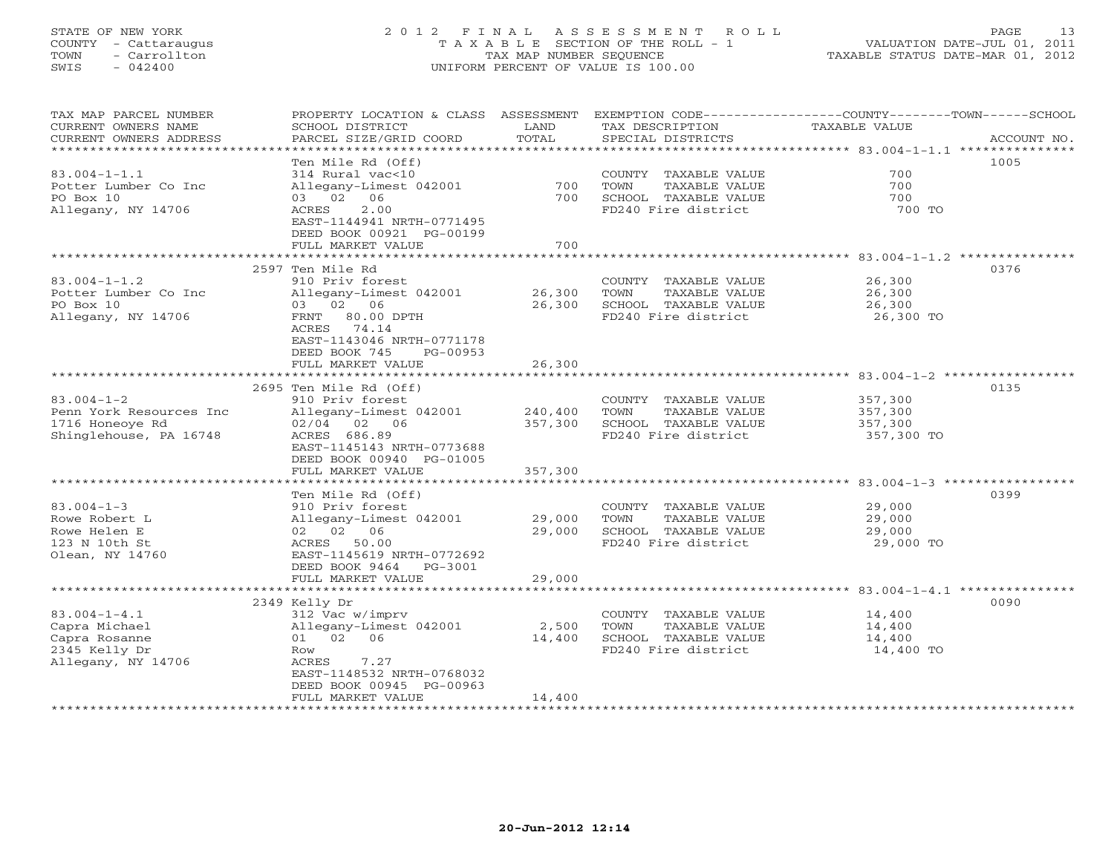# STATE OF NEW YORK 2 0 1 2 F I N A L A S S E S S M E N T R O L L PAGE 13 COUNTY - Cattaraugus T A X A B L E SECTION OF THE ROLL - 1 VALUATION DATE-JUL 01, 2011 TOWN - Carrollton TAX MAP NUMBER SEQUENCE TAXABLE STATUS DATE-MAR 01, 2012 SWIS - 042400 UNIFORM PERCENT OF VALUE IS 100.00UNIFORM PERCENT OF VALUE IS 100.00

| TAX MAP PARCEL NUMBER               | PROPERTY LOCATION & CLASS ASSESSMENT    |         |                       | EXEMPTION CODE-----------------COUNTY-------TOWN------SCHOOL |
|-------------------------------------|-----------------------------------------|---------|-----------------------|--------------------------------------------------------------|
| CURRENT OWNERS NAME                 | SCHOOL DISTRICT                         | LAND    | TAX DESCRIPTION       | TAXABLE VALUE                                                |
| CURRENT OWNERS ADDRESS              | PARCEL SIZE/GRID COORD                  | TOTAL   | SPECIAL DISTRICTS     | ACCOUNT NO.                                                  |
| * * * * * * * * * * * * * * * * * * | * * * * * * * * * * * * * * * * * * * * |         |                       |                                                              |
|                                     | Ten Mile Rd (Off)                       |         |                       | 1005                                                         |
| $83.004 - 1 - 1.1$                  | 314 Rural vac<10                        |         | COUNTY TAXABLE VALUE  | 700                                                          |
| Potter Lumber Co Inc                | Allegany-Limest 042001                  | 700     | TAXABLE VALUE<br>TOWN | 700                                                          |
| PO Box 10                           | 03 02 06                                | 700     | SCHOOL TAXABLE VALUE  | 700                                                          |
| Allegany, NY 14706                  | ACRES<br>2.00                           |         | FD240 Fire district   | 700 TO                                                       |
|                                     | EAST-1144941 NRTH-0771495               |         |                       |                                                              |
|                                     | DEED BOOK 00921 PG-00199                |         |                       |                                                              |
|                                     | FULL MARKET VALUE                       | 700     |                       |                                                              |
|                                     |                                         |         |                       |                                                              |
|                                     | 2597 Ten Mile Rd                        |         |                       | 0376                                                         |
| $83.004 - 1 - 1.2$                  | 910 Priv forest                         |         | COUNTY TAXABLE VALUE  | 26,300                                                       |
| Potter Lumber Co Inc                | Allegany-Limest 042001                  | 26,300  | TOWN<br>TAXABLE VALUE | 26,300                                                       |
| PO Box 10                           | 03 02 06                                | 26,300  | SCHOOL TAXABLE VALUE  | 26,300                                                       |
| Allegany, NY 14706                  | FRNT 80.00 DPTH                         |         | FD240 Fire district   | 26,300 TO                                                    |
|                                     | ACRES 74.14                             |         |                       |                                                              |
|                                     | EAST-1143046 NRTH-0771178               |         |                       |                                                              |
|                                     |                                         |         |                       |                                                              |
|                                     | DEED BOOK 745<br>PG-00953               |         |                       |                                                              |
|                                     | FULL MARKET VALUE                       | 26,300  |                       |                                                              |
|                                     |                                         |         |                       |                                                              |
|                                     | 2695 Ten Mile Rd (Off)                  |         |                       | 0135                                                         |
| $83.004 - 1 - 2$                    | 910 Priv forest                         |         | COUNTY TAXABLE VALUE  | 357,300                                                      |
| Penn York Resources Inc             | Allegany-Limest 042001                  | 240,400 | TAXABLE VALUE<br>TOWN | 357,300                                                      |
| 1716 Honeoye Rd                     | $02/04$ 02 06                           | 357,300 | SCHOOL TAXABLE VALUE  | 357,300                                                      |
| Shinglehouse, PA 16748              | ACRES 686.89                            |         | FD240 Fire district   | 357,300 TO                                                   |
|                                     | EAST-1145143 NRTH-0773688               |         |                       |                                                              |
|                                     | DEED BOOK 00940 PG-01005                |         |                       |                                                              |
|                                     | FULL MARKET VALUE                       | 357,300 |                       |                                                              |
|                                     |                                         |         |                       |                                                              |
|                                     | Ten Mile Rd (Off)                       |         |                       | 0399                                                         |
| $83.004 - 1 - 3$                    | 910 Priv forest                         |         | COUNTY TAXABLE VALUE  | 29,000                                                       |
| Rowe Robert L                       | Allegany-Limest 042001                  | 29,000  | TOWN<br>TAXABLE VALUE | 29,000                                                       |
| Rowe Helen E                        | 02 02 06                                | 29,000  | SCHOOL TAXABLE VALUE  | 29,000                                                       |
| 123 N 10th St                       | ACRES 50.00                             |         | FD240 Fire district   | 29,000 TO                                                    |
| Olean, NY 14760                     | EAST-1145619 NRTH-0772692               |         |                       |                                                              |
|                                     | DEED BOOK 9464<br>PG-3001               |         |                       |                                                              |
|                                     | FULL MARKET VALUE                       | 29,000  |                       |                                                              |
|                                     |                                         |         |                       |                                                              |
|                                     | 2349 Kelly Dr                           |         |                       | 0090                                                         |
| $83.004 - 1 - 4.1$                  | 312 Vac w/imprv                         |         | COUNTY TAXABLE VALUE  | 14,400                                                       |
| Capra Michael                       | Allegany-Limest 042001                  | 2,500   | TOWN<br>TAXABLE VALUE | 14,400                                                       |
| Capra Rosanne                       | 01 02 06                                | 14,400  | SCHOOL TAXABLE VALUE  | 14,400                                                       |
| 2345 Kelly Dr                       | Row                                     |         | FD240 Fire district   | 14,400 TO                                                    |
| Allegany, NY 14706                  | 7.27<br>ACRES                           |         |                       |                                                              |
|                                     | EAST-1148532 NRTH-0768032               |         |                       |                                                              |
|                                     | DEED BOOK 00945 PG-00963                |         |                       |                                                              |
|                                     | FULL MARKET VALUE                       | 14,400  |                       |                                                              |
|                                     |                                         |         |                       |                                                              |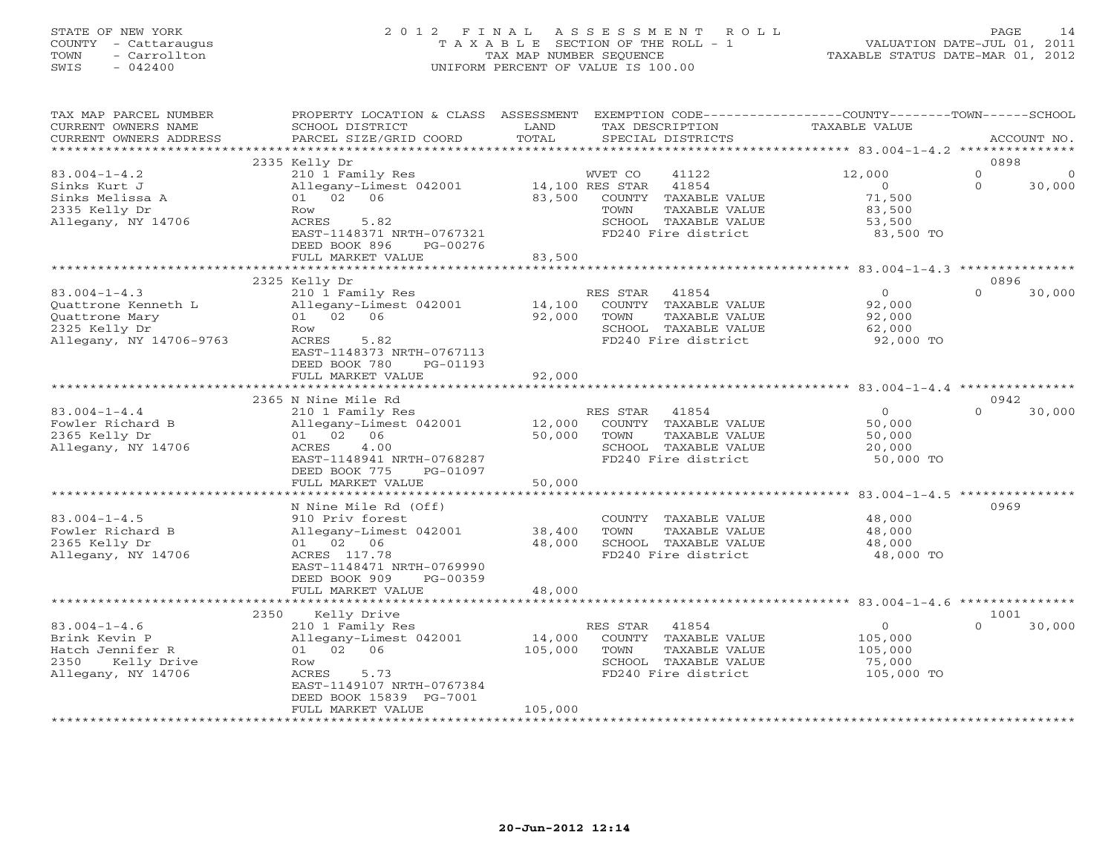# STATE OF NEW YORK 2 0 1 2 F I N A L A S S E S S M E N T R O L L PAGE 14 COUNTY - Cattaraugus T A X A B L E SECTION OF THE ROLL - 1 VALUATION DATE-JUL 01, 2011 TOWN - Carrollton TAX MAP NUMBER SEQUENCE TAXABLE STATUS DATE-MAR 01, 2012 SWIS - 042400 UNIFORM PERCENT OF VALUE IS 100.00UNIFORM PERCENT OF VALUE IS 100.00

| TAX MAP PARCEL NUMBER<br>CURRENT OWNERS NAME<br>CURRENT OWNERS ADDRESS                                  | PROPERTY LOCATION & CLASS ASSESSMENT<br>SCHOOL DISTRICT<br>PARCEL SIZE/GRID COORD                                                                                                  | LAND<br>TOTAL                | EXEMPTION CODE-----------------COUNTY-------TOWN------SCHOOL<br>TAX DESCRIPTION<br>SPECIAL DISTRICTS                                                   | TAXABLE VALUE                                                | ACCOUNT NO.                                         |
|---------------------------------------------------------------------------------------------------------|------------------------------------------------------------------------------------------------------------------------------------------------------------------------------------|------------------------------|--------------------------------------------------------------------------------------------------------------------------------------------------------|--------------------------------------------------------------|-----------------------------------------------------|
| *************************                                                                               |                                                                                                                                                                                    |                              |                                                                                                                                                        |                                                              |                                                     |
| $83.004 - 1 - 4.2$<br>Sinks Kurt J<br>Sinks Melissa A<br>2335 Kelly Dr<br>Allegany, NY 14706            | 2335 Kelly Dr<br>210 1 Family Res<br>Allegany-Limest 042001<br>01 02<br>06<br>Row<br>ACRES<br>5.82<br>EAST-1148371 NRTH-0767321<br>DEED BOOK 896<br>PG-00276                       | 83,500                       | 41122<br>WVET CO<br>14,100 RES STAR<br>41854<br><b>COUNTY</b><br>TAXABLE VALUE<br>TAXABLE VALUE<br>TOWN<br>SCHOOL TAXABLE VALUE<br>FD240 Fire district | 12,000<br>$\circ$<br>71,500<br>83,500<br>53,500<br>83,500 TO | 0898<br>$\mathbf{0}$<br>∩<br>$\mathbf{0}$<br>30,000 |
|                                                                                                         | FULL MARKET VALUE                                                                                                                                                                  | 83,500                       |                                                                                                                                                        |                                                              |                                                     |
|                                                                                                         |                                                                                                                                                                                    |                              |                                                                                                                                                        |                                                              | 0896                                                |
| $83.004 - 1 - 4.3$<br>Quattrone Kenneth L<br>Quattrone Mary<br>2325 Kelly Dr<br>Allegany, NY 14706-9763 | 2325 Kelly Dr<br>210 1 Family Res<br>Allegany-Limest 042001<br>01 02 06<br>Row<br>ACRES<br>5.82<br>EAST-1148373 NRTH-0767113<br>DEED BOOK 780<br>PG-01193                          | 14,100<br>92,000             | RES STAR<br>41854<br>COUNTY TAXABLE VALUE<br>TAXABLE VALUE<br>TOWN<br>SCHOOL TAXABLE VALUE<br>FD240 Fire district                                      | $\Omega$<br>92,000<br>92,000<br>62,000<br>92,000 TO          | $\Omega$<br>30,000                                  |
|                                                                                                         | FULL MARKET VALUE                                                                                                                                                                  | 92,000                       |                                                                                                                                                        |                                                              |                                                     |
|                                                                                                         |                                                                                                                                                                                    |                              |                                                                                                                                                        |                                                              |                                                     |
|                                                                                                         | 2365 N Nine Mile Rd                                                                                                                                                                |                              |                                                                                                                                                        |                                                              | 0942                                                |
| $83.004 - 1 - 4.4$<br>Fowler Richard B<br>2365 Kelly Dr<br>Allegany, NY 14706                           | 210 1 Family Res<br>Allegany-Limest 042001<br>01 02 06<br>4.00<br>ACRES<br>EAST-1148941 NRTH-0768287<br>DEED BOOK 775<br>PG-01097                                                  | 12,000<br>50,000             | 41854<br>RES STAR<br>COUNTY TAXABLE VALUE<br>TOWN<br>TAXABLE VALUE<br>SCHOOL TAXABLE VALUE<br>FD240 Fire district                                      | $\Omega$<br>50,000<br>50,000<br>20,000<br>50,000 TO          | $\Omega$<br>30,000                                  |
|                                                                                                         | FULL MARKET VALUE                                                                                                                                                                  | 50,000                       |                                                                                                                                                        |                                                              |                                                     |
|                                                                                                         | .                                                                                                                                                                                  | ********                     |                                                                                                                                                        | $83.004 - 1 - 4.5$                                           |                                                     |
| $83.004 - 1 - 4.5$<br>Fowler Richard B<br>2365 Kelly Dr<br>Allegany, NY 14706                           | N Nine Mile Rd (Off)<br>910 Priv forest<br>Allegany-Limest 042001<br>01 02 06<br>ACRES 117.78<br>EAST-1148471 NRTH-0769990<br>DEED BOOK 909<br>PG-00359                            | 38,400<br>48,000             | COUNTY TAXABLE VALUE<br>TOWN<br>TAXABLE VALUE<br>SCHOOL TAXABLE VALUE<br>FD240 Fire district                                                           | 48,000<br>48,000<br>48,000<br>48,000 TO                      | 0969                                                |
|                                                                                                         | FULL MARKET VALUE                                                                                                                                                                  | 48,000                       |                                                                                                                                                        |                                                              |                                                     |
|                                                                                                         |                                                                                                                                                                                    |                              |                                                                                                                                                        |                                                              |                                                     |
| $83.004 - 1 - 4.6$<br>Brink Kevin P<br>Hatch Jennifer R<br>Kelly Drive<br>2350<br>Allegany, NY 14706    | Kelly Drive<br>2350<br>210 1 Family Res<br>Allegany-Limest 042001<br>01 02 06<br>Row<br>5.73<br>ACRES<br>EAST-1149107 NRTH-0767384<br>DEED BOOK 15839 PG-7001<br>FULL MARKET VALUE | 14,000<br>105,000<br>105,000 | 41854<br>RES STAR<br>COUNTY TAXABLE VALUE<br>TOWN<br>TAXABLE VALUE<br>SCHOOL TAXABLE VALUE<br>FD240 Fire district                                      | $\circ$<br>105,000<br>105,000<br>75,000<br>105,000 TO        | 1001<br>$\Omega$<br>30,000                          |
|                                                                                                         |                                                                                                                                                                                    |                              |                                                                                                                                                        |                                                              |                                                     |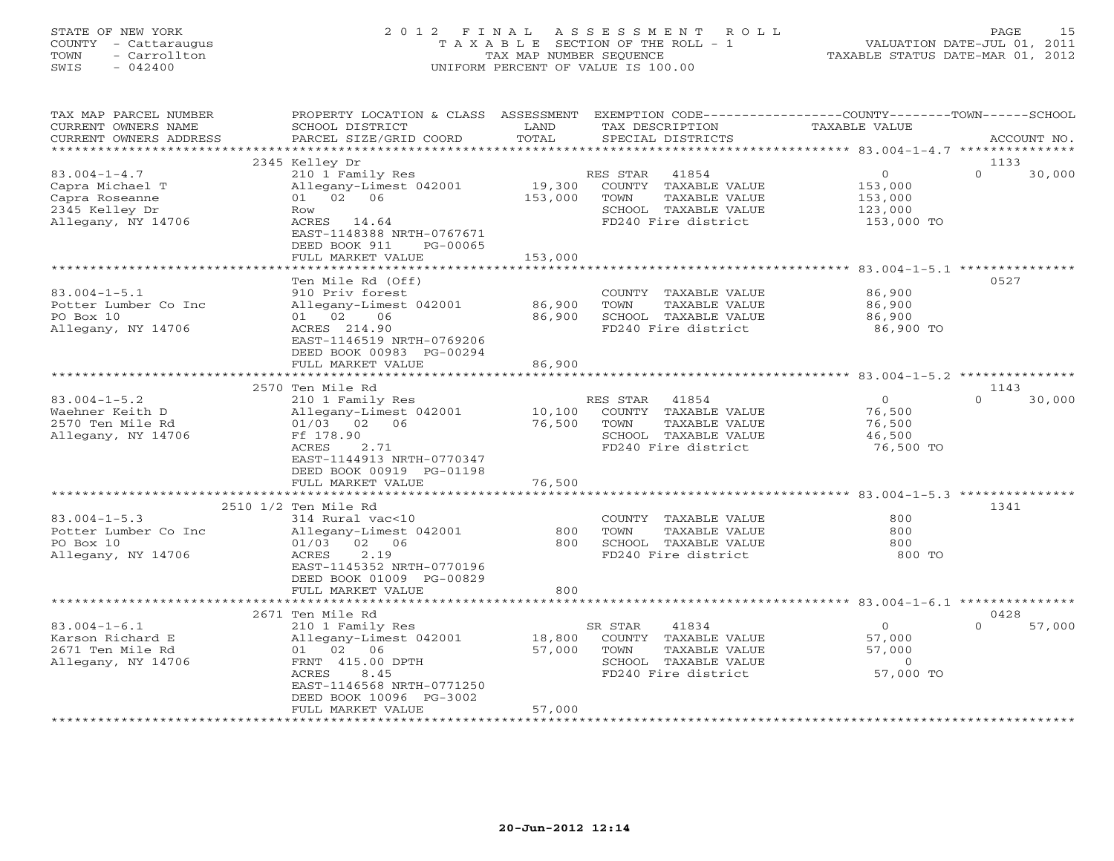# STATE OF NEW YORK 2 0 1 2 F I N A L A S S E S S M E N T R O L L PAGE 15 COUNTY - Cattaraugus T A X A B L E SECTION OF THE ROLL - 1 VALUATION DATE-JUL 01, 2011 TOWN - Carrollton TAX MAP NUMBER SEQUENCE TAXABLE STATUS DATE-MAR 01, 2012 SWIS - 042400 UNIFORM PERCENT OF VALUE IS 100.00UNIFORM PERCENT OF VALUE IS 100.00

| TAX MAP PARCEL NUMBER<br>CURRENT OWNERS NAME<br>CURRENT OWNERS ADDRESS                          | PROPERTY LOCATION & CLASS ASSESSMENT<br>SCHOOL DISTRICT<br>PARCEL SIZE/GRID COORD                                                                                             | LAND<br>TOTAL                | EXEMPTION CODE-----------------COUNTY-------TOWN------SCHOOL<br>TAX DESCRIPTION<br>SPECIAL DISTRICTS              | TAXABLE VALUE                                          | ACCOUNT NO.                |
|-------------------------------------------------------------------------------------------------|-------------------------------------------------------------------------------------------------------------------------------------------------------------------------------|------------------------------|-------------------------------------------------------------------------------------------------------------------|--------------------------------------------------------|----------------------------|
| *********************                                                                           |                                                                                                                                                                               |                              |                                                                                                                   |                                                        |                            |
| $83.004 - 1 - 4.7$<br>Capra Michael T<br>Capra Roseanne<br>2345 Kelley Dr<br>Allegany, NY 14706 | 2345 Kelley Dr<br>210 1 Family Res<br>Allegany-Limest 042001<br>01 02 06<br>Row<br>ACRES 14.64<br>EAST-1148388 NRTH-0767671<br>DEED BOOK 911<br>PG-00065<br>FULL MARKET VALUE | 19,300<br>153,000<br>153,000 | RES STAR<br>41854<br>COUNTY TAXABLE VALUE<br>TOWN<br>TAXABLE VALUE<br>SCHOOL TAXABLE VALUE<br>FD240 Fire district | $\circ$<br>153,000<br>153,000<br>123,000<br>153,000 TO | 1133<br>$\Omega$<br>30,000 |
|                                                                                                 | ******************************                                                                                                                                                |                              |                                                                                                                   |                                                        |                            |
| $83.004 - 1 - 5.1$<br>Potter Lumber Co Inc<br>PO Box 10<br>Allegany, NY 14706                   | Ten Mile Rd (Off)<br>910 Priv forest<br>Allegany-Limest 042001<br>01 02<br>06<br>ACRES 214.90<br>EAST-1146519 NRTH-0769206<br>DEED BOOK 00983 PG-00294<br>FULL MARKET VALUE   | 86,900<br>86,900<br>86,900   | COUNTY TAXABLE VALUE<br>TOWN<br>TAXABLE VALUE<br>SCHOOL TAXABLE VALUE<br>FD240 Fire district                      | 86,900<br>86,900<br>86,900<br>86,900 TO                | 0527                       |
|                                                                                                 |                                                                                                                                                                               |                              |                                                                                                                   |                                                        |                            |
|                                                                                                 | 2570 Ten Mile Rd                                                                                                                                                              |                              |                                                                                                                   |                                                        | 1143                       |
| $83.004 - 1 - 5.2$<br>Waehner Keith D<br>2570 Ten Mile Rd<br>Allegany, NY 14706                 | 210 1 Family Res<br>Allegany-Limest 042001<br>01/03 02 06<br>Ff 178.90<br>2.71<br>ACRES<br>EAST-1144913 NRTH-0770347<br>DEED BOOK 00919 PG-01198                              | 10,100<br>76,500             | RES STAR<br>41854<br>COUNTY TAXABLE VALUE<br>TOWN<br>TAXABLE VALUE<br>SCHOOL TAXABLE VALUE<br>FD240 Fire district | $\circ$<br>76,500<br>76,500<br>46,500<br>76,500 TO     | $\Omega$<br>30,000         |
|                                                                                                 | FULL MARKET VALUE                                                                                                                                                             | 76,500                       |                                                                                                                   |                                                        |                            |
|                                                                                                 | ***********************                                                                                                                                                       |                              |                                                                                                                   |                                                        |                            |
| $83.004 - 1 - 5.3$<br>Potter Lumber Co Inc<br>PO Box 10<br>Allegany, NY 14706                   | 2510 1/2 Ten Mile Rd<br>314 Rural vac<10<br>Allegany-Limest 042001<br>$01/03$ 02 06<br>ACRES<br>2.19<br>EAST-1145352 NRTH-0770196<br>DEED BOOK 01009 PG-00829                 | 800<br>800                   | COUNTY TAXABLE VALUE<br>TAXABLE VALUE<br>TOWN<br>SCHOOL TAXABLE VALUE<br>FD240 Fire district                      | 800<br>800<br>800<br>800 TO                            | 1341                       |
|                                                                                                 | FULL MARKET VALUE                                                                                                                                                             | 800                          |                                                                                                                   |                                                        |                            |
|                                                                                                 | 2671 Ten Mile Rd                                                                                                                                                              |                              |                                                                                                                   |                                                        | 0428                       |
| $83.004 - 1 - 6.1$<br>Karson Richard E<br>2671 Ten Mile Rd<br>Allegany, NY 14706                | 210 1 Family Res<br>Allegany-Limest 042001<br>01 02 06<br>FRNT 415.00 DPTH<br>8.45<br>ACRES<br>EAST-1146568 NRTH-0771250<br>DEED BOOK 10096 PG-3002<br>FULL MARKET VALUE      | 18,800<br>57,000<br>57,000   | SR STAR<br>41834<br>COUNTY TAXABLE VALUE<br>TOWN<br>TAXABLE VALUE<br>SCHOOL TAXABLE VALUE<br>FD240 Fire district  | $\circ$<br>57,000<br>57,000<br>$\Omega$<br>57,000 TO   | $\Omega$<br>57,000         |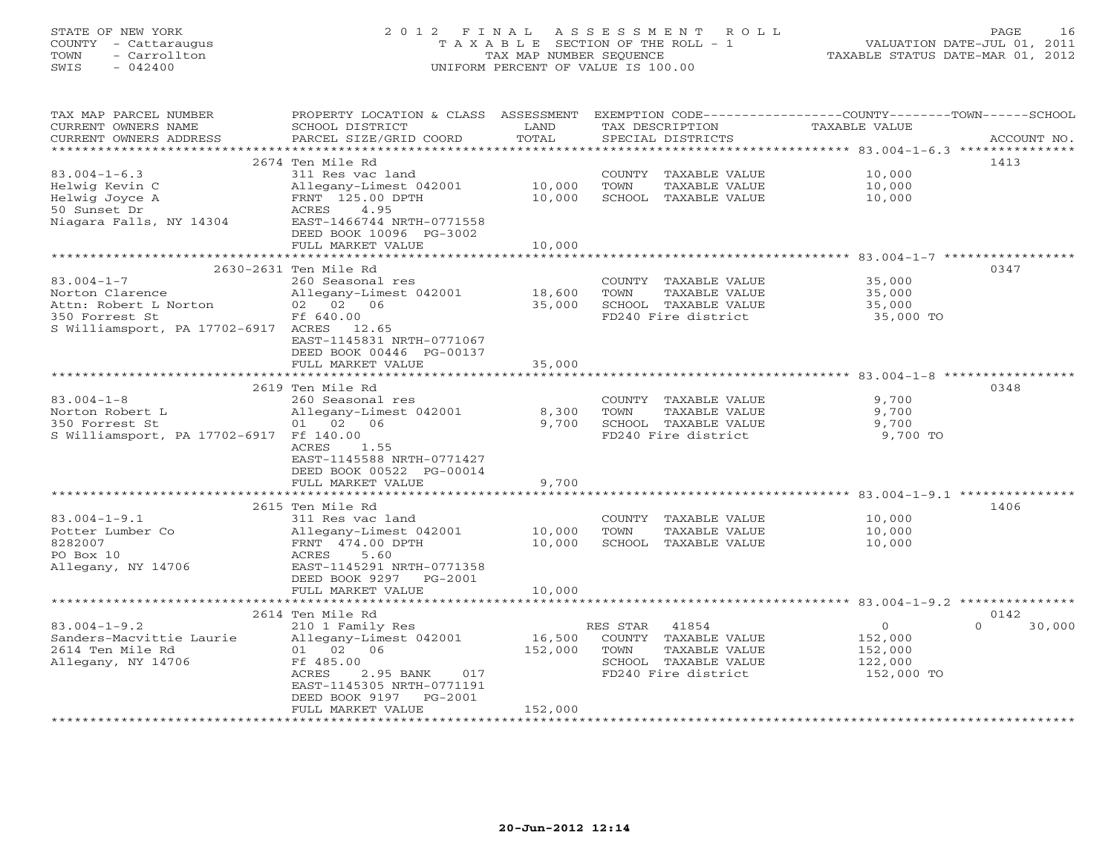| COUNTY<br>- Cattaraugus<br>TOWN<br>- Carrollton<br>SWIS<br>$-042400$ | T A X A B L E SECTION OF THE ROLL - 1<br>TAX MAP NUMBER SEQUENCE<br>UNIFORM PERCENT OF VALUE IS 100.00 |                     |                                                              | TAXABLE STATUS DATE-MAR 01, 2012                      | VALUATION DATE-JUL 01, 2011 |
|----------------------------------------------------------------------|--------------------------------------------------------------------------------------------------------|---------------------|--------------------------------------------------------------|-------------------------------------------------------|-----------------------------|
| TAX MAP PARCEL NUMBER                                                | PROPERTY LOCATION & CLASS ASSESSMENT                                                                   |                     | EXEMPTION CODE-----------------COUNTY-------TOWN------SCHOOL |                                                       |                             |
| CURRENT OWNERS NAME                                                  | SCHOOL DISTRICT                                                                                        | LAND                | TAX DESCRIPTION                                              | <b>TAXABLE VALUE</b>                                  |                             |
| CURRENT OWNERS ADDRESS                                               | PARCEL SIZE/GRID COORD                                                                                 | TOTAL               | SPECIAL DISTRICTS                                            |                                                       | ACCOUNT NO.                 |
|                                                                      | 2674 Ten Mile Rd                                                                                       |                     |                                                              |                                                       | 1413                        |
| $83.004 - 1 - 6.3$                                                   | 311 Res vac land                                                                                       |                     | COUNTY TAXABLE VALUE                                         | 10,000                                                |                             |
| Helwig Kevin C                                                       | Allegany-Limest 042001                                                                                 | 10,000              | TOWN<br>TAXABLE VALUE                                        | 10,000                                                |                             |
| Helwig Joyce A                                                       | FRNT 125.00 DPTH                                                                                       | 10,000              | SCHOOL TAXABLE VALUE                                         | 10,000                                                |                             |
| 50 Sunset Dr                                                         | 4.95<br>ACRES                                                                                          |                     |                                                              |                                                       |                             |
| Niagara Falls, NY 14304                                              | EAST-1466744 NRTH-0771558                                                                              |                     |                                                              |                                                       |                             |
|                                                                      | DEED BOOK 10096 PG-3002                                                                                |                     |                                                              |                                                       |                             |
|                                                                      | FULL MARKET VALUE                                                                                      | 10,000              |                                                              |                                                       |                             |
|                                                                      |                                                                                                        | * * * * * * * * * * |                                                              | ********************* 83.004-1-7 ******************   |                             |
|                                                                      | 2630-2631 Ten Mile Rd                                                                                  |                     |                                                              |                                                       | 0347                        |
| $83.004 - 1 - 7$                                                     | 260 Seasonal res                                                                                       |                     | COUNTY TAXABLE VALUE                                         | 35,000                                                |                             |
| Norton Clarence                                                      | Allegany-Limest 042001                                                                                 | 18,600              | TOWN<br>TAXABLE VALUE                                        | 35,000                                                |                             |
| Attn: Robert L Norton<br>350 Forrest St                              | 02 02 06<br>Ff 640.00                                                                                  | 35,000              | SCHOOL TAXABLE VALUE<br>FD240 Fire district                  | 35,000<br>35,000 TO                                   |                             |
| S Williamsport, PA 17702-6917 ACRES 12.65                            |                                                                                                        |                     |                                                              |                                                       |                             |
|                                                                      | EAST-1145831 NRTH-0771067                                                                              |                     |                                                              |                                                       |                             |
|                                                                      | DEED BOOK 00446 PG-00137                                                                               |                     |                                                              |                                                       |                             |
|                                                                      | FULL MARKET VALUE                                                                                      | 35,000              |                                                              |                                                       |                             |
|                                                                      | ********************                                                                                   |                     |                                                              | ********************* 83.004-1-8 ************         |                             |
|                                                                      | 2619 Ten Mile Rd                                                                                       |                     |                                                              |                                                       | 0348                        |
| $83.004 - 1 - 8$                                                     | 260 Seasonal res                                                                                       |                     | COUNTY TAXABLE VALUE                                         | 9,700                                                 |                             |
| Norton Robert L                                                      | Allegany-Limest 042001                                                                                 | 8,300               | TOWN<br>TAXABLE VALUE                                        | 9,700                                                 |                             |
| 350 Forrest St                                                       | 01 02 06                                                                                               | 9,700               | SCHOOL TAXABLE VALUE<br>FD240 Fire district                  | 9,700                                                 |                             |
| S Williamsport, PA 17702-6917 Ff 140.00                              | ACRES<br>1.55                                                                                          |                     |                                                              | 9,700 TO                                              |                             |
|                                                                      | EAST-1145588 NRTH-0771427                                                                              |                     |                                                              |                                                       |                             |
|                                                                      | DEED BOOK 00522 PG-00014                                                                               |                     |                                                              |                                                       |                             |
|                                                                      | FULL MARKET VALUE                                                                                      | 9,700               |                                                              |                                                       |                             |
|                                                                      | ******************                                                                                     |                     |                                                              | ************************ 83.004-1-9.1 *************** |                             |
|                                                                      | 2615 Ten Mile Rd                                                                                       |                     |                                                              |                                                       | 1406                        |
| $83.004 - 1 - 9.1$                                                   | 311 Res vac land                                                                                       |                     | COUNTY<br>TAXABLE VALUE                                      | 10,000                                                |                             |
| Potter Lumber Co                                                     | Allegany-Limest 042001                                                                                 | 10,000              | TAXABLE VALUE<br>TOWN                                        | 10,000                                                |                             |
| 8282007                                                              | FRNT 474.00 DPTH                                                                                       | 10,000              | SCHOOL TAXABLE VALUE                                         | 10,000                                                |                             |
| PO Box 10                                                            | ACRES<br>5.60                                                                                          |                     |                                                              |                                                       |                             |
| Allegany, NY 14706                                                   | EAST-1145291 NRTH-0771358                                                                              |                     |                                                              |                                                       |                             |
|                                                                      | DEED BOOK 9297<br>$PG-2001$<br>FULL MARKET VALUE                                                       |                     |                                                              |                                                       |                             |
|                                                                      | ******************                                                                                     | 10,000              |                                                              |                                                       |                             |
|                                                                      | 2614 Ten Mile Rd                                                                                       |                     |                                                              |                                                       | 0142                        |
| $83.004 - 1 - 9.2$                                                   | 210 1 Family Res                                                                                       |                     | RES STAR<br>41854                                            | $\circ$                                               | $\Omega$<br>30,000          |
| Sanders-Macvittie Laurie                                             | Allegany-Limest 042001                                                                                 | 16,500              | COUNTY TAXABLE VALUE                                         | 152,000                                               |                             |
| 2614 Ten Mile Rd                                                     | 01 02 06                                                                                               | 152,000             | TOWN<br>TAXABLE VALUE                                        | 152,000                                               |                             |
| Allegany, NY 14706                                                   | Ff 485.00                                                                                              |                     | SCHOOL TAXABLE VALUE                                         | 122,000                                               |                             |
|                                                                      | ACRES<br>2.95 BANK<br>017<br>EAST-1145305 NRTH-0771191                                                 |                     | FD240 Fire district                                          | 152,000 TO                                            |                             |

STATE OF NEW YORK 2 0 1 2 F I N A L A S S E S S M E N T R O L L PAGE 16

\*\*\*\*\*\*\*\*\*\*\*\*\*\*\*\*\*\*\*\*\*\*\*\*\*\*\*\*\*\*\*\*\*\*\*\*\*\*\*\*\*\*\*\*\*\*\*\*\*\*\*\*\*\*\*\*\*\*\*\*\*\*\*\*\*\*\*\*\*\*\*\*\*\*\*\*\*\*\*\*\*\*\*\*\*\*\*\*\*\*\*\*\*\*\*\*\*\*\*\*\*\*\*\*\*\*\*\*\*\*\*\*\*\*\*\*\*\*\*\*\*\*\*\*\*\*\*\*\*\*\*\*

FULL MARKET VALUE 152,000

DEED BOOK 9197 PG-2001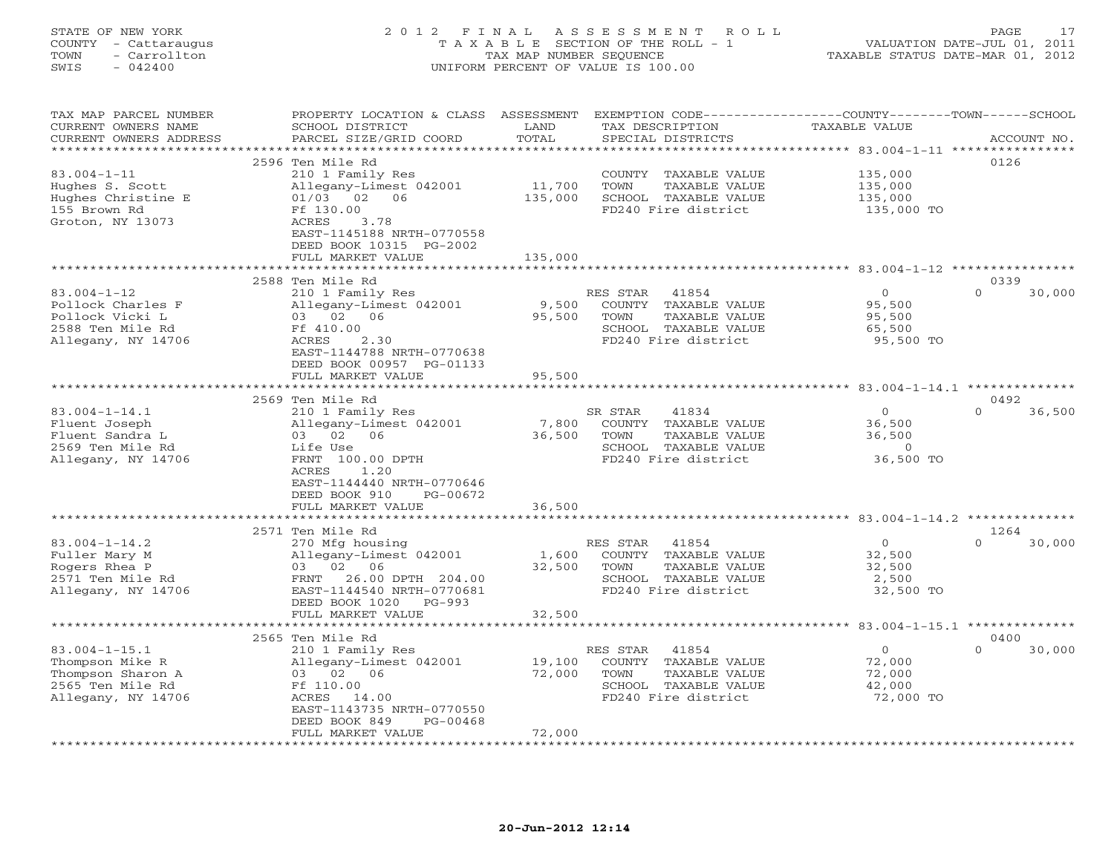# STATE OF NEW YORK 2 0 1 2 F I N A L A S S E S S M E N T R O L L PAGE 17 COUNTY - Cattaraugus T A X A B L E SECTION OF THE ROLL - 1 VALUATION DATE-JUL 01, 2011 TOWN - Carrollton TAX MAP NUMBER SEQUENCE TAXABLE STATUS DATE-MAR 01, 2012 SWIS - 042400 UNIFORM PERCENT OF VALUE IS 100.00UNIFORM PERCENT OF VALUE IS 100.00

| TAX MAP PARCEL NUMBER<br>CURRENT OWNERS NAME | PROPERTY LOCATION & CLASS ASSESSMENT<br>SCHOOL DISTRICT | LAND     | EXEMPTION CODE-----------------COUNTY-------TOWN------SCHOOL<br>TAX DESCRIPTION | TAXABLE VALUE                                      |                    |
|----------------------------------------------|---------------------------------------------------------|----------|---------------------------------------------------------------------------------|----------------------------------------------------|--------------------|
| CURRENT OWNERS ADDRESS                       | PARCEL SIZE/GRID COORD                                  | TOTAL    | SPECIAL DISTRICTS                                                               |                                                    | ACCOUNT NO.        |
| ***********************                      |                                                         |          |                                                                                 |                                                    |                    |
|                                              | 2596 Ten Mile Rd                                        |          |                                                                                 |                                                    | 0126               |
| $83.004 - 1 - 11$                            | 210 1 Family Res                                        |          | COUNTY TAXABLE VALUE                                                            | 135,000                                            |                    |
| Hughes S. Scott                              | Allegany-Limest 042001                                  | 11,700   | TOWN<br>TAXABLE VALUE                                                           | 135,000                                            |                    |
| Hughes Christine E                           | $01/03$ 02 06                                           | 135,000  | SCHOOL TAXABLE VALUE                                                            | 135,000                                            |                    |
| 155 Brown Rd                                 | Ff 130.00                                               |          | FD240 Fire district                                                             | 135,000 TO                                         |                    |
| Groton, NY 13073                             | ACRES<br>3.78                                           |          |                                                                                 |                                                    |                    |
|                                              | EAST-1145188 NRTH-0770558                               |          |                                                                                 |                                                    |                    |
|                                              | DEED BOOK 10315 PG-2002                                 |          |                                                                                 |                                                    |                    |
|                                              | FULL MARKET VALUE                                       | 135,000  |                                                                                 |                                                    |                    |
|                                              |                                                         | ******** |                                                                                 | *************************** 83.004-1-12 ********** |                    |
|                                              | 2588 Ten Mile Rd                                        |          |                                                                                 |                                                    | 0339               |
| $83.004 - 1 - 12$                            | 210 1 Family Res                                        |          | RES STAR<br>41854                                                               | $\circ$                                            | $\Omega$<br>30,000 |
| Pollock Charles F                            | Allegany-Limest 042001                                  | 9,500    | COUNTY TAXABLE VALUE                                                            | 95,500                                             |                    |
| Pollock Vicki L                              | 03 02 06                                                | 95,500   | TOWN<br>TAXABLE VALUE                                                           | 95,500                                             |                    |
| 2588 Ten Mile Rd                             | Ff 410.00                                               |          | SCHOOL TAXABLE VALUE                                                            | 65,500                                             |                    |
| Allegany, NY 14706                           | 2.30<br>ACRES                                           |          | FD240 Fire district                                                             | 95,500 TO                                          |                    |
|                                              | EAST-1144788 NRTH-0770638                               |          |                                                                                 |                                                    |                    |
|                                              | DEED BOOK 00957 PG-01133                                |          |                                                                                 |                                                    |                    |
|                                              | FULL MARKET VALUE                                       | 95,500   |                                                                                 |                                                    |                    |
|                                              |                                                         |          |                                                                                 |                                                    |                    |
|                                              | 2569 Ten Mile Rd                                        |          |                                                                                 |                                                    | 0492               |
| $83.004 - 1 - 14.1$                          | 210 1 Family Res                                        |          | SR STAR<br>41834                                                                | $\mathbf{0}$                                       | $\Omega$<br>36,500 |
| Fluent Joseph                                | Allegany-Limest 042001                                  | 7,800    | COUNTY TAXABLE VALUE                                                            | 36,500                                             |                    |
| Fluent Sandra L                              | 03 02 06                                                | 36,500   | TOWN<br>TAXABLE VALUE                                                           | 36,500                                             |                    |
| 2569 Ten Mile Rd                             | Life Use<br>FRNT 100.00 DPTH                            |          | SCHOOL TAXABLE VALUE                                                            | $\circ$                                            |                    |
| Allegany, NY 14706                           | ACRES<br>1.20                                           |          | FD240 Fire district                                                             | 36,500 TO                                          |                    |
|                                              | EAST-1144440 NRTH-0770646                               |          |                                                                                 |                                                    |                    |
|                                              | DEED BOOK 910<br>PG-00672                               |          |                                                                                 |                                                    |                    |
|                                              | FULL MARKET VALUE                                       | 36,500   |                                                                                 |                                                    |                    |
|                                              |                                                         |          |                                                                                 |                                                    |                    |
|                                              | 2571 Ten Mile Rd                                        |          |                                                                                 |                                                    | 1264               |
| $83.004 - 1 - 14.2$                          | 270 Mfg housing                                         |          | RES STAR<br>41854                                                               | $\circ$                                            | $\Omega$<br>30,000 |
| Fuller Mary M                                | Allegany-Limest 042001                                  | 1,600    | COUNTY TAXABLE VALUE                                                            | 32,500                                             |                    |
| Rogers Rhea P                                | 03 02 06                                                | 32,500   | TOWN<br>TAXABLE VALUE                                                           | 32,500                                             |                    |
| 2571 Ten Mile Rd                             | FRNT<br>26.00 DPTH 204.00                               |          | SCHOOL TAXABLE VALUE                                                            | 2,500                                              |                    |
| Allegany, NY 14706                           | EAST-1144540 NRTH-0770681                               |          | FD240 Fire district                                                             | 32,500 TO                                          |                    |
|                                              | DEED BOOK 1020<br>$PG-993$                              |          |                                                                                 |                                                    |                    |
|                                              | FULL MARKET VALUE                                       | 32,500   |                                                                                 |                                                    |                    |
|                                              |                                                         |          |                                                                                 |                                                    |                    |
|                                              | 2565 Ten Mile Rd                                        |          |                                                                                 |                                                    | 0400               |
| $83.004 - 1 - 15.1$                          | 210 1 Family Res                                        |          | RES STAR<br>41854                                                               | $\circ$                                            | $\Omega$<br>30,000 |
| Thompson Mike R                              | Allegany-Limest 042001                                  | 19,100   | COUNTY TAXABLE VALUE                                                            | 72,000                                             |                    |
| Thompson Sharon A                            | 03 02 06                                                | 72,000   | TOWN<br>TAXABLE VALUE                                                           | 72,000                                             |                    |
| 2565 Ten Mile Rd                             | Ff 110.00                                               |          | SCHOOL TAXABLE VALUE                                                            | 42,000                                             |                    |
| Allegany, NY 14706                           | ACRES 14.00                                             |          | FD240 Fire district                                                             | 72,000 TO                                          |                    |
|                                              | EAST-1143735 NRTH-0770550                               |          |                                                                                 |                                                    |                    |
|                                              | DEED BOOK 849<br>PG-00468                               |          |                                                                                 |                                                    |                    |
|                                              | FULL MARKET VALUE                                       | 72,000   |                                                                                 |                                                    |                    |
|                                              |                                                         |          |                                                                                 |                                                    |                    |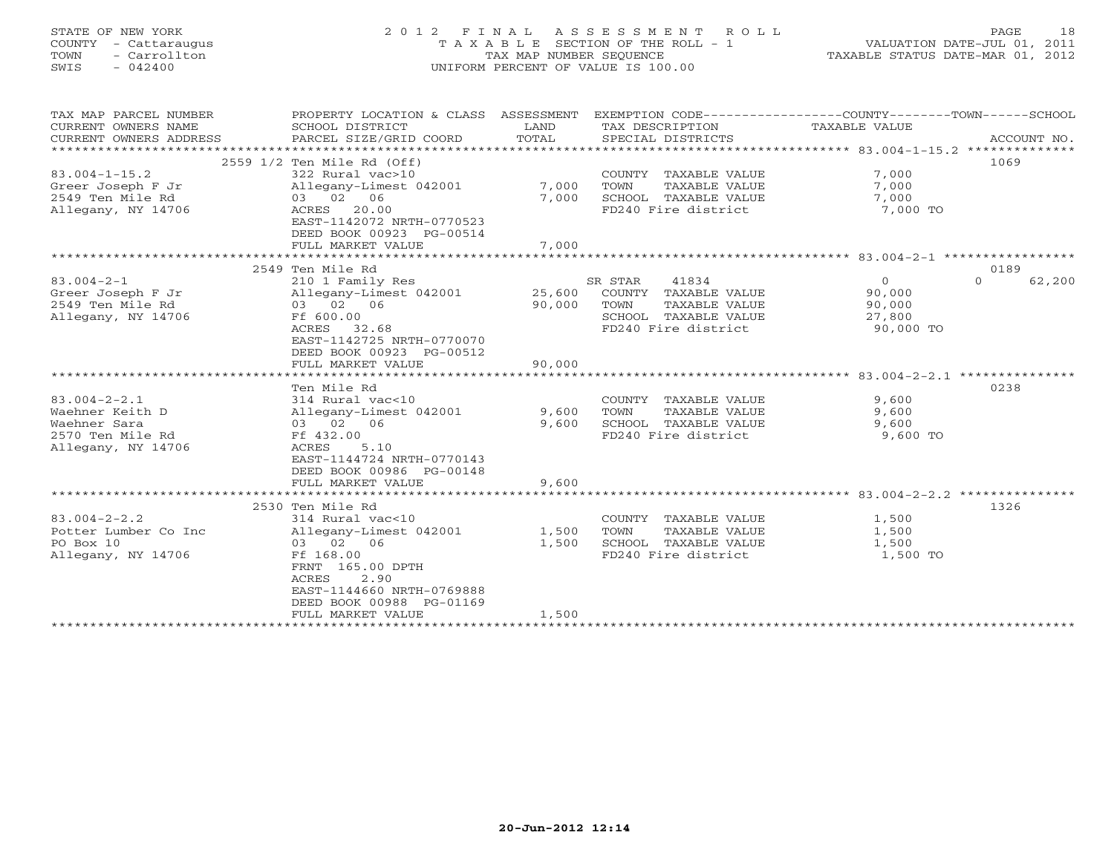# STATE OF NEW YORK 2 0 1 2 F I N A L A S S E S S M E N T R O L L PAGE 18 COUNTY - Cattaraugus T A X A B L E SECTION OF THE ROLL - 1 VALUATION DATE-JUL 01, 2011 TOWN - Carrollton TAX MAP NUMBER SEQUENCE TAXABLE STATUS DATE-MAR 01, 2012 SWIS - 042400 UNIFORM PERCENT OF VALUE IS 100.00UNIFORM PERCENT OF VALUE IS 100.00

| TAX MAP PARCEL NUMBER<br>CURRENT OWNERS NAME<br>CURRENT OWNERS ADDRESS | PROPERTY LOCATION & CLASS ASSESSMENT<br>SCHOOL DISTRICT<br>PARCEL SIZE/GRID COORD | LAND<br>TOTAL        | TAX DESCRIPTION<br>SPECIAL DISTRICTS          | EXEMPTION CODE----------------COUNTY-------TOWN------SCHOOL<br>TAXABLE VALUE | ACCOUNT NO. |
|------------------------------------------------------------------------|-----------------------------------------------------------------------------------|----------------------|-----------------------------------------------|------------------------------------------------------------------------------|-------------|
|                                                                        |                                                                                   |                      |                                               |                                                                              |             |
|                                                                        | 2559 1/2 Ten Mile Rd (Off)                                                        |                      |                                               | 1069                                                                         |             |
| $83.004 - 1 - 15.2$                                                    | 322 Rural vac>10                                                                  |                      | COUNTY TAXABLE VALUE                          | 7,000                                                                        |             |
| Greer Joseph F Jr                                                      | Allegany-Limest 042001                                                            | 7,000                | TOWN<br>TAXABLE VALUE                         | 7,000                                                                        |             |
| 2549 Ten Mile Rd                                                       | 03 02 06                                                                          | 7,000                | SCHOOL TAXABLE VALUE                          | 7,000                                                                        |             |
| Allegany, NY 14706                                                     | ACRES 20.00<br>EAST-1142072 NRTH-0770523<br>DEED BOOK 00923 PG-00514              |                      | FD240 Fire district                           | 7,000 TO                                                                     |             |
|                                                                        | FULL MARKET VALUE                                                                 | 7,000                |                                               |                                                                              |             |
|                                                                        |                                                                                   |                      |                                               |                                                                              |             |
|                                                                        | 2549 Ten Mile Rd                                                                  |                      |                                               | 0189                                                                         |             |
| $83.004 - 2 - 1$                                                       | 210 1 Family Res                                                                  |                      | 41834<br>SR STAR                              | $\circ$<br>$\Omega$                                                          | 62,200      |
| Greer Joseph F Jr<br>2549 Ten Mile Rd                                  | Allegany-Limest 042001<br>03 02 06                                                | 25,600<br>90,000     | COUNTY TAXABLE VALUE<br>TAXABLE VALUE<br>TOWN | 90,000<br>90,000                                                             |             |
| Allegany, NY 14706                                                     | Ff 600.00                                                                         |                      | SCHOOL TAXABLE VALUE                          | 27,800                                                                       |             |
|                                                                        | ACRES 32.68                                                                       |                      | FD240 Fire district                           | 90,000 TO                                                                    |             |
|                                                                        | EAST-1142725 NRTH-0770070                                                         |                      |                                               |                                                                              |             |
|                                                                        | DEED BOOK 00923 PG-00512                                                          |                      |                                               |                                                                              |             |
|                                                                        | FULL MARKET VALUE                                                                 | 90,000               |                                               |                                                                              |             |
|                                                                        |                                                                                   |                      |                                               |                                                                              |             |
| $83.004 - 2 - 2.1$                                                     | Ten Mile Rd<br>314 Rural vac<10                                                   |                      | COUNTY TAXABLE VALUE                          | 0238<br>9,600                                                                |             |
| Waehner Keith D                                                        | Allegany-Limest 042001                                                            | 9,600                | TAXABLE VALUE<br>TOWN                         | 9,600                                                                        |             |
| Waehner Sara                                                           | 03 02 06                                                                          | 9,600                | SCHOOL TAXABLE VALUE                          | 9,600                                                                        |             |
| 2570 Ten Mile Rd                                                       | Ff 432.00                                                                         |                      | FD240 Fire district                           | 9,600 TO                                                                     |             |
| Allegany, NY 14706                                                     | ACRES<br>5.10                                                                     |                      |                                               |                                                                              |             |
|                                                                        | EAST-1144724 NRTH-0770143                                                         |                      |                                               |                                                                              |             |
|                                                                        | DEED BOOK 00986 PG-00148                                                          |                      |                                               |                                                                              |             |
|                                                                        | FULL MARKET VALUE                                                                 | 9,600<br>*********** |                                               | ************************* 83.004-2-2.2 ****************                      |             |
|                                                                        | 2530 Ten Mile Rd                                                                  |                      |                                               | 1326                                                                         |             |
| $83.004 - 2 - 2.2$                                                     | 314 Rural vac<10                                                                  |                      | COUNTY TAXABLE VALUE                          | 1,500                                                                        |             |
| Potter Lumber Co Inc                                                   | Allegany-Limest 042001                                                            | 1,500                | TOWN<br>TAXABLE VALUE                         | 1,500                                                                        |             |
| PO Box 10                                                              | 03 02 06                                                                          | 1,500                | SCHOOL TAXABLE VALUE                          | 1,500                                                                        |             |
| Allegany, NY 14706                                                     | Ff 168.00                                                                         |                      | FD240 Fire district                           | 1,500 TO                                                                     |             |
|                                                                        | FRNT 165.00 DPTH                                                                  |                      |                                               |                                                                              |             |
|                                                                        | <b>ACRES</b><br>2.90                                                              |                      |                                               |                                                                              |             |
|                                                                        | EAST-1144660 NRTH-0769888<br>DEED BOOK 00988 PG-01169                             |                      |                                               |                                                                              |             |
|                                                                        | FULL MARKET VALUE                                                                 | 1,500                |                                               |                                                                              |             |
|                                                                        |                                                                                   |                      |                                               |                                                                              |             |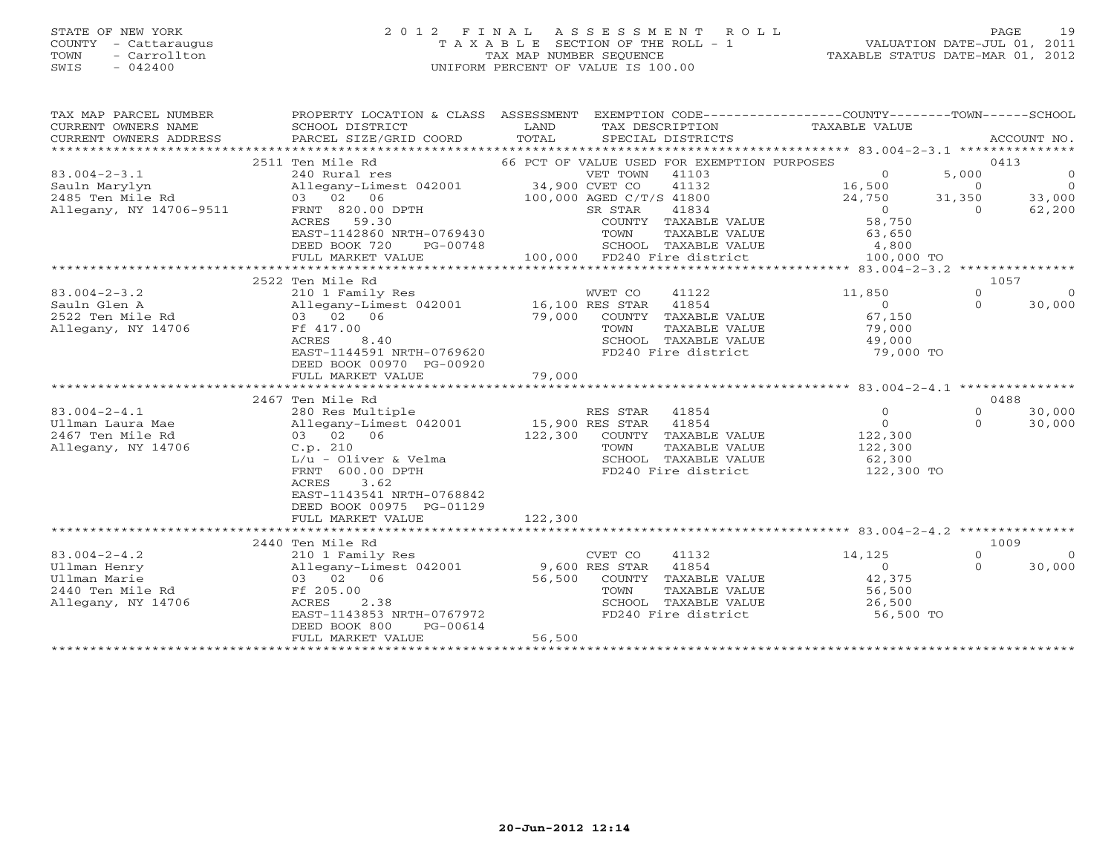#### STATE OF NEW YORK 2 0 1 2 F I N A L A S S E S S M E N T R O L L PAGE 19 COUNTY - Cattaraugus T A X A B L E SECTION OF THE ROLL - 1 VALUATION DATE-JUL 01, 2011 TOWN - Carrollton TAX MAP NUMBER SEQUENCE TAXABLE STATUS DATE-MAR 01, 2012 SWIS - 042400 UNIFORM PERCENT OF VALUE IS 100.00UNIFORM PERCENT OF VALUE IS 100.00

| 2511 Ten Mile Rd<br>66 PCT OF VALUE USED FOR EXEMPTION PURPOSES<br>0413<br>$83.004 - 2 - 3.1$<br>240 Rural res<br>VET TOWN 41103<br>$\Omega$<br>5,000<br>$\overline{0}$<br>16,500<br>$\overline{0}$<br>41132<br>$\Omega$<br>Sauln Marylyn<br>16,500<br>24,750<br>2485 Ten Mile Rd<br>100,000 AGED C/T/S 41800<br>31,350<br>33,000<br>62,200<br>Allegany, NY 14706-9511 FRNT 820.00 DPTH<br>$\overline{0}$<br>SR STAR<br>41834<br>$\Omega$<br>62,200<br>58,750<br>ACRES 59.30<br>COUNTY TAXABLE VALUE<br>EAST-1142860 NRTH-0769430<br>TOWN<br>TAXABLE VALUE<br>63,650<br>SCHOOL TAXABLE VALUE 4,800<br>DEED BOOK 720<br>PG-00748<br>100,000 FD240 Fire district 100,000 TO<br>FULL MARKET VALUE<br>1057<br>2522 Ten Mile Rd<br>$\Omega$<br>$83.004 - 2 - 3.2$<br>210 1 Family Res<br>WVET CO<br>41122<br>11,850<br>$\Omega$<br>$\sim$ 0 $\sim$<br>$\Omega$<br>30,000<br>Sauln Glen A<br>2522 Ten Mile Rd<br>NV 14706<br>COUNTY TAXABLE VALUE<br>$67, 100$<br>$79,000$<br>Ff 417.00<br>TOWN<br>TAXABLE VALUE<br>49,000<br>8.40<br>SCHOOL TAXABLE VALUE<br>ACRES<br>EAST-1144591 NRTH-0769620<br>FD240 Fire district<br>79,000 TO<br>DEED BOOK 00970 PG-00920<br>79,000<br>FULL MARKET VALUE<br>0488<br>2467 Ten Mile Rd<br>$83.004 - 2 - 4.1$<br>$\overline{0}$<br>$\Omega$<br>30,000<br>$\overline{0}$<br>$\Omega$<br>30,000<br>Ullman Laura Mae<br>122,300<br>122,300<br>2467 Ten Mile Rd<br>03 02 06<br>COUNTY TAXABLE VALUE<br>Allegany, NY 14706<br>C.p. 210<br>TAXABLE VALUE<br>122,300<br>TOWN<br>$L/u - Oliver & Velma$<br>62,300<br>SCHOOL TAXABLE VALUE<br>FRNT 600.00 DPTH<br>FD240 Fire district<br>$122,300$ TO<br>3.62<br>ACRES<br>EAST-1143541 NRTH-0768842<br>DEED BOOK 00975 PG-01129<br>122,300<br>FULL MARKET VALUE<br>2440 Ten Mile Rd<br>1009<br>$83.004 - 2 - 4.2$<br>14,125<br>$\Omega$<br>41132<br>$\Omega$<br>210 1 Family Res<br>Allegany-Limest 042001 9,600 RES STAR<br>03 02 06 56,500 COUNTY<br>41854<br>Ullman Henry<br>$\overline{0}$<br>$\Omega$<br>30,000<br>42,375<br>Ullman Marie<br>COUNTY TAXABLE VALUE<br>Ff 205.00<br>2440 Ten Mile Rd<br>TOWN<br>TAXABLE VALUE<br>56, 500<br>2.38<br>SCHOOL TAXABLE VALUE $26,500$<br>FD240 Fire district 56,500 TO<br>Allegany, NY 14706<br>ACRES<br>EAST-1143853 NRTH-0767972<br>DEED BOOK 800<br>PG-00614<br>56,500<br>FULL MARKET VALUE | TAX MAP PARCEL NUMBER<br>CURRENT OWNERS NAME<br>CURRENT OWNERS ADDRESS<br>********************* | PROPERTY LOCATION & CLASS ASSESSMENT<br>SCHOOL DISTRICT<br>PARCEL SIZE/GRID COORD | LAND<br>TAX DESCRIPTION TAXABLE VALUE<br>SPECIAL DISTRICTS<br>TOTAL<br>SPECIAL DISTRICTS | EXEMPTION CODE-----------------COUNTY-------TOWN------SCHOOL<br>ACCOUNT NO. |
|--------------------------------------------------------------------------------------------------------------------------------------------------------------------------------------------------------------------------------------------------------------------------------------------------------------------------------------------------------------------------------------------------------------------------------------------------------------------------------------------------------------------------------------------------------------------------------------------------------------------------------------------------------------------------------------------------------------------------------------------------------------------------------------------------------------------------------------------------------------------------------------------------------------------------------------------------------------------------------------------------------------------------------------------------------------------------------------------------------------------------------------------------------------------------------------------------------------------------------------------------------------------------------------------------------------------------------------------------------------------------------------------------------------------------------------------------------------------------------------------------------------------------------------------------------------------------------------------------------------------------------------------------------------------------------------------------------------------------------------------------------------------------------------------------------------------------------------------------------------------------------------------------------------------------------------------------------------------------------------------------------------------------------------------------------------------------------------------------------------------------------------------------------------------------------------------------------------------------------------------------------------------------------------------------------------------|-------------------------------------------------------------------------------------------------|-----------------------------------------------------------------------------------|------------------------------------------------------------------------------------------|-----------------------------------------------------------------------------|
|                                                                                                                                                                                                                                                                                                                                                                                                                                                                                                                                                                                                                                                                                                                                                                                                                                                                                                                                                                                                                                                                                                                                                                                                                                                                                                                                                                                                                                                                                                                                                                                                                                                                                                                                                                                                                                                                                                                                                                                                                                                                                                                                                                                                                                                                                                                    |                                                                                                 |                                                                                   |                                                                                          |                                                                             |
|                                                                                                                                                                                                                                                                                                                                                                                                                                                                                                                                                                                                                                                                                                                                                                                                                                                                                                                                                                                                                                                                                                                                                                                                                                                                                                                                                                                                                                                                                                                                                                                                                                                                                                                                                                                                                                                                                                                                                                                                                                                                                                                                                                                                                                                                                                                    |                                                                                                 |                                                                                   |                                                                                          |                                                                             |
|                                                                                                                                                                                                                                                                                                                                                                                                                                                                                                                                                                                                                                                                                                                                                                                                                                                                                                                                                                                                                                                                                                                                                                                                                                                                                                                                                                                                                                                                                                                                                                                                                                                                                                                                                                                                                                                                                                                                                                                                                                                                                                                                                                                                                                                                                                                    |                                                                                                 |                                                                                   |                                                                                          |                                                                             |
|                                                                                                                                                                                                                                                                                                                                                                                                                                                                                                                                                                                                                                                                                                                                                                                                                                                                                                                                                                                                                                                                                                                                                                                                                                                                                                                                                                                                                                                                                                                                                                                                                                                                                                                                                                                                                                                                                                                                                                                                                                                                                                                                                                                                                                                                                                                    |                                                                                                 |                                                                                   |                                                                                          |                                                                             |
|                                                                                                                                                                                                                                                                                                                                                                                                                                                                                                                                                                                                                                                                                                                                                                                                                                                                                                                                                                                                                                                                                                                                                                                                                                                                                                                                                                                                                                                                                                                                                                                                                                                                                                                                                                                                                                                                                                                                                                                                                                                                                                                                                                                                                                                                                                                    |                                                                                                 |                                                                                   |                                                                                          |                                                                             |
|                                                                                                                                                                                                                                                                                                                                                                                                                                                                                                                                                                                                                                                                                                                                                                                                                                                                                                                                                                                                                                                                                                                                                                                                                                                                                                                                                                                                                                                                                                                                                                                                                                                                                                                                                                                                                                                                                                                                                                                                                                                                                                                                                                                                                                                                                                                    |                                                                                                 |                                                                                   |                                                                                          |                                                                             |
|                                                                                                                                                                                                                                                                                                                                                                                                                                                                                                                                                                                                                                                                                                                                                                                                                                                                                                                                                                                                                                                                                                                                                                                                                                                                                                                                                                                                                                                                                                                                                                                                                                                                                                                                                                                                                                                                                                                                                                                                                                                                                                                                                                                                                                                                                                                    |                                                                                                 |                                                                                   |                                                                                          |                                                                             |
|                                                                                                                                                                                                                                                                                                                                                                                                                                                                                                                                                                                                                                                                                                                                                                                                                                                                                                                                                                                                                                                                                                                                                                                                                                                                                                                                                                                                                                                                                                                                                                                                                                                                                                                                                                                                                                                                                                                                                                                                                                                                                                                                                                                                                                                                                                                    |                                                                                                 |                                                                                   |                                                                                          |                                                                             |
|                                                                                                                                                                                                                                                                                                                                                                                                                                                                                                                                                                                                                                                                                                                                                                                                                                                                                                                                                                                                                                                                                                                                                                                                                                                                                                                                                                                                                                                                                                                                                                                                                                                                                                                                                                                                                                                                                                                                                                                                                                                                                                                                                                                                                                                                                                                    |                                                                                                 |                                                                                   |                                                                                          |                                                                             |
|                                                                                                                                                                                                                                                                                                                                                                                                                                                                                                                                                                                                                                                                                                                                                                                                                                                                                                                                                                                                                                                                                                                                                                                                                                                                                                                                                                                                                                                                                                                                                                                                                                                                                                                                                                                                                                                                                                                                                                                                                                                                                                                                                                                                                                                                                                                    |                                                                                                 |                                                                                   |                                                                                          |                                                                             |
|                                                                                                                                                                                                                                                                                                                                                                                                                                                                                                                                                                                                                                                                                                                                                                                                                                                                                                                                                                                                                                                                                                                                                                                                                                                                                                                                                                                                                                                                                                                                                                                                                                                                                                                                                                                                                                                                                                                                                                                                                                                                                                                                                                                                                                                                                                                    |                                                                                                 |                                                                                   |                                                                                          |                                                                             |
|                                                                                                                                                                                                                                                                                                                                                                                                                                                                                                                                                                                                                                                                                                                                                                                                                                                                                                                                                                                                                                                                                                                                                                                                                                                                                                                                                                                                                                                                                                                                                                                                                                                                                                                                                                                                                                                                                                                                                                                                                                                                                                                                                                                                                                                                                                                    |                                                                                                 |                                                                                   |                                                                                          |                                                                             |
|                                                                                                                                                                                                                                                                                                                                                                                                                                                                                                                                                                                                                                                                                                                                                                                                                                                                                                                                                                                                                                                                                                                                                                                                                                                                                                                                                                                                                                                                                                                                                                                                                                                                                                                                                                                                                                                                                                                                                                                                                                                                                                                                                                                                                                                                                                                    |                                                                                                 |                                                                                   |                                                                                          |                                                                             |
|                                                                                                                                                                                                                                                                                                                                                                                                                                                                                                                                                                                                                                                                                                                                                                                                                                                                                                                                                                                                                                                                                                                                                                                                                                                                                                                                                                                                                                                                                                                                                                                                                                                                                                                                                                                                                                                                                                                                                                                                                                                                                                                                                                                                                                                                                                                    |                                                                                                 |                                                                                   |                                                                                          |                                                                             |
|                                                                                                                                                                                                                                                                                                                                                                                                                                                                                                                                                                                                                                                                                                                                                                                                                                                                                                                                                                                                                                                                                                                                                                                                                                                                                                                                                                                                                                                                                                                                                                                                                                                                                                                                                                                                                                                                                                                                                                                                                                                                                                                                                                                                                                                                                                                    |                                                                                                 |                                                                                   |                                                                                          |                                                                             |
|                                                                                                                                                                                                                                                                                                                                                                                                                                                                                                                                                                                                                                                                                                                                                                                                                                                                                                                                                                                                                                                                                                                                                                                                                                                                                                                                                                                                                                                                                                                                                                                                                                                                                                                                                                                                                                                                                                                                                                                                                                                                                                                                                                                                                                                                                                                    |                                                                                                 |                                                                                   |                                                                                          |                                                                             |
|                                                                                                                                                                                                                                                                                                                                                                                                                                                                                                                                                                                                                                                                                                                                                                                                                                                                                                                                                                                                                                                                                                                                                                                                                                                                                                                                                                                                                                                                                                                                                                                                                                                                                                                                                                                                                                                                                                                                                                                                                                                                                                                                                                                                                                                                                                                    |                                                                                                 |                                                                                   |                                                                                          |                                                                             |
|                                                                                                                                                                                                                                                                                                                                                                                                                                                                                                                                                                                                                                                                                                                                                                                                                                                                                                                                                                                                                                                                                                                                                                                                                                                                                                                                                                                                                                                                                                                                                                                                                                                                                                                                                                                                                                                                                                                                                                                                                                                                                                                                                                                                                                                                                                                    |                                                                                                 |                                                                                   |                                                                                          |                                                                             |
|                                                                                                                                                                                                                                                                                                                                                                                                                                                                                                                                                                                                                                                                                                                                                                                                                                                                                                                                                                                                                                                                                                                                                                                                                                                                                                                                                                                                                                                                                                                                                                                                                                                                                                                                                                                                                                                                                                                                                                                                                                                                                                                                                                                                                                                                                                                    |                                                                                                 |                                                                                   |                                                                                          |                                                                             |
|                                                                                                                                                                                                                                                                                                                                                                                                                                                                                                                                                                                                                                                                                                                                                                                                                                                                                                                                                                                                                                                                                                                                                                                                                                                                                                                                                                                                                                                                                                                                                                                                                                                                                                                                                                                                                                                                                                                                                                                                                                                                                                                                                                                                                                                                                                                    |                                                                                                 |                                                                                   |                                                                                          |                                                                             |
|                                                                                                                                                                                                                                                                                                                                                                                                                                                                                                                                                                                                                                                                                                                                                                                                                                                                                                                                                                                                                                                                                                                                                                                                                                                                                                                                                                                                                                                                                                                                                                                                                                                                                                                                                                                                                                                                                                                                                                                                                                                                                                                                                                                                                                                                                                                    |                                                                                                 |                                                                                   |                                                                                          |                                                                             |
|                                                                                                                                                                                                                                                                                                                                                                                                                                                                                                                                                                                                                                                                                                                                                                                                                                                                                                                                                                                                                                                                                                                                                                                                                                                                                                                                                                                                                                                                                                                                                                                                                                                                                                                                                                                                                                                                                                                                                                                                                                                                                                                                                                                                                                                                                                                    |                                                                                                 |                                                                                   |                                                                                          |                                                                             |
|                                                                                                                                                                                                                                                                                                                                                                                                                                                                                                                                                                                                                                                                                                                                                                                                                                                                                                                                                                                                                                                                                                                                                                                                                                                                                                                                                                                                                                                                                                                                                                                                                                                                                                                                                                                                                                                                                                                                                                                                                                                                                                                                                                                                                                                                                                                    |                                                                                                 |                                                                                   |                                                                                          |                                                                             |
|                                                                                                                                                                                                                                                                                                                                                                                                                                                                                                                                                                                                                                                                                                                                                                                                                                                                                                                                                                                                                                                                                                                                                                                                                                                                                                                                                                                                                                                                                                                                                                                                                                                                                                                                                                                                                                                                                                                                                                                                                                                                                                                                                                                                                                                                                                                    |                                                                                                 |                                                                                   |                                                                                          |                                                                             |
|                                                                                                                                                                                                                                                                                                                                                                                                                                                                                                                                                                                                                                                                                                                                                                                                                                                                                                                                                                                                                                                                                                                                                                                                                                                                                                                                                                                                                                                                                                                                                                                                                                                                                                                                                                                                                                                                                                                                                                                                                                                                                                                                                                                                                                                                                                                    |                                                                                                 |                                                                                   |                                                                                          |                                                                             |
|                                                                                                                                                                                                                                                                                                                                                                                                                                                                                                                                                                                                                                                                                                                                                                                                                                                                                                                                                                                                                                                                                                                                                                                                                                                                                                                                                                                                                                                                                                                                                                                                                                                                                                                                                                                                                                                                                                                                                                                                                                                                                                                                                                                                                                                                                                                    |                                                                                                 |                                                                                   |                                                                                          |                                                                             |
|                                                                                                                                                                                                                                                                                                                                                                                                                                                                                                                                                                                                                                                                                                                                                                                                                                                                                                                                                                                                                                                                                                                                                                                                                                                                                                                                                                                                                                                                                                                                                                                                                                                                                                                                                                                                                                                                                                                                                                                                                                                                                                                                                                                                                                                                                                                    |                                                                                                 |                                                                                   |                                                                                          |                                                                             |
|                                                                                                                                                                                                                                                                                                                                                                                                                                                                                                                                                                                                                                                                                                                                                                                                                                                                                                                                                                                                                                                                                                                                                                                                                                                                                                                                                                                                                                                                                                                                                                                                                                                                                                                                                                                                                                                                                                                                                                                                                                                                                                                                                                                                                                                                                                                    |                                                                                                 |                                                                                   |                                                                                          |                                                                             |
|                                                                                                                                                                                                                                                                                                                                                                                                                                                                                                                                                                                                                                                                                                                                                                                                                                                                                                                                                                                                                                                                                                                                                                                                                                                                                                                                                                                                                                                                                                                                                                                                                                                                                                                                                                                                                                                                                                                                                                                                                                                                                                                                                                                                                                                                                                                    |                                                                                                 |                                                                                   |                                                                                          |                                                                             |
|                                                                                                                                                                                                                                                                                                                                                                                                                                                                                                                                                                                                                                                                                                                                                                                                                                                                                                                                                                                                                                                                                                                                                                                                                                                                                                                                                                                                                                                                                                                                                                                                                                                                                                                                                                                                                                                                                                                                                                                                                                                                                                                                                                                                                                                                                                                    |                                                                                                 |                                                                                   |                                                                                          |                                                                             |
|                                                                                                                                                                                                                                                                                                                                                                                                                                                                                                                                                                                                                                                                                                                                                                                                                                                                                                                                                                                                                                                                                                                                                                                                                                                                                                                                                                                                                                                                                                                                                                                                                                                                                                                                                                                                                                                                                                                                                                                                                                                                                                                                                                                                                                                                                                                    |                                                                                                 |                                                                                   |                                                                                          |                                                                             |
|                                                                                                                                                                                                                                                                                                                                                                                                                                                                                                                                                                                                                                                                                                                                                                                                                                                                                                                                                                                                                                                                                                                                                                                                                                                                                                                                                                                                                                                                                                                                                                                                                                                                                                                                                                                                                                                                                                                                                                                                                                                                                                                                                                                                                                                                                                                    |                                                                                                 |                                                                                   |                                                                                          |                                                                             |
|                                                                                                                                                                                                                                                                                                                                                                                                                                                                                                                                                                                                                                                                                                                                                                                                                                                                                                                                                                                                                                                                                                                                                                                                                                                                                                                                                                                                                                                                                                                                                                                                                                                                                                                                                                                                                                                                                                                                                                                                                                                                                                                                                                                                                                                                                                                    |                                                                                                 |                                                                                   |                                                                                          |                                                                             |
|                                                                                                                                                                                                                                                                                                                                                                                                                                                                                                                                                                                                                                                                                                                                                                                                                                                                                                                                                                                                                                                                                                                                                                                                                                                                                                                                                                                                                                                                                                                                                                                                                                                                                                                                                                                                                                                                                                                                                                                                                                                                                                                                                                                                                                                                                                                    |                                                                                                 |                                                                                   |                                                                                          |                                                                             |
|                                                                                                                                                                                                                                                                                                                                                                                                                                                                                                                                                                                                                                                                                                                                                                                                                                                                                                                                                                                                                                                                                                                                                                                                                                                                                                                                                                                                                                                                                                                                                                                                                                                                                                                                                                                                                                                                                                                                                                                                                                                                                                                                                                                                                                                                                                                    |                                                                                                 |                                                                                   |                                                                                          |                                                                             |
|                                                                                                                                                                                                                                                                                                                                                                                                                                                                                                                                                                                                                                                                                                                                                                                                                                                                                                                                                                                                                                                                                                                                                                                                                                                                                                                                                                                                                                                                                                                                                                                                                                                                                                                                                                                                                                                                                                                                                                                                                                                                                                                                                                                                                                                                                                                    |                                                                                                 |                                                                                   |                                                                                          |                                                                             |
|                                                                                                                                                                                                                                                                                                                                                                                                                                                                                                                                                                                                                                                                                                                                                                                                                                                                                                                                                                                                                                                                                                                                                                                                                                                                                                                                                                                                                                                                                                                                                                                                                                                                                                                                                                                                                                                                                                                                                                                                                                                                                                                                                                                                                                                                                                                    |                                                                                                 |                                                                                   |                                                                                          |                                                                             |
|                                                                                                                                                                                                                                                                                                                                                                                                                                                                                                                                                                                                                                                                                                                                                                                                                                                                                                                                                                                                                                                                                                                                                                                                                                                                                                                                                                                                                                                                                                                                                                                                                                                                                                                                                                                                                                                                                                                                                                                                                                                                                                                                                                                                                                                                                                                    |                                                                                                 |                                                                                   |                                                                                          |                                                                             |
|                                                                                                                                                                                                                                                                                                                                                                                                                                                                                                                                                                                                                                                                                                                                                                                                                                                                                                                                                                                                                                                                                                                                                                                                                                                                                                                                                                                                                                                                                                                                                                                                                                                                                                                                                                                                                                                                                                                                                                                                                                                                                                                                                                                                                                                                                                                    |                                                                                                 |                                                                                   |                                                                                          |                                                                             |
|                                                                                                                                                                                                                                                                                                                                                                                                                                                                                                                                                                                                                                                                                                                                                                                                                                                                                                                                                                                                                                                                                                                                                                                                                                                                                                                                                                                                                                                                                                                                                                                                                                                                                                                                                                                                                                                                                                                                                                                                                                                                                                                                                                                                                                                                                                                    |                                                                                                 |                                                                                   |                                                                                          |                                                                             |
|                                                                                                                                                                                                                                                                                                                                                                                                                                                                                                                                                                                                                                                                                                                                                                                                                                                                                                                                                                                                                                                                                                                                                                                                                                                                                                                                                                                                                                                                                                                                                                                                                                                                                                                                                                                                                                                                                                                                                                                                                                                                                                                                                                                                                                                                                                                    |                                                                                                 |                                                                                   |                                                                                          |                                                                             |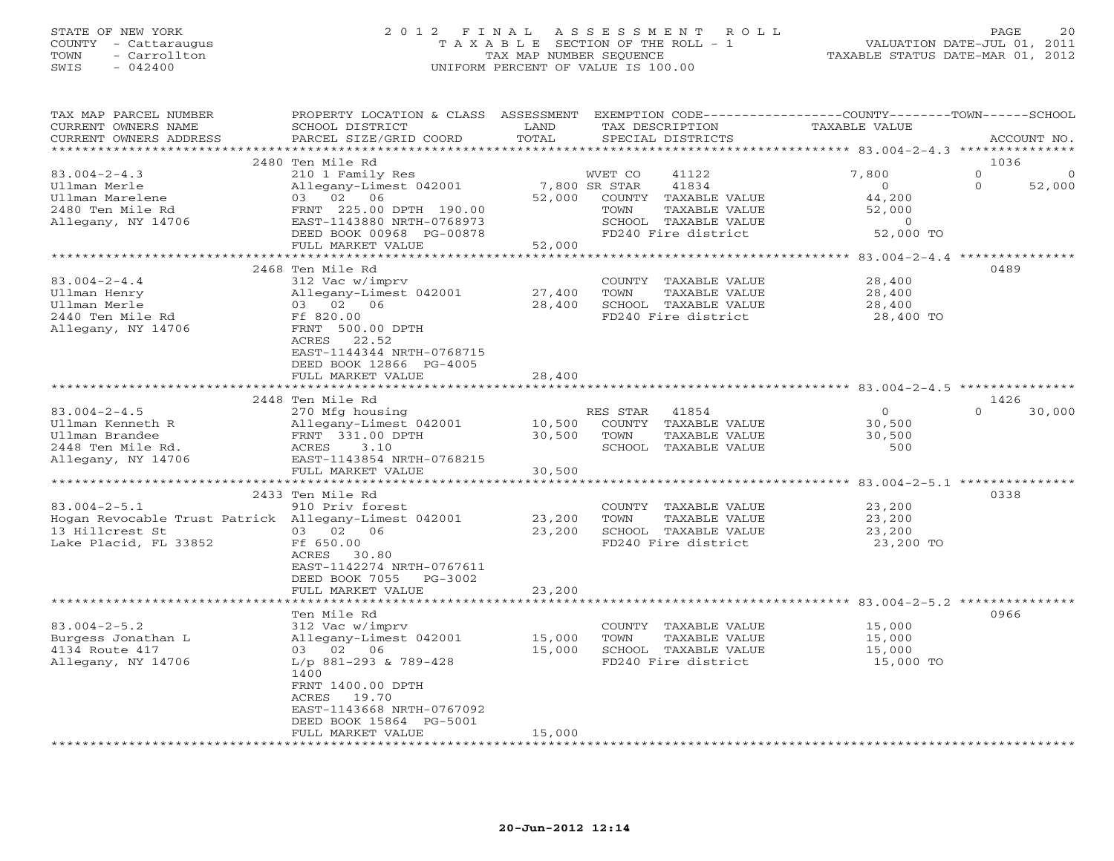## STATE OF NEW YORK 2 0 1 2 F I N A L A S S E S S M E N T R O L L PAGE 20 COUNTY - Cattaraugus T A X A B L E SECTION OF THE ROLL - 1 VALUATION DATE-JUL 01, 2011 TOWN - Carrollton TAX MAP NUMBER SEQUENCE TAXABLE STATUS DATE-MAR 01, 2012 SWIS - 042400 UNIFORM PERCENT OF VALUE IS 100.00UNIFORM PERCENT OF VALUE IS 100.00

| TAX MAP PARCEL NUMBER<br>CURRENT OWNERS NAME         | PROPERTY LOCATION & CLASS ASSESSMENT<br>SCHOOL DISTRICT | LAND                   |               | TAX DESCRIPTION      | EXEMPTION CODE----------------COUNTY-------TOWN------SCHOOL<br>TAXABLE VALUE |                    |
|------------------------------------------------------|---------------------------------------------------------|------------------------|---------------|----------------------|------------------------------------------------------------------------------|--------------------|
| CURRENT OWNERS ADDRESS                               | PARCEL SIZE/GRID COORD                                  | TOTAL<br>**********    |               | SPECIAL DISTRICTS    |                                                                              | ACCOUNT NO.        |
|                                                      |                                                         |                        |               |                      | ************ 83.004-2-4.3 ***************                                    | 1036               |
|                                                      | 2480 Ten Mile Rd                                        |                        |               |                      |                                                                              |                    |
| $83.004 - 2 - 4.3$                                   | 210 1 Family Res                                        |                        | WVET CO       | 41122                | 7,800                                                                        | $\circ$            |
| Ullman Merle                                         | Allegany-Limest 042001                                  |                        | 7,800 SR STAR | 41834                | $\Omega$                                                                     | $\Omega$<br>52,000 |
| Ullman Marelene                                      | 03 02 06                                                | 52,000                 |               | COUNTY TAXABLE VALUE | 44,200                                                                       |                    |
| 2480 Ten Mile Rd                                     | FRNT 225.00 DPTH 190.00                                 |                        | TOWN          | TAXABLE VALUE        | 52,000                                                                       |                    |
| Allegany, NY 14706                                   | EAST-1143880 NRTH-0768973                               |                        |               | SCHOOL TAXABLE VALUE | $\overline{0}$                                                               |                    |
|                                                      | DEED BOOK 00968 PG-00878                                |                        |               | FD240 Fire district  | 52,000 TO                                                                    |                    |
|                                                      | FULL MARKET VALUE                                       | 52,000<br>************ |               |                      |                                                                              |                    |
|                                                      |                                                         |                        |               |                      |                                                                              |                    |
|                                                      | 2468 Ten Mile Rd                                        |                        |               |                      |                                                                              | 0489               |
| $83.004 - 2 - 4.4$                                   | 312 Vac w/imprv                                         |                        |               | COUNTY TAXABLE VALUE | 28,400                                                                       |                    |
| Ullman Henry                                         | Allegany-Limest 042001                                  | 27,400                 | TOWN          | TAXABLE VALUE        | 28,400                                                                       |                    |
| Ullman Merle                                         | 03 02 06                                                | 28,400                 |               | SCHOOL TAXABLE VALUE | 28,400                                                                       |                    |
| 2440 Ten Mile Rd                                     | Ff 820.00                                               |                        |               | FD240 Fire district  | 28,400 TO                                                                    |                    |
| Allegany, NY 14706                                   | FRNT 500.00 DPTH                                        |                        |               |                      |                                                                              |                    |
|                                                      | ACRES 22.52                                             |                        |               |                      |                                                                              |                    |
|                                                      | EAST-1144344 NRTH-0768715                               |                        |               |                      |                                                                              |                    |
|                                                      | DEED BOOK 12866 PG-4005                                 |                        |               |                      |                                                                              |                    |
|                                                      | FULL MARKET VALUE                                       | 28,400                 |               |                      |                                                                              |                    |
|                                                      | *************************                               | *********************  |               |                      | **************************************53.004-2-4.5 ****************          |                    |
|                                                      | 2448 Ten Mile Rd                                        |                        |               |                      |                                                                              | 1426               |
| $83.004 - 2 - 4.5$                                   | 270 Mfg housing                                         |                        | RES STAR      | 41854                | $\mathbf{O}$                                                                 | $\cap$<br>30,000   |
| Ullman Kenneth R                                     | Allegany-Limest 042001                                  | 10,500                 |               | COUNTY TAXABLE VALUE | 30,500                                                                       |                    |
| Ullman Brandee                                       | FRNT 331.00 DPTH                                        | 30,500                 | TOWN          | TAXABLE VALUE        | 30,500                                                                       |                    |
| 2448 Ten Mile Rd.                                    | ACRES<br>3.10                                           |                        |               | SCHOOL TAXABLE VALUE | 500                                                                          |                    |
| Allegany, NY 14706                                   | EAST-1143854 NRTH-0768215                               |                        |               |                      |                                                                              |                    |
|                                                      | FULL MARKET VALUE                                       | 30,500                 |               |                      |                                                                              |                    |
|                                                      |                                                         |                        |               |                      |                                                                              |                    |
|                                                      | 2433 Ten Mile Rd                                        |                        |               |                      |                                                                              | 0338               |
| $83.004 - 2 - 5.1$                                   | 910 Priv forest                                         |                        |               | COUNTY TAXABLE VALUE | 23,200                                                                       |                    |
| Hogan Revocable Trust Patrick Allegany-Limest 042001 |                                                         | 23,200                 | TOWN          | TAXABLE VALUE        | 23,200                                                                       |                    |
| 13 Hillcrest St                                      | 03 02 06                                                | 23,200                 |               | SCHOOL TAXABLE VALUE | 23,200                                                                       |                    |
| Lake Placid, FL 33852                                | Ff 650.00                                               |                        |               | FD240 Fire district  | 23,200 TO                                                                    |                    |
|                                                      | ACRES 30.80                                             |                        |               |                      |                                                                              |                    |
|                                                      | EAST-1142274 NRTH-0767611                               |                        |               |                      |                                                                              |                    |
|                                                      | DEED BOOK 7055 PG-3002                                  |                        |               |                      |                                                                              |                    |
|                                                      | FULL MARKET VALUE                                       | 23,200                 |               |                      |                                                                              |                    |
|                                                      | *************************                               |                        |               |                      |                                                                              |                    |
|                                                      | Ten Mile Rd                                             |                        |               |                      |                                                                              | 0966               |
| $83.004 - 2 - 5.2$                                   | 312 Vac w/imprv                                         |                        |               | COUNTY TAXABLE VALUE | 15,000                                                                       |                    |
| Burgess Jonathan L                                   | Allegany-Limest 042001                                  | 15,000                 | TOWN          | TAXABLE VALUE        | 15,000                                                                       |                    |
| 4134 Route 417                                       | 03 02 06                                                | 15,000                 |               | SCHOOL TAXABLE VALUE | 15,000                                                                       |                    |
| Allegany, NY 14706                                   | L/p 881-293 & 789-428<br>1400                           |                        |               | FD240 Fire district  | 15,000 TO                                                                    |                    |
|                                                      | FRNT 1400.00 DPTH                                       |                        |               |                      |                                                                              |                    |
|                                                      | 19.70<br>ACRES                                          |                        |               |                      |                                                                              |                    |
|                                                      | EAST-1143668 NRTH-0767092                               |                        |               |                      |                                                                              |                    |
|                                                      | DEED BOOK 15864 PG-5001                                 |                        |               |                      |                                                                              |                    |
|                                                      | FULL MARKET VALUE                                       | 15,000                 |               |                      |                                                                              |                    |
|                                                      | *******************                                     |                        |               |                      |                                                                              |                    |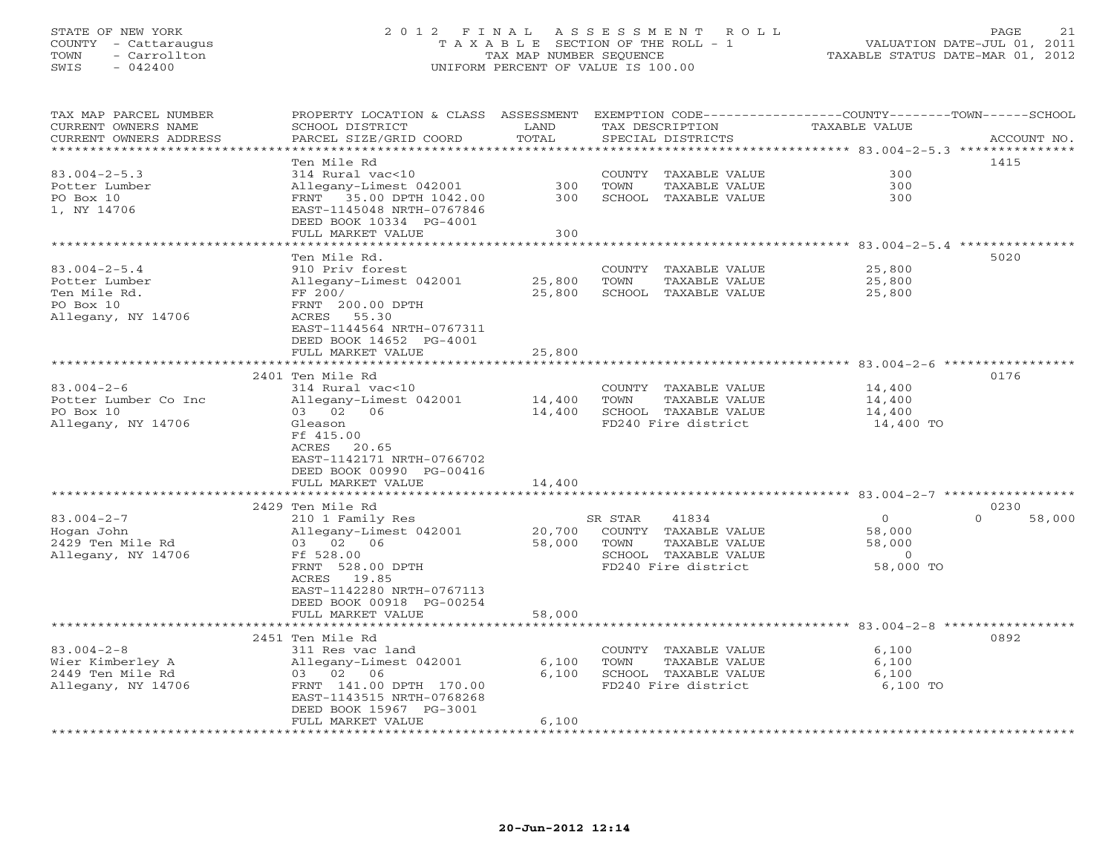# STATE OF NEW YORK 2 0 1 2 F I N A L A S S E S S M E N T R O L L PAGE 21 COUNTY - Cattaraugus T A X A B L E SECTION OF THE ROLL - 1 VALUATION DATE-JUL 01, 2011 TOWN - Carrollton TAX MAP NUMBER SEQUENCE TAXABLE STATUS DATE-MAR 01, 2012 SWIS - 042400 UNIFORM PERCENT OF VALUE IS 100.00UNIFORM PERCENT OF VALUE IS 100.00

| TAX MAP PARCEL NUMBER<br>CURRENT OWNERS NAME | PROPERTY LOCATION & CLASS ASSESSMENT<br>SCHOOL DISTRICT | LAND      |         | TAX DESCRIPTION      | EXEMPTION CODE-----------------COUNTY-------TOWN------SCHOOL<br>TAXABLE VALUE |                    |
|----------------------------------------------|---------------------------------------------------------|-----------|---------|----------------------|-------------------------------------------------------------------------------|--------------------|
| CURRENT OWNERS ADDRESS                       | PARCEL SIZE/GRID COORD                                  | TOTAL     |         | SPECIAL DISTRICTS    |                                                                               | ACCOUNT NO.        |
| **********************                       |                                                         |           |         |                      |                                                                               |                    |
|                                              | Ten Mile Rd                                             |           |         |                      |                                                                               | 1415               |
| $83.004 - 2 - 5.3$                           | 314 Rural vac<10                                        |           |         | COUNTY TAXABLE VALUE | 300                                                                           |                    |
| Potter Lumber                                | Allegany-Limest 042001                                  | 300       | TOWN    | TAXABLE VALUE        | 300                                                                           |                    |
| PO Box 10                                    | FRNT 35.00 DPTH 1042.00                                 | 300       |         | SCHOOL TAXABLE VALUE | 300                                                                           |                    |
| 1, NY 14706                                  | EAST-1145048 NRTH-0767846                               |           |         |                      |                                                                               |                    |
|                                              | DEED BOOK 10334 PG-4001                                 |           |         |                      |                                                                               |                    |
|                                              | FULL MARKET VALUE                                       | 300       |         |                      |                                                                               |                    |
|                                              |                                                         | ********* |         |                      | *********** 83.004-2-5.4 ***********                                          |                    |
|                                              | Ten Mile Rd.                                            |           |         |                      |                                                                               | 5020               |
| $83.004 - 2 - 5.4$                           | 910 Priv forest                                         |           |         | COUNTY TAXABLE VALUE | 25,800                                                                        |                    |
| Potter Lumber                                | Allegany-Limest 042001                                  | 25,800    | TOWN    | TAXABLE VALUE        | 25,800                                                                        |                    |
| Ten Mile Rd.                                 | FF 200/                                                 | 25,800    |         | SCHOOL TAXABLE VALUE | 25,800                                                                        |                    |
| PO Box 10                                    | FRNT 200.00 DPTH                                        |           |         |                      |                                                                               |                    |
| Allegany, NY 14706                           | ACRES 55.30                                             |           |         |                      |                                                                               |                    |
|                                              | EAST-1144564 NRTH-0767311                               |           |         |                      |                                                                               |                    |
|                                              | DEED BOOK 14652 PG-4001                                 |           |         |                      |                                                                               |                    |
|                                              | FULL MARKET VALUE                                       | 25,800    |         |                      |                                                                               |                    |
|                                              |                                                         |           |         |                      |                                                                               |                    |
|                                              | 2401 Ten Mile Rd                                        |           |         |                      |                                                                               | 0176               |
| $83.004 - 2 - 6$                             | 314 Rural vac<10                                        |           |         | COUNTY TAXABLE VALUE | 14,400                                                                        |                    |
| Potter Lumber Co Inc                         | Allegany-Limest 042001                                  | 14,400    | TOWN    | TAXABLE VALUE        | 14,400                                                                        |                    |
| PO Box 10                                    | 03 02 06                                                | 14,400    |         | SCHOOL TAXABLE VALUE | 14,400                                                                        |                    |
| Allegany, NY 14706                           | Gleason                                                 |           |         | FD240 Fire district  | 14,400 TO                                                                     |                    |
|                                              | Ff 415.00                                               |           |         |                      |                                                                               |                    |
|                                              | ACRES 20.65                                             |           |         |                      |                                                                               |                    |
|                                              | EAST-1142171 NRTH-0766702                               |           |         |                      |                                                                               |                    |
|                                              | DEED BOOK 00990 PG-00416                                |           |         |                      |                                                                               |                    |
|                                              | FULL MARKET VALUE                                       | 14,400    |         |                      |                                                                               |                    |
|                                              |                                                         |           |         |                      |                                                                               |                    |
|                                              | 2429 Ten Mile Rd                                        |           |         |                      |                                                                               | 0230               |
| $83.004 - 2 - 7$                             | 210 1 Family Res                                        |           | SR STAR | 41834                | $\circ$                                                                       | $\Omega$<br>58,000 |
| Hogan John                                   | Allegany-Limest 042001                                  | 20,700    |         | COUNTY TAXABLE VALUE | 58,000                                                                        |                    |
| 2429 Ten Mile Rd                             | 03 02 06                                                | 58,000    | TOWN    | TAXABLE VALUE        | 58,000                                                                        |                    |
| Allegany, NY 14706                           | Ff 528.00                                               |           |         | SCHOOL TAXABLE VALUE | $\Omega$                                                                      |                    |
|                                              | FRNT 528.00 DPTH                                        |           |         | FD240 Fire district  | 58,000 TO                                                                     |                    |
|                                              | ACRES 19.85                                             |           |         |                      |                                                                               |                    |
|                                              | EAST-1142280 NRTH-0767113                               |           |         |                      |                                                                               |                    |
|                                              | DEED BOOK 00918 PG-00254                                |           |         |                      |                                                                               |                    |
|                                              | FULL MARKET VALUE                                       | 58,000    |         |                      |                                                                               |                    |
|                                              | ***********************                                 |           |         |                      |                                                                               |                    |
|                                              | 2451 Ten Mile Rd                                        |           |         |                      |                                                                               | 0892               |
| $83.004 - 2 - 8$                             | 311 Res vac land                                        |           |         | COUNTY TAXABLE VALUE | 6,100                                                                         |                    |
| Wier Kimberley A                             | Allegany-Limest 042001                                  | 6,100     | TOWN    | TAXABLE VALUE        | 6,100                                                                         |                    |
| 2449 Ten Mile Rd                             | 03 02 06                                                | 6,100     |         | SCHOOL TAXABLE VALUE | 6,100                                                                         |                    |
| Allegany, NY 14706                           | FRNT 141.00 DPTH 170.00                                 |           |         | FD240 Fire district  | 6,100 TO                                                                      |                    |
|                                              | EAST-1143515 NRTH-0768268                               |           |         |                      |                                                                               |                    |
|                                              | DEED BOOK 15967 PG-3001                                 |           |         |                      |                                                                               |                    |
|                                              | FULL MARKET VALUE                                       | 6,100     |         |                      |                                                                               |                    |
|                                              |                                                         |           |         |                      |                                                                               |                    |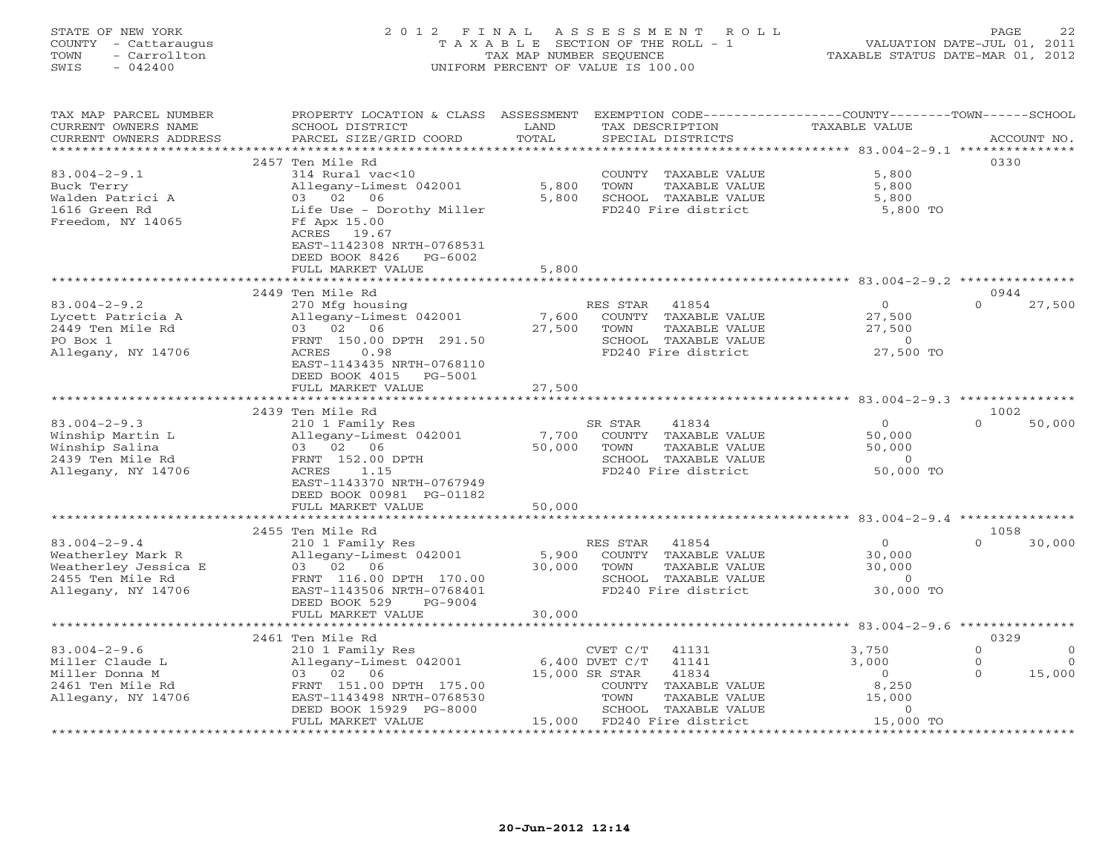STATE OF NEW YORK 2 0 1 2 F I N A L A S S E S S M E N T R O L L PAGE 22 COUNTY - Cattaraugus T A X A B L E SECTION OF THE ROLL - 1 VALUATION DATE-JUL 01, 2011 TOWN - Carrollton TAX MAP NUMBER SEQUENCE TAXABLE STATUS DATE-MAR 01, 2012 SWIS - 042400 UNIFORM PERCENT OF VALUE IS 100.00

| TAX MAP PARCEL NUMBER  | PROPERTY LOCATION & CLASS ASSESSMENT                  |                                |                            | EXEMPTION CODE-----------------COUNTY-------TOWN------SCHOOL |                     |
|------------------------|-------------------------------------------------------|--------------------------------|----------------------------|--------------------------------------------------------------|---------------------|
| CURRENT OWNERS NAME    | SCHOOL DISTRICT                                       | LAND                           | TAX DESCRIPTION            | <b>TAXABLE VALUE</b>                                         |                     |
| CURRENT OWNERS ADDRESS | PARCEL SIZE/GRID COORD                                | TOTAL                          | SPECIAL DISTRICTS          |                                                              | ACCOUNT NO.         |
|                        | 2457 Ten Mile Rd                                      |                                |                            |                                                              | 0330                |
| $83.004 - 2 - 9.1$     | 314 Rural vac<10                                      |                                | COUNTY TAXABLE VALUE       | 5,800                                                        |                     |
| Buck Terry             | Allegany-Limest 042001                                | 5,800                          | TAXABLE VALUE<br>TOWN      | 5,800                                                        |                     |
| Walden Patrici A       | 03 02 06                                              | 5,800                          | SCHOOL TAXABLE VALUE       | 5,800                                                        |                     |
| 1616 Green Rd          | Life Use - Dorothy Miller                             |                                | FD240 Fire district        | 5,800 TO                                                     |                     |
| Freedom, NY 14065      | Ff Apx 15.00                                          |                                |                            |                                                              |                     |
|                        | ACRES 19.67                                           |                                |                            |                                                              |                     |
|                        | EAST-1142308 NRTH-0768531                             |                                |                            |                                                              |                     |
|                        | DEED BOOK 8426 PG-6002                                |                                |                            |                                                              |                     |
|                        | FULL MARKET VALUE                                     | 5,800                          |                            |                                                              |                     |
|                        |                                                       |                                |                            |                                                              |                     |
|                        | 2449 Ten Mile Rd                                      |                                |                            |                                                              | 0944                |
| $83.004 - 2 - 9.2$     | 270 Mfg housing                                       |                                | RES STAR<br>41854          | $\Omega$                                                     | $\Omega$<br>27,500  |
| Lycett Patricia A      | Allegany-Limest 042001                                | 7,600                          | COUNTY TAXABLE VALUE       | 27,500                                                       |                     |
| 2449 Ten Mile Rd       | 03 02 06                                              | 27,500                         | TOWN<br>TAXABLE VALUE      | 27,500                                                       |                     |
| PO Box 1               | FRNT 150.00 DPTH 291.50                               |                                | SCHOOL TAXABLE VALUE       | $\Omega$                                                     |                     |
| Allegany, NY 14706     | ACRES<br>0.98                                         |                                | FD240 Fire district        | 27,500 TO                                                    |                     |
|                        | EAST-1143435 NRTH-0768110                             |                                |                            |                                                              |                     |
|                        | DEED BOOK 4015 PG-5001                                |                                |                            |                                                              |                     |
|                        | FULL MARKET VALUE<br>*************************        | 27,500<br>******************** |                            |                                                              |                     |
|                        | 2439 Ten Mile Rd                                      |                                |                            |                                                              | 1002                |
| $83.004 - 2 - 9.3$     | 210 1 Family Res                                      |                                | 41834<br>SR STAR           | $\Omega$                                                     | $\Omega$<br>50,000  |
| Winship Martin L       | Allegany-Limest 042001                                | 7,700                          | COUNTY TAXABLE VALUE       | 50,000                                                       |                     |
| Winship Salina         | 03 02 06                                              | 50,000                         | TOWN<br>TAXABLE VALUE      | 50,000                                                       |                     |
| 2439 Ten Mile Rd       | FRNT 152.00 DPTH                                      |                                | SCHOOL TAXABLE VALUE       | $\circ$                                                      |                     |
| Allegany, NY 14706     | ACRES<br>1.15                                         |                                | FD240 Fire district        | 50,000 TO                                                    |                     |
|                        | EAST-1143370 NRTH-0767949                             |                                |                            |                                                              |                     |
|                        | DEED BOOK 00981 PG-01182                              |                                |                            |                                                              |                     |
|                        | FULL MARKET VALUE                                     | 50,000                         |                            |                                                              |                     |
|                        |                                                       |                                |                            |                                                              |                     |
|                        | 2455 Ten Mile Rd                                      |                                |                            |                                                              | 1058                |
| $83.004 - 2 - 9.4$     | 210 1 Family Res                                      |                                | RES STAR 41854             | $\circ$                                                      | $\Omega$<br>30,000  |
| Weatherley Mark R      | Allegany-Limest 042001                                | 5,900                          | COUNTY TAXABLE VALUE       | 30,000                                                       |                     |
| Weatherley Jessica E   | 03 02 06                                              | 30,000                         | TOWN<br>TAXABLE VALUE      | 30,000                                                       |                     |
| 2455 Ten Mile Rd       | FRNT 116.00 DPTH 170.00                               |                                | SCHOOL TAXABLE VALUE       | $\circ$                                                      |                     |
| Allegany, NY 14706     | EAST-1143506 NRTH-0768401<br>DEED BOOK 529<br>PG-9004 |                                | FD240 Fire district        | 30,000 TO                                                    |                     |
|                        | FULL MARKET VALUE                                     | 30,000                         |                            |                                                              |                     |
|                        |                                                       |                                |                            |                                                              |                     |
|                        | 2461 Ten Mile Rd                                      |                                |                            |                                                              | 0329                |
| $83.004 - 2 - 9.6$     | 210 1 Family Res                                      |                                | CVET C/T<br>41131          | 3,750                                                        | $\circ$<br>$\Omega$ |
| Miller Claude L        | Allegany-Limest 042001                                |                                | 6,400 DVET C/T<br>41141    | 3,000                                                        | $\circ$<br>$\circ$  |
| Miller Donna M         | 03 02 06                                              |                                | 15,000 SR STAR<br>41834    | $\overline{0}$                                               | $\Omega$<br>15,000  |
| 2461 Ten Mile Rd       | FRNT 151.00 DPTH 175.00                               |                                | COUNTY TAXABLE VALUE       | 8,250                                                        |                     |
| Allegany, NY 14706     | EAST-1143498 NRTH-0768530                             |                                | TOWN<br>TAXABLE VALUE      | 15,000                                                       |                     |
|                        | DEED BOOK 15929 PG-8000                               |                                | SCHOOL TAXABLE VALUE       | $\circ$                                                      |                     |
|                        | FULL MARKET VALUE                                     |                                | 15,000 FD240 Fire district | 15,000 TO                                                    |                     |
|                        |                                                       |                                |                            |                                                              |                     |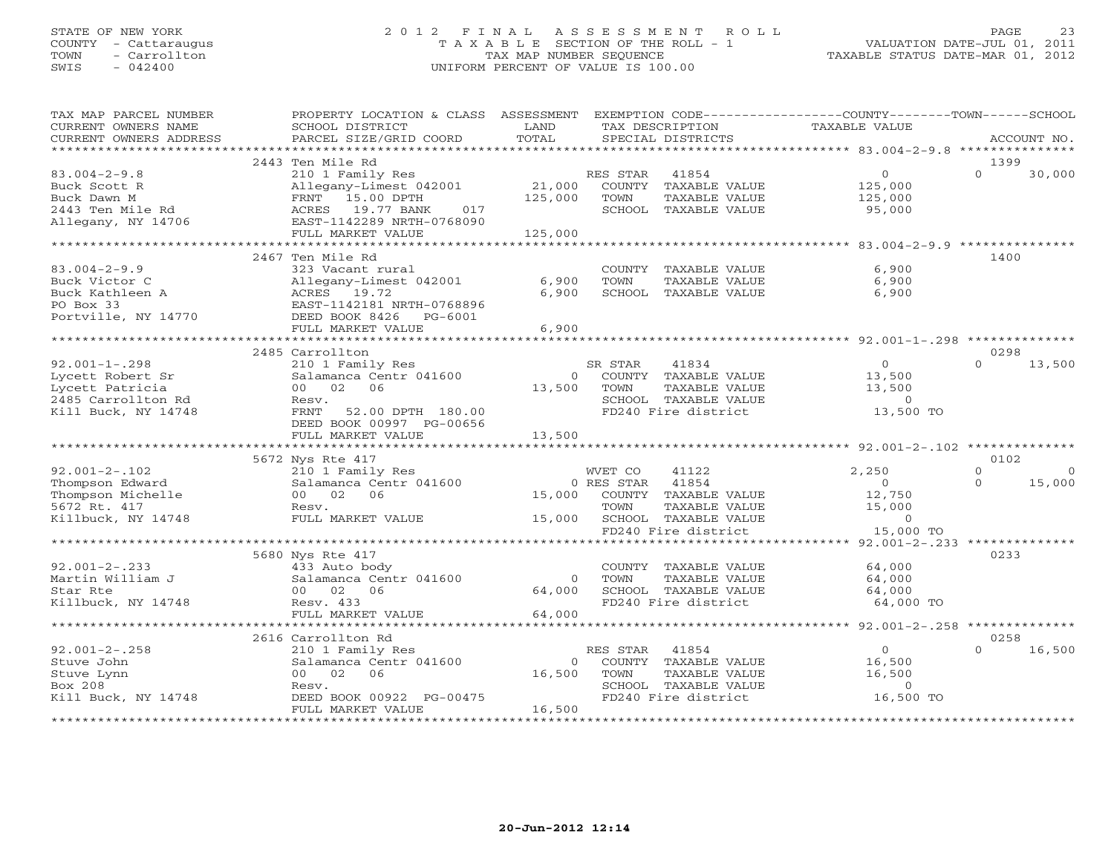# STATE OF NEW YORK 2 0 1 2 F I N A L A S S E S S M E N T R O L L PAGE 23 COUNTY - Cattaraugus T A X A B L E SECTION OF THE ROLL - 1 VALUATION DATE-JUL 01, 2011 TOWN - Carrollton - Carrollton TAX MAP NUMBER SEQUENCE TAXABLE STATUS DATE-MAR 01, 2012<br>
TOWN - Carrollton - Carrollton - Carrollton - Carrollton - TAXABLE STATUS DATE-MAR 01, 2012 SWIS - 042400 UNIFORM PERCENT OF VALUE IS 100.00

| TAX MAP PARCEL NUMBER<br>CURRENT OWNERS NAME<br>CURRENT OWNERS ADDRESS | PROPERTY LOCATION & CLASS ASSESSMENT<br>SCHOOL DISTRICT<br>PARCEL SIZE/GRID COORD | LAND<br>TOTAL  |            | TAX DESCRIPTION<br>SPECIAL DISTRICTS  | EXEMPTION CODE-----------------COUNTY-------TOWN------SCHOOL<br>TAXABLE VALUE |          | ACCOUNT NO. |
|------------------------------------------------------------------------|-----------------------------------------------------------------------------------|----------------|------------|---------------------------------------|-------------------------------------------------------------------------------|----------|-------------|
|                                                                        |                                                                                   |                |            |                                       |                                                                               |          |             |
|                                                                        | 2443 Ten Mile Rd                                                                  |                |            |                                       |                                                                               | 1399     |             |
| $83.004 - 2 - 9.8$<br>Buck Scott R                                     | 210 1 Family Res<br>Allegany-Limest 042001                                        | 21,000         | RES STAR   | 41854<br>COUNTY TAXABLE VALUE         | $0 \qquad \qquad$<br>125,000                                                  | $\Omega$ | 30,000      |
| Buck Dawn M                                                            | 15.00 DPTH<br>FRNT                                                                | 125,000        | TOWN       | TAXABLE VALUE                         | 125,000                                                                       |          |             |
| 2443 Ten Mile Rd                                                       | ACRES 19.77 BANK<br>017                                                           |                |            | SCHOOL TAXABLE VALUE                  | 95,000                                                                        |          |             |
| Allegany, NY 14706                                                     | EAST-1142289 NRTH-0768090                                                         |                |            |                                       |                                                                               |          |             |
|                                                                        | FULL MARKET VALUE                                                                 | 125,000        |            |                                       |                                                                               |          |             |
|                                                                        |                                                                                   |                |            |                                       |                                                                               |          |             |
|                                                                        | 2467 Ten Mile Rd                                                                  |                |            |                                       |                                                                               | 1400     |             |
| $83.004 - 2 - 9.9$                                                     | 323 Vacant rural                                                                  | 6,900          | TOWN       | COUNTY TAXABLE VALUE<br>TAXABLE VALUE | 6,900                                                                         |          |             |
| Buck Victor C                                                          | Allegany-Limest 042001                                                            | 6,900          |            |                                       | 6,900                                                                         |          |             |
| Buck Kathleen A<br>PO Box 33                                           | ACRES 19.72                                                                       |                |            | SCHOOL TAXABLE VALUE                  | 6,900                                                                         |          |             |
|                                                                        | EAST-1142181 NRTH-0768896                                                         |                |            |                                       |                                                                               |          |             |
| Portville, NY 14770                                                    | DEED BOOK 8426 PG-6001<br>FULL MARKET VALUE                                       | 6,900          |            |                                       |                                                                               |          |             |
|                                                                        |                                                                                   |                |            |                                       |                                                                               |          |             |
|                                                                        | 2485 Carrollton                                                                   |                |            |                                       |                                                                               | 0298     |             |
| $92.001 - 1 - .298$                                                    | 210 1 Family Res                                                                  |                | SR STAR    | 41834                                 | $\overline{0}$                                                                | $\Omega$ | 13,500      |
| Lycett Robert Sr                                                       | Salamanca Centr 041600                                                            | $\overline{0}$ |            | COUNTY TAXABLE VALUE                  | 13,500                                                                        |          |             |
| Lycett Patricia                                                        | 00 02 06                                                                          | 13,500         | TOWN       | TAXABLE VALUE                         | 13,500                                                                        |          |             |
| 2485 Carrollton Rd                                                     | Resv.                                                                             |                |            | SCHOOL TAXABLE VALUE                  | $\circ$                                                                       |          |             |
| Kill Buck, NY 14748                                                    | FRNT<br>52.00 DPTH 180.00                                                         |                |            | FD240 Fire district                   | 13,500 TO                                                                     |          |             |
|                                                                        | DEED BOOK 00997 PG-00656                                                          |                |            |                                       |                                                                               |          |             |
|                                                                        | FULL MARKET VALUE                                                                 | 13,500         |            |                                       |                                                                               |          |             |
|                                                                        |                                                                                   |                |            |                                       |                                                                               |          |             |
|                                                                        | 5672 Nys Rte 417                                                                  |                |            |                                       |                                                                               | 0102     |             |
| $92.001 - 2 - 102$                                                     | 210 1 Family Res                                                                  |                | WVET CO    | 41122                                 | 2,250                                                                         | $\Omega$ |             |
| Thompson Edward                                                        | Salamanca Centr 041600                                                            |                | 0 RES STAR | 41854                                 | $\circ$                                                                       | $\Omega$ | 15,000      |
| Thompson Michelle                                                      | 00 02 06                                                                          | 15,000         | COUNTY     | TAXABLE VALUE                         | 12,750                                                                        |          |             |
| 5672 Rt. 417                                                           | Resv.                                                                             |                | TOWN       | TAXABLE VALUE                         | 15,000                                                                        |          |             |
| Killbuck, NY 14748                                                     | FULL MARKET VALUE 15,000                                                          |                |            | SCHOOL TAXABLE VALUE                  | $\overline{0}$                                                                |          |             |
|                                                                        |                                                                                   |                |            | FD240 Fire district                   | 15,000 TO                                                                     |          |             |
|                                                                        |                                                                                   |                |            |                                       |                                                                               |          |             |
|                                                                        | 5680 Nys Rte 417                                                                  |                |            |                                       |                                                                               | 0233     |             |
| $92.001 - 2 - .233$                                                    | 433 Auto body                                                                     |                |            | COUNTY TAXABLE VALUE                  | 64,000                                                                        |          |             |
| Martin William J                                                       | Salamanca Centr 041600                                                            | $\Omega$       | TOWN       | TAXABLE VALUE                         | 64,000                                                                        |          |             |
| Star Rte                                                               | 00 02 06                                                                          | 64,000         |            | SCHOOL TAXABLE VALUE                  | 64,000                                                                        |          |             |
| Killbuck, NY 14748                                                     | Resv. 433                                                                         |                |            | FD240 Fire district                   | 64,000 TO                                                                     |          |             |
|                                                                        | FULL MARKET VALUE                                                                 | 64,000         |            |                                       |                                                                               |          |             |
|                                                                        |                                                                                   | *************  |            |                                       |                                                                               |          |             |
|                                                                        | 2616 Carrollton Rd                                                                |                |            |                                       |                                                                               | 0258     |             |
| $92.001 - 2 - .258$                                                    | 210 1 Family Res                                                                  |                | RES STAR   | 41854                                 | $0 \qquad \qquad$                                                             | $\Omega$ | 16,500      |
| Stuve John                                                             | Salamanca Centr 041600                                                            | $\Omega$       |            | COUNTY TAXABLE VALUE                  | 16,500                                                                        |          |             |
| Stuve Lynn                                                             | 00 02 06                                                                          | 16,500         | TOWN       | TAXABLE VALUE                         | 16,500                                                                        |          |             |
| Box 208                                                                | Resv.                                                                             |                |            | SCHOOL TAXABLE VALUE                  | $\overline{0}$                                                                |          |             |
| Kill Buck, NY 14748                                                    | DEED BOOK 00922 PG-00475                                                          |                |            | FD240 Fire district                   | 16,500 TO                                                                     |          |             |
|                                                                        | FULL MARKET VALUE                                                                 | 16,500         |            |                                       |                                                                               |          |             |
|                                                                        |                                                                                   |                |            |                                       |                                                                               |          |             |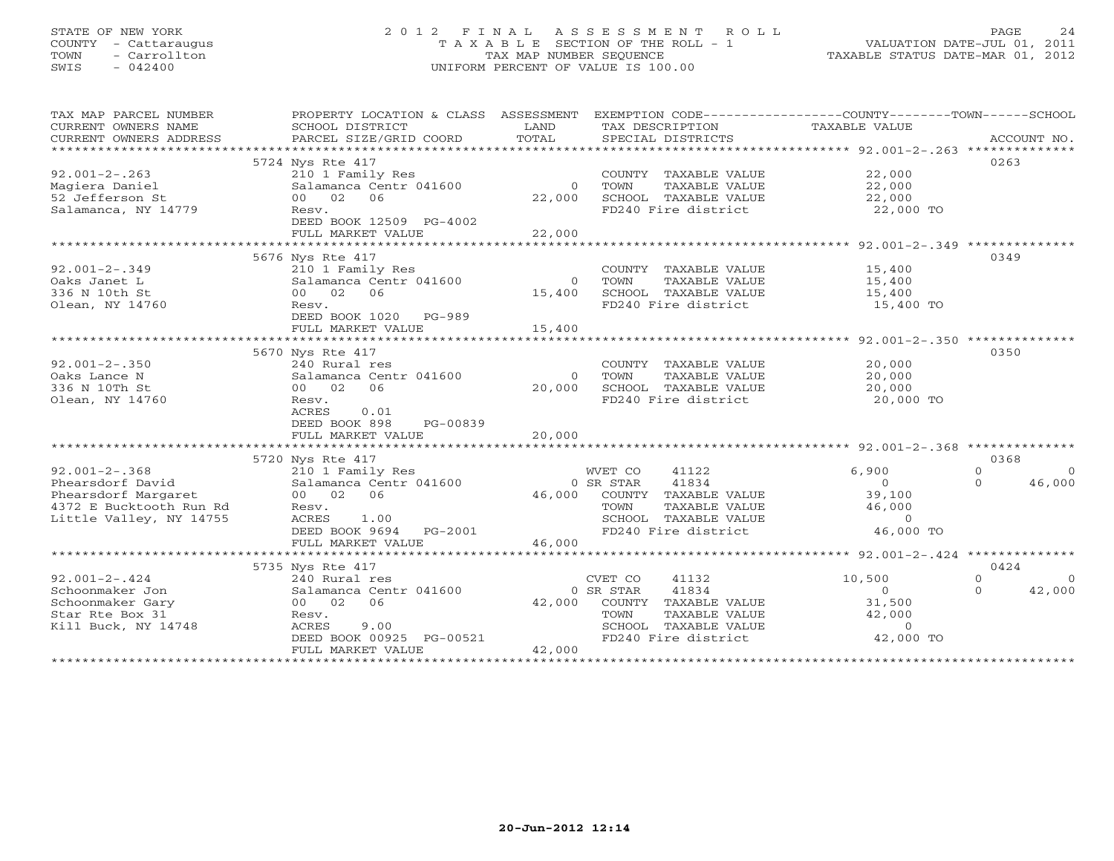# STATE OF NEW YORK 2 0 1 2 F I N A L A S S E S S M E N T R O L L PAGE 24 COUNTY - Cattaraugus T A X A B L E SECTION OF THE ROLL - 1 VALUATION DATE-JUL 01, 2011 TOWN - Carrollton TAX MAP NUMBER SEQUENCE TAXABLE STATUS DATE-MAR 01, 2012 SWIS - 042400 UNIFORM PERCENT OF VALUE IS 100.00UNIFORM PERCENT OF VALUE IS 100.00

| TAX MAP PARCEL NUMBER   | PROPERTY LOCATION & CLASS ASSESSMENT |                                     | EXEMPTION CODE-----------------COUNTY-------TOWN------SCHOOL      |
|-------------------------|--------------------------------------|-------------------------------------|-------------------------------------------------------------------|
| CURRENT OWNERS NAME     | SCHOOL DISTRICT                      | LAND<br>TAX DESCRIPTION             | TAXABLE VALUE                                                     |
| CURRENT OWNERS ADDRESS  | PARCEL SIZE/GRID COORD               | TOTAL<br>SPECIAL DISTRICTS          | ACCOUNT NO.                                                       |
| *********************** |                                      |                                     |                                                                   |
|                         | 5724 Nys Rte 417                     |                                     | 0263                                                              |
| $92.001 - 2 - .263$     | 210 1 Family Res                     | COUNTY TAXABLE VALUE                | 22,000                                                            |
| Magiera Daniel          | Salamanca Centr 041600               | TOWN<br>TAXABLE VALUE<br>$\Omega$   | 22,000                                                            |
| 52 Jefferson St         | 06<br>00 02                          | 22,000<br>SCHOOL TAXABLE VALUE      | 22,000                                                            |
| Salamanca, NY 14779     | Resv.                                | FD240 Fire district                 | 22,000 TO                                                         |
|                         | DEED BOOK 12509 PG-4002              |                                     |                                                                   |
|                         | FULL MARKET VALUE                    | 22,000                              |                                                                   |
|                         |                                      |                                     | ************************************92.001-2-.349 *************** |
|                         | 5676 Nys Rte 417                     |                                     | 0349                                                              |
| $92.001 - 2 - .349$     | 210 1 Family Res                     | COUNTY TAXABLE VALUE                | 15,400                                                            |
| Oaks Janet L            | Salamanca Centr 041600               | TOWN<br>TAXABLE VALUE<br>$\Omega$   | 15,400                                                            |
| 336 N 10th St           | 00 02 06                             | SCHOOL TAXABLE VALUE<br>15,400      | 15,400                                                            |
| Olean, NY 14760         | Resv.                                | FD240 Fire district                 | 15,400 TO                                                         |
|                         |                                      |                                     |                                                                   |
|                         | DEED BOOK 1020 PG-989                |                                     |                                                                   |
|                         | FULL MARKET VALUE                    | 15,400                              |                                                                   |
|                         |                                      |                                     |                                                                   |
|                         | 5670 Nys Rte 417                     |                                     | 0350                                                              |
| $92.001 - 2 - .350$     | 240 Rural res                        | COUNTY TAXABLE VALUE                | 20,000                                                            |
| Oaks Lance N            | Salamanca Centr 041600               | TOWN<br>TAXABLE VALUE<br>$\bigcirc$ | 20,000                                                            |
| 336 N 10Th St           | 00 02<br>06                          | 20,000<br>SCHOOL TAXABLE VALUE      | 20,000                                                            |
| Olean, NY 14760         | Resv.                                | FD240 Fire district                 | 20,000 TO                                                         |
|                         | <b>ACRES</b><br>0.01                 |                                     |                                                                   |
|                         | DEED BOOK 898<br>PG-00839            |                                     |                                                                   |
|                         | FULL MARKET VALUE                    | 20,000                              |                                                                   |
|                         |                                      |                                     |                                                                   |
|                         | 5720 Nys Rte 417                     |                                     | 0368                                                              |
| $92.001 - 2 - .368$     | 210 1 Family Res                     | 41122<br>WVET CO                    | $\Omega$<br>6,900<br>$\Omega$                                     |
| Phearsdorf David        | Salamanca Centr 041600               | 41834<br>0 SR STAR                  | $\Omega$<br>$\Omega$<br>46,000                                    |
| Phearsdorf Margaret     | 00 02<br>06                          | 46,000<br>COUNTY TAXABLE VALUE      | 39,100                                                            |
| 4372 E Bucktooth Run Rd | Resv.                                | TAXABLE VALUE<br>TOWN               | 46,000                                                            |
| Little Valley, NY 14755 | ACRES<br>1.00                        | SCHOOL TAXABLE VALUE                | $\Omega$                                                          |
|                         | DEED BOOK 9694<br>PG-2001            | FD240 Fire district                 | 46,000 TO                                                         |
|                         | FULL MARKET VALUE                    | 46,000                              |                                                                   |
|                         | **************************           |                                     |                                                                   |
|                         | 5735 Nys Rte 417                     |                                     | 0424                                                              |
| $92.001 - 2 - .424$     | 240 Rural res                        | CVET CO<br>41132                    | 10,500<br>$\Omega$                                                |
| Schoonmaker Jon         | Salamanca Centr 041600               | 41834<br>0 SR STAR                  | $\Omega$<br>$\Omega$<br>42,000                                    |
| Schoonmaker Gary        | 06<br>00 02                          | 42,000<br>COUNTY TAXABLE VALUE      | 31,500                                                            |
| Star Rte Box 31         | Resv.                                | TOWN<br>TAXABLE VALUE               | 42,000                                                            |
| Kill Buck, NY 14748     | ACRES<br>9.00                        | SCHOOL TAXABLE VALUE                | $\circ$                                                           |
|                         | DEED BOOK 00925 PG-00521             |                                     | FD240 Fire district 42,000 TO                                     |
|                         | FULL MARKET VALUE                    | 42,000                              |                                                                   |
|                         |                                      |                                     |                                                                   |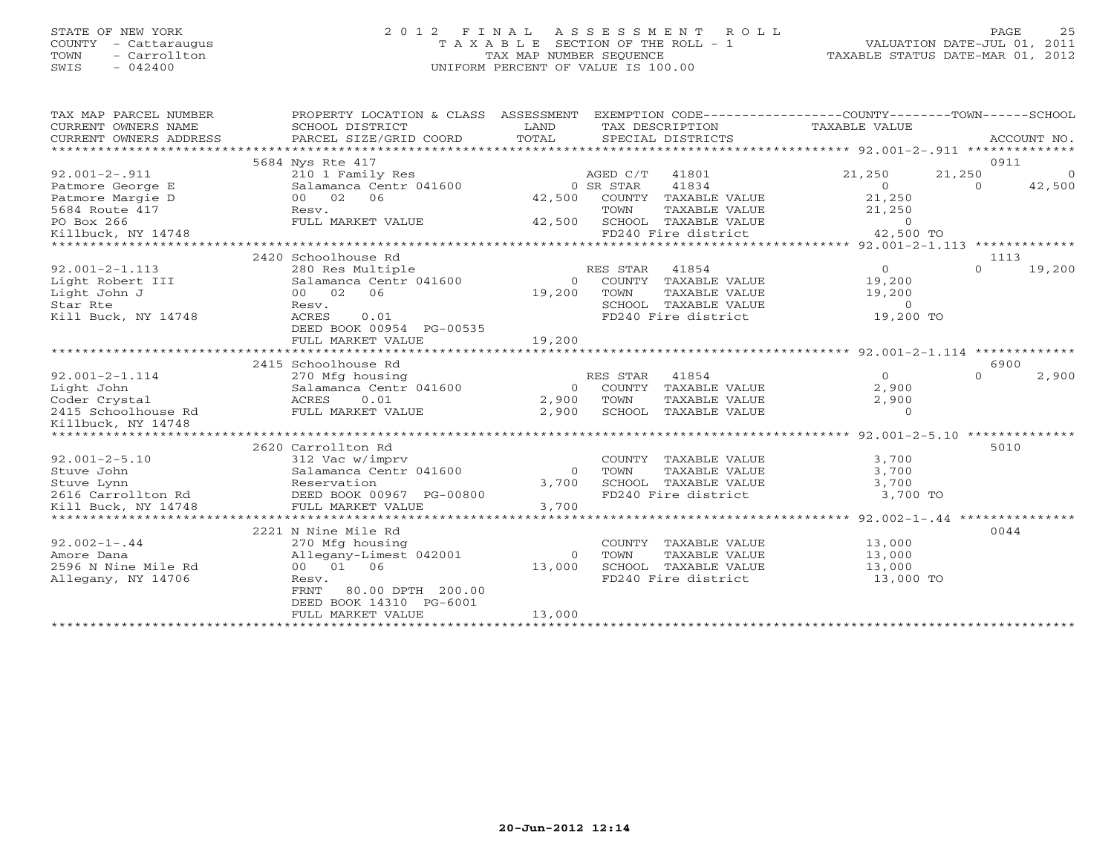### STATE OF NEW YORK 2 0 1 2 F I N A L A S S E S S M E N T R O L L PAGE 25 COUNTY - Cattaraugus T A X A B L E SECTION OF THE ROLL - 1 VALUATION DATE-JUL 01, 2011 TOWN - Carrollton TAX MAP NUMBER SEQUENCE TAXABLE STATUS DATE-MAR 01, 2012 SWIS - 042400 UNIFORM PERCENT OF VALUE IS 100.00UNIFORM PERCENT OF VALUE IS 100.00

| TAX MAP PARCEL NUMBER<br>CURRENT OWNERS NAME<br>CURRENT OWNERS ADDRESS<br>************************* | PROPERTY LOCATION & CLASS ASSESSMENT<br>SCHOOL DISTRICT<br>PARCEL SIZE/GRID COORD | LAND<br>TOTAL             |           | TAX DESCRIPTION<br>SPECIAL DISTRICTS | EXEMPTION CODE-----------------COUNTY-------TOWN------SCHOOL<br>TAXABLE VALUE |          | ACCOUNT NO.     |
|-----------------------------------------------------------------------------------------------------|-----------------------------------------------------------------------------------|---------------------------|-----------|--------------------------------------|-------------------------------------------------------------------------------|----------|-----------------|
|                                                                                                     | 5684 Nys Rte 417                                                                  |                           |           |                                      |                                                                               | 0911     |                 |
| $92.001 - 2 - .911$                                                                                 | 210 1 Family Res                                                                  |                           | AGED C/T  | 41801                                | 21,250                                                                        | 21,250   | $\mathbf{0}$    |
| Patmore George E                                                                                    | Salamanca Centr 041600                                                            |                           | 0 SR STAR | 41834                                | $\Omega$                                                                      | $\Omega$ | 42,500          |
| Patmore Margie D                                                                                    | 00 02<br>06                                                                       | 42,500                    | COUNTY    | TAXABLE VALUE                        | 21,250                                                                        |          |                 |
| 5684 Route 417                                                                                      | Resv.                                                                             |                           | TOWN      | TAXABLE VALUE                        | 21,250                                                                        |          |                 |
| PO Box 266                                                                                          | FULL MARKET VALUE                                                                 | 42,500                    |           | SCHOOL TAXABLE VALUE                 | $\Omega$                                                                      |          |                 |
| Killbuck, NY 14748                                                                                  |                                                                                   |                           |           | FD240 Fire district                  | 42,500 TO                                                                     |          |                 |
| *************************                                                                           |                                                                                   |                           |           |                                      |                                                                               |          |                 |
|                                                                                                     | 2420 Schoolhouse Rd                                                               |                           |           |                                      |                                                                               | 1113     |                 |
| $92.001 - 2 - 1.113$                                                                                | 280 Res Multiple                                                                  |                           | RES STAR  | 41854                                | $\Omega$                                                                      | $\Omega$ | 19,200          |
| Light Robert III                                                                                    | Salamanca Centr 041600                                                            | $\overline{0}$            |           | COUNTY TAXABLE VALUE                 | 19,200                                                                        |          |                 |
| Light John J                                                                                        | 00 02<br>06                                                                       | 19,200                    | TOWN      | TAXABLE VALUE                        | 19,200                                                                        |          |                 |
| Star Rte                                                                                            | Resv.                                                                             |                           |           | SCHOOL TAXABLE VALUE                 | $\circ$                                                                       |          |                 |
| Kill Buck, NY 14748                                                                                 | ACRES<br>0.01                                                                     |                           |           | FD240 Fire district                  | 19,200 TO                                                                     |          |                 |
|                                                                                                     | DEED BOOK 00954 PG-00535                                                          |                           |           |                                      |                                                                               |          |                 |
|                                                                                                     | FULL MARKET VALUE                                                                 | 19,200                    |           |                                      |                                                                               |          |                 |
|                                                                                                     | *************************                                                         | * * * * * * * * * * * * * |           |                                      |                                                                               |          |                 |
|                                                                                                     | 2415 Schoolhouse Rd                                                               |                           |           |                                      |                                                                               | 6900     |                 |
| $92.001 - 2 - 1.114$                                                                                | 270 Mfg housing                                                                   |                           | RES STAR  | 41854                                | $\Omega$                                                                      | $\Omega$ | 2,900           |
| Light John                                                                                          | Salamanca Centr 041600                                                            | $\circ$                   | COUNTY    | TAXABLE VALUE                        | 2,900                                                                         |          |                 |
| Coder Crystal                                                                                       | <b>ACRES</b><br>0.01                                                              | 2,900                     | TOWN      | TAXABLE VALUE                        | 2,900                                                                         |          |                 |
| 2415 Schoolhouse Rd                                                                                 | FULL MARKET VALUE                                                                 | 2,900                     | SCHOOL    | TAXABLE VALUE                        | $\Omega$                                                                      |          |                 |
| Killbuck, NY 14748                                                                                  |                                                                                   |                           |           |                                      |                                                                               |          |                 |
| ***************                                                                                     |                                                                                   |                           |           |                                      | ************ 92.001-2-5.10 ***************                                    |          |                 |
|                                                                                                     | 2620 Carrollton Rd                                                                |                           |           |                                      |                                                                               | 5010     |                 |
| $92.001 - 2 - 5.10$                                                                                 | 312 Vac w/imprv                                                                   |                           | COUNTY    | TAXABLE VALUE                        | 3,700                                                                         |          |                 |
| Stuve John                                                                                          | Salamanca Centr 041600                                                            | $\Omega$                  | TOWN      | TAXABLE VALUE                        | 3,700                                                                         |          |                 |
| Stuve Lynn                                                                                          | Reservation                                                                       | 3,700                     |           | SCHOOL TAXABLE VALUE                 | 3,700                                                                         |          |                 |
| 2616 Carrollton Rd                                                                                  | DEED BOOK 00967 PG-00800                                                          |                           |           | FD240 Fire district                  | 3,700 TO                                                                      |          |                 |
| Kill Buck, NY 14748                                                                                 | FULL MARKET VALUE                                                                 | 3,700<br>************     |           |                                      | *************** 92.002-1-.44                                                  |          | *************** |
|                                                                                                     | 2221 N Nine Mile Rd                                                               |                           |           |                                      |                                                                               | 0044     |                 |
| $92.002 - 1 - .44$                                                                                  | 270 Mfg housing                                                                   |                           | COUNTY    | TAXABLE VALUE                        | 13,000                                                                        |          |                 |
| Amore Dana                                                                                          | Allegany-Limest 042001                                                            | $\Omega$                  | TOWN      | <b>TAXABLE VALUE</b>                 | 13,000                                                                        |          |                 |
| 2596 N Nine Mile Rd                                                                                 | 00 01 06                                                                          | 13,000                    |           | SCHOOL TAXABLE VALUE                 | 13,000                                                                        |          |                 |
| Allegany, NY 14706                                                                                  | Resv.                                                                             |                           |           | FD240 Fire district                  | 13,000 TO                                                                     |          |                 |
|                                                                                                     | 80.00 DPTH 200.00<br>FRNT                                                         |                           |           |                                      |                                                                               |          |                 |
|                                                                                                     | DEED BOOK 14310 PG-6001                                                           |                           |           |                                      |                                                                               |          |                 |
|                                                                                                     | FULL MARKET VALUE                                                                 | 13,000                    |           |                                      |                                                                               |          |                 |
|                                                                                                     |                                                                                   |                           |           |                                      |                                                                               |          |                 |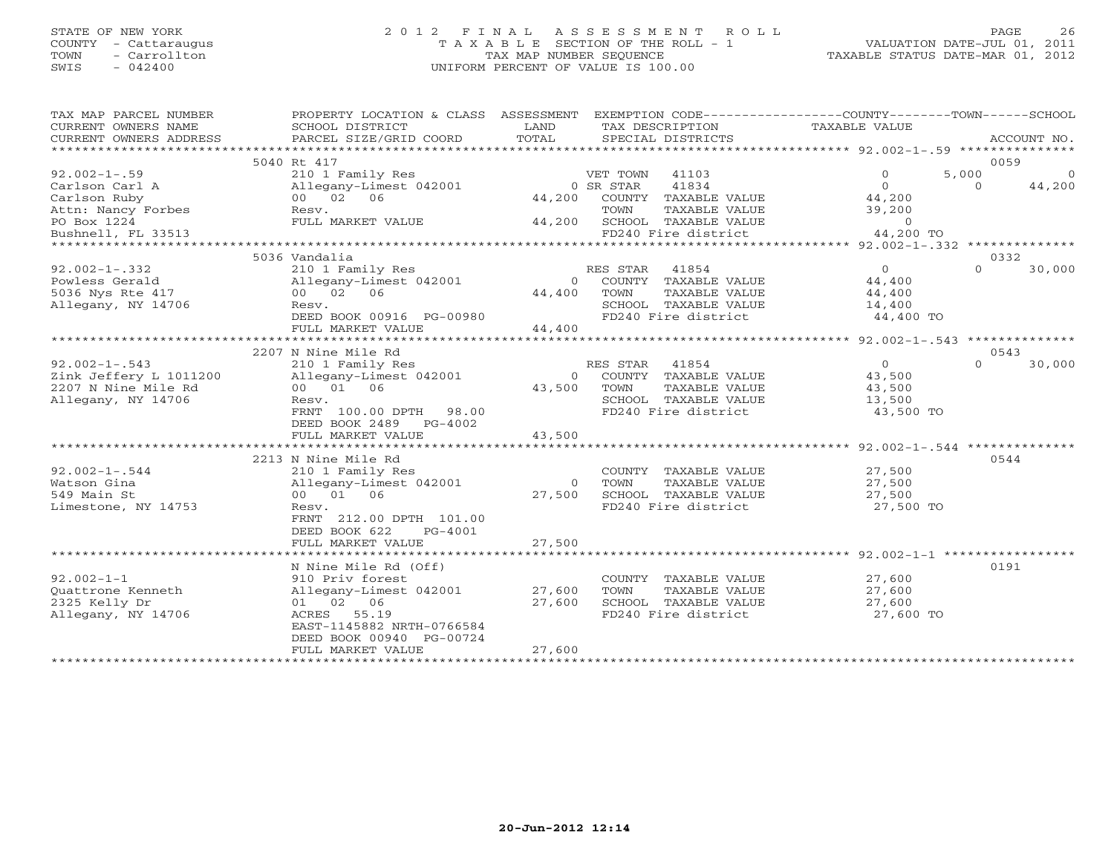### STATE OF NEW YORK 2 0 1 2 F I N A L A S S E S S M E N T R O L L PAGE 26 COUNTY - Cattaraugus T A X A B L E SECTION OF THE ROLL - 1 VALUATION DATE-JUL 01, 2011 TOWN - Carrollton TAX MAP NUMBER SEQUENCE TAXABLE STATUS DATE-MAR 01, 2012 SWIS - 042400 UNIFORM PERCENT OF VALUE IS 100.00UNIFORM PERCENT OF VALUE IS 100.00

| TAX MAP PARCEL NUMBER<br>CURRENT OWNERS NAME | PROPERTY LOCATION & CLASS ASSESSMENT<br>SCHOOL DISTRICT | LAND                 | TAX DESCRIPTION |                        | EXEMPTION CODE-----------------COUNTY-------TOWN------SCHOOL<br>TAXABLE VALUE |          |                |
|----------------------------------------------|---------------------------------------------------------|----------------------|-----------------|------------------------|-------------------------------------------------------------------------------|----------|----------------|
| CURRENT OWNERS ADDRESS                       | PARCEL SIZE/GRID COORD                                  | TOTAL                |                 | SPECIAL DISTRICTS      |                                                                               |          | ACCOUNT NO.    |
|                                              |                                                         |                      |                 |                        |                                                                               |          |                |
|                                              | 5040 Rt 417                                             |                      |                 |                        |                                                                               | 0059     |                |
| $92.002 - 1 - .59$                           | 210 1 Family Res                                        |                      | VET TOWN        | 41103                  | $\circ$                                                                       | 5,000    | $\overline{0}$ |
| Carlson Carl A                               | Allegany-Limest 042001                                  |                      | 0 SR STAR       | 41834                  | $\overline{0}$                                                                | $\Omega$ | 44,200         |
| Carlson Ruby                                 | 00 02 06                                                | 44,200               |                 | COUNTY TAXABLE VALUE   | 44,200                                                                        |          |                |
| Attn: Nancy Forbes                           | Resv.                                                   |                      | TOWN            | TAXABLE VALUE          | 39,200                                                                        |          |                |
| PO Box 1224                                  | FULL MARKET VALUE                                       | 44,200               |                 | SCHOOL TAXABLE VALUE   | $\Omega$                                                                      |          |                |
| Bushnell, FL 33513                           |                                                         |                      |                 | FD240 Fire district    | 44,200 TO                                                                     |          |                |
|                                              |                                                         |                      |                 |                        |                                                                               |          |                |
|                                              | 5036 Vandalia                                           |                      |                 |                        |                                                                               | 0332     |                |
| $92.002 - 1 - .332$                          | 210 1 Family Res                                        |                      | RES STAR        | 41854                  | $\Omega$                                                                      | $\Omega$ | 30,000         |
| Powless Gerald                               | Allegany-Limest 042001                                  | $\Omega$             |                 | COUNTY TAXABLE VALUE   | 44,400                                                                        |          |                |
| 5036 Nys Rte 417                             | 00 02 06                                                | 44,400               | TOWN            | TAXABLE VALUE          | 44,400                                                                        |          |                |
| Allegany, NY 14706                           | Resv.                                                   |                      |                 | SCHOOL TAXABLE VALUE   | 14,400                                                                        |          |                |
|                                              | DEED BOOK 00916 PG-00980                                |                      |                 | FD240 Fire district    | 44,400 TO                                                                     |          |                |
|                                              | FULL MARKET VALUE                                       | 44,400               |                 |                        |                                                                               |          |                |
|                                              | **********************************                      | **************       |                 |                        |                                                                               |          |                |
|                                              | 2207 N Nine Mile Rd                                     |                      |                 |                        |                                                                               | 0543     |                |
| $92.002 - 1 - .543$                          | 210 1 Family Res                                        |                      | RES STAR        | 41854                  | $\overline{0}$                                                                | $\Omega$ | 30,000         |
| Zink Jeffery L 1011200                       | Allegany-Limest 042001                                  |                      |                 | 0 COUNTY TAXABLE VALUE | 43,500                                                                        |          |                |
| 2207 N Nine Mile Rd                          | 00 01 06                                                | 43,500               | TOWN            | TAXABLE VALUE          | 43,500                                                                        |          |                |
| Allegany, NY 14706                           | Resv.                                                   |                      |                 | SCHOOL TAXABLE VALUE   | 13,500                                                                        |          |                |
|                                              | FRNT 100.00 DPTH 98.00                                  |                      |                 | FD240 Fire district    | 43,500 TO                                                                     |          |                |
|                                              | DEED BOOK 2489<br>PG-4002                               |                      |                 |                        |                                                                               |          |                |
|                                              | FULL MARKET VALUE                                       | 43,500               |                 |                        |                                                                               |          |                |
|                                              | ************************                                | ******************** |                 |                        | ***************** 92.002-1-.544 ***************                               |          |                |
|                                              | 2213 N Nine Mile Rd                                     |                      |                 |                        |                                                                               | 0544     |                |
| $92.002 - 1 - .544$                          | 210 1 Family Res                                        |                      |                 | COUNTY TAXABLE VALUE   | 27,500                                                                        |          |                |
| Watson Gina                                  | Allegany-Limest 042001                                  | $\Omega$             | TOWN            | TAXABLE VALUE          | 27,500                                                                        |          |                |
| 549 Main St                                  | 00 01 06                                                | 27,500               |                 | SCHOOL TAXABLE VALUE   | 27,500                                                                        |          |                |
| Limestone, NY 14753                          | Resv.                                                   |                      |                 | FD240 Fire district    | 27,500 TO                                                                     |          |                |
|                                              | FRNT 212.00 DPTH 101.00                                 |                      |                 |                        |                                                                               |          |                |
|                                              | DEED BOOK 622<br>PG-4001                                |                      |                 |                        |                                                                               |          |                |
|                                              | FULL MARKET VALUE                                       | 27,500               |                 |                        |                                                                               |          |                |
|                                              |                                                         |                      |                 |                        |                                                                               |          |                |
|                                              | N Nine Mile Rd (Off)                                    |                      |                 |                        |                                                                               | 0191     |                |
| $92.002 - 1 - 1$                             | 910 Priv forest                                         |                      |                 | COUNTY TAXABLE VALUE   | 27,600                                                                        |          |                |
| Quattrone Kenneth                            | Allegany-Limest 042001                                  | 27,600               | TOWN            | TAXABLE VALUE          | 27,600                                                                        |          |                |
| 2325 Kelly Dr                                | 01 02 06                                                | 27,600               |                 | SCHOOL TAXABLE VALUE   | 27,600                                                                        |          |                |
| Allegany, NY 14706                           | ACRES 55.19                                             |                      |                 | FD240 Fire district    | 27,600 TO                                                                     |          |                |
|                                              | EAST-1145882 NRTH-0766584                               |                      |                 |                        |                                                                               |          |                |
|                                              | DEED BOOK 00940 PG-00724                                |                      |                 |                        |                                                                               |          |                |
|                                              | FULL MARKET VALUE                                       | 27,600               |                 |                        |                                                                               |          |                |
|                                              | ***********************                                 |                      |                 |                        |                                                                               |          |                |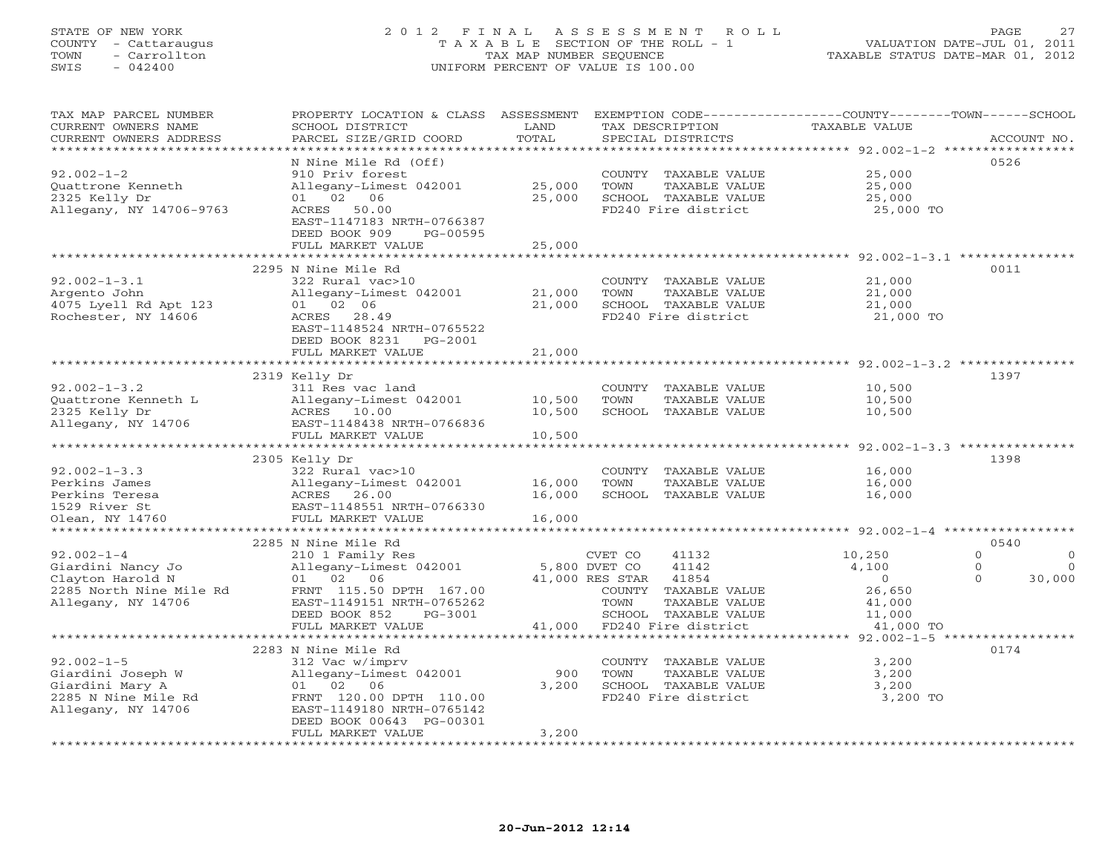# STATE OF NEW YORK 2 0 1 2 F I N A L A S S E S S M E N T R O L L PAGE 27 COUNTY - Cattaraugus T A X A B L E SECTION OF THE ROLL - 1 VALUATION DATE-JUL 01, 2011 TOWN - Carrollton TAX MAP NUMBER SEQUENCE TAXABLE STATUS DATE-MAR 01, 2012 SWIS - 042400 UNIFORM PERCENT OF VALUE IS 100.00UNIFORM PERCENT OF VALUE IS 100.00

| TAX MAP PARCEL NUMBER<br>CURRENT OWNERS NAME<br>CURRENT OWNERS ADDRESS                                     | PROPERTY LOCATION & CLASS<br>SCHOOL DISTRICT<br>PARCEL SIZE/GRID COORD                                                                                                                   | ASSESSMENT<br>LAND<br>TOTAL | TAX DESCRIPTION<br>SPECIAL DISTRICTS                                                                                                                                      | EXEMPTION CODE-----------------COUNTY-------TOWN------SCHOOL<br>TAXABLE VALUE | ACCOUNT NO.                                                                     |
|------------------------------------------------------------------------------------------------------------|------------------------------------------------------------------------------------------------------------------------------------------------------------------------------------------|-----------------------------|---------------------------------------------------------------------------------------------------------------------------------------------------------------------------|-------------------------------------------------------------------------------|---------------------------------------------------------------------------------|
| ***********************                                                                                    |                                                                                                                                                                                          |                             |                                                                                                                                                                           |                                                                               |                                                                                 |
| $92.002 - 1 - 2$<br>Quattrone Kenneth<br>2325 Kelly Dr<br>Allegany, NY 14706-9763                          | N Nine Mile Rd (Off)<br>910 Priv forest<br>Allegany-Limest 042001<br>02 06<br>01<br>ACRES 50.00<br>EAST-1147183 NRTH-0766387                                                             | 25,000<br>25,000            | COUNTY TAXABLE VALUE<br>TOWN<br>TAXABLE VALUE<br>SCHOOL TAXABLE VALUE<br>FD240 Fire district                                                                              | 25,000<br>25,000<br>25,000<br>25,000 TO                                       | 0526                                                                            |
|                                                                                                            | DEED BOOK 909<br>PG-00595                                                                                                                                                                |                             |                                                                                                                                                                           |                                                                               |                                                                                 |
|                                                                                                            | FULL MARKET VALUE                                                                                                                                                                        | 25,000                      |                                                                                                                                                                           |                                                                               |                                                                                 |
|                                                                                                            | 2295 N Nine Mile Rd                                                                                                                                                                      |                             |                                                                                                                                                                           |                                                                               | 0011                                                                            |
| $92.002 - 1 - 3.1$<br>Argento John<br>4075 Lyell Rd Apt 123<br>Rochester, NY 14606                         | 322 Rural vac>10<br>Allegany-Limest 042001<br>01 02 06<br>ACRES 28.49<br>EAST-1148524 NRTH-0765522<br>DEED BOOK 8231<br>PG-2001                                                          | 21,000<br>21,000            | COUNTY TAXABLE VALUE<br>TOWN<br>TAXABLE VALUE<br>SCHOOL TAXABLE VALUE<br>FD240 Fire district                                                                              | 21,000<br>21,000<br>21,000                                                    | 21,000 TO                                                                       |
|                                                                                                            | FULL MARKET VALUE                                                                                                                                                                        | 21,000                      |                                                                                                                                                                           |                                                                               |                                                                                 |
|                                                                                                            |                                                                                                                                                                                          |                             |                                                                                                                                                                           | ************************************ 92.002-1-3.2 ***************             |                                                                                 |
| $92.002 - 1 - 3.2$<br>Quattrone Kenneth L<br>2325 Kelly Dr<br>Allegany, NY 14706                           | 2319 Kelly Dr<br>311 Res vac land<br>Allegany-Limest 042001<br>ACRES 10.00<br>EAST-1148438 NRTH-0766836                                                                                  | 10,500<br>10,500            | COUNTY TAXABLE VALUE<br>TOWN<br>TAXABLE VALUE<br>SCHOOL TAXABLE VALUE                                                                                                     | 10,500<br>10,500<br>10,500                                                    | 1397                                                                            |
|                                                                                                            | FULL MARKET VALUE                                                                                                                                                                        | 10,500                      |                                                                                                                                                                           |                                                                               |                                                                                 |
|                                                                                                            | ******************************                                                                                                                                                           | *************               |                                                                                                                                                                           |                                                                               | $92.002 - 1 - 3.3$ ***************                                              |
| $92.002 - 1 - 3.3$<br>Perkins James<br>Perkins Teresa<br>1529 River St                                     | 2305 Kelly Dr<br>322 Rural vac>10<br>Allegany-Limest 042001<br>ACRES 26.00<br>EAST-1148551 NRTH-0766330                                                                                  | 16,000<br>16,000            | COUNTY TAXABLE VALUE<br>TOWN<br>TAXABLE VALUE<br>SCHOOL TAXABLE VALUE                                                                                                     | 16,000<br>16,000<br>16,000                                                    | 1398                                                                            |
| Olean, NY 14760<br>******************                                                                      | FULL MARKET VALUE                                                                                                                                                                        | 16,000                      |                                                                                                                                                                           |                                                                               |                                                                                 |
|                                                                                                            | 2285 N Nine Mile Rd                                                                                                                                                                      |                             |                                                                                                                                                                           |                                                                               | 0540                                                                            |
| $92.002 - 1 - 4$<br>Giardini Nancy Jo<br>Clayton Harold N<br>2285 North Nine Mile Rd<br>Allegany, NY 14706 | 210 1 Family Res<br>Allegany-Limest 042001<br>02 06<br>01<br>FRNT 115.50 DPTH 167.00<br>EAST-1149151 NRTH-0765262<br>DEED BOOK 852<br>$PG-3001$<br>FULL MARKET VALUE                     | 41,000                      | CVET CO<br>41132<br>5,800 DVET CO<br>41142<br>41854<br>41,000 RES STAR<br>COUNTY<br>TAXABLE VALUE<br>TOWN<br>TAXABLE VALUE<br>SCHOOL TAXABLE VALUE<br>FD240 Fire district | 10,250<br>4,100<br>$\circ$<br>26,650<br>41,000<br>11,000                      | $\Omega$<br>$\Omega$<br>$\Omega$<br>$\Omega$<br>$\Omega$<br>30,000<br>41,000 TO |
|                                                                                                            | .                                                                                                                                                                                        |                             |                                                                                                                                                                           |                                                                               | $***$ 92.002-1-5 *****<br>* * * * * * * * * *                                   |
| $92.002 - 1 - 5$<br>Giardini Joseph W<br>Giardini Mary A<br>2285 N Nine Mile Rd<br>Allegany, NY 14706      | 2283 N Nine Mile Rd<br>312 Vac w/imprv<br>Allegany-Limest 042001<br>01 02<br>06<br>FRNT 120.00 DPTH 110.00<br>EAST-1149180 NRTH-0765142<br>DEED BOOK 00643 PG-00301<br>FULL MARKET VALUE | 900<br>3,200<br>3,200       | COUNTY TAXABLE VALUE<br>TOWN<br>TAXABLE VALUE<br>SCHOOL TAXABLE VALUE<br>FD240 Fire district                                                                              | 3,200<br>3,200<br>3,200                                                       | 0174<br>3,200 TO                                                                |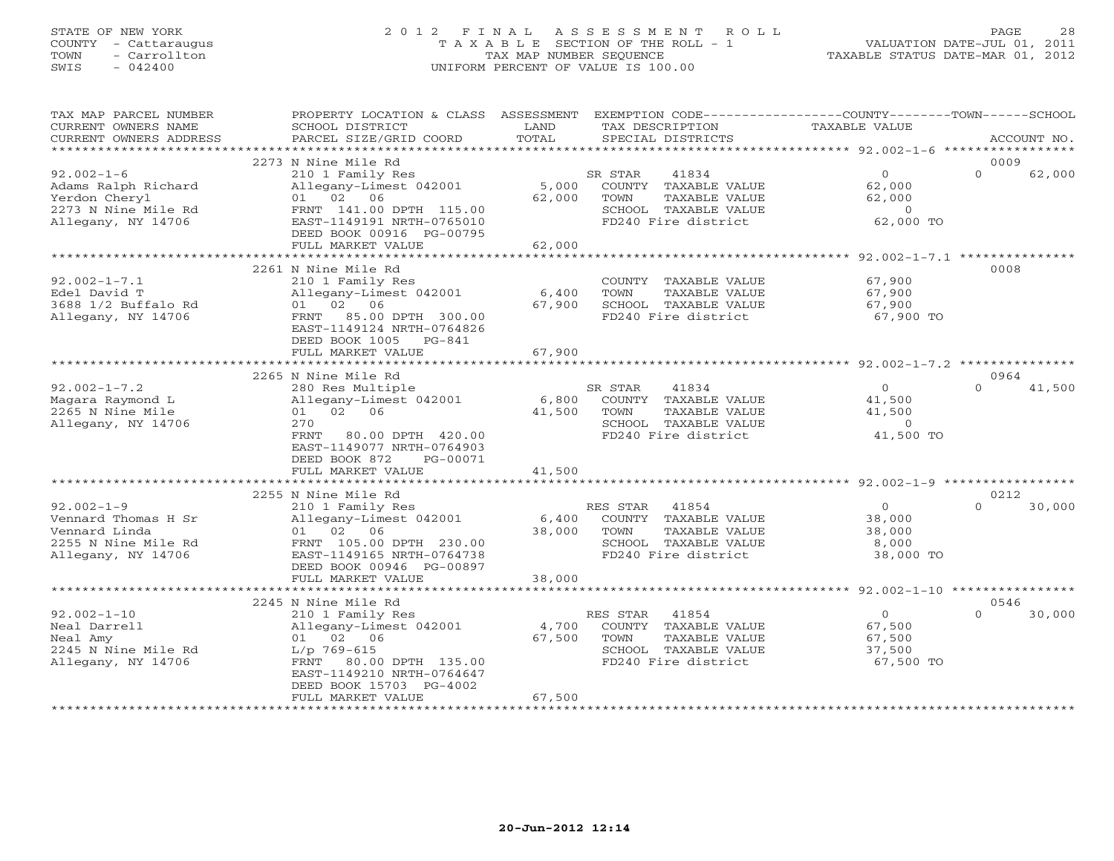# STATE OF NEW YORK 2 0 1 2 F I N A L A S S E S S M E N T R O L L PAGE 28 COUNTY - Cattaraugus T A X A B L E SECTION OF THE ROLL - 1 VALUATION DATE-JUL 01, 2011 TOWN - Carrollton TAX MAP NUMBER SEQUENCE TAXABLE STATUS DATE-MAR 01, 2012 SWIS - 042400 UNIFORM PERCENT OF VALUE IS 100.00UNIFORM PERCENT OF VALUE IS 100.00

| TAX MAP PARCEL NUMBER<br>CURRENT OWNERS NAME<br>CURRENT OWNERS ADDRESS                                | PROPERTY LOCATION & CLASS ASSESSMENT<br>SCHOOL DISTRICT<br>PARCEL SIZE/GRID COORD                                                                                                  | LAND<br>TOTAL             | EXEMPTION CODE----------------COUNTY-------TOWN------SCHOOL<br>TAX DESCRIPTION<br>SPECIAL DISTRICTS               | <b>TAXABLE VALUE</b>                                              |                  | ACCOUNT NO. |
|-------------------------------------------------------------------------------------------------------|------------------------------------------------------------------------------------------------------------------------------------------------------------------------------------|---------------------------|-------------------------------------------------------------------------------------------------------------------|-------------------------------------------------------------------|------------------|-------------|
| ***********************                                                                               |                                                                                                                                                                                    |                           |                                                                                                                   |                                                                   |                  |             |
| $92.002 - 1 - 6$<br>Adams Ralph Richard<br>Yerdon Cheryl<br>2273 N Nine Mile Rd<br>Allegany, NY 14706 | 2273 N Nine Mile Rd<br>210 1 Family Res<br>Allegany-Limest 042001<br>01 02 06<br>FRNT 141.00 DPTH 115.00<br>EAST-1149191 NRTH-0765010<br>DEED BOOK 00916 PG-00795                  | 5,000<br>62,000           | SR STAR<br>41834<br>COUNTY TAXABLE VALUE<br>TAXABLE VALUE<br>TOWN<br>SCHOOL TAXABLE VALUE<br>FD240 Fire district  | $\overline{0}$<br>62,000<br>62,000<br>$\overline{0}$<br>62,000 TO | 0009<br>$\Omega$ | 62,000      |
|                                                                                                       | FULL MARKET VALUE<br>**********************************                                                                                                                            | 62,000                    |                                                                                                                   |                                                                   |                  |             |
| $92.002 - 1 - 7.1$<br>Edel David T<br>3688 1/2 Buffalo Rd<br>Allegany, NY 14706                       | 2261 N Nine Mile Rd<br>210 1 Family Res<br>Allegany-Limest 042001<br>01 02 06<br>FRNT 85.00 DPTH 300.00<br>EAST-1149124 NRTH-0764826<br>DEED BOOK 1005 PG-841<br>FULL MARKET VALUE | 6,400<br>67,900<br>67,900 | COUNTY TAXABLE VALUE<br>TAXABLE VALUE<br>TOWN<br>SCHOOL TAXABLE VALUE<br>FD240 Fire district                      | 67,900<br>67,900<br>67,900<br>67,900 TO                           | 0008             |             |
|                                                                                                       | 2265 N Nine Mile Rd                                                                                                                                                                |                           |                                                                                                                   |                                                                   | 0964             |             |
| $92.002 - 1 - 7.2$<br>Magara Raymond L<br>2265 N Nine Mile<br>Allegany, NY 14706                      | 280 Res Multiple<br>Allegany-Limest 042001<br>01 02 06<br>270<br>80.00 DPTH 420.00<br>FRNT<br>EAST-1149077 NRTH-0764903<br>DEED BOOK 872<br>PG-00071<br>FULL MARKET VALUE          | 6,800<br>41,500<br>41,500 | SR STAR<br>41834<br>COUNTY TAXABLE VALUE<br>TOWN<br>TAXABLE VALUE<br>SCHOOL TAXABLE VALUE<br>FD240 Fire district  | $\overline{0}$<br>41,500<br>41,500<br>$\circ$<br>41,500 TO        | $\Omega$         | 41,500      |
|                                                                                                       |                                                                                                                                                                                    |                           |                                                                                                                   |                                                                   |                  |             |
| $92.002 - 1 - 9$<br>Vennard Thomas H Sr<br>Vennard Linda<br>2255 N Nine Mile Rd<br>Allegany, NY 14706 | 2255 N Nine Mile Rd<br>210 1 Family Res<br>Allegany-Limest 042001<br>01 02 06<br>FRNT 105.00 DPTH 230.00<br>EAST-1149165 NRTH-0764738<br>DEED BOOK 00946 PG-00897                  | 6,400<br>38,000           | RES STAR<br>41854<br>COUNTY TAXABLE VALUE<br>TOWN<br>TAXABLE VALUE<br>SCHOOL TAXABLE VALUE<br>FD240 Fire district | $\circ$<br>38,000<br>38,000<br>8,000<br>38,000 TO                 | 0212<br>$\Omega$ | 30,000      |
|                                                                                                       | FULL MARKET VALUE                                                                                                                                                                  | 38,000                    |                                                                                                                   |                                                                   |                  |             |
|                                                                                                       | 2245 N Nine Mile Rd                                                                                                                                                                |                           |                                                                                                                   |                                                                   | 0546             |             |
| $92.002 - 1 - 10$<br>Neal Darrell<br>Neal Amy<br>2245 N Nine Mile Rd<br>Allegany, NY 14706            | 210 1 Family Res<br>Allegany-Limest 042001<br>01 02 06<br>$L/p$ 769-615<br>FRNT 80.00 DPTH 135.00<br>EAST-1149210 NRTH-0764647<br>DEED BOOK 15703 PG-4002<br>FULL MARKET VALUE     | 4,700<br>67,500<br>67,500 | 41854<br>RES STAR<br>COUNTY TAXABLE VALUE<br>TOWN<br>TAXABLE VALUE<br>SCHOOL TAXABLE VALUE<br>FD240 Fire district | $\Omega$<br>67,500<br>67,500<br>37,500<br>67,500 TO               | $\Omega$         | 30,000      |
|                                                                                                       |                                                                                                                                                                                    |                           |                                                                                                                   |                                                                   |                  |             |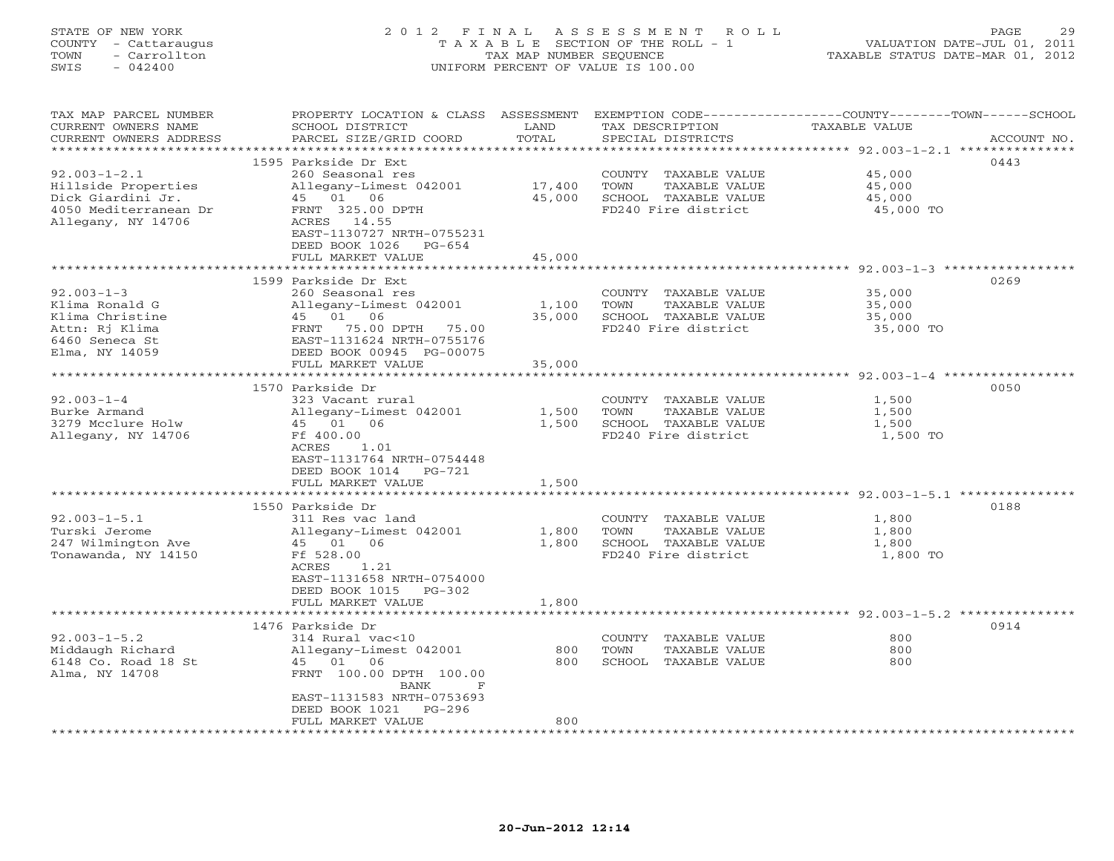### STATE OF NEW YORK 2 0 1 2 F I N A L A S S E S S M E N T R O L L PAGE 29 COUNTY - Cattaraugus T A X A B L E SECTION OF THE ROLL - 1 VALUATION DATE-JUL 01, 2011 TOWN - Carrollton TAX MAP NUMBER SEQUENCE TAXABLE STATUS DATE-MAR 01, 2012 SWIS - 042400 UNIFORM PERCENT OF VALUE IS 100.00UNIFORM PERCENT OF VALUE IS 100.00

| TAX MAP PARCEL NUMBER<br>CURRENT OWNERS NAME<br>CURRENT OWNERS ADDRESS<br>**********************                                                                | PROPERTY LOCATION & CLASS ASSESSMENT<br>SCHOOL DISTRICT<br>PARCEL SIZE/GRID COORD                                                                                                                                                                                                 | LAND<br>TOTAL                             | TAX DESCRIPTION<br>SPECIAL DISTRICTS                                                                                                                                                         | EXEMPTION CODE-----------------COUNTY-------TOWN------SCHOOL<br><b>TAXABLE VALUE</b><br>ACCOUNT NO.                             |
|-----------------------------------------------------------------------------------------------------------------------------------------------------------------|-----------------------------------------------------------------------------------------------------------------------------------------------------------------------------------------------------------------------------------------------------------------------------------|-------------------------------------------|----------------------------------------------------------------------------------------------------------------------------------------------------------------------------------------------|---------------------------------------------------------------------------------------------------------------------------------|
| $92.003 - 1 - 2.1$<br>Hillside Properties<br>Dick Giardini Jr.<br>4050 Mediterranean Dr<br>Allegany, NY 14706                                                   | 1595 Parkside Dr Ext<br>260 Seasonal res<br>Allegany-Limest 042001<br>45 01 06<br>FRNT 325.00 DPTH<br>ACRES 14.55<br>EAST-1130727 NRTH-0755231<br>DEED BOOK 1026<br>PG-654<br>FULL MARKET VALUE                                                                                   | 17,400<br>45,000<br>45,000                | COUNTY TAXABLE VALUE<br>TOWN<br>TAXABLE VALUE<br>SCHOOL TAXABLE VALUE<br>FD240 Fire district                                                                                                 | 0443<br>45,000<br>45,000<br>45,000<br>45,000 TO                                                                                 |
|                                                                                                                                                                 | *************************                                                                                                                                                                                                                                                         |                                           |                                                                                                                                                                                              |                                                                                                                                 |
| $92.003 - 1 - 3$<br>Klima Ronald G<br>Klima Christine<br>Attn: Rj Klima<br>6460 Seneca St<br>Elma, NY 14059                                                     | 1599 Parkside Dr Ext<br>260 Seasonal res<br>Allegany-Limest 042001<br>45 01 06<br>75.00 DPTH 75.00<br>FRNT<br>EAST-1131624 NRTH-0755176<br>DEED BOOK 00945 PG-00075<br>FULL MARKET VALUE                                                                                          | 1,100<br>35,000<br>35,000                 | COUNTY TAXABLE VALUE<br>TOWN<br>TAXABLE VALUE<br>SCHOOL TAXABLE VALUE<br>FD240 Fire district                                                                                                 | 0269<br>35,000<br>35,000<br>35,000<br>35,000 TO                                                                                 |
|                                                                                                                                                                 | *********************                                                                                                                                                                                                                                                             | **************                            |                                                                                                                                                                                              | *********************************** 92.003-1-4 ************                                                                     |
| $92.003 - 1 - 4$<br>Burke Armand<br>3279 Mcclure Holw<br>Allegany, NY 14706<br>$92.003 - 1 - 5.1$<br>Turski Jerome<br>247 Wilmington Ave<br>Tonawanda, NY 14150 | 1570 Parkside Dr<br>323 Vacant rural<br>Allegany-Limest 042001<br>45 01 06<br>Ff 400.00<br>1.01<br>ACRES<br>EAST-1131764 NRTH-0754448<br>DEED BOOK 1014<br>PG-721<br>FULL MARKET VALUE<br>1550 Parkside Dr<br>311 Res vac land<br>Allegany-Limest 042001<br>45 01 06<br>Ff 528.00 | 1,500<br>1,500<br>1,500<br>1,800<br>1,800 | COUNTY TAXABLE VALUE<br>TOWN<br>TAXABLE VALUE<br>SCHOOL TAXABLE VALUE<br>FD240 Fire district<br>COUNTY TAXABLE VALUE<br>TOWN<br>TAXABLE VALUE<br>SCHOOL TAXABLE VALUE<br>FD240 Fire district | 0050<br>1,500<br>1,500<br>1,500<br>1,500 TO<br>*************** 92.003-1-5.1 ****<br>0188<br>1,800<br>1,800<br>1,800<br>1,800 TO |
|                                                                                                                                                                 | ACRES<br>1.21<br>EAST-1131658 NRTH-0754000<br>DEED BOOK 1015<br>$PG-302$<br>FULL MARKET VALUE                                                                                                                                                                                     | 1,800                                     |                                                                                                                                                                                              | ************************************ 92.003-1-5.2 ****************                                                              |
| $92.003 - 1 - 5.2$<br>Middaugh Richard<br>6148 Co. Road 18 St<br>Alma, NY 14708                                                                                 | 1476 Parkside Dr<br>314 Rural vac<10<br>Allegany-Limest 042001<br>45 01 06<br>FRNT 100.00 DPTH 100.00<br>BANK<br>$\mathbf F$<br>EAST-1131583 NRTH-0753693<br>DEED BOOK 1021<br>$PG-296$<br>FULL MARKET VALUE                                                                      | 800<br>800<br>800                         | COUNTY TAXABLE VALUE<br>TOWN<br>TAXABLE VALUE<br>SCHOOL TAXABLE VALUE                                                                                                                        | 0914<br>800<br>800<br>800                                                                                                       |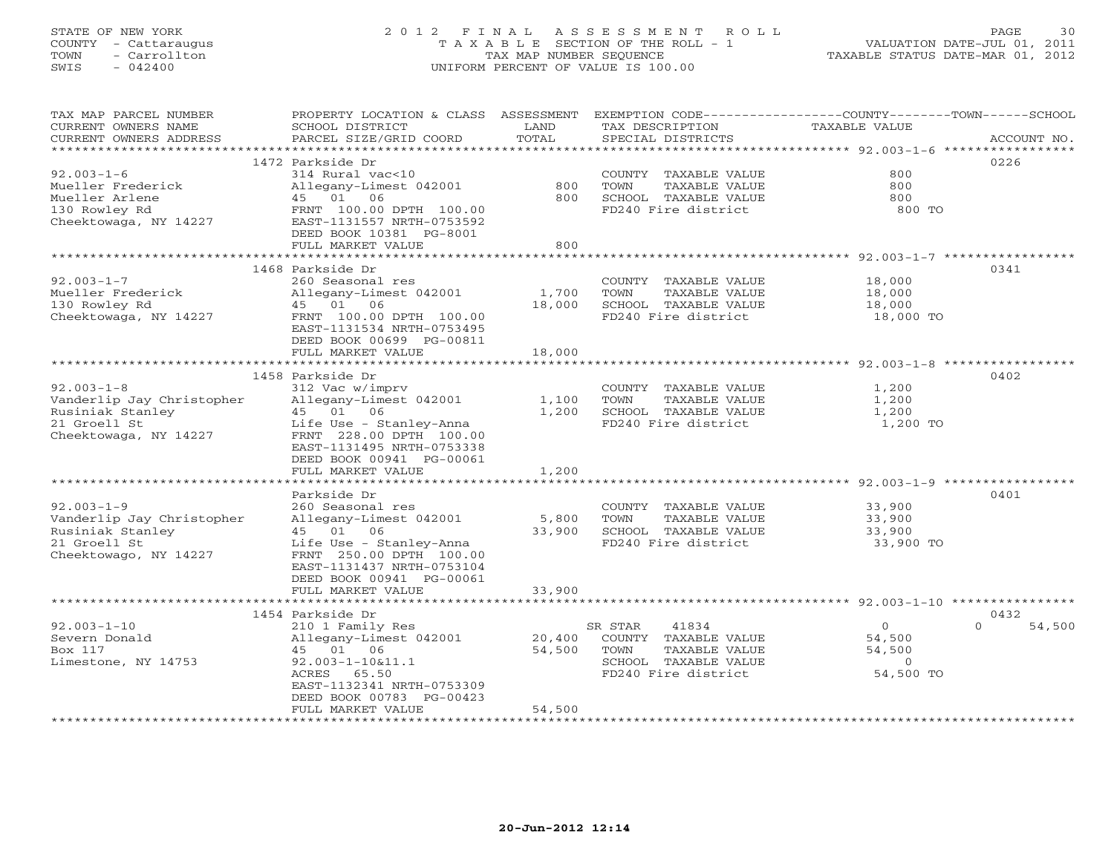# STATE OF NEW YORK 2 0 1 2 F I N A L A S S E S S M E N T R O L L PAGE 30 COUNTY - Cattaraugus T A X A B L E SECTION OF THE ROLL - 1 VALUATION DATE-JUL 01, 2011 TOWN - Carrollton TAX MAP NUMBER SEQUENCE TAXABLE STATUS DATE-MAR 01, 2012 SWIS - 042400 UNIFORM PERCENT OF VALUE IS 100.00UNIFORM PERCENT OF VALUE IS 100.00

| TAX MAP PARCEL NUMBER<br>CURRENT OWNERS NAME<br>CURRENT OWNERS ADDRESS                                     | PROPERTY LOCATION & CLASS ASSESSMENT<br>SCHOOL DISTRICT<br>PARCEL SIZE/GRID COORD                                                                                                         | LAND<br>TOTAL           | EXEMPTION CODE-----------------COUNTY-------TOWN------SCHOOL<br>TAX DESCRIPTION<br>SPECIAL DISTRICTS             | <b>TAXABLE VALUE</b>                                  | ACCOUNT NO.                |
|------------------------------------------------------------------------------------------------------------|-------------------------------------------------------------------------------------------------------------------------------------------------------------------------------------------|-------------------------|------------------------------------------------------------------------------------------------------------------|-------------------------------------------------------|----------------------------|
| ***********************                                                                                    |                                                                                                                                                                                           |                         |                                                                                                                  |                                                       |                            |
| $92.003 - 1 - 6$<br>Mueller Frederick<br>Mueller Arlene<br>130 Rowley Rd<br>Cheektowaga, NY 14227          | 1472 Parkside Dr<br>314 Rural vac<10<br>Allegany-Limest 042001<br>45 01 06<br>FRNT 100.00 DPTH 100.00<br>EAST-1131557 NRTH-0753592<br>DEED BOOK 10381 PG-8001                             | 800<br>800              | COUNTY TAXABLE VALUE<br>TOWN<br>TAXABLE VALUE<br>SCHOOL TAXABLE VALUE<br>FD240 Fire district                     | 800<br>800<br>800<br>800 TO                           | 0226                       |
|                                                                                                            | FULL MARKET VALUE                                                                                                                                                                         | 800                     |                                                                                                                  |                                                       |                            |
|                                                                                                            |                                                                                                                                                                                           |                         |                                                                                                                  |                                                       |                            |
| $92.003 - 1 - 7$<br>Mueller Frederick<br>130 Rowley Rd<br>Cheektowaga, NY 14227                            | 1468 Parkside Dr<br>260 Seasonal res<br>Allegany-Limest 042001<br>45 01 06<br>FRNT 100.00 DPTH 100.00<br>EAST-1131534 NRTH-0753495<br>DEED BOOK 00699 PG-00811                            | 1,700<br>18,000         | COUNTY TAXABLE VALUE<br>TAXABLE VALUE<br>TOWN<br>SCHOOL TAXABLE VALUE<br>FD240 Fire district                     | 18,000<br>18,000<br>18,000<br>18,000 TO               | 0341                       |
|                                                                                                            | FULL MARKET VALUE                                                                                                                                                                         | 18,000                  |                                                                                                                  |                                                       |                            |
|                                                                                                            |                                                                                                                                                                                           |                         |                                                                                                                  |                                                       |                            |
|                                                                                                            | 1458 Parkside Dr                                                                                                                                                                          |                         |                                                                                                                  |                                                       | 0402                       |
| $92.003 - 1 - 8$<br>Vanderlip Jay Christopher<br>Rusiniak Stanley<br>21 Groell St<br>Cheektowaga, NY 14227 | 312 Vac w/imprv<br>Allegany-Limest 042001<br>45 01 06<br>Life Use - Stanley-Anna<br>FRNT 228.00 DPTH 100.00<br>EAST-1131495 NRTH-0753338<br>DEED BOOK 00941 PG-00061<br>FULL MARKET VALUE | 1,100<br>1,200<br>1,200 | COUNTY TAXABLE VALUE<br>TOWN<br>TAXABLE VALUE<br>SCHOOL TAXABLE VALUE<br>FD240 Fire district                     | 1,200<br>1,200<br>1,200<br>1,200 TO                   |                            |
|                                                                                                            |                                                                                                                                                                                           |                         |                                                                                                                  |                                                       |                            |
| $92.003 - 1 - 9$<br>Vanderlip Jay Christopher<br>Rusiniak Stanley<br>21 Groell St<br>Cheektowago, NY 14227 | Parkside Dr<br>260 Seasonal res<br>Allegany-Limest 042001<br>45 01 06<br>Life Use - Stanley-Anna<br>FRNT 250.00 DPTH 100.00<br>EAST-1131437 NRTH-0753104<br>DEED BOOK 00941 PG-00061      | 5,800<br>33,900         | COUNTY TAXABLE VALUE<br>TOWN<br>TAXABLE VALUE<br>SCHOOL TAXABLE VALUE<br>FD240 Fire district                     | 33,900<br>33,900<br>33,900<br>33,900 TO               | 0401                       |
|                                                                                                            | FULL MARKET VALUE                                                                                                                                                                         | 33,900                  |                                                                                                                  |                                                       |                            |
|                                                                                                            |                                                                                                                                                                                           |                         |                                                                                                                  |                                                       |                            |
| $92.003 - 1 - 10$<br>Severn Donald<br>Box 117<br>Limestone, NY 14753                                       | 1454 Parkside Dr<br>210 1 Family Res<br>Allegany-Limest 042001<br>45 01 06<br>$92.003 - 1 - 10&11.1$<br>ACRES<br>65.50<br>EAST-1132341 NRTH-0753309<br>DEED BOOK 00783 PG-00423           | 20,400<br>54,500        | 41834<br>SR STAR<br>COUNTY TAXABLE VALUE<br>TOWN<br>TAXABLE VALUE<br>SCHOOL TAXABLE VALUE<br>FD240 Fire district | $\Omega$<br>54,500<br>54,500<br>$\Omega$<br>54,500 TO | 0432<br>$\Omega$<br>54,500 |
|                                                                                                            | FULL MARKET VALUE                                                                                                                                                                         | 54,500                  |                                                                                                                  |                                                       |                            |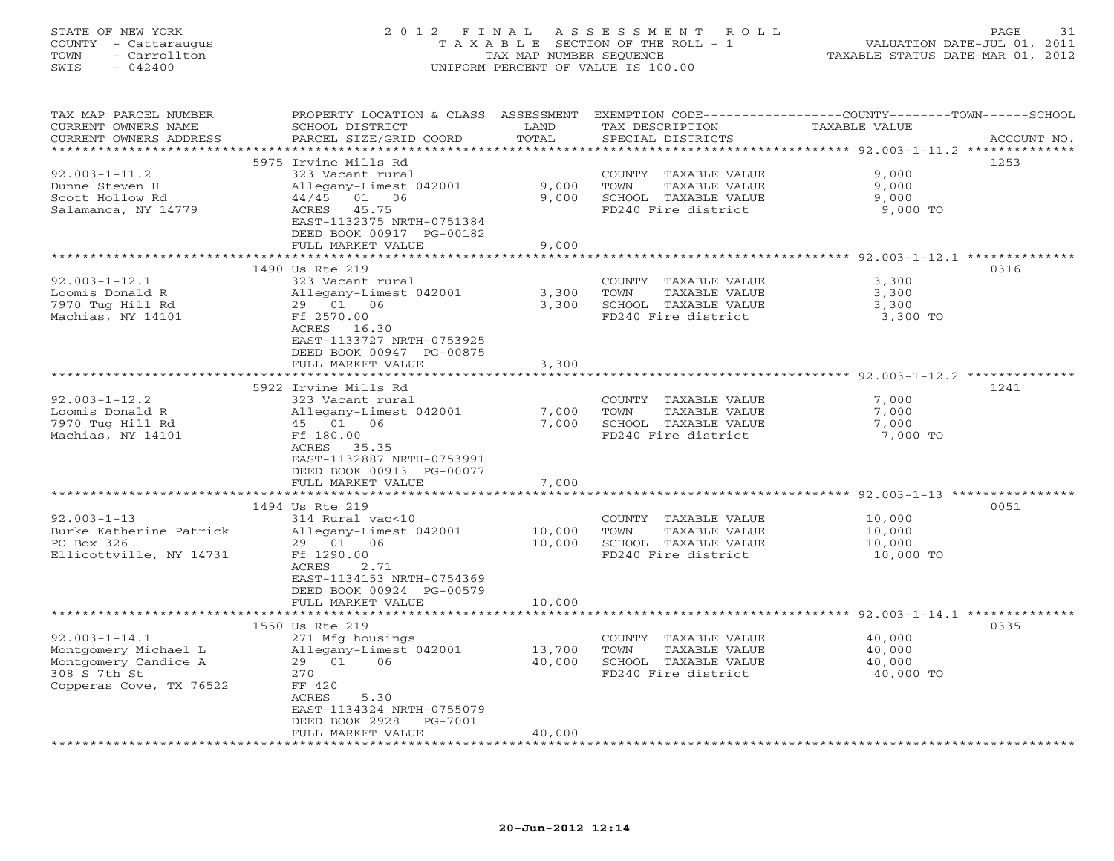## STATE OF NEW YORK 2 0 1 2 F I N A L A S S E S S M E N T R O L L PAGE 31 COUNTY - Cattaraugus T A X A B L E SECTION OF THE ROLL - 1 VALUATION DATE-JUL 01, 2011 TOWN - Carrollton TAX MAP NUMBER SEQUENCE TAXABLE STATUS DATE-MAR 01, 2012<br>TAXABLE STATUS DATE-MAR 01, 2012 SWIS - 042400 UNIFORM PERCENT OF VALUE IS 100.00

| TAX MAP PARCEL NUMBER<br>CURRENT OWNERS NAME  | PROPERTY LOCATION & CLASS ASSESSMENT<br>SCHOOL DISTRICT | LAND             | EXEMPTION CODE-----------------COUNTY-------TOWN-----SCHOOL<br>TAX DESCRIPTION | <b>TAXABLE VALUE</b>                                          |             |
|-----------------------------------------------|---------------------------------------------------------|------------------|--------------------------------------------------------------------------------|---------------------------------------------------------------|-------------|
| CURRENT OWNERS ADDRESS<br>******************* | PARCEL SIZE/GRID COORD                                  | TOTAL<br>******* | SPECIAL DISTRICTS                                                              | ******************************** 92.003-1-11.2 ************** | ACCOUNT NO. |
|                                               | 5975 Irvine Mills Rd                                    |                  |                                                                                |                                                               | 1253        |
| $92.003 - 1 - 11.2$                           | 323 Vacant rural                                        |                  | COUNTY TAXABLE VALUE                                                           | 9,000                                                         |             |
| Dunne Steven H                                | Allegany-Limest 042001                                  | 9,000            | TAXABLE VALUE<br>TOWN                                                          | 9,000                                                         |             |
| Scott Hollow Rd                               | 44/45 01 06                                             | 9,000            | SCHOOL TAXABLE VALUE                                                           | 9,000                                                         |             |
| Salamanca, NY 14779                           | ACRES<br>45.75                                          |                  | FD240 Fire district                                                            | 9,000 TO                                                      |             |
|                                               | EAST-1132375 NRTH-0751384                               |                  |                                                                                |                                                               |             |
|                                               | DEED BOOK 00917 PG-00182                                |                  |                                                                                |                                                               |             |
|                                               | FULL MARKET VALUE                                       | 9,000            |                                                                                |                                                               |             |
|                                               |                                                         |                  |                                                                                |                                                               |             |
|                                               | 1490 Us Rte 219                                         |                  |                                                                                |                                                               | 0316        |
| $92.003 - 1 - 12.1$<br>Loomis Donald R        | 323 Vacant rural                                        |                  | COUNTY TAXABLE VALUE<br>TOWN<br>TAXABLE VALUE                                  | 3,300<br>3,300                                                |             |
| 7970 Tug Hill Rd                              | Allegany-Limest 042001<br>29 01 06                      | 3,300<br>3,300   | SCHOOL TAXABLE VALUE                                                           | 3,300                                                         |             |
| Machias, NY 14101                             | Ff 2570.00                                              |                  | FD240 Fire district                                                            | 3,300 TO                                                      |             |
|                                               | ACRES 16.30                                             |                  |                                                                                |                                                               |             |
|                                               | EAST-1133727 NRTH-0753925                               |                  |                                                                                |                                                               |             |
|                                               | DEED BOOK 00947 PG-00875                                |                  |                                                                                |                                                               |             |
|                                               | FULL MARKET VALUE                                       | 3,300            |                                                                                |                                                               |             |
|                                               |                                                         | ******           |                                                                                | *************** 92.003-1-12.2 ***************                 |             |
|                                               | 5922 Irvine Mills Rd                                    |                  |                                                                                |                                                               | 1241        |
| $92.003 - 1 - 12.2$                           | 323 Vacant rural                                        |                  | COUNTY TAXABLE VALUE                                                           | 7,000                                                         |             |
| Loomis Donald R                               | Allegany-Limest 042001                                  | 7,000            | TAXABLE VALUE<br>TOWN                                                          | 7,000                                                         |             |
| 7970 Tug Hill Rd<br>Machias, NY 14101         | 45 01<br>06<br>Ff 180.00                                | 7,000            | SCHOOL TAXABLE VALUE<br>FD240 Fire district                                    | 7,000<br>7,000 TO                                             |             |
|                                               | ACRES<br>35.35                                          |                  |                                                                                |                                                               |             |
|                                               | EAST-1132887 NRTH-0753991                               |                  |                                                                                |                                                               |             |
|                                               | DEED BOOK 00913 PG-00077                                |                  |                                                                                |                                                               |             |
|                                               | FULL MARKET VALUE                                       | 7,000            |                                                                                |                                                               |             |
|                                               | ************************                                |                  |                                                                                |                                                               |             |
|                                               | 1494 Us Rte 219                                         |                  |                                                                                |                                                               | 0051        |
| $92.003 - 1 - 13$                             | 314 Rural vac<10                                        |                  | COUNTY TAXABLE VALUE                                                           | 10,000                                                        |             |
| Burke Katherine Patrick                       | Allegany-Limest 042001                                  | 10,000           | TOWN<br>TAXABLE VALUE                                                          | 10,000                                                        |             |
| PO Box 326                                    | 06<br>29 01                                             | 10,000           | SCHOOL TAXABLE VALUE                                                           | 10,000                                                        |             |
| Ellicottville, NY 14731                       | Ff 1290.00<br>ACRES<br>2.71                             |                  | FD240 Fire district                                                            | 10,000 TO                                                     |             |
|                                               | EAST-1134153 NRTH-0754369                               |                  |                                                                                |                                                               |             |
|                                               | DEED BOOK 00924 PG-00579                                |                  |                                                                                |                                                               |             |
|                                               | FULL MARKET VALUE                                       | 10,000           |                                                                                |                                                               |             |
|                                               | *************************                               |                  |                                                                                |                                                               |             |
|                                               | 1550 Us Rte 219                                         |                  |                                                                                |                                                               | 0335        |
| $92.003 - 1 - 14.1$                           | 271 Mfg housings                                        |                  | COUNTY<br>TAXABLE VALUE                                                        | 40,000                                                        |             |
| Montgomery Michael L                          | Allegany-Limest 042001                                  | 13,700           | TOWN<br>TAXABLE VALUE                                                          | 40,000                                                        |             |
| Montgomery Candice A                          | 29 01<br>06                                             | 40,000           | SCHOOL TAXABLE VALUE                                                           | 40,000                                                        |             |
| 308 S 7th St<br>Copperas Cove, TX 76522       | 270<br>FF 420                                           |                  | FD240 Fire district                                                            | 40,000 TO                                                     |             |
|                                               | ACRES<br>5.30                                           |                  |                                                                                |                                                               |             |
|                                               | EAST-1134324 NRTH-0755079                               |                  |                                                                                |                                                               |             |
|                                               | DEED BOOK 2928<br>PG-7001                               |                  |                                                                                |                                                               |             |
|                                               | FULL MARKET VALUE                                       | 40,000           |                                                                                |                                                               |             |
|                                               |                                                         |                  |                                                                                |                                                               |             |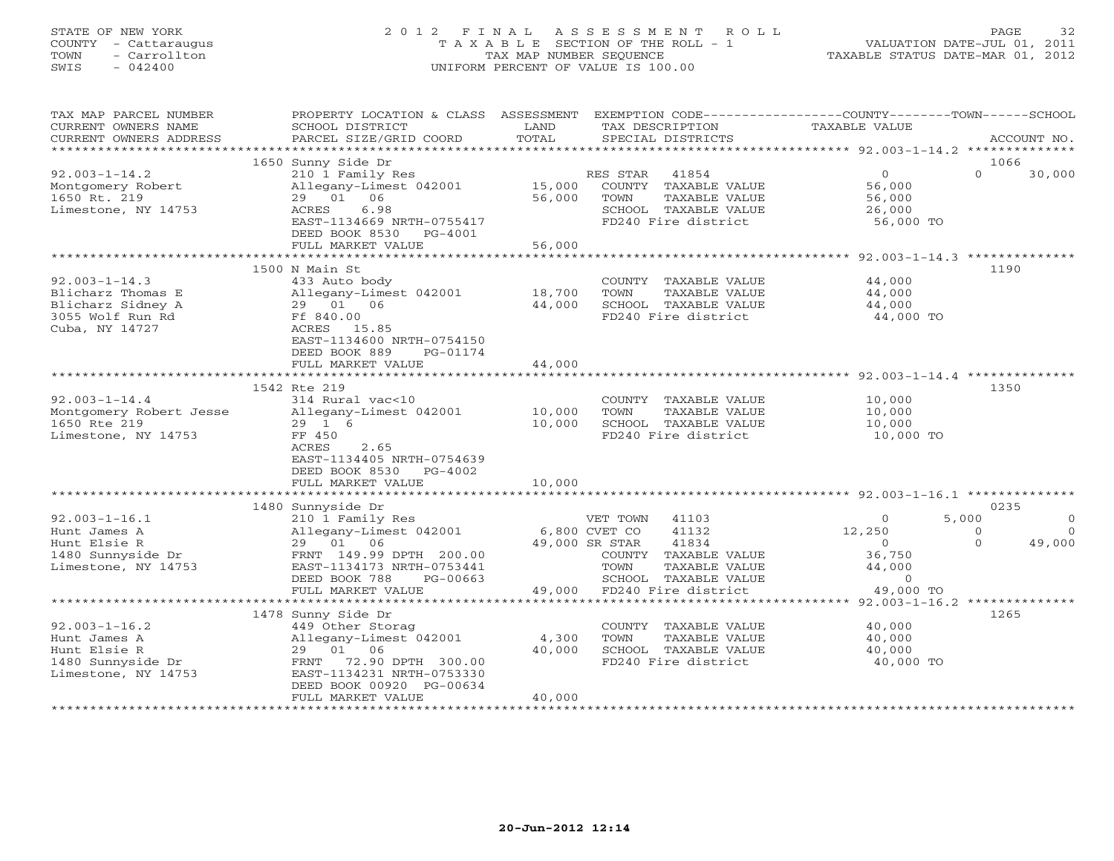# STATE OF NEW YORK 2 0 1 2 F I N A L A S S E S S M E N T R O L L PAGE 32 COUNTY - Cattaraugus T A X A B L E SECTION OF THE ROLL - 1 VALUATION DATE-JUL 01, 2011 TOWN - Carrollton TAX MAP NUMBER SEQUENCE TAXABLE STATUS DATE-MAR 01, 2012 SWIS - 042400 UNIFORM PERCENT OF VALUE IS 100.00UNIFORM PERCENT OF VALUE IS 100.00

| TOTAL<br>CURRENT OWNERS ADDRESS<br>PARCEL SIZE/GRID COORD<br>SPECIAL DISTRICTS<br>ACCOUNT NO.<br>1650 Sunny Side Dr<br>1066<br>$92.003 - 1 - 14.2$<br>$\overline{0}$<br>$\Omega$<br>30,000<br>210 1 Family Res<br>RES STAR<br>41854<br>15,000<br>COUNTY TAXABLE VALUE<br>Montgomery Robert<br>Allegany-Limest 042001<br>56,000<br>1650 Rt. 219<br>29 01 06<br>56,000<br>TOWN<br>TAXABLE VALUE<br>56,000<br>Limestone, NY 14753<br>ACRES<br>6.98<br>SCHOOL TAXABLE VALUE<br>26,000<br>FD240 Fire district<br>EAST-1134669 NRTH-0755417<br>56,000 TO<br>DEED BOOK 8530 PG-4001<br>FULL MARKET VALUE<br>56,000<br>1500 N Main St<br>1190<br>$92.003 - 1 - 14.3$<br>433 Auto body<br>COUNTY TAXABLE VALUE<br>44,000<br>Blicharz Thomas E<br>TAXABLE VALUE<br>Allegany-Limest 042001<br>18,700<br>TOWN<br>44,000<br>29 01 06<br>44,000<br>Blicharz Sidney A<br>SCHOOL TAXABLE VALUE<br>44,000<br>3055 Wolf Run Rd<br>Ff 840.00<br>FD240 Fire district<br>44,000 TO<br>Cuba, NY 14727<br>ACRES 15.85<br>EAST-1134600 NRTH-0754150<br>DEED BOOK 889<br>PG-01174<br>FULL MARKET VALUE<br>44,000<br>1350<br>1542 Rte 219<br>$92.003 - 1 - 14.4$<br>314 Rural vac<10<br>10,000<br>COUNTY TAXABLE VALUE<br>10,000<br>Montgomery Robert Jesse<br>Allegany-Limest 042001<br>TOWN<br>TAXABLE VALUE<br>10,000<br>1650 Rte 219<br>29 1 6<br>10,000<br>SCHOOL TAXABLE VALUE<br>10,000<br>FF 450<br>FD240 Fire district<br>10,000 TO<br>Limestone, NY 14753<br>ACRES<br>2.65<br>EAST-1134405 NRTH-0754639<br>DEED BOOK 8530 PG-4002<br>10,000<br>FULL MARKET VALUE<br>0235<br>1480 Sunnyside Dr<br>$92.003 - 1 - 16.1$<br>5,000<br>210 1 Family Res<br>VET TOWN 41103<br>$\Omega$<br>$\Omega$<br>Hunt James A<br>Allegany-Limest 042001<br>6,800 CVET CO<br>41132<br>12,250<br>$\bigcirc$<br>$\Omega$<br>$\Omega$<br>49,000<br>Hunt Elsie R<br>29 01 06<br>49,000 SR STAR<br>41834<br>$\overline{0}$<br>1480 Sunnyside Dr<br>36,750<br>FRNT 149.99 DPTH 200.00<br>COUNTY TAXABLE VALUE<br>Limestone, NY 14753<br>EAST-1134173 NRTH-0753441<br>TOWN<br>TAXABLE VALUE<br>44,000<br>SCHOOL TAXABLE VALUE<br>DEED BOOK 788<br>$PG-00663$<br>$\circ$<br>49,000<br>49,000 TO<br>FULL MARKET VALUE<br>FD240 Fire district<br>1478 Sunny Side Dr<br>1265<br>$92.003 - 1 - 16.2$<br>449 Other Storag<br>COUNTY TAXABLE VALUE<br>40,000<br>Allegany-Limest 042001<br>Hunt James A<br>4,300<br>TOWN<br>TAXABLE VALUE<br>40,000<br>Hunt Elsie R<br>29 01 06<br>40,000<br>SCHOOL TAXABLE VALUE<br>40,000<br>1480 Sunnyside Dr<br>FD240 Fire district<br>40,000 TO<br>72.90 DPTH 300.00<br>FRNT<br>Limestone, NY 14753<br>EAST-1134231 NRTH-0753330<br>DEED BOOK 00920 PG-00634<br>FULL MARKET VALUE<br>40,000 | TAX MAP PARCEL NUMBER<br>CURRENT OWNERS NAME | PROPERTY LOCATION & CLASS ASSESSMENT EXEMPTION CODE----------------COUNTY-------TOWN------SCHOOL<br>SCHOOL DISTRICT | LAND | TAX DESCRIPTION | TAXABLE VALUE |  |
|--------------------------------------------------------------------------------------------------------------------------------------------------------------------------------------------------------------------------------------------------------------------------------------------------------------------------------------------------------------------------------------------------------------------------------------------------------------------------------------------------------------------------------------------------------------------------------------------------------------------------------------------------------------------------------------------------------------------------------------------------------------------------------------------------------------------------------------------------------------------------------------------------------------------------------------------------------------------------------------------------------------------------------------------------------------------------------------------------------------------------------------------------------------------------------------------------------------------------------------------------------------------------------------------------------------------------------------------------------------------------------------------------------------------------------------------------------------------------------------------------------------------------------------------------------------------------------------------------------------------------------------------------------------------------------------------------------------------------------------------------------------------------------------------------------------------------------------------------------------------------------------------------------------------------------------------------------------------------------------------------------------------------------------------------------------------------------------------------------------------------------------------------------------------------------------------------------------------------------------------------------------------------------------------------------------------------------------------------------------------------------------------------------------------------------------------------------------------------------------------------------------------------------------------------------------------------------------------------------------------------------------------------------------------------------|----------------------------------------------|---------------------------------------------------------------------------------------------------------------------|------|-----------------|---------------|--|
|                                                                                                                                                                                                                                                                                                                                                                                                                                                                                                                                                                                                                                                                                                                                                                                                                                                                                                                                                                                                                                                                                                                                                                                                                                                                                                                                                                                                                                                                                                                                                                                                                                                                                                                                                                                                                                                                                                                                                                                                                                                                                                                                                                                                                                                                                                                                                                                                                                                                                                                                                                                                                                                                                |                                              |                                                                                                                     |      |                 |               |  |
|                                                                                                                                                                                                                                                                                                                                                                                                                                                                                                                                                                                                                                                                                                                                                                                                                                                                                                                                                                                                                                                                                                                                                                                                                                                                                                                                                                                                                                                                                                                                                                                                                                                                                                                                                                                                                                                                                                                                                                                                                                                                                                                                                                                                                                                                                                                                                                                                                                                                                                                                                                                                                                                                                |                                              |                                                                                                                     |      |                 |               |  |
|                                                                                                                                                                                                                                                                                                                                                                                                                                                                                                                                                                                                                                                                                                                                                                                                                                                                                                                                                                                                                                                                                                                                                                                                                                                                                                                                                                                                                                                                                                                                                                                                                                                                                                                                                                                                                                                                                                                                                                                                                                                                                                                                                                                                                                                                                                                                                                                                                                                                                                                                                                                                                                                                                |                                              |                                                                                                                     |      |                 |               |  |
|                                                                                                                                                                                                                                                                                                                                                                                                                                                                                                                                                                                                                                                                                                                                                                                                                                                                                                                                                                                                                                                                                                                                                                                                                                                                                                                                                                                                                                                                                                                                                                                                                                                                                                                                                                                                                                                                                                                                                                                                                                                                                                                                                                                                                                                                                                                                                                                                                                                                                                                                                                                                                                                                                |                                              |                                                                                                                     |      |                 |               |  |
|                                                                                                                                                                                                                                                                                                                                                                                                                                                                                                                                                                                                                                                                                                                                                                                                                                                                                                                                                                                                                                                                                                                                                                                                                                                                                                                                                                                                                                                                                                                                                                                                                                                                                                                                                                                                                                                                                                                                                                                                                                                                                                                                                                                                                                                                                                                                                                                                                                                                                                                                                                                                                                                                                |                                              |                                                                                                                     |      |                 |               |  |
|                                                                                                                                                                                                                                                                                                                                                                                                                                                                                                                                                                                                                                                                                                                                                                                                                                                                                                                                                                                                                                                                                                                                                                                                                                                                                                                                                                                                                                                                                                                                                                                                                                                                                                                                                                                                                                                                                                                                                                                                                                                                                                                                                                                                                                                                                                                                                                                                                                                                                                                                                                                                                                                                                |                                              |                                                                                                                     |      |                 |               |  |
|                                                                                                                                                                                                                                                                                                                                                                                                                                                                                                                                                                                                                                                                                                                                                                                                                                                                                                                                                                                                                                                                                                                                                                                                                                                                                                                                                                                                                                                                                                                                                                                                                                                                                                                                                                                                                                                                                                                                                                                                                                                                                                                                                                                                                                                                                                                                                                                                                                                                                                                                                                                                                                                                                |                                              |                                                                                                                     |      |                 |               |  |
|                                                                                                                                                                                                                                                                                                                                                                                                                                                                                                                                                                                                                                                                                                                                                                                                                                                                                                                                                                                                                                                                                                                                                                                                                                                                                                                                                                                                                                                                                                                                                                                                                                                                                                                                                                                                                                                                                                                                                                                                                                                                                                                                                                                                                                                                                                                                                                                                                                                                                                                                                                                                                                                                                |                                              |                                                                                                                     |      |                 |               |  |
|                                                                                                                                                                                                                                                                                                                                                                                                                                                                                                                                                                                                                                                                                                                                                                                                                                                                                                                                                                                                                                                                                                                                                                                                                                                                                                                                                                                                                                                                                                                                                                                                                                                                                                                                                                                                                                                                                                                                                                                                                                                                                                                                                                                                                                                                                                                                                                                                                                                                                                                                                                                                                                                                                |                                              |                                                                                                                     |      |                 |               |  |
|                                                                                                                                                                                                                                                                                                                                                                                                                                                                                                                                                                                                                                                                                                                                                                                                                                                                                                                                                                                                                                                                                                                                                                                                                                                                                                                                                                                                                                                                                                                                                                                                                                                                                                                                                                                                                                                                                                                                                                                                                                                                                                                                                                                                                                                                                                                                                                                                                                                                                                                                                                                                                                                                                |                                              |                                                                                                                     |      |                 |               |  |
|                                                                                                                                                                                                                                                                                                                                                                                                                                                                                                                                                                                                                                                                                                                                                                                                                                                                                                                                                                                                                                                                                                                                                                                                                                                                                                                                                                                                                                                                                                                                                                                                                                                                                                                                                                                                                                                                                                                                                                                                                                                                                                                                                                                                                                                                                                                                                                                                                                                                                                                                                                                                                                                                                |                                              |                                                                                                                     |      |                 |               |  |
|                                                                                                                                                                                                                                                                                                                                                                                                                                                                                                                                                                                                                                                                                                                                                                                                                                                                                                                                                                                                                                                                                                                                                                                                                                                                                                                                                                                                                                                                                                                                                                                                                                                                                                                                                                                                                                                                                                                                                                                                                                                                                                                                                                                                                                                                                                                                                                                                                                                                                                                                                                                                                                                                                |                                              |                                                                                                                     |      |                 |               |  |
|                                                                                                                                                                                                                                                                                                                                                                                                                                                                                                                                                                                                                                                                                                                                                                                                                                                                                                                                                                                                                                                                                                                                                                                                                                                                                                                                                                                                                                                                                                                                                                                                                                                                                                                                                                                                                                                                                                                                                                                                                                                                                                                                                                                                                                                                                                                                                                                                                                                                                                                                                                                                                                                                                |                                              |                                                                                                                     |      |                 |               |  |
|                                                                                                                                                                                                                                                                                                                                                                                                                                                                                                                                                                                                                                                                                                                                                                                                                                                                                                                                                                                                                                                                                                                                                                                                                                                                                                                                                                                                                                                                                                                                                                                                                                                                                                                                                                                                                                                                                                                                                                                                                                                                                                                                                                                                                                                                                                                                                                                                                                                                                                                                                                                                                                                                                |                                              |                                                                                                                     |      |                 |               |  |
|                                                                                                                                                                                                                                                                                                                                                                                                                                                                                                                                                                                                                                                                                                                                                                                                                                                                                                                                                                                                                                                                                                                                                                                                                                                                                                                                                                                                                                                                                                                                                                                                                                                                                                                                                                                                                                                                                                                                                                                                                                                                                                                                                                                                                                                                                                                                                                                                                                                                                                                                                                                                                                                                                |                                              |                                                                                                                     |      |                 |               |  |
|                                                                                                                                                                                                                                                                                                                                                                                                                                                                                                                                                                                                                                                                                                                                                                                                                                                                                                                                                                                                                                                                                                                                                                                                                                                                                                                                                                                                                                                                                                                                                                                                                                                                                                                                                                                                                                                                                                                                                                                                                                                                                                                                                                                                                                                                                                                                                                                                                                                                                                                                                                                                                                                                                |                                              |                                                                                                                     |      |                 |               |  |
|                                                                                                                                                                                                                                                                                                                                                                                                                                                                                                                                                                                                                                                                                                                                                                                                                                                                                                                                                                                                                                                                                                                                                                                                                                                                                                                                                                                                                                                                                                                                                                                                                                                                                                                                                                                                                                                                                                                                                                                                                                                                                                                                                                                                                                                                                                                                                                                                                                                                                                                                                                                                                                                                                |                                              |                                                                                                                     |      |                 |               |  |
|                                                                                                                                                                                                                                                                                                                                                                                                                                                                                                                                                                                                                                                                                                                                                                                                                                                                                                                                                                                                                                                                                                                                                                                                                                                                                                                                                                                                                                                                                                                                                                                                                                                                                                                                                                                                                                                                                                                                                                                                                                                                                                                                                                                                                                                                                                                                                                                                                                                                                                                                                                                                                                                                                |                                              |                                                                                                                     |      |                 |               |  |
|                                                                                                                                                                                                                                                                                                                                                                                                                                                                                                                                                                                                                                                                                                                                                                                                                                                                                                                                                                                                                                                                                                                                                                                                                                                                                                                                                                                                                                                                                                                                                                                                                                                                                                                                                                                                                                                                                                                                                                                                                                                                                                                                                                                                                                                                                                                                                                                                                                                                                                                                                                                                                                                                                |                                              |                                                                                                                     |      |                 |               |  |
|                                                                                                                                                                                                                                                                                                                                                                                                                                                                                                                                                                                                                                                                                                                                                                                                                                                                                                                                                                                                                                                                                                                                                                                                                                                                                                                                                                                                                                                                                                                                                                                                                                                                                                                                                                                                                                                                                                                                                                                                                                                                                                                                                                                                                                                                                                                                                                                                                                                                                                                                                                                                                                                                                |                                              |                                                                                                                     |      |                 |               |  |
|                                                                                                                                                                                                                                                                                                                                                                                                                                                                                                                                                                                                                                                                                                                                                                                                                                                                                                                                                                                                                                                                                                                                                                                                                                                                                                                                                                                                                                                                                                                                                                                                                                                                                                                                                                                                                                                                                                                                                                                                                                                                                                                                                                                                                                                                                                                                                                                                                                                                                                                                                                                                                                                                                |                                              |                                                                                                                     |      |                 |               |  |
|                                                                                                                                                                                                                                                                                                                                                                                                                                                                                                                                                                                                                                                                                                                                                                                                                                                                                                                                                                                                                                                                                                                                                                                                                                                                                                                                                                                                                                                                                                                                                                                                                                                                                                                                                                                                                                                                                                                                                                                                                                                                                                                                                                                                                                                                                                                                                                                                                                                                                                                                                                                                                                                                                |                                              |                                                                                                                     |      |                 |               |  |
|                                                                                                                                                                                                                                                                                                                                                                                                                                                                                                                                                                                                                                                                                                                                                                                                                                                                                                                                                                                                                                                                                                                                                                                                                                                                                                                                                                                                                                                                                                                                                                                                                                                                                                                                                                                                                                                                                                                                                                                                                                                                                                                                                                                                                                                                                                                                                                                                                                                                                                                                                                                                                                                                                |                                              |                                                                                                                     |      |                 |               |  |
|                                                                                                                                                                                                                                                                                                                                                                                                                                                                                                                                                                                                                                                                                                                                                                                                                                                                                                                                                                                                                                                                                                                                                                                                                                                                                                                                                                                                                                                                                                                                                                                                                                                                                                                                                                                                                                                                                                                                                                                                                                                                                                                                                                                                                                                                                                                                                                                                                                                                                                                                                                                                                                                                                |                                              |                                                                                                                     |      |                 |               |  |
|                                                                                                                                                                                                                                                                                                                                                                                                                                                                                                                                                                                                                                                                                                                                                                                                                                                                                                                                                                                                                                                                                                                                                                                                                                                                                                                                                                                                                                                                                                                                                                                                                                                                                                                                                                                                                                                                                                                                                                                                                                                                                                                                                                                                                                                                                                                                                                                                                                                                                                                                                                                                                                                                                |                                              |                                                                                                                     |      |                 |               |  |
|                                                                                                                                                                                                                                                                                                                                                                                                                                                                                                                                                                                                                                                                                                                                                                                                                                                                                                                                                                                                                                                                                                                                                                                                                                                                                                                                                                                                                                                                                                                                                                                                                                                                                                                                                                                                                                                                                                                                                                                                                                                                                                                                                                                                                                                                                                                                                                                                                                                                                                                                                                                                                                                                                |                                              |                                                                                                                     |      |                 |               |  |
|                                                                                                                                                                                                                                                                                                                                                                                                                                                                                                                                                                                                                                                                                                                                                                                                                                                                                                                                                                                                                                                                                                                                                                                                                                                                                                                                                                                                                                                                                                                                                                                                                                                                                                                                                                                                                                                                                                                                                                                                                                                                                                                                                                                                                                                                                                                                                                                                                                                                                                                                                                                                                                                                                |                                              |                                                                                                                     |      |                 |               |  |
|                                                                                                                                                                                                                                                                                                                                                                                                                                                                                                                                                                                                                                                                                                                                                                                                                                                                                                                                                                                                                                                                                                                                                                                                                                                                                                                                                                                                                                                                                                                                                                                                                                                                                                                                                                                                                                                                                                                                                                                                                                                                                                                                                                                                                                                                                                                                                                                                                                                                                                                                                                                                                                                                                |                                              |                                                                                                                     |      |                 |               |  |
|                                                                                                                                                                                                                                                                                                                                                                                                                                                                                                                                                                                                                                                                                                                                                                                                                                                                                                                                                                                                                                                                                                                                                                                                                                                                                                                                                                                                                                                                                                                                                                                                                                                                                                                                                                                                                                                                                                                                                                                                                                                                                                                                                                                                                                                                                                                                                                                                                                                                                                                                                                                                                                                                                |                                              |                                                                                                                     |      |                 |               |  |
|                                                                                                                                                                                                                                                                                                                                                                                                                                                                                                                                                                                                                                                                                                                                                                                                                                                                                                                                                                                                                                                                                                                                                                                                                                                                                                                                                                                                                                                                                                                                                                                                                                                                                                                                                                                                                                                                                                                                                                                                                                                                                                                                                                                                                                                                                                                                                                                                                                                                                                                                                                                                                                                                                |                                              |                                                                                                                     |      |                 |               |  |
|                                                                                                                                                                                                                                                                                                                                                                                                                                                                                                                                                                                                                                                                                                                                                                                                                                                                                                                                                                                                                                                                                                                                                                                                                                                                                                                                                                                                                                                                                                                                                                                                                                                                                                                                                                                                                                                                                                                                                                                                                                                                                                                                                                                                                                                                                                                                                                                                                                                                                                                                                                                                                                                                                |                                              |                                                                                                                     |      |                 |               |  |
|                                                                                                                                                                                                                                                                                                                                                                                                                                                                                                                                                                                                                                                                                                                                                                                                                                                                                                                                                                                                                                                                                                                                                                                                                                                                                                                                                                                                                                                                                                                                                                                                                                                                                                                                                                                                                                                                                                                                                                                                                                                                                                                                                                                                                                                                                                                                                                                                                                                                                                                                                                                                                                                                                |                                              |                                                                                                                     |      |                 |               |  |
|                                                                                                                                                                                                                                                                                                                                                                                                                                                                                                                                                                                                                                                                                                                                                                                                                                                                                                                                                                                                                                                                                                                                                                                                                                                                                                                                                                                                                                                                                                                                                                                                                                                                                                                                                                                                                                                                                                                                                                                                                                                                                                                                                                                                                                                                                                                                                                                                                                                                                                                                                                                                                                                                                |                                              |                                                                                                                     |      |                 |               |  |
|                                                                                                                                                                                                                                                                                                                                                                                                                                                                                                                                                                                                                                                                                                                                                                                                                                                                                                                                                                                                                                                                                                                                                                                                                                                                                                                                                                                                                                                                                                                                                                                                                                                                                                                                                                                                                                                                                                                                                                                                                                                                                                                                                                                                                                                                                                                                                                                                                                                                                                                                                                                                                                                                                |                                              |                                                                                                                     |      |                 |               |  |
|                                                                                                                                                                                                                                                                                                                                                                                                                                                                                                                                                                                                                                                                                                                                                                                                                                                                                                                                                                                                                                                                                                                                                                                                                                                                                                                                                                                                                                                                                                                                                                                                                                                                                                                                                                                                                                                                                                                                                                                                                                                                                                                                                                                                                                                                                                                                                                                                                                                                                                                                                                                                                                                                                |                                              |                                                                                                                     |      |                 |               |  |
|                                                                                                                                                                                                                                                                                                                                                                                                                                                                                                                                                                                                                                                                                                                                                                                                                                                                                                                                                                                                                                                                                                                                                                                                                                                                                                                                                                                                                                                                                                                                                                                                                                                                                                                                                                                                                                                                                                                                                                                                                                                                                                                                                                                                                                                                                                                                                                                                                                                                                                                                                                                                                                                                                |                                              |                                                                                                                     |      |                 |               |  |
|                                                                                                                                                                                                                                                                                                                                                                                                                                                                                                                                                                                                                                                                                                                                                                                                                                                                                                                                                                                                                                                                                                                                                                                                                                                                                                                                                                                                                                                                                                                                                                                                                                                                                                                                                                                                                                                                                                                                                                                                                                                                                                                                                                                                                                                                                                                                                                                                                                                                                                                                                                                                                                                                                |                                              |                                                                                                                     |      |                 |               |  |
|                                                                                                                                                                                                                                                                                                                                                                                                                                                                                                                                                                                                                                                                                                                                                                                                                                                                                                                                                                                                                                                                                                                                                                                                                                                                                                                                                                                                                                                                                                                                                                                                                                                                                                                                                                                                                                                                                                                                                                                                                                                                                                                                                                                                                                                                                                                                                                                                                                                                                                                                                                                                                                                                                |                                              |                                                                                                                     |      |                 |               |  |
|                                                                                                                                                                                                                                                                                                                                                                                                                                                                                                                                                                                                                                                                                                                                                                                                                                                                                                                                                                                                                                                                                                                                                                                                                                                                                                                                                                                                                                                                                                                                                                                                                                                                                                                                                                                                                                                                                                                                                                                                                                                                                                                                                                                                                                                                                                                                                                                                                                                                                                                                                                                                                                                                                |                                              |                                                                                                                     |      |                 |               |  |
|                                                                                                                                                                                                                                                                                                                                                                                                                                                                                                                                                                                                                                                                                                                                                                                                                                                                                                                                                                                                                                                                                                                                                                                                                                                                                                                                                                                                                                                                                                                                                                                                                                                                                                                                                                                                                                                                                                                                                                                                                                                                                                                                                                                                                                                                                                                                                                                                                                                                                                                                                                                                                                                                                |                                              |                                                                                                                     |      |                 |               |  |
|                                                                                                                                                                                                                                                                                                                                                                                                                                                                                                                                                                                                                                                                                                                                                                                                                                                                                                                                                                                                                                                                                                                                                                                                                                                                                                                                                                                                                                                                                                                                                                                                                                                                                                                                                                                                                                                                                                                                                                                                                                                                                                                                                                                                                                                                                                                                                                                                                                                                                                                                                                                                                                                                                |                                              |                                                                                                                     |      |                 |               |  |
|                                                                                                                                                                                                                                                                                                                                                                                                                                                                                                                                                                                                                                                                                                                                                                                                                                                                                                                                                                                                                                                                                                                                                                                                                                                                                                                                                                                                                                                                                                                                                                                                                                                                                                                                                                                                                                                                                                                                                                                                                                                                                                                                                                                                                                                                                                                                                                                                                                                                                                                                                                                                                                                                                |                                              |                                                                                                                     |      |                 |               |  |
|                                                                                                                                                                                                                                                                                                                                                                                                                                                                                                                                                                                                                                                                                                                                                                                                                                                                                                                                                                                                                                                                                                                                                                                                                                                                                                                                                                                                                                                                                                                                                                                                                                                                                                                                                                                                                                                                                                                                                                                                                                                                                                                                                                                                                                                                                                                                                                                                                                                                                                                                                                                                                                                                                |                                              |                                                                                                                     |      |                 |               |  |
|                                                                                                                                                                                                                                                                                                                                                                                                                                                                                                                                                                                                                                                                                                                                                                                                                                                                                                                                                                                                                                                                                                                                                                                                                                                                                                                                                                                                                                                                                                                                                                                                                                                                                                                                                                                                                                                                                                                                                                                                                                                                                                                                                                                                                                                                                                                                                                                                                                                                                                                                                                                                                                                                                |                                              |                                                                                                                     |      |                 |               |  |
|                                                                                                                                                                                                                                                                                                                                                                                                                                                                                                                                                                                                                                                                                                                                                                                                                                                                                                                                                                                                                                                                                                                                                                                                                                                                                                                                                                                                                                                                                                                                                                                                                                                                                                                                                                                                                                                                                                                                                                                                                                                                                                                                                                                                                                                                                                                                                                                                                                                                                                                                                                                                                                                                                |                                              |                                                                                                                     |      |                 |               |  |
|                                                                                                                                                                                                                                                                                                                                                                                                                                                                                                                                                                                                                                                                                                                                                                                                                                                                                                                                                                                                                                                                                                                                                                                                                                                                                                                                                                                                                                                                                                                                                                                                                                                                                                                                                                                                                                                                                                                                                                                                                                                                                                                                                                                                                                                                                                                                                                                                                                                                                                                                                                                                                                                                                |                                              |                                                                                                                     |      |                 |               |  |
|                                                                                                                                                                                                                                                                                                                                                                                                                                                                                                                                                                                                                                                                                                                                                                                                                                                                                                                                                                                                                                                                                                                                                                                                                                                                                                                                                                                                                                                                                                                                                                                                                                                                                                                                                                                                                                                                                                                                                                                                                                                                                                                                                                                                                                                                                                                                                                                                                                                                                                                                                                                                                                                                                |                                              |                                                                                                                     |      |                 |               |  |
|                                                                                                                                                                                                                                                                                                                                                                                                                                                                                                                                                                                                                                                                                                                                                                                                                                                                                                                                                                                                                                                                                                                                                                                                                                                                                                                                                                                                                                                                                                                                                                                                                                                                                                                                                                                                                                                                                                                                                                                                                                                                                                                                                                                                                                                                                                                                                                                                                                                                                                                                                                                                                                                                                |                                              |                                                                                                                     |      |                 |               |  |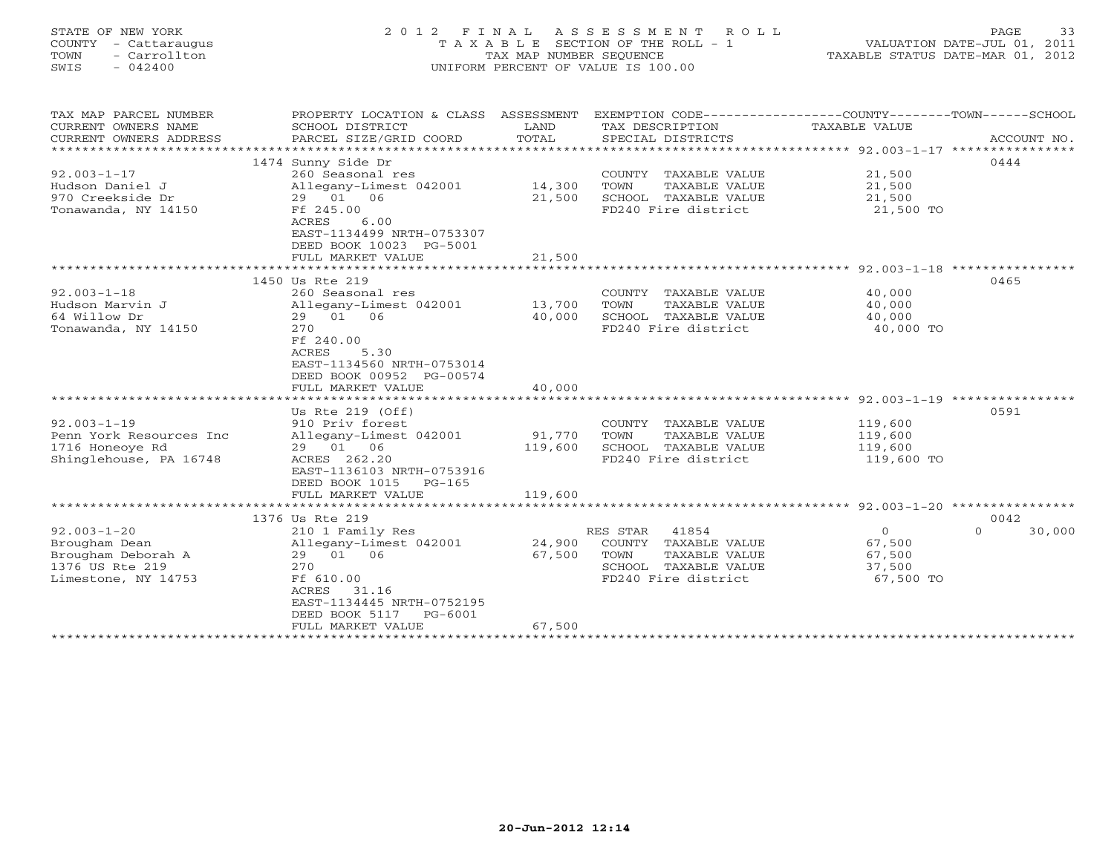| STATE OF NEW YORK<br>COUNTY - Cattaraugus<br>TOWN<br>- Carrollton<br>$-042400$<br>SWIS             | 2 0 1 2                                                                                                                                                                | FINAL<br>TAX MAP NUMBER SEQUENCE | A S S E S S M E N T<br>R O L L<br>T A X A B L E SECTION OF THE ROLL - 1<br>UNIFORM PERCENT OF VALUE IS 100.00     |                                                    | PAGE<br>33<br>VALUATION DATE-JUL 01, 2011<br>TAXABLE STATUS DATE-MAR 01, 2012 |
|----------------------------------------------------------------------------------------------------|------------------------------------------------------------------------------------------------------------------------------------------------------------------------|----------------------------------|-------------------------------------------------------------------------------------------------------------------|----------------------------------------------------|-------------------------------------------------------------------------------|
| TAX MAP PARCEL NUMBER<br>CURRENT OWNERS NAME<br>CURRENT OWNERS ADDRESS                             | PROPERTY LOCATION & CLASS ASSESSMENT EXEMPTION CODE----------------COUNTY-------TOWN------SCHOOL<br>SCHOOL DISTRICT<br>PARCEL SIZE/GRID COORD                          | LAND<br>TOTAL                    | TAX DESCRIPTION<br>SPECIAL DISTRICTS                                                                              | <b>TAXABLE VALUE</b>                               | ACCOUNT NO.                                                                   |
| *************************                                                                          |                                                                                                                                                                        |                                  |                                                                                                                   |                                                    |                                                                               |
| $92.003 - 1 - 17$<br>Hudson Daniel J<br>970 Creekside Dr<br>Tonawanda, NY 14150                    | 1474 Sunny Side Dr<br>260 Seasonal res<br>Allegany-Limest 042001<br>29 01 06<br>Ff 245.00<br>6.00<br>ACRES<br>EAST-1134499 NRTH-0753307                                | 14,300<br>21,500                 | COUNTY TAXABLE VALUE<br>TAXABLE VALUE<br>TOWN<br>SCHOOL TAXABLE VALUE<br>FD240 Fire district                      | 21,500<br>21,500<br>21,500<br>21,500 TO            | 0444                                                                          |
|                                                                                                    | DEED BOOK 10023 PG-5001<br>FULL MARKET VALUE                                                                                                                           | 21,500                           |                                                                                                                   |                                                    |                                                                               |
|                                                                                                    |                                                                                                                                                                        |                                  |                                                                                                                   |                                                    |                                                                               |
|                                                                                                    | 1450 Us Rte 219                                                                                                                                                        |                                  |                                                                                                                   |                                                    | 0465                                                                          |
| $92.003 - 1 - 18$<br>Hudson Marvin J<br>64 Willow Dr<br>Tonawanda, NY 14150                        | 260 Seasonal res<br>Allegany-Limest 042001<br>29 01 06<br>270<br>Ff 240.00<br>ACRES<br>5.30<br>EAST-1134560 NRTH-0753014<br>DEED BOOK 00952 PG-00574                   | 13,700<br>40,000                 | COUNTY TAXABLE VALUE<br>TAXABLE VALUE<br>TOWN<br>SCHOOL TAXABLE VALUE<br>FD240 Fire district                      | 40,000<br>40,000<br>40,000<br>40,000 TO            |                                                                               |
|                                                                                                    | FULL MARKET VALUE                                                                                                                                                      | 40,000                           |                                                                                                                   |                                                    |                                                                               |
| $92.003 - 1 - 19$<br>Penn York Resources Inc<br>1716 Honeoye Rd<br>Shinglehouse, PA 16748          | Us Rte $219$ (Off)<br>910 Priv forest<br>Allegany-Limest 042001<br>29 01 06<br>ACRES 262.20<br>EAST-1136103 NRTH-0753916<br>DEED BOOK 1015 PG-165<br>FULL MARKET VALUE | 91,770<br>119,600<br>119,600     | COUNTY TAXABLE VALUE<br>TAXABLE VALUE<br>TOWN<br>SCHOOL TAXABLE VALUE<br>FD240 Fire district                      | 119,600<br>119,600<br>119,600<br>119,600 TO        | 0591                                                                          |
|                                                                                                    |                                                                                                                                                                        |                                  |                                                                                                                   |                                                    |                                                                               |
| $92.003 - 1 - 20$<br>Brougham Dean<br>Brougham Deborah A<br>1376 US Rte 219<br>Limestone, NY 14753 | 1376 Us Rte 219<br>210 1 Family Res<br>Allegany-Limest 042001<br>29 01 06<br>270<br>Ff 610.00<br>ACRES 31.16<br>EAST-1134445 NRTH-0752195<br>DEED BOOK 5117<br>PG-6001 | 24,900<br>67,500                 | RES STAR<br>41854<br>COUNTY TAXABLE VALUE<br>TOWN<br>TAXABLE VALUE<br>SCHOOL TAXABLE VALUE<br>FD240 Fire district | $\circ$<br>67,500<br>67,500<br>37,500<br>67,500 TO | 0042<br>30,000<br>$\Omega$                                                    |

FULL MARKET VALUE 67,500 \*\*\*\*\*\*\*\*\*\*\*\*\*\*\*\*\*\*\*\*\*\*\*\*\*\*\*\*\*\*\*\*\*\*\*\*\*\*\*\*\*\*\*\*\*\*\*\*\*\*\*\*\*\*\*\*\*\*\*\*\*\*\*\*\*\*\*\*\*\*\*\*\*\*\*\*\*\*\*\*\*\*\*\*\*\*\*\*\*\*\*\*\*\*\*\*\*\*\*\*\*\*\*\*\*\*\*\*\*\*\*\*\*\*\*\*\*\*\*\*\*\*\*\*\*\*\*\*\*\*\*\*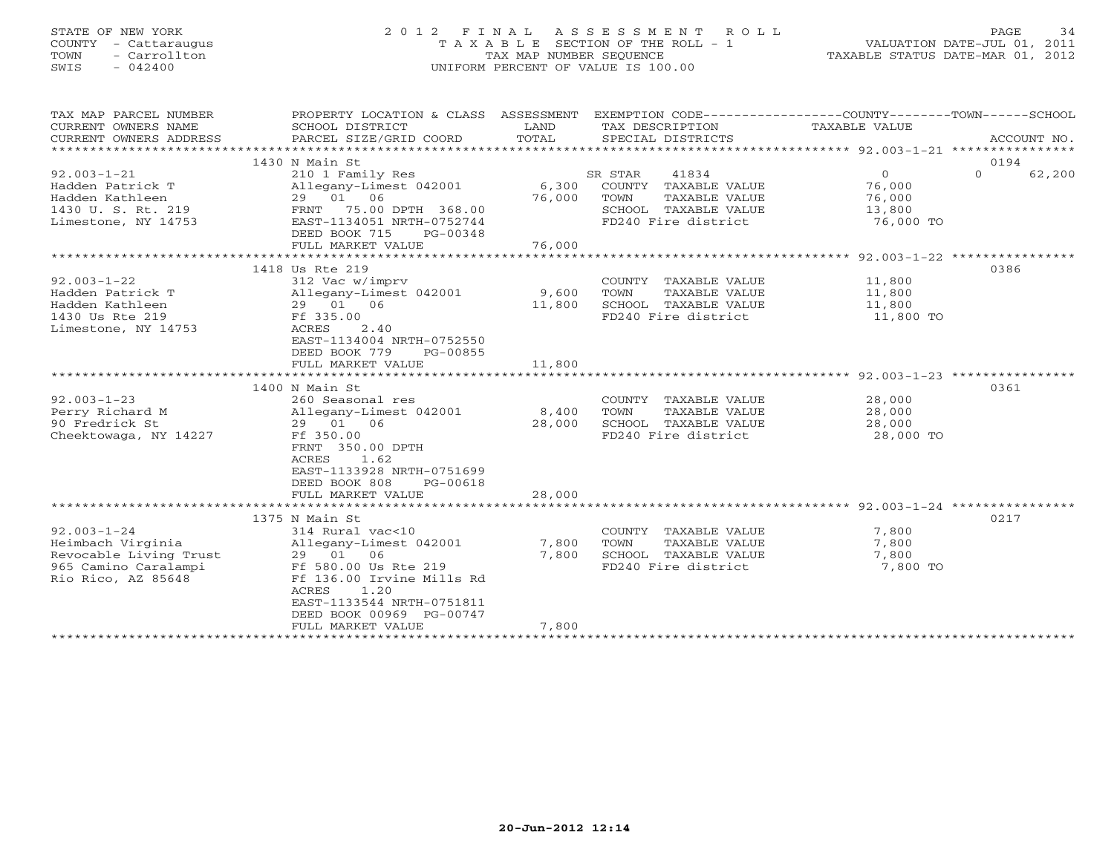# STATE OF NEW YORK 2 0 1 2 F I N A L A S S E S S M E N T R O L L PAGE 34 COUNTY - Cattaraugus T A X A B L E SECTION OF THE ROLL - 1 VALUATION DATE-JUL 01, 2011 TOWN - Carrollton TAX MAP NUMBER SEQUENCE TAXABLE STATUS DATE-MAR 01, 2012 SWIS - 042400 UNIFORM PERCENT OF VALUE IS 100.00UNIFORM PERCENT OF VALUE IS 100.00

| 0194<br>1430 N Main St<br>$92.003 - 1 - 21$<br>SR STAR<br>$\Omega$<br>62,200<br>210 1 Family Res<br>41834<br>$\Omega$<br>Hadden Patrick T<br>Allegany-Limest 042001<br>6,300<br>COUNTY TAXABLE VALUE<br>76,000<br>29 01 06<br>Hadden Kathleen<br>76,000<br>76,000<br>TOWN<br>TAXABLE VALUE<br>1430 U.S.Rt. 219<br>FRNT 75.00 DPTH 368.00<br>SCHOOL TAXABLE VALUE<br>13,800<br>Limestone, NY 14753<br>EAST-1134051 NRTH-0752744<br>FD240 Fire district<br>76,000 TO<br>DEED BOOK 715<br>PG-00348<br>76,000<br>FULL MARKET VALUE<br>1418 Us Rte 219<br>0386<br>$92.003 - 1 - 22$<br>312 Vac w/imprv<br>COUNTY TAXABLE VALUE<br>11,800<br>Hadden Patrick T<br>Allegany-Limest 042001<br>9,600<br>TOWN<br>TAXABLE VALUE<br>11,800<br>29 01 06<br>11,800<br>SCHOOL TAXABLE VALUE<br>Hadden Kathleen<br>11,800<br>1430 Us Rte 219<br>Ff 335.00<br>FD240 Fire district<br>11,800 TO<br>Limestone, NY 14753<br>ACRES<br>2.40<br>EAST-1134004 NRTH-0752550<br>DEED BOOK 779<br>PG-00855<br>FULL MARKET VALUE<br>11,800<br>1400 N Main St<br>0361<br>$92.003 - 1 - 23$<br>28,000<br>260 Seasonal res<br>COUNTY TAXABLE VALUE<br>Perry Richard M<br>Allegany-Limest 042001<br>8,400<br>TAXABLE VALUE<br>28,000<br>TOWN<br>90 Fredrick St<br>28,000<br>SCHOOL TAXABLE VALUE<br>29 01 06<br>28,000<br>FD240 Fire district<br>Cheektowaga, NY 14227<br>Ff 350.00<br>28,000 TO<br>FRNT 350.00 DPTH | TAX MAP PARCEL NUMBER<br>CURRENT OWNERS NAME<br>CURRENT OWNERS ADDRESS | PROPERTY LOCATION & CLASS ASSESSMENT<br>SCHOOL DISTRICT<br>PARCEL SIZE/GRID COORD | LAND<br>TOTAL | SPECIAL DISTRICTS | EXEMPTION CODE-----------------COUNTY-------TOWN------SCHOOL<br>TAX DESCRIPTION TAXABLE VALUE |  | ACCOUNT NO. |
|-------------------------------------------------------------------------------------------------------------------------------------------------------------------------------------------------------------------------------------------------------------------------------------------------------------------------------------------------------------------------------------------------------------------------------------------------------------------------------------------------------------------------------------------------------------------------------------------------------------------------------------------------------------------------------------------------------------------------------------------------------------------------------------------------------------------------------------------------------------------------------------------------------------------------------------------------------------------------------------------------------------------------------------------------------------------------------------------------------------------------------------------------------------------------------------------------------------------------------------------------------------------------------------------------------------------------------------------------------------------------------------|------------------------------------------------------------------------|-----------------------------------------------------------------------------------|---------------|-------------------|-----------------------------------------------------------------------------------------------|--|-------------|
|                                                                                                                                                                                                                                                                                                                                                                                                                                                                                                                                                                                                                                                                                                                                                                                                                                                                                                                                                                                                                                                                                                                                                                                                                                                                                                                                                                                     |                                                                        |                                                                                   |               |                   |                                                                                               |  |             |
|                                                                                                                                                                                                                                                                                                                                                                                                                                                                                                                                                                                                                                                                                                                                                                                                                                                                                                                                                                                                                                                                                                                                                                                                                                                                                                                                                                                     |                                                                        |                                                                                   |               |                   |                                                                                               |  |             |
|                                                                                                                                                                                                                                                                                                                                                                                                                                                                                                                                                                                                                                                                                                                                                                                                                                                                                                                                                                                                                                                                                                                                                                                                                                                                                                                                                                                     |                                                                        |                                                                                   |               |                   |                                                                                               |  |             |
|                                                                                                                                                                                                                                                                                                                                                                                                                                                                                                                                                                                                                                                                                                                                                                                                                                                                                                                                                                                                                                                                                                                                                                                                                                                                                                                                                                                     |                                                                        |                                                                                   |               |                   |                                                                                               |  |             |
|                                                                                                                                                                                                                                                                                                                                                                                                                                                                                                                                                                                                                                                                                                                                                                                                                                                                                                                                                                                                                                                                                                                                                                                                                                                                                                                                                                                     |                                                                        |                                                                                   |               |                   |                                                                                               |  |             |
|                                                                                                                                                                                                                                                                                                                                                                                                                                                                                                                                                                                                                                                                                                                                                                                                                                                                                                                                                                                                                                                                                                                                                                                                                                                                                                                                                                                     |                                                                        |                                                                                   |               |                   |                                                                                               |  |             |
|                                                                                                                                                                                                                                                                                                                                                                                                                                                                                                                                                                                                                                                                                                                                                                                                                                                                                                                                                                                                                                                                                                                                                                                                                                                                                                                                                                                     |                                                                        |                                                                                   |               |                   |                                                                                               |  |             |
|                                                                                                                                                                                                                                                                                                                                                                                                                                                                                                                                                                                                                                                                                                                                                                                                                                                                                                                                                                                                                                                                                                                                                                                                                                                                                                                                                                                     |                                                                        |                                                                                   |               |                   |                                                                                               |  |             |
|                                                                                                                                                                                                                                                                                                                                                                                                                                                                                                                                                                                                                                                                                                                                                                                                                                                                                                                                                                                                                                                                                                                                                                                                                                                                                                                                                                                     |                                                                        |                                                                                   |               |                   |                                                                                               |  |             |
|                                                                                                                                                                                                                                                                                                                                                                                                                                                                                                                                                                                                                                                                                                                                                                                                                                                                                                                                                                                                                                                                                                                                                                                                                                                                                                                                                                                     |                                                                        |                                                                                   |               |                   |                                                                                               |  |             |
|                                                                                                                                                                                                                                                                                                                                                                                                                                                                                                                                                                                                                                                                                                                                                                                                                                                                                                                                                                                                                                                                                                                                                                                                                                                                                                                                                                                     |                                                                        |                                                                                   |               |                   |                                                                                               |  |             |
|                                                                                                                                                                                                                                                                                                                                                                                                                                                                                                                                                                                                                                                                                                                                                                                                                                                                                                                                                                                                                                                                                                                                                                                                                                                                                                                                                                                     |                                                                        |                                                                                   |               |                   |                                                                                               |  |             |
|                                                                                                                                                                                                                                                                                                                                                                                                                                                                                                                                                                                                                                                                                                                                                                                                                                                                                                                                                                                                                                                                                                                                                                                                                                                                                                                                                                                     |                                                                        |                                                                                   |               |                   |                                                                                               |  |             |
|                                                                                                                                                                                                                                                                                                                                                                                                                                                                                                                                                                                                                                                                                                                                                                                                                                                                                                                                                                                                                                                                                                                                                                                                                                                                                                                                                                                     |                                                                        |                                                                                   |               |                   |                                                                                               |  |             |
|                                                                                                                                                                                                                                                                                                                                                                                                                                                                                                                                                                                                                                                                                                                                                                                                                                                                                                                                                                                                                                                                                                                                                                                                                                                                                                                                                                                     |                                                                        |                                                                                   |               |                   |                                                                                               |  |             |
|                                                                                                                                                                                                                                                                                                                                                                                                                                                                                                                                                                                                                                                                                                                                                                                                                                                                                                                                                                                                                                                                                                                                                                                                                                                                                                                                                                                     |                                                                        |                                                                                   |               |                   |                                                                                               |  |             |
|                                                                                                                                                                                                                                                                                                                                                                                                                                                                                                                                                                                                                                                                                                                                                                                                                                                                                                                                                                                                                                                                                                                                                                                                                                                                                                                                                                                     |                                                                        |                                                                                   |               |                   |                                                                                               |  |             |
|                                                                                                                                                                                                                                                                                                                                                                                                                                                                                                                                                                                                                                                                                                                                                                                                                                                                                                                                                                                                                                                                                                                                                                                                                                                                                                                                                                                     |                                                                        |                                                                                   |               |                   |                                                                                               |  |             |
|                                                                                                                                                                                                                                                                                                                                                                                                                                                                                                                                                                                                                                                                                                                                                                                                                                                                                                                                                                                                                                                                                                                                                                                                                                                                                                                                                                                     |                                                                        |                                                                                   |               |                   |                                                                                               |  |             |
|                                                                                                                                                                                                                                                                                                                                                                                                                                                                                                                                                                                                                                                                                                                                                                                                                                                                                                                                                                                                                                                                                                                                                                                                                                                                                                                                                                                     |                                                                        |                                                                                   |               |                   |                                                                                               |  |             |
|                                                                                                                                                                                                                                                                                                                                                                                                                                                                                                                                                                                                                                                                                                                                                                                                                                                                                                                                                                                                                                                                                                                                                                                                                                                                                                                                                                                     |                                                                        |                                                                                   |               |                   |                                                                                               |  |             |
|                                                                                                                                                                                                                                                                                                                                                                                                                                                                                                                                                                                                                                                                                                                                                                                                                                                                                                                                                                                                                                                                                                                                                                                                                                                                                                                                                                                     |                                                                        |                                                                                   |               |                   |                                                                                               |  |             |
|                                                                                                                                                                                                                                                                                                                                                                                                                                                                                                                                                                                                                                                                                                                                                                                                                                                                                                                                                                                                                                                                                                                                                                                                                                                                                                                                                                                     |                                                                        |                                                                                   |               |                   |                                                                                               |  |             |
|                                                                                                                                                                                                                                                                                                                                                                                                                                                                                                                                                                                                                                                                                                                                                                                                                                                                                                                                                                                                                                                                                                                                                                                                                                                                                                                                                                                     |                                                                        |                                                                                   |               |                   |                                                                                               |  |             |
|                                                                                                                                                                                                                                                                                                                                                                                                                                                                                                                                                                                                                                                                                                                                                                                                                                                                                                                                                                                                                                                                                                                                                                                                                                                                                                                                                                                     |                                                                        |                                                                                   |               |                   |                                                                                               |  |             |
| ACRES<br>1.62                                                                                                                                                                                                                                                                                                                                                                                                                                                                                                                                                                                                                                                                                                                                                                                                                                                                                                                                                                                                                                                                                                                                                                                                                                                                                                                                                                       |                                                                        |                                                                                   |               |                   |                                                                                               |  |             |
| EAST-1133928 NRTH-0751699                                                                                                                                                                                                                                                                                                                                                                                                                                                                                                                                                                                                                                                                                                                                                                                                                                                                                                                                                                                                                                                                                                                                                                                                                                                                                                                                                           |                                                                        |                                                                                   |               |                   |                                                                                               |  |             |
| DEED BOOK 808<br>PG-00618                                                                                                                                                                                                                                                                                                                                                                                                                                                                                                                                                                                                                                                                                                                                                                                                                                                                                                                                                                                                                                                                                                                                                                                                                                                                                                                                                           |                                                                        |                                                                                   |               |                   |                                                                                               |  |             |
| 28,000<br>FULL MARKET VALUE                                                                                                                                                                                                                                                                                                                                                                                                                                                                                                                                                                                                                                                                                                                                                                                                                                                                                                                                                                                                                                                                                                                                                                                                                                                                                                                                                         |                                                                        |                                                                                   |               |                   |                                                                                               |  |             |
|                                                                                                                                                                                                                                                                                                                                                                                                                                                                                                                                                                                                                                                                                                                                                                                                                                                                                                                                                                                                                                                                                                                                                                                                                                                                                                                                                                                     |                                                                        |                                                                                   |               |                   |                                                                                               |  |             |
| 0217<br>1375 N Main St                                                                                                                                                                                                                                                                                                                                                                                                                                                                                                                                                                                                                                                                                                                                                                                                                                                                                                                                                                                                                                                                                                                                                                                                                                                                                                                                                              |                                                                        |                                                                                   |               |                   |                                                                                               |  |             |
| $92.003 - 1 - 24$<br>314 Rural vac<10<br>COUNTY TAXABLE VALUE<br>7,800                                                                                                                                                                                                                                                                                                                                                                                                                                                                                                                                                                                                                                                                                                                                                                                                                                                                                                                                                                                                                                                                                                                                                                                                                                                                                                              |                                                                        |                                                                                   |               |                   |                                                                                               |  |             |
| 7,800<br>Heimbach Virginia<br>Allegany-Limest 042001<br>7,800<br>TOWN<br>TAXABLE VALUE                                                                                                                                                                                                                                                                                                                                                                                                                                                                                                                                                                                                                                                                                                                                                                                                                                                                                                                                                                                                                                                                                                                                                                                                                                                                                              |                                                                        |                                                                                   |               |                   |                                                                                               |  |             |
| Revocable Living Trust<br>SCHOOL TAXABLE VALUE<br>7,800<br>29 01 06<br>7,800                                                                                                                                                                                                                                                                                                                                                                                                                                                                                                                                                                                                                                                                                                                                                                                                                                                                                                                                                                                                                                                                                                                                                                                                                                                                                                        |                                                                        |                                                                                   |               |                   |                                                                                               |  |             |
| FD240 Fire district<br>7,800 TO<br>965 Camino Caralampi<br>Ff 580.00 Us Rte 219                                                                                                                                                                                                                                                                                                                                                                                                                                                                                                                                                                                                                                                                                                                                                                                                                                                                                                                                                                                                                                                                                                                                                                                                                                                                                                     |                                                                        |                                                                                   |               |                   |                                                                                               |  |             |
| Rio Rico, AZ 85648<br>Ff 136.00 Irvine Mills Rd                                                                                                                                                                                                                                                                                                                                                                                                                                                                                                                                                                                                                                                                                                                                                                                                                                                                                                                                                                                                                                                                                                                                                                                                                                                                                                                                     |                                                                        |                                                                                   |               |                   |                                                                                               |  |             |
| 1.20<br>ACRES                                                                                                                                                                                                                                                                                                                                                                                                                                                                                                                                                                                                                                                                                                                                                                                                                                                                                                                                                                                                                                                                                                                                                                                                                                                                                                                                                                       |                                                                        |                                                                                   |               |                   |                                                                                               |  |             |
| EAST-1133544 NRTH-0751811                                                                                                                                                                                                                                                                                                                                                                                                                                                                                                                                                                                                                                                                                                                                                                                                                                                                                                                                                                                                                                                                                                                                                                                                                                                                                                                                                           |                                                                        |                                                                                   |               |                   |                                                                                               |  |             |
| DEED BOOK 00969 PG-00747<br>7,800<br>FULL MARKET VALUE                                                                                                                                                                                                                                                                                                                                                                                                                                                                                                                                                                                                                                                                                                                                                                                                                                                                                                                                                                                                                                                                                                                                                                                                                                                                                                                              |                                                                        |                                                                                   |               |                   |                                                                                               |  |             |
|                                                                                                                                                                                                                                                                                                                                                                                                                                                                                                                                                                                                                                                                                                                                                                                                                                                                                                                                                                                                                                                                                                                                                                                                                                                                                                                                                                                     |                                                                        |                                                                                   |               |                   |                                                                                               |  |             |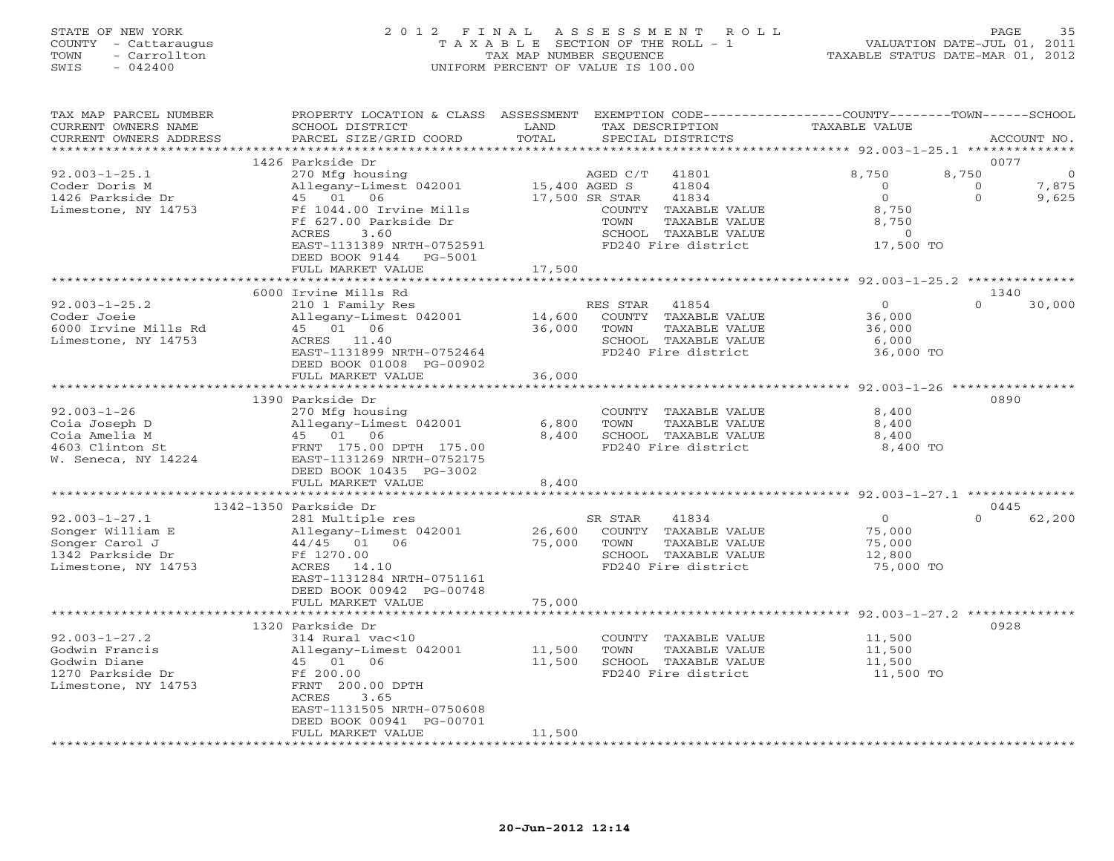# STATE OF NEW YORK 2 0 1 2 F I N A L A S S E S S M E N T R O L L PAGE 35 COUNTY - Cattaraugus T A X A B L E SECTION OF THE ROLL - 1 VALUATION DATE-JUL 01, 2011 TOWN - Carrollton TAX MAP NUMBER SEQUENCE TAXABLE STATUS DATE-MAR 01, 2012 SWIS - 042400 UNIFORM PERCENT OF VALUE IS 100.00UNIFORM PERCENT OF VALUE IS 100.00

| TAX MAP PARCEL NUMBER                                                                                                                                      | PROPERTY LOCATION & CLASS ASSESSMENT EXEMPTION CODE----------------COUNTY-------TOWN------SCHOOL                | LAND                    |                                      |                                                                  |                    |
|------------------------------------------------------------------------------------------------------------------------------------------------------------|-----------------------------------------------------------------------------------------------------------------|-------------------------|--------------------------------------|------------------------------------------------------------------|--------------------|
| CURRENT OWNERS NAME<br>CURRENT OWNERS ADDRESS                                                                                                              | SCHOOL DISTRICT<br>PARCEL SIZE/GRID COORD                                                                       | TOTAL                   | TAX DESCRIPTION<br>SPECIAL DISTRICTS | TAXABLE VALUE                                                    | ACCOUNT NO.        |
|                                                                                                                                                            |                                                                                                                 |                         |                                      |                                                                  |                    |
|                                                                                                                                                            | 1426 Parkside Dr                                                                                                |                         |                                      |                                                                  | 0077               |
| $92.003 - 1 - 25.1$                                                                                                                                        | 270 Mfg housing                                                                                                 |                         | AGED C/T 41801                       | 8,750                                                            | 8,750<br>$\circ$   |
| Coder Doris M                                                                                                                                              |                                                                                                                 |                         | 41804                                | $\overline{0}$                                                   | 7,875<br>$\circ$   |
| 1426 Parkside Dr                                                                                                                                           | 270 11 - 2002<br>Allegany - Limest 042001 15,400 AGED S<br>45 01 06 17,500 SR STAR<br>Allegany-Lime<br>45 01 06 |                         | 41834                                | 0                                                                | $\Omega$<br>9,625  |
| Limestone, NY 14753                                                                                                                                        | Ff 1044.00 Irvine Mills                                                                                         |                         | COUNTY TAXABLE VALUE                 | 8,750                                                            |                    |
|                                                                                                                                                            | Ff 627.00 Parkside Dr                                                                                           |                         | TOWN<br>TAXABLE VALUE                | 8,750                                                            |                    |
|                                                                                                                                                            | 3.60<br>ACRES                                                                                                   |                         | SCHOOL TAXABLE VALUE                 | $\overline{0}$                                                   |                    |
|                                                                                                                                                            | EAST-1131389 NRTH-0752591                                                                                       |                         | FD240 Fire district                  | $17,500$ TO                                                      |                    |
|                                                                                                                                                            | DEED BOOK 9144 PG-5001                                                                                          |                         |                                      |                                                                  |                    |
|                                                                                                                                                            | FULL MARKET VALUE                                                                                               | 17,500                  |                                      |                                                                  |                    |
|                                                                                                                                                            |                                                                                                                 |                         |                                      | ***********************************92.003-1-25.2 *************** |                    |
|                                                                                                                                                            | 6000 Irvine Mills Rd                                                                                            |                         |                                      |                                                                  | 1340               |
| $92.003 - 1 - 25.2$                                                                                                                                        | 210 1 Family Res                                                                                                |                         | RES STAR 41854                       | $\overline{0}$                                                   | $\Omega$<br>30,000 |
| Coder Joeie                                                                                                                                                | Allegany-Limest 042001 14,600                                                                                   |                         | COUNTY TAXABLE VALUE                 | 36,000                                                           |                    |
| 6000 Irvine Mills Rd                                                                                                                                       | 45 01 06                                                                                                        | 36,000                  | TAXABLE VALUE<br>TOWN                | 36,000                                                           |                    |
| Limestone, NY 14753                                                                                                                                        | ACRES 11.40                                                                                                     |                         | SCHOOL TAXABLE VALUE                 |                                                                  |                    |
|                                                                                                                                                            | EAST-1131899 NRTH-0752464                                                                                       |                         | FD240 Fire district                  | 6,000<br>36,000 TO                                               |                    |
|                                                                                                                                                            | DEED BOOK 01008 PG-00902                                                                                        |                         |                                      |                                                                  |                    |
|                                                                                                                                                            | FULL MARKET VALUE                                                                                               | 36,000                  |                                      |                                                                  |                    |
|                                                                                                                                                            | ************************                                                                                        | **************          |                                      | ********************************* 92.003-1-26 ************       |                    |
|                                                                                                                                                            | 1390 Parkside Dr                                                                                                |                         |                                      |                                                                  | 0890               |
| $92.003 - 1 - 26$                                                                                                                                          | 270 Mfg housing                                                                                                 |                         | COUNTY TAXABLE VALUE                 | 8,400                                                            |                    |
|                                                                                                                                                            |                                                                                                                 | 6,800                   | TOWN<br>TAXABLE VALUE                | 8,400                                                            |                    |
| Coia Joseph D Allegany-Limest 042001<br>Coia Amelia M 45 01 06<br>4603 Clinton St FRNT 175.00 DPTH 175.00<br>W. Seneca, NY 14224 EAST-1131269 NRTH-0752175 |                                                                                                                 | 8,400                   | SCHOOL TAXABLE VALUE                 | 8,400                                                            |                    |
|                                                                                                                                                            |                                                                                                                 |                         | FD240 Fire district                  | 8,400 TO                                                         |                    |
|                                                                                                                                                            |                                                                                                                 |                         |                                      |                                                                  |                    |
|                                                                                                                                                            | DEED BOOK 10435 PG-3002                                                                                         |                         |                                      |                                                                  |                    |
|                                                                                                                                                            | FULL MARKET VALUE                                                                                               | 8,400                   |                                      |                                                                  |                    |
|                                                                                                                                                            |                                                                                                                 | * * * * * * * * * * * * |                                      |                                                                  |                    |
|                                                                                                                                                            | 1342-1350 Parkside Dr                                                                                           |                         |                                      |                                                                  | 0445               |
| $92.003 - 1 - 27.1$                                                                                                                                        | 281 Multiple res                                                                                                |                         | 41834<br>SR STAR                     | $\overline{0}$                                                   | $\Omega$<br>62,200 |
| Songer William E                                                                                                                                           | Allegany-Limest 042001<br>44/45 01 06                                                                           | 26,600                  | COUNTY TAXABLE VALUE                 | 75,000                                                           |                    |
| Songer Carol J                                                                                                                                             |                                                                                                                 | 75,000                  | TOWN<br>TAXABLE VALUE                | 75,000                                                           |                    |
| 1342 Parkside Dr                                                                                                                                           | Ff 1270.00                                                                                                      |                         | SCHOOL TAXABLE VALUE                 | 12,800                                                           |                    |
| Limestone, NY 14753                                                                                                                                        | ACRES 14.10                                                                                                     |                         | FD240 Fire district                  | 75,000 TO                                                        |                    |
|                                                                                                                                                            | EAST-1131284 NRTH-0751161                                                                                       |                         |                                      |                                                                  |                    |
|                                                                                                                                                            | DEED BOOK 00942 PG-00748                                                                                        |                         |                                      |                                                                  |                    |
|                                                                                                                                                            | FULL MARKET VALUE                                                                                               | 75,000                  |                                      |                                                                  |                    |
|                                                                                                                                                            |                                                                                                                 |                         |                                      |                                                                  |                    |
|                                                                                                                                                            | 1320 Parkside Dr                                                                                                |                         |                                      |                                                                  | 0928               |
| $92.003 - 1 - 27.2$                                                                                                                                        | 314 Rural vac<10                                                                                                |                         | COUNTY TAXABLE VALUE                 | 11,500                                                           |                    |
| Godwin Francis                                                                                                                                             | Allegany-Limest 042001                                                                                          | 11,500<br>11,500        | TOWN<br>TAXABLE VALUE                | 11,500<br>11,500                                                 |                    |
| Godwin Diane                                                                                                                                               | Allegany-                                                                                                       |                         | SCHOOL TAXABLE VALUE                 |                                                                  |                    |
| 1270 Parkside Dr                                                                                                                                           |                                                                                                                 |                         | FD240 Fire district                  | 11,500 TO                                                        |                    |
| Limestone, NY 14753                                                                                                                                        | FRNT 200.00 DPTH                                                                                                |                         |                                      |                                                                  |                    |
|                                                                                                                                                            | ACRES<br>3.65                                                                                                   |                         |                                      |                                                                  |                    |
|                                                                                                                                                            | EAST-1131505 NRTH-0750608                                                                                       |                         |                                      |                                                                  |                    |
|                                                                                                                                                            | DEED BOOK 00941 PG-00701                                                                                        |                         |                                      |                                                                  |                    |
|                                                                                                                                                            | FULL MARKET VALUE                                                                                               | 11,500                  |                                      |                                                                  |                    |
|                                                                                                                                                            |                                                                                                                 |                         |                                      |                                                                  |                    |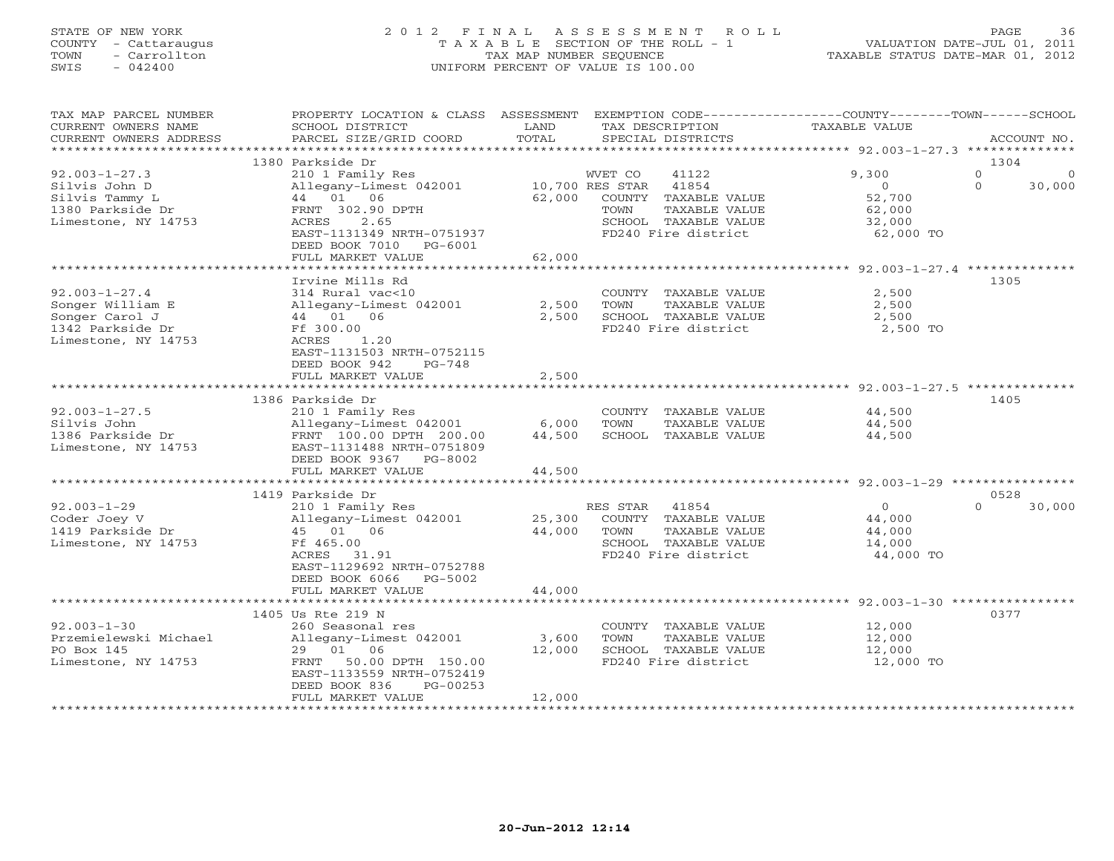# STATE OF NEW YORK 2 0 1 2 F I N A L A S S E S S M E N T R O L L PAGE 36 COUNTY - Cattaraugus T A X A B L E SECTION OF THE ROLL - 1 VALUATION DATE-JUL 01, 2011 TOWN - Carrollton TAX MAP NUMBER SEQUENCE TAXABLE STATUS DATE-MAR 01, 2012 SWIS - 042400 UNIFORM PERCENT OF VALUE IS 100.00UNIFORM PERCENT OF VALUE IS 100.00

| TAX MAP PARCEL NUMBER  | PROPERTY LOCATION & CLASS | ASSESSMENT                  | EXEMPTION CODE--         | ------------COUNTY-------TOWN------SCHOOL |                          |
|------------------------|---------------------------|-----------------------------|--------------------------|-------------------------------------------|--------------------------|
| CURRENT OWNERS NAME    | SCHOOL DISTRICT           | LAND                        | TAX DESCRIPTION          | TAXABLE VALUE                             |                          |
| CURRENT OWNERS ADDRESS | PARCEL SIZE/GRID COORD    | TOTAL                       | SPECIAL DISTRICTS        |                                           | ACCOUNT NO.              |
|                        |                           | * * * * * * * * * * * * * * |                          | ************ 92.003-1-27.3 ************** |                          |
|                        | 1380 Parkside Dr          |                             |                          |                                           | 1304                     |
| $92.003 - 1 - 27.3$    | 210 1 Family Res          |                             | WVET CO<br>41122         | 9,300                                     | $\mathbf{0}$<br>$\Omega$ |
| Silvis John D          | Allegany-Limest 042001    |                             | 41854<br>10,700 RES STAR | $\circ$                                   | $\Omega$<br>30,000       |
| Silvis Tammy L         | 44 01 06                  | 62,000                      | COUNTY<br>TAXABLE VALUE  | 52,700                                    |                          |
| 1380 Parkside Dr       | FRNT 302.90 DPTH          |                             | TOWN<br>TAXABLE VALUE    | 62,000                                    |                          |
|                        | ACRES<br>2.65             |                             | SCHOOL TAXABLE VALUE     |                                           |                          |
| Limestone, NY 14753    |                           |                             |                          | 32,000                                    |                          |
|                        | EAST-1131349 NRTH-0751937 |                             | FD240 Fire district      | 62,000 TO                                 |                          |
|                        | DEED BOOK 7010<br>PG-6001 |                             |                          |                                           |                          |
|                        | FULL MARKET VALUE         | 62,000                      |                          |                                           |                          |
|                        |                           |                             |                          |                                           |                          |
|                        | Irvine Mills Rd           |                             |                          |                                           | 1305                     |
| $92.003 - 1 - 27.4$    | 314 Rural vac<10          |                             | COUNTY TAXABLE VALUE     | 2,500                                     |                          |
| Songer William E       | Allegany-Limest 042001    | 2,500                       | TOWN<br>TAXABLE VALUE    | 2,500                                     |                          |
| Songer Carol J         | 44 01<br>06               | 2,500                       | SCHOOL TAXABLE VALUE     | 2,500                                     |                          |
| 1342 Parkside Dr       | Ff 300.00                 |                             | FD240 Fire district      | 2,500 TO                                  |                          |
| Limestone, NY 14753    | 1.20<br>ACRES             |                             |                          |                                           |                          |
|                        | EAST-1131503 NRTH-0752115 |                             |                          |                                           |                          |
|                        | DEED BOOK 942<br>$PG-748$ |                             |                          |                                           |                          |
|                        | FULL MARKET VALUE         | 2,500                       |                          |                                           |                          |
|                        |                           |                             |                          |                                           |                          |
|                        | 1386 Parkside Dr          |                             |                          |                                           | 1405                     |
| $92.003 - 1 - 27.5$    | 210 1 Family Res          |                             | COUNTY<br>TAXABLE VALUE  | 44,500                                    |                          |
| Silvis John            | Allegany-Limest 042001    | 6,000                       | TOWN<br>TAXABLE VALUE    | 44,500                                    |                          |
| 1386 Parkside Dr       | FRNT 100.00 DPTH 200.00   | 44,500                      | SCHOOL TAXABLE VALUE     | 44,500                                    |                          |
| Limestone, NY 14753    | EAST-1131488 NRTH-0751809 |                             |                          |                                           |                          |
|                        |                           |                             |                          |                                           |                          |
|                        | DEED BOOK 9367 PG-8002    |                             |                          |                                           |                          |
|                        | FULL MARKET VALUE         | 44,500                      |                          |                                           |                          |
|                        | 1419 Parkside Dr          |                             |                          |                                           | 0528                     |
|                        |                           |                             |                          | $\Omega$                                  | $\Omega$                 |
| $92.003 - 1 - 29$      | 210 1 Family Res          |                             | RES STAR<br>41854        |                                           | 30,000                   |
| Coder Joey V           | Allegany-Limest 042001    | 25,300                      | COUNTY TAXABLE VALUE     | 44,000                                    |                          |
| 1419 Parkside Dr       | 45 01 06                  | 44,000                      | TOWN<br>TAXABLE VALUE    | 44,000                                    |                          |
| Limestone, NY 14753    | Ff 465.00                 |                             | SCHOOL TAXABLE VALUE     | 14,000                                    |                          |
|                        | ACRES<br>31.91            |                             | FD240 Fire district      | 44,000 TO                                 |                          |
|                        | EAST-1129692 NRTH-0752788 |                             |                          |                                           |                          |
|                        | DEED BOOK 6066<br>PG-5002 |                             |                          |                                           |                          |
|                        | FULL MARKET VALUE         | 44,000                      |                          |                                           |                          |
|                        |                           |                             |                          |                                           |                          |
|                        | 1405 Us Rte 219 N         |                             |                          |                                           | 0377                     |
| $92.003 - 1 - 30$      | 260 Seasonal res          |                             | COUNTY TAXABLE VALUE     | 12,000                                    |                          |
| Przemielewski Michael  | Allegany-Limest 042001    | 3,600                       | TAXABLE VALUE<br>TOWN    | 12,000                                    |                          |
| PO Box 145             | 29 01 06                  | 12,000                      | SCHOOL TAXABLE VALUE     | 12,000                                    |                          |
| Limestone, NY 14753    | FRNT<br>50.00 DPTH 150.00 |                             | FD240 Fire district      | 12,000 TO                                 |                          |
|                        | EAST-1133559 NRTH-0752419 |                             |                          |                                           |                          |
|                        | DEED BOOK 836<br>PG-00253 |                             |                          |                                           |                          |
|                        | FULL MARKET VALUE         | 12,000                      |                          |                                           |                          |
|                        |                           |                             |                          |                                           |                          |
|                        |                           |                             |                          |                                           |                          |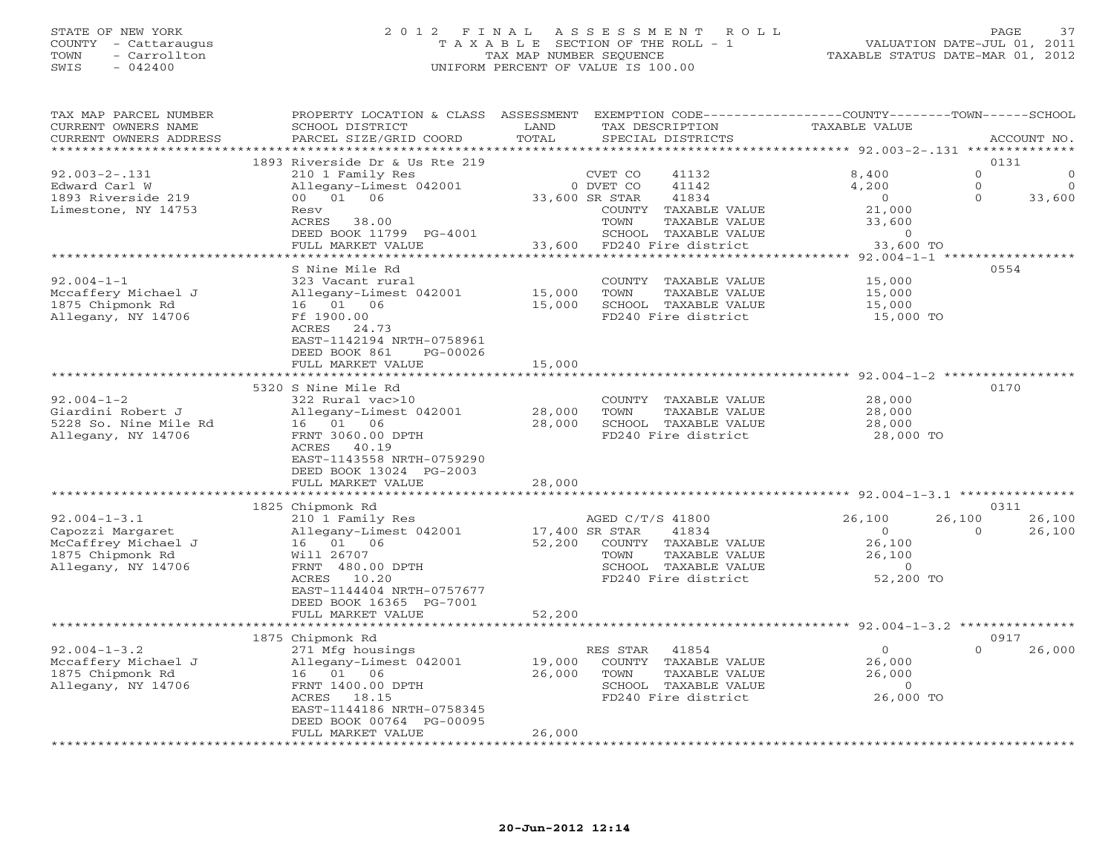#### STATE OF NEW YORK 2 0 1 2 F I N A L A S S E S S M E N T R O L L PAGE 37 COUNTY - Cattaraugus T A X A B L E SECTION OF THE ROLL - 1 VALUATION DATE-JUL 01, 2011 TOWN - Carrollton TAX MAP NUMBER SEQUENCE TAXABLE STATUS DATE-MAR 01, 2012 SWIS - 042400 UNIFORM PERCENT OF VALUE IS 100.00UNIFORM PERCENT OF VALUE IS 100.00

| TAX MAP PARCEL NUMBER<br>CURRENT OWNERS NAME | PROPERTY LOCATION & CLASS ASSESSMENT<br>SCHOOL DISTRICT | LAND              | EXEMPTION CODE-----------------COUNTY-------TOWN-----SCHOOL<br>TAX DESCRIPTION | TAXABLE VALUE    |                                     |
|----------------------------------------------|---------------------------------------------------------|-------------------|--------------------------------------------------------------------------------|------------------|-------------------------------------|
| CURRENT OWNERS ADDRESS                       | PARCEL SIZE/GRID COORD                                  | TOTAL             | SPECIAL DISTRICTS                                                              |                  | ACCOUNT NO.                         |
| ********************                         | * * * * * * * * * * * * * * * *                         |                   |                                                                                |                  |                                     |
|                                              | 1893 Riverside Dr & Us Rte 219                          |                   |                                                                                |                  | 0131                                |
| $92.003 - 2 - 131$                           | 210 1 Family Res                                        |                   | CVET CO<br>41132                                                               | 8,400            | $\circ$<br>$\sqrt{ }$               |
| Edward Carl W                                | Allegany-Limest 042001                                  |                   | 41142<br>0 DVET CO                                                             | 4,200            | $\Omega$<br>$\Omega$                |
| 1893 Riverside 219                           | 00 01 06                                                |                   | 33,600 SR STAR<br>41834                                                        | $\circ$          | $\Omega$<br>33,600                  |
| Limestone, NY 14753                          | Resv                                                    |                   | COUNTY<br>TAXABLE VALUE                                                        | 21,000           |                                     |
|                                              | ACRES<br>38.00                                          |                   | TOWN<br>TAXABLE VALUE                                                          | 33,600           |                                     |
|                                              | DEED BOOK 11799 PG-4001                                 |                   | SCHOOL TAXABLE VALUE                                                           | $\Omega$         |                                     |
|                                              | FULL MARKET VALUE                                       | 33,600            | FD240 Fire district                                                            | 33,600 TO        |                                     |
|                                              | *********************                                   |                   |                                                                                |                  | $92.004 - 1 - 1$ ****************** |
|                                              | S Nine Mile Rd                                          |                   |                                                                                |                  | 0554                                |
| $92.004 - 1 - 1$                             | 323 Vacant rural                                        |                   | COUNTY TAXABLE VALUE                                                           | 15,000           |                                     |
| Mccaffery Michael J                          | Allegany-Limest 042001                                  | 15,000            | TOWN<br>TAXABLE VALUE                                                          | 15,000           |                                     |
| 1875 Chipmonk Rd                             | 16 01 06                                                | 15,000            | SCHOOL TAXABLE VALUE                                                           | 15,000           |                                     |
| Allegany, NY 14706                           | Ff 1900.00                                              |                   | FD240 Fire district                                                            | 15,000 TO        |                                     |
|                                              | ACRES<br>24.73                                          |                   |                                                                                |                  |                                     |
|                                              | EAST-1142194 NRTH-0758961                               |                   |                                                                                |                  |                                     |
|                                              | DEED BOOK 861<br>PG-00026                               |                   |                                                                                |                  |                                     |
|                                              | FULL MARKET VALUE                                       | 15,000            |                                                                                |                  |                                     |
|                                              |                                                         |                   |                                                                                | $92.004 - 1 - 2$ |                                     |
|                                              | 5320 S Nine Mile Rd                                     |                   |                                                                                |                  | 0170                                |
| $92.004 - 1 - 2$                             | 322 Rural vac>10                                        |                   | COUNTY TAXABLE VALUE                                                           | 28,000           |                                     |
| Giardini Robert J                            | Allegany-Limest 042001                                  | 28,000            | TOWN<br>TAXABLE VALUE                                                          | 28,000           |                                     |
| 5228 So. Nine Mile Rd                        | 16 01 06                                                | 28,000            | SCHOOL TAXABLE VALUE                                                           | 28,000           |                                     |
| Allegany, NY 14706                           | FRNT 3060.00 DPTH                                       |                   | FD240 Fire district                                                            | 28,000 TO        |                                     |
|                                              | ACRES<br>40.19                                          |                   |                                                                                |                  |                                     |
|                                              | EAST-1143558 NRTH-0759290                               |                   |                                                                                |                  |                                     |
|                                              | DEED BOOK 13024 PG-2003                                 |                   |                                                                                |                  |                                     |
|                                              | FULL MARKET VALUE                                       | 28,000            |                                                                                |                  |                                     |
|                                              |                                                         |                   |                                                                                |                  |                                     |
|                                              | 1825 Chipmonk Rd                                        |                   |                                                                                |                  | 0311                                |
| $92.004 - 1 - 3.1$                           | 210 1 Family Res                                        |                   | AGED C/T/S 41800                                                               | 26,100           | 26,100<br>26,100                    |
| Capozzi Margaret                             | Allegany-Limest 042001                                  |                   | 17,400 SR STAR<br>41834                                                        | $\circ$          | 26,100<br>$\Omega$                  |
| McCaffrey Michael J                          | 16 01 06                                                | 52,200            | COUNTY TAXABLE VALUE                                                           | 26,100           |                                     |
| 1875 Chipmonk Rd                             | Will 26707                                              |                   | TOWN<br>TAXABLE VALUE                                                          | 26,100           |                                     |
| Allegany, NY 14706                           | FRNT 480.00 DPTH                                        |                   | SCHOOL TAXABLE VALUE                                                           | $\Omega$         |                                     |
|                                              | 10.20<br>ACRES                                          |                   | FD240 Fire district                                                            | 52,200 TO        |                                     |
|                                              | EAST-1144404 NRTH-0757677                               |                   |                                                                                |                  |                                     |
|                                              | DEED BOOK 16365 PG-7001                                 |                   |                                                                                |                  |                                     |
|                                              | FULL MARKET VALUE                                       | 52,200            |                                                                                |                  |                                     |
|                                              |                                                         | *************     |                                                                                |                  |                                     |
|                                              | 1875 Chipmonk Rd                                        |                   |                                                                                |                  | 0917                                |
| $92.004 - 1 - 3.2$                           | 271 Mfg housings                                        |                   | 41854<br>RES STAR                                                              | $\circ$          | $\Omega$<br>26,000                  |
| Mccaffery Michael J                          | Allegany-Limest 042001                                  | 19,000            | COUNTY TAXABLE VALUE                                                           | 26,000           |                                     |
| 1875 Chipmonk Rd                             | 16 01 06                                                | 26,000            | TOWN<br>TAXABLE VALUE                                                          | 26,000           |                                     |
| Allegany, NY 14706                           | FRNT 1400.00 DPTH                                       |                   | SCHOOL TAXABLE VALUE                                                           | $\circ$          |                                     |
|                                              | ACRES<br>18.15                                          |                   | FD240 Fire district                                                            | 26,000 TO        |                                     |
|                                              | EAST-1144186 NRTH-0758345                               |                   |                                                                                |                  |                                     |
|                                              | DEED BOOK 00764 PG-00095                                |                   |                                                                                |                  |                                     |
|                                              | FULL MARKET VALUE                                       | 26,000            |                                                                                |                  |                                     |
|                                              | **********************                                  | <b>**********</b> |                                                                                |                  |                                     |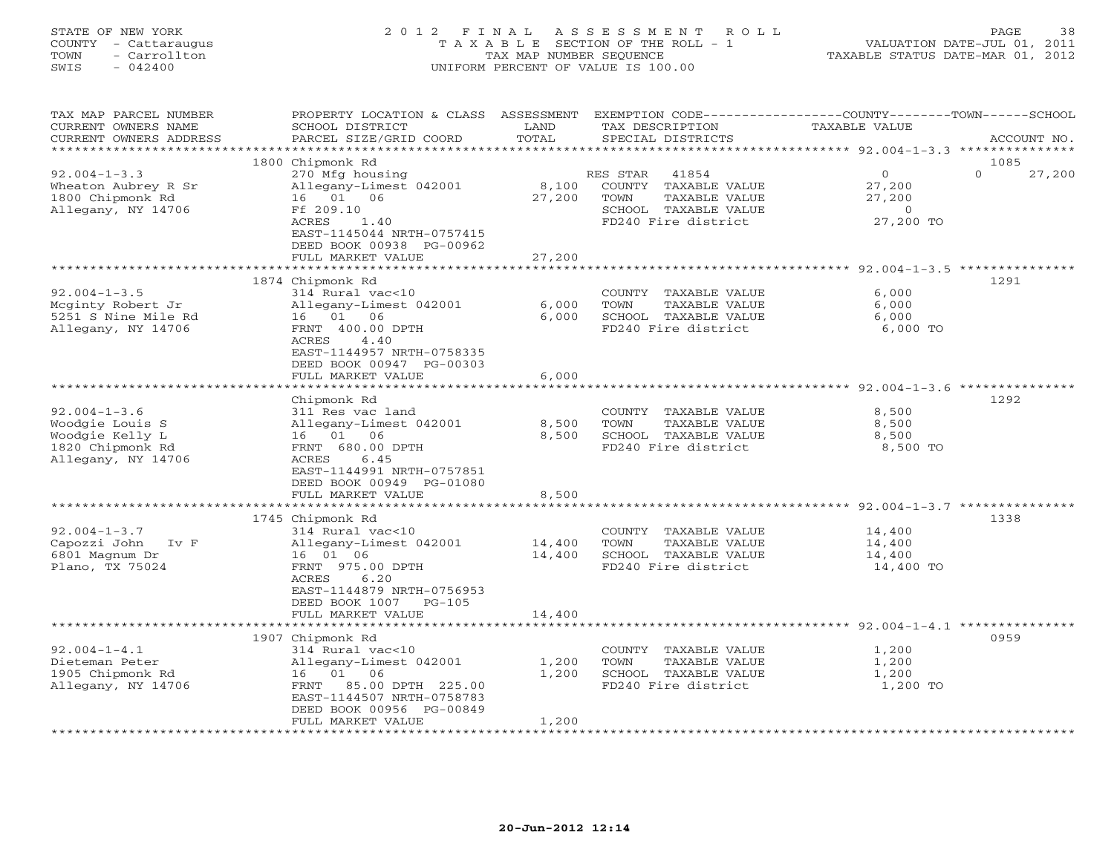STATE OF NEW YORK 2 0 1 2 F I N A L A S S E S S M E N T R O L L PAGE 38 COUNTY - Cattaraugus T A X A B L E SECTION OF THE ROLL - 1 VALUATION DATE-JUL 01, 2011 TOWN - Carrollton TAX MAP NUMBER SEQUENCE TAXABLE STATUS DATE-MAR 01, 2012 SWIS - 042400 UNIFORM PERCENT OF VALUE IS 100.00UNIFORM PERCENT OF VALUE IS 100.00 TAX MAP PARCEL NUMBER PROPERTY LOCATION & CLASS ASSESSMENT EXEMPTION CODE----------------COUNTY-------TOWN------SCHOOL

| CURRENT OWNERS NAME               | SCHOOL DISTRICT                                         | LAND      | TAX DESCRIPTION                                       | <b>TAXABLE VALUE</b>                                    |                    |
|-----------------------------------|---------------------------------------------------------|-----------|-------------------------------------------------------|---------------------------------------------------------|--------------------|
| CURRENT OWNERS ADDRESS            | PARCEL SIZE/GRID COORD                                  | TOTAL     | SPECIAL DISTRICTS                                     |                                                         | ACCOUNT NO.        |
|                                   |                                                         |           |                                                       | *********** 92.004-1-3.3                                | ********           |
|                                   | 1800 Chipmonk Rd                                        |           |                                                       |                                                         | 1085               |
| $92.004 - 1 - 3.3$                | 270 Mfg housing                                         |           | RES STAR<br>41854                                     | $\circ$                                                 | $\Omega$<br>27,200 |
| Wheaton Aubrey R Sr               | Allegany-Limest 042001                                  | 8,100     | COUNTY TAXABLE VALUE                                  | 27,200                                                  |                    |
| 1800 Chipmonk Rd                  | 16 01 06                                                | 27,200    | TOWN<br>TAXABLE VALUE                                 | 27,200                                                  |                    |
| Allegany, NY 14706                | Ff 209.10                                               |           | SCHOOL TAXABLE VALUE                                  | $\overline{0}$                                          |                    |
|                                   | ACRES<br>1.40                                           |           | FD240 Fire district                                   | 27,200 TO                                               |                    |
|                                   | EAST-1145044 NRTH-0757415                               |           |                                                       |                                                         |                    |
|                                   | DEED BOOK 00938 PG-00962                                |           |                                                       |                                                         |                    |
|                                   | FULL MARKET VALUE                                       | 27,200    |                                                       |                                                         |                    |
|                                   |                                                         |           |                                                       | ************************* 92.004-1-3.5 **************** |                    |
|                                   | 1874 Chipmonk Rd                                        |           |                                                       |                                                         | 1291               |
| $92.004 - 1 - 3.5$                | 314 Rural vac<10                                        |           | COUNTY TAXABLE VALUE                                  | 6,000                                                   |                    |
| Mcginty Robert Jr                 | Allegany-Limest 042001                                  | 6,000     | TOWN<br>TAXABLE VALUE                                 | 6,000                                                   |                    |
| 5251 S Nine Mile Rd               | 16 01<br>06                                             | 6,000     | SCHOOL TAXABLE VALUE                                  | 6,000                                                   |                    |
| Allegany, NY 14706                | FRNT 400.00 DPTH                                        |           | FD240 Fire district                                   | 6,000 TO                                                |                    |
|                                   | <b>ACRES</b><br>4.40                                    |           |                                                       |                                                         |                    |
|                                   | EAST-1144957 NRTH-0758335                               |           |                                                       |                                                         |                    |
|                                   | DEED BOOK 00947 PG-00303                                |           |                                                       |                                                         |                    |
|                                   | FULL MARKET VALUE                                       | 6,000     |                                                       |                                                         |                    |
|                                   | * * * * * * * * * * * * * * * * * * *                   |           |                                                       | ************************* 92.004-1-3.6 ***************  |                    |
|                                   | Chipmonk Rd                                             |           |                                                       |                                                         | 1292               |
| $92.004 - 1 - 3.6$                | 311 Res vac land                                        |           | COUNTY TAXABLE VALUE                                  | 8,500                                                   |                    |
| Woodgie Louis S                   | Allegany-Limest 042001                                  | 8,500     | <b>TAXABLE VALUE</b><br>TOWN                          | 8,500                                                   |                    |
| Woodgie Kelly L                   | 16 01 06                                                | 8,500     | SCHOOL TAXABLE VALUE                                  | 8,500                                                   |                    |
| 1820 Chipmonk Rd                  | FRNT 680.00 DPTH                                        |           | FD240 Fire district                                   | 8,500 TO                                                |                    |
| Allegany, NY 14706                | ACRES<br>6.45                                           |           |                                                       |                                                         |                    |
|                                   | EAST-1144991 NRTH-0757851                               |           |                                                       |                                                         |                    |
|                                   | DEED BOOK 00949 PG-01080                                |           |                                                       |                                                         |                    |
|                                   | FULL MARKET VALUE                                       | 8,500     |                                                       |                                                         |                    |
|                                   |                                                         |           |                                                       | *********** 92.004-1-3.7 *********                      |                    |
|                                   | 1745 Chipmonk Rd                                        |           |                                                       |                                                         | 1338               |
| $92.004 - 1 - 3.7$                | 314 Rural vac<10                                        |           | COUNTY TAXABLE VALUE                                  | 14,400                                                  |                    |
| Capozzi John<br>$I_V F$           | Allegany-Limest 042001                                  | 14,400    | TOWN<br>TAXABLE VALUE                                 | 14,400                                                  |                    |
| 6801 Magnum Dr<br>Plano, TX 75024 | 16 01 06                                                | 14,400    | SCHOOL TAXABLE VALUE<br>FD240 Fire district           | 14,400                                                  |                    |
|                                   | FRNT 975.00 DPTH<br>6.20                                |           |                                                       | 14,400 TO                                               |                    |
|                                   | ACRES                                                   |           |                                                       |                                                         |                    |
|                                   | EAST-1144879 NRTH-0756953<br>DEED BOOK 1007<br>$PG-105$ |           |                                                       |                                                         |                    |
|                                   | FULL MARKET VALUE                                       | 14,400    |                                                       |                                                         |                    |
|                                   | .                                                       | ********* | ***************************** 92.004-1-4.1 ********** |                                                         |                    |
|                                   | 1907 Chipmonk Rd                                        |           |                                                       |                                                         | 0959               |
| $92.004 - 1 - 4.1$                | $314$ Rural vac<10                                      |           | COUNTY TAXABLE VALUE                                  | 1,200                                                   |                    |
| Dieteman Peter                    | Allegany-Limest 042001                                  | 1,200     | TAXABLE VALUE<br>TOWN                                 | 1,200                                                   |                    |
| 1905 Chipmonk Rd                  | 01 06<br>16                                             | 1,200     | SCHOOL TAXABLE VALUE                                  | 1,200                                                   |                    |
| Allegany, NY 14706                | 85.00 DPTH 225.00<br>FRNT                               |           | FD240 Fire district                                   | 1,200 TO                                                |                    |
|                                   | EAST-1144507 NRTH-0758783                               |           |                                                       |                                                         |                    |
|                                   | DEED BOOK 00956 PG-00849                                |           |                                                       |                                                         |                    |
|                                   | FULL MARKET VALUE                                       | 1,200     |                                                       |                                                         |                    |
|                                   | * * * * * * * * * * * * * * * *                         |           |                                                       |                                                         |                    |
|                                   |                                                         |           |                                                       |                                                         |                    |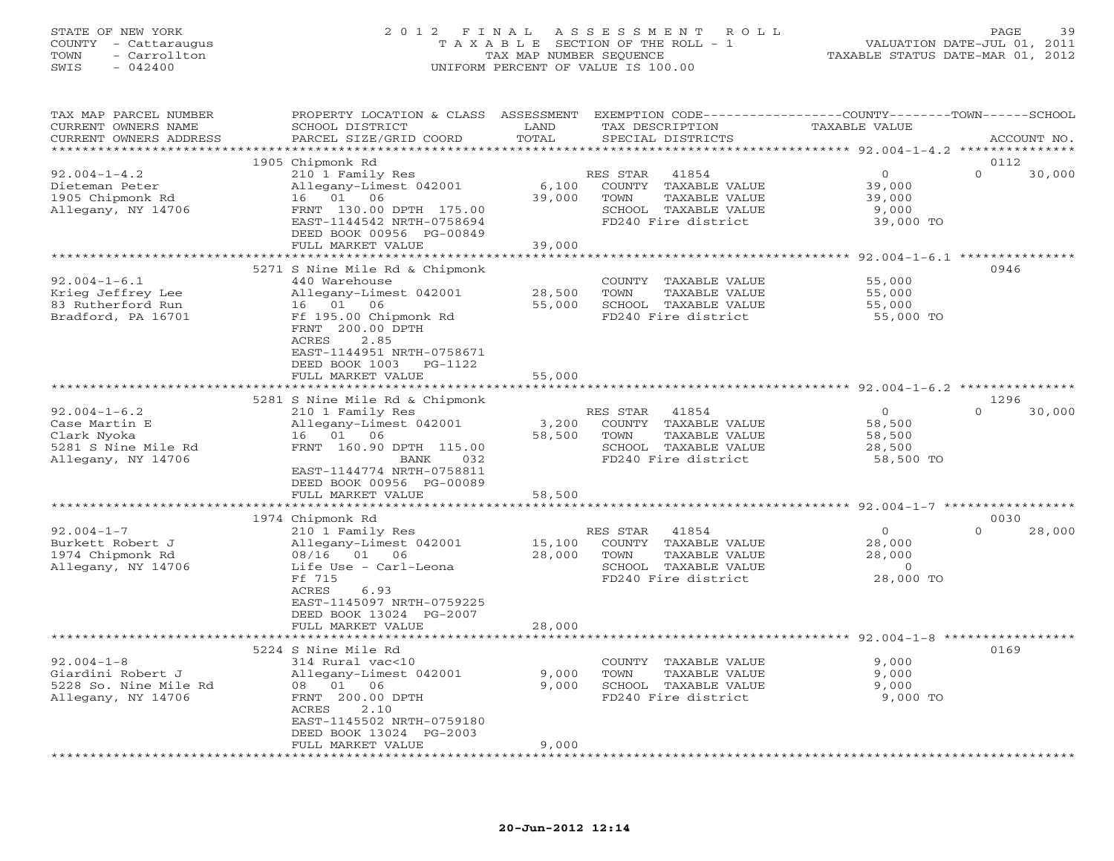## STATE OF NEW YORK 2 0 1 2 F I N A L A S S E S S M E N T R O L L PAGE 39 COUNTY - Cattaraugus T A X A B L E SECTION OF THE ROLL - 1 VALUATION DATE-JUL 01, 2011 TOWN - Carrollton TAX MAP NUMBER SEQUENCE TAXABLE STATUS DATE-MAR 01, 2012 SWIS - 042400 UNIFORM PERCENT OF VALUE IS 100.00UNIFORM PERCENT OF VALUE IS 100.00

| TAX MAP PARCEL NUMBER<br>CURRENT OWNERS NAME<br>CURRENT OWNERS ADDRESS                          | PROPERTY LOCATION & CLASS ASSESSMENT<br>SCHOOL DISTRICT<br>PARCEL SIZE/GRID COORD                                                                                                                             | LAND<br>TOTAL             | EXEMPTION CODE-----------------COUNTY-------TOWN-----SCHOOL<br>TAX DESCRIPTION<br>SPECIAL DISTRICTS               | <b>TAXABLE VALUE</b>                                | ACCOUNT NO.                |
|-------------------------------------------------------------------------------------------------|---------------------------------------------------------------------------------------------------------------------------------------------------------------------------------------------------------------|---------------------------|-------------------------------------------------------------------------------------------------------------------|-----------------------------------------------------|----------------------------|
|                                                                                                 |                                                                                                                                                                                                               |                           |                                                                                                                   |                                                     |                            |
| $92.004 - 1 - 4.2$<br>Dieteman Peter<br>1905 Chipmonk Rd<br>Allegany, NY 14706                  | 1905 Chipmonk Rd<br>210 1 Family Res<br>Allegany-Limest 042001<br>16 01 06<br>FRNT 130.00 DPTH 175.00                                                                                                         | 6,100<br>39,000           | RES STAR<br>41854<br>COUNTY TAXABLE VALUE<br>TOWN<br>TAXABLE VALUE<br>SCHOOL TAXABLE VALUE                        | $\circ$<br>39,000<br>39,000<br>9,000                | 0112<br>$\Omega$<br>30,000 |
|                                                                                                 | EAST-1144542 NRTH-0758694<br>DEED BOOK 00956 PG-00849<br>FULL MARKET VALUE                                                                                                                                    | 39,000                    | FD240 Fire district                                                                                               | 39,000 TO                                           |                            |
|                                                                                                 |                                                                                                                                                                                                               |                           |                                                                                                                   |                                                     |                            |
| $92.004 - 1 - 6.1$<br>Krieg Jeffrey Lee<br>83 Rutherford Run<br>Bradford, PA 16701              | 5271 S Nine Mile Rd & Chipmonk<br>440 Warehouse<br>Allegany-Limest 042001<br>16 01 06<br>Ff 195.00 Chipmonk Rd<br>FRNT 200.00 DPTH<br>ACRES<br>2.85<br>EAST-1144951 NRTH-0758671<br>DEED BOOK 1003<br>PG-1122 | 28,500<br>55,000          | COUNTY TAXABLE VALUE<br>TOWN<br>TAXABLE VALUE<br>SCHOOL TAXABLE VALUE<br>FD240 Fire district                      | 55,000<br>55,000<br>55,000<br>55,000 TO             | 0946                       |
|                                                                                                 | FULL MARKET VALUE                                                                                                                                                                                             | 55,000                    |                                                                                                                   |                                                     |                            |
|                                                                                                 | 5281 S Nine Mile Rd & Chipmonk                                                                                                                                                                                |                           |                                                                                                                   |                                                     | 1296                       |
| $92.004 - 1 - 6.2$<br>Case Martin E<br>Clark Nyoka<br>5281 S Nine Mile Rd<br>Allegany, NY 14706 | 210 1 Family Res<br>Allegany-Limest 042001<br>16 01 06<br>FRNT 160.90 DPTH 115.00<br>BANK<br>032<br>EAST-1144774 NRTH-0758811<br>DEED BOOK 00956 PG-00089<br>FULL MARKET VALUE                                | 3,200<br>58,500<br>58,500 | RES STAR<br>41854<br>COUNTY TAXABLE VALUE<br>TOWN<br>TAXABLE VALUE<br>SCHOOL TAXABLE VALUE<br>FD240 Fire district | $\Omega$<br>58,500<br>58,500<br>28,500<br>58,500 TO | $\cap$<br>30,000           |
|                                                                                                 | *********************                                                                                                                                                                                         |                           |                                                                                                                   |                                                     |                            |
| $92.004 - 1 - 7$<br>Burkett Robert J<br>1974 Chipmonk Rd<br>Allegany, NY 14706                  | 1974 Chipmonk Rd<br>210 1 Family Res<br>Allegany-Limest 042001<br>08/16 01 06<br>Life Use - Carl-Leona<br>Ff 715<br><b>ACRES</b><br>6.93<br>EAST-1145097 NRTH-0759225<br>DEED BOOK 13024 PG-2007              | 15,100<br>28,000          | RES STAR<br>41854<br>COUNTY TAXABLE VALUE<br>TAXABLE VALUE<br>TOWN<br>SCHOOL TAXABLE VALUE<br>FD240 Fire district | $\circ$<br>28,000<br>28,000<br>$\circ$<br>28,000 TO | 0030<br>$\Omega$<br>28,000 |
|                                                                                                 | FULL MARKET VALUE                                                                                                                                                                                             | 28,000                    |                                                                                                                   |                                                     |                            |
|                                                                                                 | ***************************                                                                                                                                                                                   |                           |                                                                                                                   |                                                     |                            |
| $92.004 - 1 - 8$<br>Giardini Robert J<br>5228 So. Nine Mile Rd<br>Allegany, NY 14706            | 5224 S Nine Mile Rd<br>314 Rural vac<10<br>Allegany-Limest 042001<br>06<br>08 01<br>FRNT 200.00 DPTH<br>ACRES<br>2.10<br>EAST-1145502 NRTH-0759180<br>DEED BOOK 13024 PG-2003                                 | 9,000<br>9,000            | COUNTY TAXABLE VALUE<br>TOWN<br>TAXABLE VALUE<br>SCHOOL TAXABLE VALUE<br>FD240 Fire district                      | 9,000<br>9,000<br>9,000<br>9,000 TO                 | 0169                       |
|                                                                                                 | FULL MARKET VALUE                                                                                                                                                                                             | 9,000                     |                                                                                                                   |                                                     |                            |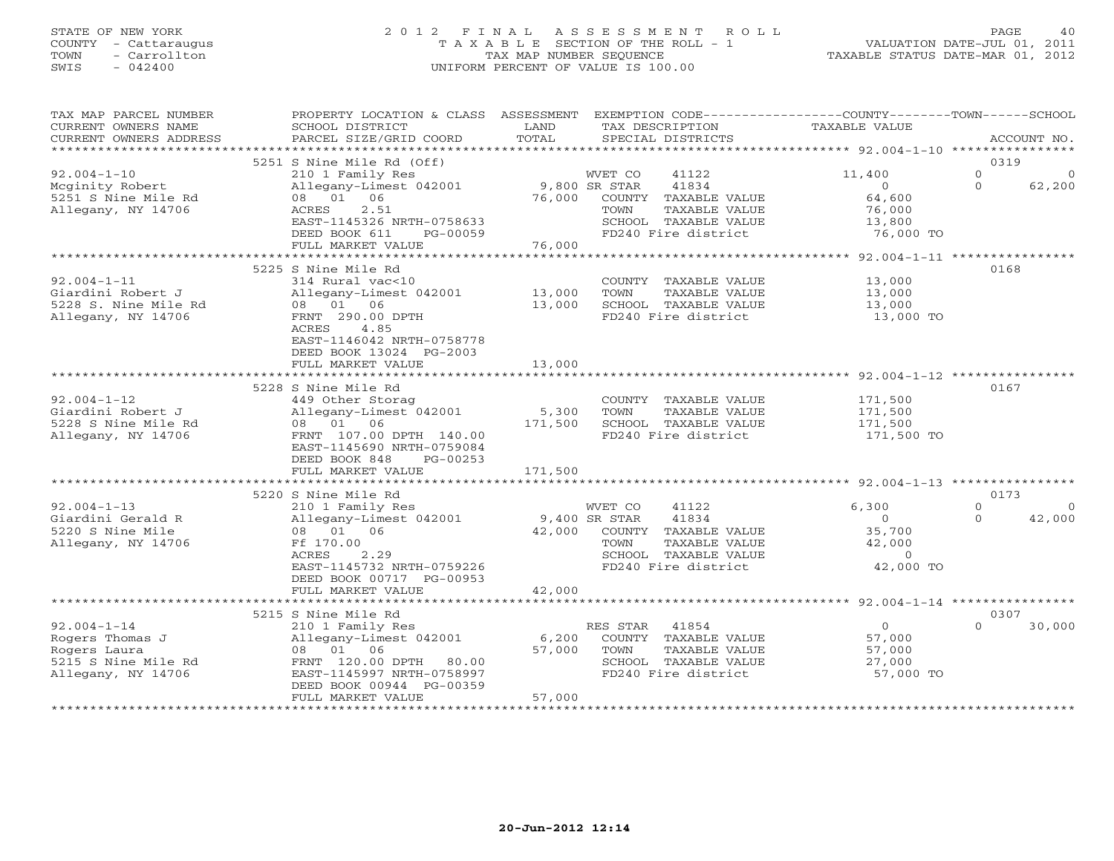## STATE OF NEW YORK 2 0 1 2 F I N A L A S S E S S M E N T R O L L PAGE 40 COUNTY - Cattaraugus T A X A B L E SECTION OF THE ROLL - 1 VALUATION DATE-JUL 01, 2011 TOWN - Carrollton TAX MAP NUMBER SEQUENCE TAXABLE STATUS DATE-MAR 01, 2012 SWIS - 042400 UNIFORM PERCENT OF VALUE IS 100.00UNIFORM PERCENT OF VALUE IS 100.00

| TAX MAP PARCEL NUMBER<br>CURRENT OWNERS NAME<br>CURRENT OWNERS ADDRESS                            | PROPERTY LOCATION & CLASS ASSESSMENT<br>SCHOOL DISTRICT<br>PARCEL SIZE/GRID COORD                                                                                                        | LAND<br>TOTAL                    | EXEMPTION CODE-----------------COUNTY-------TOWN------SCHOOL<br>TAX DESCRIPTION<br>SPECIAL DISTRICTS                      | TAXABLE VALUE                                                                   | ACCOUNT NO.                            |          |
|---------------------------------------------------------------------------------------------------|------------------------------------------------------------------------------------------------------------------------------------------------------------------------------------------|----------------------------------|---------------------------------------------------------------------------------------------------------------------------|---------------------------------------------------------------------------------|----------------------------------------|----------|
| ************************                                                                          |                                                                                                                                                                                          |                                  |                                                                                                                           |                                                                                 |                                        |          |
| $92.004 - 1 - 10$<br>Mcginity Robert<br>5251 S Nine Mile Rd<br>Allegany, NY 14706                 | 5251 S Nine Mile Rd (Off)<br>210 1 Family Res<br>Allegany-Limest 042001<br>08 01 06<br>ACRES<br>2.51<br>EAST-1145326 NRTH-0758633<br>DEED BOOK 611<br>PG-00059                           | 9,800 SR STAR<br>76,000          | WVET CO<br>41122<br>41834<br>COUNTY TAXABLE VALUE<br>TAXABLE VALUE<br>TOWN<br>SCHOOL TAXABLE VALUE<br>FD240 Fire district | 11,400<br>$\Omega$<br>64,600<br>76,000<br>13,800<br>76,000 TO                   | 0319<br>$\Omega$<br>$\Omega$<br>62,200 | $\Omega$ |
|                                                                                                   | FULL MARKET VALUE                                                                                                                                                                        | 76,000                           |                                                                                                                           |                                                                                 |                                        |          |
| $92.004 - 1 - 11$<br>Giardini Robert J<br>5228 S. Nine Mile Rd<br>Allegany, NY 14706              | ************************<br>5225 S Nine Mile Rd<br>314 Rural vac<10<br>Allegany-Limest 042001<br>08 01 06<br>FRNT 290.00 DPTH<br>4.85<br>ACRES<br>EAST-1146042 NRTH-0758778              | ************<br>13,000<br>13,000 | COUNTY TAXABLE VALUE<br>TOWN<br>TAXABLE VALUE<br>SCHOOL TAXABLE VALUE<br>FD240 Fire district                              | ******** 92.004-1-11 ***************<br>13,000<br>13,000<br>13,000<br>13,000 TO | 0168                                   |          |
|                                                                                                   | DEED BOOK 13024 PG-2003<br>FULL MARKET VALUE                                                                                                                                             | 13,000                           |                                                                                                                           |                                                                                 |                                        |          |
| $92.004 - 1 - 12$<br>Giardini Robert J<br>5228 S Nine Mile Rd<br>Allegany, NY 14706               | 5228 S Nine Mile Rd<br>449 Other Storag<br>Allegany-Limest 042001<br>08 01 06<br>FRNT 107.00 DPTH 140.00<br>EAST-1145690 NRTH-0759084<br>DEED BOOK 848<br>PG-00253<br>FULL MARKET VALUE  | 5,300<br>171,500<br>171,500      | COUNTY TAXABLE VALUE<br>TOWN<br>TAXABLE VALUE<br>SCHOOL TAXABLE VALUE<br>FD240 Fire district                              | 171,500<br>171,500<br>171,500<br>171,500 TO                                     | 0167                                   |          |
|                                                                                                   | 5220 S Nine Mile Rd                                                                                                                                                                      |                                  |                                                                                                                           |                                                                                 | 0173                                   |          |
| $92.004 - 1 - 13$<br>Giardini Gerald R<br>5220 S Nine Mile<br>Allegany, NY 14706                  | 210 1 Family Res<br>Allegany-Limest 042001<br>08 01 06<br>Ff 170.00<br><b>ACRES</b><br>2.29<br>EAST-1145732 NRTH-0759226<br>DEED BOOK 00717 PG-00953                                     | 9,400 SR STAR<br>42,000          | WVET CO<br>41122<br>41834<br>COUNTY TAXABLE VALUE<br>TOWN<br>TAXABLE VALUE<br>SCHOOL TAXABLE VALUE<br>FD240 Fire district | 6,300<br>$\Omega$<br>35,700<br>42,000<br>$\Omega$<br>42,000 TO                  | $\Omega$<br>$\Omega$<br>42,000         | $\Omega$ |
|                                                                                                   | FULL MARKET VALUE                                                                                                                                                                        | 42,000<br>***********            |                                                                                                                           | ******************** 92.004-1-14 *****************                              |                                        |          |
| $92.004 - 1 - 14$<br>Rogers Thomas J<br>Rogers Laura<br>5215 S Nine Mile Rd<br>Allegany, NY 14706 | 5215 S Nine Mile Rd<br>210 1 Family Res<br>Allegany-Limest 042001<br>08 01 06<br>FRNT 120.00 DPTH<br>80.00<br>EAST-1145997 NRTH-0758997<br>DEED BOOK 00944 PG-00359<br>FULL MARKET VALUE | 6,200<br>57,000<br>57,000        | 41854<br>RES STAR<br>COUNTY TAXABLE VALUE<br>TOWN<br>TAXABLE VALUE<br>SCHOOL TAXABLE VALUE<br>FD240 Fire district         | $\Omega$<br>57,000<br>57,000<br>27,000<br>57,000 TO                             | 0307<br>$\Omega$<br>30,000             |          |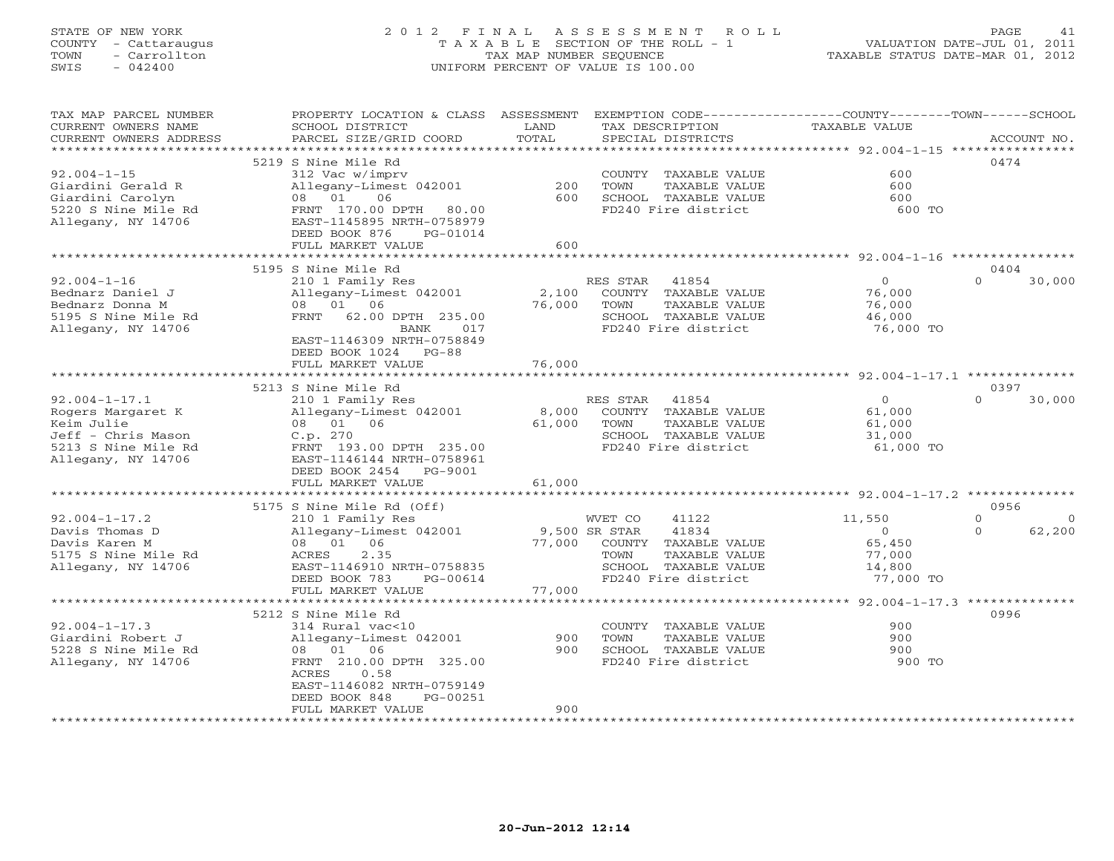# STATE OF NEW YORK 2 0 1 2 F I N A L A S S E S S M E N T R O L L PAGE 41 COUNTY - Cattaraugus T A X A B L E SECTION OF THE ROLL - 1 VALUATION DATE-JUL 01, 2011 TOWN - Carrollton TAX MAP NUMBER SEQUENCE TAXABLE STATUS DATE-MAR 01, 2012 SWIS - 042400 UNIFORM PERCENT OF VALUE IS 100.00UNIFORM PERCENT OF VALUE IS 100.00

| TAX MAP PARCEL NUMBER<br>CURRENT OWNERS NAME<br>CURRENT OWNERS ADDRESS | PROPERTY LOCATION & CLASS ASSESSMENT<br>SCHOOL DISTRICT<br>PARCEL SIZE/GRID COORD | LAND<br>TOTAL | EXEMPTION CODE-----------------COUNTY-------TOWN------SCHOOL<br>TAX DESCRIPTION<br>SPECIAL DISTRICTS | <b>TAXABLE VALUE</b>                                 | ACCOUNT NO.              |
|------------------------------------------------------------------------|-----------------------------------------------------------------------------------|---------------|------------------------------------------------------------------------------------------------------|------------------------------------------------------|--------------------------|
| *************************                                              |                                                                                   |               |                                                                                                      |                                                      |                          |
|                                                                        | 5219 S Nine Mile Rd                                                               |               |                                                                                                      |                                                      | 0474                     |
| $92.004 - 1 - 15$                                                      | 312 Vac w/imprv                                                                   |               | COUNTY TAXABLE VALUE                                                                                 | 600                                                  |                          |
| Giardini Gerald R                                                      | Allegany-Limest 042001                                                            | 200           | TOWN<br>TAXABLE VALUE                                                                                | 600                                                  |                          |
| Giardini Carolyn                                                       | 08 01<br>06                                                                       | 600           | SCHOOL TAXABLE VALUE                                                                                 | 600                                                  |                          |
| 5220 S Nine Mile Rd                                                    | FRNT 170.00 DPTH<br>80.00                                                         |               | FD240 Fire district                                                                                  | 600 TO                                               |                          |
| Allegany, NY 14706                                                     | EAST-1145895 NRTH-0758979                                                         |               |                                                                                                      |                                                      |                          |
|                                                                        | DEED BOOK 876<br>PG-01014                                                         |               |                                                                                                      |                                                      |                          |
|                                                                        | FULL MARKET VALUE                                                                 | 600           |                                                                                                      |                                                      |                          |
|                                                                        |                                                                                   |               |                                                                                                      |                                                      |                          |
|                                                                        | 5195 S Nine Mile Rd                                                               |               |                                                                                                      |                                                      | 0404                     |
| $92.004 - 1 - 16$                                                      | 210 1 Family Res                                                                  |               | RES STAR<br>41854                                                                                    | $\overline{0}$                                       | $\Omega$<br>30,000       |
| Bednarz Daniel J                                                       | Allegany-Limest 042001                                                            | 2,100         | COUNTY TAXABLE VALUE                                                                                 | 76,000                                               |                          |
| Bednarz Donna M                                                        | 08 01 06                                                                          | 76,000        | TOWN<br>TAXABLE VALUE                                                                                | 76,000                                               |                          |
| 5195 S Nine Mile Rd                                                    | FRNT 62.00 DPTH 235.00                                                            |               | SCHOOL TAXABLE VALUE                                                                                 | 46,000                                               |                          |
| Allegany, NY 14706                                                     | <b>BANK</b><br>017                                                                |               | FD240 Fire district                                                                                  | 76,000 TO                                            |                          |
|                                                                        | EAST-1146309 NRTH-0758849                                                         |               |                                                                                                      |                                                      |                          |
|                                                                        | DEED BOOK 1024 PG-88                                                              |               |                                                                                                      |                                                      |                          |
|                                                                        | FULL MARKET VALUE<br>**************************                                   | 76,000        |                                                                                                      |                                                      |                          |
|                                                                        | 5213 S Nine Mile Rd                                                               |               |                                                                                                      |                                                      | 0397                     |
| $92.004 - 1 - 17.1$                                                    | 210 1 Family Res                                                                  |               | RES STAR<br>41854                                                                                    | $\Omega$                                             | $\Omega$<br>30,000       |
| Rogers Margaret K                                                      | Allegany-Limest 042001                                                            | 8,000         | COUNTY TAXABLE VALUE                                                                                 | 61,000                                               |                          |
| Keim Julie                                                             | 08 01 06                                                                          | 61,000        | TOWN<br>TAXABLE VALUE                                                                                | 61,000                                               |                          |
| Jeff - Chris Mason                                                     | C.p. 270                                                                          |               | SCHOOL TAXABLE VALUE                                                                                 | 31,000                                               |                          |
| 5213 S Nine Mile Rd                                                    | FRNT 193.00 DPTH 235.00                                                           |               | FD240 Fire district                                                                                  | 61,000 TO                                            |                          |
| Allegany, NY 14706                                                     | EAST-1146144 NRTH-0758961                                                         |               |                                                                                                      |                                                      |                          |
|                                                                        | DEED BOOK 2454<br>PG-9001                                                         |               |                                                                                                      |                                                      |                          |
|                                                                        | FULL MARKET VALUE                                                                 | 61,000        |                                                                                                      |                                                      |                          |
|                                                                        |                                                                                   |               |                                                                                                      |                                                      |                          |
|                                                                        | 5175 S Nine Mile Rd (Off)                                                         |               |                                                                                                      |                                                      | 0956                     |
| $92.004 - 1 - 17.2$                                                    | 210 1 Family Res                                                                  |               | WVET CO<br>41122                                                                                     | 11,550                                               | $\mathbf{0}$<br>$\Omega$ |
| Davis Thomas D                                                         | Allegany-Limest 042001                                                            | 9,500 SR STAR | 41834                                                                                                | $\Omega$                                             | $\Omega$<br>62,200       |
| Davis Karen M                                                          | 08 01 06                                                                          | 77,000        | COUNTY TAXABLE VALUE                                                                                 | 65,450                                               |                          |
| 5175 S Nine Mile Rd                                                    | 2.35<br>ACRES                                                                     |               | TOWN<br>TAXABLE VALUE                                                                                | 77,000                                               |                          |
| Allegany, NY 14706                                                     | EAST-1146910 NRTH-0758835                                                         |               | SCHOOL TAXABLE VALUE                                                                                 | 14,800                                               |                          |
|                                                                        | DEED BOOK 783<br>PG-00614                                                         |               | FD240 Fire district                                                                                  | 77,000 TO                                            |                          |
|                                                                        | FULL MARKET VALUE<br>**********************                                       | 77,000        |                                                                                                      |                                                      |                          |
|                                                                        |                                                                                   |               |                                                                                                      | ************************ 92.004-1-17.3 ************* |                          |
|                                                                        | 5212 S Nine Mile Rd                                                               |               |                                                                                                      | 900                                                  | 0996                     |
| $92.004 - 1 - 17.3$<br>Giardini Robert J                               | 314 Rural vac<10                                                                  | 900           | COUNTY TAXABLE VALUE<br>TAXABLE VALUE<br>TOWN                                                        | 900                                                  |                          |
| 5228 S Nine Mile Rd                                                    | Allegany-Limest 042001<br>08 01 06                                                | 900           | SCHOOL TAXABLE VALUE                                                                                 | 900                                                  |                          |
| Allegany, NY 14706                                                     | FRNT 210.00 DPTH 325.00                                                           |               | FD240 Fire district                                                                                  | 900 TO                                               |                          |
|                                                                        | ACRES<br>0.58                                                                     |               |                                                                                                      |                                                      |                          |
|                                                                        | EAST-1146082 NRTH-0759149                                                         |               |                                                                                                      |                                                      |                          |
|                                                                        | DEED BOOK 848<br>PG-00251                                                         |               |                                                                                                      |                                                      |                          |
|                                                                        | FULL MARKET VALUE                                                                 | 900           |                                                                                                      |                                                      |                          |
| **********************                                                 |                                                                                   |               |                                                                                                      |                                                      |                          |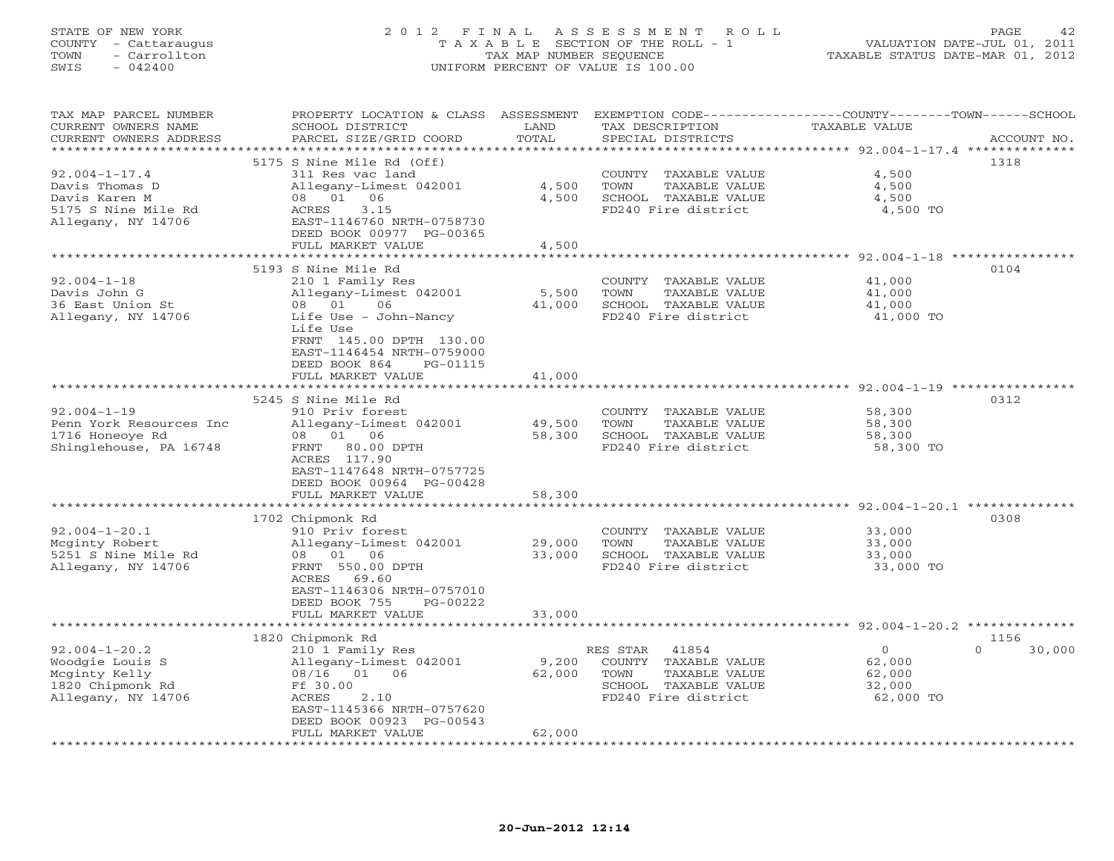## STATE OF NEW YORK 2 0 1 2 F I N A L A S S E S S M E N T R O L L PAGE 42 COUNTY - Cattaraugus T A X A B L E SECTION OF THE ROLL - 1 VALUATION DATE-JUL 01, 2011 TOWN - Carrollton TAX MAP NUMBER SEQUENCE TAXABLE STATUS DATE-MAR 01, 2012 SWIS - 042400 UNIFORM PERCENT OF VALUE IS 100.00UNIFORM PERCENT OF VALUE IS 100.00

| TAX MAP PARCEL NUMBER<br>CURRENT OWNERS NAME | PROPERTY LOCATION & CLASS ASSESSMENT<br>SCHOOL DISTRICT | LAND                         | TAX DESCRIPTION                               | EXEMPTION CODE----------------COUNTY-------TOWN------SCHOOL<br>TAXABLE VALUE |
|----------------------------------------------|---------------------------------------------------------|------------------------------|-----------------------------------------------|------------------------------------------------------------------------------|
| CURRENT OWNERS ADDRESS                       | PARCEL SIZE/GRID COORD                                  | TOTAL<br>* * * * * * * * * * | SPECIAL DISTRICTS                             | ACCOUNT NO.                                                                  |
|                                              |                                                         |                              |                                               | *********** 92.004-1-17.4 ***************<br>1318                            |
| $92.004 - 1 - 17.4$                          | 5175 S Nine Mile Rd (Off)<br>311 Res vac land           |                              | COUNTY TAXABLE VALUE                          | 4,500                                                                        |
| Davis Thomas D                               | Allegany-Limest 042001                                  | 4,500                        | TOWN<br>TAXABLE VALUE                         | 4,500                                                                        |
| Davis Karen M                                | 08 01 06                                                | 4,500                        | SCHOOL TAXABLE VALUE                          | 4,500                                                                        |
| 5175 S Nine Mile Rd                          | 3.15<br>ACRES                                           |                              | FD240 Fire district                           | 4,500 TO                                                                     |
| Allegany, NY 14706                           | EAST-1146760 NRTH-0758730                               |                              |                                               |                                                                              |
|                                              | DEED BOOK 00977 PG-00365                                |                              |                                               |                                                                              |
|                                              | FULL MARKET VALUE                                       | 4,500                        |                                               |                                                                              |
|                                              |                                                         | ************                 |                                               | ******************** 92.004-1-18 ****************                            |
|                                              | 5193 S Nine Mile Rd                                     |                              |                                               | 0104                                                                         |
| $92.004 - 1 - 18$                            | 210 1 Family Res                                        |                              | COUNTY TAXABLE VALUE                          | 41,000                                                                       |
| Davis John G                                 | Allegany-Limest 042001                                  | 5,500                        | TOWN<br>TAXABLE VALUE                         | 41,000                                                                       |
| 36 East Union St                             | 01<br>06<br>08                                          | 41,000                       | SCHOOL TAXABLE VALUE                          | 41,000                                                                       |
| Allegany, NY 14706                           | Life Use - John-Nancy                                   |                              | FD240 Fire district                           | 41,000 TO                                                                    |
|                                              | Life Use                                                |                              |                                               |                                                                              |
|                                              | FRNT 145.00 DPTH 130.00                                 |                              |                                               |                                                                              |
|                                              | EAST-1146454 NRTH-0759000                               |                              |                                               |                                                                              |
|                                              | DEED BOOK 864<br>PG-01115                               |                              |                                               |                                                                              |
|                                              | FULL MARKET VALUE                                       | 41,000                       |                                               |                                                                              |
|                                              | 5245 S Nine Mile Rd                                     |                              |                                               | 0312                                                                         |
| $92.004 - 1 - 19$                            | 910 Priv forest                                         |                              | COUNTY TAXABLE VALUE                          | 58,300                                                                       |
| Penn York Resources Inc                      | Allegany-Limest 042001                                  | 49,500                       | TOWN<br>TAXABLE VALUE                         | 58,300                                                                       |
| 1716 Honeoye Rd                              | 08 01 06                                                | 58,300                       | SCHOOL TAXABLE VALUE                          | 58,300                                                                       |
| Shinglehouse, PA 16748                       | FRNT 80.00 DPTH                                         |                              | FD240 Fire district                           | 58,300 TO                                                                    |
|                                              | ACRES 117.90                                            |                              |                                               |                                                                              |
|                                              | EAST-1147648 NRTH-0757725                               |                              |                                               |                                                                              |
|                                              | DEED BOOK 00964 PG-00428                                |                              |                                               |                                                                              |
|                                              | FULL MARKET VALUE                                       | 58,300                       |                                               |                                                                              |
|                                              | ***********************                                 | *************                |                                               | *********************************92.004-1-20.1 *********                     |
|                                              | 1702 Chipmonk Rd                                        |                              |                                               | 0308                                                                         |
| $92.004 - 1 - 20.1$<br>Mcginty Robert        | 910 Priv forest<br>Allegany-Limest 042001               | 29,000                       | COUNTY TAXABLE VALUE<br>TOWN<br>TAXABLE VALUE | 33,000<br>33,000                                                             |
| 5251 S Nine Mile Rd                          | 08 01 06                                                | 33,000                       | SCHOOL TAXABLE VALUE                          | 33,000                                                                       |
| Allegany, NY 14706                           | FRNT 550.00 DPTH                                        |                              | FD240 Fire district                           | 33,000 TO                                                                    |
|                                              | ACRES 69.60                                             |                              |                                               |                                                                              |
|                                              | EAST-1146306 NRTH-0757010                               |                              |                                               |                                                                              |
|                                              | DEED BOOK 755<br>PG-00222                               |                              |                                               |                                                                              |
|                                              | FULL MARKET VALUE                                       | 33,000                       |                                               |                                                                              |
|                                              |                                                         |                              |                                               | ************************************* 92.004-1-20.2 **************           |
|                                              | 1820 Chipmonk Rd                                        |                              |                                               | 1156                                                                         |
| $92.004 - 1 - 20.2$                          | 210 1 Family Res                                        |                              | 41854<br>RES STAR                             | $\overline{0}$<br>30,000<br>$\Omega$                                         |
| Woodgie Louis S                              | Allegany-Limest 042001                                  | 9,200                        | COUNTY TAXABLE VALUE                          | 62,000                                                                       |
| Mcginty Kelly                                | 08/16 01 06                                             | 62,000                       | TOWN<br>TAXABLE VALUE                         | 62,000                                                                       |
| 1820 Chipmonk Rd                             | Ff 30.00                                                |                              | SCHOOL TAXABLE VALUE                          | 32,000                                                                       |
| Allegany, NY 14706                           | ACRES<br>2.10                                           |                              | FD240 Fire district                           | 62,000 TO                                                                    |
|                                              | EAST-1145366 NRTH-0757620<br>DEED BOOK 00923 PG-00543   |                              |                                               |                                                                              |
|                                              | FULL MARKET VALUE                                       | 62,000                       |                                               |                                                                              |
|                                              |                                                         |                              |                                               |                                                                              |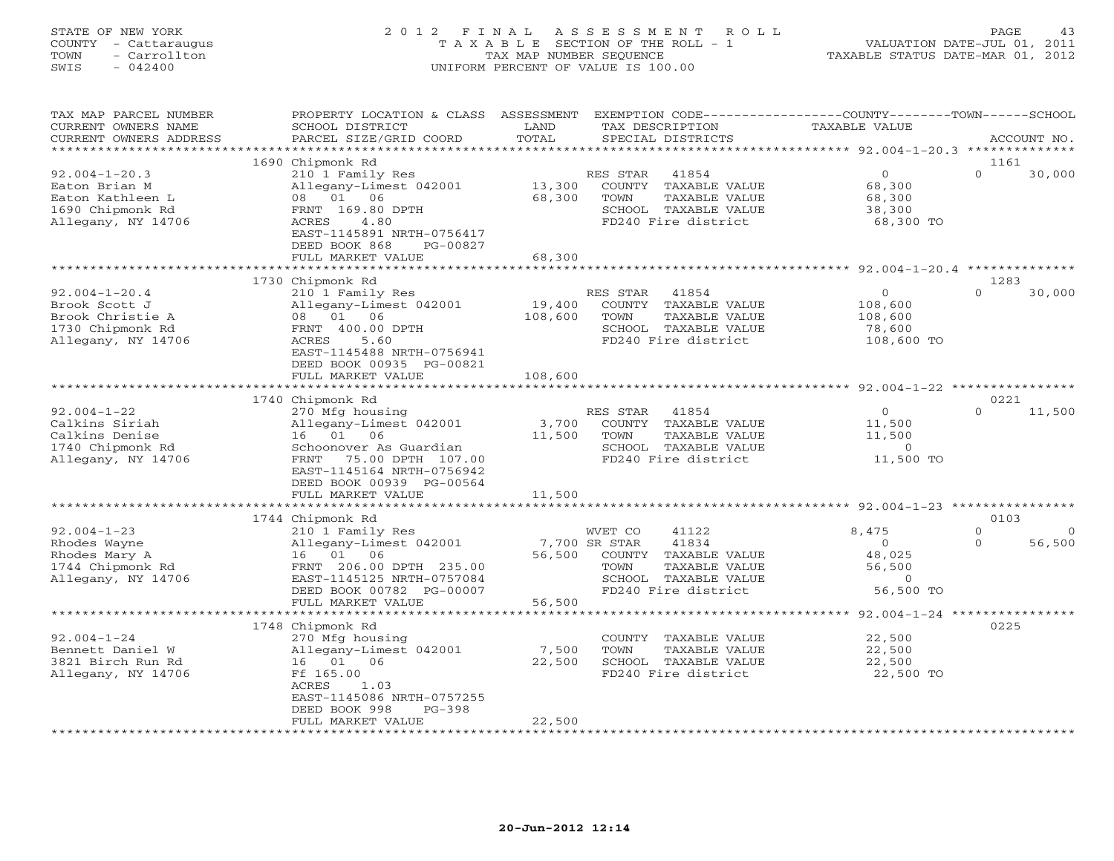## STATE OF NEW YORK 2 0 1 2 F I N A L A S S E S S M E N T R O L L PAGE 43 COUNTY - Cattaraugus T A X A B L E SECTION OF THE ROLL - 1 VALUATION DATE-JUL 01, 2011 TOWN - Carrollton TAX MAP NUMBER SEQUENCE TAXABLE STATUS DATE-MAR 01, 2012 SWIS - 042400 UNIFORM PERCENT OF VALUE IS 100.00UNIFORM PERCENT OF VALUE IS 100.00

| ******<br>*********** 92.004-1-20.3 **************<br>1690 Chipmonk Rd<br>1161<br>$92.004 - 1 - 20.3$<br>210 1 Family Res<br>$\Omega$<br>$\Omega$<br>30,000<br>RES STAR<br>41854<br>Allegany-Limest 042001<br>13,300<br>COUNTY TAXABLE VALUE<br>68,300<br>Eaton Brian M<br>08 01 06<br>68,300<br>TAXABLE VALUE<br>Eaton Kathleen L<br>TOWN<br>68,300<br>FRNT 169.80 DPTH<br>1690 Chipmonk Rd<br>SCHOOL TAXABLE VALUE<br>38,300<br>FD240 Fire district<br>Allegany, NY 14706<br>ACRES<br>4.80<br>68,300 TO<br>EAST-1145891 NRTH-0756417<br>DEED BOOK 868<br>PG-00827<br>68,300<br>FULL MARKET VALUE<br>***********************************92.004-1-20.4 **************<br>* * * * * * * * * *<br>1283<br>1730 Chipmonk Rd<br>$92.004 - 1 - 20.4$<br>$\circ$<br>30,000<br>210 1 Family Res<br>RES STAR<br>41854<br>$\Omega$<br>Allegany-Limest 042001<br>19,400<br>COUNTY TAXABLE VALUE<br>108,600<br>Brook Scott J<br>08 01 06<br>108,600<br>Brook Christie A<br>TOWN<br>TAXABLE VALUE<br>108,600<br>1730 Chipmonk Rd<br>FRNT 400.00 DPTH<br>SCHOOL TAXABLE VALUE<br>78,600<br>Allegany, NY 14706<br>5.60<br>FD240 Fire district<br>108,600 TO<br>ACRES<br>EAST-1145488 NRTH-0756941<br>DEED BOOK 00935 PG-00821<br>108,600<br>FULL MARKET VALUE<br>*************************<br>1740 Chipmonk Rd<br>0221<br>$92.004 - 1 - 22$<br>RES STAR<br>41854<br>$\Omega$<br>$\Omega$<br>11,500<br>270 Mfg housing<br>Calkins Siriah<br>Allegany-Limest 042001<br>3,700<br>COUNTY TAXABLE VALUE<br>11,500<br>Calkins Denise<br>06<br>16 01<br>11,500<br>TOWN<br>TAXABLE VALUE<br>11,500<br>1740 Chipmonk Rd<br>SCHOOL TAXABLE VALUE<br>$\overline{0}$<br>Schoonover As Guardian<br>Allegany, NY 14706<br>FD240 Fire district<br>11,500 TO<br>FRNT<br>75.00 DPTH 107.00<br>EAST-1145164 NRTH-0756942<br>DEED BOOK 00939 PG-00564<br>FULL MARKET VALUE<br>11,500<br>********* 92.004-1-23 *********<br>0103<br>1744 Chipmonk Rd<br>$92.004 - 1 - 23$<br>210 1 Family Res<br>WVET CO<br>41122<br>8,475<br>$\Omega$<br>$\Omega$<br>56,500<br>Rhodes Wayne<br>Allegany-Limest 042001<br>7,700 SR STAR<br>41834<br>$\Omega$<br>$\Omega$<br>48,025<br>Rhodes Mary A<br>16 01<br>06<br>56,500<br>COUNTY<br>TAXABLE VALUE<br>1744 Chipmonk Rd<br>FRNT 206.00 DPTH 235.00<br>TAXABLE VALUE<br>56,500<br>TOWN<br>Allegany, NY 14706<br>EAST-1145125 NRTH-0757084<br>SCHOOL TAXABLE VALUE<br>$\circ$<br>56,500 TO<br>DEED BOOK 00782 PG-00007<br>FD240 Fire district<br>FULL MARKET VALUE<br>56,500<br>******************<br>************* 92.004-1-24 *****************<br>1748 Chipmonk Rd<br>0225<br>$92.004 - 1 - 24$<br>270 Mfg housing<br>22,500<br>COUNTY TAXABLE VALUE<br>Allegany-Limest 042001<br>Bennett Daniel W<br>7,500<br>TOWN<br>TAXABLE VALUE<br>22,500<br>16 01<br>06<br>22,500<br>SCHOOL TAXABLE VALUE<br>22,500<br>3821 Birch Run Rd<br>Allegany, NY 14706<br>Ff 165.00<br>FD240 Fire district<br>22,500 TO<br>ACRES<br>1.03<br>EAST-1145086 NRTH-0757255<br>DEED BOOK 998<br>$PG-398$<br>22,500<br>FULL MARKET VALUE | TAX MAP PARCEL NUMBER<br>CURRENT OWNERS NAME<br>CURRENT OWNERS ADDRESS | PROPERTY LOCATION & CLASS<br>SCHOOL DISTRICT<br>PARCEL SIZE/GRID COORD | ASSESSMENT<br>LAND<br>TOTAL | TAX DESCRIPTION<br>SPECIAL DISTRICTS | EXEMPTION CODE-----------------COUNTY-------TOWN------SCHOOL<br>TAXABLE VALUE | ACCOUNT NO. |
|--------------------------------------------------------------------------------------------------------------------------------------------------------------------------------------------------------------------------------------------------------------------------------------------------------------------------------------------------------------------------------------------------------------------------------------------------------------------------------------------------------------------------------------------------------------------------------------------------------------------------------------------------------------------------------------------------------------------------------------------------------------------------------------------------------------------------------------------------------------------------------------------------------------------------------------------------------------------------------------------------------------------------------------------------------------------------------------------------------------------------------------------------------------------------------------------------------------------------------------------------------------------------------------------------------------------------------------------------------------------------------------------------------------------------------------------------------------------------------------------------------------------------------------------------------------------------------------------------------------------------------------------------------------------------------------------------------------------------------------------------------------------------------------------------------------------------------------------------------------------------------------------------------------------------------------------------------------------------------------------------------------------------------------------------------------------------------------------------------------------------------------------------------------------------------------------------------------------------------------------------------------------------------------------------------------------------------------------------------------------------------------------------------------------------------------------------------------------------------------------------------------------------------------------------------------------------------------------------------------------------------------------------------------------------------------------------------------------------------------------------------------------------------------------------------------------------------------------------------------------------------------------------------------------------------------------------------------------------------------------------------------------|------------------------------------------------------------------------|------------------------------------------------------------------------|-----------------------------|--------------------------------------|-------------------------------------------------------------------------------|-------------|
|                                                                                                                                                                                                                                                                                                                                                                                                                                                                                                                                                                                                                                                                                                                                                                                                                                                                                                                                                                                                                                                                                                                                                                                                                                                                                                                                                                                                                                                                                                                                                                                                                                                                                                                                                                                                                                                                                                                                                                                                                                                                                                                                                                                                                                                                                                                                                                                                                                                                                                                                                                                                                                                                                                                                                                                                                                                                                                                                                                                                                    |                                                                        |                                                                        |                             |                                      |                                                                               |             |
|                                                                                                                                                                                                                                                                                                                                                                                                                                                                                                                                                                                                                                                                                                                                                                                                                                                                                                                                                                                                                                                                                                                                                                                                                                                                                                                                                                                                                                                                                                                                                                                                                                                                                                                                                                                                                                                                                                                                                                                                                                                                                                                                                                                                                                                                                                                                                                                                                                                                                                                                                                                                                                                                                                                                                                                                                                                                                                                                                                                                                    |                                                                        |                                                                        |                             |                                      |                                                                               |             |
|                                                                                                                                                                                                                                                                                                                                                                                                                                                                                                                                                                                                                                                                                                                                                                                                                                                                                                                                                                                                                                                                                                                                                                                                                                                                                                                                                                                                                                                                                                                                                                                                                                                                                                                                                                                                                                                                                                                                                                                                                                                                                                                                                                                                                                                                                                                                                                                                                                                                                                                                                                                                                                                                                                                                                                                                                                                                                                                                                                                                                    |                                                                        |                                                                        |                             |                                      |                                                                               |             |
|                                                                                                                                                                                                                                                                                                                                                                                                                                                                                                                                                                                                                                                                                                                                                                                                                                                                                                                                                                                                                                                                                                                                                                                                                                                                                                                                                                                                                                                                                                                                                                                                                                                                                                                                                                                                                                                                                                                                                                                                                                                                                                                                                                                                                                                                                                                                                                                                                                                                                                                                                                                                                                                                                                                                                                                                                                                                                                                                                                                                                    |                                                                        |                                                                        |                             |                                      |                                                                               |             |
|                                                                                                                                                                                                                                                                                                                                                                                                                                                                                                                                                                                                                                                                                                                                                                                                                                                                                                                                                                                                                                                                                                                                                                                                                                                                                                                                                                                                                                                                                                                                                                                                                                                                                                                                                                                                                                                                                                                                                                                                                                                                                                                                                                                                                                                                                                                                                                                                                                                                                                                                                                                                                                                                                                                                                                                                                                                                                                                                                                                                                    |                                                                        |                                                                        |                             |                                      |                                                                               |             |
|                                                                                                                                                                                                                                                                                                                                                                                                                                                                                                                                                                                                                                                                                                                                                                                                                                                                                                                                                                                                                                                                                                                                                                                                                                                                                                                                                                                                                                                                                                                                                                                                                                                                                                                                                                                                                                                                                                                                                                                                                                                                                                                                                                                                                                                                                                                                                                                                                                                                                                                                                                                                                                                                                                                                                                                                                                                                                                                                                                                                                    |                                                                        |                                                                        |                             |                                      |                                                                               |             |
|                                                                                                                                                                                                                                                                                                                                                                                                                                                                                                                                                                                                                                                                                                                                                                                                                                                                                                                                                                                                                                                                                                                                                                                                                                                                                                                                                                                                                                                                                                                                                                                                                                                                                                                                                                                                                                                                                                                                                                                                                                                                                                                                                                                                                                                                                                                                                                                                                                                                                                                                                                                                                                                                                                                                                                                                                                                                                                                                                                                                                    |                                                                        |                                                                        |                             |                                      |                                                                               |             |
|                                                                                                                                                                                                                                                                                                                                                                                                                                                                                                                                                                                                                                                                                                                                                                                                                                                                                                                                                                                                                                                                                                                                                                                                                                                                                                                                                                                                                                                                                                                                                                                                                                                                                                                                                                                                                                                                                                                                                                                                                                                                                                                                                                                                                                                                                                                                                                                                                                                                                                                                                                                                                                                                                                                                                                                                                                                                                                                                                                                                                    |                                                                        |                                                                        |                             |                                      |                                                                               |             |
|                                                                                                                                                                                                                                                                                                                                                                                                                                                                                                                                                                                                                                                                                                                                                                                                                                                                                                                                                                                                                                                                                                                                                                                                                                                                                                                                                                                                                                                                                                                                                                                                                                                                                                                                                                                                                                                                                                                                                                                                                                                                                                                                                                                                                                                                                                                                                                                                                                                                                                                                                                                                                                                                                                                                                                                                                                                                                                                                                                                                                    |                                                                        |                                                                        |                             |                                      |                                                                               |             |
|                                                                                                                                                                                                                                                                                                                                                                                                                                                                                                                                                                                                                                                                                                                                                                                                                                                                                                                                                                                                                                                                                                                                                                                                                                                                                                                                                                                                                                                                                                                                                                                                                                                                                                                                                                                                                                                                                                                                                                                                                                                                                                                                                                                                                                                                                                                                                                                                                                                                                                                                                                                                                                                                                                                                                                                                                                                                                                                                                                                                                    |                                                                        |                                                                        |                             |                                      |                                                                               |             |
|                                                                                                                                                                                                                                                                                                                                                                                                                                                                                                                                                                                                                                                                                                                                                                                                                                                                                                                                                                                                                                                                                                                                                                                                                                                                                                                                                                                                                                                                                                                                                                                                                                                                                                                                                                                                                                                                                                                                                                                                                                                                                                                                                                                                                                                                                                                                                                                                                                                                                                                                                                                                                                                                                                                                                                                                                                                                                                                                                                                                                    |                                                                        |                                                                        |                             |                                      |                                                                               |             |
|                                                                                                                                                                                                                                                                                                                                                                                                                                                                                                                                                                                                                                                                                                                                                                                                                                                                                                                                                                                                                                                                                                                                                                                                                                                                                                                                                                                                                                                                                                                                                                                                                                                                                                                                                                                                                                                                                                                                                                                                                                                                                                                                                                                                                                                                                                                                                                                                                                                                                                                                                                                                                                                                                                                                                                                                                                                                                                                                                                                                                    |                                                                        |                                                                        |                             |                                      |                                                                               |             |
|                                                                                                                                                                                                                                                                                                                                                                                                                                                                                                                                                                                                                                                                                                                                                                                                                                                                                                                                                                                                                                                                                                                                                                                                                                                                                                                                                                                                                                                                                                                                                                                                                                                                                                                                                                                                                                                                                                                                                                                                                                                                                                                                                                                                                                                                                                                                                                                                                                                                                                                                                                                                                                                                                                                                                                                                                                                                                                                                                                                                                    |                                                                        |                                                                        |                             |                                      |                                                                               |             |
|                                                                                                                                                                                                                                                                                                                                                                                                                                                                                                                                                                                                                                                                                                                                                                                                                                                                                                                                                                                                                                                                                                                                                                                                                                                                                                                                                                                                                                                                                                                                                                                                                                                                                                                                                                                                                                                                                                                                                                                                                                                                                                                                                                                                                                                                                                                                                                                                                                                                                                                                                                                                                                                                                                                                                                                                                                                                                                                                                                                                                    |                                                                        |                                                                        |                             |                                      |                                                                               |             |
|                                                                                                                                                                                                                                                                                                                                                                                                                                                                                                                                                                                                                                                                                                                                                                                                                                                                                                                                                                                                                                                                                                                                                                                                                                                                                                                                                                                                                                                                                                                                                                                                                                                                                                                                                                                                                                                                                                                                                                                                                                                                                                                                                                                                                                                                                                                                                                                                                                                                                                                                                                                                                                                                                                                                                                                                                                                                                                                                                                                                                    |                                                                        |                                                                        |                             |                                      |                                                                               |             |
|                                                                                                                                                                                                                                                                                                                                                                                                                                                                                                                                                                                                                                                                                                                                                                                                                                                                                                                                                                                                                                                                                                                                                                                                                                                                                                                                                                                                                                                                                                                                                                                                                                                                                                                                                                                                                                                                                                                                                                                                                                                                                                                                                                                                                                                                                                                                                                                                                                                                                                                                                                                                                                                                                                                                                                                                                                                                                                                                                                                                                    |                                                                        |                                                                        |                             |                                      |                                                                               |             |
|                                                                                                                                                                                                                                                                                                                                                                                                                                                                                                                                                                                                                                                                                                                                                                                                                                                                                                                                                                                                                                                                                                                                                                                                                                                                                                                                                                                                                                                                                                                                                                                                                                                                                                                                                                                                                                                                                                                                                                                                                                                                                                                                                                                                                                                                                                                                                                                                                                                                                                                                                                                                                                                                                                                                                                                                                                                                                                                                                                                                                    |                                                                        |                                                                        |                             |                                      |                                                                               |             |
|                                                                                                                                                                                                                                                                                                                                                                                                                                                                                                                                                                                                                                                                                                                                                                                                                                                                                                                                                                                                                                                                                                                                                                                                                                                                                                                                                                                                                                                                                                                                                                                                                                                                                                                                                                                                                                                                                                                                                                                                                                                                                                                                                                                                                                                                                                                                                                                                                                                                                                                                                                                                                                                                                                                                                                                                                                                                                                                                                                                                                    |                                                                        |                                                                        |                             |                                      |                                                                               |             |
|                                                                                                                                                                                                                                                                                                                                                                                                                                                                                                                                                                                                                                                                                                                                                                                                                                                                                                                                                                                                                                                                                                                                                                                                                                                                                                                                                                                                                                                                                                                                                                                                                                                                                                                                                                                                                                                                                                                                                                                                                                                                                                                                                                                                                                                                                                                                                                                                                                                                                                                                                                                                                                                                                                                                                                                                                                                                                                                                                                                                                    |                                                                        |                                                                        |                             |                                      |                                                                               |             |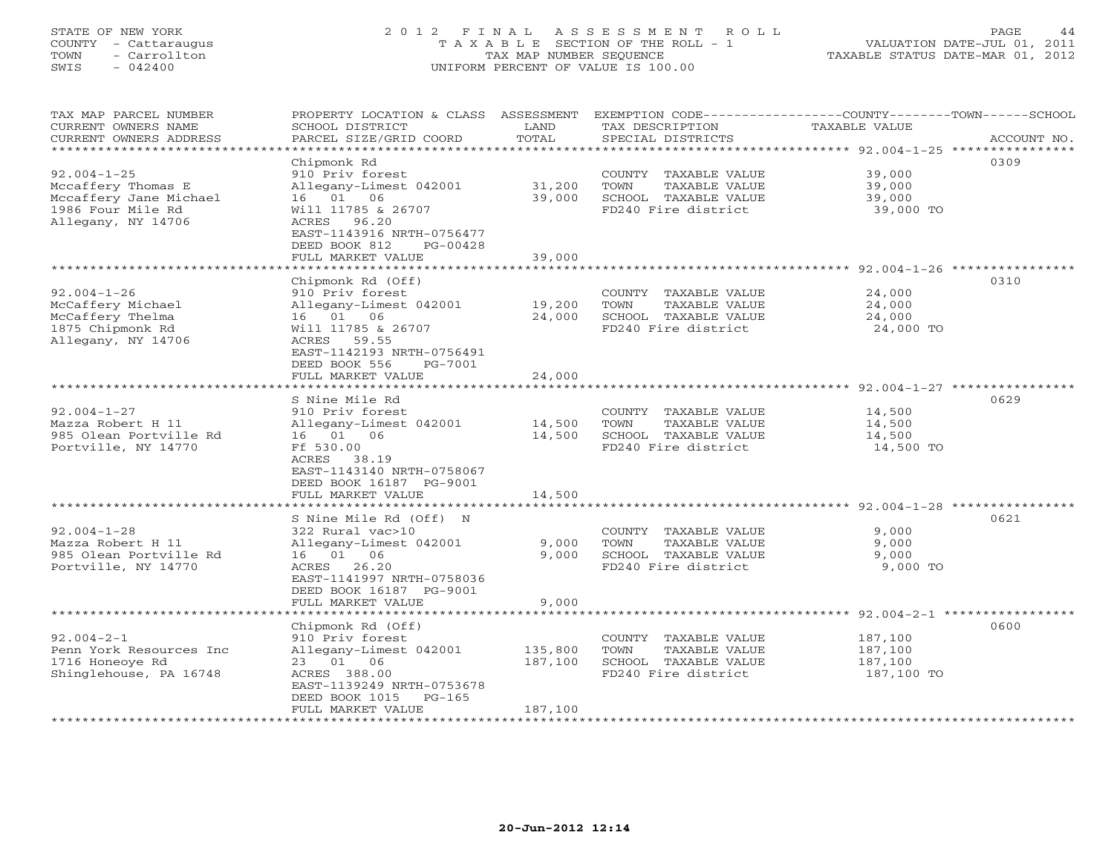## STATE OF NEW YORK 2 0 1 2 F I N A L A S S E S S M E N T R O L L PAGE 44 COUNTY - Cattaraugus T A X A B L E SECTION OF THE ROLL - 1 VALUATION DATE-JUL 01, 2011 TOWN - Carrollton TAX MAP NUMBER SEQUENCE TAXABLE STATUS DATE-MAR 01, 2012 SWIS - 042400 UNIFORM PERCENT OF VALUE IS 100.00UNIFORM PERCENT OF VALUE IS 100.00

| TAX MAP PARCEL NUMBER<br>CURRENT OWNERS NAME<br>CURRENT OWNERS ADDRESS<br>********************** | PROPERTY LOCATION & CLASS ASSESSMENT<br>SCHOOL DISTRICT<br>PARCEL SIZE/GRID COORD                       | LAND<br>TOTAL    | TAX DESCRIPTION<br>SPECIAL DISTRICTS                                  | EXEMPTION CODE-----------------COUNTY-------TOWN-----SCHOOL<br>TAXABLE VALUE | ACCOUNT NO. |
|--------------------------------------------------------------------------------------------------|---------------------------------------------------------------------------------------------------------|------------------|-----------------------------------------------------------------------|------------------------------------------------------------------------------|-------------|
| $92.004 - 1 - 25$<br>Mccaffery Thomas E                                                          | Chipmonk Rd<br>910 Priv forest<br>Allegany-Limest 042001                                                | 31,200           | COUNTY TAXABLE VALUE<br>TOWN<br>TAXABLE VALUE                         | 39,000<br>39,000                                                             | 0309        |
| Mccaffery Jane Michael<br>1986 Four Mile Rd<br>Allegany, NY 14706                                | 16 01 06<br>Will 11785 & 26707<br>ACRES 96.20<br>EAST-1143916 NRTH-0756477<br>DEED BOOK 812<br>PG-00428 | 39,000           | SCHOOL TAXABLE VALUE<br>FD240 Fire district                           | 39,000<br>39,000 TO                                                          |             |
|                                                                                                  | FULL MARKET VALUE                                                                                       | 39,000           |                                                                       |                                                                              |             |
|                                                                                                  | Chipmonk Rd (Off)                                                                                       |                  |                                                                       |                                                                              | 0310        |
| $92.004 - 1 - 26$<br>McCaffery Michael<br>McCaffery Thelma                                       | 910 Priv forest<br>Allegany-Limest 042001<br>16 01 06                                                   | 19,200<br>24,000 | COUNTY TAXABLE VALUE<br>TOWN<br>TAXABLE VALUE<br>SCHOOL TAXABLE VALUE | 24,000<br>24,000<br>24,000                                                   |             |
| 1875 Chipmonk Rd<br>Allegany, NY 14706                                                           | Will 11785 & 26707<br>ACRES 59.55<br>EAST-1142193 NRTH-0756491<br>DEED BOOK 556<br>PG-7001              |                  | FD240 Fire district                                                   | 24,000 TO                                                                    |             |
|                                                                                                  | FULL MARKET VALUE                                                                                       | 24,000           |                                                                       |                                                                              |             |
|                                                                                                  |                                                                                                         |                  |                                                                       | ******************************** 92.004-1-27 ****************                | 0629        |
| $92.004 - 1 - 27$                                                                                | S Nine Mile Rd<br>910 Priv forest                                                                       |                  | COUNTY TAXABLE VALUE                                                  | 14,500                                                                       |             |
| Mazza Robert H 11                                                                                | Allegany-Limest 042001                                                                                  | 14,500           | TOWN<br>TAXABLE VALUE                                                 | 14,500                                                                       |             |
| 985 Olean Portville Rd                                                                           | 16  01  06                                                                                              | 14,500           | SCHOOL TAXABLE VALUE                                                  | 14,500                                                                       |             |
| Portville, NY 14770                                                                              | Ff 530.00<br>ACRES 38.19<br>EAST-1143140 NRTH-0758067<br>DEED BOOK 16187 PG-9001                        |                  | FD240 Fire district                                                   | 14,500 TO                                                                    |             |
|                                                                                                  | FULL MARKET VALUE                                                                                       | 14,500           |                                                                       |                                                                              |             |
|                                                                                                  |                                                                                                         |                  |                                                                       |                                                                              |             |
|                                                                                                  | S Nine Mile Rd (Off) N                                                                                  |                  |                                                                       |                                                                              | 0621        |
| $92.004 - 1 - 28$<br>Mazza Robert H 11                                                           | 322 Rural vac>10                                                                                        | 9,000            | COUNTY TAXABLE VALUE<br>TOWN<br>TAXABLE VALUE                         | 9,000<br>9,000                                                               |             |
| 985 Olean Portville Rd                                                                           | Allegany-Limest 042001<br>16 01 06                                                                      | 9,000            | SCHOOL TAXABLE VALUE                                                  | 9,000                                                                        |             |
| Portville, NY 14770                                                                              | ACRES 26.20<br>EAST-1141997 NRTH-0758036<br>DEED BOOK 16187 PG-9001<br>FULL MARKET VALUE                | 9.000            | FD240 Fire district                                                   | 9,000 TO                                                                     |             |
|                                                                                                  |                                                                                                         | *************    |                                                                       | $92.004 - 2 - 1$ *****                                                       | *********** |
|                                                                                                  | Chipmonk Rd (Off)                                                                                       |                  |                                                                       |                                                                              | 0600        |
| $92.004 - 2 - 1$                                                                                 | 910 Priv forest                                                                                         |                  | COUNTY TAXABLE VALUE                                                  | 187,100                                                                      |             |
| Penn York Resources Inc                                                                          | Allegany-Limest 042001                                                                                  | 135,800          | TOWN<br>TAXABLE VALUE                                                 | 187,100                                                                      |             |
| 1716 Honeoye Rd                                                                                  | 23 01 06                                                                                                | 187,100          | SCHOOL TAXABLE VALUE                                                  | 187,100                                                                      |             |
| Shinglehouse, PA 16748                                                                           | ACRES 388.00<br>EAST-1139249 NRTH-0753678                                                               |                  | FD240 Fire district                                                   | 187,100 TO                                                                   |             |
|                                                                                                  | DEED BOOK 1015<br>PG-165                                                                                |                  |                                                                       |                                                                              |             |
|                                                                                                  | FULL MARKET VALUE                                                                                       | 187,100          |                                                                       |                                                                              |             |
| ********************                                                                             |                                                                                                         |                  |                                                                       |                                                                              |             |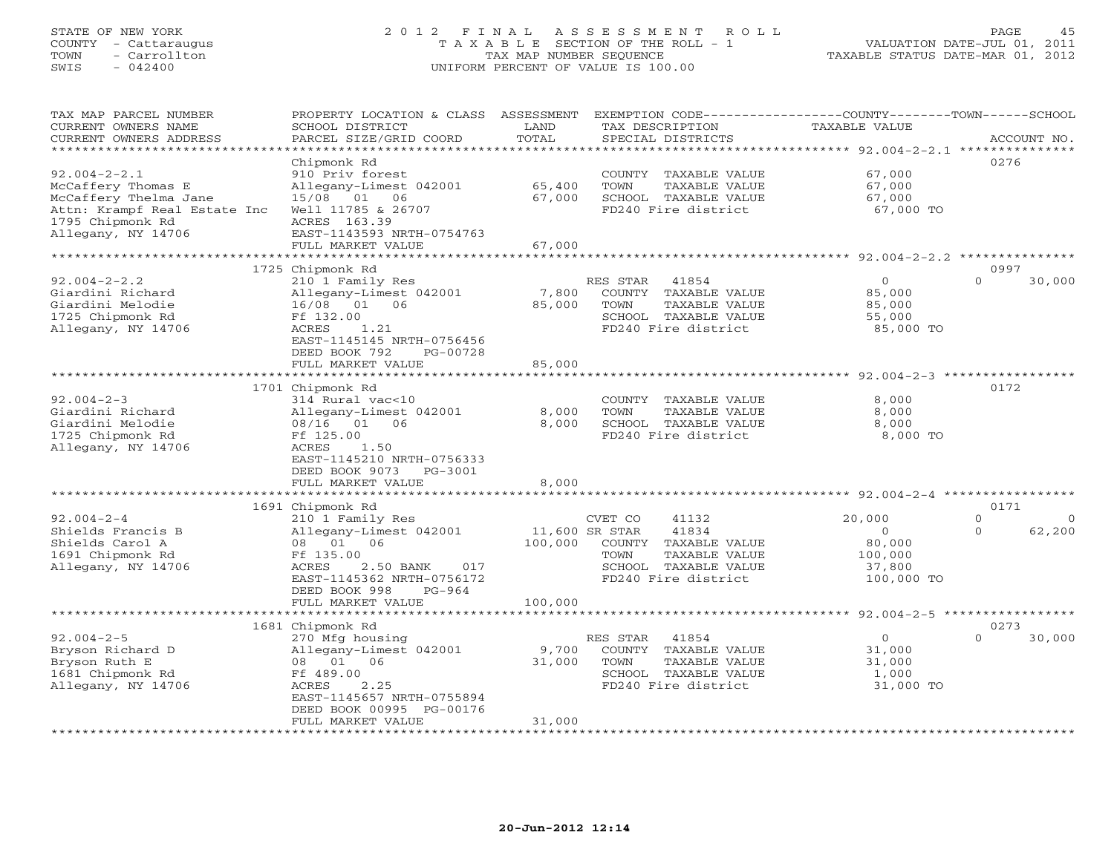## STATE OF NEW YORK 2 0 1 2 F I N A L A S S E S S M E N T R O L L PAGE 45 COUNTY - Cattaraugus T A X A B L E SECTION OF THE ROLL - 1 VALUATION DATE-JUL 01, 2011 TOWN - Carrollton TAX MAP NUMBER SEQUENCE TAXABLE STATUS DATE-MAR 01, 2012 SWIS - 042400 UNIFORM PERCENT OF VALUE IS 100.00UNIFORM PERCENT OF VALUE IS 100.00

| TAX MAP PARCEL NUMBER        | PROPERTY LOCATION & CLASS ASSESSMENT |                | EXEMPTION CODE-----------------COUNTY-------TOWN------SCHOOL |                      |          |             |
|------------------------------|--------------------------------------|----------------|--------------------------------------------------------------|----------------------|----------|-------------|
| CURRENT OWNERS NAME          | SCHOOL DISTRICT                      | LAND           | TAX DESCRIPTION                                              | <b>TAXABLE VALUE</b> |          |             |
| CURRENT OWNERS ADDRESS       | PARCEL SIZE/GRID COORD               | TOTAL          | SPECIAL DISTRICTS                                            |                      |          | ACCOUNT NO. |
| *********************        |                                      |                |                                                              |                      |          |             |
|                              | Chipmonk Rd                          |                |                                                              |                      | 0276     |             |
| $92.004 - 2 - 2.1$           | 910 Priv forest                      |                | COUNTY TAXABLE VALUE                                         | 67,000               |          |             |
| McCaffery Thomas E           | Allegany-Limest 042001               | 65,400         | TOWN<br>TAXABLE VALUE                                        | 67,000               |          |             |
| McCaffery Thelma Jane        | 15/08 01 06                          | 67,000         | SCHOOL TAXABLE VALUE                                         | 67,000               |          |             |
| Attn: Krampf Real Estate Inc | Well 11785 & 26707                   |                | FD240 Fire district                                          | 67,000 TO            |          |             |
| 1795 Chipmonk Rd             | ACRES 163.39                         |                |                                                              |                      |          |             |
| Allegany, NY 14706           | EAST-1143593 NRTH-0754763            |                |                                                              |                      |          |             |
|                              | FULL MARKET VALUE                    | 67,000         |                                                              |                      |          |             |
|                              |                                      |                |                                                              |                      |          |             |
|                              | 1725 Chipmonk Rd                     |                |                                                              |                      | 0997     |             |
| $92.004 - 2 - 2.2$           | 210 1 Family Res                     |                | RES STAR<br>41854                                            | $\circ$              | $\Omega$ | 30,000      |
| Giardini Richard             | Allegany-Limest 042001               | 7,800          | COUNTY TAXABLE VALUE                                         | 85,000               |          |             |
| Giardini Melodie             | 16/08 01 06                          | 85,000         | TAXABLE VALUE<br>TOWN                                        | 85,000               |          |             |
| 1725 Chipmonk Rd             | Ff 132.00                            |                | SCHOOL TAXABLE VALUE                                         | 55,000               |          |             |
| Allegany, NY 14706           | ACRES<br>1.21                        |                | FD240 Fire district                                          | 85,000 TO            |          |             |
|                              |                                      |                |                                                              |                      |          |             |
|                              | EAST-1145145 NRTH-0756456            |                |                                                              |                      |          |             |
|                              | DEED BOOK 792<br>PG-00728            |                |                                                              |                      |          |             |
|                              | FULL MARKET VALUE                    | 85,000         |                                                              |                      |          |             |
|                              |                                      |                |                                                              |                      |          |             |
|                              | 1701 Chipmonk Rd                     |                |                                                              |                      | 0172     |             |
| $92.004 - 2 - 3$             | 314 Rural vac<10                     |                | COUNTY TAXABLE VALUE                                         | 8,000                |          |             |
| Giardini Richard             | Allegany-Limest 042001               | 8,000          | TOWN<br>TAXABLE VALUE                                        | 8,000                |          |             |
| Giardini Melodie             | 08/16 01 06                          | 8,000          | SCHOOL TAXABLE VALUE                                         | 8,000                |          |             |
| 1725 Chipmonk Rd             | Ff 125.00                            |                | FD240 Fire district                                          | 8,000 TO             |          |             |
| Allegany, NY 14706           | ACRES<br>1.50                        |                |                                                              |                      |          |             |
|                              | EAST-1145210 NRTH-0756333            |                |                                                              |                      |          |             |
|                              | DEED BOOK 9073<br>PG-3001            |                |                                                              |                      |          |             |
|                              | FULL MARKET VALUE                    | 8,000          |                                                              |                      |          |             |
|                              |                                      |                |                                                              |                      |          |             |
|                              | 1691 Chipmonk Rd                     |                |                                                              |                      | 0171     |             |
| $92.004 - 2 - 4$             | 210 1 Family Res                     |                | 41132<br>CVET CO                                             | 20,000               | $\Omega$ | $\Omega$    |
| Shields Francis B            | Allegany-Limest 042001               | 11,600 SR STAR | 41834                                                        | $\circ$              | $\Omega$ | 62,200      |
| Shields Carol A              | 08 01<br>06                          | 100,000        | COUNTY TAXABLE VALUE                                         | 80,000               |          |             |
| 1691 Chipmonk Rd             | Ff 135.00                            |                | TOWN<br>TAXABLE VALUE                                        | 100,000              |          |             |
| Allegany, NY 14706           | ACRES<br>2.50 BANK<br>017            |                | SCHOOL TAXABLE VALUE                                         | 37,800               |          |             |
|                              | EAST-1145362 NRTH-0756172            |                | FD240 Fire district                                          | 100,000 TO           |          |             |
|                              | DEED BOOK 998<br>$PG-964$            |                |                                                              |                      |          |             |
|                              | FULL MARKET VALUE                    | 100,000        |                                                              |                      |          |             |
|                              | **********************               |                |                                                              |                      |          |             |
|                              | 1681 Chipmonk Rd                     |                |                                                              |                      | 0273     |             |
| $92.004 - 2 - 5$             | 270 Mfg housing                      |                | RES STAR<br>41854                                            | $\overline{O}$       | $\Omega$ | 30,000      |
| Bryson Richard D             | Allegany-Limest 042001               | 9,700          | COUNTY TAXABLE VALUE                                         | 31,000               |          |             |
| Bryson Ruth E                | 06<br>08 01                          | 31,000         | TOWN<br>TAXABLE VALUE                                        | 31,000               |          |             |
| 1681 Chipmonk Rd             | Ff 489.00                            |                | SCHOOL TAXABLE VALUE                                         | 1,000                |          |             |
| Allegany, NY 14706           | ACRES<br>2.25                        |                | FD240 Fire district                                          | 31,000 TO            |          |             |
|                              | EAST-1145657 NRTH-0755894            |                |                                                              |                      |          |             |
|                              | DEED BOOK 00995 PG-00176             |                |                                                              |                      |          |             |
|                              | FULL MARKET VALUE                    | 31,000         |                                                              |                      |          |             |
|                              |                                      |                |                                                              |                      |          |             |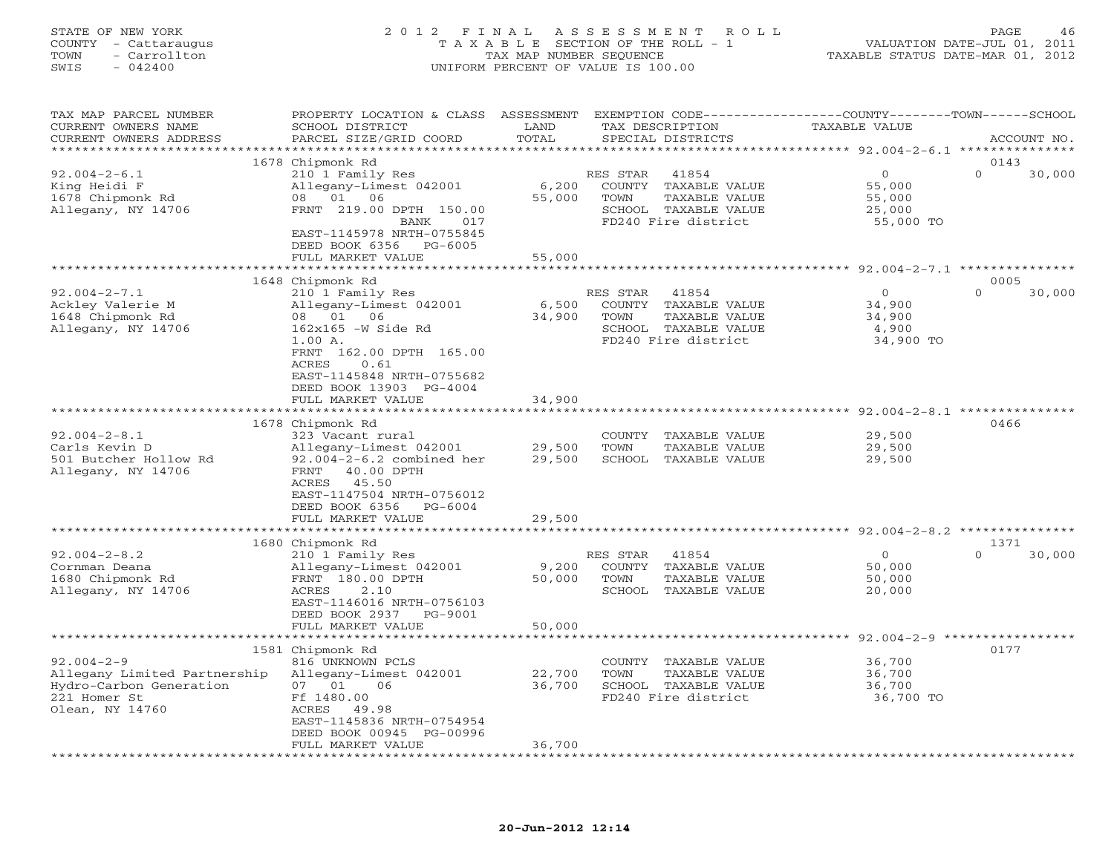# STATE OF NEW YORK 2 0 1 2 F I N A L A S S E S S M E N T R O L L PAGE 46 COUNTY - Cattaraugus T A X A B L E SECTION OF THE ROLL - 1 VALUATION DATE-JUL 01, 2011 TOWN - Carrollton TAX MAP NUMBER SEQUENCE TAXABLE STATUS DATE-MAR 01, 2012 SWIS - 042400 UNIFORM PERCENT OF VALUE IS 100.00UNIFORM PERCENT OF VALUE IS 100.00

| TAX MAP PARCEL NUMBER<br>CURRENT OWNERS NAME | PROPERTY LOCATION & CLASS ASSESSMENT<br>SCHOOL DISTRICT  | LAND                  |             | TAX DESCRIPTION      | EXEMPTION CODE-----------------COUNTY-------TOWN------SCHOOL<br>TAXABLE VALUE |                    |
|----------------------------------------------|----------------------------------------------------------|-----------------------|-------------|----------------------|-------------------------------------------------------------------------------|--------------------|
| CURRENT OWNERS ADDRESS                       | PARCEL SIZE/GRID COORD                                   | TOTAL<br>*******      |             | SPECIAL DISTRICTS    | *********** 92.004-2-6.1 ****************                                     | ACCOUNT NO.        |
|                                              | 1678 Chipmonk Rd                                         |                       |             |                      |                                                                               | 0143               |
| $92.004 - 2 - 6.1$                           | 210 1 Family Res                                         |                       | RES STAR    | 41854                | $\circ$                                                                       | $\Omega$<br>30,000 |
| King Heidi F                                 | Allegany-Limest 042001                                   | 6,200                 | COUNTY      | TAXABLE VALUE        | 55,000                                                                        |                    |
| 1678 Chipmonk Rd                             | 08 01 06                                                 | 55,000                | TOWN        | TAXABLE VALUE        | 55,000                                                                        |                    |
| Allegany, NY 14706                           | FRNT 219.00 DPTH 150.00                                  |                       |             | SCHOOL TAXABLE VALUE | 25,000                                                                        |                    |
|                                              | BANK<br>017                                              |                       |             | FD240 Fire district  | 55,000 TO                                                                     |                    |
|                                              | EAST-1145978 NRTH-0755845<br>DEED BOOK 6356<br>$PG-6005$ |                       |             |                      |                                                                               |                    |
|                                              | FULL MARKET VALUE                                        | 55,000                |             |                      |                                                                               |                    |
|                                              |                                                          |                       |             |                      | ********************* 92.004-2-7.1 ***********                                |                    |
|                                              | 1648 Chipmonk Rd                                         |                       |             |                      |                                                                               | 0005               |
| $92.004 - 2 - 7.1$                           | 210 1 Family Res                                         |                       | RES STAR    | 41854                | $\mathbf{0}$                                                                  | $\Omega$<br>30,000 |
| Ackley Valerie M                             | Allegany-Limest 042001                                   | 6,500                 | COUNTY      | TAXABLE VALUE        | 34,900                                                                        |                    |
| 1648 Chipmonk Rd                             | 08 01 06                                                 | 34,900                | <b>TOWN</b> | TAXABLE VALUE        | 34,900                                                                        |                    |
| Allegany, NY 14706                           | $162x165$ -W Side Rd                                     |                       |             | SCHOOL TAXABLE VALUE | 4,900                                                                         |                    |
|                                              | 1.00 A.                                                  |                       |             | FD240 Fire district  | 34,900 TO                                                                     |                    |
|                                              | FRNT 162.00 DPTH 165.00                                  |                       |             |                      |                                                                               |                    |
|                                              | ACRES<br>0.61                                            |                       |             |                      |                                                                               |                    |
|                                              | EAST-1145848 NRTH-0755682<br>DEED BOOK 13903 PG-4004     |                       |             |                      |                                                                               |                    |
|                                              | FULL MARKET VALUE                                        | 34,900                |             |                      |                                                                               |                    |
|                                              | **************************                               |                       |             |                      |                                                                               |                    |
|                                              | 1678 Chipmonk Rd                                         |                       |             |                      |                                                                               | 0466               |
| $92.004 - 2 - 8.1$                           | 323 Vacant rural                                         |                       | COUNTY      | TAXABLE VALUE        | 29,500                                                                        |                    |
| Carls Kevin D                                | Allegany-Limest 042001                                   | 29,500                | <b>TOWN</b> | TAXABLE VALUE        | 29,500                                                                        |                    |
| 501 Butcher Hollow Rd                        | $92.004 - 2 - 6.2$ combined her                          | 29,500                | SCHOOL      | TAXABLE VALUE        | 29,500                                                                        |                    |
| Allegany, NY 14706                           | FRNT<br>40.00 DPTH                                       |                       |             |                      |                                                                               |                    |
|                                              | ACRES<br>45.50                                           |                       |             |                      |                                                                               |                    |
|                                              | EAST-1147504 NRTH-0756012                                |                       |             |                      |                                                                               |                    |
|                                              | DEED BOOK 6356<br>$PG-6004$                              |                       |             |                      |                                                                               |                    |
|                                              | FULL MARKET VALUE                                        | 29,500                |             |                      |                                                                               |                    |
|                                              |                                                          |                       |             |                      | *********** 92.004-2-8.2 *********                                            |                    |
|                                              | 1680 Chipmonk Rd                                         |                       |             |                      |                                                                               | 1371               |
| $92.004 - 2 - 8.2$                           | 210 1 Family Res                                         |                       | RES STAR    | 41854                | $\circ$                                                                       | $\Omega$<br>30,000 |
| Cornman Deana                                | Allegany-Limest 042001                                   | 9,200                 |             | COUNTY TAXABLE VALUE | 50,000                                                                        |                    |
| 1680 Chipmonk Rd                             | FRNT 180.00 DPTH                                         | 50,000                | TOWN        | TAXABLE VALUE        | 50,000                                                                        |                    |
| Allegany, NY 14706                           | 2.10<br>ACRES<br>EAST-1146016 NRTH-0756103               |                       |             | SCHOOL TAXABLE VALUE | 20,000                                                                        |                    |
|                                              | DEED BOOK 2937<br>PG-9001                                |                       |             |                      |                                                                               |                    |
|                                              | FULL MARKET VALUE                                        | 50,000                |             |                      |                                                                               |                    |
|                                              | ***********************                                  | * * * * * * * * * * * |             |                      | ************************ 92.004-2-9 ******************                        |                    |
|                                              | 1581 Chipmonk Rd                                         |                       |             |                      |                                                                               | 0177               |
| $92.004 - 2 - 9$                             | 816 UNKNOWN PCLS                                         |                       |             | COUNTY TAXABLE VALUE | 36,700                                                                        |                    |
| Allegany Limited Partnership                 | Allegany-Limest 042001                                   | 22,700                | TOWN        | TAXABLE VALUE        | 36,700                                                                        |                    |
| Hydro-Carbon Generation                      | 07 01<br>06                                              | 36,700                |             | SCHOOL TAXABLE VALUE | 36,700                                                                        |                    |
| 221 Homer St                                 | Ff 1480.00                                               |                       |             | FD240 Fire district  | 36,700 TO                                                                     |                    |
| Olean, NY 14760                              | ACRES 49.98                                              |                       |             |                      |                                                                               |                    |
|                                              | EAST-1145836 NRTH-0754954                                |                       |             |                      |                                                                               |                    |
|                                              | DEED BOOK 00945 PG-00996                                 |                       |             |                      |                                                                               |                    |
|                                              | FULL MARKET VALUE                                        | 36,700                |             |                      |                                                                               |                    |
|                                              |                                                          |                       |             |                      |                                                                               |                    |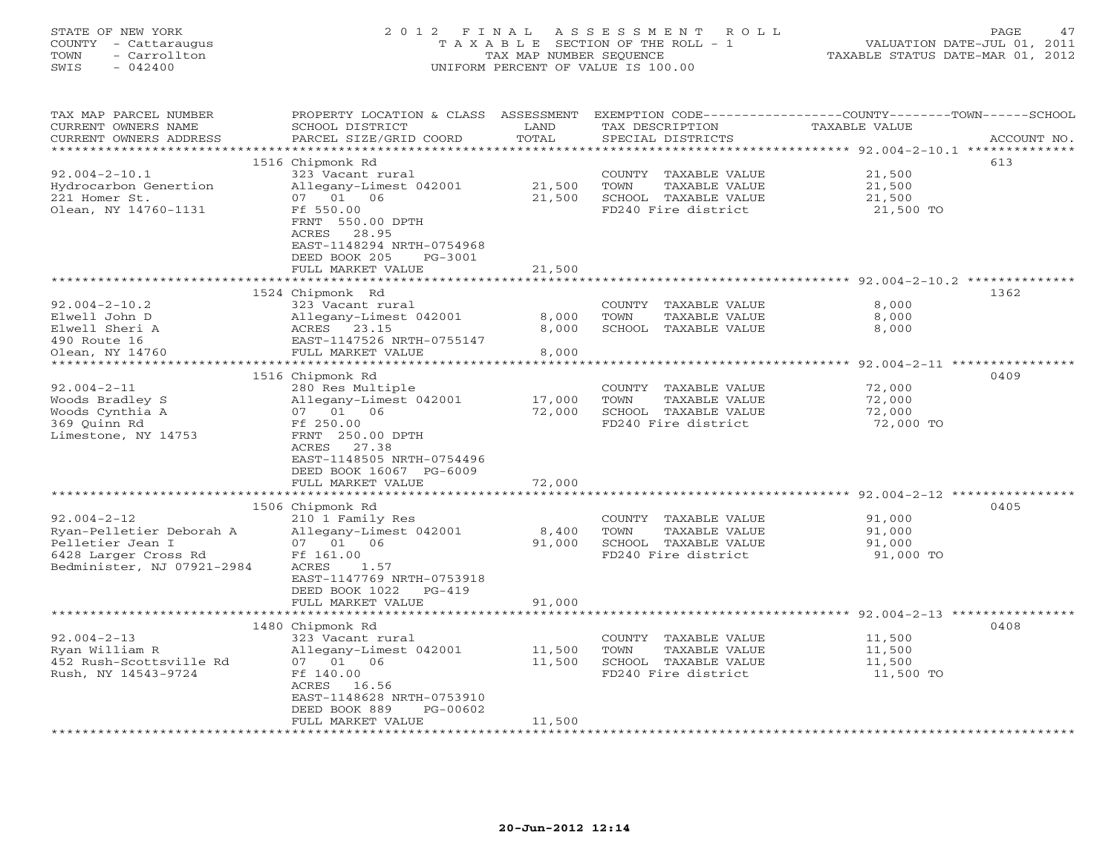| COUNTY<br>- Cattaraugus<br>TOWN<br>- Carrollton<br>$-042400$<br>SWIS                                                    | T A X A B L E SECTION OF THE ROLL - 1<br>TAX MAP NUMBER SEQUENCE<br>UNIFORM PERCENT OF VALUE IS 100.00                                                                                                                              | TAXABLE STATUS DATE-MAR 01, 2012                | VALUATION DATE-JUL 01, 2011                                                                  |                                                                     |             |
|-------------------------------------------------------------------------------------------------------------------------|-------------------------------------------------------------------------------------------------------------------------------------------------------------------------------------------------------------------------------------|-------------------------------------------------|----------------------------------------------------------------------------------------------|---------------------------------------------------------------------|-------------|
| TAX MAP PARCEL NUMBER<br>CURRENT OWNERS NAME<br>CURRENT OWNERS ADDRESS<br>**********************                        | PROPERTY LOCATION & CLASS ASSESSMENT EXEMPTION CODE----------------COUNTY-------TOWN------SCHOOL<br>SCHOOL DISTRICT<br>PARCEL SIZE/GRID COORD                                                                                       | LAND<br>TOTAL                                   | TAX DESCRIPTION<br>SPECIAL DISTRICTS                                                         | TAXABLE VALUE                                                       | ACCOUNT NO. |
|                                                                                                                         | 1516 Chipmonk Rd                                                                                                                                                                                                                    |                                                 |                                                                                              |                                                                     | 613         |
| $92.004 - 2 - 10.1$<br>Hydrocarbon Genertion<br>221 Homer St.<br>Olean, NY 14760-1131                                   | 323 Vacant rural<br>Allegany-Limest 042001<br>07 01 06<br>Ff 550.00<br>FRNT 550.00 DPTH<br>ACRES 28.95<br>EAST-1148294 NRTH-0754968<br>DEED BOOK 205<br>PG-3001<br>FULL MARKET VALUE                                                | 21,500<br>21,500<br>21,500                      | COUNTY TAXABLE VALUE<br>TOWN<br>TAXABLE VALUE<br>SCHOOL TAXABLE VALUE<br>FD240 Fire district | 21,500<br>21,500<br>21,500<br>21,500 TO                             |             |
|                                                                                                                         | *******************                                                                                                                                                                                                                 | **************                                  |                                                                                              |                                                                     |             |
| $92.004 - 2 - 10.2$<br>Elwell John D<br>Elwell Sheri A<br>490 Route 16<br>Olean, NY 14760<br>****************           | 1524 Chipmonk Rd<br>323 Vacant rural<br>Allegany-Limest 042001<br>ACRES 23.15<br>EAST-1147526 NRTH-0755147<br>FULL MARKET VALUE<br>************************                                                                         | 8,000<br>8,000<br>8,000<br>* * * * * * * * * *  | COUNTY TAXABLE VALUE<br>TOWN<br>TAXABLE VALUE<br>SCHOOL TAXABLE VALUE                        | 8,000<br>8,000<br>8,000<br>********** 92.004-2-11 ***************** | 1362        |
|                                                                                                                         | 1516 Chipmonk Rd                                                                                                                                                                                                                    |                                                 |                                                                                              |                                                                     | 0409        |
| $92.004 - 2 - 11$<br>Woods Bradley S<br>Woods Cynthia A<br>369 Quinn Rd<br>Limestone, NY 14753                          | 280 Res Multiple<br>Allegany-Limest 042001<br>07 01 06<br>Ff 250.00<br>FRNT 250.00 DPTH<br>ACRES 27.38<br>EAST-1148505 NRTH-0754496<br>DEED BOOK 16067 PG-6009                                                                      | 17,000<br>72,000                                | COUNTY TAXABLE VALUE<br>TOWN<br>TAXABLE VALUE<br>SCHOOL TAXABLE VALUE<br>FD240 Fire district | 72,000<br>72,000<br>72,000<br>72,000 TO                             |             |
|                                                                                                                         | FULL MARKET VALUE                                                                                                                                                                                                                   | 72,000                                          |                                                                                              |                                                                     |             |
| $92.004 - 2 - 12$<br>Ryan-Pelletier Deborah A<br>Pelletier Jean I<br>6428 Larger Cross Rd<br>Bedminister, NJ 07921-2984 | 1506 Chipmonk Rd<br>210 1 Family Res<br>Allegany-Limest 042001<br>07 01 06<br>Ff 161.00<br>ACRES<br>1.57<br>EAST-1147769 NRTH-0753918<br>DEED BOOK 1022<br>PG-419<br>FULL MARKET VALUE                                              | 8,400<br>91,000<br>91,000                       | COUNTY TAXABLE VALUE<br>TOWN<br>TAXABLE VALUE<br>SCHOOL TAXABLE VALUE<br>FD240 Fire district | 91,000<br>91,000<br>91,000<br>91,000 TO                             | 0405        |
|                                                                                                                         |                                                                                                                                                                                                                                     |                                                 |                                                                                              |                                                                     |             |
| $92.004 - 2 - 13$<br>Ryan William R<br>452 Rush-Scottsville Rd<br>Rush, NY 14543-9724<br>**********************         | 1480 Chipmonk Rd<br>323 Vacant rural<br>Allegany-Limest 042001<br>07 01 06<br>Ff 140.00<br>ACRES<br>16.56<br>EAST-1148628 NRTH-0753910<br>DEED BOOK 889<br>PG-00602<br>FULL MARKET VALUE<br>* * * * * * * * * * * * * * * * * * * * | 11,500<br>11,500<br>11,500<br>* * * * * * * * * | COUNTY TAXABLE VALUE<br>TOWN<br>TAXABLE VALUE<br>SCHOOL TAXABLE VALUE<br>FD240 Fire district | 11,500<br>11,500<br>11,500<br>11,500 TO                             | 0408        |

STATE OF NEW YORK 2 0 1 2 F I N A L A S S E S S M E N T R O L L PAGE 47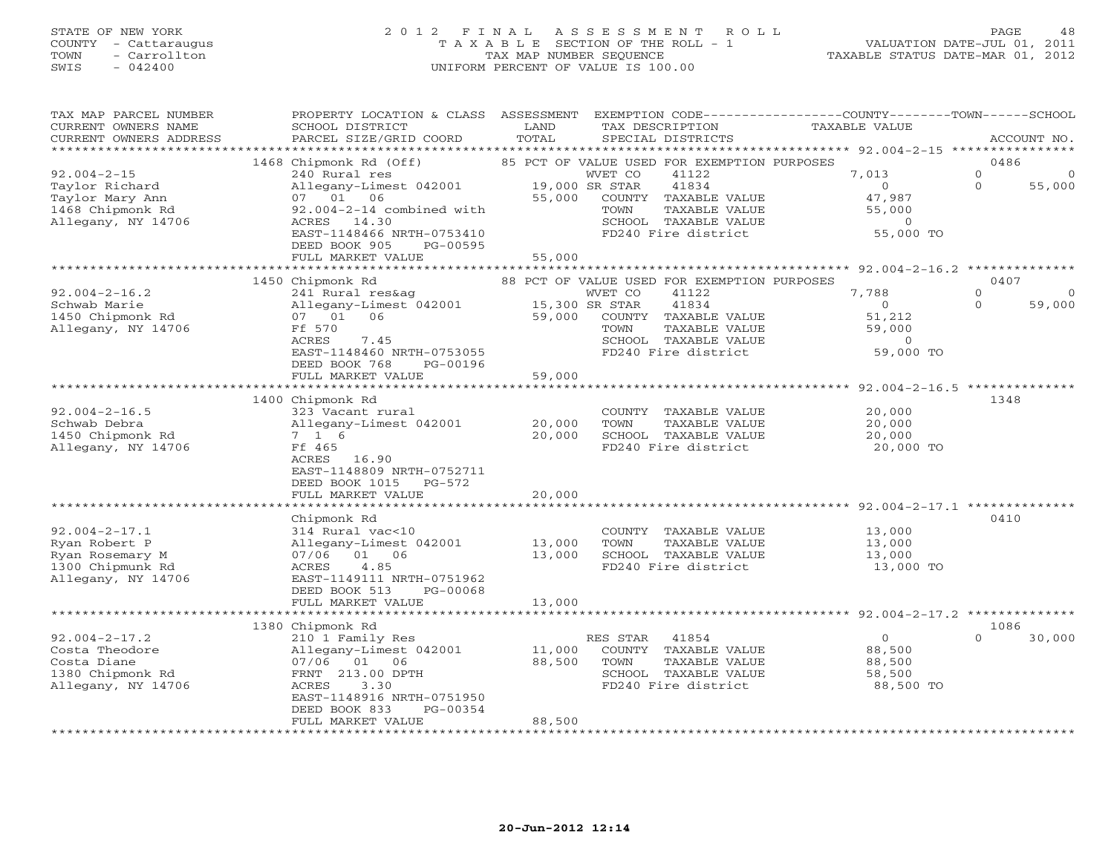#### STATE OF NEW YORK 2 0 1 2 F I N A L A S S E S S M E N T R O L L PAGE 48 COUNTY - Cattaraugus T A X A B L E SECTION OF THE ROLL - 1 VALUATION DATE-JUL 01, 2011 TOWN - Carrollton TAX MAP NUMBER SEQUENCE TAXABLE STATUS DATE-MAR 01, 2012 SWIS - 042400 UNIFORM PERCENT OF VALUE IS 100.00UNIFORM PERCENT OF VALUE IS 100.00

| TAX MAP PARCEL NUMBER<br>CURRENT OWNERS NAME<br>CURRENT OWNERS ADDRESS                            | PROPERTY LOCATION & CLASS ASSESSMENT<br>SCHOOL DISTRICT<br>PARCEL SIZE/GRID COORD                                                                                                                              | LAND<br>TOTAL                      | TAX DESCRIPTION<br>SPECIAL DISTRICTS                                                                                                                                        | EXEMPTION CODE-----------------COUNTY-------TOWN-----SCHOOL<br>TAXABLE VALUE                                        | ACCOUNT NO.                                        |
|---------------------------------------------------------------------------------------------------|----------------------------------------------------------------------------------------------------------------------------------------------------------------------------------------------------------------|------------------------------------|-----------------------------------------------------------------------------------------------------------------------------------------------------------------------------|---------------------------------------------------------------------------------------------------------------------|----------------------------------------------------|
| $92.004 - 2 - 15$<br>Taylor Richard<br>Taylor Mary Ann<br>1468 Chipmonk Rd<br>Allegany, NY 14706  | 1468 Chipmonk Rd (Off)<br>240 Rural res<br>Allegany-Limest 042001<br>07 01 06<br>$92.004 - 2 - 14$ combined with<br>ACRES 14.30<br>EAST-1148466 NRTH-0753410<br>DEED BOOK 905<br>PG-00595<br>FULL MARKET VALUE | 19,000 SR STAR<br>55,000<br>55,000 | 85 PCT OF VALUE USED FOR EXEMPTION PURPOSES<br>WVET CO<br>41122<br>41834<br>COUNTY TAXABLE VALUE<br>TOWN<br>TAXABLE VALUE<br>SCHOOL TAXABLE VALUE<br>FD240 Fire district    | 7,013<br>$\circ$<br>47,987<br>55,000<br>$\circ$<br>55,000 TO                                                        | 0486<br>$\circ$<br>0<br>55,000<br>$\Omega$         |
| $92.004 - 2 - 16.2$<br>Schwab Marie<br>1450 Chipmonk Rd<br>Allegany, NY 14706                     | 1450 Chipmonk Rd<br>241 Rural res&ag<br>Allegany-Limest 042001<br>06<br>07 01<br>Ff 570<br>ACRES<br>7.45<br>EAST-1148460 NRTH-0753055<br>DEED BOOK 768<br>PG-00196<br>FULL MARKET VALUE                        | 15,300 SR STAR<br>59,000<br>59,000 | 88 PCT OF VALUE USED FOR EXEMPTION PURPOSES<br>41122<br>WVET CO<br>41834<br>COUNTY<br>TAXABLE VALUE<br>TAXABLE VALUE<br>TOWN<br>SCHOOL TAXABLE VALUE<br>FD240 Fire district | ******************** 92.004-2-16.2 *********<br>7,788<br>$\overline{0}$<br>51,212<br>59,000<br>$\circ$<br>59,000 TO | 0407<br>$\Omega$<br>$\Omega$<br>$\Omega$<br>59,000 |
| $92.004 - 2 - 16.5$<br>Schwab Debra<br>1450 Chipmonk Rd<br>Allegany, NY 14706                     | 1400 Chipmonk Rd<br>323 Vacant rural<br>Allegany-Limest 042001<br>7 1 6<br>Ff 465<br>ACRES 16.90<br>EAST-1148809 NRTH-0752711<br>PG-572<br>DEED BOOK 1015<br>FULL MARKET VALUE                                 | 20,000<br>20,000<br>20,000         | COUNTY TAXABLE VALUE<br>TOWN<br>TAXABLE VALUE<br>SCHOOL TAXABLE VALUE<br>FD240 Fire district                                                                                | **************** 92.004-2-16.5 **************<br>20,000<br>20,000<br>20,000<br>20,000 TO                            | 1348                                               |
| $92.004 - 2 - 17.1$<br>Ryan Robert P<br>Ryan Rosemary M<br>1300 Chipmunk Rd<br>Allegany, NY 14706 | Chipmonk Rd<br>314 Rural vac<10<br>Allegany-Limest 042001<br>07/06 01 06<br>4.85<br>ACRES<br>EAST-1149111 NRTH-0751962<br>DEED BOOK 513<br>PG-00068<br>FULL MARKET VALUE                                       | 13,000<br>13,000<br>13,000         | COUNTY TAXABLE VALUE<br>TOWN<br>TAXABLE VALUE<br>SCHOOL TAXABLE VALUE<br>FD240 Fire district                                                                                | 13,000<br>13,000<br>13,000<br>13,000 TO                                                                             | 0410                                               |
| $92.004 - 2 - 17.2$<br>Costa Theodore<br>Costa Diane<br>1380 Chipmonk Rd<br>Allegany, NY 14706    | 1380 Chipmonk Rd<br>210 1 Family Res<br>Allegany-Limest 042001<br>07/06 01<br>06<br>FRNT 213.00 DPTH<br>3.30<br>ACRES<br>EAST-1148916 NRTH-0751950<br>DEED BOOK 833<br>PG-00354<br>FULL MARKET VALUE           | 11,000<br>88,500<br>88,500         | RES STAR<br>41854<br>COUNTY TAXABLE VALUE<br>TOWN<br>TAXABLE VALUE<br>SCHOOL TAXABLE VALUE<br>FD240 Fire district<br>******************************                         | $\circ$<br>88,500<br>88,500<br>58,500<br>88,500 TO                                                                  | 1086<br>$\Omega$<br>30,000                         |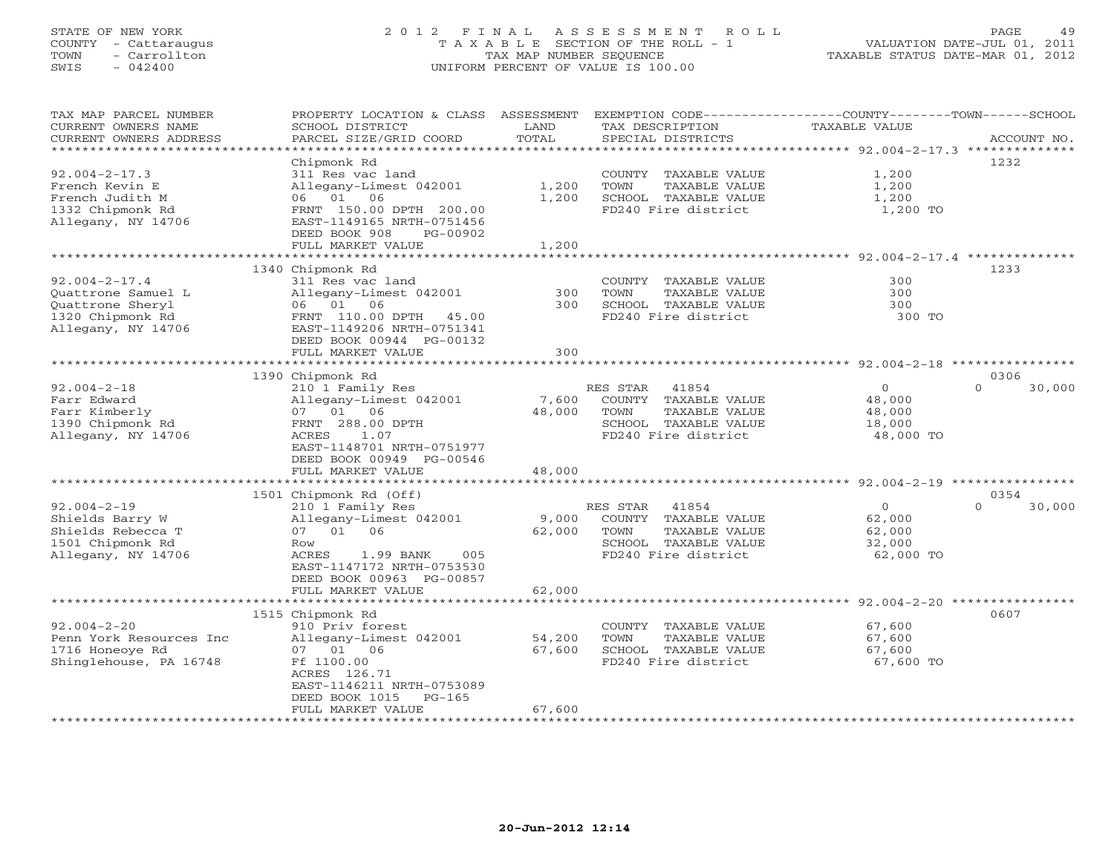# STATE OF NEW YORK 2 0 1 2 F I N A L A S S E S S M E N T R O L L PAGE 49 COUNTY - Cattaraugus T A X A B L E SECTION OF THE ROLL - 1 VALUATION DATE-JUL 01, 2011 TOWN - Carrollton TAX MAP NUMBER SEQUENCE TAXABLE STATUS DATE-MAR 01, 2012 SWIS - 042400 UNIFORM PERCENT OF VALUE IS 100.00UNIFORM PERCENT OF VALUE IS 100.00

| TAX MAP PARCEL NUMBER<br>CURRENT OWNERS NAME<br>CURRENT OWNERS ADDRESS | PROPERTY LOCATION & CLASS ASSESSMENT<br>SCHOOL DISTRICT<br>PARCEL SIZE/GRID COORD | LAND<br>TOTAL                  | EXEMPTION CODE-----------------COUNTY-------TOWN------SCHOOL<br>TAX DESCRIPTION<br>SPECIAL DISTRICTS | TAXABLE VALUE                                       | ACCOUNT NO.        |
|------------------------------------------------------------------------|-----------------------------------------------------------------------------------|--------------------------------|------------------------------------------------------------------------------------------------------|-----------------------------------------------------|--------------------|
| *******************                                                    |                                                                                   |                                |                                                                                                      |                                                     |                    |
|                                                                        | Chipmonk Rd                                                                       |                                |                                                                                                      |                                                     | 1232               |
| $92.004 - 2 - 17.3$                                                    | 311 Res vac land                                                                  |                                | COUNTY TAXABLE VALUE                                                                                 | 1,200                                               |                    |
| French Kevin E<br>French Judith M                                      | Allegany-Limest 042001<br>06 01 06                                                | 1,200<br>1,200                 | TOWN<br>TAXABLE VALUE<br>SCHOOL TAXABLE VALUE                                                        | 1,200<br>1,200                                      |                    |
| 1332 Chipmonk Rd                                                       | FRNT 150.00 DPTH 200.00                                                           |                                | FD240 Fire district                                                                                  | 1,200 TO                                            |                    |
| Allegany, NY 14706                                                     | EAST-1149165 NRTH-0751456                                                         |                                |                                                                                                      |                                                     |                    |
|                                                                        | DEED BOOK 908<br>PG-00902                                                         |                                |                                                                                                      |                                                     |                    |
|                                                                        | FULL MARKET VALUE                                                                 | 1,200                          |                                                                                                      |                                                     |                    |
|                                                                        | 1340 Chipmonk Rd                                                                  |                                |                                                                                                      |                                                     | 1233               |
| $92.004 - 2 - 17.4$                                                    | 311 Res vac land                                                                  |                                | COUNTY TAXABLE VALUE                                                                                 | 300                                                 |                    |
| Quattrone Samuel L                                                     | Allegany-Limest 042001                                                            | 300                            | TOWN<br>TAXABLE VALUE                                                                                | 300                                                 |                    |
| Quattrone Sheryl                                                       | 06 01 06                                                                          | 300                            | SCHOOL TAXABLE VALUE                                                                                 | 300                                                 |                    |
| 1320 Chipmonk Rd                                                       | FRNT 110.00 DPTH<br>45.00                                                         |                                | FD240 Fire district                                                                                  | 300 TO                                              |                    |
| Allegany, NY 14706                                                     | EAST-1149206 NRTH-0751341                                                         |                                |                                                                                                      |                                                     |                    |
|                                                                        | DEED BOOK 00944 PG-00132                                                          |                                |                                                                                                      |                                                     |                    |
|                                                                        | FULL MARKET VALUE<br>*********************                                        | 300<br>* * * * * * * * * * * * |                                                                                                      |                                                     |                    |
|                                                                        |                                                                                   |                                |                                                                                                      | ********************* 92.004-2-18 ***************** | 0306               |
| $92.004 - 2 - 18$                                                      | 1390 Chipmonk Rd<br>210 1 Family Res                                              |                                | RES STAR<br>41854                                                                                    | $\circ$                                             | 30,000<br>$\Omega$ |
| Farr Edward                                                            | Allegany-Limest 042001                                                            | 7,600                          | COUNTY TAXABLE VALUE                                                                                 | 48,000                                              |                    |
| Farr Kimberly                                                          | 07 01 06                                                                          | 48,000                         | TAXABLE VALUE<br>TOWN                                                                                | 48,000                                              |                    |
| 1390 Chipmonk Rd                                                       | FRNT 288.00 DPTH                                                                  |                                | SCHOOL TAXABLE VALUE                                                                                 | 18,000                                              |                    |
| Allegany, NY 14706                                                     | ACRES<br>1.07                                                                     |                                | FD240 Fire district                                                                                  | 48,000 TO                                           |                    |
|                                                                        | EAST-1148701 NRTH-0751977                                                         |                                |                                                                                                      |                                                     |                    |
|                                                                        | DEED BOOK 00949 PG-00546                                                          |                                |                                                                                                      |                                                     |                    |
|                                                                        | FULL MARKET VALUE                                                                 | 48,000                         |                                                                                                      |                                                     |                    |
|                                                                        | 1501 Chipmonk Rd (Off)                                                            |                                |                                                                                                      |                                                     | 0354               |
| $92.004 - 2 - 19$                                                      | 210 1 Family Res                                                                  |                                | 41854<br>RES STAR                                                                                    | $\overline{0}$                                      | 30,000<br>$\Omega$ |
| Shields Barry W                                                        | Allegany-Limest 042001                                                            | 9,000                          | COUNTY TAXABLE VALUE                                                                                 | 62,000                                              |                    |
| Shields Rebecca T                                                      | 07 01 06                                                                          | 62,000                         | TOWN<br>TAXABLE VALUE                                                                                | 62,000                                              |                    |
| 1501 Chipmonk Rd                                                       | Row                                                                               |                                | SCHOOL TAXABLE VALUE                                                                                 | 32,000                                              |                    |
| Allegany, NY 14706                                                     | ACRES<br>1.99 BANK<br>005                                                         |                                | FD240 Fire district                                                                                  | 62,000 TO                                           |                    |
|                                                                        | EAST-1147172 NRTH-0753530                                                         |                                |                                                                                                      |                                                     |                    |
|                                                                        | DEED BOOK 00963 PG-00857                                                          |                                |                                                                                                      |                                                     |                    |
|                                                                        | FULL MARKET VALUE<br>*********************                                        | 62,000                         |                                                                                                      |                                                     |                    |
|                                                                        | 1515 Chipmonk Rd                                                                  |                                |                                                                                                      |                                                     | 0607               |
| $92.004 - 2 - 20$                                                      | 910 Priv forest                                                                   |                                | COUNTY TAXABLE VALUE                                                                                 | 67,600                                              |                    |
| Penn York Resources Inc                                                | Allegany-Limest 042001                                                            | 54,200                         | TOWN<br><b>TAXABLE VALUE</b>                                                                         | 67,600                                              |                    |
| 1716 Honeoye Rd                                                        | 07 01 06                                                                          | 67,600                         | SCHOOL TAXABLE VALUE                                                                                 | 67,600                                              |                    |
| Shinglehouse, PA 16748                                                 | Ff 1100.00                                                                        |                                | FD240 Fire district                                                                                  | 67,600 TO                                           |                    |
|                                                                        | ACRES 126.71                                                                      |                                |                                                                                                      |                                                     |                    |
|                                                                        | EAST-1146211 NRTH-0753089                                                         |                                |                                                                                                      |                                                     |                    |
|                                                                        | DEED BOOK 1015<br>$PG-165$                                                        |                                |                                                                                                      |                                                     |                    |
|                                                                        | FULL MARKET VALUE<br>********************                                         | 67,600                         |                                                                                                      |                                                     |                    |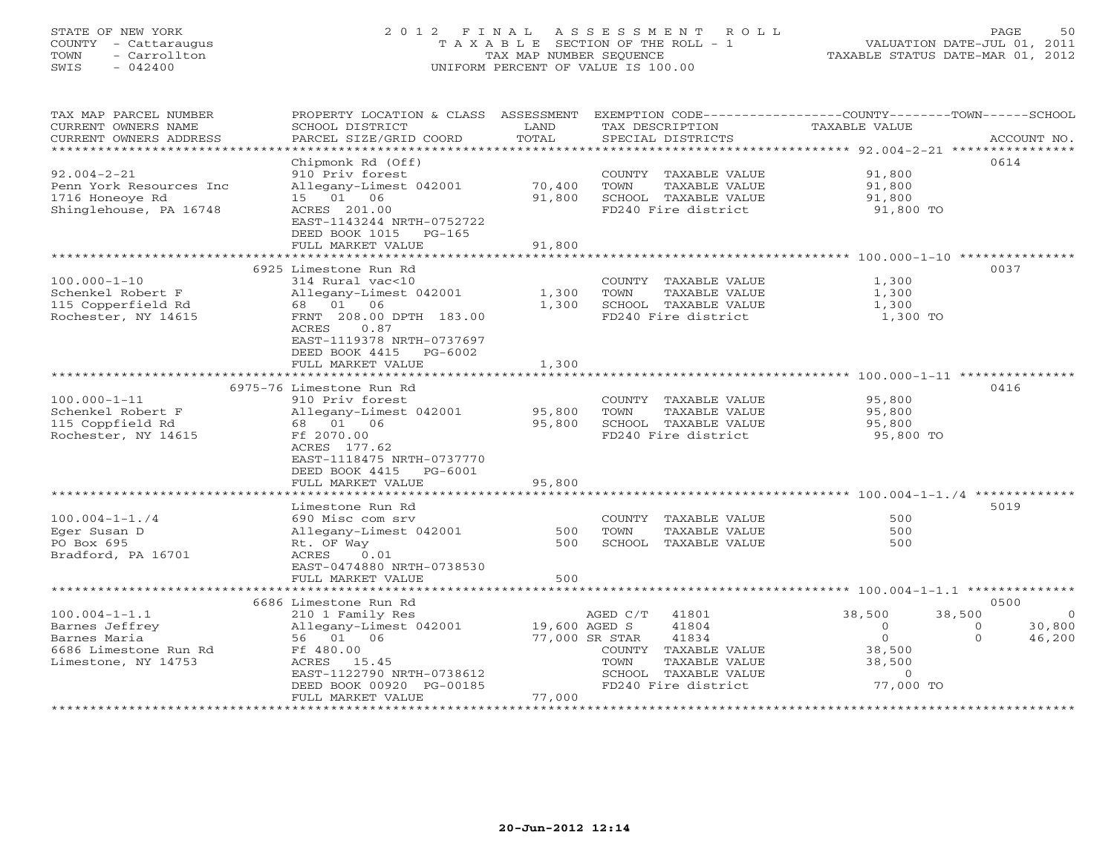# STATE OF NEW YORK 2 0 1 2 F I N A L A S S E S S M E N T R O L L PAGE 50 COUNTY - Cattaraugus T A X A B L E SECTION OF THE ROLL - 1 VALUATION DATE-JUL 01, 2011 TOWN - Carrollton TAX MAP NUMBER SEQUENCE TAXABLE STATUS DATE-MAR 01, 2012 SWIS - 042400 UNIFORM PERCENT OF VALUE IS 100.00UNIFORM PERCENT OF VALUE IS 100.00

| TAX MAP PARCEL NUMBER<br>CURRENT OWNERS NAME<br>CURRENT OWNERS ADDRESS | PROPERTY LOCATION & CLASS ASSESSMENT EXEMPTION CODE----------------COUNTY-------TOWN------SCHOOL<br>SCHOOL DISTRICT<br>PARCEL SIZE/GRID COORD | LAND<br>TOTAL | TAX DESCRIPTION<br>SPECIAL DISTRICTS | TAXABLE VALUE                | ACCOUNT NO.        |
|------------------------------------------------------------------------|-----------------------------------------------------------------------------------------------------------------------------------------------|---------------|--------------------------------------|------------------------------|--------------------|
|                                                                        |                                                                                                                                               |               |                                      |                              |                    |
|                                                                        | Chipmonk Rd (Off)                                                                                                                             |               |                                      |                              | 0614               |
| $92.004 - 2 - 21$                                                      | 910 Priv forest                                                                                                                               |               | COUNTY TAXABLE VALUE                 | 91,800                       |                    |
| Penn York Resources Inc                                                | Allegany-Limest 042001                                                                                                                        | 70,400        | TOWN<br>TAXABLE VALUE                | 91,800                       |                    |
| 1716 Honeoye Rd                                                        | 15 01 06                                                                                                                                      | 91,800        | SCHOOL TAXABLE VALUE                 | 91,800                       |                    |
| Shinglehouse, PA 16748                                                 | ACRES 201.00                                                                                                                                  |               | FD240 Fire district                  | 91,800 TO                    |                    |
|                                                                        | EAST-1143244 NRTH-0752722                                                                                                                     |               |                                      |                              |                    |
|                                                                        | DEED BOOK 1015 PG-165                                                                                                                         |               |                                      |                              |                    |
|                                                                        | FULL MARKET VALUE                                                                                                                             | 91,800        |                                      |                              |                    |
|                                                                        | 6925 Limestone Run Rd                                                                                                                         |               |                                      |                              | 0037               |
| $100.000 - 1 - 10$                                                     | 314 Rural vac<10                                                                                                                              |               | COUNTY TAXABLE VALUE                 | 1,300                        |                    |
| Schenkel Robert F                                                      | Allegany-Limest 042001                                                                                                                        | 1,300         | TOWN<br>TAXABLE VALUE                | 1,300                        |                    |
| 115 Copperfield Rd                                                     | 68 01 06                                                                                                                                      | 1,300         | SCHOOL TAXABLE VALUE                 | 1,300                        |                    |
| Rochester, NY 14615                                                    | FRNT 208.00 DPTH 183.00                                                                                                                       |               | FD240 Fire district                  | 1,300 TO                     |                    |
|                                                                        | 0.87<br>ACRES                                                                                                                                 |               |                                      |                              |                    |
|                                                                        | EAST-1119378 NRTH-0737697                                                                                                                     |               |                                      |                              |                    |
|                                                                        | DEED BOOK 4415<br>PG-6002                                                                                                                     |               |                                      |                              |                    |
|                                                                        | FULL MARKET VALUE                                                                                                                             | 1,300         |                                      |                              |                    |
|                                                                        | *********************************                                                                                                             |               |                                      |                              |                    |
|                                                                        | 6975-76 Limestone Run Rd                                                                                                                      |               |                                      |                              | 0416               |
| $100.000 - 1 - 11$                                                     | 910 Priv forest                                                                                                                               |               | COUNTY TAXABLE VALUE                 | 95,800                       |                    |
| Schenkel Robert F                                                      | Allegany-Limest 042001                                                                                                                        | 95,800        | TOWN<br>TAXABLE VALUE                | 95,800                       |                    |
| 115 Coppfield Rd                                                       | 68 01 06                                                                                                                                      | 95,800        | SCHOOL TAXABLE VALUE                 | 95,800                       |                    |
| Rochester, NY 14615                                                    | Ff 2070.00                                                                                                                                    |               | FD240 Fire district                  | 95,800 TO                    |                    |
|                                                                        | ACRES 177.62<br>EAST-1118475 NRTH-0737770                                                                                                     |               |                                      |                              |                    |
|                                                                        | DEED BOOK 4415<br>PG-6001                                                                                                                     |               |                                      |                              |                    |
|                                                                        | FULL MARKET VALUE                                                                                                                             | 95,800        |                                      |                              |                    |
|                                                                        | *******************                                                                                                                           |               |                                      |                              |                    |
|                                                                        | Limestone Run Rd                                                                                                                              |               |                                      |                              | 5019               |
| $100.004 - 1 - 1.74$                                                   | 690 Misc com srv                                                                                                                              |               | COUNTY TAXABLE VALUE                 | 500                          |                    |
| Eger Susan D                                                           | Allegany-Limest 042001                                                                                                                        | 500           | TAXABLE VALUE<br>TOWN                | 500                          |                    |
| PO Box 695                                                             | Rt. OF Way                                                                                                                                    | 500           | SCHOOL TAXABLE VALUE                 | 500                          |                    |
| Bradford, PA 16701                                                     | 0.01<br>ACRES                                                                                                                                 |               |                                      |                              |                    |
|                                                                        | EAST-0474880 NRTH-0738530                                                                                                                     |               |                                      |                              |                    |
|                                                                        | FULL MARKET VALUE                                                                                                                             | 500           |                                      |                              |                    |
|                                                                        |                                                                                                                                               |               |                                      |                              |                    |
|                                                                        | 6686 Limestone Run Rd                                                                                                                         |               |                                      |                              | 0500<br>$\Omega$   |
| $100.004 - 1 - 1.1$<br>Barnes Jeffrey                                  | 210 1 Family Res<br>Allegany-Limest 042001                                                                                                    | 19,600 AGED S | AGED C/T<br>41801<br>41804           | 38,500<br>38,500<br>$\Omega$ | 30,800<br>$\Omega$ |
| Barnes Maria                                                           | 56 01 06                                                                                                                                      |               | 41834<br>77,000 SR STAR              | $\circ$                      | $\Omega$<br>46,200 |
| 6686 Limestone Run Rd                                                  | Ff 480.00                                                                                                                                     |               | COUNTY TAXABLE VALUE                 | 38,500                       |                    |
| Limestone, NY 14753                                                    | ACRES 15.45                                                                                                                                   |               | TAXABLE VALUE<br>TOWN                | 38,500                       |                    |
|                                                                        | EAST-1122790 NRTH-0738612                                                                                                                     |               | SCHOOL TAXABLE VALUE                 | $\circ$                      |                    |
|                                                                        | DEED BOOK 00920 PG-00185                                                                                                                      |               | FD240 Fire district                  | 77,000 TO                    |                    |
|                                                                        | FULL MARKET VALUE                                                                                                                             | 77,000        |                                      |                              |                    |
|                                                                        |                                                                                                                                               |               |                                      |                              |                    |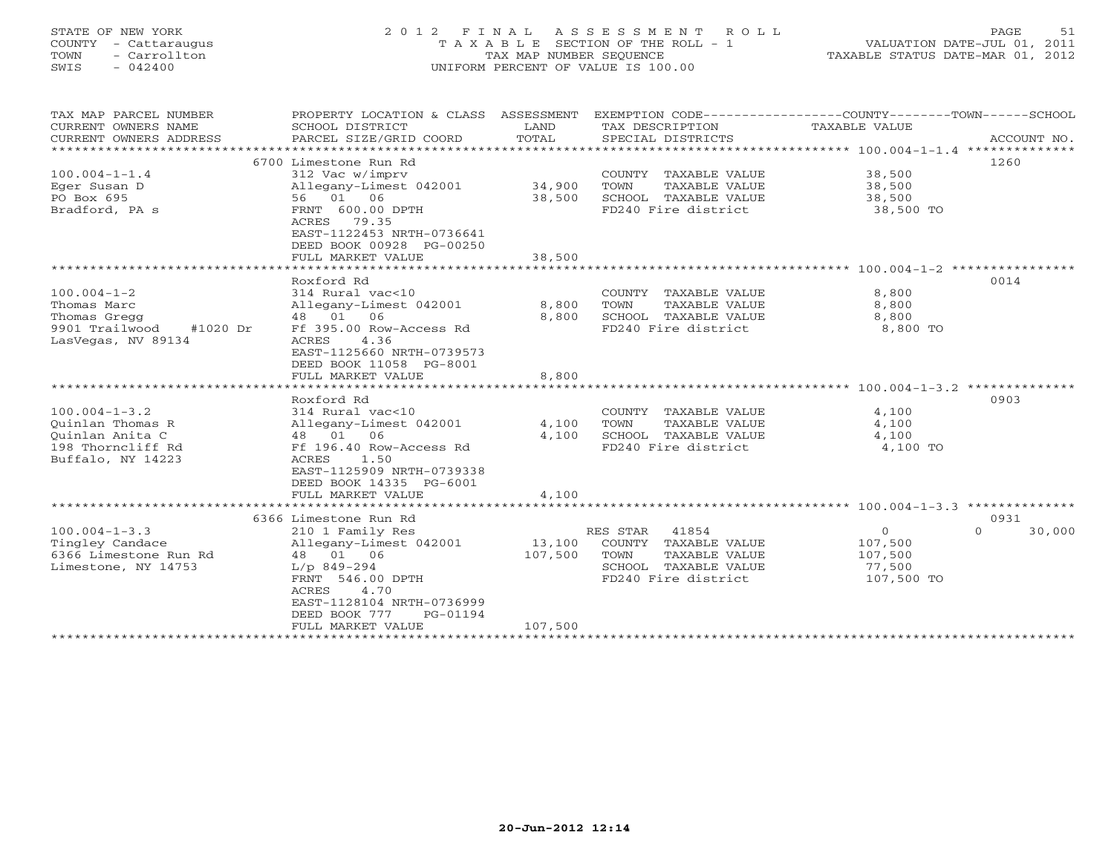# STATE OF NEW YORK 2 0 1 2 F I N A L A S S E S S M E N T R O L L PAGE 51 COUNTY - Cattaraugus T A X A B L E SECTION OF THE ROLL - 1 VALUATION DATE-JUL 01, 2011 TOWN - Carrollton TAX MAP NUMBER SEQUENCE TAXABLE STATUS DATE-MAR 01, 2012 SWIS - 042400 UNIFORM PERCENT OF VALUE IS 100.00UNIFORM PERCENT OF VALUE IS 100.00

| TAX MAP PARCEL NUMBER<br>CURRENT OWNERS NAME<br>CURRENT OWNERS ADDRESS | PROPERTY LOCATION & CLASS ASSESSMENT<br>SCHOOL DISTRICT<br>PARCEL SIZE/GRID COORD | LAND<br>TOTAL | EXEMPTION CODE----------------COUNTY-------TOWN------SCHOOL<br>TAX DESCRIPTION<br>SPECIAL DISTRICTS | TAXABLE VALUE | ACCOUNT NO.        |
|------------------------------------------------------------------------|-----------------------------------------------------------------------------------|---------------|-----------------------------------------------------------------------------------------------------|---------------|--------------------|
|                                                                        |                                                                                   |               |                                                                                                     |               |                    |
|                                                                        | 6700 Limestone Run Rd                                                             |               |                                                                                                     |               | 1260               |
| $100.004 - 1 - 1.4$                                                    | 312 Vac w/imprv                                                                   |               | COUNTY TAXABLE VALUE                                                                                | 38,500        |                    |
| Eger Susan D                                                           | Allegany-Limest 042001                                                            | 34,900        | TOWN<br>TAXABLE VALUE                                                                               | 38,500        |                    |
| PO Box 695                                                             | 56 01 06                                                                          | 38,500        | SCHOOL TAXABLE VALUE                                                                                | 38,500        |                    |
| Bradford, PA s                                                         | FRNT 600.00 DPTH                                                                  |               | FD240 Fire district                                                                                 | 38,500 TO     |                    |
|                                                                        | ACRES<br>79.35                                                                    |               |                                                                                                     |               |                    |
|                                                                        | EAST-1122453 NRTH-0736641                                                         |               |                                                                                                     |               |                    |
|                                                                        | DEED BOOK 00928 PG-00250                                                          |               |                                                                                                     |               |                    |
|                                                                        | FULL MARKET VALUE                                                                 | 38,500        |                                                                                                     |               |                    |
|                                                                        |                                                                                   |               |                                                                                                     |               |                    |
|                                                                        | Roxford Rd                                                                        |               |                                                                                                     |               | 0014               |
| $100.004 - 1 - 2$                                                      | 314 Rural vac<10                                                                  |               | COUNTY TAXABLE VALUE                                                                                | 8,800         |                    |
| Thomas Marc                                                            | Allegany-Limest 042001                                                            | 8,800         | TOWN<br>TAXABLE VALUE                                                                               | 8,800         |                    |
| Thomas Gregg                                                           | 06<br>48 01                                                                       | 8,800         | SCHOOL TAXABLE VALUE                                                                                | 8,800         |                    |
| #1020 Dr<br>9901 Trailwood                                             | Ff 395.00 Row-Access Rd                                                           |               | FD240 Fire district                                                                                 | 8,800 TO      |                    |
| LasVegas, NV 89134                                                     | 4.36<br><b>ACRES</b>                                                              |               |                                                                                                     |               |                    |
|                                                                        | EAST-1125660 NRTH-0739573                                                         |               |                                                                                                     |               |                    |
|                                                                        | DEED BOOK 11058 PG-8001                                                           |               |                                                                                                     |               |                    |
|                                                                        | FULL MARKET VALUE                                                                 | 8,800         |                                                                                                     |               |                    |
|                                                                        |                                                                                   |               |                                                                                                     |               |                    |
|                                                                        | Roxford Rd                                                                        |               |                                                                                                     |               | 0903               |
| $100.004 - 1 - 3.2$                                                    | 314 Rural vac<10                                                                  |               | COUNTY TAXABLE VALUE                                                                                | 4,100         |                    |
| Ouinlan Thomas R                                                       | Allegany-Limest 042001                                                            | 4,100         | TOWN<br>TAXABLE VALUE                                                                               | 4,100         |                    |
| Ouinlan Anita C                                                        | 48 01 06                                                                          | 4,100         | SCHOOL TAXABLE VALUE                                                                                | 4,100         |                    |
| 198 Thorncliff Rd                                                      | Ff 196.40 Row-Access Rd                                                           |               | FD240 Fire district                                                                                 | 4,100 TO      |                    |
| Buffalo, NY 14223                                                      | ACRES<br>1.50                                                                     |               |                                                                                                     |               |                    |
|                                                                        | EAST-1125909 NRTH-0739338                                                         |               |                                                                                                     |               |                    |
|                                                                        | DEED BOOK 14335 PG-6001                                                           |               |                                                                                                     |               |                    |
|                                                                        | FULL MARKET VALUE                                                                 | 4,100         |                                                                                                     |               |                    |
|                                                                        |                                                                                   |               |                                                                                                     |               |                    |
|                                                                        | 6366 Limestone Run Rd                                                             |               |                                                                                                     |               | 0931               |
| $100.004 - 1 - 3.3$                                                    | 210 1 Family Res                                                                  |               | 41854<br>RES STAR                                                                                   | $\circ$       | $\Omega$<br>30,000 |
| Tingley Candace                                                        | Allegany-Limest 042001                                                            | 13,100        | COUNTY TAXABLE VALUE                                                                                | 107,500       |                    |
| 6366 Limestone Run Rd                                                  | 48 01 06                                                                          | 107,500       | TOWN<br>TAXABLE VALUE                                                                               | 107,500       |                    |
| Limestone, NY 14753                                                    | $L/p$ 849-294                                                                     |               | SCHOOL TAXABLE VALUE                                                                                | 77,500        |                    |
|                                                                        | FRNT 546.00 DPTH                                                                  |               | FD240 Fire district                                                                                 | 107,500 TO    |                    |
|                                                                        | 4.70<br>ACRES                                                                     |               |                                                                                                     |               |                    |
|                                                                        | EAST-1128104 NRTH-0736999                                                         |               |                                                                                                     |               |                    |
|                                                                        | DEED BOOK 777<br>PG-01194                                                         |               |                                                                                                     |               |                    |
|                                                                        | FULL MARKET VALUE                                                                 | 107,500       |                                                                                                     |               |                    |
|                                                                        |                                                                                   |               |                                                                                                     |               |                    |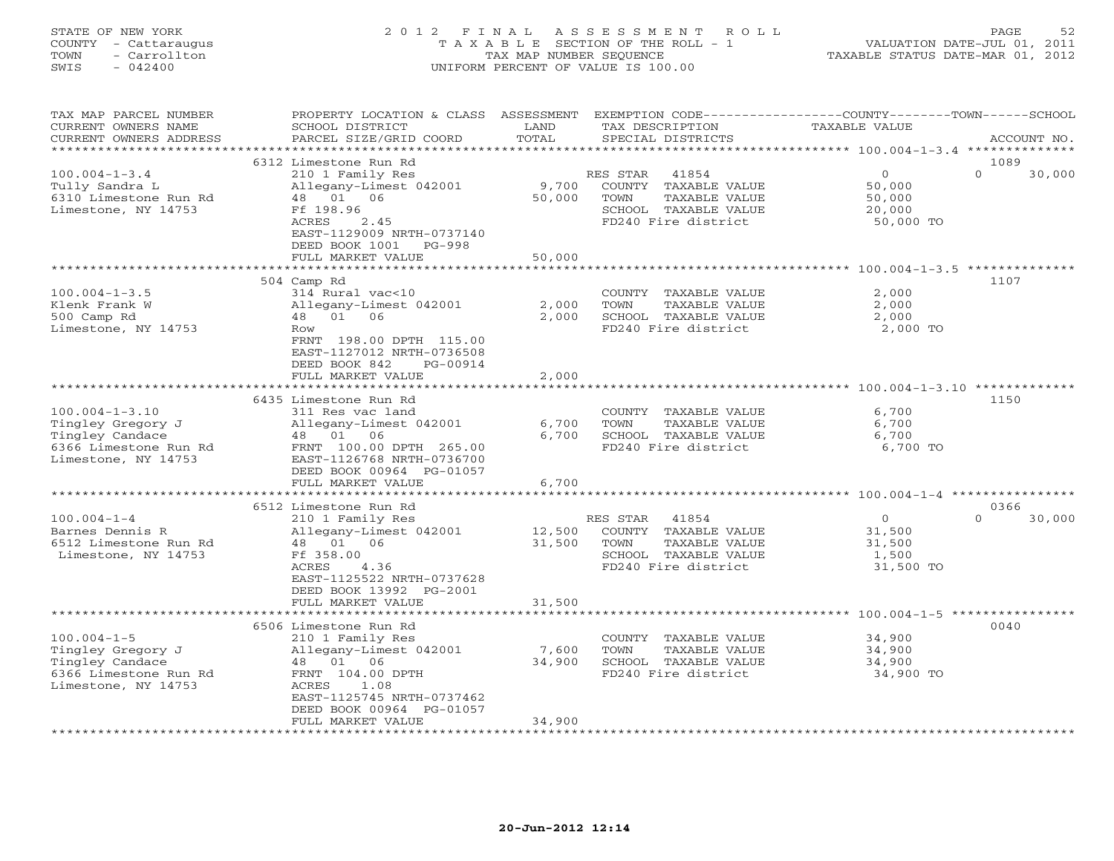## STATE OF NEW YORK 2 0 1 2 F I N A L A S S E S S M E N T R O L L PAGE 52 COUNTY - Cattaraugus T A X A B L E SECTION OF THE ROLL - 1 VALUATION DATE-JUL 01, 2011 TOWN - Carrollton TAX MAP NUMBER SEQUENCE TAXABLE STATUS DATE-MAR 01, 2012 SWIS - 042400 UNIFORM PERCENT OF VALUE IS 100.00UNIFORM PERCENT OF VALUE IS 100.00

| TAX MAP PARCEL NUMBER<br>CURRENT OWNERS NAME<br>CURRENT OWNERS ADDRESS                                                           | PROPERTY LOCATION & CLASS ASSESSMENT<br>SCHOOL DISTRICT<br>PARCEL SIZE/GRID COORD<br><b>++++++++++</b>                                                                                                   | LAND<br>TOTAL              | TAX DESCRIPTION<br>SPECIAL DISTRICTS                                                                                             | EXEMPTION CODE-----------------COUNTY-------TOWN------SCHOOL<br><b>TAXABLE VALUE</b> | ACCOUNT NO.                |
|----------------------------------------------------------------------------------------------------------------------------------|----------------------------------------------------------------------------------------------------------------------------------------------------------------------------------------------------------|----------------------------|----------------------------------------------------------------------------------------------------------------------------------|--------------------------------------------------------------------------------------|----------------------------|
| ********************                                                                                                             |                                                                                                                                                                                                          |                            |                                                                                                                                  |                                                                                      |                            |
| $100.004 - 1 - 3.4$<br>Tully Sandra L<br>6310 Limestone Run Rd<br>Limestone, NY 14753                                            | 6312 Limestone Run Rd<br>210 1 Family Res<br>Allegany-Limest 042001<br>48 01<br>06<br>Ff 198.96<br>ACRES<br>2.45<br>EAST-1129009 NRTH-0737140<br>DEED BOOK 1001<br>$PG-998$<br>FULL MARKET VALUE         | 9,700<br>50,000<br>50,000  | RES STAR<br>41854<br>COUNTY TAXABLE VALUE<br>TOWN<br>TAXABLE VALUE<br>SCHOOL TAXABLE VALUE<br>FD240 Fire district                | $\circ$<br>50,000<br>50,000<br>20,000<br>50,000 TO                                   | 1089<br>$\Omega$<br>30,000 |
|                                                                                                                                  | *****************************                                                                                                                                                                            |                            |                                                                                                                                  |                                                                                      |                            |
| $100.004 - 1 - 3.5$<br>Klenk Frank W<br>500 Camp Rd<br>Limestone, NY 14753                                                       | 504 Camp Rd<br>314 Rural vac<10<br>Allegany-Limest 042001<br>01<br>06<br>48<br>Row<br>FRNT 198.00 DPTH 115.00<br>EAST-1127012 NRTH-0736508<br>DEED BOOK 842<br>PG-00914                                  | 2,000<br>2,000             | COUNTY TAXABLE VALUE<br>TOWN<br>TAXABLE VALUE<br>SCHOOL TAXABLE VALUE<br>FD240 Fire district                                     | 2,000<br>2,000<br>2,000<br>2,000 TO                                                  | 1107                       |
|                                                                                                                                  | FULL MARKET VALUE                                                                                                                                                                                        | 2,000                      |                                                                                                                                  |                                                                                      |                            |
| $100.004 - 1 - 3.10$<br>Tingley Gregory J<br>Tingley Candace<br>6366 Limestone Run Rd<br>Limestone, NY 14753                     | 6435 Limestone Run Rd<br>311 Res vac land<br>Allegany-Limest 042001<br>48 01<br>06<br>FRNT 100.00 DPTH 265.00<br>EAST-1126768 NRTH-0736700<br>DEED BOOK 00964 PG-01057<br>FULL MARKET VALUE              | 6,700<br>6,700<br>6,700    | COUNTY TAXABLE VALUE<br>TOWN<br>TAXABLE VALUE<br>SCHOOL TAXABLE VALUE<br>FD240 Fire district                                     | 6,700<br>6,700<br>6,700<br>6,700 TO                                                  | 1150                       |
|                                                                                                                                  | 6512 Limestone Run Rd                                                                                                                                                                                    |                            |                                                                                                                                  |                                                                                      | 0366                       |
| $100.004 - 1 - 4$<br>Barnes Dennis R<br>6512 Limestone Run Rd<br>Limestone, NY 14753                                             | 210 1 Family Res<br>Allegany-Limest 042001<br>48 01 06<br>Ff 358.00<br>ACRES<br>4.36<br>EAST-1125522 NRTH-0737628<br>DEED BOOK 13992 PG-2001<br>FULL MARKET VALUE                                        | 12,500<br>31,500<br>31,500 | RES STAR<br>41854<br>COUNTY TAXABLE VALUE<br>TOWN<br>TAXABLE VALUE<br>SCHOOL TAXABLE VALUE<br>FD240 Fire district                | $\circ$<br>31,500<br>31,500<br>1,500<br>31,500 TO                                    | $\Omega$<br>30,000         |
|                                                                                                                                  |                                                                                                                                                                                                          |                            |                                                                                                                                  | ******************************* 100.004-1-5 **********                               |                            |
| $100.004 - 1 - 5$<br>Tingley Gregory J<br>Tingley Candace<br>6366 Limestone Run Rd<br>Limestone, NY 14753<br>******************* | 6506 Limestone Run Rd<br>210 1 Family Res<br>Allegany-Limest 042001<br>01<br>06<br>48<br>FRNT 104.00 DPTH<br>ACRES<br>1.08<br>EAST-1125745 NRTH-0737462<br>DEED BOOK 00964 PG-01057<br>FULL MARKET VALUE | 7,600<br>34,900<br>34,900  | COUNTY TAXABLE VALUE<br>TOWN<br>TAXABLE VALUE<br>SCHOOL TAXABLE VALUE<br>FD240 Fire district<br>******************************** | 34,900<br>34,900<br>34,900<br>34,900 TO                                              | 0040                       |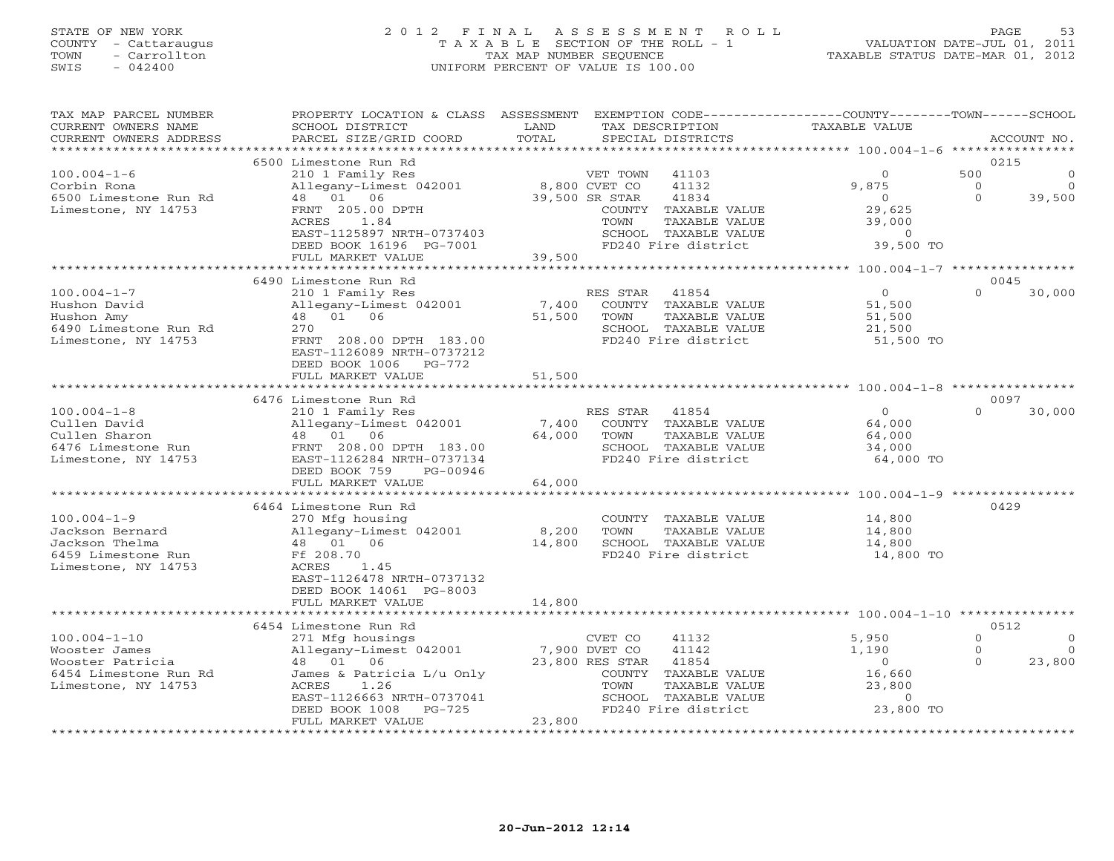## STATE OF NEW YORK 2 0 1 2 F I N A L A S S E S S M E N T R O L L PAGE 53 COUNTY - Cattaraugus T A X A B L E SECTION OF THE ROLL - 1 VALUATION DATE-JUL 01, 2011 TOWN - Carrollton TAX MAP NUMBER SEQUENCE TAXABLE STATUS DATE-MAR 01, 2012 SWIS - 042400 UNIFORM PERCENT OF VALUE IS 100.00

| TAX MAP PARCEL NUMBER<br>CURRENT OWNERS NAME<br>CURRENT OWNERS ADDRESS<br>******************* | PROPERTY LOCATION & CLASS ASSESSMENT<br>SCHOOL DISTRICT<br>PARCEL SIZE/GRID COORD | LAND<br>TOTAL          | EXEMPTION CODE-----------------COUNTY-------TOWN------SCHOOL<br>TAX DESCRIPTION<br>SPECIAL DISTRICTS | <b>TAXABLE VALUE</b>                     | ACCOUNT NO.             |
|-----------------------------------------------------------------------------------------------|-----------------------------------------------------------------------------------|------------------------|------------------------------------------------------------------------------------------------------|------------------------------------------|-------------------------|
|                                                                                               |                                                                                   |                        |                                                                                                      |                                          |                         |
|                                                                                               | 6500 Limestone Run Rd                                                             |                        |                                                                                                      |                                          | 0215                    |
| $100.004 - 1 - 6$                                                                             | 210 1 Family Res                                                                  |                        | VET TOWN<br>41103                                                                                    | $\Omega$                                 | 500                     |
| Corbin Rona                                                                                   | Allegany-Limest 042001                                                            |                        | 8,800 CVET CO<br>41132                                                                               | 9,875                                    | $\circ$<br>$\circ$      |
| 6500 Limestone Run Rd                                                                         | 48  01  06                                                                        |                        | 39,500 SR STAR<br>41834                                                                              | $\Omega$                                 | $\Omega$<br>39,500      |
| Limestone, NY 14753                                                                           | FRNT 205.00 DPTH                                                                  |                        | COUNTY TAXABLE VALUE                                                                                 | 29,625                                   |                         |
|                                                                                               | ACRES<br>1.84                                                                     |                        | TOWN<br>TAXABLE VALUE                                                                                | 39,000                                   |                         |
|                                                                                               | EAST-1125897 NRTH-0737403                                                         |                        | SCHOOL TAXABLE VALUE                                                                                 | $\Omega$                                 |                         |
|                                                                                               | DEED BOOK 16196 PG-7001                                                           |                        | FD240 Fire district                                                                                  | 39,500 TO                                |                         |
|                                                                                               | FULL MARKET VALUE                                                                 | 39,500                 |                                                                                                      |                                          |                         |
|                                                                                               | ***************                                                                   |                        |                                                                                                      |                                          |                         |
|                                                                                               | 6490 Limestone Run Rd                                                             |                        |                                                                                                      |                                          | 0045                    |
| $100.004 - 1 - 7$                                                                             | 210 1 Family Res                                                                  |                        | RES STAR<br>41854                                                                                    | $\overline{0}$                           | $\Omega$<br>30,000      |
| Hushon David                                                                                  | Allegany-Limest 042001                                                            | 7,400                  | COUNTY<br>TAXABLE VALUE                                                                              | 51,500                                   |                         |
| Hushon Amy                                                                                    | 48 01 06                                                                          | 51,500                 | <b>TOWN</b><br>TAXABLE VALUE                                                                         | 51,500                                   |                         |
| 6490 Limestone Run Rd                                                                         | 270                                                                               |                        | SCHOOL TAXABLE VALUE                                                                                 | 21,500                                   |                         |
| Limestone, NY 14753                                                                           | FRNT 208.00 DPTH 183.00                                                           |                        | FD240 Fire district                                                                                  | 51,500 TO                                |                         |
|                                                                                               | EAST-1126089 NRTH-0737212                                                         |                        |                                                                                                      |                                          |                         |
|                                                                                               | DEED BOOK 1006<br>$PG-772$                                                        |                        |                                                                                                      |                                          |                         |
|                                                                                               | FULL MARKET VALUE                                                                 | 51,500                 |                                                                                                      |                                          |                         |
|                                                                                               |                                                                                   |                        |                                                                                                      | ******** 100.004-1-8 **                  |                         |
|                                                                                               | 6476 Limestone Run Rd                                                             |                        |                                                                                                      |                                          | 0097                    |
| $100.004 - 1 - 8$                                                                             | 210 1 Family Res                                                                  |                        | 41854<br>RES STAR                                                                                    | $\overline{0}$                           | $\Omega$<br>30,000      |
| Cullen David                                                                                  | Allegany-Limest 042001                                                            | 7,400                  | COUNTY TAXABLE VALUE                                                                                 | 64,000                                   |                         |
| Cullen Sharon                                                                                 | 48  01  06                                                                        | 64,000                 | TOWN<br>TAXABLE VALUE                                                                                | 64,000                                   |                         |
| 6476 Limestone Run                                                                            | FRNT 208.00 DPTH 183.00                                                           |                        | SCHOOL TAXABLE VALUE                                                                                 | 34,000                                   |                         |
| Limestone, NY 14753                                                                           | EAST-1126284 NRTH-0737134                                                         |                        | FD240 Fire district                                                                                  | 64,000 TO                                |                         |
|                                                                                               | DEED BOOK 759<br>PG-00946                                                         |                        |                                                                                                      |                                          |                         |
|                                                                                               | FULL MARKET VALUE                                                                 | 64,000                 |                                                                                                      |                                          |                         |
|                                                                                               |                                                                                   |                        |                                                                                                      | **************** 100.004-1-9 *********** |                         |
|                                                                                               | 6464 Limestone Run Rd                                                             |                        |                                                                                                      |                                          | 0429                    |
| $100.004 - 1 - 9$                                                                             | 270 Mfg housing                                                                   |                        | COUNTY<br>TAXABLE VALUE                                                                              | 14,800                                   |                         |
| Jackson Bernard                                                                               |                                                                                   |                        | TOWN<br>TAXABLE VALUE                                                                                | 14,800                                   |                         |
|                                                                                               | Allegany-Limest 042001                                                            | 8,200<br>14,800        |                                                                                                      |                                          |                         |
| Jackson Thelma                                                                                | 48  01  06                                                                        |                        | SCHOOL TAXABLE VALUE<br>FD240 Fire district                                                          | 14,800                                   |                         |
| 6459 Limestone Run                                                                            | Ff 208.70                                                                         |                        |                                                                                                      | 14,800 TO                                |                         |
| Limestone, NY 14753                                                                           | ACRES<br>1.45                                                                     |                        |                                                                                                      |                                          |                         |
|                                                                                               | EAST-1126478 NRTH-0737132                                                         |                        |                                                                                                      |                                          |                         |
|                                                                                               | DEED BOOK 14061 PG-8003                                                           |                        |                                                                                                      |                                          |                         |
|                                                                                               | FULL MARKET VALUE<br>*******************                                          | 14,800                 |                                                                                                      |                                          |                         |
|                                                                                               | 6454 Limestone Run Rd                                                             |                        |                                                                                                      |                                          | 0512                    |
| $100.004 - 1 - 10$                                                                            | 271 Mfg housings                                                                  |                        |                                                                                                      | 5,950                                    | $\Omega$<br>$\mathbf 0$ |
|                                                                                               |                                                                                   |                        | CVET CO<br>41132<br>41142                                                                            |                                          | $\Omega$<br>$\circ$     |
| Wooster James                                                                                 | Allegany-Limest 042001                                                            |                        | 7,900 DVET CO                                                                                        | 1,190                                    | $\Omega$                |
| Wooster Patricia                                                                              | 48  01  06                                                                        |                        | 23,800 RES STAR<br>41854                                                                             | $\circ$                                  | 23,800                  |
| 6454 Limestone Run Rd                                                                         | James & Patricia L/u Only                                                         |                        | COUNTY TAXABLE VALUE                                                                                 | 16,660                                   |                         |
| Limestone, NY 14753                                                                           | ACRES<br>1.26                                                                     |                        | TOWN<br>TAXABLE VALUE                                                                                | 23,800                                   |                         |
|                                                                                               | EAST-1126663 NRTH-0737041                                                         |                        | SCHOOL TAXABLE VALUE                                                                                 | $\circ$                                  |                         |
|                                                                                               | DEED BOOK 1008<br>$PG-725$                                                        |                        | FD240 Fire district                                                                                  | 23,800 TO                                |                         |
|                                                                                               | FULL MARKET VALUE<br>********************                                         | 23,800<br>************ |                                                                                                      |                                          |                         |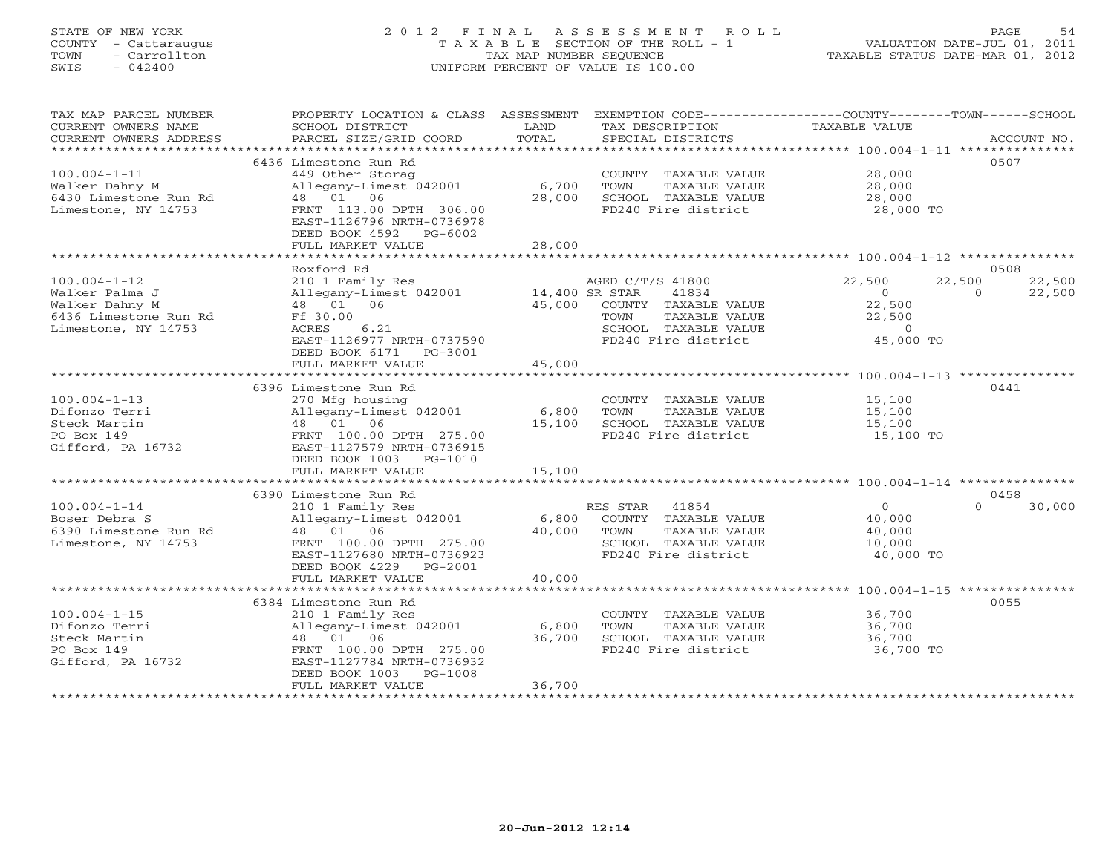# STATE OF NEW YORK 2 0 1 2 F I N A L A S S E S S M E N T R O L L PAGE 54 COUNTY - Cattaraugus T A X A B L E SECTION OF THE ROLL - 1 VALUATION DATE-JUL 01, 2011 TOWN - Carrollton TAX MAP NUMBER SEQUENCE TAXABLE STATUS DATE-MAR 01, 2012 SWIS - 042400 UNIFORM PERCENT OF VALUE IS 100.00UNIFORM PERCENT OF VALUE IS 100.00

| TAX MAP PARCEL NUMBER<br>CURRENT OWNERS NAME<br>CURRENT OWNERS ADDRESS | PROPERTY LOCATION & CLASS ASSESSMENT<br>SCHOOL DISTRICT<br>PARCEL SIZE/GRID COORD | LAND<br>TOTAL | EXEMPTION CODE-----------------COUNTY-------TOWN------SCHOOL<br>TAX DESCRIPTION<br>SPECIAL DISTRICTS | <b>TAXABLE VALUE</b> | ACCOUNT NO.                  |
|------------------------------------------------------------------------|-----------------------------------------------------------------------------------|---------------|------------------------------------------------------------------------------------------------------|----------------------|------------------------------|
|                                                                        |                                                                                   |               |                                                                                                      |                      |                              |
|                                                                        | 6436 Limestone Run Rd                                                             |               |                                                                                                      |                      | 0507                         |
| $100.004 - 1 - 11$                                                     | 449 Other Storag                                                                  |               | COUNTY TAXABLE VALUE                                                                                 | 28,000               |                              |
| Walker Dahny M                                                         | Allegany-Limest 042001                                                            | 6,700         | TOWN<br>TAXABLE VALUE                                                                                | 28,000               |                              |
| 6430 Limestone Run Rd                                                  | 48 01<br>06                                                                       | 28,000        | SCHOOL TAXABLE VALUE                                                                                 | 28,000               |                              |
| Limestone, NY 14753                                                    | FRNT 113.00 DPTH 306.00<br>EAST-1126796 NRTH-0736978                              |               | FD240 Fire district                                                                                  | 28,000 TO            |                              |
|                                                                        | DEED BOOK 4592<br>PG-6002                                                         |               |                                                                                                      |                      |                              |
|                                                                        | FULL MARKET VALUE<br>************************************                         | 28,000        |                                                                                                      |                      |                              |
|                                                                        |                                                                                   |               |                                                                                                      |                      |                              |
|                                                                        | Roxford Rd                                                                        |               |                                                                                                      |                      | 0508                         |
| $100.004 - 1 - 12$                                                     | 210 1 Family Res                                                                  |               | AGED C/T/S 41800                                                                                     | 22,500<br>$\circ$    | 22,500<br>22,500<br>$\Omega$ |
| Walker Palma J<br>Walker Dahny M                                       | Allegany-Limest 042001<br>48 01 06                                                | 45,000        | 41834<br>14,400 SR STAR                                                                              | 22,500               | 22,500                       |
| 6436 Limestone Run Rd                                                  | Ff 30.00                                                                          |               | COUNTY TAXABLE VALUE<br>TAXABLE VALUE<br>TOWN                                                        |                      |                              |
| Limestone, NY 14753                                                    | ACRES<br>6.21                                                                     |               | SCHOOL TAXABLE VALUE                                                                                 | 22,500<br>$\Omega$   |                              |
|                                                                        | EAST-1126977 NRTH-0737590                                                         |               | FD240 Fire district                                                                                  | 45,000 TO            |                              |
|                                                                        | DEED BOOK 6171<br>PG-3001                                                         |               |                                                                                                      |                      |                              |
|                                                                        | FULL MARKET VALUE                                                                 | 45,000        |                                                                                                      |                      |                              |
|                                                                        |                                                                                   |               |                                                                                                      |                      |                              |
|                                                                        | 6396 Limestone Run Rd                                                             |               |                                                                                                      |                      | 0441                         |
| $100.004 - 1 - 13$                                                     | 270 Mfg housing                                                                   |               | COUNTY TAXABLE VALUE                                                                                 | 15,100               |                              |
| Difonzo Terri                                                          | Allegany-Limest 042001                                                            | 6,800         | TOWN<br>TAXABLE VALUE                                                                                | 15,100               |                              |
| Steck Martin                                                           | 48 01 06                                                                          | 15,100        | SCHOOL TAXABLE VALUE                                                                                 | 15,100               |                              |
| PO Box 149                                                             | FRNT 100.00 DPTH 275.00                                                           |               | FD240 Fire district                                                                                  | 15,100 TO            |                              |
| Gifford, PA 16732                                                      | EAST-1127579 NRTH-0736915                                                         |               |                                                                                                      |                      |                              |
|                                                                        | DEED BOOK 1003<br>PG-1010                                                         |               |                                                                                                      |                      |                              |
|                                                                        | FULL MARKET VALUE                                                                 | 15,100        |                                                                                                      |                      |                              |
|                                                                        |                                                                                   |               |                                                                                                      |                      |                              |
|                                                                        | 6390 Limestone Run Rd                                                             |               |                                                                                                      |                      | 0458                         |
| $100.004 - 1 - 14$                                                     | 210 1 Family Res                                                                  |               | 41854<br>RES STAR                                                                                    | $\Omega$             | 30,000<br>$\Omega$           |
| Boser Debra S                                                          | Allegany-Limest 042001                                                            | 6,800         | COUNTY TAXABLE VALUE                                                                                 | 40,000               |                              |
| 6390 Limestone Run Rd                                                  | 48 01 06                                                                          | 40,000        | TOWN<br>TAXABLE VALUE                                                                                | 40,000               |                              |
| Limestone, NY 14753                                                    | FRNT 100.00 DPTH 275.00                                                           |               | SCHOOL TAXABLE VALUE                                                                                 | 10,000               |                              |
|                                                                        | EAST-1127680 NRTH-0736923                                                         |               | FD240 Fire district                                                                                  | 40,000 TO            |                              |
|                                                                        | DEED BOOK 4229<br>PG-2001                                                         |               |                                                                                                      |                      |                              |
|                                                                        | FULL MARKET VALUE                                                                 | 40,000        |                                                                                                      |                      |                              |
|                                                                        | 6384 Limestone Run Rd                                                             |               |                                                                                                      |                      | 0055                         |
| $100.004 - 1 - 15$                                                     | 210 1 Family Res                                                                  |               | COUNTY TAXABLE VALUE                                                                                 | 36,700               |                              |
| Difonzo Terri                                                          | Allegany-Limest 042001                                                            | 6,800         | TOWN<br>TAXABLE VALUE                                                                                | 36,700               |                              |
| Steck Martin                                                           | 48 01 06                                                                          | 36,700        | SCHOOL TAXABLE VALUE                                                                                 | 36,700               |                              |
| PO Box 149                                                             | FRNT 100.00 DPTH 275.00                                                           |               | FD240 Fire district                                                                                  | 36,700 TO            |                              |
| Gifford, PA 16732                                                      | EAST-1127784 NRTH-0736932                                                         |               |                                                                                                      |                      |                              |
|                                                                        | DEED BOOK 1003<br>PG-1008                                                         |               |                                                                                                      |                      |                              |
|                                                                        | FULL MARKET VALUE                                                                 | 36,700        |                                                                                                      |                      |                              |
|                                                                        |                                                                                   |               |                                                                                                      |                      |                              |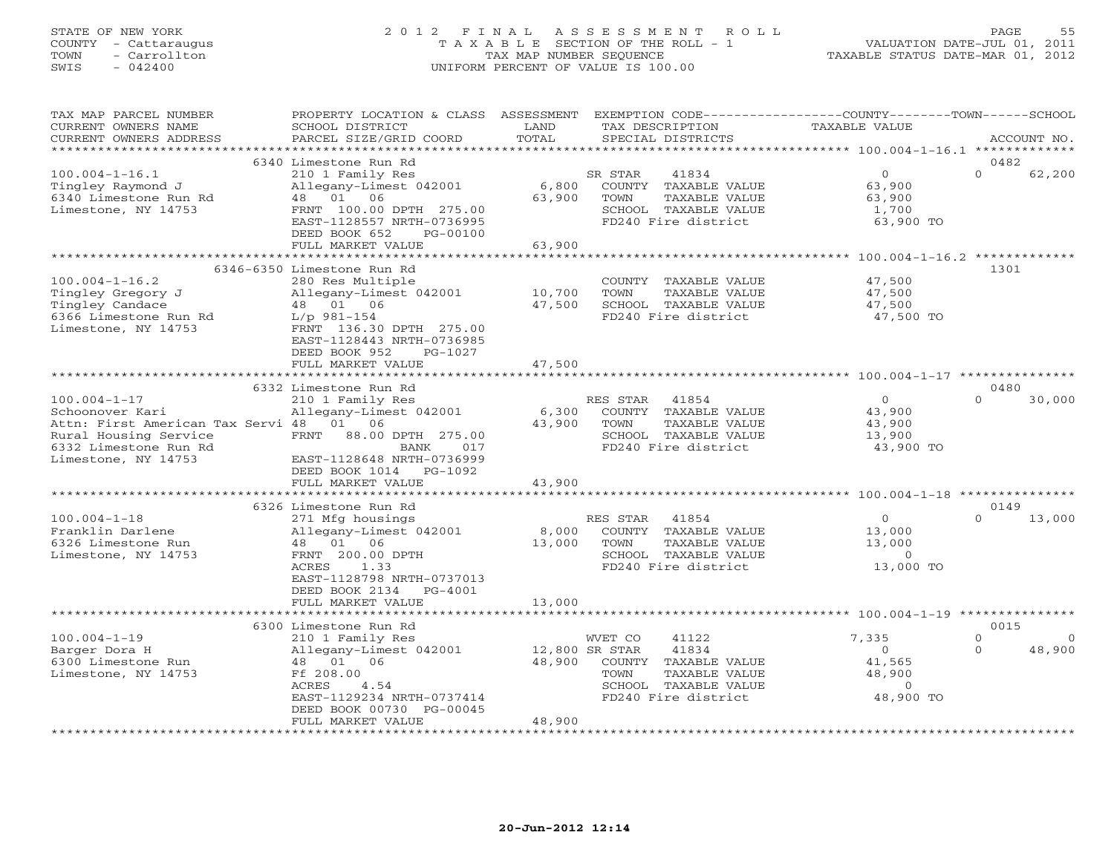## STATE OF NEW YORK 2 0 1 2 F I N A L A S S E S S M E N T R O L L PAGE 55 COUNTY - Cattaraugus T A X A B L E SECTION OF THE ROLL - 1 VALUATION DATE-JUL 01, 2011 TOWN - Carrollton TAX MAP NUMBER SEQUENCE TAXABLE STATUS DATE-MAR 01, 2012 SWIS - 042400 UNIFORM PERCENT OF VALUE IS 100.00UNIFORM PERCENT OF VALUE IS 100.00

| TOTAL<br>CURRENT OWNERS ADDRESS<br>PARCEL SIZE/GRID COORD<br>SPECIAL DISTRICTS<br>ACCOUNT NO.<br>*********************<br>6340 Limestone Run Rd<br>0482<br>$\Omega$<br>$100.004 - 1 - 16.1$<br>210 1 Family Res<br>$\overline{0}$<br>62,200<br>SR STAR<br>41834<br>Tingley Raymond J<br>Allegany-Limest 042001<br>6,800<br>COUNTY TAXABLE VALUE<br>63,900<br>63,900<br>6340 Limestone Run Rd<br>48 01 06<br>TOWN<br>TAXABLE VALUE<br>63,900<br>Limestone, NY 14753<br>FRNT 100.00 DPTH 275.00<br>SCHOOL TAXABLE VALUE<br>1,700<br>EAST-1128557 NRTH-0736995<br>FD240 Fire district<br>63,900 TO<br>DEED BOOK 652<br>PG-00100<br>63,900<br>FULL MARKET VALUE<br>*********************** 100.004-1-16.2 *************<br>6346-6350 Limestone Run Rd<br>1301<br>$100.004 - 1 - 16.2$<br>280 Res Multiple<br>COUNTY TAXABLE VALUE<br>47,500<br>10,700<br>Tingley Gregory J<br>Allegany-Limest 042001<br>TOWN<br>TAXABLE VALUE<br>47,500<br>48  01  06<br>Tingley Candace<br>47,500<br>SCHOOL TAXABLE VALUE<br>47,500<br>FD240 Fire district<br>6366 Limestone Run Rd<br>$L/p$ 981-154<br>47,500 TO<br>Limestone, NY 14753<br>FRNT 136.30 DPTH 275.00<br>EAST-1128443 NRTH-0736985<br>DEED BOOK 952<br>PG-1027<br>47,500<br>FULL MARKET VALUE<br>6332 Limestone Run Rd<br>0480<br>$100.004 - 1 - 17$<br>210 1 Family Res<br>41854<br>$\overline{0}$<br>$\Omega$<br>30,000<br>RES STAR<br>Schoonover Kari<br>Allegany-Limest 042001<br>6,300<br>COUNTY TAXABLE VALUE<br>43,900<br>Attn: First American Tax Servi 48<br>01 06<br>43,900<br>TOWN<br>TAXABLE VALUE<br>43,900<br>Rural Housing Service<br>FRNT<br>88.00 DPTH 275.00<br>SCHOOL TAXABLE VALUE<br>13,900<br>6332 Limestone Run Rd<br>FD240 Fire district<br>43,900 TO<br>BANK<br>017<br>Limestone, NY 14753<br>EAST-1128648 NRTH-0736999<br>DEED BOOK 1014<br>PG-1092<br>FULL MARKET VALUE<br>43,900<br>0149<br>6326 Limestone Run Rd<br>$100.004 - 1 - 18$<br>271 Mfg housings<br>RES STAR<br>41854<br>$\overline{0}$<br>$\Omega$<br>13,000<br>Franklin Darlene<br>Allegany-Limest 042001<br>8,000<br>COUNTY TAXABLE VALUE<br>13,000<br>6326 Limestone Run<br>48  01  06<br>13,000<br>TOWN<br>TAXABLE VALUE<br>13,000<br>Limestone, NY 14753<br>FRNT 200.00 DPTH<br>SCHOOL TAXABLE VALUE<br>$\Omega$<br>1.33<br>FD240 Fire district<br>13,000 TO<br>ACRES<br>EAST-1128798 NRTH-0737013<br>DEED BOOK 2134<br>PG-4001<br>FULL MARKET VALUE<br>13,000<br>0015<br>6300 Limestone Run Rd<br>$100.004 - 1 - 19$<br>7,335<br>$\Omega$<br>210 1 Family Res<br>WVET CO<br>41122<br>41834<br>Barger Dora H<br>Allegany-Limest 042001<br>12,800 SR STAR<br>$\circ$<br>$\Omega$<br>48,900<br>6300 Limestone Run<br>48 01<br>06<br>48,900<br>COUNTY TAXABLE VALUE<br>41,565<br>Ff 208.00<br>48,900<br>Limestone, NY 14753<br>TOWN<br>TAXABLE VALUE<br><b>ACRES</b><br>4.54<br>SCHOOL TAXABLE VALUE<br>$\Omega$<br>48,900 TO<br>EAST-1129234 NRTH-0737414<br>FD240 Fire district<br>DEED BOOK 00730 PG-00045<br>FULL MARKET VALUE<br>48,900 | TAX MAP PARCEL NUMBER<br>CURRENT OWNERS NAME | PROPERTY LOCATION & CLASS ASSESSMENT<br>SCHOOL DISTRICT | LAND | TAX DESCRIPTION | EXEMPTION CODE-----------------COUNTY-------TOWN------SCHOOL<br><b>TAXABLE VALUE</b> |  |
|-----------------------------------------------------------------------------------------------------------------------------------------------------------------------------------------------------------------------------------------------------------------------------------------------------------------------------------------------------------------------------------------------------------------------------------------------------------------------------------------------------------------------------------------------------------------------------------------------------------------------------------------------------------------------------------------------------------------------------------------------------------------------------------------------------------------------------------------------------------------------------------------------------------------------------------------------------------------------------------------------------------------------------------------------------------------------------------------------------------------------------------------------------------------------------------------------------------------------------------------------------------------------------------------------------------------------------------------------------------------------------------------------------------------------------------------------------------------------------------------------------------------------------------------------------------------------------------------------------------------------------------------------------------------------------------------------------------------------------------------------------------------------------------------------------------------------------------------------------------------------------------------------------------------------------------------------------------------------------------------------------------------------------------------------------------------------------------------------------------------------------------------------------------------------------------------------------------------------------------------------------------------------------------------------------------------------------------------------------------------------------------------------------------------------------------------------------------------------------------------------------------------------------------------------------------------------------------------------------------------------------------------------------------------------------------------------------------------------------------------------------------------------------------------------------------------------------------------------------------------------------------------------------------------------------------------------------------------------------------|----------------------------------------------|---------------------------------------------------------|------|-----------------|--------------------------------------------------------------------------------------|--|
|                                                                                                                                                                                                                                                                                                                                                                                                                                                                                                                                                                                                                                                                                                                                                                                                                                                                                                                                                                                                                                                                                                                                                                                                                                                                                                                                                                                                                                                                                                                                                                                                                                                                                                                                                                                                                                                                                                                                                                                                                                                                                                                                                                                                                                                                                                                                                                                                                                                                                                                                                                                                                                                                                                                                                                                                                                                                                                                                                                                   |                                              |                                                         |      |                 |                                                                                      |  |
|                                                                                                                                                                                                                                                                                                                                                                                                                                                                                                                                                                                                                                                                                                                                                                                                                                                                                                                                                                                                                                                                                                                                                                                                                                                                                                                                                                                                                                                                                                                                                                                                                                                                                                                                                                                                                                                                                                                                                                                                                                                                                                                                                                                                                                                                                                                                                                                                                                                                                                                                                                                                                                                                                                                                                                                                                                                                                                                                                                                   |                                              |                                                         |      |                 |                                                                                      |  |
|                                                                                                                                                                                                                                                                                                                                                                                                                                                                                                                                                                                                                                                                                                                                                                                                                                                                                                                                                                                                                                                                                                                                                                                                                                                                                                                                                                                                                                                                                                                                                                                                                                                                                                                                                                                                                                                                                                                                                                                                                                                                                                                                                                                                                                                                                                                                                                                                                                                                                                                                                                                                                                                                                                                                                                                                                                                                                                                                                                                   |                                              |                                                         |      |                 |                                                                                      |  |
|                                                                                                                                                                                                                                                                                                                                                                                                                                                                                                                                                                                                                                                                                                                                                                                                                                                                                                                                                                                                                                                                                                                                                                                                                                                                                                                                                                                                                                                                                                                                                                                                                                                                                                                                                                                                                                                                                                                                                                                                                                                                                                                                                                                                                                                                                                                                                                                                                                                                                                                                                                                                                                                                                                                                                                                                                                                                                                                                                                                   |                                              |                                                         |      |                 |                                                                                      |  |
|                                                                                                                                                                                                                                                                                                                                                                                                                                                                                                                                                                                                                                                                                                                                                                                                                                                                                                                                                                                                                                                                                                                                                                                                                                                                                                                                                                                                                                                                                                                                                                                                                                                                                                                                                                                                                                                                                                                                                                                                                                                                                                                                                                                                                                                                                                                                                                                                                                                                                                                                                                                                                                                                                                                                                                                                                                                                                                                                                                                   |                                              |                                                         |      |                 |                                                                                      |  |
|                                                                                                                                                                                                                                                                                                                                                                                                                                                                                                                                                                                                                                                                                                                                                                                                                                                                                                                                                                                                                                                                                                                                                                                                                                                                                                                                                                                                                                                                                                                                                                                                                                                                                                                                                                                                                                                                                                                                                                                                                                                                                                                                                                                                                                                                                                                                                                                                                                                                                                                                                                                                                                                                                                                                                                                                                                                                                                                                                                                   |                                              |                                                         |      |                 |                                                                                      |  |
|                                                                                                                                                                                                                                                                                                                                                                                                                                                                                                                                                                                                                                                                                                                                                                                                                                                                                                                                                                                                                                                                                                                                                                                                                                                                                                                                                                                                                                                                                                                                                                                                                                                                                                                                                                                                                                                                                                                                                                                                                                                                                                                                                                                                                                                                                                                                                                                                                                                                                                                                                                                                                                                                                                                                                                                                                                                                                                                                                                                   |                                              |                                                         |      |                 |                                                                                      |  |
|                                                                                                                                                                                                                                                                                                                                                                                                                                                                                                                                                                                                                                                                                                                                                                                                                                                                                                                                                                                                                                                                                                                                                                                                                                                                                                                                                                                                                                                                                                                                                                                                                                                                                                                                                                                                                                                                                                                                                                                                                                                                                                                                                                                                                                                                                                                                                                                                                                                                                                                                                                                                                                                                                                                                                                                                                                                                                                                                                                                   |                                              |                                                         |      |                 |                                                                                      |  |
|                                                                                                                                                                                                                                                                                                                                                                                                                                                                                                                                                                                                                                                                                                                                                                                                                                                                                                                                                                                                                                                                                                                                                                                                                                                                                                                                                                                                                                                                                                                                                                                                                                                                                                                                                                                                                                                                                                                                                                                                                                                                                                                                                                                                                                                                                                                                                                                                                                                                                                                                                                                                                                                                                                                                                                                                                                                                                                                                                                                   |                                              |                                                         |      |                 |                                                                                      |  |
|                                                                                                                                                                                                                                                                                                                                                                                                                                                                                                                                                                                                                                                                                                                                                                                                                                                                                                                                                                                                                                                                                                                                                                                                                                                                                                                                                                                                                                                                                                                                                                                                                                                                                                                                                                                                                                                                                                                                                                                                                                                                                                                                                                                                                                                                                                                                                                                                                                                                                                                                                                                                                                                                                                                                                                                                                                                                                                                                                                                   |                                              |                                                         |      |                 |                                                                                      |  |
|                                                                                                                                                                                                                                                                                                                                                                                                                                                                                                                                                                                                                                                                                                                                                                                                                                                                                                                                                                                                                                                                                                                                                                                                                                                                                                                                                                                                                                                                                                                                                                                                                                                                                                                                                                                                                                                                                                                                                                                                                                                                                                                                                                                                                                                                                                                                                                                                                                                                                                                                                                                                                                                                                                                                                                                                                                                                                                                                                                                   |                                              |                                                         |      |                 |                                                                                      |  |
|                                                                                                                                                                                                                                                                                                                                                                                                                                                                                                                                                                                                                                                                                                                                                                                                                                                                                                                                                                                                                                                                                                                                                                                                                                                                                                                                                                                                                                                                                                                                                                                                                                                                                                                                                                                                                                                                                                                                                                                                                                                                                                                                                                                                                                                                                                                                                                                                                                                                                                                                                                                                                                                                                                                                                                                                                                                                                                                                                                                   |                                              |                                                         |      |                 |                                                                                      |  |
|                                                                                                                                                                                                                                                                                                                                                                                                                                                                                                                                                                                                                                                                                                                                                                                                                                                                                                                                                                                                                                                                                                                                                                                                                                                                                                                                                                                                                                                                                                                                                                                                                                                                                                                                                                                                                                                                                                                                                                                                                                                                                                                                                                                                                                                                                                                                                                                                                                                                                                                                                                                                                                                                                                                                                                                                                                                                                                                                                                                   |                                              |                                                         |      |                 |                                                                                      |  |
|                                                                                                                                                                                                                                                                                                                                                                                                                                                                                                                                                                                                                                                                                                                                                                                                                                                                                                                                                                                                                                                                                                                                                                                                                                                                                                                                                                                                                                                                                                                                                                                                                                                                                                                                                                                                                                                                                                                                                                                                                                                                                                                                                                                                                                                                                                                                                                                                                                                                                                                                                                                                                                                                                                                                                                                                                                                                                                                                                                                   |                                              |                                                         |      |                 |                                                                                      |  |
|                                                                                                                                                                                                                                                                                                                                                                                                                                                                                                                                                                                                                                                                                                                                                                                                                                                                                                                                                                                                                                                                                                                                                                                                                                                                                                                                                                                                                                                                                                                                                                                                                                                                                                                                                                                                                                                                                                                                                                                                                                                                                                                                                                                                                                                                                                                                                                                                                                                                                                                                                                                                                                                                                                                                                                                                                                                                                                                                                                                   |                                              |                                                         |      |                 |                                                                                      |  |
|                                                                                                                                                                                                                                                                                                                                                                                                                                                                                                                                                                                                                                                                                                                                                                                                                                                                                                                                                                                                                                                                                                                                                                                                                                                                                                                                                                                                                                                                                                                                                                                                                                                                                                                                                                                                                                                                                                                                                                                                                                                                                                                                                                                                                                                                                                                                                                                                                                                                                                                                                                                                                                                                                                                                                                                                                                                                                                                                                                                   |                                              |                                                         |      |                 |                                                                                      |  |
|                                                                                                                                                                                                                                                                                                                                                                                                                                                                                                                                                                                                                                                                                                                                                                                                                                                                                                                                                                                                                                                                                                                                                                                                                                                                                                                                                                                                                                                                                                                                                                                                                                                                                                                                                                                                                                                                                                                                                                                                                                                                                                                                                                                                                                                                                                                                                                                                                                                                                                                                                                                                                                                                                                                                                                                                                                                                                                                                                                                   |                                              |                                                         |      |                 |                                                                                      |  |
|                                                                                                                                                                                                                                                                                                                                                                                                                                                                                                                                                                                                                                                                                                                                                                                                                                                                                                                                                                                                                                                                                                                                                                                                                                                                                                                                                                                                                                                                                                                                                                                                                                                                                                                                                                                                                                                                                                                                                                                                                                                                                                                                                                                                                                                                                                                                                                                                                                                                                                                                                                                                                                                                                                                                                                                                                                                                                                                                                                                   |                                              |                                                         |      |                 |                                                                                      |  |
|                                                                                                                                                                                                                                                                                                                                                                                                                                                                                                                                                                                                                                                                                                                                                                                                                                                                                                                                                                                                                                                                                                                                                                                                                                                                                                                                                                                                                                                                                                                                                                                                                                                                                                                                                                                                                                                                                                                                                                                                                                                                                                                                                                                                                                                                                                                                                                                                                                                                                                                                                                                                                                                                                                                                                                                                                                                                                                                                                                                   |                                              |                                                         |      |                 |                                                                                      |  |
|                                                                                                                                                                                                                                                                                                                                                                                                                                                                                                                                                                                                                                                                                                                                                                                                                                                                                                                                                                                                                                                                                                                                                                                                                                                                                                                                                                                                                                                                                                                                                                                                                                                                                                                                                                                                                                                                                                                                                                                                                                                                                                                                                                                                                                                                                                                                                                                                                                                                                                                                                                                                                                                                                                                                                                                                                                                                                                                                                                                   |                                              |                                                         |      |                 |                                                                                      |  |
|                                                                                                                                                                                                                                                                                                                                                                                                                                                                                                                                                                                                                                                                                                                                                                                                                                                                                                                                                                                                                                                                                                                                                                                                                                                                                                                                                                                                                                                                                                                                                                                                                                                                                                                                                                                                                                                                                                                                                                                                                                                                                                                                                                                                                                                                                                                                                                                                                                                                                                                                                                                                                                                                                                                                                                                                                                                                                                                                                                                   |                                              |                                                         |      |                 |                                                                                      |  |
|                                                                                                                                                                                                                                                                                                                                                                                                                                                                                                                                                                                                                                                                                                                                                                                                                                                                                                                                                                                                                                                                                                                                                                                                                                                                                                                                                                                                                                                                                                                                                                                                                                                                                                                                                                                                                                                                                                                                                                                                                                                                                                                                                                                                                                                                                                                                                                                                                                                                                                                                                                                                                                                                                                                                                                                                                                                                                                                                                                                   |                                              |                                                         |      |                 |                                                                                      |  |
|                                                                                                                                                                                                                                                                                                                                                                                                                                                                                                                                                                                                                                                                                                                                                                                                                                                                                                                                                                                                                                                                                                                                                                                                                                                                                                                                                                                                                                                                                                                                                                                                                                                                                                                                                                                                                                                                                                                                                                                                                                                                                                                                                                                                                                                                                                                                                                                                                                                                                                                                                                                                                                                                                                                                                                                                                                                                                                                                                                                   |                                              |                                                         |      |                 |                                                                                      |  |
|                                                                                                                                                                                                                                                                                                                                                                                                                                                                                                                                                                                                                                                                                                                                                                                                                                                                                                                                                                                                                                                                                                                                                                                                                                                                                                                                                                                                                                                                                                                                                                                                                                                                                                                                                                                                                                                                                                                                                                                                                                                                                                                                                                                                                                                                                                                                                                                                                                                                                                                                                                                                                                                                                                                                                                                                                                                                                                                                                                                   |                                              |                                                         |      |                 |                                                                                      |  |
|                                                                                                                                                                                                                                                                                                                                                                                                                                                                                                                                                                                                                                                                                                                                                                                                                                                                                                                                                                                                                                                                                                                                                                                                                                                                                                                                                                                                                                                                                                                                                                                                                                                                                                                                                                                                                                                                                                                                                                                                                                                                                                                                                                                                                                                                                                                                                                                                                                                                                                                                                                                                                                                                                                                                                                                                                                                                                                                                                                                   |                                              |                                                         |      |                 |                                                                                      |  |
|                                                                                                                                                                                                                                                                                                                                                                                                                                                                                                                                                                                                                                                                                                                                                                                                                                                                                                                                                                                                                                                                                                                                                                                                                                                                                                                                                                                                                                                                                                                                                                                                                                                                                                                                                                                                                                                                                                                                                                                                                                                                                                                                                                                                                                                                                                                                                                                                                                                                                                                                                                                                                                                                                                                                                                                                                                                                                                                                                                                   |                                              |                                                         |      |                 |                                                                                      |  |
|                                                                                                                                                                                                                                                                                                                                                                                                                                                                                                                                                                                                                                                                                                                                                                                                                                                                                                                                                                                                                                                                                                                                                                                                                                                                                                                                                                                                                                                                                                                                                                                                                                                                                                                                                                                                                                                                                                                                                                                                                                                                                                                                                                                                                                                                                                                                                                                                                                                                                                                                                                                                                                                                                                                                                                                                                                                                                                                                                                                   |                                              |                                                         |      |                 |                                                                                      |  |
|                                                                                                                                                                                                                                                                                                                                                                                                                                                                                                                                                                                                                                                                                                                                                                                                                                                                                                                                                                                                                                                                                                                                                                                                                                                                                                                                                                                                                                                                                                                                                                                                                                                                                                                                                                                                                                                                                                                                                                                                                                                                                                                                                                                                                                                                                                                                                                                                                                                                                                                                                                                                                                                                                                                                                                                                                                                                                                                                                                                   |                                              |                                                         |      |                 |                                                                                      |  |
|                                                                                                                                                                                                                                                                                                                                                                                                                                                                                                                                                                                                                                                                                                                                                                                                                                                                                                                                                                                                                                                                                                                                                                                                                                                                                                                                                                                                                                                                                                                                                                                                                                                                                                                                                                                                                                                                                                                                                                                                                                                                                                                                                                                                                                                                                                                                                                                                                                                                                                                                                                                                                                                                                                                                                                                                                                                                                                                                                                                   |                                              |                                                         |      |                 |                                                                                      |  |
|                                                                                                                                                                                                                                                                                                                                                                                                                                                                                                                                                                                                                                                                                                                                                                                                                                                                                                                                                                                                                                                                                                                                                                                                                                                                                                                                                                                                                                                                                                                                                                                                                                                                                                                                                                                                                                                                                                                                                                                                                                                                                                                                                                                                                                                                                                                                                                                                                                                                                                                                                                                                                                                                                                                                                                                                                                                                                                                                                                                   |                                              |                                                         |      |                 |                                                                                      |  |
|                                                                                                                                                                                                                                                                                                                                                                                                                                                                                                                                                                                                                                                                                                                                                                                                                                                                                                                                                                                                                                                                                                                                                                                                                                                                                                                                                                                                                                                                                                                                                                                                                                                                                                                                                                                                                                                                                                                                                                                                                                                                                                                                                                                                                                                                                                                                                                                                                                                                                                                                                                                                                                                                                                                                                                                                                                                                                                                                                                                   |                                              |                                                         |      |                 |                                                                                      |  |
|                                                                                                                                                                                                                                                                                                                                                                                                                                                                                                                                                                                                                                                                                                                                                                                                                                                                                                                                                                                                                                                                                                                                                                                                                                                                                                                                                                                                                                                                                                                                                                                                                                                                                                                                                                                                                                                                                                                                                                                                                                                                                                                                                                                                                                                                                                                                                                                                                                                                                                                                                                                                                                                                                                                                                                                                                                                                                                                                                                                   |                                              |                                                         |      |                 |                                                                                      |  |
|                                                                                                                                                                                                                                                                                                                                                                                                                                                                                                                                                                                                                                                                                                                                                                                                                                                                                                                                                                                                                                                                                                                                                                                                                                                                                                                                                                                                                                                                                                                                                                                                                                                                                                                                                                                                                                                                                                                                                                                                                                                                                                                                                                                                                                                                                                                                                                                                                                                                                                                                                                                                                                                                                                                                                                                                                                                                                                                                                                                   |                                              |                                                         |      |                 |                                                                                      |  |
|                                                                                                                                                                                                                                                                                                                                                                                                                                                                                                                                                                                                                                                                                                                                                                                                                                                                                                                                                                                                                                                                                                                                                                                                                                                                                                                                                                                                                                                                                                                                                                                                                                                                                                                                                                                                                                                                                                                                                                                                                                                                                                                                                                                                                                                                                                                                                                                                                                                                                                                                                                                                                                                                                                                                                                                                                                                                                                                                                                                   |                                              |                                                         |      |                 |                                                                                      |  |
|                                                                                                                                                                                                                                                                                                                                                                                                                                                                                                                                                                                                                                                                                                                                                                                                                                                                                                                                                                                                                                                                                                                                                                                                                                                                                                                                                                                                                                                                                                                                                                                                                                                                                                                                                                                                                                                                                                                                                                                                                                                                                                                                                                                                                                                                                                                                                                                                                                                                                                                                                                                                                                                                                                                                                                                                                                                                                                                                                                                   |                                              |                                                         |      |                 |                                                                                      |  |
|                                                                                                                                                                                                                                                                                                                                                                                                                                                                                                                                                                                                                                                                                                                                                                                                                                                                                                                                                                                                                                                                                                                                                                                                                                                                                                                                                                                                                                                                                                                                                                                                                                                                                                                                                                                                                                                                                                                                                                                                                                                                                                                                                                                                                                                                                                                                                                                                                                                                                                                                                                                                                                                                                                                                                                                                                                                                                                                                                                                   |                                              |                                                         |      |                 |                                                                                      |  |
|                                                                                                                                                                                                                                                                                                                                                                                                                                                                                                                                                                                                                                                                                                                                                                                                                                                                                                                                                                                                                                                                                                                                                                                                                                                                                                                                                                                                                                                                                                                                                                                                                                                                                                                                                                                                                                                                                                                                                                                                                                                                                                                                                                                                                                                                                                                                                                                                                                                                                                                                                                                                                                                                                                                                                                                                                                                                                                                                                                                   |                                              |                                                         |      |                 |                                                                                      |  |
|                                                                                                                                                                                                                                                                                                                                                                                                                                                                                                                                                                                                                                                                                                                                                                                                                                                                                                                                                                                                                                                                                                                                                                                                                                                                                                                                                                                                                                                                                                                                                                                                                                                                                                                                                                                                                                                                                                                                                                                                                                                                                                                                                                                                                                                                                                                                                                                                                                                                                                                                                                                                                                                                                                                                                                                                                                                                                                                                                                                   |                                              |                                                         |      |                 |                                                                                      |  |
|                                                                                                                                                                                                                                                                                                                                                                                                                                                                                                                                                                                                                                                                                                                                                                                                                                                                                                                                                                                                                                                                                                                                                                                                                                                                                                                                                                                                                                                                                                                                                                                                                                                                                                                                                                                                                                                                                                                                                                                                                                                                                                                                                                                                                                                                                                                                                                                                                                                                                                                                                                                                                                                                                                                                                                                                                                                                                                                                                                                   |                                              |                                                         |      |                 |                                                                                      |  |
|                                                                                                                                                                                                                                                                                                                                                                                                                                                                                                                                                                                                                                                                                                                                                                                                                                                                                                                                                                                                                                                                                                                                                                                                                                                                                                                                                                                                                                                                                                                                                                                                                                                                                                                                                                                                                                                                                                                                                                                                                                                                                                                                                                                                                                                                                                                                                                                                                                                                                                                                                                                                                                                                                                                                                                                                                                                                                                                                                                                   |                                              |                                                         |      |                 |                                                                                      |  |
|                                                                                                                                                                                                                                                                                                                                                                                                                                                                                                                                                                                                                                                                                                                                                                                                                                                                                                                                                                                                                                                                                                                                                                                                                                                                                                                                                                                                                                                                                                                                                                                                                                                                                                                                                                                                                                                                                                                                                                                                                                                                                                                                                                                                                                                                                                                                                                                                                                                                                                                                                                                                                                                                                                                                                                                                                                                                                                                                                                                   |                                              |                                                         |      |                 |                                                                                      |  |
|                                                                                                                                                                                                                                                                                                                                                                                                                                                                                                                                                                                                                                                                                                                                                                                                                                                                                                                                                                                                                                                                                                                                                                                                                                                                                                                                                                                                                                                                                                                                                                                                                                                                                                                                                                                                                                                                                                                                                                                                                                                                                                                                                                                                                                                                                                                                                                                                                                                                                                                                                                                                                                                                                                                                                                                                                                                                                                                                                                                   |                                              |                                                         |      |                 |                                                                                      |  |
|                                                                                                                                                                                                                                                                                                                                                                                                                                                                                                                                                                                                                                                                                                                                                                                                                                                                                                                                                                                                                                                                                                                                                                                                                                                                                                                                                                                                                                                                                                                                                                                                                                                                                                                                                                                                                                                                                                                                                                                                                                                                                                                                                                                                                                                                                                                                                                                                                                                                                                                                                                                                                                                                                                                                                                                                                                                                                                                                                                                   |                                              |                                                         |      |                 |                                                                                      |  |
|                                                                                                                                                                                                                                                                                                                                                                                                                                                                                                                                                                                                                                                                                                                                                                                                                                                                                                                                                                                                                                                                                                                                                                                                                                                                                                                                                                                                                                                                                                                                                                                                                                                                                                                                                                                                                                                                                                                                                                                                                                                                                                                                                                                                                                                                                                                                                                                                                                                                                                                                                                                                                                                                                                                                                                                                                                                                                                                                                                                   |                                              |                                                         |      |                 |                                                                                      |  |
|                                                                                                                                                                                                                                                                                                                                                                                                                                                                                                                                                                                                                                                                                                                                                                                                                                                                                                                                                                                                                                                                                                                                                                                                                                                                                                                                                                                                                                                                                                                                                                                                                                                                                                                                                                                                                                                                                                                                                                                                                                                                                                                                                                                                                                                                                                                                                                                                                                                                                                                                                                                                                                                                                                                                                                                                                                                                                                                                                                                   |                                              |                                                         |      |                 |                                                                                      |  |
|                                                                                                                                                                                                                                                                                                                                                                                                                                                                                                                                                                                                                                                                                                                                                                                                                                                                                                                                                                                                                                                                                                                                                                                                                                                                                                                                                                                                                                                                                                                                                                                                                                                                                                                                                                                                                                                                                                                                                                                                                                                                                                                                                                                                                                                                                                                                                                                                                                                                                                                                                                                                                                                                                                                                                                                                                                                                                                                                                                                   |                                              |                                                         |      |                 |                                                                                      |  |
|                                                                                                                                                                                                                                                                                                                                                                                                                                                                                                                                                                                                                                                                                                                                                                                                                                                                                                                                                                                                                                                                                                                                                                                                                                                                                                                                                                                                                                                                                                                                                                                                                                                                                                                                                                                                                                                                                                                                                                                                                                                                                                                                                                                                                                                                                                                                                                                                                                                                                                                                                                                                                                                                                                                                                                                                                                                                                                                                                                                   |                                              |                                                         |      |                 |                                                                                      |  |
|                                                                                                                                                                                                                                                                                                                                                                                                                                                                                                                                                                                                                                                                                                                                                                                                                                                                                                                                                                                                                                                                                                                                                                                                                                                                                                                                                                                                                                                                                                                                                                                                                                                                                                                                                                                                                                                                                                                                                                                                                                                                                                                                                                                                                                                                                                                                                                                                                                                                                                                                                                                                                                                                                                                                                                                                                                                                                                                                                                                   |                                              |                                                         |      |                 |                                                                                      |  |
|                                                                                                                                                                                                                                                                                                                                                                                                                                                                                                                                                                                                                                                                                                                                                                                                                                                                                                                                                                                                                                                                                                                                                                                                                                                                                                                                                                                                                                                                                                                                                                                                                                                                                                                                                                                                                                                                                                                                                                                                                                                                                                                                                                                                                                                                                                                                                                                                                                                                                                                                                                                                                                                                                                                                                                                                                                                                                                                                                                                   |                                              |                                                         |      |                 |                                                                                      |  |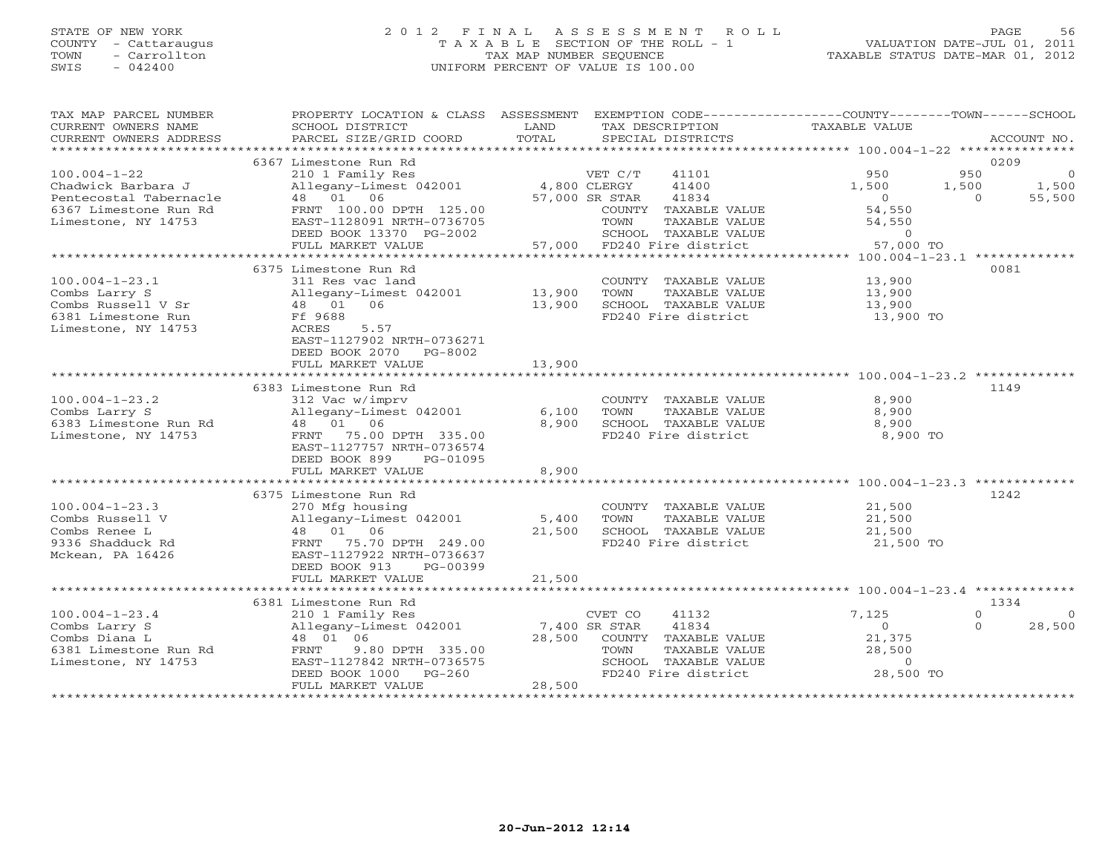## STATE OF NEW YORK 2 0 1 2 F I N A L A S S E S S M E N T R O L L PAGE 56 COUNTY - Cattaraugus T A X A B L E SECTION OF THE ROLL - 1 VALUATION DATE-JUL 01, 2011 TOWN - Carrollton TAX MAP NUMBER SEQUENCE TAXABLE STATUS DATE-MAR 01, 2012 SWIS - 042400 UNIFORM PERCENT OF VALUE IS 100.00UNIFORM PERCENT OF VALUE IS 100.00

| TAX MAP PARCEL NUMBER<br>CURRENT OWNERS NAME<br>CURRENT OWNERS ADDRESS | PROPERTY LOCATION & CLASS ASSESSMENT<br>SCHOOL DISTRICT<br>PARCEL SIZE/GRID COORD | LAND<br>TOTAL | TAX DESCRIPTION<br>SPECIAL DISTRICTS          | EXEMPTION CODE----------------COUNTY-------TOWN------SCHOOL<br><b>TAXABLE VALUE</b> | ACCOUNT NO.                   |
|------------------------------------------------------------------------|-----------------------------------------------------------------------------------|---------------|-----------------------------------------------|-------------------------------------------------------------------------------------|-------------------------------|
| *************************                                              |                                                                                   |               |                                               |                                                                                     |                               |
| $100.004 - 1 - 22$                                                     | 6367 Limestone Run Rd<br>210 1 Family Res                                         |               | VET C/T<br>41101                              | 950                                                                                 | 0209<br>950<br>$\overline{0}$ |
| Chadwick Barbara J<br>Pentecostal Tabernacle                           | Allegany-Limest 042001<br>48  01  06                                              | 4,800 CLERGY  | 41400<br>41834<br>57,000 SR STAR              | 1,500<br>1,500<br>$\overline{0}$                                                    | 1,500<br>55,500<br>$\Omega$   |
| 6367 Limestone Run Rd<br>Limestone, NY 14753                           | FRNT 100.00 DPTH 125.00<br>EAST-1128091 NRTH-0736705                              |               | COUNTY TAXABLE VALUE<br>TOWN<br>TAXABLE VALUE | 54,550<br>54,550                                                                    |                               |
|                                                                        | DEED BOOK 13370 PG-2002<br>FULL MARKET VALUE                                      | 57,000        | SCHOOL TAXABLE VALUE<br>FD240 Fire district   | $\overline{0}$<br>57,000 TO                                                         |                               |
|                                                                        | 6375 Limestone Run Rd                                                             |               |                                               |                                                                                     | 0081                          |
| $100.004 - 1 - 23.1$                                                   | 311 Res vac land                                                                  |               | COUNTY TAXABLE VALUE                          | 13,900                                                                              |                               |
| Combs Larry S                                                          | Allegany-Limest 042001                                                            | 13,900        | TAXABLE VALUE<br>TOWN                         | 13,900                                                                              |                               |
| Combs Russell V Sr                                                     | 48 01<br>06                                                                       | 13,900        | SCHOOL TAXABLE VALUE                          | 13,900                                                                              |                               |
| 6381 Limestone Run                                                     | Ff 9688                                                                           |               | FD240 Fire district                           | 13,900 TO                                                                           |                               |
| Limestone, NY 14753                                                    | 5.57<br>ACRES<br>EAST-1127902 NRTH-0736271<br>DEED BOOK 2070<br>PG-8002           |               |                                               |                                                                                     |                               |
|                                                                        | FULL MARKET VALUE                                                                 | 13,900        |                                               |                                                                                     |                               |
|                                                                        |                                                                                   |               |                                               |                                                                                     |                               |
|                                                                        | 6383 Limestone Run Rd                                                             |               |                                               |                                                                                     | 1149                          |
| $100.004 - 1 - 23.2$                                                   | 312 Vac w/imprv                                                                   |               | COUNTY TAXABLE VALUE                          | 8,900                                                                               |                               |
| Combs Larry S                                                          | Allegany-Limest 042001                                                            | 6,100         | TAXABLE VALUE<br>TOWN                         | 8,900                                                                               |                               |
| 6383 Limestone Run Rd                                                  | 48 01 06                                                                          | 8,900         | SCHOOL TAXABLE VALUE                          | 8,900                                                                               |                               |
| Limestone, NY 14753                                                    | 75.00 DPTH 335.00<br>FRNT                                                         |               | FD240 Fire district                           | 8,900 TO                                                                            |                               |
|                                                                        | EAST-1127757 NRTH-0736574                                                         |               |                                               |                                                                                     |                               |
|                                                                        | DEED BOOK 899<br>PG-01095                                                         |               |                                               |                                                                                     |                               |
|                                                                        | FULL MARKET VALUE                                                                 | 8,900         |                                               |                                                                                     |                               |
|                                                                        | 6375 Limestone Run Rd                                                             |               |                                               |                                                                                     | 1242                          |
| $100.004 - 1 - 23.3$                                                   | 270 Mfg housing                                                                   |               | COUNTY TAXABLE VALUE                          | 21,500                                                                              |                               |
| Combs Russell V                                                        | Allegany-Limest 042001                                                            | 5,400         | TOWN<br>TAXABLE VALUE                         | 21,500                                                                              |                               |
| Combs Renee L                                                          | 48 01 06                                                                          | 21,500        | SCHOOL TAXABLE VALUE                          | 21,500                                                                              |                               |
| 9336 Shadduck Rd                                                       | 75.70 DPTH 249.00<br>FRNT                                                         |               | FD240 Fire district                           | 21,500 TO                                                                           |                               |
| Mckean, PA 16426                                                       | EAST-1127922 NRTH-0736637                                                         |               |                                               |                                                                                     |                               |
|                                                                        | DEED BOOK 913<br>PG-00399                                                         |               |                                               |                                                                                     |                               |
|                                                                        | FULL MARKET VALUE                                                                 | 21,500        |                                               |                                                                                     |                               |
|                                                                        | ****************************                                                      |               |                                               |                                                                                     |                               |
|                                                                        | 6381 Limestone Run Rd                                                             |               |                                               |                                                                                     | 1334                          |
| $100.004 - 1 - 23.4$                                                   | 210 1 Family Res                                                                  |               | CVET CO<br>41132                              | 7,125                                                                               | $\Omega$<br>$\Omega$          |
| Combs Larry S                                                          | Allegany-Limest 042001                                                            |               | 7,400 SR STAR<br>41834                        | $\circ$                                                                             | $\Omega$<br>28,500            |
| Combs Diana L                                                          | 48 01 06                                                                          | 28,500        | COUNTY TAXABLE VALUE                          | 21,375                                                                              |                               |
| 6381 Limestone Run Rd                                                  | FRNT<br>9.80 DPTH 335.00                                                          |               | TOWN<br>TAXABLE VALUE                         | 28,500                                                                              |                               |
| Limestone, NY 14753                                                    | EAST-1127842 NRTH-0736575                                                         |               | SCHOOL TAXABLE VALUE                          | $\overline{O}$                                                                      |                               |
|                                                                        | $PG-260$<br>DEED BOOK 1000                                                        |               | FD240 Fire district                           | 28,500 TO                                                                           |                               |
|                                                                        | FULL MARKET VALUE                                                                 | 28,500        |                                               |                                                                                     |                               |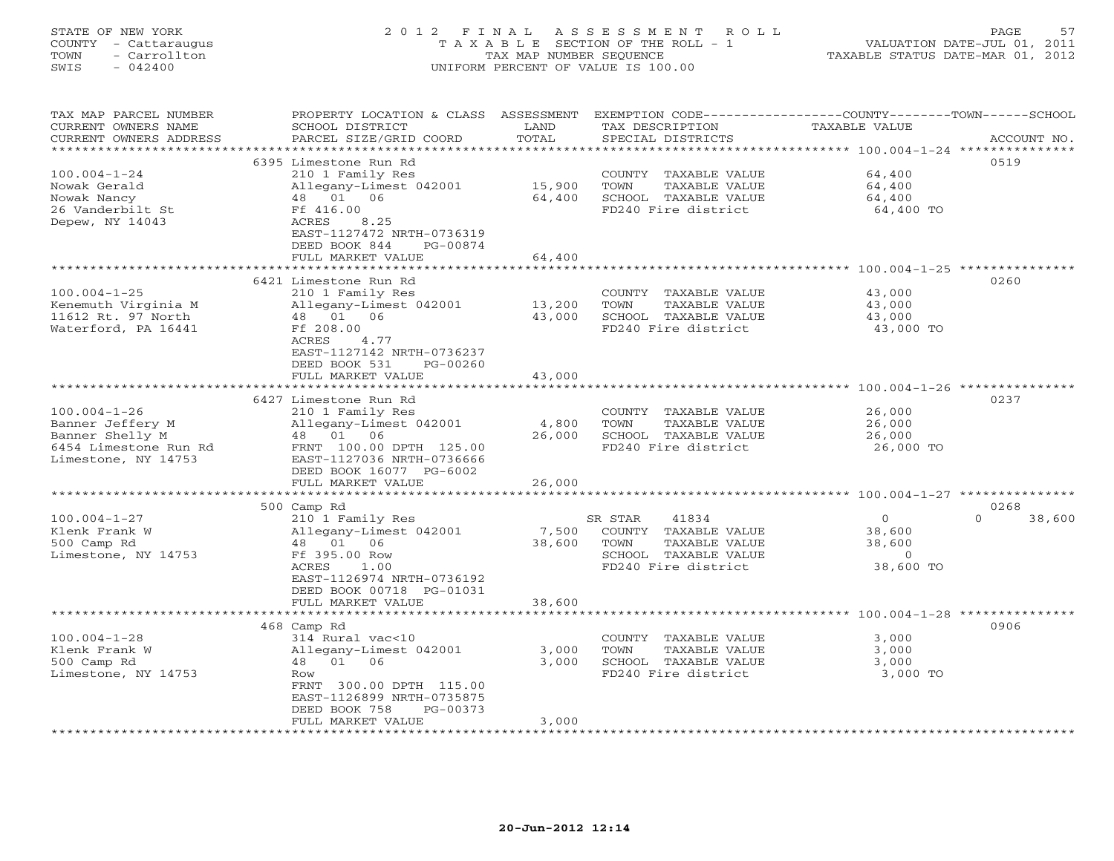# STATE OF NEW YORK 2 0 1 2 F I N A L A S S E S S M E N T R O L L PAGE 57 COUNTY - Cattaraugus T A X A B L E SECTION OF THE ROLL - 1 VALUATION DATE-JUL 01, 2011 TOWN - Carrollton TAX MAP NUMBER SEQUENCE TAXABLE STATUS DATE-MAR 01, 2012 SWIS - 042400 UNIFORM PERCENT OF VALUE IS 100.00UNIFORM PERCENT OF VALUE IS 100.00

| TAX MAP PARCEL NUMBER<br>CURRENT OWNERS NAME<br>CURRENT OWNERS ADDRESS | PROPERTY LOCATION & CLASS ASSESSMENT<br>SCHOOL DISTRICT<br>PARCEL SIZE/GRID COORD | LAND<br>TOTAL   | EXEMPTION CODE-----------------COUNTY-------TOWN------SCHOOL<br>TAX DESCRIPTION<br>SPECIAL DISTRICTS | <b>TAXABLE VALUE</b>                                         | ACCOUNT NO.        |
|------------------------------------------------------------------------|-----------------------------------------------------------------------------------|-----------------|------------------------------------------------------------------------------------------------------|--------------------------------------------------------------|--------------------|
|                                                                        | .                                                                                 | * * * * * * * * |                                                                                                      | ********** 100.004-1-24 ***                                  | ************       |
|                                                                        | 6395 Limestone Run Rd                                                             |                 |                                                                                                      |                                                              | 0519               |
| $100.004 - 1 - 24$                                                     | 210 1 Family Res                                                                  |                 | COUNTY TAXABLE VALUE                                                                                 | 64,400                                                       |                    |
| Nowak Gerald                                                           | Allegany-Limest 042001                                                            | 15,900          | TOWN<br>TAXABLE VALUE                                                                                | 64,400                                                       |                    |
| Nowak Nancy                                                            | 48 01 06                                                                          | 64,400          | SCHOOL TAXABLE VALUE                                                                                 | 64,400                                                       |                    |
| 26 Vanderbilt St                                                       | Ff 416.00                                                                         |                 | FD240 Fire district                                                                                  | 64,400 TO                                                    |                    |
| Depew, NY 14043                                                        | ACRES<br>8.25                                                                     |                 |                                                                                                      |                                                              |                    |
|                                                                        | EAST-1127472 NRTH-0736319<br>DEED BOOK 844<br>PG-00874                            |                 |                                                                                                      |                                                              |                    |
|                                                                        | FULL MARKET VALUE                                                                 | 64,400          |                                                                                                      |                                                              |                    |
|                                                                        |                                                                                   | ********        |                                                                                                      | ******************************* 100.004-1-25 *************** |                    |
|                                                                        | 6421 Limestone Run Rd                                                             |                 |                                                                                                      |                                                              | 0260               |
| $100.004 - 1 - 25$                                                     | 210 1 Family Res                                                                  |                 | COUNTY TAXABLE VALUE                                                                                 | 43,000                                                       |                    |
| Kenemuth Virginia M                                                    | Allegany-Limest 042001                                                            | 13,200          | TOWN<br>TAXABLE VALUE                                                                                | 43,000                                                       |                    |
| 11612 Rt. 97 North                                                     | 48  01  06                                                                        | 43,000          | SCHOOL TAXABLE VALUE                                                                                 | 43,000                                                       |                    |
| Waterford, PA 16441                                                    | Ff 208.00                                                                         |                 | FD240 Fire district                                                                                  | 43,000 TO                                                    |                    |
|                                                                        | ACRES<br>4.77                                                                     |                 |                                                                                                      |                                                              |                    |
|                                                                        | EAST-1127142 NRTH-0736237                                                         |                 |                                                                                                      |                                                              |                    |
|                                                                        | DEED BOOK 531<br>PG-00260                                                         |                 |                                                                                                      |                                                              |                    |
|                                                                        | FULL MARKET VALUE                                                                 | 43,000          |                                                                                                      |                                                              |                    |
|                                                                        |                                                                                   |                 |                                                                                                      | ******************** 100.004-1-26 ***************            | 0237               |
| $100.004 - 1 - 26$                                                     | 6427 Limestone Run Rd<br>210 1 Family Res                                         |                 | COUNTY TAXABLE VALUE                                                                                 | 26,000                                                       |                    |
| Banner Jeffery M                                                       | Allegany-Limest 042001                                                            | 4,800           | TOWN<br>TAXABLE VALUE                                                                                | 26,000                                                       |                    |
| Banner Shelly M                                                        | 48 01 06                                                                          | 26,000          | SCHOOL TAXABLE VALUE                                                                                 | 26,000                                                       |                    |
| 6454 Limestone Run Rd                                                  | FRNT 100.00 DPTH 125.00                                                           |                 | FD240 Fire district                                                                                  | 26,000 TO                                                    |                    |
| Limestone, NY 14753                                                    | EAST-1127036 NRTH-0736666                                                         |                 |                                                                                                      |                                                              |                    |
|                                                                        | DEED BOOK 16077 PG-6002                                                           |                 |                                                                                                      |                                                              |                    |
|                                                                        | FULL MARKET VALUE                                                                 | 26,000          |                                                                                                      |                                                              |                    |
|                                                                        | **********************                                                            |                 |                                                                                                      |                                                              |                    |
|                                                                        | 500 Camp Rd                                                                       |                 |                                                                                                      |                                                              | 0268               |
| $100.004 - 1 - 27$                                                     | 210 1 Family Res                                                                  |                 | SR STAR<br>41834                                                                                     | $\circ$                                                      | $\Omega$<br>38,600 |
| Klenk Frank W                                                          | Allegany-Limest 042001                                                            | 7,500           | COUNTY TAXABLE VALUE                                                                                 | 38,600                                                       |                    |
| 500 Camp Rd                                                            | 48 01 06                                                                          | 38,600          | TOWN<br>TAXABLE VALUE                                                                                | 38,600                                                       |                    |
| Limestone, NY 14753                                                    | Ff 395.00 Row                                                                     |                 | SCHOOL TAXABLE VALUE                                                                                 | $\circ$<br>38,600 TO                                         |                    |
|                                                                        | ACRES<br>1.00<br>EAST-1126974 NRTH-0736192                                        |                 | FD240 Fire district                                                                                  |                                                              |                    |
|                                                                        | DEED BOOK 00718 PG-01031                                                          |                 |                                                                                                      |                                                              |                    |
|                                                                        | FULL MARKET VALUE                                                                 | 38,600          |                                                                                                      |                                                              |                    |
|                                                                        | ***************************                                                       |                 |                                                                                                      |                                                              |                    |
|                                                                        | 468 Camp Rd                                                                       |                 |                                                                                                      |                                                              | 0906               |
| $100.004 - 1 - 28$                                                     | 314 Rural vac<10                                                                  |                 | COUNTY TAXABLE VALUE                                                                                 | 3,000                                                        |                    |
| Klenk Frank W                                                          | Allegany-Limest 042001                                                            | 3,000           | TOWN<br>TAXABLE VALUE                                                                                | 3,000                                                        |                    |
| 500 Camp Rd                                                            | 48  01  06                                                                        | 3,000           | SCHOOL TAXABLE VALUE                                                                                 | 3,000                                                        |                    |
| Limestone, NY 14753                                                    | Row                                                                               |                 | FD240 Fire district                                                                                  | 3,000 TO                                                     |                    |
|                                                                        | FRNT 300.00 DPTH 115.00                                                           |                 |                                                                                                      |                                                              |                    |
|                                                                        | EAST-1126899 NRTH-0735875                                                         |                 |                                                                                                      |                                                              |                    |
|                                                                        | DEED BOOK 758<br>PG-00373<br>FULL MARKET VALUE                                    | 3,000           |                                                                                                      |                                                              |                    |
|                                                                        |                                                                                   |                 |                                                                                                      |                                                              |                    |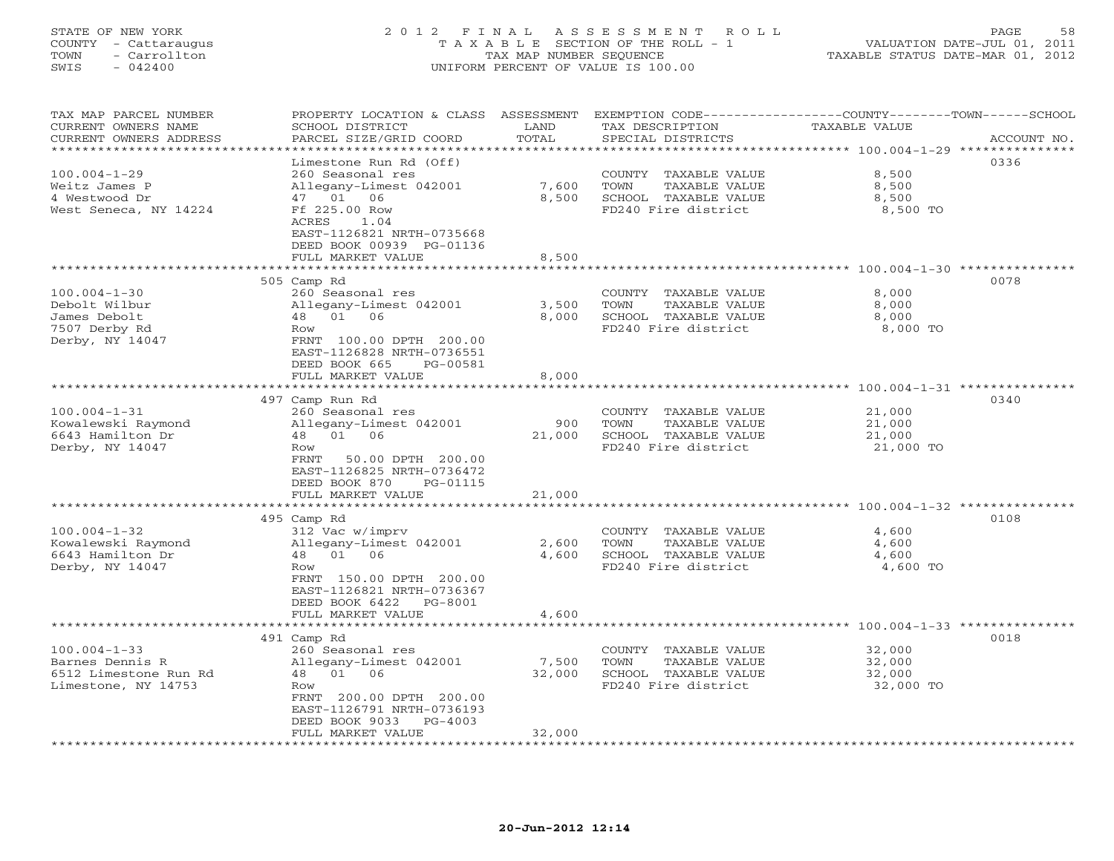# STATE OF NEW YORK 2 0 1 2 F I N A L A S S E S S M E N T R O L L PAGE 58 COUNTY - Cattaraugus T A X A B L E SECTION OF THE ROLL - 1 VALUATION DATE-JUL 01, 2011 TOWN - Carrollton TAX MAP NUMBER SEQUENCE TAXABLE STATUS DATE-MAR 01, 2012 SWIS - 042400 UNIFORM PERCENT OF VALUE IS 100.00UNIFORM PERCENT OF VALUE IS 100.00

| TAX MAP PARCEL NUMBER                            | PROPERTY LOCATION & CLASS                        | ASSESSMENT                | EXEMPTION CODE-----------------COUNTY-------TOWN-----SCHOOL         |                                                           |             |
|--------------------------------------------------|--------------------------------------------------|---------------------------|---------------------------------------------------------------------|-----------------------------------------------------------|-------------|
| CURRENT OWNERS NAME                              | SCHOOL DISTRICT                                  | LAND                      | TAX DESCRIPTION                                                     | TAXABLE VALUE                                             |             |
| CURRENT OWNERS ADDRESS<br>********************** | PARCEL SIZE/GRID COORD<br>********************** | TOTAL<br>**************** | SPECIAL DISTRICTS                                                   |                                                           | ACCOUNT NO. |
|                                                  | Limestone Run Rd (Off)                           |                           | ************************************** 100.004-1-29 *************** |                                                           | 0336        |
| $100.004 - 1 - 29$                               | 260 Seasonal res                                 |                           | COUNTY<br>TAXABLE VALUE                                             | 8,500                                                     |             |
| Weitz James P                                    | Allegany-Limest 042001                           | 7,600                     | TOWN<br>TAXABLE VALUE                                               | 8,500                                                     |             |
| 4 Westwood Dr                                    | 47 01 06                                         | 8,500                     | SCHOOL TAXABLE VALUE                                                | 8,500                                                     |             |
| West Seneca, NY 14224                            | Ff 225.00 Row                                    |                           | FD240 Fire district                                                 | 8,500 TO                                                  |             |
|                                                  | ACRES<br>1.04                                    |                           |                                                                     |                                                           |             |
|                                                  | EAST-1126821 NRTH-0735668                        |                           |                                                                     |                                                           |             |
|                                                  | DEED BOOK 00939 PG-01136                         |                           |                                                                     |                                                           |             |
|                                                  | FULL MARKET VALUE                                | 8,500<br>$+ + + + +$      |                                                                     |                                                           |             |
|                                                  |                                                  |                           |                                                                     | ********** 100.004-1-30 **********                        | 0078        |
| $100.004 - 1 - 30$                               | 505 Camp Rd<br>260 Seasonal res                  |                           | COUNTY TAXABLE VALUE                                                | 8,000                                                     |             |
| Debolt Wilbur                                    | Allegany-Limest 042001                           | 3,500                     | TOWN<br>TAXABLE VALUE                                               | 8,000                                                     |             |
| James Debolt                                     | 01 06<br>48                                      | 8,000                     | SCHOOL TAXABLE VALUE                                                | 8,000                                                     |             |
| 7507 Derby Rd                                    | Row                                              |                           | FD240 Fire district                                                 | 8,000 TO                                                  |             |
| Derby, NY 14047                                  | FRNT 100.00 DPTH 200.00                          |                           |                                                                     |                                                           |             |
|                                                  | EAST-1126828 NRTH-0736551                        |                           |                                                                     |                                                           |             |
|                                                  | DEED BOOK 665<br>PG-00581                        |                           |                                                                     |                                                           |             |
|                                                  | FULL MARKET VALUE                                | 8,000                     |                                                                     |                                                           |             |
|                                                  | ***********************                          | ***********               |                                                                     |                                                           |             |
|                                                  | 497 Camp Run Rd                                  |                           |                                                                     |                                                           | 0340        |
| $100.004 - 1 - 31$<br>Kowalewski Raymond         | 260 Seasonal res<br>Allegany-Limest 042001       | 900                       | COUNTY TAXABLE VALUE<br>TOWN<br>TAXABLE VALUE                       | 21,000<br>21,000                                          |             |
| 6643 Hamilton Dr                                 | 48<br>01<br>06                                   | 21,000                    | SCHOOL TAXABLE VALUE                                                | 21,000                                                    |             |
| Derby, NY 14047                                  | Row                                              |                           | FD240 Fire district                                                 | 21,000 TO                                                 |             |
|                                                  | FRNT<br>50.00 DPTH 200.00                        |                           |                                                                     |                                                           |             |
|                                                  | EAST-1126825 NRTH-0736472                        |                           |                                                                     |                                                           |             |
|                                                  | DEED BOOK 870<br>PG-01115                        |                           |                                                                     |                                                           |             |
|                                                  | FULL MARKET VALUE                                | 21,000                    |                                                                     |                                                           |             |
|                                                  | **********************                           | ***********               |                                                                     | ********************************* 100.004-1-32 ********** |             |
|                                                  | 495 Camp Rd                                      |                           |                                                                     |                                                           | 0108        |
| $100.004 - 1 - 32$<br>Kowalewski Raymond         | 312 Vac w/imprv<br>Allegany-Limest 042001        | 2,600                     | COUNTY TAXABLE VALUE<br>TOWN<br>TAXABLE VALUE                       | 4,600<br>4,600                                            |             |
| 6643 Hamilton Dr                                 | 01<br>48<br>06                                   | 4,600                     | SCHOOL TAXABLE VALUE                                                | 4,600                                                     |             |
| Derby, NY 14047                                  | Row                                              |                           | FD240 Fire district                                                 | 4,600 TO                                                  |             |
|                                                  | FRNT 150.00 DPTH 200.00                          |                           |                                                                     |                                                           |             |
|                                                  | EAST-1126821 NRTH-0736367                        |                           |                                                                     |                                                           |             |
|                                                  | DEED BOOK 6422<br>PG-8001                        |                           |                                                                     |                                                           |             |
|                                                  | FULL MARKET VALUE                                | 4,600                     |                                                                     |                                                           |             |
|                                                  | *******************                              |                           |                                                                     |                                                           |             |
| $100.004 - 1 - 33$                               | 491 Camp Rd                                      |                           |                                                                     |                                                           | 0018        |
| Barnes Dennis R                                  | 260 Seasonal res<br>Allegany-Limest 042001       | 7,500                     | COUNTY<br>TAXABLE VALUE<br>TOWN<br>TAXABLE VALUE                    | 32,000<br>32,000                                          |             |
| 6512 Limestone Run Rd                            | 01<br>06<br>48                                   | 32,000                    | SCHOOL TAXABLE VALUE                                                | 32,000                                                    |             |
| Limestone, NY 14753                              | Row                                              |                           | FD240 Fire district                                                 | 32,000 TO                                                 |             |
|                                                  | FRNT 200.00 DPTH 200.00                          |                           |                                                                     |                                                           |             |
|                                                  | EAST-1126791 NRTH-0736193                        |                           |                                                                     |                                                           |             |
|                                                  | DEED BOOK 9033<br>$PG-4003$                      |                           |                                                                     |                                                           |             |
|                                                  | FULL MARKET VALUE                                | 32,000                    |                                                                     |                                                           |             |
|                                                  | * * * * * * * * * * * * * * * * * *              |                           | ********************                                                |                                                           |             |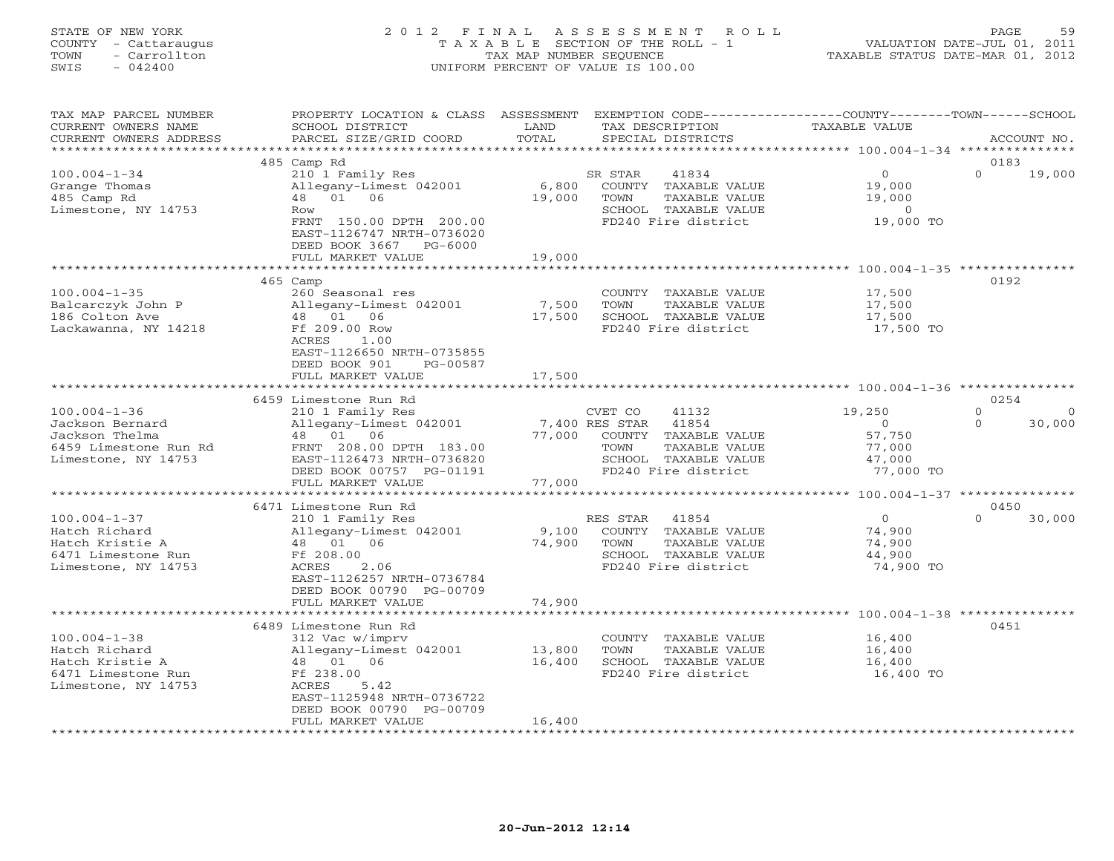# STATE OF NEW YORK 2 0 1 2 F I N A L A S S E S S M E N T R O L L PAGE 59 COUNTY - Cattaraugus T A X A B L E SECTION OF THE ROLL - 1 VALUATION DATE-JUL 01, 2011 TOWN - Carrollton TAX MAP NUMBER SEQUENCE TAXABLE STATUS DATE-MAR 01, 2012 SWIS - 042400 UNIFORM PERCENT OF VALUE IS 100.00UNIFORM PERCENT OF VALUE IS 100.00

| TAX MAP PARCEL NUMBER                              | PROPERTY LOCATION & CLASS ASSESSMENT          |                                                   | EXEMPTION CODE-----------------COUNTY-------TOWN------SCHOOL |
|----------------------------------------------------|-----------------------------------------------|---------------------------------------------------|--------------------------------------------------------------|
| CURRENT OWNERS NAME                                | SCHOOL DISTRICT                               | TAX DESCRIPTION<br>LAND                           | <b>TAXABLE VALUE</b>                                         |
| CURRENT OWNERS ADDRESS<br>************************ | PARCEL SIZE/GRID COORD                        | TOTAL<br>SPECIAL DISTRICTS                        | ACCOUNT NO.                                                  |
|                                                    |                                               |                                                   |                                                              |
| $100.004 - 1 - 34$                                 | 485 Camp Rd                                   |                                                   | 0183<br>$\Omega$<br>$\Omega$                                 |
| Grange Thomas                                      | 210 1 Family Res<br>Allegany-Limest 042001    | 41834<br>SR STAR<br>6,800<br>COUNTY TAXABLE VALUE | 19,000<br>19,000                                             |
| 485 Camp Rd                                        | 48  01  06                                    | 19,000<br>TOWN<br>TAXABLE VALUE                   | 19,000                                                       |
| Limestone, NY 14753                                | Row                                           | SCHOOL TAXABLE VALUE                              | $\overline{0}$                                               |
|                                                    | FRNT 150.00 DPTH 200.00                       | FD240 Fire district                               | 19,000 TO                                                    |
|                                                    | EAST-1126747 NRTH-0736020                     |                                                   |                                                              |
|                                                    | DEED BOOK 3667<br>PG-6000                     |                                                   |                                                              |
|                                                    | FULL MARKET VALUE                             | 19,000                                            |                                                              |
|                                                    |                                               | **********                                        |                                                              |
|                                                    | 465 Camp                                      |                                                   | 0192                                                         |
| $100.004 - 1 - 35$                                 | 260 Seasonal res                              | COUNTY TAXABLE VALUE                              | 17,500                                                       |
| Balcarczyk John P                                  | Allegany-Limest 042001                        | 7,500<br>TOWN<br>TAXABLE VALUE                    | 17,500                                                       |
| 186 Colton Ave                                     | 48  01  06                                    | SCHOOL TAXABLE VALUE<br>17,500                    | 17,500                                                       |
| Lackawanna, NY 14218                               | Ff 209.00 Row                                 | FD240 Fire district                               | 17,500 TO                                                    |
|                                                    | ACRES<br>1.00                                 |                                                   |                                                              |
|                                                    | EAST-1126650 NRTH-0735855                     |                                                   |                                                              |
|                                                    | DEED BOOK 901<br>PG-00587                     |                                                   |                                                              |
|                                                    | FULL MARKET VALUE                             | 17,500                                            |                                                              |
|                                                    | 6459 Limestone Run Rd                         |                                                   | 0254                                                         |
| $100.004 - 1 - 36$                                 | 210 1 Family Res                              | CVET CO<br>41132                                  | 19,250<br>$\circ$<br>$\Omega$                                |
| Jackson Bernard                                    | Allegany-Limest 042001                        | 7,400 RES STAR<br>41854                           | $\Omega$<br>30,000<br>$\Omega$                               |
| Jackson Thelma                                     | 48 01 06                                      | 77,000<br>COUNTY TAXABLE VALUE                    | 57,750                                                       |
| 6459 Limestone Run Rd                              | FRNT 208.00 DPTH 183.00                       | TOWN<br>TAXABLE VALUE                             | 77,000                                                       |
| Limestone, NY 14753                                | EAST-1126473 NRTH-0736820                     | SCHOOL TAXABLE VALUE                              | 47,000                                                       |
|                                                    | DEED BOOK 00757 PG-01191                      | FD240 Fire district                               | 77,000 TO                                                    |
|                                                    | FULL MARKET VALUE                             | 77,000                                            |                                                              |
|                                                    |                                               |                                                   |                                                              |
|                                                    | 6471 Limestone Run Rd                         |                                                   | 0450                                                         |
| $100.004 - 1 - 37$                                 | 210 1 Family Res                              | RES STAR<br>41854                                 | $\Omega$<br>$\Omega$<br>30,000                               |
| Hatch Richard                                      | Allegany-Limest 042001                        | 9,100<br>COUNTY<br>TAXABLE VALUE                  | 74,900                                                       |
| Hatch Kristie A                                    | 48 01 06                                      | 74,900<br>TOWN<br>TAXABLE VALUE                   | 74,900                                                       |
| 6471 Limestone Run                                 | Ff 208.00                                     | SCHOOL TAXABLE VALUE                              | 44,900                                                       |
| Limestone, NY 14753                                | ACRES<br>2.06                                 | FD240 Fire district                               | 74,900 TO                                                    |
|                                                    | EAST-1126257 NRTH-0736784                     |                                                   |                                                              |
|                                                    | DEED BOOK 00790 PG-00709<br>FULL MARKET VALUE | 74,900                                            |                                                              |
|                                                    |                                               | ***********                                       | ******************************** 100.004-1-38 *********      |
|                                                    | 6489 Limestone Run Rd                         |                                                   | 0451                                                         |
| $100.004 - 1 - 38$                                 | 312 Vac w/imprv                               | COUNTY TAXABLE VALUE                              | 16,400                                                       |
| Hatch Richard                                      | Allegany-Limest 042001                        | TAXABLE VALUE<br>13,800<br>TOWN                   | 16,400                                                       |
| Hatch Kristie A                                    | 48  01  06                                    | 16,400<br>SCHOOL TAXABLE VALUE                    | 16,400                                                       |
| 6471 Limestone Run                                 | Ff 238.00                                     | FD240 Fire district                               | 16,400 TO                                                    |
| Limestone, NY 14753                                | ACRES<br>5.42                                 |                                                   |                                                              |
|                                                    | EAST-1125948 NRTH-0736722                     |                                                   |                                                              |
|                                                    | DEED BOOK 00790 PG-00709                      |                                                   |                                                              |
|                                                    | FULL MARKET VALUE                             | 16,400                                            |                                                              |
|                                                    | *********************                         |                                                   |                                                              |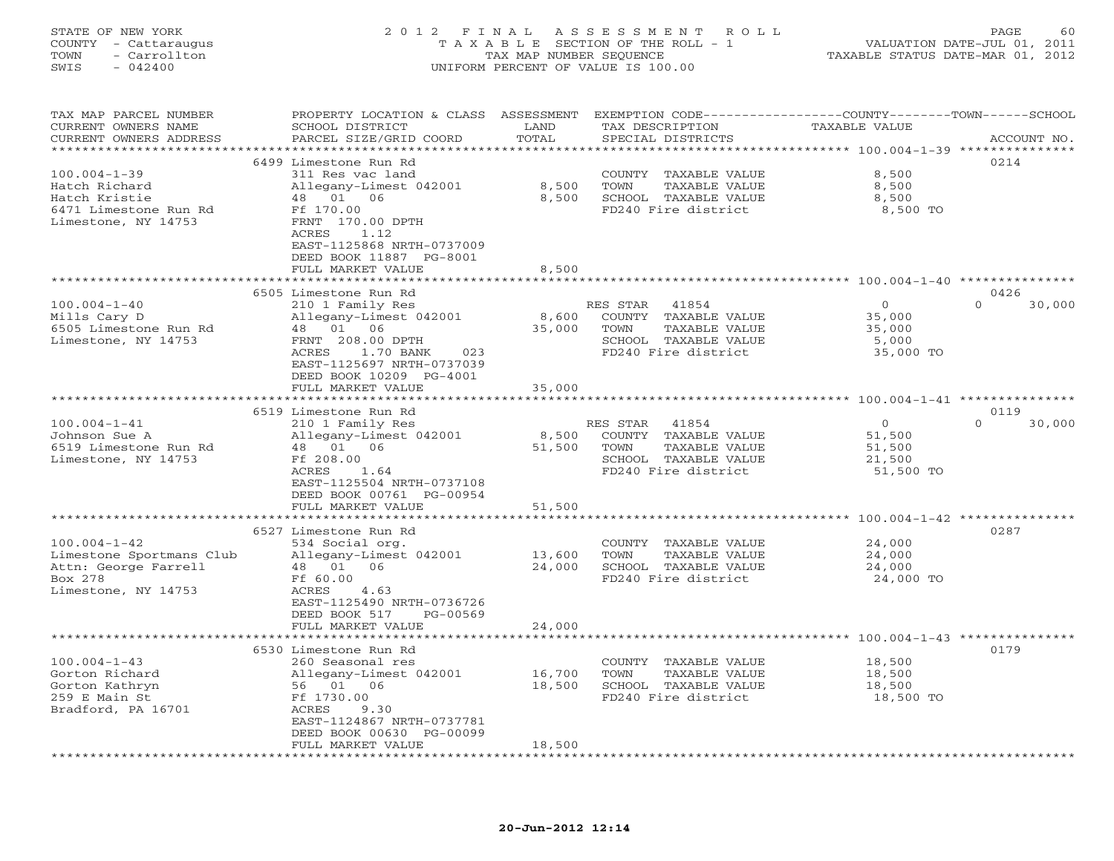## STATE OF NEW YORK 2 0 1 2 F I N A L A S S E S S M E N T R O L L PAGE 60 COUNTY - Cattaraugus T A X A B L E SECTION OF THE ROLL - 1 VALUATION DATE-JUL 01, 2011 TOWN - Carrollton TAX MAP NUMBER SEQUENCE TAXABLE STATUS DATE-MAR 01, 2012 SWIS - 042400 UNIFORM PERCENT OF VALUE IS 100.00UNIFORM PERCENT OF VALUE IS 100.00

| TAX MAP PARCEL NUMBER<br>CURRENT OWNERS NAME<br>CURRENT OWNERS ADDRESS | PROPERTY LOCATION & CLASS ASSESSMENT<br>SCHOOL DISTRICT<br>PARCEL SIZE/GRID COORD | LAND<br>TOTAL         | EXEMPTION CODE-----------------COUNTY-------TOWN------SCHOOL<br>TAX DESCRIPTION<br>SPECIAL DISTRICTS | TAXABLE VALUE                                 | ACCOUNT NO.        |
|------------------------------------------------------------------------|-----------------------------------------------------------------------------------|-----------------------|------------------------------------------------------------------------------------------------------|-----------------------------------------------|--------------------|
|                                                                        | * * * * * * * * * * * * * * * *                                                   | * * * * * * * * :     |                                                                                                      | ********** 100.004-1-39 ***                   | ************       |
|                                                                        | 6499 Limestone Run Rd                                                             |                       |                                                                                                      |                                               | 0214               |
| $100.004 - 1 - 39$                                                     | 311 Res vac land                                                                  |                       | COUNTY TAXABLE VALUE                                                                                 | 8,500                                         |                    |
| Hatch Richard                                                          | Allegany-Limest 042001                                                            | 8,500                 | TOWN<br>TAXABLE VALUE                                                                                | 8,500                                         |                    |
| Hatch Kristie                                                          | 48 01<br>06                                                                       | 8,500                 | SCHOOL TAXABLE VALUE                                                                                 | 8,500                                         |                    |
| 6471 Limestone Run Rd                                                  | Ff 170.00                                                                         |                       | FD240 Fire district                                                                                  | 8,500 TO                                      |                    |
| Limestone, NY 14753                                                    | FRNT 170.00 DPTH                                                                  |                       |                                                                                                      |                                               |                    |
|                                                                        | ACRES<br>1.12                                                                     |                       |                                                                                                      |                                               |                    |
|                                                                        | EAST-1125868 NRTH-0737009                                                         |                       |                                                                                                      |                                               |                    |
|                                                                        | DEED BOOK 11887 PG-8001                                                           |                       |                                                                                                      |                                               |                    |
|                                                                        | FULL MARKET VALUE                                                                 | 8,500                 |                                                                                                      |                                               |                    |
|                                                                        |                                                                                   |                       |                                                                                                      |                                               |                    |
|                                                                        | 6505 Limestone Run Rd                                                             |                       |                                                                                                      |                                               | 0426               |
| $100.004 - 1 - 40$                                                     | 210 1 Family Res                                                                  |                       | RES STAR<br>41854                                                                                    | $\circ$                                       | $\Omega$<br>30,000 |
| Mills Cary D                                                           | Allegany-Limest 042001                                                            | 8,600                 | COUNTY TAXABLE VALUE                                                                                 | 35,000                                        |                    |
| 6505 Limestone Run Rd                                                  | 48 01 06                                                                          | 35,000                | TOWN<br>TAXABLE VALUE                                                                                | 35,000                                        |                    |
| Limestone, NY 14753                                                    | FRNT 208.00 DPTH                                                                  |                       | SCHOOL TAXABLE VALUE                                                                                 | 5,000                                         |                    |
|                                                                        | 1.70 BANK<br>ACRES<br>023                                                         |                       | FD240 Fire district                                                                                  | 35,000 TO                                     |                    |
|                                                                        | EAST-1125697 NRTH-0737039                                                         |                       |                                                                                                      |                                               |                    |
|                                                                        | DEED BOOK 10209 PG-4001                                                           |                       |                                                                                                      |                                               |                    |
|                                                                        | FULL MARKET VALUE                                                                 | 35,000                |                                                                                                      |                                               |                    |
|                                                                        | *************                                                                     |                       |                                                                                                      |                                               |                    |
|                                                                        | 6519 Limestone Run Rd                                                             |                       |                                                                                                      |                                               | 0119               |
| $100.004 - 1 - 41$                                                     | 210 1 Family Res                                                                  |                       | RES STAR<br>41854                                                                                    | $\Omega$                                      | $\Omega$<br>30,000 |
| Johnson Sue A                                                          | Allegany-Limest 042001                                                            | 8,500                 | COUNTY TAXABLE VALUE                                                                                 | 51,500                                        |                    |
| 6519 Limestone Run Rd                                                  | 48 01 06                                                                          | 51,500                | TOWN<br>TAXABLE VALUE                                                                                | 51,500                                        |                    |
| Limestone, NY 14753                                                    | Ff 208.00                                                                         |                       | SCHOOL TAXABLE VALUE                                                                                 | 21,500                                        |                    |
|                                                                        | 1.64<br>ACRES                                                                     |                       | FD240 Fire district                                                                                  | 51,500 TO                                     |                    |
|                                                                        | EAST-1125504 NRTH-0737108                                                         |                       |                                                                                                      |                                               |                    |
|                                                                        | DEED BOOK 00761 PG-00954                                                          |                       |                                                                                                      |                                               |                    |
|                                                                        | FULL MARKET VALUE                                                                 | 51,500                |                                                                                                      |                                               |                    |
|                                                                        | + + + + + + + + + + + + + + +                                                     | ******                |                                                                                                      | ******************** 100.004-1-42 *********** |                    |
|                                                                        | 6527 Limestone Run Rd                                                             |                       |                                                                                                      |                                               | 0287               |
| $100.004 - 1 - 42$                                                     | 534 Social org.                                                                   |                       | COUNTY TAXABLE VALUE                                                                                 | 24,000                                        |                    |
| Limestone Sportmans Club                                               | Allegany-Limest 042001                                                            | 13,600                | TOWN<br>TAXABLE VALUE                                                                                | 24,000                                        |                    |
| Attn: George Farrell                                                   | 01<br>06<br>48                                                                    | 24,000                | SCHOOL TAXABLE VALUE                                                                                 | 24,000                                        |                    |
| Box 278                                                                | Ff 60.00                                                                          |                       | FD240 Fire district                                                                                  | 24,000 TO                                     |                    |
| Limestone, NY 14753                                                    | ACRES<br>4.63                                                                     |                       |                                                                                                      |                                               |                    |
|                                                                        | EAST-1125490 NRTH-0736726                                                         |                       |                                                                                                      |                                               |                    |
|                                                                        | DEED BOOK 517<br>$PG-00569$                                                       |                       |                                                                                                      |                                               |                    |
|                                                                        | FULL MARKET VALUE                                                                 | 24,000                |                                                                                                      |                                               |                    |
|                                                                        | **********************                                                            | * * * * * * * * * * * |                                                                                                      | ********************* 100.004-1-43 *********  |                    |
|                                                                        | 6530 Limestone Run Rd                                                             |                       |                                                                                                      |                                               | 0179               |
| $100.004 - 1 - 43$                                                     | 260 Seasonal res                                                                  |                       | COUNTY TAXABLE VALUE                                                                                 | 18,500                                        |                    |
| Gorton Richard                                                         | Allegany-Limest 042001                                                            | 16,700                | TOWN<br>TAXABLE VALUE                                                                                | 18,500                                        |                    |
| Gorton Kathryn                                                         | 56 01 06                                                                          | 18,500                | SCHOOL TAXABLE VALUE                                                                                 | 18,500                                        |                    |
| 259 E Main St                                                          | Ff 1730.00                                                                        |                       | FD240 Fire district                                                                                  | 18,500 TO                                     |                    |
| Bradford, PA 16701                                                     | ACRES<br>9.30                                                                     |                       |                                                                                                      |                                               |                    |
|                                                                        | EAST-1124867 NRTH-0737781                                                         |                       |                                                                                                      |                                               |                    |
|                                                                        | DEED BOOK 00630 PG-00099                                                          |                       |                                                                                                      |                                               |                    |
|                                                                        | FULL MARKET VALUE                                                                 | 18,500                |                                                                                                      |                                               |                    |
|                                                                        |                                                                                   |                       |                                                                                                      |                                               |                    |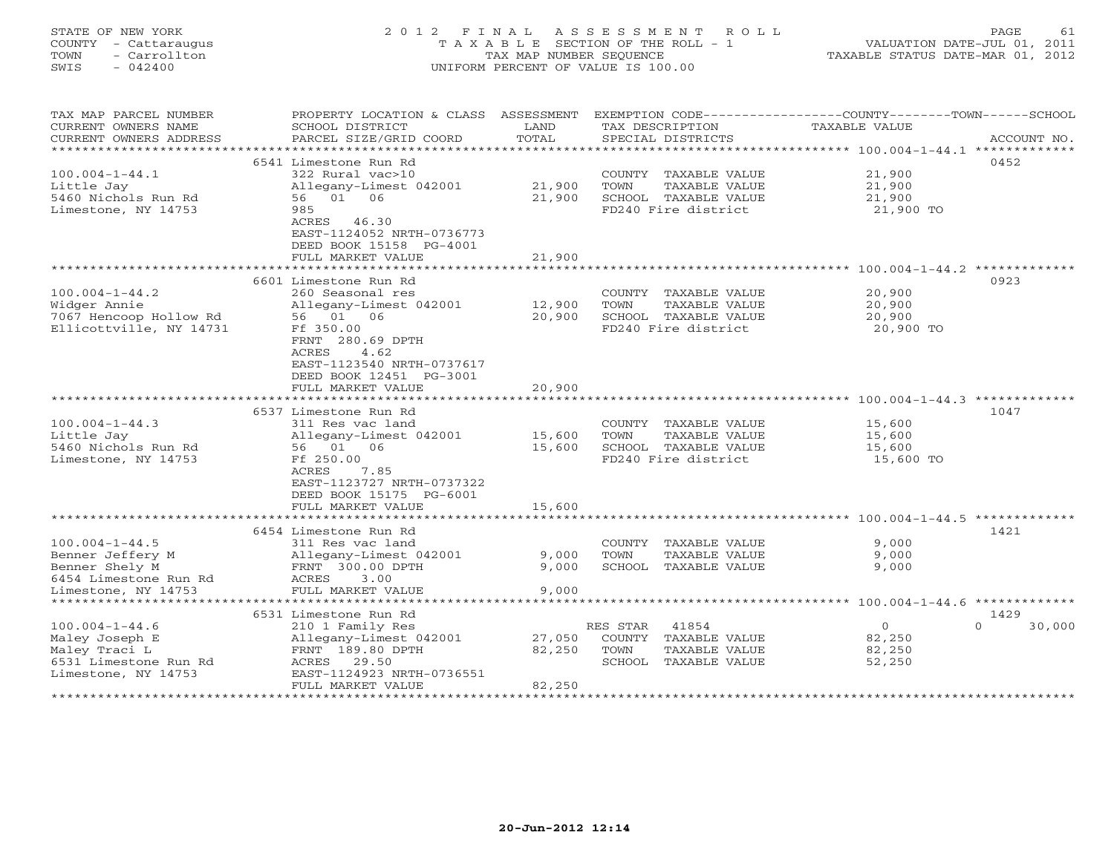# STATE OF NEW YORK 2 0 1 2 F I N A L A S S E S S M E N T R O L L PAGE 61 COUNTY - Cattaraugus T A X A B L E SECTION OF THE ROLL - 1 VALUATION DATE-JUL 01, 2011 TOWN - Carrollton TAX MAP NUMBER SEQUENCE TAXABLE STATUS DATE-MAR 01, 2012 SWIS - 042400 UNIFORM PERCENT OF VALUE IS 100.00UNIFORM PERCENT OF VALUE IS 100.00

| EXEMPTION CODE----------------COUNTY-------TOWN-----SCHOOL<br>TAX MAP PARCEL NUMBER<br>PROPERTY LOCATION & CLASS ASSESSMENT<br>CURRENT OWNERS NAME<br>TAX DESCRIPTION<br><b>TAXABLE VALUE</b><br>SCHOOL DISTRICT<br>LAND<br>TOTAL<br>CURRENT OWNERS ADDRESS<br>PARCEL SIZE/GRID COORD<br>SPECIAL DISTRICTS                                                                                    | ACCOUNT NO.                |
|-----------------------------------------------------------------------------------------------------------------------------------------------------------------------------------------------------------------------------------------------------------------------------------------------------------------------------------------------------------------------------------------------|----------------------------|
| **********************                                                                                                                                                                                                                                                                                                                                                                        |                            |
| 6541 Limestone Run Rd<br>$100.004 - 1 - 44.1$<br>322 Rural vac>10<br>21,900<br>COUNTY TAXABLE VALUE<br>21,900<br>21,900<br>Little Jay<br>Allegany-Limest 042001<br>TOWN<br>TAXABLE VALUE<br>56 01 06<br>5460 Nichols Run Rd<br>21,900<br>SCHOOL TAXABLE VALUE<br>21,900                                                                                                                       | 0452                       |
| 985<br>FD240 Fire district<br>21,900 TO<br>Limestone, NY 14753<br>ACRES 46.30<br>EAST-1124052 NRTH-0736773<br>DEED BOOK 15158 PG-4001<br>FULL MARKET VALUE<br>21,900                                                                                                                                                                                                                          |                            |
| **********************<br>****************** 100.004-1-44.2                                                                                                                                                                                                                                                                                                                                   |                            |
| 6601 Limestone Run Rd                                                                                                                                                                                                                                                                                                                                                                         | 0923                       |
| $100.004 - 1 - 44.2$<br>260 Seasonal res<br>COUNTY TAXABLE VALUE<br>20,900<br>Widger Annie<br>12,900<br>TAXABLE VALUE<br>20,900<br>Allegany-Limest 042001<br>TOWN<br>7067 Hencoop Hollow Rd<br>56 01 06<br>20,900<br>SCHOOL TAXABLE VALUE<br>20,900<br>Ellicottville, NY 14731<br>Ff 350.00<br>FD240 Fire district<br>20,900 TO<br>FRNT 280.69 DPTH                                           |                            |
| ACRES<br>4.62<br>EAST-1123540 NRTH-0737617<br>DEED BOOK 12451 PG-3001<br>20,900<br>FULL MARKET VALUE<br>*******************<br>********                                                                                                                                                                                                                                                       |                            |
| ****************** 100.004-1-44.3 *********                                                                                                                                                                                                                                                                                                                                                   |                            |
| 6537 Limestone Run Rd<br>$100.004 - 1 - 44.3$<br>311 Res vac land<br>COUNTY TAXABLE VALUE<br>15,600<br>Little Jay<br>15,600<br>TAXABLE VALUE<br>Allegany-Limest 042001<br>TOWN<br>15,600<br>5460 Nichols Run Rd<br>56 01 06<br>SCHOOL TAXABLE VALUE<br>15,600<br>15,600<br>FD240 Fire district<br>Limestone, NY 14753<br>Ff 250.00<br>15,600 TO<br>7.85<br>ACRES<br>EAST-1123727 NRTH-0737322 | 1047                       |
| DEED BOOK 15175 PG-6001                                                                                                                                                                                                                                                                                                                                                                       |                            |
| 15,600<br>FULL MARKET VALUE                                                                                                                                                                                                                                                                                                                                                                   |                            |
| 6454 Limestone Run Rd                                                                                                                                                                                                                                                                                                                                                                         | 1421                       |
| $100.004 - 1 - 44.5$<br>COUNTY TAXABLE VALUE<br>9,000<br>311 Res vac land                                                                                                                                                                                                                                                                                                                     |                            |
| Benner Jeffery M<br>9,000<br>TAXABLE VALUE<br>9,000<br>Allegany-Limest 042001<br>TOWN                                                                                                                                                                                                                                                                                                         |                            |
| 9,000<br>9,000<br>Benner Shely M<br>FRNT 300.00 DPTH<br>SCHOOL TAXABLE VALUE                                                                                                                                                                                                                                                                                                                  |                            |
| 6454 Limestone Run Rd<br>ACRES<br>3.00                                                                                                                                                                                                                                                                                                                                                        |                            |
| FULL MARKET VALUE<br>9.000<br>Limestone, NY 14753<br>******************                                                                                                                                                                                                                                                                                                                       |                            |
|                                                                                                                                                                                                                                                                                                                                                                                               |                            |
| 6531 Limestone Run Rd<br>$100.004 - 1 - 44.6$<br>41854<br>$\circ$<br>210 1 Family Res<br>RES STAR                                                                                                                                                                                                                                                                                             | 1429<br>$\Omega$<br>30,000 |
| 27,050<br>82,250<br>Maley Joseph E<br>Allegany-Limest 042001<br>COUNTY TAXABLE VALUE                                                                                                                                                                                                                                                                                                          |                            |
| Maley Traci L<br>FRNT 189.80 DPTH<br>82,250<br>TOWN<br>TAXABLE VALUE<br>82,250                                                                                                                                                                                                                                                                                                                |                            |
| 6531 Limestone Run Rd<br>ACRES 29.50<br>SCHOOL TAXABLE VALUE<br>52,250                                                                                                                                                                                                                                                                                                                        |                            |
| EAST-1124923 NRTH-0736551<br>Limestone, NY 14753                                                                                                                                                                                                                                                                                                                                              |                            |
| FULL MARKET VALUE<br>82,250<br>********************************                                                                                                                                                                                                                                                                                                                               |                            |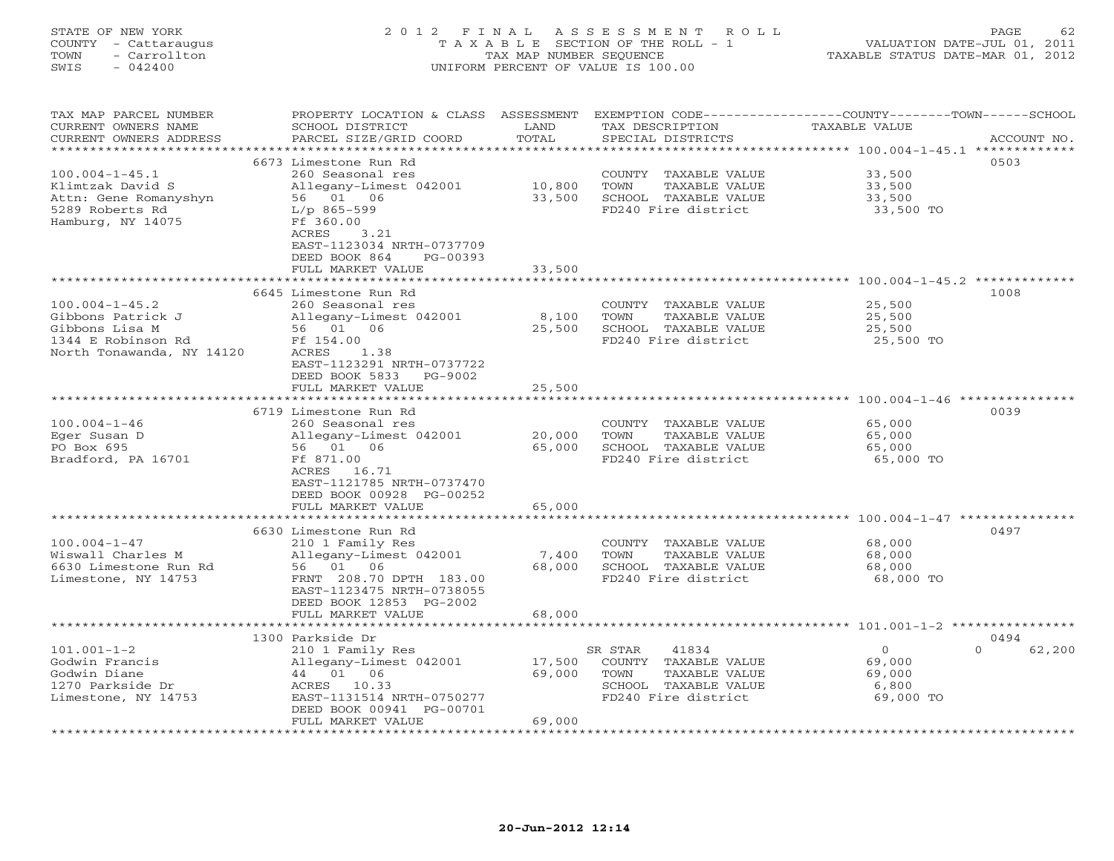# STATE OF NEW YORK 2 0 1 2 F I N A L A S S E S S M E N T R O L L PAGE 62 COUNTY - Cattaraugus T A X A B L E SECTION OF THE ROLL - 1 VALUATION DATE-JUL 01, 2011 TOWN - Carrollton TAX MAP NUMBER SEQUENCE TAXABLE STATUS DATE-MAR 01, 2012 SWIS - 042400 UNIFORM PERCENT OF VALUE IS 100.00

TAX MAP PARCEL NUMBER PROPERTY LOCATION & CLASS ASSESSMENT EXEMPTION CODE------------------COUNTY--------TOWN------SCHOOL CURRENT OWNERS NAME SCHOOL DISTRICT LAND TAX DESCRIPTION TAXABLE VALUE CURRENT OWNERS ADDRESS BARCEL SIZE/GRID COORD TOTAL SPECIAL DISTRICTS SECOUNT NO. \*\*\*\*\*\*\*\*\*\*\*\*\*\*\*\*\*\*\*\*\*\*\*\*\*\*\*\*\*\*\*\*\*\*\*\*\*\*\*\*\*\*\*\*\*\*\*\*\*\*\*\*\*\*\*\*\*\*\*\*\*\*\*\*\*\*\*\*\*\*\*\*\*\*\*\*\*\*\*\*\*\*\*\*\*\*\*\*\*\*\*\*\*\*\*\*\*\*\*\*\*\*\* 100.004-1-45.1 \*\*\*\*\*\*\*\*\*\*\*\*\* 6673 Limestone Run Rd 0503100.004-1-45.1 260 Seasonal res COUNTY TAXABLE VALUE 33,500 Klimtzak David S Allegany-Limest 042001 10,800 TOWN TAXABLE VALUE 33,500 Attn: Gene Romanyshyn 56 01 06 33,500 SCHOOL TAXABLE VALUE 33,500 5289 Roberts Rd L/p 865-599 FD240 Fire district 33,500 TO Hamburg, NY 14075 Ff 360.00 ACRES 3.21 EAST-1123034 NRTH-0737709 DEED BOOK 864 PG-00393FULL MARKET VALUE 33,500 \*\*\*\*\*\*\*\*\*\*\*\*\*\*\*\*\*\*\*\*\*\*\*\*\*\*\*\*\*\*\*\*\*\*\*\*\*\*\*\*\*\*\*\*\*\*\*\*\*\*\*\*\*\*\*\*\*\*\*\*\*\*\*\*\*\*\*\*\*\*\*\*\*\*\*\*\*\*\*\*\*\*\*\*\*\*\*\*\*\*\*\*\*\*\*\*\*\*\*\*\*\*\* 100.004-1-45.2 \*\*\*\*\*\*\*\*\*\*\*\*\* 6645 Limestone Run Rd 1008100.004-1-45.2 260 Seasonal res COUNTY TAXABLE VALUE 25,500 Gibbons Patrick J Allegany-Limest 042001 8,100 TOWN TAXABLE VALUE 25,500 Gibbons Lisa M 56 01 06 25,500 SCHOOL TAXABLE VALUE 25,500 1344 E Robinson Rd Ff 154.00 FD240 Fire district 25,500 TO North Tonawanda, NY 14120 ACRES 1.38 EAST-1123291 NRTH-0737722 DEED BOOK 5833 PG-9002FULL MARKET VALUE 25,500 \*\*\*\*\*\*\*\*\*\*\*\*\*\*\*\*\*\*\*\*\*\*\*\*\*\*\*\*\*\*\*\*\*\*\*\*\*\*\*\*\*\*\*\*\*\*\*\*\*\*\*\*\*\*\*\*\*\*\*\*\*\*\*\*\*\*\*\*\*\*\*\*\*\*\*\*\*\*\*\*\*\*\*\*\*\*\*\*\*\*\*\*\*\*\*\*\*\*\*\*\*\*\* 100.004-1-46 \*\*\*\*\*\*\*\*\*\*\*\*\*\*\* 6719 Limestone Run Rd 0039100.004-1-46 260 Seasonal res COUNTY TAXABLE VALUE 65,000 Eger Susan D Allegany-Limest 042001 20,000 TOWN TAXABLE VALUE 65,000 PO Box 695 56 01 06 65,000 SCHOOL TAXABLE VALUE 65,000 Bradford, PA 16701 Ff 871.00 FD240 Fire district 65,000 TO ACRES 16.71 EAST-1121785 NRTH-0737470 DEED BOOK 00928 PG-00252 FULL MARKET VALUE 65,000 \*\*\*\*\*\*\*\*\*\*\*\*\*\*\*\*\*\*\*\*\*\*\*\*\*\*\*\*\*\*\*\*\*\*\*\*\*\*\*\*\*\*\*\*\*\*\*\*\*\*\*\*\*\*\*\*\*\*\*\*\*\*\*\*\*\*\*\*\*\*\*\*\*\*\*\*\*\*\*\*\*\*\*\*\*\*\*\*\*\*\*\*\*\*\*\*\*\*\*\*\*\*\* 100.004-1-47 \*\*\*\*\*\*\*\*\*\*\*\*\*\*\* 6630 Limestone Run Rd 0497100.004-1-47 210 1 Family Res COUNTY TAXABLE VALUE 68,000 Wiswall Charles M Allegany-Limest 042001 7,400 TOWN TAXABLE VALUE 68,000 6630 Limestone Run Rd 56 01 06 68,000 SCHOOL TAXABLE VALUE 68,000 Limestone, NY 14753 FRNT 208.70 DPTH 183.00 FD240 Fire district 68,000 TO EAST-1123475 NRTH-0738055 DEED BOOK 12853 PG-2002 FULL MARKET VALUE 68,000 \*\*\*\*\*\*\*\*\*\*\*\*\*\*\*\*\*\*\*\*\*\*\*\*\*\*\*\*\*\*\*\*\*\*\*\*\*\*\*\*\*\*\*\*\*\*\*\*\*\*\*\*\*\*\*\*\*\*\*\*\*\*\*\*\*\*\*\*\*\*\*\*\*\*\*\*\*\*\*\*\*\*\*\*\*\*\*\*\*\*\*\*\*\*\*\*\*\*\*\*\*\*\* 101.001-1-2 \*\*\*\*\*\*\*\*\*\*\*\*\*\*\*\* 1300 Parkside Dr 0494 $0 62,200$ 101.001-1-2 210 1 Family Res SR STAR 41834 0 0 62,200 Godwin Francis Allegany-Limest 042001 17,500 COUNTY TAXABLE VALUE 69,000 Godwin Diane 44 01 06 69,000 TOWN TAXABLE VALUE 69,000 1270 Parkside Dr ACRES 10.33 SCHOOL TAXABLE VALUE 6,800 Limestone, NY 14753 EAST-1131514 NRTH-0750277 FD240 Fire district 69,000 TO DEED BOOK 00941 PG-00701 FULL MARKET VALUE 69,000 \*\*\*\*\*\*\*\*\*\*\*\*\*\*\*\*\*\*\*\*\*\*\*\*\*\*\*\*\*\*\*\*\*\*\*\*\*\*\*\*\*\*\*\*\*\*\*\*\*\*\*\*\*\*\*\*\*\*\*\*\*\*\*\*\*\*\*\*\*\*\*\*\*\*\*\*\*\*\*\*\*\*\*\*\*\*\*\*\*\*\*\*\*\*\*\*\*\*\*\*\*\*\*\*\*\*\*\*\*\*\*\*\*\*\*\*\*\*\*\*\*\*\*\*\*\*\*\*\*\*\*\*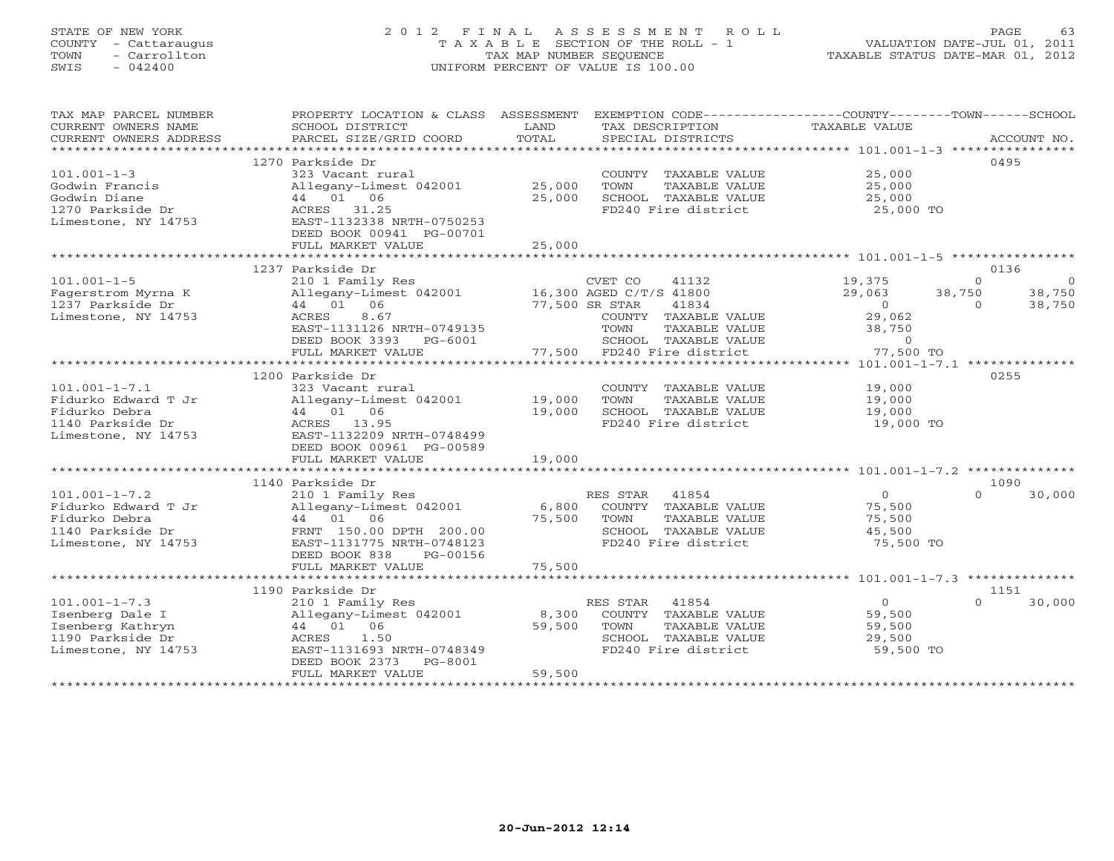# STATE OF NEW YORK 2 0 1 2 F I N A L A S S E S S M E N T R O L L PAGE 63 COUNTY - Cattaraugus T A X A B L E SECTION OF THE ROLL - 1 VALUATION DATE-JUL 01, 2011 TOWN - Carrollton TAX MAP NUMBER SEQUENCE TAXABLE STATUS DATE-MAR 01, 2012 SWIS - 042400 UNIFORM PERCENT OF VALUE IS 100.00UNIFORM PERCENT OF VALUE IS 100.00

| TAX MAP PARCEL NUMBER<br>CURRENT OWNERS NAME<br>CURRENT OWNERS ADDRESS                                 | PROPERTY LOCATION & CLASS ASSESSMENT<br>SCHOOL DISTRICT<br>PARCEL SIZE/GRID COORD                                                                                                                      | LAND<br>TOTAL              | EXEMPTION CODE-----------------COUNTY-------TOWN------SCHOOL<br>TAX DESCRIPTION<br>SPECIAL DISTRICTS                                                                   | TAXABLE VALUE                                                                      | ACCOUNT NO.                                     |
|--------------------------------------------------------------------------------------------------------|--------------------------------------------------------------------------------------------------------------------------------------------------------------------------------------------------------|----------------------------|------------------------------------------------------------------------------------------------------------------------------------------------------------------------|------------------------------------------------------------------------------------|-------------------------------------------------|
|                                                                                                        |                                                                                                                                                                                                        |                            |                                                                                                                                                                        |                                                                                    |                                                 |
| $101.001 - 1 - 3$<br>Godwin Francis<br>Godwin Diane<br>1270 Parkside Dr<br>Limestone, NY 14753         | 1270 Parkside Dr<br>323 Vacant rural<br>Allegany-Limest 042001<br>44 01 06<br>ACRES 31.25<br>EAST-1132338 NRTH-0750253<br>DEED BOOK 00941 PG-00701<br>FULL MARKET VALUE<br>*************************** | 25,000<br>25,000<br>25,000 | COUNTY TAXABLE VALUE<br>TOWN<br>TAXABLE VALUE<br>SCHOOL TAXABLE VALUE<br>FD240 Fire district                                                                           | 25,000<br>25,000<br>25,000<br>25,000 TO                                            | 0495                                            |
|                                                                                                        | 1237 Parkside Dr                                                                                                                                                                                       |                            |                                                                                                                                                                        |                                                                                    | 0136                                            |
| $101.001 - 1 - 5$<br>Fagerstrom Myrna K<br>1237 Parkside Dr<br>Limestone, NY 14753                     | 210 1 Family Res<br>Allegany-Limest 042001<br>44 01 06<br>ACRES<br>8.67<br>EAST-1131126 NRTH-0749135<br>DEED BOOK 3393<br>PG-6001<br>FULL MARKET VALUE                                                 | 77,500                     | CVET CO<br>41132<br>16,300 AGED C/T/S 41800<br>77,500 SR STAR<br>41834<br>COUNTY TAXABLE VALUE<br>TOWN<br>TAXABLE VALUE<br>SCHOOL TAXABLE VALUE<br>FD240 Fire district | 19,375<br>38,750<br>29,063<br>$\Omega$<br>29,062<br>38,750<br>$\circ$<br>77,500 TO | $\Omega$<br>- 0<br>38,750<br>$\Omega$<br>38,750 |
|                                                                                                        |                                                                                                                                                                                                        | ***********                | ***********************                                                                                                                                                | ********** 101.001-1-7.1 ***************                                           |                                                 |
| $101.001 - 1 - 7.1$<br>Fidurko Edward T Jr<br>Fidurko Debra<br>1140 Parkside Dr<br>Limestone, NY 14753 | 1200 Parkside Dr<br>323 Vacant rural<br>Allegany-Limest 042001<br>44 01 06<br>ACRES 13.95<br>EAST-1132209 NRTH-0748499<br>DEED BOOK 00961 PG-00589                                                     | 19,000<br>19,000           | COUNTY TAXABLE VALUE<br>TOWN<br>TAXABLE VALUE<br>SCHOOL TAXABLE VALUE<br>FD240 Fire district                                                                           | 19,000<br>19,000<br>19,000<br>19,000 TO                                            | 0255                                            |
|                                                                                                        | FULL MARKET VALUE                                                                                                                                                                                      | 19,000                     |                                                                                                                                                                        |                                                                                    |                                                 |
|                                                                                                        |                                                                                                                                                                                                        |                            |                                                                                                                                                                        |                                                                                    |                                                 |
| $101.001 - 1 - 7.2$<br>Fidurko Edward T Jr<br>Fidurko Debra<br>1140 Parkside Dr<br>Limestone, NY 14753 | 1140 Parkside Dr<br>210 1 Family Res<br>Allegany-Limest 042001<br>44 01 06<br>FRNT 150.00 DPTH 200.00<br>EAST-1131775 NRTH-0748123<br>DEED BOOK 838<br>PG-00156                                        | 6,800<br>75,500            | RES STAR<br>41854<br>COUNTY TAXABLE VALUE<br>TOWN<br>TAXABLE VALUE<br>SCHOOL TAXABLE VALUE<br>FD240 Fire district                                                      | $\circ$<br>75,500<br>75,500<br>45,500<br>75,500 TO                                 | 1090<br>30,000<br>$\Omega$                      |
|                                                                                                        | FULL MARKET VALUE                                                                                                                                                                                      | 75,500                     |                                                                                                                                                                        |                                                                                    |                                                 |
|                                                                                                        | 1190 Parkside Dr                                                                                                                                                                                       |                            |                                                                                                                                                                        |                                                                                    | 1151                                            |
| $101.001 - 1 - 7.3$<br>Isenberg Dale I<br>Isenberg Kathryn<br>1190 Parkside Dr<br>Limestone, NY 14753  | 210 1 Family Res<br>Allegany-Limest 042001<br>44 01 06<br>ACRES<br>1.50<br>EAST-1131693 NRTH-0748349<br>DEED BOOK 2373<br>PG-8001<br>FULL MARKET VALUE                                                 | 8,300<br>59,500<br>59,500  | RES STAR<br>41854<br>COUNTY TAXABLE VALUE<br>TOWN<br>TAXABLE VALUE<br>SCHOOL TAXABLE VALUE<br>FD240 Fire district                                                      | $\circ$<br>59,500<br>59,500<br>29,500<br>59,500 TO                                 | $\cap$<br>30,000                                |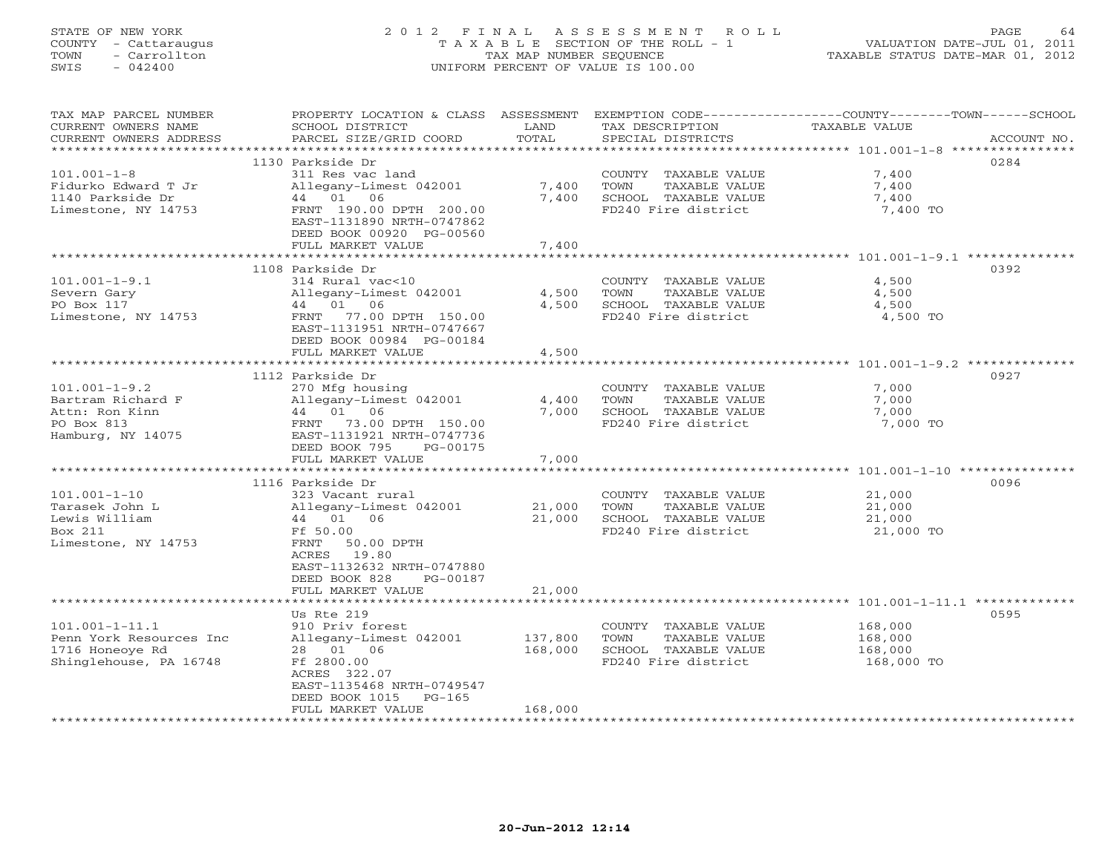# STATE OF NEW YORK 2 0 1 2 F I N A L A S S E S S M E N T R O L L PAGE 64 COUNTY - Cattaraugus T A X A B L E SECTION OF THE ROLL - 1 VALUATION DATE-JUL 01, 2011 TOWN - Carrollton TAX MAP NUMBER SEQUENCE TAXABLE STATUS DATE-MAR 01, 2012 SWIS - 042400 UNIFORM PERCENT OF VALUE IS 100.00UNIFORM PERCENT OF VALUE IS 100.00

| *********************<br>1130 Parkside Dr<br>0284<br>$101.001 - 1 - 8$<br>311 Res vac land<br>7,400<br>COUNTY TAXABLE VALUE<br>7,400<br>7,400<br>Fidurko Edward T Jr<br>Allegany-Limest 042001<br>TOWN<br>TAXABLE VALUE<br>44 01 06<br>7,400<br>SCHOOL TAXABLE VALUE<br>1140 Parkside Dr<br>7,400<br>FD240 Fire district<br>Limestone, NY 14753<br>FRNT 190.00 DPTH 200.00<br>7,400 TO<br>EAST-1131890 NRTH-0747862<br>DEED BOOK 00920 PG-00560<br>FULL MARKET VALUE<br>7,400<br>*****************************<br>*************<br>1108 Parkside Dr<br>0392<br>$101.001 - 1 - 9.1$<br>314 Rural vac<10<br>COUNTY TAXABLE VALUE<br>4,500<br>Severn Gary<br>Allegany-Limest 042001<br>4,500<br>TOWN<br>TAXABLE VALUE<br>4,500<br>PO Box 117<br>44 01 06<br>4,500<br>SCHOOL TAXABLE VALUE<br>4,500<br>77.00 DPTH 150.00<br>FD240 Fire district<br>4,500 TO<br>Limestone, NY 14753<br>FRNT<br>EAST-1131951 NRTH-0747667<br>DEED BOOK 00984 PG-00184<br>FULL MARKET VALUE<br>4,500<br>0927<br>1112 Parkside Dr<br>$101.001 - 1 - 9.2$<br>270 Mfg housing<br>COUNTY TAXABLE VALUE<br>7,000<br>Bartram Richard F<br>Allegany-Limest 042001<br>4,400<br>TOWN<br>TAXABLE VALUE<br>7,000<br>44 01<br>06<br>7,000<br>SCHOOL TAXABLE VALUE<br>Attn: Ron Kinn<br>7,000<br>FD240 Fire district<br>7,000 TO<br>PO Box 813<br>73.00 DPTH 150.00<br>FRNT<br>Hamburg, NY 14075<br>EAST-1131921 NRTH-0747736<br>DEED BOOK 795<br>PG-00175<br>7,000<br>FULL MARKET VALUE<br>0096<br>1116 Parkside Dr<br>$101.001 - 1 - 10$<br>323 Vacant rural<br>COUNTY TAXABLE VALUE<br>21,000<br>Tarasek John L<br>Allegany-Limest 042001<br>21,000<br>TOWN<br>TAXABLE VALUE<br>21,000<br>Lewis William<br>44 01 06<br>21,000<br>SCHOOL TAXABLE VALUE<br>21,000<br>Box 211<br>Ff 50.00<br>FD240 Fire district<br>21,000 TO<br>Limestone, NY 14753<br>FRNT<br>50.00 DPTH<br>19.80<br>ACRES<br>EAST-1132632 NRTH-0747880<br>DEED BOOK 828<br>PG-00187<br>21,000<br>FULL MARKET VALUE<br>********************<br>0595<br>Us Rte 219<br>$101.001 - 1 - 11.1$<br>910 Priv forest<br>168,000<br>COUNTY TAXABLE VALUE<br>Penn York Resources Inc<br>Allegany-Limest 042001<br>137,800<br>TOWN<br>TAXABLE VALUE<br>168,000<br>28 01 06<br>168,000<br>SCHOOL TAXABLE VALUE<br>1716 Honeoye Rd<br>168,000<br>Shinglehouse, PA 16748<br>Ff 2800.00<br>FD240 Fire district<br>168,000 TO<br>ACRES 322.07<br>EAST-1135468 NRTH-0749547<br>DEED BOOK 1015<br>$PG-165$<br>168,000<br>FULL MARKET VALUE | TAX MAP PARCEL NUMBER<br>CURRENT OWNERS NAME<br>CURRENT OWNERS ADDRESS | PROPERTY LOCATION & CLASS ASSESSMENT<br>SCHOOL DISTRICT<br>PARCEL SIZE/GRID COORD | LAND<br>TOTAL | TAX DESCRIPTION<br>SPECIAL DISTRICTS | EXEMPTION CODE----------------COUNTY-------TOWN-----SCHOOL<br>TAXABLE VALUE<br>ACCOUNT NO. |
|--------------------------------------------------------------------------------------------------------------------------------------------------------------------------------------------------------------------------------------------------------------------------------------------------------------------------------------------------------------------------------------------------------------------------------------------------------------------------------------------------------------------------------------------------------------------------------------------------------------------------------------------------------------------------------------------------------------------------------------------------------------------------------------------------------------------------------------------------------------------------------------------------------------------------------------------------------------------------------------------------------------------------------------------------------------------------------------------------------------------------------------------------------------------------------------------------------------------------------------------------------------------------------------------------------------------------------------------------------------------------------------------------------------------------------------------------------------------------------------------------------------------------------------------------------------------------------------------------------------------------------------------------------------------------------------------------------------------------------------------------------------------------------------------------------------------------------------------------------------------------------------------------------------------------------------------------------------------------------------------------------------------------------------------------------------------------------------------------------------------------------------------------------------------------------------------------------------------------------------------------------------------------------------------------------------------------------------------------------------------------------------------------------------------------------------------------------|------------------------------------------------------------------------|-----------------------------------------------------------------------------------|---------------|--------------------------------------|--------------------------------------------------------------------------------------------|
|                                                                                                                                                                                                                                                                                                                                                                                                                                                                                                                                                                                                                                                                                                                                                                                                                                                                                                                                                                                                                                                                                                                                                                                                                                                                                                                                                                                                                                                                                                                                                                                                                                                                                                                                                                                                                                                                                                                                                                                                                                                                                                                                                                                                                                                                                                                                                                                                                                                        |                                                                        |                                                                                   |               |                                      |                                                                                            |
|                                                                                                                                                                                                                                                                                                                                                                                                                                                                                                                                                                                                                                                                                                                                                                                                                                                                                                                                                                                                                                                                                                                                                                                                                                                                                                                                                                                                                                                                                                                                                                                                                                                                                                                                                                                                                                                                                                                                                                                                                                                                                                                                                                                                                                                                                                                                                                                                                                                        |                                                                        |                                                                                   |               |                                      |                                                                                            |
|                                                                                                                                                                                                                                                                                                                                                                                                                                                                                                                                                                                                                                                                                                                                                                                                                                                                                                                                                                                                                                                                                                                                                                                                                                                                                                                                                                                                                                                                                                                                                                                                                                                                                                                                                                                                                                                                                                                                                                                                                                                                                                                                                                                                                                                                                                                                                                                                                                                        |                                                                        |                                                                                   |               |                                      |                                                                                            |
|                                                                                                                                                                                                                                                                                                                                                                                                                                                                                                                                                                                                                                                                                                                                                                                                                                                                                                                                                                                                                                                                                                                                                                                                                                                                                                                                                                                                                                                                                                                                                                                                                                                                                                                                                                                                                                                                                                                                                                                                                                                                                                                                                                                                                                                                                                                                                                                                                                                        |                                                                        |                                                                                   |               |                                      |                                                                                            |
|                                                                                                                                                                                                                                                                                                                                                                                                                                                                                                                                                                                                                                                                                                                                                                                                                                                                                                                                                                                                                                                                                                                                                                                                                                                                                                                                                                                                                                                                                                                                                                                                                                                                                                                                                                                                                                                                                                                                                                                                                                                                                                                                                                                                                                                                                                                                                                                                                                                        |                                                                        |                                                                                   |               |                                      |                                                                                            |
|                                                                                                                                                                                                                                                                                                                                                                                                                                                                                                                                                                                                                                                                                                                                                                                                                                                                                                                                                                                                                                                                                                                                                                                                                                                                                                                                                                                                                                                                                                                                                                                                                                                                                                                                                                                                                                                                                                                                                                                                                                                                                                                                                                                                                                                                                                                                                                                                                                                        |                                                                        |                                                                                   |               |                                      |                                                                                            |
|                                                                                                                                                                                                                                                                                                                                                                                                                                                                                                                                                                                                                                                                                                                                                                                                                                                                                                                                                                                                                                                                                                                                                                                                                                                                                                                                                                                                                                                                                                                                                                                                                                                                                                                                                                                                                                                                                                                                                                                                                                                                                                                                                                                                                                                                                                                                                                                                                                                        |                                                                        |                                                                                   |               |                                      |                                                                                            |
|                                                                                                                                                                                                                                                                                                                                                                                                                                                                                                                                                                                                                                                                                                                                                                                                                                                                                                                                                                                                                                                                                                                                                                                                                                                                                                                                                                                                                                                                                                                                                                                                                                                                                                                                                                                                                                                                                                                                                                                                                                                                                                                                                                                                                                                                                                                                                                                                                                                        |                                                                        |                                                                                   |               |                                      |                                                                                            |
|                                                                                                                                                                                                                                                                                                                                                                                                                                                                                                                                                                                                                                                                                                                                                                                                                                                                                                                                                                                                                                                                                                                                                                                                                                                                                                                                                                                                                                                                                                                                                                                                                                                                                                                                                                                                                                                                                                                                                                                                                                                                                                                                                                                                                                                                                                                                                                                                                                                        |                                                                        |                                                                                   |               |                                      |                                                                                            |
|                                                                                                                                                                                                                                                                                                                                                                                                                                                                                                                                                                                                                                                                                                                                                                                                                                                                                                                                                                                                                                                                                                                                                                                                                                                                                                                                                                                                                                                                                                                                                                                                                                                                                                                                                                                                                                                                                                                                                                                                                                                                                                                                                                                                                                                                                                                                                                                                                                                        |                                                                        |                                                                                   |               |                                      |                                                                                            |
|                                                                                                                                                                                                                                                                                                                                                                                                                                                                                                                                                                                                                                                                                                                                                                                                                                                                                                                                                                                                                                                                                                                                                                                                                                                                                                                                                                                                                                                                                                                                                                                                                                                                                                                                                                                                                                                                                                                                                                                                                                                                                                                                                                                                                                                                                                                                                                                                                                                        |                                                                        |                                                                                   |               |                                      |                                                                                            |
|                                                                                                                                                                                                                                                                                                                                                                                                                                                                                                                                                                                                                                                                                                                                                                                                                                                                                                                                                                                                                                                                                                                                                                                                                                                                                                                                                                                                                                                                                                                                                                                                                                                                                                                                                                                                                                                                                                                                                                                                                                                                                                                                                                                                                                                                                                                                                                                                                                                        |                                                                        |                                                                                   |               |                                      |                                                                                            |
|                                                                                                                                                                                                                                                                                                                                                                                                                                                                                                                                                                                                                                                                                                                                                                                                                                                                                                                                                                                                                                                                                                                                                                                                                                                                                                                                                                                                                                                                                                                                                                                                                                                                                                                                                                                                                                                                                                                                                                                                                                                                                                                                                                                                                                                                                                                                                                                                                                                        |                                                                        |                                                                                   |               |                                      |                                                                                            |
|                                                                                                                                                                                                                                                                                                                                                                                                                                                                                                                                                                                                                                                                                                                                                                                                                                                                                                                                                                                                                                                                                                                                                                                                                                                                                                                                                                                                                                                                                                                                                                                                                                                                                                                                                                                                                                                                                                                                                                                                                                                                                                                                                                                                                                                                                                                                                                                                                                                        |                                                                        |                                                                                   |               |                                      |                                                                                            |
|                                                                                                                                                                                                                                                                                                                                                                                                                                                                                                                                                                                                                                                                                                                                                                                                                                                                                                                                                                                                                                                                                                                                                                                                                                                                                                                                                                                                                                                                                                                                                                                                                                                                                                                                                                                                                                                                                                                                                                                                                                                                                                                                                                                                                                                                                                                                                                                                                                                        |                                                                        |                                                                                   |               |                                      |                                                                                            |
|                                                                                                                                                                                                                                                                                                                                                                                                                                                                                                                                                                                                                                                                                                                                                                                                                                                                                                                                                                                                                                                                                                                                                                                                                                                                                                                                                                                                                                                                                                                                                                                                                                                                                                                                                                                                                                                                                                                                                                                                                                                                                                                                                                                                                                                                                                                                                                                                                                                        |                                                                        |                                                                                   |               |                                      |                                                                                            |
|                                                                                                                                                                                                                                                                                                                                                                                                                                                                                                                                                                                                                                                                                                                                                                                                                                                                                                                                                                                                                                                                                                                                                                                                                                                                                                                                                                                                                                                                                                                                                                                                                                                                                                                                                                                                                                                                                                                                                                                                                                                                                                                                                                                                                                                                                                                                                                                                                                                        |                                                                        |                                                                                   |               |                                      |                                                                                            |
|                                                                                                                                                                                                                                                                                                                                                                                                                                                                                                                                                                                                                                                                                                                                                                                                                                                                                                                                                                                                                                                                                                                                                                                                                                                                                                                                                                                                                                                                                                                                                                                                                                                                                                                                                                                                                                                                                                                                                                                                                                                                                                                                                                                                                                                                                                                                                                                                                                                        |                                                                        |                                                                                   |               |                                      |                                                                                            |
|                                                                                                                                                                                                                                                                                                                                                                                                                                                                                                                                                                                                                                                                                                                                                                                                                                                                                                                                                                                                                                                                                                                                                                                                                                                                                                                                                                                                                                                                                                                                                                                                                                                                                                                                                                                                                                                                                                                                                                                                                                                                                                                                                                                                                                                                                                                                                                                                                                                        |                                                                        |                                                                                   |               |                                      |                                                                                            |
|                                                                                                                                                                                                                                                                                                                                                                                                                                                                                                                                                                                                                                                                                                                                                                                                                                                                                                                                                                                                                                                                                                                                                                                                                                                                                                                                                                                                                                                                                                                                                                                                                                                                                                                                                                                                                                                                                                                                                                                                                                                                                                                                                                                                                                                                                                                                                                                                                                                        |                                                                        |                                                                                   |               |                                      |                                                                                            |
|                                                                                                                                                                                                                                                                                                                                                                                                                                                                                                                                                                                                                                                                                                                                                                                                                                                                                                                                                                                                                                                                                                                                                                                                                                                                                                                                                                                                                                                                                                                                                                                                                                                                                                                                                                                                                                                                                                                                                                                                                                                                                                                                                                                                                                                                                                                                                                                                                                                        |                                                                        |                                                                                   |               |                                      |                                                                                            |
|                                                                                                                                                                                                                                                                                                                                                                                                                                                                                                                                                                                                                                                                                                                                                                                                                                                                                                                                                                                                                                                                                                                                                                                                                                                                                                                                                                                                                                                                                                                                                                                                                                                                                                                                                                                                                                                                                                                                                                                                                                                                                                                                                                                                                                                                                                                                                                                                                                                        |                                                                        |                                                                                   |               |                                      |                                                                                            |
|                                                                                                                                                                                                                                                                                                                                                                                                                                                                                                                                                                                                                                                                                                                                                                                                                                                                                                                                                                                                                                                                                                                                                                                                                                                                                                                                                                                                                                                                                                                                                                                                                                                                                                                                                                                                                                                                                                                                                                                                                                                                                                                                                                                                                                                                                                                                                                                                                                                        |                                                                        |                                                                                   |               |                                      |                                                                                            |
|                                                                                                                                                                                                                                                                                                                                                                                                                                                                                                                                                                                                                                                                                                                                                                                                                                                                                                                                                                                                                                                                                                                                                                                                                                                                                                                                                                                                                                                                                                                                                                                                                                                                                                                                                                                                                                                                                                                                                                                                                                                                                                                                                                                                                                                                                                                                                                                                                                                        |                                                                        |                                                                                   |               |                                      |                                                                                            |
|                                                                                                                                                                                                                                                                                                                                                                                                                                                                                                                                                                                                                                                                                                                                                                                                                                                                                                                                                                                                                                                                                                                                                                                                                                                                                                                                                                                                                                                                                                                                                                                                                                                                                                                                                                                                                                                                                                                                                                                                                                                                                                                                                                                                                                                                                                                                                                                                                                                        |                                                                        |                                                                                   |               |                                      |                                                                                            |
|                                                                                                                                                                                                                                                                                                                                                                                                                                                                                                                                                                                                                                                                                                                                                                                                                                                                                                                                                                                                                                                                                                                                                                                                                                                                                                                                                                                                                                                                                                                                                                                                                                                                                                                                                                                                                                                                                                                                                                                                                                                                                                                                                                                                                                                                                                                                                                                                                                                        |                                                                        |                                                                                   |               |                                      |                                                                                            |
|                                                                                                                                                                                                                                                                                                                                                                                                                                                                                                                                                                                                                                                                                                                                                                                                                                                                                                                                                                                                                                                                                                                                                                                                                                                                                                                                                                                                                                                                                                                                                                                                                                                                                                                                                                                                                                                                                                                                                                                                                                                                                                                                                                                                                                                                                                                                                                                                                                                        |                                                                        |                                                                                   |               |                                      |                                                                                            |
|                                                                                                                                                                                                                                                                                                                                                                                                                                                                                                                                                                                                                                                                                                                                                                                                                                                                                                                                                                                                                                                                                                                                                                                                                                                                                                                                                                                                                                                                                                                                                                                                                                                                                                                                                                                                                                                                                                                                                                                                                                                                                                                                                                                                                                                                                                                                                                                                                                                        |                                                                        |                                                                                   |               |                                      |                                                                                            |
|                                                                                                                                                                                                                                                                                                                                                                                                                                                                                                                                                                                                                                                                                                                                                                                                                                                                                                                                                                                                                                                                                                                                                                                                                                                                                                                                                                                                                                                                                                                                                                                                                                                                                                                                                                                                                                                                                                                                                                                                                                                                                                                                                                                                                                                                                                                                                                                                                                                        |                                                                        |                                                                                   |               |                                      |                                                                                            |
|                                                                                                                                                                                                                                                                                                                                                                                                                                                                                                                                                                                                                                                                                                                                                                                                                                                                                                                                                                                                                                                                                                                                                                                                                                                                                                                                                                                                                                                                                                                                                                                                                                                                                                                                                                                                                                                                                                                                                                                                                                                                                                                                                                                                                                                                                                                                                                                                                                                        |                                                                        |                                                                                   |               |                                      |                                                                                            |
|                                                                                                                                                                                                                                                                                                                                                                                                                                                                                                                                                                                                                                                                                                                                                                                                                                                                                                                                                                                                                                                                                                                                                                                                                                                                                                                                                                                                                                                                                                                                                                                                                                                                                                                                                                                                                                                                                                                                                                                                                                                                                                                                                                                                                                                                                                                                                                                                                                                        |                                                                        |                                                                                   |               |                                      |                                                                                            |
|                                                                                                                                                                                                                                                                                                                                                                                                                                                                                                                                                                                                                                                                                                                                                                                                                                                                                                                                                                                                                                                                                                                                                                                                                                                                                                                                                                                                                                                                                                                                                                                                                                                                                                                                                                                                                                                                                                                                                                                                                                                                                                                                                                                                                                                                                                                                                                                                                                                        |                                                                        |                                                                                   |               |                                      |                                                                                            |
|                                                                                                                                                                                                                                                                                                                                                                                                                                                                                                                                                                                                                                                                                                                                                                                                                                                                                                                                                                                                                                                                                                                                                                                                                                                                                                                                                                                                                                                                                                                                                                                                                                                                                                                                                                                                                                                                                                                                                                                                                                                                                                                                                                                                                                                                                                                                                                                                                                                        |                                                                        |                                                                                   |               |                                      |                                                                                            |
|                                                                                                                                                                                                                                                                                                                                                                                                                                                                                                                                                                                                                                                                                                                                                                                                                                                                                                                                                                                                                                                                                                                                                                                                                                                                                                                                                                                                                                                                                                                                                                                                                                                                                                                                                                                                                                                                                                                                                                                                                                                                                                                                                                                                                                                                                                                                                                                                                                                        |                                                                        |                                                                                   |               |                                      |                                                                                            |
|                                                                                                                                                                                                                                                                                                                                                                                                                                                                                                                                                                                                                                                                                                                                                                                                                                                                                                                                                                                                                                                                                                                                                                                                                                                                                                                                                                                                                                                                                                                                                                                                                                                                                                                                                                                                                                                                                                                                                                                                                                                                                                                                                                                                                                                                                                                                                                                                                                                        |                                                                        |                                                                                   |               |                                      |                                                                                            |
|                                                                                                                                                                                                                                                                                                                                                                                                                                                                                                                                                                                                                                                                                                                                                                                                                                                                                                                                                                                                                                                                                                                                                                                                                                                                                                                                                                                                                                                                                                                                                                                                                                                                                                                                                                                                                                                                                                                                                                                                                                                                                                                                                                                                                                                                                                                                                                                                                                                        |                                                                        |                                                                                   |               |                                      |                                                                                            |
|                                                                                                                                                                                                                                                                                                                                                                                                                                                                                                                                                                                                                                                                                                                                                                                                                                                                                                                                                                                                                                                                                                                                                                                                                                                                                                                                                                                                                                                                                                                                                                                                                                                                                                                                                                                                                                                                                                                                                                                                                                                                                                                                                                                                                                                                                                                                                                                                                                                        |                                                                        |                                                                                   |               |                                      |                                                                                            |
|                                                                                                                                                                                                                                                                                                                                                                                                                                                                                                                                                                                                                                                                                                                                                                                                                                                                                                                                                                                                                                                                                                                                                                                                                                                                                                                                                                                                                                                                                                                                                                                                                                                                                                                                                                                                                                                                                                                                                                                                                                                                                                                                                                                                                                                                                                                                                                                                                                                        |                                                                        |                                                                                   |               |                                      |                                                                                            |
|                                                                                                                                                                                                                                                                                                                                                                                                                                                                                                                                                                                                                                                                                                                                                                                                                                                                                                                                                                                                                                                                                                                                                                                                                                                                                                                                                                                                                                                                                                                                                                                                                                                                                                                                                                                                                                                                                                                                                                                                                                                                                                                                                                                                                                                                                                                                                                                                                                                        |                                                                        |                                                                                   |               |                                      |                                                                                            |
|                                                                                                                                                                                                                                                                                                                                                                                                                                                                                                                                                                                                                                                                                                                                                                                                                                                                                                                                                                                                                                                                                                                                                                                                                                                                                                                                                                                                                                                                                                                                                                                                                                                                                                                                                                                                                                                                                                                                                                                                                                                                                                                                                                                                                                                                                                                                                                                                                                                        |                                                                        |                                                                                   |               |                                      |                                                                                            |
|                                                                                                                                                                                                                                                                                                                                                                                                                                                                                                                                                                                                                                                                                                                                                                                                                                                                                                                                                                                                                                                                                                                                                                                                                                                                                                                                                                                                                                                                                                                                                                                                                                                                                                                                                                                                                                                                                                                                                                                                                                                                                                                                                                                                                                                                                                                                                                                                                                                        |                                                                        |                                                                                   |               |                                      |                                                                                            |
|                                                                                                                                                                                                                                                                                                                                                                                                                                                                                                                                                                                                                                                                                                                                                                                                                                                                                                                                                                                                                                                                                                                                                                                                                                                                                                                                                                                                                                                                                                                                                                                                                                                                                                                                                                                                                                                                                                                                                                                                                                                                                                                                                                                                                                                                                                                                                                                                                                                        |                                                                        |                                                                                   |               |                                      |                                                                                            |
|                                                                                                                                                                                                                                                                                                                                                                                                                                                                                                                                                                                                                                                                                                                                                                                                                                                                                                                                                                                                                                                                                                                                                                                                                                                                                                                                                                                                                                                                                                                                                                                                                                                                                                                                                                                                                                                                                                                                                                                                                                                                                                                                                                                                                                                                                                                                                                                                                                                        |                                                                        |                                                                                   |               |                                      |                                                                                            |
|                                                                                                                                                                                                                                                                                                                                                                                                                                                                                                                                                                                                                                                                                                                                                                                                                                                                                                                                                                                                                                                                                                                                                                                                                                                                                                                                                                                                                                                                                                                                                                                                                                                                                                                                                                                                                                                                                                                                                                                                                                                                                                                                                                                                                                                                                                                                                                                                                                                        |                                                                        |                                                                                   |               |                                      |                                                                                            |
|                                                                                                                                                                                                                                                                                                                                                                                                                                                                                                                                                                                                                                                                                                                                                                                                                                                                                                                                                                                                                                                                                                                                                                                                                                                                                                                                                                                                                                                                                                                                                                                                                                                                                                                                                                                                                                                                                                                                                                                                                                                                                                                                                                                                                                                                                                                                                                                                                                                        |                                                                        |                                                                                   |               | ******************************       |                                                                                            |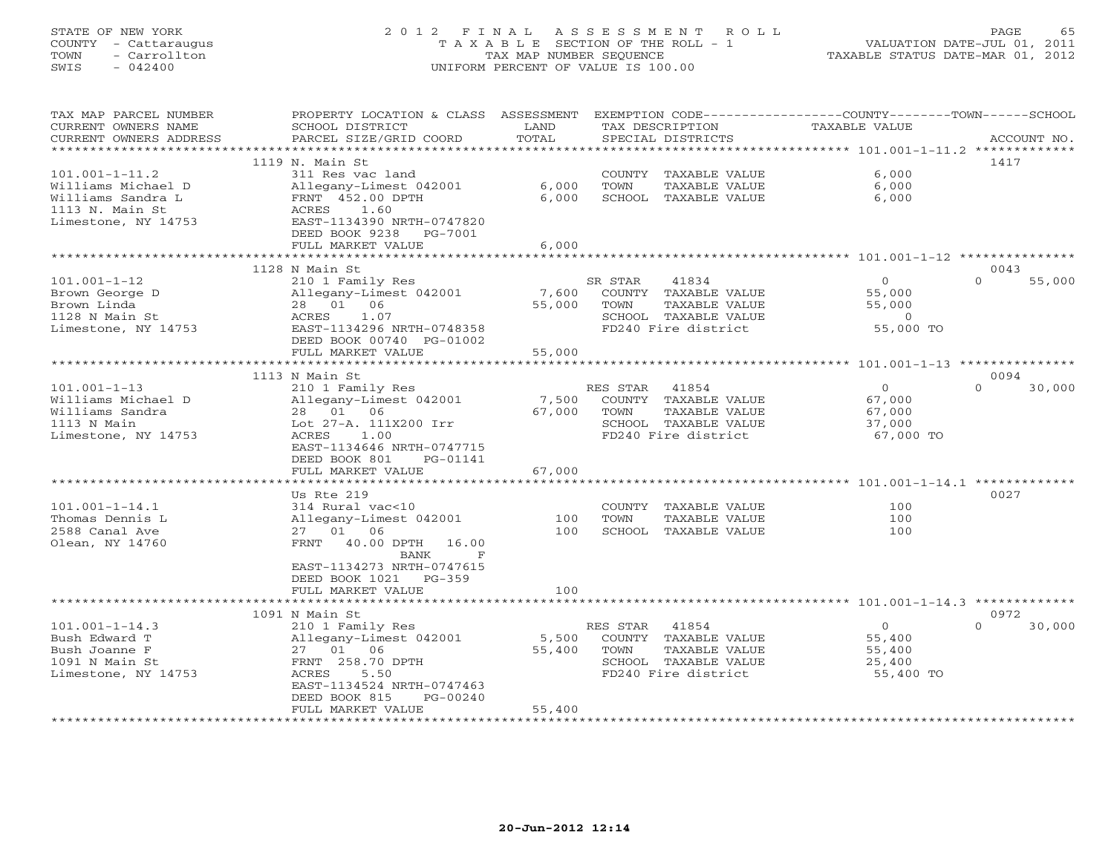# STATE OF NEW YORK 2 0 1 2 F I N A L A S S E S S M E N T R O L L PAGE 65 COUNTY - Cattaraugus T A X A B L E SECTION OF THE ROLL - 1 VALUATION DATE-JUL 01, 2011 TOWN - Carrollton TAX MAP NUMBER SEQUENCE TAXABLE STATUS DATE-MAR 01, 2012 SWIS - 042400 UNIFORM PERCENT OF VALUE IS 100.00UNIFORM PERCENT OF VALUE IS 100.00

| EXEMPTION CODE-----------------COUNTY--------TOWN------SCHOOL<br>TAX MAP PARCEL NUMBER<br>PROPERTY LOCATION & CLASS ASSESSMENT<br>CURRENT OWNERS NAME<br>SCHOOL DISTRICT<br>LAND<br>TAX DESCRIPTION | <b>TAXABLE VALUE</b> |                    |
|-----------------------------------------------------------------------------------------------------------------------------------------------------------------------------------------------------|----------------------|--------------------|
| TOTAL<br>PARCEL SIZE/GRID COORD<br>SPECIAL DISTRICTS<br>CURRENT OWNERS ADDRESS<br>**********************                                                                                            |                      | ACCOUNT NO.        |
|                                                                                                                                                                                                     |                      |                    |
| 1119 N. Main St                                                                                                                                                                                     |                      | 1417               |
| $101.001 - 1 - 11.2$<br>311 Res vac land<br>COUNTY<br>TAXABLE VALUE                                                                                                                                 | 6.000                |                    |
| Allegany-Limest 042001<br>6,000<br>TOWN<br>TAXABLE VALUE<br>Williams Michael D                                                                                                                      | 6,000                |                    |
| 6,000<br>Williams Sandra L<br>FRNT 452.00 DPTH<br>SCHOOL TAXABLE VALUE                                                                                                                              | 6,000                |                    |
| 1113 N. Main St<br>1.60<br>ACRES                                                                                                                                                                    |                      |                    |
| Limestone, NY 14753<br>EAST-1134390 NRTH-0747820                                                                                                                                                    |                      |                    |
| DEED BOOK 9238 PG-7001                                                                                                                                                                              |                      |                    |
| 6,000<br>FULL MARKET VALUE                                                                                                                                                                          |                      |                    |
|                                                                                                                                                                                                     |                      |                    |
| 1128 N Main St                                                                                                                                                                                      |                      | 0043               |
| $101.001 - 1 - 12$<br>SR STAR<br>41834<br>210 1 Family Res                                                                                                                                          | $\overline{0}$       | $\Omega$<br>55,000 |
| Brown George D<br>Allegany-Limest 042001<br>7,600<br>COUNTY TAXABLE VALUE                                                                                                                           | 55,000               |                    |
| 28  01  06<br>Brown Linda<br>55,000<br>TOWN<br>TAXABLE VALUE                                                                                                                                        | 55,000               |                    |
| 1.07<br>1128 N Main St<br>SCHOOL TAXABLE VALUE<br>ACRES                                                                                                                                             | $\Omega$             |                    |
| Limestone, NY 14753<br>EAST-1134296 NRTH-0748358<br>FD240 Fire district                                                                                                                             | 55,000 TO            |                    |
| DEED BOOK 00740 PG-01002                                                                                                                                                                            |                      |                    |
| FULL MARKET VALUE<br>55,000                                                                                                                                                                         |                      |                    |
| *********************                                                                                                                                                                               |                      |                    |
| 1113 N Main St                                                                                                                                                                                      |                      | 0094               |
| $101.001 - 1 - 13$<br>210 1 Family Res<br>41854<br>RES STAR                                                                                                                                         | $\overline{O}$       | $\Omega$<br>30,000 |
| Williams Michael D<br>7,500<br>COUNTY TAXABLE VALUE<br>Allegany-Limest 042001                                                                                                                       | 67,000               |                    |
| 28  01  06<br>Williams Sandra<br>67,000<br>TOWN<br>TAXABLE VALUE                                                                                                                                    | 67,000               |                    |
| 1113 N Main<br>Lot 27-A. 111X200 Irr<br>SCHOOL TAXABLE VALUE                                                                                                                                        | 37,000               |                    |
| Limestone, NY 14753<br>ACRES<br>1.00<br>FD240 Fire district                                                                                                                                         | 67,000 TO            |                    |
| EAST-1134646 NRTH-0747715                                                                                                                                                                           |                      |                    |
| DEED BOOK 801<br>PG-01141                                                                                                                                                                           |                      |                    |
| 67,000<br>FULL MARKET VALUE                                                                                                                                                                         |                      |                    |
|                                                                                                                                                                                                     |                      |                    |
| Us Rte 219                                                                                                                                                                                          |                      | 0027               |
| $101.001 - 1 - 14.1$<br>314 Rural vac<10<br>COUNTY TAXABLE VALUE                                                                                                                                    | 100                  |                    |
| 100<br>TOWN<br>Thomas Dennis L<br>Allegany-Limest 042001<br>TAXABLE VALUE                                                                                                                           | 100                  |                    |
| 27 01 06<br>100<br>2588 Canal Ave<br>SCHOOL TAXABLE VALUE                                                                                                                                           | 100                  |                    |
| Olean, NY 14760<br>FRNT 40.00 DPTH<br>16.00                                                                                                                                                         |                      |                    |
| $\mathbf F$<br>BANK                                                                                                                                                                                 |                      |                    |
| EAST-1134273 NRTH-0747615                                                                                                                                                                           |                      |                    |
| DEED BOOK 1021 PG-359                                                                                                                                                                               |                      |                    |
| 100<br>FULL MARKET VALUE                                                                                                                                                                            |                      |                    |
|                                                                                                                                                                                                     |                      |                    |
| 1091 N Main St                                                                                                                                                                                      |                      | 0972               |
| 41854<br>$101.001 - 1 - 14.3$<br>210 1 Family Res<br>RES STAR                                                                                                                                       | $\overline{0}$       | $\Omega$<br>30,000 |
| 5,500<br>COUNTY TAXABLE VALUE<br>Bush Edward T<br>Allegany-Limest 042001                                                                                                                            | 55,400               |                    |
| 55,400<br>TOWN<br>Bush Joanne F<br>27 01 06<br>TAXABLE VALUE                                                                                                                                        | 55,400               |                    |
| 1091 N Main St<br>FRNT 258.70 DPTH<br>SCHOOL TAXABLE VALUE                                                                                                                                          | 25,400               |                    |
| Limestone, NY 14753<br>ACRES<br>5.50<br>FD240 Fire district                                                                                                                                         | 55,400 TO            |                    |
| EAST-1134524 NRTH-0747463                                                                                                                                                                           |                      |                    |
| DEED BOOK 815<br>PG-00240<br>55,400<br>FULL MARKET VALUE                                                                                                                                            |                      |                    |
|                                                                                                                                                                                                     |                      |                    |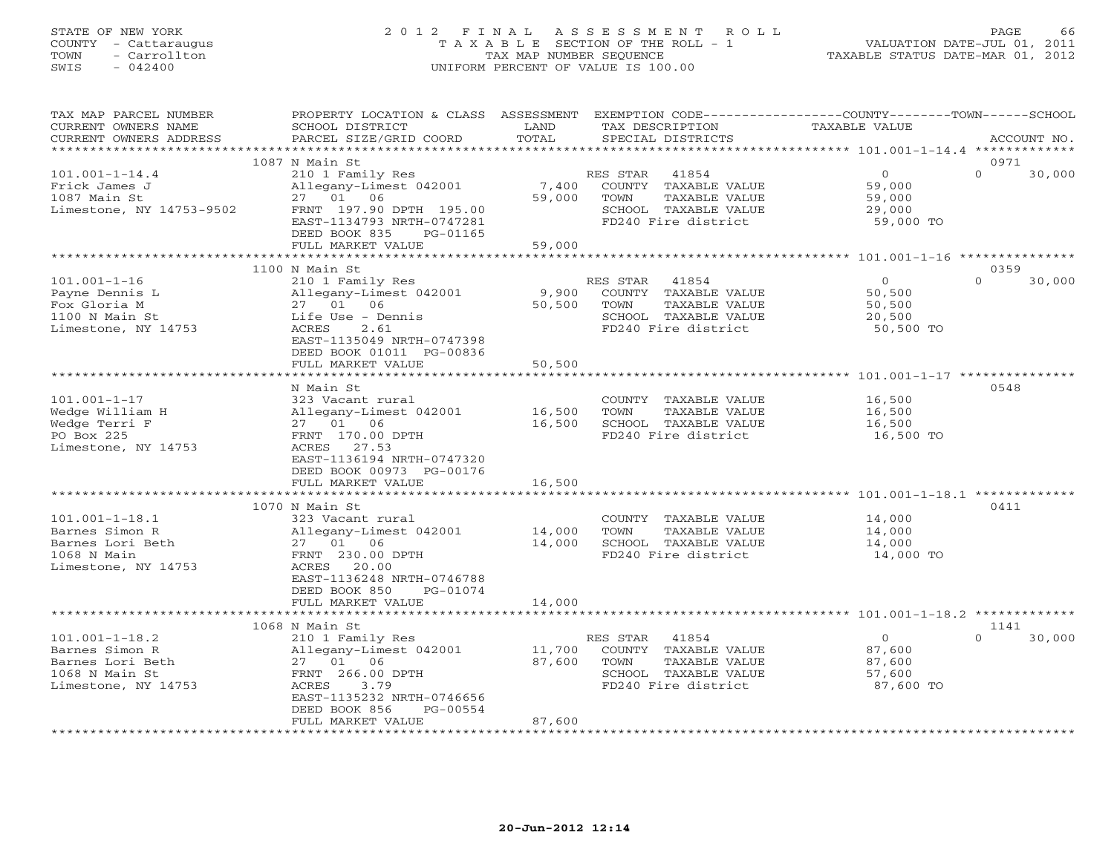## STATE OF NEW YORK 2 0 1 2 F I N A L A S S E S S M E N T R O L L PAGE 66 COUNTY - Cattaraugus T A X A B L E SECTION OF THE ROLL - 1 VALUATION DATE-JUL 01, 2011 TOWN - Carrollton TAX MAP NUMBER SEQUENCE TAXABLE STATUS DATE-MAR 01, 2012 SWIS - 042400 UNIFORM PERCENT OF VALUE IS 100.00UNIFORM PERCENT OF VALUE IS 100.00

| TAX MAP PARCEL NUMBER    | PROPERTY LOCATION & CLASS ASSESSMENT EXEMPTION CODE---------------COUNTY-------TOWN------SCHOOL |        |                       |                |                    |
|--------------------------|-------------------------------------------------------------------------------------------------|--------|-----------------------|----------------|--------------------|
| CURRENT OWNERS NAME      | SCHOOL DISTRICT                                                                                 | LAND   | TAX DESCRIPTION       | TAXABLE VALUE  |                    |
| CURRENT OWNERS ADDRESS   | PARCEL SIZE/GRID COORD                                                                          | TOTAL  | SPECIAL DISTRICTS     |                | ACCOUNT NO.        |
|                          |                                                                                                 |        |                       |                |                    |
|                          | 1087 N Main St                                                                                  |        |                       |                | 0971               |
| $101.001 - 1 - 14.4$     | 210 1 Family Res                                                                                |        | RES STAR<br>41854     | $\circ$        | $\Omega$<br>30,000 |
| Frick James J            | Allegany-Limest 042001                                                                          | 7,400  | COUNTY TAXABLE VALUE  | 59,000         |                    |
| 1087 Main St             | 27  01  06                                                                                      | 59,000 | TOWN<br>TAXABLE VALUE | 59,000         |                    |
| Limestone, NY 14753-9502 | FRNT 197.90 DPTH 195.00                                                                         |        | SCHOOL TAXABLE VALUE  | 29,000         |                    |
|                          | EAST-1134793 NRTH-0747281                                                                       |        | FD240 Fire district   | 59,000 TO      |                    |
|                          | DEED BOOK 835<br>PG-01165                                                                       |        |                       |                |                    |
|                          | FULL MARKET VALUE                                                                               | 59,000 |                       |                |                    |
|                          |                                                                                                 |        |                       |                |                    |
|                          | 1100 N Main St                                                                                  |        |                       |                | 0359               |
| $101.001 - 1 - 16$       | 210 1 Family Res                                                                                |        | RES STAR<br>41854     | $\overline{0}$ | $\Omega$<br>30,000 |
| Payne Dennis L           | Allegany-Limest 042001                                                                          | 9,900  | COUNTY TAXABLE VALUE  | 50,500         |                    |
| Fox Gloria M             | 27 01<br>06                                                                                     | 50,500 | TOWN<br>TAXABLE VALUE | 50,500         |                    |
| 1100 N Main St           | Life Use - Dennis                                                                               |        | SCHOOL TAXABLE VALUE  | 20,500         |                    |
| Limestone, NY 14753      | ACRES<br>2.61                                                                                   |        | FD240 Fire district   | 50,500 TO      |                    |
|                          | EAST-1135049 NRTH-0747398                                                                       |        |                       |                |                    |
|                          | DEED BOOK 01011 PG-00836                                                                        |        |                       |                |                    |
|                          | FULL MARKET VALUE                                                                               | 50,500 |                       |                |                    |
|                          |                                                                                                 |        |                       |                |                    |
|                          | N Main St                                                                                       |        |                       |                | 0548               |
| $101.001 - 1 - 17$       | 323 Vacant rural                                                                                |        | COUNTY TAXABLE VALUE  | 16,500         |                    |
| Wedge William H          | Allegany-Limest 042001                                                                          | 16,500 | TOWN<br>TAXABLE VALUE | 16,500         |                    |
| Wedge Terri F            | 27 01 06                                                                                        | 16,500 | SCHOOL TAXABLE VALUE  | 16,500         |                    |
| PO Box 225               | FRNT 170.00 DPTH                                                                                |        | FD240 Fire district   | 16,500 TO      |                    |
| Limestone, NY 14753      | ACRES 27.53                                                                                     |        |                       |                |                    |
|                          | EAST-1136194 NRTH-0747320                                                                       |        |                       |                |                    |
|                          | DEED BOOK 00973 PG-00176                                                                        |        |                       |                |                    |
|                          | FULL MARKET VALUE                                                                               | 16,500 |                       |                |                    |
|                          |                                                                                                 |        |                       |                |                    |
|                          | 1070 N Main St                                                                                  |        |                       |                | 0411               |
| $101.001 - 1 - 18.1$     | 323 Vacant rural                                                                                |        | COUNTY TAXABLE VALUE  | 14,000         |                    |
| Barnes Simon R           | Allegany-Limest 042001                                                                          | 14,000 | TOWN<br>TAXABLE VALUE | 14,000         |                    |
| Barnes Lori Beth         | 27 01 06                                                                                        | 14,000 | SCHOOL TAXABLE VALUE  | 14,000         |                    |
| 1068 N Main              | FRNT 230.00 DPTH                                                                                |        | FD240 Fire district   | 14,000 TO      |                    |
| Limestone, NY 14753      | 20.00<br>ACRES                                                                                  |        |                       |                |                    |
|                          | EAST-1136248 NRTH-0746788                                                                       |        |                       |                |                    |
|                          | DEED BOOK 850<br>PG-01074                                                                       |        |                       |                |                    |
|                          | FULL MARKET VALUE                                                                               | 14,000 |                       |                |                    |
|                          | ***********************                                                                         |        |                       |                |                    |
|                          | 1068 N Main St                                                                                  |        |                       |                | 1141               |
| $101.001 - 1 - 18.2$     | 210 1 Family Res                                                                                |        | RES STAR 41854        | $\overline{0}$ | 30,000<br>$\Omega$ |
| Barnes Simon R           | Allegany-Limest 042001                                                                          | 11,700 | COUNTY TAXABLE VALUE  | 87,600         |                    |
| Barnes Lori Beth         | 27 01<br>06                                                                                     | 87,600 | TOWN<br>TAXABLE VALUE | 87,600         |                    |
| 1068 N Main St           | FRNT 266.00 DPTH                                                                                |        | SCHOOL TAXABLE VALUE  | 57,600         |                    |
| Limestone, NY 14753      | ACRES<br>3.79                                                                                   |        | FD240 Fire district   | 87,600 TO      |                    |
|                          | EAST-1135232 NRTH-0746656                                                                       |        |                       |                |                    |
|                          | DEED BOOK 856<br>PG-00554                                                                       |        |                       |                |                    |
|                          | FULL MARKET VALUE                                                                               | 87,600 |                       |                |                    |
|                          |                                                                                                 |        |                       |                |                    |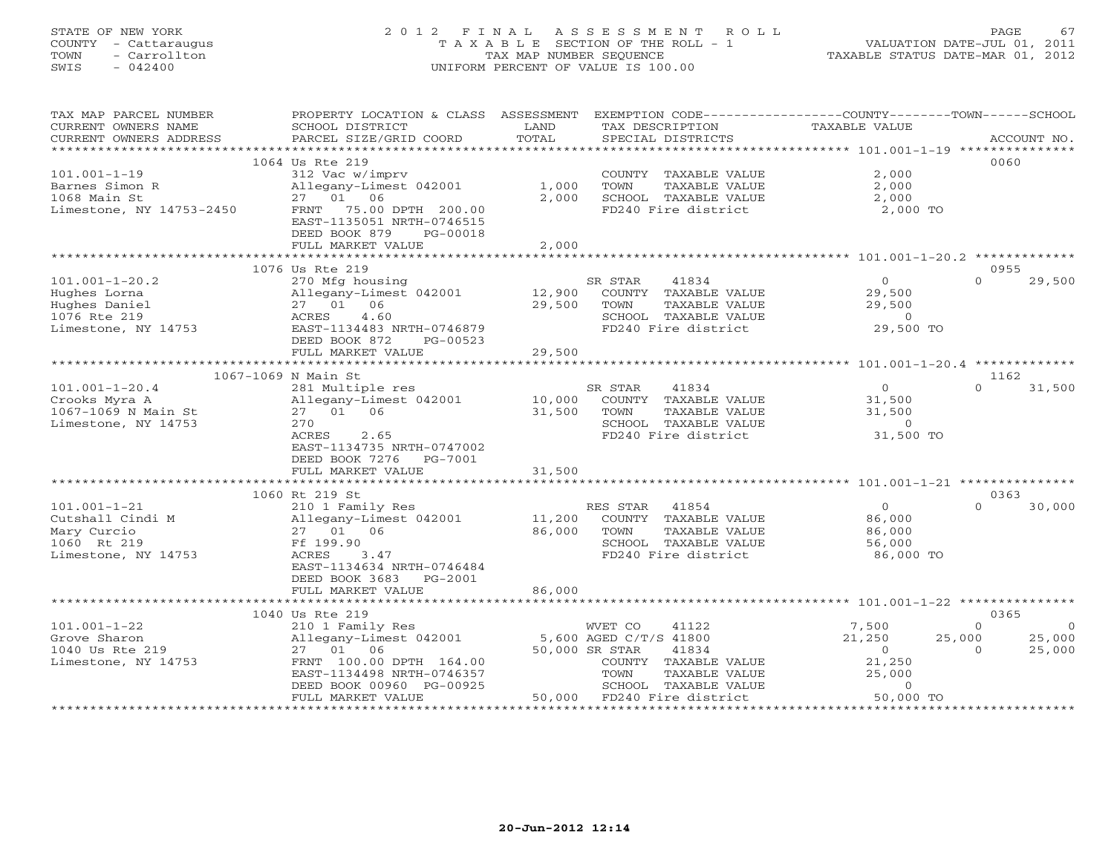# STATE OF NEW YORK 2 0 1 2 F I N A L A S S E S S M E N T R O L L PAGE 67 COUNTY - Cattaraugus T A X A B L E SECTION OF THE ROLL - 1 VALUATION DATE-JUL 01, 2011 TOWN - Carrollton TAX MAP NUMBER SEQUENCE TAXABLE STATUS DATE-MAR 01, 2012 SWIS - 042400 UNIFORM PERCENT OF VALUE IS 100.00UNIFORM PERCENT OF VALUE IS 100.00

| TAX MAP PARCEL NUMBER                                | PROPERTY LOCATION & CLASS ASSESSMENT          |                        | EXEMPTION CODE-----------------COUNTY-------TOWN------SCHOOL |                                                  |                           |
|------------------------------------------------------|-----------------------------------------------|------------------------|--------------------------------------------------------------|--------------------------------------------------|---------------------------|
| CURRENT OWNERS NAME                                  | SCHOOL DISTRICT                               | LAND                   | TAX DESCRIPTION                                              | TAXABLE VALUE                                    |                           |
| CURRENT OWNERS ADDRESS                               | PARCEL SIZE/GRID COORD                        | TOTAL                  | SPECIAL DISTRICTS                                            |                                                  | ACCOUNT NO.               |
|                                                      |                                               |                        |                                                              |                                                  |                           |
|                                                      | 1064 Us Rte 219                               |                        |                                                              |                                                  | 0060                      |
| $101.001 - 1 - 19$                                   | 312 Vac w/imprv                               |                        | COUNTY TAXABLE VALUE                                         | 2,000                                            |                           |
| Barnes Simon R                                       | Allegany-Limest 042001                        | 1,000                  | TOWN<br>TAXABLE VALUE                                        | 2,000                                            |                           |
| 1068 Main St                                         | 27 01 06                                      | 2,000                  | SCHOOL TAXABLE VALUE                                         | 2,000                                            |                           |
| Limestone, NY 14753-2450                             | FRNT 75.00 DPTH 200.00                        |                        | FD240 Fire district                                          | 2,000 TO                                         |                           |
|                                                      | EAST-1135051 NRTH-0746515                     |                        |                                                              |                                                  |                           |
|                                                      | DEED BOOK 879<br>PG-00018                     |                        |                                                              |                                                  |                           |
|                                                      | FULL MARKET VALUE                             | 2,000                  |                                                              |                                                  |                           |
|                                                      |                                               |                        |                                                              |                                                  |                           |
|                                                      | 1076 Us Rte 219                               |                        |                                                              |                                                  | 0955                      |
| $101.001 - 1 - 20.2$                                 | 270 Mfg housing                               |                        | SR STAR<br>41834                                             | $\bigcirc$                                       | $\Omega$<br>29,500        |
| Hughes Lorna                                         | Allegany-Limest 042001 12,900                 |                        | COUNTY TAXABLE VALUE                                         | 29,500                                           |                           |
| Hughes Daniel<br>1076 Rte 219<br>Limestone, NY 14753 | 27 01 06                                      | 29,500                 | TOWN<br>TAXABLE VALUE                                        | 29,500                                           |                           |
|                                                      | 4.60<br>ACRES                                 |                        | SCHOOL TAXABLE VALUE                                         | $\sim$ 0                                         |                           |
|                                                      | EAST-1134483 NRTH-0746879                     |                        | FD240 Fire district                                          | 29,500 TO                                        |                           |
|                                                      | DEED BOOK 872<br>PG-00523                     |                        |                                                              |                                                  |                           |
|                                                      | FULL MARKET VALUE                             | 29,500                 |                                                              |                                                  |                           |
|                                                      |                                               |                        |                                                              |                                                  |                           |
|                                                      | 1067-1069 N Main St                           |                        |                                                              |                                                  | 1162                      |
| $101.001 - 1 - 20.4$                                 | 281 Multiple res                              |                        | SR STAR<br>41834                                             |                                                  | $\Omega$<br>31,500        |
| Crooks Myra A                                        | Allegany-Limest 042001                        | $10,000$ <sup>SF</sup> | COUNTY TAXABLE VALUE                                         | $\begin{array}{c}0\\31.500\end{array}$<br>31,500 |                           |
| 1067-1069 N Main St                                  | 27 01 06                                      | 31,500                 | TAXABLE VALUE<br>TOWN                                        | 31,500                                           |                           |
| Limestone, NY 14753                                  | 270                                           |                        | SCHOOL TAXABLE VALUE                                         | $\circ$                                          |                           |
|                                                      | ACRES<br>2.65                                 |                        | FD240 Fire district 31,500 TO                                |                                                  |                           |
|                                                      | EAST-1134735 NRTH-0747002                     |                        |                                                              |                                                  |                           |
|                                                      | DEED BOOK 7276 PG-7001                        |                        |                                                              |                                                  |                           |
|                                                      | FULL MARKET VALUE                             | 31,500                 |                                                              |                                                  |                           |
|                                                      |                                               |                        |                                                              |                                                  |                           |
|                                                      | 1060 Rt 219 St                                |                        |                                                              |                                                  | 0363                      |
| $101.001 - 1 - 21$                                   | 210 1 Family Res                              |                        | RES STAR<br>41854                                            | $\overline{0}$                                   | $\Omega$<br>30,000        |
| Cutshall Cindi M                                     | Allegany-Limest 042001 11,200                 |                        | COUNTY TAXABLE VALUE                                         | 86,000                                           |                           |
| Mary Curcio                                          | 27 01 06                                      | 86,000                 | TAXABLE VALUE<br>TOWN                                        | 86,000                                           |                           |
| 1060 Rt 219                                          | Ff 199.90                                     |                        | SCHOOL TAXABLE VALUE                                         | 56,000                                           |                           |
| Limestone, NY 14753                                  | ACRES<br>3.47                                 |                        | FD240 Fire district                                          | 86,000 TO                                        |                           |
|                                                      | EAST-1134634 NRTH-0746484                     |                        |                                                              |                                                  |                           |
|                                                      | DEED BOOK 3683 PG-2001                        |                        |                                                              |                                                  |                           |
|                                                      | FULL MARKET VALUE                             | 86,000                 |                                                              |                                                  |                           |
|                                                      |                                               |                        |                                                              |                                                  |                           |
|                                                      | 1040 Us Rte 219                               |                        |                                                              |                                                  | 0365                      |
| $101.001 - 1 - 22$                                   | 210 1 Family Res                              |                        | WVET CO<br>41122                                             | 7,500                                            | $\circ$<br>$\overline{0}$ |
| Grove Sharon                                         | Allegany-Limest 042001 5,600 AGED C/T/S 41800 |                        |                                                              | 21,250                                           | 25,000<br>25,000          |
| 1040 Us Rte 219                                      | 27 01 06                                      |                        | 50,000 SR STAR<br>41834                                      | $\overline{0}$                                   | 25,000<br>$\Omega$        |
| Limestone, NY 14753                                  | FRNT 100.00 DPTH 164.00                       |                        | COUNTY TAXABLE VALUE                                         | 21,250                                           |                           |
|                                                      | EAST-1134498 NRTH-0746357                     |                        | TOWN<br>TAXABLE VALUE                                        | 25,000                                           |                           |
|                                                      | DEED BOOK 00960 PG-00925                      |                        | SCHOOL TAXABLE VALUE                                         | $\overline{0}$                                   |                           |
|                                                      | FULL MARKET VALUE                             | 50,000                 | FD240 Fire district                                          | 50,000 TO                                        |                           |
|                                                      |                                               |                        |                                                              |                                                  |                           |
|                                                      |                                               |                        |                                                              |                                                  |                           |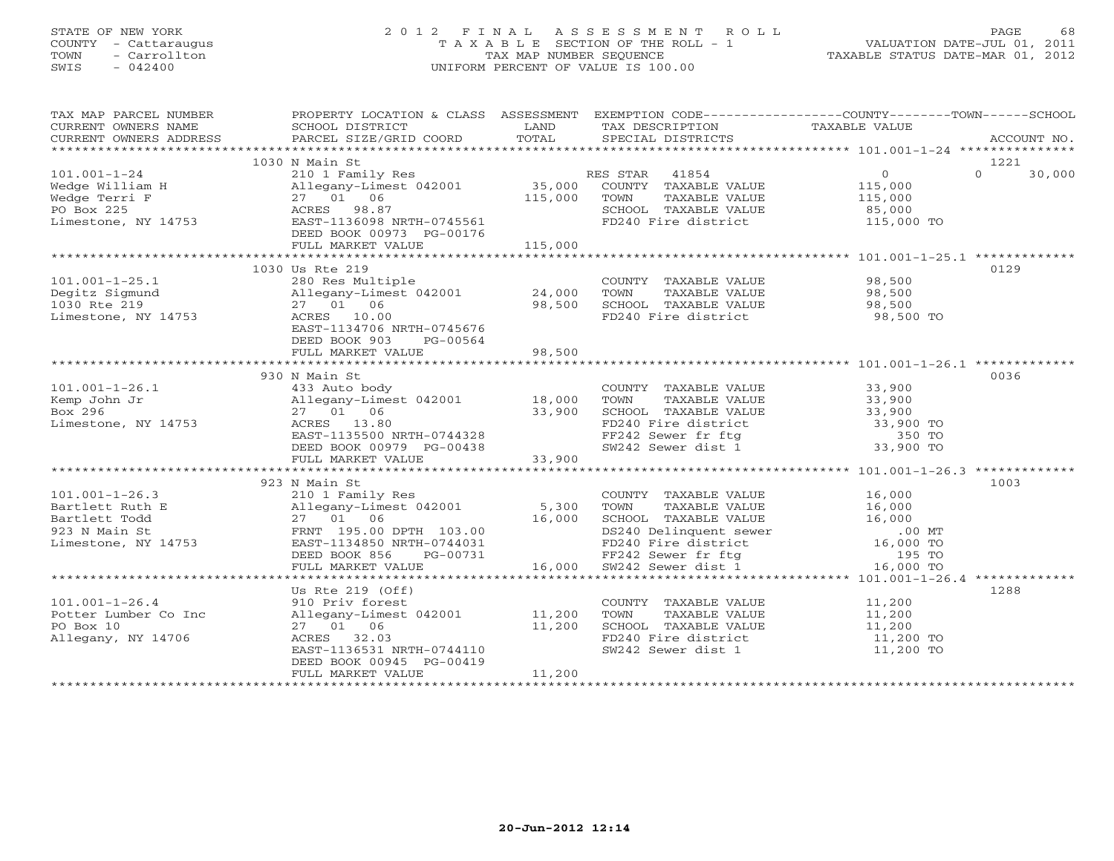## STATE OF NEW YORK 2 0 1 2 F I N A L A S S E S S M E N T R O L L PAGE 68 COUNTY - Cattaraugus T A X A B L E SECTION OF THE ROLL - 1 VALUATION DATE-JUL 01, 2011 TOWN - Carrollton TAX MAP NUMBER SEQUENCE TAXABLE STATUS DATE-MAR 01, 2012 SWIS - 042400 UNIFORM PERCENT OF VALUE IS 100.00UNIFORM PERCENT OF VALUE IS 100.00

| TAX MAP PARCEL NUMBER                                                                                                                                                                                                                                                                                                      |                                                                                                              |        |                                                                                                                   | PROPERTY LOCATION & CLASS ASSESSMENT EXEMPTION CODE----------------COUNTY-------TOWN------SCHOOL                                                                                                                                                                                                                                                                                                                                                                                   |
|----------------------------------------------------------------------------------------------------------------------------------------------------------------------------------------------------------------------------------------------------------------------------------------------------------------------------|--------------------------------------------------------------------------------------------------------------|--------|-------------------------------------------------------------------------------------------------------------------|------------------------------------------------------------------------------------------------------------------------------------------------------------------------------------------------------------------------------------------------------------------------------------------------------------------------------------------------------------------------------------------------------------------------------------------------------------------------------------|
|                                                                                                                                                                                                                                                                                                                            |                                                                                                              |        |                                                                                                                   | $\begin{tabular}{lllllll} \multicolumn{2}{c}{\textbf{CURRENT}} & \multicolumn{2}{c}{\textbf{WNERS}} & \multicolumn{2}{c}{\textbf{NAME}} & \multicolumn{2}{c}{\textbf{SCHOOL}} & \multicolumn{2}{c}{\textbf{LAND}} & \multicolumn{2}{c}{\textbf{TAX} \textbf{DESCRIPTION}} & \multicolumn{2}{c}{\textbf{TAXABLE} \textbf{ VALUE}} & \multicolumn{2}{c}{\textbf{ACCOUNT NO.}} \\ & & & & & & & \\ \multicolumn{2}{c}{\textbf{CURRENT}} & \multicolumn{2}{c}{\textbf{WNERS} \textbf{$ |
|                                                                                                                                                                                                                                                                                                                            |                                                                                                              |        |                                                                                                                   |                                                                                                                                                                                                                                                                                                                                                                                                                                                                                    |
|                                                                                                                                                                                                                                                                                                                            |                                                                                                              |        |                                                                                                                   |                                                                                                                                                                                                                                                                                                                                                                                                                                                                                    |
|                                                                                                                                                                                                                                                                                                                            | 1030 N Main St                                                                                               |        |                                                                                                                   | 1221                                                                                                                                                                                                                                                                                                                                                                                                                                                                               |
|                                                                                                                                                                                                                                                                                                                            |                                                                                                              |        |                                                                                                                   | $\Omega$<br>30,000                                                                                                                                                                                                                                                                                                                                                                                                                                                                 |
|                                                                                                                                                                                                                                                                                                                            |                                                                                                              |        |                                                                                                                   |                                                                                                                                                                                                                                                                                                                                                                                                                                                                                    |
|                                                                                                                                                                                                                                                                                                                            |                                                                                                              |        |                                                                                                                   |                                                                                                                                                                                                                                                                                                                                                                                                                                                                                    |
|                                                                                                                                                                                                                                                                                                                            |                                                                                                              |        |                                                                                                                   |                                                                                                                                                                                                                                                                                                                                                                                                                                                                                    |
|                                                                                                                                                                                                                                                                                                                            |                                                                                                              |        | SCHOOL TAXABLE VALUE 85,000<br>FD240 Fire district 115,000 TO                                                     |                                                                                                                                                                                                                                                                                                                                                                                                                                                                                    |
|                                                                                                                                                                                                                                                                                                                            |                                                                                                              |        |                                                                                                                   |                                                                                                                                                                                                                                                                                                                                                                                                                                                                                    |
|                                                                                                                                                                                                                                                                                                                            |                                                                                                              |        |                                                                                                                   |                                                                                                                                                                                                                                                                                                                                                                                                                                                                                    |
| 101.001-1-24 210 1 Family Res<br>Wedge William H 210 1 Family Res<br>Wedge Terri F 27 01 06 115,000 TOWNTY TAXABLE VALUE<br>PO Box 225 ACRES 98.87 SCHOOL TAXABLE VALUE<br>Limestone, NY 14753 EAST-1136098 NRTH-0745561 EED BOOK 009                                                                                      |                                                                                                              |        |                                                                                                                   |                                                                                                                                                                                                                                                                                                                                                                                                                                                                                    |
|                                                                                                                                                                                                                                                                                                                            | 1030 Us Rte 219                                                                                              |        |                                                                                                                   | 0129                                                                                                                                                                                                                                                                                                                                                                                                                                                                               |
| 101.001-1-25.1<br>Degitz Sigmund<br>1030 Rte 219<br>Limestone, NY 14753<br>$\begin{array}{cccccc}\n & & & & & 280 & \text{Res Multiple} \\  & & & & & 280 & \text{Res Multiple} \\  & & & & & 27 & 01 & 06 \\  & & & & & 27 & 01 & 06 \\  & & & & & & 28,500 & \text{SCHOO} \\  & & & & & & & \text{SCHOO} \\ \end{array}$ |                                                                                                              |        | COUNTY TAXABLE VALUE 98,500                                                                                       |                                                                                                                                                                                                                                                                                                                                                                                                                                                                                    |
|                                                                                                                                                                                                                                                                                                                            |                                                                                                              |        | TAXABLE VALUE                                                                                                     | 98,500                                                                                                                                                                                                                                                                                                                                                                                                                                                                             |
|                                                                                                                                                                                                                                                                                                                            |                                                                                                              |        | SCHOOL TAXABLE VALUE 98,500                                                                                       |                                                                                                                                                                                                                                                                                                                                                                                                                                                                                    |
|                                                                                                                                                                                                                                                                                                                            |                                                                                                              |        | FD240 Fire district                                                                                               | 98,500 TO                                                                                                                                                                                                                                                                                                                                                                                                                                                                          |
|                                                                                                                                                                                                                                                                                                                            | EAST-1134706 NRTH-0745676                                                                                    |        |                                                                                                                   |                                                                                                                                                                                                                                                                                                                                                                                                                                                                                    |
|                                                                                                                                                                                                                                                                                                                            | DEED BOOK 903 PG-00564                                                                                       |        |                                                                                                                   |                                                                                                                                                                                                                                                                                                                                                                                                                                                                                    |
|                                                                                                                                                                                                                                                                                                                            | FULL MARKET VALUE                                                                                            | 98,500 |                                                                                                                   |                                                                                                                                                                                                                                                                                                                                                                                                                                                                                    |
|                                                                                                                                                                                                                                                                                                                            |                                                                                                              |        |                                                                                                                   |                                                                                                                                                                                                                                                                                                                                                                                                                                                                                    |
|                                                                                                                                                                                                                                                                                                                            | 930 N Main St                                                                                                |        |                                                                                                                   | 0036                                                                                                                                                                                                                                                                                                                                                                                                                                                                               |
|                                                                                                                                                                                                                                                                                                                            |                                                                                                              |        |                                                                                                                   |                                                                                                                                                                                                                                                                                                                                                                                                                                                                                    |
|                                                                                                                                                                                                                                                                                                                            |                                                                                                              |        | COUNTY TAXABLE VALUE 33,900<br>TOWN TAXABLE VALUE 33,900                                                          |                                                                                                                                                                                                                                                                                                                                                                                                                                                                                    |
|                                                                                                                                                                                                                                                                                                                            |                                                                                                              |        |                                                                                                                   |                                                                                                                                                                                                                                                                                                                                                                                                                                                                                    |
|                                                                                                                                                                                                                                                                                                                            | 27 01 06 33,900<br>ACRES 13.80<br>EAST-1135500 NRTH-0744328<br>DEED BOOK 00979 PG-00438<br>FULL MARKET VALUE |        | CHOOL TAXABLE VALUE<br>FD240 Fire district 33,900 TO<br>FF242 Sewer fr ftg 350 TO<br>SW242 Sewer dist 1 33,900 TO |                                                                                                                                                                                                                                                                                                                                                                                                                                                                                    |
|                                                                                                                                                                                                                                                                                                                            |                                                                                                              |        |                                                                                                                   |                                                                                                                                                                                                                                                                                                                                                                                                                                                                                    |
|                                                                                                                                                                                                                                                                                                                            |                                                                                                              |        |                                                                                                                   |                                                                                                                                                                                                                                                                                                                                                                                                                                                                                    |
|                                                                                                                                                                                                                                                                                                                            |                                                                                                              |        |                                                                                                                   |                                                                                                                                                                                                                                                                                                                                                                                                                                                                                    |
|                                                                                                                                                                                                                                                                                                                            |                                                                                                              |        |                                                                                                                   |                                                                                                                                                                                                                                                                                                                                                                                                                                                                                    |
|                                                                                                                                                                                                                                                                                                                            |                                                                                                              |        |                                                                                                                   |                                                                                                                                                                                                                                                                                                                                                                                                                                                                                    |
|                                                                                                                                                                                                                                                                                                                            | 923 N Main St                                                                                                |        |                                                                                                                   | 1003                                                                                                                                                                                                                                                                                                                                                                                                                                                                               |
|                                                                                                                                                                                                                                                                                                                            |                                                                                                              |        |                                                                                                                   |                                                                                                                                                                                                                                                                                                                                                                                                                                                                                    |
|                                                                                                                                                                                                                                                                                                                            |                                                                                                              |        |                                                                                                                   |                                                                                                                                                                                                                                                                                                                                                                                                                                                                                    |
|                                                                                                                                                                                                                                                                                                                            |                                                                                                              |        |                                                                                                                   |                                                                                                                                                                                                                                                                                                                                                                                                                                                                                    |
| 101.001-1-26.3<br>Bartlett Ruth E<br>Bartlett Fodd<br>Bartlett Todd 27 01 06<br>ERNT 195.00 DPTH 103.00<br>ERNT 195.00 DPTH 103.00<br>ERD BOOK 856 PG-00731<br>FRNAHLE VALUE<br>FRNAHLE VALUE<br>27 01 06<br>16,000 SCHOOL TAXABLE VALUE<br>27 01 0                                                                        |                                                                                                              |        |                                                                                                                   |                                                                                                                                                                                                                                                                                                                                                                                                                                                                                    |
|                                                                                                                                                                                                                                                                                                                            |                                                                                                              |        |                                                                                                                   |                                                                                                                                                                                                                                                                                                                                                                                                                                                                                    |
|                                                                                                                                                                                                                                                                                                                            |                                                                                                              |        |                                                                                                                   |                                                                                                                                                                                                                                                                                                                                                                                                                                                                                    |
|                                                                                                                                                                                                                                                                                                                            |                                                                                                              |        |                                                                                                                   |                                                                                                                                                                                                                                                                                                                                                                                                                                                                                    |
|                                                                                                                                                                                                                                                                                                                            |                                                                                                              |        |                                                                                                                   |                                                                                                                                                                                                                                                                                                                                                                                                                                                                                    |
|                                                                                                                                                                                                                                                                                                                            | Us Rte 219 (Off)                                                                                             |        |                                                                                                                   | 1288                                                                                                                                                                                                                                                                                                                                                                                                                                                                               |
| 101.001-1-26.4<br>Potter Lumber Co Inc (2001)<br>Po Box 10 (27 01 06 (11,200)<br>27 01 06 (11,200)                                                                                                                                                                                                                         |                                                                                                              |        | COUNTY TAXABLE VALUE 11,200                                                                                       |                                                                                                                                                                                                                                                                                                                                                                                                                                                                                    |
|                                                                                                                                                                                                                                                                                                                            |                                                                                                              |        | TOWN                                                                                                              | TAXABLE VALUE 11,200<br>TAXABLE VALUE 11,200                                                                                                                                                                                                                                                                                                                                                                                                                                       |
|                                                                                                                                                                                                                                                                                                                            |                                                                                                              |        | SCHOOL TAXABLE VALUE                                                                                              |                                                                                                                                                                                                                                                                                                                                                                                                                                                                                    |
| Allegany, NY 14706                                                                                                                                                                                                                                                                                                         |                                                                                                              |        | FD240 Fire district 11,200 TO                                                                                     |                                                                                                                                                                                                                                                                                                                                                                                                                                                                                    |
|                                                                                                                                                                                                                                                                                                                            | 27 01 06 11,200<br>ACRES 32.03<br>EAST-1136531 NRTH-0744110                                                  |        | SW242 Sewer dist 1                                                                                                | 11,200 TO                                                                                                                                                                                                                                                                                                                                                                                                                                                                          |
|                                                                                                                                                                                                                                                                                                                            | DEED BOOK 00945 PG-00419                                                                                     |        |                                                                                                                   |                                                                                                                                                                                                                                                                                                                                                                                                                                                                                    |
|                                                                                                                                                                                                                                                                                                                            | FULL MARKET VALUE                                                                                            | 11,200 |                                                                                                                   |                                                                                                                                                                                                                                                                                                                                                                                                                                                                                    |
|                                                                                                                                                                                                                                                                                                                            |                                                                                                              |        |                                                                                                                   |                                                                                                                                                                                                                                                                                                                                                                                                                                                                                    |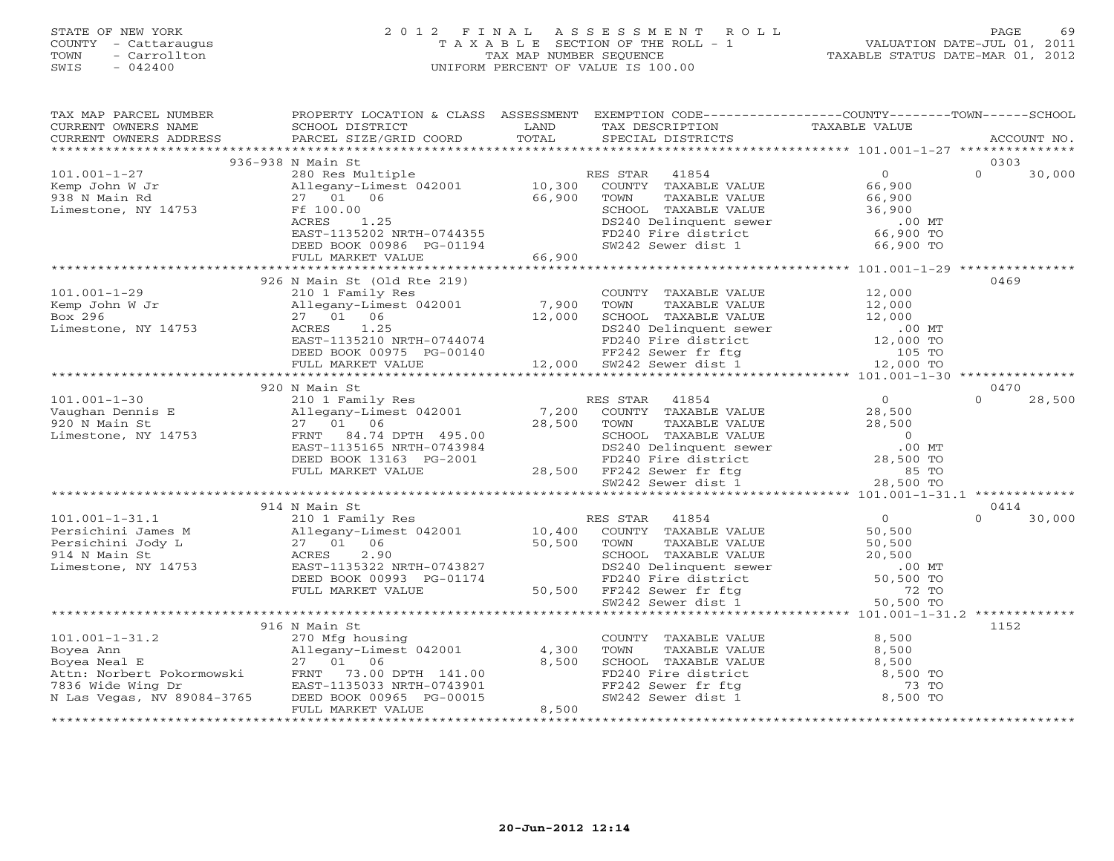# STATE OF NEW YORK 2 0 1 2 F I N A L A S S E S S M E N T R O L L PAGE 69 COUNTY - Cattaraugus T A X A B L E SECTION OF THE ROLL - 1 VALUATION DATE-JUL 01, 2011 TOWN - Carrollton - Carrollton TAX MAP NUMBER SEQUENCE TAXABLE STATUS DATE-MAR 01, 2012<br>
TOWN - Carrollton - Carrollton - Carrollton - Carrollton - TAXABLE STATUS DATE-MAR 01, 2012 SWIS - 042400 UNIFORM PERCENT OF VALUE IS 100.00

| TAX MAP PARCEL NUMBER<br>CURRENT OWNERS NAME<br>CURRENT OWNERS ADDRESS          | PROPERTY LOCATION & CLASS ASSESSMENT<br>SCHOOL DISTRICT<br>PARCEL SIZE/GRID COORD                                                                                                                                                                                                                             | LAND<br>TOTAL                   | EXEMPTION CODE----------------COUNTY-------TOWN------SCHOOL<br>TAX DESCRIPTION<br>SPECIAL DISTRICTS                                                                | TAXABLE VALUE                                                | ACCOUNT NO.        |
|---------------------------------------------------------------------------------|---------------------------------------------------------------------------------------------------------------------------------------------------------------------------------------------------------------------------------------------------------------------------------------------------------------|---------------------------------|--------------------------------------------------------------------------------------------------------------------------------------------------------------------|--------------------------------------------------------------|--------------------|
|                                                                                 |                                                                                                                                                                                                                                                                                                               |                                 |                                                                                                                                                                    |                                                              |                    |
|                                                                                 | 936-938 N Main St                                                                                                                                                                                                                                                                                             |                                 |                                                                                                                                                                    |                                                              | 0303               |
| $101.001 - 1 - 27$<br>Kemp John W Jr<br>938 N Main Rd<br>Limestone, NY 14753    | 280 Res Multiple<br>Allegany-Limest 042001<br>27 01 06<br>Ff 100.00                                                                                                                                                                                                                                           | $10,300$ <sup>R</sup><br>66,900 | RES STAR<br>41854<br>COUNTY TAXABLE VALUE<br>TOWN<br>TAXABLE VALUE<br>SCHOOL TAXABLE VALUE                                                                         | $\overline{0}$<br>66,900<br>66,900<br>36,900                 | $\Omega$<br>30,000 |
|                                                                                 | ACRES<br>1.25<br>EAST-1135202 NRTH-0744355<br>DEED BOOK 00986 PG-01194<br>FULL MARKET VALUE                                                                                                                                                                                                                   | 66,900                          | SCHOOL TAAABLE VALUE<br>DS240 Delinquent sewer<br>FD240 Fire district<br>SW242 Sewer dist 1                                                                        | $.00$ MT<br>66,900 TO<br>66,900 TO                           |                    |
|                                                                                 |                                                                                                                                                                                                                                                                                                               |                                 |                                                                                                                                                                    |                                                              |                    |
|                                                                                 | 926 N Main St (Old Rte 219)                                                                                                                                                                                                                                                                                   |                                 |                                                                                                                                                                    |                                                              | 0469               |
| $101.001 - 1 - 29$<br>Kemp John W Jr<br>Box 296<br>Limestone, NY 14753          | 210 1 Family Res<br>Allegany-Limest 042001 7,900<br>27 01 06 12,000<br>27 01 06 12,000 SCHOOL TAXABLE VALUE 12,000 NCRES 1.25<br>BS240 Delinquent sewer 12,000 MT<br>EAST-1135210 NRTH-0744074 FD240 Fire district 12,000 TO<br>DEED BOOK 00975 PG-00140 FF242 Sewer fit ftg 105 TO<br>FULL MARKET VALUE 12,0 |                                 | COUNTY TAXABLE VALUE<br>TOWN<br>TAXABLE VALUE                                                                                                                      | 12,000<br>12,000<br>12,000<br>12,000                         |                    |
|                                                                                 |                                                                                                                                                                                                                                                                                                               |                                 |                                                                                                                                                                    |                                                              |                    |
|                                                                                 | 920 N Main St                                                                                                                                                                                                                                                                                                 |                                 |                                                                                                                                                                    |                                                              | 0470               |
| $101.001 - 1 - 30$                                                              | 210 1 Family Res                                                                                                                                                                                                                                                                                              |                                 | RES STAR<br>41854                                                                                                                                                  | $\overline{0}$                                               | $\Omega$<br>28,500 |
| Vaughan Dennis E<br>920 N Main St<br>Limestone, NY 14753                        | Allegany-Limest 042001<br>27 01 06<br>FRNT 84.74 DPTH 495.00                                                                                                                                                                                                                                                  | 7,200<br>28,500                 | COUNTY TAXABLE VALUE<br>TOWN<br>TAXABLE VALUE                                                                                                                      | 28,500<br>28,500<br>$\overline{0}$                           |                    |
|                                                                                 | EAST-1135165 NRTH-0743984<br>DEED BOOK 13163 PG-2001<br>FULL MARKET VALUE                                                                                                                                                                                                                                     |                                 | 28,500 FF242 Sewer fr ftg                                                                                                                                          | $.00$ MT<br>28,500 TO<br>85 TO<br>28,500 TO                  |                    |
|                                                                                 |                                                                                                                                                                                                                                                                                                               |                                 |                                                                                                                                                                    |                                                              |                    |
|                                                                                 | 914 N Main St                                                                                                                                                                                                                                                                                                 |                                 |                                                                                                                                                                    |                                                              | 0414               |
| $101.001 - 1 - 31.1$                                                            | 210 1 Family Res                                                                                                                                                                                                                                                                                              | 10,400                          | RES STAR<br>41854                                                                                                                                                  | 0                                                            | 30,000<br>$\Omega$ |
| Persichini James M<br>Persichini Jody L<br>914 N Main St<br>Limestone, NY 14753 | 212 1 22 1 22 23 24 25 26 26 27<br>27 01 06<br>ACRES 2.90<br>EAST-1135322 NRTH-0743827<br>DEED BOOK 00993 PG-01174<br>FULL MARKET VALUE                                                                                                                                                                       | 50,500<br>50,500                | COUNTY TAXABLE VALUE<br>TAXABLE VALUE<br>TOWN<br>SCHOOL TAXABLE VALUE<br>DS240 Delinquent sewer<br>FD240 Fire district<br>FF242 Sewer fr ftg<br>SW242 Sewer dist 1 | 50,500<br>50,500<br>20,500<br>$.00$ MT<br>50,500 TO<br>72 TO |                    |
|                                                                                 |                                                                                                                                                                                                                                                                                                               |                                 |                                                                                                                                                                    | 50,500 TO                                                    |                    |
|                                                                                 |                                                                                                                                                                                                                                                                                                               |                                 |                                                                                                                                                                    |                                                              |                    |
|                                                                                 | 916 N Main St                                                                                                                                                                                                                                                                                                 |                                 |                                                                                                                                                                    |                                                              | 1152               |
| $101.001 - 1 - 31.2$                                                            | 270 Mfg housing                                                                                                                                                                                                                                                                                               |                                 | COUNTY TAXABLE VALUE                                                                                                                                               | 8,500                                                        |                    |
| Boyea Ann                                                                       | Allegany-Limest 042001                                                                                                                                                                                                                                                                                        | 4,300                           | TAXABLE VALUE<br>TOWN                                                                                                                                              | 8,500                                                        |                    |
| Boyea Neal E                                                                    | 27 01<br>06                                                                                                                                                                                                                                                                                                   | 8,500                           | SCHOOL TAXABLE VALUE                                                                                                                                               | 8,500                                                        |                    |
| Boyea Neal E<br>Attn: Norbert Pokormowski<br>7836 Wide Wing Dr                  | FRNT 73.00 DPTH 141.00                                                                                                                                                                                                                                                                                        |                                 | FD240 Fire district<br>FF242 Sewer fr ftg                                                                                                                          | 8,500 TO                                                     |                    |
|                                                                                 | EAST-1135033 NRTH-0743901                                                                                                                                                                                                                                                                                     |                                 |                                                                                                                                                                    | 73 TO                                                        |                    |
| N Las Vegas, NV 89084-3765                                                      | DEED BOOK 00965 PG-00015<br>FULL MARKET VALUE                                                                                                                                                                                                                                                                 | 8,500                           | SW242 Sewer dist 1                                                                                                                                                 | 8,500 TO                                                     |                    |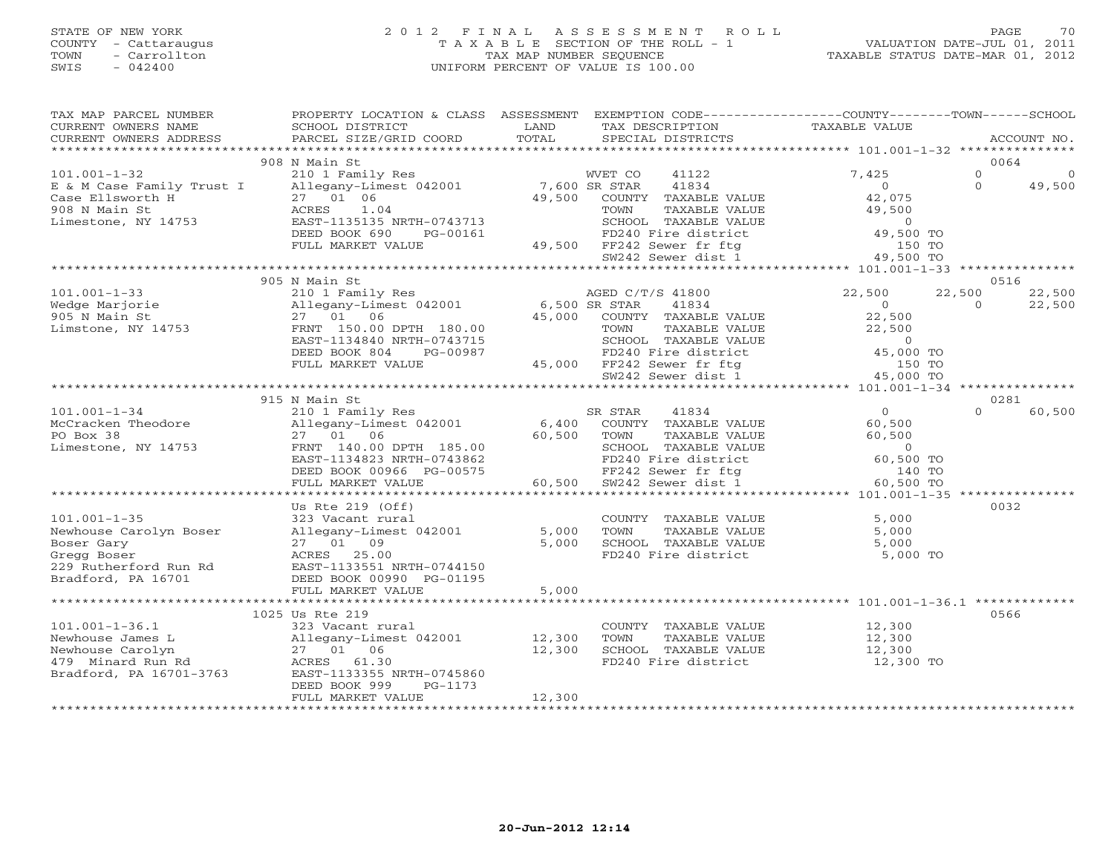## STATE OF NEW YORK 2 0 1 2 F I N A L A S S E S S M E N T R O L L PAGE 70 COUNTY - Cattaraugus T A X A B L E SECTION OF THE ROLL - 1 VALUATION DATE-JUL 01, 2011 TOWN - Carrollton TAX MAP NUMBER SEQUENCE TAXABLE STATUS DATE-MAR 01, 2012 SWIS - 042400 UNIFORM PERCENT OF VALUE IS 100.00UNIFORM PERCENT OF VALUE IS 100.00

| TAX MAP PARCEL NUMBER<br>$\begin{array}{ccccccccc}\n\text{CURRENT} & \text{WNERS} & \text{NMEE} & \text{SCHDOL} & \text{DISTRICT} & \text{LAND} & \text{TAX} & \text{DESTRICT} & \text{RACCOUNT NO.} \\ \text{CURRENT} & \text{WNERS} & \text{ADDRESS} & \text{PARGE L} & \text{SCEL} & \text{SIZE/GRID COORD} & \text{TOTAL} & \text{SPECIAL DISTRIBUT} & \text{TASTRICTS} & \text{ACCOUNT NO.} \\ \text{VIRRENT} & \text{WNERS} & \text{ADDRESS} & \text{PARGE L} & \text{SCEL} & \text$ | PROPERTY LOCATION & CLASS ASSESSMENT EXEMPTION CODE----------------COUNTY-------TOWN------SCHOOL                                                                                                                                    |        |                                                                                                                                             |                |                                                          |
|--------------------------------------------------------------------------------------------------------------------------------------------------------------------------------------------------------------------------------------------------------------------------------------------------------------------------------------------------------------------------------------------------------------------------------------------------------------------------------------------|-------------------------------------------------------------------------------------------------------------------------------------------------------------------------------------------------------------------------------------|--------|---------------------------------------------------------------------------------------------------------------------------------------------|----------------|----------------------------------------------------------|
|                                                                                                                                                                                                                                                                                                                                                                                                                                                                                            |                                                                                                                                                                                                                                     |        |                                                                                                                                             |                |                                                          |
| $101.001 - 1 - 32$                                                                                                                                                                                                                                                                                                                                                                                                                                                                         | 908 N Main St<br>210 1 Family Res                                                                                                                                                                                                   |        | WVET CO 41122                                                                                                                               | 7,425          | 0064<br>$\Omega$<br>$\overline{0}$<br>$\Omega$<br>49,500 |
| E & M Case Family Trust I allegany-Limest 042001 7,600 SR STAR 41834<br>Case Ellsworth H 27 01 06 49,500 COUNTY TAXABLE VALUE<br>908 N Main St ACRES 1.04 TOWN TAXABLE VALUE<br>Limestone, NY 14753 EAST-1135135 NRTH-0743713 SCHOOL                                                                                                                                                                                                                                                       | ACRES 1.04<br>ACRES 1.04<br>BAST-1135135 NRTH-0743713<br>DEED BOOK 690 PG-00161 PD240 Fire district applications of the swap of the swap of the swap of the swap of the swap of the swap of the swap of the swap of the swap of the |        |                                                                                                                                             | $0$<br>42.075  |                                                          |
|                                                                                                                                                                                                                                                                                                                                                                                                                                                                                            |                                                                                                                                                                                                                                     |        |                                                                                                                                             |                |                                                          |
|                                                                                                                                                                                                                                                                                                                                                                                                                                                                                            |                                                                                                                                                                                                                                     |        |                                                                                                                                             |                |                                                          |
|                                                                                                                                                                                                                                                                                                                                                                                                                                                                                            |                                                                                                                                                                                                                                     |        |                                                                                                                                             |                | 0516                                                     |
|                                                                                                                                                                                                                                                                                                                                                                                                                                                                                            |                                                                                                                                                                                                                                     |        |                                                                                                                                             | $\overline{0}$ | 22,500<br>22,500<br>22,500<br>$\circ$                    |
| $\begin{tabular}{lcccc} \texttt{\textbf{101.001--1-33}} & & & 905\text{ N Main St} & & & & & & 210\text{ 1 Family Res} \\ & & 210\text{ 1 Family Res} & & & 210\text{ 1 Family Res} & & & & 22,500 & & 22,500 \\ \texttt{Wedge Marjorie} & & & 210\text{ 1 Family Res} & & & 6,500\text{ SR STAR} & 41834 & & 0 \\ \texttt{MainsC} & & & 27\text{ 01} & 06 & & 45,000 & & 000\text{OPT} & \text{TAXABLE VALUE} & &$                                                                        |                                                                                                                                                                                                                                     |        |                                                                                                                                             |                |                                                          |
|                                                                                                                                                                                                                                                                                                                                                                                                                                                                                            |                                                                                                                                                                                                                                     |        |                                                                                                                                             |                |                                                          |
|                                                                                                                                                                                                                                                                                                                                                                                                                                                                                            |                                                                                                                                                                                                                                     |        |                                                                                                                                             |                |                                                          |
|                                                                                                                                                                                                                                                                                                                                                                                                                                                                                            | 915 N Main St                                                                                                                                                                                                                       |        |                                                                                                                                             |                | 0281                                                     |
| 101.001-1-34<br>McCracken Theodore 210 1 Family Res SR STAR 41834 0<br>McCracken Theodore Allegany-Limest 042001 6,400 COUNTY TAXABLE VALUE 60,500<br>PO Box 38 27 01 06 60,500 TOWN TAXABLE VALUE 60,500<br>Limestone, NY 14753 FRNT                                                                                                                                                                                                                                                      |                                                                                                                                                                                                                                     |        |                                                                                                                                             |                | $\cap$<br>60,500                                         |
|                                                                                                                                                                                                                                                                                                                                                                                                                                                                                            |                                                                                                                                                                                                                                     |        |                                                                                                                                             |                |                                                          |
|                                                                                                                                                                                                                                                                                                                                                                                                                                                                                            |                                                                                                                                                                                                                                     |        |                                                                                                                                             |                |                                                          |
|                                                                                                                                                                                                                                                                                                                                                                                                                                                                                            |                                                                                                                                                                                                                                     |        |                                                                                                                                             |                |                                                          |
|                                                                                                                                                                                                                                                                                                                                                                                                                                                                                            |                                                                                                                                                                                                                                     |        |                                                                                                                                             |                |                                                          |
|                                                                                                                                                                                                                                                                                                                                                                                                                                                                                            | DEED BOOK 00966 PG-00575 FF242 Sewer fr ftg<br>FULL MARKET VALUE 60,500 SW242 Sewer dist 1                                                                                                                                          |        | COUNT TAXABLE VALUE<br>TOWN TAXABLE VALUE<br>FD240 Fire district 60,500 TO<br>FF242 Sewer fr ftg 140 TO<br>SW242 Sewer dist 1 101 00,500 TO |                |                                                          |
|                                                                                                                                                                                                                                                                                                                                                                                                                                                                                            |                                                                                                                                                                                                                                     |        |                                                                                                                                             |                |                                                          |
|                                                                                                                                                                                                                                                                                                                                                                                                                                                                                            | Us Rte $219$ (Off)                                                                                                                                                                                                                  |        |                                                                                                                                             |                | 0032                                                     |
| $101.001 - 1 - 35$                                                                                                                                                                                                                                                                                                                                                                                                                                                                         | 323 Vacant rural                                                                                                                                                                                                                    |        |                                                                                                                                             |                |                                                          |
| 101.001-1-35<br>Newhouse Carolyn Boser allegany-Limest 042001<br>Boser Gary 27 01 09<br>Gregg Boser access 25.00                                                                                                                                                                                                                                                                                                                                                                           |                                                                                                                                                                                                                                     |        | COUNTY TAXABLE VALUE 5,000<br>5,000 TOWN TAXABLE VALUE 5,000<br>5,000 SCHOOL TAXABLE VALUE 5,000<br>FD240 Fire district 5,000               |                |                                                          |
|                                                                                                                                                                                                                                                                                                                                                                                                                                                                                            |                                                                                                                                                                                                                                     |        |                                                                                                                                             |                |                                                          |
|                                                                                                                                                                                                                                                                                                                                                                                                                                                                                            |                                                                                                                                                                                                                                     |        |                                                                                                                                             | 5,000 TO       |                                                          |
| Gregg bosc.<br>229 Rutherford Run Rd<br>Distance Da 16701<br>Bradford, PA 16701                                                                                                                                                                                                                                                                                                                                                                                                            | EAST-1133551 NRTH-0744150<br>DEED BOOK 00990 PG-01195                                                                                                                                                                               |        |                                                                                                                                             |                |                                                          |
|                                                                                                                                                                                                                                                                                                                                                                                                                                                                                            | FULL MARKET VALUE                                                                                                                                                                                                                   | 5,000  |                                                                                                                                             |                |                                                          |
|                                                                                                                                                                                                                                                                                                                                                                                                                                                                                            |                                                                                                                                                                                                                                     |        |                                                                                                                                             |                |                                                          |
|                                                                                                                                                                                                                                                                                                                                                                                                                                                                                            | 1025 Us Rte 219                                                                                                                                                                                                                     |        |                                                                                                                                             |                | 0566                                                     |
|                                                                                                                                                                                                                                                                                                                                                                                                                                                                                            |                                                                                                                                                                                                                                     |        | COUNTY TAXABLE VALUE 12,300                                                                                                                 |                |                                                          |
|                                                                                                                                                                                                                                                                                                                                                                                                                                                                                            |                                                                                                                                                                                                                                     |        | TOWN<br>TAXABLE VALUE                                                                                                                       | 12,300         |                                                          |
|                                                                                                                                                                                                                                                                                                                                                                                                                                                                                            |                                                                                                                                                                                                                                     |        | SCHOOL TAXABLE VALUE 12,300                                                                                                                 |                |                                                          |
|                                                                                                                                                                                                                                                                                                                                                                                                                                                                                            |                                                                                                                                                                                                                                     |        | FD240 Fire district                                                                                                                         | 12,300 TO      |                                                          |
| 101.001-1-36.1<br>Newhouse James L<br>Newhouse Carolyn<br>12,300<br>479 Minard Run Rd<br>Bradford, PA 16701-3763<br>27 01 06<br>27 01 06<br>27 01 06<br>27 01 06<br>27 01 06<br>27 01 06<br>27 01 06<br>27 01 06<br>27 01 06<br>27 01 06<br>27 01 06<br>27 01 06                                                                                                                                                                                                                           |                                                                                                                                                                                                                                     |        |                                                                                                                                             |                |                                                          |
|                                                                                                                                                                                                                                                                                                                                                                                                                                                                                            | DEED BOOK 999<br>PG-1173                                                                                                                                                                                                            | 12,300 |                                                                                                                                             |                |                                                          |
|                                                                                                                                                                                                                                                                                                                                                                                                                                                                                            | FULL MARKET VALUE                                                                                                                                                                                                                   |        |                                                                                                                                             |                |                                                          |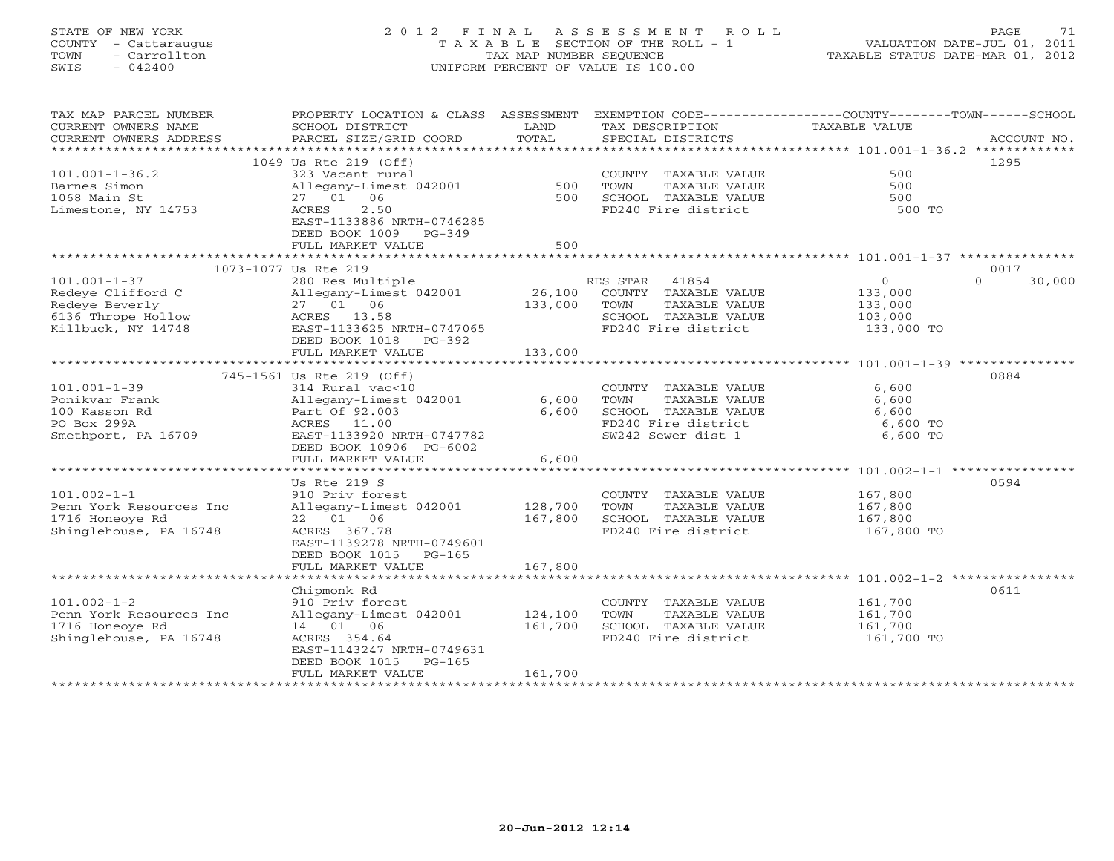# STATE OF NEW YORK 2 0 1 2 F I N A L A S S E S S M E N T R O L L PAGE 71 COUNTY - Cattaraugus T A X A B L E SECTION OF THE ROLL - 1 VALUATION DATE-JUL 01, 2011 TOWN - Carrollton TAX MAP NUMBER SEQUENCE TAXABLE STATUS DATE-MAR 01, 2012 SWIS - 042400 UNIFORM PERCENT OF VALUE IS 100.00UNIFORM PERCENT OF VALUE IS 100.00

| TAX MAP PARCEL NUMBER   | PROPERTY LOCATION & CLASS ASSESSMENT EXEMPTION CODE---------------COUNTY-------TOWN------SCHOOL |               |                             |                |                    |
|-------------------------|-------------------------------------------------------------------------------------------------|---------------|-----------------------------|----------------|--------------------|
| CURRENT OWNERS NAME     | SCHOOL DISTRICT                                                                                 | LAND<br>TOTAL | TAX DESCRIPTION             | TAXABLE VALUE  |                    |
| CURRENT OWNERS ADDRESS  | PARCEL SIZE/GRID COORD                                                                          |               | SPECIAL DISTRICTS           |                | ACCOUNT NO.        |
|                         | 1049 Us Rte 219 (Off)                                                                           |               |                             |                | 1295               |
| $101.001 - 1 - 36.2$    | 323 Vacant rural                                                                                |               | COUNTY TAXABLE VALUE        | 500            |                    |
| Barnes Simon            | Allegany-Limest 042001                                                                          | 500           | TOWN<br>TAXABLE VALUE       | 500            |                    |
| 1068 Main St            | 27 01 06                                                                                        | 500           | SCHOOL TAXABLE VALUE        | 500            |                    |
| Limestone, NY 14753     | 2.50<br>ACRES                                                                                   |               | FD240 Fire district         | 500 TO         |                    |
|                         | EAST-1133886 NRTH-0746285                                                                       |               |                             |                |                    |
|                         | DEED BOOK 1009 PG-349                                                                           |               |                             |                |                    |
|                         | FULL MARKET VALUE                                                                               | 500           |                             |                |                    |
|                         |                                                                                                 |               |                             |                |                    |
|                         | 1073-1077 Us Rte 219                                                                            |               |                             |                | 0017               |
| $101.001 - 1 - 37$      | 280 Res Multiple                                                                                |               | RES STAR 41854              | $\overline{0}$ | $\Omega$<br>30,000 |
| Redeye Clifford C       | Allegany-Limest 042001                                                                          |               | 26,100 COUNTY TAXABLE VALUE | 133,000        |                    |
| Redeye Beverly          | 27 01 06                                                                                        | 133,000       | TAXABLE VALUE<br>TOWN       | 133,000        |                    |
| 6136 Thrope Hollow      | ACRES 13.58                                                                                     |               | SCHOOL TAXABLE VALUE        | 103,000        |                    |
| Killbuck, NY 14748      | EAST-1133625 NRTH-0747065                                                                       |               | FD240 Fire district         | 133,000 TO     |                    |
|                         | DEED BOOK 1018 PG-392<br>FULL MARKET VALUE                                                      | 133,000       |                             |                |                    |
|                         |                                                                                                 |               |                             |                |                    |
|                         | 745-1561 Us Rte 219 (Off)                                                                       |               |                             |                | 0884               |
| $101.001 - 1 - 39$      | 314 Rural vac<10                                                                                |               | COUNTY TAXABLE VALUE        | 6,600          |                    |
| Ponikvar Frank          | Allegany-Limest 042001                                                                          | 6,600         | TOWN<br>TAXABLE VALUE       | 6,600          |                    |
| 100 Kasson Rd           | Part Of 92.003                                                                                  | 6,600         | SCHOOL TAXABLE VALUE        | 6,600          |                    |
| PO Box 299A             | ACRES 11.00                                                                                     |               | FD240 Fire district         | 6,600 TO       |                    |
| Smethport, PA 16709     | EAST-1133920 NRTH-0747782                                                                       |               | SW242 Sewer dist 1          | 6,600 TO       |                    |
|                         | DEED BOOK 10906 PG-6002                                                                         |               |                             |                |                    |
|                         | FULL MARKET VALUE                                                                               | 6,600         |                             |                |                    |
|                         |                                                                                                 |               |                             |                |                    |
|                         | Us Rte 219 S                                                                                    |               |                             |                | 0594               |
| $101.002 - 1 - 1$       | 910 Priv forest                                                                                 |               | COUNTY TAXABLE VALUE        | 167,800        |                    |
| Penn York Resources Inc | Allegany-Limest 042001                                                                          | 128,700       | TOWN<br>TAXABLE VALUE       | 167,800        |                    |
| 1716 Honeoye Rd         | 22 01 06                                                                                        | 167,800       | SCHOOL TAXABLE VALUE        | 167,800        |                    |
| Shinglehouse, PA 16748  | ACRES 367.78<br>EAST-1139278 NRTH-0749601                                                       |               | FD240 Fire district         | 167,800 TO     |                    |
|                         | DEED BOOK 1015 PG-165                                                                           |               |                             |                |                    |
|                         | FULL MARKET VALUE                                                                               | 167,800       |                             |                |                    |
|                         |                                                                                                 |               |                             |                |                    |
|                         | Chipmonk Rd                                                                                     |               |                             |                | 0611               |
| $101.002 - 1 - 2$       | 910 Priv forest                                                                                 |               | COUNTY TAXABLE VALUE        | 161,700        |                    |
| Penn York Resources Inc | Allegany-Limest 042001                                                                          | 124,100       | TAXABLE VALUE<br>TOWN       | 161,700        |                    |
| 1716 Honeove Rd         | 14 01 06                                                                                        | 161,700       | SCHOOL TAXABLE VALUE        | 161,700        |                    |
| Shinglehouse, PA 16748  | ACRES 354.64                                                                                    |               | FD240 Fire district         | 161,700 TO     |                    |
|                         | EAST-1143247 NRTH-0749631                                                                       |               |                             |                |                    |
|                         | DEED BOOK 1015<br>$PG-165$                                                                      |               |                             |                |                    |
|                         | FULL MARKET VALUE                                                                               | 161,700       |                             |                |                    |
|                         |                                                                                                 |               |                             |                |                    |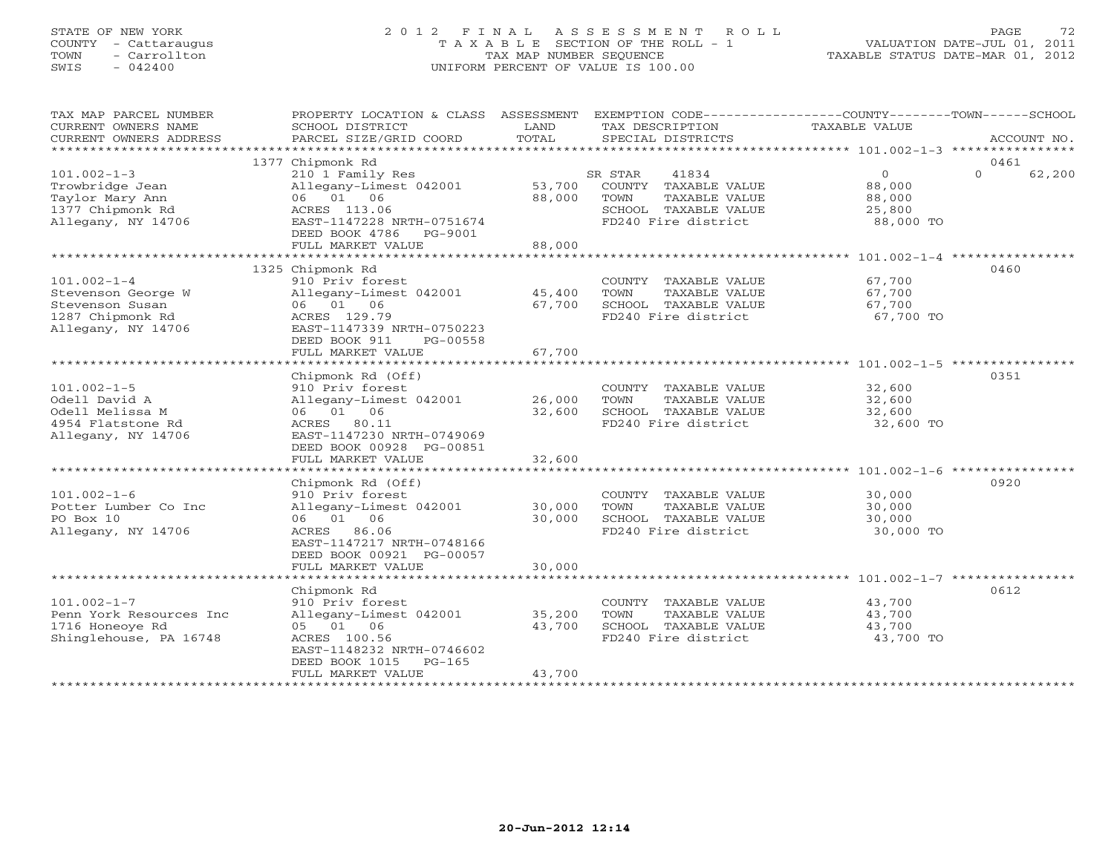## STATE OF NEW YORK 2 0 1 2 F I N A L A S S E S S M E N T R O L L PAGE 72 COUNTY - Cattaraugus T A X A B L E SECTION OF THE ROLL - 1 VALUATION DATE-JUL 01, 2011 TOWN - Carrollton TAX MAP NUMBER SEQUENCE TAXABLE STATUS DATE-MAR 01, 2012 SWIS - 042400 UNIFORM PERCENT OF VALUE IS 100.00UNIFORM PERCENT OF VALUE IS 100.00

| TAX MAP PARCEL NUMBER<br>CURRENT OWNERS NAME<br>CURRENT OWNERS ADDRESS<br>***********************    | PROPERTY LOCATION & CLASS ASSESSMENT<br>SCHOOL DISTRICT<br>PARCEL SIZE/GRID COORD                                                                                                                               | LAND<br>TOTAL              | EXEMPTION CODE-----------------COUNTY-------TOWN------SCHOOL<br>TAX DESCRIPTION<br>SPECIAL DISTRICTS             | TAXABLE VALUE                                              | ACCOUNT NO.        |
|------------------------------------------------------------------------------------------------------|-----------------------------------------------------------------------------------------------------------------------------------------------------------------------------------------------------------------|----------------------------|------------------------------------------------------------------------------------------------------------------|------------------------------------------------------------|--------------------|
|                                                                                                      | 1377 Chipmonk Rd                                                                                                                                                                                                |                            |                                                                                                                  |                                                            | 0461               |
| $101.002 - 1 - 3$<br>Trowbridge Jean<br>Taylor Mary Ann<br>1377 Chipmonk Rd<br>Allegany, NY 14706    | 210 1 Family Res<br>Allegany-Limest 042001<br>06 01 06<br>ACRES 113.06<br>EAST-1147228 NRTH-0751674<br>DEED BOOK 4786<br>PG-9001<br>FULL MARKET VALUE                                                           | 53,700<br>88,000<br>88,000 | 41834<br>SR STAR<br>COUNTY TAXABLE VALUE<br>TOWN<br>TAXABLE VALUE<br>SCHOOL TAXABLE VALUE<br>FD240 Fire district | $\Omega$<br>88,000<br>88,000<br>25,800<br>88,000 TO        | $\Omega$<br>62,200 |
|                                                                                                      |                                                                                                                                                                                                                 |                            |                                                                                                                  |                                                            |                    |
| $101.002 - 1 - 4$<br>Stevenson George W<br>Stevenson Susan<br>1287 Chipmonk Rd<br>Allegany, NY 14706 | 1325 Chipmonk Rd<br>910 Priv forest<br>Allegany-Limest 042001<br>06 01 06<br>ACRES 129.79<br>EAST-1147339 NRTH-0750223<br>DEED BOOK 911<br>PG-00558<br>FULL MARKET VALUE                                        | 45,400<br>67,700<br>67,700 | COUNTY TAXABLE VALUE<br>TOWN<br>TAXABLE VALUE<br>SCHOOL TAXABLE VALUE<br>FD240 Fire district                     | 67,700<br>67,700<br>67,700<br>67,700 TO                    | 0460               |
|                                                                                                      | ********************                                                                                                                                                                                            | * * * * * * * * * * * *    |                                                                                                                  | .********************************* 101.002-1-5 *********** |                    |
| $101.002 - 1 - 5$<br>Odell David A<br>Odell Melissa M<br>4954 Flatstone Rd<br>Allegany, NY 14706     | Chipmonk Rd (Off)<br>910 Priv forest<br>Allegany-Limest 042001<br>06 01 06<br>ACRES 80.11<br>EAST-1147230 NRTH-0749069<br>DEED BOOK 00928 PG-00851                                                              | 26,000<br>32,600           | COUNTY TAXABLE VALUE<br>TOWN<br>TAXABLE VALUE<br>SCHOOL TAXABLE VALUE<br>FD240 Fire district                     | 32,600<br>32,600<br>32,600<br>32,600 TO                    | 0351               |
|                                                                                                      | FULL MARKET VALUE                                                                                                                                                                                               | 32,600                     |                                                                                                                  |                                                            |                    |
|                                                                                                      |                                                                                                                                                                                                                 |                            |                                                                                                                  |                                                            |                    |
| $101.002 - 1 - 6$<br>Potter Lumber Co Inc<br>PO Box 10<br>Allegany, NY 14706                         | Chipmonk Rd (Off)<br>910 Priv forest<br>Allegany-Limest 042001<br>06 01 06<br>ACRES 86.06<br>EAST-1147217 NRTH-0748166<br>DEED BOOK 00921 PG-00057<br>FULL MARKET VALUE                                         | 30,000<br>30,000<br>30,000 | COUNTY TAXABLE VALUE<br>TOWN<br>TAXABLE VALUE<br>SCHOOL TAXABLE VALUE<br>FD240 Fire district                     | 30,000<br>30,000<br>30,000<br>30,000 TO                    | 0920               |
|                                                                                                      |                                                                                                                                                                                                                 |                            |                                                                                                                  |                                                            |                    |
| $101.002 - 1 - 7$<br>Penn York Resources Inc<br>1716 Honeoye Rd<br>Shinglehouse, PA 16748            | Chipmonk Rd<br>910 Priv forest<br>Allegany-Limest 042001<br>05 01 06<br>ACRES 100.56<br>EAST-1148232 NRTH-0746602<br>DEED BOOK 1015<br>$PG-165$<br>FULL MARKET VALUE<br>* * * * * * * * * * * * * * * * * * * * | 35,200<br>43,700<br>43,700 | COUNTY TAXABLE VALUE<br>TAXABLE VALUE<br>TOWN<br>SCHOOL TAXABLE VALUE<br>FD240 Fire district                     | 43,700<br>43,700<br>43,700<br>43,700 TO                    | 0612               |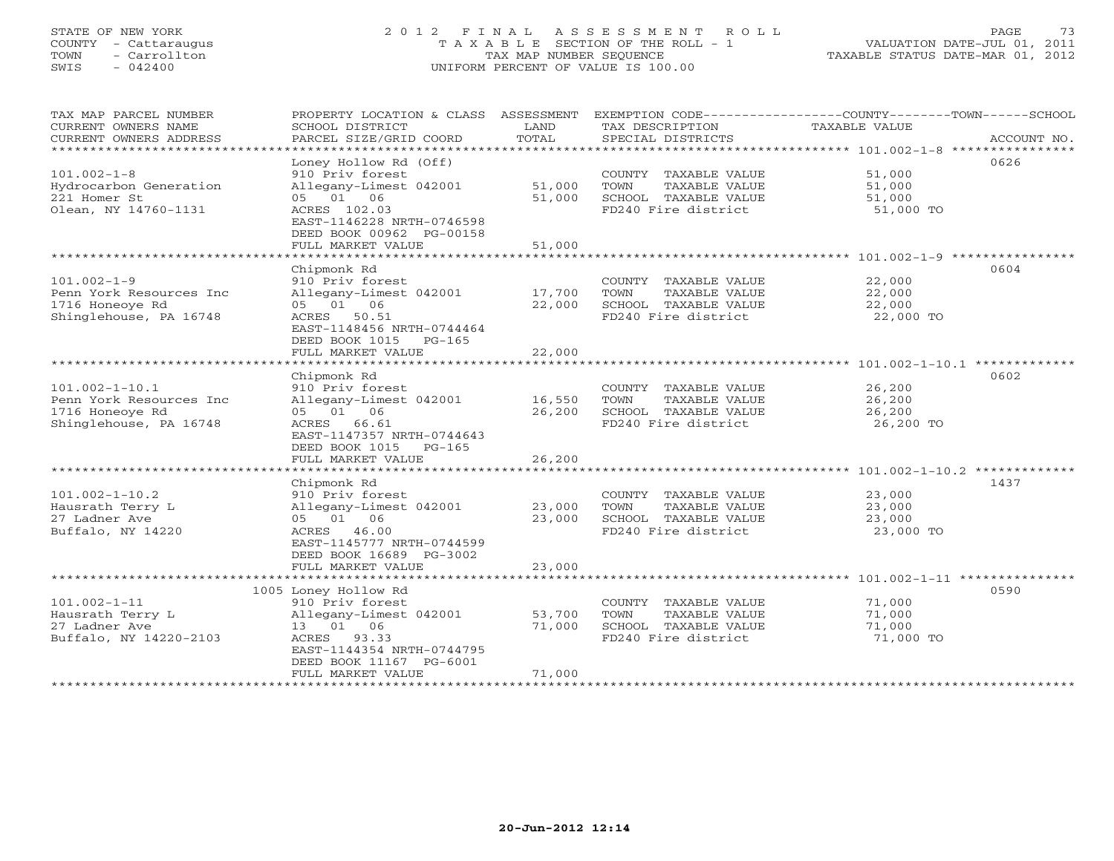# STATE OF NEW YORK 2 0 1 2 F I N A L A S S E S S M E N T R O L L PAGE 73 COUNTY - Cattaraugus T A X A B L E SECTION OF THE ROLL - 1 VALUATION DATE-JUL 01, 2011 TOWN - Carrollton TAX MAP NUMBER SEQUENCE TAXABLE STATUS DATE-MAR 01, 2012 SWIS - 042400 UNIFORM PERCENT OF VALUE IS 100.00UNIFORM PERCENT OF VALUE IS 100.00

TAX MAP PARCEL NUMBER PROPERTY LOCATION & CLASS ASSESSMENT EXEMPTION CODE----------------COUNTY-------TOWN------SCHOOL

| CURRENT OWNERS NAME     | SCHOOL DISTRICT            | LAND     | TAX DESCRIPTION              | <b>TAXABLE VALUE</b>                                 |             |
|-------------------------|----------------------------|----------|------------------------------|------------------------------------------------------|-------------|
| CURRENT OWNERS ADDRESS  | PARCEL SIZE/GRID COORD     | TOTAL    | SPECIAL DISTRICTS            |                                                      | ACCOUNT NO. |
|                         |                            |          |                              | $****$ 101.002-1-8                                   |             |
|                         | Loney Hollow Rd (Off)      |          |                              |                                                      | 0626        |
| $101.002 - 1 - 8$       | 910 Priv forest            |          | TAXABLE VALUE<br>COUNTY      | 51,000                                               |             |
| Hydrocarbon Generation  | Allegany-Limest 042001     | 51,000   | TOWN<br>TAXABLE VALUE        | 51,000                                               |             |
| 221 Homer St            | 05 01 06                   | 51,000   | SCHOOL TAXABLE VALUE         | 51,000                                               |             |
| Olean, NY 14760-1131    | ACRES 102.03               |          | FD240 Fire district          | 51,000 TO                                            |             |
|                         | EAST-1146228 NRTH-0746598  |          |                              |                                                      |             |
|                         | DEED BOOK 00962 PG-00158   |          |                              |                                                      |             |
|                         | FULL MARKET VALUE          | 51,000   |                              |                                                      |             |
|                         | **********************     |          |                              |                                                      |             |
|                         | Chipmonk Rd                |          |                              |                                                      | 0604        |
| $101.002 - 1 - 9$       | 910 Priv forest            |          | TAXABLE VALUE<br>COUNTY      | 22,000                                               |             |
| Penn York Resources Inc | Allegany-Limest 042001     | 17,700   | TOWN<br>TAXABLE VALUE        | 22,000                                               |             |
| 1716 Honeoye Rd         | 05 01 06                   | 22,000   | SCHOOL TAXABLE VALUE         | 22,000                                               |             |
| Shinglehouse, PA 16748  | ACRES<br>50.51             |          | FD240 Fire district          | 22,000 TO                                            |             |
|                         | EAST-1148456 NRTH-0744464  |          |                              |                                                      |             |
|                         | DEED BOOK 1015<br>$PG-165$ |          |                              |                                                      |             |
|                         | FULL MARKET VALUE          | 22,000   |                              |                                                      |             |
|                         |                            |          |                              | $101.002 - 1 - 10.1$ ******                          |             |
|                         | Chipmonk Rd                |          |                              |                                                      | 0602        |
|                         |                            |          |                              |                                                      |             |
| $101.002 - 1 - 10.1$    | 910 Priv forest            |          | COUNTY TAXABLE VALUE         | 26,200                                               |             |
| Penn York Resources Inc | Allegany-Limest 042001     | 16,550   | TAXABLE VALUE<br>TOWN        | 26,200                                               |             |
| 1716 Honeoye Rd         | 05 01 06                   | 26,200   | SCHOOL TAXABLE VALUE         | 26,200                                               |             |
| Shinglehouse, PA 16748  | ACRES<br>66.61             |          | FD240 Fire district          | 26,200 TO                                            |             |
|                         | EAST-1147357 NRTH-0744643  |          |                              |                                                      |             |
|                         | DEED BOOK 1015<br>$PG-165$ |          |                              |                                                      |             |
|                         | FULL MARKET VALUE          | 26,200   |                              |                                                      |             |
|                         | *******************        | ******** |                              | ************************ 101.002-1-10.2 ************ |             |
|                         | Chipmonk Rd                |          |                              |                                                      | 1437        |
| 101.002-1-10.2          | 910 Priv forest            |          | COUNTY<br>TAXABLE VALUE      | 23,000                                               |             |
| Hausrath Terry L        | Allegany-Limest 042001     | 23,000   | TOWN<br>TAXABLE VALUE        | 23,000                                               |             |
| 27 Ladner Ave           | 05 01 06                   | 23,000   | SCHOOL TAXABLE VALUE         | 23,000                                               |             |
| Buffalo, NY 14220       | ACRES<br>46.00             |          | FD240 Fire district          | 23,000 TO                                            |             |
|                         | EAST-1145777 NRTH-0744599  |          |                              |                                                      |             |
|                         | DEED BOOK 16689 PG-3002    |          |                              |                                                      |             |
|                         | FULL MARKET VALUE          | 23,000   |                              |                                                      |             |
|                         |                            |          |                              | **************** 101.002-1-11 *****                  |             |
|                         | 1005 Loney Hollow Rd       |          |                              |                                                      | 0590        |
| 101.002-1-11            | 910 Priv forest            |          | COUNTY TAXABLE VALUE         | 71,000                                               |             |
| Hausrath Terry L        | Allegany-Limest 042001     | 53,700   | TOWN<br><b>TAXABLE VALUE</b> | 71,000                                               |             |
| 27 Ladner Ave           | 13 01 06                   | 71,000   | SCHOOL TAXABLE VALUE         | 71,000                                               |             |
| Buffalo, NY 14220-2103  | ACRES<br>93.33             |          | FD240 Fire district          | 71,000 TO                                            |             |
|                         | EAST-1144354 NRTH-0744795  |          |                              |                                                      |             |
|                         | DEED BOOK 11167 PG-6001    |          |                              |                                                      |             |
|                         | FULL MARKET VALUE          | 71,000   |                              |                                                      |             |
|                         |                            |          |                              |                                                      |             |
|                         |                            |          |                              |                                                      |             |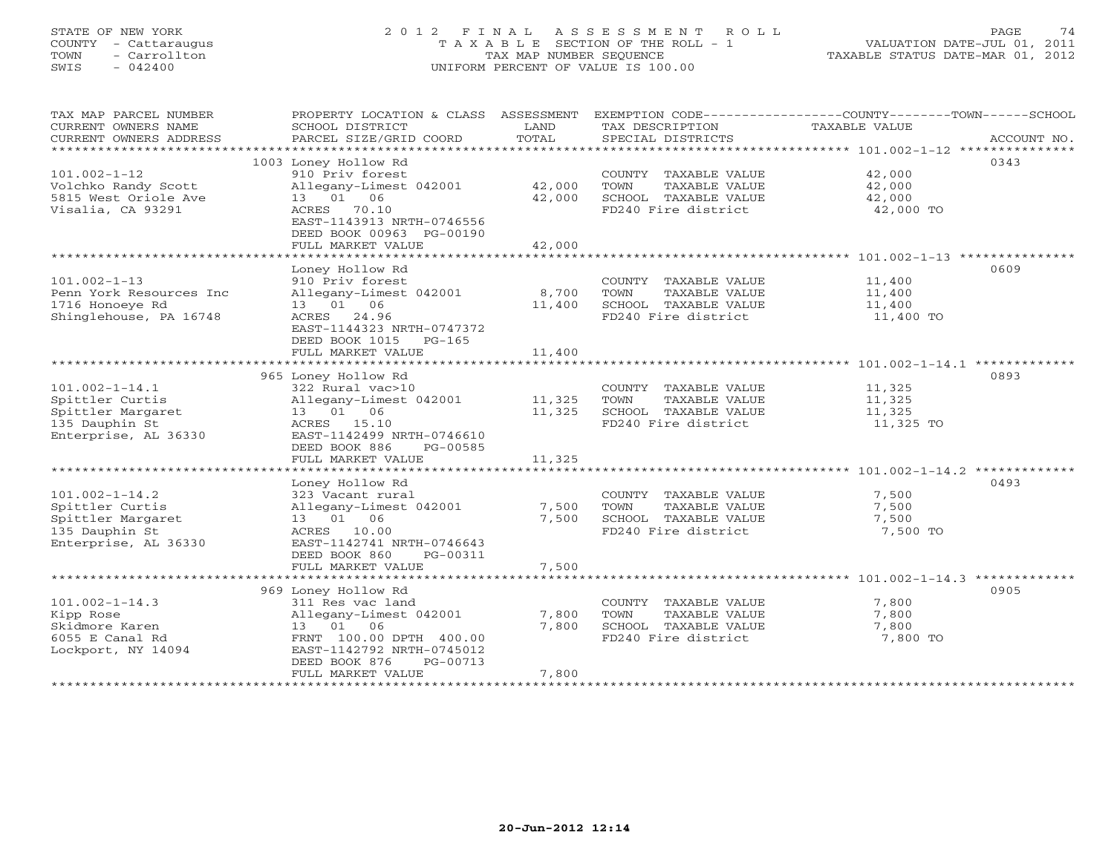# STATE OF NEW YORK 2 0 1 2 F I N A L A S S E S S M E N T R O L L PAGE 74 COUNTY - Cattaraugus T A X A B L E SECTION OF THE ROLL - 1 VALUATION DATE-JUL 01, 2011 TOWN - Carrollton TAX MAP NUMBER SEQUENCE TAXABLE STATUS DATE-MAR 01, 2012 SWIS - 042400 UNIFORM PERCENT OF VALUE IS 100.00UNIFORM PERCENT OF VALUE IS 100.00

| TAX MAP PARCEL NUMBER                         | PROPERTY LOCATION & CLASS ASSESSMENT      |                      |                                      | EXEMPTION CODE-----------------COUNTY-------TOWN------SCHOOL |
|-----------------------------------------------|-------------------------------------------|----------------------|--------------------------------------|--------------------------------------------------------------|
| CURRENT OWNERS NAME<br>CURRENT OWNERS ADDRESS | SCHOOL DISTRICT<br>PARCEL SIZE/GRID COORD | LAND<br>TOTAL        | TAX DESCRIPTION<br>SPECIAL DISTRICTS | TAXABLE VALUE<br>ACCOUNT NO.                                 |
| **********************                        |                                           |                      |                                      |                                                              |
|                                               | 1003 Loney Hollow Rd                      |                      |                                      | 0343                                                         |
| $101.002 - 1 - 12$                            | 910 Priv forest                           |                      | COUNTY TAXABLE VALUE                 | 42,000                                                       |
| Volchko Randy Scott                           | Allegany-Limest 042001                    | 42,000               | TOWN<br>TAXABLE VALUE                | 42,000                                                       |
| 5815 West Oriole Ave                          | 13 01<br>06                               | 42,000               | SCHOOL TAXABLE VALUE                 | 42,000                                                       |
| Visalia, CA 93291                             | ACRES 70.10                               |                      | FD240 Fire district                  | 42,000 TO                                                    |
|                                               | EAST-1143913 NRTH-0746556                 |                      |                                      |                                                              |
|                                               | DEED BOOK 00963 PG-00190                  |                      |                                      |                                                              |
|                                               | FULL MARKET VALUE<br>*******************  | 42,000<br>********** |                                      |                                                              |
|                                               | Loney Hollow Rd                           |                      |                                      | 0609                                                         |
| $101.002 - 1 - 13$                            | 910 Priv forest                           |                      | COUNTY TAXABLE VALUE                 | 11,400                                                       |
| Penn York Resources Inc                       | Allegany-Limest 042001                    | 8,700                | TOWN<br>TAXABLE VALUE                | 11,400                                                       |
| 1716 Honoeye Rd                               | 13 01 06                                  | 11,400               | SCHOOL TAXABLE VALUE                 | 11,400                                                       |
| Shinglehouse, PA 16748                        | ACRES 24.96                               |                      | FD240 Fire district                  | 11,400 TO                                                    |
|                                               | EAST-1144323 NRTH-0747372                 |                      |                                      |                                                              |
|                                               | DEED BOOK 1015<br>PG-165                  |                      |                                      |                                                              |
|                                               | FULL MARKET VALUE                         | 11,400               |                                      |                                                              |
|                                               |                                           |                      |                                      |                                                              |
|                                               | 965 Loney Hollow Rd                       |                      |                                      | 0893                                                         |
| $101.002 - 1 - 14.1$                          | 322 Rural vac>10                          |                      | COUNTY TAXABLE VALUE                 | 11,325                                                       |
| Spittler Curtis                               | Allegany-Limest 042001                    | 11,325               | TOWN<br>TAXABLE VALUE                | 11,325                                                       |
| Spittler Margaret                             | 13 01 06                                  | 11,325               | SCHOOL TAXABLE VALUE                 | 11,325                                                       |
| 135 Dauphin St                                | ACRES 15.10                               |                      | FD240 Fire district                  | 11,325 TO                                                    |
| Enterprise, AL 36330                          | EAST-1142499 NRTH-0746610                 |                      |                                      |                                                              |
|                                               | DEED BOOK 886<br>PG-00585                 |                      |                                      |                                                              |
|                                               | FULL MARKET VALUE                         | 11,325               |                                      |                                                              |
|                                               |                                           |                      |                                      |                                                              |
|                                               | Loney Hollow Rd                           |                      |                                      | 0493                                                         |
| $101.002 - 1 - 14.2$                          | 323 Vacant rural                          |                      | COUNTY TAXABLE VALUE                 | 7,500                                                        |
| Spittler Curtis                               | Allegany-Limest 042001                    | 7,500                | TOWN<br>TAXABLE VALUE                | 7,500                                                        |
| Spittler Margaret                             | 13 01 06                                  | 7,500                | SCHOOL TAXABLE VALUE                 | 7,500                                                        |
| 135 Dauphin St                                | ACRES 10.00                               |                      | FD240 Fire district                  | 7,500 TO                                                     |
| Enterprise, AL 36330                          | EAST-1142741 NRTH-0746643                 |                      |                                      |                                                              |
|                                               | DEED BOOK 860<br>PG-00311                 |                      |                                      |                                                              |
|                                               | FULL MARKET VALUE                         | 7,500                |                                      |                                                              |
|                                               |                                           |                      |                                      | 0905                                                         |
| $101.002 - 1 - 14.3$                          | 969 Loney Hollow Rd<br>311 Res vac land   |                      | COUNTY TAXABLE VALUE                 | 7,800                                                        |
| Kipp Rose                                     | Allegany-Limest 042001                    | 7,800                | TOWN<br>TAXABLE VALUE                | 7,800                                                        |
| Skidmore Karen                                | 13 01 06                                  | 7,800                | SCHOOL TAXABLE VALUE                 | 7,800                                                        |
| 6055 E Canal Rd                               | FRNT 100.00 DPTH 400.00                   |                      | FD240 Fire district                  | 7,800 TO                                                     |
| Lockport, NY 14094                            | EAST-1142792 NRTH-0745012                 |                      |                                      |                                                              |
|                                               | DEED BOOK 876<br>PG-00713                 |                      |                                      |                                                              |
|                                               | FULL MARKET VALUE                         | 7,800                |                                      |                                                              |
|                                               |                                           |                      |                                      |                                                              |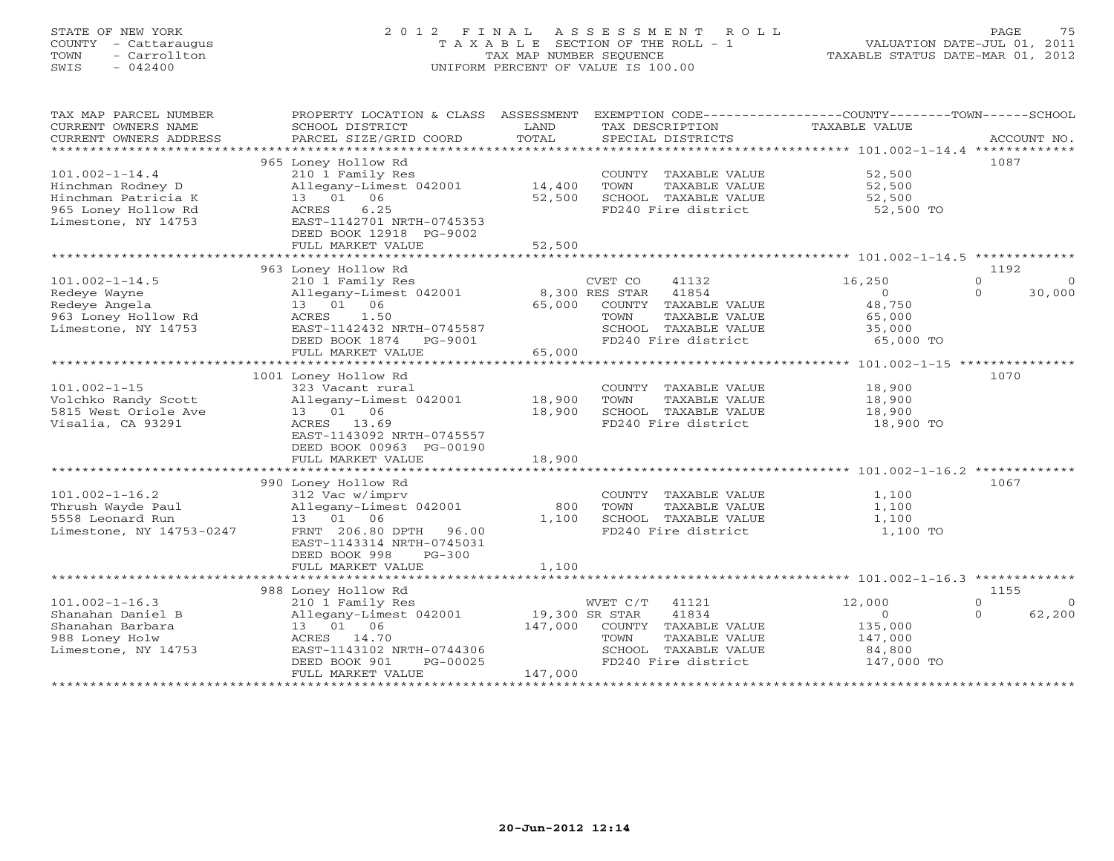# STATE OF NEW YORK 2 0 1 2 F I N A L A S S E S S M E N T R O L L PAGE 75 COUNTY - Cattaraugus T A X A B L E SECTION OF THE ROLL - 1 VALUATION DATE-JUL 01, 2011 TOWN - Carrollton TAX MAP NUMBER SEQUENCE TAXABLE STATUS DATE-MAR 01, 2012 SWIS - 042400 UNIFORM PERCENT OF VALUE IS 100.00UNIFORM PERCENT OF VALUE IS 100.00

| TAX MAP PARCEL NUMBER<br>CURRENT OWNERS NAME<br>CURRENT OWNERS ADDRESS                                         | PROPERTY LOCATION & CLASS ASSESSMENT<br>SCHOOL DISTRICT<br>PARCEL SIZE/GRID COORD                                                                                             | LAND<br>TOTAL                        | TAX DESCRIPTION<br>SPECIAL DISTRICTS                                                                                                        | EXEMPTION CODE----------------COUNTY-------TOWN------SCHOOL<br>TAXABLE VALUE | ACCOUNT NO.                                              |
|----------------------------------------------------------------------------------------------------------------|-------------------------------------------------------------------------------------------------------------------------------------------------------------------------------|--------------------------------------|---------------------------------------------------------------------------------------------------------------------------------------------|------------------------------------------------------------------------------|----------------------------------------------------------|
| $101.002 - 1 - 14.4$<br>Hinchman Rodney D<br>Hinchman Patricia K<br>965 Loney Hollow Rd<br>Limestone, NY 14753 | 965 Loney Hollow Rd<br>210 1 Family Res<br>Allegany-Limest 042001<br>13  01  06<br>6.25<br>ACRES<br>EAST-1142701 NRTH-0745353<br>DEED BOOK 12918 PG-9002<br>FULL MARKET VALUE | 14,400<br>52,500<br>52,500           | COUNTY TAXABLE VALUE<br>TOWN<br>TAXABLE VALUE<br>SCHOOL TAXABLE VALUE<br>FD240 Fire district                                                | 52,500<br>52,500<br>52,500<br>52,500 TO                                      | 1087                                                     |
|                                                                                                                | 963 Loney Hollow Rd                                                                                                                                                           |                                      |                                                                                                                                             |                                                                              | 1192                                                     |
| $101.002 - 1 - 14.5$<br>Redeye Wayne<br>Redeye Angela<br>963 Loney Hollow Rd<br>Limestone, NY 14753            | 210 1 Family Res<br>Allegany-Limest 042001<br>13  01  06<br>1.50<br>ACRES<br>EAST-1142432 NRTH-0745587<br>DEED BOOK 1874<br>PG-9001<br>FULL MARKET VALUE                      | 65,000<br>65,000                     | CVET CO<br>41132<br>8,300 RES STAR<br>41854<br>COUNTY TAXABLE VALUE<br>TOWN<br>TAXABLE VALUE<br>SCHOOL TAXABLE VALUE<br>FD240 Fire district | 16,250<br>$\Omega$<br>48,750<br>65,000<br>35,000<br>65,000 TO                | $\Omega$<br>$\Omega$<br>30,000<br>$\Omega$               |
|                                                                                                                |                                                                                                                                                                               |                                      |                                                                                                                                             |                                                                              |                                                          |
| $101.002 - 1 - 15$<br>Volchko Randy Scott<br>5815 West Oriole Ave<br>Visalia, CA 93291                         | 1001 Loney Hollow Rd<br>323 Vacant rural<br>Allegany-Limest 042001<br>13 01 06<br>ACRES 13.69<br>EAST-1143092 NRTH-0745557<br>DEED BOOK 00963 PG-00190                        | 18,900<br>18,900                     | COUNTY TAXABLE VALUE<br>TOWN<br>TAXABLE VALUE<br>SCHOOL TAXABLE VALUE<br>FD240 Fire district                                                | 18,900<br>18,900<br>18,900<br>18,900 TO                                      | 1070                                                     |
|                                                                                                                | FULL MARKET VALUE                                                                                                                                                             | 18,900                               |                                                                                                                                             |                                                                              |                                                          |
| $101.002 - 1 - 16.2$<br>Thrush Wayde Paul<br>5558 Leonard Run                                                  | 990 Loney Hollow Rd<br>312 Vac w/imprv<br>Allegany-Limest 042001<br>13 01 06                                                                                                  | 800<br>1,100                         | COUNTY TAXABLE VALUE<br>TOWN<br>TAXABLE VALUE<br>SCHOOL TAXABLE VALUE                                                                       | 1,100<br>1,100<br>1,100                                                      | 1067                                                     |
| Limestone, NY 14753-0247                                                                                       | FRNT 206.80 DPTH 96.00<br>EAST-1143314 NRTH-0745031<br>DEED BOOK 998<br>$PG-300$<br>FULL MARKET VALUE                                                                         | 1,100                                | FD240 Fire district                                                                                                                         | 1,100 TO                                                                     |                                                          |
|                                                                                                                |                                                                                                                                                                               |                                      |                                                                                                                                             |                                                                              |                                                          |
| $101.002 - 1 - 16.3$<br>Shanahan Daniel B<br>Shanahan Barbara<br>988 Loney Holw<br>Limestone, NY 14753         | 988 Loney Hollow Rd<br>210 1 Family Res<br>Allegany-Limest 042001<br>13 01 06<br>ACRES 14.70<br>EAST-1143102 NRTH-0744306<br>DEED BOOK 901<br>PG-00025<br>FULL MARKET VALUE   | 19,300 SR STAR<br>147,000<br>147,000 | WVET C/T 41121<br>41834<br>COUNTY TAXABLE VALUE<br>TAXABLE VALUE<br>TOWN<br>SCHOOL TAXABLE VALUE<br>FD240 Fire district                     | 12,000<br>$\circ$<br>135,000<br>147,000<br>84,800<br>147,000 TO              | 1155<br>$\Omega$<br>$\overline{0}$<br>62,200<br>$\Omega$ |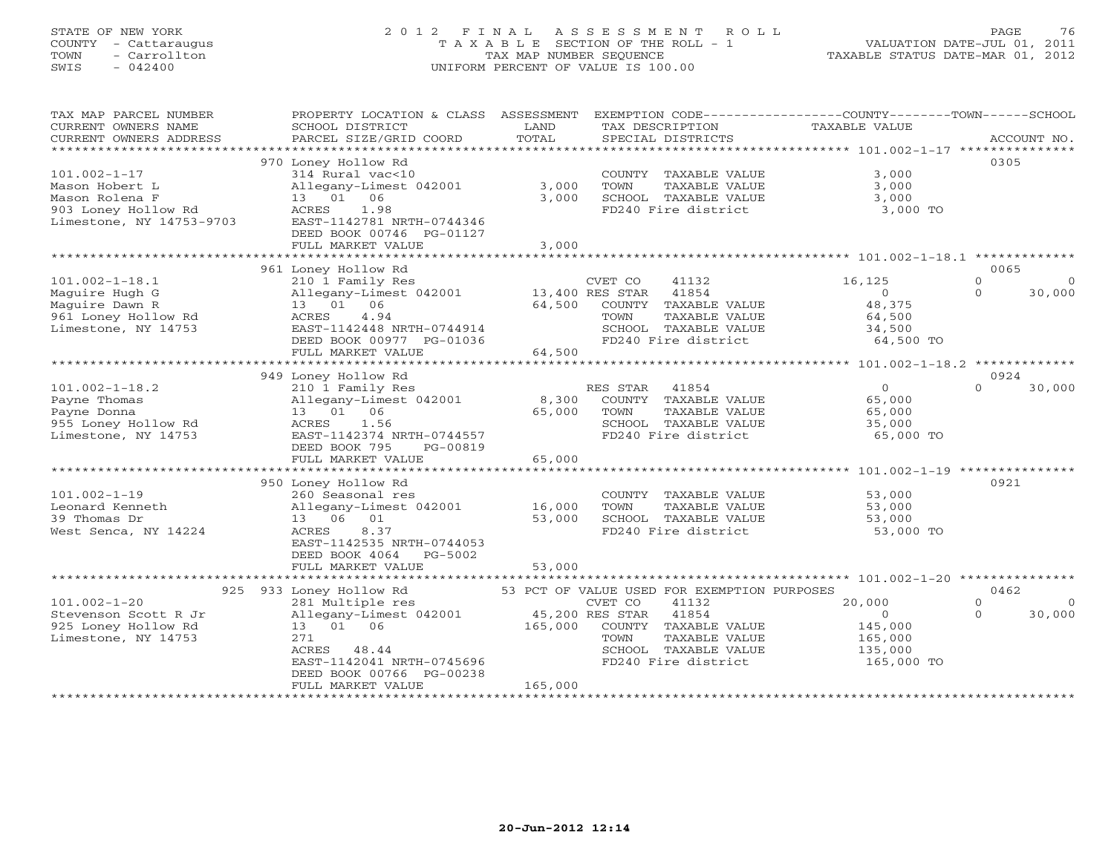# STATE OF NEW YORK 2 0 1 2 F I N A L A S S E S S M E N T R O L L PAGE 76 COUNTY - Cattaraugus T A X A B L E SECTION OF THE ROLL - 1 VALUATION DATE-JUL 01, 2011 TOWN - Carrollton TAX MAP NUMBER SEQUENCE TAXABLE STATUS DATE-MAR 01, 2012 SWIS - 042400 UNIFORM PERCENT OF VALUE IS 100.00UNIFORM PERCENT OF VALUE IS 100.00

| TAX MAP PARCEL NUMBER<br>CURRENT OWNERS NAME<br>CURRENT OWNERS ADDRESS                                    | PROPERTY LOCATION & CLASS<br>SCHOOL DISTRICT<br>PARCEL SIZE/GRID COORD                                                                                                                                 | ASSESSMENT<br>LAND<br>TOTAL             | EXEMPTION CODE-----------------COUNTY-------TOWN------SCHOOL<br>TAX DESCRIPTION<br>SPECIAL DISTRICTS                                                                        | TAXABLE VALUE                                                       | ACCOUNT NO.                            |
|-----------------------------------------------------------------------------------------------------------|--------------------------------------------------------------------------------------------------------------------------------------------------------------------------------------------------------|-----------------------------------------|-----------------------------------------------------------------------------------------------------------------------------------------------------------------------------|---------------------------------------------------------------------|----------------------------------------|
| $101.002 - 1 - 17$<br>Mason Hobert L<br>Mason Rolena F<br>903 Loney Hollow Rd<br>Limestone, NY 14753-9703 | 970 Loney Hollow Rd<br>314 Rural vac<10<br>Allegany-Limest 042001<br>13 01 06<br>ACRES<br>1.98<br>EAST-1142781 NRTH-0744346<br>DEED BOOK 00746 PG-01127<br>FULL MARKET VALUE<br>********************** | 3,000<br>3,000<br>3,000<br>************ | COUNTY TAXABLE VALUE<br>TOWN<br>TAXABLE VALUE<br>SCHOOL TAXABLE VALUE<br>FD240 Fire district                                                                                | 3,000<br>3,000<br>3,000<br>3,000 TO                                 | 0305                                   |
| $101.002 - 1 - 18.1$<br>Maguire Hugh G<br>Maquire Dawn R<br>961 Loney Hollow Rd<br>Limestone, NY 14753    | 961 Loney Hollow Rd<br>210 1 Family Res<br>Allegany-Limest 042001<br>13 01 06<br>ACRES<br>4.94<br>EAST-1142448 NRTH-0744914<br>DEED BOOK 00977 PG-01036<br>FULL MARKET VALUE                           | 64,500<br>64,500                        | CVET CO<br>41132<br>41854<br>13,400 RES STAR<br>COUNTY TAXABLE VALUE<br>TOWN<br>TAXABLE VALUE<br>SCHOOL TAXABLE VALUE<br>FD240 Fire district                                | 16,125<br>$\overline{0}$<br>48,375<br>64,500<br>34,500<br>64,500 TO | 0065<br>$\Omega$<br>$\Omega$<br>30,000 |
| $101.002 - 1 - 18.2$<br>Payne Thomas<br>Payne Donna<br>955 Loney Hollow Rd<br>Limestone, NY 14753         | 949 Loney Hollow Rd<br>210 1 Family Res<br>Allegany-Limest 042001<br>13  01  06<br>ACRES<br>1.56<br>EAST-1142374 NRTH-0744557<br>DEED BOOK 795<br>PG-00819<br>FULL MARKET VALUE                        | 8,300<br>65,000<br>65,000               | RES STAR<br>41854<br>COUNTY TAXABLE VALUE<br>TOWN<br>TAXABLE VALUE<br>SCHOOL TAXABLE VALUE<br>FD240 Fire district                                                           | $\circ$<br>65,000<br>65,000<br>35,000<br>65,000 TO                  | 0924<br>$\Omega$<br>30,000             |
| $101.002 - 1 - 19$<br>Leonard Kenneth<br>39 Thomas Dr<br>West Senca, NY 14224                             | 950 Loney Hollow Rd<br>260 Seasonal res<br>Allegany-Limest 042001<br>13 06 01<br>ACRES<br>8.37<br>EAST-1142535 NRTH-0744053<br>DEED BOOK 4064<br>PG-5002<br>FULL MARKET VALUE                          | 16,000<br>53,000<br>53,000              | COUNTY TAXABLE VALUE<br>TAXABLE VALUE<br>TOWN<br>SCHOOL TAXABLE VALUE<br>FD240 Fire district                                                                                | 53,000<br>53,000<br>53,000<br>53,000 TO                             | 0921                                   |
| $101.002 - 1 - 20$<br>Stevenson Scott R Jr<br>925 Loney Hollow Rd<br>Limestone, NY 14753                  | 925 933 Loney Hollow Rd<br>281 Multiple res<br>Allegany-Limest 042001<br>13 01 06<br>271<br>48.44<br>ACRES<br>EAST-1142041 NRTH-0745696<br>DEED BOOK 00766 PG-00238<br>FULL MARKET VALUE               | 45,200 RES STAR<br>165,000<br>165,000   | 53 PCT OF VALUE USED FOR EXEMPTION PURPOSES<br>CVET CO<br>41132<br>41854<br>COUNTY<br>TAXABLE VALUE<br>TAXABLE VALUE<br>TOWN<br>SCHOOL TAXABLE VALUE<br>FD240 Fire district | 20,000<br>$\circ$<br>145,000<br>165,000<br>135,000<br>165,000 TO    | 0462<br>$\Omega$<br>30,000<br>$\Omega$ |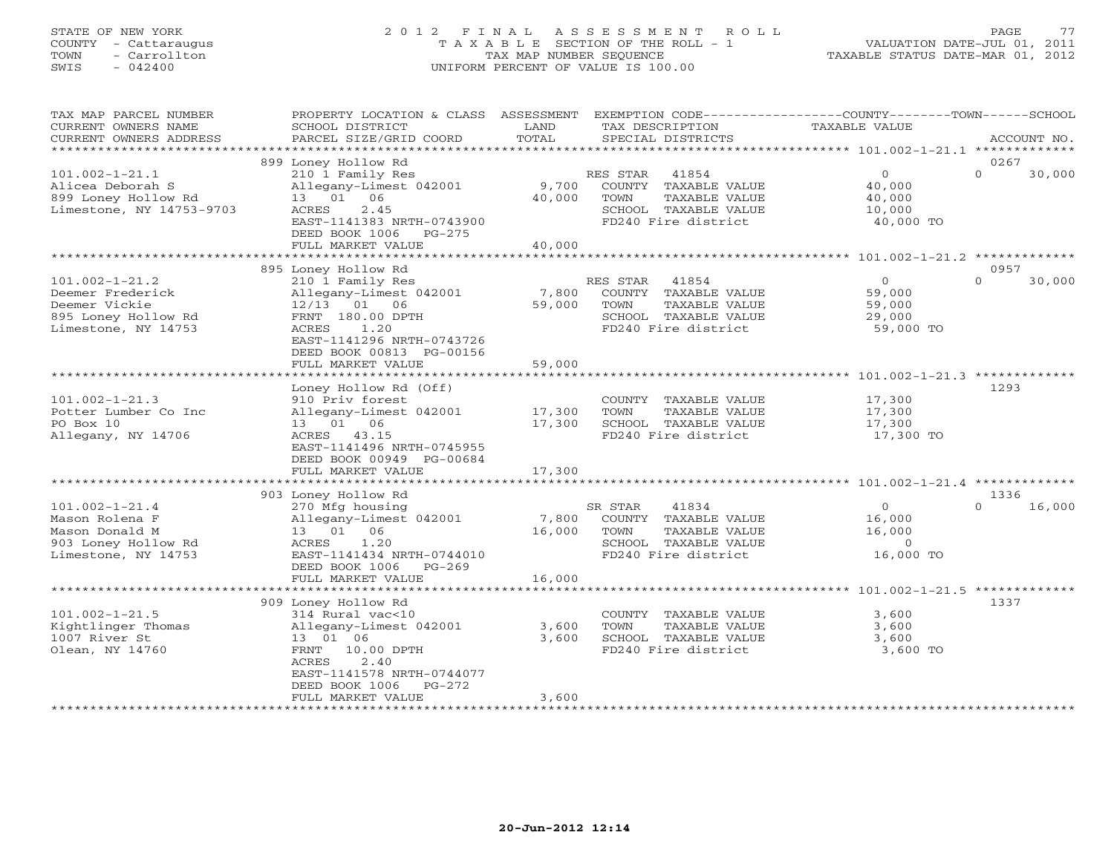# STATE OF NEW YORK 2 0 1 2 F I N A L A S S E S S M E N T R O L L PAGE 77 COUNTY - Cattaraugus T A X A B L E SECTION OF THE ROLL - 1 VALUATION DATE-JUL 01, 2011 TOWN - Carrollton TAX MAP NUMBER SEQUENCE TAXABLE STATUS DATE-MAR 01, 2012 SWIS - 042400 UNIFORM PERCENT OF VALUE IS 100.00UNIFORM PERCENT OF VALUE IS 100.00

| TAX MAP PARCEL NUMBER<br>CURRENT OWNERS NAME<br>CURRENT OWNERS ADDRESS                                 | PROPERTY LOCATION & CLASS ASSESSMENT<br>SCHOOL DISTRICT<br>PARCEL SIZE/GRID COORD                                                                        | LAND<br>TOTAL    | EXEMPTION CODE-----------------COUNTY-------TOWN------SCHOOL<br>TAX DESCRIPTION<br>SPECIAL DISTRICTS              | TAXABLE VALUE                                              | ACCOUNT NO.                |
|--------------------------------------------------------------------------------------------------------|----------------------------------------------------------------------------------------------------------------------------------------------------------|------------------|-------------------------------------------------------------------------------------------------------------------|------------------------------------------------------------|----------------------------|
|                                                                                                        |                                                                                                                                                          |                  |                                                                                                                   |                                                            |                            |
| $101.002 - 1 - 21.1$<br>Alicea Deborah S<br>899 Loney Hollow Rd<br>Limestone, NY 14753-9703            | 899 Loney Hollow Rd<br>210 1 Family Res<br>Allegany-Limest 042001<br>13 01 06<br>2.45<br>ACRES<br>EAST-1141383 NRTH-0743900<br>DEED BOOK 1006 PG-275     | 9,700<br>40,000  | 41854<br>RES STAR<br>COUNTY TAXABLE VALUE<br>TAXABLE VALUE<br>TOWN<br>SCHOOL TAXABLE VALUE<br>FD240 Fire district | $\overline{O}$<br>40,000<br>40,000<br>10,000<br>40,000 TO  | 0267<br>$\Omega$<br>30,000 |
|                                                                                                        | FULL MARKET VALUE                                                                                                                                        | 40,000           |                                                                                                                   |                                                            |                            |
| $101.002 - 1 - 21.2$                                                                                   | 895 Loney Hollow Rd<br>210 1 Family Res                                                                                                                  |                  | RES STAR 41854                                                                                                    | $\circ$                                                    | 0957<br>$\Omega$<br>30,000 |
| Deemer Frederick<br>Deemer Vickie<br>895 Loney Hollow Rd<br>Limestone, NY 14753                        | Allegany-Limest 042001<br>$12/13$ 01 06<br>FRNT 180.00 DPTH<br>1.20<br>ACRES<br>EAST-1141296 NRTH-0743726<br>DEED BOOK 00813 PG-00156                    | 7,800<br>59,000  | COUNTY TAXABLE VALUE<br>TOWN<br>TAXABLE VALUE<br>SCHOOL TAXABLE VALUE<br>FD240 Fire district                      | 59,000<br>59,000<br>29,000<br>59,000 TO                    |                            |
|                                                                                                        | FULL MARKET VALUE                                                                                                                                        | 59,000           |                                                                                                                   |                                                            |                            |
| $101.002 - 1 - 21.3$<br>Potter Lumber Co Inc<br>PO Box 10<br>Allegany, NY 14706                        | Loney Hollow Rd (Off)<br>910 Priv forest<br>Allegany-Limest 042001<br>13  01  06<br>ACRES 43.15<br>EAST-1141496 NRTH-0745955<br>DEED BOOK 00949 PG-00684 | 17,300<br>17,300 | COUNTY TAXABLE VALUE<br>TOWN<br>TAXABLE VALUE<br>SCHOOL TAXABLE VALUE<br>FD240 Fire district                      | 17,300<br>17,300<br>17,300<br>17,300 TO                    | 1293                       |
|                                                                                                        | FULL MARKET VALUE                                                                                                                                        | 17,300           |                                                                                                                   |                                                            |                            |
|                                                                                                        | 903 Loney Hollow Rd                                                                                                                                      |                  |                                                                                                                   |                                                            | 1336                       |
| $101.002 - 1 - 21.4$<br>Mason Rolena F<br>Mason Donald M<br>903 Loney Hollow Rd<br>Limestone, NY 14753 | 270 Mfg housing<br>Allegany-Limest 042001<br>13  01  06<br>1.20<br>ACRES<br>EAST-1141434 NRTH-0744010<br>DEED BOOK 1006<br>$PG-269$                      | 7,800<br>16,000  | SR STAR<br>41834<br>COUNTY TAXABLE VALUE<br>TOWN<br>TAXABLE VALUE<br>SCHOOL TAXABLE VALUE<br>FD240 Fire district  | $\circ$<br>16,000<br>16,000<br>$\overline{0}$<br>16,000 TO | 16,000<br>$\cap$           |
|                                                                                                        | FULL MARKET VALUE                                                                                                                                        | 16,000           |                                                                                                                   |                                                            |                            |
|                                                                                                        | ****************************<br>909 Loney Hollow Rd                                                                                                      |                  |                                                                                                                   |                                                            | 1337                       |
| $101.002 - 1 - 21.5$<br>Kightlinger Thomas<br>1007 River St<br>Olean, NY 14760                         | 314 Rural vac<10<br>Allegany-Limest 042001<br>13 01 06<br>FRNT 10.00 DPTH<br>2.40<br>ACRES<br>EAST-1141578 NRTH-0744077<br>DEED BOOK 1006<br>$PG-272$    | 3,600<br>3,600   | COUNTY TAXABLE VALUE<br>TOWN<br>TAXABLE VALUE<br>SCHOOL TAXABLE VALUE<br>FD240 Fire district                      | 3,600<br>3,600<br>3,600<br>3,600 TO                        |                            |
|                                                                                                        | FULL MARKET VALUE                                                                                                                                        | 3,600            |                                                                                                                   |                                                            |                            |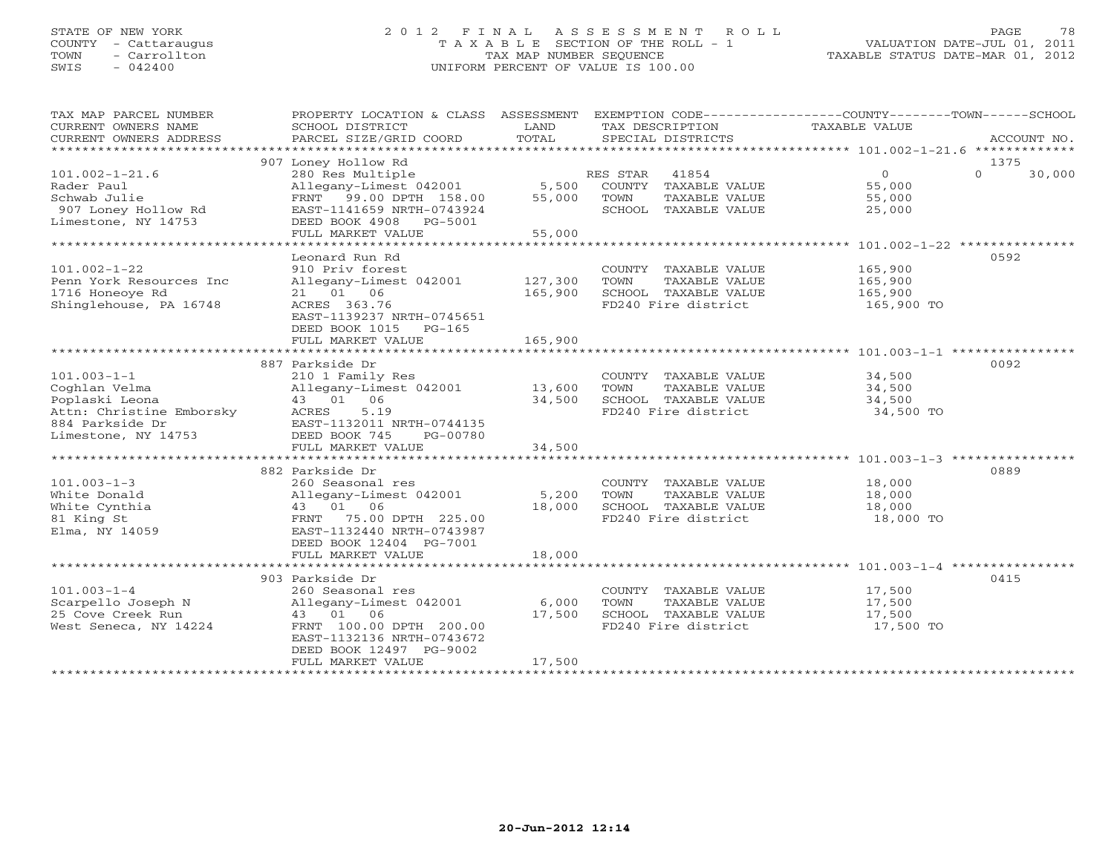# STATE OF NEW YORK 2 0 1 2 F I N A L A S S E S S M E N T R O L L PAGE 78 COUNTY - Cattaraugus T A X A B L E SECTION OF THE ROLL - 1 VALUATION DATE-JUL 01, 2011 TOWN - Carrollton TAX MAP NUMBER SEQUENCE TAXABLE STATUS DATE-MAR 01, 2012 SWIS - 042400 UNIFORM PERCENT OF VALUE IS 100.00UNIFORM PERCENT OF VALUE IS 100.00

| TAX MAP PARCEL NUMBER<br>CURRENT OWNERS NAME<br>CURRENT OWNERS ADDRESS<br>*************************                        | PROPERTY LOCATION & CLASS ASSESSMENT<br>SCHOOL DISTRICT<br>PARCEL SIZE/GRID COORD                                                                                                                               | LAND<br>TOTAL                 | TAX DESCRIPTION<br>SPECIAL DISTRICTS                                                         | EXEMPTION CODE-----------------COUNTY-------TOWN------SCHOOL<br>TAXABLE VALUE<br>ACCOUNT NO. |
|----------------------------------------------------------------------------------------------------------------------------|-----------------------------------------------------------------------------------------------------------------------------------------------------------------------------------------------------------------|-------------------------------|----------------------------------------------------------------------------------------------|----------------------------------------------------------------------------------------------|
|                                                                                                                            |                                                                                                                                                                                                                 |                               |                                                                                              |                                                                                              |
| $101.002 - 1 - 21.6$<br>Rader Paul<br>Schwab Julie                                                                         | 907 Loney Hollow Rd<br>280 Res Multiple<br>Allegany-Limest 042001<br>FRNT 99.00 DPTH 158.00                                                                                                                     | 5,500<br>55,000               | RES STAR<br>41854<br>COUNTY TAXABLE VALUE<br>TOWN<br>TAXABLE VALUE                           | 1375<br>$\overline{0}$<br>$\Omega$<br>30,000<br>55,000<br>55,000                             |
| 907 Loney Hollow Rd<br>Limestone, NY 14753                                                                                 | EAST-1141659 NRTH-0743924<br>DEED BOOK 4908 PG-5001<br>FULL MARKET VALUE                                                                                                                                        | 55,000                        | SCHOOL TAXABLE VALUE                                                                         | 25,000                                                                                       |
| **********************                                                                                                     |                                                                                                                                                                                                                 |                               |                                                                                              |                                                                                              |
| $101.002 - 1 - 22$<br>Penn York Resources Inc<br>1716 Honeove Rd<br>Shinglehouse, PA 16748                                 | Leonard Run Rd<br>910 Priv forest<br>Allegany-Limest 042001<br>21 01 06<br>ACRES 363.76<br>EAST-1139237 NRTH-0745651<br>DEED BOOK 1015 PG-165                                                                   | 127,300<br>165,900<br>165,900 | COUNTY TAXABLE VALUE<br>TAXABLE VALUE<br>TOWN<br>SCHOOL TAXABLE VALUE<br>FD240 Fire district | 0592<br>165,900<br>165,900<br>165,900<br>165,900 TO                                          |
|                                                                                                                            | FULL MARKET VALUE                                                                                                                                                                                               |                               |                                                                                              |                                                                                              |
| $101.003 - 1 - 1$<br>Coghlan Velma<br>Poplaski Leona<br>Attn: Christine Emborsky<br>884 Parkside Dr<br>Limestone, NY 14753 | 887 Parkside Dr<br>210 1 Family Res<br>Allegany-Limest 042001<br>43 01 06<br>ACRES<br>5.19<br>EAST-1132011 NRTH-0744135<br>DEED BOOK 745<br>PG-00780                                                            | 13,600<br>34,500              | COUNTY TAXABLE VALUE<br>TAXABLE VALUE<br>TOWN<br>SCHOOL TAXABLE VALUE<br>FD240 Fire district | 0092<br>34,500<br>34,500<br>34,500<br>34,500 TO                                              |
|                                                                                                                            | FULL MARKET VALUE                                                                                                                                                                                               | 34,500                        |                                                                                              |                                                                                              |
| $101.003 - 1 - 3$<br>White Donald<br>White Cynthia<br>81 King St<br>Elma, NY 14059                                         | ***************************<br>882 Parkside Dr<br>260 Seasonal res<br>Allegany-Limest 042001<br>43 01 06<br>FRNT 75.00 DPTH 225.00<br>EAST-1132440 NRTH-0743987<br>DEED BOOK 12404 PG-7001<br>FULL MARKET VALUE | 5,200<br>18,000<br>18,000     | COUNTY TAXABLE VALUE<br>TAXABLE VALUE<br>TOWN<br>SCHOOL TAXABLE VALUE<br>FD240 Fire district | 0889<br>18,000<br>18,000<br>18,000<br>18,000 TO                                              |
| $101.003 - 1 - 4$<br>Scarpello Joseph N<br>25 Cove Creek Run<br>West Seneca, NY 14224                                      | 903 Parkside Dr<br>260 Seasonal res<br>Allegany-Limest 042001<br>43 01 06<br>FRNT 100.00 DPTH 200.00<br>EAST-1132136 NRTH-0743672<br>DEED BOOK 12497 PG-9002<br>FULL MARKET VALUE                               | 6,000<br>17,500<br>17,500     | COUNTY TAXABLE VALUE<br>TAXABLE VALUE<br>TOWN<br>SCHOOL TAXABLE VALUE<br>FD240 Fire district | 0415<br>17,500<br>17,500<br>17,500<br>17,500 TO                                              |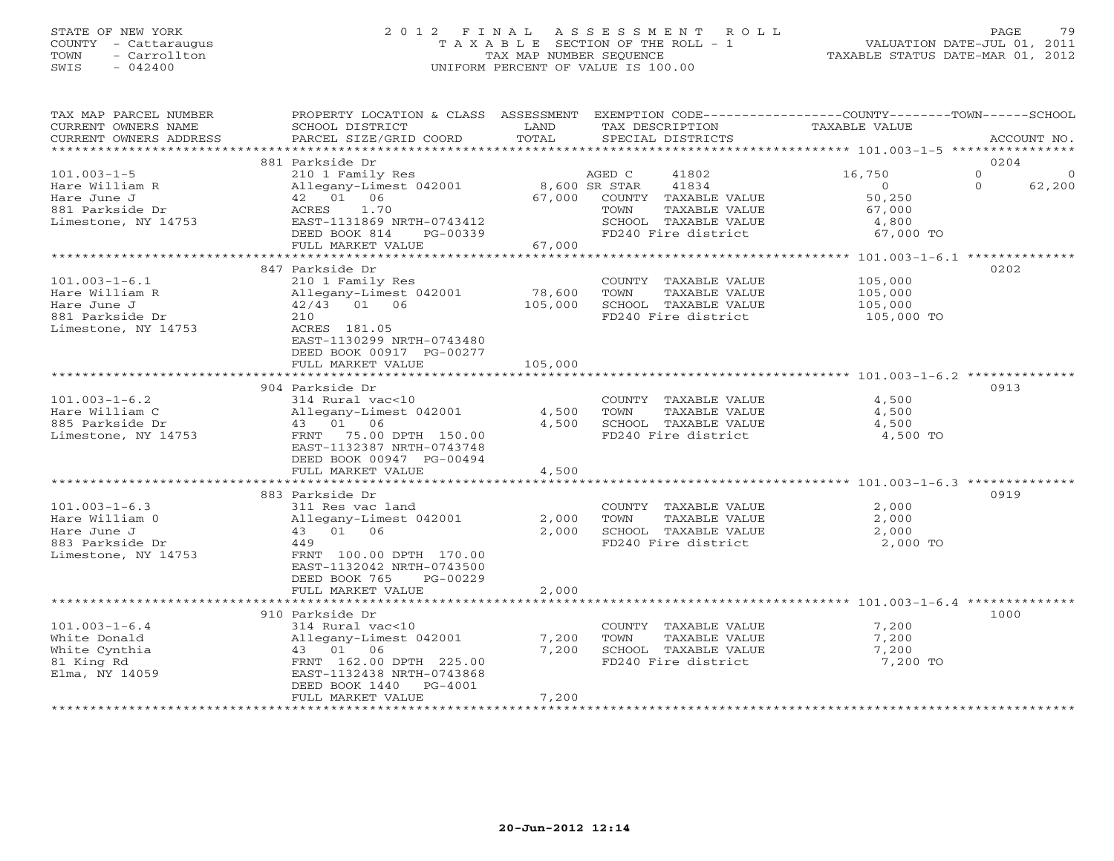### STATE OF NEW YORK 2 0 1 2 F I N A L A S S E S S M E N T R O L L PAGE 79 COUNTY - Cattaraugus T A X A B L E SECTION OF THE ROLL - 1 VALUATION DATE-JUL 01, 2011 TOWN - Carrollton TAX MAP NUMBER SEQUENCE TAXABLE STATUS DATE-MAR 01, 2012 SWIS - 042400 UNIFORM PERCENT OF VALUE IS 100.00UNIFORM PERCENT OF VALUE IS 100.00

| TAX MAP PARCEL NUMBER<br>CURRENT OWNERS NAME<br>CURRENT OWNERS ADDRESS | PROPERTY LOCATION & CLASS ASSESSMENT<br>SCHOOL DISTRICT<br>PARCEL SIZE/GRID COORD | LAND<br>TOTAL           | TAX DESCRIPTION<br>SPECIAL DISTRICTS             | EXEMPTION CODE-----------------COUNTY-------TOWN------SCHOOL<br>TAXABLE VALUE | ACCOUNT NO.                         |
|------------------------------------------------------------------------|-----------------------------------------------------------------------------------|-------------------------|--------------------------------------------------|-------------------------------------------------------------------------------|-------------------------------------|
| *******************                                                    |                                                                                   |                         |                                                  |                                                                               |                                     |
|                                                                        | 881 Parkside Dr                                                                   |                         |                                                  |                                                                               | 0204                                |
| $101.003 - 1 - 5$<br>Hare William R<br>Hare June J                     | 210 1 Family Res<br>Allegany-Limest 042001<br>42 01 06                            | 8,600 SR STAR<br>67,000 | AGED C<br>41802<br>41834<br>COUNTY TAXABLE VALUE | 16,750<br>$\Omega$<br>50,250                                                  | $\Omega$<br>∩<br>$\Omega$<br>62,200 |
| 881 Parkside Dr<br>Limestone, NY 14753                                 | 1.70<br>ACRES<br>EAST-1131869 NRTH-0743412                                        |                         | TAXABLE VALUE<br>TOWN<br>SCHOOL TAXABLE VALUE    | 67,000<br>4,800                                                               |                                     |
|                                                                        | DEED BOOK 814<br>PG-00339<br>FULL MARKET VALUE                                    | 67,000                  | FD240 Fire district                              | 67,000 TO                                                                     |                                     |
|                                                                        | ************************                                                          |                         |                                                  |                                                                               |                                     |
|                                                                        | 847 Parkside Dr                                                                   |                         |                                                  |                                                                               | 0202                                |
| $101.003 - 1 - 6.1$                                                    | 210 1 Family Res                                                                  |                         | COUNTY TAXABLE VALUE                             | 105,000                                                                       |                                     |
| Hare William R                                                         | Allegany-Limest 042001                                                            | 78,600                  | TAXABLE VALUE<br>TOWN                            | 105,000                                                                       |                                     |
| Hare June J                                                            | 42/43 01 06                                                                       | 105,000                 | SCHOOL TAXABLE VALUE                             | 105,000                                                                       |                                     |
| 881 Parkside Dr<br>Limestone, NY 14753                                 | 210<br>ACRES 181.05<br>EAST-1130299 NRTH-0743480<br>DEED BOOK 00917 PG-00277      |                         | FD240 Fire district                              | 105,000 TO                                                                    |                                     |
|                                                                        | FULL MARKET VALUE                                                                 | 105,000                 |                                                  |                                                                               |                                     |
|                                                                        | **********************                                                            | * * * * * * * * * *     |                                                  | ***************************** 101.003-1-6.2 *********                         |                                     |
|                                                                        | 904 Parkside Dr                                                                   |                         |                                                  |                                                                               | 0913                                |
| $101.003 - 1 - 6.2$                                                    | 314 Rural vac<10                                                                  |                         | COUNTY TAXABLE VALUE                             | 4,500                                                                         |                                     |
| Hare William C                                                         | Allegany-Limest 042001                                                            | 4,500                   | TOWN<br>TAXABLE VALUE                            | 4,500                                                                         |                                     |
| 885 Parkside Dr                                                        | 43 01 06                                                                          | 4,500                   | SCHOOL TAXABLE VALUE                             | 4,500                                                                         |                                     |
| Limestone, NY 14753                                                    | FRNT 75.00 DPTH 150.00<br>EAST-1132387 NRTH-0743748<br>DEED BOOK 00947 PG-00494   |                         | FD240 Fire district                              | 4,500 TO                                                                      |                                     |
|                                                                        | FULL MARKET VALUE                                                                 | 4,500                   |                                                  |                                                                               |                                     |
|                                                                        |                                                                                   |                         |                                                  |                                                                               |                                     |
|                                                                        | 883 Parkside Dr                                                                   |                         |                                                  |                                                                               | 0919                                |
| $101.003 - 1 - 6.3$<br>Hare William 0                                  | 311 Res vac land<br>Allegany-Limest 042001                                        | 2,000                   | COUNTY TAXABLE VALUE<br>TAXABLE VALUE<br>TOWN    | 2,000<br>2,000                                                                |                                     |
| Hare June J                                                            | 43 01 06                                                                          | 2,000                   | SCHOOL TAXABLE VALUE                             | 2,000                                                                         |                                     |
| 883 Parkside Dr                                                        | 449                                                                               |                         | FD240 Fire district                              | 2,000 TO                                                                      |                                     |
| Limestone, NY 14753                                                    | FRNT 100.00 DPTH 170.00<br>EAST-1132042 NRTH-0743500<br>DEED BOOK 765<br>PG-00229 |                         |                                                  |                                                                               |                                     |
|                                                                        | FULL MARKET VALUE                                                                 | 2,000                   |                                                  |                                                                               |                                     |
|                                                                        | 910 Parkside Dr                                                                   |                         |                                                  |                                                                               | 1000                                |
| $101.003 - 1 - 6.4$                                                    | 314 Rural vac<10                                                                  |                         | COUNTY TAXABLE VALUE                             | 7,200                                                                         |                                     |
| White Donald                                                           | Allegany-Limest 042001                                                            | 7,200                   | TOWN<br>TAXABLE VALUE                            | 7,200                                                                         |                                     |
| White Cynthia                                                          | 43 01 06                                                                          | 7,200                   | SCHOOL TAXABLE VALUE                             | 7,200                                                                         |                                     |
| 81 King Rd                                                             | FRNT 162.00 DPTH 225.00                                                           |                         | FD240 Fire district                              | 7,200 TO                                                                      |                                     |
| Elma, NY 14059                                                         | EAST-1132438 NRTH-0743868<br>DEED BOOK 1440<br>PG-4001                            |                         |                                                  |                                                                               |                                     |
|                                                                        | FULL MARKET VALUE                                                                 | 7,200                   |                                                  |                                                                               |                                     |
|                                                                        |                                                                                   |                         |                                                  |                                                                               |                                     |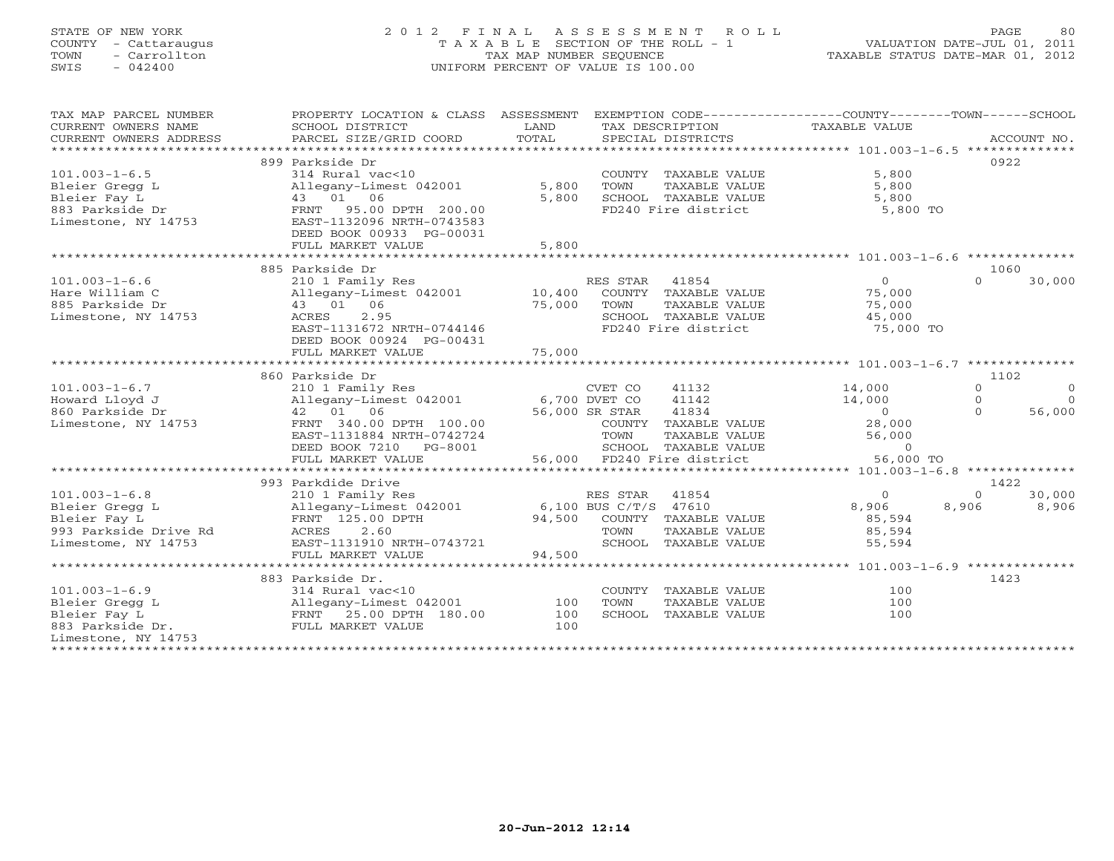# STATE OF NEW YORK 2 0 1 2 F I N A L A S S E S S M E N T R O L L PAGE 80 COUNTY - Cattaraugus T A X A B L E SECTION OF THE ROLL - 1 VALUATION DATE-JUL 01, 2011 TOWN - Carrollton TAX MAP NUMBER SEQUENCE TAXABLE STATUS DATE-MAR 01, 2012 SWIS - 042400 UNIFORM PERCENT OF VALUE IS 100.00UNIFORM PERCENT OF VALUE IS 100.00

| TAX MAP PARCEL NUMBER<br>CURRENT OWNERS NAME<br>CURRENT OWNERS ADDRESS | PROPERTY LOCATION & CLASS ASSESSMENT<br>SCHOOL DISTRICT<br>PARCEL SIZE/GRID COORD | LAND<br>TOTAL |                       | TAX DESCRIPTION<br>SPECIAL DISTRICTS | EXEMPTION CODE-----------------COUNTY-------TOWN------SCHOOL<br>TAXABLE VALUE |          | ACCOUNT NO.    |
|------------------------------------------------------------------------|-----------------------------------------------------------------------------------|---------------|-----------------------|--------------------------------------|-------------------------------------------------------------------------------|----------|----------------|
|                                                                        |                                                                                   |               |                       |                                      |                                                                               |          |                |
|                                                                        | 899 Parkside Dr                                                                   |               |                       |                                      |                                                                               |          | 0922           |
| $101.003 - 1 - 6.5$                                                    | 314 Rural vac<10                                                                  |               |                       | COUNTY TAXABLE VALUE                 | 5,800                                                                         |          |                |
| Bleier Gregg L                                                         | Allegany-Limest 042001                                                            | 5,800         | TOWN                  | TAXABLE VALUE                        | 5,800                                                                         |          |                |
| Bleier Fay L                                                           | 43 01 06                                                                          | 5,800         |                       | SCHOOL TAXABLE VALUE                 | 5,800                                                                         |          |                |
| 883 Parkside Dr                                                        | 95.00 DPTH 200.00<br>FRNT                                                         |               |                       | FD240 Fire district                  | 5,800 TO                                                                      |          |                |
| Limestone, NY 14753                                                    | EAST-1132096 NRTH-0743583                                                         |               |                       |                                      |                                                                               |          |                |
|                                                                        | DEED BOOK 00933 PG-00031                                                          |               |                       |                                      |                                                                               |          |                |
|                                                                        | FULL MARKET VALUE                                                                 | 5,800         |                       |                                      |                                                                               |          |                |
|                                                                        |                                                                                   |               |                       |                                      |                                                                               |          |                |
|                                                                        | 885 Parkside Dr                                                                   |               |                       |                                      |                                                                               |          | 1060           |
| $101.003 - 1 - 6.6$                                                    | 210 1 Family Res                                                                  |               | RES STAR 41854        |                                      | $\Omega$                                                                      | $\Omega$ | 30,000         |
| Hare William C                                                         | Allegany-Limest 042001                                                            | 10,400        |                       | COUNTY TAXABLE VALUE                 | 75,000                                                                        |          |                |
| 885 Parkside Dr                                                        | 43 01 06                                                                          | 75,000        | TOWN                  | TAXABLE VALUE                        | 75,000                                                                        |          |                |
| Limestone, NY 14753                                                    | 2.95<br>ACRES                                                                     |               |                       | SCHOOL TAXABLE VALUE                 | 45,000                                                                        |          |                |
|                                                                        | EAST-1131672 NRTH-0744146                                                         |               |                       | FD240 Fire district                  | 75,000 TO                                                                     |          |                |
|                                                                        | DEED BOOK 00924 PG-00431                                                          |               |                       |                                      |                                                                               |          |                |
|                                                                        | FULL MARKET VALUE                                                                 | 75,000        |                       |                                      |                                                                               |          |                |
|                                                                        |                                                                                   |               |                       |                                      |                                                                               |          |                |
|                                                                        | 860 Parkside Dr                                                                   |               |                       |                                      |                                                                               |          | 1102           |
| $101.003 - 1 - 6.7$                                                    | 210 1 Family Res                                                                  |               | CVET CO               | 41132                                | 14,000                                                                        | $\Omega$ | $\overline{0}$ |
| Howard Lloyd J                                                         | Allegany-Limest 042001                                                            |               | 6,700 DVET CO         | 41142                                | 14,000                                                                        | $\Omega$ | $\Omega$       |
| 860 Parkside Dr                                                        | 42 01 06                                                                          |               | 56,000 SR STAR        | 41834                                | $\overline{0}$                                                                | $\Omega$ | 56,000         |
| Limestone, NY 14753                                                    | FRNT 340.00 DPTH 100.00                                                           |               |                       | COUNTY TAXABLE VALUE                 | 28,000                                                                        |          |                |
|                                                                        | EAST-1131884 NRTH-0742724                                                         |               | TOWN                  | TAXABLE VALUE                        | 56,000                                                                        |          |                |
|                                                                        | DEED BOOK 7210 PG-8001                                                            |               |                       | SCHOOL TAXABLE VALUE                 | $\Omega$                                                                      |          |                |
|                                                                        | FULL MARKET VALUE                                                                 |               |                       | 56,000 FD240 Fire district           | 56,000 TO                                                                     |          |                |
|                                                                        |                                                                                   |               |                       |                                      |                                                                               |          |                |
|                                                                        | 993 Parkdide Drive                                                                |               |                       |                                      |                                                                               |          | 1422           |
| $101.003 - 1 - 6.8$                                                    | 210 1 Family Res                                                                  |               | RES STAR              | 41854                                | $\circ$                                                                       | $\circ$  | 30,000         |
| Bleier Gregg L                                                         | Allegany-Limest 042001                                                            |               | 6,100 BUS C/T/S 47610 |                                      | 8,906                                                                         | 8,906    | 8,906          |
| Bleier Fay L                                                           | FRNT 125.00 DPTH                                                                  | 94,500        |                       | COUNTY TAXABLE VALUE                 | 85,594                                                                        |          |                |
| 993 Parkside Drive Rd                                                  | 2.60<br>ACRES                                                                     |               | TOWN                  | TAXABLE VALUE                        | 85,594                                                                        |          |                |
| Limestome, NY 14753                                                    | EAST-1131910 NRTH-0743721                                                         |               |                       | SCHOOL TAXABLE VALUE                 | 55,594                                                                        |          |                |
|                                                                        | FULL MARKET VALUE                                                                 | 94,500        |                       |                                      |                                                                               |          |                |
|                                                                        |                                                                                   |               |                       |                                      |                                                                               |          |                |
|                                                                        | 883 Parkside Dr.                                                                  |               |                       |                                      |                                                                               |          | 1423           |
| $101.003 - 1 - 6.9$                                                    | 314 Rural vac<10                                                                  |               |                       | COUNTY TAXABLE VALUE                 | 100                                                                           |          |                |
| Bleier Gregg L                                                         | Allegany-Limest 042001                                                            | 100           | TOWN                  | TAXABLE VALUE                        | 100                                                                           |          |                |
| Bleier Fay L                                                           | FRNT 25.00 DPTH 180.00                                                            | 100           |                       | SCHOOL TAXABLE VALUE                 | 100                                                                           |          |                |
| 883 Parkside Dr.                                                       | FULL MARKET VALUE                                                                 | 100           |                       |                                      |                                                                               |          |                |
| Limestone, NY 14753                                                    |                                                                                   |               |                       |                                      |                                                                               |          |                |
| **************                                                         |                                                                                   |               |                       |                                      |                                                                               |          |                |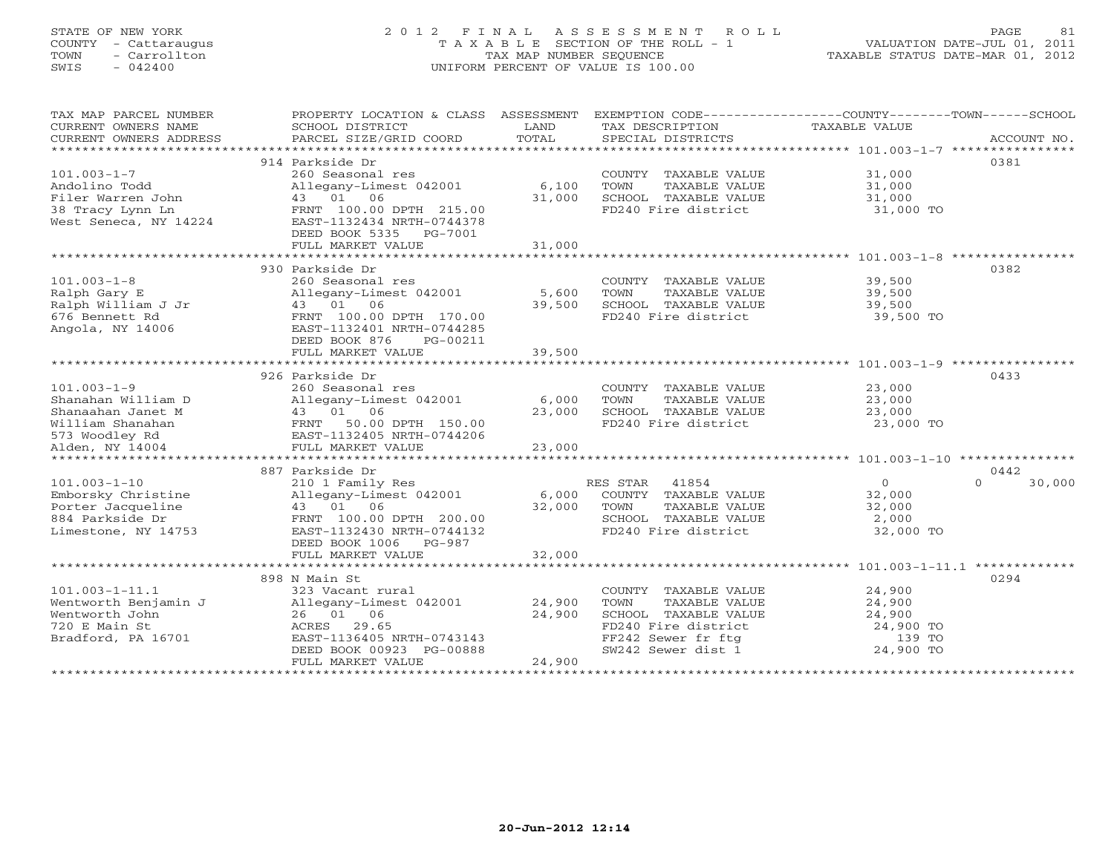# STATE OF NEW YORK 2 0 1 2 F I N A L A S S E S S M E N T R O L L PAGE 81 COUNTY - Cattaraugus T A X A B L E SECTION OF THE ROLL - 1 VALUATION DATE-JUL 01, 2011 TOWN - Carrollton TAX MAP NUMBER SEQUENCE TAXABLE STATUS DATE-MAR 01, 2012 SWIS - 042400 UNIFORM PERCENT OF VALUE IS 100.00UNIFORM PERCENT OF VALUE IS 100.00

| TAX MAP PARCEL NUMBER<br>CURRENT OWNERS NAME<br>CURRENT OWNERS ADDRESS                                                | PROPERTY LOCATION & CLASS ASSESSMENT<br>SCHOOL DISTRICT<br>PARCEL SIZE/GRID COORD                                                                                                   | LAND<br>TOTAL              | TAX DESCRIPTION<br>SPECIAL DISTRICTS                                                                                                                         | EXEMPTION CODE----------------COUNTY-------TOWN------SCHOOL<br>TAXABLE VALUE | ACCOUNT NO.        |
|-----------------------------------------------------------------------------------------------------------------------|-------------------------------------------------------------------------------------------------------------------------------------------------------------------------------------|----------------------------|--------------------------------------------------------------------------------------------------------------------------------------------------------------|------------------------------------------------------------------------------|--------------------|
| $101.003 - 1 - 7$<br>Andolino Todd<br>Filer Warren John<br>38 Tracy Lynn Ln<br>West Seneca, NY 14224                  | 914 Parkside Dr<br>260 Seasonal res<br>Allegany-Limest 042001<br>43 01 06<br>FRNT 100.00 DPTH 215.00<br>EAST-1132434 NRTH-0744378<br>DEED BOOK 5335 PG-7001<br>FULL MARKET VALUE    | 6,100<br>31,000<br>31,000  | COUNTY TAXABLE VALUE<br>TOWN<br>TAXABLE VALUE<br>SCHOOL TAXABLE VALUE<br>FD240 Fire district                                                                 | 31,000<br>31,000<br>31,000<br>31,000 TO                                      | 0381               |
|                                                                                                                       |                                                                                                                                                                                     |                            |                                                                                                                                                              |                                                                              |                    |
| $101.003 - 1 - 8$<br>Ralph Gary E<br>Ralph William J Jr<br>676 Bennett Rd<br>Angola, NY 14006                         | 930 Parkside Dr<br>260 Seasonal res<br>Allegany-Limest 042001<br>43 01 06<br>FRNT 100.00 DPTH 170.00<br>EAST-1132401 NRTH-0744285<br>DEED BOOK 876<br>PG-00211<br>FULL MARKET VALUE | 5,600<br>39,500<br>39,500  | COUNTY TAXABLE VALUE<br>TOWN<br>TAXABLE VALUE<br>SCHOOL TAXABLE VALUE<br>FD240 Fire district                                                                 | 39,500<br>39,500<br>39,500<br>39,500 TO                                      | 0382               |
|                                                                                                                       |                                                                                                                                                                                     |                            |                                                                                                                                                              |                                                                              |                    |
| $101.003 - 1 - 9$<br>Shanahan William D<br>Shanaahan Janet M<br>William Shanahan<br>573 Woodley Rd<br>Alden, NY 14004 | 926 Parkside Dr<br>260 Seasonal res<br>Allegany-Limest 042001<br>1<br>43 01 06<br>FRNT 50.00 DPTH 150.00<br>EAST-1132405 NRTH-0744206<br>FULL MARKET VALUE                          | 6,000<br>23,000<br>23,000  | COUNTY TAXABLE VALUE<br>TOWN<br>TAXABLE VALUE<br>SCHOOL TAXABLE VALUE<br>FD240 Fire district                                                                 | 23,000<br>23,000<br>23,000<br>23,000 TO                                      | 0433               |
|                                                                                                                       | 887 Parkside Dr                                                                                                                                                                     |                            |                                                                                                                                                              |                                                                              | 0442               |
| $101.003 - 1 - 10$<br>Emborsky Christine<br>Porter Jacqueline<br>884 Parkside Dr<br>Limestone, NY 14753               | 210 1 Family Res<br>Allegany-Limest 042001<br>43 01 06<br>FRNT 100.00 DPTH 200.00<br>EAST-1132430 NRTH-0744132<br>DEED BOOK 1006 PG-987<br>FULL MARKET VALUE                        | 6,000<br>32,000<br>32,000  | RES STAR 41854<br>COUNTY TAXABLE VALUE<br>TOWN<br>TAXABLE VALUE<br>SCHOOL TAXABLE VALUE<br>FD240 Fire district                                               | $\overline{0}$<br>32,000<br>32,000<br>2,000<br>32,000 TO                     | 30,000<br>$\Omega$ |
|                                                                                                                       |                                                                                                                                                                                     |                            |                                                                                                                                                              |                                                                              |                    |
| $101.003 - 1 - 11.1$<br>Wentworth Benjamin J<br>Wentworth John<br>720 E Main St<br>Bradford, PA 16701                 | 898 N Main St<br>323 Vacant rural<br>Allegany-Limest 042001<br>26 01 06<br>ACRES 29.65<br>EAST-1136405 NRTH-0743143<br>DEED BOOK 00923 PG-00888<br>FULL MARKET VALUE                | 24,900<br>24,900<br>24,900 | COUNTY TAXABLE VALUE<br>TOWN<br>TAXABLE VALUE<br>SCHOOL TAXABLE VALUE<br>FD240 Fire district<br>FD240 Fire under<br>FF242 Sewer fr ftg<br>FF242 Sewer dist 1 | 24,900<br>24,900<br>24,900<br>24,900 TO<br>139 TO<br>24,900 TO               | 0294               |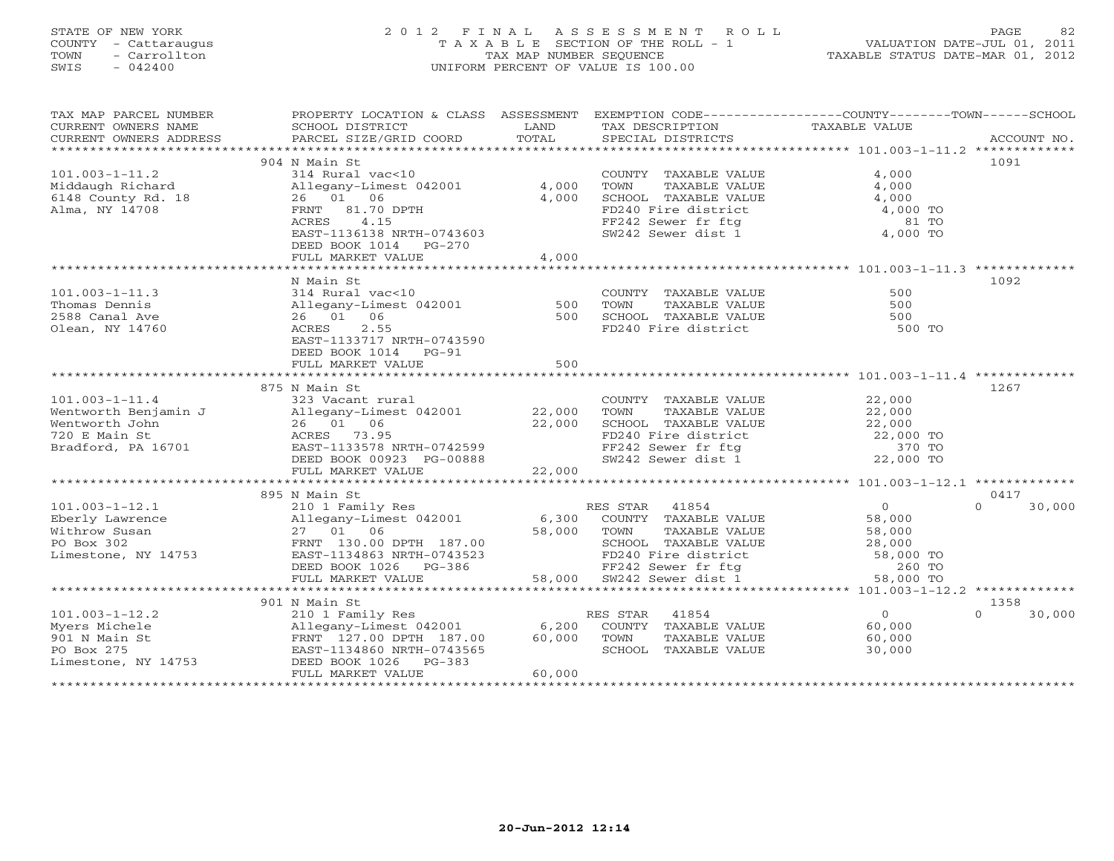# STATE OF NEW YORK 2 0 1 2 F I N A L A S S E S S M E N T R O L L PAGE 82COUNTY - Cattaraugus T A X A B L E SECTION OF THE ROLL - 1<br>
TOWN - Carrollton TAX MAP NUMBER SEQUENCE<br>
SWIS - 042400 SWIS - 042400 UNIFORM PERCENT OF VALUE IS 100.00

| TAX MAP PARCEL NUMBER<br>CURRENT OWNERS NAME<br>CURRENT OWNERS ADDRESS | PROPERTY LOCATION & CLASS ASSESSMENT<br>SCHOOL DISTRICT<br>PARCEL SIZE/GRID COORD                                            | LAND<br>TOTAL | TAX DESCRIPTION<br>SPECIAL DISTRICTS                                                                                        | EXEMPTION CODE-----------------COUNTY-------TOWN------SCHOOL<br>TAXABLE VALUE | ACCOUNT NO.        |
|------------------------------------------------------------------------|------------------------------------------------------------------------------------------------------------------------------|---------------|-----------------------------------------------------------------------------------------------------------------------------|-------------------------------------------------------------------------------|--------------------|
|                                                                        |                                                                                                                              |               |                                                                                                                             |                                                                               |                    |
|                                                                        | 904 N Main St                                                                                                                |               |                                                                                                                             |                                                                               | 1091               |
| $101.003 - 1 - 11.2$                                                   | 314 Rural vac<10                                                                                                             |               | COUNTY TAXABLE VALUE                                                                                                        | 4,000                                                                         |                    |
| Middaugh Richard                                                       | Allegany-Limest 042001                                                                                                       | 4,000         | TOWN<br>TAXABLE VALUE                                                                                                       | 4,000                                                                         |                    |
| 6148 County Rd. 18                                                     | 26 01 06                                                                                                                     | 4,000         | SCHOOL TAXABLE VALUE<br>FD240 Fire district                                                                                 | 4,000                                                                         |                    |
| Alma, NY 14708                                                         | FRNT 81.70 DPTH                                                                                                              |               |                                                                                                                             | 4,000 TO                                                                      |                    |
|                                                                        | 4.15<br>ACRES                                                                                                                |               | FF242 Sewer fr ftg                                                                                                          | 81 TO                                                                         |                    |
|                                                                        | EAST-1136138 NRTH-0743603                                                                                                    |               | SW242 Sewer dist 1                                                                                                          | 4,000 TO                                                                      |                    |
|                                                                        | DEED BOOK 1014 PG-270                                                                                                        |               |                                                                                                                             |                                                                               |                    |
|                                                                        | FULL MARKET VALUE                                                                                                            | 4,000         |                                                                                                                             |                                                                               |                    |
|                                                                        |                                                                                                                              |               |                                                                                                                             |                                                                               |                    |
|                                                                        | N Main St                                                                                                                    |               |                                                                                                                             |                                                                               | 1092               |
| $101.003 - 1 - 11.3$                                                   |                                                                                                                              |               | COUNTY TAXABLE VALUE                                                                                                        | 500                                                                           |                    |
| Thomas Dennis                                                          | <sup>214</sup> Kural vac<10<br>Allegany-Limest 042001 500<br>26 01 06                                                        |               | TOWN<br>TAXABLE VALUE                                                                                                       | 500                                                                           |                    |
| 2588 Canal Ave                                                         | 26 01 06                                                                                                                     | 500           | SCHOOL TAXABLE VALUE                                                                                                        | 500                                                                           |                    |
| Olean, NY 14760                                                        | 2.55<br>ACRES                                                                                                                |               | VALUE COMMADLE VALUE                                                                                                        | 500 TO                                                                        |                    |
|                                                                        | EAST-1133717 NRTH-0743590                                                                                                    |               |                                                                                                                             |                                                                               |                    |
|                                                                        | DEED BOOK 1014 PG-91                                                                                                         |               |                                                                                                                             |                                                                               |                    |
|                                                                        | FULL MARKET VALUE                                                                                                            | 500           |                                                                                                                             |                                                                               |                    |
|                                                                        |                                                                                                                              |               |                                                                                                                             |                                                                               |                    |
|                                                                        | 875 N Main St                                                                                                                |               |                                                                                                                             |                                                                               | 1267               |
| $101.003 - 1 - 11.4$                                                   | 323 Vacant rural                                                                                                             |               | COUNTY TAXABLE VALUE                                                                                                        | 22,000                                                                        |                    |
| Wentworth Benjamin J                                                   |                                                                                                                              |               | TOWN<br>TAXABLE VALUE                                                                                                       | 22,000                                                                        |                    |
| Wentworth John                                                         | 325 vacant fuitat<br>Allegany-Limest 042001 22,000<br>26 01 06 22,000<br>ACRES 73.95 EAST-1133578 NRTH-0742599               |               |                                                                                                                             |                                                                               |                    |
| 720 E Main St                                                          |                                                                                                                              |               |                                                                                                                             |                                                                               |                    |
| Bradford, PA 16701                                                     |                                                                                                                              |               | SCHOOL TAXABLE VALUE $22,000$<br>FD240 Fire district 22,000 TO<br>FF242 Sewer fr ftg 370 TO<br>SW242 Sewer dist 1 22,000 TO |                                                                               |                    |
|                                                                        | DEED BOOK 00923 PG-00888                                                                                                     |               |                                                                                                                             |                                                                               |                    |
|                                                                        | FULL MARKET VALUE                                                                                                            | 22,000        |                                                                                                                             |                                                                               |                    |
|                                                                        |                                                                                                                              |               |                                                                                                                             |                                                                               |                    |
|                                                                        | 895 N Main St                                                                                                                |               |                                                                                                                             |                                                                               | 0417               |
| $101.003 - 1 - 12.1$                                                   | 210 1 Family Res                                                                                                             |               | RES STAR 41854                                                                                                              | $\overline{0}$                                                                | $\Omega$<br>30,000 |
| Eberly Lawrence                                                        |                                                                                                                              | 6,300         | COUNTY TAXABLE VALUE                                                                                                        | 58,000                                                                        |                    |
| Withrow Susan                                                          |                                                                                                                              | 58,000        | TOWN<br>TAXABLE VALUE                                                                                                       | 58,000                                                                        |                    |
| PO Box 302                                                             | -11egany-Limest 042001<br>27 01 06<br>FRNT 130.00 DPTH 187.00<br>EAST-1134863 NRTH-0743523                                   |               |                                                                                                                             |                                                                               |                    |
| Limestone, NY 14753                                                    |                                                                                                                              |               | CHOOL TAXABLE VALUE $28,000$<br>FD240 Fire district 58,000 TO<br>FF242 Sewer fr ftg 260 TO<br>SW242 Sewer dist 1 58,000 TO  |                                                                               |                    |
|                                                                        | DEED BOOK 1026 PG-386                                                                                                        |               |                                                                                                                             |                                                                               |                    |
|                                                                        | FULL MARKET VALUE                                                                                                            |               | FF242 Sewer fr ftg<br>58,000 SW242 Sewer dist 1                                                                             |                                                                               |                    |
|                                                                        |                                                                                                                              |               |                                                                                                                             |                                                                               |                    |
|                                                                        | 901 N Main St                                                                                                                |               |                                                                                                                             |                                                                               | 1358               |
| $101.003 - 1 - 12.2$                                                   | 210 1 Family Res                                                                                                             |               | RES STAR<br>41854                                                                                                           | $\overline{0}$                                                                | $\Omega$<br>30,000 |
| Myers Michele                                                          | 210 1 Family Res<br>Allegany-Limest 042001<br>FRNT 127.00 DPTH 187.00<br>EAST-1134860 NRTH-0743565<br>Allegany-Limest 042001 |               | 6,200 COUNTY TAXABLE VALUE                                                                                                  | 60,000                                                                        |                    |
| 901 N Main St                                                          |                                                                                                                              | 60,000        | TOWN<br>TAXABLE VALUE                                                                                                       | 60,000                                                                        |                    |
| PO Box 275                                                             | EAST-1134860 NRTH-0743565                                                                                                    |               | SCHOOL TAXABLE VALUE                                                                                                        | 30,000                                                                        |                    |
| Limestone, NY 14753                                                    | DEED BOOK 1026<br>$PG-383$                                                                                                   |               |                                                                                                                             |                                                                               |                    |
|                                                                        | FULL MARKET VALUE                                                                                                            | 60,000        |                                                                                                                             |                                                                               |                    |
|                                                                        |                                                                                                                              |               |                                                                                                                             |                                                                               |                    |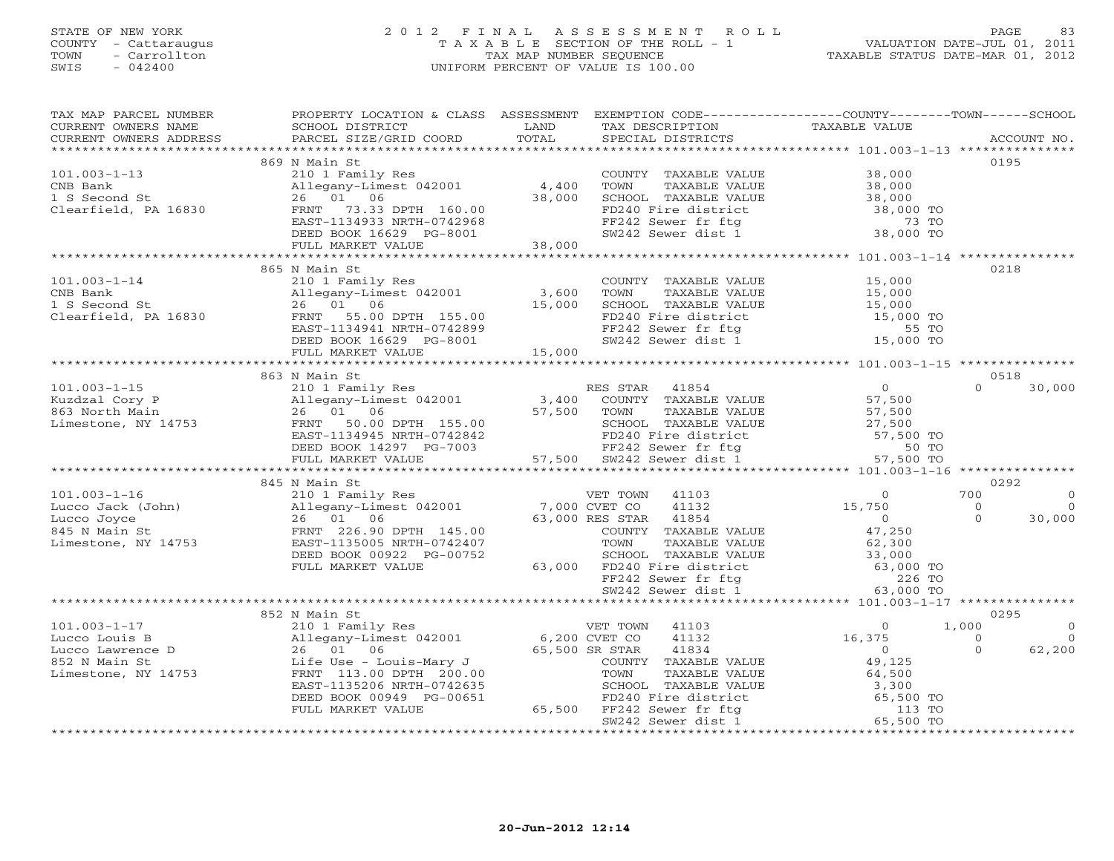### STATE OF NEW YORK 2 0 1 2 F I N A L A S S E S S M E N T R O L L PAGE 83 COUNTY - Cattaraugus T A X A B L E SECTION OF THE ROLL - 1 VALUATION DATE-JUL 01, 2011 TOWN - Carrollton TAX MAP NUMBER SEQUENCE TAXABLE STATUS DATE-MAR 01, 2012 SWIS - 042400 UNIFORM PERCENT OF VALUE IS 100.00

| TAX MAP PARCEL NUMBER                                                                                                                                                                                                                                                                                                                                                                            | PROPERTY LOCATION & CLASS ASSESSMENT EXEMPTION CODE---------------COUNTY-------TOWN------SCHOOL |                                                                                                                                                                                                         |                |                              |
|--------------------------------------------------------------------------------------------------------------------------------------------------------------------------------------------------------------------------------------------------------------------------------------------------------------------------------------------------------------------------------------------------|-------------------------------------------------------------------------------------------------|---------------------------------------------------------------------------------------------------------------------------------------------------------------------------------------------------------|----------------|------------------------------|
| CURRENT OWNERS NAME<br>CURRENT OWNERS ADDRESS PARCEL SIZE/GRID COORD                                                                                                                                                                                                                                                                                                                             |                                                                                                 |                                                                                                                                                                                                         |                |                              |
|                                                                                                                                                                                                                                                                                                                                                                                                  | 869 N Main St                                                                                   |                                                                                                                                                                                                         | 0195           |                              |
| $\begin{array}{lllllllllllllll} 101.003\mbox{--}1\mbox{--}13 & 869\text{ N Main St} & & & \\ \text{CNB Bank} & 210\text{ 1 Family Res} & & & \\ \text{CNB Bank} & \text{Allegany–Limest 042001} & 4,400 & \\ \text{1 S Second St} & 26 & 01 & 06 & 38,000 & \\ \text{Clearfield, PA 16830} & \text{FRNT} & 73.33\text{ DPTH} & 160.00 & \\ \text{EAST-}1134933\text{ NRTH-}0742968 & & \\ \text$ |                                                                                                 | COUNTY TAXABLE VALUE<br>TOWN TAXABLE VALUE<br>SCHOOL TAXABLE VALUE<br>SCHOOL TAXABLE VALUE<br>TD240 Fire district<br>FF242 Sewer fr ftg<br>SW242 Sewer dist 1 38,000 TO<br>SW242 Sewer dist 1 38,000 TO |                |                              |
|                                                                                                                                                                                                                                                                                                                                                                                                  |                                                                                                 |                                                                                                                                                                                                         |                |                              |
|                                                                                                                                                                                                                                                                                                                                                                                                  |                                                                                                 |                                                                                                                                                                                                         |                |                              |
|                                                                                                                                                                                                                                                                                                                                                                                                  |                                                                                                 |                                                                                                                                                                                                         |                |                              |
|                                                                                                                                                                                                                                                                                                                                                                                                  |                                                                                                 |                                                                                                                                                                                                         |                |                              |
|                                                                                                                                                                                                                                                                                                                                                                                                  |                                                                                                 |                                                                                                                                                                                                         |                |                              |
|                                                                                                                                                                                                                                                                                                                                                                                                  |                                                                                                 |                                                                                                                                                                                                         |                |                              |
|                                                                                                                                                                                                                                                                                                                                                                                                  | 865 N Main St                                                                                   |                                                                                                                                                                                                         | 0218           |                              |
| $101.003 - 1 - 14$                                                                                                                                                                                                                                                                                                                                                                               | 210 1 Family Res                                                                                | COUNTY TAXABLE VALUE 15,000                                                                                                                                                                             |                |                              |
|                                                                                                                                                                                                                                                                                                                                                                                                  |                                                                                                 | COWN TAXABLE VALUE<br>TOWN TAXABLE VALUE<br>SCHOOL TAXABLE VALUE<br>FD240 Fire district<br>FF242 Sewer fr ftg<br>SW242 Sewer dist 1 15,000 TO<br>15,000 TO<br>55 TO<br>15,000 TO<br>15,000 TO           |                |                              |
|                                                                                                                                                                                                                                                                                                                                                                                                  |                                                                                                 |                                                                                                                                                                                                         |                |                              |
|                                                                                                                                                                                                                                                                                                                                                                                                  |                                                                                                 |                                                                                                                                                                                                         |                |                              |
|                                                                                                                                                                                                                                                                                                                                                                                                  |                                                                                                 |                                                                                                                                                                                                         |                |                              |
| 101.003-1-14<br>CNB Bank<br>1 S Second St<br>1 S Second St<br>Clearfield, PA 16830<br>26 01 06<br>EAST-1134941 NRTH-0742899<br>DEED BOOK 16629 PG-8001<br>FULL MARKET VALUE<br>FULL MARKET VALUE<br>FULL MARKET VALUE<br>FULL MARKET VALUE                                                                                                                                                       |                                                                                                 |                                                                                                                                                                                                         |                |                              |
|                                                                                                                                                                                                                                                                                                                                                                                                  |                                                                                                 |                                                                                                                                                                                                         |                |                              |
|                                                                                                                                                                                                                                                                                                                                                                                                  | 863 N Main St                                                                                   |                                                                                                                                                                                                         | 0518           |                              |
|                                                                                                                                                                                                                                                                                                                                                                                                  |                                                                                                 |                                                                                                                                                                                                         | $0 \t30,000$   |                              |
|                                                                                                                                                                                                                                                                                                                                                                                                  |                                                                                                 |                                                                                                                                                                                                         |                |                              |
|                                                                                                                                                                                                                                                                                                                                                                                                  |                                                                                                 |                                                                                                                                                                                                         |                |                              |
|                                                                                                                                                                                                                                                                                                                                                                                                  |                                                                                                 |                                                                                                                                                                                                         |                |                              |
|                                                                                                                                                                                                                                                                                                                                                                                                  |                                                                                                 |                                                                                                                                                                                                         |                |                              |
| 101.003-1-15<br>Nuzdzal Cory P<br>2003 North Main 26 01 06<br>2001 Tem imest 042001 3,400 COUNTY TAXABLE VALUE 57,500<br>26 01 06 57,500 TOWN TAXABLE VALUE 57,500<br>27,500 EAST-1134945 NRTH-0742842<br>DEED BOOK 14297 PG-7003 57,500                                                                                                                                                         |                                                                                                 |                                                                                                                                                                                                         |                |                              |
|                                                                                                                                                                                                                                                                                                                                                                                                  |                                                                                                 |                                                                                                                                                                                                         |                |                              |
|                                                                                                                                                                                                                                                                                                                                                                                                  | 845 N Main St                                                                                   |                                                                                                                                                                                                         | 0292<br>700    |                              |
|                                                                                                                                                                                                                                                                                                                                                                                                  |                                                                                                 |                                                                                                                                                                                                         | $\overline{0}$ | $\overline{0}$<br>$\bigcirc$ |
|                                                                                                                                                                                                                                                                                                                                                                                                  |                                                                                                 |                                                                                                                                                                                                         | $\bigcap$      | 30,000                       |
|                                                                                                                                                                                                                                                                                                                                                                                                  |                                                                                                 |                                                                                                                                                                                                         |                |                              |
|                                                                                                                                                                                                                                                                                                                                                                                                  |                                                                                                 |                                                                                                                                                                                                         |                |                              |
|                                                                                                                                                                                                                                                                                                                                                                                                  |                                                                                                 |                                                                                                                                                                                                         |                |                              |
|                                                                                                                                                                                                                                                                                                                                                                                                  |                                                                                                 |                                                                                                                                                                                                         |                |                              |
|                                                                                                                                                                                                                                                                                                                                                                                                  |                                                                                                 |                                                                                                                                                                                                         |                |                              |
|                                                                                                                                                                                                                                                                                                                                                                                                  |                                                                                                 |                                                                                                                                                                                                         |                |                              |
|                                                                                                                                                                                                                                                                                                                                                                                                  | 852 N Main St                                                                                   |                                                                                                                                                                                                         | 0295           |                              |
|                                                                                                                                                                                                                                                                                                                                                                                                  |                                                                                                 |                                                                                                                                                                                                         | 1,000          | $\circ$                      |
|                                                                                                                                                                                                                                                                                                                                                                                                  |                                                                                                 |                                                                                                                                                                                                         | $\overline{0}$ | $\Omega$                     |
|                                                                                                                                                                                                                                                                                                                                                                                                  |                                                                                                 |                                                                                                                                                                                                         | $\Omega$       | 62,200                       |
|                                                                                                                                                                                                                                                                                                                                                                                                  |                                                                                                 |                                                                                                                                                                                                         |                |                              |
|                                                                                                                                                                                                                                                                                                                                                                                                  |                                                                                                 |                                                                                                                                                                                                         |                |                              |
|                                                                                                                                                                                                                                                                                                                                                                                                  |                                                                                                 |                                                                                                                                                                                                         |                |                              |
|                                                                                                                                                                                                                                                                                                                                                                                                  |                                                                                                 |                                                                                                                                                                                                         |                |                              |
|                                                                                                                                                                                                                                                                                                                                                                                                  |                                                                                                 |                                                                                                                                                                                                         |                |                              |
|                                                                                                                                                                                                                                                                                                                                                                                                  |                                                                                                 |                                                                                                                                                                                                         |                |                              |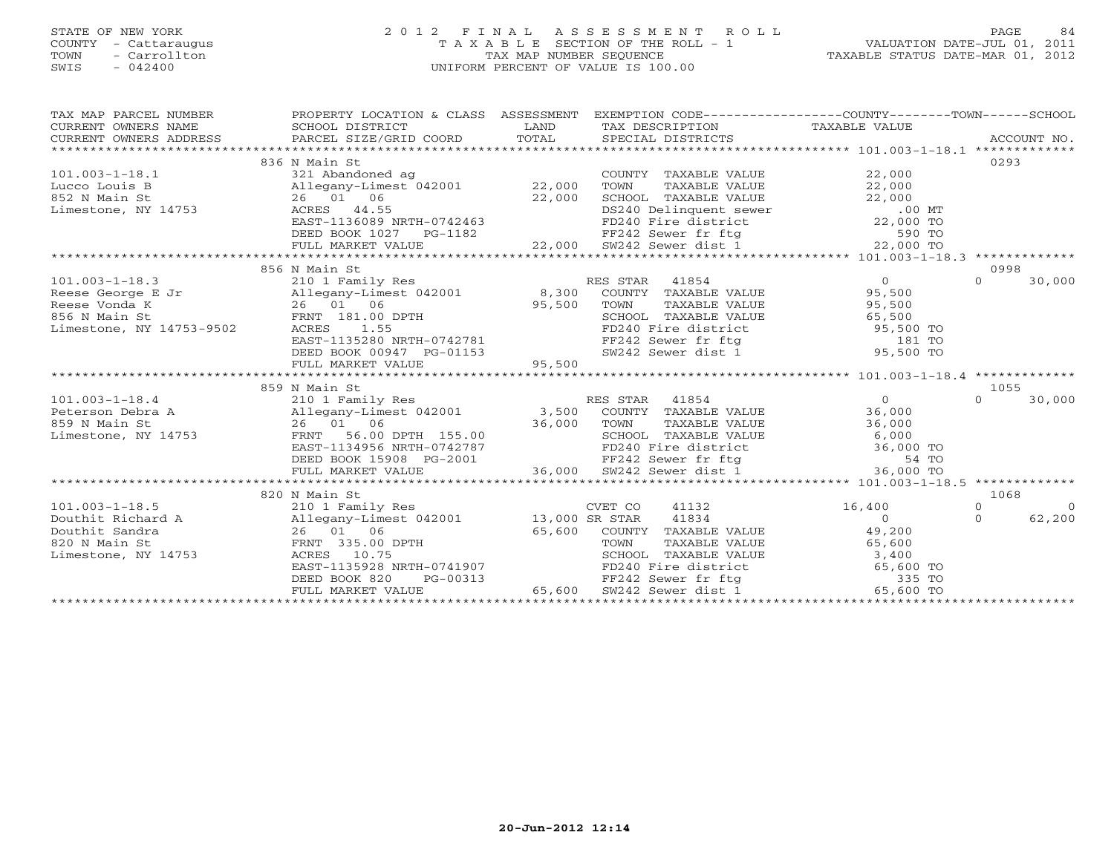## STATE OF NEW YORK 2 0 1 2 F I N A L A S S E S S M E N T R O L L PAGE 84 COUNTY - Cattaraugus T A X A B L E SECTION OF THE ROLL - 1 VALUATION DATE-JUL 01, 2011 TOWN - Carrollton TAX MAP NUMBER SEQUENCE TAXABLE STATUS DATE-MAR 01, 2012 SWIS - 042400 UNIFORM PERCENT OF VALUE IS 100.00UNIFORM PERCENT OF VALUE IS 100.00

| TAX MAP PARCEL NUMBER                                                                                                                                                                                                                      | PROPERTY LOCATION & CLASS ASSESSMENT EXEMPTION CODE----------------COUNTY-------TOWN------SCHOOL |                                                                                                                                                                                                                               |                                             |                                            |
|--------------------------------------------------------------------------------------------------------------------------------------------------------------------------------------------------------------------------------------------|--------------------------------------------------------------------------------------------------|-------------------------------------------------------------------------------------------------------------------------------------------------------------------------------------------------------------------------------|---------------------------------------------|--------------------------------------------|
| CURRENT OWNERS NAME                                                                                                                                                                                                                        |                                                                                                  |                                                                                                                                                                                                                               |                                             |                                            |
| CURRENT OWNERS ADDRESS                                                                                                                                                                                                                     |                                                                                                  |                                                                                                                                                                                                                               |                                             |                                            |
|                                                                                                                                                                                                                                            |                                                                                                  |                                                                                                                                                                                                                               |                                             |                                            |
|                                                                                                                                                                                                                                            | 836 N Main St                                                                                    |                                                                                                                                                                                                                               |                                             | 0293                                       |
| 101.003-1-18.1<br>Lucco Louis B 22,000<br>852 N Main St 26 01 06<br>Limestone, NY 14753<br>22,000<br>22,000<br>22,000                                                                                                                      |                                                                                                  |                                                                                                                                                                                                                               |                                             |                                            |
|                                                                                                                                                                                                                                            |                                                                                                  |                                                                                                                                                                                                                               |                                             |                                            |
|                                                                                                                                                                                                                                            |                                                                                                  |                                                                                                                                                                                                                               |                                             |                                            |
|                                                                                                                                                                                                                                            |                                                                                                  |                                                                                                                                                                                                                               |                                             |                                            |
|                                                                                                                                                                                                                                            |                                                                                                  |                                                                                                                                                                                                                               |                                             |                                            |
|                                                                                                                                                                                                                                            |                                                                                                  |                                                                                                                                                                                                                               |                                             |                                            |
|                                                                                                                                                                                                                                            |                                                                                                  |                                                                                                                                                                                                                               |                                             |                                            |
|                                                                                                                                                                                                                                            |                                                                                                  |                                                                                                                                                                                                                               |                                             |                                            |
|                                                                                                                                                                                                                                            | 856 N Main St                                                                                    |                                                                                                                                                                                                                               |                                             | 0998                                       |
|                                                                                                                                                                                                                                            |                                                                                                  |                                                                                                                                                                                                                               |                                             |                                            |
|                                                                                                                                                                                                                                            |                                                                                                  |                                                                                                                                                                                                                               |                                             |                                            |
|                                                                                                                                                                                                                                            |                                                                                                  |                                                                                                                                                                                                                               |                                             |                                            |
|                                                                                                                                                                                                                                            |                                                                                                  |                                                                                                                                                                                                                               |                                             |                                            |
|                                                                                                                                                                                                                                            |                                                                                                  |                                                                                                                                                                                                                               |                                             |                                            |
|                                                                                                                                                                                                                                            |                                                                                                  |                                                                                                                                                                                                                               |                                             |                                            |
|                                                                                                                                                                                                                                            |                                                                                                  |                                                                                                                                                                                                                               |                                             |                                            |
|                                                                                                                                                                                                                                            |                                                                                                  |                                                                                                                                                                                                                               |                                             |                                            |
|                                                                                                                                                                                                                                            |                                                                                                  |                                                                                                                                                                                                                               |                                             |                                            |
|                                                                                                                                                                                                                                            | 859 N Main St                                                                                    |                                                                                                                                                                                                                               |                                             | 1055                                       |
|                                                                                                                                                                                                                                            |                                                                                                  |                                                                                                                                                                                                                               |                                             | 30,000<br>$\Omega$                         |
|                                                                                                                                                                                                                                            |                                                                                                  |                                                                                                                                                                                                                               |                                             |                                            |
|                                                                                                                                                                                                                                            |                                                                                                  |                                                                                                                                                                                                                               |                                             |                                            |
|                                                                                                                                                                                                                                            |                                                                                                  |                                                                                                                                                                                                                               |                                             |                                            |
|                                                                                                                                                                                                                                            |                                                                                                  |                                                                                                                                                                                                                               |                                             |                                            |
|                                                                                                                                                                                                                                            |                                                                                                  |                                                                                                                                                                                                                               |                                             |                                            |
| 101.003-1-18.4 $\footnotesize$<br>Peterson Debra A allegany-Limest 042001 3,500 COUNTY TAXABLE VALUE 36,000 TOWN TAXABLE VALUE 36,000 36,000 ESP N Main St<br>EXECTION TAXABLE VALUE 36,000 TOWN TAXABLE VALUE 36,000 SCHOOL TAXABLE VALUE |                                                                                                  |                                                                                                                                                                                                                               |                                             |                                            |
|                                                                                                                                                                                                                                            |                                                                                                  |                                                                                                                                                                                                                               |                                             |                                            |
|                                                                                                                                                                                                                                            | 820 N Main St                                                                                    |                                                                                                                                                                                                                               |                                             | 1068                                       |
| $101.003 - 1 - 18.5$                                                                                                                                                                                                                       | 210 1 Family Res                                                                                 | 41132<br>CVET CO<br>41834                                                                                                                                                                                                     | 16,400<br>$\overline{O}$ and $\overline{O}$ | $\Omega$<br>$\Omega$<br>62,200<br>$\Omega$ |
|                                                                                                                                                                                                                                            |                                                                                                  |                                                                                                                                                                                                                               |                                             |                                            |
|                                                                                                                                                                                                                                            |                                                                                                  |                                                                                                                                                                                                                               |                                             |                                            |
| 101.003-1-18.5<br>Douthit Richard A Allegany-Limest 042001 13,000 SR STAR<br>Douthit Sandra 26 01 06 65,600 COUNTY<br>820 N Main St PRNT 335.00 DPTH TOWN<br>Limestone, NY 14753 ACRES 10.75 SCHOOL<br>EAST-1135928 NRTH-0741907 PD240<br> |                                                                                                  | 39,200<br>H 65,600 COUNTY TAXABLE VALUE<br>TOWN TAXABLE VALUE<br>SCHOOL TAXABLE VALUE<br>SCHOOL TAXABLE VALUE<br>SCHOOL TAXABLE VALUE<br>55,600 SCHOOL TAXABLE VALUE<br>FD240 Fire district<br>FF242 Sever fr ftg 335 TO<br>E |                                             |                                            |
|                                                                                                                                                                                                                                            |                                                                                                  |                                                                                                                                                                                                                               |                                             |                                            |
|                                                                                                                                                                                                                                            | DEED BOOK 820                                                                                    |                                                                                                                                                                                                                               |                                             |                                            |
|                                                                                                                                                                                                                                            | FULL MARKET VALUE                                                                                |                                                                                                                                                                                                                               |                                             |                                            |
|                                                                                                                                                                                                                                            |                                                                                                  |                                                                                                                                                                                                                               |                                             |                                            |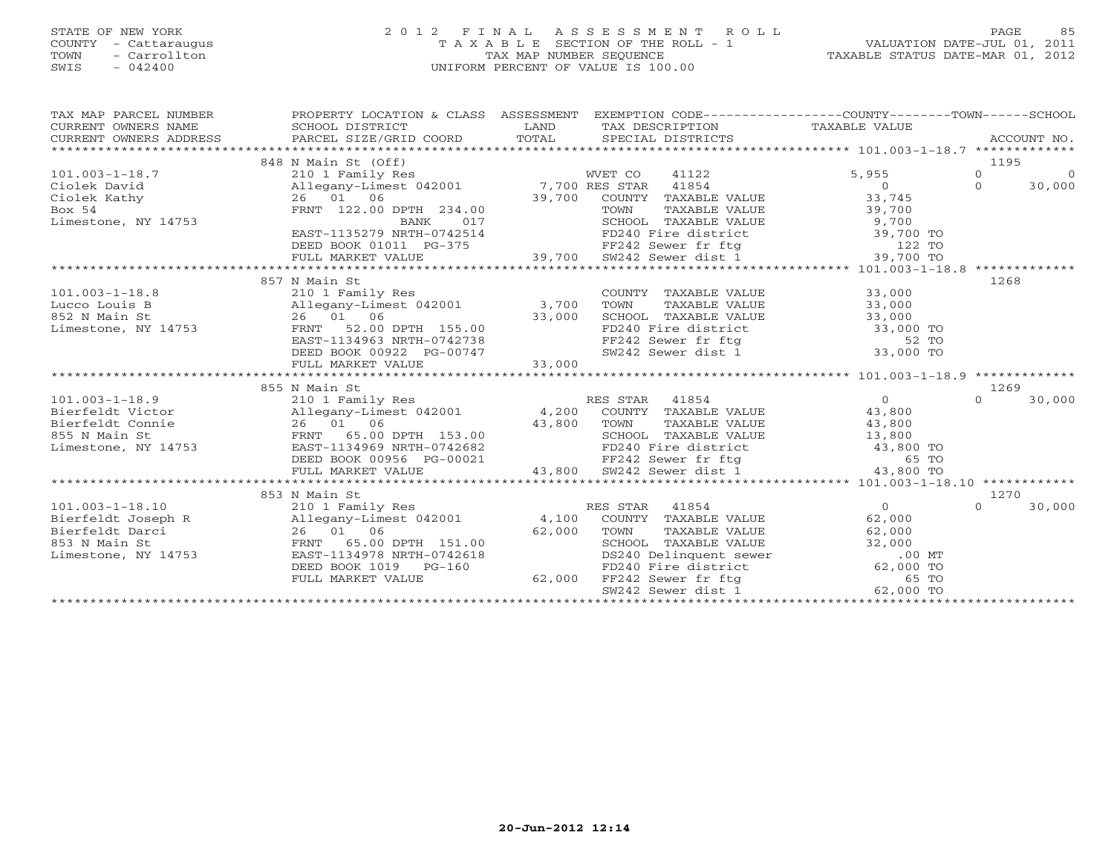### STATE OF NEW YORK 2 0 1 2 F I N A L A S S E S S M E N T R O L L PAGE 85 COUNTY - Cattaraugus T A X A B L E SECTION OF THE ROLL - 1 VALUATION DATE-JUL 01, 2011 TOWN - Carrollton TAX MAP NUMBER SEQUENCE TAXABLE STATUS DATE-MAR 01, 2012 SWIS - 042400 UNIFORM PERCENT OF VALUE IS 100.00UNIFORM PERCENT OF VALUE IS 100.00

| TAX MAP PARCEL NUMBER<br>$\begin{tabular}{lllllll} \multicolumn{2}{c}{\textbf{CURRENT}} & \multicolumn{2}{c}{\textbf{WNERS}} & \multicolumn{2}{c}{\textbf{NAME}} & \multicolumn{2}{c}{\textbf{SCHOOL}} & \multicolumn{2}{c}{\textbf{DISTRICT}} & \multicolumn{2}{c}{\textbf{LAND}} & \multicolumn{2}{c}{\textbf{TAX} \textbf{DESCRIPTION}} & \multicolumn{2}{c}{\textbf{TAXABLE} \textbf{ VALUE}} & \multicolumn{2}{c}{\textbf{NALUE}} \\ & & & & & & & \\ \multicolumn{2}{c}{\textbf{CURRENT}} & \multicolumn{$ | PROPERTY LOCATION & CLASS ASSESSMENT EXEMPTION CODE----------------COUNTY-------TOWN------SCHOOL |                  |       |                      |
|------------------------------------------------------------------------------------------------------------------------------------------------------------------------------------------------------------------------------------------------------------------------------------------------------------------------------------------------------------------------------------------------------------------------------------------------------------------------------------------------------------------|--------------------------------------------------------------------------------------------------|------------------|-------|----------------------|
|                                                                                                                                                                                                                                                                                                                                                                                                                                                                                                                  | 848 N Main St (Off)                                                                              |                  |       | 1195                 |
| $101.003 - 1 - 18.7$                                                                                                                                                                                                                                                                                                                                                                                                                                                                                             | 210 1 Family Res                                                                                 | WVET CO<br>41122 | 5,955 | $\Omega$<br>$\Omega$ |
|                                                                                                                                                                                                                                                                                                                                                                                                                                                                                                                  |                                                                                                  |                  |       |                      |
|                                                                                                                                                                                                                                                                                                                                                                                                                                                                                                                  |                                                                                                  |                  |       |                      |
|                                                                                                                                                                                                                                                                                                                                                                                                                                                                                                                  |                                                                                                  |                  |       |                      |
|                                                                                                                                                                                                                                                                                                                                                                                                                                                                                                                  |                                                                                                  |                  |       |                      |
| 101.003-1-18.000 MM and the main in the same of the same of the same of the same of the same of the same of the same of the same of the same of the same of the same of the same of the same of the same of the same of the sa                                                                                                                                                                                                                                                                                   |                                                                                                  |                  |       |                      |
|                                                                                                                                                                                                                                                                                                                                                                                                                                                                                                                  |                                                                                                  |                  |       |                      |
|                                                                                                                                                                                                                                                                                                                                                                                                                                                                                                                  |                                                                                                  |                  |       |                      |
|                                                                                                                                                                                                                                                                                                                                                                                                                                                                                                                  |                                                                                                  |                  |       |                      |
|                                                                                                                                                                                                                                                                                                                                                                                                                                                                                                                  | 857 N Main St                                                                                    |                  |       | 1268                 |
|                                                                                                                                                                                                                                                                                                                                                                                                                                                                                                                  |                                                                                                  |                  |       |                      |
|                                                                                                                                                                                                                                                                                                                                                                                                                                                                                                                  |                                                                                                  |                  |       |                      |
|                                                                                                                                                                                                                                                                                                                                                                                                                                                                                                                  |                                                                                                  |                  |       |                      |
|                                                                                                                                                                                                                                                                                                                                                                                                                                                                                                                  |                                                                                                  |                  |       |                      |
|                                                                                                                                                                                                                                                                                                                                                                                                                                                                                                                  |                                                                                                  |                  |       |                      |
|                                                                                                                                                                                                                                                                                                                                                                                                                                                                                                                  |                                                                                                  |                  |       |                      |
|                                                                                                                                                                                                                                                                                                                                                                                                                                                                                                                  |                                                                                                  |                  |       |                      |
|                                                                                                                                                                                                                                                                                                                                                                                                                                                                                                                  |                                                                                                  |                  |       |                      |
|                                                                                                                                                                                                                                                                                                                                                                                                                                                                                                                  | 855 N Main St                                                                                    |                  |       | 1269                 |
|                                                                                                                                                                                                                                                                                                                                                                                                                                                                                                                  |                                                                                                  |                  |       | $\Omega$<br>30,000   |
|                                                                                                                                                                                                                                                                                                                                                                                                                                                                                                                  |                                                                                                  |                  |       |                      |
|                                                                                                                                                                                                                                                                                                                                                                                                                                                                                                                  |                                                                                                  |                  |       |                      |
|                                                                                                                                                                                                                                                                                                                                                                                                                                                                                                                  |                                                                                                  |                  |       |                      |
|                                                                                                                                                                                                                                                                                                                                                                                                                                                                                                                  |                                                                                                  |                  |       |                      |
|                                                                                                                                                                                                                                                                                                                                                                                                                                                                                                                  |                                                                                                  |                  |       |                      |
|                                                                                                                                                                                                                                                                                                                                                                                                                                                                                                                  |                                                                                                  |                  |       |                      |
|                                                                                                                                                                                                                                                                                                                                                                                                                                                                                                                  | 853 N Main St                                                                                    |                  |       | 1270                 |
|                                                                                                                                                                                                                                                                                                                                                                                                                                                                                                                  |                                                                                                  |                  |       | $\Omega$             |
|                                                                                                                                                                                                                                                                                                                                                                                                                                                                                                                  |                                                                                                  |                  |       | 30,000               |
|                                                                                                                                                                                                                                                                                                                                                                                                                                                                                                                  |                                                                                                  |                  |       |                      |
|                                                                                                                                                                                                                                                                                                                                                                                                                                                                                                                  |                                                                                                  |                  |       |                      |
| Limestone, NY 14753                                                                                                                                                                                                                                                                                                                                                                                                                                                                                              |                                                                                                  |                  |       |                      |
|                                                                                                                                                                                                                                                                                                                                                                                                                                                                                                                  |                                                                                                  |                  |       |                      |
|                                                                                                                                                                                                                                                                                                                                                                                                                                                                                                                  |                                                                                                  |                  |       |                      |
|                                                                                                                                                                                                                                                                                                                                                                                                                                                                                                                  |                                                                                                  |                  |       |                      |
|                                                                                                                                                                                                                                                                                                                                                                                                                                                                                                                  |                                                                                                  |                  |       |                      |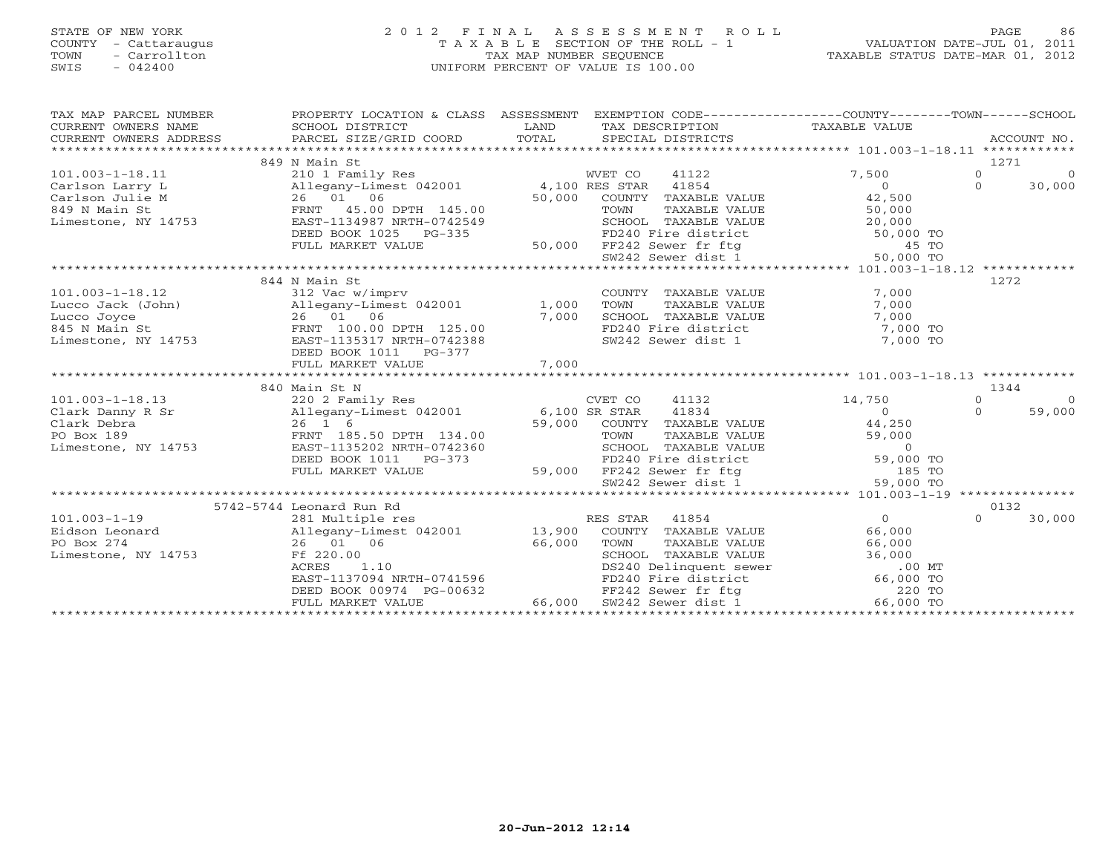# STATE OF NEW YORK 2 0 1 2 F I N A L A S S E S S M E N T R O L L PAGE 86 COUNTY - Cattaraugus T A X A B L E SECTION OF THE ROLL - 1 VALUATION DATE-JUL 01, 2011 TOWN - Carrollton TAX MAP NUMBER SEQUENCE TAXABLE STATUS DATE-MAR 01, 2012 SWIS - 042400 UNIFORM PERCENT OF VALUE IS 100.00UNIFORM PERCENT OF VALUE IS 100.00

| TAX MAP PARCEL NUMBER<br>CURRENT OWNERS NAME<br>CURRENT OWNERS ADDRESS | PROPERTY LOCATION & CLASS ASSESSMENT<br>SCHOOL DISTRICT<br>PARCEL SIZE/GRID COORD                       | LAND<br>TOTAL | TAX DESCRIPTION<br>SPECIAL DISTRICTS                                                                                                                   | EXEMPTION CODE-----------------COUNTY-------TOWN------SCHOOL<br>---COUNTY---<br>TAXABLE VALUE<br>A | ACCOUNT NO.               |
|------------------------------------------------------------------------|---------------------------------------------------------------------------------------------------------|---------------|--------------------------------------------------------------------------------------------------------------------------------------------------------|----------------------------------------------------------------------------------------------------|---------------------------|
|                                                                        | 849 N Main St                                                                                           |               |                                                                                                                                                        |                                                                                                    | 1271                      |
| $101.003 - 1 - 18.11$                                                  | 210 1 Family Res                                                                                        |               | WVET CO<br>41122                                                                                                                                       | 7,500                                                                                              | $\overline{0}$<br>$\circ$ |
| Carlson Larry L                                                        | Allegany-Limest 042001 4,100 RES STAR 41854                                                             |               |                                                                                                                                                        | $\overline{0}$                                                                                     | $\Omega$<br>30,000        |
| Carlson Julie M                                                        | 26 01 06                                                                                                | 50,000        | COUNTY TAXABLE VALUE                                                                                                                                   | 42,500                                                                                             |                           |
| 849 N Main St                                                          | FRNT 45.00 DPTH 145.00                                                                                  |               | TOWN<br>TAXABLE VALUE                                                                                                                                  | 50,000                                                                                             |                           |
| Limestone, NY 14753                                                    | EAST-1134987 NRTH-0742549                                                                               |               |                                                                                                                                                        |                                                                                                    |                           |
|                                                                        | DEED BOOK 1025 PG-335                                                                                   |               | SCHOOL TAXABLE VALUE<br>FD240 Fire district 50,000 TO<br>FD240 Fire district 50,000 TO<br>FF242 Sewer dist 1 50,000 TO<br>SW242 Sewer dist 1 50,000 TO |                                                                                                    |                           |
|                                                                        | FULL MARKET VALUE                                                                                       |               |                                                                                                                                                        |                                                                                                    |                           |
|                                                                        |                                                                                                         |               |                                                                                                                                                        |                                                                                                    |                           |
|                                                                        |                                                                                                         |               |                                                                                                                                                        |                                                                                                    |                           |
|                                                                        | 844 N Main St                                                                                           |               |                                                                                                                                                        |                                                                                                    | 1272                      |
| $101.003 - 1 - 18.12$                                                  | 312 Vac w/imprv                                                                                         |               | COUNTY TAXABLE VALUE                                                                                                                                   | 7,000                                                                                              |                           |
| Lucco Jack (John)                                                      | Allegany-Limest 042001 1,000                                                                            |               | TOWN<br>TAXABLE VALUE                                                                                                                                  | 7,000                                                                                              |                           |
| Lucco Joyce                                                            | 26 01 06<br>FRNT 100.00 DPTH 125.00                                                                     | 7,000         | SCHOOL TAXABLE VALUE<br>FD240 Fire district                                                                                                            | 7,000                                                                                              |                           |
| 845 N Main St                                                          |                                                                                                         |               |                                                                                                                                                        | $7,000$ TO                                                                                         |                           |
| Limestone, NY 14753                                                    | EAST-1135317 NRTH-0742388                                                                               |               | SW242 Sewer dist 1                                                                                                                                     | 7,000 TO                                                                                           |                           |
|                                                                        | DEED BOOK 1011<br>PG-377                                                                                |               |                                                                                                                                                        |                                                                                                    |                           |
|                                                                        | FULL MARKET VALUE                                                                                       | 7,000         |                                                                                                                                                        |                                                                                                    |                           |
|                                                                        |                                                                                                         |               |                                                                                                                                                        |                                                                                                    |                           |
|                                                                        | 840 Main St N<br>Main St N<br>220 2 Family Res<br>Allegany-Limest 042001 6,100 SR STAR<br>59,000 COUNTY |               |                                                                                                                                                        |                                                                                                    | 1344                      |
| $101.003 - 1 - 18.13$                                                  |                                                                                                         |               | 41132                                                                                                                                                  | 14,750                                                                                             | $\circ$<br>$\Omega$       |
| Clark Danny R Sr                                                       |                                                                                                         |               | 41834                                                                                                                                                  | $\overline{0}$                                                                                     | $\Omega$<br>59,000        |
| Clark Debra                                                            |                                                                                                         |               | 59,000 COUNTY TAXABLE VALUE                                                                                                                            | 44,250                                                                                             |                           |
| PO Box 189                                                             | FRNT 185.50 DPTH 134.00                                                                                 |               | TOWN<br>TAXABLE VALUE                                                                                                                                  | 59,000                                                                                             |                           |
| Limestone, NY 14753                                                    | EAST-1135202 NRTH-0742360                                                                               |               | SCHOOL TAXABLE VALUE<br>FD240 Fire district 59,000<br>FF242 Sewer fr ftg 59,000<br>SW242 Sewer dist 1 59,000                                           |                                                                                                    |                           |
|                                                                        | DEED BOOK 1011 PG-373                                                                                   |               |                                                                                                                                                        | 59,000 TO                                                                                          |                           |
|                                                                        | FULL MARKET VALUE                                                                                       |               |                                                                                                                                                        | 185 TO<br>59,000 TO                                                                                |                           |
|                                                                        |                                                                                                         |               |                                                                                                                                                        |                                                                                                    |                           |
|                                                                        | 5742-5744 Leonard Run Rd                                                                                |               |                                                                                                                                                        |                                                                                                    | 0132                      |
| $101.003 - 1 - 19$                                                     | 281 Multiple res                                                                                        |               | RES STAR 41854                                                                                                                                         | $\Omega$                                                                                           | $\Omega$<br>30,000        |
| Eidson Leonard                                                         | Allegany-Limest 042001 13,900                                                                           |               | COUNTY TAXABLE VALUE                                                                                                                                   | 66,000                                                                                             |                           |
| PO Box 274                                                             | 26 01 06                                                                                                | 66,000        | TOWN<br>TAXABLE VALUE                                                                                                                                  | 66,000                                                                                             |                           |
| Limestone, NY 14753                                                    | Ff 220.00                                                                                               |               | SCHOOL TAXABLE VALUE                                                                                                                                   | 36,000                                                                                             |                           |
|                                                                        | 1.10<br>ACRES                                                                                           |               | SCHOOL TAXABLE VALUE<br>DS240 Delinquent sewer<br>FD240 Fire district                                                                                  | $.00$ MT                                                                                           |                           |
|                                                                        | EAST-1137094 NRTH-0741596                                                                               |               |                                                                                                                                                        | 66,000 TO                                                                                          |                           |
|                                                                        | DEED BOOK 00974 PG-00632                                                                                |               | FF242 Sewer fr ftg                                                                                                                                     | 220 TO                                                                                             |                           |
|                                                                        | FULL MARKET VALUE                                                                                       | 66,000        | SW242 Sewer dist 1                                                                                                                                     | 66,000 TO                                                                                          |                           |
|                                                                        |                                                                                                         |               |                                                                                                                                                        |                                                                                                    |                           |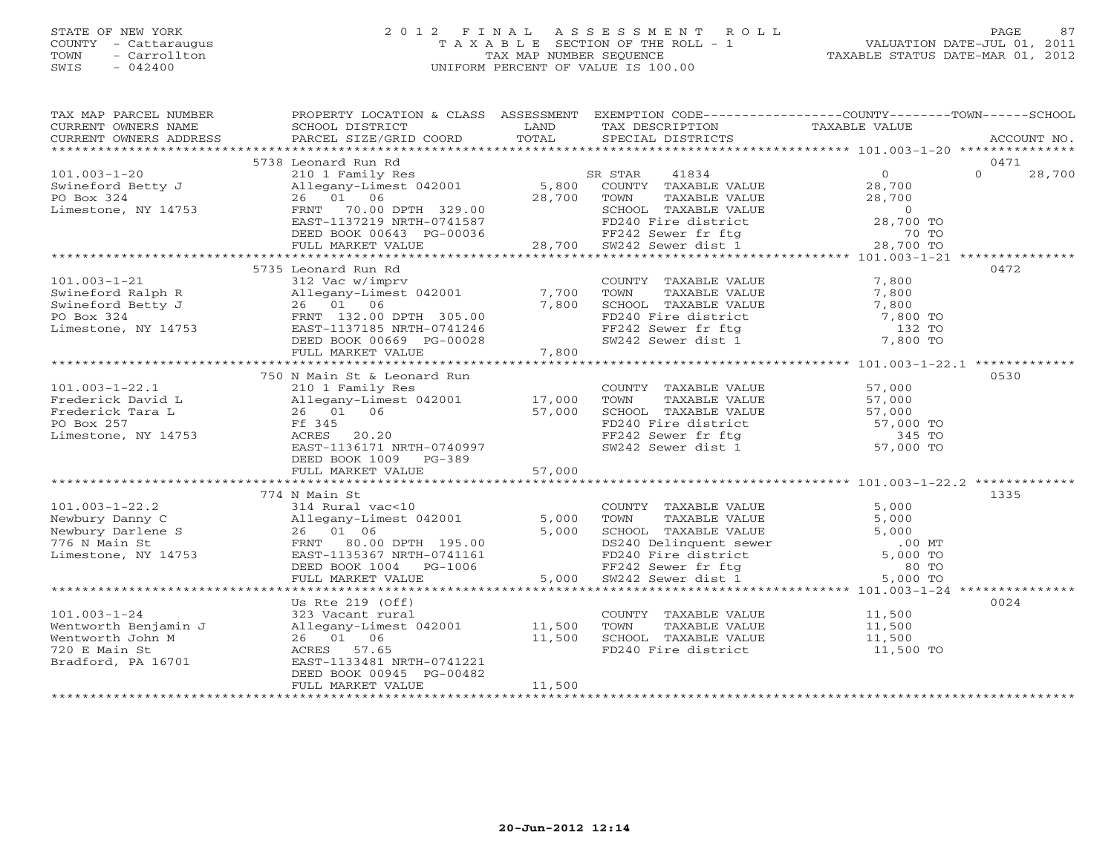# STATE OF NEW YORK 2 0 1 2 F I N A L A S S E S S M E N T R O L L PAGE 87 COUNTY - Cattaraugus T A X A B L E SECTION OF THE ROLL - 1 VALUATION DATE-JUL 01, 2011 TOWN - Carrollton TAX MAP NUMBER SEQUENCE TAXABLE STATUS DATE-MAR 01, 2012 SWIS - 042400 UNIFORM PERCENT OF VALUE IS 100.00UNIFORM PERCENT OF VALUE IS 100.00

| TAX MAP PARCEL NUMBER                                                                                                                                                                                                                              | PROPERTY LOCATION & CLASS ASSESSMENT EXEMPTION CODE---------------COUNTY-------TOWN------SCHOOL |                                                                                                                        |                                                                                                                                                                             |                  |                  |             |
|----------------------------------------------------------------------------------------------------------------------------------------------------------------------------------------------------------------------------------------------------|-------------------------------------------------------------------------------------------------|------------------------------------------------------------------------------------------------------------------------|-----------------------------------------------------------------------------------------------------------------------------------------------------------------------------|------------------|------------------|-------------|
| CURRENT OWNERS NAME                                                                                                                                                                                                                                | SCHOOL DISTRICT                                                                                 | <b>EXAMPLE SERVICE SERVICE SERVICE SERVICE SERVICE SERVICE SERVICE SERVICE SERVICE SERVICE SERVICE SERVICE SERVICE</b> | TAX DESCRIPTION                                                                                                                                                             | TAXABLE VALUE    |                  |             |
| CURRENT OWNERS ADDRESS                                                                                                                                                                                                                             | PARCEL SIZE/GRID COORD                                                                          | TOTAL                                                                                                                  | SPECIAL DISTRICTS                                                                                                                                                           |                  |                  | ACCOUNT NO. |
|                                                                                                                                                                                                                                                    |                                                                                                 |                                                                                                                        |                                                                                                                                                                             |                  |                  |             |
|                                                                                                                                                                                                                                                    | 5738 Leonard Run Rd                                                                             |                                                                                                                        |                                                                                                                                                                             | $\overline{0}$   | 0471<br>$\Omega$ |             |
| $101.003 - 1 - 20$                                                                                                                                                                                                                                 | 210 1 Family Res                                                                                |                                                                                                                        | SR STAR 41834<br>5,800 COUNTY TAXABLE VALUE                                                                                                                                 |                  |                  | 28,700      |
| Swineford Betty J<br>PO Box 324                                                                                                                                                                                                                    | Allegany-Limest 042001<br>26 01 06                                                              | 28,700 TOWN                                                                                                            |                                                                                                                                                                             |                  |                  |             |
| Limestone, NY 14753                                                                                                                                                                                                                                | FRNT 70.00 DPTH 329.00                                                                          |                                                                                                                        |                                                                                                                                                                             |                  |                  |             |
|                                                                                                                                                                                                                                                    | EAST-1137219 NRTH-0741587                                                                       |                                                                                                                        |                                                                                                                                                                             |                  |                  |             |
|                                                                                                                                                                                                                                                    | DEED BOOK 00643 PG-00036                                                                        |                                                                                                                        |                                                                                                                                                                             |                  |                  |             |
|                                                                                                                                                                                                                                                    | FULL MARKET VALUE                                                                               |                                                                                                                        | 10036 FF242 Sewer fr ftg<br>28,700 SW242 Sewer dist 1                                                                                                                       |                  |                  |             |
|                                                                                                                                                                                                                                                    |                                                                                                 |                                                                                                                        |                                                                                                                                                                             |                  |                  |             |
|                                                                                                                                                                                                                                                    | 5735 Leonard Run Rd                                                                             |                                                                                                                        |                                                                                                                                                                             |                  | 0472             |             |
| $101.003 - 1 - 21$                                                                                                                                                                                                                                 |                                                                                                 |                                                                                                                        |                                                                                                                                                                             | 7,800            |                  |             |
| 101.003-1-21<br>Swineford Ralph R<br>Swineford Betty J<br>PO Box 324<br>Limestone, NY 14753<br>ERNT 132.00 DPTH 305.00<br>ERNT 132.00 DPTH 305.00<br>ERNT 132.00 DPTH 305.00<br>ERST-1137185 NRTH-0741246<br>PO BOX 324<br>ERST-1137185 NRTH-07412 | 312 Vac w/imprv<br>Allegany-Limest 042001 7,700                                                 |                                                                                                                        | COUNTY TAXABLE VALUE<br>TOWN     TAXABLE VALUE                                                                                                                              | 7,800            |                  |             |
|                                                                                                                                                                                                                                                    |                                                                                                 | 7,800                                                                                                                  | SCHOOL TAXABLE VALUE<br>FD240 Fire district<br>FF242 Sewer fr ftg<br>SW242 Sewer dist 1                                                                                     | 7,800            |                  |             |
|                                                                                                                                                                                                                                                    |                                                                                                 |                                                                                                                        |                                                                                                                                                                             | $7,800$ TO       |                  |             |
|                                                                                                                                                                                                                                                    |                                                                                                 |                                                                                                                        |                                                                                                                                                                             | 132 TO           |                  |             |
|                                                                                                                                                                                                                                                    | DEED BOOK 00669 PG-00028                                                                        |                                                                                                                        |                                                                                                                                                                             | $7,800$ TO       |                  |             |
|                                                                                                                                                                                                                                                    | FULL MARKET VALUE                                                                               | 7,800                                                                                                                  |                                                                                                                                                                             |                  |                  |             |
|                                                                                                                                                                                                                                                    |                                                                                                 |                                                                                                                        |                                                                                                                                                                             |                  |                  |             |
|                                                                                                                                                                                                                                                    | 750 N Main St & Leonard Run                                                                     |                                                                                                                        |                                                                                                                                                                             |                  | 0530             |             |
| $101.003 - 1 - 22.1$                                                                                                                                                                                                                               | 210 1 Family Res                                                                                |                                                                                                                        | COUNTY TAXABLE VALUE                                                                                                                                                        | 57,000           |                  |             |
| Frederick David L                                                                                                                                                                                                                                  | Allegany-Limest 042001 17,000                                                                   |                                                                                                                        |                                                                                                                                                                             |                  |                  |             |
| Frederick Tara L                                                                                                                                                                                                                                   | 26 01 06                                                                                        | 57,000                                                                                                                 |                                                                                                                                                                             |                  |                  |             |
| PO Box 257                                                                                                                                                                                                                                         | Ff 345                                                                                          |                                                                                                                        |                                                                                                                                                                             |                  |                  |             |
| Limestone, NY 14753                                                                                                                                                                                                                                | ACRES 20.20                                                                                     |                                                                                                                        |                                                                                                                                                                             |                  |                  |             |
|                                                                                                                                                                                                                                                    | EAST-1136171 NRTH-0740997                                                                       |                                                                                                                        | TOWN TAXABLE VALUE<br>TOWN TAXABLE VALUE<br>SCHOOL TAXABLE VALUE<br>FD240 Fire district<br>FF242 Sewer fr ftg<br>SW242 Sewer dist 1 57,000 TO                               |                  |                  |             |
|                                                                                                                                                                                                                                                    | DEED BOOK 1009 PG-389                                                                           |                                                                                                                        |                                                                                                                                                                             |                  |                  |             |
|                                                                                                                                                                                                                                                    | FULL MARKET VALUE                                                                               | 57,000                                                                                                                 |                                                                                                                                                                             |                  |                  |             |
|                                                                                                                                                                                                                                                    |                                                                                                 |                                                                                                                        |                                                                                                                                                                             |                  |                  |             |
|                                                                                                                                                                                                                                                    | 774 N Main St                                                                                   |                                                                                                                        |                                                                                                                                                                             |                  | 1335             |             |
| $101.003 - 1 - 22.2$                                                                                                                                                                                                                               | 314 Rural vac<10                                                                                |                                                                                                                        | COUNTY TAXABLE VALUE                                                                                                                                                        | 5,000            |                  |             |
|                                                                                                                                                                                                                                                    | Allegany-Limest 042001                                                                          |                                                                                                                        |                                                                                                                                                                             |                  |                  |             |
|                                                                                                                                                                                                                                                    |                                                                                                 |                                                                                                                        |                                                                                                                                                                             |                  |                  |             |
| Newbury Danny C<br>Newbury Danny C<br>Newbury Darlene S<br>26 01 06<br>776 N Main St<br>Limestone, NY 14753<br>EAST-1135367 NRTH-0741161                                                                                                           |                                                                                                 |                                                                                                                        |                                                                                                                                                                             |                  |                  |             |
|                                                                                                                                                                                                                                                    |                                                                                                 |                                                                                                                        |                                                                                                                                                                             |                  |                  |             |
|                                                                                                                                                                                                                                                    | DEED BOOK 1004 PG-1006                                                                          |                                                                                                                        |                                                                                                                                                                             |                  |                  |             |
|                                                                                                                                                                                                                                                    | FULL MARKET VALUE                                                                               | 5.007                                                                                                                  | 5,000 TOWN TAXABLE VALUE<br>5,000 SCHOOL TAXABLE VALUE<br>DS240 Delinquent sewer<br>FD240 Fire district<br>FF242 Sewer dist 1 5,000 TO<br>5,000 SW242 Sewer dist 1 5,000 TO |                  |                  |             |
|                                                                                                                                                                                                                                                    |                                                                                                 |                                                                                                                        |                                                                                                                                                                             |                  |                  |             |
|                                                                                                                                                                                                                                                    | Us Rte $219$ (Off)                                                                              |                                                                                                                        |                                                                                                                                                                             |                  | 0024             |             |
| Wentworth Benjamin J<br>Wentworth John M<br>Wentworth John M<br>26 01 06 11,500<br>270 E Main St<br>2720 E Main St<br>273 CRES<br>27.65<br>2720 E Main St<br>2720 E Main St<br>27.65                                                               |                                                                                                 |                                                                                                                        | COUNTY TAXABLE VALUE                                                                                                                                                        | 11,500<br>11,500 |                  |             |
|                                                                                                                                                                                                                                                    |                                                                                                 |                                                                                                                        | TOWN<br>TAXABLE VALUE                                                                                                                                                       |                  |                  |             |
|                                                                                                                                                                                                                                                    |                                                                                                 |                                                                                                                        |                                                                                                                                                                             |                  |                  |             |
|                                                                                                                                                                                                                                                    |                                                                                                 |                                                                                                                        |                                                                                                                                                                             |                  |                  |             |
| Bradford, PA 16701                                                                                                                                                                                                                                 | EAST-1133481 NRTH-0741221                                                                       |                                                                                                                        |                                                                                                                                                                             |                  |                  |             |
|                                                                                                                                                                                                                                                    | DEED BOOK 00945 PG-00482                                                                        |                                                                                                                        |                                                                                                                                                                             |                  |                  |             |
|                                                                                                                                                                                                                                                    | FULL MARKET VALUE                                                                               | 11,500                                                                                                                 |                                                                                                                                                                             |                  |                  |             |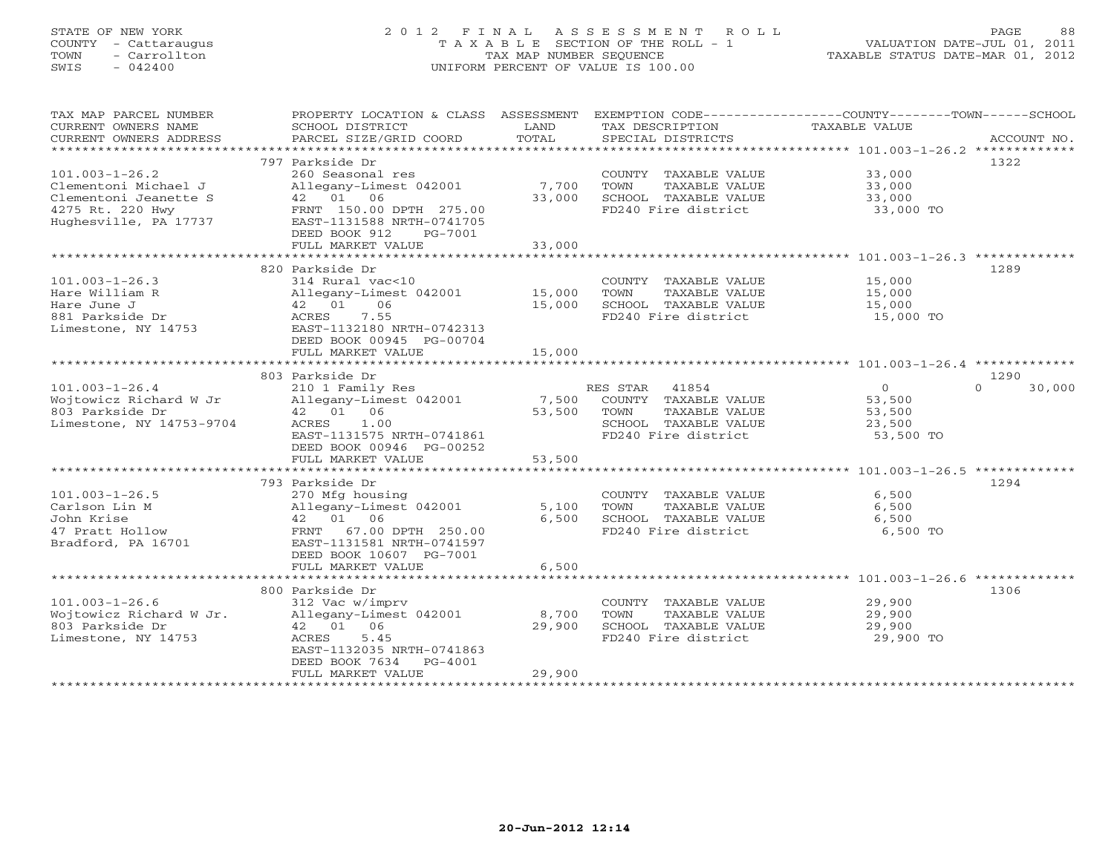# STATE OF NEW YORK 2 0 1 2 F I N A L A S S E S S M E N T R O L L PAGE 88 COUNTY - Cattaraugus T A X A B L E SECTION OF THE ROLL - 1 VALUATION DATE-JUL 01, 2011 TOWN - Carrollton TAX MAP NUMBER SEQUENCE TAXABLE STATUS DATE-MAR 01, 2012 SWIS - 042400 UNIFORM PERCENT OF VALUE IS 100.00UNIFORM PERCENT OF VALUE IS 100.00

| TAX MAP PARCEL NUMBER<br>CURRENT OWNERS NAME<br>CURRENT OWNERS ADDRESS | PROPERTY LOCATION & CLASS ASSESSMENT<br>SCHOOL DISTRICT<br>PARCEL SIZE/GRID COORD | LAND<br>TOTAL   | TAX DESCRIPTION<br>SPECIAL DISTRICTS          | EXEMPTION CODE-----------------COUNTY-------TOWN------SCHOOL<br>TAXABLE VALUE | ACCOUNT NO.      |
|------------------------------------------------------------------------|-----------------------------------------------------------------------------------|-----------------|-----------------------------------------------|-------------------------------------------------------------------------------|------------------|
| ***********************                                                |                                                                                   |                 |                                               |                                                                               |                  |
|                                                                        | 797 Parkside Dr                                                                   |                 |                                               |                                                                               | 1322             |
| $101.003 - 1 - 26.2$                                                   | 260 Seasonal res                                                                  |                 | COUNTY TAXABLE VALUE                          | 33,000                                                                        |                  |
| Clementoni Michael J<br>Clementoni Jeanette S                          | Allegany-Limest 042001<br>42 01 06                                                | 7,700<br>33,000 | TOWN<br>TAXABLE VALUE<br>SCHOOL TAXABLE VALUE | 33,000<br>33,000                                                              |                  |
| 4275 Rt. 220 Hwy                                                       | FRNT 150.00 DPTH 275.00                                                           |                 | FD240 Fire district                           | 33,000 TO                                                                     |                  |
| Hughesville, PA 17737                                                  | EAST-1131588 NRTH-0741705                                                         |                 |                                               |                                                                               |                  |
|                                                                        | DEED BOOK 912<br>PG-7001                                                          |                 |                                               |                                                                               |                  |
|                                                                        | FULL MARKET VALUE                                                                 | 33,000          |                                               |                                                                               |                  |
|                                                                        |                                                                                   |                 |                                               |                                                                               |                  |
|                                                                        | 820 Parkside Dr                                                                   |                 |                                               |                                                                               | 1289             |
| $101.003 - 1 - 26.3$<br>Hare William R                                 | 314 Rural vac<10<br>Allegany-Limest 042001                                        | 15,000          | COUNTY TAXABLE VALUE<br>TOWN<br>TAXABLE VALUE | 15,000<br>15,000                                                              |                  |
| Hare June J                                                            | 42 01<br>06                                                                       | 15,000          | SCHOOL TAXABLE VALUE                          | 15,000                                                                        |                  |
| 881 Parkside Dr                                                        | 7.55<br>ACRES                                                                     |                 | FD240 Fire district                           | 15,000 TO                                                                     |                  |
| Limestone, NY 14753                                                    | EAST-1132180 NRTH-0742313                                                         |                 |                                               |                                                                               |                  |
|                                                                        | DEED BOOK 00945 PG-00704                                                          |                 |                                               |                                                                               |                  |
|                                                                        | FULL MARKET VALUE                                                                 | 15,000          |                                               |                                                                               |                  |
|                                                                        |                                                                                   |                 |                                               |                                                                               |                  |
|                                                                        | 803 Parkside Dr                                                                   |                 |                                               |                                                                               | 1290<br>$\Omega$ |
| $101.003 - 1 - 26.4$<br>Wojtowicz Richard W Jr                         | 210 1 Family Res<br>Allegany-Limest 042001                                        | 7,500           | RES STAR 41854<br>COUNTY TAXABLE VALUE        | $\overline{0}$<br>53,500                                                      | 30,000           |
| 803 Parkside Dr                                                        | 42 01 06                                                                          | 53,500          | TOWN<br>TAXABLE VALUE                         | 53,500                                                                        |                  |
| Limestone, NY 14753-9704                                               | ACRES<br>1.00                                                                     |                 | SCHOOL TAXABLE VALUE                          | 23,500                                                                        |                  |
|                                                                        | EAST-1131575 NRTH-0741861                                                         |                 | FD240 Fire district                           | 53,500 TO                                                                     |                  |
|                                                                        | DEED BOOK 00946 PG-00252                                                          |                 |                                               |                                                                               |                  |
|                                                                        | FULL MARKET VALUE                                                                 | 53,500          |                                               |                                                                               |                  |
|                                                                        |                                                                                   |                 |                                               |                                                                               |                  |
| $101.003 - 1 - 26.5$                                                   | 793 Parkside Dr<br>270 Mfg housing                                                |                 | COUNTY TAXABLE VALUE                          | 6,500                                                                         | 1294             |
| Carlson Lin M                                                          | Allegany-Limest 042001                                                            | 5,100           | TAXABLE VALUE<br>TOWN                         | 6,500                                                                         |                  |
| John Krise                                                             | 42 01 06                                                                          | 6,500           | SCHOOL TAXABLE VALUE                          | 6,500                                                                         |                  |
| 47 Pratt Hollow                                                        | FRNT 67.00 DPTH 250.00                                                            |                 | FD240 Fire district                           | 6,500 TO                                                                      |                  |
| Bradford, PA 16701                                                     | EAST-1131581 NRTH-0741597                                                         |                 |                                               |                                                                               |                  |
|                                                                        | DEED BOOK 10607 PG-7001                                                           |                 |                                               |                                                                               |                  |
|                                                                        | FULL MARKET VALUE                                                                 | 6,500           |                                               |                                                                               |                  |
|                                                                        |                                                                                   |                 |                                               |                                                                               |                  |
| $101.003 - 1 - 26.6$                                                   | 800 Parkside Dr<br>312 Vac w/imprv                                                |                 | COUNTY TAXABLE VALUE                          | 29,900                                                                        | 1306             |
| Wojtowicz Richard W Jr.                                                | Allegany-Limest 042001                                                            | 8,700           | TAXABLE VALUE<br>TOWN                         | 29,900                                                                        |                  |
| 803 Parkside Dr                                                        | 42 01 06                                                                          | 29,900          | SCHOOL TAXABLE VALUE                          | 29,900                                                                        |                  |
| Limestone, NY 14753                                                    | 5.45<br>ACRES                                                                     |                 | FD240 Fire district                           | 29,900 TO                                                                     |                  |
|                                                                        | EAST-1132035 NRTH-0741863                                                         |                 |                                               |                                                                               |                  |
|                                                                        | DEED BOOK 7634<br>$PG-4001$                                                       |                 |                                               |                                                                               |                  |
|                                                                        | FULL MARKET VALUE                                                                 | 29,900          |                                               |                                                                               |                  |
|                                                                        |                                                                                   |                 |                                               |                                                                               |                  |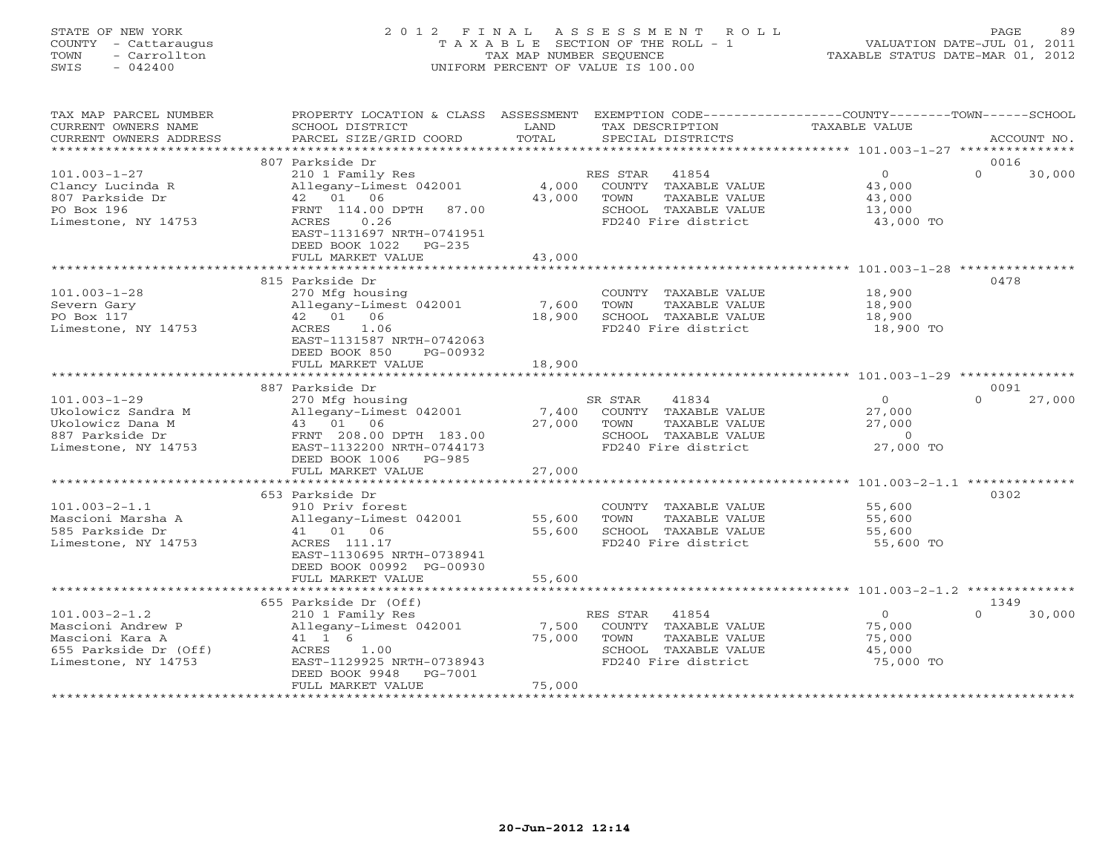# STATE OF NEW YORK 2 0 1 2 F I N A L A S S E S S M E N T R O L L PAGE 89 COUNTY - Cattaraugus T A X A B L E SECTION OF THE ROLL - 1 VALUATION DATE-JUL 01, 2011 TOWN - Carrollton TAX MAP NUMBER SEQUENCE TAXABLE STATUS DATE-MAR 01, 2012 SWIS - 042400 UNIFORM PERCENT OF VALUE IS 100.00UNIFORM PERCENT OF VALUE IS 100.00

| TAX MAP PARCEL NUMBER<br>CURRENT OWNERS NAME<br>CURRENT OWNERS ADDRESS                                      | PROPERTY LOCATION & CLASS ASSESSMENT<br>SCHOOL DISTRICT<br>PARCEL SIZE/GRID COORD                                                                                                                         | LAND<br>TOTAL             | EXEMPTION CODE-----------------COUNTY-------TOWN-----SCHOOL<br>TAX DESCRIPTION<br>SPECIAL DISTRICTS               | <b>TAXABLE VALUE</b>                                  | ACCOUNT NO.                |
|-------------------------------------------------------------------------------------------------------------|-----------------------------------------------------------------------------------------------------------------------------------------------------------------------------------------------------------|---------------------------|-------------------------------------------------------------------------------------------------------------------|-------------------------------------------------------|----------------------------|
| **********************                                                                                      |                                                                                                                                                                                                           |                           |                                                                                                                   |                                                       |                            |
| $101.003 - 1 - 27$<br>Clancy Lucinda R<br>807 Parkside Dr<br>PO Box 196<br>Limestone, NY 14753              | 807 Parkside Dr<br>210 1 Family Res<br>Allegany-Limest 042001<br>42  01  06<br>FRNT 114.00 DPTH<br>87.00<br>ACRES<br>0.26<br>EAST-1131697 NRTH-0741951<br>DEED BOOK 1022<br>$PG-235$<br>FULL MARKET VALUE | 4,000<br>43,000<br>43,000 | 41854<br>RES STAR<br>COUNTY TAXABLE VALUE<br>TOWN<br>TAXABLE VALUE<br>SCHOOL TAXABLE VALUE<br>FD240 Fire district | $\circ$<br>43,000<br>43,000<br>13,000<br>43,000 TO    | 0016<br>$\Omega$<br>30,000 |
|                                                                                                             |                                                                                                                                                                                                           |                           |                                                                                                                   |                                                       |                            |
| $101.003 - 1 - 28$<br>Severn Gary<br>PO Box 117<br>Limestone, NY 14753                                      | 815 Parkside Dr<br>270 Mfg housing<br>Allegany-Limest 042001<br>42 01 06<br>ACRES<br>1.06<br>EAST-1131587 NRTH-0742063<br>DEED BOOK 850<br>PG-00932                                                       | 7,600<br>18,900           | COUNTY TAXABLE VALUE<br>TOWN<br>TAXABLE VALUE<br>SCHOOL TAXABLE VALUE<br>FD240 Fire district                      | 18,900<br>18,900<br>18,900<br>18,900 TO               | 0478                       |
|                                                                                                             | FULL MARKET VALUE                                                                                                                                                                                         | 18,900                    |                                                                                                                   |                                                       |                            |
|                                                                                                             | 887 Parkside Dr                                                                                                                                                                                           |                           |                                                                                                                   |                                                       | 0091                       |
| $101.003 - 1 - 29$<br>Ukolowicz Sandra M<br>Ukolowicz Dana M<br>887 Parkside Dr<br>Limestone, NY 14753      | 270 Mfg housing<br>Allegany-Limest 042001<br>43 01 06<br>FRNT 208.00 DPTH 183.00<br>EAST-1132200 NRTH-0744173<br>DEED BOOK 1006<br>$PG-985$                                                               | 7,400<br>27,000           | SR STAR<br>41834<br>COUNTY TAXABLE VALUE<br>TOWN<br>TAXABLE VALUE<br>SCHOOL TAXABLE VALUE<br>FD240 Fire district  | $\Omega$<br>27,000<br>27,000<br>$\Omega$<br>27,000 TO | $\Omega$<br>27,000         |
|                                                                                                             | FULL MARKET VALUE                                                                                                                                                                                         | 27,000                    |                                                                                                                   |                                                       |                            |
| $101.003 - 2 - 1.1$<br>Mascioni Marsha A<br>585 Parkside Dr<br>Limestone, NY 14753                          | ***************************<br>653 Parkside Dr<br>910 Priv forest<br>Allegany-Limest 042001<br>06<br>41 01<br>ACRES 111.17<br>EAST-1130695 NRTH-0738941<br>DEED BOOK 00992 PG-00930                       | 55,600<br>55,600          | COUNTY TAXABLE VALUE<br>TOWN<br>TAXABLE VALUE<br>SCHOOL TAXABLE VALUE<br>FD240 Fire district                      | 55,600<br>55,600<br>55,600<br>55,600 TO               | 0302                       |
|                                                                                                             | FULL MARKET VALUE                                                                                                                                                                                         | 55,600                    |                                                                                                                   |                                                       |                            |
|                                                                                                             | 655 Parkside Dr (Off)                                                                                                                                                                                     |                           |                                                                                                                   |                                                       | 1349                       |
| $101.003 - 2 - 1.2$<br>Mascioni Andrew P<br>Mascioni Kara A<br>655 Parkside Dr (Off)<br>Limestone, NY 14753 | 210 1 Family Res<br>Allegany-Limest 042001<br>41 1 6<br>ACRES<br>1.00<br>EAST-1129925 NRTH-0738943<br>DEED BOOK 9948<br>PG-7001<br>FULL MARKET VALUE                                                      | 7,500<br>75,000<br>75,000 | 41854<br>RES STAR<br>COUNTY TAXABLE VALUE<br>TOWN<br>TAXABLE VALUE<br>SCHOOL TAXABLE VALUE<br>FD240 Fire district | $\Omega$<br>75,000<br>75,000<br>45,000<br>75,000 TO   | 30,000<br>$\cap$           |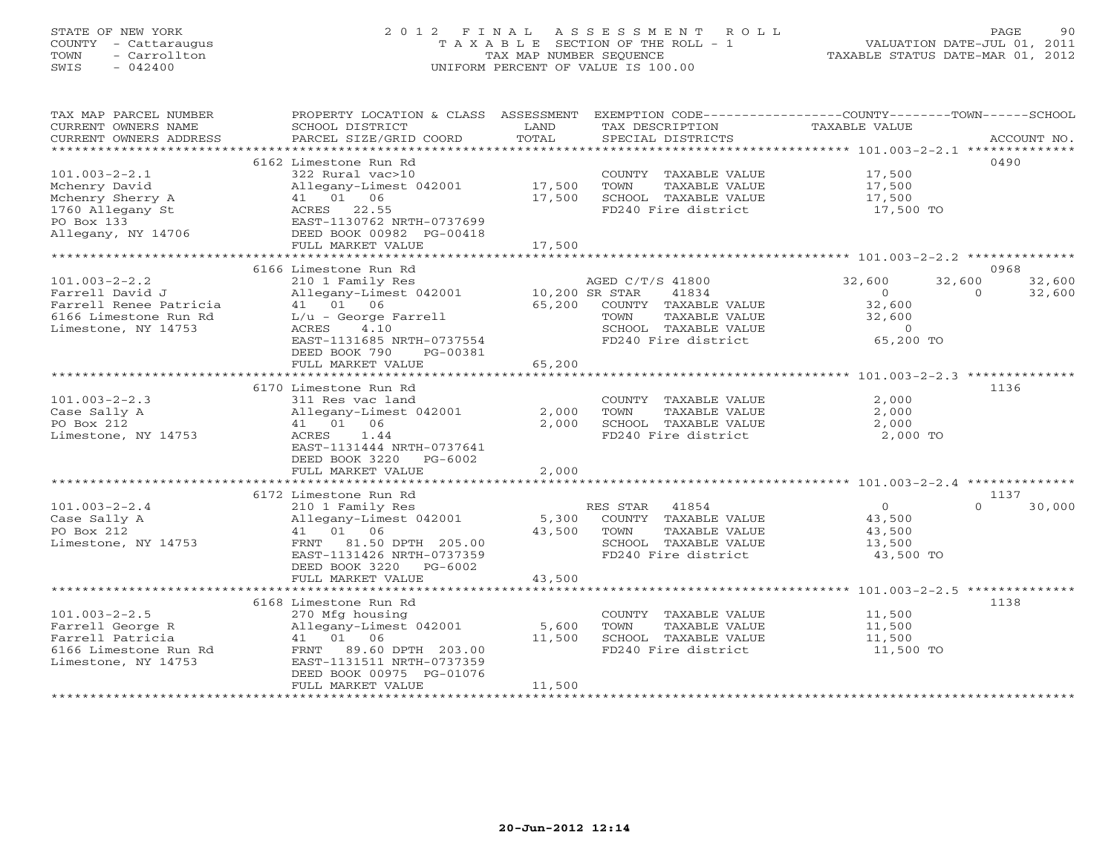# STATE OF NEW YORK 2 0 1 2 F I N A L A S S E S S M E N T R O L L PAGE 90 COUNTY - Cattaraugus T A X A B L E SECTION OF THE ROLL - 1 VALUATION DATE-JUL 01, 2011 TOWN - Carrollton TAX MAP NUMBER SEQUENCE TAXABLE STATUS DATE-MAR 01, 2012 SWIS - 042400 UNIFORM PERCENT OF VALUE IS 100.00UNIFORM PERCENT OF VALUE IS 100.00

| TAX MAP PARCEL NUMBER  | PROPERTY LOCATION & CLASS ASSESSMENT |                | EXEMPTION CODE-----------------COUNTY-------TOWN------SCHOOL |               |                    |
|------------------------|--------------------------------------|----------------|--------------------------------------------------------------|---------------|--------------------|
| CURRENT OWNERS NAME    | SCHOOL DISTRICT                      | LAND           | TAX DESCRIPTION                                              | TAXABLE VALUE |                    |
| CURRENT OWNERS ADDRESS | PARCEL SIZE/GRID COORD               | TOTAL          | SPECIAL DISTRICTS                                            |               | ACCOUNT NO.        |
| ********************** |                                      |                |                                                              |               |                    |
|                        | 6162 Limestone Run Rd                |                |                                                              |               | 0490               |
| $101.003 - 2 - 2.1$    | 322 Rural vac>10                     |                | COUNTY TAXABLE VALUE                                         | 17,500        |                    |
| Mchenry David          | Allegany-Limest 042001               | 17,500         | TOWN<br>TAXABLE VALUE                                        | 17,500        |                    |
| Mchenry Sherry A       | 41 01 06                             | 17,500         | SCHOOL TAXABLE VALUE                                         | 17,500        |                    |
| 1760 Allegany St       | ACRES 22.55                          |                | FD240 Fire district                                          | 17,500 TO     |                    |
| PO Box 133             | EAST-1130762 NRTH-0737699            |                |                                                              |               |                    |
| Allegany, NY 14706     | DEED BOOK 00982 PG-00418             |                |                                                              |               |                    |
|                        | FULL MARKET VALUE                    | 17,500         |                                                              |               |                    |
|                        |                                      |                |                                                              |               |                    |
|                        | 6166 Limestone Run Rd                |                |                                                              |               | 0968               |
| $101.003 - 2 - 2.2$    | 210 1 Family Res                     |                | AGED C/T/S 41800                                             | 32,600        | 32,600<br>32,600   |
| Farrell David J        | Allegany-Limest 042001               | 10,200 SR STAR | 41834                                                        | $\Omega$      | 32,600<br>$\Omega$ |
| Farrell Renee Patricia | 41 01 06                             | 65,200         | COUNTY TAXABLE VALUE                                         | 32,600        |                    |
| 6166 Limestone Run Rd  | L/u - George Farrell                 |                | TOWN<br>TAXABLE VALUE                                        | 32,600        |                    |
| Limestone, NY 14753    | ACRES<br>4.10                        |                | SCHOOL TAXABLE VALUE                                         | $\circ$       |                    |
|                        | EAST-1131685 NRTH-0737554            |                | FD240 Fire district                                          | 65,200 TO     |                    |
|                        | DEED BOOK 790<br>PG-00381            |                |                                                              |               |                    |
|                        | FULL MARKET VALUE                    | 65,200         |                                                              |               |                    |
|                        | ****************************         |                |                                                              |               |                    |
|                        | 6170 Limestone Run Rd                |                |                                                              |               | 1136               |
| $101.003 - 2 - 2.3$    | 311 Res vac land                     |                | COUNTY TAXABLE VALUE                                         | 2,000         |                    |
| Case Sally A           | Allegany-Limest 042001               | 2,000          | TOWN<br>TAXABLE VALUE                                        | 2,000         |                    |
| PO Box 212             | 41 01 06                             | 2,000          | SCHOOL TAXABLE VALUE                                         | 2,000         |                    |
| Limestone, NY 14753    | 1.44<br>ACRES                        |                | FD240 Fire district                                          | 2,000 TO      |                    |
|                        | EAST-1131444 NRTH-0737641            |                |                                                              |               |                    |
|                        | DEED BOOK 3220<br>PG-6002            |                |                                                              |               |                    |
|                        | FULL MARKET VALUE                    | 2,000          |                                                              |               |                    |
|                        | ***********************              | ************   |                                                              |               |                    |
|                        | 6172 Limestone Run Rd                |                |                                                              |               | 1137               |
| $101.003 - 2 - 2.4$    | 210 1 Family Res                     |                | RES STAR<br>41854                                            | $\circ$       | 30,000             |
| Case Sally A           | Allegany-Limest 042001               | 5,300          | COUNTY TAXABLE VALUE                                         | 43,500        |                    |
| PO Box 212             | 41 01 06                             | 43,500         | TOWN<br>TAXABLE VALUE                                        | 43,500        |                    |
| Limestone, NY 14753    | 81.50 DPTH 205.00<br>FRNT            |                | SCHOOL TAXABLE VALUE                                         | 13,500        |                    |
|                        | EAST-1131426 NRTH-0737359            |                | FD240 Fire district                                          | 43,500 TO     |                    |
|                        | DEED BOOK 3220<br>PG-6002            |                |                                                              |               |                    |
|                        | FULL MARKET VALUE                    | 43,500         |                                                              |               |                    |
|                        |                                      |                |                                                              |               |                    |
|                        | 6168 Limestone Run Rd                |                |                                                              |               | 1138               |
| $101.003 - 2 - 2.5$    | 270 Mfg housing                      |                | COUNTY TAXABLE VALUE                                         | 11,500        |                    |
| Farrell George R       | Allegany-Limest 042001               | 5,600          | TOWN<br>TAXABLE VALUE                                        | 11,500        |                    |
| Farrell Patricia       | 41 01 06                             | 11,500         | SCHOOL TAXABLE VALUE                                         | 11,500        |                    |
| 6166 Limestone Run Rd  | FRNT 89.60 DPTH 203.00               |                | FD240 Fire district                                          | 11,500 TO     |                    |
| Limestone, NY 14753    | EAST-1131511 NRTH-0737359            |                |                                                              |               |                    |
|                        | DEED BOOK 00975 PG-01076             |                |                                                              |               |                    |
|                        | FULL MARKET VALUE                    | 11,500         |                                                              |               |                    |
|                        |                                      |                |                                                              |               |                    |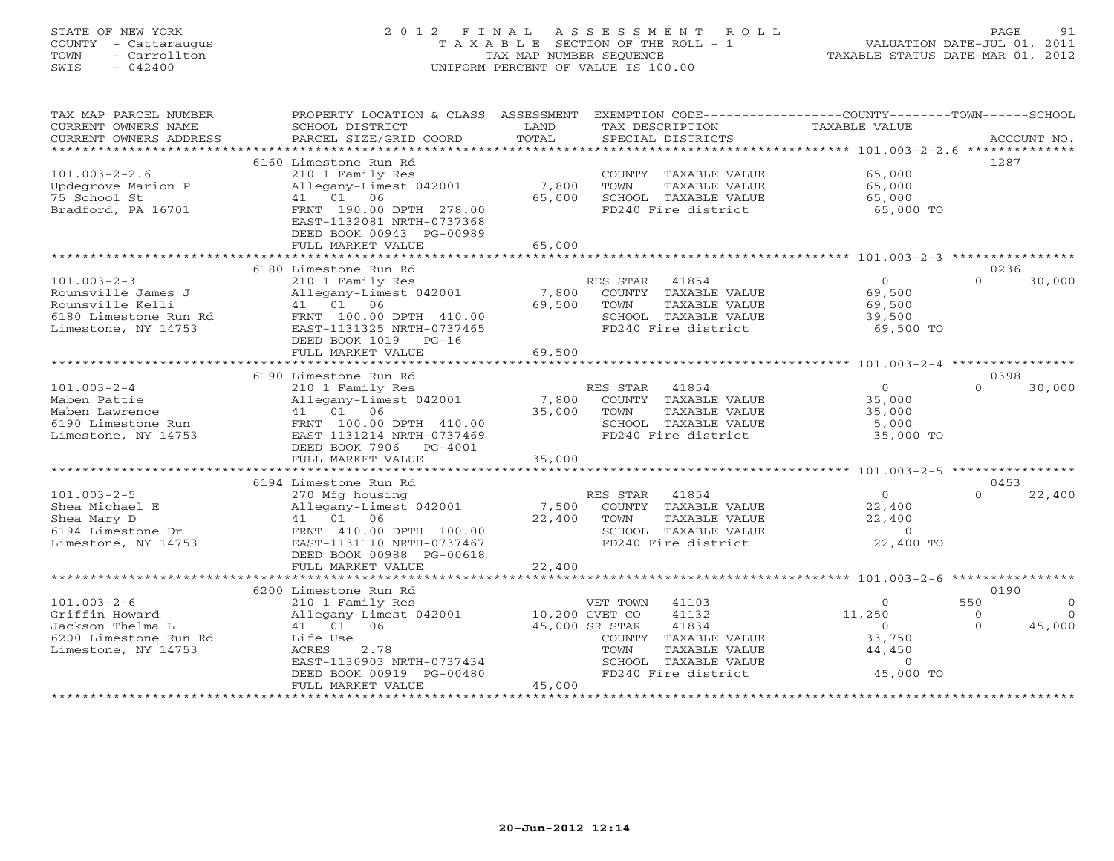# STATE OF NEW YORK 2 0 1 2 F I N A L A S S E S S M E N T R O L L PAGE 91 COUNTY - Cattaraugus T A X A B L E SECTION OF THE ROLL - 1 VALUATION DATE-JUL 01, 2011 TOWN - Carrollton TAX MAP NUMBER SEQUENCE TAXABLE STATUS DATE-MAR 01, 2012 SWIS - 042400 UNIFORM PERCENT OF VALUE IS 100.00UNIFORM PERCENT OF VALUE IS 100.00

| TAX MAP PARCEL NUMBER<br>CURRENT OWNERS NAME<br>CURRENT OWNERS ADDRESS | PROPERTY LOCATION & CLASS ASSESSMENT<br>SCHOOL DISTRICT<br>PARCEL SIZE/GRID COORD | LAND<br>TOTAL   | EXEMPTION CODE-----------------COUNTY-------TOWN------SCHOOL<br>TAX DESCRIPTION<br>SPECIAL DISTRICTS | <b>TAXABLE VALUE</b> | ACCOUNT NO.          |
|------------------------------------------------------------------------|-----------------------------------------------------------------------------------|-----------------|------------------------------------------------------------------------------------------------------|----------------------|----------------------|
| ***********************                                                |                                                                                   |                 |                                                                                                      |                      |                      |
|                                                                        | 6160 Limestone Run Rd                                                             |                 |                                                                                                      |                      | 1287                 |
| $101.003 - 2 - 2.6$                                                    | 210 1 Family Res                                                                  |                 | COUNTY TAXABLE VALUE                                                                                 | 65,000               |                      |
| Updegrove Marion P                                                     | Allegany-Limest 042001                                                            | 7,800           | TOWN<br>TAXABLE VALUE                                                                                | 65,000               |                      |
| 75 School St                                                           | 01 06<br>41                                                                       | 65,000          | SCHOOL TAXABLE VALUE<br>FD240 Fire district                                                          | 65,000               |                      |
| Bradford, PA 16701                                                     | FRNT 190.00 DPTH 278.00<br>EAST-1132081 NRTH-0737368                              |                 |                                                                                                      | 65,000 TO            |                      |
|                                                                        | DEED BOOK 00943 PG-00989<br>FULL MARKET VALUE                                     | 65,000          |                                                                                                      |                      |                      |
|                                                                        | ************************                                                          |                 |                                                                                                      |                      |                      |
|                                                                        | 6180 Limestone Run Rd                                                             |                 |                                                                                                      |                      | 0236                 |
| $101.003 - 2 - 3$                                                      | 210 1 Family Res                                                                  |                 | RES STAR<br>41854                                                                                    | $\circ$              | $\Omega$<br>30,000   |
| Rounsville James J                                                     | Allegany-Limest 042001                                                            | 7,800           | COUNTY TAXABLE VALUE                                                                                 | 69,500               |                      |
| Rounsville Kelli                                                       | 41 01 06                                                                          | 69,500          | TOWN<br>TAXABLE VALUE                                                                                | 69,500               |                      |
| 6180 Limestone Run Rd                                                  | FRNT 100.00 DPTH 410.00                                                           |                 | SCHOOL TAXABLE VALUE                                                                                 | 39,500               |                      |
| Limestone, NY 14753                                                    | EAST-1131325 NRTH-0737465                                                         |                 | FD240 Fire district                                                                                  | 69,500 TO            |                      |
|                                                                        | DEED BOOK 1019 PG-16                                                              |                 |                                                                                                      |                      |                      |
|                                                                        | FULL MARKET VALUE                                                                 | 69,500          |                                                                                                      |                      |                      |
|                                                                        | 6190 Limestone Run Rd                                                             |                 |                                                                                                      |                      | 0398                 |
| $101.003 - 2 - 4$                                                      | 210 1 Family Res                                                                  |                 | RES STAR<br>41854                                                                                    | $\Omega$             | $\Omega$<br>30,000   |
| Maben Pattie                                                           | Allegany-Limest 042001                                                            | 7,800           | COUNTY TAXABLE VALUE                                                                                 | 35,000               |                      |
| Maben Lawrence                                                         | 41 01 06                                                                          | 35,000          | TOWN<br>TAXABLE VALUE                                                                                | 35,000               |                      |
| 6190 Limestone Run                                                     | FRNT 100.00 DPTH 410.00                                                           |                 | SCHOOL TAXABLE VALUE                                                                                 | 5,000                |                      |
| Limestone, NY 14753                                                    | EAST-1131214 NRTH-0737469                                                         |                 | FD240 Fire district                                                                                  | 35,000 TO            |                      |
|                                                                        | DEED BOOK 7906<br>PG-4001                                                         |                 |                                                                                                      |                      |                      |
|                                                                        | FULL MARKET VALUE                                                                 | 35,000          |                                                                                                      |                      |                      |
|                                                                        |                                                                                   |                 |                                                                                                      |                      |                      |
|                                                                        | 6194 Limestone Run Rd                                                             |                 |                                                                                                      | $\Omega$             | 0453                 |
| $101.003 - 2 - 5$                                                      | 270 Mfg housing                                                                   |                 | RES STAR<br>41854                                                                                    |                      | $\Omega$<br>22,400   |
| Shea Michael E<br>Shea Mary D                                          | Allegany-Limest 042001<br>41 01 06                                                | 7,500<br>22,400 | COUNTY TAXABLE VALUE<br>TOWN<br>TAXABLE VALUE                                                        | 22,400<br>22,400     |                      |
| 6194 Limestone Dr                                                      | FRNT 410.00 DPTH 100.00                                                           |                 | SCHOOL TAXABLE VALUE                                                                                 | $\Omega$             |                      |
| Limestone, NY 14753                                                    | EAST-1131110 NRTH-0737467                                                         |                 | FD240 Fire district                                                                                  | 22,400 TO            |                      |
|                                                                        | DEED BOOK 00988 PG-00618                                                          |                 |                                                                                                      |                      |                      |
|                                                                        | FULL MARKET VALUE                                                                 | 22,400          |                                                                                                      |                      |                      |
|                                                                        |                                                                                   |                 |                                                                                                      |                      |                      |
|                                                                        | 6200 Limestone Run Rd                                                             |                 |                                                                                                      |                      | 0190                 |
| $101.003 - 2 - 6$                                                      | 210 1 Family Res                                                                  |                 | VET TOWN<br>41103                                                                                    | $\Omega$             | 550<br>$\Omega$      |
| Griffin Howard                                                         | Allegany-Limest 042001                                                            | 10,200 CVET CO  | 41132                                                                                                | 11,250               | $\Omega$<br>$\Omega$ |
| Jackson Thelma L                                                       | 41 01 06                                                                          |                 | 41834<br>45,000 SR STAR                                                                              | $\circ$              | 45,000<br>$\Omega$   |
| 6200 Limestone Run Rd<br>Limestone, NY 14753                           | Life Use<br>2.78<br>ACRES                                                         |                 | COUNTY TAXABLE VALUE<br>TOWN<br>TAXABLE VALUE                                                        | 33,750<br>44,450     |                      |
|                                                                        | EAST-1130903 NRTH-0737434                                                         |                 | SCHOOL TAXABLE VALUE                                                                                 | $\mathbf{0}$         |                      |
|                                                                        | DEED BOOK 00919 PG-00480                                                          |                 | FD240 Fire district                                                                                  | 45,000 TO            |                      |
|                                                                        | FULL MARKET VALUE                                                                 | 45,000          |                                                                                                      |                      |                      |
|                                                                        |                                                                                   |                 |                                                                                                      |                      |                      |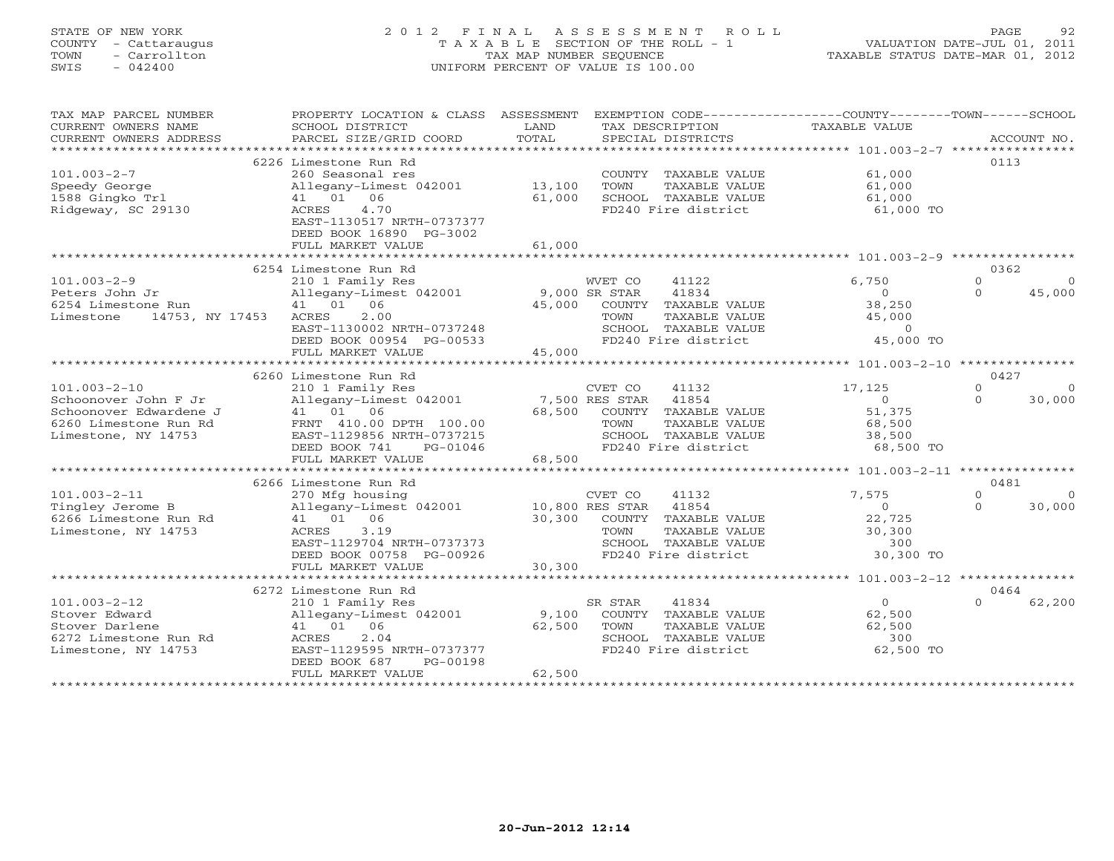# STATE OF NEW YORK 2 0 1 2 F I N A L A S S E S S M E N T R O L L PAGE 92 COUNTY - Cattaraugus T A X A B L E SECTION OF THE ROLL - 1 VALUATION DATE-JUL 01, 2011 TOWN - Carrollton TAX MAP NUMBER SEQUENCE TAXABLE STATUS DATE-MAR 01, 2012 SWIS - 042400 UNIFORM PERCENT OF VALUE IS 100.00UNIFORM PERCENT OF VALUE IS 100.00

| TAX MAP PARCEL NUMBER<br>CURRENT OWNERS NAME<br>CURRENT OWNERS ADDRESS<br>*************************                  | PROPERTY LOCATION & CLASS ASSESSMENT<br>SCHOOL DISTRICT<br>PARCEL SIZE/GRID COORD                                                                                                                              | LAND<br>TOTAL              | EXEMPTION CODE-----------------COUNTY-------TOWN------SCHOOL<br>TAX DESCRIPTION<br>SPECIAL DISTRICTS                                                                    | <b>TAXABLE VALUE</b>                                                                                         | ACCOUNT NO.                                        |
|----------------------------------------------------------------------------------------------------------------------|----------------------------------------------------------------------------------------------------------------------------------------------------------------------------------------------------------------|----------------------------|-------------------------------------------------------------------------------------------------------------------------------------------------------------------------|--------------------------------------------------------------------------------------------------------------|----------------------------------------------------|
| $101.003 - 2 - 7$<br>Speedy George<br>1588 Gingko Trl<br>Ridgeway, SC 29130                                          | 6226 Limestone Run Rd<br>260 Seasonal res<br>Allegany-Limest 042001<br>41 01 06<br><b>ACRES</b><br>4.70<br>EAST-1130517 NRTH-0737377<br>DEED BOOK 16890 PG-3002<br>FULL MARKET VALUE                           | 13,100<br>61,000<br>61,000 | COUNTY TAXABLE VALUE<br><b>TOWN</b><br>TAXABLE VALUE<br>SCHOOL TAXABLE VALUE<br>FD240 Fire district                                                                     | 61,000<br>61,000<br>61,000<br>61,000 TO                                                                      | 0113                                               |
| $101.003 - 2 - 9$<br>Peters John Jr<br>6254 Limestone Run<br>14753, NY 17453<br>Limestone                            | 6254 Limestone Run Rd<br>210 1 Family Res<br>Allegany-Limest 042001<br>41 01 06<br>2.00<br>ACRES<br>EAST-1130002 NRTH-0737248<br>DEED BOOK 00954 PG-00533<br>FULL MARKET VALUE                                 | 45,000<br>45,000           | WVET CO<br>41122<br>9,000 SR STAR<br>41834<br>COUNTY TAXABLE VALUE<br>TOWN<br>TAXABLE VALUE<br>SCHOOL TAXABLE VALUE<br>FD240 Fire district<br>************************  | 6,750<br>$\Omega$<br>38,250<br>45,000<br>$\circ$<br>45,000 TO<br>************* 101.003-2-10 **************** | 0362<br>$\Omega$<br>45,000<br>$\Omega$             |
| $101.003 - 2 - 10$<br>Schoonover John F Jr<br>Schoonover Edwardene J<br>6260 Limestone Run Rd<br>Limestone, NY 14753 | 6260 Limestone Run Rd<br>210 1 Family Res<br>Allegany-Limest 042001<br>41 01 06<br>FRNT 410.00 DPTH 100.00<br>EAST-1129856 NRTH-0737215<br>DEED BOOK 741<br>PG-01046<br>FULL MARKET VALUE                      | 68,500<br>68,500           | CVET CO<br>41132<br>41854<br>7,500 RES STAR<br>COUNTY<br>TAXABLE VALUE<br>TOWN<br>TAXABLE VALUE<br>SCHOOL TAXABLE VALUE<br>FD240 Fire district                          | 17,125<br>$\Omega$<br>51,375<br>68,500<br>38,500<br>68,500 TO                                                | 0427<br>$\Omega$<br>30,000<br>$\Omega$             |
| $101.003 - 2 - 11$<br>Tingley Jerome B<br>6266 Limestone Run Rd<br>Limestone, NY 14753                               | **************************<br>6266 Limestone Run Rd<br>270 Mfg housing<br>Allegany-Limest 042001<br>41 01 06<br>3.19<br>ACRES<br>EAST-1129704 NRTH-0737373<br>DEED BOOK 00758 PG-00926<br>FULL MARKET VALUE    | 30,300<br>30,300           | ***********************<br>41132<br>CVET CO<br>10,800 RES STAR<br>41854<br>COUNTY TAXABLE VALUE<br>TOWN<br>TAXABLE VALUE<br>SCHOOL TAXABLE VALUE<br>FD240 Fire district | ************** 101.003-2-11 ****************<br>7,575<br>$\Omega$<br>22,725<br>30,300<br>300<br>30,300 TO    | 0481<br>$\Omega$<br>$\Omega$<br>30,000<br>$\Omega$ |
| $101.003 - 2 - 12$<br>Stover Edward<br>Stover Darlene<br>6272 Limestone Run Rd<br>Limestone, NY 14753                | 6272 Limestone Run Rd<br>210 1 Family Res<br>Allegany-Limest 042001<br>41 01 06<br>2.04<br>ACRES<br>EAST-1129595 NRTH-0737377<br>DEED BOOK 687<br>PG-00198<br>FULL MARKET VALUE<br>*************************** | 9,100<br>62,500<br>62,500  | SR STAR<br>41834<br>COUNTY TAXABLE VALUE<br>TOWN<br>TAXABLE VALUE<br>SCHOOL TAXABLE VALUE<br>FD240 Fire district                                                        | $\Omega$<br>62,500<br>62,500<br>300<br>62,500 TO                                                             | 0464<br>62,200<br>$\cap$                           |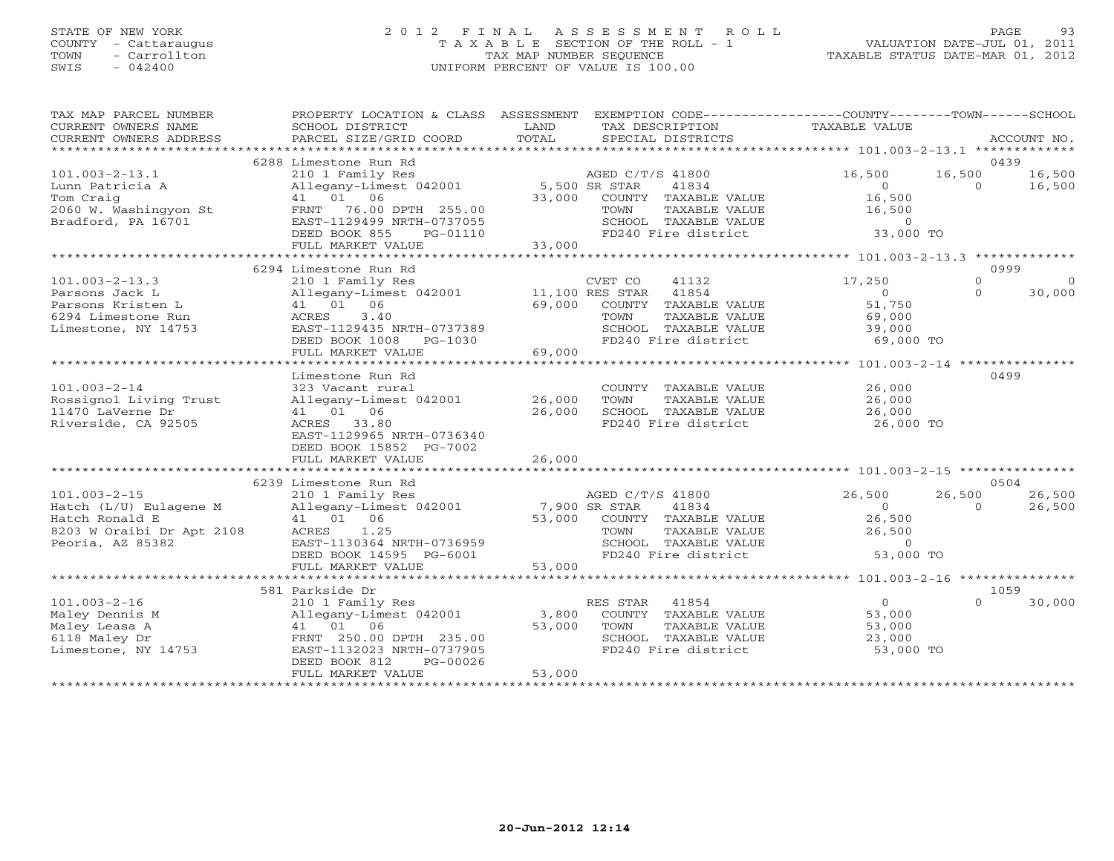# STATE OF NEW YORK 2 0 1 2 F I N A L A S S E S S M E N T R O L L PAGE 93 COUNTY - Cattaraugus T A X A B L E SECTION OF THE ROLL - 1 VALUATION DATE-JUL 01, 2011 TOWN - Carrollton TAX MAP NUMBER SEQUENCE TAXABLE STATUS DATE-MAR 01, 2012 SWIS - 042400 UNIFORM PERCENT OF VALUE IS 100.00UNIFORM PERCENT OF VALUE IS 100.00

| TAX MAP PARCEL NUMBER<br>CURRENT OWNERS NAME<br>CURRENT OWNERS ADDRESS | PROPERTY LOCATION & CLASS ASSESSMENT<br>SCHOOL DISTRICT<br>PARCEL SIZE/GRID COORD | LAND<br>TOTAL | EXEMPTION CODE-----------------COUNTY-------TOWN------SCHOOL<br>TAX DESCRIPTION<br>SPECIAL DISTRICTS | <b>TAXABLE VALUE</b> |                  | ACCOUNT NO. |
|------------------------------------------------------------------------|-----------------------------------------------------------------------------------|---------------|------------------------------------------------------------------------------------------------------|----------------------|------------------|-------------|
| ***********************                                                |                                                                                   |               |                                                                                                      |                      |                  |             |
|                                                                        | 6288 Limestone Run Rd                                                             |               |                                                                                                      |                      | 0439             |             |
| $101.003 - 2 - 13.1$                                                   | 210 1 Family Res                                                                  |               | AGED C/T/S 41800                                                                                     | 16,500               | 16,500           | 16,500      |
| Lunn Patricia A                                                        | Allegany-Limest 042001                                                            |               | 5,500 SR STAR<br>41834                                                                               | $\Omega$             | $\Omega$         | 16,500      |
| Tom Craig                                                              | 41 01 06                                                                          | 33,000        | COUNTY TAXABLE VALUE                                                                                 | 16,500               |                  |             |
| 2060 W. Washingyon St                                                  | FRNT 76.00 DPTH 255.00                                                            |               | <b>TOWN</b><br>TAXABLE VALUE                                                                         | 16,500               |                  |             |
| Bradford, PA 16701                                                     | EAST-1129499 NRTH-0737055                                                         |               | SCHOOL TAXABLE VALUE                                                                                 | $\Omega$             |                  |             |
|                                                                        | DEED BOOK 855<br>PG-01110                                                         |               | FD240 Fire district                                                                                  | 33,000 TO            |                  |             |
|                                                                        | FULL MARKET VALUE                                                                 | 33,000        |                                                                                                      |                      |                  |             |
|                                                                        |                                                                                   |               |                                                                                                      |                      |                  |             |
|                                                                        | 6294 Limestone Run Rd                                                             |               |                                                                                                      |                      | 0999             |             |
| $101.003 - 2 - 13.3$                                                   | 210 1 Family Res                                                                  |               | CVET CO<br>41132                                                                                     | 17,250               | $\Omega$         | $\Omega$    |
| Parsons Jack L                                                         | Allegany-Limest 042001                                                            |               | 11,100 RES STAR<br>41854                                                                             | $\Omega$             | $\Omega$         | 30,000      |
| Parsons Kristen L                                                      | 41 01 06                                                                          | 69,000        | COUNTY TAXABLE VALUE                                                                                 | 51,750               |                  |             |
| 6294 Limestone Run                                                     | 3.40<br>ACRES                                                                     |               | TOWN<br>TAXABLE VALUE                                                                                | 69,000               |                  |             |
| Limestone, NY 14753                                                    | EAST-1129435 NRTH-0737389<br>$PG-1030$                                            |               | SCHOOL TAXABLE VALUE<br>FD240 Fire district                                                          | 39,000<br>69,000 TO  |                  |             |
|                                                                        | DEED BOOK 1008<br>FULL MARKET VALUE                                               | 69,000        |                                                                                                      |                      |                  |             |
|                                                                        |                                                                                   |               |                                                                                                      |                      |                  |             |
|                                                                        | Limestone Run Rd                                                                  |               |                                                                                                      |                      | 0499             |             |
| $101.003 - 2 - 14$                                                     | 323 Vacant rural                                                                  |               | COUNTY TAXABLE VALUE                                                                                 | 26,000               |                  |             |
| Rossignol Living Trust                                                 | Allegany-Limest 042001                                                            | 26,000        | TOWN<br>TAXABLE VALUE                                                                                | 26,000               |                  |             |
| 11470 LaVerne Dr                                                       | 41 01 06                                                                          | 26,000        | SCHOOL TAXABLE VALUE                                                                                 | 26,000               |                  |             |
| Riverside, CA 92505                                                    | ACRES<br>33.80                                                                    |               | FD240 Fire district                                                                                  | 26,000 TO            |                  |             |
|                                                                        | EAST-1129965 NRTH-0736340                                                         |               |                                                                                                      |                      |                  |             |
|                                                                        | DEED BOOK 15852 PG-7002                                                           |               |                                                                                                      |                      |                  |             |
|                                                                        | FULL MARKET VALUE                                                                 | 26,000        |                                                                                                      |                      |                  |             |
|                                                                        |                                                                                   |               |                                                                                                      |                      |                  |             |
|                                                                        | 6239 Limestone Run Rd                                                             |               |                                                                                                      |                      | 0504             |             |
| $101.003 - 2 - 15$                                                     | 210 1 Family Res                                                                  |               | AGED C/T/S 41800                                                                                     | 26,500               | 26,500           | 26,500      |
| Hatch (L/U) Eulagene M                                                 | Allegany-Limest 042001                                                            |               | 7,900 SR STAR<br>41834                                                                               | $\Omega$             | $\Omega$         | 26,500      |
| Hatch Ronald E                                                         | 41  01  06                                                                        | 53,000        | COUNTY TAXABLE VALUE                                                                                 | 26,500               |                  |             |
| 8203 W Oraibi Dr Apt 2108                                              | 1.25<br>ACRES                                                                     |               | TOWN<br>TAXABLE VALUE                                                                                | 26,500               |                  |             |
| Peoria, AZ 85382                                                       | EAST-1130364 NRTH-0736959                                                         |               | SCHOOL TAXABLE VALUE                                                                                 | $\Omega$             |                  |             |
|                                                                        | DEED BOOK 14595 PG-6001                                                           |               | FD240 Fire district                                                                                  | 53,000 TO            |                  |             |
|                                                                        | FULL MARKET VALUE                                                                 | 53,000        |                                                                                                      |                      |                  |             |
|                                                                        |                                                                                   |               |                                                                                                      |                      |                  |             |
|                                                                        | 581 Parkside Dr                                                                   |               |                                                                                                      |                      | 1059<br>$\Omega$ |             |
| $101.003 - 2 - 16$                                                     | 210 1 Family Res                                                                  |               | RES STAR<br>41854                                                                                    | $\circ$              |                  | 30,000      |
| Maley Dennis M                                                         | Allegany-Limest 042001<br>41 01 06                                                | 3,800         | COUNTY TAXABLE VALUE                                                                                 | 53,000               |                  |             |
| Maley Leasa A<br>6118 Maley Dr                                         | FRNT 250.00 DPTH 235.00                                                           | 53,000        | TOWN<br>TAXABLE VALUE<br>SCHOOL TAXABLE VALUE                                                        | 53,000<br>23,000     |                  |             |
| Limestone, NY 14753                                                    | EAST-1132023 NRTH-0737905                                                         |               | FD240 Fire district                                                                                  | 53,000 TO            |                  |             |
|                                                                        | DEED BOOK 812<br>PG-00026                                                         |               |                                                                                                      |                      |                  |             |
|                                                                        | FULL MARKET VALUE                                                                 | 53,000        |                                                                                                      |                      |                  |             |
|                                                                        |                                                                                   |               |                                                                                                      |                      |                  |             |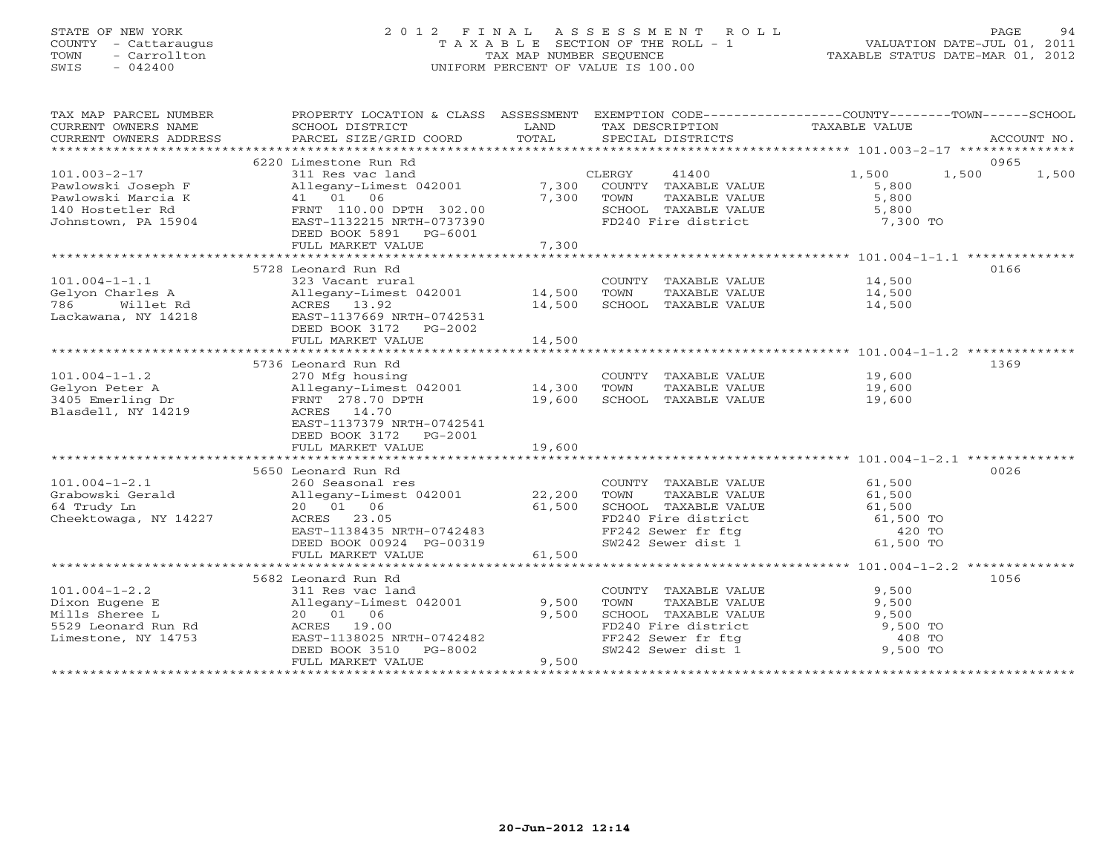# STATE OF NEW YORK 2 0 1 2 F I N A L A S S E S S M E N T R O L L PAGE 94 COUNTY - Cattaraugus T A X A B L E SECTION OF THE ROLL - 1 VALUATION DATE-JUL 01, 2011 TOWN - Carrollton TAX MAP NUMBER SEQUENCE TAXABLE STATUS DATE-MAR 01, 2012 SWIS - 042400 UNIFORM PERCENT OF VALUE IS 100.00UNIFORM PERCENT OF VALUE IS 100.00

| TAX MAP PARCEL NUMBER<br>CURRENT OWNERS NAME | PROPERTY LOCATION & CLASS ASSESSMENT EXEMPTION CODE---------------COUNTY-------TOWN------SCHOOL<br>SCHOOL DISTRICT | LAND   | TAX DESCRIPTION                                                                                                             | TAXABLE VALUE    |             |
|----------------------------------------------|--------------------------------------------------------------------------------------------------------------------|--------|-----------------------------------------------------------------------------------------------------------------------------|------------------|-------------|
| CURRENT OWNERS ADDRESS                       | PARCEL SIZE/GRID COORD                                                                                             | TOTAL  | SPECIAL DISTRICTS                                                                                                           |                  | ACCOUNT NO. |
|                                              |                                                                                                                    |        |                                                                                                                             |                  | 0965        |
| $101.003 - 2 - 17$                           | 6220 Limestone Run Rd<br>311 Res vac land                                                                          |        | 41400<br>CLERGY                                                                                                             | 1,500<br>1,500   | 1,500       |
| Pawlowski Joseph F                           | Allegany-Limest 042001                                                                                             | 7,300  | COUNTY TAXABLE VALUE                                                                                                        | 5,800            |             |
| Pawlowski Marcia K                           | 41 01 06                                                                                                           | 7,300  | TOWN<br>TAXABLE VALUE                                                                                                       | 5,800            |             |
| 140 Hostetler Rd                             | FRNT 110.00 DPTH 302.00                                                                                            |        | SCHOOL TAXABLE VALUE                                                                                                        | 5,800            |             |
| Johnstown, PA 15904                          | EAST-1132215 NRTH-0737390                                                                                          |        | FD240 Fire district 7,300 TO                                                                                                |                  |             |
|                                              | DEED BOOK 5891 PG-6001                                                                                             |        |                                                                                                                             |                  |             |
|                                              | FULL MARKET VALUE                                                                                                  | 7,300  |                                                                                                                             |                  |             |
|                                              |                                                                                                                    |        |                                                                                                                             |                  |             |
|                                              | 5728 Leonard Run Rd                                                                                                |        |                                                                                                                             |                  | 0166        |
| $101.004 - 1 - 1.1$                          | 323 Vacant rural                                                                                                   |        | COUNTY TAXABLE VALUE                                                                                                        |                  |             |
| Gelyon Charles A                             | Allegany-Limest 042001 14,500                                                                                      |        | TOWN<br>TAXABLE VALUE                                                                                                       | 14,500<br>14,500 |             |
| 786<br>Willet Rd                             | ACRES 13.92                                                                                                        | 14,500 | SCHOOL TAXABLE VALUE                                                                                                        | 14,500           |             |
| Lackawana, NY 14218                          | EAST-1137669 NRTH-0742531                                                                                          |        |                                                                                                                             |                  |             |
|                                              | DEED BOOK 3172    PG-2002                                                                                          |        |                                                                                                                             |                  |             |
|                                              |                                                                                                                    |        |                                                                                                                             |                  |             |
|                                              |                                                                                                                    |        |                                                                                                                             |                  |             |
|                                              | 5736 Leonard Run Rd                                                                                                |        |                                                                                                                             |                  | 1369        |
| $101.004 - 1 - 1.2$                          | 270 Mfg housing                                                                                                    |        | COUNTY TAXABLE VALUE                                                                                                        | 19,600           |             |
| Gelyon Peter A                               | Allegany-Limest 042001 14,300                                                                                      |        | TOWN<br>TAXABLE VALUE                                                                                                       | 19,600           |             |
| 3405 Emerling Dr                             | FRNT 278.70 DPTH                                                                                                   | 19,600 | SCHOOL TAXABLE VALUE                                                                                                        | 19,600           |             |
| Blasdell, NY 14219                           | ACRES 14.70                                                                                                        |        |                                                                                                                             |                  |             |
|                                              | EAST-1137379 NRTH-0742541                                                                                          |        |                                                                                                                             |                  |             |
|                                              | DEED BOOK 3172 PG-2001                                                                                             |        |                                                                                                                             |                  |             |
|                                              | FULL MARKET VALUE                                                                                                  | 19,600 |                                                                                                                             |                  |             |
|                                              |                                                                                                                    |        |                                                                                                                             |                  |             |
|                                              | 5650 Leonard Run Rd                                                                                                |        |                                                                                                                             |                  | 0026        |
| $101.004 - 1 - 2.1$                          | 260 Seasonal res                                                                                                   |        | COUNTY TAXABLE VALUE                                                                                                        | 61,500           |             |
| Grabowski Gerald                             | Allegany-Limest 042001 22,200                                                                                      |        | TOWN<br>TAXABLE VALUE                                                                                                       | 61,500           |             |
| 64 Trudy Ln                                  | 20 01 06                                                                                                           | 61,500 |                                                                                                                             |                  |             |
| Cheektowaga, NY 14227                        | ACRES 23.05                                                                                                        |        |                                                                                                                             |                  |             |
|                                              | EAST-1138435 NRTH-0742483                                                                                          |        |                                                                                                                             |                  |             |
|                                              | DEED BOOK 00924 PG-00319                                                                                           |        | SCHOOL TAXABLE VALUE 61,500<br>FD240 Fire district 61,500 TO<br>FF242 Sewer fr ftg (420 TO<br>SW242 Sewer dist 1 (61,500 TO |                  |             |
|                                              | FULL MARKET VALUE                                                                                                  | 61,500 |                                                                                                                             |                  |             |
|                                              |                                                                                                                    |        |                                                                                                                             |                  |             |
|                                              | 5682 Leonard Run Rd                                                                                                |        |                                                                                                                             |                  | 1056        |
| $101.004 - 1 - 2.2$                          | 311 Res vac land                                                                                                   |        | COUNTY TAXABLE VALUE                                                                                                        | 9,500            |             |
| Dixon Eugene E                               | Allegany-Limest 042001 9,500                                                                                       |        | TAXABLE VALUE<br>TOWN                                                                                                       | 9,500            |             |
| Mills Sheree L                               | 20 01 06                                                                                                           | 9,500  | SCHOOL TAXABLE VALUE<br>SCHOOL TAXABLE VALUE<br>FD240 Fire district                                                         | 9,500            |             |
| 5529 Leonard Run Rd                          | ACRES 19.00                                                                                                        |        |                                                                                                                             | 9,500 TO         |             |
| Limestone, NY 14753                          | EAST-1138025 NRTH-0742482                                                                                          |        | FF242 Sewer fr ftg<br>CW242 Sewer dist 1                                                                                    | 408 TO           |             |
|                                              | DEED BOOK 3510<br>PG-8002                                                                                          |        | SW242 Sewer dist 1                                                                                                          | 9,500 TO         |             |
|                                              | FULL MARKET VALUE                                                                                                  | 9,500  |                                                                                                                             |                  |             |
|                                              |                                                                                                                    |        |                                                                                                                             |                  |             |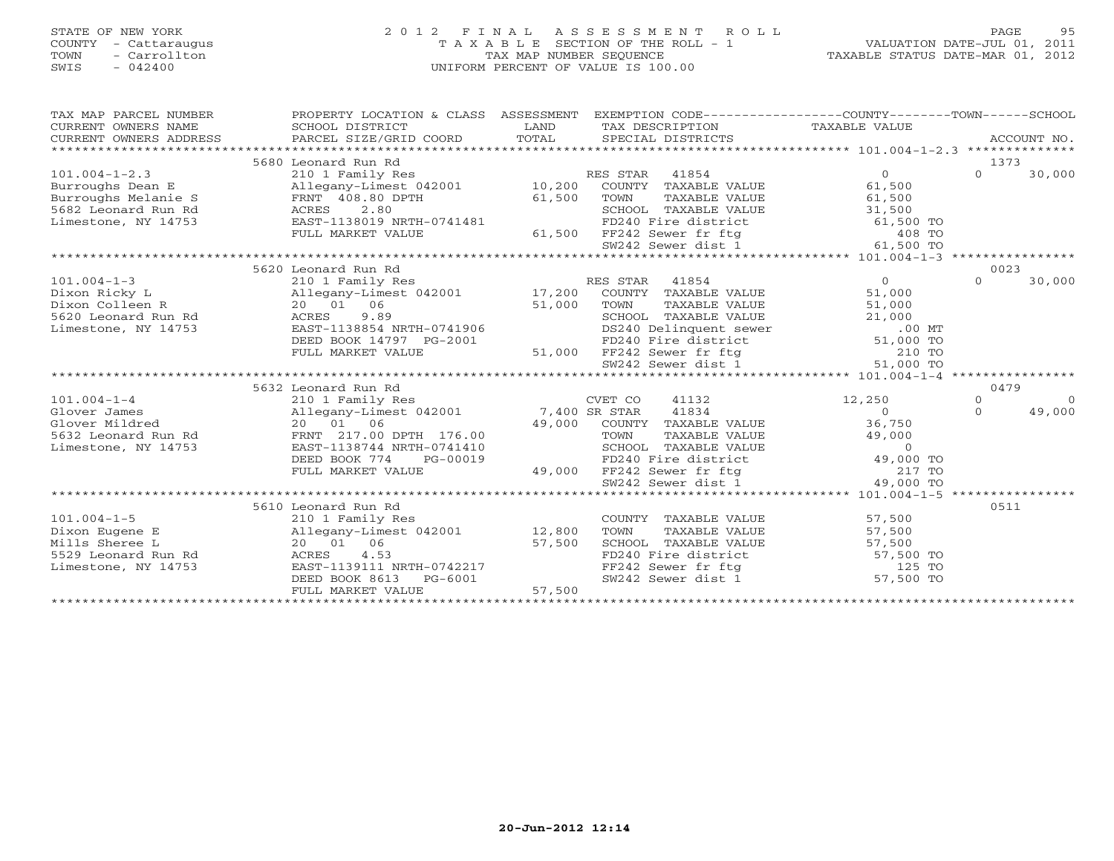### STATE OF NEW YORK 2 0 1 2 F I N A L A S S E S S M E N T R O L L PAGE 95 COUNTY - Cattaraugus T A X A B L E SECTION OF THE ROLL - 1 VALUATION DATE-JUL 01, 2011 TOWN - Carrollton TAX MAP NUMBER SEQUENCE TAXABLE STATUS DATE-MAR 01, 2012 SWIS - 042400 UNIFORM PERCENT OF VALUE IS 100.00UNIFORM PERCENT OF VALUE IS 100.00

| TAX MAP PARCEL NUMBER<br>CURRENT OWNERS NAME                                                                              | PROPERTY LOCATION & CLASS ASSESSMENT EXEMPTION CODE---------------COUNTY-------TOWN------SCHOOL<br>SCHOOL DISTRICT                                                                                                                                                                                               | LAND   | TAX DESCRIPTION TAXABLE VALUE                                                                                                                                                                                                                                                          |                              |                      | ACCOUNT NO.        |
|---------------------------------------------------------------------------------------------------------------------------|------------------------------------------------------------------------------------------------------------------------------------------------------------------------------------------------------------------------------------------------------------------------------------------------------------------|--------|----------------------------------------------------------------------------------------------------------------------------------------------------------------------------------------------------------------------------------------------------------------------------------------|------------------------------|----------------------|--------------------|
| $101.004 - 1 - 2.3$<br>Burroughs Dean E<br>Burroughs Melanie S<br>5682 Leonard Run Rd<br>Limestone, NY 14753              | 5680 Leonard Run Rd<br>210 1 Family Res<br>Allegany-Limest 042001 10,200 COUNTY TAXABLE VALUE<br>FRNT 408.80 DPTH<br>ACRES 2.80<br>EAST-1138019 NRTH-0741481<br>FIILL MARRED 123111111                                                                                                                           | 61,500 | TOWN TAXABLE VALUE<br>SCHOOL TAXABLE VALUE<br>FD240 Fire district<br>108 TO                                                                                                                                                                                                            | $0 \qquad \qquad$<br>61,500  | 1373<br>$\Omega$     | 30,000             |
|                                                                                                                           | FULL MARKET VALUE                                                                                                                                                                                                                                                                                                |        | 61,500 FF242 Sewer fr ftg (408 TO 408 TO SW242 Sewer dist 1 (61,500 TO                                                                                                                                                                                                                 |                              |                      |                    |
|                                                                                                                           | 5620 Leonard Run Rd                                                                                                                                                                                                                                                                                              |        |                                                                                                                                                                                                                                                                                        |                              | 0023                 |                    |
| $101.004 - 1 - 3$<br>Lixon Colleen R<br>5620 Leonard Run Rd<br>Limestone, NY 14753<br>E                                   | 210 1 Family Res<br>Allegany-Limest 042001 17,200 COUNTY TAXABLE VALUE<br>20 01 06 51,000 TOWN TAXABLE VALUE 51,000<br>ACRES 9.89 SCHOOL TAXABLE VALUE 51,000<br>EAST-1138854 NRTH-0741906 DS240 Delinquent sewer .00 MT<br>DEED BOOK 14797 PG-2001 FD240 Fire district 51,000 TOWN<br>FD240 Fire district 51,00 | 51,000 | RES STAR<br>41854                                                                                                                                                                                                                                                                      | $\overline{0}$<br>51,000     | $\Omega$             | 30,000             |
|                                                                                                                           |                                                                                                                                                                                                                                                                                                                  |        |                                                                                                                                                                                                                                                                                        |                              |                      |                    |
|                                                                                                                           | 5632 Leonard Run Rd                                                                                                                                                                                                                                                                                              |        |                                                                                                                                                                                                                                                                                        |                              | 0479                 |                    |
| $101.004 - 1 - 4$<br>Glover James<br>Glover Mildred<br>5632 Leonard Run Rd<br>Jimestuu Yang Run Rd<br>Limestone, NY 14753 | 210 1 Family Res CVET CO<br>Allegany-Limest 042001 7,400 SR STAR<br>20 01 06<br>FRNT 217.00 DPTH 176.00<br>EAST-1138744 NRTH-0741410<br>DEED BOOK 774<br>PG-00019                                                                                                                                                |        | 41132<br>41834<br>49,000 COUNTY TAXABLE VALUE<br>176.00<br>TOWN TAXABLE VALUE 49,000<br>0741410<br>G-00019<br>49,000 FF242 Sewer fr ftg 217 TO<br>SERIODL TAXABLE VALUE 49,000 TO<br>FD240 Fire district 49,000 TO<br>49,000 FF242 Sewer fr ftg 217 TO<br>SW242 Sewer dist 1 49,000 TO | 12,250<br>$\Omega$<br>36,750 | $\Omega$<br>$\Omega$ | $\Omega$<br>49,000 |
|                                                                                                                           | FULL MARKET VALUE                                                                                                                                                                                                                                                                                                |        |                                                                                                                                                                                                                                                                                        |                              |                      |                    |
|                                                                                                                           |                                                                                                                                                                                                                                                                                                                  |        |                                                                                                                                                                                                                                                                                        |                              |                      |                    |
| $101.004 - 1 - 5$<br>Dixon Eugene E<br>Mills Sheree L<br>5529 Leonard Run Rd<br>Limestone, NY 14753                       | 5610 Leonard Run Rd<br>210 1 Family Res<br>Allegany-Limest 042001 12,800<br>20  01  06<br>ACRES<br>4.53                                                                                                                                                                                                          | 57,500 | COUNTY TAXABLE VALUE 57,500<br>SCHOOL TAXABLE VALUE 57,500<br>FD240 Fire district 57,500 TO                                                                                                                                                                                            |                              | 0511                 |                    |
|                                                                                                                           |                                                                                                                                                                                                                                                                                                                  |        |                                                                                                                                                                                                                                                                                        |                              |                      |                    |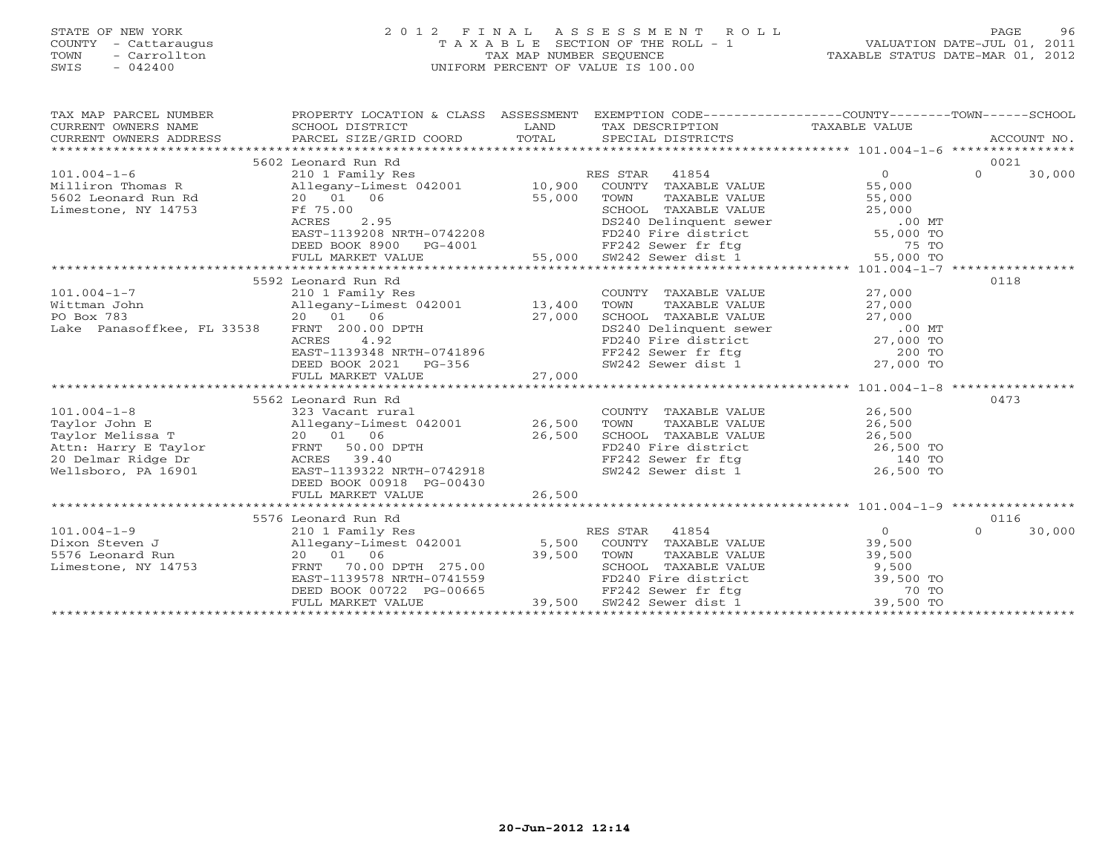### STATE OF NEW YORK 2 0 1 2 F I N A L A S S E S S M E N T R O L L PAGE 96 COUNTY - Cattaraugus T A X A B L E SECTION OF THE ROLL - 1 VALUATION DATE-JUL 01, 2011 TOWN - Carrollton TAX MAP NUMBER SEQUENCE TAXABLE STATUS DATE-MAR 01, 2012 SWIS - 042400 UNIFORM PERCENT OF VALUE IS 100.00UNIFORM PERCENT OF VALUE IS 100.00

| TAX MAP PARCEL NUMBER<br>CURRENT OWNERS NAME<br>CURRENT OWNERS ADDRESS             | PROPERTY LOCATION & CLASS ASSESSMENT EXEMPTION CODE---------------COUNTY-------TOWN------SCHOOL<br>SCHOOL DISTRICT<br>PARCEL SIZE/GRID COORD | LAND<br>TOTAL | TAX DESCRIPTION TAXABLE VALUE<br>SPECIAL DISTRICTS                                                                                                                                      |                   | ACCOUNT NO.        |
|------------------------------------------------------------------------------------|----------------------------------------------------------------------------------------------------------------------------------------------|---------------|-----------------------------------------------------------------------------------------------------------------------------------------------------------------------------------------|-------------------|--------------------|
|                                                                                    | 5602 Leonard Run Rd                                                                                                                          |               |                                                                                                                                                                                         |                   | 0021               |
| $101.004 - 1 - 6$                                                                  |                                                                                                                                              |               |                                                                                                                                                                                         | $0 \qquad \qquad$ | $\Omega$<br>30,000 |
| Milliron Thomas R                                                                  |                                                                                                                                              |               |                                                                                                                                                                                         | 55,000            |                    |
| 5602 Leonard Run Rd                                                                |                                                                                                                                              |               |                                                                                                                                                                                         | 55,000            |                    |
| Limestone, NY 14753                                                                | Ff 75.00                                                                                                                                     |               |                                                                                                                                                                                         |                   |                    |
|                                                                                    | ACRES<br>2.95                                                                                                                                |               |                                                                                                                                                                                         |                   |                    |
|                                                                                    | EAST-1139208 NRTH-0742208                                                                                                                    |               | CHOOL TAXABLE VALUE<br>DES CHOOL TAXABLE VALUE<br>DES CHOOL TAXABLE VALUE<br>FD240 Fire district<br>FD240 Fire district<br>FF242 Sewer dist 1 55,000 TO<br>SUZ42 Sewer dist 1 55,000 TO |                   |                    |
|                                                                                    | DEED BOOK 8900                                                                                                                               | $PG-4001$     |                                                                                                                                                                                         |                   |                    |
|                                                                                    | FULL MARKET VALUE                                                                                                                            | 55,000        |                                                                                                                                                                                         |                   |                    |
|                                                                                    |                                                                                                                                              |               |                                                                                                                                                                                         |                   |                    |
|                                                                                    | 5592 Leonard Run Rd                                                                                                                          |               |                                                                                                                                                                                         |                   | 0118               |
| $101.004 - 1 - 7$                                                                  | 210 1 Family Res                                                                                                                             |               | COUNTY TAXABLE VALUE                                                                                                                                                                    | 27,000            |                    |
| Wittman John<br>PO Box 783                                                         | Allegany-Limest 042001 13,400<br>20 01 06                                                                                                    |               | TOWN<br>TAXABLE VALUE                                                                                                                                                                   | 27,000            |                    |
| Lake Panasoffkee, FL 33538                                                         | FRNT 200.00 DPTH                                                                                                                             | 27,000        |                                                                                                                                                                                         |                   |                    |
|                                                                                    | 4.92<br>ACRES                                                                                                                                |               |                                                                                                                                                                                         |                   |                    |
|                                                                                    | EAST-1139348 NRTH-0741896                                                                                                                    |               | SCHOOL TAXABLE VALUE 27,000<br>DS240 Delinquent sewer 00 MT<br>FD240 Fire district 27,000 TO<br>FF242 Sewer fr ftg 200 TO<br>SW242 Sewer dist 1 27,000 TO                               |                   |                    |
|                                                                                    | DEED BOOK 2021 PG-356                                                                                                                        |               |                                                                                                                                                                                         |                   |                    |
|                                                                                    | FULL MARKET VALUE                                                                                                                            | 27,000        |                                                                                                                                                                                         |                   |                    |
|                                                                                    |                                                                                                                                              |               |                                                                                                                                                                                         |                   |                    |
|                                                                                    | 5562 Leonard Run Rd                                                                                                                          |               |                                                                                                                                                                                         |                   | 0473               |
| $101.004 - 1 - 8$                                                                  | 323 Vacant rural                                                                                                                             |               | COUNTY TAXABLE VALUE                                                                                                                                                                    | 26,500            |                    |
| Taylor John E                                                                      | Allegany-Limest 042001 26,500                                                                                                                |               | TAXABLE VALUE<br>TOWN                                                                                                                                                                   | 26,500            |                    |
| Taylor Melissa T                                                                   | 20 01 06                                                                                                                                     | 26,500        | SCHOOL TAXABLE VALUE 26,500                                                                                                                                                             |                   |                    |
| Attn: Harry E Taylor FRNT 50.00 DPTH<br>20 Delmar Ridge Dr             ACRES 39.40 |                                                                                                                                              |               | FD240 Fire district<br>FD240 Fire district<br>FF242 Sewer fr ftg 140 TO<br>SW242 Sewer dist 1 26,500 TO                                                                                 |                   |                    |
| 20 Delmar Ridge Dr                                                                 | FRNT 50.00 DPTH<br>ACRES 39.40<br>EAST-1139322 NRTH-0742918<br>ACRES 39.40                                                                   |               |                                                                                                                                                                                         |                   |                    |
| Wellsboro, PA 16901                                                                |                                                                                                                                              |               |                                                                                                                                                                                         |                   |                    |
|                                                                                    | DEED BOOK 00918 PG-00430                                                                                                                     |               |                                                                                                                                                                                         |                   |                    |
|                                                                                    | FULL MARKET VALUE                                                                                                                            | 26,500        |                                                                                                                                                                                         |                   |                    |
|                                                                                    |                                                                                                                                              |               |                                                                                                                                                                                         |                   |                    |
|                                                                                    | 5576 Leonard Run Rd                                                                                                                          |               |                                                                                                                                                                                         |                   | 0116               |
| $101.004 - 1 - 9$                                                                  | 210 1 Family Res<br>Allegany-Limest 042001<br>20 01 06                                                                                       |               | RES STAR<br>41854                                                                                                                                                                       | $0 \qquad \qquad$ | 30,000<br>$\Omega$ |
| Dixon Steven J                                                                     |                                                                                                                                              |               | 5,500 COUNTY TAXABLE VALUE                                                                                                                                                              | 39,500            |                    |
| 5576 Leonard Run                                                                   | 70.00 DPTH 275.00                                                                                                                            | 39,500        |                                                                                                                                                                                         |                   |                    |
| Limestone, NY 14753                                                                | FRNT<br>EAST-1139578 NRTH-0741559                                                                                                            |               |                                                                                                                                                                                         |                   |                    |
|                                                                                    | DEED BOOK 00722 PG-00665                                                                                                                     |               | CONTRAINING TOWN<br>TOWN TAXABLE VALUE<br>SCHOOL TAXABLE VALUE 39,500<br>FD240 Fire district 39,500 TO<br>FF242 Sewer fr ftg 70 TO                                                      |                   |                    |
|                                                                                    | FULL MARKET VALUE                                                                                                                            | 39,500        | SW242 Sewer dist 1                                                                                                                                                                      | 39,500 TO         |                    |
|                                                                                    |                                                                                                                                              |               |                                                                                                                                                                                         |                   |                    |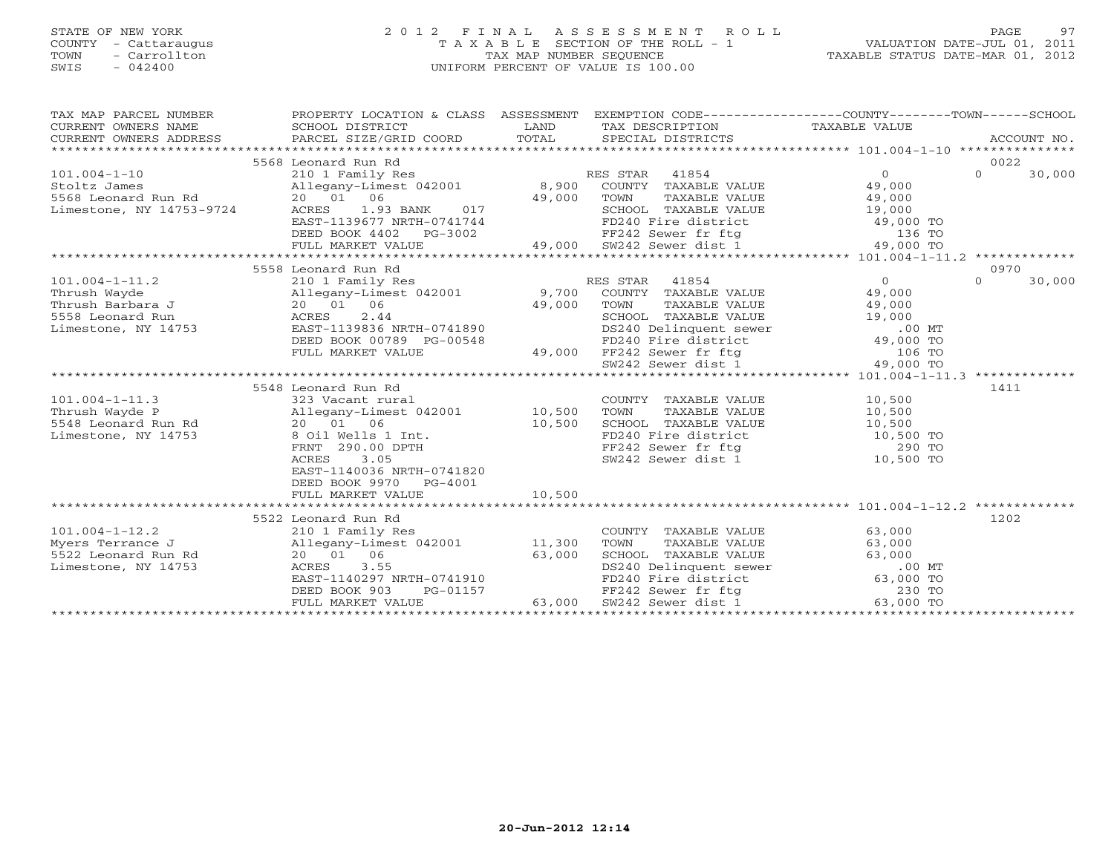# STATE OF NEW YORK 2 0 1 2 F I N A L A S S E S S M E N T R O L L PAGE 97 COUNTY - Cattaraugus T A X A B L E SECTION OF THE ROLL - 1 VALUATION DATE-JUL 01, 2011 TOWN - Carrollton TAX MAP NUMBER SEQUENCE TAXABLE STATUS DATE-MAR 01, 2012 SWIS - 042400 UNIFORM PERCENT OF VALUE IS 100.00UNIFORM PERCENT OF VALUE IS 100.00

| TAX MAP PARCEL NUMBER<br>CURRENT OWNERS NAME                                                                                                                                                                                                                       | PROPERTY LOCATION & CLASS ASSESSMENT EXEMPTION CODE----------------COUNTY-------TOWN------SCHOOL                                                                                                                                      |        | TAX DESCRIPTION TAXABLE VALUE<br>SPECIAL DISTRICTS                                                                                                                                                                                           | ACCOUNT NO.        |
|--------------------------------------------------------------------------------------------------------------------------------------------------------------------------------------------------------------------------------------------------------------------|---------------------------------------------------------------------------------------------------------------------------------------------------------------------------------------------------------------------------------------|--------|----------------------------------------------------------------------------------------------------------------------------------------------------------------------------------------------------------------------------------------------|--------------------|
|                                                                                                                                                                                                                                                                    | 5568 Leonard Run Rd                                                                                                                                                                                                                   |        |                                                                                                                                                                                                                                              | 0022               |
|                                                                                                                                                                                                                                                                    |                                                                                                                                                                                                                                       |        |                                                                                                                                                                                                                                              | 0970               |
| 1-11.2<br>Thrush Wayde<br>Thrush Sarbara J<br>20 01 06 2001 9,700 COUNTY TAXABLE VALUE<br>558 Leonard Run<br>Limestone, NY 14753<br>20 01 06 2.44<br>Limestone, NY 14753<br>2.44<br>2.82T-1139836 NRTH-0741890<br>2.44<br>2.82T-1139836 NRTH-0741890               | ACRES 2.44<br>EAST-1139836 NRTH-0741890<br>DEED BOOK 00789 PG-00548<br>FD240 Fire district approximate the sever district approximate the sever of the sever district approximate the<br>FC242 Sever district approximate approximate |        |                                                                                                                                                                                                                                              | $\Omega$<br>30,000 |
|                                                                                                                                                                                                                                                                    |                                                                                                                                                                                                                                       |        |                                                                                                                                                                                                                                              |                    |
|                                                                                                                                                                                                                                                                    |                                                                                                                                                                                                                                       |        |                                                                                                                                                                                                                                              |                    |
|                                                                                                                                                                                                                                                                    |                                                                                                                                                                                                                                       |        |                                                                                                                                                                                                                                              |                    |
| 101.004-1-11.3<br>Thrush Wayde P<br>5548 Leonard Run Rd<br>5548 Leonard Run Rd<br>20 01 06<br>10,500<br>10,500<br>10,500<br>10,500<br>20 01 06<br>10,500<br>20 01 06<br>20 01 06<br>20 01 06<br>20 01 06<br>20 00 DPTH<br>290.00 DPTH<br>290.00 DPTH<br>290.00 DPT | 5548 Leonard Run Rd<br>EAST-1140036 NRTH-0741820<br>DEED BOOK 9970 PG-4001                                                                                                                                                            |        | COUNTY TAXABLE VALUE<br>TOWN TAXABLE VALUE<br>SCHOOL TAXABLE VALUE<br>FD240 Fire district<br>FF242 Sewer fr ftg 290 TO<br>SW242 Sewer dist 1 10,500 TO                                                                                       | 1411               |
|                                                                                                                                                                                                                                                                    | FULL MARKET VALUE                                                                                                                                                                                                                     | 10,500 |                                                                                                                                                                                                                                              |                    |
|                                                                                                                                                                                                                                                                    |                                                                                                                                                                                                                                       |        |                                                                                                                                                                                                                                              |                    |
| Limestone, NY 14753                                                                                                                                                                                                                                                | 5522 Leonard Run Rd<br>ACRES<br>3.55<br>EAST-1140297 NRTH-0741910                                                                                                                                                                     |        | COUNTY TAXABLE VALUE 63,000<br>TOWN TAXABLE VALUE<br>TOWN TAXABLE VALUE<br>SCHOOL TAXABLE VALUE<br>DS240 Delinquent sewer<br>FD240 Fire district<br>FF242 Sewer fr ftg<br>SW242 Sewer dist 1<br>63,000 TO<br>SW242 Sewer dist 1<br>63,000 TO | 1202               |
|                                                                                                                                                                                                                                                                    | DEED BOOK 903<br>FULL MARKET VALUE                                                                                                                                                                                                    |        | PG-01157<br>PG-01157 63,000 SW242 Sewer dist 1<br>FIFR 63,000 SW242 Sewer dist 1                                                                                                                                                             |                    |
|                                                                                                                                                                                                                                                                    |                                                                                                                                                                                                                                       |        |                                                                                                                                                                                                                                              |                    |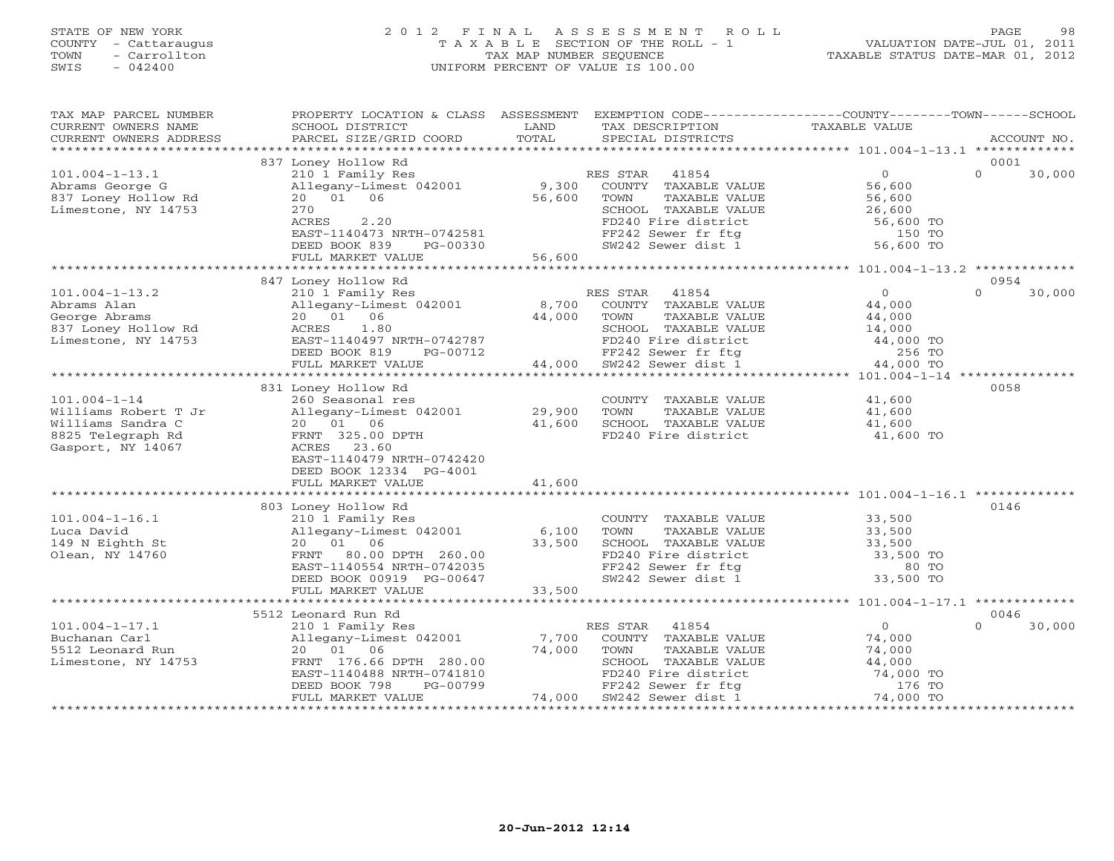## STATE OF NEW YORK 2 0 1 2 F I N A L A S S E S S M E N T R O L L PAGE 98 COUNTY - Cattaraugus T A X A B L E SECTION OF THE ROLL - 1 VALUATION DATE-JUL 01, 2011 TOWN - Carrollton TAX MAP NUMBER SEQUENCE TAXABLE STATUS DATE-MAR 01, 2012 SWIS - 042400 UNIFORM PERCENT OF VALUE IS 100.00

| TAX MAP PARCEL NUMBER<br>CURRENT OWNERS NAME<br>CURRENT OWNERS ADDRESS<br>************************        | PROPERTY LOCATION & CLASS ASSESSMENT<br>SCHOOL DISTRICT<br>PARCEL SIZE/GRID COORD                                                                                               | LAND<br>TOTAL                 | TAX DESCRIPTION<br>SPECIAL DISTRICTS                                                                                                                                                           | EXEMPTION CODE-----------------COUNTY-------TOWN------SCHOOL<br>TAXABLE VALUE | ACCOUNT NO.                |
|-----------------------------------------------------------------------------------------------------------|---------------------------------------------------------------------------------------------------------------------------------------------------------------------------------|-------------------------------|------------------------------------------------------------------------------------------------------------------------------------------------------------------------------------------------|-------------------------------------------------------------------------------|----------------------------|
|                                                                                                           | 837 Loney Hollow Rd                                                                                                                                                             |                               |                                                                                                                                                                                                |                                                                               | 0001                       |
| $101.004 - 1 - 13.1$<br>Abrams George G<br>837 Loney Hollow Rd<br>Limestone, NY 14753                     | 210 1 Family Res<br>Allegany-Limest 042001<br>20  01  06<br>270<br>ACRES<br>2.20<br>EAST-1140473 NRTH-0742581<br>DEED BOOK 839                                                  | 9,300<br>56,600<br>$PG-00330$ | RES STAR 41854<br>COUNTY TAXABLE VALUE<br>TOWN<br>TAXABLE VALUE<br>SCHOOL TAXABLE VALUE $26,600$<br>FD240 Fire district 56,600 TO<br>FF242 Sewer fr ftg 150 TO<br>SW242 Sewer dist 1 56,600 TO | $\overline{0}$<br>56,600<br>56,600                                            | $\Omega$<br>30,000         |
|                                                                                                           | FULL MARKET VALUE                                                                                                                                                               | 56,600                        |                                                                                                                                                                                                |                                                                               |                            |
|                                                                                                           |                                                                                                                                                                                 |                               |                                                                                                                                                                                                |                                                                               |                            |
| $101.004 - 1 - 13.2$<br>Abrams Alan<br>George Abrams<br>837 Loney Hollow Rd<br>Limestone, NY 14753        | 847 Loney Hollow Rd<br>210 1 Family Res<br>Allegany-Limest 042001<br>20  01  06<br>1.80<br>ACRES<br>EAST-1140497 NRTH-0742787<br>DEED BOOK 819<br>PG-00712                      | 8,700<br>44,000               | RES STAR<br>41854<br>COUNTY TAXABLE VALUE<br>TOWN<br>TAXABLE VALUE<br>SCHOOL TAXABLE VALUE<br>FD240 Fire district $44,000$ TO<br>FF242 Sewer fr ftg 256 TO<br>SW242 Sewer dist 1 44,000 TO     | $\Omega$<br>44,000<br>44,000<br>14,000                                        | 0954<br>$\Omega$<br>30,000 |
|                                                                                                           | FULL MARKET VALUE                                                                                                                                                               | 44,000                        |                                                                                                                                                                                                |                                                                               |                            |
|                                                                                                           |                                                                                                                                                                                 |                               |                                                                                                                                                                                                |                                                                               |                            |
| $101.004 - 1 - 14$<br>Williams Robert T Jr<br>Williams Sandra C<br>8825 Telegraph Rd<br>Gasport, NY 14067 | 831 Loney Hollow Rd<br>260 Seasonal res<br>Allegany-Limest 042001 29,900<br>20 01 06<br>FRNT 325.00 DPTH<br>ACRES 23.60<br>EAST-1140479 NRTH-0742420<br>DEED BOOK 12334 PG-4001 | 41,600                        | COUNTY TAXABLE VALUE<br>TOWN<br>TAXABLE VALUE<br>SCHOOL TAXABLE VALUE<br>FD240 Fire district                                                                                                   | 41,600<br>41,600<br>$41,600$<br>$41,600$<br>41,600 TO                         | 0058                       |
|                                                                                                           | FULL MARKET VALUE                                                                                                                                                               | 41,600                        |                                                                                                                                                                                                |                                                                               |                            |
| $101.004 - 1 - 16.1$<br>Luca David<br>149 N Eighth St<br>Olean, NY 14760                                  | 803 Loney Hollow Rd<br>210 1 Family Res<br>Allegany-Limest 042001<br>20 01 06<br>FRNT<br>80.00 DPTH 260.00<br>EAST-1140554 NRTH-0742035<br>DEED BOOK 00919 PG-00647             | 6,100<br>33,500               | COUNTY TAXABLE VALUE<br>TAXABLE VALUE<br>TOWN<br>SCHOOL TAXABLE VALUE 33,500<br>FD240 Fire district 33,500 TO<br>FF242 Sewer fr ftg<br>SW242 Sewer dist 1                                      | 33,500<br>33,500<br>80 TO<br>33,500 TO                                        | 0146                       |
|                                                                                                           | FULL MARKET VALUE                                                                                                                                                               | 33,500                        |                                                                                                                                                                                                |                                                                               |                            |
|                                                                                                           |                                                                                                                                                                                 |                               |                                                                                                                                                                                                |                                                                               |                            |
| $101.004 - 1 - 17.1$                                                                                      | 5512 Leonard Run Rd                                                                                                                                                             |                               | RES STAR<br>41854                                                                                                                                                                              | $\overline{0}$                                                                | 0046<br>$\Omega$<br>30,000 |
| Buchanan Carl<br>5512 Leonard Run<br>Limestone, NY 14753                                                  | 210 1 Family Res<br>Allegany-Limest 042001<br>20  01  06<br>FRNT 176.66 DPTH 280.00<br>EAST-1140488 NRTH-0741810<br>PG-00799<br>DEED BOOK 798<br>FULL MARKET VALUE              | 7,700<br>74,000<br>74,000     | COUNTY TAXABLE VALUE<br>TOWN<br>TAXABLE VALUE<br>CHOOL TAXABLE VALUE<br>SCHOOL TAXABLE VALUE<br>FD240 Fire district 74,000 TO<br>FF242 Sewer fr ftg 176 TO<br>απολο Sewer dist 1 74,000 TO     | 74,000<br>74,000                                                              |                            |
|                                                                                                           |                                                                                                                                                                                 |                               |                                                                                                                                                                                                |                                                                               |                            |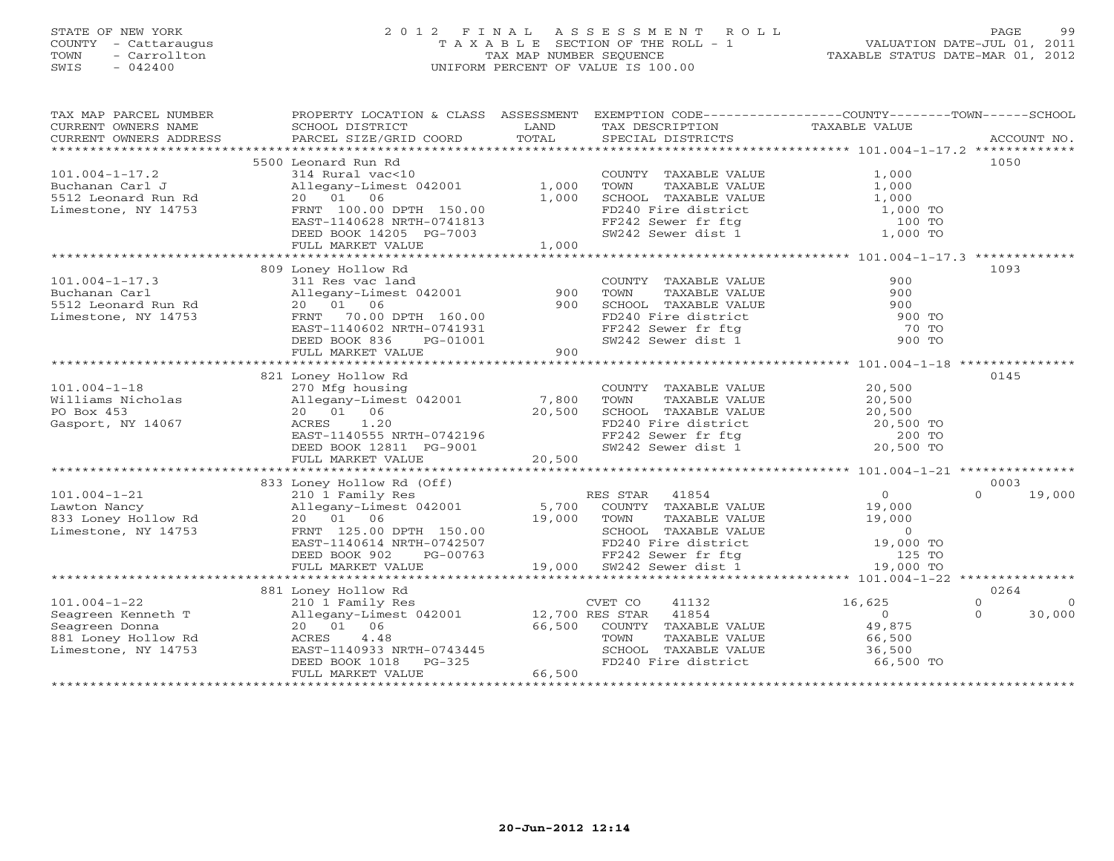# STATE OF NEW YORK 2 0 1 2 F I N A L A S S E S S M E N T R O L L PAGE 99 COUNTY - Cattaraugus T A X A B L E SECTION OF THE ROLL - 1 VALUATION DATE-JUL 01, 2011 TOWN - Carrollton TAX MAP NUMBER SEQUENCE TAXABLE STATUS DATE-MAR 01, 2012 SWIS - 042400 UNIFORM PERCENT OF VALUE IS 100.00UNIFORM PERCENT OF VALUE IS 100.00

| TAX MAP PARCEL NUMBER | PROPERTY LOCATION & CLASS ASSESSMENT EXEMPTION CODE----------------COUNTY-------TOWN------SCHOOL                                                                                                                              |        |                                                                                                                             |                                        |                            |
|-----------------------|-------------------------------------------------------------------------------------------------------------------------------------------------------------------------------------------------------------------------------|--------|-----------------------------------------------------------------------------------------------------------------------------|----------------------------------------|----------------------------|
| CURRENT OWNERS NAME   | SCHOOL DISTRICT                                                                                                                                                                                                               | LAND   | TAX DESCRIPTION                                                                                                             | TAXABLE VALUE                          |                            |
|                       | CURRENT OWNERS ADDRESS PARCEL SIZE/GRID COORD<br>CURRENT OWNERS ADDRESS FORCEL SIZE/GRID COORD FOTAL SECIAL DISTRICTS FOR ACCOUNT NO.<br>FORRENT OWNERS ADDRESS PARCEL SIZE/GRID COORD TOTAL SECIAL DISTRICTS FOR ACCOUNT NO. |        |                                                                                                                             |                                        |                            |
|                       |                                                                                                                                                                                                                               |        |                                                                                                                             |                                        |                            |
|                       | 5500 Leonard Run Rd                                                                                                                                                                                                           |        |                                                                                                                             |                                        | 1050                       |
| $101.004 - 1 - 17.2$  | -  vac<10<br>Allegany-Limest 042001 1,000<br>20 01 06 1.000<br>FRNT 100.00 ---                                                                                                                                                |        |                                                                                                                             |                                        |                            |
|                       |                                                                                                                                                                                                                               |        | COUNTY TAXABLE VALUE<br>TOWN      TAXABLE VALUE                                                                             | $1,000$<br>$1,000$                     |                            |
|                       |                                                                                                                                                                                                                               |        |                                                                                                                             |                                        |                            |
|                       |                                                                                                                                                                                                                               | 1,000  |                                                                                                                             |                                        |                            |
|                       |                                                                                                                                                                                                                               |        | SCHOOL TAXABLE VALUE<br>FD240 Fire district 1,000 TO<br>FF242 Sewer fr ftg 100 TO<br>SW242 Sewer dist 1 1,000 TO            |                                        |                            |
|                       |                                                                                                                                                                                                                               |        |                                                                                                                             |                                        |                            |
|                       |                                                                                                                                                                                                                               |        |                                                                                                                             |                                        |                            |
|                       |                                                                                                                                                                                                                               |        |                                                                                                                             |                                        |                            |
|                       |                                                                                                                                                                                                                               |        |                                                                                                                             |                                        |                            |
|                       | 809 Loney Hollow Rd                                                                                                                                                                                                           |        |                                                                                                                             |                                        | 1093                       |
| $101.004 - 1 - 17.3$  | 311 Res vac land                                                                                                                                                                                                              |        | COUNTY TAXABLE VALUE                                                                                                        | 900                                    |                            |
|                       | Allegany-Limest 042001 900                                                                                                                                                                                                    |        | TAXABLE VALUE<br>TOWN                                                                                                       | 900                                    |                            |
|                       |                                                                                                                                                                                                                               | 900    |                                                                                                                             |                                        |                            |
|                       | Puchanan Carl (and the state of the state of the state of the state of the state of the state of the state of<br>S512 Leonard Run Rd (a) 20 01 06<br>Limestone, NY 14753 (FRNT 70.00 DPTH 160.00                              |        |                                                                                                                             |                                        |                            |
|                       |                                                                                                                                                                                                                               |        |                                                                                                                             |                                        |                            |
|                       |                                                                                                                                                                                                                               |        |                                                                                                                             |                                        |                            |
|                       |                                                                                                                                                                                                                               |        | SCHOOL TAXABLE VALUE<br>FD240 Fire district 900 TO<br>FF242 Sewer fr ftg 70 TO<br>SW242 Sewer dist 1 900 TO                 |                                        |                            |
|                       | 20 01 00<br>FRNT 70.00 DPTH 160.00<br>EAST-1140602 NRTH-0741931<br>DEED BOOK 836 PG-01001<br>FULL MARKET VALUE 900                                                                                                            |        |                                                                                                                             |                                        |                            |
|                       |                                                                                                                                                                                                                               |        |                                                                                                                             |                                        |                            |
|                       | 821 Loney Hollow Rd                                                                                                                                                                                                           |        |                                                                                                                             |                                        | 0145                       |
| $101.004 - 1 - 18$    | 270 Mfg housing                                                                                                                                                                                                               |        | COUNTY TAXABLE VALUE 20,500                                                                                                 |                                        |                            |
|                       |                                                                                                                                                                                                                               |        | TAXABLE VALUE 20,500<br>TOWN                                                                                                |                                        |                            |
| PO Box 453            | 20 01 06                                                                                                                                                                                                                      |        |                                                                                                                             |                                        |                            |
|                       |                                                                                                                                                                                                                               | 20,500 |                                                                                                                             |                                        |                            |
| Gasport, NY 14067     | ACRES 1.20                                                                                                                                                                                                                    |        |                                                                                                                             |                                        |                            |
|                       |                                                                                                                                                                                                                               |        |                                                                                                                             |                                        |                            |
|                       |                                                                                                                                                                                                                               |        | SCHOOL TAXABLE VALUE $20,500$<br>FD240 Fire district 20,500 TO<br>FF242 Sewer fr ftg 200 TO<br>SW242 Sewer dist 1 20,500 TO |                                        |                            |
|                       | ACRES 1.20<br>EAST-1140555 NRTH-0742196<br>DEED BOOK 12811 PG-9001<br>FULL MARKET VALUE 20,500<br>20,500                                                                                                                      |        |                                                                                                                             |                                        |                            |
|                       |                                                                                                                                                                                                                               |        |                                                                                                                             |                                        |                            |
|                       | 833 Loney Hollow Rd (Off)                                                                                                                                                                                                     |        |                                                                                                                             |                                        | 0003                       |
|                       |                                                                                                                                                                                                                               |        |                                                                                                                             |                                        | $\cap$<br>19,000           |
|                       |                                                                                                                                                                                                                               |        |                                                                                                                             |                                        |                            |
|                       |                                                                                                                                                                                                                               |        |                                                                                                                             |                                        |                            |
|                       |                                                                                                                                                                                                                               |        |                                                                                                                             |                                        |                            |
|                       |                                                                                                                                                                                                                               |        |                                                                                                                             |                                        |                            |
|                       |                                                                                                                                                                                                                               |        |                                                                                                                             |                                        |                            |
|                       |                                                                                                                                                                                                                               |        |                                                                                                                             |                                        |                            |
|                       |                                                                                                                                                                                                                               |        |                                                                                                                             |                                        |                            |
|                       |                                                                                                                                                                                                                               |        |                                                                                                                             |                                        |                            |
|                       |                                                                                                                                                                                                                               |        |                                                                                                                             |                                        | 0264                       |
|                       |                                                                                                                                                                                                                               |        | 41132                                                                                                                       | 16,625                                 | $\Omega$<br>$\overline{0}$ |
|                       |                                                                                                                                                                                                                               |        |                                                                                                                             |                                        | $\Omega$<br>30,000         |
|                       |                                                                                                                                                                                                                               |        |                                                                                                                             | $\begin{array}{c}0\\49,875\end{array}$ |                            |
|                       |                                                                                                                                                                                                                               |        | 66,500 COUNTY TAXABLE VALUE<br>TOWN       TAXABLE VALUF                                                                     |                                        |                            |
|                       |                                                                                                                                                                                                                               |        | TAXABLE VALUE 66,500                                                                                                        |                                        |                            |
|                       |                                                                                                                                                                                                                               |        | SCHOOL TAXABLE VALUE 36,500<br>FD240 Fire district 66,500 TO                                                                |                                        |                            |
|                       | $PG-325$                                                                                                                                                                                                                      |        |                                                                                                                             |                                        |                            |
|                       | FULL MARKET VALUE                                                                                                                                                                                                             | 66,500 |                                                                                                                             |                                        |                            |
|                       |                                                                                                                                                                                                                               |        |                                                                                                                             |                                        |                            |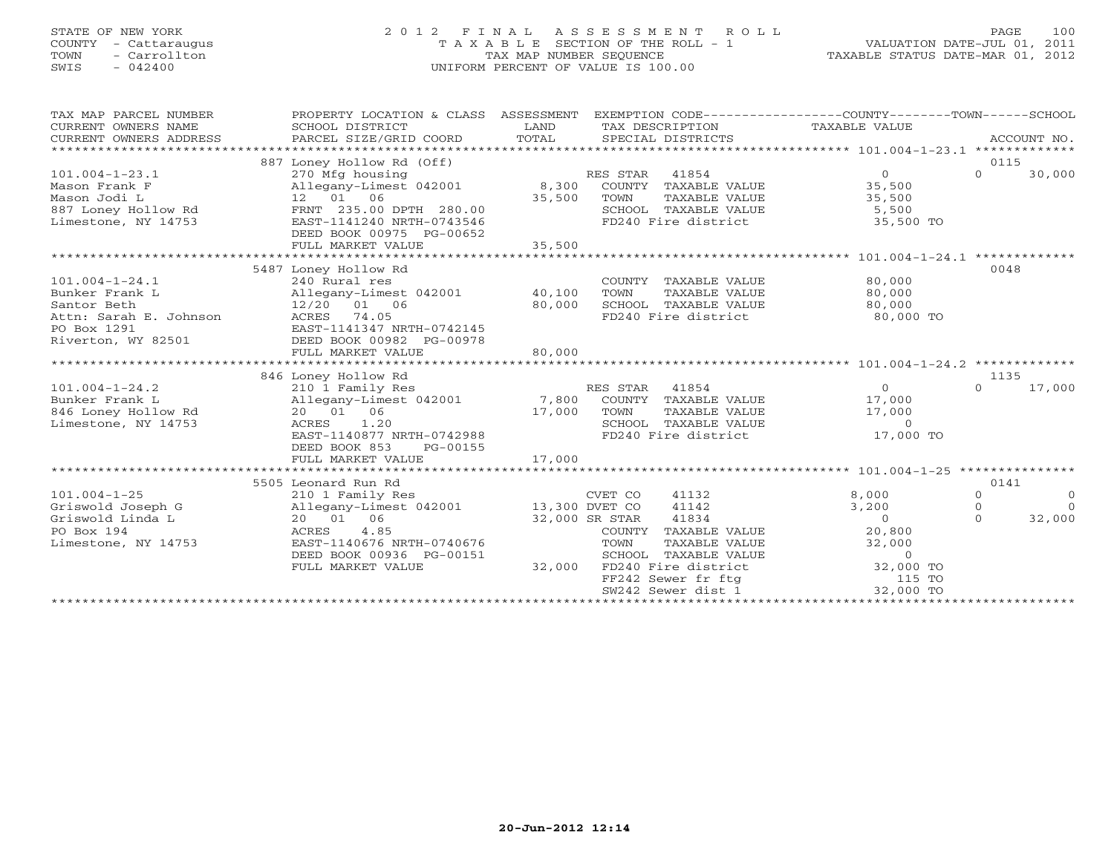# STATE OF NEW YORK 2 0 1 2 F I N A L A S S E S S M E N T R O L L PAGE 100 COUNTY - Cattaraugus T A X A B L E SECTION OF THE ROLL - 1 VALUATION DATE-JUL 01, 2011 TOWN - Carrollton TAX MAP NUMBER SEQUENCE TAXABLE STATUS DATE-MAR 01, 2012 SWIS - 042400 UNIFORM PERCENT OF VALUE IS 100.00UNIFORM PERCENT OF VALUE IS 100.00

| SCHOOL DISTRICT<br>PARCEL SIZE/GRID COORD                                                                                     | LAND<br>TOTAL                                                                                                        | SPECIAL DISTRICTS                                                                                                                                                      | TAXABLE VALUE                                                                                                                                                                                                                                                     | ACCOUNT NO.                                                                                                                    |
|-------------------------------------------------------------------------------------------------------------------------------|----------------------------------------------------------------------------------------------------------------------|------------------------------------------------------------------------------------------------------------------------------------------------------------------------|-------------------------------------------------------------------------------------------------------------------------------------------------------------------------------------------------------------------------------------------------------------------|--------------------------------------------------------------------------------------------------------------------------------|
| 270 Mfg housing<br>12 01 06<br>DEED BOOK 00975 PG-00652<br>FULL MARKET VALUE                                                  | 35,500                                                                                                               | 41854<br>COUNTY TAXABLE VALUE<br>TOWN<br>TAXABLE VALUE<br>SCHOOL TAXABLE VALUE<br>FD240 Fire district                                                                  | $\circ$<br>35,500<br>35,500<br>5,500<br>35,500 TO                                                                                                                                                                                                                 | 0115<br>$\Omega$<br>30,000                                                                                                     |
| 240 Rural res<br>12/20 01 06<br>ACRES 74.05<br>EAST-1141347 NRTH-0742145<br>DEED BOOK 00982 PG-00978<br>FULL MARKET VALUE     | 80,000<br>80,000                                                                                                     | COUNTY TAXABLE VALUE<br>TOWN<br>TAXABLE VALUE<br>SCHOOL TAXABLE VALUE<br>FD240 Fire district                                                                           | 80,000<br>80,000<br>80,000<br>80,000 TO                                                                                                                                                                                                                           | 0048                                                                                                                           |
|                                                                                                                               |                                                                                                                      |                                                                                                                                                                        |                                                                                                                                                                                                                                                                   | 1135                                                                                                                           |
| 210 1 Family Res<br>20  01  06<br>1.20<br>ACRES<br>DEED BOOK 853<br>PG-00155                                                  |                                                                                                                      | 41854<br>COUNTY TAXABLE VALUE<br>TOWN<br>TAXABLE VALUE                                                                                                                 | $\overline{O}$<br>17,000<br>17,000<br>$\Omega$<br>17,000 TO                                                                                                                                                                                                       | 17,000<br>$\Omega$                                                                                                             |
|                                                                                                                               |                                                                                                                      |                                                                                                                                                                        |                                                                                                                                                                                                                                                                   |                                                                                                                                |
|                                                                                                                               |                                                                                                                      |                                                                                                                                                                        |                                                                                                                                                                                                                                                                   | 0141                                                                                                                           |
| 210 1 Family Res<br>20  01  06<br>ACRES<br>4.85<br>EAST-1140676 NRTH-0740676<br>DEED BOOK 00936 PG-00151<br>FULL MARKET VALUE |                                                                                                                      | 41132<br>41142<br>41834<br>COUNTY TAXABLE VALUE<br>TOWN<br>TAXABLE VALUE<br>SCHOOL<br>TAXABLE VALUE<br>FD240 Fire district<br>FF242 Sewer fr ftg<br>SW242 Sewer dist 1 | 8,000<br>3,200<br>$\overline{0}$<br>20,800<br>32,000<br>$\circ$<br>32,000 TO<br>115 TO<br>32,000 TO                                                                                                                                                               | $\Omega$<br>$\Omega$<br>$\Omega$<br>$\Omega$<br>$\Omega$<br>32,000                                                             |
|                                                                                                                               | 887 Loney Hollow Rd (Off)<br>5487 Loney Hollow Rd<br>846 Loney Hollow Rd<br>FULL MARKET VALUE<br>5505 Leonard Run Rd | FRNT 235.00 DPTH 280.00<br>EAST-1141240 NRTH-0743546<br>EAST-1140877 NRTH-0742988<br>17,000                                                                            | PROPERTY LOCATION & CLASS ASSESSMENT<br>RES STAR<br>Allegany-Limest 042001 8,300<br>35,500<br>Allegany-Limest 042001 40,100<br>RES STAR<br>Allegany-Limest 042001 7,800<br>17,000<br>CVET CO<br>Allegany-Limest 042001 13,300 DVET CO<br>32,000 SR STAR<br>32,000 | EXEMPTION CODE-----------------COUNTY-------TOWN------SCHOOL<br>TAX DESCRIPTION<br>SCHOOL TAXABLE VALUE<br>FD240 Fire district |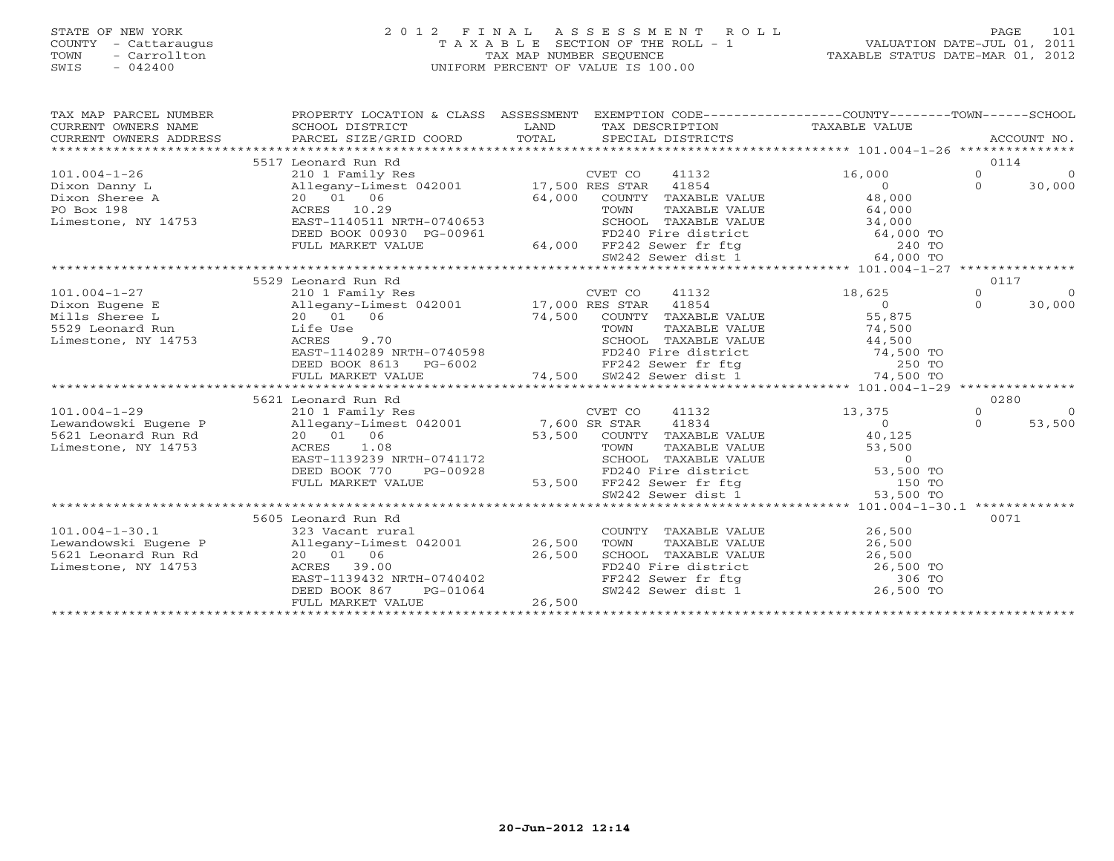# STATE OF NEW YORK 2 0 1 2 F I N A L A S S E S S M E N T R O L L PAGE 101 COUNTY - Cattaraugus T A X A B L E SECTION OF THE ROLL - 1 VALUATION DATE-JUL 01, 2011 TOWN - Carrollton TAX MAP NUMBER SEQUENCE TAXABLE STATUS DATE-MAR 01, 2012 SWIS - 042400 UNIFORM PERCENT OF VALUE IS 100.00UNIFORM PERCENT OF VALUE IS 100.00

| TAX MAP PARCEL NUMBER<br>CURRENT OWNERS NAME<br>CURRENT OWNERS ADDRESS |                                                                                                                                                                                                |                                                                                                                                                                                                                                                                                                                                                   | PROPERTY LOCATION & CLASS ASSESSMENT EXEMPTION CODE----------------COUNTY-------TOWN------SCHOOL |
|------------------------------------------------------------------------|------------------------------------------------------------------------------------------------------------------------------------------------------------------------------------------------|---------------------------------------------------------------------------------------------------------------------------------------------------------------------------------------------------------------------------------------------------------------------------------------------------------------------------------------------------|--------------------------------------------------------------------------------------------------|
|                                                                        |                                                                                                                                                                                                |                                                                                                                                                                                                                                                                                                                                                   | 0114                                                                                             |
|                                                                        | 5517 Leonard Run Rd                                                                                                                                                                            | CVET CO<br>41132                                                                                                                                                                                                                                                                                                                                  | $\overline{0}$<br>16,000<br>$\overline{0}$                                                       |
| $101.004 - 1 - 26$<br>Dixon Danny L                                    | 210 1 Family Res<br>210 1 Family Res<br>Allegany-Limest 042001 17,500 RES STAR 41854<br>20 01 06 64,000 COUNTY TAXABLE<br>ACRES 10.29 TOWN TAXABLE<br>EAST-1140511 NRTH-0740653 SCHOOL TAXABLE |                                                                                                                                                                                                                                                                                                                                                   | $\overline{0}$<br>$\Omega$                                                                       |
| Dixon Sheree A                                                         |                                                                                                                                                                                                | COUNTY TAXABLE VALUE 48,000                                                                                                                                                                                                                                                                                                                       | 30,000                                                                                           |
| PO Box 198                                                             |                                                                                                                                                                                                |                                                                                                                                                                                                                                                                                                                                                   |                                                                                                  |
| Limestone, NY 14753                                                    |                                                                                                                                                                                                |                                                                                                                                                                                                                                                                                                                                                   |                                                                                                  |
|                                                                        | DEED BOOK 00930 PG-00961                                                                                                                                                                       | TOWN TAXABLE VALUE 64,000<br>SCHOOL TAXABLE VALUE 64,000<br>TD240 Fire district 64,000 TO<br>FD240 Fire district 64,000 TO<br>FE242 Sewer fr ftg 240 TO<br>SM242 Sewer district 64,000 TO                                                                                                                                                         |                                                                                                  |
|                                                                        | FULL MARKET VALUE                                                                                                                                                                              |                                                                                                                                                                                                                                                                                                                                                   |                                                                                                  |
|                                                                        |                                                                                                                                                                                                |                                                                                                                                                                                                                                                                                                                                                   |                                                                                                  |
|                                                                        |                                                                                                                                                                                                |                                                                                                                                                                                                                                                                                                                                                   |                                                                                                  |
|                                                                        | 5529 Leonard Run Rd                                                                                                                                                                            |                                                                                                                                                                                                                                                                                                                                                   | 0117                                                                                             |
| $101.004 - 1 - 27$                                                     | 210 1 Family Res                                                                                                                                                                               | CVET CO<br>41132                                                                                                                                                                                                                                                                                                                                  | $\Omega$<br>18,625<br>$\Omega$                                                                   |
| Dixon Eugene E                                                         |                                                                                                                                                                                                |                                                                                                                                                                                                                                                                                                                                                   | $\begin{array}{c}\n55 \\ 0\n\end{array}$<br>30,000<br>$\Omega$                                   |
| Mills Sheree L                                                         |                                                                                                                                                                                                | 74,500 COUNTY TAXABLE VALUE                                                                                                                                                                                                                                                                                                                       |                                                                                                  |
| 5529 Leonard Run                                                       |                                                                                                                                                                                                |                                                                                                                                                                                                                                                                                                                                                   | TAXABLE VALUE 74,500                                                                             |
| Limestone, NY 14753                                                    |                                                                                                                                                                                                |                                                                                                                                                                                                                                                                                                                                                   |                                                                                                  |
|                                                                        |                                                                                                                                                                                                |                                                                                                                                                                                                                                                                                                                                                   |                                                                                                  |
|                                                                        |                                                                                                                                                                                                | Life Use<br>ACRES 9.70<br>EAST-1140289 NRTH-0740598 FD240 Fire district<br>DEED BOOK 8613 PG-6002 FF242 Sewer fr ftg<br>FILI. MARKET VALUE 74,500 SW242 Sewer dist 1<br>FILI. MARKET VALUE 74,500 SW242 Sewer dist 1<br>SCHOOL TAXABLE VALUE 44,500<br>FD240 Fire district 74,500 TO<br>FF242 Sewer fr ftg 250 TO<br>SW242 Sewer dist 1 74,500 TO |                                                                                                  |
|                                                                        |                                                                                                                                                                                                |                                                                                                                                                                                                                                                                                                                                                   |                                                                                                  |
|                                                                        |                                                                                                                                                                                                |                                                                                                                                                                                                                                                                                                                                                   |                                                                                                  |
|                                                                        | 5621 Leonard Run Rd                                                                                                                                                                            |                                                                                                                                                                                                                                                                                                                                                   | 0280                                                                                             |
| $101.004 - 1 - 29$                                                     | 210 1 Family Res                                                                                                                                                                               | CVET CO<br>41132                                                                                                                                                                                                                                                                                                                                  | 13,375<br>$\Omega$<br>$\bigcirc$                                                                 |
|                                                                        | Lewandowski Eugene P Allegany-Limest 042001 7,600 SR STAR                                                                                                                                      | 41834                                                                                                                                                                                                                                                                                                                                             | $\Omega$<br>53,500<br>$\Omega$                                                                   |
| 5621 Leonard Run Rd                                                    | 20 01 06                                                                                                                                                                                       | 53,500 COUNTY TAXABLE VALUE                                                                                                                                                                                                                                                                                                                       | 40,125                                                                                           |
| Limestone, NY 14753                                                    | ACRES 1.08                                                                                                                                                                                     |                                                                                                                                                                                                                                                                                                                                                   |                                                                                                  |
|                                                                        | EAST-1139239 NRTH-0741172                                                                                                                                                                      | FOWN TAXABLE VALUE<br>TOWN TAXABLE VALUE<br>SCHOOL TAXABLE VALUE<br>FD240 Fire district<br>FF242 Sewer fr ftg<br>SW242 Sewer dist 1 53,500 TO                                                                                                                                                                                                     |                                                                                                  |
|                                                                        | DEED BOOK 770<br>PG-00928                                                                                                                                                                      |                                                                                                                                                                                                                                                                                                                                                   |                                                                                                  |
|                                                                        | FULL MARKET VALUE                                                                                                                                                                              | 53,500                                                                                                                                                                                                                                                                                                                                            |                                                                                                  |
|                                                                        |                                                                                                                                                                                                |                                                                                                                                                                                                                                                                                                                                                   |                                                                                                  |
|                                                                        |                                                                                                                                                                                                |                                                                                                                                                                                                                                                                                                                                                   |                                                                                                  |
|                                                                        | 5605 Leonard Run Rd                                                                                                                                                                            |                                                                                                                                                                                                                                                                                                                                                   | 0071                                                                                             |
| $101.004 - 1 - 30.1$                                                   |                                                                                                                                                                                                |                                                                                                                                                                                                                                                                                                                                                   |                                                                                                  |
| Lewandowski Eugene P                                                   |                                                                                                                                                                                                |                                                                                                                                                                                                                                                                                                                                                   |                                                                                                  |
| 5621 Leonard Run Rd                                                    | 39.00<br>ACRES                                                                                                                                                                                 |                                                                                                                                                                                                                                                                                                                                                   |                                                                                                  |
| Limestone, NY 14753                                                    |                                                                                                                                                                                                |                                                                                                                                                                                                                                                                                                                                                   |                                                                                                  |
|                                                                        | DEED BOOK 867<br>PG-01064                                                                                                                                                                      | COUNTY TAXABLE VALUE<br>TOWN TAXABLE VALUE<br>SCHOOL TAXABLE VALUE<br>FD240 Fire district<br>FF242 Sewer fr ftg<br>SW242 Sewer dist 1 26,500 TO<br>26,500 TO<br>SW242 Sewer dist 1 26,500 TO                                                                                                                                                      |                                                                                                  |
|                                                                        | FULL MARKET VALUE                                                                                                                                                                              | 26,500                                                                                                                                                                                                                                                                                                                                            |                                                                                                  |
|                                                                        |                                                                                                                                                                                                |                                                                                                                                                                                                                                                                                                                                                   |                                                                                                  |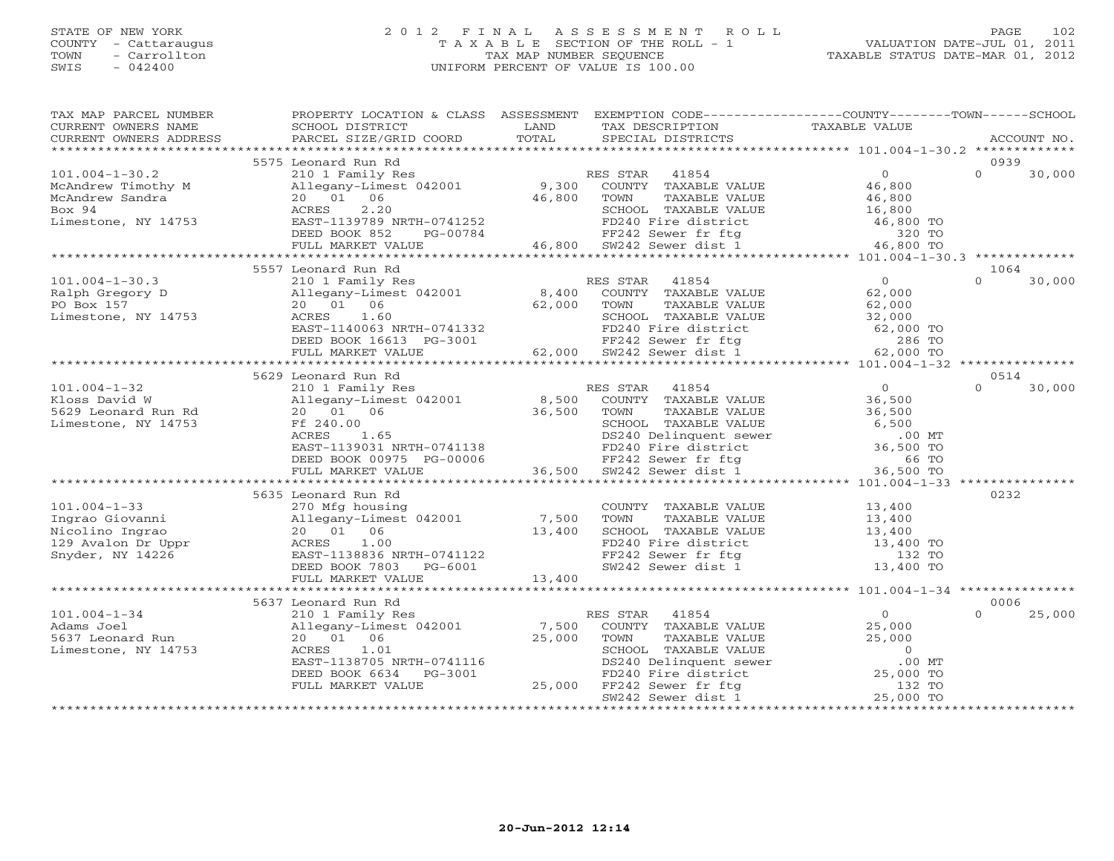### STATE OF NEW YORK 2 0 1 2 F I N A L A S S E S S M E N T R O L L PAGE 102 COUNTY - Cattaraugus T A X A B L E SECTION OF THE ROLL - 1 VALUATION DATE-JUL 01, 2011 TOWN - Carrollton TAX MAP NUMBER SEQUENCE TAXABLE STATUS DATE-MAR 01, 2012 SWIS - 042400 UNIFORM PERCENT OF VALUE IS 100.00UNIFORM PERCENT OF VALUE IS 100.00

| TAX MAP PARCEL NUMBER      | PROPERTY LOCATION & CLASS ASSESSMENT EXEMPTION CODE----------------COUNTY-------TOWN------SCHOOL                                                                                                                                                                                                                                                                                                                                                                                                                       |        |                                                                                                                                                                                                                                      |                |                    |
|----------------------------|------------------------------------------------------------------------------------------------------------------------------------------------------------------------------------------------------------------------------------------------------------------------------------------------------------------------------------------------------------------------------------------------------------------------------------------------------------------------------------------------------------------------|--------|--------------------------------------------------------------------------------------------------------------------------------------------------------------------------------------------------------------------------------------|----------------|--------------------|
| CURRENT OWNERS NAME        | SCHOOL DISTRICT                                                                                                                                                                                                                                                                                                                                                                                                                                                                                                        | LAND   | TAX DESCRIPTION                                                                                                                                                                                                                      | TAXABLE VALUE  |                    |
|                            | $\begin{minipage}{.45\textwidth} \begin{minipage}{.45\textwidth} \begin{minipage}{.45\textwidth} \begin{minipage}{.45\textwidth} \begin{minipage}{.45\textwidth} \begin{minipage}{.45\textwidth} \begin{minipage}{.45\textwidth} \begin{minipage}{.45\textwidth} \begin{minipage}{.45\textwidth} \begin{minipage}{.45\textwidth} \begin{minipage}{.45\textwidth} \begin{minipage}{.45\textwidth} \begin{minipage}{.45\textwidth} \begin{minipage}{.45\textwidth} \begin{minipage}{.45\textwidth} \begin{minipage}{.45$ |        |                                                                                                                                                                                                                                      |                |                    |
|                            | 5575 Leonard Run Rd                                                                                                                                                                                                                                                                                                                                                                                                                                                                                                    |        |                                                                                                                                                                                                                                      |                | 0939               |
|                            | 101.004-1-30.2<br>McAndrew Timothy M<br>McAndrew Sandra<br>McAndrew Sandra<br>McAndrew Sandra<br>McAndrew Sandra<br>20 01 06<br>20 01 06<br>20 01 06<br>20 01 06<br>2.20<br>ACRES 2.20<br>EAST-1139789 NRTH-0741252<br>EED BOOK 852<br>PG-00784<br>2.20<br>FD                                                                                                                                                                                                                                                          |        |                                                                                                                                                                                                                                      |                | $\Omega$<br>30,000 |
|                            |                                                                                                                                                                                                                                                                                                                                                                                                                                                                                                                        |        |                                                                                                                                                                                                                                      |                |                    |
|                            |                                                                                                                                                                                                                                                                                                                                                                                                                                                                                                                        |        |                                                                                                                                                                                                                                      |                |                    |
|                            |                                                                                                                                                                                                                                                                                                                                                                                                                                                                                                                        |        |                                                                                                                                                                                                                                      |                |                    |
|                            |                                                                                                                                                                                                                                                                                                                                                                                                                                                                                                                        |        |                                                                                                                                                                                                                                      |                |                    |
|                            |                                                                                                                                                                                                                                                                                                                                                                                                                                                                                                                        |        |                                                                                                                                                                                                                                      |                |                    |
|                            |                                                                                                                                                                                                                                                                                                                                                                                                                                                                                                                        |        |                                                                                                                                                                                                                                      |                |                    |
|                            |                                                                                                                                                                                                                                                                                                                                                                                                                                                                                                                        |        |                                                                                                                                                                                                                                      |                |                    |
|                            | 5557 Leonard Run Rd                                                                                                                                                                                                                                                                                                                                                                                                                                                                                                    |        |                                                                                                                                                                                                                                      |                | 1064               |
| $101.004 - 1 - 30.3$       | 210 1 Family Res                                                                                                                                                                                                                                                                                                                                                                                                                                                                                                       |        | RES STAR 41854                                                                                                                                                                                                                       | $\overline{0}$ | $\Omega$<br>30,000 |
| Ralph Gregory D            | D<br>Allegany-Limest 042001 8,400<br>20 01 06 62,000                                                                                                                                                                                                                                                                                                                                                                                                                                                                   |        | -<br>COUNTY TAXABLE VALUE 62,000<br>TOWN TAXABLE VALUE 62,000                                                                                                                                                                        |                |                    |
| PO Box 157                 |                                                                                                                                                                                                                                                                                                                                                                                                                                                                                                                        |        |                                                                                                                                                                                                                                      |                |                    |
| Limestone, NY 14753        |                                                                                                                                                                                                                                                                                                                                                                                                                                                                                                                        |        |                                                                                                                                                                                                                                      |                |                    |
|                            |                                                                                                                                                                                                                                                                                                                                                                                                                                                                                                                        |        |                                                                                                                                                                                                                                      |                |                    |
|                            |                                                                                                                                                                                                                                                                                                                                                                                                                                                                                                                        |        |                                                                                                                                                                                                                                      |                |                    |
|                            | ACRES 1.60 SCHOOL TAXABLE VALUE 32,000<br>EAST-1140063 NRTH-0741332 FD240 Fire district 62,000 TO<br>DEED BOOK 16613 PG-3001 62,000 SW242 Sewer fr ftg 286 TO<br>FULL MARKET VALUE 62,000 SW242 Sewer dist 1 62,000 TO                                                                                                                                                                                                                                                                                                 |        |                                                                                                                                                                                                                                      |                |                    |
|                            |                                                                                                                                                                                                                                                                                                                                                                                                                                                                                                                        |        |                                                                                                                                                                                                                                      |                |                    |
|                            | 5629 Leonard Run Rd                                                                                                                                                                                                                                                                                                                                                                                                                                                                                                    |        |                                                                                                                                                                                                                                      |                | 0514               |
| $101.004 - 1 - 32$         | 210 1 Family Res                                                                                                                                                                                                                                                                                                                                                                                                                                                                                                       |        | ES STAR 41854<br>COUNTY TAXABLE VALUE 36,500<br>RES STAR 41854                                                                                                                                                                       |                | $\Omega$<br>30,000 |
| $Fa \sim$<br>Kloss David W | Allegany-Limest 042001 8,500                                                                                                                                                                                                                                                                                                                                                                                                                                                                                           |        |                                                                                                                                                                                                                                      |                |                    |
| 5629 Leonard Run Rd        |                                                                                                                                                                                                                                                                                                                                                                                                                                                                                                                        |        |                                                                                                                                                                                                                                      |                |                    |
| Limestone, NY 14753        |                                                                                                                                                                                                                                                                                                                                                                                                                                                                                                                        |        |                                                                                                                                                                                                                                      |                |                    |
|                            |                                                                                                                                                                                                                                                                                                                                                                                                                                                                                                                        |        |                                                                                                                                                                                                                                      |                |                    |
|                            |                                                                                                                                                                                                                                                                                                                                                                                                                                                                                                                        |        |                                                                                                                                                                                                                                      |                |                    |
|                            |                                                                                                                                                                                                                                                                                                                                                                                                                                                                                                                        |        |                                                                                                                                                                                                                                      |                |                    |
|                            |                                                                                                                                                                                                                                                                                                                                                                                                                                                                                                                        |        |                                                                                                                                                                                                                                      |                |                    |
|                            |                                                                                                                                                                                                                                                                                                                                                                                                                                                                                                                        |        |                                                                                                                                                                                                                                      |                |                    |
|                            | 5635 Leonard Run Rd                                                                                                                                                                                                                                                                                                                                                                                                                                                                                                    |        |                                                                                                                                                                                                                                      |                | 0232               |
|                            |                                                                                                                                                                                                                                                                                                                                                                                                                                                                                                                        |        | COUNTY TAXABLE VALUE 13,400                                                                                                                                                                                                          |                |                    |
|                            |                                                                                                                                                                                                                                                                                                                                                                                                                                                                                                                        |        |                                                                                                                                                                                                                                      |                |                    |
|                            |                                                                                                                                                                                                                                                                                                                                                                                                                                                                                                                        |        |                                                                                                                                                                                                                                      |                |                    |
|                            | 101.004-1-33<br>Ingrao Giovanni 1972 - 270 Mfg housing<br>Allegany-Limest 042001 7,500<br>Nicolino Ingrao 20 01 06 13,400<br>129 Avalon Dr Uppr RCRES 1.00<br>Snyder, NY 14226 BAST-1138836 NRTH-0741122                                                                                                                                                                                                                                                                                                               |        | TOWN TAXABLE VALUE<br>TOWN TAXABLE VALUE<br>SCHOOL TAXABLE VALUE<br>FD240 Fire district<br>FF242 Sewer fr ftg<br>SW242 Sewer dist 1 13,400 TO                                                                                        |                |                    |
|                            |                                                                                                                                                                                                                                                                                                                                                                                                                                                                                                                        |        |                                                                                                                                                                                                                                      |                |                    |
|                            | DEED BOOK 7803 PG-6001<br>FULL MARKET VALUE                                                                                                                                                                                                                                                                                                                                                                                                                                                                            | 13,400 |                                                                                                                                                                                                                                      |                |                    |
|                            |                                                                                                                                                                                                                                                                                                                                                                                                                                                                                                                        |        |                                                                                                                                                                                                                                      |                |                    |
|                            | 5637 Leonard Run Rd                                                                                                                                                                                                                                                                                                                                                                                                                                                                                                    |        |                                                                                                                                                                                                                                      |                | 0006               |
| $101.004 - 1 - 34$         | 210 1 Family Res                                                                                                                                                                                                                                                                                                                                                                                                                                                                                                       |        | RES STAR 41854<br>$\begin{tabular}{lllllll} \texttt{\sc S} \texttt{STAR} & & & & 41854 \\ \texttt{\tt COUNTY} & \texttt{\tt TAXABLE} \texttt{VALUE} & & & \end{tabular}.$                                                            | $\overline{O}$ | $\Omega$<br>25,000 |
| Adams Joel                 | Allegany-Limest 042001 7,500                                                                                                                                                                                                                                                                                                                                                                                                                                                                                           |        |                                                                                                                                                                                                                                      | 25,000         |                    |
| 5637 Leonard Run           | 20  01  06                                                                                                                                                                                                                                                                                                                                                                                                                                                                                                             |        |                                                                                                                                                                                                                                      |                |                    |
| Limestone, NY 14753        | 1.01<br>ACRES                                                                                                                                                                                                                                                                                                                                                                                                                                                                                                          |        |                                                                                                                                                                                                                                      |                |                    |
|                            | EAST-1138705 NRTH-0741116                                                                                                                                                                                                                                                                                                                                                                                                                                                                                              |        | 001 7,500 COUNTY TAABLE VALUE<br>25,000 TOWN TAXABLE VALUE<br>3-3001 5CHOOL TAXABLE VALUE<br>3-3001 FD240 Delinquent sewer 0 0 MT<br>25,000 FF242 Sewer fr ftg<br>5W242 Sewer dist 1 25,000 TO<br>38 TO 5W242 Sewer dist 1 25,000 TO |                |                    |
|                            | PG-3001<br>DEED BOOK 6634                                                                                                                                                                                                                                                                                                                                                                                                                                                                                              |        |                                                                                                                                                                                                                                      |                |                    |
|                            | FULL MARKET VALUE                                                                                                                                                                                                                                                                                                                                                                                                                                                                                                      |        |                                                                                                                                                                                                                                      |                |                    |
|                            |                                                                                                                                                                                                                                                                                                                                                                                                                                                                                                                        |        |                                                                                                                                                                                                                                      |                |                    |
|                            |                                                                                                                                                                                                                                                                                                                                                                                                                                                                                                                        |        |                                                                                                                                                                                                                                      |                |                    |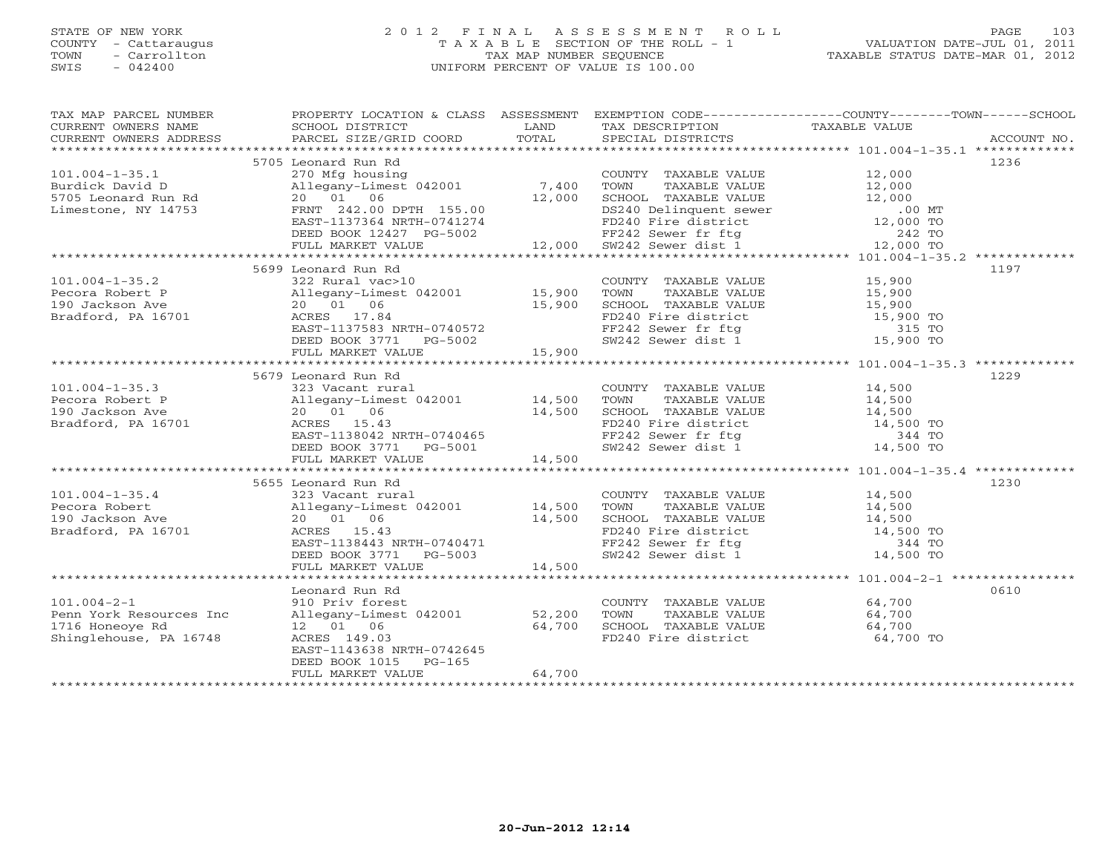### STATE OF NEW YORK 2 0 1 2 F I N A L A S S E S S M E N T R O L L PAGE 103 COUNTY - Cattaraugus T A X A B L E SECTION OF THE ROLL - 1 VALUATION DATE-JUL 01, 2011 TOWN - Carrollton TAX MAP NUMBER SEQUENCE TAXABLE STATUS DATE-MAR 01, 2012 SWIS - 042400 UNIFORM PERCENT OF VALUE IS 100.00UNIFORM PERCENT OF VALUE IS 100.00

| TAX MAP PARCEL NUMBER   |                                                                                       |               |                                                                                                                                                                                                                                                        | PROPERTY LOCATION & CLASS ASSESSMENT EXEMPTION CODE----------------COUNTY-------TOWN------SCHOOL |      |
|-------------------------|---------------------------------------------------------------------------------------|---------------|--------------------------------------------------------------------------------------------------------------------------------------------------------------------------------------------------------------------------------------------------------|--------------------------------------------------------------------------------------------------|------|
| CURRENT OWNERS NAME     | SCHOOL DISTRICT<br><b>Example 12</b> LAND                                             |               | TAX DESCRIPTION                                                                                                                                                                                                                                        | TAXABLE VALUE                                                                                    |      |
|                         |                                                                                       |               |                                                                                                                                                                                                                                                        |                                                                                                  |      |
|                         |                                                                                       |               |                                                                                                                                                                                                                                                        |                                                                                                  |      |
|                         | 5705 Leonard Run Rd                                                                   |               |                                                                                                                                                                                                                                                        |                                                                                                  | 1236 |
| $101.004 - 1 - 35.1$    | 270 Mfg housing                                                                       |               | COUNTY TAXABLE VALUE 12,000                                                                                                                                                                                                                            |                                                                                                  |      |
| Burdick David D         | Allegany-Limest 042001 7,400                                                          |               |                                                                                                                                                                                                                                                        |                                                                                                  |      |
| 5705 Leonard Run Rd     | 20  01  06                                                                            | 12,000        |                                                                                                                                                                                                                                                        |                                                                                                  |      |
| Limestone, NY 14753     | FRNT 242.00 DPTH 155.00                                                               |               | TOWN TAXABLE VALUE<br>TOWN TAXABLE VALUE<br>SCHOOL TAXABLE VALUE<br>DESCHOOL TAXABLE VALUE<br>DESCHOOL TAXABLE VALUE<br>12,000<br>DESCHOOL TAXABLE VALUE<br>12,000<br>TED 12,000 TO<br>FE242 Sewer dist 1<br>242 TO<br>SW242 Sewer dist 1<br>12,000 TO |                                                                                                  |      |
|                         | EAST-1137364 NRTH-0741274                                                             |               |                                                                                                                                                                                                                                                        |                                                                                                  |      |
|                         |                                                                                       |               |                                                                                                                                                                                                                                                        |                                                                                                  |      |
|                         |                                                                                       |               |                                                                                                                                                                                                                                                        |                                                                                                  |      |
|                         |                                                                                       |               |                                                                                                                                                                                                                                                        |                                                                                                  |      |
|                         | 5699 Leonard Run Rd                                                                   |               |                                                                                                                                                                                                                                                        |                                                                                                  | 1197 |
| $101.004 - 1 - 35.2$    | 322 Rural vac>10<br>Allegany-Limest 042001 15,900<br>Allegany-                        |               | COUNTY TAXABLE VALUE 15,900                                                                                                                                                                                                                            |                                                                                                  |      |
| Pecora Robert P         |                                                                                       |               | TOWN TAXABLE VALUE 15,900<br>SCHOOL TAXABLE VALUE 15,900                                                                                                                                                                                               |                                                                                                  |      |
| 190 Jackson Ave         |                                                                                       | 15,900        |                                                                                                                                                                                                                                                        |                                                                                                  |      |
| Bradford, PA 16701      | ACRES 17.84                                                                           |               | FD240 Fire district<br>FF242 Sewer fr ftg<br>SW242 Sewer dist 1 15,900 TO                                                                                                                                                                              |                                                                                                  |      |
|                         | EAST-1137583 NRTH-0740572                                                             |               |                                                                                                                                                                                                                                                        |                                                                                                  |      |
|                         | DEED BOOK 3771 PG-5002                                                                | $02$ $15,900$ |                                                                                                                                                                                                                                                        |                                                                                                  |      |
|                         | FULL MARKET VALUE                                                                     |               |                                                                                                                                                                                                                                                        |                                                                                                  |      |
|                         |                                                                                       |               |                                                                                                                                                                                                                                                        |                                                                                                  |      |
|                         | 5679 Leonard Run Rd                                                                   |               |                                                                                                                                                                                                                                                        |                                                                                                  | 1229 |
| $101.004 - 1 - 35.3$    |                                                                                       |               | COUNTY TAXABLE VALUE 14,500<br>TOWN TAXABLE VALUE 14,500                                                                                                                                                                                               |                                                                                                  |      |
| Pecora Robert P         |                                                                                       |               |                                                                                                                                                                                                                                                        |                                                                                                  |      |
| 190 Jackson Ave         | 323 Vacant rural<br>Allegany-Limest 042001 14,500<br>20 01 06 14,500<br>ACRES 15.43   |               |                                                                                                                                                                                                                                                        |                                                                                                  |      |
| Bradford, PA 16701      |                                                                                       |               |                                                                                                                                                                                                                                                        |                                                                                                  |      |
|                         |                                                                                       |               |                                                                                                                                                                                                                                                        |                                                                                                  |      |
|                         | --,----<br>EAST-1138042 NRTH-0740465<br>DEED BOOK 3771 PG-5001<br>FULL MARKET VALUE   |               | SCHOOL TAXABLE VALUE 14,500<br>FD240 Fire district 14,500 TO<br>FF242 Sewer fr ftg 344 TO<br>SW242 Sewer dist 1 14,500 TO                                                                                                                              |                                                                                                  |      |
|                         | FULL MARKET VALUE                                                                     | 14,500        |                                                                                                                                                                                                                                                        |                                                                                                  |      |
|                         |                                                                                       |               |                                                                                                                                                                                                                                                        |                                                                                                  |      |
|                         | 5655 Leonard Run Rd                                                                   |               |                                                                                                                                                                                                                                                        |                                                                                                  | 1230 |
| $101.004 - 1 - 35.4$    | 323 Vacant rural                                                                      |               | COUNTY TAXABLE VALUE 14,500                                                                                                                                                                                                                            |                                                                                                  |      |
| Pecora Robert           | 323 vacant rurai<br>Allegany-Limest 042001      14,500<br>20   01   06         14,500 |               | TOWN                                                                                                                                                                                                                                                   | TAXABLE VALUE 14,500                                                                             |      |
| 190 Jackson Ave         | 14,500                                                                                |               |                                                                                                                                                                                                                                                        |                                                                                                  |      |
| Bradford, PA 16701      | ACRES 15.43                                                                           |               | SCHOOL TAXABLE VALUE<br>FD240 Fire district 14,500 TO<br>FF242 Sewer fr ftg 344 TO<br>SW242 Sewer dist 1 14,500 TO                                                                                                                                     |                                                                                                  |      |
|                         | EAST-1138443 NRTH-0740471                                                             |               |                                                                                                                                                                                                                                                        |                                                                                                  |      |
|                         |                                                                                       |               |                                                                                                                                                                                                                                                        |                                                                                                  |      |
|                         | DEED BOOK 3771 PG-5003<br>FULL MARKET VALUE 14,500                                    |               |                                                                                                                                                                                                                                                        |                                                                                                  |      |
|                         |                                                                                       |               |                                                                                                                                                                                                                                                        |                                                                                                  |      |
|                         | Leonard Run Rd                                                                        |               |                                                                                                                                                                                                                                                        |                                                                                                  | 0610 |
| $101.004 - 2 - 1$       | 910 Priv forest                                                                       |               | COUNTY TAXABLE VALUE 64,700                                                                                                                                                                                                                            |                                                                                                  |      |
| Penn York Resources Inc |                                                                                       |               |                                                                                                                                                                                                                                                        |                                                                                                  |      |
| 1716 Honeoye Rd         | Allegany-Limest 042001 52,200<br>12 01 06 64,700                                      |               | TOWN TAXABLE VALUE 64,700<br>SCHOOL TAXABLE VALUE 64,700                                                                                                                                                                                               |                                                                                                  |      |
| Shinglehouse, PA 16748  | ACRES 149.03                                                                          |               | FD240 Fire district 64,700 TO                                                                                                                                                                                                                          |                                                                                                  |      |
|                         | EAST-1143638 NRTH-0742645                                                             |               |                                                                                                                                                                                                                                                        |                                                                                                  |      |
|                         | DEED BOOK 1015 PG-165                                                                 |               |                                                                                                                                                                                                                                                        |                                                                                                  |      |
|                         | FULL MARKET VALUE                                                                     | 64,700        |                                                                                                                                                                                                                                                        |                                                                                                  |      |
|                         |                                                                                       |               |                                                                                                                                                                                                                                                        |                                                                                                  |      |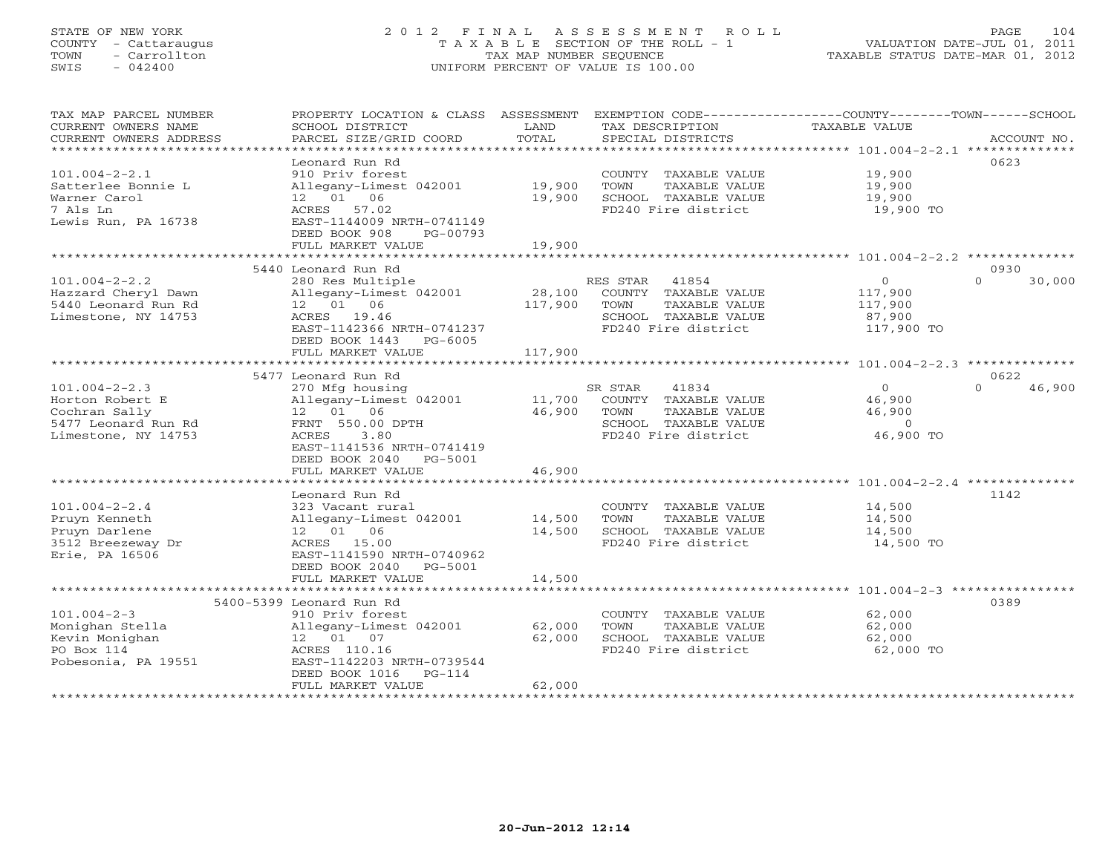## STATE OF NEW YORK 2 0 1 2 F I N A L A S S E S S M E N T R O L L PAGE 104 COUNTY - Cattaraugus T A X A B L E SECTION OF THE ROLL - 1 VALUATION DATE-JUL 01, 2011 TOWN - Carrollton TAX MAP NUMBER SEQUENCE TAXABLE STATUS DATE-MAR 01, 2012 SWIS - 042400 UNIFORM PERCENT OF VALUE IS 100.00UNIFORM PERCENT OF VALUE IS 100.00

| TAX MAP PARCEL NUMBER<br>CURRENT OWNERS NAME<br>CURRENT OWNERS ADDRESS | PROPERTY LOCATION & CLASS ASSESSMENT<br>SCHOOL DISTRICT<br>PARCEL SIZE/GRID COORD | LAND<br>TOTAL | EXEMPTION CODE-----------------COUNTY-------TOWN------SCHOOL<br>TAX DESCRIPTION<br>SPECIAL DISTRICTS | <b>TAXABLE VALUE</b>   | ACCOUNT NO.        |
|------------------------------------------------------------------------|-----------------------------------------------------------------------------------|---------------|------------------------------------------------------------------------------------------------------|------------------------|--------------------|
| ************************                                               |                                                                                   |               |                                                                                                      |                        |                    |
| $101.004 - 2 - 2.1$                                                    | Leonard Run Rd<br>910 Priv forest                                                 |               |                                                                                                      |                        | 0623               |
| Satterlee Bonnie L                                                     | Allegany-Limest 042001                                                            | 19,900        | COUNTY TAXABLE VALUE<br>TOWN<br>TAXABLE VALUE                                                        | 19,900<br>19,900       |                    |
| Warner Carol                                                           | 12 01 06                                                                          | 19,900        | SCHOOL TAXABLE VALUE                                                                                 | 19,900                 |                    |
| 7 Als Ln                                                               | ACRES 57.02                                                                       |               | FD240 Fire district                                                                                  | 19,900 TO              |                    |
| Lewis Run, PA 16738                                                    | EAST-1144009 NRTH-0741149                                                         |               |                                                                                                      |                        |                    |
|                                                                        | DEED BOOK 908<br>PG-00793                                                         |               |                                                                                                      |                        |                    |
|                                                                        | FULL MARKET VALUE                                                                 | 19,900        |                                                                                                      |                        |                    |
|                                                                        |                                                                                   | ***********   |                                                                                                      |                        |                    |
|                                                                        | 5440 Leonard Run Rd                                                               |               |                                                                                                      |                        | 0930               |
| $101.004 - 2 - 2.2$                                                    | 280 Res Multiple                                                                  |               | RES STAR<br>41854                                                                                    | $\circ$                | $\Omega$<br>30,000 |
| Hazzard Cheryl Dawn                                                    | Allegany-Limest 042001                                                            | 28,100        | COUNTY TAXABLE VALUE                                                                                 | 117,900                |                    |
| 5440 Leonard Run Rd                                                    | 12  01  06                                                                        | 117,900       | TOWN<br>TAXABLE VALUE                                                                                | 117,900                |                    |
| Limestone, NY 14753                                                    | ACRES 19.46                                                                       |               | SCHOOL TAXABLE VALUE                                                                                 | 87,900                 |                    |
|                                                                        | EAST-1142366 NRTH-0741237                                                         |               | FD240 Fire district                                                                                  | 117,900 TO             |                    |
|                                                                        | DEED BOOK 1443 PG-6005                                                            |               |                                                                                                      |                        |                    |
|                                                                        | FULL MARKET VALUE                                                                 | 117,900       |                                                                                                      |                        |                    |
|                                                                        |                                                                                   |               |                                                                                                      |                        |                    |
|                                                                        | 5477 Leonard Run Rd                                                               |               |                                                                                                      |                        | 0622<br>$\Omega$   |
| $101.004 - 2 - 2.3$<br>Horton Robert E                                 | 270 Mfg housing<br>Allegany-Limest 042001                                         | 11,700        | SR STAR<br>41834<br>COUNTY TAXABLE VALUE                                                             | $\mathbf{0}$<br>46,900 | 46,900             |
| Cochran Sally                                                          | 12  01  06                                                                        | 46,900        | TOWN<br>TAXABLE VALUE                                                                                | 46,900                 |                    |
| 5477 Leonard Run Rd                                                    | FRNT 550.00 DPTH                                                                  |               | SCHOOL TAXABLE VALUE                                                                                 | $\overline{0}$         |                    |
| Limestone, NY 14753                                                    | 3.80<br>ACRES                                                                     |               | FD240 Fire district                                                                                  | 46,900 TO              |                    |
|                                                                        | EAST-1141536 NRTH-0741419                                                         |               |                                                                                                      |                        |                    |
|                                                                        | DEED BOOK 2040<br>PG-5001                                                         |               |                                                                                                      |                        |                    |
|                                                                        | FULL MARKET VALUE                                                                 | 46,900        |                                                                                                      |                        |                    |
|                                                                        |                                                                                   |               |                                                                                                      |                        |                    |
|                                                                        | Leonard Run Rd                                                                    |               |                                                                                                      |                        | 1142               |
| $101.004 - 2 - 2.4$                                                    | 323 Vacant rural                                                                  |               | COUNTY TAXABLE VALUE                                                                                 | 14,500                 |                    |
| Pruyn Kenneth                                                          | Allegany-Limest 042001                                                            | 14,500        | TOWN<br>TAXABLE VALUE                                                                                | 14,500                 |                    |
| Pruyn Darlene                                                          | 12 01 06                                                                          | 14,500        | SCHOOL TAXABLE VALUE                                                                                 | 14,500                 |                    |
| 3512 Breezeway Dr                                                      | ACRES 15.00                                                                       |               | FD240 Fire district                                                                                  | 14,500 TO              |                    |
| Erie, PA 16506                                                         | EAST-1141590 NRTH-0740962                                                         |               |                                                                                                      |                        |                    |
|                                                                        | DEED BOOK 2040<br>PG-5001                                                         |               |                                                                                                      |                        |                    |
|                                                                        | FULL MARKET VALUE                                                                 | 14,500        |                                                                                                      |                        |                    |
|                                                                        | 5400-5399 Leonard Run Rd                                                          |               |                                                                                                      |                        | 0389               |
| $101.004 - 2 - 3$                                                      | 910 Priv forest                                                                   |               | COUNTY TAXABLE VALUE                                                                                 | 62,000                 |                    |
| Monighan Stella                                                        | Allegany-Limest 042001                                                            | 62,000        | TOWN<br>TAXABLE VALUE                                                                                | 62,000                 |                    |
| Kevin Monighan                                                         | 12  01  07                                                                        | 62,000        | SCHOOL TAXABLE VALUE                                                                                 | 62,000                 |                    |
| PO Box 114                                                             | ACRES 110.16                                                                      |               | FD240 Fire district                                                                                  | 62,000 TO              |                    |
| Pobesonia, PA 19551                                                    | EAST-1142203 NRTH-0739544                                                         |               |                                                                                                      |                        |                    |
|                                                                        | DEED BOOK 1016<br>$PG-114$                                                        |               |                                                                                                      |                        |                    |
|                                                                        | FULL MARKET VALUE                                                                 | 62,000        |                                                                                                      |                        |                    |
|                                                                        |                                                                                   |               |                                                                                                      |                        |                    |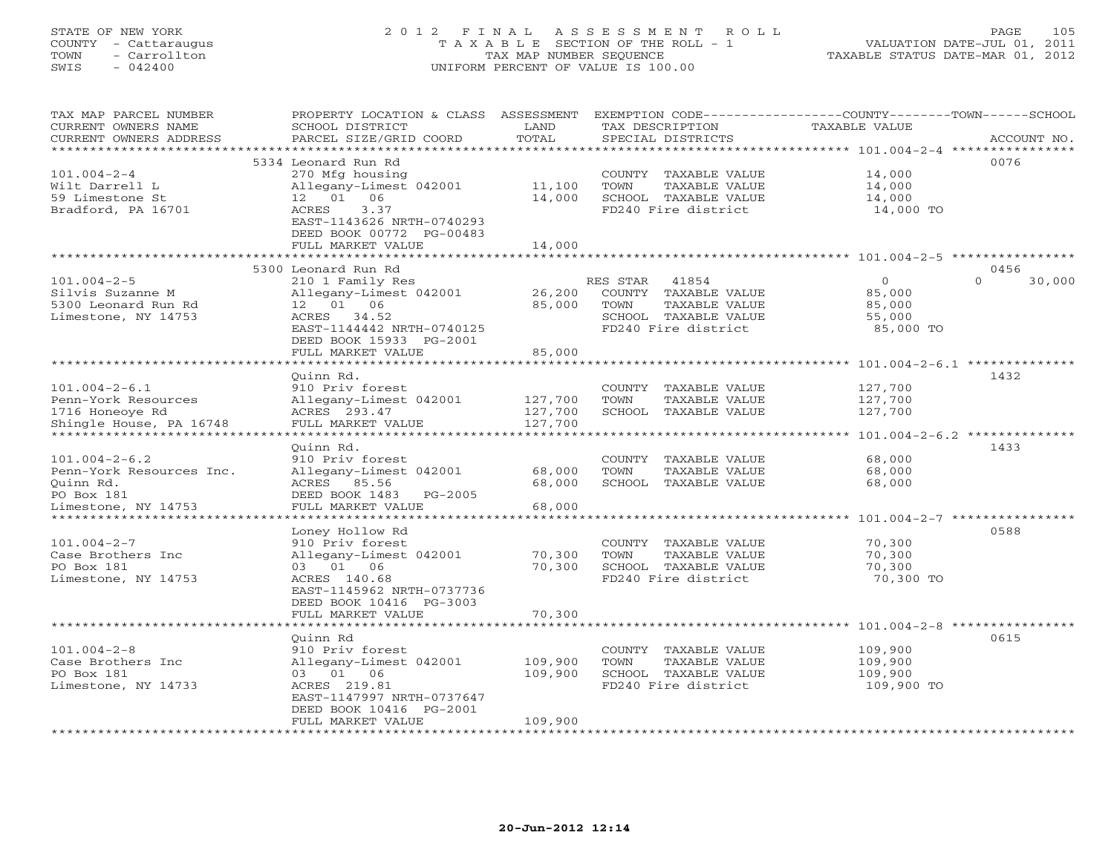# STATE OF NEW YORK 2 0 1 2 F I N A L A S S E S S M E N T R O L L PAGE 105 COUNTY - Cattaraugus T A X A B L E SECTION OF THE ROLL - 1 VALUATION DATE-JUL 01, 2011 TOWN - Carrollton TAX MAP NUMBER SEQUENCE TAXABLE STATUS DATE-MAR 01, 2012 SWIS - 042400 UNIFORM PERCENT OF VALUE IS 100.00UNIFORM PERCENT OF VALUE IS 100.00

| TAX MAP PARCEL NUMBER<br>CURRENT OWNERS NAME<br>CURRENT OWNERS ADDRESS | PROPERTY LOCATION & CLASS<br>SCHOOL DISTRICT<br>PARCEL SIZE/GRID COORD | ASSESSMENT<br>LAND<br>TOTAL | EXEMPTION CODE--<br>TAX DESCRIPTION<br>SPECIAL DISTRICTS | -----COUNTY-------TOWN------SCHOOL<br><b>TAXABLE VALUE</b>    | ACCOUNT NO. |
|------------------------------------------------------------------------|------------------------------------------------------------------------|-----------------------------|----------------------------------------------------------|---------------------------------------------------------------|-------------|
|                                                                        |                                                                        |                             |                                                          | *******<br>***** $101.004-2-4$ ***                            |             |
| $101.004 - 2 - 4$                                                      | 5334 Leonard Run Rd<br>270 Mfg housing                                 |                             | TAXABLE VALUE<br>COUNTY                                  | 0076<br>14,000                                                |             |
| Wilt Darrell L<br>59 Limestone St                                      | Allegany-Limest 042001<br>01<br>06<br>12                               | 11,100<br>14,000            | TOWN<br>TAXABLE VALUE<br>SCHOOL<br>TAXABLE VALUE         | 14,000<br>14,000                                              |             |
| Bradford, PA 16701                                                     | ACRES<br>3.37                                                          |                             | FD240 Fire district                                      | 14,000 TO                                                     |             |
|                                                                        | EAST-1143626 NRTH-0740293<br>DEED BOOK 00772 PG-00483                  |                             |                                                          |                                                               |             |
|                                                                        | FULL MARKET VALUE                                                      | 14,000                      |                                                          |                                                               |             |
|                                                                        |                                                                        |                             |                                                          |                                                               |             |
|                                                                        | 5300 Leonard Run Rd                                                    |                             |                                                          | 0456                                                          |             |
| $101.004 - 2 - 5$                                                      | 210 1 Family Res                                                       |                             | RES STAR<br>41854                                        | $\overline{0}$<br>$\Omega$                                    | 30,000      |
| Silvis Suzanne M<br>5300 Leonard Run Rd                                | Allegany-Limest 042001<br>06<br>01<br>12                               | 26,200<br>85,000            | COUNTY<br>TAXABLE VALUE<br>TOWN<br>TAXABLE VALUE         | 85,000<br>85,000                                              |             |
| Limestone, NY 14753                                                    | ACRES<br>34.52                                                         |                             | SCHOOL TAXABLE VALUE                                     | 55,000                                                        |             |
|                                                                        | EAST-1144442 NRTH-0740125                                              |                             | FD240 Fire district                                      | 85,000 TO                                                     |             |
|                                                                        | DEED BOOK 15933 PG-2001                                                |                             |                                                          |                                                               |             |
|                                                                        | FULL MARKET VALUE                                                      | 85,000                      |                                                          |                                                               |             |
|                                                                        |                                                                        |                             |                                                          | ******************************** 101.004-2-6.1 ************** |             |
|                                                                        | Ouinn Rd.                                                              |                             |                                                          | 1432                                                          |             |
| $101.004 - 2 - 6.1$                                                    | 910 Priv forest                                                        |                             | <b>COUNTY</b><br><b>TAXABLE VALUE</b>                    | 127,700                                                       |             |
| Penn-York Resources<br>1716 Honeoye Rd                                 | Allegany-Limest 042001<br>ACRES 293.47                                 | 127,700<br>127,700          | TOWN<br><b>TAXABLE VALUE</b><br>SCHOOL TAXABLE VALUE     | 127,700<br>127,700                                            |             |
| Shingle House, PA 16748                                                | FULL MARKET VALUE                                                      | 127,700                     |                                                          |                                                               |             |
|                                                                        | * * * * * * * * * * * * * * *                                          |                             |                                                          | $101.004 - 2 - 6.2$ **************                            |             |
|                                                                        | Ouinn Rd.                                                              |                             |                                                          | 1433                                                          |             |
| $101.004 - 2 - 6.2$                                                    | 910 Priv forest                                                        |                             | COUNTY<br>TAXABLE VALUE                                  | 68,000                                                        |             |
| Penn-York Resources Inc.                                               | Allegany-Limest 042001                                                 | 68,000                      | TOWN<br>TAXABLE VALUE                                    | 68,000                                                        |             |
| Ouinn Rd.                                                              | ACRES<br>85.56                                                         | 68,000                      | SCHOOL<br>TAXABLE VALUE                                  | 68,000                                                        |             |
| PO Box 181<br>Limestone, NY 14753                                      | DEED BOOK 1483<br>$PG-2005$<br>FULL MARKET VALUE                       | 68,000                      |                                                          |                                                               |             |
| ******************                                                     | ******************                                                     |                             |                                                          | ********* 101.004-2-7 ****************                        |             |
|                                                                        | Loney Hollow Rd                                                        |                             |                                                          | 0588                                                          |             |
| $101.004 - 2 - 7$                                                      | 910 Priv forest                                                        |                             | TAXABLE VALUE<br>COUNTY                                  | 70,300                                                        |             |
| Case Brothers Inc                                                      | Allegany-Limest 042001                                                 | 70,300                      | TOWN<br><b>TAXABLE VALUE</b>                             | 70,300                                                        |             |
| PO Box 181                                                             | 01<br>06<br>03                                                         | 70,300                      | SCHOOL TAXABLE VALUE                                     | 70,300                                                        |             |
| Limestone, NY 14753                                                    | ACRES 140.68                                                           |                             | FD240 Fire district                                      | 70,300 TO                                                     |             |
|                                                                        | EAST-1145962 NRTH-0737736                                              |                             |                                                          |                                                               |             |
|                                                                        | DEED BOOK 10416 PG-3003<br>FULL MARKET VALUE                           | 70,300                      |                                                          |                                                               |             |
|                                                                        |                                                                        |                             |                                                          | $101.004 - 2 - 8$ ****************                            |             |
|                                                                        | Ouinn Rd                                                               |                             |                                                          | 0615                                                          |             |
| $101.004 - 2 - 8$                                                      | 910 Priv forest                                                        |                             | COUNTY<br>TAXABLE VALUE                                  | 109,900                                                       |             |
| Case Brothers Inc                                                      | Allegany-Limest 042001                                                 | 109,900                     | TOWN<br>TAXABLE VALUE                                    | 109,900                                                       |             |
| PO Box 181                                                             | 03<br>01<br>06                                                         | 109,900                     | SCHOOL TAXABLE VALUE                                     | 109,900                                                       |             |
| Limestone, NY 14733                                                    | ACRES 219.81                                                           |                             | FD240 Fire district                                      | 109,900 TO                                                    |             |
|                                                                        | EAST-1147997 NRTH-0737647<br>DEED BOOK 10416 PG-2001                   |                             |                                                          |                                                               |             |
|                                                                        | FULL MARKET VALUE                                                      | 109,900                     |                                                          |                                                               |             |
|                                                                        |                                                                        |                             |                                                          |                                                               |             |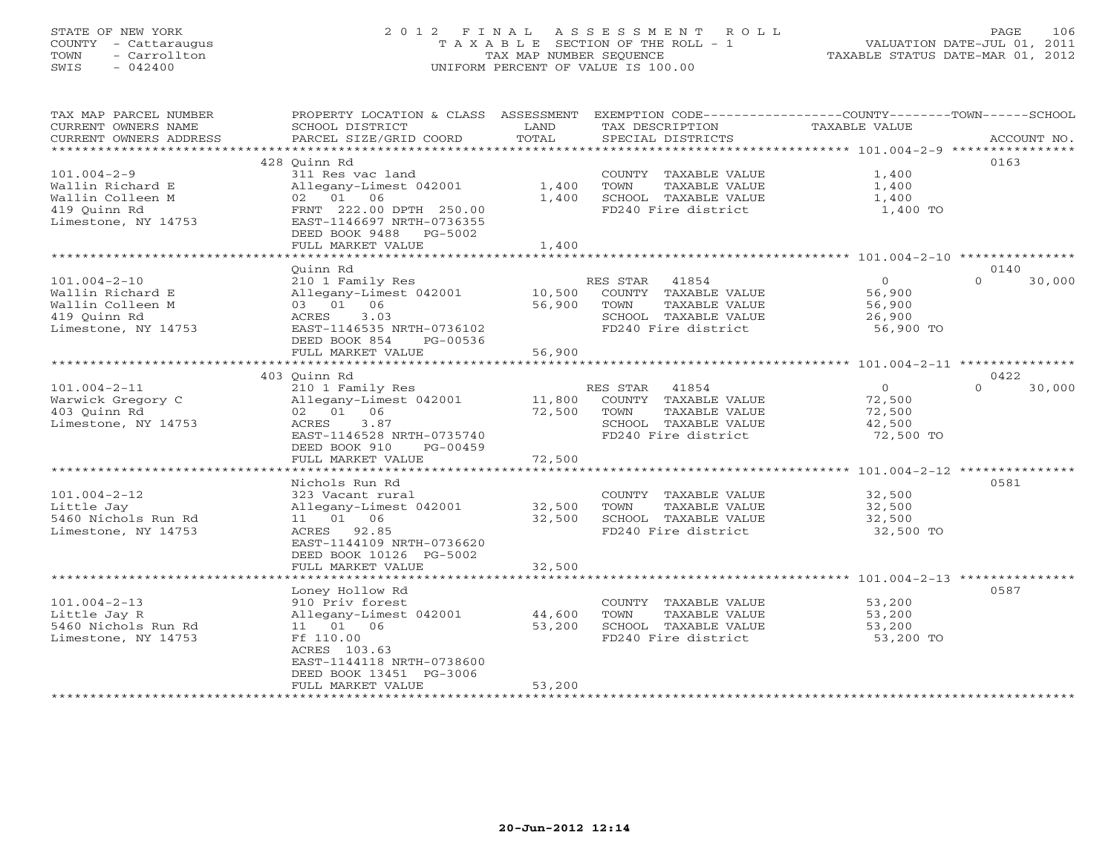# STATE OF NEW YORK 2 0 1 2 F I N A L A S S E S S M E N T R O L L PAGE 106 COUNTY - Cattaraugus T A X A B L E SECTION OF THE ROLL - 1 VALUATION DATE-JUL 01, 2011 TOWN - Carrollton TAX MAP NUMBER SEQUENCE TAXABLE STATUS DATE-MAR 01, 2012 SWIS - 042400 UNIFORM PERCENT OF VALUE IS 100.00UNIFORM PERCENT OF VALUE IS 100.00

| TAX MAP PARCEL NUMBER                                | PROPERTY LOCATION & CLASS ASSESSMENT EXEMPTION CODE----------------COUNTY-------TOWN------SCHOOL |        |                                               |                     |                    |
|------------------------------------------------------|--------------------------------------------------------------------------------------------------|--------|-----------------------------------------------|---------------------|--------------------|
| CURRENT OWNERS NAME                                  | SCHOOL DISTRICT                                                                                  | LAND   | TAX DESCRIPTION                               | TAXABLE VALUE       |                    |
| CURRENT OWNERS ADDRESS<br>************************** | PARCEL SIZE/GRID COORD                                                                           | TOTAL  | SPECIAL DISTRICTS                             |                     | ACCOUNT NO.        |
|                                                      |                                                                                                  |        |                                               |                     | 0163               |
| $101.004 - 2 - 9$                                    | 428 Ouinn Rd<br>311 Res vac land                                                                 |        |                                               | 1,400               |                    |
| Wallin Richard E                                     | Allegany-Limest 042001                                                                           | 1,400  | COUNTY TAXABLE VALUE<br>TOWN<br>TAXABLE VALUE | 1,400               |                    |
| Wallin Colleen M                                     | 02 01 06                                                                                         | 1,400  | SCHOOL TAXABLE VALUE                          | 1,400               |                    |
| 419 Quinn Rd                                         | FRNT 222.00 DPTH 250.00                                                                          |        | FD240 Fire district                           | 1,400 TO            |                    |
| Limestone, NY 14753                                  | EAST-1146697 NRTH-0736355                                                                        |        |                                               |                     |                    |
|                                                      | DEED BOOK 9488 PG-5002                                                                           |        |                                               |                     |                    |
|                                                      | FULL MARKET VALUE                                                                                | 1,400  |                                               |                     |                    |
|                                                      |                                                                                                  |        |                                               |                     |                    |
|                                                      | Quinn Rd                                                                                         |        |                                               |                     | 0140               |
| $101.004 - 2 - 10$                                   | 210 1 Family Res                                                                                 |        | RES STAR 41854                                | $\Omega$            | $\Omega$<br>30,000 |
| Wallin Richard E                                     | Allegany-Limest 042001 10,500                                                                    |        | COUNTY TAXABLE VALUE                          | 56,900              |                    |
| Wallin Colleen M                                     | 03 01 06                                                                                         | 56,900 | TOWN<br>TAXABLE VALUE                         | 56,900              |                    |
| 419 Quinn Rd                                         | 3.03<br>ACRES                                                                                    |        | SCHOOL TAXABLE VALUE                          | 26,900              |                    |
| Limestone, NY 14753                                  | EAST-1146535 NRTH-0736102                                                                        |        | FD240 Fire district                           | 56,900 TO           |                    |
|                                                      | DEED BOOK 854<br>PG-00536                                                                        |        |                                               |                     |                    |
|                                                      |                                                                                                  |        |                                               |                     |                    |
|                                                      | 403 Quinn Rd                                                                                     |        |                                               |                     | 0422               |
| $101.004 - 2 - 11$                                   | (11 mm ku)<br>210 1 Family Res<br>Allegany-Limest 042001 11,800                                  |        | RES STAR<br>41854                             | $\bigcirc$          | $\Omega$<br>30,000 |
| Warwick Gregory C                                    |                                                                                                  |        | COUNTY TAXABLE VALUE                          | 72,500              |                    |
| 403 Quinn Rd                                         |                                                                                                  |        | TOWN<br>TAXABLE VALUE                         | 72,500              |                    |
| Limestone, NY 14753                                  | ACRES<br>3.87                                                                                    |        | SCHOOL TAXABLE VALUE                          | 42,500              |                    |
|                                                      | EAST-1146528 NRTH-0735740                                                                        |        | FD240 Fire district                           | 72,500 TO           |                    |
|                                                      | DEED BOOK 910<br>PG-00459                                                                        |        |                                               |                     |                    |
|                                                      | FULL MARKET VALUE                                                                                | 72,500 |                                               |                     |                    |
|                                                      |                                                                                                  |        |                                               |                     |                    |
|                                                      | Nichols Run Rd                                                                                   |        |                                               |                     | 0581               |
| $101.004 - 2 - 12$                                   | 323 Vacant rural                                                                                 |        | COUNTY TAXABLE VALUE                          | 32,500              |                    |
| Little Jay<br>5460 Nichols Run Rd                    | Allegany-Limest 042001 32,500<br>11 01 06                                                        | 32,500 | TOWN<br>TAXABLE VALUE<br>SCHOOL TAXABLE VALUE | 32,500              |                    |
| Limestone, NY 14753                                  | ACRES 92.85                                                                                      |        | FD240 Fire district                           | 32,500<br>32,500 TO |                    |
|                                                      | EAST-1144109 NRTH-0736620                                                                        |        |                                               |                     |                    |
|                                                      | DEED BOOK 10126 PG-5002                                                                          |        |                                               |                     |                    |
|                                                      | FULL MARKET VALUE                                                                                | 32,500 |                                               |                     |                    |
|                                                      |                                                                                                  |        |                                               |                     |                    |
|                                                      | Loney Hollow Rd                                                                                  |        |                                               |                     | 0587               |
| $101.004 - 2 - 13$                                   | 910 Priv forest                                                                                  |        | COUNTY TAXABLE VALUE 53,200                   |                     |                    |
| Little Jay R                                         | Allegany-Limest 042001 44,600                                                                    |        | TOWN<br>TAXABLE VALUE                         | 53,200              |                    |
| 5460 Nichols Run Rd                                  | 11 01 06                                                                                         | 53,200 | SCHOOL TAXABLE VALUE                          | 53,200              |                    |
| Limestone, NY 14753                                  | Ff 110.00                                                                                        |        | FD240 Fire district                           | 53,200 TO           |                    |
|                                                      | ACRES 103.63                                                                                     |        |                                               |                     |                    |
|                                                      | EAST-1144118 NRTH-0738600                                                                        |        |                                               |                     |                    |
|                                                      | DEED BOOK 13451 PG-3006<br>FULL MARKET VALUE                                                     | 53,200 |                                               |                     |                    |
|                                                      |                                                                                                  |        |                                               |                     |                    |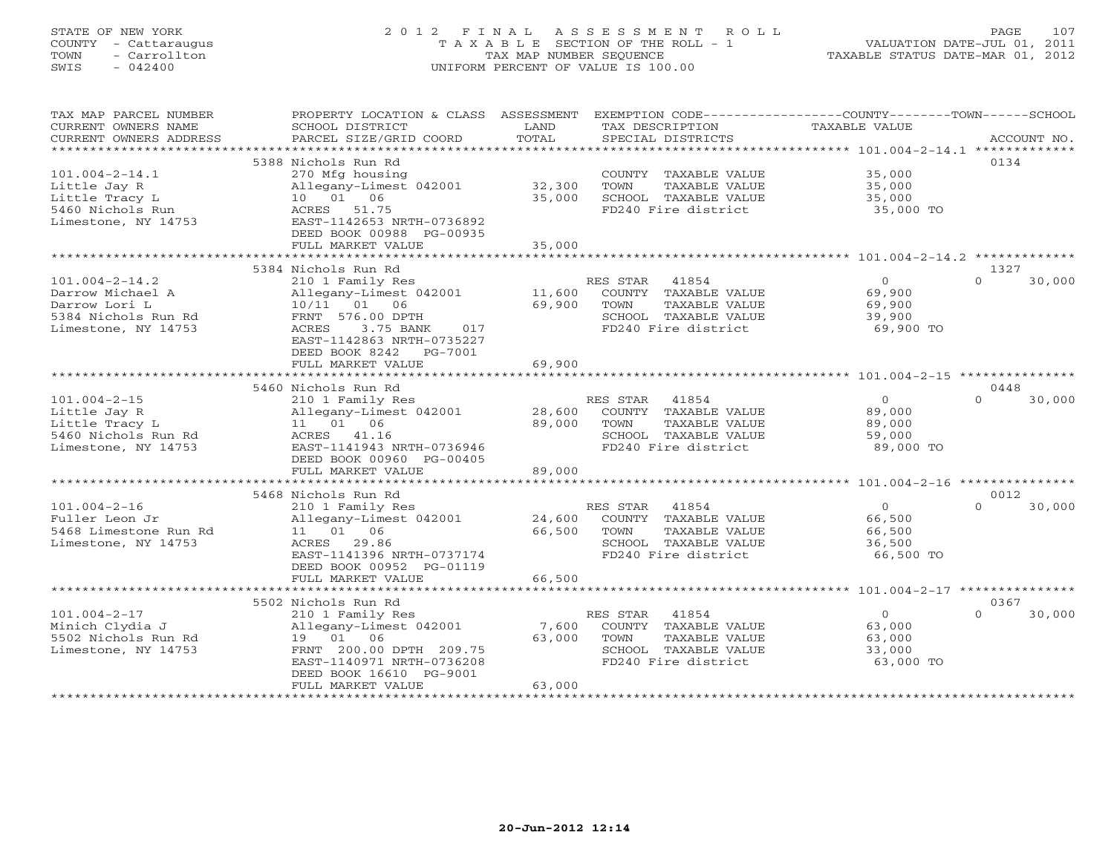# STATE OF NEW YORK 2 0 1 2 F I N A L A S S E S S M E N T R O L L PAGE 107 COUNTY - Cattaraugus T A X A B L E SECTION OF THE ROLL - 1 VALUATION DATE-JUL 01, 2011 TOWN - Carrollton TAX MAP NUMBER SEQUENCE TAXABLE STATUS DATE-MAR 01, 2012 SWIS - 042400 UNIFORM PERCENT OF VALUE IS 100.00UNIFORM PERCENT OF VALUE IS 100.00

| TAX MAP PARCEL NUMBER<br>CURRENT OWNERS NAME<br>CURRENT OWNERS ADDRESS | PROPERTY LOCATION & CLASS ASSESSMENT<br>SCHOOL DISTRICT<br>PARCEL SIZE/GRID COORD | LAND<br>TOTAL            | EXEMPTION CODE-----------------COUNTY-------TOWN-----SCHOOL<br>TAX DESCRIPTION<br>SPECIAL DISTRICTS | TAXABLE VALUE                                       | ACCOUNT NO.        |
|------------------------------------------------------------------------|-----------------------------------------------------------------------------------|--------------------------|-----------------------------------------------------------------------------------------------------|-----------------------------------------------------|--------------------|
| ***********************                                                |                                                                                   |                          |                                                                                                     |                                                     |                    |
|                                                                        | 5388 Nichols Run Rd                                                               |                          |                                                                                                     |                                                     | 0134               |
| $101.004 - 2 - 14.1$                                                   | 270 Mfg housing                                                                   |                          | COUNTY TAXABLE VALUE                                                                                | 35,000                                              |                    |
| Little Jay R                                                           | Allegany-Limest 042001                                                            | 32,300                   | TOWN<br>TAXABLE VALUE                                                                               | 35,000                                              |                    |
| Little Tracy L<br>5460 Nichols Run                                     | 10 01 06<br>ACRES 51.75                                                           | 35,000                   | SCHOOL TAXABLE VALUE<br>FD240 Fire district                                                         | 35,000                                              |                    |
| Limestone, NY 14753                                                    | EAST-1142653 NRTH-0736892                                                         |                          |                                                                                                     | 35,000 TO                                           |                    |
|                                                                        | DEED BOOK 00988 PG-00935                                                          |                          |                                                                                                     |                                                     |                    |
|                                                                        | FULL MARKET VALUE                                                                 | 35,000                   |                                                                                                     |                                                     |                    |
|                                                                        | *****************                                                                 | **********               |                                                                                                     | ********************** 101.004-2-14.2 ************* |                    |
|                                                                        | 5384 Nichols Run Rd                                                               |                          |                                                                                                     |                                                     | 1327               |
| $101.004 - 2 - 14.2$                                                   | 210 1 Family Res                                                                  |                          | RES STAR<br>41854                                                                                   | $\circ$                                             | $\Omega$<br>30,000 |
| Darrow Michael A                                                       | Allegany-Limest 042001                                                            | 11,600                   | COUNTY TAXABLE VALUE                                                                                | 69,900                                              |                    |
| Darrow Lori L                                                          | 10/11 01<br>06                                                                    | 69,900                   | TOWN<br>TAXABLE VALUE                                                                               | 69,900                                              |                    |
| 5384 Nichols Run Rd                                                    | FRNT 576.00 DPTH                                                                  |                          | SCHOOL TAXABLE VALUE                                                                                | 39,900                                              |                    |
| Limestone, NY 14753                                                    | ACRES<br>3.75 BANK<br>017                                                         |                          | FD240 Fire district                                                                                 | 69,900 TO                                           |                    |
|                                                                        | EAST-1142863 NRTH-0735227                                                         |                          |                                                                                                     |                                                     |                    |
|                                                                        | DEED BOOK 8242<br>PG-7001                                                         |                          |                                                                                                     |                                                     |                    |
|                                                                        | FULL MARKET VALUE                                                                 | 69,900                   |                                                                                                     |                                                     |                    |
|                                                                        | **************************                                                        |                          |                                                                                                     |                                                     |                    |
|                                                                        | 5460 Nichols Run Rd                                                               |                          |                                                                                                     |                                                     | 0448               |
| $101.004 - 2 - 15$                                                     | 210 1 Family Res                                                                  |                          | RES STAR<br>41854                                                                                   | $\Omega$                                            | $\Omega$<br>30,000 |
| Little Jay R<br>Little Tracy L                                         | Allegany-Limest 042001<br>11  01  06                                              | 28,600<br>89,000         | COUNTY TAXABLE VALUE<br>TOWN<br>TAXABLE VALUE                                                       | 89,000<br>89,000                                    |                    |
| 5460 Nichols Run Rd                                                    | ACRES 41.16                                                                       |                          | SCHOOL TAXABLE VALUE                                                                                | 59,000                                              |                    |
| Limestone, NY 14753                                                    | EAST-1141943 NRTH-0736946                                                         |                          | FD240 Fire district                                                                                 | 89,000 TO                                           |                    |
|                                                                        | DEED BOOK 00960 PG-00405                                                          |                          |                                                                                                     |                                                     |                    |
|                                                                        | FULL MARKET VALUE                                                                 | 89,000                   |                                                                                                     |                                                     |                    |
|                                                                        |                                                                                   |                          |                                                                                                     |                                                     |                    |
|                                                                        | 5468 Nichols Run Rd                                                               |                          |                                                                                                     |                                                     | 0012               |
| $101.004 - 2 - 16$                                                     | 210 1 Family Res                                                                  |                          | RES STAR<br>41854                                                                                   | $\Omega$                                            | $\Omega$<br>30,000 |
| Fuller Leon Jr                                                         | Allegany-Limest 042001                                                            | 24,600                   | COUNTY TAXABLE VALUE                                                                                | 66,500                                              |                    |
| 5468 Limestone Run Rd                                                  | 11 01 06                                                                          | 66,500                   | TAXABLE VALUE<br>TOWN                                                                               | 66,500                                              |                    |
| Limestone, NY 14753                                                    | ACRES<br>29.86                                                                    |                          | SCHOOL TAXABLE VALUE                                                                                | 36,500                                              |                    |
|                                                                        | EAST-1141396 NRTH-0737174                                                         |                          | FD240 Fire district                                                                                 | 66,500 TO                                           |                    |
|                                                                        | DEED BOOK 00952 PG-01119                                                          |                          |                                                                                                     |                                                     |                    |
|                                                                        | FULL MARKET VALUE<br>***************************                                  | 66,500<br>************** |                                                                                                     |                                                     |                    |
|                                                                        |                                                                                   |                          |                                                                                                     |                                                     |                    |
|                                                                        | 5502 Nichols Run Rd                                                               |                          |                                                                                                     | $\Omega$                                            | 0367<br>$\Omega$   |
| $101.004 - 2 - 17$<br>Minich Clydia J                                  | 210 1 Family Res<br>Allegany-Limest 042001                                        | 7,600                    | RES STAR<br>41854<br>COUNTY TAXABLE VALUE                                                           | 63,000                                              | 30,000             |
| 5502 Nichols Run Rd                                                    | 19 01 06                                                                          | 63,000                   | TAXABLE VALUE<br>TOWN                                                                               | 63,000                                              |                    |
| Limestone, NY 14753                                                    | FRNT 200.00 DPTH 209.75                                                           |                          | SCHOOL TAXABLE VALUE                                                                                | 33,000                                              |                    |
|                                                                        | EAST-1140971 NRTH-0736208                                                         |                          | FD240 Fire district                                                                                 | 63,000 TO                                           |                    |
|                                                                        | DEED BOOK 16610 PG-9001                                                           |                          |                                                                                                     |                                                     |                    |
|                                                                        | FULL MARKET VALUE                                                                 | 63,000                   |                                                                                                     |                                                     |                    |
|                                                                        |                                                                                   |                          |                                                                                                     |                                                     |                    |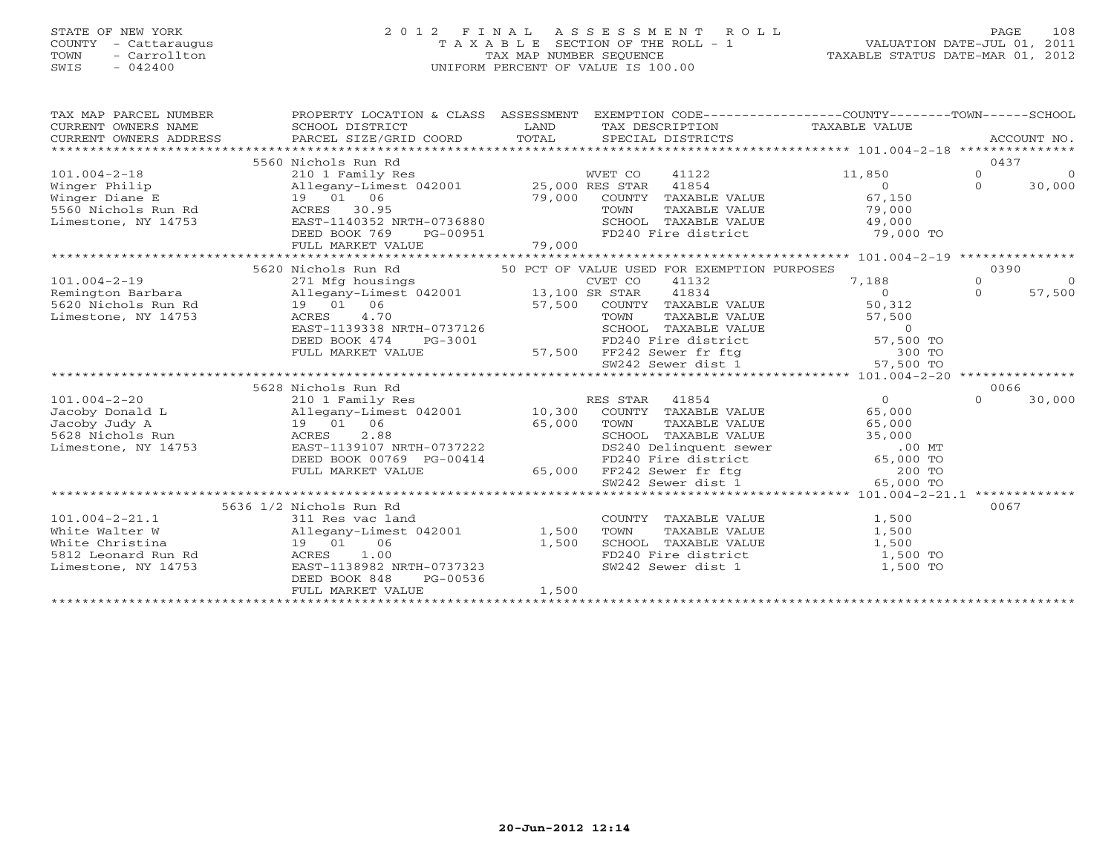## STATE OF NEW YORK 2 0 1 2 F I N A L A S S E S S M E N T R O L L PAGE 108 COUNTY - Cattaraugus T A X A B L E SECTION OF THE ROLL - 1 VALUATION DATE-JUL 01, 2011 TOWN - Carrollton TAX MAP NUMBER SEQUENCE TAXABLE STATUS DATE-MAR 01, 2012 SWIS - 042400 UNIFORM PERCENT OF VALUE IS 100.00UNIFORM PERCENT OF VALUE IS 100.00

| TAX MAP PARCEL NUMBER<br>CURRENT OWNERS NAME<br>CURRENT OWNERS ADDRESS PARCEL SIZE/GRID COORD                                                 | PROPERTY LOCATION & CLASS ASSESSMENT EXEMPTION CODE----------------COUNTY-------TOWN------SCHOOL<br>SCHOOL DISTRICT                                                                                      | <b>Example 12</b> LAND<br>TOTAL | SPECIAL DISTRICTS |                                                                                              | TAX DESCRIPTION TAXABLE VALUE                                                                                                                                                                                                                                      |                              | ACCOUNT NO.          |
|-----------------------------------------------------------------------------------------------------------------------------------------------|----------------------------------------------------------------------------------------------------------------------------------------------------------------------------------------------------------|---------------------------------|-------------------|----------------------------------------------------------------------------------------------|--------------------------------------------------------------------------------------------------------------------------------------------------------------------------------------------------------------------------------------------------------------------|------------------------------|----------------------|
| $101.004 - 2 - 18$<br>Winger Philip<br>Winger Diane E $19 - 01 - 06$<br>5560 Nichols Run Rd ACRES 30.95<br>Limestone, NY 14753 EAST-1140352 N | 5560 Nichols Run Rd<br>210 1 Family Res<br>Allegany-Limest 042001 25,000 RES STAR<br>EAST-1140352 NRTH-0736880<br>DEED BOOK 769                                                                          |                                 | WVET CO           | 41854                                                                                        | 41122 11,850<br>$\Omega$<br>79,000 COUNTY TAXABLE VALUE 67,150<br>79,000 COUNTY TAXABLE VALUE 79,000<br>SCHOOL TAXABLE VALUE 79,000<br>PG-00951 FD240 Fire district 79,000 TO                                                                                      | 0437<br>$\Omega$<br>$\Omega$ | $\bigcirc$<br>30,000 |
| $101.004 - 2 - 19$<br>Remington Barbara<br>5620 Nichols Run Rd<br>Limestone, NY 14753                                                         | 5620 Nichols Run Rd<br>271 Mfg housings (EVET CO Allegany-Limest 042001 13,100 SR STAR<br>19  01  06<br>4.70<br>ACRES<br>EAST-1139338 NRTH-0737126<br>DEED BOOK 474<br>FULL MARKET VALUE                 |                                 |                   | 50 PCT OF VALUE USED FOR EXEMPTION PURPOSES<br>41132<br>41834<br>57,500 COUNTY TAXABLE VALUE | 7,188<br>$\Omega$<br>50,312<br>97,900 COUNTY TAXABLE VALUE<br>TOWN TAXABLE VALUE<br>SCHOOL TAXABLE VALUE<br>PG-3001 FD240 Fire district 57,500 TO<br>E 57,500 FF242 Sewer dist.1<br>tititititivitititities 57,500 TO<br>FM242 Sewer dist.1<br>tititities 57,500 TO | 0390<br>$\Omega$<br>$\Omega$ | $\bigcirc$<br>57,500 |
|                                                                                                                                               |                                                                                                                                                                                                          |                                 |                   |                                                                                              |                                                                                                                                                                                                                                                                    |                              |                      |
|                                                                                                                                               | 5628 Nichols Run Rd                                                                                                                                                                                      |                                 |                   |                                                                                              |                                                                                                                                                                                                                                                                    | 0066                         |                      |
| $101.004 - 2 - 20$<br>Jacoby Donald L<br>Jacoby Judy A<br>5628 Nichols Run<br>Limestone, NY 14753                                             | 210 1 Family Res<br>Allegany-Limest 042001 10,300 COUNTY TAXABLE VALUE<br>19 01 06 65,000 TOWN TAXABLE VALUE<br>ACRES 2.88 SCHOOL TAXABLE VALUE<br>EAST-1139107 NRTH-0737222<br>DEED BOOK 00769 PG-00414 |                                 |                   | TAXABLE VALUE<br>SCHOOL TAXABLE VALUE                                                        | $\overline{0}$<br>65,000<br>65,000<br>35,000<br>0737222 DS240 Delinquent sewer 00414<br>G-00414 FD240 Fire district 65,000 TO<br>65,000 FF242 Sewer fr ftg 200 TO<br>SW242 Sewer dist 1 65,000 TO                                                                  | $\Omega$                     | 30,000               |
|                                                                                                                                               | FULL MARKET VALUE                                                                                                                                                                                        |                                 |                   |                                                                                              |                                                                                                                                                                                                                                                                    |                              |                      |
|                                                                                                                                               |                                                                                                                                                                                                          |                                 |                   |                                                                                              |                                                                                                                                                                                                                                                                    |                              |                      |
| $101.004 - 2 - 21.1$<br>White Walter W<br>19 01<br>White Christina<br>5812 Leonard Run Rd<br>Limestone, NY 14753<br>EAST-1                    | 5636 1/2 Nichols Run Rd<br>311 $\text{Res } \text{vac } \text{tan}$<br>Allegany-Limest 042001 1,500<br>06<br>1.00<br>EAST-1138982 NRTH-0737323<br>PG-00536<br>DEED BOOK 848<br>FULL MARKET VALUE         | 1,500<br>1,500                  | TOWN              | COUNTY TAXABLE VALUE<br>TAXABLE VALUE<br>SW242 Sewer dist 1                                  | 1,500<br>1,500<br>SCHOOL TAXABLE VALUE 1,500<br>FD240 Fire district 1,500 TO<br>1,500 TO                                                                                                                                                                           | 0067                         |                      |
|                                                                                                                                               |                                                                                                                                                                                                          |                                 |                   |                                                                                              |                                                                                                                                                                                                                                                                    |                              |                      |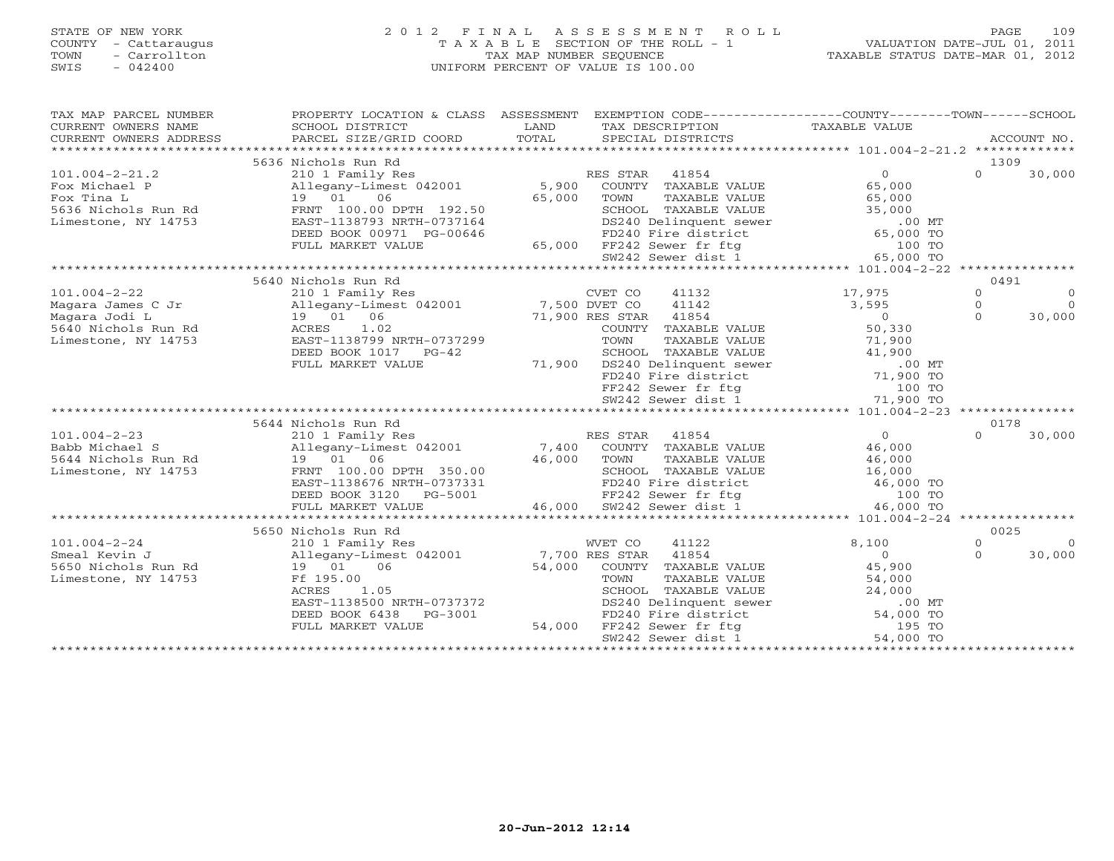# STATE OF NEW YORK 2 0 1 2 F I N A L A S S E S S M E N T R O L L PAGE 109 COUNTY - Cattaraugus T A X A B L E SECTION OF THE ROLL - 1 VALUATION DATE-JUL 01, 2011 TOWN - Carrollton TAX MAP NUMBER SEQUENCE TAXABLE STATUS DATE-MAR 01, 2012 SWIS - 042400 UNIFORM PERCENT OF VALUE IS 100.00UNIFORM PERCENT OF VALUE IS 100.00

| TAX MAP PARCEL NUMBER  | PROPERTY LOCATION & CLASS ASSESSMENT EXEMPTION CODE----------------COUNTY-------TOWN------SCHOOL                                          |               |                                                                                                                                                                                                                                                                                                                                             |                |          |             |
|------------------------|-------------------------------------------------------------------------------------------------------------------------------------------|---------------|---------------------------------------------------------------------------------------------------------------------------------------------------------------------------------------------------------------------------------------------------------------------------------------------------------------------------------------------|----------------|----------|-------------|
| CURRENT OWNERS NAME    | SCHOOL DISTRICT                                                                                                                           | LAND          | TAX DESCRIPTION                                                                                                                                                                                                                                                                                                                             | TAXABLE VALUE  |          |             |
| CURRENT OWNERS ADDRESS | PARCEL SIZE/GRID COORD                                                                                                                    | TOTAL         | SPECIAL DISTRICTS                                                                                                                                                                                                                                                                                                                           |                |          | ACCOUNT NO. |
|                        |                                                                                                                                           |               |                                                                                                                                                                                                                                                                                                                                             |                |          |             |
|                        | 5636 Nichols Run Rd                                                                                                                       |               |                                                                                                                                                                                                                                                                                                                                             |                | 1309     |             |
| $101.004 - 2 - 21.2$   | 210 1 Family Res<br>Allegany-Limest 042001                                                                                                |               | RES STAR<br>41854                                                                                                                                                                                                                                                                                                                           |                | $\Omega$ | 30,000      |
| Fox Michael P          |                                                                                                                                           | 5,900         | COUNTY TAXABLE VALUE                                                                                                                                                                                                                                                                                                                        |                |          |             |
|                        |                                                                                                                                           | 65,000        | TOWN<br>TAXABLE VALUE                                                                                                                                                                                                                                                                                                                       | 65,000         |          |             |
|                        |                                                                                                                                           |               |                                                                                                                                                                                                                                                                                                                                             |                |          |             |
| Limestone, NY 14753    | EAST-1138793 NRTH-0737164                                                                                                                 |               |                                                                                                                                                                                                                                                                                                                                             |                |          |             |
|                        | DEED BOOK 00971 PG-00646                                                                                                                  |               | 2.50<br>CHOOL TAXABLE VALUE 35,000<br>7164 DS240 Delinquent sewer 0646<br>FD240 Fire district 65,000 TO<br>65,000 FF242 Sewer fr ftg 100 TO<br>W242 Sewer dist 1 65,000 TO                                                                                                                                                                  |                |          |             |
|                        | FULL MARKET VALUE                                                                                                                         |               |                                                                                                                                                                                                                                                                                                                                             |                |          |             |
|                        |                                                                                                                                           |               |                                                                                                                                                                                                                                                                                                                                             |                |          |             |
|                        |                                                                                                                                           |               |                                                                                                                                                                                                                                                                                                                                             |                |          |             |
|                        | 5640 Nichols Run Rd                                                                                                                       |               |                                                                                                                                                                                                                                                                                                                                             |                | 0491     |             |
| $101.004 - 2 - 22$     | 210 1 Family Res                                                                                                                          |               | CVET CO<br>41132                                                                                                                                                                                                                                                                                                                            | 17,975         | $\Omega$ | $\circ$     |
|                        | Magara James C Jr allegany-Limest 042001 7,500 DVET CO<br>Magara Jodi L 19 01 06 71,900 RES STAR<br>5640 Nichols Run Rd ACRES 1.02 COUNTY |               | 41142                                                                                                                                                                                                                                                                                                                                       | 3,595          | $\circ$  | $\bigcirc$  |
|                        |                                                                                                                                           |               | 71,900 RES STAR 41854                                                                                                                                                                                                                                                                                                                       | $\overline{0}$ | $\cap$   | 30,000      |
|                        |                                                                                                                                           |               | COUNTY TAXABLE VALUE                                                                                                                                                                                                                                                                                                                        | 50,330         |          |             |
| Limestone, NY 14753    | EAST-1138799 NRTH-0737299                                                                                                                 |               |                                                                                                                                                                                                                                                                                                                                             |                |          |             |
|                        | DEED BOOK 1017 PG-42                                                                                                                      |               |                                                                                                                                                                                                                                                                                                                                             |                |          |             |
|                        | FULL MARKET VALUE                                                                                                                         | 71,900        |                                                                                                                                                                                                                                                                                                                                             |                |          |             |
|                        |                                                                                                                                           |               |                                                                                                                                                                                                                                                                                                                                             |                |          |             |
|                        |                                                                                                                                           |               |                                                                                                                                                                                                                                                                                                                                             |                |          |             |
|                        |                                                                                                                                           |               | FOWN TAXABLE VALUE<br>SCHOOL TAXABLE VALUE<br>SCHOOL TAXABLE VALUE<br>DS240 Delinquent sewer<br>FD240 Fire district<br>FD242 Sewer fr ftg<br>SW242 Sewer district<br>T1,900 TO<br>TV242 Sewer district<br>T1,900 TO<br>TV242 Sewer district<br>T1,90                                                                                        |                |          |             |
|                        |                                                                                                                                           |               |                                                                                                                                                                                                                                                                                                                                             |                |          |             |
|                        | 5644 Nichols Run Rd                                                                                                                       |               |                                                                                                                                                                                                                                                                                                                                             |                | 0178     |             |
| $101.004 - 2 - 23$     | 210 1 Family Res                                                                                                                          |               | RES STAR 41854                                                                                                                                                                                                                                                                                                                              | $\overline{0}$ | $\Omega$ | 30,000      |
| Babb Michael S         | Allegany-Limest 042001 7,400 COUNTY TAXABLE VALUE                                                                                         |               |                                                                                                                                                                                                                                                                                                                                             | 46,000         |          |             |
| 5644 Nichols Run Rd    | $19$ 01 06<br>46,000 TOWN                                                                                                                 |               | TAXABLE VALUE                                                                                                                                                                                                                                                                                                                               | 46,000         |          |             |
| Limestone, NY 14753    | FRNT 100.00 DPTH 350.00                                                                                                                   |               |                                                                                                                                                                                                                                                                                                                                             |                |          |             |
|                        | EAST-1138676 NRTH-0737331                                                                                                                 |               |                                                                                                                                                                                                                                                                                                                                             |                |          |             |
|                        | DEED BOOK 3120 PG-5001                                                                                                                    |               | SCHOOL TAXABLE VALUE $16,000$<br>FD240 Fire district $46,000$ TO<br>FF242 Sewer fr ftg $100$ TO<br>SW242 Sewer dist 1 $46,000$ TO<br>5001 FF242 Sewer fr ftg<br>46,000 SW242 Sewer dist 1                                                                                                                                                   |                |          |             |
|                        | FULL MARKET VALUE                                                                                                                         |               |                                                                                                                                                                                                                                                                                                                                             |                |          |             |
|                        |                                                                                                                                           |               |                                                                                                                                                                                                                                                                                                                                             |                |          |             |
|                        | 5650 Nichols Run Rd                                                                                                                       |               |                                                                                                                                                                                                                                                                                                                                             |                | 0025     |             |
| $101.004 - 2 - 24$     | 210 1 Family Res                                                                                                                          |               | WVET CO<br>41122                                                                                                                                                                                                                                                                                                                            | 8,100          | $\Omega$ | $\bigcirc$  |
| Smeal Kevin J          | Allegany-Limest 042001 7,700 RES STAR<br>19 01 06 54.000 COIMTY T                                                                         |               | 41854                                                                                                                                                                                                                                                                                                                                       | $\overline{0}$ | $\Omega$ | 30,000      |
| 5650 Nichols Run Rd    | 19 01 06                                                                                                                                  | 54,000        | COUNTY TAXABLE VALUE                                                                                                                                                                                                                                                                                                                        | 45,900         |          |             |
| Limestone, NY 14753    | Ff 195.00                                                                                                                                 |               | TOWN<br>TAXABLE VALUE                                                                                                                                                                                                                                                                                                                       | 54,000         |          |             |
|                        | ACRES<br>1.05                                                                                                                             |               |                                                                                                                                                                                                                                                                                                                                             |                |          |             |
|                        | EAST-1138500 NRTH-0737372                                                                                                                 |               |                                                                                                                                                                                                                                                                                                                                             |                |          |             |
|                        | DEED BOOK 6438<br>PG-3001                                                                                                                 | 001<br>54,000 |                                                                                                                                                                                                                                                                                                                                             |                |          |             |
|                        | FULL MARKET VALUE                                                                                                                         |               |                                                                                                                                                                                                                                                                                                                                             |                |          |             |
|                        |                                                                                                                                           |               | SCHOOL TAXABLE VALUE<br>DS240 Delinquent sewer<br>FD240 Fire district<br>FF242 Sewer fr ftg<br>$\begin{array}{ccccc}\n & & & 24,000 & \text{MT} \\ \text{FD240 Fire district} & & & 54,000 & \text{TO} \\ \text{FF242 Sewer fr ffg} & & & 195 & \text{TO} \\ \text{54242 Sewer diff} & & & 54,000 & \text{TO} \\ \text{5543434444444445446$ |                |          |             |
|                        |                                                                                                                                           |               |                                                                                                                                                                                                                                                                                                                                             |                |          |             |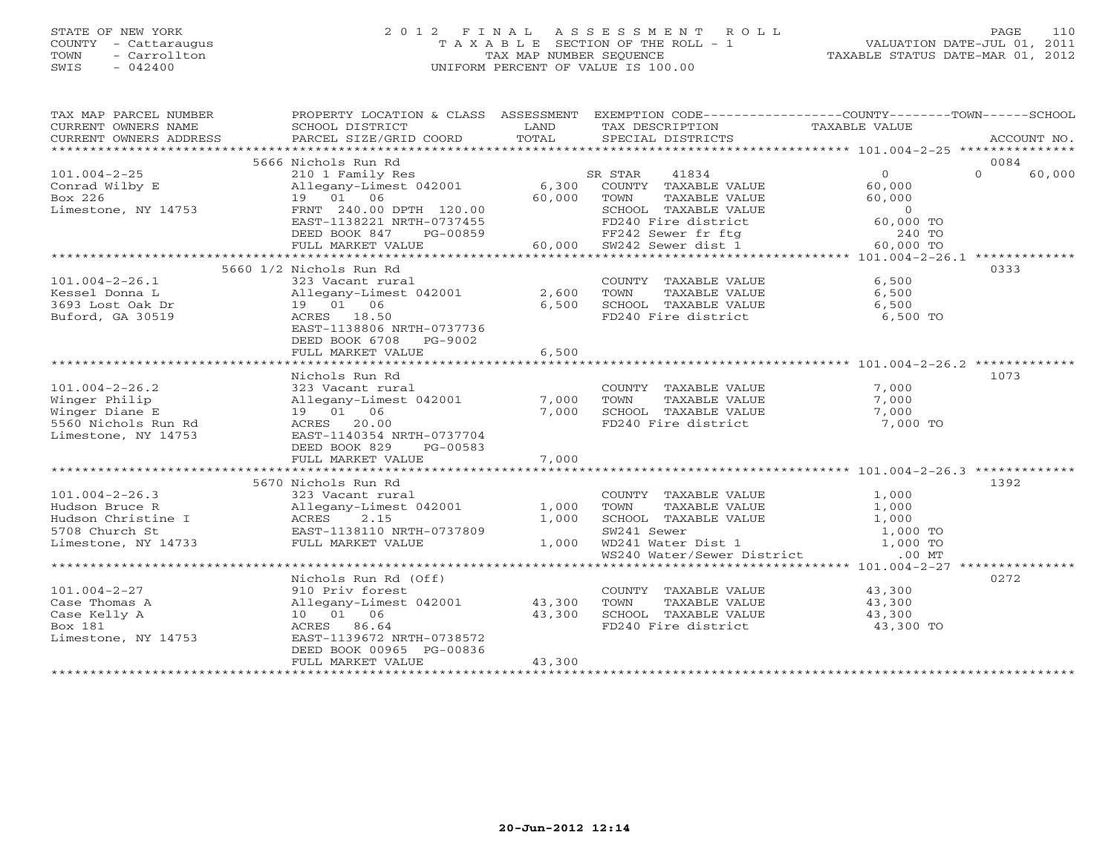# STATE OF NEW YORK 2 0 1 2 F I N A L A S S E S S M E N T R O L L PAGE 110 COUNTY - Cattaraugus T A X A B L E SECTION OF THE ROLL - 1 VALUATION DATE-JUL 01, 2011 TOWN - Carrollton TAX MAP NUMBER SEQUENCE TAXABLE STATUS DATE-MAR 01, 2012 SWIS - 042400 UNIFORM PERCENT OF VALUE IS 100.00UNIFORM PERCENT OF VALUE IS 100.00

| TAX MAP PARCEL NUMBER<br>CURRENT OWNERS NAME                                                                                                                                           | SCHOOL DISTRICT                                   | LAND           | TAX DESCRIPTION                                                                                                                                                                                                                   | PROPERTY LOCATION & CLASS ASSESSMENT EXEMPTION CODE---------------COUNTY-------TOWN------SCHOOL<br>TAXABLE VALUE |
|----------------------------------------------------------------------------------------------------------------------------------------------------------------------------------------|---------------------------------------------------|----------------|-----------------------------------------------------------------------------------------------------------------------------------------------------------------------------------------------------------------------------------|------------------------------------------------------------------------------------------------------------------|
| CURRENT OWNERS ADDRESS                                                                                                                                                                 | PARCEL SIZE/GRID COORD                            | TOTAL          | SPECIAL DISTRICTS                                                                                                                                                                                                                 | ACCOUNT NO.                                                                                                      |
|                                                                                                                                                                                        |                                                   |                |                                                                                                                                                                                                                                   |                                                                                                                  |
| $101.004 - 2 - 25$                                                                                                                                                                     | 5666 Nichols Run Rd                               |                | SR STAR<br>41834                                                                                                                                                                                                                  | 0084<br>$0 \qquad \qquad$<br>$\Omega$<br>60,000                                                                  |
| Conrad Wilby E                                                                                                                                                                         | 210 1 Family Res<br>Allegany-Limest 042001 6,300  |                | COUNTY TAXABLE VALUE                                                                                                                                                                                                              | 60,000                                                                                                           |
| Box 226                                                                                                                                                                                | 19  01  06                                        | 60,000         | TOWN<br>TAXABLE VALUE                                                                                                                                                                                                             | 60,000                                                                                                           |
| Limestone, NY 14753                                                                                                                                                                    | FRNT 240.00 DPTH 120.00                           |                |                                                                                                                                                                                                                                   |                                                                                                                  |
|                                                                                                                                                                                        | EAST-1138221 NRTH-0737455                         |                |                                                                                                                                                                                                                                   |                                                                                                                  |
|                                                                                                                                                                                        | DEED BOOK 847<br>PG-00859                         |                |                                                                                                                                                                                                                                   |                                                                                                                  |
|                                                                                                                                                                                        | FULL MARKET VALUE                                 |                | SCHOOL TAXABLE VALUE 0<br>FD240 Fire district 60,000 TO<br>FF242 Sewer fr ftg 240 TO<br>SW242 Sewer dist 1 60,000 TO<br>60,000 SW242 Sewer dist 1                                                                                 |                                                                                                                  |
|                                                                                                                                                                                        |                                                   |                |                                                                                                                                                                                                                                   |                                                                                                                  |
|                                                                                                                                                                                        | 5660 1/2 Nichols Run Rd                           |                |                                                                                                                                                                                                                                   | 0333                                                                                                             |
| $101.004 - 2 - 26.1$                                                                                                                                                                   | 323 Vacant rural                                  |                | COUNTY TAXABLE VALUE                                                                                                                                                                                                              | 6,500                                                                                                            |
| Kessel Donna L                                                                                                                                                                         | Allegany-Limest 042001                            |                | 2,600 TOWN<br>TAXABLE VALUE                                                                                                                                                                                                       | 6,500                                                                                                            |
| 3693 Lost Oak Dr                                                                                                                                                                       | 19  01  06                                        | 6,500          | SCHOOL TAXABLE VALUE                                                                                                                                                                                                              | 6,500                                                                                                            |
| Buford, GA 30519                                                                                                                                                                       | ACRES 18.50                                       |                | FD240 Fire district                                                                                                                                                                                                               | 6,500 TO                                                                                                         |
|                                                                                                                                                                                        | EAST-1138806 NRTH-0737736                         |                |                                                                                                                                                                                                                                   |                                                                                                                  |
|                                                                                                                                                                                        | DEED BOOK 6708 PG-9002                            | 6,500          |                                                                                                                                                                                                                                   |                                                                                                                  |
|                                                                                                                                                                                        | FULL MARKET VALUE                                 |                |                                                                                                                                                                                                                                   |                                                                                                                  |
|                                                                                                                                                                                        | Nichols Run Rd                                    |                |                                                                                                                                                                                                                                   | 1073                                                                                                             |
| $101.004 - 2 - 26.2$                                                                                                                                                                   | 323 Vacant rural                                  |                | COUNTY TAXABLE VALUE                                                                                                                                                                                                              | 7,000                                                                                                            |
| Winger Philip                                                                                                                                                                          |                                                   | 7,000          | <b>TOWN</b><br>TAXABLE VALUE                                                                                                                                                                                                      | 7,000                                                                                                            |
| Winger Diane E                                                                                                                                                                         | Allegany-Limest 042001<br>19 01 06<br>ACRES 20.00 | 7,000          | SCHOOL TAXABLE VALUE                                                                                                                                                                                                              | 7,000                                                                                                            |
| 5560 Nichols Run Rd                                                                                                                                                                    | ACRES 20.00                                       |                | FD240 Fire district                                                                                                                                                                                                               | 7,000 TO                                                                                                         |
| Limestone, NY 14753                                                                                                                                                                    | EAST-1140354 NRTH-0737704                         |                |                                                                                                                                                                                                                                   |                                                                                                                  |
|                                                                                                                                                                                        | DEED BOOK 829<br>PG-00583                         |                |                                                                                                                                                                                                                                   |                                                                                                                  |
|                                                                                                                                                                                        | FULL MARKET VALUE                                 | 7,000          |                                                                                                                                                                                                                                   |                                                                                                                  |
|                                                                                                                                                                                        |                                                   |                |                                                                                                                                                                                                                                   |                                                                                                                  |
|                                                                                                                                                                                        | 5670 Nichols Run Rd                               |                |                                                                                                                                                                                                                                   | 1392                                                                                                             |
| $101.004 - 2 - 26.3$                                                                                                                                                                   | 323 Vacant rural                                  |                | COUNTY TAXABLE VALUE                                                                                                                                                                                                              | 1,000                                                                                                            |
|                                                                                                                                                                                        |                                                   | 1,000<br>1,000 | TAXABLE VALUE<br>TOWN<br>SCHOOL TAXABLE VALUE                                                                                                                                                                                     | 1,000<br>1,000                                                                                                   |
| Fudson Bruce R<br>Hudson Christine I (Allegany-Limest 042001)<br>Hudson Christine I (ACRES 2.15<br>5708 Church St (EAST-1138110 NRTH-0737809)<br>Limestone, NY 14733 FULL MARKET VALUE |                                                   |                | SW241 Sewer                                                                                                                                                                                                                       | 1,000 TO                                                                                                         |
|                                                                                                                                                                                        |                                                   | 1,000          | EXAMPLE SERVER SWAAT SERVER TO THE MODEL OF THE MODEL OF THE MANUSCRIPT OF THE MANUSCRIPT OF THE MANUSCRIPT OF<br>A SAMPLE SERVER THE MANUSCRIPT OF THE MANUSCRIPT OF THE MANUSCRIPT OF THE MANUSCRIPT OF THE MANUSCRIPT OF THE M |                                                                                                                  |
|                                                                                                                                                                                        |                                                   |                | WS240 Water/Sewer District                                                                                                                                                                                                        | $.00$ MT                                                                                                         |
|                                                                                                                                                                                        |                                                   |                |                                                                                                                                                                                                                                   |                                                                                                                  |
|                                                                                                                                                                                        | Nichols Run Rd (Off)                              |                |                                                                                                                                                                                                                                   | 0272                                                                                                             |
| $101.004 - 2 - 27$                                                                                                                                                                     | 910 Priv forest                                   |                | COUNTY TAXABLE VALUE                                                                                                                                                                                                              | 43,300                                                                                                           |
| Case Thomas A                                                                                                                                                                          | Allegany-Limest 042001 43,300                     |                | TOWN<br>TAXABLE VALUE                                                                                                                                                                                                             | 43,300                                                                                                           |
| Case Kelly A                                                                                                                                                                           | 10 01 06                                          | 43,300         | SCHOOL TAXABLE VALUE                                                                                                                                                                                                              | 43,300                                                                                                           |
| Box 181                                                                                                                                                                                | ACRES 86.64                                       |                | FD240 Fire district                                                                                                                                                                                                               | 43,300 TO                                                                                                        |
| Limestone, NY 14753                                                                                                                                                                    | EAST-1139672 NRTH-0738572                         |                |                                                                                                                                                                                                                                   |                                                                                                                  |
|                                                                                                                                                                                        | DEED BOOK 00965 PG-00836                          |                |                                                                                                                                                                                                                                   |                                                                                                                  |
|                                                                                                                                                                                        | FULL MARKET VALUE                                 | 43,300         |                                                                                                                                                                                                                                   |                                                                                                                  |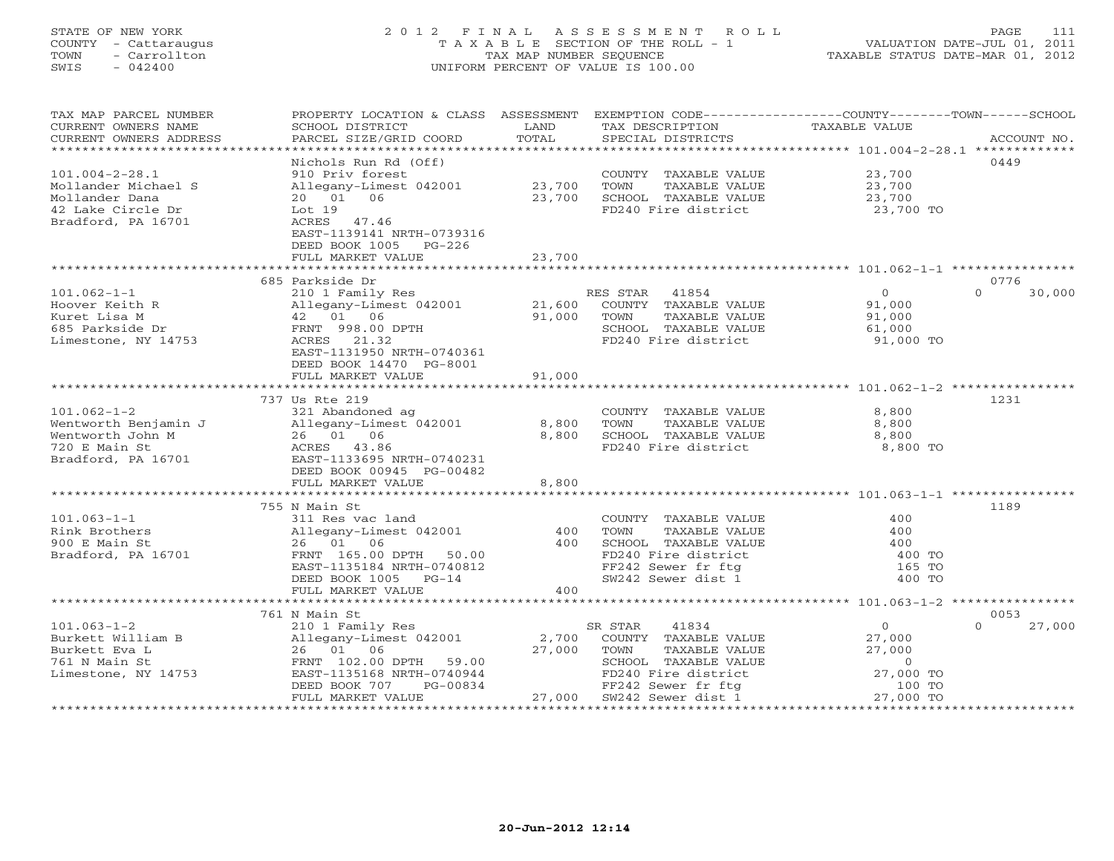# STATE OF NEW YORK 2 0 1 2 F I N A L A S S E S S M E N T R O L L PAGE 111 COUNTY - Cattaraugus T A X A B L E SECTION OF THE ROLL - 1 VALUATION DATE-JUL 01, 2011 TOWN - Carrollton TAX MAP NUMBER SEQUENCE TAXABLE STATUS DATE-MAR 01, 2012 SWIS - 042400 UNIFORM PERCENT OF VALUE IS 100.00UNIFORM PERCENT OF VALUE IS 100.00

| TAX MAP PARCEL NUMBER<br>CURRENT OWNERS NAME<br>CURRENT OWNERS ADDRESS | PROPERTY LOCATION & CLASS ASSESSMENT<br>SCHOOL DISTRICT<br>PARCEL SIZE/GRID COORD | LAND<br>TOTAL | EXEMPTION CODE-----------------COUNTY-------TOWN------SCHOOL<br>TAX DESCRIPTION<br>SPECIAL DISTRICTS | TAXABLE VALUE       | ACCOUNT NO.        |
|------------------------------------------------------------------------|-----------------------------------------------------------------------------------|---------------|------------------------------------------------------------------------------------------------------|---------------------|--------------------|
|                                                                        |                                                                                   |               |                                                                                                      |                     |                    |
|                                                                        | Nichols Run Rd (Off)                                                              |               |                                                                                                      |                     | 0449               |
| $101.004 - 2 - 28.1$                                                   | 910 Priv forest                                                                   |               | COUNTY TAXABLE VALUE                                                                                 | 23,700              |                    |
| Mollander Michael S                                                    | Allegany-Limest 042001                                                            | 23,700        | TOWN<br>TAXABLE VALUE                                                                                | 23,700              |                    |
| Mollander Dana                                                         | 20 01 06                                                                          | 23,700        | SCHOOL TAXABLE VALUE                                                                                 | 23,700              |                    |
| 42 Lake Circle Dr                                                      | Lot 19                                                                            |               | FD240 Fire district                                                                                  | 23,700 TO           |                    |
| Bradford, PA 16701                                                     | ACRES 47.46                                                                       |               |                                                                                                      |                     |                    |
|                                                                        | EAST-1139141 NRTH-0739316                                                         |               |                                                                                                      |                     |                    |
|                                                                        | DEED BOOK 1005 PG-226                                                             |               |                                                                                                      |                     |                    |
|                                                                        | FULL MARKET VALUE                                                                 | 23,700        |                                                                                                      |                     |                    |
|                                                                        | 685 Parkside Dr                                                                   |               |                                                                                                      |                     | 0776               |
| $101.062 - 1 - 1$                                                      | 210 1 Family Res                                                                  |               | RES STAR<br>41854                                                                                    | $\overline{0}$      | $\Omega$<br>30,000 |
| Hoover Keith R                                                         | Allegany-Limest 042001                                                            | 21,600        | COUNTY TAXABLE VALUE                                                                                 | 91,000              |                    |
| Kuret Lisa M                                                           | 42 01 06                                                                          | 91,000        | TOWN<br>TAXABLE VALUE                                                                                | 91,000              |                    |
| 685 Parkside Dr                                                        | FRNT 998.00 DPTH                                                                  |               | SCHOOL TAXABLE VALUE                                                                                 | 61,000              |                    |
| Limestone, NY 14753                                                    | ACRES 21.32                                                                       |               | FD240 Fire district                                                                                  | 91,000 TO           |                    |
|                                                                        | EAST-1131950 NRTH-0740361                                                         |               |                                                                                                      |                     |                    |
|                                                                        | DEED BOOK 14470 PG-8001                                                           |               |                                                                                                      |                     |                    |
|                                                                        | FULL MARKET VALUE                                                                 | 91,000        |                                                                                                      |                     |                    |
|                                                                        |                                                                                   |               |                                                                                                      |                     |                    |
|                                                                        | 737 Us Rte 219                                                                    |               |                                                                                                      |                     | 1231               |
| $101.062 - 1 - 2$                                                      | 321 Abandoned ag                                                                  |               | COUNTY TAXABLE VALUE                                                                                 | 8,800               |                    |
| Wentworth Benjamin J                                                   | Allegany-Limest 042001                                                            | 8,800         | TOWN<br>TAXABLE VALUE                                                                                | 8,800               |                    |
| Wentworth John M                                                       | 26 01 06                                                                          | 8,800         | SCHOOL TAXABLE VALUE                                                                                 | 8,800               |                    |
| 720 E Main St                                                          | ACRES 43.00<br>EAST-1133695 NRTH-0740231                                          |               | FD240 Fire district                                                                                  | 8,800 TO            |                    |
| Bradford, PA 16701                                                     |                                                                                   |               |                                                                                                      |                     |                    |
|                                                                        | DEED BOOK 00945 PG-00482                                                          | 8,800         |                                                                                                      |                     |                    |
|                                                                        | FULL MARKET VALUE                                                                 |               |                                                                                                      |                     |                    |
|                                                                        | 755 N Main St                                                                     |               |                                                                                                      |                     | 1189               |
| $101.063 - 1 - 1$                                                      | 311 Res vac land                                                                  |               | COUNTY TAXABLE VALUE                                                                                 | 400                 |                    |
| Rink Brothers                                                          | Allegany-Limest 042001                                                            | 400           | TAXABLE VALUE<br>TOWN                                                                                | 400                 |                    |
| 900 E Main St                                                          | 26 01 06                                                                          | 400           | SCHOOL TAXABLE VALUE                                                                                 | 400                 |                    |
| Bradford, PA 16701                                                     | FRNT 165.00 DPTH 50.00                                                            |               | FD240 Fire district                                                                                  | 400 TO              |                    |
|                                                                        | EAST-1135184 NRTH-0740812                                                         |               | FF242 Sewer fr ftg                                                                                   | 165 TO              |                    |
|                                                                        | DEED BOOK 1005 PG-14                                                              |               | SW242 Sewer dist 1                                                                                   | 400 TO              |                    |
|                                                                        | FULL MARKET VALUE                                                                 | 400           |                                                                                                      |                     |                    |
|                                                                        |                                                                                   |               |                                                                                                      |                     |                    |
|                                                                        | 761 N Main St                                                                     |               |                                                                                                      |                     | 0053               |
| $101.063 - 1 - 2$                                                      | 210 1 Family Res                                                                  |               | 41834<br>SR STAR                                                                                     | $\circ$             | 27,000<br>$\Omega$ |
| Burkett William B                                                      | Allegany-Limest 042001                                                            | 2,700         | COUNTY TAXABLE VALUE                                                                                 | 27,000              |                    |
| Burkett Eva L                                                          | 26 01 06                                                                          | 27,000        | TOWN<br>TAXABLE VALUE                                                                                | 27,000              |                    |
| 761 N Main St                                                          | FRNT 102.00 DPTH 59.00                                                            |               | SCHOOL TAXABLE VALUE                                                                                 | $\overline{0}$      |                    |
| Limestone, NY 14753                                                    | EAST-1135168 NRTH-0740944<br>PG-00834<br>DEED BOOK 707                            |               | FD240 Fire district<br>FF242 Sewer fr ftg                                                            | 27,000 TO<br>100 TO |                    |
|                                                                        | FULL MARKET VALUE                                                                 |               | 27,000 SW242 Sewer dist 1                                                                            | 27,000 TO           |                    |
|                                                                        |                                                                                   |               |                                                                                                      |                     |                    |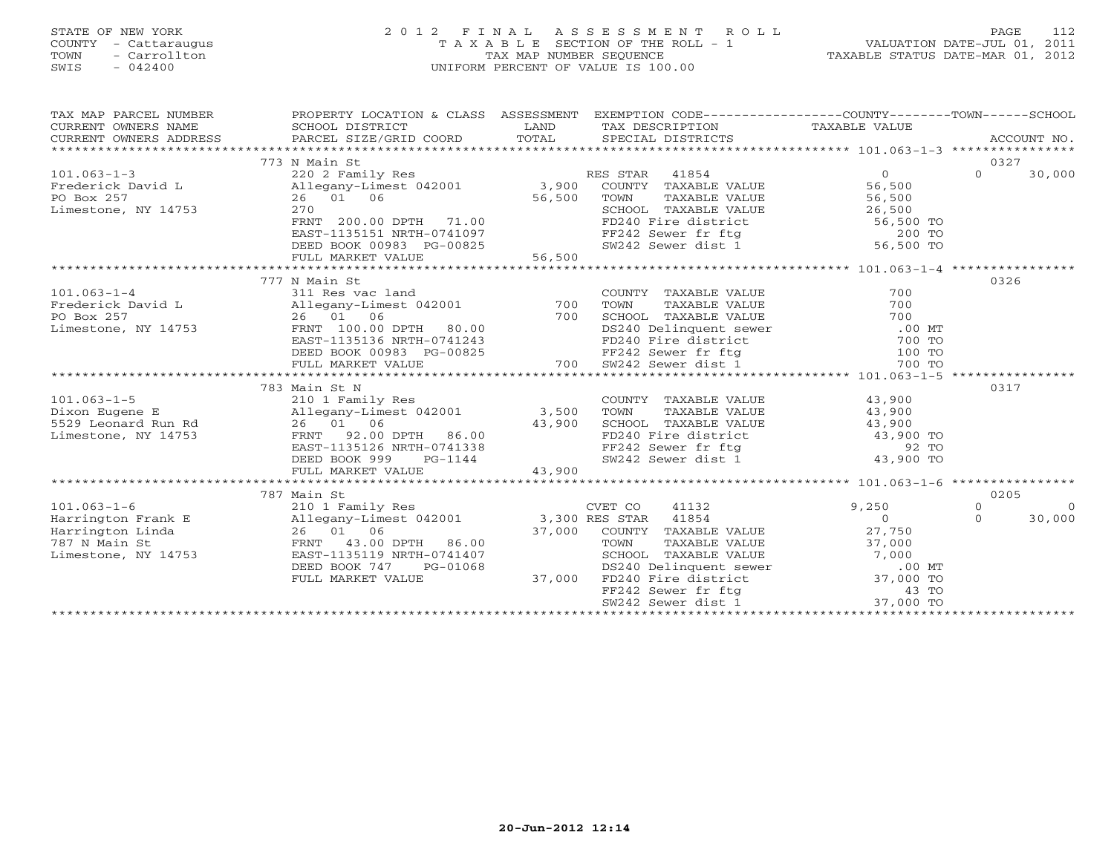# STATE OF NEW YORK 2 0 1 2 F I N A L A S S E S S M E N T R O L L PAGE 112 COUNTY - Cattaraugus T A X A B L E SECTION OF THE ROLL - 1 VALUATION DATE-JUL 01, 2011 TOWN - Carrollton TAX MAP NUMBER SEQUENCE TAXABLE STATUS DATE-MAR 01, 2012 SWIS - 042400 UNIFORM PERCENT OF VALUE IS 100.00UNIFORM PERCENT OF VALUE IS 100.00

| TAX MAP PARCEL NUMBER                                                                                                                                                                                                                                    | PROPERTY LOCATION & CLASS ASSESSMENT EXEMPTION CODE----------------COUNTY-------TOWN------SCHOOL |        |                                                                                                                                                                               |                |          |                    |
|----------------------------------------------------------------------------------------------------------------------------------------------------------------------------------------------------------------------------------------------------------|--------------------------------------------------------------------------------------------------|--------|-------------------------------------------------------------------------------------------------------------------------------------------------------------------------------|----------------|----------|--------------------|
|                                                                                                                                                                                                                                                          |                                                                                                  |        |                                                                                                                                                                               |                |          |                    |
|                                                                                                                                                                                                                                                          |                                                                                                  |        |                                                                                                                                                                               |                |          |                    |
|                                                                                                                                                                                                                                                          |                                                                                                  |        |                                                                                                                                                                               |                |          |                    |
|                                                                                                                                                                                                                                                          | 773 N Main St                                                                                    |        |                                                                                                                                                                               |                | 0327     |                    |
| $101.063 - 1 - 3$                                                                                                                                                                                                                                        | 220 2 Family Res                                                                                 |        | RES STAR 41854                                                                                                                                                                | $\overline{0}$ | $\Omega$ | 30,000             |
|                                                                                                                                                                                                                                                          |                                                                                                  |        |                                                                                                                                                                               |                |          |                    |
|                                                                                                                                                                                                                                                          |                                                                                                  |        |                                                                                                                                                                               |                |          |                    |
| x-1.00 1 21 200 200 200 3,900 COUNTY TAXABLE VALUE 56,500<br>PO Box 257 26 01 06 56,500 TOWN TAXABLE VALUE 56,500<br>Limestone, NY 14753 270 200 00 200 1 10 56,500 SCHOOL TAXABLE VALUE 26,500                                                          |                                                                                                  |        |                                                                                                                                                                               |                |          |                    |
|                                                                                                                                                                                                                                                          |                                                                                                  |        |                                                                                                                                                                               |                |          |                    |
|                                                                                                                                                                                                                                                          |                                                                                                  |        |                                                                                                                                                                               |                |          |                    |
|                                                                                                                                                                                                                                                          |                                                                                                  |        |                                                                                                                                                                               |                |          |                    |
|                                                                                                                                                                                                                                                          |                                                                                                  |        |                                                                                                                                                                               |                |          |                    |
| Frequity Allies (ALUE 26 01 06<br>PO Box 257 26 01 06<br>Limestone, NY 14753 270<br>EATART 200.00 DPTH 71.00<br>EATARILE VALUE 26,500<br>FRNT 200.00 DPTH 71.00<br>EATARILE VALUE 56,500 TOWN TAXABLE VALUE 26,500<br>FOLL MARKET VALUE 56,5             |                                                                                                  |        |                                                                                                                                                                               |                |          |                    |
|                                                                                                                                                                                                                                                          | 777 N Main St                                                                                    |        |                                                                                                                                                                               |                | 0326     |                    |
| Prederick David Land Res vac land<br>Frederick David Land Allegany-Limest 042001<br>PO Box 257 26 01 06<br>Limestone, NY 14753                                                                                                                           |                                                                                                  |        |                                                                                                                                                                               |                |          |                    |
|                                                                                                                                                                                                                                                          |                                                                                                  |        |                                                                                                                                                                               |                |          |                    |
|                                                                                                                                                                                                                                                          |                                                                                                  |        |                                                                                                                                                                               |                |          |                    |
|                                                                                                                                                                                                                                                          |                                                                                                  |        |                                                                                                                                                                               |                |          |                    |
|                                                                                                                                                                                                                                                          |                                                                                                  |        |                                                                                                                                                                               |                |          |                    |
|                                                                                                                                                                                                                                                          |                                                                                                  |        |                                                                                                                                                                               |                |          |                    |
| 101.063-1-4<br>Frederick David L 311 Res vac land<br>PO Box 257 26 01 06<br>Limestone, NY 14753 FRNT 100.00 DPTH 80.00<br>EXABLE VALUE 700<br>EXABLE VALUE 700<br>COUNTY TAXABLE VALUE 700<br>TOWN TAXABLE VALUE 700<br>TOWN TAXABLE VALUE 70            |                                                                                                  |        |                                                                                                                                                                               |                |          |                    |
|                                                                                                                                                                                                                                                          |                                                                                                  |        |                                                                                                                                                                               |                |          |                    |
|                                                                                                                                                                                                                                                          | 783 Main St N                                                                                    |        |                                                                                                                                                                               |                | 0317     |                    |
| $101.063 - 1 - 5$                                                                                                                                                                                                                                        | 210 1 Family Res                                                                                 |        | COUNTY TAXABLE VALUE 43,900<br>TOWN TAXABLE VALUE 43,900                                                                                                                      |                |          |                    |
|                                                                                                                                                                                                                                                          |                                                                                                  |        |                                                                                                                                                                               |                |          |                    |
|                                                                                                                                                                                                                                                          |                                                                                                  |        | CHOOL TAXABLE VALUE<br>FD240 Fire district and the district and the sever fr ftg<br>FF242 Sewer fr ftg and the sever dist 1 and 43,900 TO<br>SW242 Sewer dist 1 and 43,900 TO |                |          |                    |
|                                                                                                                                                                                                                                                          |                                                                                                  |        |                                                                                                                                                                               |                |          |                    |
|                                                                                                                                                                                                                                                          |                                                                                                  |        |                                                                                                                                                                               |                |          |                    |
| 101.063-1-5<br>Dixon Eugene E<br>Dixon Eugene E<br>529 Leonard Run Rd<br>Limestone, NY 14753<br>26 01 06<br>EAST-1135126 NRTH-0741338<br>DEED BOOK PC-1144<br>CHOOL FO240 Fi<br>26 01 06<br>26 01 06<br>26 01 06<br>26 02 020 PDPH 86.00<br>EAST-1135126 |                                                                                                  |        |                                                                                                                                                                               |                |          |                    |
|                                                                                                                                                                                                                                                          | FULL MARKET VALUE                                                                                | 43,900 |                                                                                                                                                                               |                |          |                    |
|                                                                                                                                                                                                                                                          |                                                                                                  |        |                                                                                                                                                                               |                | 0205     |                    |
|                                                                                                                                                                                                                                                          | 787 Main St                                                                                      |        |                                                                                                                                                                               |                |          |                    |
|                                                                                                                                                                                                                                                          |                                                                                                  |        |                                                                                                                                                                               |                |          | $\Omega$<br>30,000 |
|                                                                                                                                                                                                                                                          |                                                                                                  |        |                                                                                                                                                                               |                |          |                    |
|                                                                                                                                                                                                                                                          |                                                                                                  |        |                                                                                                                                                                               |                |          |                    |
|                                                                                                                                                                                                                                                          |                                                                                                  |        |                                                                                                                                                                               |                |          |                    |
|                                                                                                                                                                                                                                                          |                                                                                                  |        |                                                                                                                                                                               |                |          |                    |
|                                                                                                                                                                                                                                                          |                                                                                                  |        |                                                                                                                                                                               |                |          |                    |
|                                                                                                                                                                                                                                                          |                                                                                                  |        |                                                                                                                                                                               |                |          |                    |
|                                                                                                                                                                                                                                                          |                                                                                                  |        |                                                                                                                                                                               |                |          |                    |
|                                                                                                                                                                                                                                                          |                                                                                                  |        |                                                                                                                                                                               |                |          |                    |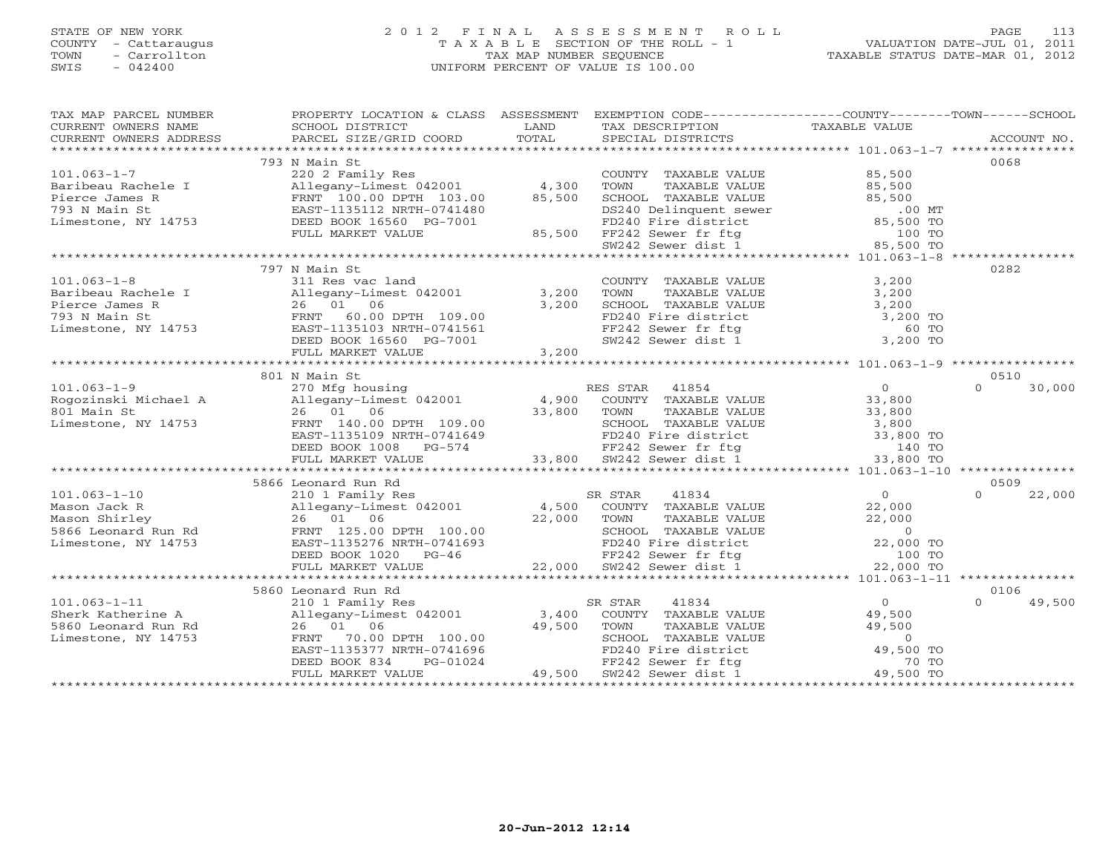# STATE OF NEW YORK 2 0 1 2 F I N A L A S S E S S M E N T R O L L PAGE 113COUNTY - Cattaraugus T A X A B L E SECTION OF THE ROLL - 1 VALUATION DATE-JUL 01, 2011 SWIS - 042400 UNIFORM PERCENT OF VALUE IS 100.00

| TAX MAP PARCEL NUMBER<br>TAX PARCES NOTICELL DESCRIPTION AND TRIAL POSITION TRAFFICTS CONDUCTER TRIAL PRESSURE TRIAL PRESSURE TRIAL PRESSURE TRIAL TRIAL PRESSURE TRIAL PRESSURE TRIAL PRESSURE TRIAL PRESSURE TRIAL PRESSURE TRIAL PRESSURE TRIAL PRES                | PROPERTY LOCATION & CLASS ASSESSMENT EXEMPTION CODE---------------COUNTY-------TOWN------SCHOOL                                                                                                                                        |                                                    |                |                    |
|------------------------------------------------------------------------------------------------------------------------------------------------------------------------------------------------------------------------------------------------------------------------|----------------------------------------------------------------------------------------------------------------------------------------------------------------------------------------------------------------------------------------|----------------------------------------------------|----------------|--------------------|
|                                                                                                                                                                                                                                                                        |                                                                                                                                                                                                                                        |                                                    |                |                    |
| Arives -- 1999 -- 1999<br>Baribeau Rachele I (1990)<br>Pierce James R (1990)<br>Pierce James R (1990)<br>Text PRIT 100.00 DPTH 103.00 (1990)<br>PRIT 100.00 DPTH 103.00 (1990)<br>EAST-1135112 NRTH-0741480<br>Limestone, NY 14753 (DEED BOO                           | 793 N Main St                                                                                                                                                                                                                          |                                                    |                | 0068               |
|                                                                                                                                                                                                                                                                        |                                                                                                                                                                                                                                        |                                                    |                |                    |
|                                                                                                                                                                                                                                                                        |                                                                                                                                                                                                                                        |                                                    |                |                    |
|                                                                                                                                                                                                                                                                        |                                                                                                                                                                                                                                        |                                                    |                |                    |
|                                                                                                                                                                                                                                                                        |                                                                                                                                                                                                                                        |                                                    |                |                    |
|                                                                                                                                                                                                                                                                        |                                                                                                                                                                                                                                        |                                                    |                |                    |
|                                                                                                                                                                                                                                                                        |                                                                                                                                                                                                                                        |                                                    |                |                    |
|                                                                                                                                                                                                                                                                        |                                                                                                                                                                                                                                        |                                                    |                |                    |
|                                                                                                                                                                                                                                                                        |                                                                                                                                                                                                                                        |                                                    |                |                    |
|                                                                                                                                                                                                                                                                        | 797 N Main St                                                                                                                                                                                                                          |                                                    |                | 0282               |
|                                                                                                                                                                                                                                                                        |                                                                                                                                                                                                                                        |                                                    |                |                    |
|                                                                                                                                                                                                                                                                        |                                                                                                                                                                                                                                        |                                                    |                |                    |
|                                                                                                                                                                                                                                                                        |                                                                                                                                                                                                                                        |                                                    |                |                    |
|                                                                                                                                                                                                                                                                        |                                                                                                                                                                                                                                        |                                                    |                |                    |
|                                                                                                                                                                                                                                                                        |                                                                                                                                                                                                                                        |                                                    |                |                    |
|                                                                                                                                                                                                                                                                        |                                                                                                                                                                                                                                        |                                                    |                |                    |
|                                                                                                                                                                                                                                                                        |                                                                                                                                                                                                                                        |                                                    |                |                    |
|                                                                                                                                                                                                                                                                        |                                                                                                                                                                                                                                        |                                                    |                |                    |
|                                                                                                                                                                                                                                                                        | 801 N Main St                                                                                                                                                                                                                          |                                                    |                | 0510               |
|                                                                                                                                                                                                                                                                        |                                                                                                                                                                                                                                        |                                                    |                | $\Omega$<br>30,000 |
|                                                                                                                                                                                                                                                                        |                                                                                                                                                                                                                                        |                                                    |                |                    |
|                                                                                                                                                                                                                                                                        |                                                                                                                                                                                                                                        |                                                    |                |                    |
|                                                                                                                                                                                                                                                                        |                                                                                                                                                                                                                                        |                                                    |                |                    |
|                                                                                                                                                                                                                                                                        |                                                                                                                                                                                                                                        |                                                    |                |                    |
|                                                                                                                                                                                                                                                                        |                                                                                                                                                                                                                                        |                                                    |                |                    |
| 101.063-1-9<br>Rogozinski Michael A<br>270 Mfg housing<br>26 01 06<br>26 01 06<br>26 01 06<br>26 01 06<br>26 01 06<br>26 01 06<br>26 01 06<br>26 01 06<br>26 01 06<br>26 01 06<br>26 01 06<br>26 01 06<br>26 01 06<br>26 01 06<br>26 01 06<br>26 01 06<br>26 01 06<br> |                                                                                                                                                                                                                                        |                                                    |                |                    |
|                                                                                                                                                                                                                                                                        | 5866 Leonard Run Rd                                                                                                                                                                                                                    |                                                    |                | 0509               |
|                                                                                                                                                                                                                                                                        |                                                                                                                                                                                                                                        |                                                    |                |                    |
|                                                                                                                                                                                                                                                                        |                                                                                                                                                                                                                                        |                                                    |                |                    |
|                                                                                                                                                                                                                                                                        |                                                                                                                                                                                                                                        |                                                    |                |                    |
|                                                                                                                                                                                                                                                                        |                                                                                                                                                                                                                                        |                                                    |                |                    |
|                                                                                                                                                                                                                                                                        |                                                                                                                                                                                                                                        |                                                    |                |                    |
|                                                                                                                                                                                                                                                                        |                                                                                                                                                                                                                                        |                                                    |                |                    |
|                                                                                                                                                                                                                                                                        |                                                                                                                                                                                                                                        |                                                    |                |                    |
|                                                                                                                                                                                                                                                                        |                                                                                                                                                                                                                                        |                                                    |                |                    |
|                                                                                                                                                                                                                                                                        | 5860 Leonard Run Rd                                                                                                                                                                                                                    |                                                    |                | 0106               |
|                                                                                                                                                                                                                                                                        |                                                                                                                                                                                                                                        | SR STAR                                            | $\overline{0}$ | $\Omega$<br>49,500 |
| -<br>Sherk Katherine A<br>5860 Leonard Run Rd<br>Limestone, NY 14753                                                                                                                                                                                                   | 210 1 Family Res<br>Allegany-Limest 042001 3,400<br>26 01 06                                                                                                                                                                           | R STAR 41834 (2001)<br>COUNTY TAXABLE VALUE 49,500 |                |                    |
|                                                                                                                                                                                                                                                                        |                                                                                                                                                                                                                                        |                                                    |                |                    |
|                                                                                                                                                                                                                                                                        | 26 01 06 49,500 TOWN TAXABLE VALUE 49,500<br>FRNT 70.00 DPTH 100.00 49,500 TOWN TAXABLE VALUE 49,500<br>EAST-1135377 NRTH-0741696 FD240 Fire district 49,500 TO<br>DEED BOOK 834 PG-01024 FF242 Sewer fr ftg 70 TO<br>FULL MARKET VALU |                                                    |                |                    |
|                                                                                                                                                                                                                                                                        |                                                                                                                                                                                                                                        |                                                    |                |                    |
|                                                                                                                                                                                                                                                                        |                                                                                                                                                                                                                                        |                                                    |                |                    |
|                                                                                                                                                                                                                                                                        |                                                                                                                                                                                                                                        |                                                    |                |                    |
|                                                                                                                                                                                                                                                                        |                                                                                                                                                                                                                                        |                                                    |                |                    |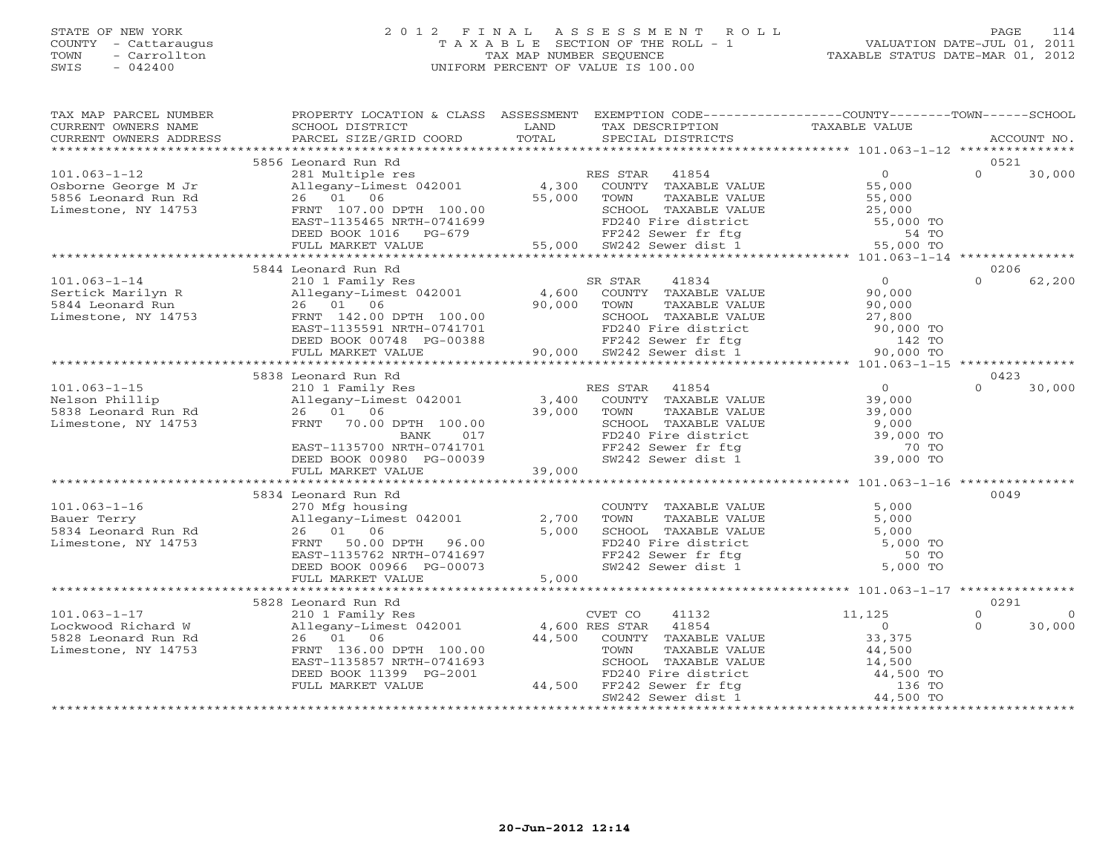#### STATE OF NEW YORK 2 0 1 2 F I N A L A S S E S S M E N T R O L L PAGE 114COUNTY - Cattaraugus T A X A B L E SECTION OF THE ROLL - 1 VALUATION DATE-JUL 01, 2011 TOWN - Carrollton TAX MAP NUMBER SEQUENCE TAXABLE STATUS DATE-MAR 01, 2012<br>TAXABLE STATUS DATE-MAR 01, 2012 SWIS - 042400 UNIFORM PERCENT OF VALUE IS 100.00

| TAX MAP PARCEL NUMBER<br>CURRENT OWNERS NAME      | PROPERTY LOCATION & CLASS ASSESSMENT<br>SCHOOL DISTRICT | LAND   | EXEMPTION CODE-----------------COUNTY-------TOWN------SCHOOL<br>TAX DESCRIPTION | TAXABLE VALUE                                     |                  |             |
|---------------------------------------------------|---------------------------------------------------------|--------|---------------------------------------------------------------------------------|---------------------------------------------------|------------------|-------------|
| CURRENT OWNERS ADDRESS<br>*********************** | PARCEL SIZE/GRID COORD                                  | TOTAL  | SPECIAL DISTRICTS                                                               |                                                   |                  | ACCOUNT NO. |
|                                                   |                                                         |        |                                                                                 |                                                   |                  |             |
| $101.063 - 1 - 12$                                | 5856 Leonard Run Rd                                     |        |                                                                                 | 0                                                 | 0521<br>$\Omega$ | 30,000      |
|                                                   | 281 Multiple res                                        | 4,300  | RES STAR<br>41854<br>COUNTY TAXABLE VALUE                                       | 55,000                                            |                  |             |
| Osborne George M Jr<br>5856 Leonard Run Rd        | Allegany-Limest 042001<br>26 01 06                      | 55,000 | TOWN<br>TAXABLE VALUE                                                           | 55,000                                            |                  |             |
| Limestone, NY 14753                               | FRNT 107.00 DPTH 100.00                                 |        | SCHOOL TAXABLE VALUE                                                            |                                                   |                  |             |
|                                                   | EAST-1135465 NRTH-0741699                               |        | FD240 Fire district                                                             | 25,000<br>55,000 TO                               |                  |             |
|                                                   | DEED BOOK 1016 PG-679                                   |        | FD240 File also<br>FF242 Sewer fr ftg<br>Also Compare dist 1                    | 54 TO                                             |                  |             |
|                                                   | FULL MARKET VALUE                                       | 55,000 |                                                                                 | 55,000 TO                                         |                  |             |
|                                                   |                                                         |        |                                                                                 | ******************* 101.063-1-14 **************** |                  |             |
|                                                   | 5844 Leonard Run Rd                                     |        |                                                                                 |                                                   | 0206             |             |
| $101.063 - 1 - 14$                                | 210 1 Family Res                                        |        | SR STAR<br>41834                                                                | $\Omega$                                          | $\Omega$         | 62,200      |
| Sertick Marilyn R                                 | Allegany-Limest 042001                                  | 4,600  | COUNTY TAXABLE VALUE                                                            | 90,000                                            |                  |             |
| 5844 Leonard Run                                  | 26 01 06                                                | 90,000 | TOWN<br>TAXABLE VALUE                                                           | 90,000                                            |                  |             |
| Limestone, NY 14753                               | FRNT 142.00 DPTH 100.00                                 |        | SCHOOL TAXABLE VALUE                                                            | 27,800                                            |                  |             |
|                                                   | EAST-1135591 NRTH-0741701                               |        | FD240 Fire district                                                             | 90,000 TO                                         |                  |             |
|                                                   | DEED BOOK 00748 PG-00388                                |        | FF242 Sewer fr ftg                                                              | 142 TO                                            |                  |             |
|                                                   | FULL MARKET VALUE                                       | 90,000 | SW242 Sewer dist 1                                                              | 90,000 TO                                         |                  |             |
|                                                   |                                                         |        |                                                                                 |                                                   |                  |             |
|                                                   | 5838 Leonard Run Rd                                     |        |                                                                                 |                                                   | 0423             |             |
| $101.063 - 1 - 15$                                | 210 1 Family Res                                        |        | RES STAR<br>41854                                                               | $\overline{0}$                                    | $\cap$           | 30,000      |
| Nelson Phillip                                    | Allegany-Limest 042001                                  | 3,400  | COUNTY TAXABLE VALUE                                                            | 39,000                                            |                  |             |
| 5838 Leonard Run Rd                               | 26 01 06                                                | 39,000 | TAXABLE VALUE<br>TOWN                                                           | 39,000                                            |                  |             |
| Limestone, NY 14753                               | FRNT<br>70.00 DPTH 100.00                               |        | SCHOOL TAXABLE VALUE                                                            | 9,000                                             |                  |             |
|                                                   | BANK<br>017                                             |        | FD240 Fire district                                                             | 39,000 TO                                         |                  |             |
|                                                   | EAST-1135700 NRTH-0741701                               |        | FF242 Sewer fr ftg                                                              | 70 TO                                             |                  |             |
|                                                   | DEED BOOK 00980 PG-00039                                |        | SW242 Sewer dist 1                                                              | 39,000 TO                                         |                  |             |
|                                                   | FULL MARKET VALUE                                       | 39,000 |                                                                                 |                                                   |                  |             |
|                                                   |                                                         |        |                                                                                 |                                                   |                  |             |
|                                                   | 5834 Leonard Run Rd                                     |        |                                                                                 |                                                   | 0049             |             |
| $101.063 - 1 - 16$                                | 270 Mfg housing                                         |        | COUNTY TAXABLE VALUE                                                            | 5,000                                             |                  |             |
| Bauer Terry                                       | Allegany-Limest 042001                                  | 2,700  | TOWN<br>TAXABLE VALUE                                                           | 5,000                                             |                  |             |
| 5834 Leonard Run Rd                               | 26 01 06                                                | 5,000  | SCHOOL TAXABLE VALUE                                                            | 5,000                                             |                  |             |
| Limestone, NY 14753                               | 50.00 DPTH<br>FRNT<br>96.00                             |        | SCHOOL TAXABLE VALUE<br>FD240 Fire district                                     | 5,000 TO                                          |                  |             |
|                                                   | EAST-1135762 NRTH-0741697                               |        | FF242 Sewer fr ftg                                                              | 50 TO                                             |                  |             |
|                                                   | DEED BOOK 00966 PG-00073                                |        | SW242 Sewer dist 1                                                              | 5,000 TO                                          |                  |             |
|                                                   | FULL MARKET VALUE                                       | 5,000  |                                                                                 |                                                   |                  |             |
|                                                   |                                                         |        |                                                                                 |                                                   |                  |             |
|                                                   | 5828 Leonard Run Rd                                     |        |                                                                                 |                                                   | 0291             |             |
| $101.063 - 1 - 17$                                | 210 1 Family Res                                        |        | CVET CO<br>41132                                                                | 11,125                                            | $\Omega$         | $\Omega$    |
| Lockwood Richard W                                | Allegany-Limest 042001                                  |        | 4,600 RES STAR<br>41854                                                         | $\Omega$                                          | $\Omega$         | 30,000      |
| 5828 Leonard Run Rd                               | 26 01 06                                                | 44,500 | COUNTY TAXABLE VALUE                                                            | 33,375                                            |                  |             |
| Limestone, NY 14753                               | FRNT 136.00 DPTH 100.00                                 |        | TOWN<br>TAXABLE VALUE                                                           | 44,500                                            |                  |             |
|                                                   | EAST-1135857 NRTH-0741693                               |        | SCHOOL TAXABLE VALUE                                                            | 14,500                                            |                  |             |
|                                                   | DEED BOOK 11399 PG-2001                                 |        | FD240 Fire district                                                             | 44,500 TO                                         |                  |             |
|                                                   | FULL MARKET VALUE                                       |        | 44,500 FF242 Sewer fr ftg                                                       | 136 TO                                            |                  |             |
|                                                   |                                                         |        | SW242 Sewer dist 1                                                              | 44,500 TO                                         |                  |             |
|                                                   |                                                         |        |                                                                                 |                                                   |                  |             |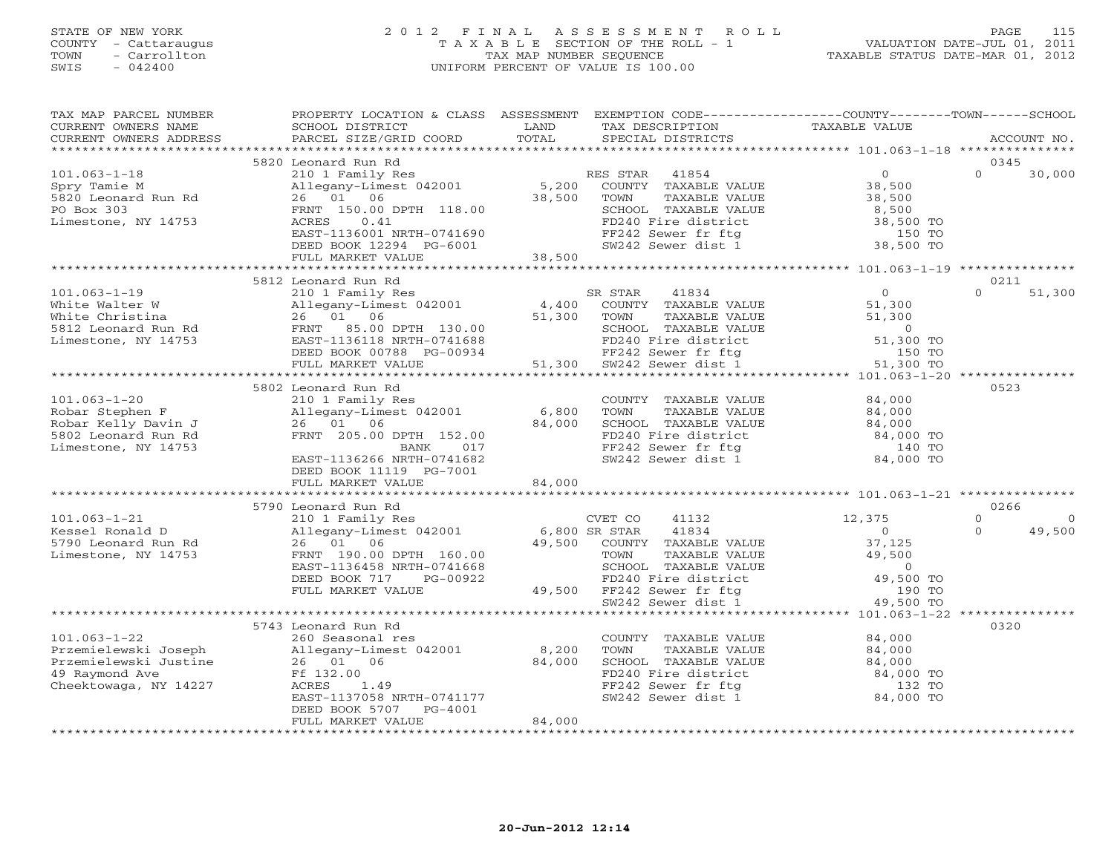# STATE OF NEW YORK 2 0 1 2 F I N A L A S S E S S M E N T R O L L PAGE 115 COUNTY - Cattaraugus T A X A B L E SECTION OF THE ROLL - 1 VALUATION DATE-JUL 01, 2011 TOWN - Carrollton TAX MAP NUMBER SEQUENCE TAXABLE STATUS DATE-MAR 01, 2012 SWIS - 042400 UNIFORM PERCENT OF VALUE IS 100.00UNIFORM PERCENT OF VALUE IS 100.00

| TAX MAP PARCEL NUMBER<br>CURRENT OWNERS NAME<br>CURRENT OWNERS ADDRESS                                         | PROPERTY LOCATION & CLASS ASSESSMENT<br>SCHOOL DISTRICT<br>PARCEL SIZE/GRID COORD                                                                                                                         | LAND<br>TOTAL             | EXEMPTION CODE-----------------COUNTY-------TOWN------SCHOOL<br>TAX DESCRIPTION<br>SPECIAL DISTRICTS                                                                                                                              | TAXABLE VALUE                                                                                           | ACCOUNT NO.                                       |
|----------------------------------------------------------------------------------------------------------------|-----------------------------------------------------------------------------------------------------------------------------------------------------------------------------------------------------------|---------------------------|-----------------------------------------------------------------------------------------------------------------------------------------------------------------------------------------------------------------------------------|---------------------------------------------------------------------------------------------------------|---------------------------------------------------|
| ***********************                                                                                        |                                                                                                                                                                                                           |                           |                                                                                                                                                                                                                                   |                                                                                                         |                                                   |
| $101.063 - 1 - 18$<br>Spry Tamie M<br>5820 Leonard Run Rd<br>PO Box 303<br>Limestone, NY 14753                 | 5820 Leonard Run Rd<br>210 1 Family Res<br>210 I Family Res<br>Allegany-Limest 042001<br>26 01 06<br>FRNT 150.00 DPTH 118.00<br>ACRES<br>0.41<br>EAST-1136001 NRTH-0741690<br>DEED BOOK 12294 PG-6001     | 5,200<br>38,500           | RES STAR<br>41854<br>COUNTY TAXABLE VALUE<br>TOWN<br>TAXABLE VALUE<br>SCHOOL TAXABLE VALUE<br>FD240 Fire district<br>FF242 Sewer fr ftg<br>SW242 Sewer dist 1                                                                     | $\overline{0}$<br>38,500<br>38,500<br>8,500<br>38,500 TO<br>150 TO<br>38,500 TO                         | 0345<br>$\Omega$<br>30,000                        |
|                                                                                                                | FULL MARKET VALUE                                                                                                                                                                                         | 38,500                    |                                                                                                                                                                                                                                   |                                                                                                         |                                                   |
| $101.063 - 1 - 19$<br>White Walter W<br>White Christina<br>5812 Leonard Run Rd<br>Limestone, NY 14753          | 5812 Leonard Run Rd<br>210 1 Family Res<br>210 1 Family Res<br>Allegany-Limest 042001<br>26 01 06<br>FRNT 85.00 DPTH 130.00<br>EAST-1136118 NRTH-0741688<br>DEED BOOK 00788 PG-00934<br>FULL MARKET VALUE | 4,400<br>51,300<br>51,300 | SR STAR<br>41834<br>COUNTY TAXABLE VALUE<br>TAXABLE VALUE<br>TOWN<br>SCHOOL TAXABLE VALUE<br>FD240 Fire district 51,300 TO<br>FF242 Sewer fr ftg 51,300 TO<br>SW242 Sewer dist 1                                                  | $\overline{0}$<br>51,300<br>51,300<br>$\overline{0}$<br>51,300 TO<br>***************** 101.063-1-20 *** | 0211<br>$\Omega$<br>51,300                        |
|                                                                                                                | 5802 Leonard Run Rd                                                                                                                                                                                       |                           |                                                                                                                                                                                                                                   |                                                                                                         | 0523                                              |
| $101.063 - 1 - 20$<br>Robar Stephen F<br>Robar Kelly Davin J<br>5802 Leonard Run Rd<br>Limestone, NY 14753     | 210 1 Family Res<br>Allegany-Limest 042001<br>26 01 06<br>FRNT 205.00 DPTH 152.00<br>BANK<br>017<br>EAST-1136266 NRTH-0741682<br>DEED BOOK 11119 PG-7001<br>FULL MARKET VALUE                             | 6,800<br>84,000<br>84,000 | COUNTY TAXABLE VALUE<br>TOWN<br>TAXABLE VALUE<br>SCHOOL TAXABLE VALUE<br>FD240 Fire district<br>FF242 Sewer fr ftg<br>SW242 Sewer dist 1                                                                                          | 84,000<br>84,000<br>84,000<br>84,000 TO<br>140 TO<br>84,000 TO                                          |                                                   |
|                                                                                                                |                                                                                                                                                                                                           |                           |                                                                                                                                                                                                                                   |                                                                                                         |                                                   |
| $101.063 - 1 - 21$<br>Kessel Ronald D<br>5790 Leonard Run Rd<br>Limestone, NY 14753                            | 5790 Leonard Run Rd<br>210 1 Family Res<br>Allegany-Limest 042001<br>26 01 06<br>FRNT 190.00 DPTH 160.00<br>EAST-1136458 NRTH-0741668<br>DEED BOOK 717<br>PG-00922<br>FULL MARKET VALUE                   | 6,800 SR STAR             | CVET CO<br>41132<br>41834<br>49,500 COUNTY TAXABLE VALUE<br>TAXABLE VALUE<br>TOWN<br>TOWN IONALLY<br>SCHOOL TAXABLE VALUE<br>FD240 Fire district 49,500 TO<br>for fight 190 TO<br>49,500 FF242 Sewer fr ftg<br>SW242 Sewer dist 1 | 12,375<br>$\Omega$<br>37,125<br>49,500<br>49,500 TO                                                     | 0266<br>$\circ$<br>$\Omega$<br>49,500<br>$\Omega$ |
|                                                                                                                | ********************************                                                                                                                                                                          |                           |                                                                                                                                                                                                                                   |                                                                                                         |                                                   |
| $101.063 - 1 - 22$<br>Przemielewski Joseph<br>Przemielewski Justine<br>49 Raymond Ave<br>Cheektowaga, NY 14227 | 5743 Leonard Run Rd<br>260 Seasonal res<br>Allegany-Limest 042001<br>26 01 06<br>Ff 132.00<br>ACRES<br>1.49<br>EAST-1137058 NRTH-0741177<br>DEED BOOK 5707<br>PG-4001<br>FULL MARKET VALUE                | 8,200<br>84,000<br>84,000 | COUNTY TAXABLE VALUE<br>TOWN<br>TAXABLE VALUE<br>SCHOOL TAXABLE VALUE<br>FD240 Fire district<br>FF242 Sewer fr ftg<br>SW242 Sewer dist 1                                                                                          | 84,000<br>84,000<br>84,000<br>84,000 TO<br>132 TO<br>84,000 TO                                          | 0320                                              |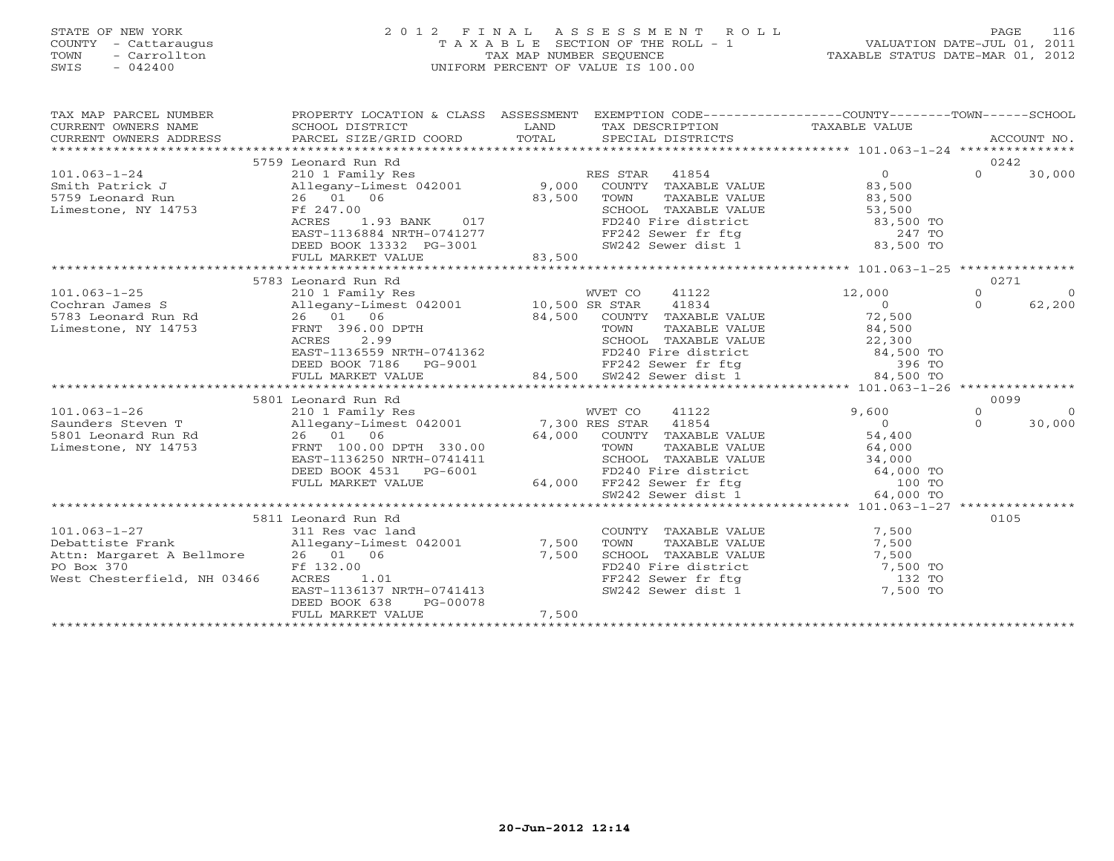# STATE OF NEW YORK 2 0 1 2 F I N A L A S S E S S M E N T R O L L PAGE 116 COUNTY - Cattaraugus T A X A B L E SECTION OF THE ROLL - 1 VALUATION DATE-JUL 01, 2011 TOWN - Carrollton TAX MAP NUMBER SEQUENCE TAXABLE STATUS DATE-MAR 01, 2012 SWIS - 042400 UNIFORM PERCENT OF VALUE IS 100.00UNIFORM PERCENT OF VALUE IS 100.00

| TAX MAP PARCEL NUMBER                                                                                                                                                                                                                                                                                                                                                                                                                                           | PROPERTY LOCATION & CLASS ASSESSMENT EXEMPTION CODE---------------COUNTY-------TOWN-----SCHOOL                                                                                                                                         |        |                                                                                                                                                                              |                |                     |                |
|-----------------------------------------------------------------------------------------------------------------------------------------------------------------------------------------------------------------------------------------------------------------------------------------------------------------------------------------------------------------------------------------------------------------------------------------------------------------|----------------------------------------------------------------------------------------------------------------------------------------------------------------------------------------------------------------------------------------|--------|------------------------------------------------------------------------------------------------------------------------------------------------------------------------------|----------------|---------------------|----------------|
| $\begin{tabular}{lllllll} \multicolumn{2}{c}{\textbf{CURRENT}} & \multicolumn{2}{c}{\textbf{WMERS}} & \multicolumn{2}{c}{\textbf{NAME}} & \multicolumn{2}{c}{\textbf{CURRENT}} & \multicolumn{2}{c}{\textbf{WMERS}} & \multicolumn{2}{c}{\textbf{NAME}} & \multicolumn{2}{c}{\textbf{NAME}} & \multicolumn{2}{c}{\textbf{NAME}} & \multicolumn{2}{c}{\textbf{NAME}} & \multicolumn{2}{c}{\textbf{NAME}} & \multicolumn{2}{c}{\textbf{NAME}} & \multicolumn{2}{$ |                                                                                                                                                                                                                                        |        |                                                                                                                                                                              |                |                     |                |
|                                                                                                                                                                                                                                                                                                                                                                                                                                                                 |                                                                                                                                                                                                                                        |        |                                                                                                                                                                              |                |                     |                |
|                                                                                                                                                                                                                                                                                                                                                                                                                                                                 | 5759 Leonard Run Rd                                                                                                                                                                                                                    |        |                                                                                                                                                                              |                | 0242                |                |
| $101.063 - 1 - 24$                                                                                                                                                                                                                                                                                                                                                                                                                                              | 210 1 Family Res                                                                                                                                                                                                                       |        | RES STAR 41854                                                                                                                                                               | $\Omega$       | $\Omega$            | 30,000         |
| Smith Patrick J                                                                                                                                                                                                                                                                                                                                                                                                                                                 | Allegany-Limest 042001 9,000                                                                                                                                                                                                           |        | COUNTY TAXABLE VALUE                                                                                                                                                         | 83,500         |                     |                |
| 5759 Leonard Run 26 01 06<br>Limestone, NY 14753 Ff 247.00                                                                                                                                                                                                                                                                                                                                                                                                      |                                                                                                                                                                                                                                        |        |                                                                                                                                                                              |                |                     |                |
|                                                                                                                                                                                                                                                                                                                                                                                                                                                                 |                                                                                                                                                                                                                                        |        |                                                                                                                                                                              |                |                     |                |
|                                                                                                                                                                                                                                                                                                                                                                                                                                                                 | ACRES                                                                                                                                                                                                                                  |        |                                                                                                                                                                              |                |                     |                |
|                                                                                                                                                                                                                                                                                                                                                                                                                                                                 | EAST-1136884 NRTH-0741277                                                                                                                                                                                                              |        |                                                                                                                                                                              |                |                     |                |
|                                                                                                                                                                                                                                                                                                                                                                                                                                                                 | DEED BOOK 13332 PG-3001                                                                                                                                                                                                                | 83,500 | TOWN TAXABLE VALUE<br>SCHOOL TAXABLE VALUE<br>FD240 Fire district<br>FF242 Sewer fr ftg<br>SW242 Sewer dist 1 83,500 TO<br>SW242 Sewer dist 1 83,500 TO                      |                |                     |                |
|                                                                                                                                                                                                                                                                                                                                                                                                                                                                 | FULL MARKET VALUE                                                                                                                                                                                                                      |        |                                                                                                                                                                              |                |                     |                |
|                                                                                                                                                                                                                                                                                                                                                                                                                                                                 |                                                                                                                                                                                                                                        |        |                                                                                                                                                                              |                |                     |                |
|                                                                                                                                                                                                                                                                                                                                                                                                                                                                 | 5783 Leonard Run Rd                                                                                                                                                                                                                    |        |                                                                                                                                                                              |                | 0271                |                |
| $101.063 - 1 - 25$                                                                                                                                                                                                                                                                                                                                                                                                                                              | 210 1 Family Res                                                                                                                                                                                                                       |        | WVET CO 41122                                                                                                                                                                | 12,000         | $\Omega$            | $\overline{0}$ |
| Cochran James S                                                                                                                                                                                                                                                                                                                                                                                                                                                 | Allegany-Limest 042001 10,500 SR STAR                                                                                                                                                                                                  |        | 41834                                                                                                                                                                        | $\overline{0}$ | $\Omega$            | 62,200         |
| 5783 Leonard Run Rd                                                                                                                                                                                                                                                                                                                                                                                                                                             | 26 01 06                                                                                                                                                                                                                               |        | 84,500 COUNTY TAXABLE VALUE<br>TOWN TAXABLE VALUE<br>SCHOOL TAXABLE VALUE                                                                                                    | 72,500         |                     |                |
| Limestone, NY 14753                                                                                                                                                                                                                                                                                                                                                                                                                                             | FRNT 396.00 DPTH                                                                                                                                                                                                                       |        |                                                                                                                                                                              |                |                     |                |
|                                                                                                                                                                                                                                                                                                                                                                                                                                                                 |                                                                                                                                                                                                                                        |        |                                                                                                                                                                              |                |                     |                |
|                                                                                                                                                                                                                                                                                                                                                                                                                                                                 |                                                                                                                                                                                                                                        |        |                                                                                                                                                                              |                |                     |                |
|                                                                                                                                                                                                                                                                                                                                                                                                                                                                 | FRNT 396.00 DPTH TOWN TAXABLE VALUE 84,500<br>ACRES 2.99 SCHOOL TAXABLE VALUE 22,300<br>EAST-1136559 NRTH-0741362 FD240 Fire district 84,500 TO<br>DEED BOOK 7186 PG-9001 84,500 SW242 Sewer dist 1 84,500 TO<br>FULL MARKET VALUE 84, |        |                                                                                                                                                                              |                |                     |                |
|                                                                                                                                                                                                                                                                                                                                                                                                                                                                 |                                                                                                                                                                                                                                        |        |                                                                                                                                                                              |                |                     |                |
|                                                                                                                                                                                                                                                                                                                                                                                                                                                                 |                                                                                                                                                                                                                                        |        |                                                                                                                                                                              |                |                     |                |
|                                                                                                                                                                                                                                                                                                                                                                                                                                                                 | 5801 Leonard Run Rd                                                                                                                                                                                                                    |        |                                                                                                                                                                              | 9,600          | 0099                | $\overline{0}$ |
| 101.003-1-20<br>Saunders Steven T<br>Saunders Steven T<br>26 01 06 64,000 COUNTY TAXARLEY<br>1954<br>Timestons NY 11752                                                                                                                                                                                                                                                                                                                                         |                                                                                                                                                                                                                                        |        |                                                                                                                                                                              | $\overline{0}$ | $\circ$<br>$\Omega$ |                |
|                                                                                                                                                                                                                                                                                                                                                                                                                                                                 |                                                                                                                                                                                                                                        |        |                                                                                                                                                                              |                |                     | 30,000         |
| Limestone, NY 14753                                                                                                                                                                                                                                                                                                                                                                                                                                             | FRNT 100.00 DPTH 330.00                                                                                                                                                                                                                |        | 64,000 COUNTY TAXABLE VALUE 54,400                                                                                                                                           |                |                     |                |
|                                                                                                                                                                                                                                                                                                                                                                                                                                                                 | EAST-1136250 NRTH-0741411                                                                                                                                                                                                              |        |                                                                                                                                                                              |                |                     |                |
|                                                                                                                                                                                                                                                                                                                                                                                                                                                                 | DEED BOOK 4531 PG-6001                                                                                                                                                                                                                 |        |                                                                                                                                                                              |                |                     |                |
|                                                                                                                                                                                                                                                                                                                                                                                                                                                                 | FULL MARKET VALUE                                                                                                                                                                                                                      |        |                                                                                                                                                                              |                |                     |                |
|                                                                                                                                                                                                                                                                                                                                                                                                                                                                 |                                                                                                                                                                                                                                        |        | 30.00<br>TOWN TAXABLE VALUE 64,000<br>11411 SCHOOL TAXABLE VALUE 34,000<br>FD240 Fire district 64,000 TO<br>64,000 FF242 Sewer fr ftg 100 TO<br>SW242 Sewer dist 1 64,000 TO |                |                     |                |
|                                                                                                                                                                                                                                                                                                                                                                                                                                                                 |                                                                                                                                                                                                                                        |        |                                                                                                                                                                              |                |                     |                |
|                                                                                                                                                                                                                                                                                                                                                                                                                                                                 | 5811 Leonard Run Rd                                                                                                                                                                                                                    |        |                                                                                                                                                                              |                | 0105                |                |
| $101.063 - 1 - 27$                                                                                                                                                                                                                                                                                                                                                                                                                                              | 311 Res vac land                                                                                                                                                                                                                       |        | COUNTY TAXABLE VALUE                                                                                                                                                         | 7,500          |                     |                |
| 101.063-1-27<br>Debattiste Frank                       Allegany-Limest 042001               7,500                                                                                                                                                                                                                                                                                                                                                               |                                                                                                                                                                                                                                        |        | TOWN<br>TAXABLE VALUE                                                                                                                                                        | 7,500          |                     |                |
| Attn: Margaret A Bellmore 26 01 06                                                                                                                                                                                                                                                                                                                                                                                                                              |                                                                                                                                                                                                                                        | 7,500  |                                                                                                                                                                              |                |                     |                |
| Ff 132.00<br>PO Box 370                                                                                                                                                                                                                                                                                                                                                                                                                                         |                                                                                                                                                                                                                                        |        |                                                                                                                                                                              |                |                     |                |
| West Chesterfield, NH 03466                                                                                                                                                                                                                                                                                                                                                                                                                                     |                                                                                                                                                                                                                                        |        |                                                                                                                                                                              |                |                     |                |
|                                                                                                                                                                                                                                                                                                                                                                                                                                                                 | Ff 132.00<br>ACRES 1.01<br>EAST-1136137 NRTH-0741413                                                                                                                                                                                   |        | CHOOL TAXABLE VALUE<br>SCHOOL TAXABLE VALUE<br>FD240 Fire district<br>FF242 Sewer fr ftg<br>SW242 Sewer dist 1 7,500 TO<br>7,500 TO                                          |                |                     |                |
|                                                                                                                                                                                                                                                                                                                                                                                                                                                                 | DEED BOOK 638<br>PG-00078                                                                                                                                                                                                              |        |                                                                                                                                                                              |                |                     |                |
|                                                                                                                                                                                                                                                                                                                                                                                                                                                                 | FULL MARKET VALUE                                                                                                                                                                                                                      | 7,500  |                                                                                                                                                                              |                |                     |                |
|                                                                                                                                                                                                                                                                                                                                                                                                                                                                 |                                                                                                                                                                                                                                        |        |                                                                                                                                                                              |                |                     |                |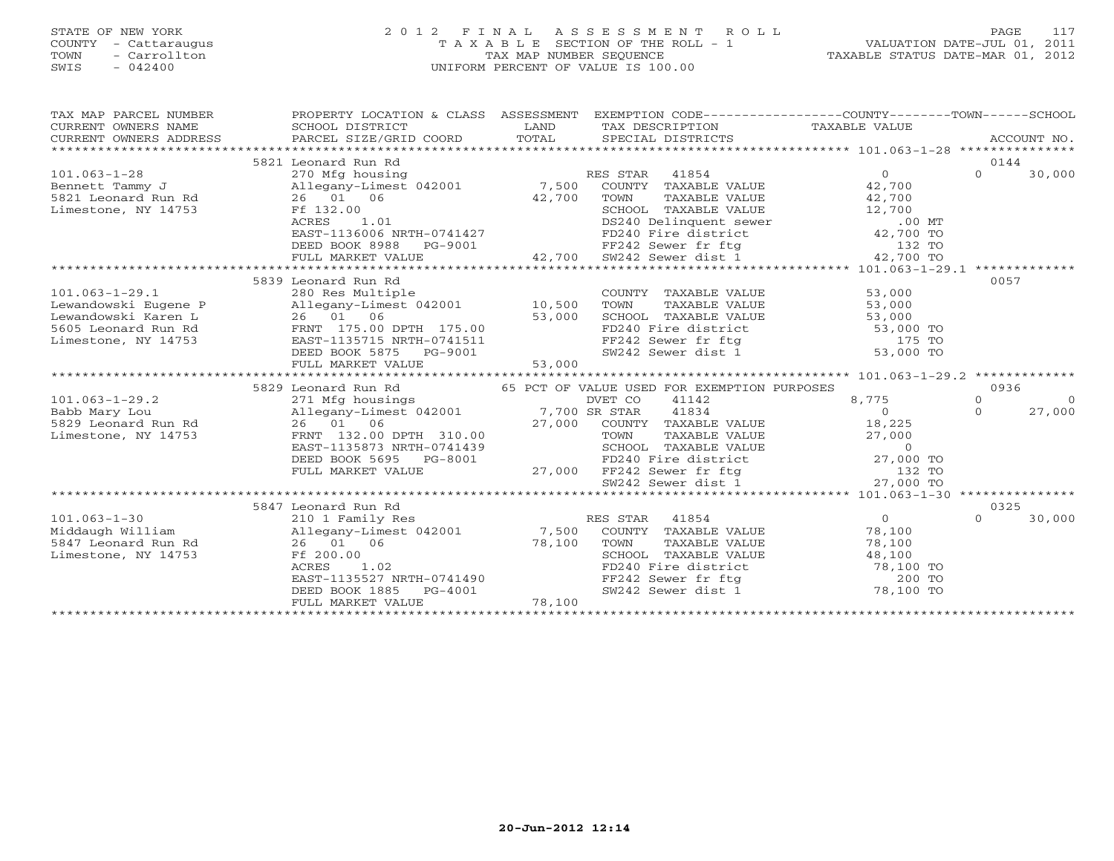# STATE OF NEW YORK 2 0 1 2 F I N A L A S S E S S M E N T R O L L PAGE 117 COUNTY - Cattaraugus T A X A B L E SECTION OF THE ROLL - 1 VALUATION DATE-JUL 01, 2011 TOWN - Carrollton TAX MAP NUMBER SEQUENCE TAXABLE STATUS DATE-MAR 01, 2012 SWIS - 042400 UNIFORM PERCENT OF VALUE IS 100.00UNIFORM PERCENT OF VALUE IS 100.00

| TAX MAP PARCEL NUMBER<br>CURRENT OWNERS NAME<br>CURRENT OWNERS ADDRESS | PROPERTY LOCATION & CLASS ASSESSMENT<br>SCHOOL DISTRICT<br>PARCEL SIZE/GRID COORD | LAND<br>TOTAL | EXEMPTION CODE-----------------COUNTY-------TOWN------SCHOOL<br>TAX DESCRIPTION<br>SPECIAL DISTRICTS                            | TAXABLE VALUE                                    | ACCOUNT NO.         |
|------------------------------------------------------------------------|-----------------------------------------------------------------------------------|---------------|---------------------------------------------------------------------------------------------------------------------------------|--------------------------------------------------|---------------------|
|                                                                        | 5821 Leonard Run Rd                                                               |               |                                                                                                                                 |                                                  | 0144                |
| $101.063 - 1 - 28$                                                     | 270 Mfg housing                                                                   |               | RES STAR 41854                                                                                                                  | $\Omega$                                         | $\Omega$<br>30,000  |
| Bennett Tammy J                                                        | Allegany-Limest 042001 7,500 COUNTY TAXABLE VALUE                                 |               |                                                                                                                                 | 42,700                                           |                     |
| 5821 Leonard Run Rd                                                    | 26 01 06                                                                          | 42,700        | TAXABLE VALUE<br>TOWN                                                                                                           | 42,700                                           |                     |
| Limestone, NY 14753                                                    | Ff 132.00                                                                         |               | SCHOOL TAXABLE VALUE                                                                                                            |                                                  |                     |
|                                                                        | 1.01<br>ACRES                                                                     |               | SCHOOL TAXABLE VALUE 12,700<br>DS240 Delinquent sewer .00 MT<br>FD240 Fire district 42,700 TO                                   |                                                  |                     |
|                                                                        | EAST-1136006 NRTH-0741427                                                         |               |                                                                                                                                 |                                                  |                     |
|                                                                        | DEED BOOK 8988                                                                    | PG-9001       |                                                                                                                                 |                                                  |                     |
|                                                                        | FULL MARKET VALUE                                                                 | 42,700        | FF242 Sewer fr ftg 132 TO<br>SW242 Sewer dist 1 42,700 TO                                                                       |                                                  |                     |
|                                                                        |                                                                                   |               |                                                                                                                                 |                                                  |                     |
|                                                                        | 5839 Leonard Run Rd                                                               |               |                                                                                                                                 |                                                  | 0057                |
| $101.063 - 1 - 29.1$                                                   | 280 Res Multiple                                                                  |               | COUNTY TAXABLE VALUE                                                                                                            | 53,000                                           |                     |
| Lewandowski Eugene P                                                   | Allegany-Limest 042001 10,500                                                     |               | TAXABLE VALUE<br>TOWN                                                                                                           | 53,000                                           |                     |
| Lewandowski Karen L                                                    | 26 01 06                                                                          | 53,000        |                                                                                                                                 | 53,000<br>53,000                                 |                     |
| 5605 Leonard Run Rd                                                    | FRNT 175.00 DPTH 175.00                                                           |               | SCHOOL TAXABLE VALUE 53,000<br>FD240 Fire district 53,000 TO<br>FF242 Sewer fr ftg 175 TO<br>SW242 Sewer dist 1 53,000 TO       |                                                  |                     |
| Limestone, NY 14753                                                    | EAST-1135715 NRTH-0741511                                                         |               |                                                                                                                                 |                                                  |                     |
|                                                                        | DEED BOOK 5875<br>PG-9001                                                         |               |                                                                                                                                 |                                                  |                     |
|                                                                        | FULL MARKET VALUE                                                                 | 53,000        |                                                                                                                                 |                                                  |                     |
|                                                                        |                                                                                   |               |                                                                                                                                 |                                                  |                     |
|                                                                        | 5829 Leonard Run Rd                                                               |               | 65 PCT OF VALUE USED FOR EXEMPTION PURPOSES                                                                                     |                                                  | 0936                |
| $101.063 - 1 - 29.2$                                                   | 271 Mfg housings                                                                  |               | DVET CO<br>41142                                                                                                                | 8,775                                            | $\circ$<br>$\Omega$ |
| Babb Mary Lou                                                          | Allegany-Limest 042001 7,700 SR STAR                                              |               | 41834                                                                                                                           | $\Omega$                                         | 27,000<br>$\Omega$  |
| 5829 Leonard Run Rd                                                    | 26 01 06                                                                          |               | 27,000 COUNTY TAXABLE VALUE                                                                                                     | 18,225                                           |                     |
| Limestone, NY 14753                                                    | FRNT 132.00 DPTH 310.00                                                           |               |                                                                                                                                 |                                                  |                     |
|                                                                        | EAST-1135873 NRTH-0741439                                                         |               |                                                                                                                                 |                                                  |                     |
|                                                                        | DEED BOOK 5695 PG-8001                                                            |               | TOWN TAXABLE VALUE 27,000<br>SCHOOL TAXABLE VALUE 0<br>FD240 Fire district 27,000 TO                                            |                                                  |                     |
|                                                                        | FULL MARKET VALUE                                                                 | 27,000        | FF242 Sewer fr ftg                                                                                                              | $132 T0$<br>$132 T0$                             |                     |
|                                                                        |                                                                                   |               | SW242 Sewer dist 1                                                                                                              |                                                  |                     |
|                                                                        |                                                                                   |               |                                                                                                                                 | ****************** 101.063-1-30 **************** |                     |
|                                                                        | 5847 Leonard Run Rd                                                               |               |                                                                                                                                 |                                                  | 0325                |
| $101.063 - 1 - 30$                                                     | 210 1 Family Res                                                                  |               | RES STAR<br>41854                                                                                                               | $\overline{0}$                                   | $\Omega$<br>30,000  |
| Middaugh William                                                       | Allegany-Limest 042001                                                            |               | 7,500 COUNTY TAXABLE VALUE                                                                                                      | 78,100                                           |                     |
| 5847 Leonard Run Rd                                                    | 26 01 06                                                                          | 78,100        | TOWN<br>TAXABLE VALUE                                                                                                           | 78,100                                           |                     |
| Limestone, NY 14753                                                    | Ff 200.00                                                                         |               | SCHOOL TAXABLE VALUE<br>FD240 Fire district to the 18,100 TO<br>TO 10 TO 10 TO 10 TO 10 TO 10 TO 10 TO 10 TO 10 TO 10 TO 200 TO |                                                  |                     |
|                                                                        | 1.02<br>ACRES                                                                     |               |                                                                                                                                 |                                                  |                     |
|                                                                        | EAST-1135527 NRTH-0741490                                                         |               |                                                                                                                                 |                                                  |                     |
|                                                                        | DEED BOOK 1885<br>PG-4001                                                         |               |                                                                                                                                 |                                                  |                     |
|                                                                        | FULL MARKET VALUE                                                                 | 78,100        |                                                                                                                                 |                                                  |                     |
|                                                                        |                                                                                   |               |                                                                                                                                 | *************************************            |                     |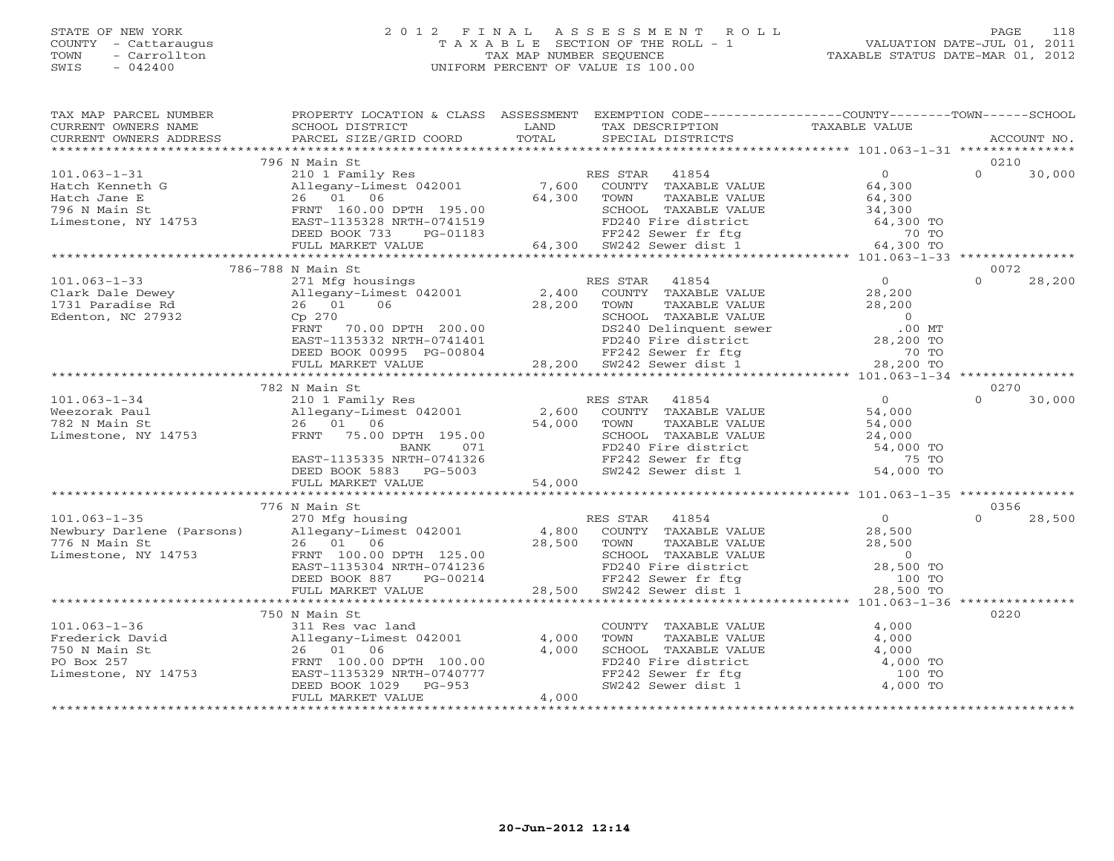#### STATE OF NEW YORK 2 0 1 2 F I N A L A S S E S S M E N T R O L L PAGE 118 COUNTY - Cattaraugus T A X A B L E SECTION OF THE ROLL - 1 VALUATION DATE-JUL 01, 2011 TOWN - Carrollton TAX MAP NUMBER SEQUENCE TAXABLE STATUS DATE-MAR 01, 2012 SWIS - 042400 UNIFORM PERCENT OF VALUE IS 100.00UNIFORM PERCENT OF VALUE IS 100.00

| TAX MAP PARCEL NUMBER                                                                                                                                                                                                                                                                                                                                                                                                                                                                                                  | PROPERTY LOCATION & CLASS ASSESSMENT EXEMPTION CODE---------------COUNTY-------TOWN------SCHOOL |       |                                                                                                                                                                                  |                    |
|------------------------------------------------------------------------------------------------------------------------------------------------------------------------------------------------------------------------------------------------------------------------------------------------------------------------------------------------------------------------------------------------------------------------------------------------------------------------------------------------------------------------|-------------------------------------------------------------------------------------------------|-------|----------------------------------------------------------------------------------------------------------------------------------------------------------------------------------|--------------------|
| CURRENT OWNERS NAME                                                                                                                                                                                                                                                                                                                                                                                                                                                                                                    | SCHOOL DISTRICT                                                                                 | LAND  | TAX DESCRIPTION TAXABLE VALUE SPECIAL DISTRICTS                                                                                                                                  |                    |
| $\begin{minipage}{.45\textwidth} \begin{minipage}{.45\textwidth} \begin{minipage}{.45\textwidth} \begin{minipage}{.45\textwidth} \begin{minipage}{.45\textwidth} \begin{minipage}{.45\textwidth} \begin{minipage}{.45\textwidth} \begin{minipage}{.45\textwidth} \begin{minipage}{.45\textwidth} \begin{minipage}{.45\textwidth} \begin{minipage}{.45\textwidth} \begin{minipage}{.45\textwidth} \begin{minipage}{.45\textwidth} \begin{minipage}{.45\textwidth} \begin{minipage}{.45\textwidth} \begin{minipage}{.45$ |                                                                                                 |       |                                                                                                                                                                                  |                    |
|                                                                                                                                                                                                                                                                                                                                                                                                                                                                                                                        |                                                                                                 |       |                                                                                                                                                                                  |                    |
|                                                                                                                                                                                                                                                                                                                                                                                                                                                                                                                        | 796 N Main St                                                                                   |       |                                                                                                                                                                                  | 0210               |
| 101.063-1-31<br>Hatch Kenneth G<br>Hatch Jane E<br>Hatch Jane E<br>26 01 06<br>26 01 06<br>FRNT 160.00 DPTH 195.00<br>26 01 06<br>FRNT 160.00 DPTH 195.00<br>26 01 06<br>26 01 06<br>FRNT 160.00 SCHOOL TAXABLE VALUE<br>26 01 06<br>26 01 06<br>26 01 06                                                                                                                                                                                                                                                              |                                                                                                 |       |                                                                                                                                                                                  | $\Omega$<br>30,000 |
|                                                                                                                                                                                                                                                                                                                                                                                                                                                                                                                        |                                                                                                 |       |                                                                                                                                                                                  |                    |
|                                                                                                                                                                                                                                                                                                                                                                                                                                                                                                                        |                                                                                                 |       |                                                                                                                                                                                  |                    |
|                                                                                                                                                                                                                                                                                                                                                                                                                                                                                                                        |                                                                                                 |       |                                                                                                                                                                                  |                    |
|                                                                                                                                                                                                                                                                                                                                                                                                                                                                                                                        |                                                                                                 |       |                                                                                                                                                                                  |                    |
|                                                                                                                                                                                                                                                                                                                                                                                                                                                                                                                        |                                                                                                 |       |                                                                                                                                                                                  |                    |
|                                                                                                                                                                                                                                                                                                                                                                                                                                                                                                                        |                                                                                                 |       |                                                                                                                                                                                  |                    |
|                                                                                                                                                                                                                                                                                                                                                                                                                                                                                                                        | 786-788 N Main St                                                                               |       |                                                                                                                                                                                  | 0072               |
| 101.063-1-33<br>Clark Dale Dewey<br>271 Mfg housings<br>271 Mfg housings<br>271 Mfg housings<br>28,2001<br>2791 Paradise Rd<br>26 01 06<br>28,200 TOWN TAXABLE VALUE<br>28,200<br>28,200 TOWN TAXABLE VALUE<br>28,200<br>28,200 TOWN TAXABLE VALUE<br>2                                                                                                                                                                                                                                                                |                                                                                                 |       |                                                                                                                                                                                  | $\Omega$<br>28,200 |
|                                                                                                                                                                                                                                                                                                                                                                                                                                                                                                                        |                                                                                                 |       |                                                                                                                                                                                  |                    |
|                                                                                                                                                                                                                                                                                                                                                                                                                                                                                                                        |                                                                                                 |       |                                                                                                                                                                                  |                    |
|                                                                                                                                                                                                                                                                                                                                                                                                                                                                                                                        |                                                                                                 |       |                                                                                                                                                                                  |                    |
|                                                                                                                                                                                                                                                                                                                                                                                                                                                                                                                        |                                                                                                 |       |                                                                                                                                                                                  |                    |
|                                                                                                                                                                                                                                                                                                                                                                                                                                                                                                                        |                                                                                                 |       |                                                                                                                                                                                  |                    |
|                                                                                                                                                                                                                                                                                                                                                                                                                                                                                                                        |                                                                                                 |       |                                                                                                                                                                                  |                    |
|                                                                                                                                                                                                                                                                                                                                                                                                                                                                                                                        |                                                                                                 |       |                                                                                                                                                                                  |                    |
|                                                                                                                                                                                                                                                                                                                                                                                                                                                                                                                        |                                                                                                 |       |                                                                                                                                                                                  |                    |
|                                                                                                                                                                                                                                                                                                                                                                                                                                                                                                                        | 782 N Main St                                                                                   |       |                                                                                                                                                                                  | 0270               |
| 101.063-1-34 $\footnotesize$<br>Weezorak Paul 2.00 PM 2.600 COUNTY TAXABLE VALUE 54,000<br>782 N Main St 26 01 06 Dimestone, NY 14753 FRNT 75.00 DPTH 195.00 SCHOOL TAXABLE VALUE 54,000<br>EAST-1135335 NRTH-0741326 FR242 Sewer fr ftg 54,                                                                                                                                                                                                                                                                           |                                                                                                 |       |                                                                                                                                                                                  | $\Omega$<br>30,000 |
|                                                                                                                                                                                                                                                                                                                                                                                                                                                                                                                        |                                                                                                 |       |                                                                                                                                                                                  |                    |
|                                                                                                                                                                                                                                                                                                                                                                                                                                                                                                                        |                                                                                                 |       |                                                                                                                                                                                  |                    |
|                                                                                                                                                                                                                                                                                                                                                                                                                                                                                                                        |                                                                                                 |       |                                                                                                                                                                                  |                    |
|                                                                                                                                                                                                                                                                                                                                                                                                                                                                                                                        |                                                                                                 |       |                                                                                                                                                                                  |                    |
|                                                                                                                                                                                                                                                                                                                                                                                                                                                                                                                        |                                                                                                 |       |                                                                                                                                                                                  |                    |
|                                                                                                                                                                                                                                                                                                                                                                                                                                                                                                                        |                                                                                                 |       |                                                                                                                                                                                  |                    |
|                                                                                                                                                                                                                                                                                                                                                                                                                                                                                                                        |                                                                                                 |       |                                                                                                                                                                                  |                    |
|                                                                                                                                                                                                                                                                                                                                                                                                                                                                                                                        |                                                                                                 |       |                                                                                                                                                                                  |                    |
|                                                                                                                                                                                                                                                                                                                                                                                                                                                                                                                        |                                                                                                 |       |                                                                                                                                                                                  | 0356               |
|                                                                                                                                                                                                                                                                                                                                                                                                                                                                                                                        |                                                                                                 |       |                                                                                                                                                                                  |                    |
|                                                                                                                                                                                                                                                                                                                                                                                                                                                                                                                        |                                                                                                 |       |                                                                                                                                                                                  |                    |
|                                                                                                                                                                                                                                                                                                                                                                                                                                                                                                                        |                                                                                                 |       |                                                                                                                                                                                  |                    |
|                                                                                                                                                                                                                                                                                                                                                                                                                                                                                                                        |                                                                                                 |       |                                                                                                                                                                                  |                    |
|                                                                                                                                                                                                                                                                                                                                                                                                                                                                                                                        |                                                                                                 |       |                                                                                                                                                                                  |                    |
|                                                                                                                                                                                                                                                                                                                                                                                                                                                                                                                        |                                                                                                 |       |                                                                                                                                                                                  |                    |
|                                                                                                                                                                                                                                                                                                                                                                                                                                                                                                                        |                                                                                                 |       |                                                                                                                                                                                  |                    |
|                                                                                                                                                                                                                                                                                                                                                                                                                                                                                                                        |                                                                                                 |       |                                                                                                                                                                                  |                    |
|                                                                                                                                                                                                                                                                                                                                                                                                                                                                                                                        | 750 N Main St                                                                                   |       |                                                                                                                                                                                  | 0220               |
|                                                                                                                                                                                                                                                                                                                                                                                                                                                                                                                        |                                                                                                 |       |                                                                                                                                                                                  |                    |
|                                                                                                                                                                                                                                                                                                                                                                                                                                                                                                                        |                                                                                                 |       |                                                                                                                                                                                  |                    |
|                                                                                                                                                                                                                                                                                                                                                                                                                                                                                                                        |                                                                                                 |       |                                                                                                                                                                                  |                    |
| 101.063-1-36<br>Frederick David<br>750 N Main St<br>750 N Main St<br>750 N Main St<br>750 N Main St<br>750 N Main St<br>750 N Main St<br>760 N Main St<br>760 N Main St<br>760 N Main St<br>760 N Main St<br>760 N Main St<br>760 N Main St<br>760 N Main                                                                                                                                                                                                                                                              |                                                                                                 |       | COUNTY TAXABLE VALUE 4,000<br>TOWN TAXABLE VALUE 4,000<br>SCHOOL TAXABLE VALUE 4,000<br>FD240 Fire district 4,000 TO<br>FF242 Sewer fr ftg 100 TO<br>SW242 Sewer dist 1 4,000 TO |                    |
|                                                                                                                                                                                                                                                                                                                                                                                                                                                                                                                        |                                                                                                 |       |                                                                                                                                                                                  |                    |
|                                                                                                                                                                                                                                                                                                                                                                                                                                                                                                                        |                                                                                                 |       |                                                                                                                                                                                  |                    |
|                                                                                                                                                                                                                                                                                                                                                                                                                                                                                                                        | FULL MARKET VALUE                                                                               | 4,000 |                                                                                                                                                                                  |                    |
|                                                                                                                                                                                                                                                                                                                                                                                                                                                                                                                        |                                                                                                 |       |                                                                                                                                                                                  |                    |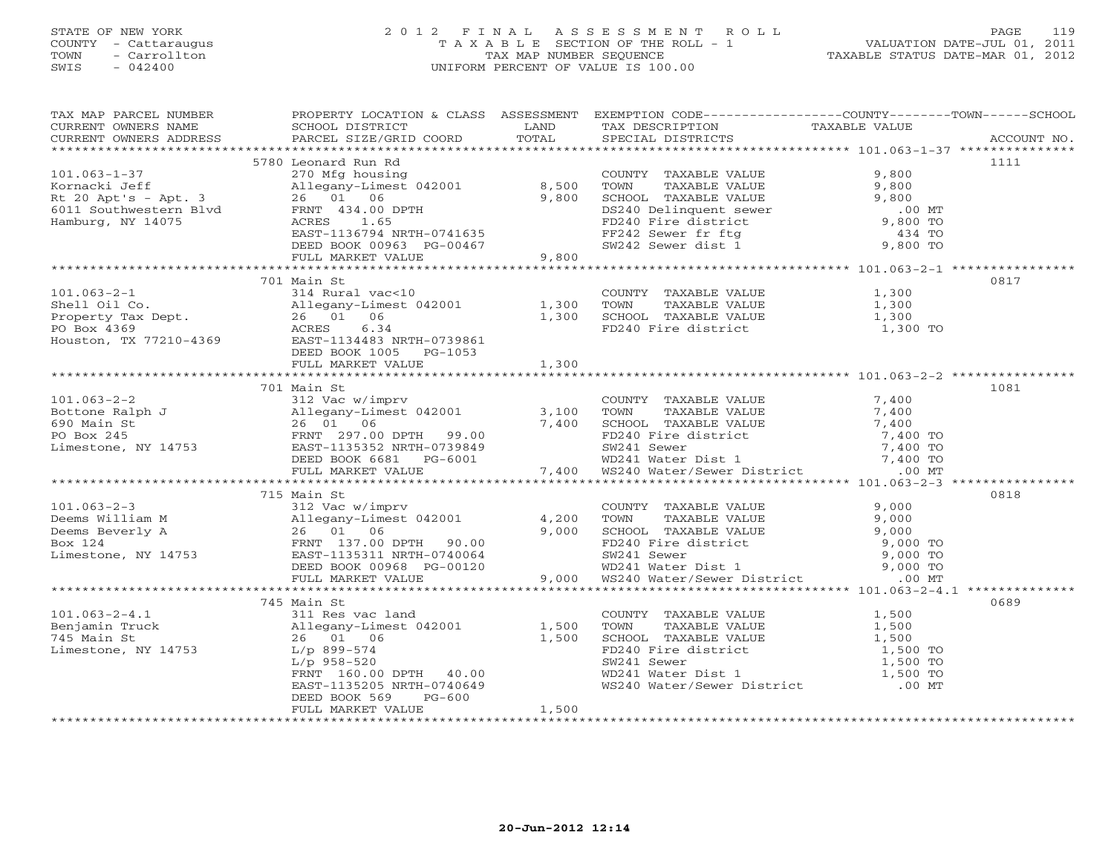# STATE OF NEW YORK 2 0 1 2 F I N A L A S S E S S M E N T R O L L PAGE 119 COUNTY - Cattaraugus T A X A B L E SECTION OF THE ROLL - 1 VALUATION DATE-JUL 01, 2011 TOWN - Carrollton TAX MAP NUMBER SEQUENCE TAXABLE STATUS DATE-MAR 01, 2012 SWIS - 042400 UNIFORM PERCENT OF VALUE IS 100.00UNIFORM PERCENT OF VALUE IS 100.00

| TAX MAP PARCEL NUMBER<br>CURRENT OWNERS NAME<br>CURRENT OWNERS ADDRESS                                                                                                                                                                                                                                                                                                                                             | PROPERTY LOCATION & CLASS ASSESSMENT EXEMPTION CODE---------------COUNTY-------TOWN-----SCHOOL<br>SCHOOL DISTRICT LAND |       | THE TEST TEST THE TAXABLE VALUE<br>SPECIAL DISTRICTS TAXABLE VALUE                                                                                                                                                |      |
|--------------------------------------------------------------------------------------------------------------------------------------------------------------------------------------------------------------------------------------------------------------------------------------------------------------------------------------------------------------------------------------------------------------------|------------------------------------------------------------------------------------------------------------------------|-------|-------------------------------------------------------------------------------------------------------------------------------------------------------------------------------------------------------------------|------|
| COUNING SURFACE SERVICED COORD TOTAL SERVICES SERVICES RESOUND NO.<br>CURRENT OWNERS ADDRESS PARCEL SIZE/GRID COORD TOTAL SERVICES SERVICES SERVICES ACCOUNT NO.                                                                                                                                                                                                                                                   |                                                                                                                        |       |                                                                                                                                                                                                                   |      |
| 101.063-1-37 5780 Leonard Run Rd<br>$\begin{array}{l} 5780 \text{ Leonard Run Rd} \\ \text{Rornacki Jeff} \\ \text{R20 Apt's - Apt. 3} \\ 204pts - Apt. 3 \\ 6011 \text{ Southern Blvd} \\ \text{Hamburg, NY 14075} \\ \text{Hamburg, NY 14075} \\ \text{R20 Apt's - Apt. 3} \\ \text{R20 Art's - Apt. 3} \\ \text{R20 Art's - Apt. 3} \\ \text{R20 Art's - Apt. 3} \\ \text{R20 Art's - Apt. 3} \\ \text{R20 Art$ | 5780 Leonard Run Rd                                                                                                    |       |                                                                                                                                                                                                                   | 1111 |
|                                                                                                                                                                                                                                                                                                                                                                                                                    |                                                                                                                        |       |                                                                                                                                                                                                                   |      |
| $101.063 - 2 - 1$<br>Shell Oil Co.<br>Shell Oil Co.<br>Property Tax Dept.<br>26 01 06 1,300<br>PO Box 4369 2001 1,300<br>Houston, TX 77210-4369 EAST-1134483 NRTH-0739861<br>EED BOOK 1005 PG-1053<br>TULL MARKET VALUE<br>TULL MARKET VALUE                                                                                                                                                                       | 701 Main St<br>314 Rural vac<10                                                                                        |       | COUNTY TAXABLE VALUE 1,300<br>TOWN TAXABLE VALUE 1,300<br>SCHOOL TAXABLE VALUE 1,300<br>FD240 Fire district 1,300 TO                                                                                              | 0817 |
|                                                                                                                                                                                                                                                                                                                                                                                                                    |                                                                                                                        |       |                                                                                                                                                                                                                   |      |
| 101.063-2-2<br>Bottone Ralph J<br>690 Main St<br>FO Box 245<br>E VALUE<br>FO Box 245<br>Limestone, NY 14753<br>ELL MARKET VALUE<br>FULL MARKET VALUE<br>FULL MARKET VALUE<br>FULL MARKET VALUE<br>FULL MARKET VALUE<br>FULL MARKET VALUE<br>FULL MARKET                                                                                                                                                            | 701 Main St                                                                                                            |       |                                                                                                                                                                                                                   | 1081 |
|                                                                                                                                                                                                                                                                                                                                                                                                                    |                                                                                                                        |       |                                                                                                                                                                                                                   | 0818 |
| 101.063-2-3<br>Deems William M<br>Deems Everly A<br>Mallegary-Limest 042001<br>Deems Everly A<br>26 01 06<br>EX 124<br>EXST-1135311 NRTH-0740064<br>EXST-1135311 NRTH-0740064<br>EXST-1135311 NRTH-0740064<br>EXST-1135311 NRTH-0740064<br>FULL MAR                                                                                                                                                                | 715 Main St                                                                                                            |       |                                                                                                                                                                                                                   |      |
|                                                                                                                                                                                                                                                                                                                                                                                                                    |                                                                                                                        |       |                                                                                                                                                                                                                   |      |
| 101.063-2-4.1<br>Benjamin Truck<br>745 Main St<br>Limestone, NY 14753<br>ERNT 160.00 DPTH 40.00<br>ERNT 160.00 DPTH 40.00<br>TERNT 160.00 DPTH 40.00<br>TERNT 160.00 DPTH 40.00<br>TERNT 160.00 DPTH 40.00<br>TERNT 160.00 DPTH 40.00<br>TERNT 16                                                                                                                                                                  | 745 Main St<br>$PG-600$<br>DEED BOOK 569<br>FULL MARKET VALUE                                                          | 1,500 | COUNTY TAXABLE VALUE<br>TOWN TAXABLE VALUE<br>SCHOOL TAXABLE VALUE<br>FD240 Fire district<br>FD240 Fire district<br>SW241 Sewer 1,500 TO<br>WD241 Water Dist 1<br>WS240 Water/Sewer District<br>1,500 TO<br>00 MT | 0689 |
|                                                                                                                                                                                                                                                                                                                                                                                                                    |                                                                                                                        |       |                                                                                                                                                                                                                   |      |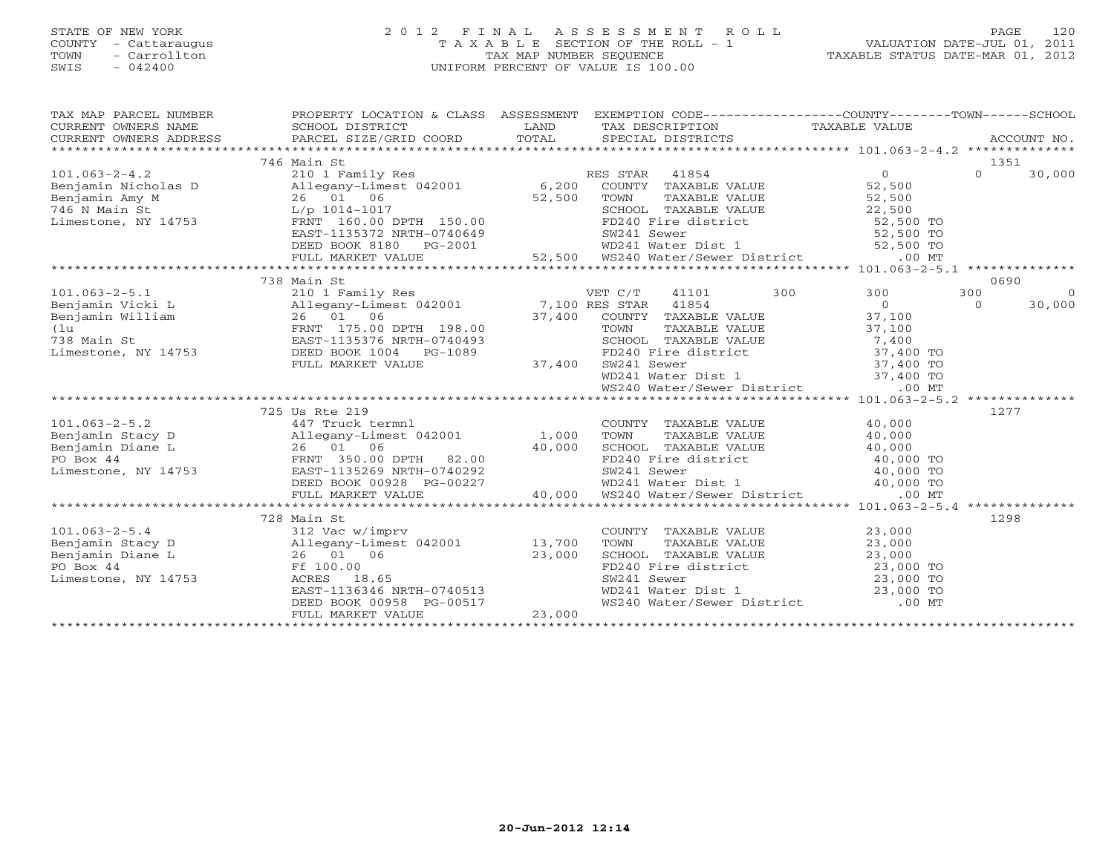# STATE OF NEW YORK 2 0 1 2 F I N A L A S S E S S M E N T R O L L PAGE 120 COUNTY - Cattaraugus T A X A B L E SECTION OF THE ROLL - 1 VALUATION DATE-JUL 01, 2011 TOWN - Carrollton TAX MAP NUMBER SEQUENCE TAXABLE STATUS DATE-MAR 01, 2012 SWIS - 042400 UNIFORM PERCENT OF VALUE IS 100.00UNIFORM PERCENT OF VALUE IS 100.00

| 1351<br>746 Main St<br>101.063-2-4.2<br>Benjamin Nicholas D<br>Enjamin Amy M<br>26 01 06<br>26 01 06<br>26 01 06<br>26 01 06<br>26 01 06<br>26 01 06<br>26 01 06<br>26 01 06<br>27,500<br>27,500<br>27,500<br>27,500<br>27,500<br>27,500<br>27,500<br>27,500<br>27,500<br>27,500<br>27,500<br>27,<br>$\Omega$<br>30,000<br>Benjamin Amy M<br>746 N Main St<br>1990 1001 1014-1017<br>22, 300 1000 124, 300 1000 124, 300 124, 300 124, 22, 500 22, 500<br>EAST-1135372 NRTH-0740649 52,500 WD241 Water District 52,500 TO<br>EED BOOK 8180 PG-2001 52,500 WD241 Wat<br>0690<br>300 300<br>300<br>$\bigcirc$<br>$\overline{0}$<br>$\overline{0}$<br>30,000<br>37,100<br>TOWN TAXABLE VALUE<br>TOWN TAXABLE VALUE<br>SCHOOL TAXABLE VALUE<br>TOWN TAXABLE VALUE<br>TOWN TAXABLE VALUE<br>TAGO TO TO TO SW241 Sewer<br>WD241 Water Dist 1<br>WS240 Water/Sewer District<br>.00 MT<br>725 Us Rte 219<br>1277<br>$\begin{tabular}{llllll} \multicolumn{2}{c}{\textbf{COUNTY}} & \textbf{TAXABLE VALUE} & & & & 40,000 \\ \multicolumn{2}{c}{\textbf{TOWN}} & \textbf{TAXABLE VALUE} & & & 40,000 \end{tabular}$<br>101.063-2-5.2<br>Benjamin Stacy D<br>Benjamin Diane L<br>PO Box 44<br>Limestone, NY 14753<br>Contract Data Case of the Surface of the Same Book 00928<br>Contract Data Case Case Case of the Same Book 00928<br>PO Box 44<br>Contract Data Ca<br>26 01 06 40,000 SCHOOL TAXABLE VALUE 40,000 TO<br>FRNT 350.00 DPTH 82.00 FD240 Fire district 40,000 TO<br>EAST-1135269 NRTH-0740292 SW241 Sewer 40,000 TO<br>DEED BOOK 00928 PG-00227 WD241 Water Dist 1 40,000 TO<br>FULL MARKET VALU<br>728 Main St<br>1298<br>COUNTY TAXABLE VALUE 23,000<br>TOWN TAXABLE VALUE 23,000<br>5.4<br>13,700<br>13,700<br>13,700<br>13,700<br>13,700<br>13,700<br>13,700<br>13,700<br>13,700<br>13,700<br>13,700<br>13,000<br>Ff 100.00<br>13,000<br>NY 14753<br>13,000<br>FOWN TAXABLE VALUE<br>SCHOOL TAXABLE VALUE<br>SCHOOL TAXABLE VALUE<br>PD240 Fire district<br>SW241 Sewer<br>WD241 Water Dist 1<br>WS240 Water/Sewer District<br>CO MT<br>26 01 06 23,000<br>Ff 100.00 23,000<br>RCRES 18.65<br>EAST-1136346 NRTH-0740513<br>DEED BOOK 00958 PG-00517<br>FULL MARKET VALUE 23,000 | TAX MAP PARCEL NUMBER<br>CURRENT OWNERS NAME<br>CURRENT OWNERS NAME<br>CURRENT OWNERS ADDRESS | PROPERTY LOCATION & CLASS ASSESSMENT EXEMPTION CODE---------------COUNTY-------TOWN------SCHOOL |  |  |  |
|------------------------------------------------------------------------------------------------------------------------------------------------------------------------------------------------------------------------------------------------------------------------------------------------------------------------------------------------------------------------------------------------------------------------------------------------------------------------------------------------------------------------------------------------------------------------------------------------------------------------------------------------------------------------------------------------------------------------------------------------------------------------------------------------------------------------------------------------------------------------------------------------------------------------------------------------------------------------------------------------------------------------------------------------------------------------------------------------------------------------------------------------------------------------------------------------------------------------------------------------------------------------------------------------------------------------------------------------------------------------------------------------------------------------------------------------------------------------------------------------------------------------------------------------------------------------------------------------------------------------------------------------------------------------------------------------------------------------------------------------------------------------------------------------------------------------------------------------------------------------------------------------------------------------------------------------------------------------------------------------------------------------------------------------------------------------------------------------------------------------------------------------------------------------------------------|-----------------------------------------------------------------------------------------------|-------------------------------------------------------------------------------------------------|--|--|--|
|                                                                                                                                                                                                                                                                                                                                                                                                                                                                                                                                                                                                                                                                                                                                                                                                                                                                                                                                                                                                                                                                                                                                                                                                                                                                                                                                                                                                                                                                                                                                                                                                                                                                                                                                                                                                                                                                                                                                                                                                                                                                                                                                                                                          |                                                                                               |                                                                                                 |  |  |  |
|                                                                                                                                                                                                                                                                                                                                                                                                                                                                                                                                                                                                                                                                                                                                                                                                                                                                                                                                                                                                                                                                                                                                                                                                                                                                                                                                                                                                                                                                                                                                                                                                                                                                                                                                                                                                                                                                                                                                                                                                                                                                                                                                                                                          |                                                                                               |                                                                                                 |  |  |  |
|                                                                                                                                                                                                                                                                                                                                                                                                                                                                                                                                                                                                                                                                                                                                                                                                                                                                                                                                                                                                                                                                                                                                                                                                                                                                                                                                                                                                                                                                                                                                                                                                                                                                                                                                                                                                                                                                                                                                                                                                                                                                                                                                                                                          |                                                                                               |                                                                                                 |  |  |  |
|                                                                                                                                                                                                                                                                                                                                                                                                                                                                                                                                                                                                                                                                                                                                                                                                                                                                                                                                                                                                                                                                                                                                                                                                                                                                                                                                                                                                                                                                                                                                                                                                                                                                                                                                                                                                                                                                                                                                                                                                                                                                                                                                                                                          |                                                                                               |                                                                                                 |  |  |  |
|                                                                                                                                                                                                                                                                                                                                                                                                                                                                                                                                                                                                                                                                                                                                                                                                                                                                                                                                                                                                                                                                                                                                                                                                                                                                                                                                                                                                                                                                                                                                                                                                                                                                                                                                                                                                                                                                                                                                                                                                                                                                                                                                                                                          |                                                                                               |                                                                                                 |  |  |  |
|                                                                                                                                                                                                                                                                                                                                                                                                                                                                                                                                                                                                                                                                                                                                                                                                                                                                                                                                                                                                                                                                                                                                                                                                                                                                                                                                                                                                                                                                                                                                                                                                                                                                                                                                                                                                                                                                                                                                                                                                                                                                                                                                                                                          |                                                                                               |                                                                                                 |  |  |  |
|                                                                                                                                                                                                                                                                                                                                                                                                                                                                                                                                                                                                                                                                                                                                                                                                                                                                                                                                                                                                                                                                                                                                                                                                                                                                                                                                                                                                                                                                                                                                                                                                                                                                                                                                                                                                                                                                                                                                                                                                                                                                                                                                                                                          |                                                                                               |                                                                                                 |  |  |  |
|                                                                                                                                                                                                                                                                                                                                                                                                                                                                                                                                                                                                                                                                                                                                                                                                                                                                                                                                                                                                                                                                                                                                                                                                                                                                                                                                                                                                                                                                                                                                                                                                                                                                                                                                                                                                                                                                                                                                                                                                                                                                                                                                                                                          |                                                                                               |                                                                                                 |  |  |  |
|                                                                                                                                                                                                                                                                                                                                                                                                                                                                                                                                                                                                                                                                                                                                                                                                                                                                                                                                                                                                                                                                                                                                                                                                                                                                                                                                                                                                                                                                                                                                                                                                                                                                                                                                                                                                                                                                                                                                                                                                                                                                                                                                                                                          |                                                                                               |                                                                                                 |  |  |  |
|                                                                                                                                                                                                                                                                                                                                                                                                                                                                                                                                                                                                                                                                                                                                                                                                                                                                                                                                                                                                                                                                                                                                                                                                                                                                                                                                                                                                                                                                                                                                                                                                                                                                                                                                                                                                                                                                                                                                                                                                                                                                                                                                                                                          |                                                                                               |                                                                                                 |  |  |  |
|                                                                                                                                                                                                                                                                                                                                                                                                                                                                                                                                                                                                                                                                                                                                                                                                                                                                                                                                                                                                                                                                                                                                                                                                                                                                                                                                                                                                                                                                                                                                                                                                                                                                                                                                                                                                                                                                                                                                                                                                                                                                                                                                                                                          |                                                                                               |                                                                                                 |  |  |  |
|                                                                                                                                                                                                                                                                                                                                                                                                                                                                                                                                                                                                                                                                                                                                                                                                                                                                                                                                                                                                                                                                                                                                                                                                                                                                                                                                                                                                                                                                                                                                                                                                                                                                                                                                                                                                                                                                                                                                                                                                                                                                                                                                                                                          |                                                                                               |                                                                                                 |  |  |  |
|                                                                                                                                                                                                                                                                                                                                                                                                                                                                                                                                                                                                                                                                                                                                                                                                                                                                                                                                                                                                                                                                                                                                                                                                                                                                                                                                                                                                                                                                                                                                                                                                                                                                                                                                                                                                                                                                                                                                                                                                                                                                                                                                                                                          |                                                                                               |                                                                                                 |  |  |  |
|                                                                                                                                                                                                                                                                                                                                                                                                                                                                                                                                                                                                                                                                                                                                                                                                                                                                                                                                                                                                                                                                                                                                                                                                                                                                                                                                                                                                                                                                                                                                                                                                                                                                                                                                                                                                                                                                                                                                                                                                                                                                                                                                                                                          |                                                                                               |                                                                                                 |  |  |  |
|                                                                                                                                                                                                                                                                                                                                                                                                                                                                                                                                                                                                                                                                                                                                                                                                                                                                                                                                                                                                                                                                                                                                                                                                                                                                                                                                                                                                                                                                                                                                                                                                                                                                                                                                                                                                                                                                                                                                                                                                                                                                                                                                                                                          |                                                                                               |                                                                                                 |  |  |  |
|                                                                                                                                                                                                                                                                                                                                                                                                                                                                                                                                                                                                                                                                                                                                                                                                                                                                                                                                                                                                                                                                                                                                                                                                                                                                                                                                                                                                                                                                                                                                                                                                                                                                                                                                                                                                                                                                                                                                                                                                                                                                                                                                                                                          |                                                                                               |                                                                                                 |  |  |  |
|                                                                                                                                                                                                                                                                                                                                                                                                                                                                                                                                                                                                                                                                                                                                                                                                                                                                                                                                                                                                                                                                                                                                                                                                                                                                                                                                                                                                                                                                                                                                                                                                                                                                                                                                                                                                                                                                                                                                                                                                                                                                                                                                                                                          |                                                                                               |                                                                                                 |  |  |  |
|                                                                                                                                                                                                                                                                                                                                                                                                                                                                                                                                                                                                                                                                                                                                                                                                                                                                                                                                                                                                                                                                                                                                                                                                                                                                                                                                                                                                                                                                                                                                                                                                                                                                                                                                                                                                                                                                                                                                                                                                                                                                                                                                                                                          |                                                                                               |                                                                                                 |  |  |  |
|                                                                                                                                                                                                                                                                                                                                                                                                                                                                                                                                                                                                                                                                                                                                                                                                                                                                                                                                                                                                                                                                                                                                                                                                                                                                                                                                                                                                                                                                                                                                                                                                                                                                                                                                                                                                                                                                                                                                                                                                                                                                                                                                                                                          |                                                                                               |                                                                                                 |  |  |  |
|                                                                                                                                                                                                                                                                                                                                                                                                                                                                                                                                                                                                                                                                                                                                                                                                                                                                                                                                                                                                                                                                                                                                                                                                                                                                                                                                                                                                                                                                                                                                                                                                                                                                                                                                                                                                                                                                                                                                                                                                                                                                                                                                                                                          |                                                                                               |                                                                                                 |  |  |  |
|                                                                                                                                                                                                                                                                                                                                                                                                                                                                                                                                                                                                                                                                                                                                                                                                                                                                                                                                                                                                                                                                                                                                                                                                                                                                                                                                                                                                                                                                                                                                                                                                                                                                                                                                                                                                                                                                                                                                                                                                                                                                                                                                                                                          |                                                                                               |                                                                                                 |  |  |  |
|                                                                                                                                                                                                                                                                                                                                                                                                                                                                                                                                                                                                                                                                                                                                                                                                                                                                                                                                                                                                                                                                                                                                                                                                                                                                                                                                                                                                                                                                                                                                                                                                                                                                                                                                                                                                                                                                                                                                                                                                                                                                                                                                                                                          |                                                                                               |                                                                                                 |  |  |  |
|                                                                                                                                                                                                                                                                                                                                                                                                                                                                                                                                                                                                                                                                                                                                                                                                                                                                                                                                                                                                                                                                                                                                                                                                                                                                                                                                                                                                                                                                                                                                                                                                                                                                                                                                                                                                                                                                                                                                                                                                                                                                                                                                                                                          |                                                                                               |                                                                                                 |  |  |  |
|                                                                                                                                                                                                                                                                                                                                                                                                                                                                                                                                                                                                                                                                                                                                                                                                                                                                                                                                                                                                                                                                                                                                                                                                                                                                                                                                                                                                                                                                                                                                                                                                                                                                                                                                                                                                                                                                                                                                                                                                                                                                                                                                                                                          |                                                                                               |                                                                                                 |  |  |  |
|                                                                                                                                                                                                                                                                                                                                                                                                                                                                                                                                                                                                                                                                                                                                                                                                                                                                                                                                                                                                                                                                                                                                                                                                                                                                                                                                                                                                                                                                                                                                                                                                                                                                                                                                                                                                                                                                                                                                                                                                                                                                                                                                                                                          |                                                                                               |                                                                                                 |  |  |  |
|                                                                                                                                                                                                                                                                                                                                                                                                                                                                                                                                                                                                                                                                                                                                                                                                                                                                                                                                                                                                                                                                                                                                                                                                                                                                                                                                                                                                                                                                                                                                                                                                                                                                                                                                                                                                                                                                                                                                                                                                                                                                                                                                                                                          |                                                                                               |                                                                                                 |  |  |  |
|                                                                                                                                                                                                                                                                                                                                                                                                                                                                                                                                                                                                                                                                                                                                                                                                                                                                                                                                                                                                                                                                                                                                                                                                                                                                                                                                                                                                                                                                                                                                                                                                                                                                                                                                                                                                                                                                                                                                                                                                                                                                                                                                                                                          |                                                                                               |                                                                                                 |  |  |  |
|                                                                                                                                                                                                                                                                                                                                                                                                                                                                                                                                                                                                                                                                                                                                                                                                                                                                                                                                                                                                                                                                                                                                                                                                                                                                                                                                                                                                                                                                                                                                                                                                                                                                                                                                                                                                                                                                                                                                                                                                                                                                                                                                                                                          |                                                                                               |                                                                                                 |  |  |  |
|                                                                                                                                                                                                                                                                                                                                                                                                                                                                                                                                                                                                                                                                                                                                                                                                                                                                                                                                                                                                                                                                                                                                                                                                                                                                                                                                                                                                                                                                                                                                                                                                                                                                                                                                                                                                                                                                                                                                                                                                                                                                                                                                                                                          |                                                                                               |                                                                                                 |  |  |  |
|                                                                                                                                                                                                                                                                                                                                                                                                                                                                                                                                                                                                                                                                                                                                                                                                                                                                                                                                                                                                                                                                                                                                                                                                                                                                                                                                                                                                                                                                                                                                                                                                                                                                                                                                                                                                                                                                                                                                                                                                                                                                                                                                                                                          |                                                                                               |                                                                                                 |  |  |  |
|                                                                                                                                                                                                                                                                                                                                                                                                                                                                                                                                                                                                                                                                                                                                                                                                                                                                                                                                                                                                                                                                                                                                                                                                                                                                                                                                                                                                                                                                                                                                                                                                                                                                                                                                                                                                                                                                                                                                                                                                                                                                                                                                                                                          |                                                                                               |                                                                                                 |  |  |  |
|                                                                                                                                                                                                                                                                                                                                                                                                                                                                                                                                                                                                                                                                                                                                                                                                                                                                                                                                                                                                                                                                                                                                                                                                                                                                                                                                                                                                                                                                                                                                                                                                                                                                                                                                                                                                                                                                                                                                                                                                                                                                                                                                                                                          | $101.063 - 2 - 5.4$                                                                           |                                                                                                 |  |  |  |
|                                                                                                                                                                                                                                                                                                                                                                                                                                                                                                                                                                                                                                                                                                                                                                                                                                                                                                                                                                                                                                                                                                                                                                                                                                                                                                                                                                                                                                                                                                                                                                                                                                                                                                                                                                                                                                                                                                                                                                                                                                                                                                                                                                                          | Benjamin Stacy D                                                                              |                                                                                                 |  |  |  |
|                                                                                                                                                                                                                                                                                                                                                                                                                                                                                                                                                                                                                                                                                                                                                                                                                                                                                                                                                                                                                                                                                                                                                                                                                                                                                                                                                                                                                                                                                                                                                                                                                                                                                                                                                                                                                                                                                                                                                                                                                                                                                                                                                                                          | Benjamin Diane L                                                                              |                                                                                                 |  |  |  |
|                                                                                                                                                                                                                                                                                                                                                                                                                                                                                                                                                                                                                                                                                                                                                                                                                                                                                                                                                                                                                                                                                                                                                                                                                                                                                                                                                                                                                                                                                                                                                                                                                                                                                                                                                                                                                                                                                                                                                                                                                                                                                                                                                                                          | PO Box 44                                                                                     |                                                                                                 |  |  |  |
|                                                                                                                                                                                                                                                                                                                                                                                                                                                                                                                                                                                                                                                                                                                                                                                                                                                                                                                                                                                                                                                                                                                                                                                                                                                                                                                                                                                                                                                                                                                                                                                                                                                                                                                                                                                                                                                                                                                                                                                                                                                                                                                                                                                          | Limestone, NY 14753                                                                           |                                                                                                 |  |  |  |
|                                                                                                                                                                                                                                                                                                                                                                                                                                                                                                                                                                                                                                                                                                                                                                                                                                                                                                                                                                                                                                                                                                                                                                                                                                                                                                                                                                                                                                                                                                                                                                                                                                                                                                                                                                                                                                                                                                                                                                                                                                                                                                                                                                                          |                                                                                               |                                                                                                 |  |  |  |
|                                                                                                                                                                                                                                                                                                                                                                                                                                                                                                                                                                                                                                                                                                                                                                                                                                                                                                                                                                                                                                                                                                                                                                                                                                                                                                                                                                                                                                                                                                                                                                                                                                                                                                                                                                                                                                                                                                                                                                                                                                                                                                                                                                                          |                                                                                               |                                                                                                 |  |  |  |
|                                                                                                                                                                                                                                                                                                                                                                                                                                                                                                                                                                                                                                                                                                                                                                                                                                                                                                                                                                                                                                                                                                                                                                                                                                                                                                                                                                                                                                                                                                                                                                                                                                                                                                                                                                                                                                                                                                                                                                                                                                                                                                                                                                                          |                                                                                               |                                                                                                 |  |  |  |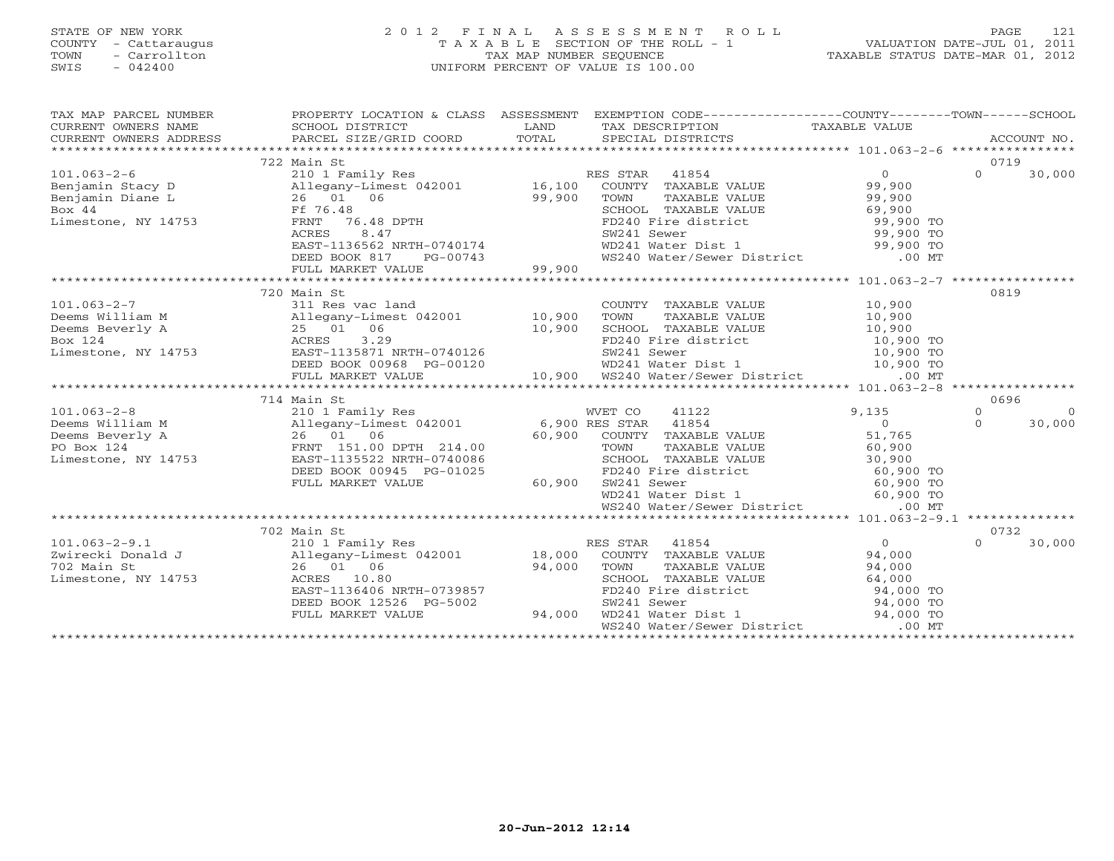# STATE OF NEW YORK 2 0 1 2 F I N A L A S S E S S M E N T R O L L PAGE 121 COUNTY - Cattaraugus T A X A B L E SECTION OF THE ROLL - 1 VALUATION DATE-JUL 01, 2011 TOWN - Carrollton TAX MAP NUMBER SEQUENCE TAXABLE STATUS DATE-MAR 01, 2012 SWIS - 042400 UNIFORM PERCENT OF VALUE IS 100.00UNIFORM PERCENT OF VALUE IS 100.00

| $\begin{tabular}{lllllllll} \multicolumn{3}{l}{{\small\sc{CURER}}}& $\text{MME}$ & $\text{SCHOOL} & $\text{DISTRICT}$ & $\text{LAND}$ & $\text{TAX} & $\text{DESCRIPTION}$ & $\text{TAXABLE} & $\text{VALUE}$ \\ & $\text{CURERPT} & $\text{WWERS} & $\text{ADDRES} & $\text{PARCEL} & $\text{SIZE/GRID} & $\text{COORD}$ & $\text{TOTAL}$ & $\text{SPECIAL} & $\text{DISTRICTS} & $\text{RCCOUNT NO} \\ & $\text{*}\text{*}\text{*}\text{*}\text{*}\text{*}\text{*}\text{*}\text{*}\text{*}\text$ |          |
|----------------------------------------------------------------------------------------------------------------------------------------------------------------------------------------------------------------------------------------------------------------------------------------------------------------------------------------------------------------------------------------------------------------------------------------------------------------------------------------------------|----------|
|                                                                                                                                                                                                                                                                                                                                                                                                                                                                                                    |          |
| 0719<br>101.003-2-6<br>Benjamin Stacy D<br>Benjamin Diane L<br>26 01 06<br>Box 44<br>Limestone, NY 14753<br>CHOOL TAXABLE VALUE<br>FE 76.48<br>PENT 76.48<br>DPTH<br>PENT 76.48<br>PENT 76.48<br>PENT 16.100<br>PENT TAXABLE VALUE<br>SCHOOL TAXABLE VALUE<br>SCHOOL                                                                                                                                                                                                                               |          |
| $\Omega$                                                                                                                                                                                                                                                                                                                                                                                                                                                                                           | 30,000   |
|                                                                                                                                                                                                                                                                                                                                                                                                                                                                                                    |          |
|                                                                                                                                                                                                                                                                                                                                                                                                                                                                                                    |          |
|                                                                                                                                                                                                                                                                                                                                                                                                                                                                                                    |          |
|                                                                                                                                                                                                                                                                                                                                                                                                                                                                                                    |          |
|                                                                                                                                                                                                                                                                                                                                                                                                                                                                                                    |          |
|                                                                                                                                                                                                                                                                                                                                                                                                                                                                                                    |          |
| COWN TAXABLE VALUE<br>TOWN TAXABLE VALUE<br>SCHOOL TAXABLE VALUE<br>FD240 Fire district<br>SW241 Sewer<br>WD241 Water Dist 1<br>WS240 Water/Sewer District<br>99,900 TO<br>WS240 Water/Sewer District<br>00 MT                                                                                                                                                                                                                                                                                     |          |
|                                                                                                                                                                                                                                                                                                                                                                                                                                                                                                    |          |
|                                                                                                                                                                                                                                                                                                                                                                                                                                                                                                    |          |
| 720 Main St<br>0819                                                                                                                                                                                                                                                                                                                                                                                                                                                                                |          |
|                                                                                                                                                                                                                                                                                                                                                                                                                                                                                                    |          |
|                                                                                                                                                                                                                                                                                                                                                                                                                                                                                                    |          |
|                                                                                                                                                                                                                                                                                                                                                                                                                                                                                                    |          |
|                                                                                                                                                                                                                                                                                                                                                                                                                                                                                                    |          |
|                                                                                                                                                                                                                                                                                                                                                                                                                                                                                                    |          |
|                                                                                                                                                                                                                                                                                                                                                                                                                                                                                                    |          |
| 101.063-2-7<br>Deems William M $311$ Res vac land<br>Deems William M $25$ 01.0619<br>Neems Hotel and $25$ 01.0619<br>Neems Box 124<br>EXT-1135871 NRTH-0740126<br>DEED BOX 10,900<br>DEED BOX 10,900<br>DEED BOX 10,900<br>DEED BOX 10,900<br>DEE                                                                                                                                                                                                                                                  |          |
| 714 Main St<br>0696                                                                                                                                                                                                                                                                                                                                                                                                                                                                                |          |
| 101.063-2-8<br>101.063-2-8<br>101.063-2-8<br>11122<br>11122<br>11122<br>11122<br>11122<br>11122<br>11122<br>11122<br>11122<br>11122<br>11122<br>11122<br>11122<br>11122<br>1122<br>1122<br>1122<br>1122<br>1122<br>1122<br>1122<br>1122<br>11354<br>11354<br>11854<br>11854<br>11854<br>11<br>$9,135$<br>0<br>$\Omega$                                                                                                                                                                             | $\Omega$ |
| $\Omega$                                                                                                                                                                                                                                                                                                                                                                                                                                                                                           | 30,000   |
|                                                                                                                                                                                                                                                                                                                                                                                                                                                                                                    |          |
|                                                                                                                                                                                                                                                                                                                                                                                                                                                                                                    |          |
|                                                                                                                                                                                                                                                                                                                                                                                                                                                                                                    |          |
|                                                                                                                                                                                                                                                                                                                                                                                                                                                                                                    |          |
| DEED BOOK 00945 PG-01025<br>FULL MARKET VALUE 60,900                                                                                                                                                                                                                                                                                                                                                                                                                                               |          |
|                                                                                                                                                                                                                                                                                                                                                                                                                                                                                                    |          |
| TOWN TAXABLE VALUE<br>TOWN TAXABLE VALUE<br>SCHOOL TAXABLE VALUE<br>SCHOOL TAXABLE VALUE<br>TOWN TAXABLE VALUE<br>SCHOOL TAXABLE VALUE<br>TO 30,900<br>FD240 Fire district<br>WD241 Water District<br>WS240 Water/Sewer District<br>.00 MT<br>.00 MT                                                                                                                                                                                                                                               |          |
|                                                                                                                                                                                                                                                                                                                                                                                                                                                                                                    |          |
| 702 Main St<br>0732<br>$0$ 94,000<br>94,000<br>24,000<br>24,000                                                                                                                                                                                                                                                                                                                                                                                                                                    |          |
| $\Omega$                                                                                                                                                                                                                                                                                                                                                                                                                                                                                           | 30,000   |
|                                                                                                                                                                                                                                                                                                                                                                                                                                                                                                    |          |
|                                                                                                                                                                                                                                                                                                                                                                                                                                                                                                    |          |
|                                                                                                                                                                                                                                                                                                                                                                                                                                                                                                    |          |
|                                                                                                                                                                                                                                                                                                                                                                                                                                                                                                    |          |
|                                                                                                                                                                                                                                                                                                                                                                                                                                                                                                    |          |
| 101.063-2-9.1<br>210 1 Family Res<br>2001 External B,000 COUNTY TAXABLE VALUE<br>26 01 06 94,000 TOWN TAXABLE VALUE<br>26 01 06 94,000 TOWN TAXABLE VALUE<br>26 01 06 94,000 TOWN TAXABLE VALUE<br>26 01 06 94,000 TOWN TAXABLE VALUE<br>26<br>CONOOL TAXABLE VALUE<br>SCHOOL TAXABLE VALUE<br>FD240 Fire district<br>SW241 Sewer<br>WD241 Water Dist 1<br>WS240 Water/Sewer District<br>00 MT                                                                                                     |          |
|                                                                                                                                                                                                                                                                                                                                                                                                                                                                                                    |          |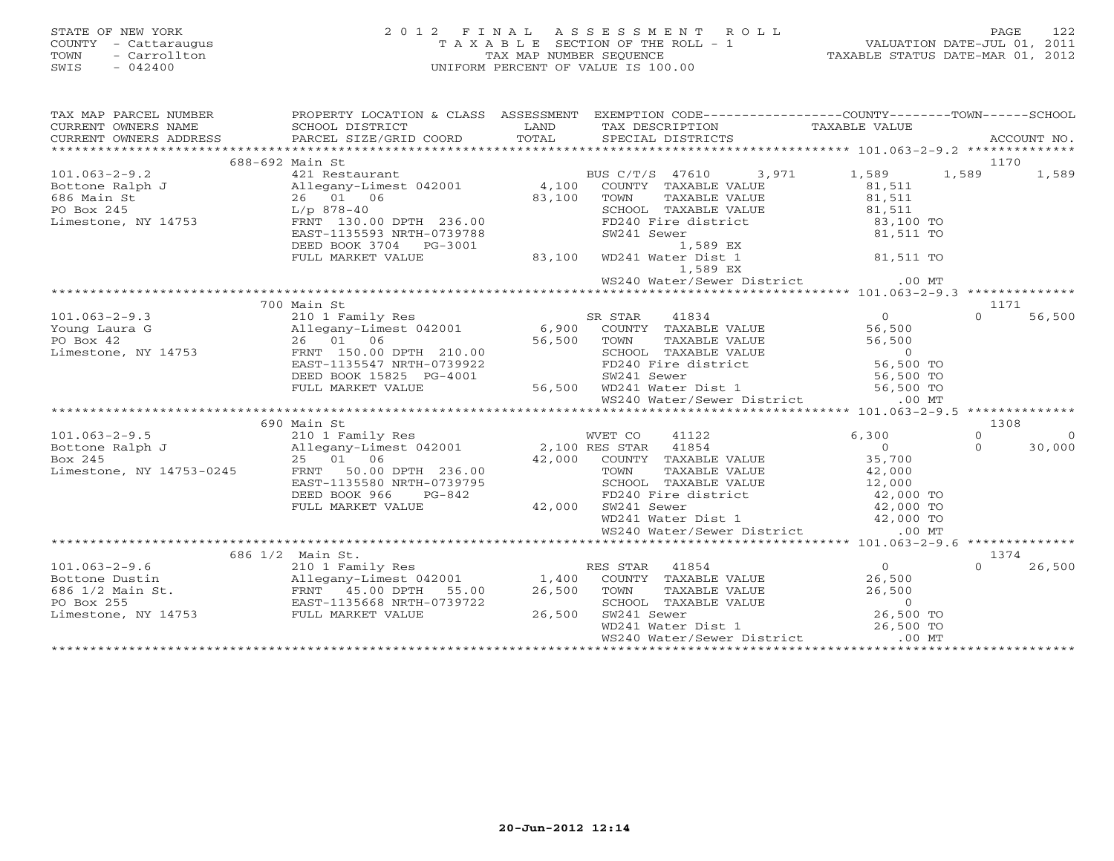# STATE OF NEW YORK 2 0 1 2 F I N A L A S S E S S M E N T R O L L PAGE 122 COUNTY - Cattaraugus T A X A B L E SECTION OF THE ROLL - 1 VALUATION DATE-JUL 01, 2011 TOWN - Carrollton TAX MAP NUMBER SEQUENCE TAXABLE STATUS DATE-MAR 01, 2012 SWIS - 042400 UNIFORM PERCENT OF VALUE IS 100.00UNIFORM PERCENT OF VALUE IS 100.00

| $\begin{tabular}{lllllllll} \textsc{rank} & \textsc{rank} & \textsc{rank} & \textsc{rank} & \textsc{rank} & \textsc{rank} & \textsc{rank} & \textsc{rank} & \textsc{rank} & \textsc{rank} & \textsc{rank} & \textsc{rank} & \textsc{rank} & \textsc{rank} & \textsc{rank} & \textsc{rank} & \textsc{rank} & \textsc{rank} & \textsc{rank} & \textsc{rank} & \textsc{rank} & \textsc{rank} & \textsc{rank} & \textsc{rank} & \textsc{rank} & \textsc{rank} & \textsc{rank} & \textsc{rank} & \textsc{rank} & \textsc{rank$ |                                                                                                                                                                                                                                                      |                                   |                    |
|---------------------------------------------------------------------------------------------------------------------------------------------------------------------------------------------------------------------------------------------------------------------------------------------------------------------------------------------------------------------------------------------------------------------------------------------------------------------------------------------------------------------------|------------------------------------------------------------------------------------------------------------------------------------------------------------------------------------------------------------------------------------------------------|-----------------------------------|--------------------|
|                                                                                                                                                                                                                                                                                                                                                                                                                                                                                                                           |                                                                                                                                                                                                                                                      |                                   |                    |
|                                                                                                                                                                                                                                                                                                                                                                                                                                                                                                                           |                                                                                                                                                                                                                                                      |                                   |                    |
|                                                                                                                                                                                                                                                                                                                                                                                                                                                                                                                           |                                                                                                                                                                                                                                                      |                                   |                    |
|                                                                                                                                                                                                                                                                                                                                                                                                                                                                                                                           |                                                                                                                                                                                                                                                      |                                   |                    |
|                                                                                                                                                                                                                                                                                                                                                                                                                                                                                                                           |                                                                                                                                                                                                                                                      |                                   |                    |
|                                                                                                                                                                                                                                                                                                                                                                                                                                                                                                                           |                                                                                                                                                                                                                                                      |                                   |                    |
|                                                                                                                                                                                                                                                                                                                                                                                                                                                                                                                           |                                                                                                                                                                                                                                                      |                                   |                    |
|                                                                                                                                                                                                                                                                                                                                                                                                                                                                                                                           | 1/p 878-40<br>FRNT 130.00 DPTH 236.00<br>EAST-1135593 NRTH-0739788<br>DEED BOOK 3704 PG-3001<br>FULL MARKET VALUE<br>FULL MARKET VALUE<br>BOOK 3704 PG-3001<br>BOOK 3704 PG-3001<br>BOOK 3704 PG-3001<br>BOOK 3704 PG-3001<br>BOOK 3704 PG-3001<br>B |                                   |                    |
|                                                                                                                                                                                                                                                                                                                                                                                                                                                                                                                           |                                                                                                                                                                                                                                                      |                                   |                    |
|                                                                                                                                                                                                                                                                                                                                                                                                                                                                                                                           |                                                                                                                                                                                                                                                      |                                   |                    |
|                                                                                                                                                                                                                                                                                                                                                                                                                                                                                                                           |                                                                                                                                                                                                                                                      |                                   |                    |
|                                                                                                                                                                                                                                                                                                                                                                                                                                                                                                                           |                                                                                                                                                                                                                                                      | WS240 Water/Sewer District .00 MT |                    |
|                                                                                                                                                                                                                                                                                                                                                                                                                                                                                                                           |                                                                                                                                                                                                                                                      |                                   |                    |
| 101.063-2-9.3<br>Young Laura G<br>Young Laura G<br>2010 I Family Res<br>26 01 06 DPTH 210.00<br>ERNT 150.00 DPTH 210.00<br>ERNT 150.00 DPTH 210.00<br>ERSTAR 41834<br>26 01 06 DFTH 210.00<br>ERSTAR 41834<br>26 01 06 DFTH 210.00<br>ERSTAR 41834<br>                                                                                                                                                                                                                                                                    | 700 Main St                                                                                                                                                                                                                                          |                                   | 1171               |
|                                                                                                                                                                                                                                                                                                                                                                                                                                                                                                                           |                                                                                                                                                                                                                                                      |                                   | $\Omega$<br>56,500 |
|                                                                                                                                                                                                                                                                                                                                                                                                                                                                                                                           |                                                                                                                                                                                                                                                      |                                   |                    |
|                                                                                                                                                                                                                                                                                                                                                                                                                                                                                                                           |                                                                                                                                                                                                                                                      |                                   |                    |
|                                                                                                                                                                                                                                                                                                                                                                                                                                                                                                                           |                                                                                                                                                                                                                                                      |                                   |                    |
|                                                                                                                                                                                                                                                                                                                                                                                                                                                                                                                           |                                                                                                                                                                                                                                                      |                                   |                    |
|                                                                                                                                                                                                                                                                                                                                                                                                                                                                                                                           |                                                                                                                                                                                                                                                      |                                   |                    |
|                                                                                                                                                                                                                                                                                                                                                                                                                                                                                                                           |                                                                                                                                                                                                                                                      |                                   |                    |
|                                                                                                                                                                                                                                                                                                                                                                                                                                                                                                                           |                                                                                                                                                                                                                                                      |                                   |                    |
|                                                                                                                                                                                                                                                                                                                                                                                                                                                                                                                           |                                                                                                                                                                                                                                                      |                                   |                    |
|                                                                                                                                                                                                                                                                                                                                                                                                                                                                                                                           |                                                                                                                                                                                                                                                      |                                   |                    |
|                                                                                                                                                                                                                                                                                                                                                                                                                                                                                                                           |                                                                                                                                                                                                                                                      |                                   |                    |
|                                                                                                                                                                                                                                                                                                                                                                                                                                                                                                                           |                                                                                                                                                                                                                                                      |                                   |                    |
|                                                                                                                                                                                                                                                                                                                                                                                                                                                                                                                           |                                                                                                                                                                                                                                                      |                                   |                    |
|                                                                                                                                                                                                                                                                                                                                                                                                                                                                                                                           |                                                                                                                                                                                                                                                      |                                   |                    |
|                                                                                                                                                                                                                                                                                                                                                                                                                                                                                                                           |                                                                                                                                                                                                                                                      |                                   |                    |
|                                                                                                                                                                                                                                                                                                                                                                                                                                                                                                                           |                                                                                                                                                                                                                                                      |                                   |                    |
| $\begin{array}{cccccccc} 101.063-2-9.5 & & & & & & & & 1308 \\ -9.5 & & & & & & & & & & 1308 \\ \mbox{Bottom Ralph J} & & & & & & & & 1308 \\ \mbox{Bottom Ralph J} & & & & & & & 1308 \\ \mbox{Box 245} & & & & & & & 1308 \\ \mbox{Dox 245} & & & & & & & 1308 \\ \mbox{Limes, NY 14753-0245} & & & & & & 1308 \\ \mbox{Dax 245} & & & & & & & 1308 \\ \mbox{Dax 246} & & & & & & $                                                                                                                                     |                                                                                                                                                                                                                                                      |                                   |                    |
|                                                                                                                                                                                                                                                                                                                                                                                                                                                                                                                           |                                                                                                                                                                                                                                                      |                                   |                    |
|                                                                                                                                                                                                                                                                                                                                                                                                                                                                                                                           |                                                                                                                                                                                                                                                      |                                   |                    |
|                                                                                                                                                                                                                                                                                                                                                                                                                                                                                                                           |                                                                                                                                                                                                                                                      |                                   |                    |
|                                                                                                                                                                                                                                                                                                                                                                                                                                                                                                                           |                                                                                                                                                                                                                                                      |                                   |                    |
|                                                                                                                                                                                                                                                                                                                                                                                                                                                                                                                           |                                                                                                                                                                                                                                                      |                                   | $0 \t 26,500$      |
|                                                                                                                                                                                                                                                                                                                                                                                                                                                                                                                           |                                                                                                                                                                                                                                                      |                                   |                    |
|                                                                                                                                                                                                                                                                                                                                                                                                                                                                                                                           |                                                                                                                                                                                                                                                      |                                   |                    |
| 101.063-2-9.6<br>686 1/2 Main St.<br>210 1 Family Res RES STAR 41854 0 1374<br>26,500 0 26,600 0 26,500 0 26,500 0 26,500 0 26,500 0 26,500 0 26,500 0 26,500 0 26,500 0 26,500 0 26,500 0 26,500 0 26,500 0 26,500 0 26,500 0 26,5                                                                                                                                                                                                                                                                                       |                                                                                                                                                                                                                                                      |                                   |                    |
|                                                                                                                                                                                                                                                                                                                                                                                                                                                                                                                           |                                                                                                                                                                                                                                                      |                                   |                    |
|                                                                                                                                                                                                                                                                                                                                                                                                                                                                                                                           |                                                                                                                                                                                                                                                      |                                   |                    |
|                                                                                                                                                                                                                                                                                                                                                                                                                                                                                                                           |                                                                                                                                                                                                                                                      |                                   |                    |
|                                                                                                                                                                                                                                                                                                                                                                                                                                                                                                                           |                                                                                                                                                                                                                                                      |                                   |                    |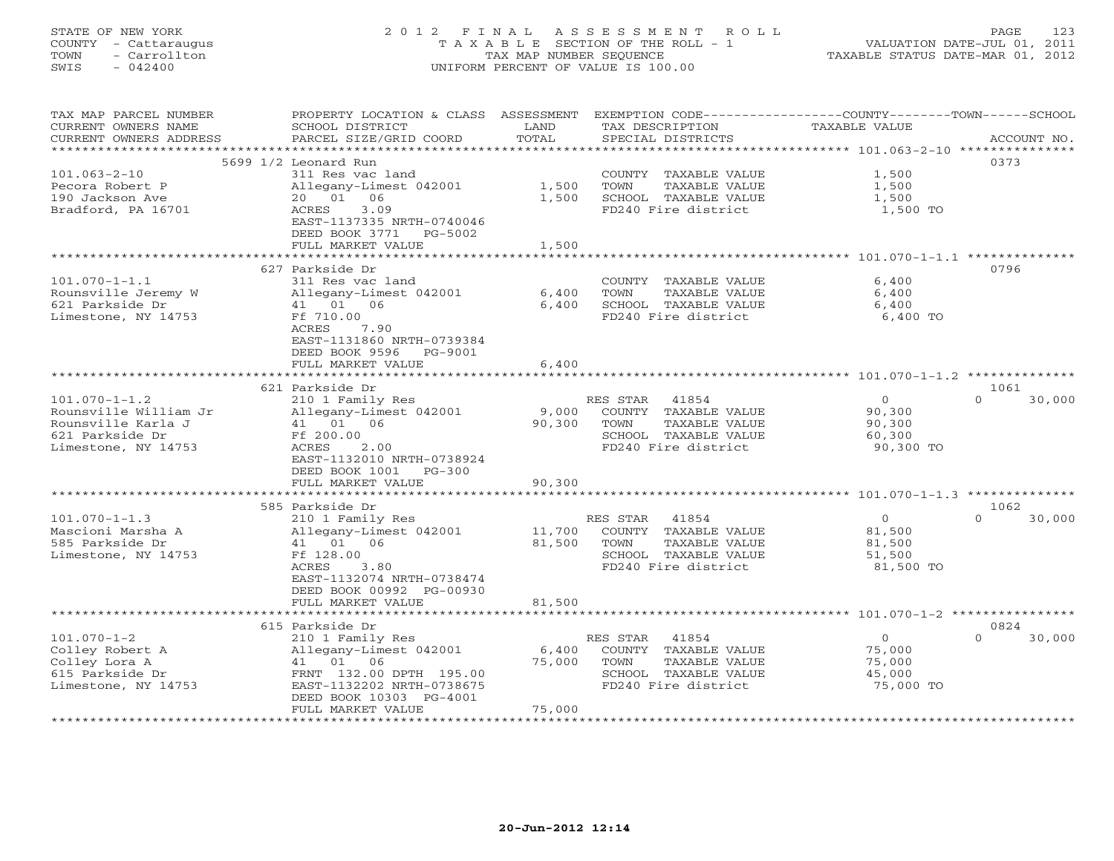STATE OF NEW YORK 2 0 1 2 F I N A L A S S E S S M E N T R O L L PAGE 123 COUNTY - Cattaraugus T A X A B L E SECTION OF THE ROLL - 1 VALUATION DATE-JUL 01, 2011 TOWN - Carrollton TAX MAP NUMBER SEQUENCE TAXABLE STATUS DATE-MAR 01, 2012 SWIS - 042400 UNIFORM PERCENT OF VALUE IS 100.00 TAX MAP PARCEL NUMBER PROPERTY LOCATION & CLASS ASSESSMENT EXEMPTION CODE------------------COUNTY--------TOWN------SCHOOL CURRENT OWNERS NAME SCHOOL DISTRICT LAND TAX DESCRIPTION TAXABLE VALUE

| CURRENT OWNERS ADDRESS | PARCEL SIZE/GRID COORD                         | TOTAL                 | SPECIAL DISTRICTS                                              |                                  | ACCOUNT NO.                |
|------------------------|------------------------------------------------|-----------------------|----------------------------------------------------------------|----------------------------------|----------------------------|
|                        |                                                |                       |                                                                |                                  |                            |
|                        | 5699 1/2 Leonard Run                           |                       |                                                                |                                  | 0373                       |
| $101.063 - 2 - 10$     | 311 Res vac land                               |                       | COUNTY TAXABLE VALUE                                           | 1,500                            |                            |
| Pecora Robert P        | Allegany-Limest 042001                         | 1,500                 | TAXABLE VALUE<br>TOWN                                          | 1,500                            |                            |
| 190 Jackson Ave        | 20 01<br>06                                    | 1,500                 | SCHOOL TAXABLE VALUE                                           | 1,500                            |                            |
| Bradford, PA 16701     | 3.09<br>ACRES<br>EAST-1137335 NRTH-0740046     |                       | FD240 Fire district                                            | 1,500 TO                         |                            |
|                        | DEED BOOK 3771<br>PG-5002                      |                       |                                                                |                                  |                            |
|                        | FULL MARKET VALUE<br>************************* | 1,500<br>************ |                                                                |                                  |                            |
|                        |                                                |                       | ********************************* 101.070-1-1.1 ************** |                                  |                            |
|                        | 627 Parkside Dr                                |                       |                                                                |                                  | 0796                       |
| $101.070 - 1 - 1.1$    | 311 Res vac land                               |                       | COUNTY TAXABLE VALUE                                           | 6,400                            |                            |
| Rounsville Jeremy W    | Allegany-Limest 042001                         | 6,400                 | TAXABLE VALUE<br>TOWN                                          | 6,400                            |                            |
| 621 Parkside Dr        | 41 01 06                                       | 6,400                 | SCHOOL TAXABLE VALUE                                           | 6,400                            |                            |
| Limestone, NY 14753    | Ff 710.00                                      |                       | FD240 Fire district                                            | 6,400 TO                         |                            |
|                        | ACRES<br>7.90                                  |                       |                                                                |                                  |                            |
|                        | EAST-1131860 NRTH-0739384                      |                       |                                                                |                                  |                            |
|                        | DEED BOOK 9596<br>PG-9001                      |                       |                                                                |                                  |                            |
|                        | FULL MARKET VALUE                              | 6,400                 |                                                                |                                  |                            |
|                        | *****************                              |                       |                                                                | ******** 101.070-1-1.2 ********* |                            |
|                        | 621 Parkside Dr                                |                       |                                                                |                                  | 1061                       |
| $101.070 - 1 - 1.2$    | 210 1 Family Res                               |                       | RES STAR<br>41854                                              | $\Omega$                         | $\Omega$<br>30,000         |
| Rounsville William Jr  | Allegany-Limest 042001                         | 9,000                 | COUNTY TAXABLE VALUE                                           | 90,300                           |                            |
| Rounsville Karla J     | 41 01 06                                       | 90,300                | TOWN<br><b>TAXABLE VALUE</b>                                   | 90,300                           |                            |
| 621 Parkside Dr        | Ff 200.00                                      |                       | SCHOOL TAXABLE VALUE                                           | 60,300                           |                            |
| Limestone, NY 14753    | <b>ACRES</b><br>2.00                           |                       | FD240 Fire district                                            | 90,300 TO                        |                            |
|                        | EAST-1132010 NRTH-0738924                      |                       |                                                                |                                  |                            |
|                        | DEED BOOK 1001<br>$PG-300$                     |                       |                                                                |                                  |                            |
|                        | FULL MARKET VALUE                              | 90,300                |                                                                |                                  |                            |
|                        |                                                |                       |                                                                |                                  |                            |
|                        |                                                |                       |                                                                |                                  |                            |
| $101.070 - 1 - 1.3$    | 585 Parkside Dr                                |                       | RES STAR<br>41854                                              | $\Omega$                         | 1062<br>$\Omega$<br>30,000 |
|                        | 210 1 Family Res                               |                       |                                                                |                                  |                            |
| Mascioni Marsha A      | Allegany-Limest 042001                         | 11,700                | COUNTY TAXABLE VALUE                                           | 81,500                           |                            |
| 585 Parkside Dr        | 41 01 06                                       | 81,500                | TOWN<br>TAXABLE VALUE                                          | 81,500                           |                            |
| Limestone, NY 14753    | Ff 128.00                                      |                       | SCHOOL TAXABLE VALUE                                           | 51,500                           |                            |
|                        | <b>ACRES</b><br>3.80                           |                       | FD240 Fire district                                            | 81,500 TO                        |                            |
|                        | EAST-1132074 NRTH-0738474                      |                       |                                                                |                                  |                            |
|                        | DEED BOOK 00992 PG-00930                       |                       |                                                                |                                  |                            |
|                        | FULL MARKET VALUE                              | 81,500                |                                                                |                                  |                            |
|                        | ***********************                        | *************         |                                                                |                                  |                            |
|                        | 615 Parkside Dr                                |                       |                                                                |                                  | 0824                       |
| $101.070 - 1 - 2$      | 210 1 Family Res                               |                       | RES STAR<br>41854                                              | $\circ$                          | 30,000<br>$\Omega$         |
| Colley Robert A        | Allegany-Limest 042001                         | 6,400                 | COUNTY TAXABLE VALUE                                           | 75,000                           |                            |
| Colley Lora A          | 41 01<br>06                                    | 75,000                | TOWN<br>TAXABLE VALUE                                          | 75,000                           |                            |
| 615 Parkside Dr        | FRNT 132.00 DPTH 195.00                        |                       | SCHOOL TAXABLE VALUE                                           | 45,000                           |                            |
| Limestone, NY 14753    | EAST-1132202 NRTH-0738675                      |                       | FD240 Fire district                                            | 75,000 TO                        |                            |
|                        | DEED BOOK 10303 PG-4001                        |                       |                                                                |                                  |                            |
|                        | FULL MARKET VALUE                              | 75,000                |                                                                |                                  |                            |
| ********************   |                                                |                       |                                                                |                                  |                            |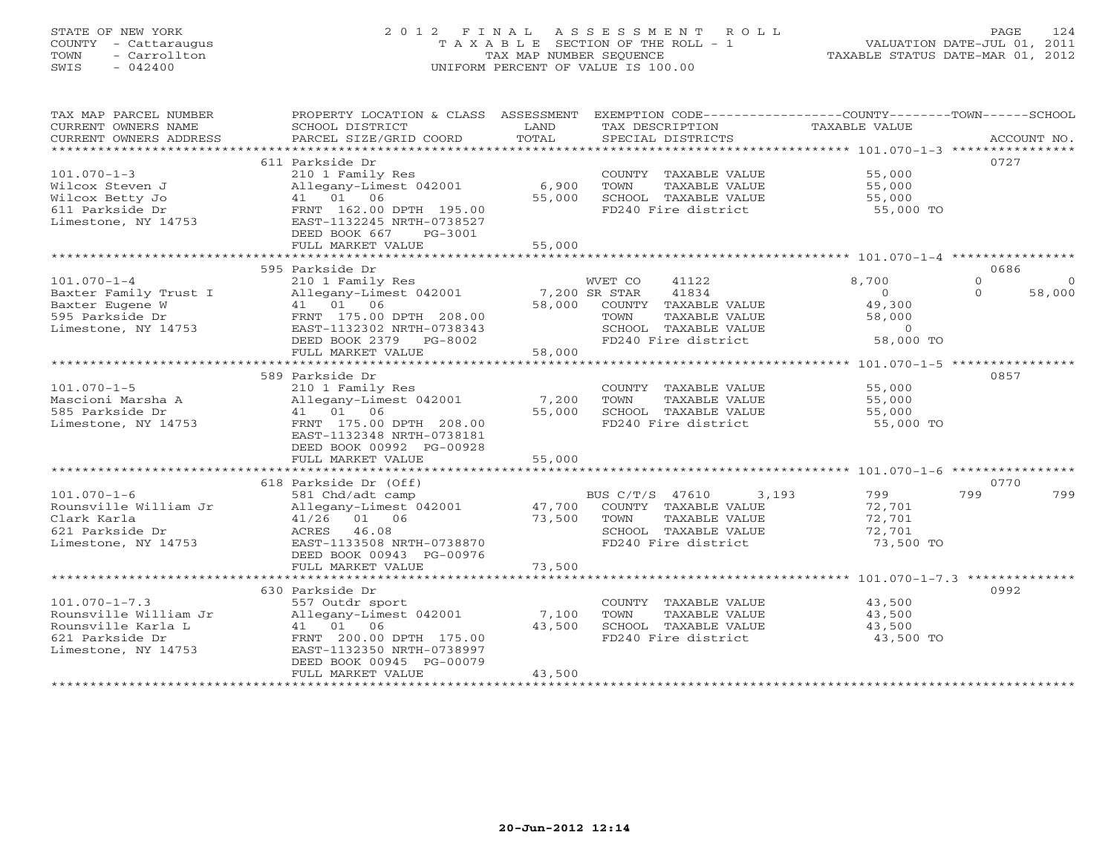# STATE OF NEW YORK 2 0 1 2 F I N A L A S S E S S M E N T R O L L PAGE 124 COUNTY - Cattaraugus T A X A B L E SECTION OF THE ROLL - 1 VALUATION DATE-JUL 01, 2011 TOWN - Carrollton TAX MAP NUMBER SEQUENCE TAXABLE STATUS DATE-MAR 01, 2012 SWIS - 042400 UNIFORM PERCENT OF VALUE IS 100.00UNIFORM PERCENT OF VALUE IS 100.00

| TAX MAP PARCEL NUMBER  | PROPERTY LOCATION & CLASS ASSESSMENT EXEMPTION CODE----------------COUNTY-------TOWN------SCHOOL |               |                          |                            |                     |
|------------------------|--------------------------------------------------------------------------------------------------|---------------|--------------------------|----------------------------|---------------------|
| CURRENT OWNERS NAME    | SCHOOL DISTRICT                                                                                  | LAND          | TAX DESCRIPTION          | TAXABLE VALUE              |                     |
| CURRENT OWNERS ADDRESS | PARCEL SIZE/GRID COORD                                                                           | TOTAL         | SPECIAL DISTRICTS        |                            | ACCOUNT NO.         |
|                        |                                                                                                  |               |                          |                            |                     |
|                        | 611 Parkside Dr                                                                                  |               |                          |                            | 0727                |
| $101.070 - 1 - 3$      | 210 1 Family Res                                                                                 |               | COUNTY TAXABLE VALUE     | 55,000                     |                     |
| Wilcox Steven J        | Allegany-Limest 042001                                                                           | 6,900         | TOWN<br>TAXABLE VALUE    | 55,000                     |                     |
| Wilcox Betty Jo        | 41 01 06                                                                                         | 55,000        | SCHOOL TAXABLE VALUE     | 55,000                     |                     |
| 611 Parkside Dr        | FRNT 162.00 DPTH 195.00                                                                          |               | FD240 Fire district      | 55,000 TO                  |                     |
| Limestone, NY 14753    | EAST-1132245 NRTH-0738527                                                                        |               |                          |                            |                     |
|                        | DEED BOOK 667<br>PG-3001                                                                         |               |                          |                            |                     |
|                        | FULL MARKET VALUE                                                                                | 55,000        |                          |                            |                     |
|                        |                                                                                                  |               |                          |                            |                     |
|                        | 595 Parkside Dr                                                                                  |               |                          |                            | 0686                |
| $101.070 - 1 - 4$      | 210 1 Family Res                                                                                 |               | WVET CO<br>41122         | 8,700                      | $\Omega$<br>$\circ$ |
| Baxter Family Trust I  | Allegany-Limest 042001                                                                           | 7,200 SR STAR | 41834                    | $\Omega$<br>$\overline{0}$ | 58,000              |
| Baxter Eugene W        | 41 01 06                                                                                         | 58,000        | COUNTY TAXABLE VALUE     | 49,300                     |                     |
| 595 Parkside Dr        | FRNT 175.00 DPTH 208.00                                                                          |               | TOWN<br>TAXABLE VALUE    | 58,000                     |                     |
| Limestone, NY 14753    | EAST-1132302 NRTH-0738343                                                                        |               | SCHOOL TAXABLE VALUE     | $\circ$                    |                     |
|                        | DEED BOOK 2379 PG-8002                                                                           |               | FD240 Fire district      | 58,000 TO                  |                     |
|                        | FULL MARKET VALUE                                                                                | 58,000        |                          |                            |                     |
|                        |                                                                                                  |               |                          |                            |                     |
|                        | 589 Parkside Dr                                                                                  |               |                          |                            | 0857                |
| $101.070 - 1 - 5$      | 210 1 Family Res                                                                                 |               | COUNTY TAXABLE VALUE     | 55,000                     |                     |
| Mascioni Marsha A      | Allegany-Limest 042001                                                                           | 7,200         | TOWN<br>TAXABLE VALUE    | 55,000                     |                     |
| 585 Parkside Dr        | 41 01 06                                                                                         | 55,000        | SCHOOL TAXABLE VALUE     | 55,000                     |                     |
| Limestone, NY 14753    | FRNT 175.00 DPTH 208.00                                                                          |               | FD240 Fire district      | 55,000 TO                  |                     |
|                        | EAST-1132348 NRTH-0738181                                                                        |               |                          |                            |                     |
|                        | DEED BOOK 00992 PG-00928                                                                         |               |                          |                            |                     |
|                        | FULL MARKET VALUE                                                                                | 55,000        |                          |                            |                     |
|                        |                                                                                                  |               |                          |                            |                     |
|                        |                                                                                                  |               |                          |                            |                     |
|                        | 618 Parkside Dr (Off)                                                                            |               |                          | 799                        | 0770                |
| $101.070 - 1 - 6$      | 581 Chd/adt camp                                                                                 |               | 3,193<br>BUS C/T/S 47610 | 799                        | 799                 |
| Rounsville William Jr  | Allegany-Limest 042001                                                                           | 47,700        | COUNTY TAXABLE VALUE     | 72,701                     |                     |
| Clark Karla            | 41/26 01 06                                                                                      | 73,500        | TOWN<br>TAXABLE VALUE    | 72,701                     |                     |
| 621 Parkside Dr        | ACRES 46.08                                                                                      |               | SCHOOL TAXABLE VALUE     | 72,701                     |                     |
| Limestone, NY 14753    | EAST-1133508 NRTH-0738870                                                                        |               | FD240 Fire district      | 73,500 TO                  |                     |
|                        | DEED BOOK 00943 PG-00976                                                                         |               |                          |                            |                     |
|                        | FULL MARKET VALUE                                                                                | 73,500        |                          |                            |                     |
|                        |                                                                                                  |               |                          |                            |                     |
|                        | 630 Parkside Dr                                                                                  |               |                          |                            | 0992                |
| $101.070 - 1 - 7.3$    | 557 Outdr sport                                                                                  |               | COUNTY TAXABLE VALUE     | 43,500                     |                     |
| Rounsville William Jr  | Allegany-Limest 042001                                                                           | 7,100         | TOWN<br>TAXABLE VALUE    | 43,500                     |                     |
| Rounsville Karla L     | 41 01 06                                                                                         | 43,500        | SCHOOL TAXABLE VALUE     | 43,500                     |                     |
| 621 Parkside Dr        | FRNT 200.00 DPTH 175.00                                                                          |               | FD240 Fire district      | 43,500 TO                  |                     |
| Limestone, NY 14753    | EAST-1132350 NRTH-0738997                                                                        |               |                          |                            |                     |
|                        | DEED BOOK 00945 PG-00079                                                                         |               |                          |                            |                     |
|                        | FULL MARKET VALUE                                                                                | 43,500        |                          |                            |                     |
|                        |                                                                                                  |               |                          |                            |                     |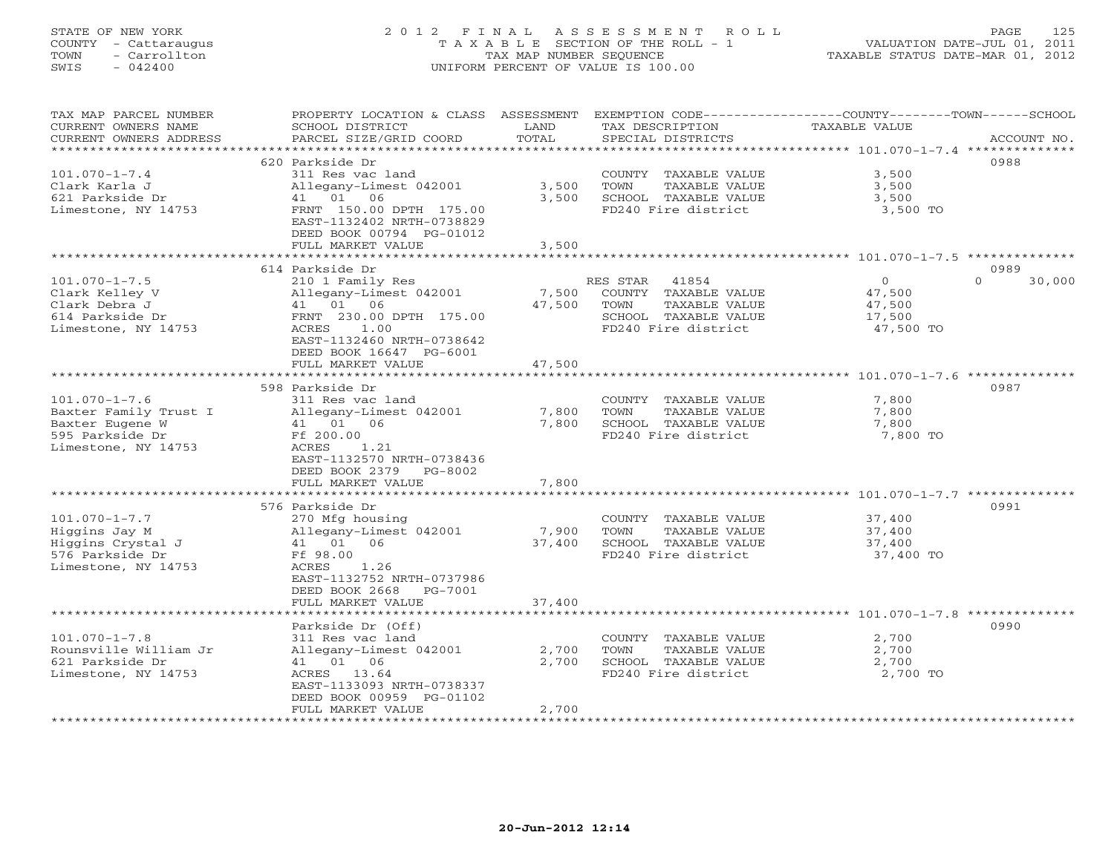# STATE OF NEW YORK 2 0 1 2 F I N A L A S S E S S M E N T R O L L PAGE 125 COUNTY - Cattaraugus T A X A B L E SECTION OF THE ROLL - 1 VALUATION DATE-JUL 01, 2011 TOWN - Carrollton TAX MAP NUMBER SEQUENCE TAXABLE STATUS DATE-MAR 01, 2012 SWIS - 042400 UNIFORM PERCENT OF VALUE IS 100.00UNIFORM PERCENT OF VALUE IS 100.00

| TAX MAP PARCEL NUMBER<br>CURRENT OWNERS NAME<br>CURRENT OWNERS ADDRESS                                    | PROPERTY LOCATION & CLASS ASSESSMENT<br>SCHOOL DISTRICT<br>PARCEL SIZE/GRID COORD                                                                                                                      | LAND<br>TOTAL                        | TAX DESCRIPTION<br>SPECIAL DISTRICTS                                                                              | EXEMPTION CODE-----------------COUNTY-------TOWN------SCHOOL<br>TAXABLE VALUE<br>ACCOUNT NO.              |
|-----------------------------------------------------------------------------------------------------------|--------------------------------------------------------------------------------------------------------------------------------------------------------------------------------------------------------|--------------------------------------|-------------------------------------------------------------------------------------------------------------------|-----------------------------------------------------------------------------------------------------------|
|                                                                                                           |                                                                                                                                                                                                        |                                      |                                                                                                                   |                                                                                                           |
| $101.070 - 1 - 7.4$<br>Clark Karla J<br>621 Parkside Dr<br>Limestone, NY 14753                            | 620 Parkside Dr<br>311 Res vac land<br>Allegany-Limest 042001<br>41 01 06<br>FRNT 150.00 DPTH 175.00<br>EAST-1132402 NRTH-0738829<br>DEED BOOK 00794 PG-01012<br>FULL MARKET VALUE                     | 3,500<br>3,500<br>3,500              | COUNTY TAXABLE VALUE<br>TOWN<br>TAXABLE VALUE<br>SCHOOL TAXABLE VALUE<br>FD240 Fire district                      | 0988<br>3,500<br>3,500<br>3,500<br>3,500 TO                                                               |
|                                                                                                           |                                                                                                                                                                                                        |                                      |                                                                                                                   |                                                                                                           |
|                                                                                                           | 614 Parkside Dr                                                                                                                                                                                        |                                      |                                                                                                                   | 0989                                                                                                      |
| $101.070 - 1 - 7.5$<br>Clark Kelley V<br>Clark Debra J<br>614 Parkside Dr<br>Limestone, NY 14753          | 210 1 Family Res<br>Allegany-Limest 042001<br>41 01 06<br>FRNT 230.00 DPTH 175.00<br>ACRES<br>1.00<br>EAST-1132460 NRTH-0738642<br>DEED BOOK 16647 PG-6001                                             | 7,500<br>47,500                      | RES STAR<br>41854<br>COUNTY TAXABLE VALUE<br>TOWN<br>TAXABLE VALUE<br>SCHOOL TAXABLE VALUE<br>FD240 Fire district | $\overline{0}$<br>$\Omega$<br>30,000<br>47,500<br>47,500<br>17,500<br>47,500 TO                           |
|                                                                                                           | FULL MARKET VALUE                                                                                                                                                                                      | 47,500                               |                                                                                                                   |                                                                                                           |
| $101.070 - 1 - 7.6$<br>Baxter Family Trust I<br>Baxter Eugene W<br>595 Parkside Dr<br>Limestone, NY 14753 | 598 Parkside Dr<br>311 Res vac land<br>Allegany-Limest 042001<br>41 01 06<br>Ff 200.00<br>1.21<br>ACRES<br>EAST-1132570 NRTH-0738436<br>DEED BOOK 2379 PG-8002<br>FULL MARKET VALUE<br>576 Parkside Dr | 7,800<br>7,800<br>7,800<br>********* | COUNTY TAXABLE VALUE<br>TOWN<br>TAXABLE VALUE<br>SCHOOL TAXABLE VALUE<br>FD240 Fire district                      | 0987<br>7,800<br>7,800<br>7,800<br>7,800 TO<br>********************* 101.070-1-7.7 **************<br>0991 |
| $101.070 - 1 - 7.7$<br>Higgins Jay M<br>Higgins Crystal J<br>576 Parkside Dr<br>Limestone, NY 14753       | 270 Mfg housing<br>Allegany-Limest 042001<br>41 01 06<br>Ff 98.00<br>ACRES 1.26<br>EAST-1132752 NRTH-0737986<br>DEED BOOK 2668 PG-7001<br>FULL MARKET VALUE                                            | 7,900<br>37,400<br>37,400            | COUNTY TAXABLE VALUE<br>TOWN<br>TAXABLE VALUE<br>SCHOOL TAXABLE VALUE<br>FD240 Fire district                      | 37,400<br>37,400<br>37,400<br>37,400 TO                                                                   |
|                                                                                                           |                                                                                                                                                                                                        |                                      |                                                                                                                   |                                                                                                           |
| $101.070 - 1 - 7.8$<br>Rounsville William Jr<br>621 Parkside Dr<br>Limestone, NY 14753                    | Parkside Dr (Off)<br>311 Res vac land<br>Allegany-Limest 042001<br>41 01 06<br>ACRES 13.64<br>EAST-1133093 NRTH-0738337<br>DEED BOOK 00959 PG-01102<br>FULL MARKET VALUE                               | 2,700<br>2,700<br>2,700              | COUNTY TAXABLE VALUE<br>TOWN<br>TAXABLE VALUE<br>SCHOOL TAXABLE VALUE<br>FD240 Fire district                      | 0990<br>2,700<br>2,700<br>2,700<br>2,700 TO                                                               |
| ********************                                                                                      |                                                                                                                                                                                                        |                                      |                                                                                                                   |                                                                                                           |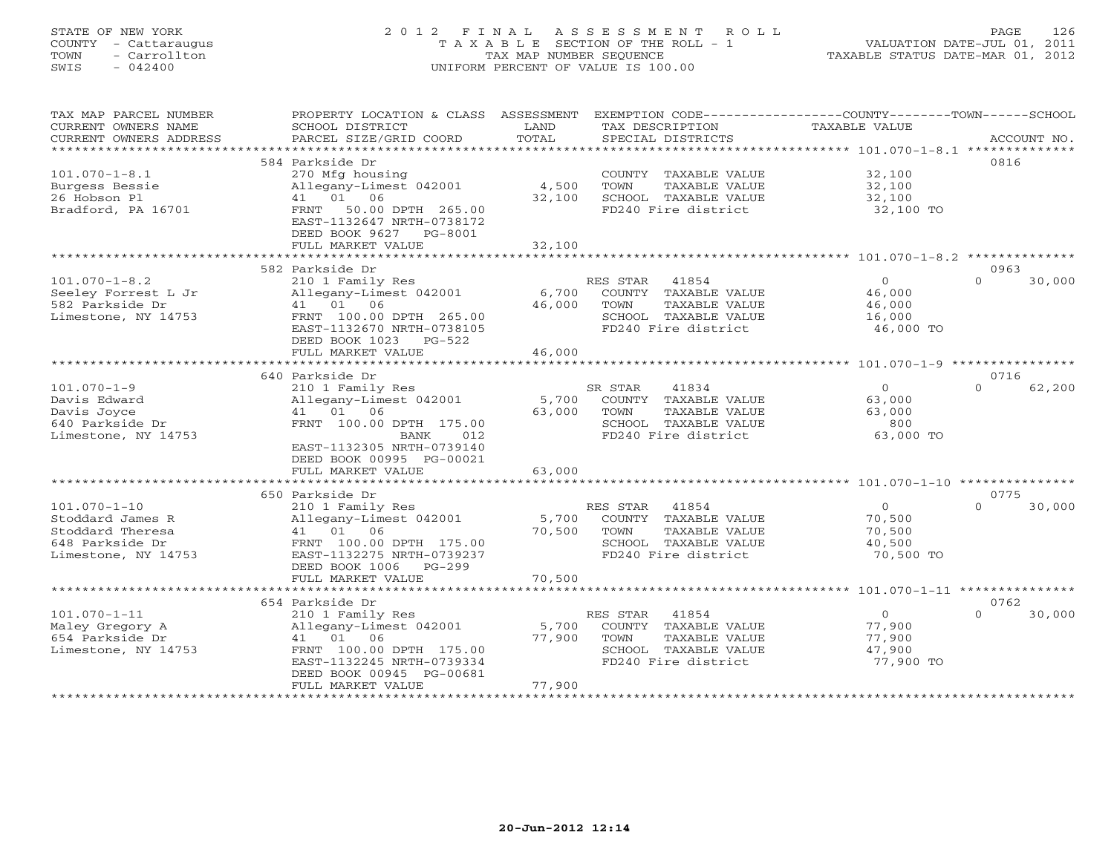# STATE OF NEW YORK 2 0 1 2 F I N A L A S S E S S M E N T R O L L PAGE 126 COUNTY - Cattaraugus T A X A B L E SECTION OF THE ROLL - 1 VALUATION DATE-JUL 01, 2011 TOWN - Carrollton TAX MAP NUMBER SEQUENCE TAXABLE STATUS DATE-MAR 01, 2012 SWIS - 042400 UNIFORM PERCENT OF VALUE IS 100.00UNIFORM PERCENT OF VALUE IS 100.00

| TAX MAP PARCEL NUMBER<br>CURRENT OWNERS NAME<br>CURRENT OWNERS ADDRESS | PROPERTY LOCATION & CLASS ASSESSMENT<br>SCHOOL DISTRICT<br>PARCEL SIZE/GRID COORD   | LAND<br>TOTAL   | EXEMPTION CODE-----------------COUNTY-------TOWN------SCHOOL<br>TAX DESCRIPTION<br>SPECIAL DISTRICTS | <b>TAXABLE VALUE</b> | ACCOUNT NO.        |
|------------------------------------------------------------------------|-------------------------------------------------------------------------------------|-----------------|------------------------------------------------------------------------------------------------------|----------------------|--------------------|
|                                                                        |                                                                                     |                 |                                                                                                      |                      |                    |
|                                                                        | 584 Parkside Dr                                                                     |                 |                                                                                                      |                      | 0816               |
| $101.070 - 1 - 8.1$                                                    | 270 Mfg housing                                                                     |                 | COUNTY TAXABLE VALUE                                                                                 | 32,100               |                    |
| Burgess Bessie                                                         | Allegany-Limest 042001                                                              | 4,500           | TOWN<br>TAXABLE VALUE                                                                                | 32,100               |                    |
| 26 Hobson Pl                                                           | 41 01 06                                                                            | 32,100          | SCHOOL TAXABLE VALUE                                                                                 | 32,100               |                    |
| Bradford, PA 16701                                                     | FRNT<br>50.00 DPTH 265.00<br>EAST-1132647 NRTH-0738172<br>DEED BOOK 9627<br>PG-8001 |                 | FD240 Fire district                                                                                  | 32,100 TO            |                    |
|                                                                        | FULL MARKET VALUE                                                                   | 32,100          |                                                                                                      |                      |                    |
|                                                                        | *****************************                                                       |                 |                                                                                                      |                      |                    |
|                                                                        | 582 Parkside Dr                                                                     |                 |                                                                                                      |                      | 0963               |
| $101.070 - 1 - 8.2$                                                    | 210 1 Family Res                                                                    |                 | RES STAR<br>41854                                                                                    | $\Omega$             | $\Omega$<br>30,000 |
| Seeley Forrest L Jr<br>582 Parkside Dr                                 | Allegany-Limest 042001<br>41 01 06                                                  | 6,700<br>46,000 | COUNTY TAXABLE VALUE<br>TAXABLE VALUE<br>TOWN                                                        | 46,000<br>46,000     |                    |
| Limestone, NY 14753                                                    | FRNT 100.00 DPTH 265.00                                                             |                 | SCHOOL TAXABLE VALUE                                                                                 | 16,000               |                    |
|                                                                        | EAST-1132670 NRTH-0738105                                                           |                 | FD240 Fire district                                                                                  | 46,000 TO            |                    |
|                                                                        | DEED BOOK 1023 PG-522                                                               |                 |                                                                                                      |                      |                    |
|                                                                        | FULL MARKET VALUE                                                                   | 46,000          |                                                                                                      |                      |                    |
|                                                                        |                                                                                     |                 |                                                                                                      |                      |                    |
|                                                                        | 640 Parkside Dr                                                                     |                 |                                                                                                      |                      | 0716               |
| $101.070 - 1 - 9$                                                      | 210 1 Family Res                                                                    |                 | 41834<br>SR STAR                                                                                     | $\circ$              | $\Omega$<br>62,200 |
| Davis Edward                                                           | Allegany-Limest 042001                                                              | 5,700           | COUNTY TAXABLE VALUE                                                                                 | 63,000               |                    |
| Davis Joyce                                                            | 41 01 06                                                                            | 63,000          | TOWN<br>TAXABLE VALUE                                                                                | 63,000               |                    |
| 640 Parkside Dr                                                        | FRNT 100.00 DPTH 175.00                                                             |                 | SCHOOL TAXABLE VALUE                                                                                 | 800                  |                    |
| Limestone, NY 14753                                                    | BANK<br>012<br>EAST-1132305 NRTH-0739140                                            |                 | FD240 Fire district                                                                                  | 63,000 TO            |                    |
|                                                                        | DEED BOOK 00995 PG-00021                                                            |                 |                                                                                                      |                      |                    |
|                                                                        | FULL MARKET VALUE                                                                   | 63,000          |                                                                                                      |                      |                    |
|                                                                        | ******************************                                                      |                 |                                                                                                      |                      |                    |
|                                                                        | 650 Parkside Dr                                                                     |                 |                                                                                                      |                      | 0775               |
| $101.070 - 1 - 10$                                                     | 210 1 Family Res                                                                    |                 | RES STAR<br>41854                                                                                    | $\overline{0}$       | 30,000<br>$\Omega$ |
| Stoddard James R                                                       | Allegany-Limest 042001                                                              | 5,700           | COUNTY TAXABLE VALUE                                                                                 | 70,500               |                    |
| Stoddard Theresa                                                       | 41 01 06                                                                            | 70,500          | TAXABLE VALUE<br>TOWN                                                                                | 70,500               |                    |
| 648 Parkside Dr                                                        | FRNT 100.00 DPTH 175.00                                                             |                 | SCHOOL TAXABLE VALUE                                                                                 | 40,500               |                    |
| Limestone, NY 14753                                                    | EAST-1132275 NRTH-0739237                                                           |                 | FD240 Fire district                                                                                  | 70,500 TO            |                    |
|                                                                        | DEED BOOK 1006 PG-299<br>FULL MARKET VALUE                                          | 70,500          |                                                                                                      |                      |                    |
|                                                                        | **************************                                                          |                 |                                                                                                      |                      |                    |
|                                                                        | 654 Parkside Dr                                                                     |                 |                                                                                                      |                      | 0762               |
| $101.070 - 1 - 11$                                                     | 210 1 Family Res                                                                    |                 | 41854<br>RES STAR                                                                                    | $\Omega$             | $\cap$<br>30,000   |
| Maley Gregory A                                                        | Allegany-Limest 042001                                                              | 5,700           | COUNTY TAXABLE VALUE                                                                                 | 77,900               |                    |
| 654 Parkside Dr                                                        | 41 01 06                                                                            | 77,900          | TAXABLE VALUE<br>TOWN                                                                                | 77,900               |                    |
| Limestone, NY 14753                                                    | FRNT 100.00 DPTH 175.00                                                             |                 | SCHOOL TAXABLE VALUE                                                                                 | 47,900               |                    |
|                                                                        | EAST-1132245 NRTH-0739334                                                           |                 | FD240 Fire district                                                                                  | 77,900 TO            |                    |
|                                                                        | DEED BOOK 00945 PG-00681<br>FULL MARKET VALUE                                       | 77,900          |                                                                                                      |                      |                    |
|                                                                        |                                                                                     |                 |                                                                                                      |                      |                    |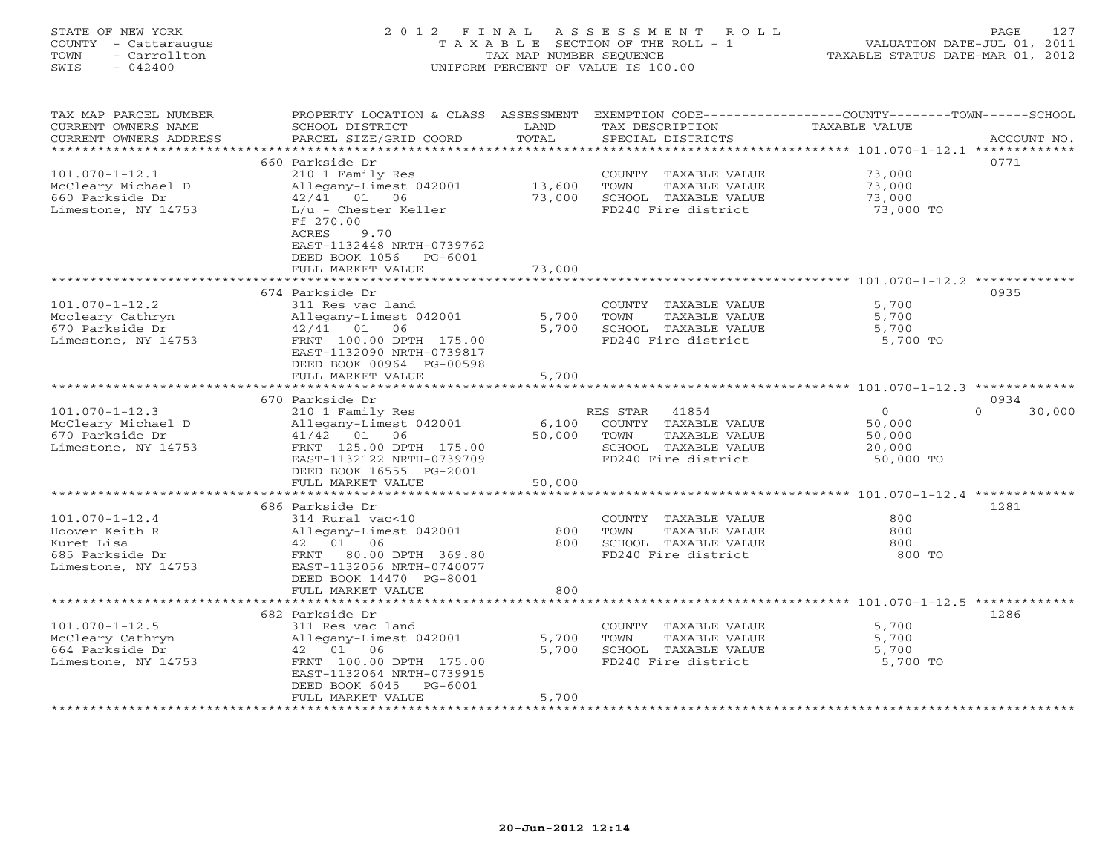# STATE OF NEW YORK 2 0 1 2 F I N A L A S S E S S M E N T R O L L PAGE 127 COUNTY - Cattaraugus T A X A B L E SECTION OF THE ROLL - 1 VALUATION DATE-JUL 01, 2011 TOWN - Carrollton TAX MAP NUMBER SEQUENCE TAXABLE STATUS DATE-MAR 01, 2012 SWIS - 042400 UNIFORM PERCENT OF VALUE IS 100.00UNIFORM PERCENT OF VALUE IS 100.00

| TAX MAP PARCEL NUMBER<br>CURRENT OWNERS NAME<br>CURRENT OWNERS ADDRESS<br>******************* | PROPERTY LOCATION & CLASS ASSESSMENT<br>SCHOOL DISTRICT<br>PARCEL SIZE/GRID COORD | LAND<br>TOTAL | TAX DESCRIPTION<br>SPECIAL DISTRICTS | EXEMPTION CODE-----------------COUNTY-------TOWN------SCHOOL<br><b>TAXABLE VALUE</b><br>ACCOUNT NO. |
|-----------------------------------------------------------------------------------------------|-----------------------------------------------------------------------------------|---------------|--------------------------------------|-----------------------------------------------------------------------------------------------------|
|                                                                                               |                                                                                   |               |                                      |                                                                                                     |
|                                                                                               | 660 Parkside Dr                                                                   |               |                                      | 0771                                                                                                |
| $101.070 - 1 - 12.1$                                                                          | 210 1 Family Res                                                                  |               | COUNTY TAXABLE VALUE                 | 73,000                                                                                              |
| McCleary Michael D                                                                            | Allegany-Limest 042001                                                            | 13,600        | TOWN<br>TAXABLE VALUE                | 73,000                                                                                              |
| 660 Parkside Dr                                                                               | 42/41 01 06                                                                       | 73,000        | SCHOOL TAXABLE VALUE                 | 73,000                                                                                              |
| Limestone, NY 14753                                                                           | $L/u$ - Chester Keller<br>Ff 270.00                                               |               | FD240 Fire district                  | 73,000 TO                                                                                           |
|                                                                                               | ACRES<br>9.70                                                                     |               |                                      |                                                                                                     |
|                                                                                               | EAST-1132448 NRTH-0739762                                                         |               |                                      |                                                                                                     |
|                                                                                               | DEED BOOK 1056 PG-6001                                                            |               |                                      |                                                                                                     |
|                                                                                               | FULL MARKET VALUE                                                                 | 73,000        |                                      |                                                                                                     |
|                                                                                               |                                                                                   |               |                                      |                                                                                                     |
|                                                                                               | 674 Parkside Dr                                                                   |               |                                      | 0935                                                                                                |
| $101.070 - 1 - 12.2$                                                                          | 311 Res vac land                                                                  |               | COUNTY TAXABLE VALUE                 | 5,700                                                                                               |
| Mccleary Cathryn                                                                              | Allegany-Limest 042001                                                            | 5,700         | TOWN<br>TAXABLE VALUE                | 5,700                                                                                               |
| 670 Parkside Dr                                                                               | $42/41$ 01<br>06                                                                  | 5,700         | SCHOOL TAXABLE VALUE                 | 5,700                                                                                               |
| Limestone, NY 14753                                                                           | FRNT 100.00 DPTH 175.00<br>EAST-1132090 NRTH-0739817                              |               | FD240 Fire district                  | 5,700 TO                                                                                            |
|                                                                                               | DEED BOOK 00964 PG-00598<br>FULL MARKET VALUE                                     | 5,700         |                                      |                                                                                                     |
|                                                                                               | ************************                                                          |               |                                      |                                                                                                     |
|                                                                                               | 670 Parkside Dr                                                                   |               |                                      | 0934                                                                                                |
| $101.070 - 1 - 12.3$                                                                          | 210 1 Family Res                                                                  |               | RES STAR<br>41854                    | $\Omega$<br>$\Omega$<br>30,000                                                                      |
| McCleary Michael D                                                                            | Allegany-Limest 042001                                                            | 6,100         | COUNTY TAXABLE VALUE                 | 50,000                                                                                              |
| 670 Parkside Dr                                                                               | 41/42 01 06                                                                       | 50,000        | TOWN<br>TAXABLE VALUE                | 50,000                                                                                              |
| Limestone, NY 14753                                                                           | FRNT 125.00 DPTH 175.00                                                           |               | SCHOOL TAXABLE VALUE                 | 20,000                                                                                              |
|                                                                                               | EAST-1132122 NRTH-0739709                                                         |               | FD240 Fire district                  | 50,000 TO                                                                                           |
|                                                                                               | DEED BOOK 16555 PG-2001                                                           |               |                                      |                                                                                                     |
|                                                                                               | FULL MARKET VALUE                                                                 | 50,000        |                                      |                                                                                                     |
|                                                                                               |                                                                                   |               |                                      |                                                                                                     |
|                                                                                               | 686 Parkside Dr                                                                   |               |                                      | 1281                                                                                                |
| $101.070 - 1 - 12.4$                                                                          | 314 Rural vac<10                                                                  |               | COUNTY TAXABLE VALUE                 | 800                                                                                                 |
| Hoover Keith R                                                                                | Allegany-Limest 042001                                                            | 800           | TOWN<br>TAXABLE VALUE                | 800                                                                                                 |
| Kuret Lisa                                                                                    | 42 01 06                                                                          | 800           | SCHOOL TAXABLE VALUE                 | 800                                                                                                 |
| 685 Parkside Dr                                                                               | FRNT 80.00 DPTH 369.80                                                            |               | FD240 Fire district                  | 800 TO                                                                                              |
| Limestone, NY 14753                                                                           | EAST-1132056 NRTH-0740077                                                         |               |                                      |                                                                                                     |
|                                                                                               | DEED BOOK 14470 PG-8001                                                           |               |                                      |                                                                                                     |
|                                                                                               | FULL MARKET VALUE                                                                 | 800           |                                      |                                                                                                     |
|                                                                                               |                                                                                   | ********      |                                      | ******************** 101.070-1-12.5 *************                                                   |
|                                                                                               | 682 Parkside Dr                                                                   |               |                                      | 1286                                                                                                |
| $101.070 - 1 - 12.5$                                                                          | 311 Res vac land                                                                  |               | COUNTY TAXABLE VALUE                 | 5,700                                                                                               |
| McCleary Cathryn                                                                              | Allegany-Limest 042001                                                            | 5,700         | TOWN<br>TAXABLE VALUE                | 5,700                                                                                               |
| 664 Parkside Dr                                                                               | 42 01<br>06                                                                       | 5,700         | SCHOOL TAXABLE VALUE                 | 5,700                                                                                               |
| Limestone, NY 14753                                                                           | FRNT 100.00 DPTH 175.00                                                           |               | FD240 Fire district                  | 5,700 TO                                                                                            |
|                                                                                               | EAST-1132064 NRTH-0739915                                                         |               |                                      |                                                                                                     |
|                                                                                               | DEED BOOK 6045<br>$PG-6001$                                                       |               |                                      |                                                                                                     |
|                                                                                               | FULL MARKET VALUE                                                                 | 5,700         |                                      |                                                                                                     |
|                                                                                               |                                                                                   |               |                                      |                                                                                                     |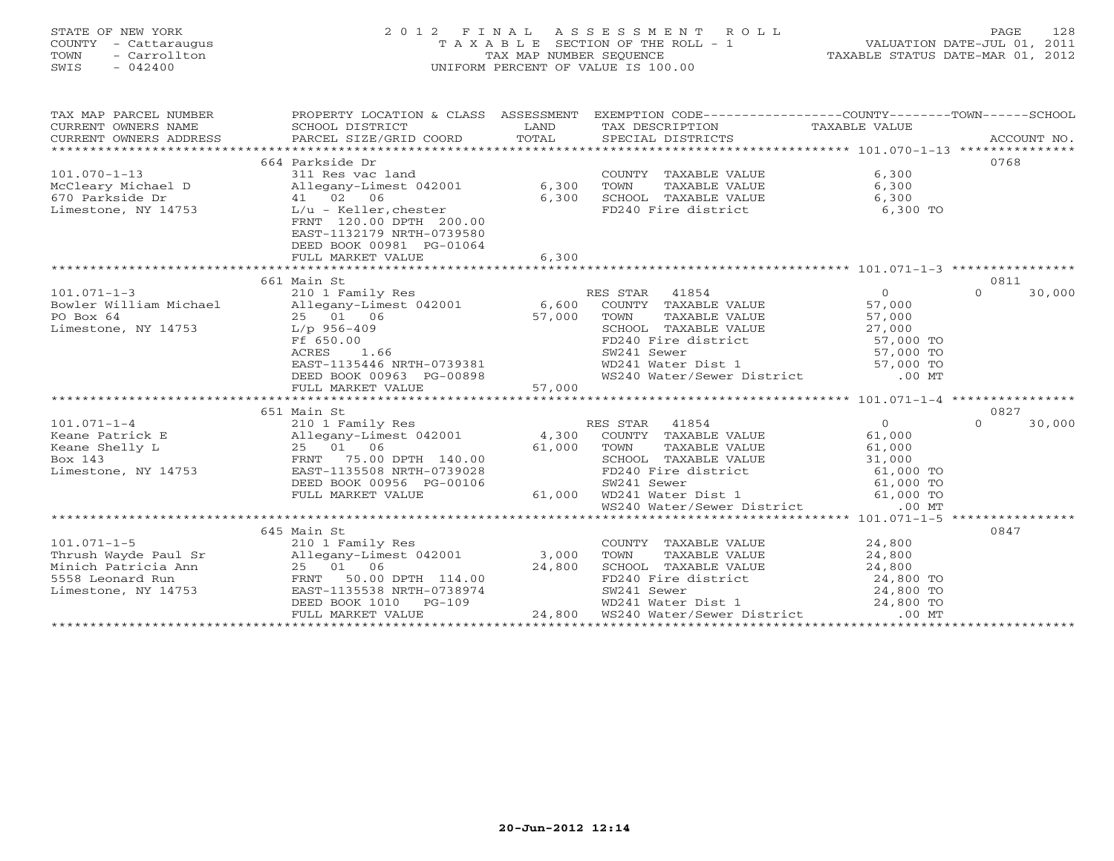# STATE OF NEW YORK 2 0 1 2 F I N A L A S S E S S M E N T R O L L PAGE 128 COUNTY - Cattaraugus T A X A B L E SECTION OF THE ROLL - 1 VALUATION DATE-JUL 01, 2011 TOWN - Carrollton TAX MAP NUMBER SEQUENCE TAXABLE STATUS DATE-MAR 01, 2012 SWIS - 042400 UNIFORM PERCENT OF VALUE IS 100.00UNIFORM PERCENT OF VALUE IS 100.00

| TAX MAP PARCEL NUMBER                                                                                                                                                                                                                |                                                                                                                   |        | PROPERTY LOCATION & CLASS ASSESSMENT EXEMPTION CODE-----------------COUNTY-------TOWN------SCHOOL |                     |                    |
|--------------------------------------------------------------------------------------------------------------------------------------------------------------------------------------------------------------------------------------|-------------------------------------------------------------------------------------------------------------------|--------|---------------------------------------------------------------------------------------------------|---------------------|--------------------|
|                                                                                                                                                                                                                                      | 664 Parkside Dr                                                                                                   |        |                                                                                                   |                     | 0768               |
| $101.070 - 1 - 13$                                                                                                                                                                                                                   |                                                                                                                   |        | COUNTY TAXABLE VALUE                                                                              | 6,300               |                    |
| McCleary Michael D                                                                                                                                                                                                                   | 311 Res vac land<br>Allegany-Limest 042001 6,300                                                                  |        | TAXABLE VALUE<br>TOWN                                                                             | 6,300               |                    |
| 670 Parkside Dr<br>41 02 06                                                                                                                                                                                                          |                                                                                                                   | 6,300  | SCHOOL TAXABLE VALUE                                                                              | 6,300               |                    |
| Limestone, NY 14753 L/u - Keller, chester                                                                                                                                                                                            |                                                                                                                   |        | FD240 Fire district                                                                               | 6,300 TO            |                    |
|                                                                                                                                                                                                                                      | FRNT 120.00 DPTH 200.00                                                                                           |        |                                                                                                   |                     |                    |
|                                                                                                                                                                                                                                      | EAST-1132179 NRTH-0739580                                                                                         |        |                                                                                                   |                     |                    |
|                                                                                                                                                                                                                                      | DEED BOOK 00981 PG-01064                                                                                          |        |                                                                                                   |                     |                    |
|                                                                                                                                                                                                                                      | FULL MARKET VALUE                                                                                                 | 6,300  |                                                                                                   |                     |                    |
|                                                                                                                                                                                                                                      |                                                                                                                   |        |                                                                                                   |                     |                    |
|                                                                                                                                                                                                                                      | 661 Main St                                                                                                       |        |                                                                                                   |                     | 0811               |
| $101.071 - 1 - 3$                                                                                                                                                                                                                    | 210 1 Family Res                                                                                                  |        | RES STAR 41854                                                                                    | $\overline{0}$      | $\Omega$<br>30,000 |
| Bowler William Michael 210 1 Pamily Res<br>Bowler William Michael Allegany-Limest 042001 6,600                                                                                                                                       |                                                                                                                   |        | COUNTY TAXABLE VALUE                                                                              | 57,000              |                    |
| PO Box 64                                                                                                                                                                                                                            | 25 01 06                                                                                                          | 57,000 | TAXABLE VALUE<br>TOWN                                                                             | 57,000              |                    |
| Limestone, NY 14753                                                                                                                                                                                                                  | L/p 956-409                                                                                                       |        | SCHOOL TAXABLE VALUE<br>SCHOOL TAXABLE VALUE<br>FD240 Fire district                               | 27,000<br>57,000 TO |                    |
|                                                                                                                                                                                                                                      |                                                                                                                   |        |                                                                                                   | $57,000$ TO         |                    |
|                                                                                                                                                                                                                                      |                                                                                                                   |        | SW241 Sewer                                                                                       |                     |                    |
|                                                                                                                                                                                                                                      |                                                                                                                   |        | WD241 Water Dist 1 57,000 TO<br>WS240 Water/Sewer District 600 MT                                 |                     |                    |
|                                                                                                                                                                                                                                      | Ff 650.00<br>ACRES 1.66<br>EAST-1135446 NRTH-0739381<br>DEED BOOK 00963 PG-00898<br>FULL MARKET VALUE 57,000      |        |                                                                                                   |                     |                    |
|                                                                                                                                                                                                                                      |                                                                                                                   |        |                                                                                                   |                     |                    |
|                                                                                                                                                                                                                                      | 651 Main St                                                                                                       |        |                                                                                                   |                     | 0827               |
| $101.071 - 1 - 4$                                                                                                                                                                                                                    |                                                                                                                   |        | RES STAR 41854                                                                                    | $\overline{0}$      | $\Omega$<br>30,000 |
| Keane Patrick E                                                                                                                                                                                                                      |                                                                                                                   |        | COUNTY TAXABLE VALUE 61,000                                                                       |                     |                    |
| Keane Shelly L                                                                                                                                                                                                                       | 210 1 Family Res<br>210 1 Family Res<br>Allegany-Limest 042001 4,300<br>25 01 06 61,000<br>FRNT 75.00 DPTH 140.00 | 61,000 |                                                                                                   |                     |                    |
| Box 143                                                                                                                                                                                                                              |                                                                                                                   |        | TOWN TAXABLE VALUE 61,000<br>SCHOOL TAXABLE VALUE 31,000<br>FD240 Fire district 61,000 TO         |                     |                    |
| Limestone, NY 14753                                                                                                                                                                                                                  | EAST-1135508 NRTH-0739028                                                                                         |        |                                                                                                   |                     |                    |
|                                                                                                                                                                                                                                      | DEED BOOK 00956 PG-00106                                                                                          |        |                                                                                                   |                     |                    |
|                                                                                                                                                                                                                                      | FULL MARKET VALUE                                                                                                 | 61,000 |                                                                                                   |                     |                    |
|                                                                                                                                                                                                                                      |                                                                                                                   |        | SW241 Sewer 61,000 TO<br>WD241 Water Dist 1 61,000 TO<br>WS240 Water/Sewer District .00 MT        |                     |                    |
|                                                                                                                                                                                                                                      |                                                                                                                   |        |                                                                                                   |                     |                    |
|                                                                                                                                                                                                                                      | 645 Main St                                                                                                       |        |                                                                                                   |                     | 0847               |
| $101.071 - 1 - 5$                                                                                                                                                                                                                    | 210 1 Family Res                                                                                                  |        | COUNTY TAXABLE VALUE                                                                              | 24,800              |                    |
|                                                                                                                                                                                                                                      |                                                                                                                   |        | TAXABLE VALUE<br>TOWN                                                                             | 24,800              |                    |
| Thrush Wayde Paul Sr and Strams and Strams and Strams and Strams and Strams and Strams and Strams 24,800<br>Thrush Wayde Paul Sr allegany-Limest 042001 3,000<br>S558 Leonard Run FRNT 50.00 DPTH 114.00<br>Limestone, NY 14753 EAST |                                                                                                                   |        | SCHOOL TAXABLE VALUE                                                                              | 24,800              |                    |
|                                                                                                                                                                                                                                      |                                                                                                                   |        |                                                                                                   |                     |                    |
|                                                                                                                                                                                                                                      |                                                                                                                   |        |                                                                                                   |                     |                    |
|                                                                                                                                                                                                                                      | DEED BOOK 1010<br>PG-109                                                                                          |        | FD240 Fire district 24,800 TO<br>SW241 Sewer 24,800 TO<br>WD241 Water Dist 1 24,800 TO            |                     |                    |
|                                                                                                                                                                                                                                      | FULL MARKET VALUE                                                                                                 | 24,800 | WS240 Water/Sewer District                                                                        | $.00$ MT            |                    |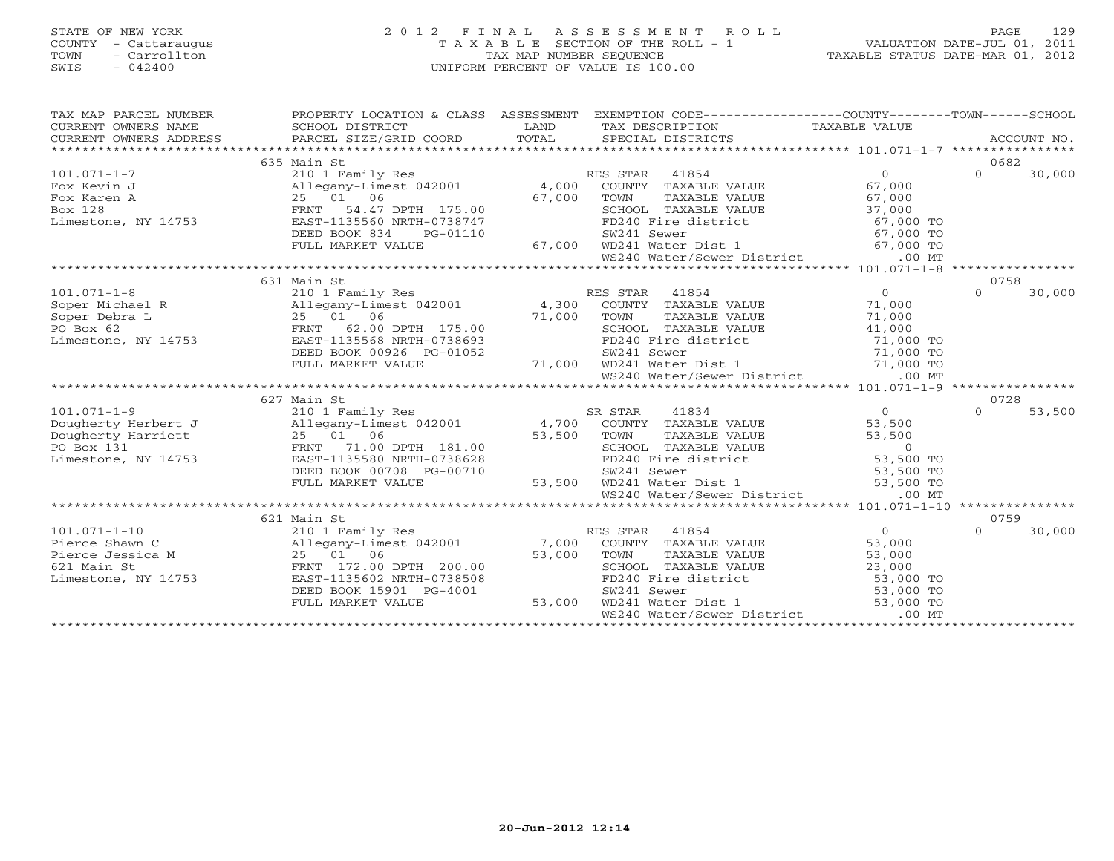# STATE OF NEW YORK 2 0 1 2 F I N A L A S S E S S M E N T R O L L PAGE 129 COUNTY - Cattaraugus T A X A B L E SECTION OF THE ROLL - 1 VALUATION DATE-JUL 01, 2011 TOWN - Carrollton TAX MAP NUMBER SEQUENCE TAXABLE STATUS DATE-MAR 01, 2012 SWIS - 042400 UNIFORM PERCENT OF VALUE IS 100.00

| TAX MAP PARCEL NUMBER                                                                                                                                                                                                                   |                                                                            |                           | PROPERTY LOCATION & CLASS ASSESSMENT EXEMPTION CODE---------------COUNTY-------TOWN------SCHOOL                                                                                                                                                                |                |                  |        |
|-----------------------------------------------------------------------------------------------------------------------------------------------------------------------------------------------------------------------------------------|----------------------------------------------------------------------------|---------------------------|----------------------------------------------------------------------------------------------------------------------------------------------------------------------------------------------------------------------------------------------------------------|----------------|------------------|--------|
| CURRENT OWNERS NAME<br>CURRENT OWNERS NAME SCHOOL DISTRICT – ------- ------- ------- TAX DESCRIPTION TAXABLE VALUE<br>CURRENT OWNERS ADDRESS PARCEL SIZE/GRID COORD TOTAL SPECIAL DISTRICTS ACCOUNT NO.<br>**************************** |                                                                            |                           |                                                                                                                                                                                                                                                                |                |                  |        |
|                                                                                                                                                                                                                                         |                                                                            |                           |                                                                                                                                                                                                                                                                |                |                  |        |
|                                                                                                                                                                                                                                         |                                                                            |                           |                                                                                                                                                                                                                                                                |                |                  |        |
|                                                                                                                                                                                                                                         | 635 Main St                                                                |                           |                                                                                                                                                                                                                                                                |                | 0682             |        |
| $101.071 - 1 - 7$                                                                                                                                                                                                                       |                                                                            |                           |                                                                                                                                                                                                                                                                | $\Omega$       | $\Omega$         | 30,000 |
| Fox Kevin J                                                                                                                                                                                                                             | Allegany-Limest 042002<br>25 01 06 67,000<br>FRNT 54.47 DPTH 175.00 67,000 |                           | COUNTY TAXABLE VALUE 67,000                                                                                                                                                                                                                                    |                |                  |        |
| Fox Karen A                                                                                                                                                                                                                             |                                                                            |                           |                                                                                                                                                                                                                                                                |                |                  |        |
| Box 128                                                                                                                                                                                                                                 |                                                                            |                           |                                                                                                                                                                                                                                                                |                |                  |        |
| Limestone, NY 14753                                                                                                                                                                                                                     |                                                                            |                           |                                                                                                                                                                                                                                                                |                |                  |        |
|                                                                                                                                                                                                                                         | DEED BOOK 834<br>PG-01110                                                  |                           |                                                                                                                                                                                                                                                                |                |                  |        |
|                                                                                                                                                                                                                                         | FULL MARKET VALUE                                                          | 67,000                    |                                                                                                                                                                                                                                                                |                |                  |        |
|                                                                                                                                                                                                                                         |                                                                            |                           | 67,000 TOWN TAXABLE VALUE<br>SCHOOL TAXABLE VALUE<br>TO240 Fire district<br>SW241 Sewer<br>67,000 TO<br>SW241 Sewer<br>67,000 TO<br>WE240 Water/Sewer District<br>167,000 TO<br>7000 TO<br>7000 TO<br>7000 TO<br>167,000 TO<br>7000 TO<br>7000 TO<br>7000 T    |                |                  |        |
|                                                                                                                                                                                                                                         |                                                                            |                           |                                                                                                                                                                                                                                                                |                |                  |        |
|                                                                                                                                                                                                                                         | 631 Main St                                                                |                           |                                                                                                                                                                                                                                                                |                | 0758             |        |
| 101.071-1-8<br>Soper Michael R (Allegany-Limest 042001 (4, 300 COOL)<br>Soper Debra L (2.00 DPTH 175.00 (3000L)<br>PO Box 62 (300 DPTH 175.00 (3000L)<br>PO Box 62 (300 DPTH 175.00 (3000L)<br>PO Box 62 (300 DPTH 175.00 (3000L)       |                                                                            |                           | 210 1 Family Res<br>210 1 Family Res<br>Allegany-Limest 042001 4,300 COUNTY TAXABLE VALUE                                                                                                                                                                      | $\overline{0}$ | $\Omega$         | 30,000 |
|                                                                                                                                                                                                                                         |                                                                            |                           |                                                                                                                                                                                                                                                                | 71,000         |                  |        |
|                                                                                                                                                                                                                                         |                                                                            |                           |                                                                                                                                                                                                                                                                |                |                  |        |
|                                                                                                                                                                                                                                         |                                                                            |                           |                                                                                                                                                                                                                                                                |                |                  |        |
|                                                                                                                                                                                                                                         |                                                                            |                           |                                                                                                                                                                                                                                                                |                |                  |        |
|                                                                                                                                                                                                                                         | DEED BOOK 00926 PG-01052                                                   |                           |                                                                                                                                                                                                                                                                |                |                  |        |
|                                                                                                                                                                                                                                         | FULL MARKET VALUE                                                          |                           |                                                                                                                                                                                                                                                                |                |                  |        |
|                                                                                                                                                                                                                                         |                                                                            |                           | 71,000<br>TOWN TAXABLE VALUE<br>TAXABLE VALUE<br>TAXABLE VALUE<br>PD240 Fire district<br>TAXABLE VALUE<br>41,000<br>TD240 Fire district<br>T1,000 TO<br>TO240 Fire district<br>T1,000 TO<br>T1,000 TO<br>T1,000 TO<br>T1,000 TO<br>T1,000 TO<br>T1,000 TO<br>T |                |                  |        |
|                                                                                                                                                                                                                                         |                                                                            |                           |                                                                                                                                                                                                                                                                |                |                  |        |
|                                                                                                                                                                                                                                         | 627 Main St                                                                |                           |                                                                                                                                                                                                                                                                |                | 0728<br>$\Omega$ |        |
| 0 101.071-1-9 101.071-1-9 210 1 Family Res 542001 53,500 SR STAR 41834 53,500 2001 1 101.071-1-9 101.071-1-9 210 1 Family Res 53,500 53,500 53,500 53,500 53,500 53,500 53,500 53,500 53,500 53,500 53,500 53,500 53,500 53,50          |                                                                            |                           |                                                                                                                                                                                                                                                                |                |                  | 53,500 |
|                                                                                                                                                                                                                                         |                                                                            |                           |                                                                                                                                                                                                                                                                |                |                  |        |
| Dougherty Harriett 25 01 06 53,500<br>Pougherty Harriett 25 01 06 53,500<br>PO Box 131 FRNT 71.00 DPTH 181.00                                                                                                                           |                                                                            | 53,500 TOWN               | TOWN TAXABLE VALUE<br>SCHOOL TAXABLE VALUE<br>FD240 Fire district<br>SV241 Sewer 53,500 TO<br>SW241 Sewer 53,500 TO                                                                                                                                            |                |                  |        |
|                                                                                                                                                                                                                                         |                                                                            |                           |                                                                                                                                                                                                                                                                |                |                  |        |
|                                                                                                                                                                                                                                         |                                                                            |                           |                                                                                                                                                                                                                                                                |                |                  |        |
|                                                                                                                                                                                                                                         | DEED BOOK 00708 PG-00710                                                   |                           | 3-00710 SW241 Sewer 53,500 TO<br>53,500 WD241 Water Dist 1 53,500 TO                                                                                                                                                                                           |                |                  |        |
|                                                                                                                                                                                                                                         | FULL MARKET VALUE                                                          |                           | WS240 Water/Sewer District                                                                                                                                                                                                                                     | $.00$ MT       |                  |        |
|                                                                                                                                                                                                                                         |                                                                            |                           |                                                                                                                                                                                                                                                                |                |                  |        |
|                                                                                                                                                                                                                                         |                                                                            |                           |                                                                                                                                                                                                                                                                |                | 0759             |        |
|                                                                                                                                                                                                                                         |                                                                            |                           |                                                                                                                                                                                                                                                                | $\overline{0}$ | $\Omega$         | 30,000 |
|                                                                                                                                                                                                                                         |                                                                            |                           |                                                                                                                                                                                                                                                                | 53,000         |                  |        |
|                                                                                                                                                                                                                                         |                                                                            |                           |                                                                                                                                                                                                                                                                | 53,000         |                  |        |
| 621 Main St                                                                                                                                                                                                                             |                                                                            |                           |                                                                                                                                                                                                                                                                |                |                  |        |
| Limestone, NY 14753                                                                                                                                                                                                                     | FRNT 172.00 DPTH 200.00<br>EAST-1135602 NRTH-0738508                       |                           | SCHOOL TAXABLE VALUE<br>FD240 Fire district<br>SV241 Sewer 53,000 TO<br>WD241 Water Dist 1 53,000 TO<br>53,000 TO<br>53,000 TO                                                                                                                                 |                |                  |        |
|                                                                                                                                                                                                                                         | DEED BOOK 15901 PG-4001                                                    |                           |                                                                                                                                                                                                                                                                |                |                  |        |
|                                                                                                                                                                                                                                         | FULL MARKET VALUE                                                          | $3-4001$ 53,000<br>53,000 |                                                                                                                                                                                                                                                                |                |                  |        |
|                                                                                                                                                                                                                                         |                                                                            |                           | WS240 Water/Sewer District                                                                                                                                                                                                                                     | $.00$ MT       |                  |        |
|                                                                                                                                                                                                                                         |                                                                            |                           |                                                                                                                                                                                                                                                                |                |                  |        |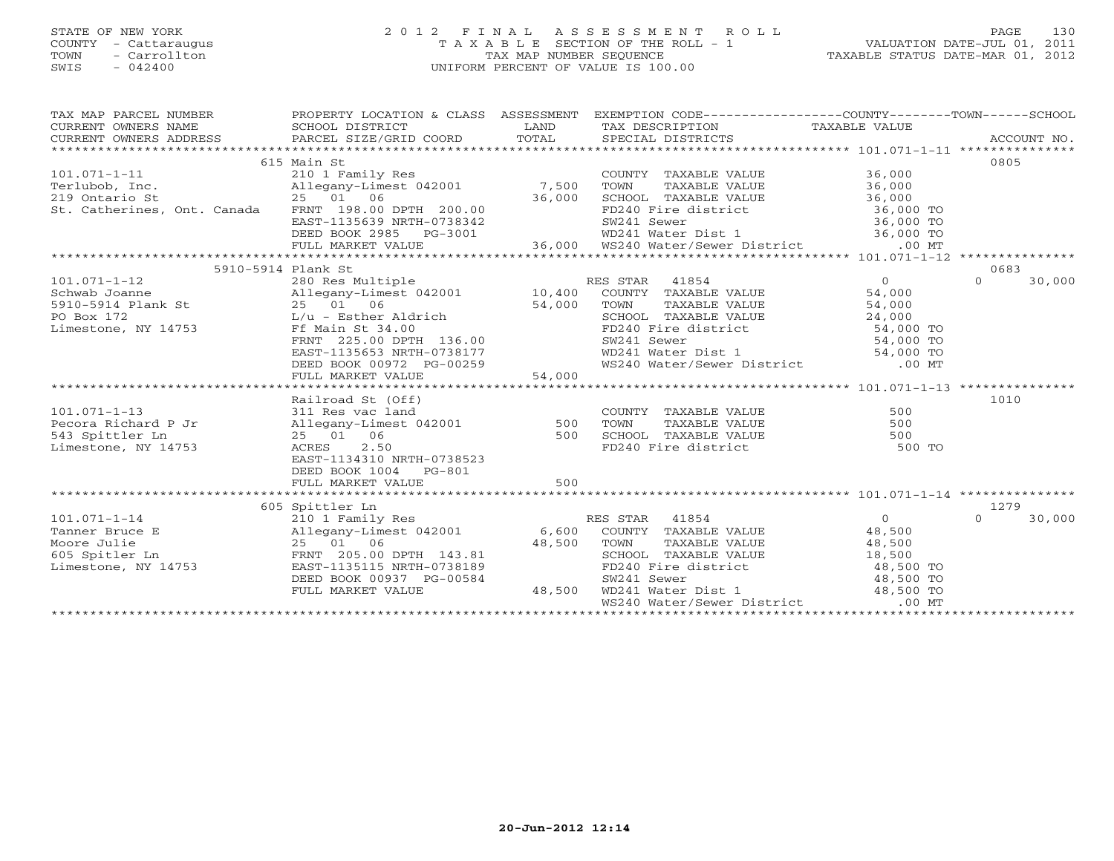# STATE OF NEW YORK 2 0 1 2 F I N A L A S S E S S M E N T R O L L PAGE 130 COUNTY - Cattaraugus T A X A B L E SECTION OF THE ROLL - 1 VALUATION DATE-JUL 01, 2011 TOWN - Carrollton 1999 - TAX MAP NUMBER SEQUENCE TAXABLE STATUS DATE-MAR 01, 2012<br>TAXABLE STATUS DATE-MAR 01, 2012 SWIS - 042400 UNIFORM PERCENT OF VALUE IS 100.00

| SWIS<br>- 042400            |                            |            | UNIFORM PERCENT OF VALUE IS 100.00 |                                                                                                                      |
|-----------------------------|----------------------------|------------|------------------------------------|----------------------------------------------------------------------------------------------------------------------|
|                             |                            |            |                                    |                                                                                                                      |
| TAX MAP PARCEL NUMBER       | PROPERTY LOCATION & CLASS  | ASSESSMENT | EXEMPTION CODE---                  | -COUNTY - - - - - -<br>-SCHOOL<br>$-$ TOWN $   -$                                                                    |
| CURRENT OWNERS NAME         | SCHOOL DISTRICT            | LAND       | TAX DESCRIPTION                    | TAXABLE VALUE                                                                                                        |
| CURRENT OWNERS ADDRESS      | PARCEL SIZE/GRID COORD     | TOTAL      | SPECIAL DISTRICTS                  | ACCOUNT NO.                                                                                                          |
|                             |                            |            |                                    |                                                                                                                      |
|                             | 615 Main St                |            |                                    | 0805                                                                                                                 |
| 101.071-1-11                | 210 1 Family Res           |            | COUNTY<br>TAXABLE VALUE            | 36,000                                                                                                               |
| Terlubob, Inc.              | Allegany-Limest 042001     | 7,500      | TOWN<br>TAXABLE VALUE              | 36,000                                                                                                               |
| 219 Ontario St              | 2.5 0.1<br>06              | 36,000     | SCHOOL<br>TAXABLE VALUE            | 36,000                                                                                                               |
| St. Catherines, Ont. Canada | 198.00 DPTH 200.00<br>FRNT |            | FD240 Fire district                | 36,000 TO                                                                                                            |
|                             | EAST-1135639 NRTH-0738342  |            | SW241 Sewer                        | 36,000 TO                                                                                                            |
|                             |                            |            |                                    | $\begin{array}{ccccccc}\n\bullet & \bullet & \bullet & \bullet & \bullet & \bullet & \bullet & \bullet\n\end{array}$ |

| St. Catherines, Ont. Canada | FRNT 198.00 DPTH 200.00       |        |                | FD240 Fire district               | 36,000 TO      |          |        |
|-----------------------------|-------------------------------|--------|----------------|-----------------------------------|----------------|----------|--------|
|                             | EAST-1135639 NRTH-0738342     |        | SW241 Sewer    |                                   | 36,000 TO      |          |        |
|                             | DEED BOOK 2985 PG-3001        |        |                | WD241 Water Dist 1                | 36,000 TO      |          |        |
|                             | FULL MARKET VALUE             |        |                | 36,000 WS240 Water/Sewer District | $.00$ MT       |          |        |
|                             |                               |        |                |                                   |                |          |        |
|                             | 5910-5914 Plank St            |        |                |                                   |                | 0683     |        |
| $101.071 - 1 - 12$          | 280 Res Multiple              |        | RES STAR 41854 |                                   | $\overline{0}$ | $\Omega$ | 30,000 |
| Schwab Joanne               | Allegany-Limest 042001 10,400 |        |                | COUNTY TAXABLE VALUE              | 54,000         |          |        |
| 5910-5914 Plank St          | 25 01 06                      | 54,000 | TOWN           | TAXABLE VALUE                     | 54,000         |          |        |
| PO Box 172                  | L/u - Esther Aldrich          |        |                | SCHOOL TAXABLE VALUE              | 24,000         |          |        |
| Limestone, NY 14753         | Ff Main St 34.00              |        |                | FD240 Fire district               | 54,000 TO      |          |        |
|                             | FRNT 225.00 DPTH 136.00       |        | SW241 Sewer    |                                   | 54,000 TO      |          |        |
|                             | EAST-1135653 NRTH-0738177     |        |                | WD241 Water Dist 1                | 54,000 TO      |          |        |
|                             | DEED BOOK 00972 PG-00259      |        |                | WS240 Water/Sewer District        | $.00$ MT       |          |        |
|                             | FULL MARKET VALUE             | 54,000 |                |                                   |                |          |        |
|                             |                               |        |                |                                   |                |          |        |
|                             | Railroad St (Off)             |        |                |                                   |                | 1010     |        |
| $101.071 - 1 - 13$          | 311 Res vac land              |        |                | COUNTY TAXABLE VALUE              | 500            |          |        |
| Pecora Richard P Jr         | Allegany-Limest 042001        | 500    | TOWN           | TAXABLE VALUE                     | 500            |          |        |
| 543 Spittler Ln             | 25 01 06                      | 500    |                | SCHOOL TAXABLE VALUE              | 500            |          |        |
| Limestone, NY 14753         | ACRES<br>2.50                 |        |                | FD240 Fire district               | 500 TO         |          |        |
|                             | EAST-1134310 NRTH-0738523     |        |                |                                   |                |          |        |
|                             | DEED BOOK 1004 PG-801         |        |                |                                   |                |          |        |
|                             | FULL MARKET VALUE             | 500    |                |                                   |                |          |        |
|                             | **************************    |        |                |                                   |                |          |        |
|                             | 605 Spittler Ln               |        |                |                                   |                | 1279     |        |
| $101.071 - 1 - 14$          | 210 1 Family Res              |        | RES STAR       | 41854                             | $\Omega$       | $\Omega$ | 30,000 |
| Tanner Bruce E              | Allegany-Limest 042001        | 6,600  |                | COUNTY TAXABLE VALUE              | 48,500         |          |        |
| Moore Julie                 | 25 01 06                      | 48,500 | TOWN           | TAXABLE VALUE                     | 48,500         |          |        |
| 605 Spitler Ln              | FRNT 205.00 DPTH 143.81       |        |                | SCHOOL TAXABLE VALUE              | 18,500         |          |        |
| Limestone, NY 14753         | EAST-1135115 NRTH-0738189     |        |                | FD240 Fire district               | 48,500 TO      |          |        |
|                             | DEED BOOK 00937 PG-00584      |        | SW241 Sewer    |                                   | 48,500 TO      |          |        |
|                             | FULL MARKET VALUE             | 48,500 |                | WD241 Water Dist 1                | 48,500 TO      |          |        |
|                             |                               |        |                | WS240 Water/Sewer District        | $.00$ MT       |          |        |
|                             |                               |        |                |                                   |                |          |        |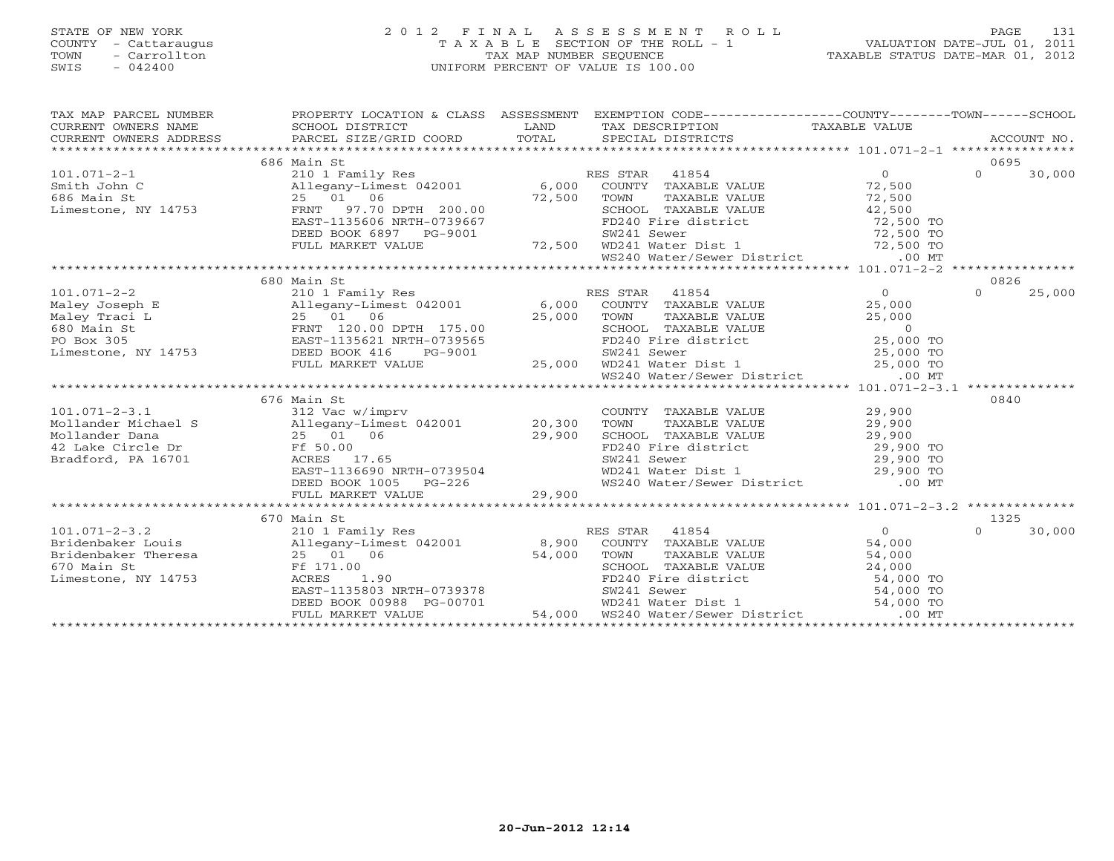# STATE OF NEW YORK 2 0 1 2 F I N A L A S S E S S M E N T R O L L PAGE 131 COUNTY - Cattaraugus T A X A B L E SECTION OF THE ROLL - 1 VALUATION DATE-JUL 01, 2011 TOWN - Carrollton TAX MAP NUMBER SEQUENCE TAXABLE STATUS DATE-MAR 01, 2012 SWIS - 042400 UNIFORM PERCENT OF VALUE IS 100.00

| TAX MAP PARCEL NUMBER | PROPERTY LOCATION & CLASS ASSESSMENT EXEMPTION CODE-----------------COUNTY-------TOWN------SCHOOL                                                                                                                                                |                                |          |        |
|-----------------------|--------------------------------------------------------------------------------------------------------------------------------------------------------------------------------------------------------------------------------------------------|--------------------------------|----------|--------|
|                       |                                                                                                                                                                                                                                                  |                                |          |        |
|                       |                                                                                                                                                                                                                                                  |                                |          |        |
|                       |                                                                                                                                                                                                                                                  |                                |          |        |
|                       | 686 Main St                                                                                                                                                                                                                                      |                                | 0695     |        |
|                       |                                                                                                                                                                                                                                                  |                                | $\Omega$ | 30,000 |
|                       |                                                                                                                                                                                                                                                  |                                |          |        |
|                       |                                                                                                                                                                                                                                                  |                                |          |        |
|                       |                                                                                                                                                                                                                                                  |                                |          |        |
|                       |                                                                                                                                                                                                                                                  |                                |          |        |
|                       |                                                                                                                                                                                                                                                  |                                |          |        |
|                       |                                                                                                                                                                                                                                                  |                                |          |        |
|                       |                                                                                                                                                                                                                                                  |                                |          |        |
|                       |                                                                                                                                                                                                                                                  |                                |          |        |
|                       | 680 Main St                                                                                                                                                                                                                                      |                                | 0826     |        |
|                       |                                                                                                                                                                                                                                                  |                                | $\Omega$ | 25,000 |
|                       |                                                                                                                                                                                                                                                  |                                |          |        |
|                       |                                                                                                                                                                                                                                                  |                                |          |        |
|                       |                                                                                                                                                                                                                                                  |                                |          |        |
|                       |                                                                                                                                                                                                                                                  |                                |          |        |
|                       |                                                                                                                                                                                                                                                  |                                |          |        |
|                       |                                                                                                                                                                                                                                                  |                                |          |        |
|                       | 101.071-2-2 680 Main St<br>Maley Joseph E 210 1 Family Res<br>Maley Joseph E 211 Family Res<br>Maley Traci L 25 01 06 25,000 TOWN TAXABLE VALUE 25,000<br>FRNT 120.00 DPTH 175.00 25,000 TOWN TAXABLE VALUE 25,000<br>FO Box 305 EAST 1          |                                |          |        |
|                       |                                                                                                                                                                                                                                                  |                                |          |        |
|                       | 676 Main St                                                                                                                                                                                                                                      |                                | 0840     |        |
|                       |                                                                                                                                                                                                                                                  |                                |          |        |
|                       | 101.071-2-3.1 676 Main St<br>312 Vac w/imprv<br>312 Vac w/imprv<br>312 Vac w/imprv<br>20,300 TOWN TAXABLE VALUE 29,900<br>29,900 TOWN TAXABLE VALUE 29,900<br>29,900 TOWN TAXABLE VALUE 29,900<br>29,900 TOWN TAXABLE VALUE 29,900<br>29,900 T   |                                |          |        |
|                       |                                                                                                                                                                                                                                                  |                                |          |        |
|                       |                                                                                                                                                                                                                                                  |                                |          |        |
|                       |                                                                                                                                                                                                                                                  |                                |          |        |
|                       | EAST-1136690 NRTH-0739504                                                                                                                                                                                                                        | $WD241$ Water Dist 1 29,900 TO |          |        |
|                       |                                                                                                                                                                                                                                                  |                                |          |        |
|                       |                                                                                                                                                                                                                                                  |                                |          |        |
|                       |                                                                                                                                                                                                                                                  |                                |          |        |
|                       | 670 Main St                                                                                                                                                                                                                                      |                                | 1325     |        |
|                       |                                                                                                                                                                                                                                                  |                                | $\Omega$ | 30,000 |
|                       |                                                                                                                                                                                                                                                  |                                |          |        |
|                       |                                                                                                                                                                                                                                                  |                                |          |        |
|                       |                                                                                                                                                                                                                                                  |                                |          |        |
|                       |                                                                                                                                                                                                                                                  |                                |          |        |
|                       |                                                                                                                                                                                                                                                  |                                |          |        |
|                       | Bridenbaker Louis<br>Bridenbaker Theresa<br>Exaction Strategy (1990)<br>Exaction ACRES 1.90<br>Linestone, NY 14753<br>Exaction Bridenbaker Value<br>Exaction ACRES 1.90<br>Exaction Bridenback Strategy (19988 PG-00701<br>EXACRES 1.90<br>EXACR |                                |          |        |
|                       |                                                                                                                                                                                                                                                  |                                |          |        |
|                       |                                                                                                                                                                                                                                                  |                                |          |        |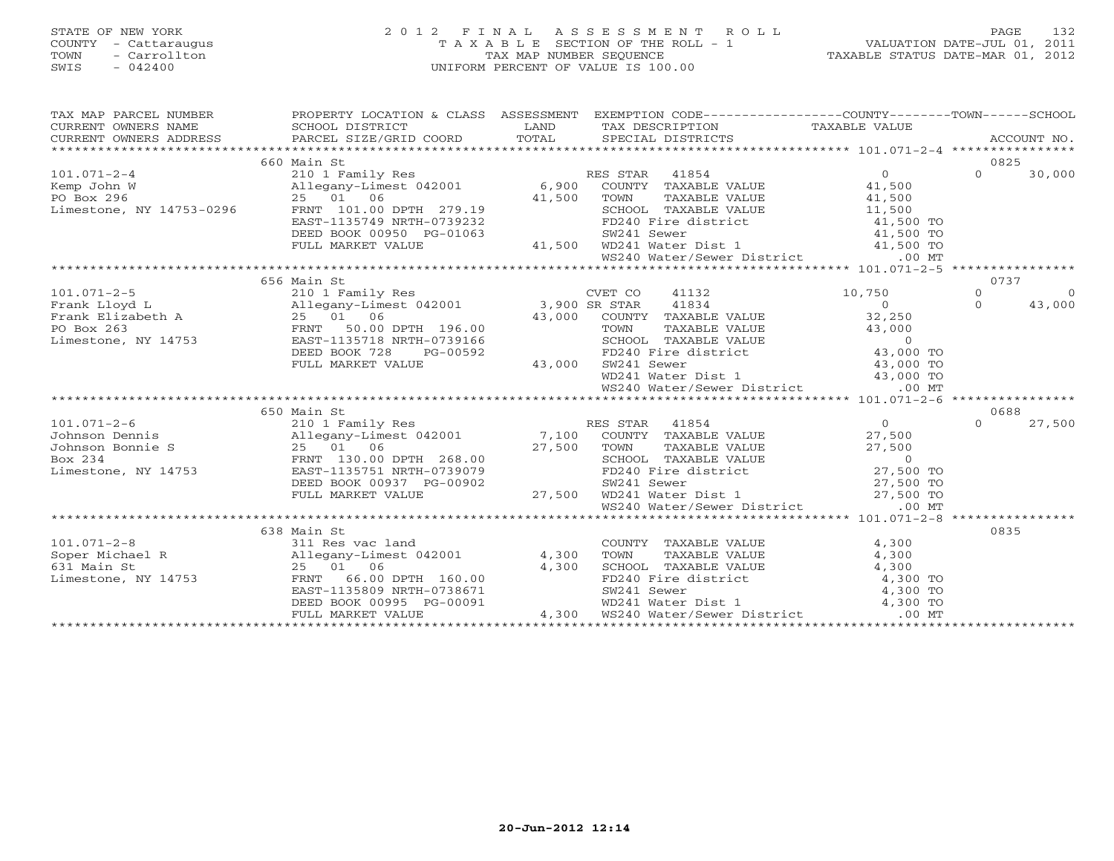# STATE OF NEW YORK 2 0 1 2 F I N A L A S S E S S M E N T R O L L PAGE 132 COUNTY - Cattaraugus T A X A B L E SECTION OF THE ROLL - 1 VALUATION DATE-JUL 01, 2011 TOWN - Carrollton TAX MAP NUMBER SEQUENCE TAXABLE STATUS DATE-MAR 01, 2012 SWIS - 042400 UNIFORM PERCENT OF VALUE IS 100.00UNIFORM PERCENT OF VALUE IS 100.00

| TAX MAP PARCEL NUMBER                                                                                                                                                                                                                                                                                | PROPERTY LOCATION & CLASS ASSESSMENT EXEMPTION CODE----------------COUNTY-------TOWN------SCHOOL                                                                                                                                       |                                                                                                                                                                                                                                          |       |                  |            |
|------------------------------------------------------------------------------------------------------------------------------------------------------------------------------------------------------------------------------------------------------------------------------------------------------|----------------------------------------------------------------------------------------------------------------------------------------------------------------------------------------------------------------------------------------|------------------------------------------------------------------------------------------------------------------------------------------------------------------------------------------------------------------------------------------|-------|------------------|------------|
|                                                                                                                                                                                                                                                                                                      |                                                                                                                                                                                                                                        |                                                                                                                                                                                                                                          |       |                  |            |
|                                                                                                                                                                                                                                                                                                      | 660 Main St                                                                                                                                                                                                                            |                                                                                                                                                                                                                                          |       | 0825<br>$\Omega$ |            |
| 101.071-2-4<br>EX STAR 41854 0<br>EX STAR 41854 0<br>EX STAR 41854 0<br>EX STAR 41854 0<br>EX STAR 41854 0<br>EX STAR 41854 0<br>FRAME VALUE 41,500<br>PO Box 296 25 01 06<br>Limestone, NY 14753-0296 FRNT 101.00 DPTH 279.19<br>EAST-1135749 NRT                                                   |                                                                                                                                                                                                                                        |                                                                                                                                                                                                                                          |       |                  | 30,000     |
|                                                                                                                                                                                                                                                                                                      |                                                                                                                                                                                                                                        |                                                                                                                                                                                                                                          |       |                  |            |
|                                                                                                                                                                                                                                                                                                      |                                                                                                                                                                                                                                        |                                                                                                                                                                                                                                          |       |                  |            |
|                                                                                                                                                                                                                                                                                                      |                                                                                                                                                                                                                                        |                                                                                                                                                                                                                                          |       |                  |            |
|                                                                                                                                                                                                                                                                                                      |                                                                                                                                                                                                                                        |                                                                                                                                                                                                                                          |       |                  |            |
|                                                                                                                                                                                                                                                                                                      |                                                                                                                                                                                                                                        |                                                                                                                                                                                                                                          |       |                  |            |
|                                                                                                                                                                                                                                                                                                      | 25 01 06 41,500 TOWN TAXABLE VALUE 41,500<br>FRNT 101.00 DPTH 279.19 41,500 TOWN TAXABLE VALUE 41,500<br>EAST-1135749 NRTH-0739232 FD240 Fire district 41,500 TO<br>DEED BOOK 00950 PG-01063 5W241 Sewer 41,500 TO<br>FULL MARKET VALU |                                                                                                                                                                                                                                          |       |                  |            |
|                                                                                                                                                                                                                                                                                                      |                                                                                                                                                                                                                                        |                                                                                                                                                                                                                                          |       |                  |            |
|                                                                                                                                                                                                                                                                                                      | 656 Main St                                                                                                                                                                                                                            |                                                                                                                                                                                                                                          |       | 0737             |            |
| 101.071-2-5<br>Frank Lloyd L<br>Frank Elizabeth A 25 01 06<br>PO Box 263<br>Limestone, NY 14753<br>201.071-2-5<br>25 01 06<br>PO Box 263<br>25 01 06<br>25 01 06<br>25 01 06<br>25 01 06<br>25 01 06<br>25 01 06<br>25 01 06<br>26 263<br>27,250<br>27,250<br>27,2                                   |                                                                                                                                                                                                                                        |                                                                                                                                                                                                                                          |       | $\Omega$         | $\bigcirc$ |
|                                                                                                                                                                                                                                                                                                      |                                                                                                                                                                                                                                        |                                                                                                                                                                                                                                          |       | $\Omega$         | 43,000     |
|                                                                                                                                                                                                                                                                                                      |                                                                                                                                                                                                                                        |                                                                                                                                                                                                                                          |       |                  |            |
|                                                                                                                                                                                                                                                                                                      |                                                                                                                                                                                                                                        |                                                                                                                                                                                                                                          |       |                  |            |
|                                                                                                                                                                                                                                                                                                      |                                                                                                                                                                                                                                        |                                                                                                                                                                                                                                          |       |                  |            |
|                                                                                                                                                                                                                                                                                                      |                                                                                                                                                                                                                                        |                                                                                                                                                                                                                                          |       |                  |            |
|                                                                                                                                                                                                                                                                                                      |                                                                                                                                                                                                                                        |                                                                                                                                                                                                                                          |       |                  |            |
|                                                                                                                                                                                                                                                                                                      | DEED BOOK 728 PG-00592 PO FD240 Fire c<br>FULL MARKET VALUE 43,000 SW241 Sewer<br>WD241 Water                                                                                                                                          |                                                                                                                                                                                                                                          |       |                  |            |
|                                                                                                                                                                                                                                                                                                      |                                                                                                                                                                                                                                        | COMINITY ANABLE VALUE<br>TOWN TAXABLE VALUE 43,000<br>SCHOOL TAXABLE VALUE 0<br>FD240 Fire district 43,000 TO<br>SW241 Sewer 43,000 TO<br>WD241 Water District 43,000 TO<br>WS240 Water/Sewer District .00 MT                            |       |                  |            |
|                                                                                                                                                                                                                                                                                                      |                                                                                                                                                                                                                                        |                                                                                                                                                                                                                                          |       |                  |            |
|                                                                                                                                                                                                                                                                                                      | 650 Main St                                                                                                                                                                                                                            |                                                                                                                                                                                                                                          |       | 0688             |            |
|                                                                                                                                                                                                                                                                                                      |                                                                                                                                                                                                                                        |                                                                                                                                                                                                                                          |       | $\Omega$         | 27,500     |
|                                                                                                                                                                                                                                                                                                      |                                                                                                                                                                                                                                        |                                                                                                                                                                                                                                          |       |                  |            |
| 101.071-2-6<br>101.071-2-6<br>101.071-2-6<br>101.071-2-6<br>27,500<br>27,500<br>27,500<br>27,500<br>EAST-1135751 NRTH-0739079<br>27,500<br>27,500<br>27,500<br>27,500<br>27,500<br>27,500<br>27,500<br>27,500<br>27,500<br>27,500<br>27,500<br>27,500<br>27,500<br>27,500<br>                        |                                                                                                                                                                                                                                        |                                                                                                                                                                                                                                          |       |                  |            |
|                                                                                                                                                                                                                                                                                                      |                                                                                                                                                                                                                                        |                                                                                                                                                                                                                                          |       |                  |            |
|                                                                                                                                                                                                                                                                                                      |                                                                                                                                                                                                                                        |                                                                                                                                                                                                                                          |       |                  |            |
|                                                                                                                                                                                                                                                                                                      | DEED BOOK 00937 PG-00902                                                                                                                                                                                                               |                                                                                                                                                                                                                                          |       |                  |            |
|                                                                                                                                                                                                                                                                                                      | FULL MARKET VALUE                                                                                                                                                                                                                      | 27,500 TOWN TAXABLE VALUE<br>268.00 SCHOOL TAXABLE VALUE<br>0739079 FD240 Fire district 27,500 TOWN FOR SCHOOL TAXABLE VALUE<br>27,500 TOWN FOR SCHOOL TAXABLE VALUE<br>27,500 TO SW241 Sever is 27,500 TO<br>27,500 TO SW241 Sever Dist |       |                  |            |
|                                                                                                                                                                                                                                                                                                      |                                                                                                                                                                                                                                        |                                                                                                                                                                                                                                          |       |                  |            |
|                                                                                                                                                                                                                                                                                                      |                                                                                                                                                                                                                                        |                                                                                                                                                                                                                                          |       |                  |            |
|                                                                                                                                                                                                                                                                                                      | 638 Main St                                                                                                                                                                                                                            | COUNTY TAXABLE VALUE                                                                                                                                                                                                                     | 4,300 | 0835             |            |
|                                                                                                                                                                                                                                                                                                      |                                                                                                                                                                                                                                        | TOWN<br>TAXABLE VALUE                                                                                                                                                                                                                    | 4,300 |                  |            |
|                                                                                                                                                                                                                                                                                                      |                                                                                                                                                                                                                                        |                                                                                                                                                                                                                                          |       |                  |            |
| 101.071-2-8<br>Soper Michael R 311 Res vac land<br>631 Main St 25 01 06<br>Limestone, NY 14753<br>$\begin{array}{r} 101.071-2-8 \\ 8.109 \text{ m/s}^2 \end{array}$ and $\begin{array}{r} 311 \text{ Res}$ vacuum Limest 042001 4,300<br>$\begin{array}{r} 25 & 01 & 06 \\ 160.00 \end{array}$ 4,300 |                                                                                                                                                                                                                                        |                                                                                                                                                                                                                                          |       |                  |            |
|                                                                                                                                                                                                                                                                                                      | FRNT 66.00 DPTH 160.00<br>EAST-1135809 NRTH-0738671                                                                                                                                                                                    |                                                                                                                                                                                                                                          |       |                  |            |
|                                                                                                                                                                                                                                                                                                      | DEED BOOK 00995 PG-00091                                                                                                                                                                                                               |                                                                                                                                                                                                                                          |       |                  |            |
|                                                                                                                                                                                                                                                                                                      | FULL MARKET VALUE                                                                                                                                                                                                                      | 4,300 SCHOOL TAXABLE VALUE 4,300 TO<br>4,300 SCHOOL TAXABLE VALUE 4,300 TO<br>FD240 Fire district 4,300 TO<br>WD241 Water Dist 1 4,300 TO<br>4,300 TO<br>WD241 Water District 4,300 TO                                                   |       |                  |            |
|                                                                                                                                                                                                                                                                                                      |                                                                                                                                                                                                                                        |                                                                                                                                                                                                                                          |       |                  |            |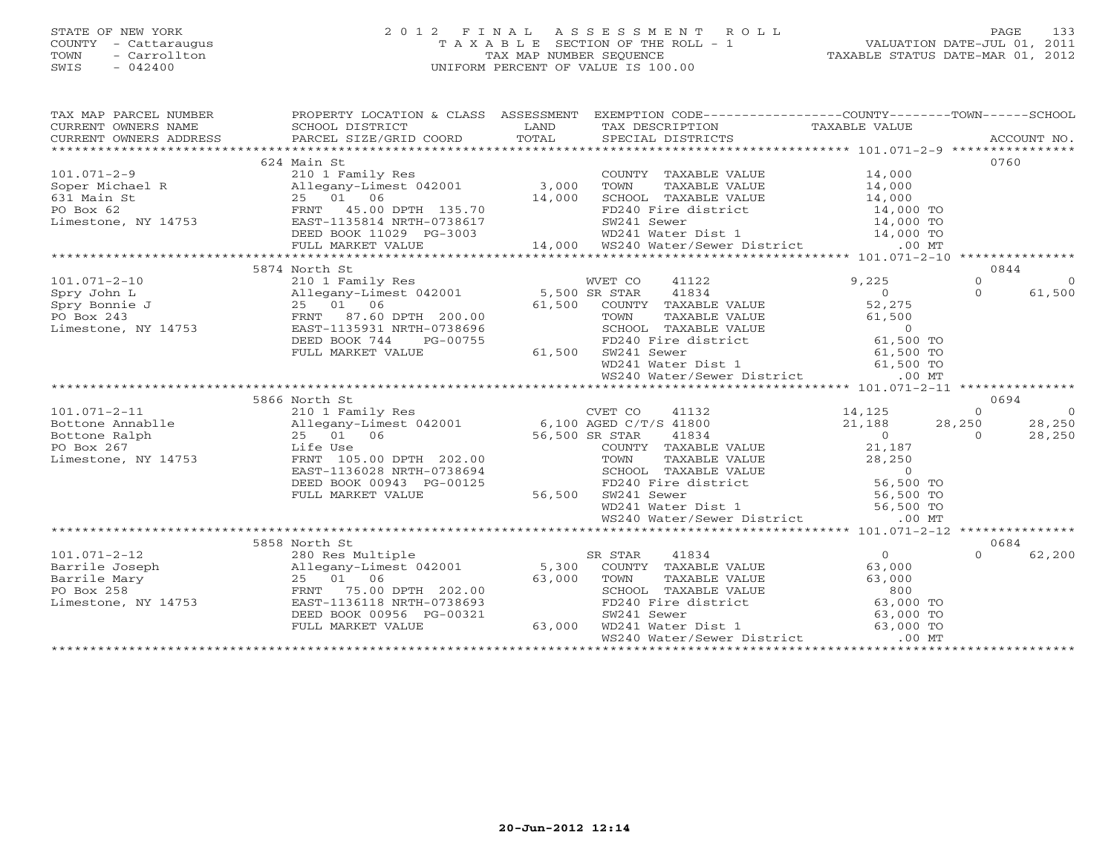# STATE OF NEW YORK 2 0 1 2 F I N A L A S S E S S M E N T R O L L PAGE 133 COUNTY - Cattaraugus T A X A B L E SECTION OF THE ROLL - 1 VALUATION DATE-JUL 01, 2011 TOWN - Carrollton TAX MAP NUMBER SEQUENCE TAXABLE STATUS DATE-MAR 01, 2012 SWIS - 042400 UNIFORM PERCENT OF VALUE IS 100.00UNIFORM PERCENT OF VALUE IS 100.00

| TAX MAP PARCEL NUMBER<br>CURRENT OWNERS NAME<br>CURRENT OWNERS NAME SCHOOL DISTRICT – ------ ------- ------- TAX DESCRIPTION TAXABLE VALUE<br>CURRENT OWNERS ADDRESS PARCEL SIZE/GRID COORD TOTAL SPECIAL DISTRICTS ACCOUNT NO.<br>*****************************<br>CURRENT OWNERS NAME |                           |                    | PROPERTY LOCATION & CLASS ASSESSMENT EXEMPTION CODE----------------COUNTY-------TOWN------SCHOOL                                                                                              |       |          |          |
|-----------------------------------------------------------------------------------------------------------------------------------------------------------------------------------------------------------------------------------------------------------------------------------------|---------------------------|--------------------|-----------------------------------------------------------------------------------------------------------------------------------------------------------------------------------------------|-------|----------|----------|
|                                                                                                                                                                                                                                                                                         | 624 Main St               |                    |                                                                                                                                                                                               |       |          | 0760     |
|                                                                                                                                                                                                                                                                                         |                           |                    |                                                                                                                                                                                               |       |          |          |
|                                                                                                                                                                                                                                                                                         |                           |                    |                                                                                                                                                                                               |       |          |          |
|                                                                                                                                                                                                                                                                                         |                           |                    |                                                                                                                                                                                               |       |          |          |
|                                                                                                                                                                                                                                                                                         |                           |                    |                                                                                                                                                                                               |       |          |          |
|                                                                                                                                                                                                                                                                                         |                           |                    |                                                                                                                                                                                               |       |          |          |
|                                                                                                                                                                                                                                                                                         |                           |                    |                                                                                                                                                                                               |       |          |          |
| 101.071-2-9<br>Soper Michael R<br>Soper Michael R<br>Soper Michael R<br>25 01 06<br>PO Box 62<br>Limestone, NY 14753<br>Limestone, NY 14753<br>COUNTY TAXABLE VALUE<br>25 01 06<br>25 01 06<br>25 01 06<br>25 01 06<br>25 01 06<br>25 01 06<br>25 01 06<br>25                           |                           |                    |                                                                                                                                                                                               |       |          |          |
|                                                                                                                                                                                                                                                                                         |                           |                    |                                                                                                                                                                                               |       |          |          |
|                                                                                                                                                                                                                                                                                         | 5874 North St             |                    |                                                                                                                                                                                               |       |          | 0844     |
|                                                                                                                                                                                                                                                                                         |                           |                    |                                                                                                                                                                                               | 9,225 | $\Omega$ |          |
|                                                                                                                                                                                                                                                                                         |                           |                    |                                                                                                                                                                                               |       | $\Omega$ | $\Omega$ |
|                                                                                                                                                                                                                                                                                         |                           |                    |                                                                                                                                                                                               |       |          | 61,500   |
|                                                                                                                                                                                                                                                                                         |                           |                    |                                                                                                                                                                                               |       |          |          |
|                                                                                                                                                                                                                                                                                         |                           |                    |                                                                                                                                                                                               |       |          |          |
|                                                                                                                                                                                                                                                                                         |                           |                    |                                                                                                                                                                                               |       |          |          |
|                                                                                                                                                                                                                                                                                         | DEED BOOK 744<br>PG-00755 |                    | TOWN TAXABLE VALUE 61,500<br>SCHOOL TAXABLE VALUE 0<br>FD240 Fire district 61,500 TO<br>FD240 Free district 61,500 TO<br>5-00755 FD240 Fire c<br>61,500 SW241 Sewer                           |       |          |          |
|                                                                                                                                                                                                                                                                                         | FULL MARKET VALUE         |                    | SW241 Sewer 61,500 TO<br>WD241 Water Dist 1 61,500 TO                                                                                                                                         |       |          |          |
|                                                                                                                                                                                                                                                                                         |                           |                    |                                                                                                                                                                                               |       |          |          |
|                                                                                                                                                                                                                                                                                         |                           |                    | WS240 Water/Sewer District .00 MT                                                                                                                                                             |       |          |          |
|                                                                                                                                                                                                                                                                                         |                           |                    |                                                                                                                                                                                               |       |          |          |
|                                                                                                                                                                                                                                                                                         | 5866 North St             |                    |                                                                                                                                                                                               |       |          | 0694     |
|                                                                                                                                                                                                                                                                                         |                           |                    |                                                                                                                                                                                               |       |          |          |
|                                                                                                                                                                                                                                                                                         |                           |                    |                                                                                                                                                                                               |       |          |          |
|                                                                                                                                                                                                                                                                                         |                           |                    |                                                                                                                                                                                               |       |          |          |
|                                                                                                                                                                                                                                                                                         |                           |                    |                                                                                                                                                                                               |       |          |          |
|                                                                                                                                                                                                                                                                                         |                           |                    |                                                                                                                                                                                               |       |          |          |
|                                                                                                                                                                                                                                                                                         |                           |                    |                                                                                                                                                                                               |       |          |          |
|                                                                                                                                                                                                                                                                                         |                           |                    |                                                                                                                                                                                               |       |          |          |
|                                                                                                                                                                                                                                                                                         |                           |                    |                                                                                                                                                                                               |       |          |          |
|                                                                                                                                                                                                                                                                                         |                           |                    |                                                                                                                                                                                               |       |          |          |
| 101.071-2-11<br>Bottone Annable<br>Bottone Annable<br>210 1 Family Res<br>22 0 28,250<br>28,250<br>FO Box 267<br>Life Use<br>Life Use<br>22 0 116 0 10 100 12001<br>22 0 28,250<br>28,250<br>28,250<br>28,250<br>28,250<br>28,250<br>28,250<br>28,250<br>28,250<br>                     |                           |                    |                                                                                                                                                                                               |       |          |          |
|                                                                                                                                                                                                                                                                                         |                           |                    |                                                                                                                                                                                               |       |          |          |
|                                                                                                                                                                                                                                                                                         | 5858 North St             |                    |                                                                                                                                                                                               |       |          | 0684     |
|                                                                                                                                                                                                                                                                                         |                           |                    |                                                                                                                                                                                               |       | $\Omega$ | 62,200   |
|                                                                                                                                                                                                                                                                                         |                           |                    |                                                                                                                                                                                               |       |          |          |
|                                                                                                                                                                                                                                                                                         |                           |                    |                                                                                                                                                                                               |       |          |          |
| 101.071-2-12 280 Res Multiple 3R STAR 41834<br>Barrile Joseph Allegany-Limest 042001 5,300 COUNTY TAXABLE VALUE 63,000<br>Barrile Mary 25 01 06 63,000 TOWN TAXABLE VALUE 63,000<br>PO Box 258 FRNT 75.00 DPTH 202.00 SCHOOL TAXABLE                                                    |                           |                    |                                                                                                                                                                                               |       |          |          |
|                                                                                                                                                                                                                                                                                         |                           |                    |                                                                                                                                                                                               |       |          |          |
|                                                                                                                                                                                                                                                                                         |                           |                    |                                                                                                                                                                                               |       |          |          |
|                                                                                                                                                                                                                                                                                         | FULL MARKET VALUE         | $-00321$<br>63,000 | COWN TAXABLE VALUE<br>TOWN TAXABLE VALUE<br>SCHOOL TAXABLE VALUE<br>FD240 Fire district<br>SW241 Sewer<br>FD241 Water Dist 1<br>63,000 TO<br>63,000 TO<br>63,000 TO<br>63,000 TO<br>63,000 TO |       |          |          |
|                                                                                                                                                                                                                                                                                         |                           |                    | WS240 Water/Sewer District .00 MT                                                                                                                                                             |       |          |          |
|                                                                                                                                                                                                                                                                                         |                           |                    |                                                                                                                                                                                               |       |          |          |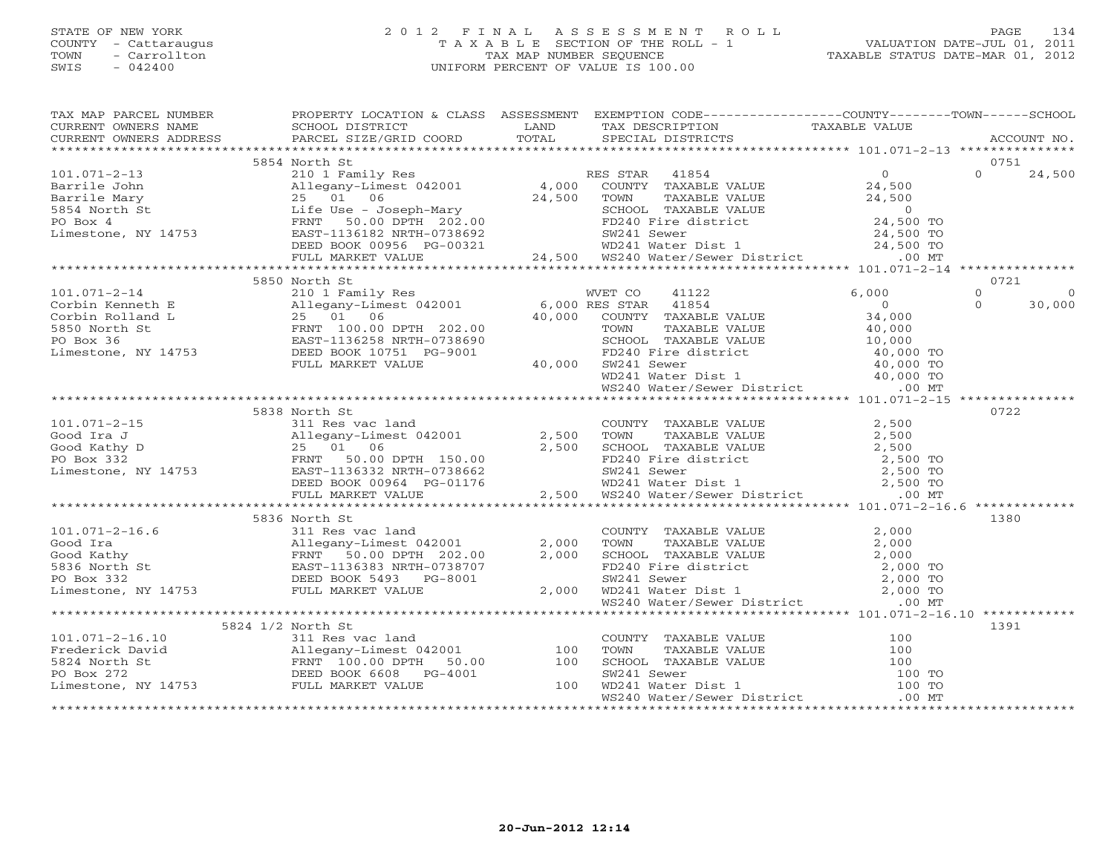# STATE OF NEW YORK 2 0 1 2 F I N A L A S S E S S M E N T R O L L PAGE 134 COUNTY - Cattaraugus T A X A B L E SECTION OF THE ROLL - 1 VALUATION DATE-JUL 01, 2011 TOWN - Carrollton TAX MAP NUMBER SEQUENCE TAXABLE STATUS DATE-MAR 01, 2012<br>TAXABLE STATUS DATE-MAR 01, 2012 SWIS - 042400 UNIFORM PERCENT OF VALUE IS 100.00

|                       | 5854 North St                                                                                                                                                                                                                                                                                                                                                                                                                            |                                                                            |     | 0751 |
|-----------------------|------------------------------------------------------------------------------------------------------------------------------------------------------------------------------------------------------------------------------------------------------------------------------------------------------------------------------------------------------------------------------------------------------------------------------------------|----------------------------------------------------------------------------|-----|------|
|                       |                                                                                                                                                                                                                                                                                                                                                                                                                                          |                                                                            |     |      |
|                       |                                                                                                                                                                                                                                                                                                                                                                                                                                          |                                                                            |     |      |
|                       |                                                                                                                                                                                                                                                                                                                                                                                                                                          |                                                                            |     |      |
|                       |                                                                                                                                                                                                                                                                                                                                                                                                                                          |                                                                            |     |      |
|                       |                                                                                                                                                                                                                                                                                                                                                                                                                                          |                                                                            |     |      |
|                       |                                                                                                                                                                                                                                                                                                                                                                                                                                          |                                                                            |     |      |
|                       |                                                                                                                                                                                                                                                                                                                                                                                                                                          |                                                                            |     |      |
|                       |                                                                                                                                                                                                                                                                                                                                                                                                                                          |                                                                            |     |      |
|                       |                                                                                                                                                                                                                                                                                                                                                                                                                                          |                                                                            |     |      |
|                       | 5850 North St                                                                                                                                                                                                                                                                                                                                                                                                                            |                                                                            |     | 0721 |
|                       |                                                                                                                                                                                                                                                                                                                                                                                                                                          |                                                                            |     |      |
|                       |                                                                                                                                                                                                                                                                                                                                                                                                                                          |                                                                            |     |      |
|                       |                                                                                                                                                                                                                                                                                                                                                                                                                                          |                                                                            |     |      |
|                       |                                                                                                                                                                                                                                                                                                                                                                                                                                          |                                                                            |     |      |
|                       |                                                                                                                                                                                                                                                                                                                                                                                                                                          |                                                                            |     |      |
|                       |                                                                                                                                                                                                                                                                                                                                                                                                                                          |                                                                            |     |      |
|                       |                                                                                                                                                                                                                                                                                                                                                                                                                                          |                                                                            |     |      |
|                       |                                                                                                                                                                                                                                                                                                                                                                                                                                          |                                                                            |     |      |
|                       |                                                                                                                                                                                                                                                                                                                                                                                                                                          |                                                                            |     |      |
|                       |                                                                                                                                                                                                                                                                                                                                                                                                                                          |                                                                            |     |      |
|                       | 5838 North St                                                                                                                                                                                                                                                                                                                                                                                                                            |                                                                            |     | 0722 |
|                       |                                                                                                                                                                                                                                                                                                                                                                                                                                          |                                                                            |     |      |
|                       |                                                                                                                                                                                                                                                                                                                                                                                                                                          |                                                                            |     |      |
|                       |                                                                                                                                                                                                                                                                                                                                                                                                                                          |                                                                            |     |      |
|                       |                                                                                                                                                                                                                                                                                                                                                                                                                                          |                                                                            |     |      |
|                       |                                                                                                                                                                                                                                                                                                                                                                                                                                          |                                                                            |     |      |
|                       |                                                                                                                                                                                                                                                                                                                                                                                                                                          |                                                                            |     |      |
|                       | $\begin{array}{ccccccccc} 101.071–2-15 & & & & & & 5838\!&\mbox{North St} & & & & & & & \mbox{COUNTY TAXABLE VALUE} & & & & & 2,500\;\\ \text{Good Italy D} & & & & & & & & & & & & & 2\\ \text{Good Kathy D} & & & & & & & & & & 25 & 01 & 06 & & & & & 2,500 & \text{SCHOOL TAXABLE VALUE} & & & & & 2,500 & \text{TOONY Y TAXABLE VALUE} & & & & & 2,500 & \text{TOONY Y TAXABLE VALUE} & & & & 2,500 & \text{TOONY Y TAXABLE VALUE}$ |                                                                            |     |      |
|                       |                                                                                                                                                                                                                                                                                                                                                                                                                                          |                                                                            |     |      |
|                       | 5836 North St                                                                                                                                                                                                                                                                                                                                                                                                                            |                                                                            |     |      |
|                       |                                                                                                                                                                                                                                                                                                                                                                                                                                          |                                                                            |     |      |
|                       |                                                                                                                                                                                                                                                                                                                                                                                                                                          |                                                                            |     |      |
|                       |                                                                                                                                                                                                                                                                                                                                                                                                                                          |                                                                            |     |      |
|                       |                                                                                                                                                                                                                                                                                                                                                                                                                                          |                                                                            |     |      |
|                       |                                                                                                                                                                                                                                                                                                                                                                                                                                          |                                                                            |     |      |
|                       |                                                                                                                                                                                                                                                                                                                                                                                                                                          |                                                                            |     |      |
|                       |                                                                                                                                                                                                                                                                                                                                                                                                                                          |                                                                            |     |      |
|                       | 5836 North St<br>311 Res vac land<br>Good Ira and 2,000 TOWN TAXABLE VALUE 2,000<br>FRNT 50.00 DPTH 202.00 2,000 SCHOOL TAXABLE VALUE 2,000<br>FRNT 50.00 DPTH 202.00 2,000 SCHOOL TAXABLE VALUE 2,000 TO<br>FRNT 50.00 DPTH 202.00 2,00                                                                                                                                                                                                 |                                                                            |     |      |
|                       | 5824 1/2 North St                                                                                                                                                                                                                                                                                                                                                                                                                        |                                                                            |     | 1391 |
| $101.071 - 2 - 16.10$ |                                                                                                                                                                                                                                                                                                                                                                                                                                          |                                                                            |     |      |
| Frederick David       |                                                                                                                                                                                                                                                                                                                                                                                                                                          | COUNTY TAXABLE VALUE<br>TOWN TAXABLE VALUE 100<br>SCHOOL TAXABLE VALUE 100 |     |      |
|                       |                                                                                                                                                                                                                                                                                                                                                                                                                                          | FRNT 100.00 DPTH 50.00 100 SCHOOL TAXABLE VALUE                            | 100 |      |

PO Box 272 DEED BOOK 6608 PG-4001 SW241 Sewer 100 TOPO Box 272 **DEED BOOK 6608** PG-4001 SW241 Sewer 100 TO<br>
Limestone, NY 14753 FULL MARKET VALUE 100 WD241 Water Dist 1 100 TO<br>
MS240 Water/Sewer District 1 00 MT

WS240 Water/Sewer District \*\*\*\*\*\*\*\*\*\*\*\*\*\*\*\*\*\*\*\*\*\*\*\*\*\*\*\*\*\*\*\*\*\*\*\*\*\*\*\*\*\*\*\*\*\*\*\*\*\*\*\*\*\*\*\*\*\*\*\*\*\*\*\*\*\*\*\*\*\*\*\*\*\*\*\*\*\*\*\*\*\*\*\*\*\*\*\*\*\*\*\*\*\*\*\*\*\*\*\*\*\*\*\*\*\*\*\*\*\*\*\*\*\*\*\*\*\*\*\*\*\*\*\*\*\*\*\*\*\*\*\*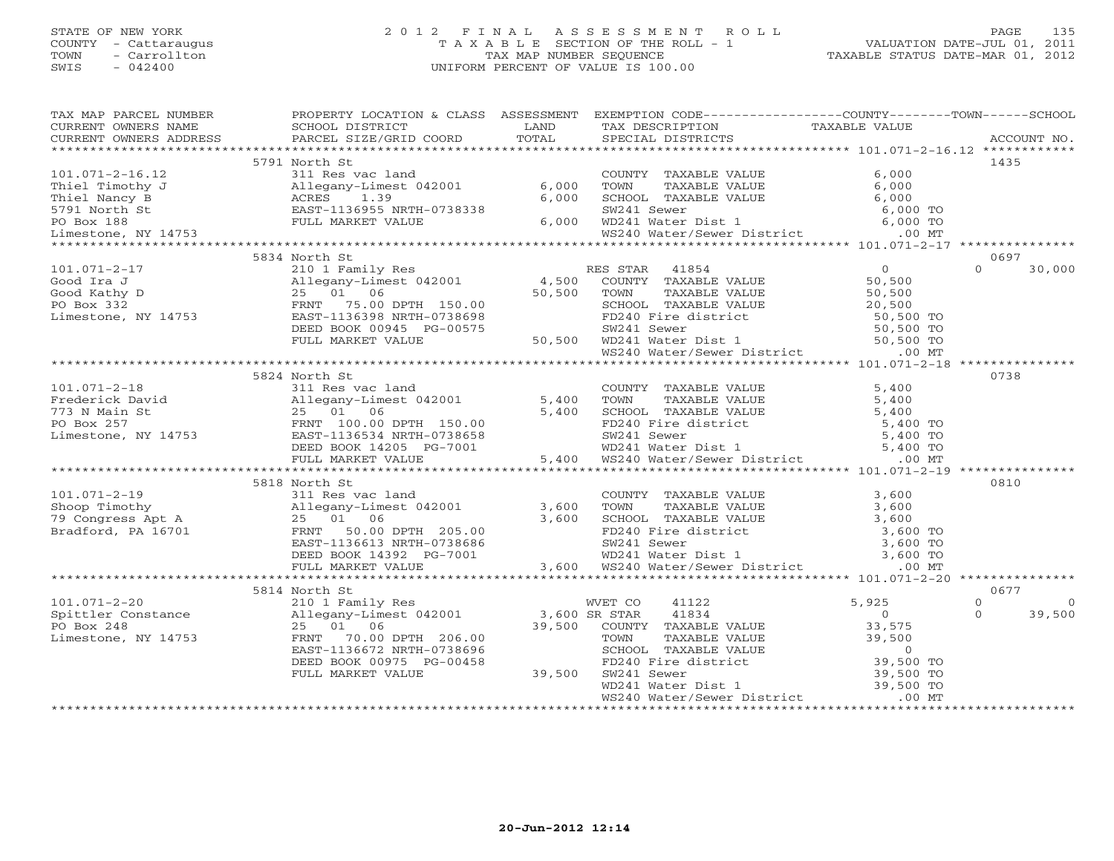#### STATE OF NEW YORK 2 0 1 2 F I N A L A S S E S S M E N T R O L L PAGE 135 COUNTY - Cattaraugus T A X A B L E SECTION OF THE ROLL - 1 VALUATION DATE-JUL 01, 2011 TOWN - Carrollton TAX MAP NUMBER SEQUENCE TAXABLE STATUS DATE-MAR 01, 2012<br>TAXABLE STATUS DATE-MAR 01, 2012 SWIS - 042400 UNIFORM PERCENT OF VALUE IS 100.00

| TAX MAP PARCEL NUMBER | PROPERTY LOCATION & CLASS ASSESSMENT EXEMPTION CODE----------------COUNTY-------TOWN------SCHOOL                                                                                                                                                                                                                                                                                                                                                                                                                       |        |                                                                                                                                    |                |                      |
|-----------------------|------------------------------------------------------------------------------------------------------------------------------------------------------------------------------------------------------------------------------------------------------------------------------------------------------------------------------------------------------------------------------------------------------------------------------------------------------------------------------------------------------------------------|--------|------------------------------------------------------------------------------------------------------------------------------------|----------------|----------------------|
| CURRENT OWNERS NAME   | SCHOOL DISTRICT                                                                                                                                                                                                                                                                                                                                                                                                                                                                                                        | LAND   | TAX DESCRIPTION                                                                                                                    | TAXABLE VALUE  |                      |
|                       | $\begin{minipage}{.45\textwidth} \begin{minipage}{.45\textwidth} \begin{minipage}{.45\textwidth} \begin{minipage}{.45\textwidth} \begin{minipage}{.45\textwidth} \begin{minipage}{.45\textwidth} \begin{minipage}{.45\textwidth} \begin{minipage}{.45\textwidth} \begin{minipage}{.45\textwidth} \begin{minipage}{.45\textwidth} \begin{minipage}{.45\textwidth} \begin{minipage}{.45\textwidth} \begin{minipage}{.45\textwidth} \begin{minipage}{.45\textwidth} \begin{minipage}{.45\textwidth} \begin{minipage}{.45$ |        |                                                                                                                                    |                |                      |
|                       | 5791 North St                                                                                                                                                                                                                                                                                                                                                                                                                                                                                                          |        |                                                                                                                                    |                | 1435                 |
|                       | 101.071-2-16.12<br>Thiel Timothy J<br>Thiel Nancy B<br>5791 North St<br>PO Box 188<br>Thiel Nancy B<br>FULL MARKET VALUE<br>THE MARKET VALUE<br>THE MARKET VALUE<br>THE MARKET VALUE<br>THE MARKET VALUE<br>THE MARKET VALUE<br>THE MARKET VALUE                                                                                                                                                                                                                                                                       |        | COUNTY TAXABLE VALUE                                                                                                               | 6,000          |                      |
|                       | 311 Res vac land<br>Allegany-Limest 042001 6,000                                                                                                                                                                                                                                                                                                                                                                                                                                                                       |        | TOWN<br>TAXABLE VALUE                                                                                                              | 6,000          |                      |
|                       |                                                                                                                                                                                                                                                                                                                                                                                                                                                                                                                        | 6,000  | SCHOOL TAXABLE VALUE                                                                                                               | 6,000          |                      |
|                       |                                                                                                                                                                                                                                                                                                                                                                                                                                                                                                                        |        | SW241 Sewer                                                                                                                        | 6,000 TO       |                      |
|                       |                                                                                                                                                                                                                                                                                                                                                                                                                                                                                                                        | 6,000  |                                                                                                                                    |                |                      |
|                       |                                                                                                                                                                                                                                                                                                                                                                                                                                                                                                                        |        | WD241 Water Dist 1 (0,000 TO<br>WD241 Water Dist 1 (6,000 TO<br>WS240 Water/Sewer District .00 MT                                  |                |                      |
|                       |                                                                                                                                                                                                                                                                                                                                                                                                                                                                                                                        |        |                                                                                                                                    |                |                      |
|                       | 5834 North St                                                                                                                                                                                                                                                                                                                                                                                                                                                                                                          |        |                                                                                                                                    |                | 0697                 |
| $101.071 - 2 - 17$    | 210 1 Family Res                                                                                                                                                                                                                                                                                                                                                                                                                                                                                                       |        | RES STAR<br>41854                                                                                                                  | $\overline{O}$ | $\cap$<br>30,000     |
|                       | Allegany-Limest 042001 4,500                                                                                                                                                                                                                                                                                                                                                                                                                                                                                           |        | COUNTY TAXABLE VALUE                                                                                                               | 50,500         |                      |
|                       |                                                                                                                                                                                                                                                                                                                                                                                                                                                                                                                        | 50,500 | TAXABLE VALUE<br>TOWN                                                                                                              | 50,500         |                      |
|                       |                                                                                                                                                                                                                                                                                                                                                                                                                                                                                                                        |        | SCHOOL TAXABLE VALUE                                                                                                               | 20,500         |                      |
|                       | COM CORRECT 2 210 1 Family Res<br>Good Ira J<br>Good Kathy D<br>PO Box 332<br>Limestone, NY 14753<br>EAST-1136398 NRTH-0738698                                                                                                                                                                                                                                                                                                                                                                                         |        | FD240 Fire district 50,500 TO<br>SW241 Sewer 50,500 TO<br>50,500 WD241 Water Dist 1 50,500 TO<br>WS240 Water/Sewer District .00 MT |                |                      |
|                       | DEED BOOK 00945 PG-00575                                                                                                                                                                                                                                                                                                                                                                                                                                                                                               |        |                                                                                                                                    |                |                      |
|                       | FULL MARKET VALUE                                                                                                                                                                                                                                                                                                                                                                                                                                                                                                      |        |                                                                                                                                    |                |                      |
|                       |                                                                                                                                                                                                                                                                                                                                                                                                                                                                                                                        |        |                                                                                                                                    |                |                      |
|                       |                                                                                                                                                                                                                                                                                                                                                                                                                                                                                                                        |        |                                                                                                                                    |                |                      |
|                       | 5824 North St                                                                                                                                                                                                                                                                                                                                                                                                                                                                                                          |        |                                                                                                                                    |                | 0738                 |
|                       |                                                                                                                                                                                                                                                                                                                                                                                                                                                                                                                        |        | COUNTY TAXABLE VALUE 5,400                                                                                                         |                |                      |
|                       |                                                                                                                                                                                                                                                                                                                                                                                                                                                                                                                        |        |                                                                                                                                    | 5,400          |                      |
|                       |                                                                                                                                                                                                                                                                                                                                                                                                                                                                                                                        |        | TOWN       TAXABLE  VALUE<br>SCHOOL    TAXABLE  VALUE                                                                              | 5,400          |                      |
|                       | 101.071-2-18<br>Frederick David Allegany-Limest 042001<br>773 N Main St 25 01 06 5,400<br>PO Box 257<br>Limestone, NY 14753 BEED BOOK 14205 PG-7001<br>FILM MARKET VALUE 5,400<br>5,400<br>FILM MARKET VALUE 5,400                                                                                                                                                                                                                                                                                                     |        | FD240 Fire district 5,400 TO<br>SW241 Sewer 5,400 TO<br>WD241 Water Dist 1 5,400 TO                                                |                |                      |
|                       |                                                                                                                                                                                                                                                                                                                                                                                                                                                                                                                        |        |                                                                                                                                    |                |                      |
|                       |                                                                                                                                                                                                                                                                                                                                                                                                                                                                                                                        |        |                                                                                                                                    | 5,400 TO       |                      |
|                       |                                                                                                                                                                                                                                                                                                                                                                                                                                                                                                                        |        | 5,400 WS240 Water/Sewer District .00 MT                                                                                            |                |                      |
|                       |                                                                                                                                                                                                                                                                                                                                                                                                                                                                                                                        |        |                                                                                                                                    |                |                      |
|                       | 5818 North St                                                                                                                                                                                                                                                                                                                                                                                                                                                                                                          |        |                                                                                                                                    |                | 0810                 |
| $101.071 - 2 - 19$    | 311 Res vac land                                                                                                                                                                                                                                                                                                                                                                                                                                                                                                       |        | COUNTY TAXABLE VALUE                                                                                                               | 3,600          |                      |
|                       |                                                                                                                                                                                                                                                                                                                                                                                                                                                                                                                        |        |                                                                                                                                    |                |                      |
|                       | 101.071-2-19 311 Res vac land<br>Shoop Timothy Allegany-Limest 042001 3,600<br>79 Congress Apt A 25 01 06 3,600<br>Bradford, PA 16701 FRNT 50.00 DPTH 205.00                                                                                                                                                                                                                                                                                                                                                           |        |                                                                                                                                    |                |                      |
|                       |                                                                                                                                                                                                                                                                                                                                                                                                                                                                                                                        |        |                                                                                                                                    |                |                      |
|                       |                                                                                                                                                                                                                                                                                                                                                                                                                                                                                                                        |        |                                                                                                                                    |                |                      |
|                       | 3.600<br>Allegany-Limest 042001<br>25 01 06 3.600<br>FRNT 50.00 DPTH 205.00 3.600<br>FRNT 50.00 DPTH 205.00 3.600<br>EAST-1136613 NRTH-0738686 5W241 Sewer<br>DEED BOOK 14392 PG-7001 3.600<br>FULL MARKET VALUE<br>FULL MARKET VALUE<br>FULL MA                                                                                                                                                                                                                                                                       |        |                                                                                                                                    |                |                      |
|                       |                                                                                                                                                                                                                                                                                                                                                                                                                                                                                                                        |        |                                                                                                                                    |                |                      |
|                       |                                                                                                                                                                                                                                                                                                                                                                                                                                                                                                                        |        |                                                                                                                                    |                |                      |
|                       | 5814 North St                                                                                                                                                                                                                                                                                                                                                                                                                                                                                                          |        |                                                                                                                                    |                | 0677                 |
| $101.071 - 2 - 20$    | 210 1 Family Res                                                                                                                                                                                                                                                                                                                                                                                                                                                                                                       |        | WVET CO<br>41122                                                                                                                   | 5,925          | $\Omega$<br>$\Omega$ |
|                       | $\text{Spittler}$ Constance $\text{Allegany-Limest } 042001$ $\text{3,600 SR STAR}$<br>PO Box 248                                                                                                                                                                                                                                                                                                                                                                                                                      |        | 41834                                                                                                                              | $\overline{0}$ | 39,500<br>$\Omega$   |
| PO Box 248            | 25 01 06                                                                                                                                                                                                                                                                                                                                                                                                                                                                                                               | 39,500 | COUNTY TAXABLE VALUE                                                                                                               | 33,575         |                      |
| Limestone, NY 14753   | FRNT 70.00 DPTH 206.00                                                                                                                                                                                                                                                                                                                                                                                                                                                                                                 |        |                                                                                                                                    |                |                      |
|                       | EAST-1136672 NRTH-0738696                                                                                                                                                                                                                                                                                                                                                                                                                                                                                              |        | TOWN TAXABLE VALUE<br>TOWN TAXABLE VALUE<br>SCHOOL TAXABLE VALUE<br>FD240 Fire district<br>SW241 Sewer 39,500 TO<br>39,500 TO      |                |                      |
|                       | DEED BOOK 00975 PG-00458                                                                                                                                                                                                                                                                                                                                                                                                                                                                                               |        |                                                                                                                                    |                |                      |
|                       | FULL MARKET VALUE                                                                                                                                                                                                                                                                                                                                                                                                                                                                                                      | 39,500 |                                                                                                                                    |                |                      |
|                       |                                                                                                                                                                                                                                                                                                                                                                                                                                                                                                                        |        | SW241 Sewer<br>WD241 Water Dist 1                                                                                                  | 39,500 TO      |                      |
|                       |                                                                                                                                                                                                                                                                                                                                                                                                                                                                                                                        |        | WS240 Water/Sewer District                                                                                                         | $.00$ MT       |                      |
|                       |                                                                                                                                                                                                                                                                                                                                                                                                                                                                                                                        |        |                                                                                                                                    |                |                      |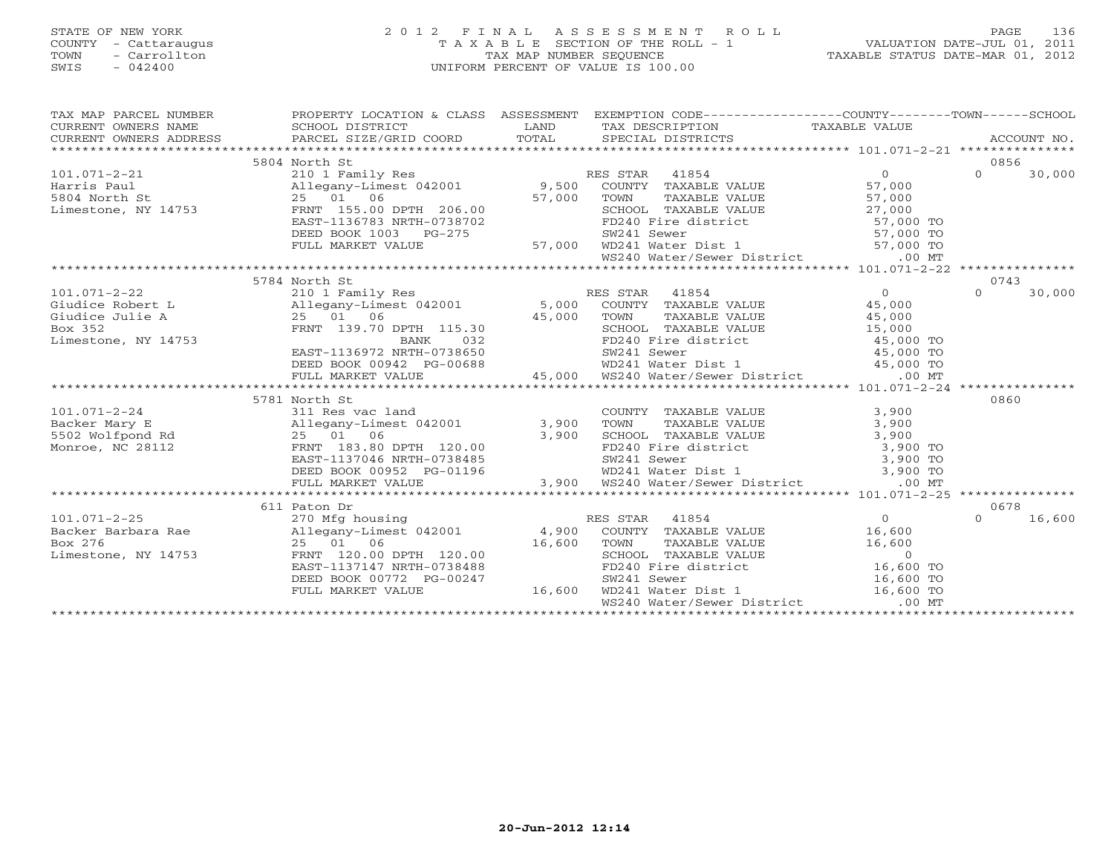# STATE OF NEW YORK 2 0 1 2 F I N A L A S S E S S M E N T R O L L PAGE 136 COUNTY - Cattaraugus T A X A B L E SECTION OF THE ROLL - 1 VALUATION DATE-JUL 01, 2011 TOWN - Carrollton TAX MAP NUMBER SEQUENCE TAXABLE STATUS DATE-MAR 01, 2012 SWIS - 042400 UNIFORM PERCENT OF VALUE IS 100.00UNIFORM PERCENT OF VALUE IS 100.00

| $\begin{tabular}{lllllllll} \textsc{rank} & \textsc{rank} & \textsc{rank} & \textsc{rank} & \textsc{rank} & \textsc{rank} & \textsc{rank} & \textsc{rank} & \textsc{rank} & \textsc{rank} & \textsc{rank} & \textsc{rank} & \textsc{rank} & \textsc{rank} & \textsc{rank} & \textsc{rank} & \textsc{rank} & \textsc{rank} & \textsc{rank} & \textsc{rank} & \textsc{rank} & \textsc{rank} & \textsc{rank} & \textsc{rank} & \textsc{rank} & \textsc{rank} & \textsc{rank} & \textsc{rank} & \textsc{rank} & \textsc{rank$ |                          |                    |                                                                                            |                |                    |
|---------------------------------------------------------------------------------------------------------------------------------------------------------------------------------------------------------------------------------------------------------------------------------------------------------------------------------------------------------------------------------------------------------------------------------------------------------------------------------------------------------------------------|--------------------------|--------------------|--------------------------------------------------------------------------------------------|----------------|--------------------|
|                                                                                                                                                                                                                                                                                                                                                                                                                                                                                                                           |                          |                    |                                                                                            |                |                    |
|                                                                                                                                                                                                                                                                                                                                                                                                                                                                                                                           | 5804 North St            |                    |                                                                                            |                | 0856               |
| 3804 North St<br>Harris Paul<br>210 1 Family Res<br>25 01 06<br>25 01 06<br>25 01 06<br>27,000 TOWN TAXABLE VALUE<br>27,000 TOWN TAXABLE VALUE<br>27,000<br>27,000 SCHOOL TAXABLE VALUE<br>27,000<br>27,000 TOWN TAXABLE VALUE<br>27,000<br>27,000 TOWN                                                                                                                                                                                                                                                                   |                          |                    |                                                                                            |                | $\Omega$<br>30,000 |
|                                                                                                                                                                                                                                                                                                                                                                                                                                                                                                                           |                          |                    |                                                                                            |                |                    |
|                                                                                                                                                                                                                                                                                                                                                                                                                                                                                                                           |                          |                    |                                                                                            |                |                    |
|                                                                                                                                                                                                                                                                                                                                                                                                                                                                                                                           |                          |                    |                                                                                            |                |                    |
|                                                                                                                                                                                                                                                                                                                                                                                                                                                                                                                           |                          |                    |                                                                                            |                |                    |
|                                                                                                                                                                                                                                                                                                                                                                                                                                                                                                                           |                          |                    |                                                                                            |                |                    |
|                                                                                                                                                                                                                                                                                                                                                                                                                                                                                                                           |                          |                    |                                                                                            |                |                    |
|                                                                                                                                                                                                                                                                                                                                                                                                                                                                                                                           |                          |                    |                                                                                            |                |                    |
|                                                                                                                                                                                                                                                                                                                                                                                                                                                                                                                           |                          |                    |                                                                                            |                |                    |
| 101.071-2-22<br>3978 North St<br>310 Allegany-Limest 042001<br>311egany-Limest 042001<br>35 01 06<br>35 01 06<br>35 01 06<br>35 PRNT 139.70 DPTH 115.30<br>32<br>25 01 06<br>35,000 TOWN TAXABLE VALUE<br>36,000 TOWN TAXABLE VALUE<br>35,000 SCHOOL                                                                                                                                                                                                                                                                      | 5784 North St            |                    |                                                                                            |                | 0743               |
|                                                                                                                                                                                                                                                                                                                                                                                                                                                                                                                           |                          |                    |                                                                                            |                | $\Omega$<br>30,000 |
|                                                                                                                                                                                                                                                                                                                                                                                                                                                                                                                           |                          |                    |                                                                                            |                |                    |
|                                                                                                                                                                                                                                                                                                                                                                                                                                                                                                                           |                          |                    |                                                                                            |                |                    |
|                                                                                                                                                                                                                                                                                                                                                                                                                                                                                                                           |                          |                    |                                                                                            |                |                    |
|                                                                                                                                                                                                                                                                                                                                                                                                                                                                                                                           |                          |                    |                                                                                            |                |                    |
|                                                                                                                                                                                                                                                                                                                                                                                                                                                                                                                           |                          |                    |                                                                                            |                |                    |
|                                                                                                                                                                                                                                                                                                                                                                                                                                                                                                                           |                          |                    |                                                                                            |                |                    |
|                                                                                                                                                                                                                                                                                                                                                                                                                                                                                                                           |                          |                    |                                                                                            |                |                    |
|                                                                                                                                                                                                                                                                                                                                                                                                                                                                                                                           | 5781 North St            |                    |                                                                                            |                | 0860               |
|                                                                                                                                                                                                                                                                                                                                                                                                                                                                                                                           |                          |                    |                                                                                            |                |                    |
|                                                                                                                                                                                                                                                                                                                                                                                                                                                                                                                           |                          |                    |                                                                                            |                |                    |
|                                                                                                                                                                                                                                                                                                                                                                                                                                                                                                                           |                          |                    |                                                                                            |                |                    |
|                                                                                                                                                                                                                                                                                                                                                                                                                                                                                                                           |                          |                    |                                                                                            |                |                    |
|                                                                                                                                                                                                                                                                                                                                                                                                                                                                                                                           |                          |                    |                                                                                            |                |                    |
|                                                                                                                                                                                                                                                                                                                                                                                                                                                                                                                           |                          |                    |                                                                                            |                |                    |
|                                                                                                                                                                                                                                                                                                                                                                                                                                                                                                                           |                          |                    |                                                                                            |                |                    |
|                                                                                                                                                                                                                                                                                                                                                                                                                                                                                                                           |                          |                    |                                                                                            |                |                    |
|                                                                                                                                                                                                                                                                                                                                                                                                                                                                                                                           | 611 Paton Dr             |                    |                                                                                            |                | 0678               |
| $101.071 - 2 - 25$                                                                                                                                                                                                                                                                                                                                                                                                                                                                                                        | 270 Mfg housing          |                    | RES STAR 41854                                                                             | $\overline{0}$ | 16,600<br>$\Omega$ |
|                                                                                                                                                                                                                                                                                                                                                                                                                                                                                                                           |                          |                    |                                                                                            |                |                    |
|                                                                                                                                                                                                                                                                                                                                                                                                                                                                                                                           |                          |                    |                                                                                            |                |                    |
|                                                                                                                                                                                                                                                                                                                                                                                                                                                                                                                           |                          |                    |                                                                                            |                |                    |
|                                                                                                                                                                                                                                                                                                                                                                                                                                                                                                                           |                          |                    |                                                                                            |                |                    |
|                                                                                                                                                                                                                                                                                                                                                                                                                                                                                                                           | DEED BOOK 00772 PG-00247 |                    |                                                                                            |                |                    |
|                                                                                                                                                                                                                                                                                                                                                                                                                                                                                                                           | FULL MARKET VALUE        | $3-00247$ $16,600$ | SW241 Sewer 16,600 TO<br>WD241 Water Dist 1 16,600 TO<br>WS240 Water/Sewer District .00 MT |                |                    |
|                                                                                                                                                                                                                                                                                                                                                                                                                                                                                                                           |                          |                    |                                                                                            |                |                    |
|                                                                                                                                                                                                                                                                                                                                                                                                                                                                                                                           |                          |                    |                                                                                            |                |                    |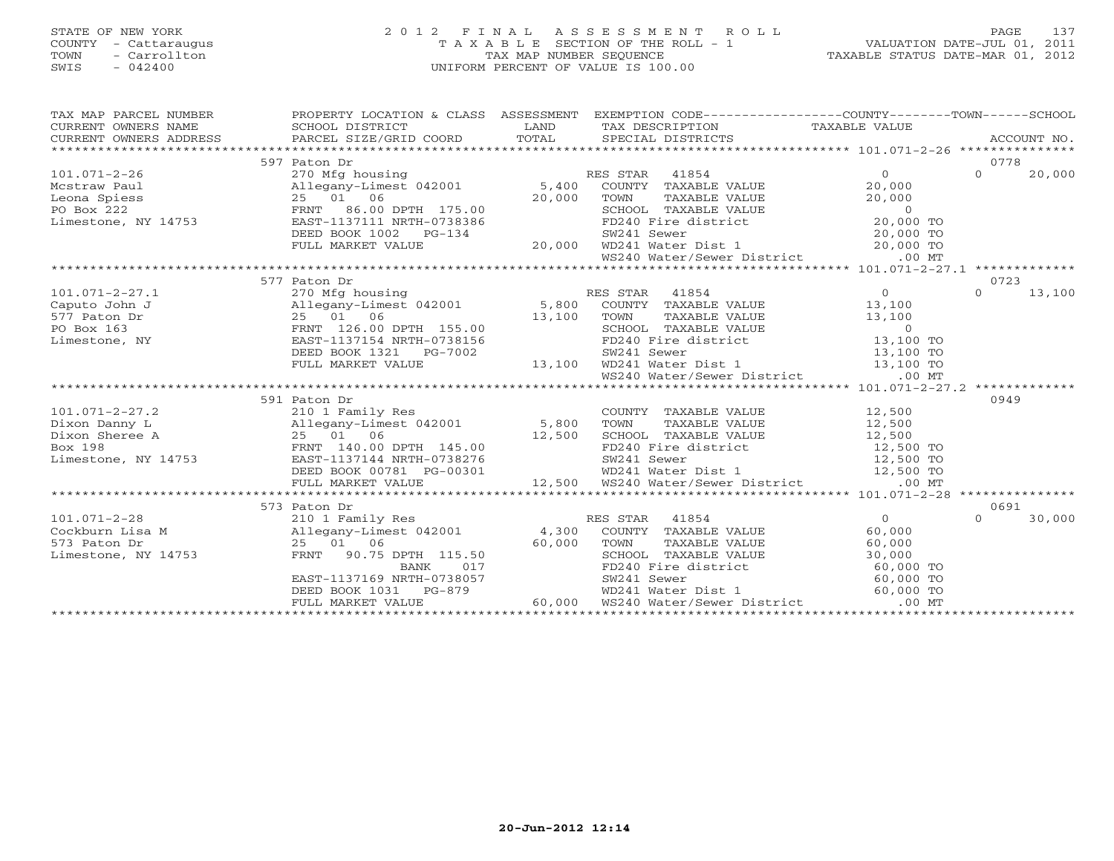# STATE OF NEW YORK 2 0 1 2 F I N A L A S S E S S M E N T R O L L PAGE 137 COUNTY - Cattaraugus T A X A B L E SECTION OF THE ROLL - 1 VALUATION DATE-JUL 01, 2011 TOWN - Carrollton TAX MAP NUMBER SEQUENCE TAXABLE STATUS DATE-MAR 01, 2012 SWIS - 042400 UNIFORM PERCENT OF VALUE IS 100.00UNIFORM PERCENT OF VALUE IS 100.00

| $\begin{tabular}{lllllllllll} \textsc{rank} & & & & & & & \textsc{PROPERTY LOCATION & & & & & \textsc{SSESSMENT} & & & \textsc{EXEMPTION COD} & & & & \textsc{COMPTY-------COUNTY------COWN------SCHOOL} \\ \textsc{CURRENT OWNERS NAME} & & & & & & & \textsc{SCHOOL DISTRICT} & & & & \textsc{LAND} & & \textsc{TSCRIPTION} & & & \textsc{TAXABLE VALUE} & & & \textsc{ACCOUNT NO} \\ & & & & & & & \textsc{CURRENT OWNERS} & & & & \textsc{PARGEL SIZE/GRID COORD} & & & \textsc$ |              |  |                    |
|--------------------------------------------------------------------------------------------------------------------------------------------------------------------------------------------------------------------------------------------------------------------------------------------------------------------------------------------------------------------------------------------------------------------------------------------------------------------------------------|--------------|--|--------------------|
|                                                                                                                                                                                                                                                                                                                                                                                                                                                                                      | 597 Paton Dr |  | 0778               |
| 101.071-2-26 $\begin{array}{l l} \text{Mestraw Paul} & \text{397 }\text{Aton Dr} \\ \text{Mestraw Paul} & \text{20,000} \\ \text{Leonay} & \text{25} & \text{26} \\ \text{Leonay} & \text{270 Mg} \\ \text{Mean Spies} & \text{285} & \text{01} \\ \text{29. 000} & \text{FWT} & \text{86.00 DPTH} & \text{175.00} \\ \text{DESD BOK 1002} & \text{ERFMT} & \text{86.00 DPTH} & \text{175.00} \\ \text{DES$                                                                          |              |  | $\Omega$<br>20,000 |
|                                                                                                                                                                                                                                                                                                                                                                                                                                                                                      |              |  |                    |
|                                                                                                                                                                                                                                                                                                                                                                                                                                                                                      |              |  |                    |
|                                                                                                                                                                                                                                                                                                                                                                                                                                                                                      |              |  |                    |
|                                                                                                                                                                                                                                                                                                                                                                                                                                                                                      |              |  |                    |
|                                                                                                                                                                                                                                                                                                                                                                                                                                                                                      |              |  |                    |
|                                                                                                                                                                                                                                                                                                                                                                                                                                                                                      |              |  |                    |
|                                                                                                                                                                                                                                                                                                                                                                                                                                                                                      |              |  |                    |
|                                                                                                                                                                                                                                                                                                                                                                                                                                                                                      |              |  |                    |
|                                                                                                                                                                                                                                                                                                                                                                                                                                                                                      | 577 Paton Dr |  | 0723               |
| $101.071 - 2 - 27.1$                                                                                                                                                                                                                                                                                                                                                                                                                                                                 |              |  | $\Omega$<br>13,100 |
| Caputo John J                                                                                                                                                                                                                                                                                                                                                                                                                                                                        |              |  |                    |
| 577 Paton Dr                                                                                                                                                                                                                                                                                                                                                                                                                                                                         |              |  |                    |
| PO Box 163                                                                                                                                                                                                                                                                                                                                                                                                                                                                           |              |  |                    |
| Limestone, NY                                                                                                                                                                                                                                                                                                                                                                                                                                                                        |              |  |                    |
|                                                                                                                                                                                                                                                                                                                                                                                                                                                                                      |              |  |                    |
|                                                                                                                                                                                                                                                                                                                                                                                                                                                                                      |              |  |                    |
|                                                                                                                                                                                                                                                                                                                                                                                                                                                                                      |              |  |                    |
|                                                                                                                                                                                                                                                                                                                                                                                                                                                                                      |              |  |                    |
|                                                                                                                                                                                                                                                                                                                                                                                                                                                                                      | 591 Paton Dr |  | 0949               |
|                                                                                                                                                                                                                                                                                                                                                                                                                                                                                      |              |  |                    |
|                                                                                                                                                                                                                                                                                                                                                                                                                                                                                      |              |  |                    |
|                                                                                                                                                                                                                                                                                                                                                                                                                                                                                      |              |  |                    |
|                                                                                                                                                                                                                                                                                                                                                                                                                                                                                      |              |  |                    |
|                                                                                                                                                                                                                                                                                                                                                                                                                                                                                      |              |  |                    |
|                                                                                                                                                                                                                                                                                                                                                                                                                                                                                      |              |  |                    |
|                                                                                                                                                                                                                                                                                                                                                                                                                                                                                      |              |  |                    |
|                                                                                                                                                                                                                                                                                                                                                                                                                                                                                      | 573 Paton Dr |  | 0691               |
|                                                                                                                                                                                                                                                                                                                                                                                                                                                                                      |              |  | 30,000             |
|                                                                                                                                                                                                                                                                                                                                                                                                                                                                                      |              |  |                    |
|                                                                                                                                                                                                                                                                                                                                                                                                                                                                                      |              |  |                    |
|                                                                                                                                                                                                                                                                                                                                                                                                                                                                                      |              |  |                    |
|                                                                                                                                                                                                                                                                                                                                                                                                                                                                                      |              |  |                    |
|                                                                                                                                                                                                                                                                                                                                                                                                                                                                                      |              |  |                    |
|                                                                                                                                                                                                                                                                                                                                                                                                                                                                                      |              |  |                    |
|                                                                                                                                                                                                                                                                                                                                                                                                                                                                                      |              |  |                    |
|                                                                                                                                                                                                                                                                                                                                                                                                                                                                                      |              |  |                    |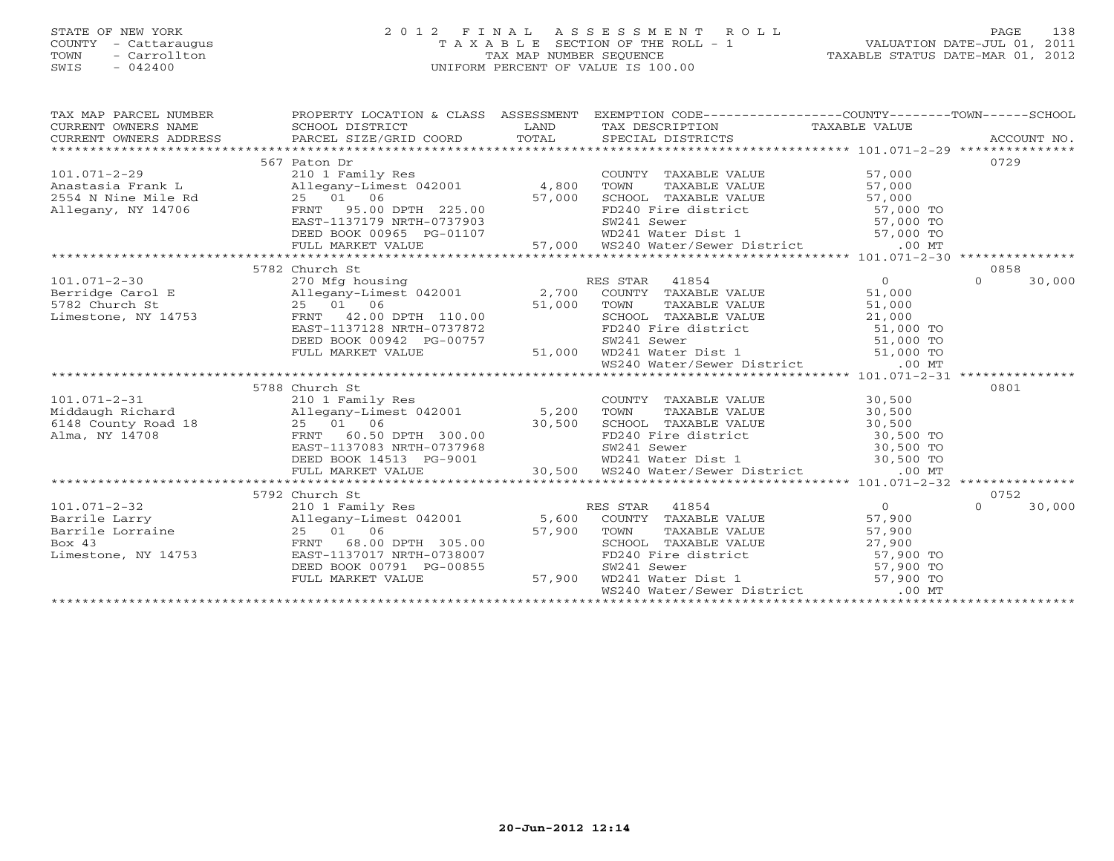# STATE OF NEW YORK 2 0 1 2 F I N A L A S S E S S M E N T R O L L PAGE 138 COUNTY - Cattaraugus T A X A B L E SECTION OF THE ROLL - 1 VALUATION DATE-JUL 01, 2011 TOWN - Carrollton TAX MAP NUMBER SEQUENCE TAXABLE STATUS DATE-MAR 01, 2012 SWIS - 042400 UNIFORM PERCENT OF VALUE IS 100.00UNIFORM PERCENT OF VALUE IS 100.00

| TAX MAP PARCEL NUMBER<br>CURRENT OWNERS NAME<br>CURRENT OWNERS ADDRESS | PROPERTY LOCATION & CLASS ASSESSMENT<br>SCHOOL DISTRICT<br>PARCEL SIZE/GRID COORD                                          | LAND<br>TOTAL | EXEMPTION CODE-----------------COUNTY-------TOWN------SCHOOL<br>TAX DESCRIPTION TAXABLE VALUE<br>SPECIAL DISTRICTS |                        | ACCOUNT NO.        |
|------------------------------------------------------------------------|----------------------------------------------------------------------------------------------------------------------------|---------------|--------------------------------------------------------------------------------------------------------------------|------------------------|--------------------|
|                                                                        | 567 Paton Dr                                                                                                               |               |                                                                                                                    |                        | 0729               |
| $101.071 - 2 - 29$                                                     | 210 1 Family Res                                                                                                           |               | COUNTY TAXABLE VALUE                                                                                               | 57,000                 |                    |
| Anastasia Frank L                                                      | Allegany-Limest 042001                                                                                                     | 4,800         |                                                                                                                    |                        |                    |
| 2554 N Nine Mile Rd                                                    | 25 01 06                                                                                                                   | 57,000        | TOWN TAXABLE VALUE 57,000<br>SCHOOL TAXABLE VALUE 57,000<br>FD240 Fire district 57,000 TO                          |                        |                    |
| Allegany, NY 14706                                                     | FRNT 95.00 DPTH 225.00                                                                                                     |               |                                                                                                                    |                        |                    |
|                                                                        |                                                                                                                            |               |                                                                                                                    |                        |                    |
|                                                                        |                                                                                                                            |               |                                                                                                                    |                        |                    |
|                                                                        |                                                                                                                            |               |                                                                                                                    |                        |                    |
|                                                                        |                                                                                                                            |               |                                                                                                                    |                        |                    |
|                                                                        | 5782 Church St                                                                                                             |               |                                                                                                                    |                        | 0858               |
| $101.071 - 2 - 30$                                                     | 270 Mfg housing<br>270 Mfg housing              RES STAR  41854<br>Allegany-Limest 042001      2,700  COUNTY TAXABLE VALUE |               | RES STAR 41854                                                                                                     | $\overline{0}$         | $\Omega$<br>30,000 |
| Berridge Carol E                                                       |                                                                                                                            |               |                                                                                                                    | 51,000                 |                    |
| 5782 Church St                                                         | 25 01 06                                                                                                                   | 51,000        | TAXABLE VALUE<br>TAXABLE VALUE<br>TAXABLE VALUE<br>TOWN                                                            | 51,000                 |                    |
| Limestone, NY 14753                                                    | FRNT 42.00 DPTH 110.00                                                                                                     |               | SCHOOL TAXABLE VALUE                                                                                               | 21,000                 |                    |
|                                                                        | EAST-1137128 NRTH-0737872                                                                                                  |               | FD240 Fire district 51,000 TO                                                                                      |                        |                    |
|                                                                        | DEED BOOK 00942 PG-00757                                                                                                   |               | SW241 Sewer 51,000 TO<br>WD241 Water Dist 1 51,000 TO                                                              |                        |                    |
|                                                                        | FULL MARKET VALUE                                                                                                          | 51,000        |                                                                                                                    |                        |                    |
|                                                                        |                                                                                                                            |               | WS240 Water/Sewer District .00 MT                                                                                  |                        |                    |
|                                                                        |                                                                                                                            |               |                                                                                                                    |                        |                    |
|                                                                        | 5788 Church St                                                                                                             |               |                                                                                                                    |                        | 0801               |
| $101.071 - 2 - 31$                                                     | 210 1 Family Res                                                                                                           |               | COUNTY TAXABLE VALUE<br>TAXABLE VALUE                                                                              | 30,500                 |                    |
| Middaugh Richard                                                       | Allegany-Limest 042001 5,200                                                                                               |               | TOWN                                                                                                               | 30,500                 |                    |
| 6148 County Road 18<br>Alma, NY 14708                                  | 25 01 06                                                                                                                   | 30,500        | SCHOOL TAXABLE VALUE                                                                                               | 30,500                 |                    |
|                                                                        | 60.50 DPTH 300.00<br>FRNT                                                                                                  |               | FD240 Fire district 30,500 TO                                                                                      |                        |                    |
|                                                                        | EAST-1137083 NRTH-0737968                                                                                                  |               | SW241 Sewer 30,500 TO<br>WD241 Water Dist 1 30,500 TO                                                              |                        |                    |
|                                                                        | DEED BOOK 14513 PG-9001<br>FULL MARKET VALUE                                                                               | 30,500        | WS240 Water/Sewer District                                                                                         | $.00$ MT               |                    |
|                                                                        |                                                                                                                            |               |                                                                                                                    |                        |                    |
|                                                                        | 5792 Church St                                                                                                             |               |                                                                                                                    |                        | 0752               |
| $101.071 - 2 - 32$                                                     | 210 1 Family Res                                                                                                           |               | RES STAR 41854                                                                                                     | $\Omega$               | $\Omega$<br>30,000 |
| Barrile Larry                                                          | Allegany-Limest 042001 5,600                                                                                               |               | COUNTY TAXABLE VALUE                                                                                               | 57,900                 |                    |
| Barrile Lorraine                                                       | 25 01 06                                                                                                                   | 57,900        | TOWN<br>TAXABLE VALUE                                                                                              | 57,900                 |                    |
| Box 43                                                                 | 68.00 DPTH 305.00<br>FRNT                                                                                                  |               | SCHOOL TAXABLE VALUE                                                                                               | 27,900                 |                    |
| Limestone, NY 14753                                                    | EAST-1137017 NRTH-0738007                                                                                                  |               | FD240 Fire district                                                                                                |                        |                    |
|                                                                        | DEED BOOK 00791 PG-00855                                                                                                   |               | SW241 Sewer                                                                                                        | 57,900 TO<br>57,900 TO |                    |
|                                                                        | FULL MARKET VALUE                                                                                                          | 57,900        | WD241 Water Dist 1                                                                                                 | 57,900 TO              |                    |
|                                                                        |                                                                                                                            |               | WS240 Water/Sewer District                                                                                         | $.00$ MT               |                    |
|                                                                        |                                                                                                                            |               |                                                                                                                    |                        |                    |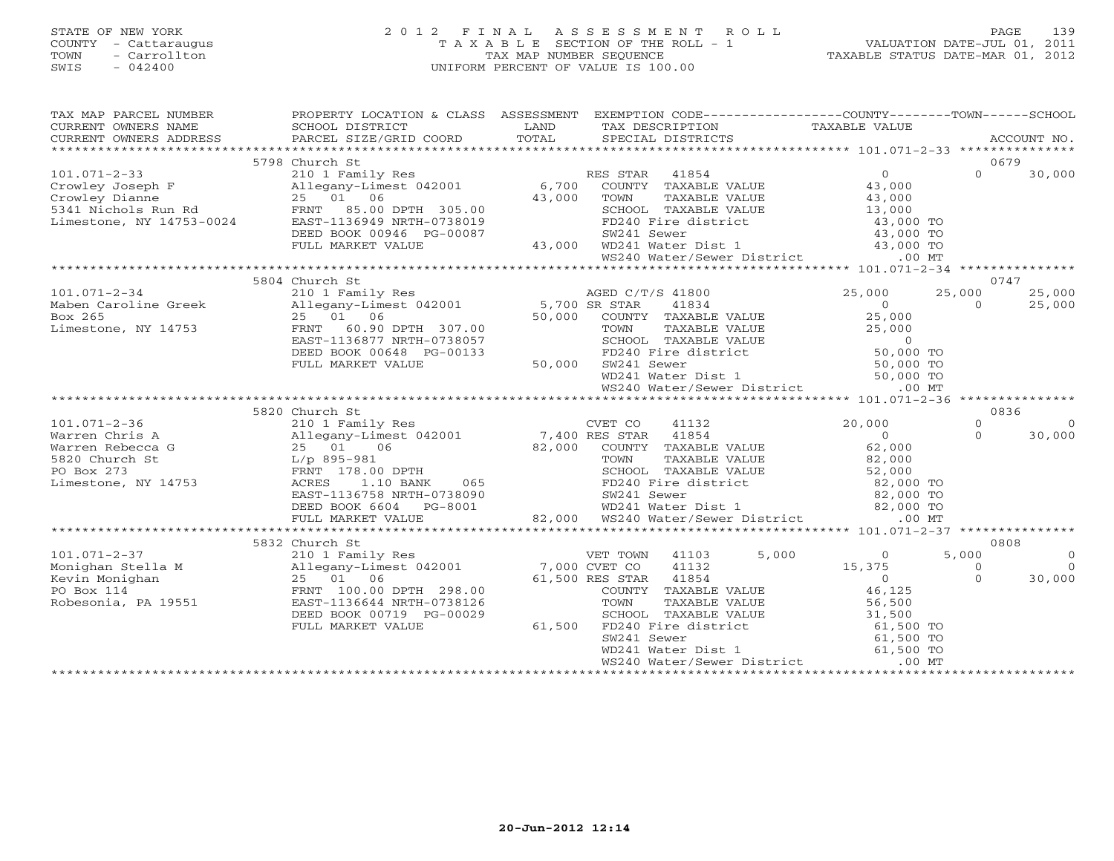# STATE OF NEW YORK 2 0 1 2 F I N A L A S S E S S M E N T R O L L PAGE 139 COUNTY - Cattaraugus T A X A B L E SECTION OF THE ROLL - 1 VALUATION DATE-JUL 01, 2011 TOWN - Carrollton TAX MAP NUMBER SEQUENCE TAXABLE STATUS DATE-MAR 01, 2012 SWIS - 042400 UNIFORM PERCENT OF VALUE IS 100.00UNIFORM PERCENT OF VALUE IS 100.00

| TAX MAP PARCEL NUMBER | PROPERTY LOCATION & CLASS ASSESSMENT EXEMPTION CODE----------------COUNTY-------TOWN------SCHOOL                                                                                                                                                                         |                                                                                                                                                                                           |        |                                            |
|-----------------------|--------------------------------------------------------------------------------------------------------------------------------------------------------------------------------------------------------------------------------------------------------------------------|-------------------------------------------------------------------------------------------------------------------------------------------------------------------------------------------|--------|--------------------------------------------|
|                       |                                                                                                                                                                                                                                                                          |                                                                                                                                                                                           |        |                                            |
|                       |                                                                                                                                                                                                                                                                          |                                                                                                                                                                                           |        |                                            |
|                       | 5798 Church St                                                                                                                                                                                                                                                           |                                                                                                                                                                                           |        | 0679                                       |
|                       |                                                                                                                                                                                                                                                                          |                                                                                                                                                                                           |        | $0 \t30,000$                               |
|                       |                                                                                                                                                                                                                                                                          |                                                                                                                                                                                           |        |                                            |
|                       |                                                                                                                                                                                                                                                                          |                                                                                                                                                                                           |        |                                            |
|                       |                                                                                                                                                                                                                                                                          |                                                                                                                                                                                           |        |                                            |
|                       |                                                                                                                                                                                                                                                                          |                                                                                                                                                                                           |        |                                            |
|                       |                                                                                                                                                                                                                                                                          |                                                                                                                                                                                           |        |                                            |
|                       |                                                                                                                                                                                                                                                                          |                                                                                                                                                                                           |        |                                            |
|                       |                                                                                                                                                                                                                                                                          |                                                                                                                                                                                           |        |                                            |
|                       | 5804 Church St                                                                                                                                                                                                                                                           |                                                                                                                                                                                           | 25,000 | 0747<br>25,000<br>25,000                   |
|                       |                                                                                                                                                                                                                                                                          |                                                                                                                                                                                           |        | 25,000<br>$\overline{0}$                   |
|                       | 101.071-2-34<br>Maben Caroline Greek<br>Maben Caroline Greek<br>25,000<br>Maben Caroline Greek<br>25,000<br>25,000<br>25,000<br>25,000<br>25,000<br>25,000<br>25,000<br>25,000<br>25,000<br>25,000<br>25,000<br>25,000<br>25,000<br>25,000<br>25,000<br>25,000<br>25,000 |                                                                                                                                                                                           |        |                                            |
|                       |                                                                                                                                                                                                                                                                          |                                                                                                                                                                                           |        |                                            |
|                       |                                                                                                                                                                                                                                                                          |                                                                                                                                                                                           |        |                                            |
|                       | DEED BOOK 00648 PG-00133 PD240 Fire d<br>FULL MARKET VALUE 50,000 SW241 Sewer                                                                                                                                                                                            |                                                                                                                                                                                           |        |                                            |
|                       |                                                                                                                                                                                                                                                                          | TOWN TAXABLE VALUE<br>TOWN TAXABLE VALUE<br>FD240 Fire district 50,000 TO<br>SW241 Sewer 50,000 TO<br>WD241 Water Dist 1 50,000 TO<br>TOWN TAXABLE VALUE<br>FD240 Fire district 50,000 TO |        |                                            |
|                       |                                                                                                                                                                                                                                                                          | WS240 Water/Sewer District .00 MT                                                                                                                                                         |        |                                            |
|                       |                                                                                                                                                                                                                                                                          |                                                                                                                                                                                           |        |                                            |
|                       | 5820 Church St                                                                                                                                                                                                                                                           |                                                                                                                                                                                           |        | 0836                                       |
|                       |                                                                                                                                                                                                                                                                          |                                                                                                                                                                                           |        | $\Omega$<br>$\overline{0}$                 |
|                       |                                                                                                                                                                                                                                                                          |                                                                                                                                                                                           |        | $\Omega$<br>30,000                         |
|                       |                                                                                                                                                                                                                                                                          |                                                                                                                                                                                           |        |                                            |
|                       |                                                                                                                                                                                                                                                                          |                                                                                                                                                                                           |        |                                            |
|                       |                                                                                                                                                                                                                                                                          |                                                                                                                                                                                           |        |                                            |
|                       |                                                                                                                                                                                                                                                                          |                                                                                                                                                                                           |        |                                            |
|                       |                                                                                                                                                                                                                                                                          |                                                                                                                                                                                           |        |                                            |
|                       |                                                                                                                                                                                                                                                                          |                                                                                                                                                                                           |        |                                            |
|                       |                                                                                                                                                                                                                                                                          |                                                                                                                                                                                           |        |                                            |
|                       | 3832 Church St<br>210 1 Family Res<br>Monighan Stella M<br>25 01 06 61,500 RES STAR 41854<br>PO Box 114 FRNT 100.00 DPTH 298.00 61,500 RES STAR 41854<br>Robesonia, PA 19551 EAST-1136644 NRTH-0738126 TOWN TAXABLE<br>PERD ROOK 00710 DO                                |                                                                                                                                                                                           |        | 0808                                       |
|                       |                                                                                                                                                                                                                                                                          | VET TOWN 41103                                                                                                                                                                            |        | 5,000<br>$\overline{0}$                    |
|                       |                                                                                                                                                                                                                                                                          | ET TOWN 41103 5,000 0 5,00<br>VET CO 41132 15,375<br>ES STAR 41854 0<br>COUNTY TAXABLE VALUE 46,125                                                                                       |        | $\Omega$<br>$\Omega$<br>30,000<br>$\Omega$ |
|                       |                                                                                                                                                                                                                                                                          |                                                                                                                                                                                           |        |                                            |
|                       |                                                                                                                                                                                                                                                                          |                                                                                                                                                                                           |        |                                            |
|                       |                                                                                                                                                                                                                                                                          |                                                                                                                                                                                           |        |                                            |
|                       | FULL MARKET VALUE                                                                                                                                                                                                                                                        |                                                                                                                                                                                           |        |                                            |
|                       |                                                                                                                                                                                                                                                                          |                                                                                                                                                                                           |        |                                            |
|                       |                                                                                                                                                                                                                                                                          |                                                                                                                                                                                           |        |                                            |
|                       |                                                                                                                                                                                                                                                                          |                                                                                                                                                                                           |        |                                            |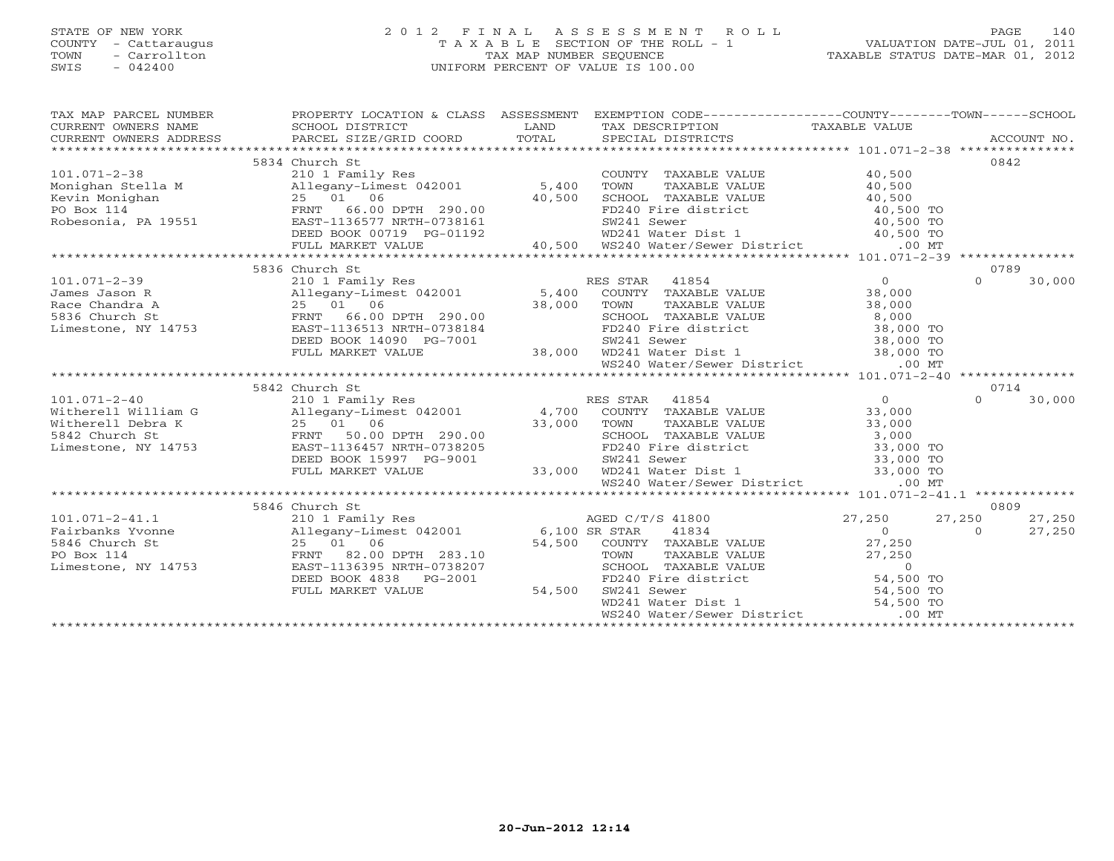# STATE OF NEW YORK 2 0 1 2 F I N A L A S S E S S M E N T R O L L PAGE 140 COUNTY - Cattaraugus T A X A B L E SECTION OF THE ROLL - 1 VALUATION DATE-JUL 01, 2011 TOWN - Carrollton TAX MAP NUMBER SEQUENCE TAXABLE STATUS DATE-MAR 01, 2012 SWIS - 042400 UNIFORM PERCENT OF VALUE IS 100.00UNIFORM PERCENT OF VALUE IS 100.00

| TAX MAP PARCEL NUMBER                                                                                                                                                                                                                                      | PROPERTY LOCATION & CLASS ASSESSMENT EXEMPTION CODE----------------COUNTY-------TOWN------SCHOOL<br>PROPERTY LOCATIC<br>SCHOOL DISTRICT |                                       |                    |
|------------------------------------------------------------------------------------------------------------------------------------------------------------------------------------------------------------------------------------------------------------|-----------------------------------------------------------------------------------------------------------------------------------------|---------------------------------------|--------------------|
| $\begin{array}{ccccccccc}\n\text{CURRENT} & \text{WNERS} & \text{NMEE} & \text{SCHDE} & \text{SCHOOL} & \text{DISTRICT} & \text{LAND} & \text{TAX} & \text{DESCRIPTION} & \text{TAXABLE VALUE} & \text{ACCOUNT NO.} \end{array}$                           |                                                                                                                                         |                                       |                    |
| CURRENT OWNERS ADDRESS                                                                                                                                                                                                                                     |                                                                                                                                         |                                       |                    |
|                                                                                                                                                                                                                                                            |                                                                                                                                         |                                       |                    |
|                                                                                                                                                                                                                                                            | 5834 Church St                                                                                                                          |                                       | 0842               |
|                                                                                                                                                                                                                                                            |                                                                                                                                         |                                       |                    |
|                                                                                                                                                                                                                                                            |                                                                                                                                         |                                       |                    |
|                                                                                                                                                                                                                                                            |                                                                                                                                         |                                       |                    |
|                                                                                                                                                                                                                                                            |                                                                                                                                         |                                       |                    |
|                                                                                                                                                                                                                                                            |                                                                                                                                         |                                       |                    |
|                                                                                                                                                                                                                                                            |                                                                                                                                         |                                       |                    |
|                                                                                                                                                                                                                                                            |                                                                                                                                         |                                       |                    |
|                                                                                                                                                                                                                                                            |                                                                                                                                         |                                       |                    |
|                                                                                                                                                                                                                                                            | 5836 Church St                                                                                                                          |                                       | 0789               |
| 101.071-2-39<br>101.071-2-39<br>101.071-2-39<br>101.071-2-39<br>101.071-2-39<br>2010 Innes Jason R<br>25 01 06<br>25 01 06<br>25 01 06<br>25 01 06<br>25 01 06<br>25 01 06<br>27 1136513 NRTH-0738184<br>27 1136513 NRTH-0738184<br>27 1136513 NRTH-073818 |                                                                                                                                         |                                       | 30,000<br>$\Omega$ |
|                                                                                                                                                                                                                                                            |                                                                                                                                         |                                       |                    |
|                                                                                                                                                                                                                                                            |                                                                                                                                         |                                       |                    |
|                                                                                                                                                                                                                                                            |                                                                                                                                         |                                       |                    |
|                                                                                                                                                                                                                                                            |                                                                                                                                         |                                       |                    |
|                                                                                                                                                                                                                                                            |                                                                                                                                         |                                       |                    |
|                                                                                                                                                                                                                                                            |                                                                                                                                         |                                       |                    |
|                                                                                                                                                                                                                                                            |                                                                                                                                         |                                       |                    |
| 336 Church St (1993) FRNT 66.00 DPTH 290.00<br>336 Church St (19753 EAST-1136513 NRTH-0738184 FRD240 Fire district 38,000 TO<br>28,000 TO SW241 Sewer 38,000 TO SW241 Sewer 38,000 TO SW241 Sewer 38,000 TO SW241 Sewer 38,000 TO                          |                                                                                                                                         |                                       |                    |
|                                                                                                                                                                                                                                                            | 5842 Church St                                                                                                                          |                                       | 0714               |
|                                                                                                                                                                                                                                                            |                                                                                                                                         |                                       | $\cap$<br>30,000   |
|                                                                                                                                                                                                                                                            |                                                                                                                                         |                                       |                    |
|                                                                                                                                                                                                                                                            |                                                                                                                                         |                                       |                    |
|                                                                                                                                                                                                                                                            |                                                                                                                                         |                                       |                    |
|                                                                                                                                                                                                                                                            |                                                                                                                                         |                                       |                    |
|                                                                                                                                                                                                                                                            |                                                                                                                                         |                                       |                    |
|                                                                                                                                                                                                                                                            |                                                                                                                                         |                                       |                    |
|                                                                                                                                                                                                                                                            |                                                                                                                                         |                                       |                    |
|                                                                                                                                                                                                                                                            |                                                                                                                                         |                                       |                    |
|                                                                                                                                                                                                                                                            | 5846 Church St                                                                                                                          | Church St<br>210 1 Family Res<br>27,2 | 0809               |
|                                                                                                                                                                                                                                                            |                                                                                                                                         |                                       | 27,250<br>27,250   |
|                                                                                                                                                                                                                                                            |                                                                                                                                         |                                       | $\Omega$<br>27,250 |
|                                                                                                                                                                                                                                                            |                                                                                                                                         |                                       |                    |
|                                                                                                                                                                                                                                                            |                                                                                                                                         |                                       |                    |
|                                                                                                                                                                                                                                                            |                                                                                                                                         |                                       |                    |
|                                                                                                                                                                                                                                                            |                                                                                                                                         |                                       |                    |
|                                                                                                                                                                                                                                                            |                                                                                                                                         |                                       |                    |
|                                                                                                                                                                                                                                                            |                                                                                                                                         |                                       |                    |
|                                                                                                                                                                                                                                                            |                                                                                                                                         |                                       |                    |
|                                                                                                                                                                                                                                                            |                                                                                                                                         |                                       |                    |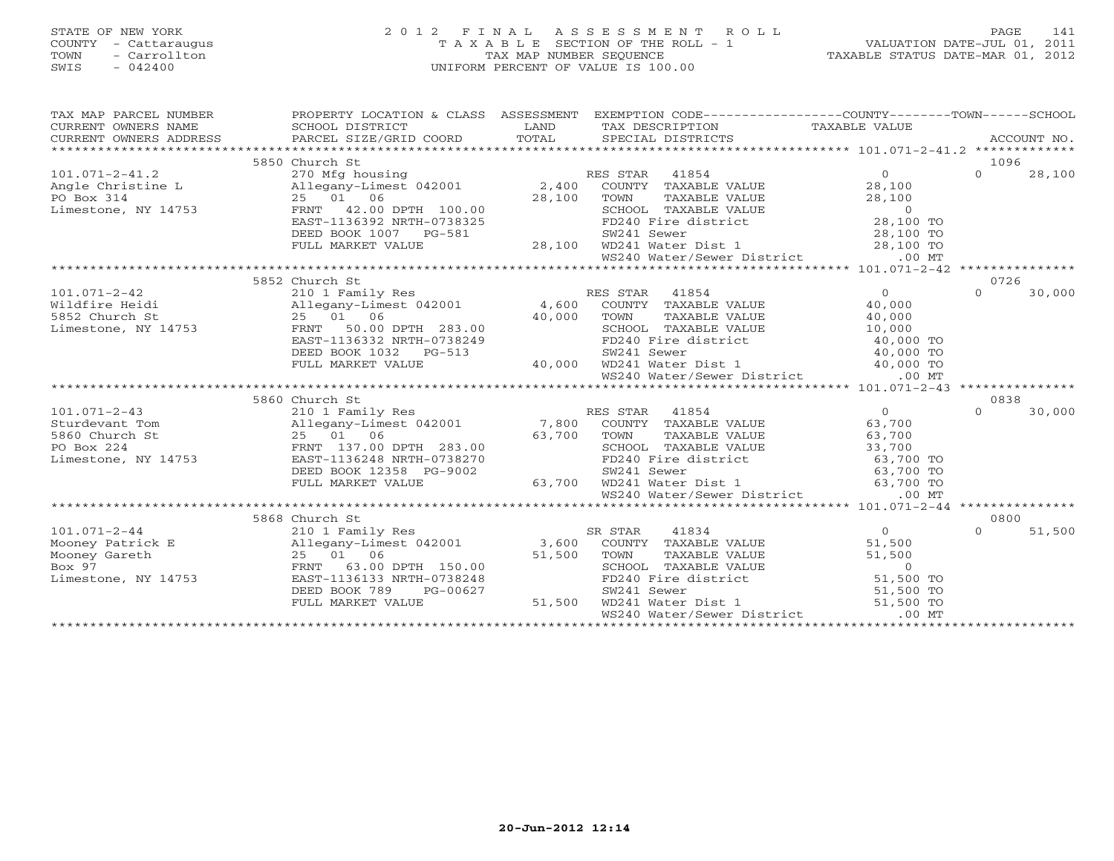# STATE OF NEW YORK 2 0 1 2 F I N A L A S S E S S M E N T R O L L PAGE 141 COUNTY - Cattaraugus T A X A B L E SECTION OF THE ROLL - 1 VALUATION DATE-JUL 01, 2011 TOWN - Carrollton TAX MAP NUMBER SEQUENCE TAXABLE STATUS DATE-MAR 01, 2012 SWIS - 042400 UNIFORM PERCENT OF VALUE IS 100.00UNIFORM PERCENT OF VALUE IS 100.00

| TAX MAP PARCEL NUMBER<br>$\begin{tabular}{lllllll} \multicolumn{2}{c}{\textbf{CURRENT}} & \multicolumn{2}{c}{\textbf{WWERS}} & \multicolumn{2}{c}{\textbf{NAME}} & \multicolumn{2}{c}{\textbf{SCHOOL}} & \multicolumn{2}{c}{\textbf{LAND}} & \multicolumn{2}{c}{\textbf{TAX} \textbf{DESCRIPTION}} & \multicolumn{2}{c}{\textbf{TAXABLE VALUE}} & \multicolumn{2}{c}{\textbf{NALUE}} \\ & & & & & & & \multicolumn{2}{c}{\textbf{CURRENT}} & \multicolumn{2}{c}{\textbf{NALUE}} & \multicolumn{2}{c}{\text$ | PROPERTY LOCATION & CLASS ASSESSMENT                                                                   |        | EXEMPTION CODE----------------COUNTY-------TOWN------SCHOOL                                                                                                                                                                  |                |          |        |
|-------------------------------------------------------------------------------------------------------------------------------------------------------------------------------------------------------------------------------------------------------------------------------------------------------------------------------------------------------------------------------------------------------------------------------------------------------------------------------------------------------------|--------------------------------------------------------------------------------------------------------|--------|------------------------------------------------------------------------------------------------------------------------------------------------------------------------------------------------------------------------------|----------------|----------|--------|
|                                                                                                                                                                                                                                                                                                                                                                                                                                                                                                             |                                                                                                        |        |                                                                                                                                                                                                                              |                |          |        |
|                                                                                                                                                                                                                                                                                                                                                                                                                                                                                                             |                                                                                                        |        |                                                                                                                                                                                                                              |                |          |        |
|                                                                                                                                                                                                                                                                                                                                                                                                                                                                                                             | 5850 Church St                                                                                         |        |                                                                                                                                                                                                                              |                | 1096     |        |
| 101.071-2-41.2<br>Angle Christine Land Coronary 2,400 EXAMPLE PO Box 314<br>2,400 COUNTY TAXABLE<br>PO Box 314<br>25 01 06<br>28,100 TOWN TAXABLE<br>28,100 TOWN TAXABLE<br>28,100 TOWN TAXABLE<br>28,100 TOWN TAXABLE<br>28,100 TOWN TAXABLE<br>2                                                                                                                                                                                                                                                          |                                                                                                        |        |                                                                                                                                                                                                                              | $\overline{0}$ | $\Omega$ | 28,100 |
|                                                                                                                                                                                                                                                                                                                                                                                                                                                                                                             |                                                                                                        |        | COUNTY TAXABLE VALUE                                                                                                                                                                                                         | 28,100         |          |        |
|                                                                                                                                                                                                                                                                                                                                                                                                                                                                                                             |                                                                                                        |        | TOWN TAXABLE VALUE 28,100<br>SCHOOL TAXABLE VALUE 0<br>FD240 Fire district 28,100 TO                                                                                                                                         |                |          |        |
|                                                                                                                                                                                                                                                                                                                                                                                                                                                                                                             |                                                                                                        |        |                                                                                                                                                                                                                              |                |          |        |
|                                                                                                                                                                                                                                                                                                                                                                                                                                                                                                             |                                                                                                        |        |                                                                                                                                                                                                                              |                |          |        |
|                                                                                                                                                                                                                                                                                                                                                                                                                                                                                                             | DEED BOOK 1007 PG-581                                                                                  |        | 3-581 SW241 Sewer 28,100 TO<br>28,100 WD241 Water Dist 1 28,100 TO<br>WS240 Water/Sewer District .00 MT                                                                                                                      |                |          |        |
|                                                                                                                                                                                                                                                                                                                                                                                                                                                                                                             | FULL MARKET VALUE                                                                                      |        |                                                                                                                                                                                                                              |                |          |        |
|                                                                                                                                                                                                                                                                                                                                                                                                                                                                                                             |                                                                                                        |        |                                                                                                                                                                                                                              |                |          |        |
| 1.1.0.1-2-42<br>Wildfire Heidi<br>S852 Church St<br>Limestone, NY 14753<br>TRNT 50.00 DPTH 283.00<br>TOWN TAXABLE VALUE<br>25 01 06<br>27 01 06<br>27 01 06<br>27 01 06<br>27 01 283.00<br>283.00                                                                                                                                                                                                                                                                                                           |                                                                                                        |        |                                                                                                                                                                                                                              |                |          |        |
|                                                                                                                                                                                                                                                                                                                                                                                                                                                                                                             |                                                                                                        |        |                                                                                                                                                                                                                              |                | 0726     |        |
|                                                                                                                                                                                                                                                                                                                                                                                                                                                                                                             |                                                                                                        |        |                                                                                                                                                                                                                              | $\overline{0}$ | $\Omega$ | 30,000 |
|                                                                                                                                                                                                                                                                                                                                                                                                                                                                                                             |                                                                                                        |        |                                                                                                                                                                                                                              | 40,000         |          |        |
|                                                                                                                                                                                                                                                                                                                                                                                                                                                                                                             | $25$ $01$ 06 $40,000$ TOWN<br>FRNT 50.00 DPTH 283.00 $40,000$ SCHOO<br>EAST-1136332 NRTH-0738249 FD240 |        |                                                                                                                                                                                                                              |                |          |        |
|                                                                                                                                                                                                                                                                                                                                                                                                                                                                                                             |                                                                                                        |        |                                                                                                                                                                                                                              |                |          |        |
|                                                                                                                                                                                                                                                                                                                                                                                                                                                                                                             | EAST-1136332 NRTH-0738249                                                                              |        |                                                                                                                                                                                                                              |                |          |        |
|                                                                                                                                                                                                                                                                                                                                                                                                                                                                                                             | DEED BOOK 1032 PG-513                                                                                  |        |                                                                                                                                                                                                                              |                |          |        |
|                                                                                                                                                                                                                                                                                                                                                                                                                                                                                                             | FULL MARKET VALUE                                                                                      |        |                                                                                                                                                                                                                              |                |          |        |
|                                                                                                                                                                                                                                                                                                                                                                                                                                                                                                             |                                                                                                        |        | 40,000 TOWN TAXABLE VALUE 40,000<br>283.00 SCHOOL TAXABLE VALUE 40,000<br>0738249 FD240 Fire district 40,000 TO<br>3-513 SW241 Sewer 40,000 TO<br>40,000 WD241 Water District 40,000 TO<br>WS240 Water/Sewer District .00 MT |                |          |        |
|                                                                                                                                                                                                                                                                                                                                                                                                                                                                                                             |                                                                                                        |        |                                                                                                                                                                                                                              |                |          |        |
|                                                                                                                                                                                                                                                                                                                                                                                                                                                                                                             | 5860 Church St                                                                                         |        |                                                                                                                                                                                                                              |                | 0838     |        |
| 101.071-2-43<br>Sturdevant Tom (1990)<br>210 1 Family Res (1990)<br>25 01 06 (53,700 TOWN TAXABLE VALUE<br>25 01 06 (53,700 TOWN TAXABLE VALUE<br>25 01 06 (53,700 TOWN TAXABLE VALUE<br>27.00 DPTH 283.00 (53,700 TOWN TAXABLE VALUE<br>27.                                                                                                                                                                                                                                                                |                                                                                                        |        |                                                                                                                                                                                                                              | $\overline{0}$ | $\cap$   | 30,000 |
|                                                                                                                                                                                                                                                                                                                                                                                                                                                                                                             |                                                                                                        |        |                                                                                                                                                                                                                              | 63,700         |          |        |
|                                                                                                                                                                                                                                                                                                                                                                                                                                                                                                             |                                                                                                        |        |                                                                                                                                                                                                                              | 63,700         |          |        |
|                                                                                                                                                                                                                                                                                                                                                                                                                                                                                                             |                                                                                                        |        |                                                                                                                                                                                                                              |                |          |        |
|                                                                                                                                                                                                                                                                                                                                                                                                                                                                                                             |                                                                                                        |        | SCHOOL TAXABLE VALUE 33,700<br>FD240 Fire district 63,700 TO<br>SW241 Sewer 63,700 TO                                                                                                                                        |                |          |        |
|                                                                                                                                                                                                                                                                                                                                                                                                                                                                                                             | DEED BOOK 12358 PG-9002                                                                                |        |                                                                                                                                                                                                                              |                |          |        |
|                                                                                                                                                                                                                                                                                                                                                                                                                                                                                                             | FULL MARKET VALUE                                                                                      |        | 63,700 WD241 Water Dist 1 63,700 TO                                                                                                                                                                                          |                |          |        |
|                                                                                                                                                                                                                                                                                                                                                                                                                                                                                                             |                                                                                                        |        | WS240 Water/Sewer District .00 MT                                                                                                                                                                                            |                |          |        |
|                                                                                                                                                                                                                                                                                                                                                                                                                                                                                                             |                                                                                                        |        |                                                                                                                                                                                                                              |                |          |        |
|                                                                                                                                                                                                                                                                                                                                                                                                                                                                                                             |                                                                                                        |        |                                                                                                                                                                                                                              |                | 0800     |        |
| $101.071 - 2 - 44$                                                                                                                                                                                                                                                                                                                                                                                                                                                                                          |                                                                                                        |        |                                                                                                                                                                                                                              | $\overline{0}$ | $\Omega$ | 51,500 |
| Mooney Patrick E                                                                                                                                                                                                                                                                                                                                                                                                                                                                                            |                                                                                                        |        |                                                                                                                                                                                                                              | 51,500         |          |        |
| Mooney Gareth                                                                                                                                                                                                                                                                                                                                                                                                                                                                                               |                                                                                                        |        |                                                                                                                                                                                                                              |                |          |        |
| Box 97                                                                                                                                                                                                                                                                                                                                                                                                                                                                                                      |                                                                                                        |        |                                                                                                                                                                                                                              |                |          |        |
| Limestone, NY 14753                                                                                                                                                                                                                                                                                                                                                                                                                                                                                         |                                                                                                        |        | TOWN TAXABLE VALUE<br>TOWN TAXABLE VALUE<br>SCHOOL TAXABLE VALUE<br>FD240 Fire district<br>FD240 Fire district<br>SM241 Sewer<br>WD241 Water Dist 1<br>51,500 TO<br>51,500 TO<br>51,500 TO                                   |                |          |        |
|                                                                                                                                                                                                                                                                                                                                                                                                                                                                                                             | 00627<br>DEED BOOK 789<br>PG-00627                                                                     |        |                                                                                                                                                                                                                              |                |          |        |
|                                                                                                                                                                                                                                                                                                                                                                                                                                                                                                             | FULL MARKET VALUE                                                                                      | 51,500 |                                                                                                                                                                                                                              |                |          |        |
|                                                                                                                                                                                                                                                                                                                                                                                                                                                                                                             |                                                                                                        |        | WS240 Water/Sewer District                                                                                                                                                                                                   | $.00$ MT       |          |        |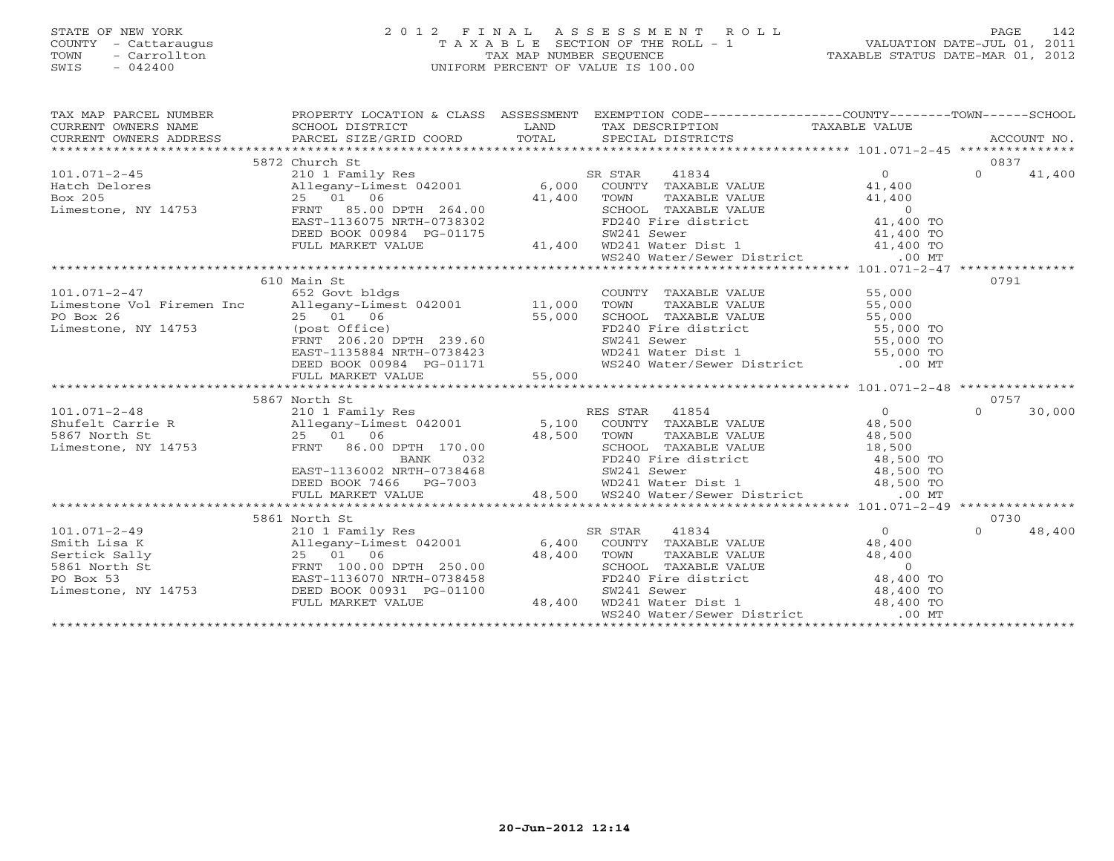# STATE OF NEW YORK 2 0 1 2 F I N A L A S S E S S M E N T R O L L PAGE 142 COUNTY - Cattaraugus T A X A B L E SECTION OF THE ROLL - 1 VALUATION DATE-JUL 01, 2011 TOWN - Carrollton TAX MAP NUMBER SEQUENCE TAXABLE STATUS DATE-MAR 01, 2012 SWIS - 042400 UNIFORM PERCENT OF VALUE IS 100.00

| TAXABLE STATUS DATE-MAR 01, 2012 |  |  |  |  |  |
|----------------------------------|--|--|--|--|--|
|----------------------------------|--|--|--|--|--|

| TAX MAP PARCEL NUMBER | PROPERTY LOCATION & CLASS ASSESSMENT EXEMPTION CODE----------------COUNTY-------TOWN------SCHOOL                                                                                                                                                                 |                    |                                                                                                                                                                                                                                                            |          |        |
|-----------------------|------------------------------------------------------------------------------------------------------------------------------------------------------------------------------------------------------------------------------------------------------------------|--------------------|------------------------------------------------------------------------------------------------------------------------------------------------------------------------------------------------------------------------------------------------------------|----------|--------|
|                       |                                                                                                                                                                                                                                                                  |                    |                                                                                                                                                                                                                                                            |          |        |
|                       |                                                                                                                                                                                                                                                                  |                    |                                                                                                                                                                                                                                                            |          |        |
|                       |                                                                                                                                                                                                                                                                  |                    |                                                                                                                                                                                                                                                            |          |        |
|                       | 5872 Church St                                                                                                                                                                                                                                                   |                    |                                                                                                                                                                                                                                                            | 0837     |        |
|                       |                                                                                                                                                                                                                                                                  |                    | $\begin{tabular}{lllllll} \texttt{R} & \texttt{STAR} & \texttt{41834} & & & & & 0 \\ \texttt{COUNTY} & \texttt{TAXABLE VALUE} & & & & 41,400 \\ \end{tabular}$<br>SR STAR                                                                                  | $\Omega$ | 41,400 |
|                       |                                                                                                                                                                                                                                                                  |                    |                                                                                                                                                                                                                                                            |          |        |
|                       |                                                                                                                                                                                                                                                                  |                    |                                                                                                                                                                                                                                                            |          |        |
|                       | 101.071-2-45<br>Hatch Delores<br>Box 205<br>Expanding the contract of the Milegany-Limest 042001<br>EXPANDED 106<br>EXPANDED 25 01 06<br>EXPANDED 264.00<br>EXPANDED 264.00<br>EXPANDED 264.00<br>EXPANDED 264.00<br>EXPANDED 264.00<br>EXPANDED 264             |                    | 25 01 06 41,400 2001 TOWN TAXABLE VALUE 41,400<br>FRNT 85.00 DPTH 264.00 41,400 TOWN TAXABLE VALUE 41,400<br>EAST-1136075 NRTH-0738302 FD240 Fire district 41,400 TO<br>DEED BOOK 00984 PG-01175 5W241 Sewer 141,400 TO<br>FULL MARKET                     |          |        |
|                       |                                                                                                                                                                                                                                                                  |                    |                                                                                                                                                                                                                                                            |          |        |
|                       |                                                                                                                                                                                                                                                                  |                    |                                                                                                                                                                                                                                                            |          |        |
|                       |                                                                                                                                                                                                                                                                  |                    |                                                                                                                                                                                                                                                            |          |        |
|                       |                                                                                                                                                                                                                                                                  |                    |                                                                                                                                                                                                                                                            |          |        |
|                       |                                                                                                                                                                                                                                                                  |                    |                                                                                                                                                                                                                                                            | 0791     |        |
|                       | 610 Main St                                                                                                                                                                                                                                                      |                    | COUNTY TAXABLE VALUE 55,000                                                                                                                                                                                                                                |          |        |
|                       |                                                                                                                                                                                                                                                                  |                    |                                                                                                                                                                                                                                                            |          |        |
|                       |                                                                                                                                                                                                                                                                  |                    | CONTRAINE VALUE<br>TOWN TAXABLE VALUE<br>S5,000<br>SCHOOL TAXABLE VALUE<br>FD240 Fire district<br>S5,000 TO<br>SW241 Sewer<br>WD241 Water Dist 1<br>WS240 Water/Sewer District<br>55,000 TO<br>ST000 TO<br>55,000 TO<br>55,000 TO<br>55,000 TO<br>55,000 T |          |        |
|                       | 25 01 06 55,000<br>(post Office) 55,000<br>FRNT 206.20 DPTH 239.60                                                                                                                                                                                               |                    |                                                                                                                                                                                                                                                            |          |        |
|                       |                                                                                                                                                                                                                                                                  |                    |                                                                                                                                                                                                                                                            |          |        |
|                       |                                                                                                                                                                                                                                                                  |                    |                                                                                                                                                                                                                                                            |          |        |
|                       |                                                                                                                                                                                                                                                                  |                    |                                                                                                                                                                                                                                                            |          |        |
|                       |                                                                                                                                                                                                                                                                  |                    |                                                                                                                                                                                                                                                            |          |        |
|                       |                                                                                                                                                                                                                                                                  |                    |                                                                                                                                                                                                                                                            |          |        |
|                       | 5867 North St                                                                                                                                                                                                                                                    |                    |                                                                                                                                                                                                                                                            | 0757     |        |
|                       | 386/North St 2101.071-2-48<br>2101.071-2-48<br>2101.071-2-48<br>2101.071-2-48<br>25 01 06<br>25 01 06<br>25 01 06<br>25 01 06<br>25 01 06<br>25 01 06<br>25 01 06<br>25 01 06<br>25 01 06<br>25 01 06<br>25 01 06<br>25 01 06<br>26.00 DPTH 170.00<br>2000L TAXA |                    |                                                                                                                                                                                                                                                            | $\Omega$ | 30,000 |
|                       |                                                                                                                                                                                                                                                                  |                    |                                                                                                                                                                                                                                                            |          |        |
|                       |                                                                                                                                                                                                                                                                  |                    |                                                                                                                                                                                                                                                            |          |        |
|                       |                                                                                                                                                                                                                                                                  |                    |                                                                                                                                                                                                                                                            |          |        |
|                       |                                                                                                                                                                                                                                                                  |                    |                                                                                                                                                                                                                                                            |          |        |
|                       |                                                                                                                                                                                                                                                                  |                    |                                                                                                                                                                                                                                                            |          |        |
|                       |                                                                                                                                                                                                                                                                  |                    |                                                                                                                                                                                                                                                            |          |        |
|                       |                                                                                                                                                                                                                                                                  |                    | 25 01 06 48,500 TOWN TAXABLE VALUE<br>FRNT 86.00 DPTH 170.00 48,500 TOWN TAXABLE VALUE<br>BANK 032 FD240 Fire district 48,500 TO<br>EAST-1136002 NRTH-0738468 5W241 Sewer 48,500 TO<br>DEED BOOK 7466 PG-7003 48,500 WD241 Water Dist                      |          |        |
|                       |                                                                                                                                                                                                                                                                  |                    |                                                                                                                                                                                                                                                            |          |        |
|                       | 5861 North St                                                                                                                                                                                                                                                    |                    |                                                                                                                                                                                                                                                            | 0730     |        |
|                       |                                                                                                                                                                                                                                                                  |                    |                                                                                                                                                                                                                                                            | $\Omega$ | 48,400 |
|                       |                                                                                                                                                                                                                                                                  |                    |                                                                                                                                                                                                                                                            |          |        |
|                       |                                                                                                                                                                                                                                                                  |                    |                                                                                                                                                                                                                                                            |          |        |
|                       |                                                                                                                                                                                                                                                                  |                    |                                                                                                                                                                                                                                                            |          |        |
|                       | 101.071-2-49<br>5861 North St<br>210 1 Family Res<br>Smith Lisa K<br>210 1 Family Res<br>210 1 Family Res<br>210 1 Family Res<br>25 01 06<br>25 01 06<br>FRNT 100.00 DPTH 250.00<br>48,400<br>25 01 06<br>25 01 06<br>25 01 06<br>25 000 POR 188,400<br>25 0     |                    |                                                                                                                                                                                                                                                            |          |        |
|                       |                                                                                                                                                                                                                                                                  |                    |                                                                                                                                                                                                                                                            |          |        |
|                       | FULL MARKET VALUE                                                                                                                                                                                                                                                | $3 - 01100$ 48,400 | FOWN TAXABLE VALUE<br>TOWN TAXABLE VALUE<br>SCHOOL TAXABLE VALUE<br>FD240 Fire district<br>FD241 Sewer<br>WD241 Water Dist 1<br>WD241 Water City Pictrict<br>WD241 Water City Pictrict<br>A8,400 TO<br>48,400 TO<br>48,400 TO                              |          |        |
|                       |                                                                                                                                                                                                                                                                  |                    | WS240 Water/Sewer District .00 MT                                                                                                                                                                                                                          |          |        |
|                       |                                                                                                                                                                                                                                                                  |                    |                                                                                                                                                                                                                                                            |          |        |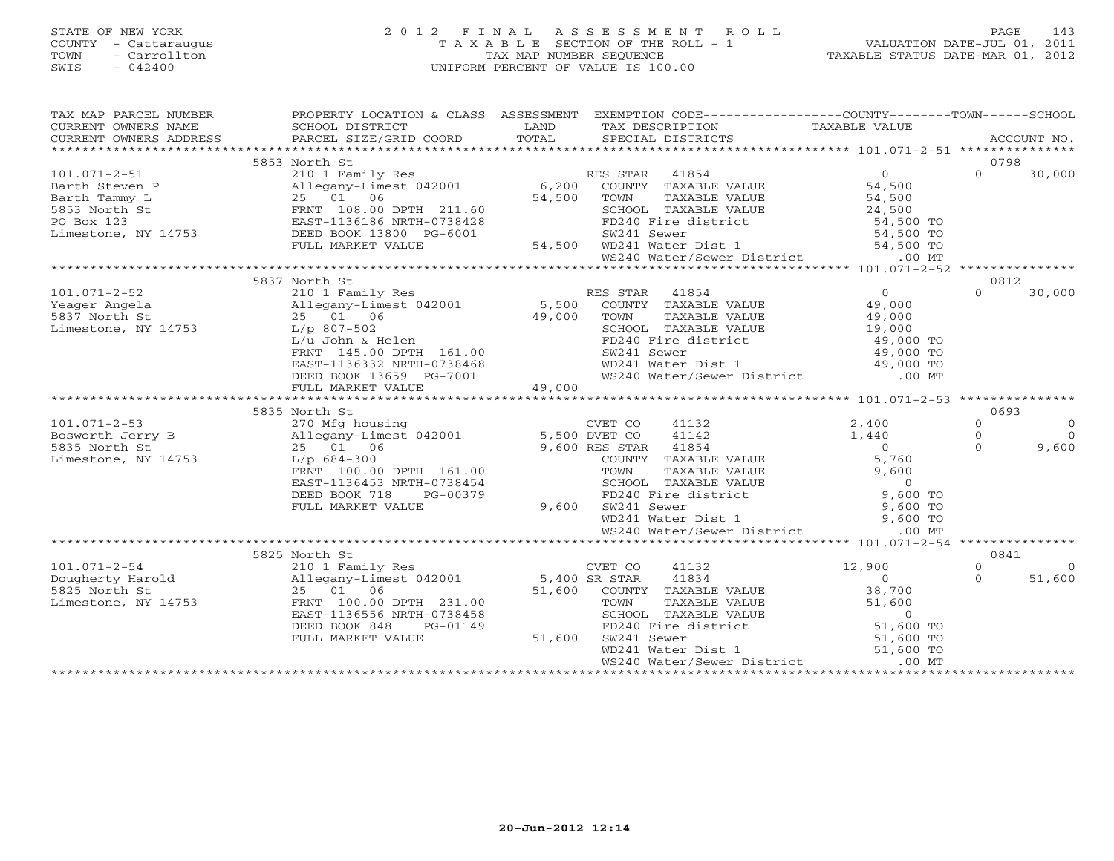# STATE OF NEW YORK 2 0 1 2 F I N A L A S S E S S M E N T R O L L PAGE 143 COUNTY - Cattaraugus T A X A B L E SECTION OF THE ROLL - 1 VALUATION DATE-JUL 01, 2011 TOWN - Carrollton TAX MAP NUMBER SEQUENCE TAXABLE STATUS DATE-MAR 01, 2012 SWIS - 042400 UNIFORM PERCENT OF VALUE IS 100.00UNIFORM PERCENT OF VALUE IS 100.00

| SCHOOL DISTRICT                                |                                                                                                                                                       | TAX DESCRIPTION           |                                                                                                                                                                                                                                                                                                                                                                                                                                                                                                                                                                                              |                                                                                                                                                                                                                                                                                                                                                                                                                                                                                                                                                                                                                                                         |                                                                                                                                                                                                                                                                                                                                                                     |
|------------------------------------------------|-------------------------------------------------------------------------------------------------------------------------------------------------------|---------------------------|----------------------------------------------------------------------------------------------------------------------------------------------------------------------------------------------------------------------------------------------------------------------------------------------------------------------------------------------------------------------------------------------------------------------------------------------------------------------------------------------------------------------------------------------------------------------------------------------|---------------------------------------------------------------------------------------------------------------------------------------------------------------------------------------------------------------------------------------------------------------------------------------------------------------------------------------------------------------------------------------------------------------------------------------------------------------------------------------------------------------------------------------------------------------------------------------------------------------------------------------------------------|---------------------------------------------------------------------------------------------------------------------------------------------------------------------------------------------------------------------------------------------------------------------------------------------------------------------------------------------------------------------|
|                                                |                                                                                                                                                       |                           |                                                                                                                                                                                                                                                                                                                                                                                                                                                                                                                                                                                              |                                                                                                                                                                                                                                                                                                                                                                                                                                                                                                                                                                                                                                                         |                                                                                                                                                                                                                                                                                                                                                                     |
| 5853 North St                                  |                                                                                                                                                       |                           |                                                                                                                                                                                                                                                                                                                                                                                                                                                                                                                                                                                              | 0798                                                                                                                                                                                                                                                                                                                                                                                                                                                                                                                                                                                                                                                    |                                                                                                                                                                                                                                                                                                                                                                     |
|                                                |                                                                                                                                                       |                           |                                                                                                                                                                                                                                                                                                                                                                                                                                                                                                                                                                                              |                                                                                                                                                                                                                                                                                                                                                                                                                                                                                                                                                                                                                                                         | $0 \t 30,000$                                                                                                                                                                                                                                                                                                                                                       |
|                                                |                                                                                                                                                       |                           |                                                                                                                                                                                                                                                                                                                                                                                                                                                                                                                                                                                              |                                                                                                                                                                                                                                                                                                                                                                                                                                                                                                                                                                                                                                                         |                                                                                                                                                                                                                                                                                                                                                                     |
|                                                |                                                                                                                                                       |                           |                                                                                                                                                                                                                                                                                                                                                                                                                                                                                                                                                                                              |                                                                                                                                                                                                                                                                                                                                                                                                                                                                                                                                                                                                                                                         |                                                                                                                                                                                                                                                                                                                                                                     |
| 5837 North St                                  |                                                                                                                                                       |                           |                                                                                                                                                                                                                                                                                                                                                                                                                                                                                                                                                                                              | 0812                                                                                                                                                                                                                                                                                                                                                                                                                                                                                                                                                                                                                                                    |                                                                                                                                                                                                                                                                                                                                                                     |
| 210 1 Family Res                               |                                                                                                                                                       |                           | 49,000                                                                                                                                                                                                                                                                                                                                                                                                                                                                                                                                                                                       | $\Omega$                                                                                                                                                                                                                                                                                                                                                                                                                                                                                                                                                                                                                                                | 30,000                                                                                                                                                                                                                                                                                                                                                              |
|                                                |                                                                                                                                                       |                           |                                                                                                                                                                                                                                                                                                                                                                                                                                                                                                                                                                                              |                                                                                                                                                                                                                                                                                                                                                                                                                                                                                                                                                                                                                                                         |                                                                                                                                                                                                                                                                                                                                                                     |
|                                                |                                                                                                                                                       |                           |                                                                                                                                                                                                                                                                                                                                                                                                                                                                                                                                                                                              | $\Omega$<br>$\Omega$<br>$\Omega$                                                                                                                                                                                                                                                                                                                                                                                                                                                                                                                                                                                                                        | $\overline{0}$<br>$\bigcap$<br>9,600                                                                                                                                                                                                                                                                                                                                |
|                                                |                                                                                                                                                       |                           |                                                                                                                                                                                                                                                                                                                                                                                                                                                                                                                                                                                              |                                                                                                                                                                                                                                                                                                                                                                                                                                                                                                                                                                                                                                                         |                                                                                                                                                                                                                                                                                                                                                                     |
|                                                |                                                                                                                                                       |                           |                                                                                                                                                                                                                                                                                                                                                                                                                                                                                                                                                                                              | 0841                                                                                                                                                                                                                                                                                                                                                                                                                                                                                                                                                                                                                                                    |                                                                                                                                                                                                                                                                                                                                                                     |
| DEED BOOK 848<br>PG-01149<br>FULL MARKET VALUE |                                                                                                                                                       |                           | 12,900<br>$\begin{array}{c} 0 \\ 38,700 \end{array}$                                                                                                                                                                                                                                                                                                                                                                                                                                                                                                                                         | $\Omega$<br>$\Omega$                                                                                                                                                                                                                                                                                                                                                                                                                                                                                                                                                                                                                                    | $\overline{0}$<br>51,600                                                                                                                                                                                                                                                                                                                                            |
|                                                | CURRENT OWNERS ADDRESS<br>210 1 Family Res<br>Allegany-Limest 042001<br>25 01 06<br>Limestone, NY 14753 L/p 807-502<br>5835 North St<br>5825 North St | EAST-1136556 NRTH-0738458 | <b>EXAMPLE SERVICE SERVICE SERVICE SERVICE SERVICE SERVICE SERVICE SERVICE SERVICE SERVICE SERVICE SERVICE SERVICE</b><br>RES STAR 41854<br>49,000 TOWN<br>1/p 807-502<br>L/u John & Helen<br>FRNT 145.00 DPTH 161.00<br>EAST-1136332 NRTH-0738468<br>DEED BOOK 13659 PG-7001<br>FULL MARKET VALUE<br>+ 49,000<br>FULL MARKET VALUE<br>101.071-2-54 210 1 Family Res CVET CO 41132<br>Dougherty Harold Allegany-Limest 042001 5,400 SR STAR 41834<br>5825 North St 25 01 06 51,600 COUNTY TAXABLE<br>Limestone, NY 14753 FRNT 100.00 DPTH 231.00 51,600 COUNTY TAXABLE<br>$\frac{9}{51,600}$ | TAXABLE VALUE<br>210 1 Family Res<br>210 1 Family Res<br>Allegany-Limest 042001 6,200 COUNTY TAXABLE VALUE 54,500<br>$\begin{array}{c} 0 \\ 49,000 \end{array}$<br>5,500 COUNTY TAXABLE VALUE<br>TAXABLE VALUE<br>SCHOOL TAXABLE VALUE<br>FD240 Fire district<br>FD240 Fire district<br>WD241 Sewer<br>WD241 Water Dist 1<br>WS240 Water/Sewer District<br>MS240 Water/Sewer District<br>CO MT<br>51,600 COUNTY TAXABLE VALUE<br>COWN TAXABLE VALUE<br>TOWN TAXABLE VALUE<br>SCHOOL TAXABLE VALUE<br>FD240 Fire district<br>FD240 Fire district<br>WD241 Water District<br>WS240 Water/Sewer District<br>.00 MT<br>WS240 Water/Sewer District<br>.00 MT | PROPERTY LOCATION & CLASS ASSESSMENT EXEMPTION CODE----------------COUNTY-------TOWN------SCHOOL<br>0693<br>101.071-2-53<br>Bosworth Jerry B<br>270 Mfg housing<br>270 Mfg housing<br>270 Mfg housing<br>270 Mfg housing<br>270 Mfg housing<br>270 Mfg housing<br>270 Mfg housing<br>270 Mfg housing<br>270 Mfg housing<br>270 Mfg housing<br>270 Mfg housing<br>27 |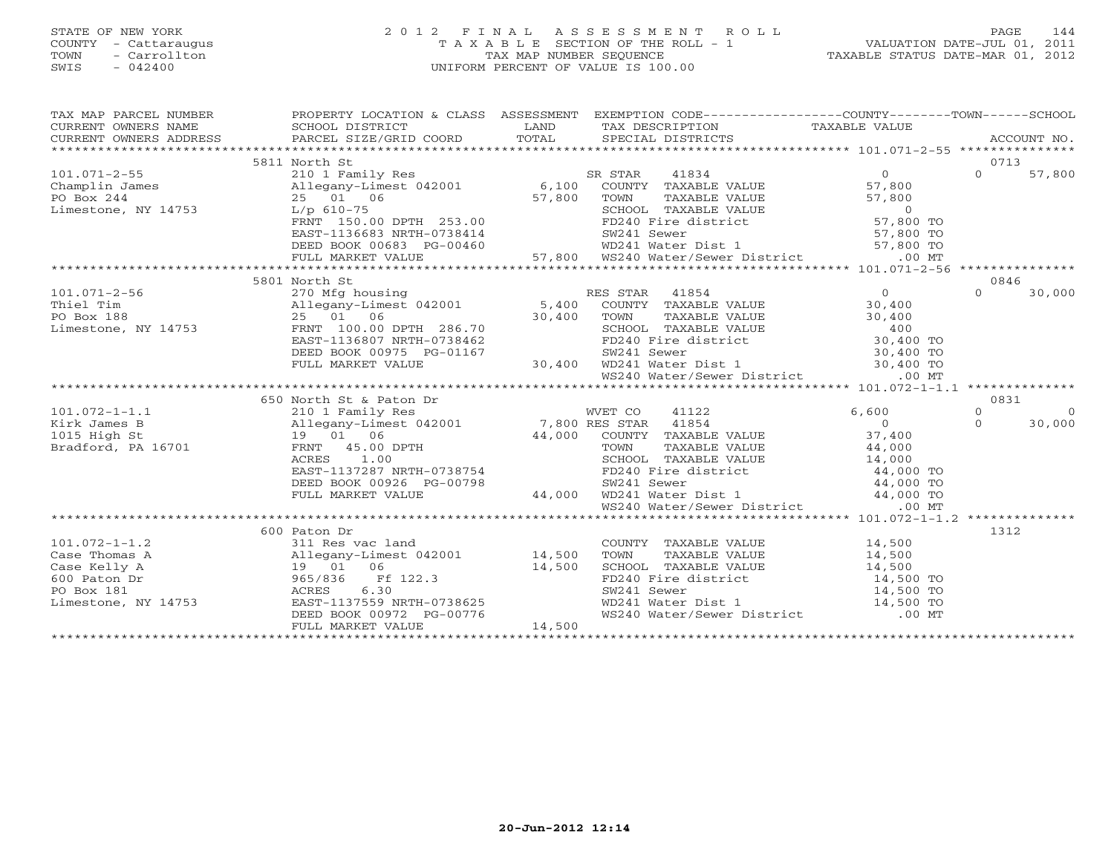# STATE OF NEW YORK 2 0 1 2 F I N A L A S S E S S M E N T R O L L PAGE 144 COUNTY - Cattaraugus T A X A B L E SECTION OF THE ROLL - 1 VALUATION DATE-JUL 01, 2011 TOWN - Carrollton TAX MAP NUMBER SEQUENCE TAXABLE STATUS DATE-MAR 01, 2012 SWIS - 042400 UNIFORM PERCENT OF VALUE IS 100.00UNIFORM PERCENT OF VALUE IS 100.00

| TAX MAP PARCEL NUMBER<br>CURRENT OWNERS NAME<br>CURRENT OWNERS ADDRESS                                                                                                                                                                                      | PROPERTY LOCATION & CLASS ASSESSMENT EXEMPTION CODE----------------COUNTY-------TOWN------SCHOOL                     |        |                                                                                                                                                                                                                                                                                  |                |          | ACCOUNT NO. |  |  |  |  |
|-------------------------------------------------------------------------------------------------------------------------------------------------------------------------------------------------------------------------------------------------------------|----------------------------------------------------------------------------------------------------------------------|--------|----------------------------------------------------------------------------------------------------------------------------------------------------------------------------------------------------------------------------------------------------------------------------------|----------------|----------|-------------|--|--|--|--|
| Champlin James<br>Champlin James<br>PO Box 244<br>Limestone, NY 14753<br>Champlin James<br>25 01 06<br>25 01 06<br>27,800<br>27,800<br>27,800<br>27,800<br>27,800<br>27,800<br>27,800<br>27,800<br>27,800<br>27,800<br>27,800<br>27,800<br>27,800<br>27,800 |                                                                                                                      |        |                                                                                                                                                                                                                                                                                  |                |          |             |  |  |  |  |
|                                                                                                                                                                                                                                                             | 5811 North St                                                                                                        |        |                                                                                                                                                                                                                                                                                  |                | 0713     |             |  |  |  |  |
|                                                                                                                                                                                                                                                             |                                                                                                                      |        |                                                                                                                                                                                                                                                                                  |                | $\Omega$ | 57,800      |  |  |  |  |
|                                                                                                                                                                                                                                                             |                                                                                                                      |        |                                                                                                                                                                                                                                                                                  |                |          |             |  |  |  |  |
|                                                                                                                                                                                                                                                             |                                                                                                                      |        |                                                                                                                                                                                                                                                                                  |                |          |             |  |  |  |  |
|                                                                                                                                                                                                                                                             | 25 01 06 57,800<br>L/p 610-75<br>FRNT 150.00 DPTH 253.00                                                             |        | TOWN TAXABLE VALUE 57,800<br>SCHOOL TAXABLE VALUE 57,800<br>FD240 Fire district 57,800 TO                                                                                                                                                                                        |                |          |             |  |  |  |  |
|                                                                                                                                                                                                                                                             |                                                                                                                      |        |                                                                                                                                                                                                                                                                                  |                |          |             |  |  |  |  |
|                                                                                                                                                                                                                                                             | EAST-1136683 NRTH-0738414<br>DEED BOOK 00683 PG-00460                                                                |        | SW241 Sewer<br>WD241 Water Dist 1 (1957,800 TO                                                                                                                                                                                                                                   |                |          |             |  |  |  |  |
|                                                                                                                                                                                                                                                             |                                                                                                                      |        |                                                                                                                                                                                                                                                                                  |                |          |             |  |  |  |  |
|                                                                                                                                                                                                                                                             | FULL MARKET VALUE                                                                                                    |        | 57,800 WS240 Water/Sewer District                                                                                                                                                                                                                                                | $.00$ MT       |          |             |  |  |  |  |
|                                                                                                                                                                                                                                                             |                                                                                                                      |        |                                                                                                                                                                                                                                                                                  |                |          |             |  |  |  |  |
|                                                                                                                                                                                                                                                             | 5801 North St                                                                                                        |        |                                                                                                                                                                                                                                                                                  |                | 0846     |             |  |  |  |  |
| $101.071 - 2 - 56$                                                                                                                                                                                                                                          | 270 Mfg housing<br>Allegany-Limest 042001 5,400 COUNTY TAXABLE VALUE                                                 |        |                                                                                                                                                                                                                                                                                  | $\overline{0}$ | $\Omega$ | 30,000      |  |  |  |  |
| Thiel Tim                                                                                                                                                                                                                                                   |                                                                                                                      |        |                                                                                                                                                                                                                                                                                  |                |          |             |  |  |  |  |
| PO Box 188                                                                                                                                                                                                                                                  | 25 01 06                                                                                                             |        | TOWN                                                                                                                                                                                                                                                                             |                |          |             |  |  |  |  |
| Limestone, NY 14753                                                                                                                                                                                                                                         | FRNT 100.00 DPTH 286.70                                                                                              |        | COUNTY TAXABLE VALUE 30,400<br>TOWN TAXABLE VALUE 30,400<br>SCHOOL TAXABLE VALUE 400                                                                                                                                                                                             |                |          |             |  |  |  |  |
|                                                                                                                                                                                                                                                             | EAST-1136807 NRTH-0738462                                                                                            | 30,400 | 738462<br>738462<br>738462<br>738462<br>738462<br>738462<br>738462<br>730,400<br>730,400<br>730,400<br>730,400<br>730,400<br>730,400<br>730,400<br>730,400<br>730,400<br>730,400<br>730,400<br>730,400<br>790,400<br>790,400<br>790,400<br>790,400<br>790,400<br>790,400<br>790, |                |          |             |  |  |  |  |
|                                                                                                                                                                                                                                                             | DEED BOOK 00975 PG-01167                                                                                             |        |                                                                                                                                                                                                                                                                                  |                |          |             |  |  |  |  |
|                                                                                                                                                                                                                                                             | FULL MARKET VALUE                                                                                                    |        |                                                                                                                                                                                                                                                                                  |                |          |             |  |  |  |  |
|                                                                                                                                                                                                                                                             |                                                                                                                      |        | WS240 Water/Sewer District .00 MT                                                                                                                                                                                                                                                |                |          |             |  |  |  |  |
|                                                                                                                                                                                                                                                             |                                                                                                                      |        |                                                                                                                                                                                                                                                                                  |                |          |             |  |  |  |  |
|                                                                                                                                                                                                                                                             | 210 1 Family Res<br>210 1 Family Res<br>Allegany-Limest 042001 7,800 RES STAR 41854<br>19 01 06 44 000 COUNTY 7:1854 |        |                                                                                                                                                                                                                                                                                  |                | 0831     |             |  |  |  |  |
| $101.072 - 1 - 1.1$                                                                                                                                                                                                                                         |                                                                                                                      |        |                                                                                                                                                                                                                                                                                  |                | $\Omega$ | $\Omega$    |  |  |  |  |
| Kirk James B                                                                                                                                                                                                                                                |                                                                                                                      |        |                                                                                                                                                                                                                                                                                  |                | $\Omega$ | 30,000      |  |  |  |  |
| 1015 High St                                                                                                                                                                                                                                                |                                                                                                                      |        |                                                                                                                                                                                                                                                                                  |                |          |             |  |  |  |  |
| Bradford, PA 16701                                                                                                                                                                                                                                          | FRNT 45.00 DPTH                                                                                                      |        |                                                                                                                                                                                                                                                                                  |                |          |             |  |  |  |  |
|                                                                                                                                                                                                                                                             | ACRES<br>1.00                                                                                                        |        |                                                                                                                                                                                                                                                                                  |                |          |             |  |  |  |  |
|                                                                                                                                                                                                                                                             | EAST-1137287 NRTH-0738754                                                                                            |        | TOWN TAXABLE VALUE $44,000$<br>SCHOOL TAXABLE VALUE $14,000$<br>FD240 Fire district $44,000$<br>$44,000$<br>$44,000$<br>$44,000$<br>$44,000$<br>$44,000$<br>$44,000$                                                                                                             |                |          |             |  |  |  |  |
|                                                                                                                                                                                                                                                             | DEED BOOK 00926 PG-00798                                                                                             |        |                                                                                                                                                                                                                                                                                  |                |          |             |  |  |  |  |
|                                                                                                                                                                                                                                                             | FULL MARKET VALUE                                                                                                    |        | SW241 Sewer 44,000 TO<br>44,000 WD241 Water Dist 1 44,000 TO                                                                                                                                                                                                                     |                |          |             |  |  |  |  |
|                                                                                                                                                                                                                                                             |                                                                                                                      |        | WS240 Water/Sewer District .00 MT                                                                                                                                                                                                                                                |                |          |             |  |  |  |  |
|                                                                                                                                                                                                                                                             |                                                                                                                      |        |                                                                                                                                                                                                                                                                                  |                |          |             |  |  |  |  |
|                                                                                                                                                                                                                                                             | 600 Paton Dr                                                                                                         |        |                                                                                                                                                                                                                                                                                  |                | 1312     |             |  |  |  |  |
| $101.072 - 1 - 1.2$                                                                                                                                                                                                                                         | 311 Res vac land                                                                                                     |        | COUNTY TAXABLE VALUE 14,500                                                                                                                                                                                                                                                      |                |          |             |  |  |  |  |
|                                                                                                                                                                                                                                                             |                                                                                                                      |        |                                                                                                                                                                                                                                                                                  |                |          |             |  |  |  |  |
|                                                                                                                                                                                                                                                             | Allegany-Limest 042001 14,500<br>19 01 06 14,500                                                                     |        |                                                                                                                                                                                                                                                                                  |                |          |             |  |  |  |  |
| Case Thomas A allegany<br>Case Kelly A 19 01<br>600 Paton Dr 965/836<br>PO Box 181 ACRES<br>Limestone, NY 14753 EAST-113                                                                                                                                    | 965/836 Ff 122.3<br>ACRES 6.30<br>EAST-1137559 NRTH-0738625                                                          |        | TOWN TAXABLE VALUE 14,500<br>SCHOOL TAXABLE VALUE 14,500<br>FD240 Fire district 14,500 TO<br>SW241 Sewer 14,500 TO<br>WD241 Water Dist 1 14,500 TO                                                                                                                               |                |          |             |  |  |  |  |
|                                                                                                                                                                                                                                                             |                                                                                                                      |        |                                                                                                                                                                                                                                                                                  |                |          |             |  |  |  |  |
|                                                                                                                                                                                                                                                             |                                                                                                                      |        |                                                                                                                                                                                                                                                                                  |                |          |             |  |  |  |  |
|                                                                                                                                                                                                                                                             |                                                                                                                      |        | WS240 Water/Sewer District .00 MT                                                                                                                                                                                                                                                |                |          |             |  |  |  |  |
|                                                                                                                                                                                                                                                             | DEED BOOK 00972 PG-00776<br>FULL MARKET VALUE 14,500                                                                 |        |                                                                                                                                                                                                                                                                                  |                |          |             |  |  |  |  |
|                                                                                                                                                                                                                                                             |                                                                                                                      |        |                                                                                                                                                                                                                                                                                  |                |          |             |  |  |  |  |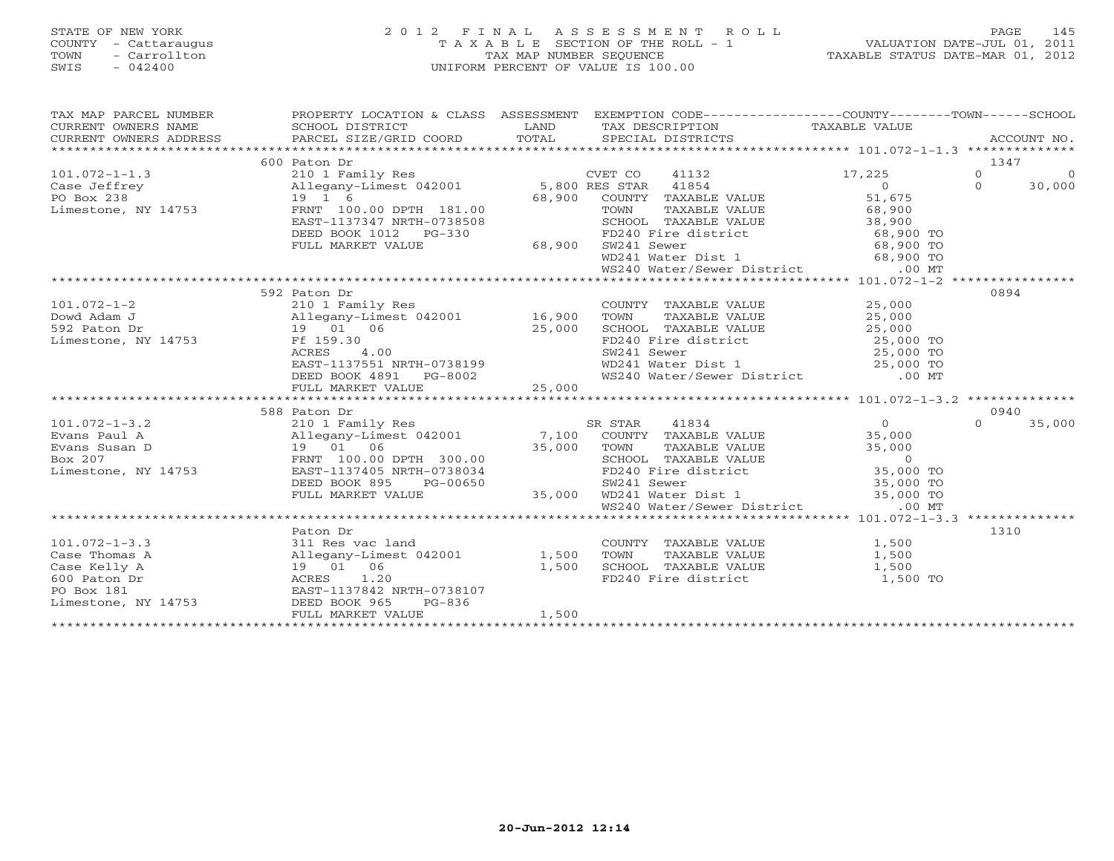# STATE OF NEW YORK 2 0 1 2 F I N A L A S S E S S M E N T R O L L PAGE 145 COUNTY - Cattaraugus T A X A B L E SECTION OF THE ROLL - 1 VALUATION DATE-JUL 01, 2011 TOWN - Carrollton TAX MAP NUMBER SEQUENCE TAXABLE STATUS DATE-MAR 01, 2012 SWIS - 042400 UNIFORM PERCENT OF VALUE IS 100.00UNIFORM PERCENT OF VALUE IS 100.00

| TAX MAP PARCEL NUMBER<br>CURRENT OWNERS NAME<br>CURRENT OWNERS ADDRESS                                                                                                                                                                                                 | PROPERTY LOCATION & CLASS ASSESSMENT<br>SCHOOL DISTRICT<br>PARCEL SIZE/GRID COORD      | LAND<br>TOTAL | EXEMPTION CODE-----------------COUNTY-------TOWN------SCHOOL                                                                                                                                                                               |                | ACCOUNT NO.                |
|------------------------------------------------------------------------------------------------------------------------------------------------------------------------------------------------------------------------------------------------------------------------|----------------------------------------------------------------------------------------|---------------|--------------------------------------------------------------------------------------------------------------------------------------------------------------------------------------------------------------------------------------------|----------------|----------------------------|
|                                                                                                                                                                                                                                                                        | 600 Paton Dr                                                                           |               |                                                                                                                                                                                                                                            |                | 1347                       |
|                                                                                                                                                                                                                                                                        |                                                                                        |               |                                                                                                                                                                                                                                            | 17,225         | $\Omega$<br>$\overline{0}$ |
| COMPT CO 11132<br>Case Jeffrey allegany-Limest 042001 5,800 RES STAR 41854<br>PO Box 238 19 1 6<br>Limestone, NY 14753 FRNT 100.00 DPTH 181.00 68,900 COUNTY TAXABLE                                                                                                   |                                                                                        |               |                                                                                                                                                                                                                                            | $\overline{0}$ | $\Omega$<br>30,000         |
|                                                                                                                                                                                                                                                                        |                                                                                        |               | COUNTY TAXABLE VALUE 51,675                                                                                                                                                                                                                |                |                            |
|                                                                                                                                                                                                                                                                        |                                                                                        |               |                                                                                                                                                                                                                                            |                |                            |
|                                                                                                                                                                                                                                                                        | EAST-1137347 NRTH-0738508                                                              |               |                                                                                                                                                                                                                                            |                |                            |
|                                                                                                                                                                                                                                                                        | DEED BOOK 1012 PG-330                                                                  |               |                                                                                                                                                                                                                                            |                |                            |
|                                                                                                                                                                                                                                                                        | FULL MARKET VALUE                                                                      |               | FD240 Fire d<br>68,900 SW241 Sewer                                                                                                                                                                                                         |                |                            |
|                                                                                                                                                                                                                                                                        |                                                                                        |               |                                                                                                                                                                                                                                            |                |                            |
|                                                                                                                                                                                                                                                                        |                                                                                        |               | TOWN TAXABLE VALUE<br>TOWN TAXABLE VALUE<br>SCHOOL TAXABLE VALUE<br>TOWN TAXABLE VALUE<br>SCHOOL TAXABLE VALUE<br>38,900 TO<br>FD240 Fire district<br>WD241 Water Dist 1<br>WS240 Water/Sewer District<br>00 MT                            |                |                            |
|                                                                                                                                                                                                                                                                        |                                                                                        |               |                                                                                                                                                                                                                                            |                |                            |
|                                                                                                                                                                                                                                                                        | 592 Paton Dr                                                                           |               |                                                                                                                                                                                                                                            |                | 0894                       |
| $101.072 - 1 - 2$                                                                                                                                                                                                                                                      | 210 1 Family Res                                                                       |               | COUNTY TAXABLE VALUE 25,000                                                                                                                                                                                                                |                |                            |
| 16,900 Dowd Adam J<br>592 Paton Dr<br>592 Paton Dr<br>592 Paton Dr<br>592 Paton Dr<br>592 Paton Dr<br>592 Paton Dr<br>592 Paton Dr<br>593 Pr<br>593 Pr<br>593 Pr<br>593 Paton Dr<br>593 Pr<br>593 Pr<br>593 Pr<br>593 Pr<br>594 Pr<br>594 Pr<br>594 Pr<br>594 Pr<br>59 |                                                                                        |               | TOWN<br>TAXABLE VALUE                                                                                                                                                                                                                      | 25,000         |                            |
|                                                                                                                                                                                                                                                                        |                                                                                        |               |                                                                                                                                                                                                                                            |                |                            |
|                                                                                                                                                                                                                                                                        |                                                                                        |               |                                                                                                                                                                                                                                            |                |                            |
|                                                                                                                                                                                                                                                                        |                                                                                        |               |                                                                                                                                                                                                                                            |                |                            |
|                                                                                                                                                                                                                                                                        |                                                                                        |               |                                                                                                                                                                                                                                            |                |                            |
|                                                                                                                                                                                                                                                                        |                                                                                        |               | SCHOOL TAXABLE VALUE<br>FD240 Fire district<br>SW241 Sewer 25,000 TO<br>WD241 Water Dist 1 25,000 TO<br>WS240 Water/Sewer District 00 MT                                                                                                   |                |                            |
|                                                                                                                                                                                                                                                                        |                                                                                        |               |                                                                                                                                                                                                                                            |                |                            |
|                                                                                                                                                                                                                                                                        |                                                                                        |               |                                                                                                                                                                                                                                            |                |                            |
| 588 Paton Dr (101.072-1-3.2)<br>Evans Paul A (101.072-1-3.2) (210 1 Family Res (210 1 Family Res (210 1 Family Res (210 1 Family Res (210 1 Family Res (210 1 Family Res (210 1 Family Res (210 1 Family Res (210 1 Pamily Res (                                       | 588 Paton Dr                                                                           |               |                                                                                                                                                                                                                                            |                | 0940                       |
|                                                                                                                                                                                                                                                                        |                                                                                        |               | SR STAR<br>41834                                                                                                                                                                                                                           | $\overline{0}$ | $\Omega$<br>35,000         |
|                                                                                                                                                                                                                                                                        |                                                                                        |               | COUNTY TAXABLE VALUE 35,000                                                                                                                                                                                                                |                |                            |
|                                                                                                                                                                                                                                                                        |                                                                                        |               |                                                                                                                                                                                                                                            |                |                            |
|                                                                                                                                                                                                                                                                        |                                                                                        |               |                                                                                                                                                                                                                                            |                |                            |
|                                                                                                                                                                                                                                                                        |                                                                                        |               |                                                                                                                                                                                                                                            |                |                            |
|                                                                                                                                                                                                                                                                        | DEED BOOK 895<br>PG-00650                                                              |               |                                                                                                                                                                                                                                            |                |                            |
|                                                                                                                                                                                                                                                                        | FULL MARKET VALUE                                                                      |               | 35,000 TOWN TAXABLE VALUE 35,000<br>300.00 SCHOOL TAXABLE VALUE 35,000<br>0738034 FD240 Fire district 35,000 TOWN<br>PG-00650 SW241 Sever 35,000 TO<br>35,000 WD241 Water District 35,000 TO<br>00 MT 16240 Water/Sever District 35,000 TO |                |                            |
|                                                                                                                                                                                                                                                                        |                                                                                        |               |                                                                                                                                                                                                                                            |                |                            |
|                                                                                                                                                                                                                                                                        | Paton Dr                                                                               |               |                                                                                                                                                                                                                                            |                | 1310                       |
| $101.072 - 1 - 3.3$                                                                                                                                                                                                                                                    | 311 Res vac land                                                                       |               | COUNTY TAXABLE VALUE 1,500                                                                                                                                                                                                                 |                |                            |
| Case Thomas A                                                                                                                                                                                                                                                          |                                                                                        |               | TOWN<br>TAXABLE VALUE                                                                                                                                                                                                                      | 1,500          |                            |
| Case Kelly A                                                                                                                                                                                                                                                           | Allegany-Limest 042001 1,500<br>19 01 06 1,500<br>ACRES 1.20 EAST-1137842 NRTH-0738107 |               |                                                                                                                                                                                                                                            |                |                            |
| 600 Paton Dr                                                                                                                                                                                                                                                           |                                                                                        |               | SCHOOL TAXABLE VALUE 1,500<br>FD240 Fire district                                                                                                                                                                                          | 1,500 TO       |                            |
| PO Box 181                                                                                                                                                                                                                                                             |                                                                                        |               |                                                                                                                                                                                                                                            |                |                            |
| Limestone, NY 14753                                                                                                                                                                                                                                                    | DEED BOOK 965<br>PG-836                                                                |               |                                                                                                                                                                                                                                            |                |                            |
|                                                                                                                                                                                                                                                                        | FULL MARKET VALUE                                                                      | 1,500         |                                                                                                                                                                                                                                            |                |                            |
|                                                                                                                                                                                                                                                                        |                                                                                        |               |                                                                                                                                                                                                                                            |                |                            |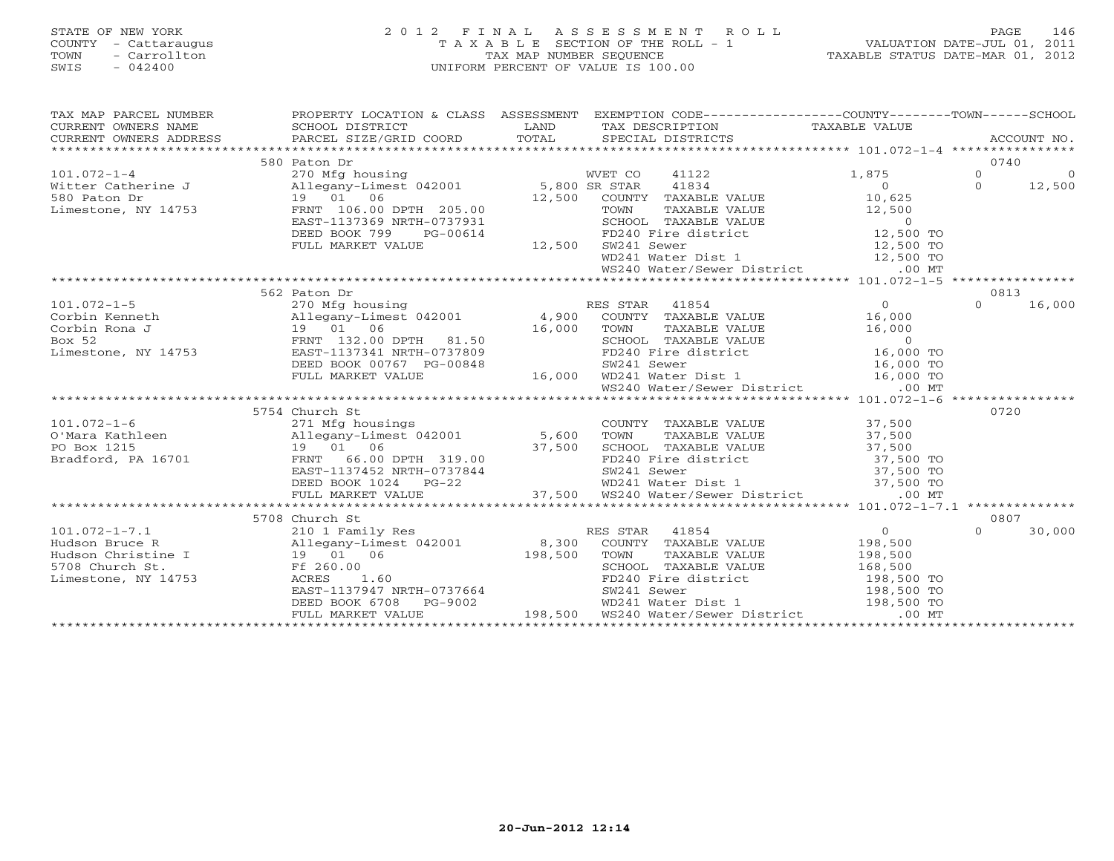# STATE OF NEW YORK 2 0 1 2 F I N A L A S S E S S M E N T R O L L PAGE 146 COUNTY - Cattaraugus T A X A B L E SECTION OF THE ROLL - 1 VALUATION DATE-JUL 01, 2011 TOWN - Carrollton TAX MAP NUMBER SEQUENCE TAXABLE STATUS DATE-MAR 01, 2012 SWIS - 042400 UNIFORM PERCENT OF VALUE IS 100.00UNIFORM PERCENT OF VALUE IS 100.00

| TAX MAP PARCEL NUMBER | PROPERTY LOCATION & CLASS ASSESSMENT EXEMPTION CODE----------------COUNTY-------TOWN------SCHOOL |  |                  |          |                |
|-----------------------|--------------------------------------------------------------------------------------------------|--|------------------|----------|----------------|
|                       | 580 Paton Dr                                                                                     |  |                  | 0740     |                |
|                       |                                                                                                  |  |                  | $\Omega$ | $\overline{0}$ |
|                       |                                                                                                  |  | $1,875$ 0<br>0 0 |          | 12,500         |
|                       |                                                                                                  |  |                  |          |                |
|                       |                                                                                                  |  |                  |          |                |
|                       |                                                                                                  |  |                  |          |                |
|                       |                                                                                                  |  |                  |          |                |
|                       |                                                                                                  |  |                  |          |                |
|                       |                                                                                                  |  |                  |          |                |
|                       |                                                                                                  |  |                  |          |                |
|                       |                                                                                                  |  |                  |          |                |
|                       | 562 Paton Dr                                                                                     |  |                  | 0813     |                |
|                       |                                                                                                  |  |                  | $\cap$   | 16,000         |
|                       |                                                                                                  |  |                  |          |                |
|                       |                                                                                                  |  |                  |          |                |
|                       |                                                                                                  |  |                  |          |                |
|                       |                                                                                                  |  |                  |          |                |
|                       |                                                                                                  |  |                  |          |                |
|                       |                                                                                                  |  |                  |          |                |
|                       |                                                                                                  |  |                  |          |                |
|                       |                                                                                                  |  |                  |          |                |
|                       | 5754 Church St                                                                                   |  |                  | 0720     |                |
|                       |                                                                                                  |  |                  |          |                |
|                       |                                                                                                  |  |                  |          |                |
|                       |                                                                                                  |  |                  |          |                |
|                       |                                                                                                  |  |                  |          |                |
|                       |                                                                                                  |  |                  |          |                |
|                       |                                                                                                  |  |                  |          |                |
|                       |                                                                                                  |  |                  |          |                |
|                       | 5708 Church St                                                                                   |  |                  | 0807     |                |
|                       |                                                                                                  |  |                  |          | 30,000         |
|                       |                                                                                                  |  |                  |          |                |
|                       |                                                                                                  |  |                  |          |                |
|                       |                                                                                                  |  |                  |          |                |
|                       |                                                                                                  |  |                  |          |                |
|                       |                                                                                                  |  |                  |          |                |
|                       |                                                                                                  |  |                  |          |                |
|                       |                                                                                                  |  |                  |          |                |
|                       |                                                                                                  |  |                  |          |                |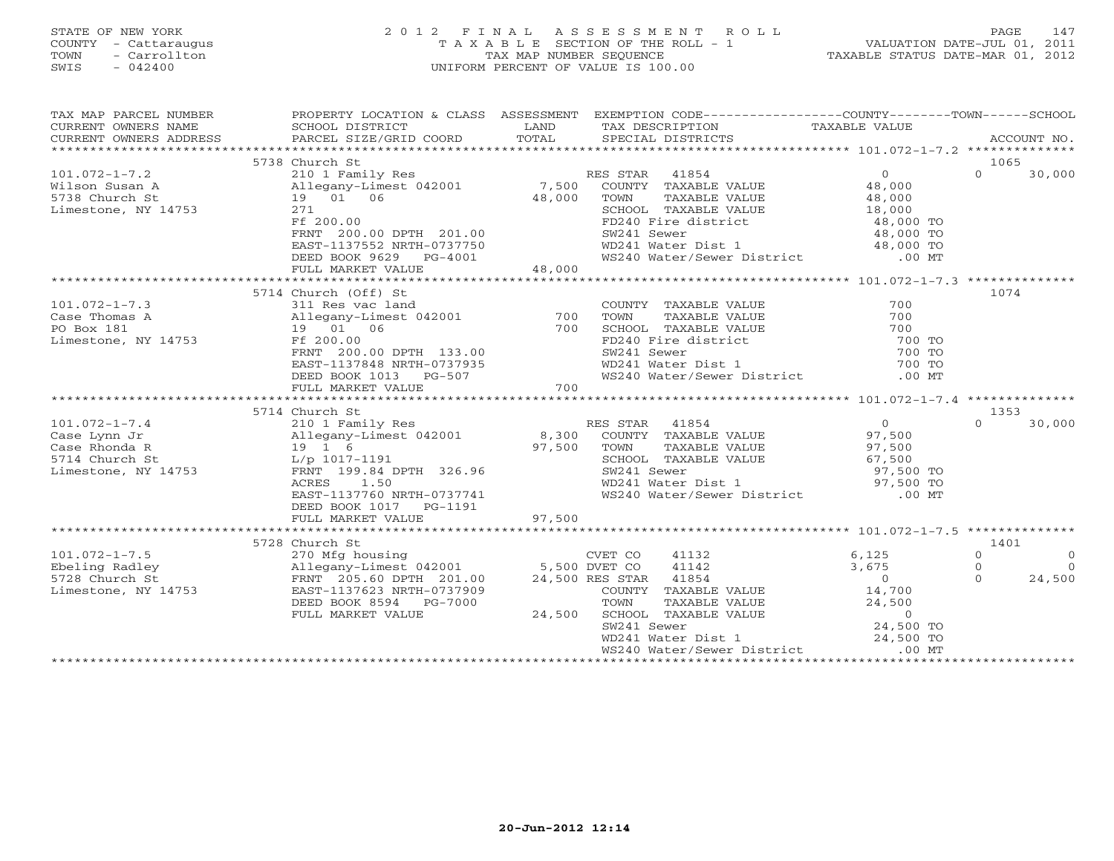## STATE OF NEW YORK 2 0 1 2 F I N A L A S S E S S M E N T R O L L PAGE 147 COUNTY - Cattaraugus T A X A B L E SECTION OF THE ROLL - 1 VALUATION DATE-JUL 01, 2011 TOWN - Carrollton TAX MAP NUMBER SEQUENCE TAXABLE STATUS DATE-MAR 01, 2012 SWIS - 042400 UNIFORM PERCENT OF VALUE IS 100.00UNIFORM PERCENT OF VALUE IS 100.00

| TAX MAP PARCEL NUMBER                                                                     |                                                                                                                                                                                                                                                                                                                         |        | PROPERTY LOCATION & CLASS ASSESSMENT EXEMPTION CODE----------------COUNTY-------TOWN------SCHOOL                                                                                                                          |                                                              |                                                                         |
|-------------------------------------------------------------------------------------------|-------------------------------------------------------------------------------------------------------------------------------------------------------------------------------------------------------------------------------------------------------------------------------------------------------------------------|--------|---------------------------------------------------------------------------------------------------------------------------------------------------------------------------------------------------------------------------|--------------------------------------------------------------|-------------------------------------------------------------------------|
|                                                                                           | 5738 Church St                                                                                                                                                                                                                                                                                                          |        |                                                                                                                                                                                                                           |                                                              | 1065                                                                    |
| Limestone, NY 14753                                                                       | 101.072-1-7.2 210 1 Family Res RE<br>Wilson Susan A 210 1 Family Res RE<br>5738 Church St 19 01 06 48,000<br>Limestone, NY 14753 271<br>Ff 200.00<br>Ff 200.00<br>FRNT 200.00 DPTH 201.00<br>EAST-1137552 NRTH-0737750<br>$PG-4001$<br>DEED BOOK 9629<br>FULL MARKET VALUE                                              | 48,000 | RES STAR 41854<br>COUNTY TAXABLE VALUE<br>TOWN<br>TAXABLE VALUE<br>SCHOOL TAXABLE VALUE 18,000<br>FD240 Fire district 18,000 TO<br>SW241 Sewer<br>WD241 Water Dist 1 48,000 TO<br>WS240 Water/Sewer District 1 00 MT      | $\begin{array}{c} 0 \\ 48 \text{ nno} \end{array}$<br>48,000 | $\Omega$<br>30,000                                                      |
|                                                                                           |                                                                                                                                                                                                                                                                                                                         |        |                                                                                                                                                                                                                           |                                                              |                                                                         |
| $101.072 - 1 - 7.3$<br>Case Thomas A<br>PO Box 181 19 01<br>Limestone, NY 14753 Ff 200.00 | FI 200.00<br>FRNT 200.00 DPTH 133.00<br>EAST-1137848 NRTH-0737935<br>DEED BOOK 1013 PG-507<br>FULL MARKET VALUE                                                                                                                                                                                                         | 700    | COUNTY TAXABLE VALUE<br>TAXABLE VALUE<br>TOWN<br>CONOOL TAXABLE VALUE<br>FD240 Fire district<br>FD240 Fire district<br>WD241 Sewer 700 TO<br>WD241 Water Dist 1 700 TO<br>WS240 Water/Sewer District 00 MT                | 700<br>700                                                   | 1074                                                                    |
|                                                                                           |                                                                                                                                                                                                                                                                                                                         |        |                                                                                                                                                                                                                           |                                                              |                                                                         |
|                                                                                           | 5714 Church St<br>EAST-1137760 NRTH-0737741<br>DEED BOOK 1017    PG-1191<br>FULL MARKET VALUE                                                                                                                                                                                                                           | 97,500 | RES STAR 41854<br>SW241 Sewer<br>WD241 Water Dist 1 97,500 TO<br>WS240 Water/Sewer District 600 MT                                                                                                                        | $\overline{0}$                                               | 1353<br>$\Omega$<br>30,000                                              |
|                                                                                           |                                                                                                                                                                                                                                                                                                                         |        |                                                                                                                                                                                                                           |                                                              |                                                                         |
|                                                                                           | 5728 Church St<br>101.072-1-7.5<br>Ebeling Radley 270 Mfg housing<br>270 Mfg housing<br>270 Mfg housing<br>270 Mfg housing<br>270 Mfg housing<br>270 Mfg housing<br>270 Mfg housing<br>270 Mfg housing<br>270 Mfg housing<br>270 Mfg housing<br>270 Mfg housing<br>270 M<br>DEED BOOK 8594 PG-7000<br>FULL MARKET VALUE | 24,500 | 41132<br>41142<br>24,500 RES STAR 41854<br>COUNTY TAXABLE VALUE 14,700<br>TOWN TAXABLE VALUE 24,500<br>SCHOOL TAXABLE VALUE 24,500<br>SW241 Sewer 24,500 TO<br>WD241 Water Dist 1 24,500 TO<br>WS240 Water/Sewer District | 6,125<br>3,675<br>$\overline{0}$<br>$.00$ MT                 | 1401<br>$\Omega$<br>$\Omega$<br>$\Omega$<br>$\circ$<br>$\cap$<br>24,500 |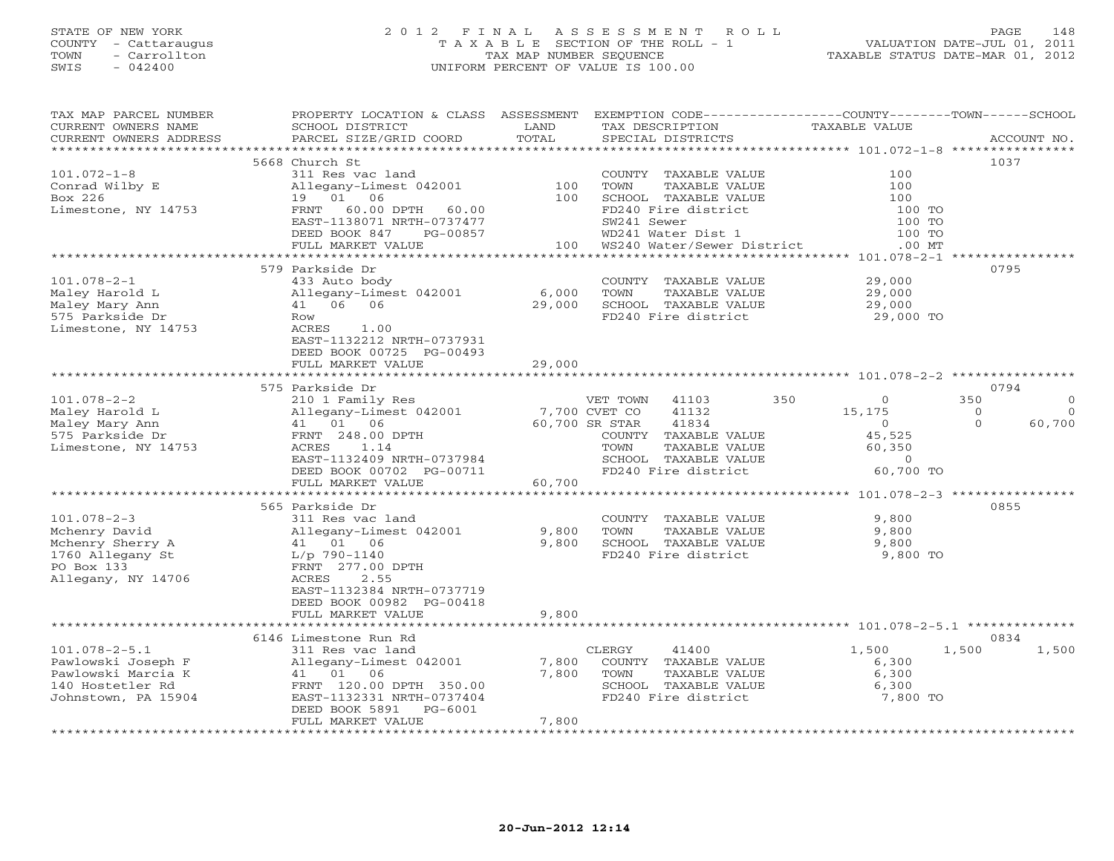## STATE OF NEW YORK 2 0 1 2 F I N A L A S S E S S M E N T R O L L PAGE 148 COUNTY - Cattaraugus T A X A B L E SECTION OF THE ROLL - 1 VALUATION DATE-JUL 01, 2011 TOWN - Carrollton TAX MAP NUMBER SEQUENCE TAXABLE STATUS DATE-MAR 01, 2012 SWIS - 042400 UNIFORM PERCENT OF VALUE IS 100.00UNIFORM PERCENT OF VALUE IS 100.00

| TAX MAP PARCEL NUMBER                         | PROPERTY LOCATION & CLASS ASSESSMENT      |                 | EXEMPTION CODE-----------------COUNTY-------TOWN------SCHOOL |                      |                      |
|-----------------------------------------------|-------------------------------------------|-----------------|--------------------------------------------------------------|----------------------|----------------------|
| CURRENT OWNERS NAME<br>CURRENT OWNERS ADDRESS | SCHOOL DISTRICT<br>PARCEL SIZE/GRID COORD | LAND<br>TOTAL   | TAX DESCRIPTION<br>SPECIAL DISTRICTS                         | <b>TAXABLE VALUE</b> | ACCOUNT NO.          |
|                                               |                                           |                 |                                                              |                      |                      |
|                                               | 5668 Church St                            |                 |                                                              |                      | 1037                 |
| $101.072 - 1 - 8$                             | 311 Res vac land                          |                 | COUNTY TAXABLE VALUE                                         | 100                  |                      |
|                                               |                                           | 100             |                                                              | 100                  |                      |
| Conrad Wilby E<br>Box 226                     | Allegany-Limest 042001<br>19 01 06        | 100             | TOWN<br>TAXABLE VALUE<br>SCHOOL TAXABLE VALUE                | 100                  |                      |
|                                               | 60.00 DPTH                                |                 | FD240 Fire district                                          |                      |                      |
| Limestone, NY 14753                           | FRNT<br>60.00                             |                 |                                                              | 100 TO               |                      |
|                                               | EAST-1138071 NRTH-0737477                 |                 | SW241 Sewer                                                  | 100 TO               |                      |
|                                               | DEED BOOK 847<br>PG-00857                 |                 | WD241 Water Dist 1                                           | 100 TO               |                      |
|                                               | FULL MARKET VALUE                         | 100             | WS240 Water/Sewer District                                   | $.00$ MT             |                      |
|                                               |                                           |                 |                                                              |                      |                      |
|                                               | 579 Parkside Dr                           |                 |                                                              |                      | 0795                 |
| $101.078 - 2 - 1$                             | 433 Auto body                             |                 | COUNTY TAXABLE VALUE                                         | 29,000               |                      |
| Maley Harold L                                | Allegany-Limest 042001                    | 6,000           | TOWN<br>TAXABLE VALUE                                        | 29,000               |                      |
| Maley Mary Ann                                | 41 06 06                                  | 29,000          | SCHOOL TAXABLE VALUE                                         | 29,000               |                      |
| 575 Parkside Dr                               | Row                                       |                 | FD240 Fire district                                          | 29,000 TO            |                      |
| Limestone, NY 14753                           | ACRES<br>1.00                             |                 |                                                              |                      |                      |
|                                               | EAST-1132212 NRTH-0737931                 |                 |                                                              |                      |                      |
|                                               | DEED BOOK 00725 PG-00493                  |                 |                                                              |                      |                      |
|                                               | FULL MARKET VALUE                         | 29,000          |                                                              |                      |                      |
|                                               |                                           |                 |                                                              |                      |                      |
|                                               | 575 Parkside Dr                           |                 |                                                              |                      | 0794                 |
| $101.078 - 2 - 2$                             | 210 1 Family Res                          |                 | 41103<br>VET TOWN                                            | 350<br>$\circ$       | 350<br>$\Omega$      |
| Maley Harold L                                | Allegany-Limest 042001                    |                 | 7,700 CVET CO<br>41132                                       | 15,175               | $\Omega$<br>$\Omega$ |
| Maley Mary Ann                                | 41  01  06                                |                 | 60,700 SR STAR<br>41834                                      | $\Omega$             | 60,700<br>$\Omega$   |
| 575 Parkside Dr                               | FRNT 248.00 DPTH                          |                 | COUNTY TAXABLE VALUE                                         | 45,525               |                      |
| Limestone, NY 14753                           | ACRES<br>1.14                             |                 | TOWN<br>TAXABLE VALUE                                        | 60,350               |                      |
|                                               | EAST-1132409 NRTH-0737984                 |                 | SCHOOL TAXABLE VALUE                                         | $\overline{0}$       |                      |
|                                               | DEED BOOK 00702 PG-00711                  |                 | FD240 Fire district                                          | 60,700 TO            |                      |
|                                               | FULL MARKET VALUE                         | 60,700          |                                                              |                      |                      |
|                                               |                                           |                 |                                                              |                      |                      |
|                                               | 565 Parkside Dr                           |                 |                                                              |                      | 0855                 |
| $101.078 - 2 - 3$                             | 311 Res vac land                          |                 | COUNTY TAXABLE VALUE                                         | 9,800                |                      |
| Mchenry David                                 |                                           |                 | TOWN<br>TAXABLE VALUE                                        |                      |                      |
|                                               | Allegany-Limest 042001<br>41 01 06        | 9,800<br>9,800  |                                                              | 9,800                |                      |
| Mchenry Sherry A                              |                                           |                 | SCHOOL TAXABLE VALUE                                         | 9,800                |                      |
| 1760 Allegany St                              | $L/p$ 790-1140                            |                 | FD240 Fire district                                          | 9,800 TO             |                      |
| PO Box 133                                    | FRNT 277.00 DPTH                          |                 |                                                              |                      |                      |
| Allegany, NY 14706                            | 2.55<br>ACRES                             |                 |                                                              |                      |                      |
|                                               | EAST-1132384 NRTH-0737719                 |                 |                                                              |                      |                      |
|                                               | DEED BOOK 00982 PG-00418                  |                 |                                                              |                      |                      |
|                                               | FULL MARKET VALUE                         | 9,800           |                                                              |                      |                      |
|                                               |                                           |                 |                                                              |                      |                      |
|                                               | 6146 Limestone Run Rd                     |                 |                                                              |                      | 0834                 |
| $101.078 - 2 - 5.1$                           | 311 Res vac land                          |                 | 41400<br>CLERGY                                              | 1,500                | 1,500<br>1,500       |
| Pawlowski Joseph F                            | Allegany-Limest 042001                    | 7,800           | COUNTY TAXABLE VALUE                                         | 6,300                |                      |
| Pawlowski Marcia K                            | 41 01 06                                  | 7,800           | TOWN<br>TAXABLE VALUE                                        | 6,300                |                      |
| 140 Hostetler Rd                              | FRNT 120.00 DPTH 350.00                   |                 | SCHOOL TAXABLE VALUE                                         | 6,300                |                      |
| Johnstown, PA 15904                           | EAST-1132331 NRTH-0737404                 |                 | FD240 Fire district                                          | 7,800 TO             |                      |
|                                               | DEED BOOK 5891<br>PG-6001                 |                 |                                                              |                      |                      |
|                                               | FULL MARKET VALUE                         | 7,800           |                                                              |                      |                      |
|                                               | ****************************              | *************** |                                                              |                      |                      |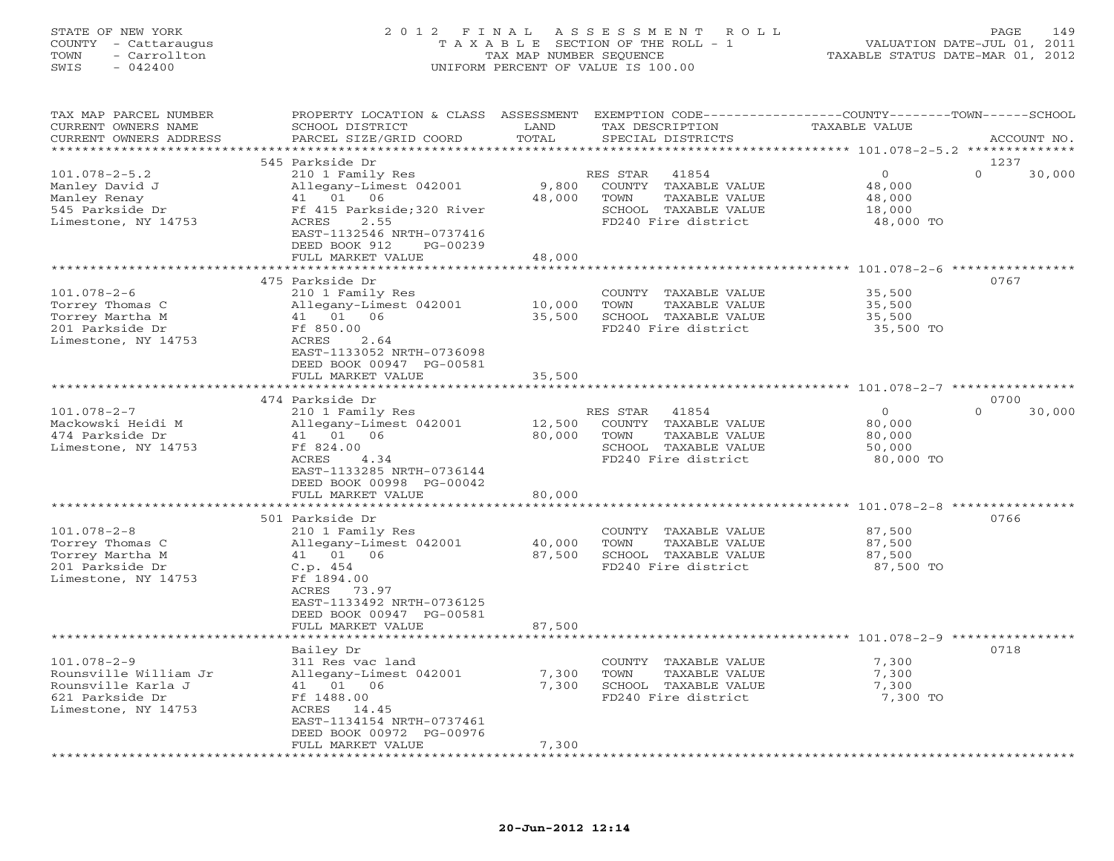## STATE OF NEW YORK 2 0 1 2 F I N A L A S S E S S M E N T R O L L PAGE 149 COUNTY - Cattaraugus T A X A B L E SECTION OF THE ROLL - 1 VALUATION DATE-JUL 01, 2011 TOWN - Carrollton TAX MAP NUMBER SEQUENCE TAXABLE STATUS DATE-MAR 01, 2012 SWIS - 042400 UNIFORM PERCENT OF VALUE IS 100.00UNIFORM PERCENT OF VALUE IS 100.00

| TAX MAP PARCEL NUMBER<br>CURRENT OWNERS NAME                                                               | PROPERTY LOCATION & CLASS ASSESSMENT<br>SCHOOL DISTRICT                                                                                                                               | LAND                       | EXEMPTION CODE-----------------COUNTY-------TOWN------SCHOOL<br>TAX DESCRIPTION                                   | <b>TAXABLE VALUE</b>                                |                    |
|------------------------------------------------------------------------------------------------------------|---------------------------------------------------------------------------------------------------------------------------------------------------------------------------------------|----------------------------|-------------------------------------------------------------------------------------------------------------------|-----------------------------------------------------|--------------------|
| CURRENT OWNERS ADDRESS<br>*********************                                                            | PARCEL SIZE/GRID COORD                                                                                                                                                                | TOTAL                      | SPECIAL DISTRICTS                                                                                                 |                                                     | ACCOUNT NO.        |
|                                                                                                            | 545 Parkside Dr                                                                                                                                                                       |                            |                                                                                                                   |                                                     | 1237               |
| $101.078 - 2 - 5.2$<br>Manley David J<br>Manley Renay<br>545 Parkside Dr<br>Limestone, NY 14753            | 210 1 Family Res<br>Allegany-Limest 042001<br>41 01 06<br>Ff 415 Parkside; 320 River<br>2.55<br>ACRES<br>EAST-1132546 NRTH-0737416<br>DEED BOOK 912<br>PG-00239                       | 9,800<br>48,000            | 41854<br>RES STAR<br>COUNTY TAXABLE VALUE<br>TOWN<br>TAXABLE VALUE<br>SCHOOL TAXABLE VALUE<br>FD240 Fire district | $\Omega$<br>48,000<br>48,000<br>18,000<br>48,000 TO | $\Omega$<br>30,000 |
|                                                                                                            | FULL MARKET VALUE<br>***********************                                                                                                                                          | 48,000                     |                                                                                                                   |                                                     |                    |
|                                                                                                            |                                                                                                                                                                                       | *************              |                                                                                                                   |                                                     |                    |
| $101.078 - 2 - 6$<br>Torrey Thomas C<br>Torrey Martha M<br>201 Parkside Dr<br>Limestone, NY 14753          | 475 Parkside Dr<br>210 1 Family Res<br>Allegany-Limest 042001<br>41 01 06<br>Ff 850.00<br>2.64<br>ACRES<br>EAST-1133052 NRTH-0736098<br>DEED BOOK 00947 PG-00581<br>FULL MARKET VALUE | 10,000<br>35,500<br>35,500 | COUNTY TAXABLE VALUE<br>TOWN<br>TAXABLE VALUE<br>SCHOOL TAXABLE VALUE<br>FD240 Fire district                      | 35,500<br>35,500<br>35,500<br>35,500 TO             | 0767               |
|                                                                                                            |                                                                                                                                                                                       |                            |                                                                                                                   |                                                     |                    |
|                                                                                                            | 474 Parkside Dr                                                                                                                                                                       |                            |                                                                                                                   |                                                     | 0700               |
| $101.078 - 2 - 7$<br>Mackowski Heidi M<br>474 Parkside Dr<br>Limestone, NY 14753                           | 210 1 Family Res<br>Allegany-Limest 042001<br>41 01 06<br>Ff 824.00<br>ACRES<br>4.34<br>EAST-1133285 NRTH-0736144<br>DEED BOOK 00998 PG-00042<br>FULL MARKET VALUE                    | 12,500<br>80,000<br>80,000 | RES STAR<br>41854<br>COUNTY TAXABLE VALUE<br>TAXABLE VALUE<br>TOWN<br>SCHOOL TAXABLE VALUE<br>FD240 Fire district | $\circ$<br>80,000<br>80,000<br>50,000<br>80,000 TO  | $\Omega$<br>30,000 |
|                                                                                                            |                                                                                                                                                                                       |                            |                                                                                                                   | ***************** 101.078-2-8 *****                 |                    |
| $101.078 - 2 - 8$<br>Torrey Thomas C<br>Torrey Martha M<br>201 Parkside Dr<br>Limestone, NY 14753          | 501 Parkside Dr<br>210 1 Family Res<br>Allegany-Limest 042001<br>41 01<br>06<br>C.p.454<br>Ff 1894.00<br>ACRES<br>73.97<br>EAST-1133492 NRTH-0736125<br>DEED BOOK 00947 PG-00581      | 40,000<br>87,500           | COUNTY TAXABLE VALUE<br>TAXABLE VALUE<br>TOWN<br>SCHOOL TAXABLE VALUE<br>FD240 Fire district                      | 87,500<br>87,500<br>87,500<br>87,500 TO             | 0766               |
|                                                                                                            | FULL MARKET VALUE                                                                                                                                                                     | 87,500                     |                                                                                                                   |                                                     |                    |
|                                                                                                            | ******************                                                                                                                                                                    |                            |                                                                                                                   |                                                     |                    |
| $101.078 - 2 - 9$<br>Rounsville William Jr<br>Rounsville Karla J<br>621 Parkside Dr<br>Limestone, NY 14753 | Bailey Dr<br>311 Res vac land<br>Allegany-Limest 042001<br>06<br>41 01<br>Ff 1488.00<br>ACRES<br>14.45<br>EAST-1134154 NRTH-0737461<br>DEED BOOK 00972 PG-00976                       | 7,300<br>7,300             | COUNTY TAXABLE VALUE<br>TOWN<br>TAXABLE VALUE<br>SCHOOL TAXABLE VALUE<br>FD240 Fire district                      | 7,300<br>7,300<br>7,300<br>7,300 TO                 | 0718               |
| **********************                                                                                     | FULL MARKET VALUE<br>*************************                                                                                                                                        | 7,300<br>***********       |                                                                                                                   |                                                     |                    |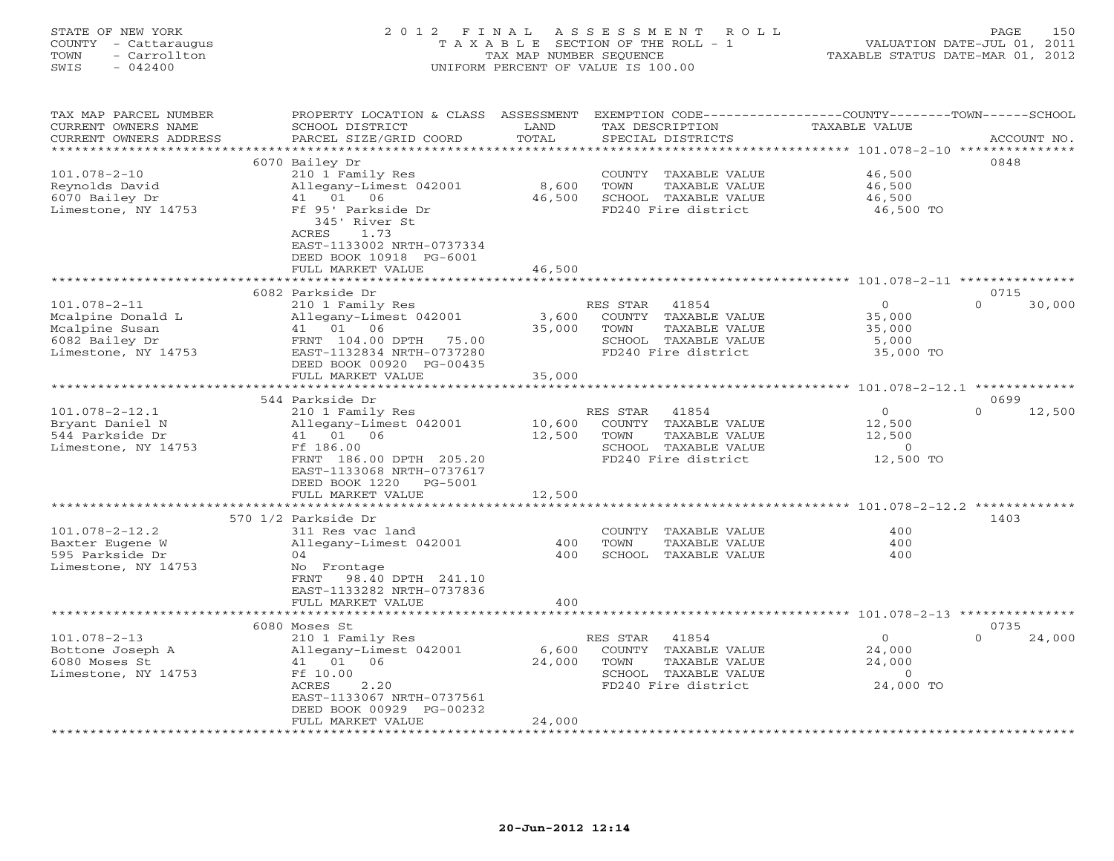# STATE OF NEW YORK 2 0 1 2 F I N A L A S S E S S M E N T R O L L PAGE 150 COUNTY - Cattaraugus T A X A B L E SECTION OF THE ROLL - 1 VALUATION DATE-JUL 01, 2011 TOWN - Carrollton TAX MAP NUMBER SEQUENCE TAXABLE STATUS DATE-MAR 01, 2012 SWIS - 042400 UNIFORM PERCENT OF VALUE IS 100.00UNIFORM PERCENT OF VALUE IS 100.00

| TAX MAP PARCEL NUMBER<br>CURRENT OWNERS NAME<br>CURRENT OWNERS ADDRESS | PROPERTY LOCATION & CLASS<br>SCHOOL DISTRICT<br>PARCEL SIZE/GRID COORD | ASSESSMENT<br>LAND<br>TOTAL | EXEMPTION CODE----<br>TAX DESCRIPTION<br>SPECIAL DISTRICTS | -------------COUNTY--------TOWN------SCHOOL<br>TAXABLE VALUE       | ACCOUNT NO.        |
|------------------------------------------------------------------------|------------------------------------------------------------------------|-----------------------------|------------------------------------------------------------|--------------------------------------------------------------------|--------------------|
|                                                                        |                                                                        | ********                    |                                                            | ******** 101.078-2-10 ***************                              |                    |
|                                                                        | 6070 Bailey Dr                                                         |                             |                                                            |                                                                    | 0848               |
| $101.078 - 2 - 10$                                                     | 210 1 Family Res                                                       |                             | COUNTY TAXABLE VALUE                                       | 46,500                                                             |                    |
| Reynolds David                                                         | Allegany-Limest 042001                                                 | 8,600                       | <b>TOWN</b><br>TAXABLE VALUE                               | 46,500                                                             |                    |
| 6070 Bailey Dr                                                         | 41 01 06                                                               | 46,500                      | SCHOOL<br>TAXABLE VALUE                                    | 46,500                                                             |                    |
| Limestone, NY 14753                                                    | Ff 95' Parkside Dr                                                     |                             | FD240 Fire district                                        | 46,500 TO                                                          |                    |
|                                                                        | 345' River St                                                          |                             |                                                            |                                                                    |                    |
|                                                                        | 1.73<br>ACRES                                                          |                             |                                                            |                                                                    |                    |
|                                                                        | EAST-1133002 NRTH-0737334                                              |                             |                                                            |                                                                    |                    |
|                                                                        | DEED BOOK 10918 PG-6001                                                | 46,500                      |                                                            |                                                                    |                    |
|                                                                        | FULL MARKET VALUE                                                      |                             |                                                            | ********** 101.078-2-11 *********                                  |                    |
|                                                                        | 6082 Parkside Dr                                                       |                             |                                                            |                                                                    | 0715               |
| $101.078 - 2 - 11$                                                     | 210 1 Family Res                                                       |                             | RES STAR<br>41854                                          | $\circ$                                                            | $\Omega$<br>30,000 |
| Mcalpine Donald L                                                      | Allegany-Limest 042001                                                 | 3,600                       | COUNTY TAXABLE VALUE                                       | 35,000                                                             |                    |
| Mcalpine Susan                                                         | 41 01 06                                                               | 35,000                      | TOWN<br>TAXABLE VALUE                                      | 35,000                                                             |                    |
| 6082 Bailey Dr                                                         | FRNT 104.00 DPTH<br>75.00                                              |                             | SCHOOL TAXABLE VALUE                                       | 5,000                                                              |                    |
| Limestone, NY 14753                                                    | EAST-1132834 NRTH-0737280                                              |                             | FD240 Fire district                                        | 35,000 TO                                                          |                    |
|                                                                        | DEED BOOK 00920 PG-00435                                               |                             |                                                            |                                                                    |                    |
|                                                                        | FULL MARKET VALUE                                                      | 35,000                      |                                                            |                                                                    |                    |
|                                                                        |                                                                        |                             |                                                            | *********** 101.078-2-12.1 *************                           |                    |
|                                                                        | 544 Parkside Dr                                                        |                             |                                                            |                                                                    | 0699               |
| $101.078 - 2 - 12.1$                                                   | 210 1 Family Res                                                       |                             | RES STAR<br>41854                                          | $\mathbf 0$                                                        | $\Omega$<br>12,500 |
| Bryant Daniel N                                                        | Allegany-Limest 042001<br>01 06                                        | 10,600                      | COUNTY TAXABLE VALUE                                       | 12,500                                                             |                    |
| 544 Parkside Dr<br>Limestone, NY 14753                                 | 41<br>Ff 186.00                                                        | 12,500                      | TAXABLE VALUE<br>TOWN<br>SCHOOL TAXABLE VALUE              | 12,500<br>$\overline{0}$                                           |                    |
|                                                                        | FRNT 186.00 DPTH 205.20                                                |                             | FD240 Fire district                                        | 12,500 TO                                                          |                    |
|                                                                        | EAST-1133068 NRTH-0737617                                              |                             |                                                            |                                                                    |                    |
|                                                                        | DEED BOOK 1220<br>PG-5001                                              |                             |                                                            |                                                                    |                    |
|                                                                        | FULL MARKET VALUE                                                      | 12,500                      |                                                            |                                                                    |                    |
|                                                                        |                                                                        |                             |                                                            |                                                                    |                    |
|                                                                        | 570 1/2 Parkside Dr                                                    |                             |                                                            |                                                                    | 1403               |
| $101.078 - 2 - 12.2$                                                   | 311 Res vac land                                                       |                             | COUNTY<br>TAXABLE VALUE                                    | 400                                                                |                    |
| Baxter Eugene W                                                        | Allegany-Limest 042001                                                 | 400                         | TOWN<br>TAXABLE VALUE                                      | 400                                                                |                    |
| 595 Parkside Dr                                                        | 04                                                                     | 400                         | SCHOOL TAXABLE VALUE                                       | 400                                                                |                    |
| Limestone, NY 14753                                                    | No Frontage                                                            |                             |                                                            |                                                                    |                    |
|                                                                        | FRNT<br>98.40 DPTH 241.10                                              |                             |                                                            |                                                                    |                    |
|                                                                        | EAST-1133282 NRTH-0737836                                              |                             |                                                            |                                                                    |                    |
|                                                                        | FULL MARKET VALUE                                                      | 400                         |                                                            | ************************************ 101.078-2-13 **************** |                    |
|                                                                        | 6080 Moses St                                                          |                             |                                                            |                                                                    | 0735               |
| $101.078 - 2 - 13$                                                     | 210 1 Family Res                                                       |                             | RES STAR<br>41854                                          | $\Omega$                                                           | $\Omega$<br>24,000 |
| Bottone Joseph A                                                       | Allegany-Limest 042001                                                 | 6,600                       | COUNTY TAXABLE VALUE                                       | 24,000                                                             |                    |
| 6080 Moses St                                                          | 41 01<br>06                                                            | 24,000                      | TOWN<br>TAXABLE VALUE                                      | 24,000                                                             |                    |
| Limestone, NY 14753                                                    | Ff 10.00                                                               |                             | SCHOOL TAXABLE VALUE                                       | $\circ$                                                            |                    |
|                                                                        | ACRES<br>2.20                                                          |                             | FD240 Fire district                                        | 24,000 TO                                                          |                    |
|                                                                        | EAST-1133067 NRTH-0737561                                              |                             |                                                            |                                                                    |                    |
|                                                                        | DEED BOOK 00929 PG-00232                                               |                             |                                                            |                                                                    |                    |
|                                                                        | FULL MARKET VALUE                                                      | 24,000                      |                                                            |                                                                    |                    |
|                                                                        | * * * * * * * * * * * * * *                                            |                             |                                                            |                                                                    |                    |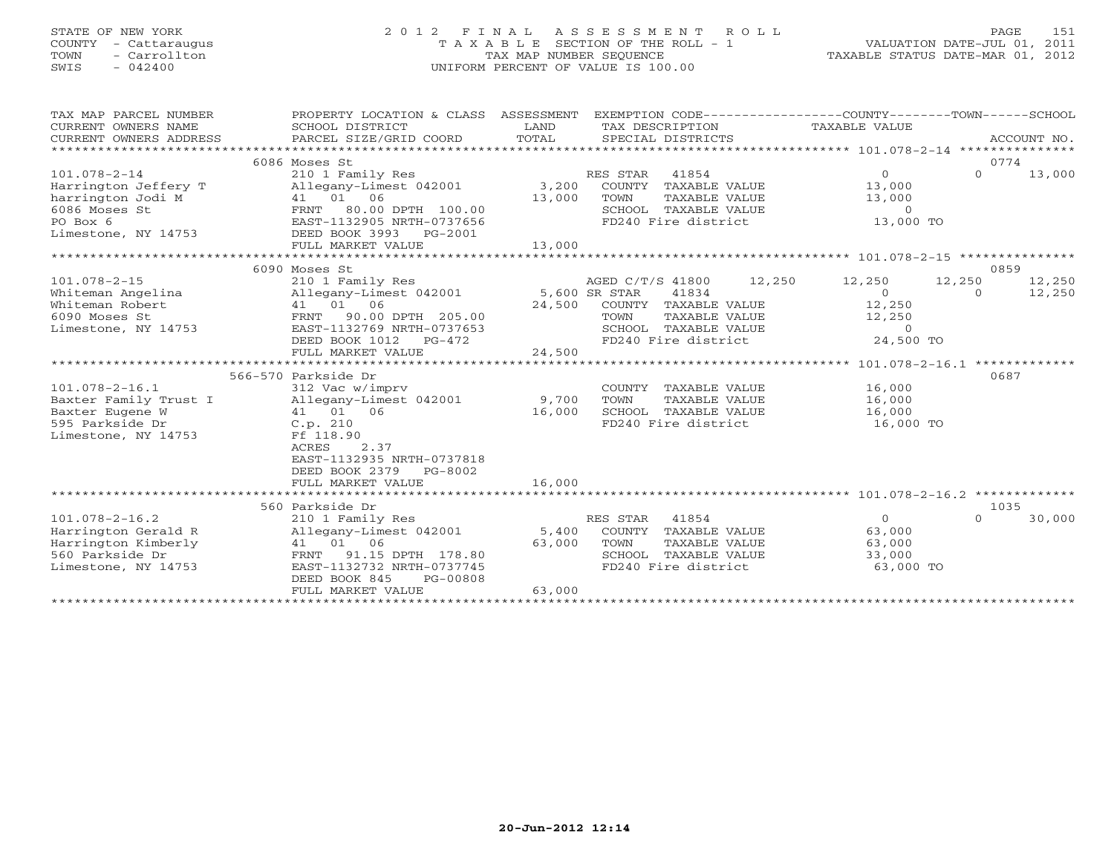# STATE OF NEW YORK 2 0 1 2 F I N A L A S S E S S M E N T R O L L PAGE 151 COUNTY - Cattaraugus T A X A B L E SECTION OF THE ROLL - 1 VALUATION DATE-JUL 01, 2011 TOWN - Carrollton TAX MAP NUMBER SEQUENCE TAXABLE STATUS DATE-MAR 01, 2012 SWIS - 042400 UNIFORM PERCENT OF VALUE IS 100.00UNIFORM PERCENT OF VALUE IS 100.00

| TAX MAP PARCEL NUMBER<br>CURRENT OWNERS NAME<br>$\begin{tabular}{lllllllll} \multicolumn{2}{l}{{\small\sc{CURERNT}}}& $\text{MME}$ & $\text{SCHODL}& $\text{DISTRICT}$ & $\text{LAND}$ & $\text{TAX}~DESCRIPITION}$ & $\text{TAXABLE}~\text{VALUE} \\ & $\text{CURERNT}~\text{OWNERS}~\text{ADDRES} & $\text{PARCEL}~\text{SIZE/GRID COORD} & $\text{TOTAL}$ & $\text{SPECIAL}~\text{DISTRICTS} & $\text{ACCOUNT}~\text{NO}$. \\ & $\text{*}\text{*}\text{*}\text{*}\text{*}\text{*}\text{*}\text{*}\text{*}\text{*}\text{*}\text{*$ | PROPERTY LOCATION & CLASS ASSESSMENT                                                                                                                                         |        |          |                                                                         | EXEMPTION CODE-----------------COUNTY-------TOWN------SCHOOL<br>TAXABLE VALUE        |                    |                  |
|--------------------------------------------------------------------------------------------------------------------------------------------------------------------------------------------------------------------------------------------------------------------------------------------------------------------------------------------------------------------------------------------------------------------------------------------------------------------------------------------------------------------------------------|------------------------------------------------------------------------------------------------------------------------------------------------------------------------------|--------|----------|-------------------------------------------------------------------------|--------------------------------------------------------------------------------------|--------------------|------------------|
|                                                                                                                                                                                                                                                                                                                                                                                                                                                                                                                                      | 6086 Moses St                                                                                                                                                                |        |          |                                                                         |                                                                                      |                    | 0774             |
| $101.078 - 2 - 14$                                                                                                                                                                                                                                                                                                                                                                                                                                                                                                                   | 210 1 Family Res                                                                                                                                                             |        | RES STAR | 41854                                                                   | $\Omega$                                                                             | $\Omega$           | 13,000           |
| Harrington Jeffery T                                                                                                                                                                                                                                                                                                                                                                                                                                                                                                                 | Allegany-Limest 042001                                                                                                                                                       |        |          | 3,200 COUNTY TAXABLE VALUE                                              | 13,000                                                                               |                    |                  |
| harrington Jodi M                                                                                                                                                                                                                                                                                                                                                                                                                                                                                                                    |                                                                                                                                                                              | 13,000 |          | TOWN     TAXABLE VALUE<br>SCHOOL   TAXABLE VALUE<br>FD240 Fire district | 13,000                                                                               |                    |                  |
| 6086 Moses St                                                                                                                                                                                                                                                                                                                                                                                                                                                                                                                        |                                                                                                                                                                              |        |          |                                                                         | $\Omega$                                                                             |                    |                  |
| PO Box 6                                                                                                                                                                                                                                                                                                                                                                                                                                                                                                                             | M $\begin{array}{r} -534.4 \text{ m} \\ 41 \quad 01 \quad 06 \\ \text{FRNT} \quad 80.00 \text{ DPTH} \quad 100.00 \\ \text{EAST} -1132905 \text{ NRTH} -0737555 \end{array}$ |        |          |                                                                         | 13,000 TO                                                                            |                    |                  |
| Limestone, NY 14753 DEED BOOK 3993 PG-2001                                                                                                                                                                                                                                                                                                                                                                                                                                                                                           |                                                                                                                                                                              |        |          |                                                                         |                                                                                      |                    |                  |
|                                                                                                                                                                                                                                                                                                                                                                                                                                                                                                                                      |                                                                                                                                                                              |        |          |                                                                         |                                                                                      |                    |                  |
|                                                                                                                                                                                                                                                                                                                                                                                                                                                                                                                                      |                                                                                                                                                                              |        |          |                                                                         |                                                                                      |                    | 0859             |
| $101.078 - 2 - 15$                                                                                                                                                                                                                                                                                                                                                                                                                                                                                                                   | 6090 Moses St                                                                                                                                                                |        |          |                                                                         | AGED C/T/S 41800 12,250 12,250                                                       |                    |                  |
| Whiteman Angelina                                                                                                                                                                                                                                                                                                                                                                                                                                                                                                                    | 210 1 Family Res<br>Allegany-Limest 042001 5,600 SR STAR                                                                                                                     |        |          | 41834                                                                   | $\overline{0}$                                                                       | 12,250<br>$\Omega$ | 12,250<br>12,250 |
| Whiteman Robert                                                                                                                                                                                                                                                                                                                                                                                                                                                                                                                      | 41 01 06                                                                                                                                                                     |        |          | 24,500 COUNTY TAXABLE VALUE                                             | 12,250                                                                               |                    |                  |
| 6090 Moses St                                                                                                                                                                                                                                                                                                                                                                                                                                                                                                                        | FRNT 90.00 DPTH 205.00                                                                                                                                                       |        |          |                                                                         |                                                                                      |                    |                  |
| Limestone, NY 14753                                                                                                                                                                                                                                                                                                                                                                                                                                                                                                                  | EAST-1132769 NRTH-0737653                                                                                                                                                    |        |          |                                                                         |                                                                                      |                    |                  |
|                                                                                                                                                                                                                                                                                                                                                                                                                                                                                                                                      |                                                                                                                                                                              |        |          |                                                                         | TOWN TAXABLE VALUE 12,250<br>SCHOOL TAXABLE VALUE 0<br>FD240 Fire district 24,500 TO |                    |                  |
|                                                                                                                                                                                                                                                                                                                                                                                                                                                                                                                                      |                                                                                                                                                                              |        |          |                                                                         |                                                                                      |                    |                  |
|                                                                                                                                                                                                                                                                                                                                                                                                                                                                                                                                      |                                                                                                                                                                              |        |          |                                                                         |                                                                                      |                    |                  |
|                                                                                                                                                                                                                                                                                                                                                                                                                                                                                                                                      | 566-570 Parkside Dr                                                                                                                                                          |        |          |                                                                         |                                                                                      |                    | 0687             |
| $101.078 - 2 - 16.1$                                                                                                                                                                                                                                                                                                                                                                                                                                                                                                                 | 312 Vac w/imprv                                                                                                                                                              |        |          | COUNTY TAXABLE VALUE                                                    | 16,000                                                                               |                    |                  |
| Baxter Family Trust I                                                                                                                                                                                                                                                                                                                                                                                                                                                                                                                | Allegany-Limest 042001 9,700                                                                                                                                                 |        | TOWN     | TAXABLE VALUE                                                           | 16,000                                                                               |                    |                  |
| Baxter Eugene W                                                                                                                                                                                                                                                                                                                                                                                                                                                                                                                      | 41 01 06                                                                                                                                                                     | 16,000 |          | SCHOOL TAXABLE VALUE                                                    | 16,000                                                                               |                    |                  |
| 595 Parkside Dr                                                                                                                                                                                                                                                                                                                                                                                                                                                                                                                      | $C.p. 210$<br>Ff 118.90                                                                                                                                                      |        |          | FD240 Fire district                                                     | 16,000 TO                                                                            |                    |                  |
| Limestone, NY 14753                                                                                                                                                                                                                                                                                                                                                                                                                                                                                                                  | Ff 118.90                                                                                                                                                                    |        |          |                                                                         |                                                                                      |                    |                  |
|                                                                                                                                                                                                                                                                                                                                                                                                                                                                                                                                      | 2.37<br>ACRES                                                                                                                                                                |        |          |                                                                         |                                                                                      |                    |                  |
|                                                                                                                                                                                                                                                                                                                                                                                                                                                                                                                                      | EAST-1132935 NRTH-0737818                                                                                                                                                    |        |          |                                                                         |                                                                                      |                    |                  |
|                                                                                                                                                                                                                                                                                                                                                                                                                                                                                                                                      | DEED BOOK 2379 PG-8002                                                                                                                                                       | 16,000 |          |                                                                         |                                                                                      |                    |                  |
|                                                                                                                                                                                                                                                                                                                                                                                                                                                                                                                                      | FULL MARKET VALUE                                                                                                                                                            |        |          |                                                                         |                                                                                      |                    |                  |
|                                                                                                                                                                                                                                                                                                                                                                                                                                                                                                                                      | 560 Parkside Dr                                                                                                                                                              |        |          |                                                                         |                                                                                      |                    | 1035             |
| $101.078 - 2 - 16.2$                                                                                                                                                                                                                                                                                                                                                                                                                                                                                                                 | 210 1 Family Res                                                                                                                                                             |        | RES STAR | 41854                                                                   | $\Omega$                                                                             | $\Omega$           | 30,000           |
| Harrington Gerald R                                                                                                                                                                                                                                                                                                                                                                                                                                                                                                                  | Allegany-Limest 042001                                                                                                                                                       |        |          | 5,400 COUNTY TAXABLE VALUE                                              | 63,000                                                                               |                    |                  |
| Harrington Kimberly                                                                                                                                                                                                                                                                                                                                                                                                                                                                                                                  |                                                                                                                                                                              |        | TOWN     | TAXABLE VALUE                                                           | 63,000                                                                               |                    |                  |
| 560 Parkside Dr                                                                                                                                                                                                                                                                                                                                                                                                                                                                                                                      | FRNT 91.15 DPTH 178.80 63,000<br>EAST-1132732 METH 178.80                                                                                                                    |        |          | SCHOOL TAXABLE VALUE                                                    | 33,000                                                                               |                    |                  |
| Limestone, NY 14753                                                                                                                                                                                                                                                                                                                                                                                                                                                                                                                  | EAST-1132732 NRTH-0737745                                                                                                                                                    |        |          | FD240 Fire district                                                     | 63,000 TO                                                                            |                    |                  |
|                                                                                                                                                                                                                                                                                                                                                                                                                                                                                                                                      | DEED BOOK 845<br>PG-00808                                                                                                                                                    |        |          |                                                                         |                                                                                      |                    |                  |
|                                                                                                                                                                                                                                                                                                                                                                                                                                                                                                                                      | FULL MARKET VALUE                                                                                                                                                            | 63,000 |          |                                                                         |                                                                                      |                    |                  |
|                                                                                                                                                                                                                                                                                                                                                                                                                                                                                                                                      |                                                                                                                                                                              |        |          |                                                                         |                                                                                      |                    |                  |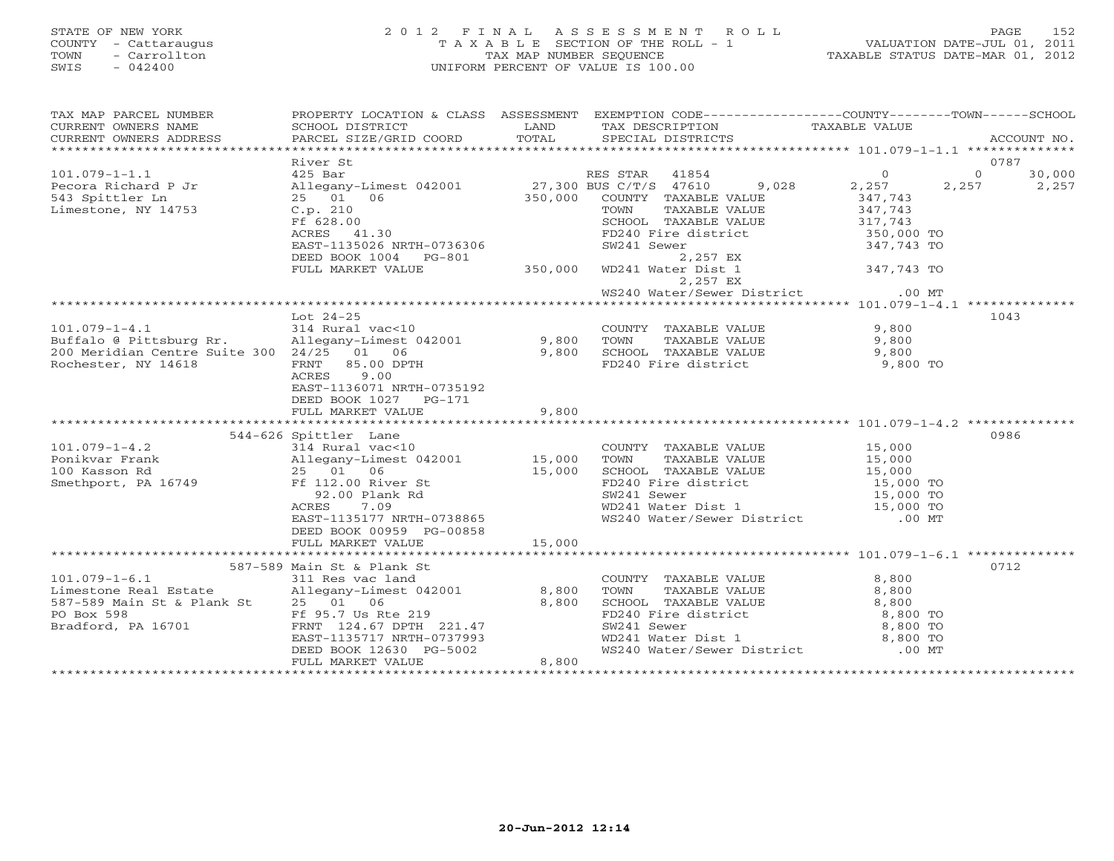# STATE OF NEW YORK 2 0 1 2 F I N A L A S S E S S M E N T R O L L PAGE 152 COUNTY - Cattaraugus T A X A B L E SECTION OF THE ROLL - 1 VALUATION DATE-JUL 01, 2011 TOWN - Carrollton TAX MAP NUMBER SEQUENCE TAXABLE STATUS DATE-MAR 01, 2012 SWIS - 042400 UNIFORM PERCENT OF VALUE IS 100.00UNIFORM PERCENT OF VALUE IS 100.00

| TAX MAP PARCEL NUMBER<br>CURRENT OWNERS NAME<br>CURRENT OWNERS ADDRESS                                                                                                                                                                                     | SCHOOL DISTRICT<br>PARCEL SIZE/GRID COORD                                                                                                       |        | PROPERTY LOCATION & CLASS ASSESSMENT EXEMPTION CODE---------------COUNTY-------TOWN------SCHOOL<br>LAND TAX DESCRIPTION                                                                                                                          |                           | ACCOUNT NO.   |
|------------------------------------------------------------------------------------------------------------------------------------------------------------------------------------------------------------------------------------------------------------|-------------------------------------------------------------------------------------------------------------------------------------------------|--------|--------------------------------------------------------------------------------------------------------------------------------------------------------------------------------------------------------------------------------------------------|---------------------------|---------------|
|                                                                                                                                                                                                                                                            |                                                                                                                                                 |        |                                                                                                                                                                                                                                                  |                           | 0787          |
| $101.079 - 1 - 1.1$                                                                                                                                                                                                                                        | River St<br>425 Bar                                                                                                                             |        | RES STAR 41854                                                                                                                                                                                                                                   | $\circ$                   | $0 \t 30,000$ |
|                                                                                                                                                                                                                                                            |                                                                                                                                                 |        |                                                                                                                                                                                                                                                  | $9,028$ 2,257 2,257 2,257 |               |
|                                                                                                                                                                                                                                                            |                                                                                                                                                 |        |                                                                                                                                                                                                                                                  | 347,743<br>347,743        |               |
|                                                                                                                                                                                                                                                            |                                                                                                                                                 |        |                                                                                                                                                                                                                                                  |                           |               |
|                                                                                                                                                                                                                                                            |                                                                                                                                                 |        |                                                                                                                                                                                                                                                  |                           |               |
|                                                                                                                                                                                                                                                            |                                                                                                                                                 |        | SCHOOL TAXABLE VALUE 317,743<br>FD240 Fire district 350,000 TO<br>SW241 Sewer 347,743 TO                                                                                                                                                         |                           |               |
|                                                                                                                                                                                                                                                            |                                                                                                                                                 |        |                                                                                                                                                                                                                                                  |                           |               |
| 101.079-1-1.1<br>Pecora Richard P Jr<br>27,300 BUS C/T/S 47610<br>543 Spittler Ln<br>Limestone, NY 14753<br>C.p. 210<br>EF 628.00<br>EF 628.00<br>EXERES 41.30<br>EXERES 41.30<br>EXERES 41.30<br>EXERES 41.30<br>FULL MARKET VALUE<br>PEED BOOK 1004<br>P |                                                                                                                                                 |        | WD241 Water Dist 1 347,743 TO<br>2,257 EX                                                                                                                                                                                                        |                           |               |
|                                                                                                                                                                                                                                                            |                                                                                                                                                 |        |                                                                                                                                                                                                                                                  |                           |               |
|                                                                                                                                                                                                                                                            |                                                                                                                                                 |        |                                                                                                                                                                                                                                                  |                           |               |
| LOC 24-25<br>LOC 24-25<br>214 Rural vac<10<br>214 Rural vac<10<br>214 Rural vac<10<br>214 Rural vac<10<br>214 Rural vac<10<br>29,800 TOWN TAXABLE VALUE<br>200 Meridian Centre Suite 300 24/25 01 06<br>200 Meridian Centre Suite 300 24/25 01             |                                                                                                                                                 |        |                                                                                                                                                                                                                                                  |                           | 1043          |
|                                                                                                                                                                                                                                                            |                                                                                                                                                 |        |                                                                                                                                                                                                                                                  |                           |               |
|                                                                                                                                                                                                                                                            |                                                                                                                                                 |        |                                                                                                                                                                                                                                                  |                           |               |
|                                                                                                                                                                                                                                                            |                                                                                                                                                 |        |                                                                                                                                                                                                                                                  | 9,800 TO                  |               |
|                                                                                                                                                                                                                                                            |                                                                                                                                                 |        |                                                                                                                                                                                                                                                  |                           |               |
|                                                                                                                                                                                                                                                            | EAST-1136071 NRTH-0735192                                                                                                                       |        |                                                                                                                                                                                                                                                  |                           |               |
|                                                                                                                                                                                                                                                            | DEED BOOK 1027 PG-171                                                                                                                           |        |                                                                                                                                                                                                                                                  |                           |               |
|                                                                                                                                                                                                                                                            | FULL MARKET VALUE                                                                                                                               | 9,800  |                                                                                                                                                                                                                                                  |                           |               |
|                                                                                                                                                                                                                                                            |                                                                                                                                                 |        |                                                                                                                                                                                                                                                  |                           |               |
| 101.079-1-4.2<br>Ponikvar Frank allegany-Limest 042001 15,000<br>100 Kasson Rd 25 01 06 15,000<br>Smethport, PA 16749 Ff 112.00 River St<br>20.00 Plank Rd<br>ACRES 7.09<br>EAST-1135177 NRTH-0738865<br>FF 112.00 RD EAST-1135177 NRTH-0738               | 544-626 Spittler Lane<br>Spittler Lane<br>314 Rural vac<10                                                                                      |        | COUNTY TAXABLE VALUE 15,000                                                                                                                                                                                                                      |                           | 0986          |
|                                                                                                                                                                                                                                                            |                                                                                                                                                 |        | COUNTY TAXABLE VALUE<br>TOWN TAXABLE VALUE<br>SCHOOL TAXABLE VALUE<br>SCHOOL TAXABLE VALUE<br>FD240 Fire district<br>SW241 Sewer<br>WD241 Water Dist 1<br>WS240 Water/Sewer District<br>COUNTY 15,000 TO<br>NS240 Water/Sewer District<br>COUNTY |                           |               |
|                                                                                                                                                                                                                                                            |                                                                                                                                                 |        |                                                                                                                                                                                                                                                  |                           |               |
|                                                                                                                                                                                                                                                            |                                                                                                                                                 |        |                                                                                                                                                                                                                                                  |                           |               |
|                                                                                                                                                                                                                                                            |                                                                                                                                                 |        |                                                                                                                                                                                                                                                  |                           |               |
|                                                                                                                                                                                                                                                            |                                                                                                                                                 |        |                                                                                                                                                                                                                                                  |                           |               |
|                                                                                                                                                                                                                                                            |                                                                                                                                                 |        |                                                                                                                                                                                                                                                  |                           |               |
|                                                                                                                                                                                                                                                            | DEED BOOK 00959 PG-00858<br>FULL MARKET VALUE                                                                                                   | 15,000 |                                                                                                                                                                                                                                                  |                           |               |
|                                                                                                                                                                                                                                                            |                                                                                                                                                 |        |                                                                                                                                                                                                                                                  |                           |               |
|                                                                                                                                                                                                                                                            | 587-589 Main St & Plank St                                                                                                                      |        |                                                                                                                                                                                                                                                  |                           | 0712          |
| 101.079-1-6.1 311 Res vac land<br>Limestone Real Estate Allegany-Limest 042001 8,800                                                                                                                                                                       |                                                                                                                                                 |        |                                                                                                                                                                                                                                                  |                           |               |
|                                                                                                                                                                                                                                                            |                                                                                                                                                 |        |                                                                                                                                                                                                                                                  |                           |               |
| 587-589 Main St & Plank St 25 01 06                                                                                                                                                                                                                        |                                                                                                                                                 |        |                                                                                                                                                                                                                                                  |                           |               |
| PO Box 598                                                                                                                                                                                                                                                 | Ex Plank St $25\begin{array}{r} 25 & 01 \ 25 & 01 \ 25 & 51 \end{array}$ 06 $8,800$<br>Ff 95.7 Us Rte 219 $221.47$<br>EAST-1135717 NRTH-0737993 |        | COUNTY TAXABLE VALUE<br>TOWN TAXABLE VALUE<br>SCHOOL TAXABLE VALUE<br>FD240 Fire district<br>FD240 Fire district<br>SW241 Sewer<br>WD241 Water Dist 1<br>WS240 Water/Sewer District<br>00 MT                                                     |                           |               |
| Bradford, PA 16701                                                                                                                                                                                                                                         |                                                                                                                                                 |        |                                                                                                                                                                                                                                                  |                           |               |
|                                                                                                                                                                                                                                                            | DEED BOOK 12630 PG-5002                                                                                                                         |        |                                                                                                                                                                                                                                                  |                           |               |
|                                                                                                                                                                                                                                                            | FULL MARKET VALUE                                                                                                                               | 8,800  |                                                                                                                                                                                                                                                  |                           |               |
|                                                                                                                                                                                                                                                            |                                                                                                                                                 |        |                                                                                                                                                                                                                                                  |                           |               |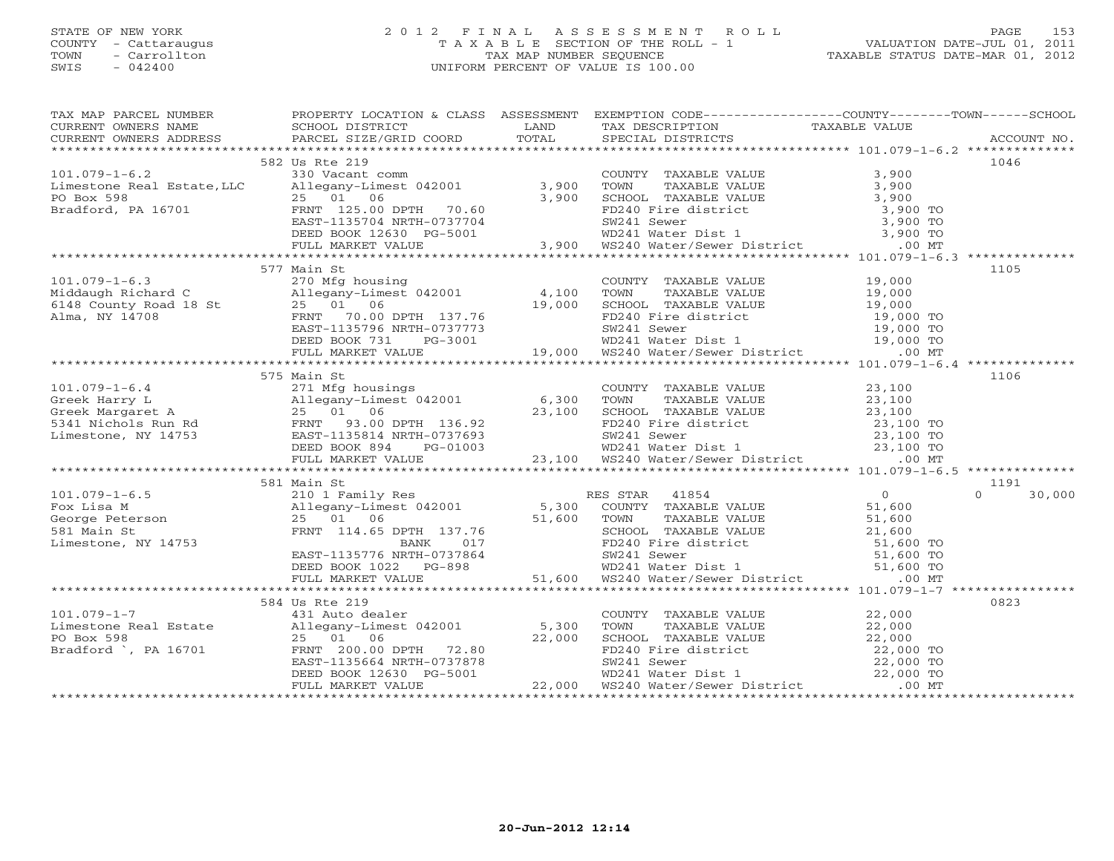## STATE OF NEW YORK 2 0 1 2 F I N A L A S S E S S M E N T R O L L PAGE 153 COUNTY - Cattaraugus T A X A B L E SECTION OF THE ROLL - 1 VALUATION DATE-JUL 01, 2011 TOWN - Carrollton TAX MAP NUMBER SEQUENCE TAXABLE STATUS DATE-MAR 01, 2012 SWIS - 042400 UNIFORM PERCENT OF VALUE IS 100.00UNIFORM PERCENT OF VALUE IS 100.00

| TAX MAP PARCEL NUMBER PROPERTY LOCATION & CLASS ASSESSMENT EXEMPTION CODE---------------COUNTY-------TOWN------SCHOOL                                                                                                                             |                |  |      |
|---------------------------------------------------------------------------------------------------------------------------------------------------------------------------------------------------------------------------------------------------|----------------|--|------|
|                                                                                                                                                                                                                                                   |                |  |      |
|                                                                                                                                                                                                                                                   |                |  |      |
|                                                                                                                                                                                                                                                   |                |  |      |
|                                                                                                                                                                                                                                                   | 582 Us Rte 219 |  | 1046 |
|                                                                                                                                                                                                                                                   |                |  |      |
|                                                                                                                                                                                                                                                   |                |  |      |
|                                                                                                                                                                                                                                                   |                |  |      |
|                                                                                                                                                                                                                                                   |                |  |      |
|                                                                                                                                                                                                                                                   |                |  |      |
|                                                                                                                                                                                                                                                   |                |  |      |
|                                                                                                                                                                                                                                                   |                |  |      |
| 101.079-1-6.2<br>101.079-1-6.2<br>Limestone Real Estate, LLC allegany-Limest 042001<br>PO Box 598<br>25 00 DERI 10.00 DPTH 70.60<br>Exaford, PA 16701<br>EXALE VALUE 2001<br>25 00 DERI 25.00 DPTH 70.60<br>EXALE VALUE 3,900 TOWN TAXABLE VA     |                |  |      |
|                                                                                                                                                                                                                                                   | 577 Main St    |  | 1105 |
|                                                                                                                                                                                                                                                   |                |  |      |
|                                                                                                                                                                                                                                                   |                |  |      |
|                                                                                                                                                                                                                                                   |                |  |      |
|                                                                                                                                                                                                                                                   |                |  |      |
|                                                                                                                                                                                                                                                   |                |  |      |
|                                                                                                                                                                                                                                                   |                |  |      |
|                                                                                                                                                                                                                                                   |                |  |      |
|                                                                                                                                                                                                                                                   |                |  |      |
|                                                                                                                                                                                                                                                   | 575 Main St    |  | 1106 |
|                                                                                                                                                                                                                                                   |                |  |      |
|                                                                                                                                                                                                                                                   |                |  |      |
|                                                                                                                                                                                                                                                   |                |  |      |
|                                                                                                                                                                                                                                                   |                |  |      |
|                                                                                                                                                                                                                                                   |                |  |      |
|                                                                                                                                                                                                                                                   |                |  |      |
|                                                                                                                                                                                                                                                   |                |  |      |
| 101.079-1-6.4<br>Greek Harry L 271 Mfg housings<br>Greek Marry L 211 Mfg housings<br>271 Mfg housings<br>271 Mfg housings<br>271 Mfg housings<br>271 Mfg housings<br>271 Mfg housings<br>271 Mfg housings<br>271 Mfg housings<br>271 Mfg housings |                |  |      |
|                                                                                                                                                                                                                                                   |                |  |      |
|                                                                                                                                                                                                                                                   |                |  |      |
|                                                                                                                                                                                                                                                   |                |  |      |
|                                                                                                                                                                                                                                                   |                |  |      |
|                                                                                                                                                                                                                                                   |                |  |      |
|                                                                                                                                                                                                                                                   |                |  |      |
|                                                                                                                                                                                                                                                   |                |  |      |
|                                                                                                                                                                                                                                                   |                |  |      |
|                                                                                                                                                                                                                                                   |                |  |      |
|                                                                                                                                                                                                                                                   |                |  |      |
|                                                                                                                                                                                                                                                   |                |  | 0823 |
|                                                                                                                                                                                                                                                   |                |  |      |
|                                                                                                                                                                                                                                                   |                |  |      |
|                                                                                                                                                                                                                                                   |                |  |      |
|                                                                                                                                                                                                                                                   |                |  |      |
|                                                                                                                                                                                                                                                   |                |  |      |
|                                                                                                                                                                                                                                                   |                |  |      |
|                                                                                                                                                                                                                                                   |                |  |      |
|                                                                                                                                                                                                                                                   |                |  |      |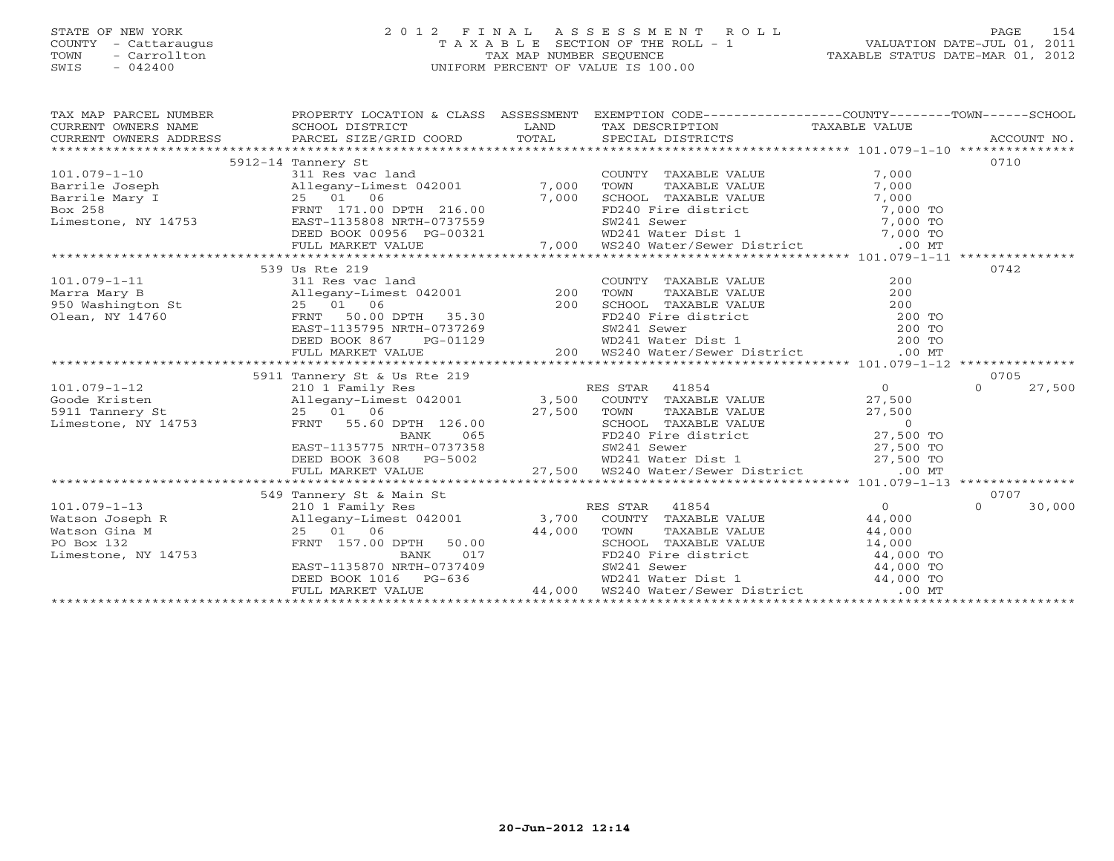# STATE OF NEW YORK 2 0 1 2 F I N A L A S S E S S M E N T R O L L PAGE 154 COUNTY - Cattaraugus T A X A B L E SECTION OF THE ROLL - 1 VALUATION DATE-JUL 01, 2011 TOWN - Carrollton TAX MAP NUMBER SEQUENCE TAXABLE STATUS DATE-MAR 01, 2012 SWIS - 042400 UNIFORM PERCENT OF VALUE IS 100.00

TAX MAP PARCEL NUMBER PROPERTY LOCATION & CLASS ASSESSMENT EXEMPTION CODE-----------------COUNTY-------TOWN------SCHOOL<br>CURRENT OWNERS NAME SCHOOL DISTRICT LAND T

| CURRENT OWNERS NAME                                                                                                                                                                                                                                                                                                                                                                                                                                                                            | SCHOOL DISTRICT AND LAND                                                                                                                                                                                        |               | TAX DESCRIPTION                                                                                                    | TAXABLE VALUE                            |                    |
|------------------------------------------------------------------------------------------------------------------------------------------------------------------------------------------------------------------------------------------------------------------------------------------------------------------------------------------------------------------------------------------------------------------------------------------------------------------------------------------------|-----------------------------------------------------------------------------------------------------------------------------------------------------------------------------------------------------------------|---------------|--------------------------------------------------------------------------------------------------------------------|------------------------------------------|--------------------|
| $\begin{minipage}{0.5in} \begin{minipage}{0.5in} \begin{minipage}{0.5in} \end{minipage} \begin{minipage}{0.5in} \end{minipage} \begin{minipage}{0.5in} \begin{minipage}{0.5in} \end{minipage} \begin{minipage}{0.5in} \begin{minipage}{0.5in} \end{minipage} \begin{minipage}{0.5in} \end{minipage} \begin{minipage}{0.5in} \end{minipage} \begin{minipage}{0.5in} \begin{minipage}{0.5in} \end{minipage} \begin{minipage}{0.5in} \end{minipage} \begin{minipage}{0$<br>CURRENT OWNERS ADDRESS |                                                                                                                                                                                                                 |               |                                                                                                                    |                                          |                    |
|                                                                                                                                                                                                                                                                                                                                                                                                                                                                                                |                                                                                                                                                                                                                 |               |                                                                                                                    |                                          |                    |
|                                                                                                                                                                                                                                                                                                                                                                                                                                                                                                | 5912-14 Tannery St                                                                                                                                                                                              |               |                                                                                                                    |                                          | 0710               |
| $101.079 - 1 - 10$                                                                                                                                                                                                                                                                                                                                                                                                                                                                             |                                                                                                                                                                                                                 |               | COUNTY TAXABLE VALUE                                                                                               | 7,000                                    |                    |
|                                                                                                                                                                                                                                                                                                                                                                                                                                                                                                |                                                                                                                                                                                                                 |               | TAXABLE VALUE<br>TOWN                                                                                              | 7,000                                    |                    |
|                                                                                                                                                                                                                                                                                                                                                                                                                                                                                                |                                                                                                                                                                                                                 |               |                                                                                                                    |                                          |                    |
|                                                                                                                                                                                                                                                                                                                                                                                                                                                                                                |                                                                                                                                                                                                                 |               |                                                                                                                    |                                          |                    |
|                                                                                                                                                                                                                                                                                                                                                                                                                                                                                                |                                                                                                                                                                                                                 |               |                                                                                                                    |                                          |                    |
|                                                                                                                                                                                                                                                                                                                                                                                                                                                                                                |                                                                                                                                                                                                                 |               |                                                                                                                    |                                          |                    |
|                                                                                                                                                                                                                                                                                                                                                                                                                                                                                                |                                                                                                                                                                                                                 |               |                                                                                                                    |                                          |                    |
| Barrile Joseph Allegany-Limest 042001 (25 000 7,000 1000 12 000 7,000 12 000 7,000 12 000 258 FRNT 171.00 DPTH 216.00 7,000 FD240 Fire district 7,000 TO Example William EXT 1135808 NRTH-0737559 EXST-1135808 NRTH-0737559 CE                                                                                                                                                                                                                                                                 |                                                                                                                                                                                                                 |               |                                                                                                                    |                                          |                    |
|                                                                                                                                                                                                                                                                                                                                                                                                                                                                                                | 539 Us Rte 219                                                                                                                                                                                                  |               |                                                                                                                    |                                          | 0742               |
| Marra Mary B<br>Marra Mary B<br>950 Washington St<br>950 Washington St<br>200 SCHOO:<br>200 SCHOO:<br>200 SCHOO:<br>200 SCHOO:<br>200 SCHOO:<br>200 SCHOO:<br>200 SCHOO:<br>200 SCHOO:<br>200 SCHOO:<br>200 SCHOO:<br>200 SCHOO:<br>200 SCHOO:                                                                                                                                                                                                                                                 |                                                                                                                                                                                                                 |               | COUNTY TAXABLE VALUE                                                                                               | 200                                      |                    |
|                                                                                                                                                                                                                                                                                                                                                                                                                                                                                                |                                                                                                                                                                                                                 |               | TAXABLE VALUE                                                                                                      | 200                                      |                    |
|                                                                                                                                                                                                                                                                                                                                                                                                                                                                                                | 25 01 06<br>FRNT 50.00 DPTH 35.30<br>FRNT 50.00 DPTH 35.30<br>EAST-1135795 NRTH-0737269<br>DEED BOOK 867 PG-01129<br>FULL MARKET VALUE<br>PULL MARKET VALUE<br>200 MS240 Water/Sewer District                   |               | SCHOOL TAXABLE VALUE<br>FD240 Fire district<br>SW241 Sewer 200 TO<br>WD241 Water Dist 1 200 TO<br>200 TO<br>200 TO |                                          |                    |
|                                                                                                                                                                                                                                                                                                                                                                                                                                                                                                |                                                                                                                                                                                                                 |               |                                                                                                                    |                                          |                    |
|                                                                                                                                                                                                                                                                                                                                                                                                                                                                                                |                                                                                                                                                                                                                 |               |                                                                                                                    |                                          |                    |
|                                                                                                                                                                                                                                                                                                                                                                                                                                                                                                |                                                                                                                                                                                                                 |               |                                                                                                                    |                                          |                    |
|                                                                                                                                                                                                                                                                                                                                                                                                                                                                                                |                                                                                                                                                                                                                 |               |                                                                                                                    | $.00$ MT                                 |                    |
|                                                                                                                                                                                                                                                                                                                                                                                                                                                                                                |                                                                                                                                                                                                                 |               |                                                                                                                    |                                          |                    |
|                                                                                                                                                                                                                                                                                                                                                                                                                                                                                                | 5911 Tannery St & Us Rte 219                                                                                                                                                                                    |               |                                                                                                                    | $\begin{array}{c}\n0 \\ 27\n\end{array}$ | 0705               |
| ouve Kristen<br>5911 Tannery St<br>10 1 Family<br>5911 Tannery St<br>Limestone, NY 14753<br>25 01 06<br>FRNT<br>55 60                                                                                                                                                                                                                                                                                                                                                                          |                                                                                                                                                                                                                 |               |                                                                                                                    |                                          | $\Omega$<br>27,500 |
|                                                                                                                                                                                                                                                                                                                                                                                                                                                                                                |                                                                                                                                                                                                                 |               |                                                                                                                    |                                          |                    |
|                                                                                                                                                                                                                                                                                                                                                                                                                                                                                                |                                                                                                                                                                                                                 |               |                                                                                                                    |                                          |                    |
|                                                                                                                                                                                                                                                                                                                                                                                                                                                                                                | 27,500<br>FRNT 55.60 DPTH 126.00<br>EAST-1135775 NRTH-0737358<br>DEED BOOK 3608<br>THE ROOK 3608<br>PG-5002<br>THE ROOK 3608<br>PG-5002                                                                         |               | COWN TAXABLE VALUE 27,500<br>SCHOOL TAXABLE VALUE 0<br>FD240 Fire district 27,500 TO<br>SW241 Sewer 27,500 TO      |                                          |                    |
|                                                                                                                                                                                                                                                                                                                                                                                                                                                                                                |                                                                                                                                                                                                                 |               |                                                                                                                    |                                          |                    |
|                                                                                                                                                                                                                                                                                                                                                                                                                                                                                                |                                                                                                                                                                                                                 |               |                                                                                                                    |                                          |                    |
|                                                                                                                                                                                                                                                                                                                                                                                                                                                                                                |                                                                                                                                                                                                                 |               | WD241 Water Dist 1 27,500 TO                                                                                       |                                          |                    |
|                                                                                                                                                                                                                                                                                                                                                                                                                                                                                                | FULL MARKET VALUE                                                                                                                                                                                               |               | 27,500 WS240 Water/Sewer District                                                                                  | $.00$ MT                                 |                    |
|                                                                                                                                                                                                                                                                                                                                                                                                                                                                                                |                                                                                                                                                                                                                 |               |                                                                                                                    |                                          |                    |
|                                                                                                                                                                                                                                                                                                                                                                                                                                                                                                |                                                                                                                                                                                                                 |               |                                                                                                                    |                                          | 0707               |
|                                                                                                                                                                                                                                                                                                                                                                                                                                                                                                |                                                                                                                                                                                                                 |               |                                                                                                                    |                                          | $\Omega$<br>30,000 |
|                                                                                                                                                                                                                                                                                                                                                                                                                                                                                                |                                                                                                                                                                                                                 |               |                                                                                                                    |                                          |                    |
|                                                                                                                                                                                                                                                                                                                                                                                                                                                                                                |                                                                                                                                                                                                                 |               |                                                                                                                    |                                          |                    |
|                                                                                                                                                                                                                                                                                                                                                                                                                                                                                                |                                                                                                                                                                                                                 |               |                                                                                                                    |                                          |                    |
| 101.079-1-13<br>210 1 Family Res<br>Watson Joseph R<br>Watson Soseph R<br>210 1 Family Res<br>210 1 Family Res<br>210 1 Family Res<br>210 1 Family Res<br>210 1 Family Res<br>210 1 Family Res<br>25 01 06<br>25 01 06<br>25 01 06<br>25 01 06<br>25 01 0<br>Limestone, NY 14753                                                                                                                                                                                                               | BANK 017 FD240 Fire district $144,000$ TO<br>DEED BOOK 1016 PG-636 WD241 Sewer 44,000 TO<br>FULL MARKET VALUE 44,000 WD241 Water Dist 1 44,000 TO<br>FULL MARKET VALUE 44,000 WS240 Water/Sewer District .00 MT | $0.00$<br>017 |                                                                                                                    |                                          |                    |
|                                                                                                                                                                                                                                                                                                                                                                                                                                                                                                |                                                                                                                                                                                                                 |               |                                                                                                                    |                                          |                    |
|                                                                                                                                                                                                                                                                                                                                                                                                                                                                                                |                                                                                                                                                                                                                 |               |                                                                                                                    |                                          |                    |
|                                                                                                                                                                                                                                                                                                                                                                                                                                                                                                |                                                                                                                                                                                                                 |               |                                                                                                                    |                                          |                    |
|                                                                                                                                                                                                                                                                                                                                                                                                                                                                                                |                                                                                                                                                                                                                 |               |                                                                                                                    |                                          |                    |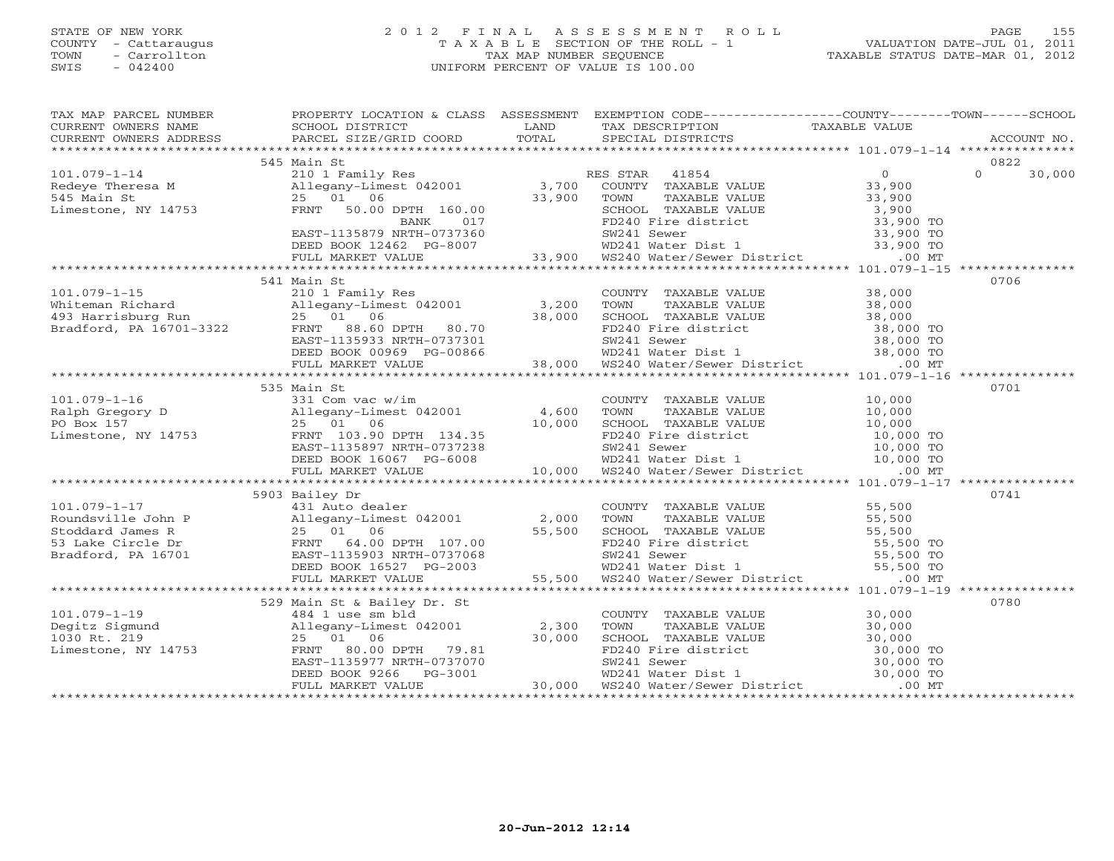## STATE OF NEW YORK 2 0 1 2 F I N A L A S S E S S M E N T R O L L PAGE 155 COUNTY - Cattaraugus T A X A B L E SECTION OF THE ROLL - 1 VALUATION DATE-JUL 01, 2011 TOWN - Carrollton TAX MAP NUMBER SEQUENCE TAXABLE STATUS DATE-MAR 01, 2012 SWIS - 042400 UNIFORM PERCENT OF VALUE IS 100.00UNIFORM PERCENT OF VALUE IS 100.00

| TAX MAP PARCEL NUMBER PROPERTY LOCATION & CLASS ASSESSMENT EXEMPTION CODE--------------COUNTY-------TOWN------SCHOOL                                                                                                                                |                             |  |        |
|-----------------------------------------------------------------------------------------------------------------------------------------------------------------------------------------------------------------------------------------------------|-----------------------------|--|--------|
|                                                                                                                                                                                                                                                     |                             |  |        |
|                                                                                                                                                                                                                                                     |                             |  |        |
|                                                                                                                                                                                                                                                     |                             |  |        |
|                                                                                                                                                                                                                                                     | 545 Main St                 |  | 0822   |
|                                                                                                                                                                                                                                                     |                             |  | 30,000 |
|                                                                                                                                                                                                                                                     |                             |  |        |
|                                                                                                                                                                                                                                                     |                             |  |        |
|                                                                                                                                                                                                                                                     |                             |  |        |
|                                                                                                                                                                                                                                                     |                             |  |        |
|                                                                                                                                                                                                                                                     |                             |  |        |
|                                                                                                                                                                                                                                                     |                             |  |        |
|                                                                                                                                                                                                                                                     |                             |  |        |
|                                                                                                                                                                                                                                                     |                             |  |        |
|                                                                                                                                                                                                                                                     | 541 Main St                 |  | 0706   |
| 101.079-1-15<br>Whiteman Richard 210 1 Family Res COUNTY TAXABLE VALUE 38,000<br>493 Harrisburg Run 25 01 06 38,000 SCHOOL TAXABLE VALUE 38,000<br>87adford, PA 16701-3322 FRNT 88.60 DPTH 80.70 58.000 FD240 FaxABLE VALUE 38,000<br>              |                             |  |        |
|                                                                                                                                                                                                                                                     |                             |  |        |
|                                                                                                                                                                                                                                                     |                             |  |        |
|                                                                                                                                                                                                                                                     |                             |  |        |
|                                                                                                                                                                                                                                                     |                             |  |        |
|                                                                                                                                                                                                                                                     |                             |  |        |
|                                                                                                                                                                                                                                                     |                             |  |        |
|                                                                                                                                                                                                                                                     |                             |  |        |
|                                                                                                                                                                                                                                                     | 535 Main St                 |  | 0701   |
|                                                                                                                                                                                                                                                     |                             |  |        |
|                                                                                                                                                                                                                                                     |                             |  |        |
|                                                                                                                                                                                                                                                     |                             |  |        |
|                                                                                                                                                                                                                                                     |                             |  |        |
|                                                                                                                                                                                                                                                     |                             |  |        |
|                                                                                                                                                                                                                                                     |                             |  |        |
|                                                                                                                                                                                                                                                     |                             |  |        |
|                                                                                                                                                                                                                                                     |                             |  |        |
|                                                                                                                                                                                                                                                     | 5903 Bailey Dr              |  | 0741   |
|                                                                                                                                                                                                                                                     |                             |  |        |
|                                                                                                                                                                                                                                                     |                             |  |        |
|                                                                                                                                                                                                                                                     |                             |  |        |
| $[101.079-1-17$ 5903 Bailey Dr<br>Roundsville John P<br>Roundsville John P<br>Stoddard James R<br>Stoddard James R<br>Stoddard James R<br>Stoddard James R<br>Stoddard James R<br>Stoddard James R<br>Stoddard James R<br>Stoddard James R<br>Stodd |                             |  |        |
|                                                                                                                                                                                                                                                     |                             |  |        |
|                                                                                                                                                                                                                                                     |                             |  |        |
|                                                                                                                                                                                                                                                     |                             |  |        |
|                                                                                                                                                                                                                                                     |                             |  |        |
|                                                                                                                                                                                                                                                     | 529 Main St & Bailey Dr. St |  | 0780   |
|                                                                                                                                                                                                                                                     |                             |  |        |
|                                                                                                                                                                                                                                                     |                             |  |        |
|                                                                                                                                                                                                                                                     |                             |  |        |
|                                                                                                                                                                                                                                                     |                             |  |        |
|                                                                                                                                                                                                                                                     |                             |  |        |
|                                                                                                                                                                                                                                                     |                             |  |        |
|                                                                                                                                                                                                                                                     |                             |  |        |
|                                                                                                                                                                                                                                                     |                             |  |        |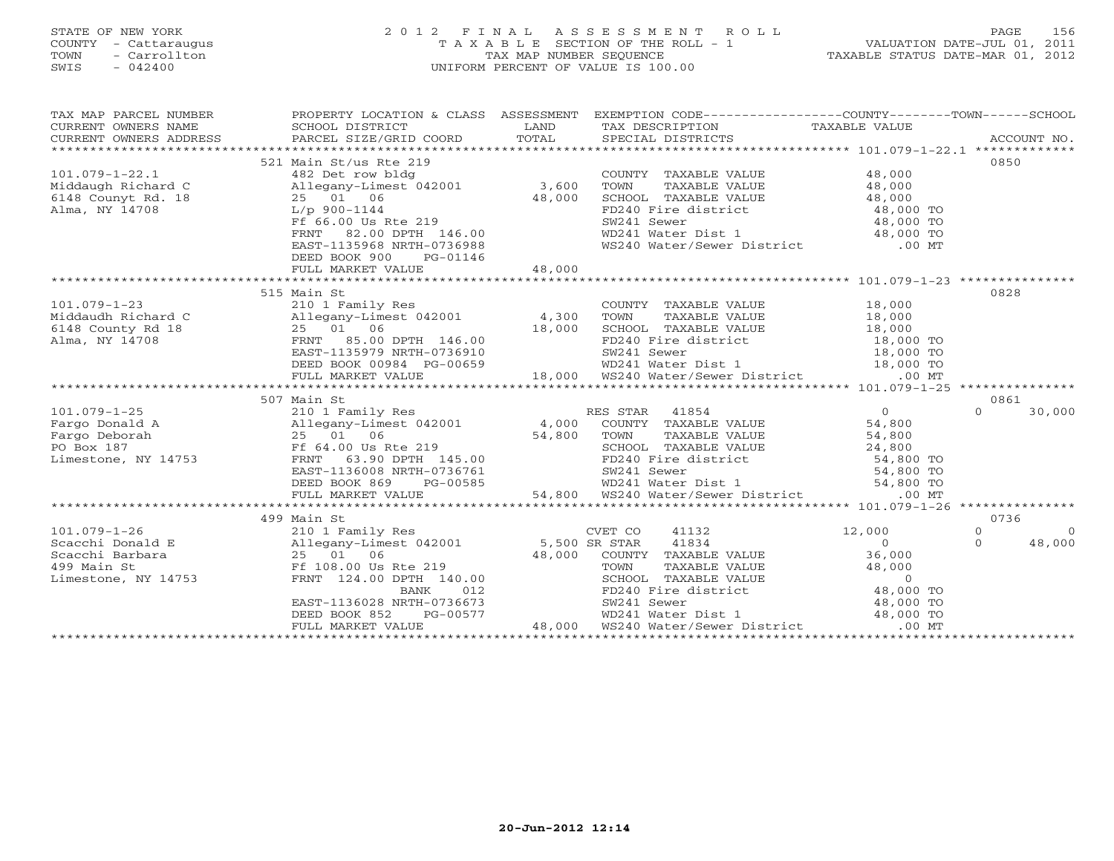# STATE OF NEW YORK 2 0 1 2 F I N A L A S S E S S M E N T R O L L PAGE 156 COUNTY - Cattaraugus T A X A B L E SECTION OF THE ROLL - 1 VALUATION DATE-JUL 01, 2011 TOWN - Carrollton TAX MAP NUMBER SEQUENCE TAXABLE STATUS DATE-MAR 01, 2012 SWIS - 042400 UNIFORM PERCENT OF VALUE IS 100.00UNIFORM PERCENT OF VALUE IS 100.00

| TAX MAP PARCEL NUMBER<br>CURRENT OWNERS NAME<br>CURRENT OWNERS ADDRESS                                                                                                                                                                                                                   | PROPERTY LOCATION & CLASS ASSESSMENT EXEMPTION CODE----------------COUNTY-------TOWN------SCHOOL                                                                                                                                         |                                                                                                                                                    |                |                            |
|------------------------------------------------------------------------------------------------------------------------------------------------------------------------------------------------------------------------------------------------------------------------------------------|------------------------------------------------------------------------------------------------------------------------------------------------------------------------------------------------------------------------------------------|----------------------------------------------------------------------------------------------------------------------------------------------------|----------------|----------------------------|
|                                                                                                                                                                                                                                                                                          |                                                                                                                                                                                                                                          |                                                                                                                                                    |                |                            |
|                                                                                                                                                                                                                                                                                          | 521 Main St/us Rte 219                                                                                                                                                                                                                   |                                                                                                                                                    |                | 0850                       |
| $101.079 - 1 - 22.1$                                                                                                                                                                                                                                                                     | 482 Det row bldg                                                                                                                                                                                                                         | COUNTY TAXABLE VALUE                                                                                                                               | 48,000         |                            |
| Middaugh Richard C                                                                                                                                                                                                                                                                       | Allegany-Limest 042001 3,600                                                                                                                                                                                                             | TAXABLE VALUE 48,000<br>TOWN                                                                                                                       |                |                            |
| 6148 Counyt Rd. 18                                                                                                                                                                                                                                                                       |                                                                                                                                                                                                                                          |                                                                                                                                                    |                |                            |
|                                                                                                                                                                                                                                                                                          | 18 $25 \t 01 \t 06$<br>L/p 900-1144                                                                                                                                                                                                      |                                                                                                                                                    |                |                            |
| Alma, NY 14708                                                                                                                                                                                                                                                                           |                                                                                                                                                                                                                                          |                                                                                                                                                    |                |                            |
|                                                                                                                                                                                                                                                                                          |                                                                                                                                                                                                                                          |                                                                                                                                                    |                |                            |
|                                                                                                                                                                                                                                                                                          | 25 01 06 48,000<br>L/p 900-1144<br>Ff 66.00 Us Rte 219<br>FRNT 82.00 DPTH 146.00<br>EAST-1135968 NRTH-0736988                                                                                                                            | SCHOOL TAXABLE VALUE<br>FD240 Fire district<br>FD240 Fire district<br>SW241 Sewer<br>WD241 Water Dist 1<br>WS240 Water/Sewer District<br>00 MT     |                |                            |
|                                                                                                                                                                                                                                                                                          |                                                                                                                                                                                                                                          |                                                                                                                                                    |                |                            |
|                                                                                                                                                                                                                                                                                          | PG-01146<br>DEED BOOK 900                                                                                                                                                                                                                |                                                                                                                                                    |                |                            |
|                                                                                                                                                                                                                                                                                          |                                                                                                                                                                                                                                          |                                                                                                                                                    |                |                            |
|                                                                                                                                                                                                                                                                                          |                                                                                                                                                                                                                                          |                                                                                                                                                    |                | 0828                       |
|                                                                                                                                                                                                                                                                                          | 515 Main St                                                                                                                                                                                                                              |                                                                                                                                                    |                |                            |
|                                                                                                                                                                                                                                                                                          |                                                                                                                                                                                                                                          |                                                                                                                                                    |                |                            |
|                                                                                                                                                                                                                                                                                          |                                                                                                                                                                                                                                          |                                                                                                                                                    |                |                            |
|                                                                                                                                                                                                                                                                                          |                                                                                                                                                                                                                                          |                                                                                                                                                    |                |                            |
| 101.079-1-23<br>Middaudh Richard C Allegany-Limest 042001 4,300 TOWN<br>6148 County Rd 18 25 01 06 18,000 SCHOO<br>Alma, NY 14708 FRNT 85.00 DPTH 146.00 FD240<br>EAST-1135979 NRTH-0736910 SW241<br>EAST-1135979 NRTH-0736910 SW241                                                     |                                                                                                                                                                                                                                          |                                                                                                                                                    |                |                            |
|                                                                                                                                                                                                                                                                                          |                                                                                                                                                                                                                                          |                                                                                                                                                    |                |                            |
|                                                                                                                                                                                                                                                                                          |                                                                                                                                                                                                                                          |                                                                                                                                                    |                |                            |
|                                                                                                                                                                                                                                                                                          |                                                                                                                                                                                                                                          |                                                                                                                                                    |                |                            |
| $\begin{array}{cccccccc} 01.079-1-23 & 515 & \text{Main St} & 0248 & 000 & 0000 & 0000 & 0000 & 0000 & 0000 & 0000 & 0000 & 0000 & 0000 & 0000 & 0000 & 0000 & 0000 & 0000 & 0000 & 0000 & 0000 & 0000 & 0000 & 0000 & 0000 & 0000 & 0000 & 0000 & 0000 & 0000 & 0000 & 0000 & 0000 & 0$ |                                                                                                                                                                                                                                          |                                                                                                                                                    |                |                            |
|                                                                                                                                                                                                                                                                                          | 507 Main St                                                                                                                                                                                                                              |                                                                                                                                                    |                | 0861                       |
|                                                                                                                                                                                                                                                                                          |                                                                                                                                                                                                                                          |                                                                                                                                                    |                | $\Omega$<br>30,000         |
|                                                                                                                                                                                                                                                                                          |                                                                                                                                                                                                                                          |                                                                                                                                                    |                |                            |
|                                                                                                                                                                                                                                                                                          |                                                                                                                                                                                                                                          |                                                                                                                                                    |                |                            |
|                                                                                                                                                                                                                                                                                          |                                                                                                                                                                                                                                          |                                                                                                                                                    |                |                            |
|                                                                                                                                                                                                                                                                                          |                                                                                                                                                                                                                                          |                                                                                                                                                    |                |                            |
|                                                                                                                                                                                                                                                                                          |                                                                                                                                                                                                                                          |                                                                                                                                                    |                |                            |
|                                                                                                                                                                                                                                                                                          |                                                                                                                                                                                                                                          |                                                                                                                                                    |                |                            |
|                                                                                                                                                                                                                                                                                          | 190 Deboran 23 23 01 00 Rte 219<br>Pox 187 F 64.00 Us Rte 219<br>mestone, NY 14753 FRNT 63.90 DPTH 145.00<br>EAST-1136008 NRTH-0736761 54,800 TO<br>DEED BOOK 869 PG-00585 WD241 Water Dist 1 54,800 TO<br>FULL MARKET VALUE 54,800 WS24 |                                                                                                                                                    |                |                            |
|                                                                                                                                                                                                                                                                                          |                                                                                                                                                                                                                                          |                                                                                                                                                    |                |                            |
|                                                                                                                                                                                                                                                                                          | 499 Main St                                                                                                                                                                                                                              |                                                                                                                                                    |                | 0736                       |
|                                                                                                                                                                                                                                                                                          |                                                                                                                                                                                                                                          | CVET CO 41132                                                                                                                                      | 12,000         | $\Omega$<br>$\overline{0}$ |
|                                                                                                                                                                                                                                                                                          |                                                                                                                                                                                                                                          | 41834                                                                                                                                              | $\overline{0}$ | $\Omega$<br>48,000         |
|                                                                                                                                                                                                                                                                                          |                                                                                                                                                                                                                                          | COUNTY TAXABLE VALUE                                                                                                                               | 36,000         |                            |
|                                                                                                                                                                                                                                                                                          |                                                                                                                                                                                                                                          |                                                                                                                                                    |                |                            |
|                                                                                                                                                                                                                                                                                          |                                                                                                                                                                                                                                          | TOWN TAXABLE VALUE 48,000<br>SCHOOL TAXABLE VALUE 48,000<br>FD240 Fire district 48,000 TO<br>SW241 Sewer 48,000 TO<br>WD241 Water Dist 1 48,000 TO |                |                            |
|                                                                                                                                                                                                                                                                                          |                                                                                                                                                                                                                                          |                                                                                                                                                    |                |                            |
|                                                                                                                                                                                                                                                                                          |                                                                                                                                                                                                                                          |                                                                                                                                                    |                |                            |
|                                                                                                                                                                                                                                                                                          |                                                                                                                                                                                                                                          |                                                                                                                                                    |                |                            |
|                                                                                                                                                                                                                                                                                          | 25 01 06 28,000 5H<br>PF 108.00 Us Rte 219<br>FRNT 124.00 DPTH 140.00<br>BANK 012<br>EAST-1136028 NRTH-0736673<br>DEED BOOK 852 PG-00577<br>FULL MARKET VALUE                                                                            | WS240 Water/Sewer District .00 MT                                                                                                                  |                |                            |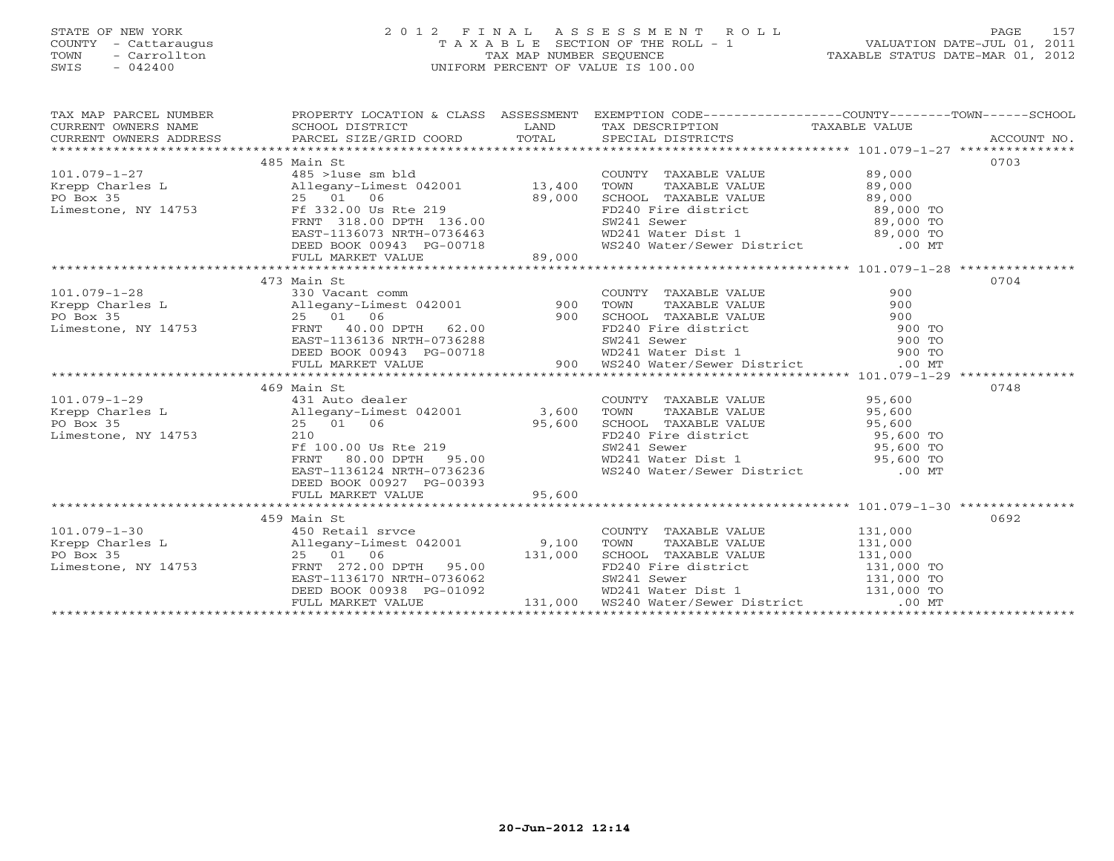# STATE OF NEW YORK 2 0 1 2 F I N A L A S S E S S M E N T R O L L PAGE 157 COUNTY - Cattaraugus T A X A B L E SECTION OF THE ROLL - 1 VALUATION DATE-JUL 01, 2011 TOWN - Carrollton TAX MAP NUMBER SEQUENCE TAXABLE STATUS DATE-MAR 01, 2012 SWIS - 042400 UNIFORM PERCENT OF VALUE IS 100.00UNIFORM PERCENT OF VALUE IS 100.00

| $\begin{tabular}{lllllllllll} \textsc{rank} & \textsc{rank} & \textsc{pr} & \textsc{pr} & \textsc{pr} & \textsc{pr} & \textsc{pr} & \textsc{pr} & \textsc{pr} & \textsc{pr} & \textsc{pr} & \textsc{pr} & \textsc{pr} & \textsc{pr} & \textsc{pr} & \textsc{pr} & \textsc{pr} & \textsc{pr} & \textsc{pr} & \textsc{pr} & \textsc{pr} & \textsc{pr} & \textsc{pr} & \textsc{pr} & \textsc{pr} & \textsc{pr} & \textsc{pr} & \textsc{pr} & \textsc{pr} & \textsc{$ |                          |                                                                                                                       |      |  |
|-------------------------------------------------------------------------------------------------------------------------------------------------------------------------------------------------------------------------------------------------------------------------------------------------------------------------------------------------------------------------------------------------------------------------------------------------------------------|--------------------------|-----------------------------------------------------------------------------------------------------------------------|------|--|
|                                                                                                                                                                                                                                                                                                                                                                                                                                                                   | 485 Main St              |                                                                                                                       | 0703 |  |
|                                                                                                                                                                                                                                                                                                                                                                                                                                                                   |                          |                                                                                                                       |      |  |
|                                                                                                                                                                                                                                                                                                                                                                                                                                                                   |                          |                                                                                                                       |      |  |
|                                                                                                                                                                                                                                                                                                                                                                                                                                                                   |                          |                                                                                                                       |      |  |
|                                                                                                                                                                                                                                                                                                                                                                                                                                                                   |                          |                                                                                                                       |      |  |
|                                                                                                                                                                                                                                                                                                                                                                                                                                                                   |                          |                                                                                                                       |      |  |
|                                                                                                                                                                                                                                                                                                                                                                                                                                                                   |                          |                                                                                                                       |      |  |
|                                                                                                                                                                                                                                                                                                                                                                                                                                                                   |                          |                                                                                                                       |      |  |
|                                                                                                                                                                                                                                                                                                                                                                                                                                                                   |                          |                                                                                                                       |      |  |
|                                                                                                                                                                                                                                                                                                                                                                                                                                                                   |                          |                                                                                                                       |      |  |
|                                                                                                                                                                                                                                                                                                                                                                                                                                                                   | 473 Main St              |                                                                                                                       | 0704 |  |
|                                                                                                                                                                                                                                                                                                                                                                                                                                                                   |                          |                                                                                                                       |      |  |
|                                                                                                                                                                                                                                                                                                                                                                                                                                                                   |                          |                                                                                                                       |      |  |
|                                                                                                                                                                                                                                                                                                                                                                                                                                                                   |                          |                                                                                                                       |      |  |
|                                                                                                                                                                                                                                                                                                                                                                                                                                                                   |                          |                                                                                                                       |      |  |
|                                                                                                                                                                                                                                                                                                                                                                                                                                                                   |                          |                                                                                                                       |      |  |
|                                                                                                                                                                                                                                                                                                                                                                                                                                                                   |                          |                                                                                                                       |      |  |
|                                                                                                                                                                                                                                                                                                                                                                                                                                                                   |                          |                                                                                                                       |      |  |
|                                                                                                                                                                                                                                                                                                                                                                                                                                                                   |                          |                                                                                                                       |      |  |
|                                                                                                                                                                                                                                                                                                                                                                                                                                                                   | 469 Main St              |                                                                                                                       | 0748 |  |
|                                                                                                                                                                                                                                                                                                                                                                                                                                                                   |                          |                                                                                                                       |      |  |
|                                                                                                                                                                                                                                                                                                                                                                                                                                                                   |                          |                                                                                                                       |      |  |
|                                                                                                                                                                                                                                                                                                                                                                                                                                                                   |                          |                                                                                                                       |      |  |
|                                                                                                                                                                                                                                                                                                                                                                                                                                                                   |                          |                                                                                                                       |      |  |
|                                                                                                                                                                                                                                                                                                                                                                                                                                                                   |                          |                                                                                                                       |      |  |
|                                                                                                                                                                                                                                                                                                                                                                                                                                                                   |                          |                                                                                                                       |      |  |
|                                                                                                                                                                                                                                                                                                                                                                                                                                                                   |                          |                                                                                                                       |      |  |
|                                                                                                                                                                                                                                                                                                                                                                                                                                                                   | DEED BOOK 00927 PG-00393 |                                                                                                                       |      |  |
|                                                                                                                                                                                                                                                                                                                                                                                                                                                                   |                          |                                                                                                                       |      |  |
|                                                                                                                                                                                                                                                                                                                                                                                                                                                                   |                          |                                                                                                                       |      |  |
|                                                                                                                                                                                                                                                                                                                                                                                                                                                                   | 459 Main St              |                                                                                                                       | 0692 |  |
|                                                                                                                                                                                                                                                                                                                                                                                                                                                                   |                          |                                                                                                                       |      |  |
|                                                                                                                                                                                                                                                                                                                                                                                                                                                                   |                          |                                                                                                                       |      |  |
|                                                                                                                                                                                                                                                                                                                                                                                                                                                                   |                          |                                                                                                                       |      |  |
| 101.079-1-30<br>Exercise 131,000<br>Exercise 131,000<br>Exercise 131,000<br>Po Box 35<br>Limestone, NY 14753<br>Exercise 136170 NRTH-0736062<br>Exercise 131,000<br>Exercise 131,000<br>Exercise 131,000<br>Exercise 131,000<br>Exercise 131,000<br>Ex                                                                                                                                                                                                            |                          |                                                                                                                       |      |  |
|                                                                                                                                                                                                                                                                                                                                                                                                                                                                   |                          |                                                                                                                       |      |  |
|                                                                                                                                                                                                                                                                                                                                                                                                                                                                   |                          | DEED BOOK 00938 PG-01092 WD241 Water Dist 1 131,000 TO<br>FULL MARKET VALUE 131,000 WS240 Water/Sewer District .00 MT |      |  |
|                                                                                                                                                                                                                                                                                                                                                                                                                                                                   |                          |                                                                                                                       |      |  |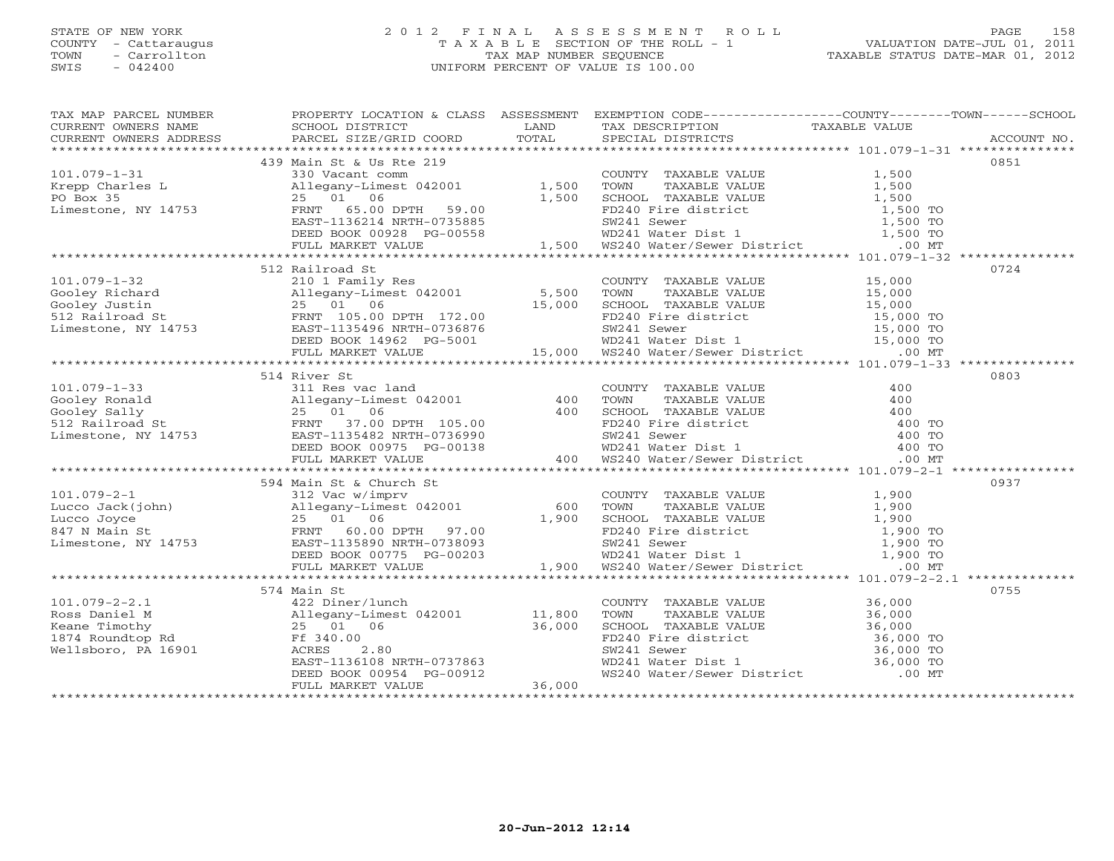## STATE OF NEW YORK 2 0 1 2 F I N A L A S S E S S M E N T R O L L PAGE 158 COUNTY - Cattaraugus T A X A B L E SECTION OF THE ROLL - 1 VALUATION DATE-JUL 01, 2011 TOWN - Carrollton TAX MAP NUMBER SEQUENCE TAXABLE STATUS DATE-MAR 01, 2012 SWIS - 042400 UNIFORM PERCENT OF VALUE IS 100.00UNIFORM PERCENT OF VALUE IS 100.00

| EXAMPLE NOTICES AND EXAMPLE SCHOOL DISTRICT LAND LAND TAXAGETER TAKENT OWNERS ADDRESS SCHOOL DISTRICT LAND TAXAGETER TO TAXABLE VALUE<br>CURRENT OWNERS ADDRESS PARCEL SIZE/GRID COORD TOTAL SPECIAL DISTRICTS ACCOUNT NO.<br>******<br>512 Railroad St<br>0724<br>$\begin{array}{cccccc} 101.079-1-32 & 512 & 1811rod 210 & 1800 & 15000 & 0724 \\ 210 & 18000 & 25 & 010 & 0100 & 0100 & 0100 \\ 310 & 210 & 18000 & 25 & 010 & 0100 & 0100 & 0100 \\ 52 & 210 & 25 & 010 & 010 & 0100 & 015000 & 015000 & 01000 \\ 53 & 22 & 010 & 010 & 0100 & 015$<br>514 River St<br>0803<br>0755 |  |  | TAX MAP PARCEL NUMBER THE PROPERTY LOCATION & CLASS ASSESSMENT EXEMPTION CODE--------------COUNTY-------TOWN------SCHOOL |
|-----------------------------------------------------------------------------------------------------------------------------------------------------------------------------------------------------------------------------------------------------------------------------------------------------------------------------------------------------------------------------------------------------------------------------------------------------------------------------------------------------------------------------------------------------------------------------------------|--|--|--------------------------------------------------------------------------------------------------------------------------|
|                                                                                                                                                                                                                                                                                                                                                                                                                                                                                                                                                                                         |  |  |                                                                                                                          |
|                                                                                                                                                                                                                                                                                                                                                                                                                                                                                                                                                                                         |  |  |                                                                                                                          |
|                                                                                                                                                                                                                                                                                                                                                                                                                                                                                                                                                                                         |  |  |                                                                                                                          |
|                                                                                                                                                                                                                                                                                                                                                                                                                                                                                                                                                                                         |  |  |                                                                                                                          |
|                                                                                                                                                                                                                                                                                                                                                                                                                                                                                                                                                                                         |  |  |                                                                                                                          |
|                                                                                                                                                                                                                                                                                                                                                                                                                                                                                                                                                                                         |  |  |                                                                                                                          |
|                                                                                                                                                                                                                                                                                                                                                                                                                                                                                                                                                                                         |  |  |                                                                                                                          |
|                                                                                                                                                                                                                                                                                                                                                                                                                                                                                                                                                                                         |  |  |                                                                                                                          |
|                                                                                                                                                                                                                                                                                                                                                                                                                                                                                                                                                                                         |  |  |                                                                                                                          |
|                                                                                                                                                                                                                                                                                                                                                                                                                                                                                                                                                                                         |  |  |                                                                                                                          |
|                                                                                                                                                                                                                                                                                                                                                                                                                                                                                                                                                                                         |  |  |                                                                                                                          |
|                                                                                                                                                                                                                                                                                                                                                                                                                                                                                                                                                                                         |  |  |                                                                                                                          |
|                                                                                                                                                                                                                                                                                                                                                                                                                                                                                                                                                                                         |  |  |                                                                                                                          |
|                                                                                                                                                                                                                                                                                                                                                                                                                                                                                                                                                                                         |  |  |                                                                                                                          |
|                                                                                                                                                                                                                                                                                                                                                                                                                                                                                                                                                                                         |  |  |                                                                                                                          |
|                                                                                                                                                                                                                                                                                                                                                                                                                                                                                                                                                                                         |  |  |                                                                                                                          |
|                                                                                                                                                                                                                                                                                                                                                                                                                                                                                                                                                                                         |  |  |                                                                                                                          |
|                                                                                                                                                                                                                                                                                                                                                                                                                                                                                                                                                                                         |  |  |                                                                                                                          |
|                                                                                                                                                                                                                                                                                                                                                                                                                                                                                                                                                                                         |  |  |                                                                                                                          |
|                                                                                                                                                                                                                                                                                                                                                                                                                                                                                                                                                                                         |  |  |                                                                                                                          |
|                                                                                                                                                                                                                                                                                                                                                                                                                                                                                                                                                                                         |  |  |                                                                                                                          |
|                                                                                                                                                                                                                                                                                                                                                                                                                                                                                                                                                                                         |  |  |                                                                                                                          |
|                                                                                                                                                                                                                                                                                                                                                                                                                                                                                                                                                                                         |  |  |                                                                                                                          |
|                                                                                                                                                                                                                                                                                                                                                                                                                                                                                                                                                                                         |  |  |                                                                                                                          |
|                                                                                                                                                                                                                                                                                                                                                                                                                                                                                                                                                                                         |  |  |                                                                                                                          |
|                                                                                                                                                                                                                                                                                                                                                                                                                                                                                                                                                                                         |  |  |                                                                                                                          |
|                                                                                                                                                                                                                                                                                                                                                                                                                                                                                                                                                                                         |  |  |                                                                                                                          |
|                                                                                                                                                                                                                                                                                                                                                                                                                                                                                                                                                                                         |  |  |                                                                                                                          |
|                                                                                                                                                                                                                                                                                                                                                                                                                                                                                                                                                                                         |  |  |                                                                                                                          |
|                                                                                                                                                                                                                                                                                                                                                                                                                                                                                                                                                                                         |  |  |                                                                                                                          |
|                                                                                                                                                                                                                                                                                                                                                                                                                                                                                                                                                                                         |  |  |                                                                                                                          |
|                                                                                                                                                                                                                                                                                                                                                                                                                                                                                                                                                                                         |  |  |                                                                                                                          |
|                                                                                                                                                                                                                                                                                                                                                                                                                                                                                                                                                                                         |  |  |                                                                                                                          |
|                                                                                                                                                                                                                                                                                                                                                                                                                                                                                                                                                                                         |  |  |                                                                                                                          |
|                                                                                                                                                                                                                                                                                                                                                                                                                                                                                                                                                                                         |  |  |                                                                                                                          |
|                                                                                                                                                                                                                                                                                                                                                                                                                                                                                                                                                                                         |  |  |                                                                                                                          |
|                                                                                                                                                                                                                                                                                                                                                                                                                                                                                                                                                                                         |  |  |                                                                                                                          |
|                                                                                                                                                                                                                                                                                                                                                                                                                                                                                                                                                                                         |  |  |                                                                                                                          |
|                                                                                                                                                                                                                                                                                                                                                                                                                                                                                                                                                                                         |  |  |                                                                                                                          |
|                                                                                                                                                                                                                                                                                                                                                                                                                                                                                                                                                                                         |  |  |                                                                                                                          |
|                                                                                                                                                                                                                                                                                                                                                                                                                                                                                                                                                                                         |  |  |                                                                                                                          |
|                                                                                                                                                                                                                                                                                                                                                                                                                                                                                                                                                                                         |  |  |                                                                                                                          |
|                                                                                                                                                                                                                                                                                                                                                                                                                                                                                                                                                                                         |  |  |                                                                                                                          |
|                                                                                                                                                                                                                                                                                                                                                                                                                                                                                                                                                                                         |  |  |                                                                                                                          |
|                                                                                                                                                                                                                                                                                                                                                                                                                                                                                                                                                                                         |  |  |                                                                                                                          |
|                                                                                                                                                                                                                                                                                                                                                                                                                                                                                                                                                                                         |  |  |                                                                                                                          |
|                                                                                                                                                                                                                                                                                                                                                                                                                                                                                                                                                                                         |  |  |                                                                                                                          |
|                                                                                                                                                                                                                                                                                                                                                                                                                                                                                                                                                                                         |  |  |                                                                                                                          |
|                                                                                                                                                                                                                                                                                                                                                                                                                                                                                                                                                                                         |  |  |                                                                                                                          |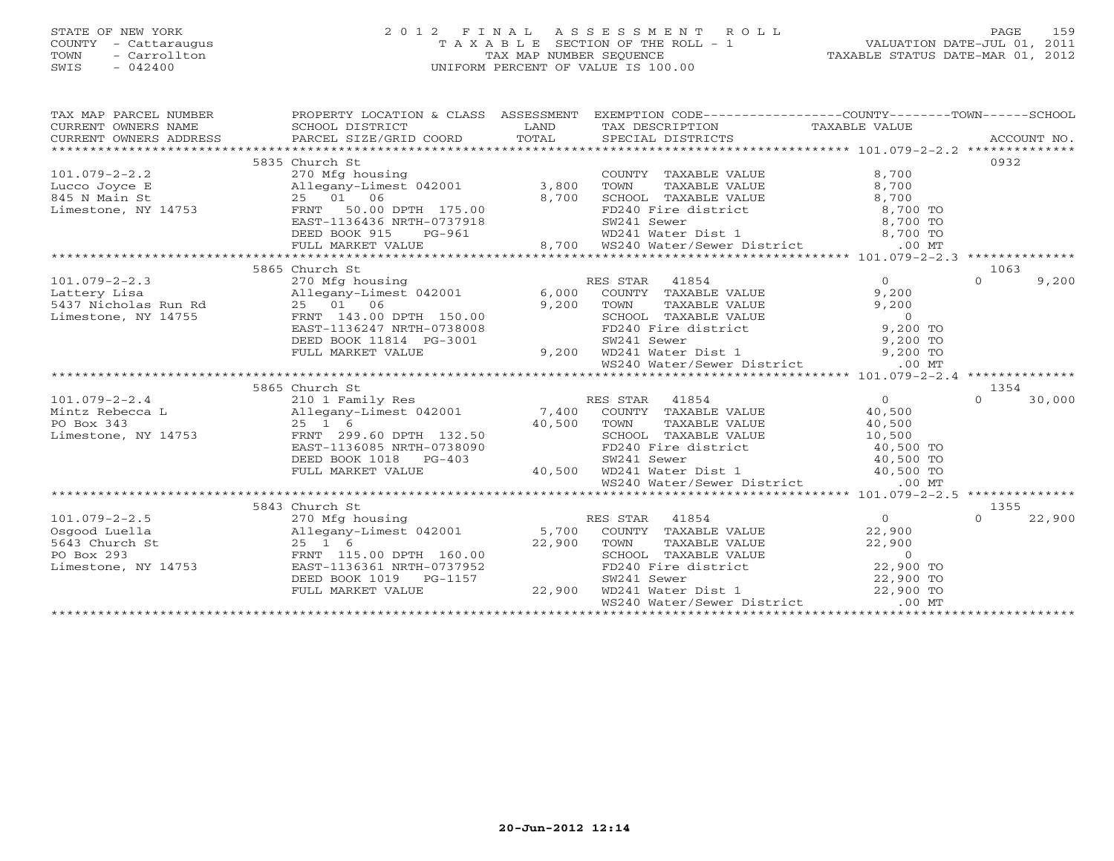# STATE OF NEW YORK 2 0 1 2 F I N A L A S S E S S M E N T R O L L PAGE 159 COUNTY - Cattaraugus T A X A B L E SECTION OF THE ROLL - 1 VALUATION DATE-JUL 01, 2011 TOWN - Carrollton TAX MAP NUMBER SEQUENCE TAXABLE STATUS DATE-MAR 01, 2012 SWIS - 042400 UNIFORM PERCENT OF VALUE IS 100.00UNIFORM PERCENT OF VALUE IS 100.00

| TAX MAP PARCEL NUMBER<br>CURRENT OWNERS NAME<br>CURRENT OWNERS NAME<br>CURRENT OWNERS ADDRESS | PROPERTY LOCATION & CLASS ASSESSMENT EXEMPTION CODE---------------COUNTY-------TOWN------SCHOOL |        |                                                                                                                                                                                    |                       |                    |
|-----------------------------------------------------------------------------------------------|-------------------------------------------------------------------------------------------------|--------|------------------------------------------------------------------------------------------------------------------------------------------------------------------------------------|-----------------------|--------------------|
|                                                                                               |                                                                                                 |        |                                                                                                                                                                                    |                       |                    |
|                                                                                               | 5835 Church St                                                                                  |        |                                                                                                                                                                                    |                       | 0932               |
| $101.079 - 2 - 2.2$                                                                           | 270 Mfg housing                                                                                 |        | COUNTY TAXABLE VALUE<br>TOWN      TAXABLE VALUE                                                                                                                                    | 8,700                 |                    |
| Lucco Joyce E                                                                                 | Allegany-Limest 042001 3,800                                                                    |        |                                                                                                                                                                                    | 8,700                 |                    |
| 845 N Main St                                                                                 | 25 01 06                                                                                        |        |                                                                                                                                                                                    |                       |                    |
| Limestone, NY 14753                                                                           | FRNT<br>50.00 DPTH 175.00                                                                       |        |                                                                                                                                                                                    |                       |                    |
|                                                                                               | EAST-1136436 NRTH-0737918                                                                       |        |                                                                                                                                                                                    |                       |                    |
|                                                                                               | DEED BOOK 915<br>PG-961                                                                         |        |                                                                                                                                                                                    |                       |                    |
|                                                                                               | FULL MARKET VALUE                                                                               |        | 3,300 IOMN TAXABLE VALUE<br>8,700 SCHOOL TAXABLE VALUE 8,700<br>T37918 SW241 Sewer 8,700 TO<br>961 8,700 WS240 Water/Sewer District 8,700 TO<br>8,700 TO 241 Water Dist 1 8,700 TO |                       |                    |
|                                                                                               |                                                                                                 |        |                                                                                                                                                                                    |                       |                    |
|                                                                                               | 5865 Church St                                                                                  |        |                                                                                                                                                                                    |                       | 1063               |
| $101.079 - 2 - 2.3$                                                                           | 270 Mfg housing                                                                                 |        | RES STAR 41854                                                                                                                                                                     | $\Omega$              | 9,200<br>$\Omega$  |
| Lattery Lisa                                                                                  | Allegany-Limest 042001 6,000                                                                    |        | COUNTY TAXABLE VALUE                                                                                                                                                               | 9,200                 |                    |
|                                                                                               |                                                                                                 | 9,200  |                                                                                                                                                                                    |                       |                    |
|                                                                                               |                                                                                                 |        | POWN TAXABLE VALUE<br>SCHOOL TAXABLE VALUE<br>FD240 Fire district 9,200 TO                                                                                                         |                       |                    |
|                                                                                               | EAST-1136247 NRTH-0738008                                                                       |        |                                                                                                                                                                                    |                       |                    |
|                                                                                               | DEED BOOK 11814 PG-3001                                                                         |        | 9,200 TO<br>9,200 WD241 Water Dist 1<br>9,200 TO<br>WS240 Water/Sewer District<br>.00 MT                                                                                           |                       |                    |
|                                                                                               | FULL MARKET VALUE                                                                               |        |                                                                                                                                                                                    |                       |                    |
|                                                                                               |                                                                                                 |        |                                                                                                                                                                                    |                       |                    |
|                                                                                               |                                                                                                 |        |                                                                                                                                                                                    |                       |                    |
|                                                                                               |                                                                                                 |        |                                                                                                                                                                                    |                       | 1354               |
| $101.079 - 2 - 2.4$                                                                           |                                                                                                 |        |                                                                                                                                                                                    | $\Omega$              | $\Omega$<br>30,000 |
| Mintz Rebecca L                                                                               |                                                                                                 |        |                                                                                                                                                                                    | 40,500                |                    |
| PO Box 343                                                                                    |                                                                                                 |        |                                                                                                                                                                                    | 40,500                |                    |
| Limestone, NY 14753                                                                           | FRNT 299.60 DPTH 132.50                                                                         |        | SCHOOL TAXABLE VALUE                                                                                                                                                               | 10,500                |                    |
|                                                                                               | EAST-1136085 NRTH-0738090                                                                       |        |                                                                                                                                                                                    |                       |                    |
|                                                                                               | DEED BOOK 1018 PG-403                                                                           |        | FD240 Fire district $\begin{array}{ccc}\n 40,500 & \text{TO} \\  500 & \text{TO} \\  40,500 & \text{TO} \\  40,500 & \text{TO}\n\end{array}$                                       |                       |                    |
|                                                                                               | FULL MARKET VALUE                                                                               | 40,500 |                                                                                                                                                                                    |                       |                    |
|                                                                                               |                                                                                                 |        | WS240 Water/Sewer District                                                                                                                                                         | $.00$ MT              |                    |
|                                                                                               |                                                                                                 |        |                                                                                                                                                                                    |                       |                    |
|                                                                                               | 5843 Church St                                                                                  |        |                                                                                                                                                                                    |                       | 1355               |
| $101.079 - 2 - 2.5$                                                                           | 270 Mfg housing                                                                                 |        | 41854<br>RES STAR                                                                                                                                                                  | $\overline{0}$        | 22,900<br>$\Omega$ |
| Osgood Luella                                                                                 |                                                                                                 |        | COUNTY TAXABLE VALUE                                                                                                                                                               | 22,900                |                    |
| 5643 Church St                                                                                | Allegany-Limest 042001 5,700<br>25 1 6 22,900<br>FRNT 115.00 DPTH 160.00                        |        | TOWN TAXABLE VALUE 22,900<br>SCHOOL TAXABLE VALUE 0<br>FD240 Fire district 22,900 TO                                                                                               |                       |                    |
| PO Box 293                                                                                    |                                                                                                 |        |                                                                                                                                                                                    |                       |                    |
| Limestone, NY 14753                                                                           | EAST-1136361 NRTH-0737952                                                                       |        |                                                                                                                                                                                    |                       |                    |
|                                                                                               | DEED BOOK 1019    PG-1157                                                                       |        | SW241 Sewer                                                                                                                                                                        | 22,900 TO             |                    |
|                                                                                               | FULL MARKET VALUE                                                                               | 22,900 | SW241 Sewer 22,<br>WD241 Water Dist 1 (22,<br>WS240 Water/Sewer District (22,                                                                                                      | 22,900 TO<br>$.00$ MT |                    |
|                                                                                               |                                                                                                 |        |                                                                                                                                                                                    |                       |                    |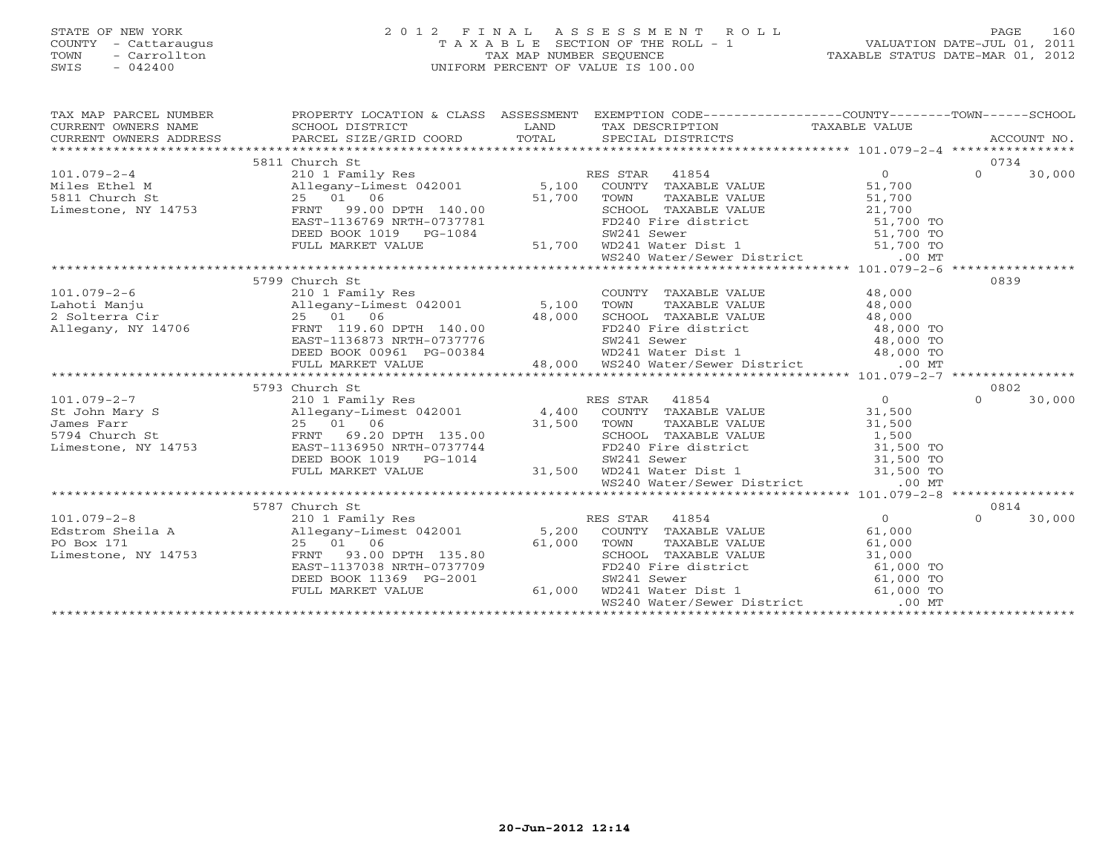# STATE OF NEW YORK 2 0 1 2 F I N A L A S S E S S M E N T R O L L PAGE 160 COUNTY - Cattaraugus T A X A B L E SECTION OF THE ROLL - 1 VALUATION DATE-JUL 01, 2011 TOWN - Carrollton TAX MAP NUMBER SEQUENCE TAXABLE STATUS DATE-MAR 01, 2012 SWIS - 042400 UNIFORM PERCENT OF VALUE IS 100.00UNIFORM PERCENT OF VALUE IS 100.00

| TAX MAP PARCEL NUMBER<br>CURRENT OWNERS NAME<br>$\begin{tabular}{lllllllll} \multicolumn{2}{l}{{\small\sc{CURER}}}& $\text{MME}$ & $\text{SCHOOL} & $\text{DISTRICT}$ & $\text{LAND}$ & $\text{TAX} & $\text{DESCRIPTION}$ & $\text{TAXABLE} & $\text{VALUE}$ \\ & $\text{CURERIT} & $\text{WWERS} & $\text{ADDRES} & $\text{PARCEL} & $\text{SIZE/GRID} & $\text{COORD}$ & $\text{TOTAL}$ & $\text{SPECIAL} & $\text{DISTRICTS} & $\text{RCCOUNT} & $\text{NCCODNT} \\ & $\text{*X$+X$+X$+X$+X$+X$+X$+$<br>CURRENT OWNERS ADDRESS |                                                                                                                                                                                                                                                            |        | PROPERTY LOCATION & CLASS ASSESSMENT EXEMPTION CODE---------------COUNTY-------TOWN------SCHOOL                                                                                                                                                                                         |                | ACCOUNT NO.        |
|------------------------------------------------------------------------------------------------------------------------------------------------------------------------------------------------------------------------------------------------------------------------------------------------------------------------------------------------------------------------------------------------------------------------------------------------------------------------------------------------------------------------------------|------------------------------------------------------------------------------------------------------------------------------------------------------------------------------------------------------------------------------------------------------------|--------|-----------------------------------------------------------------------------------------------------------------------------------------------------------------------------------------------------------------------------------------------------------------------------------------|----------------|--------------------|
|                                                                                                                                                                                                                                                                                                                                                                                                                                                                                                                                    | 5811 Church St                                                                                                                                                                                                                                             |        |                                                                                                                                                                                                                                                                                         |                | 0734               |
| $101.079 - 2 - 4$                                                                                                                                                                                                                                                                                                                                                                                                                                                                                                                  |                                                                                                                                                                                                                                                            |        |                                                                                                                                                                                                                                                                                         | $\Omega$       | $\Omega$<br>30,000 |
| Miles Ethel M<br>5811 Church St                                                                                                                                                                                                                                                                                                                                                                                                                                                                                                    | 210 1 Family Res<br>Allegany-Limest 042001 5,100 COUNTY TAXABLE VALUE                                                                                                                                                                                      |        |                                                                                                                                                                                                                                                                                         | 51,700         |                    |
|                                                                                                                                                                                                                                                                                                                                                                                                                                                                                                                                    | 25 01 06                                                                                                                                                                                                                                                   | 51,700 | TAXABLE VALUE<br>TOWN                                                                                                                                                                                                                                                                   | 51,700         |                    |
| Limestone, NY 14753                                                                                                                                                                                                                                                                                                                                                                                                                                                                                                                | FRNT 99.00 DPTH 140.00                                                                                                                                                                                                                                     |        |                                                                                                                                                                                                                                                                                         |                |                    |
|                                                                                                                                                                                                                                                                                                                                                                                                                                                                                                                                    | EAST-1136769 NRTH-0737781                                                                                                                                                                                                                                  |        |                                                                                                                                                                                                                                                                                         |                |                    |
|                                                                                                                                                                                                                                                                                                                                                                                                                                                                                                                                    | DEED BOOK 1019 PG-1084                                                                                                                                                                                                                                     |        | CONOUL TAXABLE VALUE<br>SCHOOL TAXABLE VALUE<br>FD240 Fire district<br>SW241 Sewer 51,700 TO<br>9.00 SCHOOL TAXABLE VALUE<br>781 FD240 Fire district 51,700 TO<br>51,700 WD241 Water Dist 1 51,700 TO<br>51,700 WD241 Water Dist 1 51,700 TO<br>51,700 WS240 Water/Sewer District 00 MT |                |                    |
|                                                                                                                                                                                                                                                                                                                                                                                                                                                                                                                                    | FULL MARKET VALUE                                                                                                                                                                                                                                          |        |                                                                                                                                                                                                                                                                                         |                |                    |
|                                                                                                                                                                                                                                                                                                                                                                                                                                                                                                                                    |                                                                                                                                                                                                                                                            |        |                                                                                                                                                                                                                                                                                         |                |                    |
|                                                                                                                                                                                                                                                                                                                                                                                                                                                                                                                                    |                                                                                                                                                                                                                                                            |        |                                                                                                                                                                                                                                                                                         |                |                    |
|                                                                                                                                                                                                                                                                                                                                                                                                                                                                                                                                    | 5799 Church St                                                                                                                                                                                                                                             |        |                                                                                                                                                                                                                                                                                         |                | 0839               |
| $101.079 - 2 - 6$                                                                                                                                                                                                                                                                                                                                                                                                                                                                                                                  | 210 1 Family Res                                                                                                                                                                                                                                           |        | COUNTY TAXABLE VALUE 48,000                                                                                                                                                                                                                                                             |                |                    |
|                                                                                                                                                                                                                                                                                                                                                                                                                                                                                                                                    | Allegany-Limest 042001 5,100                                                                                                                                                                                                                               |        | TOWN<br>TAXABLE VALUE                                                                                                                                                                                                                                                                   | 48,000         |                    |
|                                                                                                                                                                                                                                                                                                                                                                                                                                                                                                                                    |                                                                                                                                                                                                                                                            |        |                                                                                                                                                                                                                                                                                         |                |                    |
|                                                                                                                                                                                                                                                                                                                                                                                                                                                                                                                                    |                                                                                                                                                                                                                                                            |        |                                                                                                                                                                                                                                                                                         |                |                    |
|                                                                                                                                                                                                                                                                                                                                                                                                                                                                                                                                    |                                                                                                                                                                                                                                                            |        |                                                                                                                                                                                                                                                                                         |                |                    |
|                                                                                                                                                                                                                                                                                                                                                                                                                                                                                                                                    | 25 01 06 48,000 3CHOOL TAXABLE VALUE 48,000 TO<br>FRNT 119.60 DPTH 140.00 FD240 Fire district 48,000 TO<br>EAST-1136873 NRTH-0737776 5W241 Sewer 48,000 TO<br>DEED BOOK 00961 PG-00384 48,000 WS240 Water District 48,000 TO<br>FULL M                     |        |                                                                                                                                                                                                                                                                                         |                |                    |
|                                                                                                                                                                                                                                                                                                                                                                                                                                                                                                                                    |                                                                                                                                                                                                                                                            |        |                                                                                                                                                                                                                                                                                         |                |                    |
|                                                                                                                                                                                                                                                                                                                                                                                                                                                                                                                                    |                                                                                                                                                                                                                                                            |        |                                                                                                                                                                                                                                                                                         |                |                    |
|                                                                                                                                                                                                                                                                                                                                                                                                                                                                                                                                    | 5793 Church St<br>9/93 Cnurch St<br>210 1 Family Res<br>Allegany-Limest 042001 degang at the state of the Hegany-Limest 042001 degang at the state of the state of the state of the school of the school of the school of the school of the school $\frac$ |        |                                                                                                                                                                                                                                                                                         | $\overline{0}$ | 0802               |
| $101.079 - 2 - 7$                                                                                                                                                                                                                                                                                                                                                                                                                                                                                                                  |                                                                                                                                                                                                                                                            |        |                                                                                                                                                                                                                                                                                         |                | $\Omega$<br>30,000 |
| St John Mary S                                                                                                                                                                                                                                                                                                                                                                                                                                                                                                                     |                                                                                                                                                                                                                                                            |        | TAXABLE VALUE                                                                                                                                                                                                                                                                           | 31,500         |                    |
| James Farr<br>5794 Church St                                                                                                                                                                                                                                                                                                                                                                                                                                                                                                       |                                                                                                                                                                                                                                                            |        |                                                                                                                                                                                                                                                                                         | 31,500         |                    |
| Limestone, NY 14753                                                                                                                                                                                                                                                                                                                                                                                                                                                                                                                | EAST-1136950 NRTH-0737744                                                                                                                                                                                                                                  |        |                                                                                                                                                                                                                                                                                         |                |                    |
|                                                                                                                                                                                                                                                                                                                                                                                                                                                                                                                                    | DEED BOOK 1019 PG-1014                                                                                                                                                                                                                                     |        |                                                                                                                                                                                                                                                                                         |                |                    |
|                                                                                                                                                                                                                                                                                                                                                                                                                                                                                                                                    | FULL MARKET VALUE                                                                                                                                                                                                                                          |        | 135.00 31,500 1000 RCHOOL TAXABLE VALUE 1,500<br>T37744 FD240 Fire district 31,500 TO<br>-1014 50241 Sever 31,500 TO<br>31,500 WD241 Water Dist 1 31,500 TO                                                                                                                             |                |                    |
|                                                                                                                                                                                                                                                                                                                                                                                                                                                                                                                                    |                                                                                                                                                                                                                                                            |        | WS240 Water/Sewer District                                                                                                                                                                                                                                                              | $.00$ MT       |                    |
|                                                                                                                                                                                                                                                                                                                                                                                                                                                                                                                                    |                                                                                                                                                                                                                                                            |        |                                                                                                                                                                                                                                                                                         |                |                    |
|                                                                                                                                                                                                                                                                                                                                                                                                                                                                                                                                    | 5787 Church St                                                                                                                                                                                                                                             |        |                                                                                                                                                                                                                                                                                         |                | 0814               |
| $101.079 - 2 - 8$                                                                                                                                                                                                                                                                                                                                                                                                                                                                                                                  | 210 1 Family Res                                                                                                                                                                                                                                           |        | RES STAR 41854                                                                                                                                                                                                                                                                          | $\overline{O}$ | $\Omega$<br>30,000 |
| Edstrom Sheila A<br>PO Box 171 and the same structure of the structure of the structure of the structure of the structure of the structure<br>PO Box 171 and the structure of the structure of the structure of the structure of                                                                                                                                                                                                                                                                                                   |                                                                                                                                                                                                                                                            |        |                                                                                                                                                                                                                                                                                         | 61,000         |                    |
|                                                                                                                                                                                                                                                                                                                                                                                                                                                                                                                                    |                                                                                                                                                                                                                                                            |        |                                                                                                                                                                                                                                                                                         |                |                    |
|                                                                                                                                                                                                                                                                                                                                                                                                                                                                                                                                    |                                                                                                                                                                                                                                                            |        |                                                                                                                                                                                                                                                                                         |                |                    |
|                                                                                                                                                                                                                                                                                                                                                                                                                                                                                                                                    | EAST-1137038 NRTH-0737709                                                                                                                                                                                                                                  |        | TOWN TAXABLE VALUE 61,000<br>SCHOOL TAXABLE VALUE 31,000<br>FD240 Fire district 61,000 TO                                                                                                                                                                                               |                |                    |
|                                                                                                                                                                                                                                                                                                                                                                                                                                                                                                                                    | DEED BOOK 11369 PG-2001                                                                                                                                                                                                                                    |        |                                                                                                                                                                                                                                                                                         |                |                    |
|                                                                                                                                                                                                                                                                                                                                                                                                                                                                                                                                    | FULL MARKET VALUE                                                                                                                                                                                                                                          | 61,000 |                                                                                                                                                                                                                                                                                         |                |                    |
|                                                                                                                                                                                                                                                                                                                                                                                                                                                                                                                                    |                                                                                                                                                                                                                                                            |        | SW241 Sewer 61,000 TO<br>WD241 Water Dist 1 61,000 TO<br>WS240 Water/Sewer District .00 MT                                                                                                                                                                                              |                |                    |
|                                                                                                                                                                                                                                                                                                                                                                                                                                                                                                                                    |                                                                                                                                                                                                                                                            |        |                                                                                                                                                                                                                                                                                         |                |                    |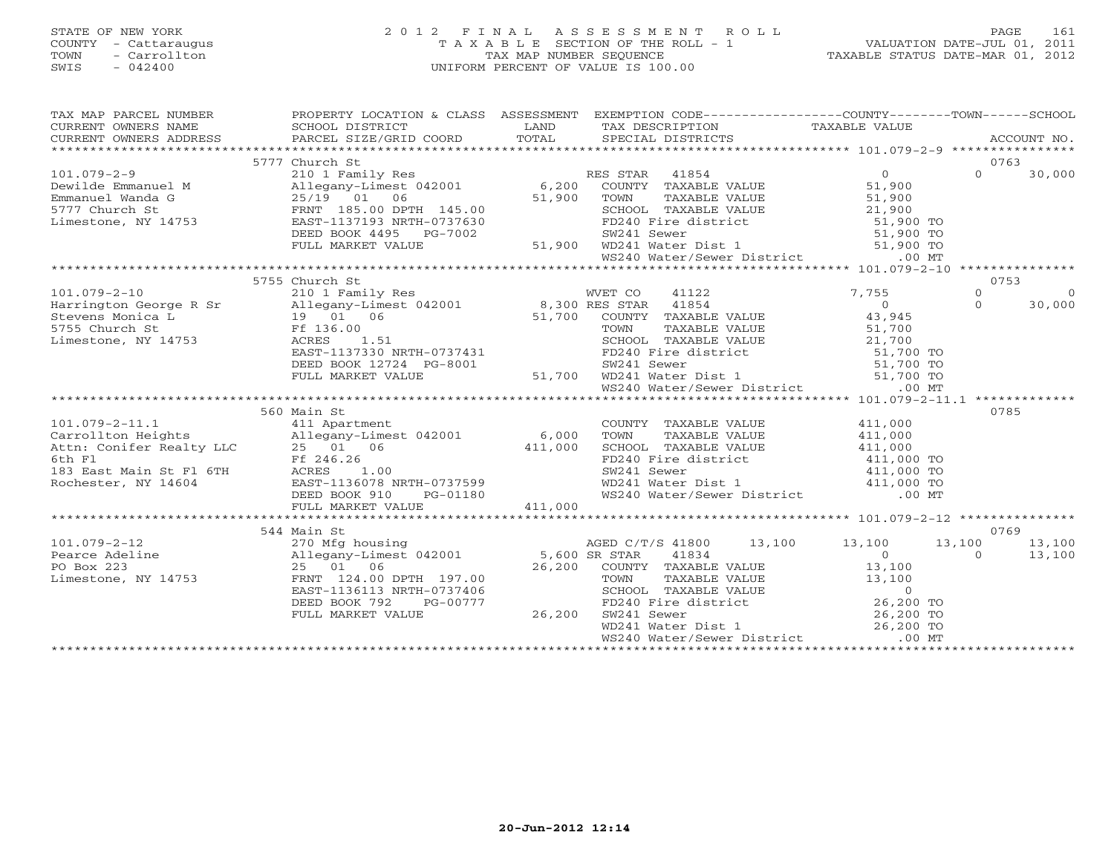# STATE OF NEW YORK 2 0 1 2 F I N A L A S S E S S M E N T R O L L PAGE 161 COUNTY - Cattaraugus T A X A B L E SECTION OF THE ROLL - 1 VALUATION DATE-JUL 01, 2011 TOWN - Carrollton TAX MAP NUMBER SEQUENCE TAXABLE STATUS DATE-MAR 01, 2012 SWIS - 042400 UNIFORM PERCENT OF VALUE IS 100.00UNIFORM PERCENT OF VALUE IS 100.00

| TAX MAP PARCEL NUMBER | PROPERTY LOCATION & CLASS ASSESSMENT EXEMPTION CODE-----------------COUNTY-------TOWN------SCHOOL                                                                                                                                                                                                                                                                                                                                                                                    |                                                  |                                                |
|-----------------------|--------------------------------------------------------------------------------------------------------------------------------------------------------------------------------------------------------------------------------------------------------------------------------------------------------------------------------------------------------------------------------------------------------------------------------------------------------------------------------------|--------------------------------------------------|------------------------------------------------|
|                       |                                                                                                                                                                                                                                                                                                                                                                                                                                                                                      |                                                  |                                                |
|                       |                                                                                                                                                                                                                                                                                                                                                                                                                                                                                      |                                                  |                                                |
|                       | $\begin{tabular}{lllllll} \multicolumn{2}{c}{\textbf{CURRENT}} & \multicolumn{2}{c}{\textbf{WNERS}} & \multicolumn{2}{c}{\textbf{NAME}} & \multicolumn{2}{c}{\textbf{SCHOOL}} & \multicolumn{2}{c}{\textbf{DISTRICT}} & \multicolumn{2}{c}{\textbf{LAND}} & \multicolumn{2}{c}{\textbf{TAX} \textbf{DESCRIPTION}} & \multicolumn{2}{c}{\textbf{TAXABLE} \textbf{ VALUE}} & \multicolumn{2}{c}{\textbf{ACCOUNT NO.}} \\ & \multicolumn{2}{c}{\textbf{CURRENT}} & \multicolumn{2}{c}{$ |                                                  |                                                |
|                       | 5777 Church St                                                                                                                                                                                                                                                                                                                                                                                                                                                                       |                                                  | 0763                                           |
|                       |                                                                                                                                                                                                                                                                                                                                                                                                                                                                                      |                                                  |                                                |
|                       |                                                                                                                                                                                                                                                                                                                                                                                                                                                                                      |                                                  |                                                |
|                       |                                                                                                                                                                                                                                                                                                                                                                                                                                                                                      |                                                  |                                                |
|                       |                                                                                                                                                                                                                                                                                                                                                                                                                                                                                      |                                                  |                                                |
|                       |                                                                                                                                                                                                                                                                                                                                                                                                                                                                                      |                                                  |                                                |
|                       |                                                                                                                                                                                                                                                                                                                                                                                                                                                                                      |                                                  |                                                |
|                       |                                                                                                                                                                                                                                                                                                                                                                                                                                                                                      |                                                  |                                                |
|                       |                                                                                                                                                                                                                                                                                                                                                                                                                                                                                      |                                                  |                                                |
|                       |                                                                                                                                                                                                                                                                                                                                                                                                                                                                                      |                                                  |                                                |
|                       | 5755 Church St                                                                                                                                                                                                                                                                                                                                                                                                                                                                       |                                                  | 0753                                           |
|                       |                                                                                                                                                                                                                                                                                                                                                                                                                                                                                      |                                                  | $\overline{0}$                                 |
|                       |                                                                                                                                                                                                                                                                                                                                                                                                                                                                                      |                                                  | $\begin{matrix} 0 \\ 0 \end{matrix}$<br>30,000 |
|                       |                                                                                                                                                                                                                                                                                                                                                                                                                                                                                      |                                                  |                                                |
|                       |                                                                                                                                                                                                                                                                                                                                                                                                                                                                                      |                                                  |                                                |
|                       |                                                                                                                                                                                                                                                                                                                                                                                                                                                                                      |                                                  |                                                |
|                       |                                                                                                                                                                                                                                                                                                                                                                                                                                                                                      |                                                  |                                                |
|                       |                                                                                                                                                                                                                                                                                                                                                                                                                                                                                      |                                                  |                                                |
|                       |                                                                                                                                                                                                                                                                                                                                                                                                                                                                                      |                                                  |                                                |
|                       |                                                                                                                                                                                                                                                                                                                                                                                                                                                                                      |                                                  |                                                |
|                       |                                                                                                                                                                                                                                                                                                                                                                                                                                                                                      |                                                  |                                                |
|                       | 560 Main St                                                                                                                                                                                                                                                                                                                                                                                                                                                                          |                                                  | 0785                                           |
|                       |                                                                                                                                                                                                                                                                                                                                                                                                                                                                                      |                                                  |                                                |
|                       |                                                                                                                                                                                                                                                                                                                                                                                                                                                                                      |                                                  |                                                |
|                       |                                                                                                                                                                                                                                                                                                                                                                                                                                                                                      |                                                  |                                                |
|                       |                                                                                                                                                                                                                                                                                                                                                                                                                                                                                      |                                                  |                                                |
|                       |                                                                                                                                                                                                                                                                                                                                                                                                                                                                                      |                                                  |                                                |
|                       |                                                                                                                                                                                                                                                                                                                                                                                                                                                                                      |                                                  |                                                |
|                       |                                                                                                                                                                                                                                                                                                                                                                                                                                                                                      |                                                  |                                                |
|                       |                                                                                                                                                                                                                                                                                                                                                                                                                                                                                      |                                                  |                                                |
|                       |                                                                                                                                                                                                                                                                                                                                                                                                                                                                                      |                                                  |                                                |
|                       | 544 Main St                                                                                                                                                                                                                                                                                                                                                                                                                                                                          |                                                  | 0769                                           |
|                       |                                                                                                                                                                                                                                                                                                                                                                                                                                                                                      | AGED C/T/S 41800  13,100  13,100  13,100  13,100 |                                                |
|                       |                                                                                                                                                                                                                                                                                                                                                                                                                                                                                      |                                                  | $0 \t 13,100$                                  |
|                       |                                                                                                                                                                                                                                                                                                                                                                                                                                                                                      |                                                  |                                                |
|                       |                                                                                                                                                                                                                                                                                                                                                                                                                                                                                      |                                                  |                                                |
|                       |                                                                                                                                                                                                                                                                                                                                                                                                                                                                                      |                                                  |                                                |
|                       |                                                                                                                                                                                                                                                                                                                                                                                                                                                                                      |                                                  |                                                |
|                       |                                                                                                                                                                                                                                                                                                                                                                                                                                                                                      |                                                  |                                                |
|                       |                                                                                                                                                                                                                                                                                                                                                                                                                                                                                      |                                                  |                                                |
|                       |                                                                                                                                                                                                                                                                                                                                                                                                                                                                                      |                                                  |                                                |
|                       | $\begin{array}{cccccccc} \texttt{101.079-2-12} & \texttt{544 Main St} & \texttt{Main Set} & \texttt{042001} & \texttt{13,100} & \texttt{13,100} & \texttt{13,100} & \texttt{13,100} & \texttt{13,100} & \texttt{13,100} & \texttt{13,100} & \texttt{13,100} & \texttt{13,100} & \texttt{13,100} & \texttt{13,100} & \texttt{13,100} & \texttt{13,100} & \texttt{13,$                                                                                                                 |                                                  |                                                |
|                       |                                                                                                                                                                                                                                                                                                                                                                                                                                                                                      |                                                  |                                                |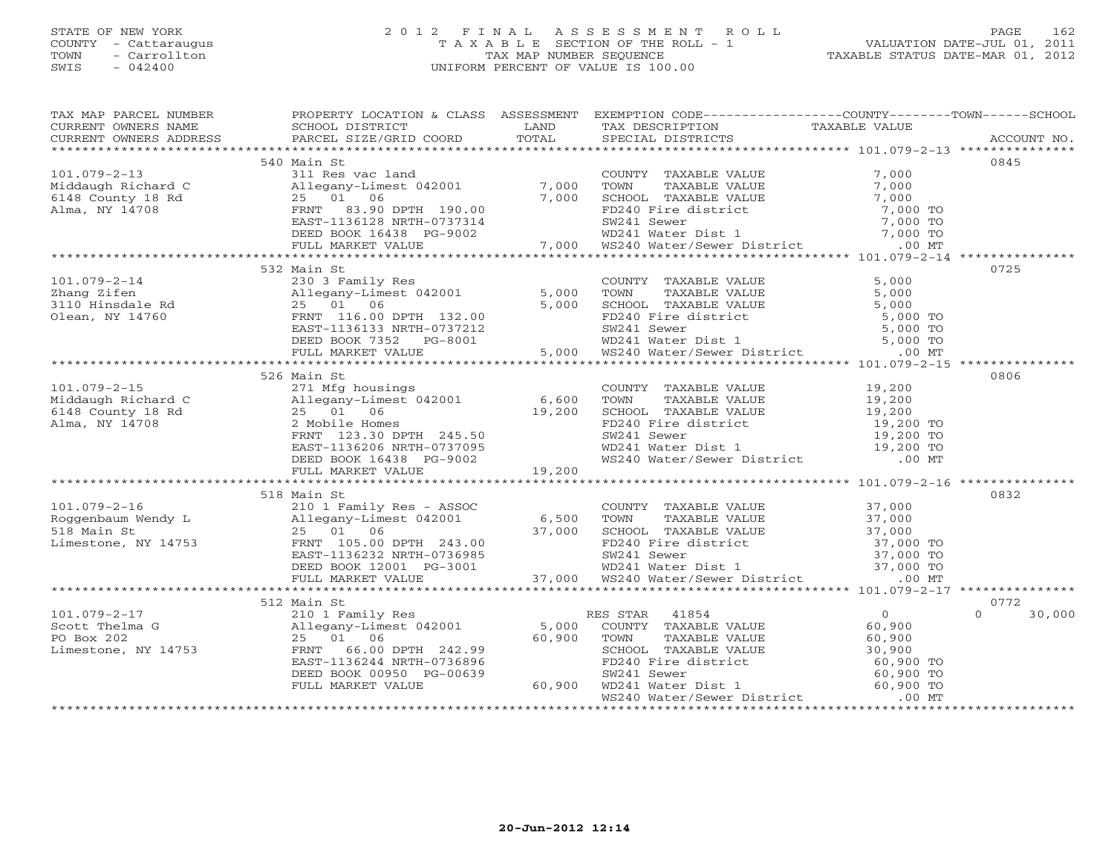## STATE OF NEW YORK 2 0 1 2 F I N A L A S S E S S M E N T R O L L PAGE 162 COUNTY - Cattaraugus T A X A B L E SECTION OF THE ROLL - 1 VALUATION DATE-JUL 01, 2011 TOWN - Carrollton TAX MAP NUMBER SEQUENCE TAXABLE STATUS DATE-MAR 01, 2012 SWIS - 042400 UNIFORM PERCENT OF VALUE IS 100.00UNIFORM PERCENT OF VALUE IS 100.00

| TAX MAP PARCEL NUMBER                                                                                                                                                                                                                                                                                                                                                                                                                                   | PROPERTY LOCATION & CLASS ASSESSMENT EXEMPTION CODE----------------COUNTY-------TOWN------SCHOOL |  |               |
|---------------------------------------------------------------------------------------------------------------------------------------------------------------------------------------------------------------------------------------------------------------------------------------------------------------------------------------------------------------------------------------------------------------------------------------------------------|--------------------------------------------------------------------------------------------------|--|---------------|
|                                                                                                                                                                                                                                                                                                                                                                                                                                                         |                                                                                                  |  |               |
|                                                                                                                                                                                                                                                                                                                                                                                                                                                         |                                                                                                  |  |               |
|                                                                                                                                                                                                                                                                                                                                                                                                                                                         |                                                                                                  |  |               |
|                                                                                                                                                                                                                                                                                                                                                                                                                                                         | 540 Main St                                                                                      |  | 0845          |
|                                                                                                                                                                                                                                                                                                                                                                                                                                                         |                                                                                                  |  |               |
|                                                                                                                                                                                                                                                                                                                                                                                                                                                         |                                                                                                  |  |               |
|                                                                                                                                                                                                                                                                                                                                                                                                                                                         |                                                                                                  |  |               |
|                                                                                                                                                                                                                                                                                                                                                                                                                                                         |                                                                                                  |  |               |
|                                                                                                                                                                                                                                                                                                                                                                                                                                                         |                                                                                                  |  |               |
|                                                                                                                                                                                                                                                                                                                                                                                                                                                         |                                                                                                  |  |               |
|                                                                                                                                                                                                                                                                                                                                                                                                                                                         |                                                                                                  |  |               |
|                                                                                                                                                                                                                                                                                                                                                                                                                                                         |                                                                                                  |  |               |
|                                                                                                                                                                                                                                                                                                                                                                                                                                                         | 532 Main St                                                                                      |  | 0725          |
| 101.079-2-14 $\begin{array}{l} 352 \text{ million} \\\text{230 3 Family Res} \\ 250 \text{Allegany-Limes1 042001} \\ 3110 \text{ Hinsdale Rd} \\ 010 \text{from} \text{NN} \\\text{N} \\\text{14760} \\ 5,000 \text{ from} \\\text{150 00 T} \\ 5,000 \text{ from} \\\text{16.0 0 P} \\ 110 \text{Hinsdale} \\ 5,000 \text{ from} \\\text{178.0 0} \\ 5,000 \text{ from} \\\text{18.0 0} \\ 5,0$                                                        |                                                                                                  |  |               |
|                                                                                                                                                                                                                                                                                                                                                                                                                                                         |                                                                                                  |  |               |
|                                                                                                                                                                                                                                                                                                                                                                                                                                                         |                                                                                                  |  |               |
|                                                                                                                                                                                                                                                                                                                                                                                                                                                         |                                                                                                  |  |               |
|                                                                                                                                                                                                                                                                                                                                                                                                                                                         |                                                                                                  |  |               |
|                                                                                                                                                                                                                                                                                                                                                                                                                                                         |                                                                                                  |  |               |
|                                                                                                                                                                                                                                                                                                                                                                                                                                                         |                                                                                                  |  |               |
|                                                                                                                                                                                                                                                                                                                                                                                                                                                         |                                                                                                  |  |               |
| 101.079-2-15<br>Middaugh Richard C 271 Mfg housings<br>Middaugh Richard C 211 Mfg housings<br>Middaugh Richard 2 211 Mg<br>2 Mobile Homes 19,200 19,200 SCHOOL TAXABLE VALUE 19,200<br>2 Mma, NY 14708 2 Mobile Homes<br>ENST-1136206 NR                                                                                                                                                                                                                | 526 Main St                                                                                      |  | 0806          |
|                                                                                                                                                                                                                                                                                                                                                                                                                                                         |                                                                                                  |  |               |
|                                                                                                                                                                                                                                                                                                                                                                                                                                                         |                                                                                                  |  |               |
|                                                                                                                                                                                                                                                                                                                                                                                                                                                         |                                                                                                  |  |               |
|                                                                                                                                                                                                                                                                                                                                                                                                                                                         |                                                                                                  |  |               |
|                                                                                                                                                                                                                                                                                                                                                                                                                                                         |                                                                                                  |  |               |
|                                                                                                                                                                                                                                                                                                                                                                                                                                                         |                                                                                                  |  |               |
|                                                                                                                                                                                                                                                                                                                                                                                                                                                         |                                                                                                  |  |               |
|                                                                                                                                                                                                                                                                                                                                                                                                                                                         |                                                                                                  |  |               |
|                                                                                                                                                                                                                                                                                                                                                                                                                                                         |                                                                                                  |  |               |
|                                                                                                                                                                                                                                                                                                                                                                                                                                                         | 518 Main St                                                                                      |  | 0832          |
|                                                                                                                                                                                                                                                                                                                                                                                                                                                         |                                                                                                  |  |               |
|                                                                                                                                                                                                                                                                                                                                                                                                                                                         |                                                                                                  |  |               |
|                                                                                                                                                                                                                                                                                                                                                                                                                                                         |                                                                                                  |  |               |
|                                                                                                                                                                                                                                                                                                                                                                                                                                                         |                                                                                                  |  |               |
|                                                                                                                                                                                                                                                                                                                                                                                                                                                         |                                                                                                  |  |               |
|                                                                                                                                                                                                                                                                                                                                                                                                                                                         |                                                                                                  |  |               |
|                                                                                                                                                                                                                                                                                                                                                                                                                                                         |                                                                                                  |  |               |
|                                                                                                                                                                                                                                                                                                                                                                                                                                                         | 512 Main St                                                                                      |  | 0772          |
|                                                                                                                                                                                                                                                                                                                                                                                                                                                         |                                                                                                  |  | $0 \t 30,000$ |
|                                                                                                                                                                                                                                                                                                                                                                                                                                                         |                                                                                                  |  |               |
|                                                                                                                                                                                                                                                                                                                                                                                                                                                         |                                                                                                  |  |               |
|                                                                                                                                                                                                                                                                                                                                                                                                                                                         |                                                                                                  |  |               |
|                                                                                                                                                                                                                                                                                                                                                                                                                                                         |                                                                                                  |  |               |
|                                                                                                                                                                                                                                                                                                                                                                                                                                                         |                                                                                                  |  |               |
|                                                                                                                                                                                                                                                                                                                                                                                                                                                         |                                                                                                  |  |               |
| 101.079-2-17<br>Sout Thelma G $\begin{array}{l} 512 \text{ Main St} \\ 2101 \text{ Family Res} \\ \text{Scott} \text{ The image} \\ \text{PO Box 202} \\ \text{Limes, NY 14753} \\ \text{Limes, NY 14753} \\ \text{EREF-113624} \\ \text{EASTAR} \end{array} \quad \begin{array}{l} \text{RES STAR} \\ \text{RES STAR} \\ \text{S,000} \\ \text{COMTY} \\ \text{COMTY} \\ \text{COMTY} \\ \text{COMTY} \\ \text{COMTY} \\ \text{COMTY} \\ \text{NAABLE$ |                                                                                                  |  |               |
|                                                                                                                                                                                                                                                                                                                                                                                                                                                         |                                                                                                  |  |               |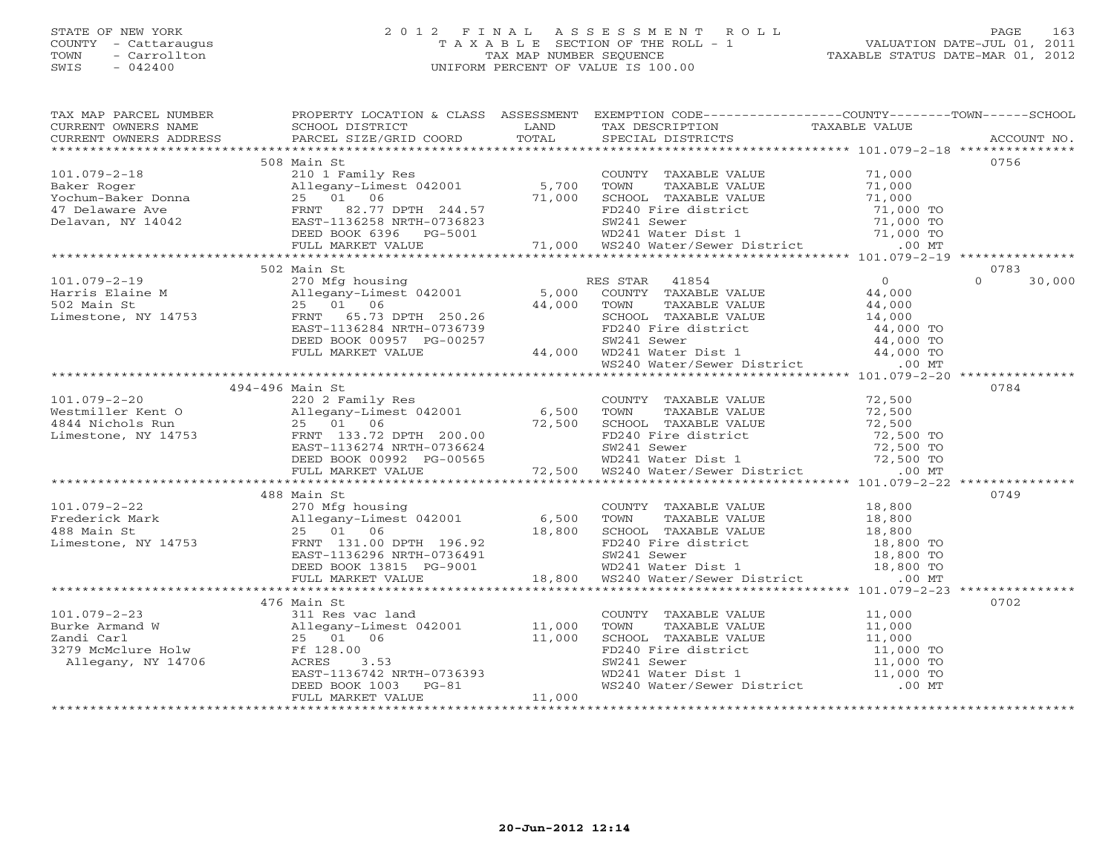## STATE OF NEW YORK 2 0 1 2 F I N A L A S S E S S M E N T R O L L PAGE 163 COUNTY - Cattaraugus T A X A B L E SECTION OF THE ROLL - 1 VALUATION DATE-JUL 01, 2011 TOWN - Carrollton TAX MAP NUMBER SEQUENCE TAXABLE STATUS DATE-MAR 01, 2012 SWIS - 042400 UNIFORM PERCENT OF VALUE IS 100.00UNIFORM PERCENT OF VALUE IS 100.00

| TAX MAP PARCEL NUMBER                                                                                                                                                                                                                                                                                                                                                                                                                                          | PROPERTY LOCATION & CLASS ASSESSMENT EXEMPTION CODE----------------COUNTY-------TOWN------SCHOOL |        |                                                                                                                                                                                                               |                    |
|----------------------------------------------------------------------------------------------------------------------------------------------------------------------------------------------------------------------------------------------------------------------------------------------------------------------------------------------------------------------------------------------------------------------------------------------------------------|--------------------------------------------------------------------------------------------------|--------|---------------------------------------------------------------------------------------------------------------------------------------------------------------------------------------------------------------|--------------------|
| CURRENT OWNERS NAME                                                                                                                                                                                                                                                                                                                                                                                                                                            | SCHOOL DISTRICT                     LAND        TAX DESCRIPTION                  TAXABLE VALUE   |        |                                                                                                                                                                                                               |                    |
|                                                                                                                                                                                                                                                                                                                                                                                                                                                                |                                                                                                  |        |                                                                                                                                                                                                               |                    |
|                                                                                                                                                                                                                                                                                                                                                                                                                                                                |                                                                                                  |        |                                                                                                                                                                                                               | 0756               |
|                                                                                                                                                                                                                                                                                                                                                                                                                                                                | 508 Main St                                                                                      |        |                                                                                                                                                                                                               |                    |
|                                                                                                                                                                                                                                                                                                                                                                                                                                                                |                                                                                                  |        |                                                                                                                                                                                                               |                    |
|                                                                                                                                                                                                                                                                                                                                                                                                                                                                |                                                                                                  |        |                                                                                                                                                                                                               |                    |
|                                                                                                                                                                                                                                                                                                                                                                                                                                                                |                                                                                                  |        |                                                                                                                                                                                                               |                    |
|                                                                                                                                                                                                                                                                                                                                                                                                                                                                |                                                                                                  |        |                                                                                                                                                                                                               |                    |
|                                                                                                                                                                                                                                                                                                                                                                                                                                                                |                                                                                                  |        |                                                                                                                                                                                                               |                    |
|                                                                                                                                                                                                                                                                                                                                                                                                                                                                |                                                                                                  |        |                                                                                                                                                                                                               |                    |
| $\begin{array}{cccccccc} 101.079-2-18 & 508 \text{ Main St.} & 508 \text{ Main St.} & 508 \text{ Main St.} & 508 \text{ Main St.} & 508 \text{ Main St.} & 508 \text{ Volume} & 508 \text{ Volume} & 508 \text{ Volume} & 508 \text{ Volume} & 508 \text{ Volume} & 508 \text{ Volume} & 508 \text{ Volume} & 508 \text{ Volume} & 508 \text{ Volume} & 508 \text{ Volume} & 508 \text{ Volume} & 508 \text{ Volume} & 508 \text{ Volume} & 508 \text{ Volume$ |                                                                                                  |        |                                                                                                                                                                                                               |                    |
|                                                                                                                                                                                                                                                                                                                                                                                                                                                                | 502 Main St                                                                                      |        |                                                                                                                                                                                                               | 0783               |
|                                                                                                                                                                                                                                                                                                                                                                                                                                                                |                                                                                                  |        |                                                                                                                                                                                                               | $\Omega$<br>30,000 |
|                                                                                                                                                                                                                                                                                                                                                                                                                                                                |                                                                                                  |        |                                                                                                                                                                                                               |                    |
|                                                                                                                                                                                                                                                                                                                                                                                                                                                                |                                                                                                  |        |                                                                                                                                                                                                               |                    |
|                                                                                                                                                                                                                                                                                                                                                                                                                                                                |                                                                                                  |        |                                                                                                                                                                                                               |                    |
|                                                                                                                                                                                                                                                                                                                                                                                                                                                                |                                                                                                  |        |                                                                                                                                                                                                               |                    |
|                                                                                                                                                                                                                                                                                                                                                                                                                                                                |                                                                                                  |        |                                                                                                                                                                                                               |                    |
|                                                                                                                                                                                                                                                                                                                                                                                                                                                                |                                                                                                  |        |                                                                                                                                                                                                               |                    |
|                                                                                                                                                                                                                                                                                                                                                                                                                                                                |                                                                                                  |        |                                                                                                                                                                                                               |                    |
|                                                                                                                                                                                                                                                                                                                                                                                                                                                                |                                                                                                  |        |                                                                                                                                                                                                               |                    |
|                                                                                                                                                                                                                                                                                                                                                                                                                                                                | 494-496 Main St                                                                                  |        |                                                                                                                                                                                                               | 0784               |
|                                                                                                                                                                                                                                                                                                                                                                                                                                                                |                                                                                                  |        |                                                                                                                                                                                                               |                    |
|                                                                                                                                                                                                                                                                                                                                                                                                                                                                |                                                                                                  |        |                                                                                                                                                                                                               |                    |
|                                                                                                                                                                                                                                                                                                                                                                                                                                                                |                                                                                                  |        |                                                                                                                                                                                                               |                    |
|                                                                                                                                                                                                                                                                                                                                                                                                                                                                |                                                                                                  |        |                                                                                                                                                                                                               |                    |
|                                                                                                                                                                                                                                                                                                                                                                                                                                                                |                                                                                                  |        |                                                                                                                                                                                                               |                    |
|                                                                                                                                                                                                                                                                                                                                                                                                                                                                |                                                                                                  |        |                                                                                                                                                                                                               |                    |
|                                                                                                                                                                                                                                                                                                                                                                                                                                                                |                                                                                                  |        |                                                                                                                                                                                                               |                    |
| $\begin{array}{cccccccc} 101.079-2-20 & 494-496 \text{ min of 10000} & 101.079-2-20 & 494-496 \text{ min of 10000} & 220 2 Family Res & 220 2 Family Res & 220 2 Family Res & 6,500 TOWN T AXABLE VALUE & 72,500 & 72,500 & 72,500 & 72,500 & 72,500 & 72,500 & 72,500 & 72,500 & 72,500 & 72,500 & 72,500 & 72,500 & 72,50$                                                                                                                                   |                                                                                                  |        |                                                                                                                                                                                                               |                    |
|                                                                                                                                                                                                                                                                                                                                                                                                                                                                | 488 Main St                                                                                      |        |                                                                                                                                                                                                               | 0749               |
|                                                                                                                                                                                                                                                                                                                                                                                                                                                                |                                                                                                  |        |                                                                                                                                                                                                               |                    |
|                                                                                                                                                                                                                                                                                                                                                                                                                                                                |                                                                                                  |        |                                                                                                                                                                                                               |                    |
|                                                                                                                                                                                                                                                                                                                                                                                                                                                                |                                                                                                  |        |                                                                                                                                                                                                               |                    |
|                                                                                                                                                                                                                                                                                                                                                                                                                                                                |                                                                                                  |        |                                                                                                                                                                                                               |                    |
|                                                                                                                                                                                                                                                                                                                                                                                                                                                                |                                                                                                  |        |                                                                                                                                                                                                               |                    |
|                                                                                                                                                                                                                                                                                                                                                                                                                                                                |                                                                                                  |        |                                                                                                                                                                                                               |                    |
| 101.079-2-22<br>Frederick Mark<br>270 Ming housing<br>270 Ming housing<br>25 01 06<br>25 01 06 18,800 SCHOOL TAXABLE VALUE<br>25 01 06 18,800 SCHOOL TAXABLE VALUE<br>25 01 06 18,800 SCHOOL TAXABLE VALUE<br>25 01 06 18,800 TOWN TAXABLE VA                                                                                                                                                                                                                  |                                                                                                  |        |                                                                                                                                                                                                               |                    |
|                                                                                                                                                                                                                                                                                                                                                                                                                                                                | 476 Main St                                                                                      |        |                                                                                                                                                                                                               | 0702               |
|                                                                                                                                                                                                                                                                                                                                                                                                                                                                | 311 Res vac land                                                                                 |        |                                                                                                                                                                                                               |                    |
|                                                                                                                                                                                                                                                                                                                                                                                                                                                                |                                                                                                  |        |                                                                                                                                                                                                               |                    |
|                                                                                                                                                                                                                                                                                                                                                                                                                                                                |                                                                                                  |        |                                                                                                                                                                                                               |                    |
|                                                                                                                                                                                                                                                                                                                                                                                                                                                                |                                                                                                  |        |                                                                                                                                                                                                               |                    |
|                                                                                                                                                                                                                                                                                                                                                                                                                                                                |                                                                                                  |        |                                                                                                                                                                                                               |                    |
|                                                                                                                                                                                                                                                                                                                                                                                                                                                                |                                                                                                  |        |                                                                                                                                                                                                               |                    |
| 101.079-2-23 311 Res vac land<br>Burke Armand W Allegany-Limest 042001 11,000<br>2andi Carl 25 01 06 11,000<br>3279 McMclure Holw Ff 128.00<br>Allegany, NY 14706 ACRES 3.53<br>EAST-1136742 NRTH-0736393<br>DEED BOOK 103 PG-81<br>THE MONG                                                                                                                                                                                                                   |                                                                                                  |        | COUNTY TAXABLE VALUE<br>TOWN TAXABLE VALUE<br>SCHOOL TAXABLE VALUE<br>FD240 Fire district<br>SW241 Sewer<br>WD241 Water Dist 1 11,000 TO<br>WS240 Water/Sewer District<br>MS240 Water/Sewer District<br>COUNT |                    |
|                                                                                                                                                                                                                                                                                                                                                                                                                                                                | FULL MARKET VALUE                                                                                | 11,000 |                                                                                                                                                                                                               |                    |
|                                                                                                                                                                                                                                                                                                                                                                                                                                                                |                                                                                                  |        |                                                                                                                                                                                                               |                    |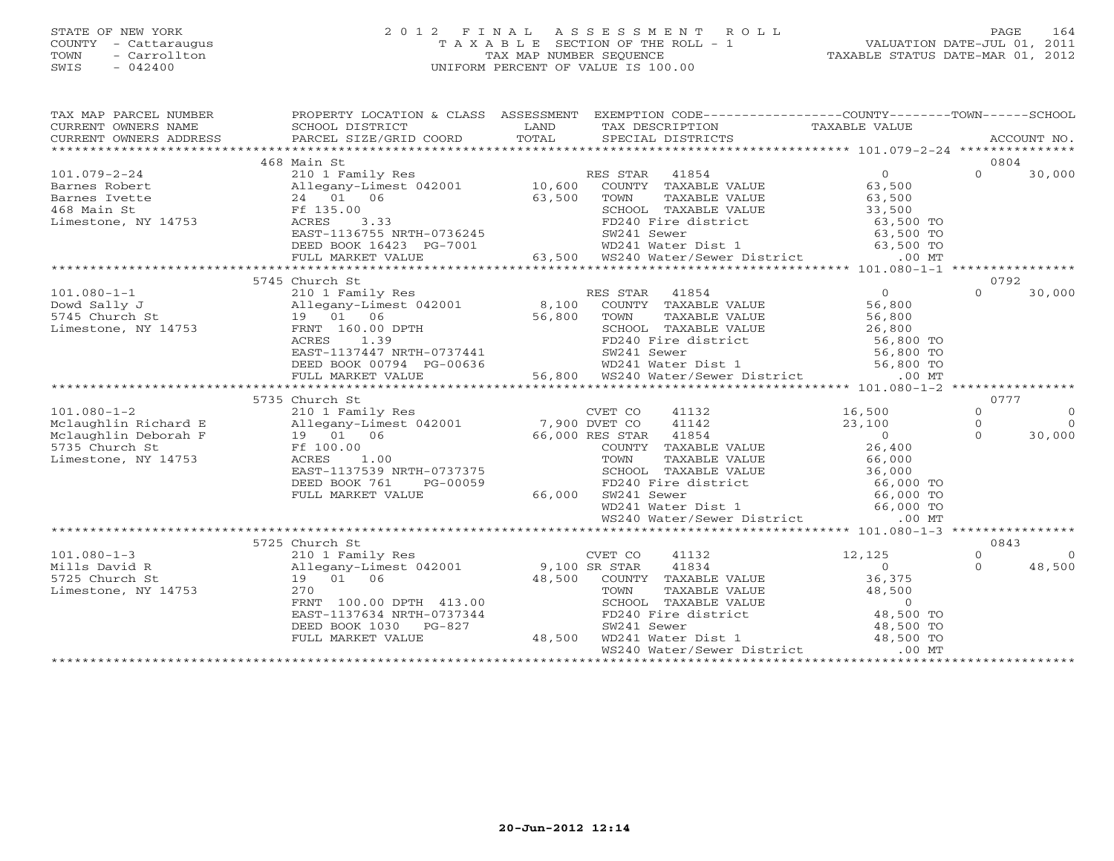## STATE OF NEW YORK 2 0 1 2 F I N A L A S S E S S M E N T R O L L PAGE 164 COUNTY - Cattaraugus T A X A B L E SECTION OF THE ROLL - 1 VALUATION DATE-JUL 01, 2011 TOWN - Carrollton TAX MAP NUMBER SEQUENCE TAXABLE STATUS DATE-MAR 01, 2012 SWIS - 042400 UNIFORM PERCENT OF VALUE IS 100.00UNIFORM PERCENT OF VALUE IS 100.00

| TAX MAP PARCEL NUMBER<br>CORRENT OWNERS NOME CONSUMERT ACCOUNT NO ANNO 1999 CONSUMERT OWNERS ADDRESS TO BURGEL SIZE/GRID COORD TOTAL SPECIAL DISTRICTS ACCOUNT NO CORRENT OWNERS ADDRESS PARCEL SIZE/GRID COORD TOTAL SPECIAL DISTRICTS ACCOUNT NO AND<br>CURRENT OWNERS NAME SCHOOL DISTRICT<br>CURRENT OWNERS ADDRESS PARCEL SIZE/GRII | PROPERTY LOCATION & CLASS ASSESSMENT EXEMPTION CODE----------------COUNTY-------TOWN------SCHOOL |                                                                                                                   |               |           |
|------------------------------------------------------------------------------------------------------------------------------------------------------------------------------------------------------------------------------------------------------------------------------------------------------------------------------------------|--------------------------------------------------------------------------------------------------|-------------------------------------------------------------------------------------------------------------------|---------------|-----------|
|                                                                                                                                                                                                                                                                                                                                          |                                                                                                  |                                                                                                                   |               |           |
|                                                                                                                                                                                                                                                                                                                                          | 468 Main St                                                                                      |                                                                                                                   | 0804          |           |
|                                                                                                                                                                                                                                                                                                                                          |                                                                                                  |                                                                                                                   | $0 \t 30,000$ |           |
|                                                                                                                                                                                                                                                                                                                                          |                                                                                                  |                                                                                                                   |               |           |
|                                                                                                                                                                                                                                                                                                                                          |                                                                                                  |                                                                                                                   |               |           |
|                                                                                                                                                                                                                                                                                                                                          |                                                                                                  |                                                                                                                   |               |           |
|                                                                                                                                                                                                                                                                                                                                          |                                                                                                  |                                                                                                                   |               |           |
|                                                                                                                                                                                                                                                                                                                                          |                                                                                                  |                                                                                                                   |               |           |
|                                                                                                                                                                                                                                                                                                                                          |                                                                                                  |                                                                                                                   |               |           |
|                                                                                                                                                                                                                                                                                                                                          |                                                                                                  |                                                                                                                   |               |           |
|                                                                                                                                                                                                                                                                                                                                          |                                                                                                  |                                                                                                                   |               |           |
|                                                                                                                                                                                                                                                                                                                                          | 5745 Church St                                                                                   |                                                                                                                   | 0792          |           |
|                                                                                                                                                                                                                                                                                                                                          |                                                                                                  |                                                                                                                   |               | 30,000    |
|                                                                                                                                                                                                                                                                                                                                          |                                                                                                  |                                                                                                                   |               |           |
|                                                                                                                                                                                                                                                                                                                                          |                                                                                                  |                                                                                                                   |               |           |
|                                                                                                                                                                                                                                                                                                                                          |                                                                                                  |                                                                                                                   |               |           |
|                                                                                                                                                                                                                                                                                                                                          |                                                                                                  |                                                                                                                   |               |           |
|                                                                                                                                                                                                                                                                                                                                          |                                                                                                  |                                                                                                                   |               |           |
|                                                                                                                                                                                                                                                                                                                                          |                                                                                                  |                                                                                                                   |               |           |
|                                                                                                                                                                                                                                                                                                                                          |                                                                                                  |                                                                                                                   |               |           |
|                                                                                                                                                                                                                                                                                                                                          |                                                                                                  |                                                                                                                   |               |           |
|                                                                                                                                                                                                                                                                                                                                          | 5735 Church St                                                                                   |                                                                                                                   | 0777          |           |
|                                                                                                                                                                                                                                                                                                                                          |                                                                                                  |                                                                                                                   | $\Omega$      | $\Omega$  |
|                                                                                                                                                                                                                                                                                                                                          |                                                                                                  |                                                                                                                   | $\Omega$      | $\bigcap$ |
|                                                                                                                                                                                                                                                                                                                                          |                                                                                                  |                                                                                                                   | $\Omega$      | 30,000    |
|                                                                                                                                                                                                                                                                                                                                          |                                                                                                  |                                                                                                                   |               |           |
|                                                                                                                                                                                                                                                                                                                                          |                                                                                                  |                                                                                                                   |               |           |
|                                                                                                                                                                                                                                                                                                                                          |                                                                                                  |                                                                                                                   |               |           |
|                                                                                                                                                                                                                                                                                                                                          |                                                                                                  |                                                                                                                   |               |           |
|                                                                                                                                                                                                                                                                                                                                          |                                                                                                  |                                                                                                                   |               |           |
|                                                                                                                                                                                                                                                                                                                                          |                                                                                                  |                                                                                                                   |               |           |
|                                                                                                                                                                                                                                                                                                                                          |                                                                                                  | CRTH-07373737<br>PG-00059<br>ALUE 66,000 SW241 Sewer<br>WD241 Water<br>WD241 Water<br>WS240 Water<br>TWS240 Water |               |           |
|                                                                                                                                                                                                                                                                                                                                          |                                                                                                  |                                                                                                                   |               |           |
|                                                                                                                                                                                                                                                                                                                                          |                                                                                                  |                                                                                                                   | 0843          |           |
|                                                                                                                                                                                                                                                                                                                                          |                                                                                                  |                                                                                                                   | $\Omega$      | $\Omega$  |
|                                                                                                                                                                                                                                                                                                                                          |                                                                                                  |                                                                                                                   | $\Omega$      | 48,500    |
|                                                                                                                                                                                                                                                                                                                                          |                                                                                                  |                                                                                                                   |               |           |
|                                                                                                                                                                                                                                                                                                                                          |                                                                                                  |                                                                                                                   |               |           |
|                                                                                                                                                                                                                                                                                                                                          |                                                                                                  |                                                                                                                   |               |           |
|                                                                                                                                                                                                                                                                                                                                          |                                                                                                  |                                                                                                                   |               |           |
|                                                                                                                                                                                                                                                                                                                                          |                                                                                                  |                                                                                                                   |               |           |
|                                                                                                                                                                                                                                                                                                                                          |                                                                                                  |                                                                                                                   |               |           |
|                                                                                                                                                                                                                                                                                                                                          |                                                                                                  |                                                                                                                   |               |           |
|                                                                                                                                                                                                                                                                                                                                          |                                                                                                  |                                                                                                                   |               |           |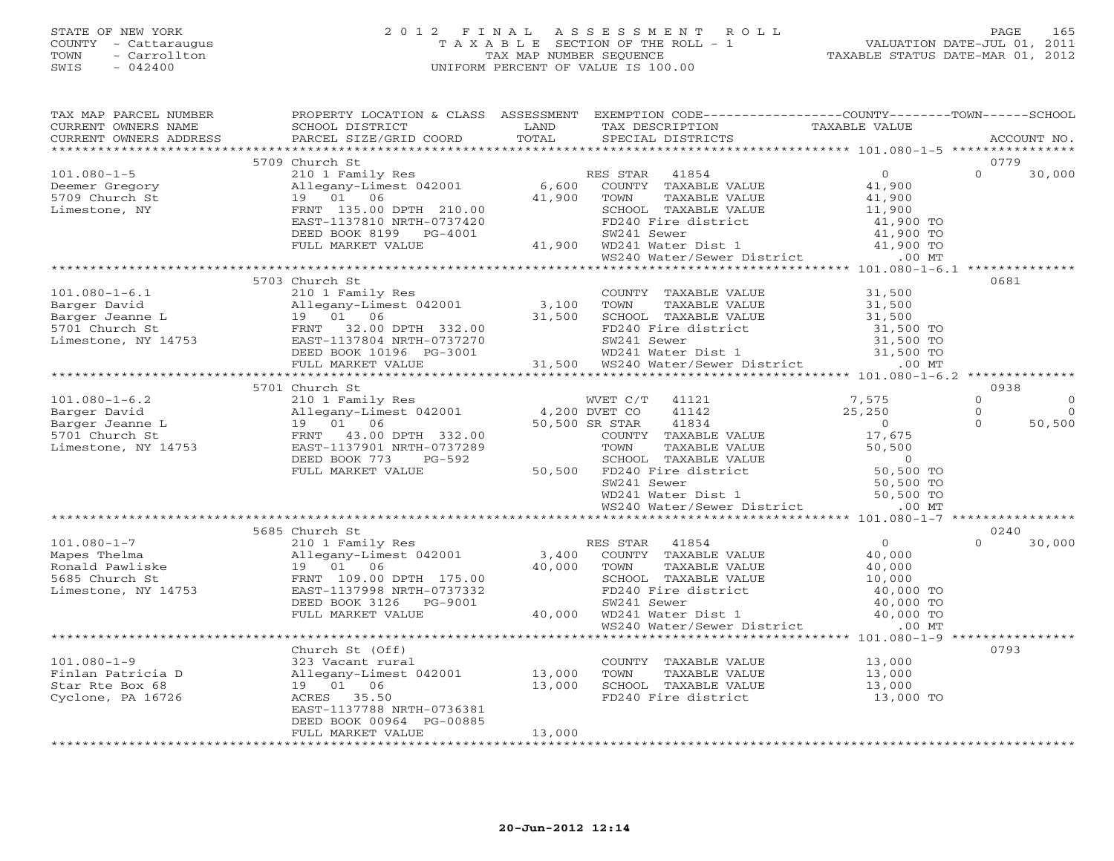# STATE OF NEW YORK 2 0 1 2 F I N A L A S S E S S M E N T R O L L PAGE 165 COUNTY - Cattaraugus T A X A B L E SECTION OF THE ROLL - 1 VALUATION DATE-JUL 01, 2011 TOWN - Carrollton TAX MAP NUMBER SEQUENCE TAXABLE STATUS DATE-MAR 01, 2012 SWIS - 042400 UNIFORM PERCENT OF VALUE IS 100.00UNIFORM PERCENT OF VALUE IS 100.00

| TAX MAP PARCEL NUMBER                                                                                                                                                                                                                                                      | PROPERTY LOCATION & CLASS ASSESSMENT EXEMPTION CODE----------------COUNTY-------TOWN------SCHOOL |        |                               |                                                |
|----------------------------------------------------------------------------------------------------------------------------------------------------------------------------------------------------------------------------------------------------------------------------|--------------------------------------------------------------------------------------------------|--------|-------------------------------|------------------------------------------------|
|                                                                                                                                                                                                                                                                            |                                                                                                  |        | TAX DESCRIPTION TAXABLE VALUE |                                                |
|                                                                                                                                                                                                                                                                            |                                                                                                  |        | SPECIAL DISTRICTS             | ACCOUNT NO.                                    |
|                                                                                                                                                                                                                                                                            |                                                                                                  |        |                               |                                                |
|                                                                                                                                                                                                                                                                            | 5709 Church St                                                                                   |        |                               | 0779                                           |
|                                                                                                                                                                                                                                                                            |                                                                                                  |        |                               | $\Omega$<br>30,000                             |
|                                                                                                                                                                                                                                                                            |                                                                                                  |        |                               |                                                |
|                                                                                                                                                                                                                                                                            |                                                                                                  |        |                               |                                                |
|                                                                                                                                                                                                                                                                            |                                                                                                  |        |                               |                                                |
|                                                                                                                                                                                                                                                                            |                                                                                                  |        |                               |                                                |
|                                                                                                                                                                                                                                                                            |                                                                                                  |        |                               |                                                |
|                                                                                                                                                                                                                                                                            |                                                                                                  |        |                               |                                                |
| 101.080-1-5<br>Deemer Gregory 210 Emmily Res RES STAR 41854<br>Deemer Gregory 210 I Family Res RES STAR 41854<br>210 Hinestone, NY FRANT 135.00 DPTH 210.00<br>ERS STAR 41854<br>21,900 COUNTY TAXABLE VALUE 41,900<br>21,900 TOWN TAXABL                                  |                                                                                                  |        |                               |                                                |
|                                                                                                                                                                                                                                                                            |                                                                                                  |        |                               |                                                |
|                                                                                                                                                                                                                                                                            | 5703 Church St                                                                                   |        |                               | 0681                                           |
| 101.080-1-6.1 $\begin{array}{ccccccccc} 101.080-1-6.1 & 2101111& 500 & 21011 & 50011 & 500 & 2101 & 5001 & 5001 & 5001 & 5001 & 5001 & 5001 & 5001 & 5001 & 5001 & 5001 & 5001 & 5001 & 5001 & 5001 & 5001 & 5001 & 5001 & 5001 & 5001 & 5001 & 5001 & 5001 & 5001 & 5001$ |                                                                                                  |        |                               |                                                |
|                                                                                                                                                                                                                                                                            |                                                                                                  |        |                               |                                                |
|                                                                                                                                                                                                                                                                            |                                                                                                  |        |                               |                                                |
|                                                                                                                                                                                                                                                                            |                                                                                                  |        |                               |                                                |
|                                                                                                                                                                                                                                                                            |                                                                                                  |        |                               |                                                |
|                                                                                                                                                                                                                                                                            |                                                                                                  |        |                               |                                                |
|                                                                                                                                                                                                                                                                            |                                                                                                  |        |                               |                                                |
|                                                                                                                                                                                                                                                                            |                                                                                                  |        |                               |                                                |
|                                                                                                                                                                                                                                                                            | 5701 Church St                                                                                   |        |                               | 0938                                           |
|                                                                                                                                                                                                                                                                            |                                                                                                  |        |                               | $\Omega$<br>$\mathbf{0}$                       |
|                                                                                                                                                                                                                                                                            |                                                                                                  |        |                               | $\bigcirc$                                     |
|                                                                                                                                                                                                                                                                            |                                                                                                  |        |                               | $\begin{matrix} 0 \\ 0 \end{matrix}$<br>50,500 |
|                                                                                                                                                                                                                                                                            |                                                                                                  |        |                               |                                                |
|                                                                                                                                                                                                                                                                            |                                                                                                  |        |                               |                                                |
|                                                                                                                                                                                                                                                                            |                                                                                                  |        |                               |                                                |
|                                                                                                                                                                                                                                                                            |                                                                                                  |        |                               |                                                |
|                                                                                                                                                                                                                                                                            |                                                                                                  |        |                               |                                                |
|                                                                                                                                                                                                                                                                            |                                                                                                  |        |                               |                                                |
|                                                                                                                                                                                                                                                                            |                                                                                                  |        |                               |                                                |
| 101.080-1-6.2<br>Barger David 210 1 Church St<br>25701 Church St<br>25701 Church St<br>25,250<br>25,250<br>Barger Jeanne L<br>19 01 06<br>50,500 SR STAR 41834<br>25,250<br>25,250<br>26,500 TO 200 DVET CO 41142<br>25,250<br>26,500 TO 200 DVET CO 41                    |                                                                                                  |        |                               |                                                |
|                                                                                                                                                                                                                                                                            |                                                                                                  |        |                               |                                                |
|                                                                                                                                                                                                                                                                            | 5685 Church St                                                                                   |        |                               | 0240                                           |
|                                                                                                                                                                                                                                                                            |                                                                                                  |        |                               | $\Omega$<br>30,000                             |
|                                                                                                                                                                                                                                                                            |                                                                                                  |        |                               |                                                |
|                                                                                                                                                                                                                                                                            |                                                                                                  |        |                               |                                                |
|                                                                                                                                                                                                                                                                            |                                                                                                  |        |                               |                                                |
|                                                                                                                                                                                                                                                                            |                                                                                                  |        |                               |                                                |
|                                                                                                                                                                                                                                                                            |                                                                                                  |        |                               |                                                |
|                                                                                                                                                                                                                                                                            |                                                                                                  |        |                               |                                                |
|                                                                                                                                                                                                                                                                            |                                                                                                  |        |                               |                                                |
|                                                                                                                                                                                                                                                                            |                                                                                                  |        |                               |                                                |
|                                                                                                                                                                                                                                                                            |                                                                                                  |        |                               | 0793                                           |
|                                                                                                                                                                                                                                                                            |                                                                                                  |        |                               |                                                |
|                                                                                                                                                                                                                                                                            |                                                                                                  |        |                               |                                                |
| Church St (Off)<br>101.080-1-9<br>Finlan Patricia D<br>Star Rte Box 68<br>Cyclone, PA 16726<br>Cyclone, PA 16726<br>Cyclone, PA 16726<br>Cyclone, PA 16726<br>Cyclone, PA 16726<br>Cyclone, PA 16726<br>Cyclone, PA 16726<br>Cyclone, PA 16726<br>Cycl                     |                                                                                                  |        |                               |                                                |
|                                                                                                                                                                                                                                                                            |                                                                                                  |        |                               |                                                |
|                                                                                                                                                                                                                                                                            |                                                                                                  |        |                               |                                                |
|                                                                                                                                                                                                                                                                            | DEED BOOK 00964 PG-00885                                                                         |        |                               |                                                |
|                                                                                                                                                                                                                                                                            | FULL MARKET VALUE                                                                                | 13,000 |                               |                                                |
|                                                                                                                                                                                                                                                                            |                                                                                                  |        |                               |                                                |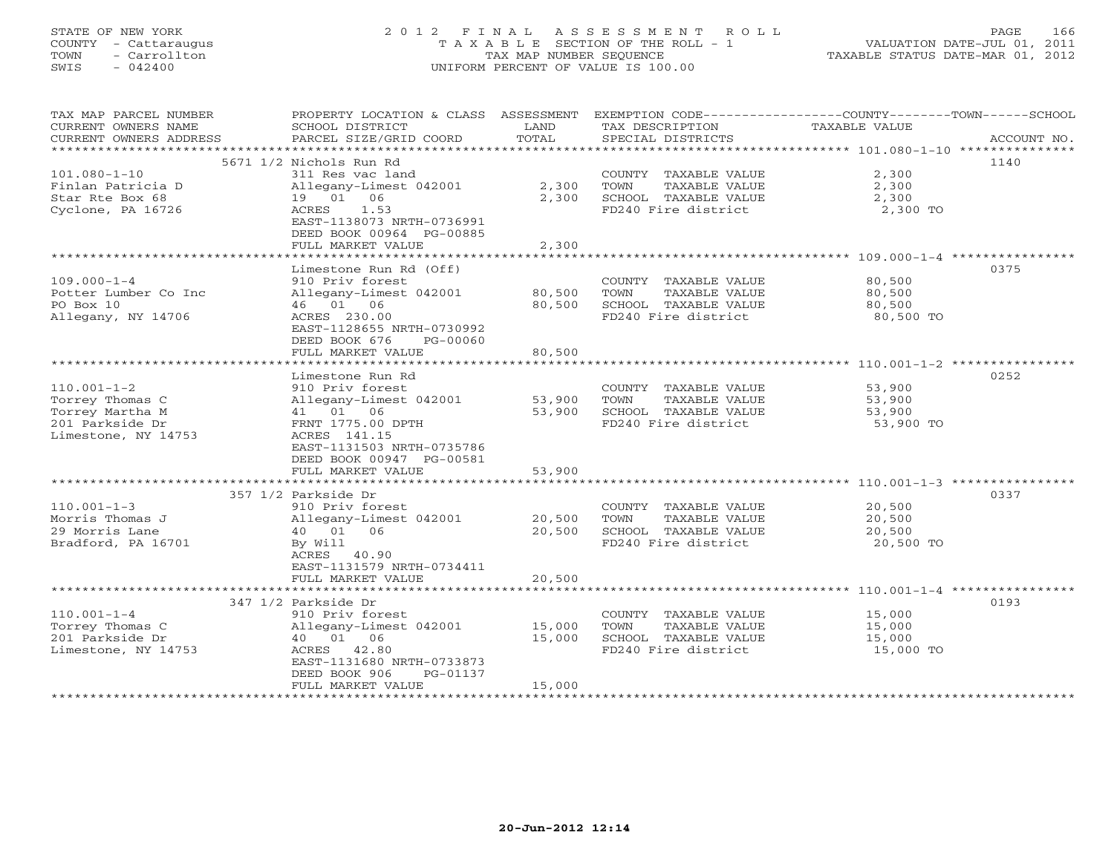# STATE OF NEW YORK 2 0 1 2 F I N A L A S S E S S M E N T R O L L PAGE 166 COUNTY - Cattaraugus T A X A B L E SECTION OF THE ROLL - 1 VALUATION DATE-JUL 01, 2011 TOWN - Carrollton TAX MAP NUMBER SEQUENCE TAXABLE STATUS DATE-MAR 01, 2012 SWIS - 042400 UNIFORM PERCENT OF VALUE IS 100.00UNIFORM PERCENT OF VALUE IS 100.00

| TAX MAP PARCEL NUMBER<br>CURRENT OWNERS NAME<br>CURRENT OWNERS ADDRESS | PROPERTY LOCATION & CLASS ASSESSMENT<br>SCHOOL DISTRICT<br>PARCEL SIZE/GRID COORD | LAND<br>TOTAL    | EXEMPTION CODE-----------------COUNTY-------TOWN------SCHOOL<br>TAX DESCRIPTION<br>SPECIAL DISTRICTS | TAXABLE VALUE    | ACCOUNT NO. |
|------------------------------------------------------------------------|-----------------------------------------------------------------------------------|------------------|------------------------------------------------------------------------------------------------------|------------------|-------------|
|                                                                        |                                                                                   |                  |                                                                                                      |                  |             |
|                                                                        | 5671 1/2 Nichols Run Rd                                                           |                  |                                                                                                      |                  | 1140        |
| $101.080 - 1 - 10$                                                     | 311 Res vac land                                                                  |                  | COUNTY TAXABLE VALUE                                                                                 | 2,300            |             |
| Finlan Patricia D                                                      | Allegany-Limest 042001                                                            | 2,300            | TOWN<br>TAXABLE VALUE                                                                                | 2,300            |             |
| Star Rte Box 68                                                        | 19 01 06                                                                          | 2,300            | SCHOOL TAXABLE VALUE                                                                                 | 2,300            |             |
| Cyclone, PA 16726                                                      | 1.53<br>ACRES<br>EAST-1138073 NRTH-0736991<br>DEED BOOK 00964 PG-00885            |                  | FD240 Fire district                                                                                  | 2,300 TO         |             |
|                                                                        | FULL MARKET VALUE                                                                 | 2,300            |                                                                                                      |                  |             |
|                                                                        |                                                                                   |                  |                                                                                                      |                  |             |
|                                                                        | Limestone Run Rd (Off)                                                            |                  |                                                                                                      |                  | 0375        |
| $109.000 - 1 - 4$                                                      | 910 Priv forest                                                                   |                  | COUNTY TAXABLE VALUE                                                                                 | 80,500           |             |
| Potter Lumber Co Inc<br>PO Box 10                                      | Allegany-Limest 042001<br>46 01 06                                                | 80,500<br>80,500 | TOWN<br>TAXABLE VALUE<br>SCHOOL TAXABLE VALUE                                                        | 80,500<br>80,500 |             |
| Allegany, NY 14706                                                     | ACRES 230.00                                                                      |                  | FD240 Fire district                                                                                  | 80,500 TO        |             |
|                                                                        | EAST-1128655 NRTH-0730992<br>DEED BOOK 676<br>PG-00060                            |                  |                                                                                                      |                  |             |
|                                                                        | FULL MARKET VALUE                                                                 | 80,500           |                                                                                                      |                  |             |
|                                                                        | Limestone Run Rd                                                                  |                  |                                                                                                      |                  | 0252        |
| $110.001 - 1 - 2$                                                      | 910 Priv forest                                                                   |                  | COUNTY TAXABLE VALUE                                                                                 | 53,900           |             |
| Torrey Thomas C                                                        | Allegany-Limest 042001                                                            | 53,900           | TAXABLE VALUE<br>TOWN                                                                                | 53,900           |             |
| Torrey Martha M                                                        | 41  01  06                                                                        | 53,900           | SCHOOL TAXABLE VALUE                                                                                 | 53,900           |             |
| 201 Parkside Dr                                                        | FRNT 1775.00 DPTH                                                                 |                  | FD240 Fire district                                                                                  | 53,900 TO        |             |
| Limestone, NY 14753                                                    | ACRES 141.15                                                                      |                  |                                                                                                      |                  |             |
|                                                                        | EAST-1131503 NRTH-0735786                                                         |                  |                                                                                                      |                  |             |
|                                                                        | DEED BOOK 00947 PG-00581<br>FULL MARKET VALUE                                     | 53,900           |                                                                                                      |                  |             |
|                                                                        |                                                                                   |                  | ********************************* 110.001-1-3 ****************                                       |                  |             |
|                                                                        | 357 1/2 Parkside Dr                                                               |                  |                                                                                                      |                  | 0337        |
| $110.001 - 1 - 3$                                                      | 910 Priv forest                                                                   |                  | COUNTY TAXABLE VALUE                                                                                 | 20,500           |             |
| Morris Thomas J                                                        | Allegany-Limest 042001                                                            | 20,500           | TAXABLE VALUE<br>TOWN                                                                                | 20,500           |             |
| 29 Morris Lane                                                         | 40  01  06                                                                        | 20,500           | SCHOOL TAXABLE VALUE                                                                                 | 20,500           |             |
| Bradford, PA 16701                                                     | By Will                                                                           |                  | FD240 Fire district                                                                                  | 20,500 TO        |             |
|                                                                        | ACRES 40.90                                                                       |                  |                                                                                                      |                  |             |
|                                                                        | EAST-1131579 NRTH-0734411                                                         |                  |                                                                                                      |                  |             |
|                                                                        | FULL MARKET VALUE                                                                 | 20,500           |                                                                                                      |                  |             |
|                                                                        | 347 1/2 Parkside Dr                                                               |                  |                                                                                                      |                  | 0193        |
| $110.001 - 1 - 4$                                                      | 910 Priv forest                                                                   |                  | COUNTY TAXABLE VALUE                                                                                 | 15,000           |             |
| Torrey Thomas C                                                        | Allegany-Limest 042001                                                            | 15,000           | TOWN<br>TAXABLE VALUE                                                                                | 15,000           |             |
| 201 Parkside Dr                                                        | 40 01 06                                                                          | 15,000           | SCHOOL TAXABLE VALUE                                                                                 | 15,000           |             |
| Limestone, NY 14753                                                    | 42.80<br>ACRES                                                                    |                  | FD240 Fire district                                                                                  | 15,000 TO        |             |
|                                                                        | EAST-1131680 NRTH-0733873                                                         |                  |                                                                                                      |                  |             |
|                                                                        | DEED BOOK 906<br>PG-01137                                                         |                  |                                                                                                      |                  |             |
|                                                                        | FULL MARKET VALUE<br>************************                                     | 15,000           |                                                                                                      |                  |             |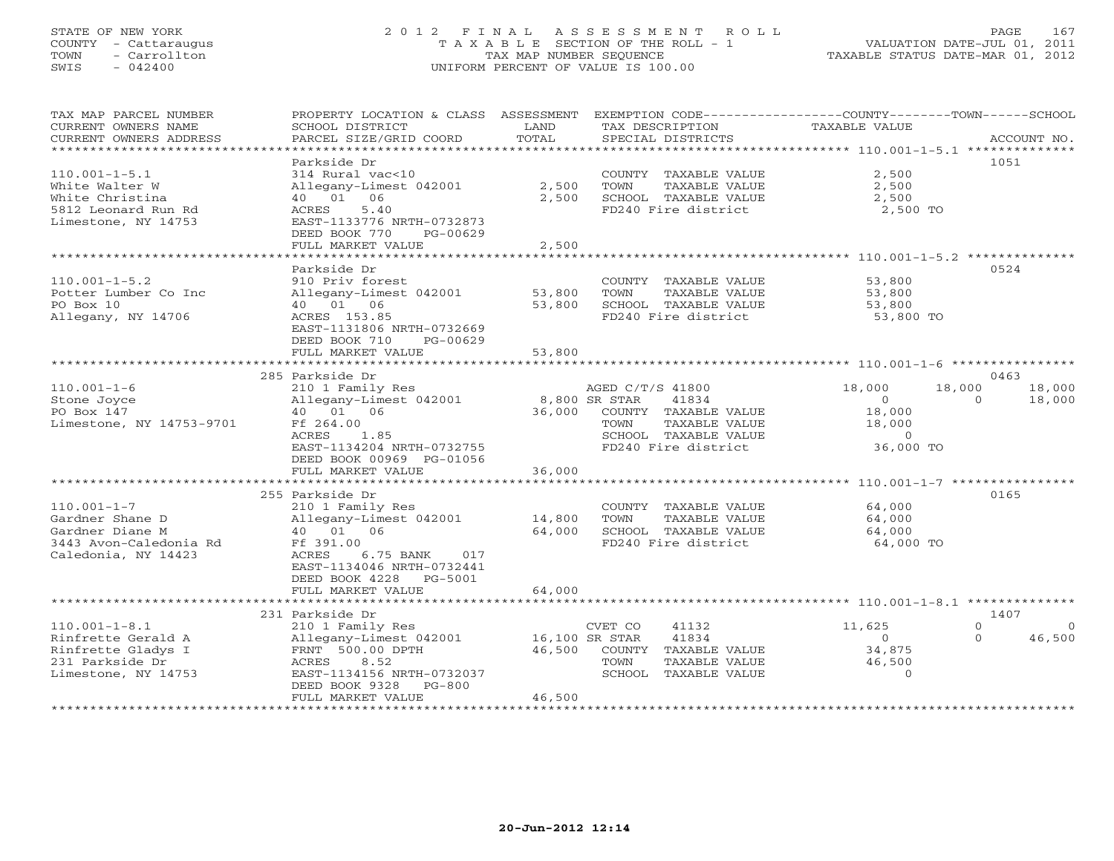## STATE OF NEW YORK 2 0 1 2 F I N A L A S S E S S M E N T R O L L PAGE 167 COUNTY - Cattaraugus T A X A B L E SECTION OF THE ROLL - 1 VALUATION DATE-JUL 01, 2011 TOWN - Carrollton TAX MAP NUMBER SEQUENCE TAXABLE STATUS DATE-MAR 01, 2012 SWIS - 042400 UNIFORM PERCENT OF VALUE IS 100.00UNIFORM PERCENT OF VALUE IS 100.00

| TAX MAP PARCEL NUMBER                              | PROPERTY LOCATION & CLASS ASSESSMENT |               | EXEMPTION CODE-----------------COUNTY-------TOWN------SCHOOL |                      |                      |
|----------------------------------------------------|--------------------------------------|---------------|--------------------------------------------------------------|----------------------|----------------------|
| CURRENT OWNERS NAME                                | SCHOOL DISTRICT                      | LAND          | TAX DESCRIPTION                                              | <b>TAXABLE VALUE</b> |                      |
| CURRENT OWNERS ADDRESS<br>************************ | PARCEL SIZE/GRID COORD               | TOTAL         | SPECIAL DISTRICTS                                            |                      | ACCOUNT NO.          |
|                                                    | Parkside Dr                          |               |                                                              |                      | 1051                 |
| $110.001 - 1 - 5.1$                                | 314 Rural vac<10                     |               | COUNTY TAXABLE VALUE                                         | 2,500                |                      |
| White Walter W                                     | Allegany-Limest 042001               | 2,500         | TOWN<br>TAXABLE VALUE                                        | 2,500                |                      |
| White Christina                                    | 40  01  06                           | 2,500         | SCHOOL TAXABLE VALUE                                         | 2,500                |                      |
| 5812 Leonard Run Rd                                | 5.40<br>ACRES                        |               | FD240 Fire district                                          | 2,500 TO             |                      |
| Limestone, NY 14753                                | EAST-1133776 NRTH-0732873            |               |                                                              |                      |                      |
|                                                    | DEED BOOK 770<br>PG-00629            |               |                                                              |                      |                      |
|                                                    | FULL MARKET VALUE                    | 2,500         |                                                              |                      |                      |
|                                                    |                                      |               |                                                              |                      |                      |
|                                                    | Parkside Dr                          |               |                                                              |                      | 0524                 |
| $110.001 - 1 - 5.2$                                | 910 Priv forest                      |               | COUNTY TAXABLE VALUE                                         | 53,800               |                      |
| Potter Lumber Co Inc                               | Allegany-Limest 042001               | 53,800        | TAXABLE VALUE<br>TOWN                                        | 53,800               |                      |
| PO Box 10                                          | 40 01 06                             | 53,800        | SCHOOL TAXABLE VALUE                                         | 53,800               |                      |
| Allegany, NY 14706                                 | ACRES 153.85                         |               | FD240 Fire district                                          | 53,800 TO            |                      |
|                                                    | EAST-1131806 NRTH-0732669            |               |                                                              |                      |                      |
|                                                    | DEED BOOK 710<br>PG-00629            |               |                                                              |                      |                      |
|                                                    | FULL MARKET VALUE                    | 53,800        |                                                              |                      |                      |
|                                                    |                                      |               |                                                              |                      |                      |
|                                                    | 285 Parkside Dr                      |               |                                                              |                      | 0463                 |
| $110.001 - 1 - 6$                                  | 210 1 Family Res                     |               | AGED C/T/S 41800                                             | 18,000               | 18,000<br>18,000     |
| Stone Joyce                                        | Allegany-Limest 042001               | 8,800 SR STAR | 41834                                                        | $\Omega$             | $\Omega$<br>18,000   |
| PO Box 147                                         | 40  01  06                           | 36,000        | COUNTY TAXABLE VALUE                                         | 18,000               |                      |
| Limestone, NY 14753-9701                           | Ff 264.00                            |               | TAXABLE VALUE<br>TOWN                                        | 18,000               |                      |
|                                                    | 1.85<br>ACRES                        |               | SCHOOL TAXABLE VALUE                                         | $\overline{0}$       |                      |
|                                                    | EAST-1134204 NRTH-0732755            |               | FD240 Fire district                                          | 36,000 TO            |                      |
|                                                    | DEED BOOK 00969 PG-01056             |               |                                                              |                      |                      |
|                                                    | FULL MARKET VALUE                    | 36,000        |                                                              |                      |                      |
|                                                    |                                      |               |                                                              |                      |                      |
|                                                    | 255 Parkside Dr                      |               |                                                              |                      | 0165                 |
| $110.001 - 1 - 7$<br>Gardner Shane D               | 210 1 Family Res                     | 14,800        | COUNTY TAXABLE VALUE<br>TOWN<br>TAXABLE VALUE                | 64,000               |                      |
| Gardner Diane M                                    | Allegany-Limest 042001<br>40  01  06 | 64,000        | SCHOOL TAXABLE VALUE                                         | 64,000<br>64,000     |                      |
| 3443 Avon-Caledonia Rd                             | Ff 391.00                            |               | FD240 Fire district                                          | 64,000 TO            |                      |
| Caledonia, NY 14423                                | ACRES<br>6.75 BANK<br>017            |               |                                                              |                      |                      |
|                                                    | EAST-1134046 NRTH-0732441            |               |                                                              |                      |                      |
|                                                    | DEED BOOK 4228 PG-5001               |               |                                                              |                      |                      |
|                                                    | FULL MARKET VALUE                    | 64,000        |                                                              |                      |                      |
|                                                    | ********************                 |               |                                                              |                      |                      |
|                                                    | 231 Parkside Dr                      |               |                                                              |                      | 1407                 |
| $110.001 - 1 - 8.1$                                | 210 1 Family Res                     |               | CVET CO<br>41132                                             | 11,625               | $\Omega$<br>$\Omega$ |
| Rinfrette Gerald A                                 | Allegany-Limest 042001               |               | 16,100 SR STAR<br>41834                                      | $\Omega$             | 46,500<br>$\Omega$   |
| Rinfrette Gladys I                                 | FRNT 500.00 DPTH                     |               | 46,500 COUNTY TAXABLE VALUE                                  | 34,875               |                      |
| 231 Parkside Dr                                    | 8.52<br>ACRES                        |               | TOWN<br>TAXABLE VALUE                                        | 46,500               |                      |
| Limestone, NY 14753                                | EAST-1134156 NRTH-0732037            |               | SCHOOL TAXABLE VALUE                                         | $\Omega$             |                      |
|                                                    | DEED BOOK 9328<br>$PG-800$           |               |                                                              |                      |                      |
|                                                    | FULL MARKET VALUE                    | 46,500        |                                                              |                      |                      |
|                                                    |                                      |               |                                                              |                      |                      |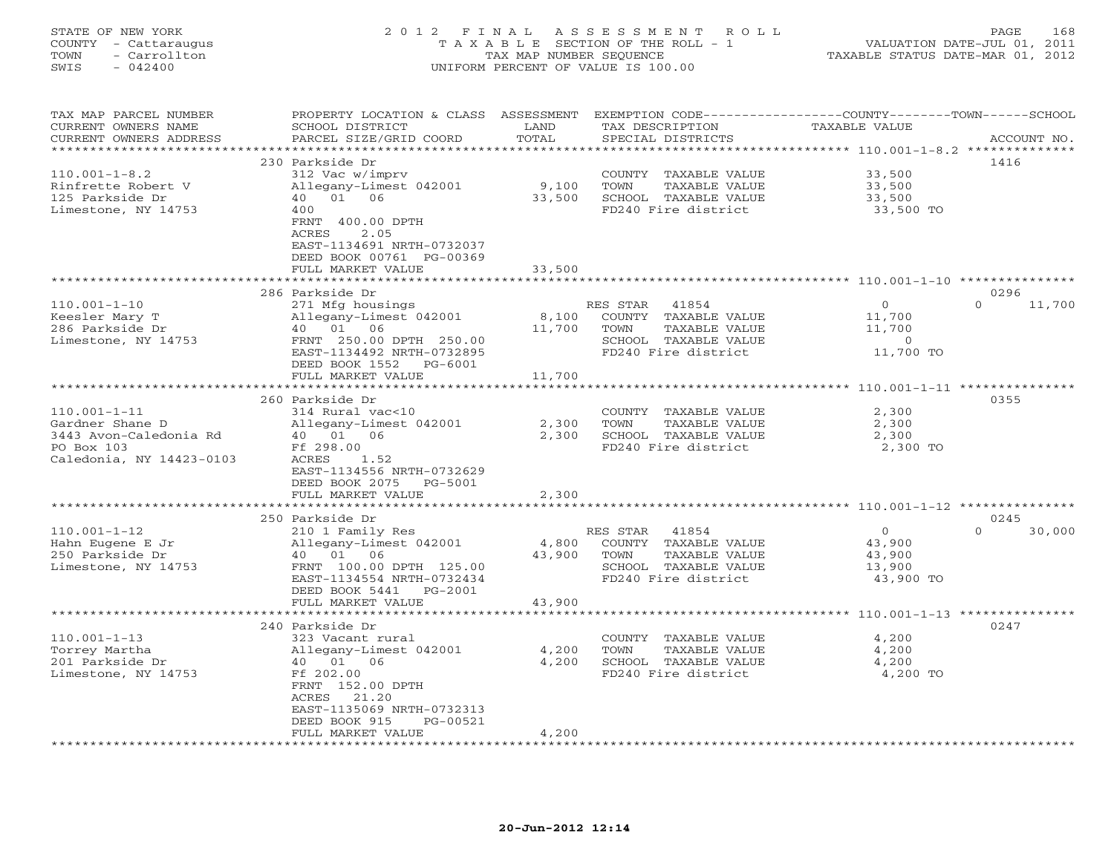# STATE OF NEW YORK 2 0 1 2 F I N A L A S S E S S M E N T R O L L PAGE 168 COUNTY - Cattaraugus T A X A B L E SECTION OF THE ROLL - 1 VALUATION DATE-JUL 01, 2011 TOWN - Carrollton TAX MAP NUMBER SEQUENCE TAXABLE STATUS DATE-MAR 01, 2012 SWIS - 042400 UNIFORM PERCENT OF VALUE IS 100.00UNIFORM PERCENT OF VALUE IS 100.00

| TAX MAP PARCEL NUMBER    |                           |        |                            | PROPERTY LOCATION & CLASS ASSESSMENT EXEMPTION CODE----------------COUNTY-------TOWN------SCHOOL |
|--------------------------|---------------------------|--------|----------------------------|--------------------------------------------------------------------------------------------------|
| CURRENT OWNERS NAME      | SCHOOL DISTRICT           | LAND   | TAX DESCRIPTION            | TAXABLE VALUE                                                                                    |
| CURRENT OWNERS ADDRESS   | PARCEL SIZE/GRID COORD    | TOTAL  | SPECIAL DISTRICTS          | ACCOUNT NO.                                                                                      |
|                          |                           |        |                            |                                                                                                  |
|                          | 230 Parkside Dr           |        |                            | 1416                                                                                             |
| $110.001 - 1 - 8.2$      | 312 Vac w/imprv           |        | COUNTY TAXABLE VALUE       | 33,500                                                                                           |
| Rinfrette Robert V       | Allegany-Limest 042001    | 9,100  | TOWN<br>TAXABLE VALUE      | 33,500                                                                                           |
| 125 Parkside Dr          | 40 01 06                  | 33,500 | SCHOOL TAXABLE VALUE       | 33,500                                                                                           |
| Limestone, NY 14753      | 400                       |        | FD240 Fire district        | 33,500 TO                                                                                        |
|                          | FRNT 400.00 DPTH          |        |                            |                                                                                                  |
|                          | 2.05<br>ACRES             |        |                            |                                                                                                  |
|                          | EAST-1134691 NRTH-0732037 |        |                            |                                                                                                  |
|                          | DEED BOOK 00761 PG-00369  |        |                            |                                                                                                  |
|                          | FULL MARKET VALUE         | 33,500 |                            |                                                                                                  |
|                          |                           |        |                            |                                                                                                  |
|                          |                           |        |                            |                                                                                                  |
|                          | 286 Parkside Dr           |        |                            | 0296<br>$\Omega$                                                                                 |
| $110.001 - 1 - 10$       | 271 Mfg housings          |        | RES STAR 41854             | 11,700<br>$\overline{0}$                                                                         |
| Keesler Mary T           | Allegany-Limest $042001$  |        | 8,100 COUNTY TAXABLE VALUE | 11,700                                                                                           |
| 286 Parkside Dr          | 40  01  06                | 11,700 | TAXABLE VALUE<br>TOWN      | 11,700                                                                                           |
| Limestone, NY 14753      | FRNT 250.00 DPTH 250.00   |        | SCHOOL TAXABLE VALUE       | $\overline{0}$                                                                                   |
|                          | EAST-1134492 NRTH-0732895 |        | FD240 Fire district        | 11,700 TO                                                                                        |
|                          | DEED BOOK 1552 PG-6001    |        |                            |                                                                                                  |
|                          | FULL MARKET VALUE         | 11,700 |                            |                                                                                                  |
|                          |                           |        |                            |                                                                                                  |
|                          | 260 Parkside Dr           |        |                            | 0355                                                                                             |
| $110.001 - 1 - 11$       | 314 Rural vac<10          |        | COUNTY TAXABLE VALUE       | 2,300                                                                                            |
| Gardner Shane D          | Allegany-Limest 042001    | 2,300  | TOWN<br>TAXABLE VALUE      | 2,300                                                                                            |
| 3443 Avon-Caledonia Rd   | 40  01  06                | 2,300  | SCHOOL TAXABLE VALUE       | 2,300                                                                                            |
| PO Box 103               | Ff 298.00                 |        | FD240 Fire district        | 2,300 TO                                                                                         |
| Caledonia, NY 14423-0103 | ACRES<br>1.52             |        |                            |                                                                                                  |
|                          | EAST-1134556 NRTH-0732629 |        |                            |                                                                                                  |
|                          | DEED BOOK 2075 PG-5001    |        |                            |                                                                                                  |
|                          | FULL MARKET VALUE         | 2,300  |                            |                                                                                                  |
|                          |                           |        |                            |                                                                                                  |
|                          | 250 Parkside Dr           |        |                            | 0245                                                                                             |
| $110.001 - 1 - 12$       | 210 1 Family Res          |        | RES STAR 41854             | $\overline{0}$<br>$\Omega$<br>30,000                                                             |
| Hahn Eugene E Jr         | Allegany-Limest 042001    | 4,800  | COUNTY TAXABLE VALUE       | 43,900                                                                                           |
| 250 Parkside Dr          | 40 01 06                  | 43,900 | TOWN<br>TAXABLE VALUE      | 43,900                                                                                           |
| Limestone, NY 14753      | FRNT 100.00 DPTH 125.00   |        | SCHOOL TAXABLE VALUE       | 13,900                                                                                           |
|                          | EAST-1134554 NRTH-0732434 |        | FD240 Fire district        | 43,900 TO                                                                                        |
|                          | DEED BOOK 5441 PG-2001    |        |                            |                                                                                                  |
|                          | FULL MARKET VALUE         | 43,900 |                            |                                                                                                  |
|                          |                           |        |                            |                                                                                                  |
|                          | 240 Parkside Dr           |        |                            | 0247                                                                                             |
|                          |                           |        |                            |                                                                                                  |
| $110.001 - 1 - 13$       | 323 Vacant rural          |        | COUNTY TAXABLE VALUE       | 4,200                                                                                            |
| Torrey Martha            | Allegany-Limest 042001    | 4,200  | TOWN<br>TAXABLE VALUE      | 4,200                                                                                            |
| 201 Parkside Dr          | 40 01 06                  | 4,200  | SCHOOL TAXABLE VALUE       | 4,200                                                                                            |
| Limestone, NY 14753      | Ff 202.00                 |        | FD240 Fire district        | 4,200 TO                                                                                         |
|                          | FRNT 152.00 DPTH          |        |                            |                                                                                                  |
|                          | ACRES<br>21.20            |        |                            |                                                                                                  |
|                          | EAST-1135069 NRTH-0732313 |        |                            |                                                                                                  |
|                          | PG-00521<br>DEED BOOK 915 |        |                            |                                                                                                  |
|                          | FULL MARKET VALUE         | 4,200  |                            |                                                                                                  |
|                          |                           |        |                            |                                                                                                  |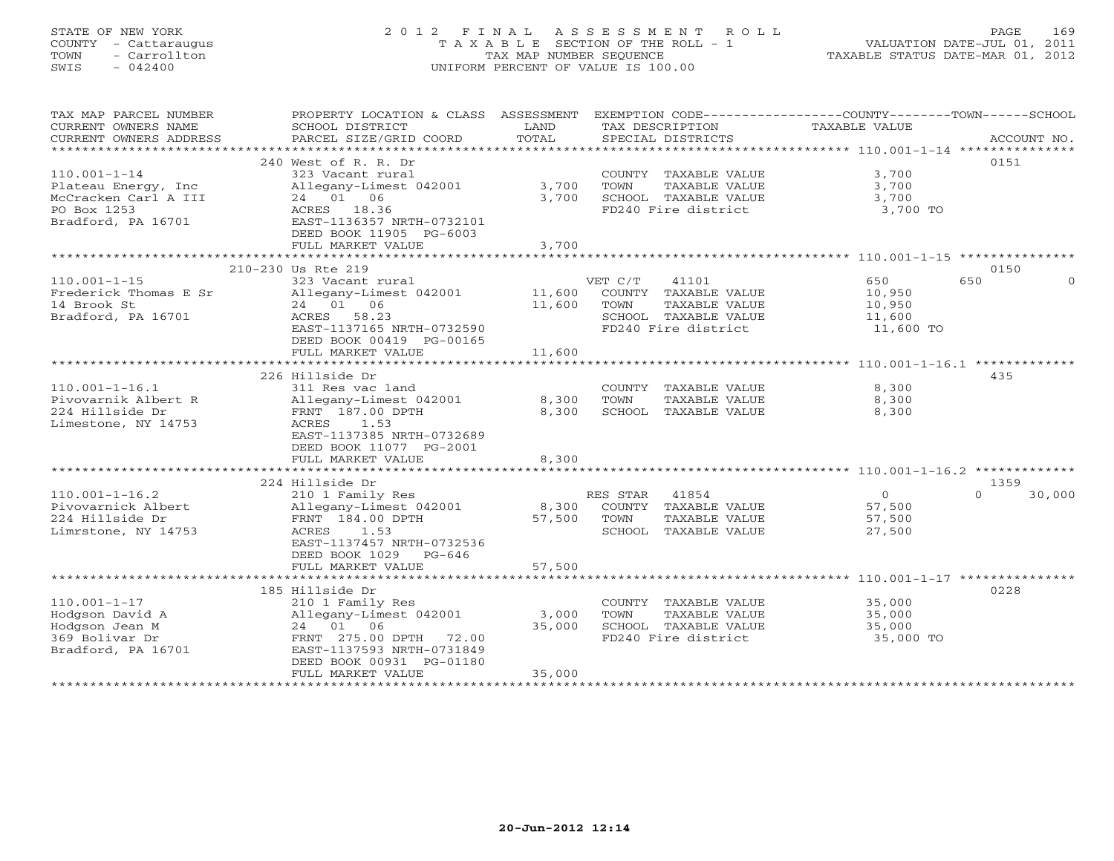# STATE OF NEW YORK 2 0 1 2 F I N A L A S S E S S M E N T R O L L PAGE 169 COUNTY - Cattaraugus T A X A B L E SECTION OF THE ROLL - 1 VALUATION DATE-JUL 01, 2011 TOWN - Carrollton TAX MAP NUMBER SEQUENCE TAXABLE STATUS DATE-MAR 01, 2012 SWIS - 042400 UNIFORM PERCENT OF VALUE IS 100.00UNIFORM PERCENT OF VALUE IS 100.00

| TAX MAP PARCEL NUMBER  | PROPERTY LOCATION & CLASS ASSESSMENT          |                |                 |                      | EXEMPTION CODE-----------------COUNTY-------TOWN------SCHOOL |                    |
|------------------------|-----------------------------------------------|----------------|-----------------|----------------------|--------------------------------------------------------------|--------------------|
| CURRENT OWNERS NAME    | SCHOOL DISTRICT                               | LAND<br>TOTAL  | TAX DESCRIPTION |                      | TAXABLE VALUE                                                |                    |
| CURRENT OWNERS ADDRESS | PARCEL SIZE/GRID COORD                        |                |                 | SPECIAL DISTRICTS    |                                                              | ACCOUNT NO.        |
|                        | 240 West of R. R. Dr                          |                |                 |                      |                                                              | 0151               |
| $110.001 - 1 - 14$     | 323 Vacant rural                              |                |                 | COUNTY TAXABLE VALUE | 3,700                                                        |                    |
| Plateau Energy, Inc    | Allegany-Limest 042001                        | 3,700          | TOWN            | TAXABLE VALUE        | 3,700                                                        |                    |
| McCracken Carl A III   | 24 01 06                                      | 3,700          |                 | SCHOOL TAXABLE VALUE | 3,700                                                        |                    |
| PO Box 1253            | ACRES 18.36                                   |                |                 | FD240 Fire district  | 3,700 TO                                                     |                    |
| Bradford, PA 16701     | EAST-1136357 NRTH-0732101                     |                |                 |                      |                                                              |                    |
|                        | DEED BOOK 11905 PG-6003<br>FULL MARKET VALUE  | 3,700          |                 |                      |                                                              |                    |
|                        | *********************************             | ************** |                 |                      |                                                              |                    |
|                        | 210-230 Us Rte 219                            |                |                 |                      |                                                              | 0150               |
| $110.001 - 1 - 15$     | 323 Vacant rural                              |                | VET C/T         | 41101                | 650                                                          | 650                |
| Frederick Thomas E Sr  | Allegany-Limest 042001                        | 11,600         |                 | COUNTY TAXABLE VALUE | 10,950                                                       |                    |
| 14 Brook St            | 24 01 06                                      | 11,600         | TOWN            | TAXABLE VALUE        | 10,950                                                       |                    |
| Bradford, PA 16701     | ACRES 58.23                                   |                |                 | SCHOOL TAXABLE VALUE | 11,600                                                       |                    |
|                        | EAST-1137165 NRTH-0732590                     |                |                 | FD240 Fire district  | 11,600 TO                                                    |                    |
|                        | DEED BOOK 00419 PG-00165<br>FULL MARKET VALUE | 11,600         |                 |                      |                                                              |                    |
|                        |                                               |                |                 |                      |                                                              |                    |
|                        | 226 Hillside Dr                               |                |                 |                      |                                                              | 435                |
| $110.001 - 1 - 16.1$   | 311 Res vac land                              |                |                 | COUNTY TAXABLE VALUE | 8,300                                                        |                    |
| Pivovarnik Albert R    | Allegany-Limest 042001                        | 8,300          | TOWN            | TAXABLE VALUE        | 8,300                                                        |                    |
| 224 Hillside Dr        | FRNT 187.00 DPTH                              | 8,300          |                 | SCHOOL TAXABLE VALUE | 8,300                                                        |                    |
| Limestone, NY 14753    | ACRES<br>1.53                                 |                |                 |                      |                                                              |                    |
|                        | EAST-1137385 NRTH-0732689                     |                |                 |                      |                                                              |                    |
|                        | DEED BOOK 11077 PG-2001<br>FULL MARKET VALUE  | 8,300          |                 |                      |                                                              |                    |
|                        |                                               |                |                 |                      |                                                              |                    |
|                        | 224 Hillside Dr                               |                |                 |                      |                                                              | 1359               |
| $110.001 - 1 - 16.2$   | 210 1 Family Res                              |                | RES STAR 41854  |                      | $\overline{0}$                                               | $\Omega$<br>30,000 |
| Pivovarnick Albert     | Allegany-Limest 042001                        | 8,300          |                 | COUNTY TAXABLE VALUE | 57,500                                                       |                    |
| 224 Hillside Dr        | FRNT 184.00 DPTH                              | 57,500         | TOWN            | TAXABLE VALUE        | 57,500                                                       |                    |
| Limrstone, NY 14753    | ACRES<br>1.53                                 |                |                 | SCHOOL TAXABLE VALUE | 27,500                                                       |                    |
|                        | EAST-1137457 NRTH-0732536                     |                |                 |                      |                                                              |                    |
|                        | DEED BOOK 1029 PG-646                         | 57,500         |                 |                      |                                                              |                    |
|                        | FULL MARKET VALUE                             |                |                 |                      |                                                              |                    |
|                        | 185 Hillside Dr                               |                |                 |                      |                                                              | 0228               |
| $110.001 - 1 - 17$     | 210 1 Family Res                              |                |                 | COUNTY TAXABLE VALUE | 35,000                                                       |                    |
| Hodgson David A        | Allegany-Limest 042001                        | 3,000          | TOWN            | TAXABLE VALUE        | 35,000                                                       |                    |
| Hodgson Jean M         | 24 01 06                                      | 35,000         |                 | SCHOOL TAXABLE VALUE | 35,000                                                       |                    |
| 369 Bolivar Dr         | FRNT 275.00 DPTH 72.00                        |                |                 | FD240 Fire district  | 35,000 TO                                                    |                    |
| Bradford, PA 16701     | EAST-1137593 NRTH-0731849                     |                |                 |                      |                                                              |                    |
|                        | DEED BOOK 00931 PG-01180<br>FULL MARKET VALUE | 35,000         |                 |                      |                                                              |                    |
|                        |                                               |                |                 |                      |                                                              |                    |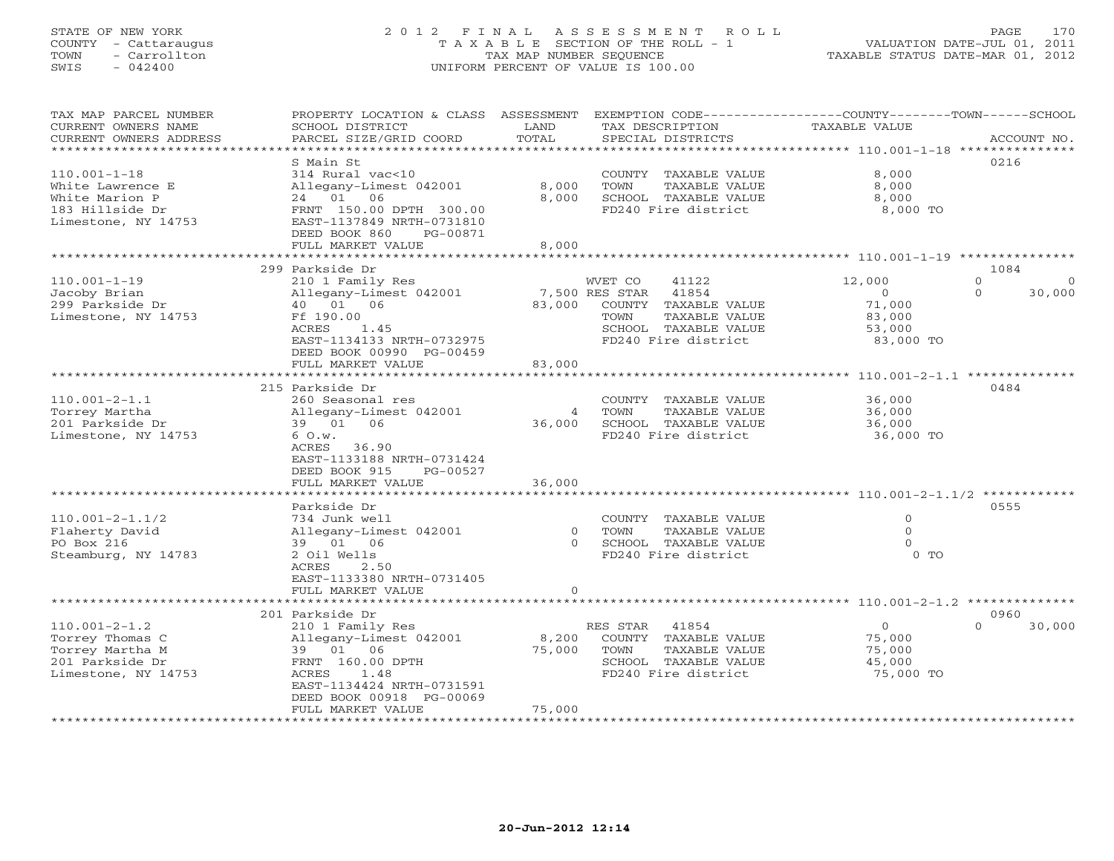# STATE OF NEW YORK 2 0 1 2 F I N A L A S S E S S M E N T R O L L PAGE 170 COUNTY - Cattaraugus T A X A B L E SECTION OF THE ROLL - 1 VALUATION DATE-JUL 01, 2011 TOWN - Carrollton TAX MAP NUMBER SEQUENCE TAXABLE STATUS DATE-MAR 01, 2012 SWIS - 042400 UNIFORM PERCENT OF VALUE IS 100.00UNIFORM PERCENT OF VALUE IS 100.00

| TAX MAP PARCEL NUMBER<br>CURRENT OWNERS NAME<br>CURRENT OWNERS ADDRESS                              | PROPERTY LOCATION & CLASS ASSESSMENT<br>SCHOOL DISTRICT<br>PARCEL SIZE/GRID COORD                                                                                  | LAND<br>TOTAL                         | TAX DESCRIPTION<br>SPECIAL DISTRICTS                                                                                                        | EXEMPTION CODE----------------COUNTY-------TOWN-----SCHOOL<br><b>TAXABLE VALUE</b> | ACCOUNT NO.                        |
|-----------------------------------------------------------------------------------------------------|--------------------------------------------------------------------------------------------------------------------------------------------------------------------|---------------------------------------|---------------------------------------------------------------------------------------------------------------------------------------------|------------------------------------------------------------------------------------|------------------------------------|
| * * * * * * * * * * * * * * * * * * *                                                               |                                                                                                                                                                    | *********                             |                                                                                                                                             |                                                                                    |                                    |
| $110.001 - 1 - 18$<br>White Lawrence E<br>White Marion P                                            | S Main St<br>314 Rural vac<10<br>Allegany-Limest 042001<br>06<br>24 01                                                                                             | 8,000<br>8,000                        | COUNTY TAXABLE VALUE<br>TOWN<br>TAXABLE VALUE<br>SCHOOL TAXABLE VALUE                                                                       | 8,000<br>8,000<br>8,000                                                            | 0216                               |
| 183 Hillside Dr<br>Limestone, NY 14753                                                              | FRNT 150.00 DPTH 300.00<br>EAST-1137849 NRTH-0731810<br>DEED BOOK 860<br>PG-00871<br>FULL MARKET VALUE                                                             | 8,000                                 | FD240 Fire district                                                                                                                         | 8,000 TO                                                                           |                                    |
|                                                                                                     |                                                                                                                                                                    |                                       |                                                                                                                                             | ************* 110.001-1-19 ****************                                        |                                    |
|                                                                                                     | 299 Parkside Dr                                                                                                                                                    |                                       |                                                                                                                                             |                                                                                    | 1084                               |
| $110.001 - 1 - 19$<br>Jacoby Brian<br>299 Parkside Dr<br>Limestone, NY 14753                        | 210 1 Family Res<br>Allegany-Limest 042001<br>40  01  06<br>Ff 190.00<br>ACRES<br>1.45<br>EAST-1134133 NRTH-0732975<br>DEED BOOK 00990 PG-00459                    | 83,000                                | 41122<br>WVET CO<br>7,500 RES STAR<br>41854<br>COUNTY TAXABLE VALUE<br>TOWN<br>TAXABLE VALUE<br>SCHOOL TAXABLE VALUE<br>FD240 Fire district | 12,000<br>$\Omega$<br>71,000<br>83,000<br>53,000<br>83,000 TO                      | $\mathbf{O}$<br>30,000<br>$\Omega$ |
|                                                                                                     | FULL MARKET VALUE<br>**********************                                                                                                                        | 83,000<br>* * * * * * * * * * * * * * |                                                                                                                                             |                                                                                    |                                    |
|                                                                                                     |                                                                                                                                                                    |                                       |                                                                                                                                             | ****************** 110.001-2-1.1 **************                                    |                                    |
| $110.001 - 2 - 1.1$<br>Torrey Martha<br>201 Parkside Dr<br>Limestone, NY 14753                      | 215 Parkside Dr<br>260 Seasonal res<br>Allegany-Limest 042001<br>39 01<br>06<br>6 O.w.<br>ACRES<br>36.90<br>EAST-1133188 NRTH-0731424<br>DEED BOOK 915<br>PG-00527 | 4<br>36,000                           | COUNTY TAXABLE VALUE<br>TAXABLE VALUE<br>TOWN<br>SCHOOL TAXABLE VALUE<br>FD240 Fire district                                                | 36,000<br>36,000<br>36,000<br>36,000 TO                                            | 0484                               |
|                                                                                                     | FULL MARKET VALUE                                                                                                                                                  | 36,000                                |                                                                                                                                             |                                                                                    |                                    |
|                                                                                                     | *****************                                                                                                                                                  |                                       |                                                                                                                                             | ********************** 110.001-2-1.1/2 ************                                |                                    |
| $110.001 - 2 - 1.1/2$<br>Flaherty David                                                             | Parkside Dr<br>734 Junk well<br>Allegany-Limest 042001                                                                                                             | $\Omega$                              | COUNTY TAXABLE VALUE<br>TOWN<br>TAXABLE VALUE                                                                                               | $\mathbf{0}$<br>$\Omega$                                                           | 0555                               |
| PO Box 216<br>Steamburg, NY 14783                                                                   | 01 06<br>39<br>2 Oil Wells<br>ACRES<br>2.50<br>EAST-1133380 NRTH-0731405<br>FULL MARKET VALUE                                                                      | $\Omega$<br>$\Omega$                  | SCHOOL TAXABLE VALUE<br>FD240 Fire district                                                                                                 | $\Omega$<br>0 <sub>0</sub>                                                         |                                    |
|                                                                                                     |                                                                                                                                                                    |                                       |                                                                                                                                             | ********************* 110.001-2-1.2 **************                                 |                                    |
|                                                                                                     | 201 Parkside Dr                                                                                                                                                    |                                       |                                                                                                                                             |                                                                                    | 0960                               |
| $110.001 - 2 - 1.2$<br>Torrey Thomas C<br>Torrey Martha M<br>201 Parkside Dr<br>Limestone, NY 14753 | 210 1 Family Res<br>Allegany-Limest 042001<br>01 06<br>39<br>FRNT 160.00 DPTH<br>ACRES<br>1.48<br>EAST-1134424 NRTH-0731591                                        | 8,200<br>75,000                       | 41854<br>RES STAR<br>COUNTY TAXABLE VALUE<br>TOWN<br>TAXABLE VALUE<br>SCHOOL TAXABLE VALUE<br>FD240 Fire district                           | $\mathbf{O}$<br>75,000<br>75,000<br>45,000<br>75,000 TO                            | $\Omega$<br>30,000                 |
|                                                                                                     | DEED BOOK 00918 PG-00069<br>FULL MARKET VALUE<br>* * * * * * * * * * * * * * * * * * *                                                                             | 75,000<br>**********                  |                                                                                                                                             |                                                                                    |                                    |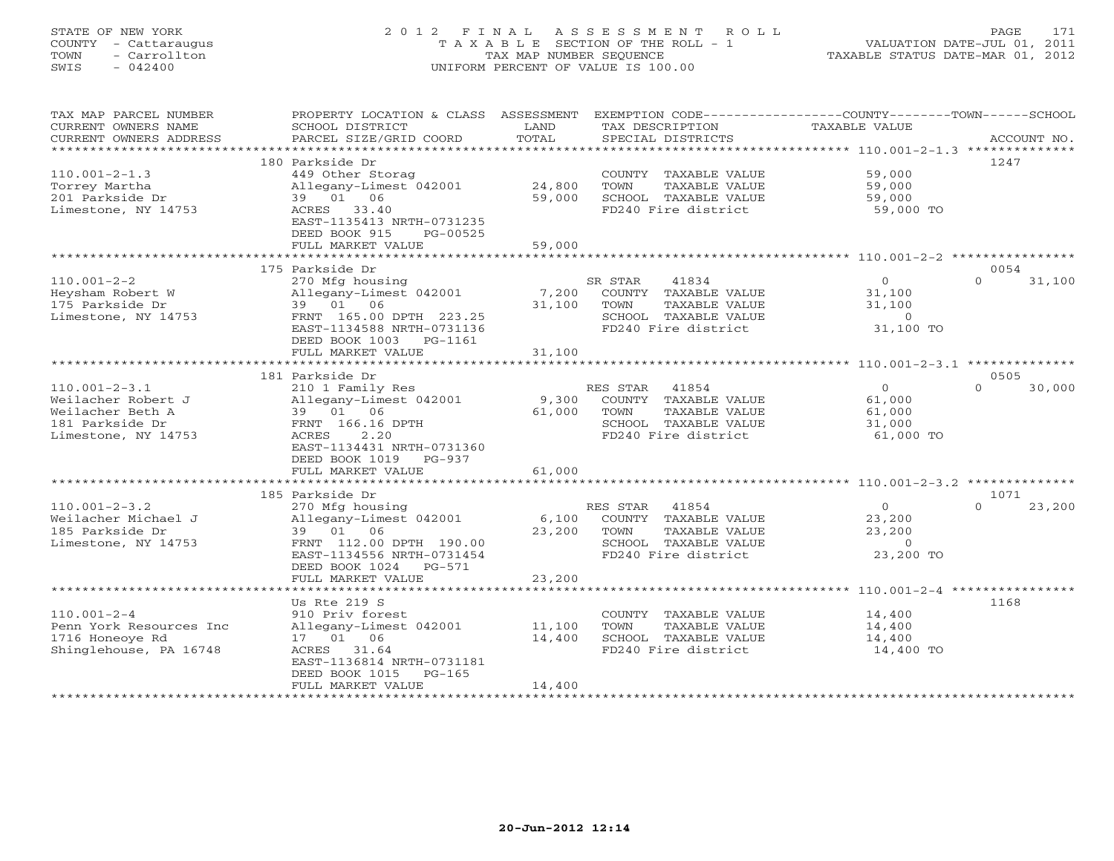# STATE OF NEW YORK 2 0 1 2 F I N A L A S S E S S M E N T R O L L PAGE 171 COUNTY - Cattaraugus T A X A B L E SECTION OF THE ROLL - 1 VALUATION DATE-JUL 01, 2011 TOWN - Carrollton TAX MAP NUMBER SEQUENCE TAXABLE STATUS DATE-MAR 01, 2012 SWIS - 042400 UNIFORM PERCENT OF VALUE IS 100.00UNIFORM PERCENT OF VALUE IS 100.00

| TAX MAP PARCEL NUMBER<br>CURRENT OWNERS NAME<br>CURRENT OWNERS ADDRESS | PROPERTY LOCATION & CLASS ASSESSMENT<br>SCHOOL DISTRICT<br>PARCEL SIZE/GRID COORD | LAND<br>TOTAL    | EXEMPTION CODE-----------------COUNTY-------TOWN-----SCHOOL<br>TAX DESCRIPTION<br>SPECIAL DISTRICTS | TAXABLE VALUE    | ACCOUNT NO.        |
|------------------------------------------------------------------------|-----------------------------------------------------------------------------------|------------------|-----------------------------------------------------------------------------------------------------|------------------|--------------------|
| ***********************                                                |                                                                                   |                  |                                                                                                     |                  |                    |
| $110.001 - 2 - 1.3$                                                    | 180 Parkside Dr<br>449 Other Storag                                               |                  | COUNTY TAXABLE VALUE                                                                                | 59,000           | 1247               |
| Torrey Martha<br>201 Parkside Dr                                       | Allegany-Limest 042001<br>06<br>39 01                                             | 24,800<br>59,000 | TOWN<br>TAXABLE VALUE<br>SCHOOL TAXABLE VALUE                                                       | 59,000<br>59,000 |                    |
| Limestone, NY 14753                                                    | 33.40<br>ACRES<br>EAST-1135413 NRTH-0731235<br>DEED BOOK 915<br>PG-00525          |                  | FD240 Fire district                                                                                 | 59,000 TO        |                    |
|                                                                        | FULL MARKET VALUE<br>**************************                                   | 59,000           |                                                                                                     |                  |                    |
|                                                                        | 175 Parkside Dr                                                                   |                  |                                                                                                     |                  | 0054               |
| $110.001 - 2 - 2$                                                      | 270 Mfg housing                                                                   |                  | SR STAR<br>41834                                                                                    | $\circ$          | $\Omega$<br>31,100 |
| Heysham Robert W                                                       | Allegany-Limest 042001                                                            | 7,200            | COUNTY TAXABLE VALUE                                                                                | 31,100           |                    |
| 175 Parkside Dr                                                        | 39 01 06                                                                          | 31,100           | TAXABLE VALUE<br>TOWN                                                                               | 31,100           |                    |
| Limestone, NY 14753                                                    | FRNT 165.00 DPTH 223.25                                                           |                  | SCHOOL TAXABLE VALUE                                                                                | $\overline{0}$   |                    |
|                                                                        | EAST-1134588 NRTH-0731136<br>DEED BOOK 1003 PG-1161                               |                  | FD240 Fire district                                                                                 | 31,100 TO        |                    |
|                                                                        | FULL MARKET VALUE                                                                 | 31,100           |                                                                                                     |                  |                    |
|                                                                        | 181 Parkside Dr                                                                   |                  |                                                                                                     |                  | 0505               |
| $110.001 - 2 - 3.1$                                                    | 210 1 Family Res                                                                  |                  | RES STAR<br>41854                                                                                   | $\overline{0}$   | $\Omega$<br>30,000 |
| Weilacher Robert J                                                     | Allegany-Limest 042001                                                            | 9,300            | COUNTY TAXABLE VALUE                                                                                | 61,000           |                    |
| Weilacher Beth A                                                       | 39 01 06                                                                          | 61,000           | TOWN<br>TAXABLE VALUE                                                                               | 61,000           |                    |
| 181 Parkside Dr                                                        | FRNT 166.16 DPTH<br>2.20                                                          |                  | SCHOOL TAXABLE VALUE                                                                                | 31,000           |                    |
| Limestone, NY 14753                                                    | ACRES<br>EAST-1134431 NRTH-0731360                                                |                  | FD240 Fire district                                                                                 | 61,000 TO        |                    |
|                                                                        | DEED BOOK 1019<br>$PG-937$                                                        |                  |                                                                                                     |                  |                    |
|                                                                        | FULL MARKET VALUE                                                                 | 61,000           |                                                                                                     |                  |                    |
|                                                                        |                                                                                   |                  |                                                                                                     |                  |                    |
|                                                                        | 185 Parkside Dr                                                                   |                  |                                                                                                     |                  | 1071               |
| $110.001 - 2 - 3.2$                                                    | 270 Mfg housing                                                                   |                  | 41854<br>RES STAR                                                                                   | $\overline{0}$   | 23,200<br>$\Omega$ |
| Weilacher Michael J                                                    | Allegany-Limest 042001                                                            | 6,100            | COUNTY TAXABLE VALUE                                                                                | 23,200           |                    |
| 185 Parkside Dr                                                        | 39 01 06                                                                          | 23,200           | TAXABLE VALUE<br>TOWN                                                                               | 23,200           |                    |
| Limestone, NY 14753                                                    | FRNT 112.00 DPTH 190.00                                                           |                  | SCHOOL TAXABLE VALUE                                                                                | $\Omega$         |                    |
|                                                                        | EAST-1134556 NRTH-0731454<br>DEED BOOK 1024<br>PG-571                             |                  | FD240 Fire district                                                                                 | 23,200 TO        |                    |
|                                                                        | FULL MARKET VALUE                                                                 | 23,200           |                                                                                                     |                  |                    |
|                                                                        |                                                                                   |                  |                                                                                                     |                  |                    |
|                                                                        | Us Rte 219 S                                                                      |                  |                                                                                                     |                  | 1168               |
| $110.001 - 2 - 4$                                                      | 910 Priv forest                                                                   |                  | COUNTY TAXABLE VALUE                                                                                | 14,400           |                    |
| Penn York Resources Inc                                                | Allegany-Limest 042001                                                            | 11,100           | TOWN<br>TAXABLE VALUE                                                                               | 14,400           |                    |
| 1716 Honeove Rd                                                        | 17 01 06                                                                          | 14,400           | SCHOOL TAXABLE VALUE                                                                                | 14,400           |                    |
| Shinglehouse, PA 16748                                                 | 31.64<br>ACRES                                                                    |                  | FD240 Fire district                                                                                 | 14,400 TO        |                    |
|                                                                        | EAST-1136814 NRTH-0731181                                                         |                  |                                                                                                     |                  |                    |
|                                                                        | DEED BOOK 1015<br>$PG-165$                                                        |                  |                                                                                                     |                  |                    |
|                                                                        | FULL MARKET VALUE                                                                 | 14,400           |                                                                                                     |                  |                    |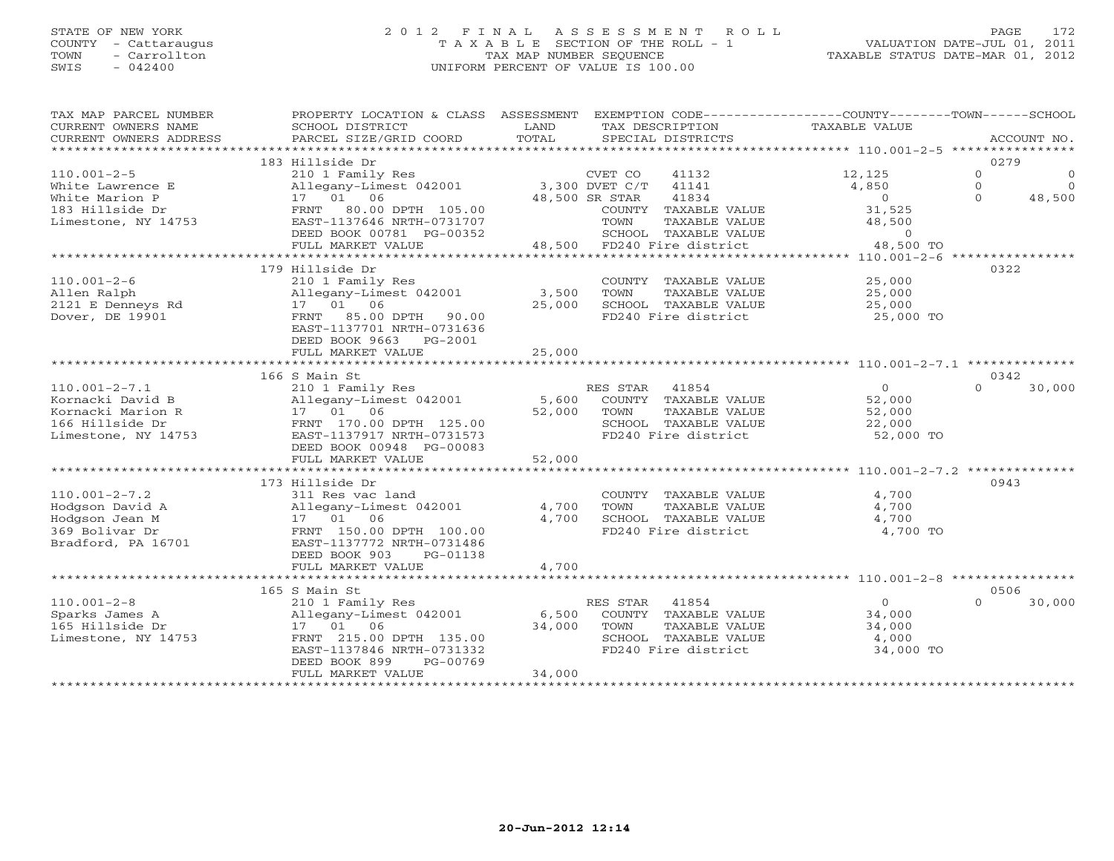## STATE OF NEW YORK 2 0 1 2 F I N A L A S S E S S M E N T R O L L PAGE 172 COUNTY - Cattaraugus T A X A B L E SECTION OF THE ROLL - 1 VALUATION DATE-JUL 01, 2011 TOWN - Carrollton TAX MAP NUMBER SEQUENCE TAXABLE STATUS DATE-MAR 01, 2012 SWIS - 042400 UNIFORM PERCENT OF VALUE IS 100.00UNIFORM PERCENT OF VALUE IS 100.00

| TAX MAP PARCEL NUMBER<br>CURRENT OWNERS NAME<br>CURRENT OWNERS ADDRESS | PROPERTY LOCATION & CLASS ASSESSMENT<br>SCHOOL DISTRICT<br>PARCEL SIZE/GRID COORD | LAND<br>TOTAL  | TAX DESCRIPTION<br>SPECIAL DISTRICTS                                   | EXEMPTION CODE-----------------COUNTY-------TOWN------SCHOOL<br><b>TAXABLE VALUE</b> | ACCOUNT NO.                                                                   |
|------------------------------------------------------------------------|-----------------------------------------------------------------------------------|----------------|------------------------------------------------------------------------|--------------------------------------------------------------------------------------|-------------------------------------------------------------------------------|
|                                                                        |                                                                                   |                |                                                                        |                                                                                      |                                                                               |
| $110.001 - 2 - 5$<br>White Lawrence E<br>White Marion P                | 183 Hillside Dr<br>210 1 Family Res<br>Allegany-Limest 042001<br>17 01 06         |                | CVET CO<br>41132<br>3,300 DVET C/T<br>41141<br>41834<br>48,500 SR STAR | 12,125<br>4,850<br>$\overline{0}$                                                    | 0279<br>$\mathbf{0}$<br>$\circ$<br>$\Omega$<br>$\Omega$<br>$\Omega$<br>48,500 |
| 183 Hillside Dr<br>Limestone, NY 14753                                 | FRNT 80.00 DPTH 105.00<br>EAST-1137646 NRTH-0731707<br>DEED BOOK 00781 PG-00352   |                | COUNTY TAXABLE VALUE<br>TAXABLE VALUE<br>TOWN<br>SCHOOL TAXABLE VALUE  | 31,525<br>48,500<br>$\overline{0}$                                                   |                                                                               |
|                                                                        | FULL MARKET VALUE                                                                 |                | 48,500 FD240 Fire district                                             | 48,500 TO                                                                            |                                                                               |
|                                                                        |                                                                                   |                |                                                                        |                                                                                      |                                                                               |
| $110.001 - 2 - 6$                                                      | 179 Hillside Dr<br>210 1 Family Res                                               |                | COUNTY TAXABLE VALUE                                                   | 25,000                                                                               | 0322                                                                          |
| Allen Ralph                                                            | Allegany-Limest 042001                                                            | 3,500          | TOWN<br>TAXABLE VALUE                                                  | 25,000                                                                               |                                                                               |
| 2121 E Denneys Rd                                                      | 17  01  06                                                                        | 25,000         | SCHOOL TAXABLE VALUE                                                   | 25,000                                                                               |                                                                               |
| Dover, DE 19901                                                        | 85.00 DPTH<br>FRNT<br>90.00                                                       |                | FD240 Fire district                                                    | 25,000 TO                                                                            |                                                                               |
|                                                                        | EAST-1137701 NRTH-0731636<br>DEED BOOK 9663<br>PG-2001                            |                |                                                                        |                                                                                      |                                                                               |
|                                                                        | FULL MARKET VALUE                                                                 | 25,000         |                                                                        |                                                                                      |                                                                               |
|                                                                        | 166 S Main St                                                                     |                |                                                                        |                                                                                      | 0342                                                                          |
| $110.001 - 2 - 7.1$                                                    | 210 1 Family Res                                                                  |                | RES STAR<br>41854                                                      | $\overline{O}$                                                                       | $\Omega$<br>30,000                                                            |
| Kornacki David B                                                       | Allegany-Limest 042001                                                            |                | 5,600 COUNTY TAXABLE VALUE                                             | 52,000                                                                               |                                                                               |
| Kornacki Marion R                                                      | 17 01 06                                                                          | 52,000         | TOWN<br>TAXABLE VALUE                                                  | 52,000                                                                               |                                                                               |
| 166 Hillside Dr                                                        |                                                                                   |                |                                                                        |                                                                                      |                                                                               |
| Limestone, NY 14753                                                    | FRNT 170.00 DPTH 125.00<br>EAST-1137917 NRTH-0731573                              |                | SCHOOL TAXABLE VALUE<br>FD240 Fire district                            | 22,000<br>52,000 TO                                                                  |                                                                               |
|                                                                        |                                                                                   |                |                                                                        |                                                                                      |                                                                               |
|                                                                        | DEED BOOK 00948 PG-00083                                                          | 52,000         |                                                                        |                                                                                      |                                                                               |
|                                                                        | FULL MARKET VALUE<br>**************************                                   | ************** |                                                                        | ************************* 110.001-2-7.2 **************                               |                                                                               |
|                                                                        | 173 Hillside Dr                                                                   |                |                                                                        |                                                                                      | 0943                                                                          |
| $110.001 - 2 - 7.2$                                                    | 311 Res vac land                                                                  |                |                                                                        | 4,700                                                                                |                                                                               |
| Hodgson David A                                                        |                                                                                   | 4,700          | COUNTY TAXABLE VALUE<br>TOWN                                           | 4,700                                                                                |                                                                               |
| Hodgson Jean M                                                         | Allegany-Limest 042001<br>17  01  06                                              | 4,700          | TAXABLE VALUE<br>SCHOOL TAXABLE VALUE                                  | 4,700                                                                                |                                                                               |
| 369 Bolivar Dr                                                         | FRNT 150.00 DPTH 100.00                                                           |                | FD240 Fire district                                                    | 4,700 TO                                                                             |                                                                               |
| Bradford, PA 16701                                                     | EAST-1137772 NRTH-0731486                                                         |                |                                                                        |                                                                                      |                                                                               |
|                                                                        | DEED BOOK 903<br>PG-01138                                                         |                |                                                                        |                                                                                      |                                                                               |
|                                                                        | FULL MARKET VALUE                                                                 | 4,700          |                                                                        |                                                                                      |                                                                               |
|                                                                        |                                                                                   |                |                                                                        |                                                                                      |                                                                               |
|                                                                        | 165 S Main St                                                                     |                |                                                                        |                                                                                      | 0506                                                                          |
| $110.001 - 2 - 8$                                                      | 210 1 Family Res                                                                  |                | RES STAR<br>41854                                                      | $\circ$                                                                              | $\Omega$<br>30,000                                                            |
| Sparks James A                                                         | Allegany-Limest 042001                                                            | 6,500          | COUNTY TAXABLE VALUE                                                   | 34,000                                                                               |                                                                               |
| 165 Hillside Dr                                                        | 17 01 06                                                                          | 34,000         | TAXABLE VALUE<br>TOWN                                                  | 34,000                                                                               |                                                                               |
| Limestone, NY 14753                                                    | FRNT 215.00 DPTH 135.00                                                           |                | SCHOOL TAXABLE VALUE                                                   | 4,000                                                                                |                                                                               |
|                                                                        | EAST-1137846 NRTH-0731332                                                         |                | FD240 Fire district                                                    | 34,000 TO                                                                            |                                                                               |
|                                                                        | PG-00769<br>DEED BOOK 899                                                         |                |                                                                        |                                                                                      |                                                                               |
|                                                                        | FULL MARKET VALUE                                                                 | 34,000         |                                                                        |                                                                                      |                                                                               |
|                                                                        |                                                                                   |                |                                                                        |                                                                                      |                                                                               |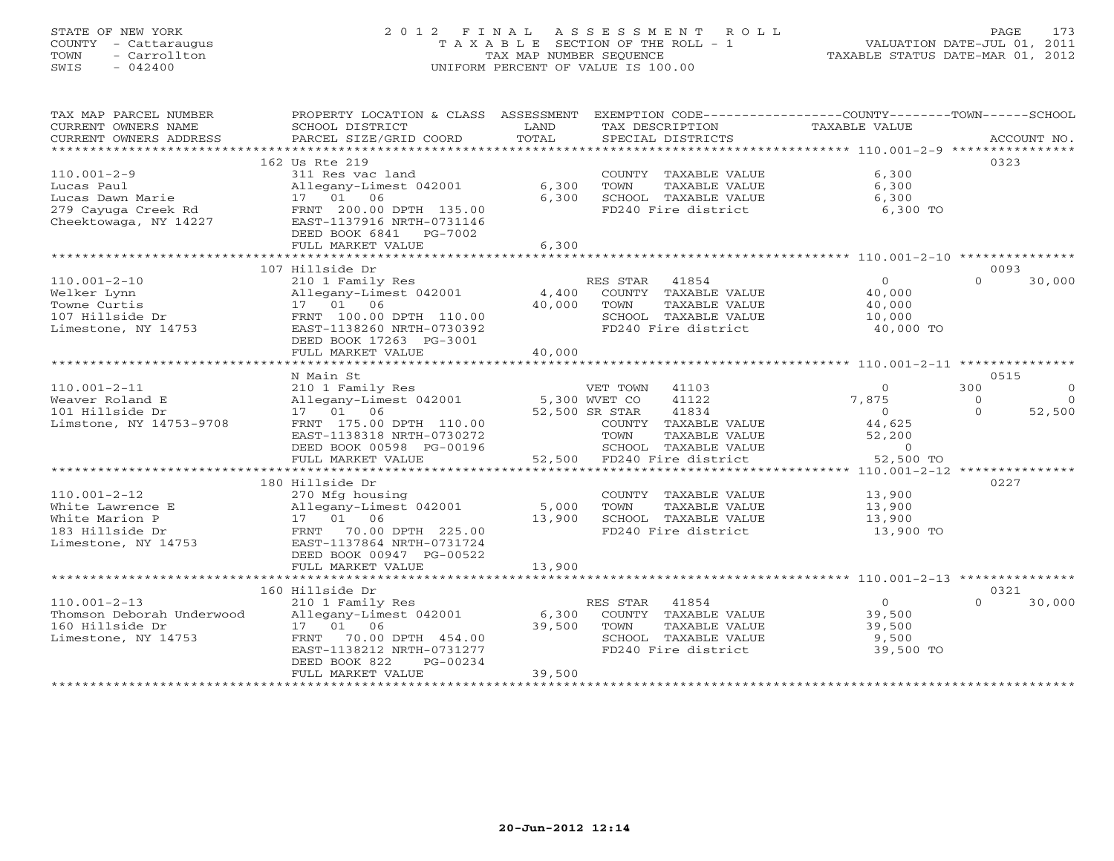# STATE OF NEW YORK 2 0 1 2 F I N A L A S S E S S M E N T R O L L PAGE 173 COUNTY - Cattaraugus T A X A B L E SECTION OF THE ROLL - 1 VALUATION DATE-JUL 01, 2011 TOWN - Carrollton TAX MAP NUMBER SEQUENCE TAXABLE STATUS DATE-MAR 01, 2012 SWIS - 042400 UNIFORM PERCENT OF VALUE IS 100.00UNIFORM PERCENT OF VALUE IS 100.00

| TAX MAP PARCEL NUMBER<br>CURRENT OWNERS NAME<br>CURRENT OWNERS ADDRESS | PROPERTY LOCATION & CLASS ASSESSMENT<br>SCHOOL DISTRICT<br>PARCEL SIZE/GRID COORD | LAND<br>TOTAL | EXEMPTION CODE-----------------COUNTY-------TOWN------SCHOOL<br>TAX DESCRIPTION<br>SPECIAL DISTRICTS | TAXABLE VALUE     | ACCOUNT NO.          |
|------------------------------------------------------------------------|-----------------------------------------------------------------------------------|---------------|------------------------------------------------------------------------------------------------------|-------------------|----------------------|
|                                                                        |                                                                                   |               |                                                                                                      |                   |                      |
|                                                                        | 162 Us Rte 219                                                                    |               |                                                                                                      |                   | 0323                 |
| $110.001 - 2 - 9$                                                      | 311 Res vac land                                                                  |               | COUNTY TAXABLE VALUE                                                                                 | 6,300             |                      |
| Lucas Paul                                                             | Allegany-Limest 042001                                                            | 6,300         | TOWN<br>TAXABLE VALUE                                                                                | 6,300             |                      |
| Lucas Dawn Marie<br>279 Cayuga Creek Rd                                | 17  01  06<br>FRNT 200.00 DPTH 135.00                                             | 6,300         | SCHOOL TAXABLE VALUE<br>FD240 Fire district                                                          | 6,300<br>6,300 TO |                      |
| Cheektowaga, NY 14227                                                  | EAST-1137916 NRTH-0731146                                                         |               |                                                                                                      |                   |                      |
|                                                                        | DEED BOOK 6841 PG-7002                                                            |               |                                                                                                      |                   |                      |
|                                                                        | FULL MARKET VALUE                                                                 | 6,300         |                                                                                                      |                   |                      |
|                                                                        |                                                                                   |               |                                                                                                      |                   |                      |
|                                                                        | 107 Hillside Dr                                                                   |               |                                                                                                      |                   | 0093                 |
| $110.001 - 2 - 10$                                                     | 210 1 Family Res                                                                  |               | RES STAR<br>41854                                                                                    | $\overline{0}$    | 30,000<br>$\Omega$   |
| Welker Lynn                                                            | Allegany-Limest 042001                                                            | 40,000        | 4,400 COUNTY TAXABLE VALUE                                                                           | 40,000            |                      |
| Towne Curtis<br>107 Hillside Dr                                        | 17  01  06<br>FRNT 100.00 DPTH 110.00                                             |               | TOWN<br>TAXABLE VALUE<br>SCHOOL TAXABLE VALUE                                                        | 40,000<br>10,000  |                      |
| Limestone, NY 14753                                                    | EAST-1138260 NRTH-0730392                                                         |               | FD240 Fire district                                                                                  | 40,000 TO         |                      |
|                                                                        | DEED BOOK 17263 PG-3001                                                           |               |                                                                                                      |                   |                      |
|                                                                        | FULL MARKET VALUE                                                                 | 40,000        |                                                                                                      |                   |                      |
|                                                                        | ***********************                                                           | ************* |                                                                                                      |                   |                      |
|                                                                        | N Main St                                                                         |               |                                                                                                      |                   | 0515                 |
| $110.001 - 2 - 11$                                                     | 210 1 Family Res                                                                  |               | VET TOWN<br>41103                                                                                    | $\Omega$          | 300<br>$\Omega$      |
| Weaver Roland E                                                        | Allegany-Limest 042001                                                            | 5,300 WVET CO | 41122                                                                                                | 7,875             | $\Omega$<br>$\Omega$ |
| 101 Hillside Dr                                                        | 17 01 06                                                                          |               | 41834<br>52,500 SR STAR                                                                              | $\bigcirc$        | $\Omega$<br>52,500   |
| Limstone, NY 14753-9708                                                | FRNT 175.00 DPTH 110.00<br>EAST-1138318 NRTH-0730272                              |               | COUNTY TAXABLE VALUE<br>TOWN<br>TAXABLE VALUE                                                        | 44,625<br>52,200  |                      |
|                                                                        | DEED BOOK 00598 PG-00196                                                          |               | SCHOOL TAXABLE VALUE                                                                                 | $\circ$           |                      |
|                                                                        | FULL MARKET VALUE                                                                 |               | 52,500 FD240 Fire district                                                                           | 52,500 TO         |                      |
|                                                                        |                                                                                   |               |                                                                                                      |                   |                      |
|                                                                        | 180 Hillside Dr                                                                   |               |                                                                                                      |                   | 0227                 |
| $110.001 - 2 - 12$                                                     | 270 Mfg housing                                                                   |               | COUNTY TAXABLE VALUE                                                                                 | 13,900            |                      |
| White Lawrence E                                                       | Allegany-Limest 042001                                                            | 5,000         | TOWN<br>TAXABLE VALUE                                                                                | 13,900            |                      |
| White Marion P                                                         | 17  01  06                                                                        | 13,900        | SCHOOL TAXABLE VALUE                                                                                 | 13,900            |                      |
| 183 Hillside Dr                                                        | FRNT 70.00 DPTH 225.00                                                            |               | FD240 Fire district                                                                                  | 13,900 TO         |                      |
| Limestone, NY 14753                                                    | EAST-1137864 NRTH-0731724<br>DEED BOOK 00947 PG-00522                             |               |                                                                                                      |                   |                      |
|                                                                        | FULL MARKET VALUE                                                                 | 13,900        |                                                                                                      |                   |                      |
|                                                                        |                                                                                   |               |                                                                                                      |                   |                      |
|                                                                        | 160 Hillside Dr                                                                   |               |                                                                                                      |                   | 0321                 |
| $110.001 - 2 - 13$                                                     | 210 1 Family Res                                                                  |               | RES STAR 41854                                                                                       | $\overline{O}$    | $\Omega$<br>30,000   |
| Thomson Deborah Underwood                                              | Allegany-Limest 042001 6,300                                                      |               | COUNTY TAXABLE VALUE                                                                                 | 39,500            |                      |
| 160 Hillside Dr                                                        | 17  01  06                                                                        | 39,500        | TOWN<br>TAXABLE VALUE                                                                                | 39,500            |                      |
| Limestone, NY 14753                                                    | 70.00 DPTH 454.00<br>FRNT                                                         |               | SCHOOL TAXABLE VALUE                                                                                 | 9,500             |                      |
|                                                                        | EAST-1138212 NRTH-0731277<br>DEED BOOK 822<br>PG-00234                            |               | FD240 Fire district                                                                                  | 39,500 TO         |                      |
|                                                                        | FULL MARKET VALUE                                                                 | 39,500        |                                                                                                      |                   |                      |
|                                                                        |                                                                                   |               |                                                                                                      |                   |                      |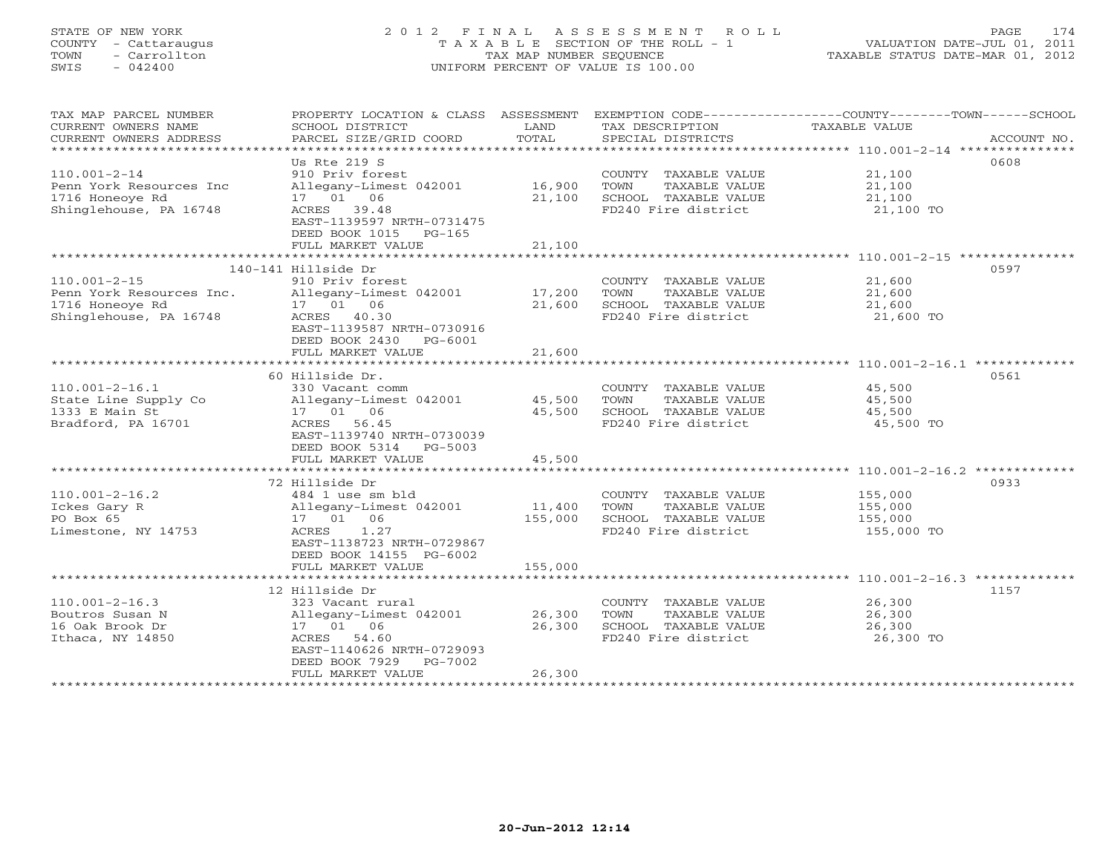# STATE OF NEW YORK 2 0 1 2 F I N A L A S S E S S M E N T R O L L PAGE 174 COUNTY - Cattaraugus T A X A B L E SECTION OF THE ROLL - 1 VALUATION DATE-JUL 01, 2011 TOWN - Carrollton TAX MAP NUMBER SEQUENCE TAXABLE STATUS DATE-MAR 01, 2012 SWIS - 042400 UNIFORM PERCENT OF VALUE IS 100.00UNIFORM PERCENT OF VALUE IS 100.00

| TAX MAP PARCEL NUMBER<br>CURRENT OWNERS NAME<br>CURRENT OWNERS ADDRESS                      | PROPERTY LOCATION & CLASS ASSESSMENT<br>SCHOOL DISTRICT<br>PARCEL SIZE/GRID COORD                                                                      | LAND<br>TOTAL     | TAX DESCRIPTION<br>SPECIAL DISTRICTS                                                         | EXEMPTION CODE-----------------COUNTY-------TOWN------SCHOOL<br><b>TAXABLE VALUE</b><br>ACCOUNT NO. |
|---------------------------------------------------------------------------------------------|--------------------------------------------------------------------------------------------------------------------------------------------------------|-------------------|----------------------------------------------------------------------------------------------|-----------------------------------------------------------------------------------------------------|
| $110.001 - 2 - 14$<br>Penn York Resources Inc<br>1716 Honeove Rd<br>Shinglehouse, PA 16748  | Us Rte 219 S<br>910 Priv forest<br>Allegany-Limest 042001<br>17 01 06<br>ACRES 39.48<br>EAST-1139597 NRTH-0731475<br>DEED BOOK 1015<br>$PG-165$        | 16,900<br>21,100  | COUNTY TAXABLE VALUE<br>TOWN<br>TAXABLE VALUE<br>SCHOOL TAXABLE VALUE<br>FD240 Fire district | 0608<br>21,100<br>21,100<br>21,100<br>21,100 TO                                                     |
|                                                                                             | FULL MARKET VALUE                                                                                                                                      | 21,100            |                                                                                              |                                                                                                     |
|                                                                                             | 140-141 Hillside Dr                                                                                                                                    |                   |                                                                                              | 0597                                                                                                |
| $110.001 - 2 - 15$<br>Penn York Resources Inc.<br>1716 Honeoye Rd<br>Shinglehouse, PA 16748 | 910 Priv forest<br>Allegany-Limest 042001<br>17  01  06<br>ACRES 40.30<br>EAST-1139587 NRTH-0730916<br>DEED BOOK 2430<br>PG-6001                       | 17,200<br>21,600  | COUNTY TAXABLE VALUE<br>TOWN<br>TAXABLE VALUE<br>SCHOOL TAXABLE VALUE<br>FD240 Fire district | 21,600<br>21,600<br>21,600<br>21,600 TO                                                             |
|                                                                                             | FULL MARKET VALUE                                                                                                                                      | 21,600            |                                                                                              |                                                                                                     |
|                                                                                             |                                                                                                                                                        |                   |                                                                                              |                                                                                                     |
| $110.001 - 2 - 16.1$<br>State Line Supply Co<br>1333 E Main St<br>Bradford, PA 16701        | 60 Hillside Dr.<br>330 Vacant comm<br>Allegany-Limest 042001<br>17  01  06<br>ACRES 56.45<br>EAST-1139740 NRTH-0730039<br>DEED BOOK 5314<br>PG-5003    | 45,500<br>45,500  | COUNTY TAXABLE VALUE<br>TAXABLE VALUE<br>TOWN<br>SCHOOL TAXABLE VALUE<br>FD240 Fire district | 0561<br>45,500<br>45,500<br>45,500<br>45,500 TO                                                     |
|                                                                                             | FULL MARKET VALUE                                                                                                                                      | 45,500            |                                                                                              |                                                                                                     |
|                                                                                             |                                                                                                                                                        |                   |                                                                                              |                                                                                                     |
| $110.001 - 2 - 16.2$<br>Ickes Gary R<br>PO Box 65<br>Limestone, NY 14753                    | 72 Hillside Dr<br>484 1 use sm bld<br>Allegany-Limest 042001<br>17  01  06<br>1.27<br>ACRES<br>EAST-1138723 NRTH-0729867<br>DEED BOOK 14155 PG-6002    | 11,400<br>155,000 | COUNTY TAXABLE VALUE<br>TOWN<br>TAXABLE VALUE<br>SCHOOL TAXABLE VALUE<br>FD240 Fire district | 0933<br>155,000<br>155,000<br>155,000<br>155,000 TO                                                 |
|                                                                                             | FULL MARKET VALUE                                                                                                                                      | 155,000           |                                                                                              |                                                                                                     |
|                                                                                             |                                                                                                                                                        |                   |                                                                                              |                                                                                                     |
| $110.001 - 2 - 16.3$<br>Boutros Susan N<br>16 Oak Brook Dr<br>Ithaca, NY 14850              | 12 Hillside Dr<br>323 Vacant rural<br>Allegany-Limest 042001<br>17  01  06<br>54.60<br>ACRES<br>EAST-1140626 NRTH-0729093<br>DEED BOOK 7929<br>PG-7002 | 26,300<br>26,300  | COUNTY TAXABLE VALUE<br>TAXABLE VALUE<br>TOWN<br>SCHOOL TAXABLE VALUE<br>FD240 Fire district | 1157<br>26,300<br>26,300<br>26,300<br>26,300 TO                                                     |
|                                                                                             | FULL MARKET VALUE                                                                                                                                      | 26,300            |                                                                                              |                                                                                                     |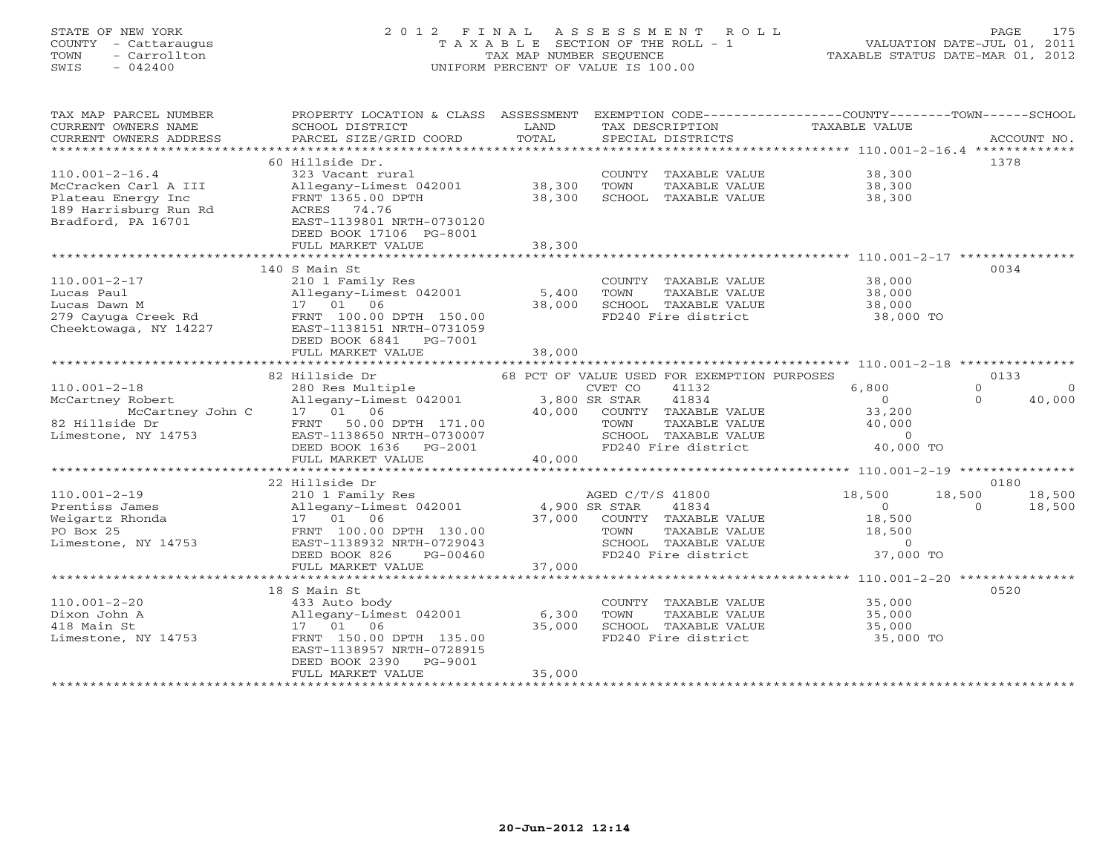# STATE OF NEW YORK 2 0 1 2 F I N A L A S S E S S M E N T R O L L PAGE 175 COUNTY - Cattaraugus T A X A B L E SECTION OF THE ROLL - 1 VALUATION DATE-JUL 01, 2011 TOWN - Carrollton TAX MAP NUMBER SEQUENCE TAXABLE STATUS DATE-MAR 01, 2012 SWIS - 042400 UNIFORM PERCENT OF VALUE IS 100.00UNIFORM PERCENT OF VALUE IS 100.00

| TAX MAP PARCEL NUMBER                                                                                              | PROPERTY LOCATION & CLASS ASSESSMENT EXEMPTION CODE----------------COUNTY-------TOWN------SCHOOL          |        |                  |                                             |                                                                                                                |                |             |
|--------------------------------------------------------------------------------------------------------------------|-----------------------------------------------------------------------------------------------------------|--------|------------------|---------------------------------------------|----------------------------------------------------------------------------------------------------------------|----------------|-------------|
| CURRENT OWNERS NAME                                                                                                | SCHOOL DISTRICT                                                                                           | LAND   |                  | TAX DESCRIPTION                             | TAXABLE VALUE                                                                                                  |                |             |
| CURRENT OWNERS ADDRESS                                                                                             | PARCEL SIZE/GRID COORD                                                                                    | TOTAL  |                  | SPECIAL DISTRICTS                           |                                                                                                                |                | ACCOUNT NO. |
|                                                                                                                    |                                                                                                           |        |                  |                                             |                                                                                                                |                |             |
|                                                                                                                    | 60 Hillside Dr.                                                                                           |        |                  |                                             |                                                                                                                |                | 1378        |
| $110.001 - 2 - 16.4$                                                                                               | 323 Vacant rural                                                                                          |        |                  | COUNTY TAXABLE VALUE                        | 38,300                                                                                                         |                |             |
| McCracken Carl A III                                                                                               | Allegany-Limest 042001 38,300                                                                             |        | TOWN             | TAXABLE VALUE                               | 38,300                                                                                                         |                |             |
|                                                                                                                    | FRNT 1365.00 DPTH                                                                                         | 38,300 |                  | SCHOOL TAXABLE VALUE                        | 38,300                                                                                                         |                |             |
| Plateau Energy Inc<br>189 Harrisburg Run Rd<br>Bradford, PA 16701                                                  | ACRES 74.76                                                                                               |        |                  |                                             |                                                                                                                |                |             |
| Bradford, PA 16701                                                                                                 | EAST-1139801 NRTH-0730120                                                                                 |        |                  |                                             |                                                                                                                |                |             |
|                                                                                                                    | DEED BOOK 17106 PG-8001                                                                                   |        |                  |                                             |                                                                                                                |                |             |
|                                                                                                                    | FULL MARKET VALUE                                                                                         | 38,300 |                  |                                             |                                                                                                                |                |             |
|                                                                                                                    |                                                                                                           |        |                  |                                             |                                                                                                                |                |             |
|                                                                                                                    | 140 S Main St                                                                                             |        |                  |                                             |                                                                                                                |                | 0034        |
| $110.001 - 2 - 17$                                                                                                 | 210 1 Family Res                                                                                          |        |                  | COUNTY TAXABLE VALUE                        | 38,000                                                                                                         |                |             |
| Lucas Paul                                                                                                         | Allegany-Limest 042001                                                                                    | 5,400  | TOWN             | TAXABLE VALUE                               | 38,000                                                                                                         |                |             |
| Eucas Pawn M<br>279 Cayuga Creek Rd<br>279 Cayuga Creek Rd<br>279 Cayuga Creek Rd<br>279 EAST-1138151 NRTH-0731059 |                                                                                                           | 38,000 |                  | SCHOOL TAXABLE VALUE                        | 38,000                                                                                                         |                |             |
|                                                                                                                    |                                                                                                           |        |                  | FD240 Fire district                         | 38,000 TO                                                                                                      |                |             |
|                                                                                                                    |                                                                                                           |        |                  |                                             |                                                                                                                |                |             |
|                                                                                                                    | DEED BOOK 6841    PG-7001                                                                                 |        |                  |                                             |                                                                                                                |                |             |
|                                                                                                                    | FULL MARKET VALUE                                                                                         | 38,000 |                  |                                             |                                                                                                                |                |             |
|                                                                                                                    |                                                                                                           |        |                  |                                             |                                                                                                                |                |             |
|                                                                                                                    | 82 Hillside Dr                                                                                            |        |                  | 68 PCT OF VALUE USED FOR EXEMPTION PURPOSES |                                                                                                                |                | 0133        |
| $110.001 - 2 - 18$                                                                                                 | 280 Res Multiple                                                                                          |        | CVET CO          | 41132                                       | 6,800                                                                                                          | $\Omega$       | $\Omega$    |
| McCartney Robert                                                                                                   | cvET CO و CVET CO<br>Allegany-Limest 042001 3,800 SR STAR                                                 |        |                  | 41834                                       | $\overline{0}$                                                                                                 | $\Omega$       | 40,000      |
| McCartney John C 17 01 06<br>de Dr FRNT 50.00                                                                      |                                                                                                           |        |                  | 40,000 COUNTY TAXABLE VALUE                 |                                                                                                                |                |             |
| 82 Hillside Dr                                                                                                     | FRNT 50.00 DPTH 171.00                                                                                    |        |                  |                                             | 33,200<br>40,000<br>TOWN TAXABLE VALUE $40,000$<br>SCHOOL TAXABLE VALUE $0$<br>FD240 Fire district $40,000$ TO |                |             |
| Limestone, NY 14753                                                                                                |                                                                                                           |        |                  |                                             |                                                                                                                |                |             |
|                                                                                                                    |                                                                                                           |        |                  |                                             |                                                                                                                |                |             |
|                                                                                                                    | FRNT 50.00 DPTH 171.00<br>EAST-1138650 NRTH-0730007<br>DEED BOOK 1636 PG-2001<br>FULL MARKET VALUE 40,000 |        |                  |                                             |                                                                                                                |                |             |
|                                                                                                                    |                                                                                                           |        |                  |                                             |                                                                                                                |                |             |
|                                                                                                                    | 22 Hillside Dr                                                                                            |        |                  |                                             |                                                                                                                |                | 0180        |
| $110.001 - 2 - 19$                                                                                                 | 210 1 Family Res                                                                                          |        | AGED C/T/S 41800 |                                             | 18,500                                                                                                         | 18,500         | 18,500      |
| Prentiss James                                                                                                     | Allegany-Limest 042001 4,900 SR STAR                                                                      |        |                  | 41834                                       | $\overline{0}$                                                                                                 | $\overline{O}$ | 18,500      |
| Weigartz Rhonda                                                                                                    | 17 01 06                                                                                                  | 37,000 |                  | COUNTY TAXABLE VALUE                        | 18,500                                                                                                         |                |             |
| PO Box 25                                                                                                          | FRNT 100.00 DPTH 130.00                                                                                   |        | TOWN             | TAXABLE VALUE                               | 18,500                                                                                                         |                |             |
| Limestone, NY 14753                                                                                                | EAST-1138932 NRTH-0729043                                                                                 |        |                  |                                             |                                                                                                                |                |             |
|                                                                                                                    | PG-00460<br>DEED BOOK 826                                                                                 |        |                  |                                             | SCHOOL TAXABLE VALUE 0<br>FD240 Fire district 37,000 TO                                                        |                |             |
|                                                                                                                    | FULL MARKET VALUE                                                                                         | 37,000 |                  |                                             |                                                                                                                |                |             |
|                                                                                                                    |                                                                                                           |        |                  |                                             |                                                                                                                |                |             |
|                                                                                                                    | 18 S Main St                                                                                              |        |                  |                                             |                                                                                                                |                | 0520        |
| $110.001 - 2 - 20$                                                                                                 | 433 Auto body                                                                                             |        |                  | COUNTY TAXABLE VALUE                        | 35,000                                                                                                         |                |             |
| Dixon John A                                                                                                       | Allegany-Limest 042001                                                                                    | 6,300  | TOWN             | TAXABLE VALUE                               | 35,000                                                                                                         |                |             |
| 418 Main St                                                                                                        | 17 01 06                                                                                                  | 35,000 |                  | SCHOOL TAXABLE VALUE                        | 35,000                                                                                                         |                |             |
| Limestone, NY 14753                                                                                                | FRNT 150.00 DPTH 135.00                                                                                   |        |                  | FD240 Fire district                         | 35,000 TO                                                                                                      |                |             |
|                                                                                                                    | EAST-1138957 NRTH-0728915                                                                                 |        |                  |                                             |                                                                                                                |                |             |
|                                                                                                                    | DEED BOOK 2390 PG-9001                                                                                    |        |                  |                                             |                                                                                                                |                |             |
|                                                                                                                    | FULL MARKET VALUE                                                                                         | 35,000 |                  |                                             |                                                                                                                |                |             |
|                                                                                                                    |                                                                                                           |        |                  |                                             |                                                                                                                |                |             |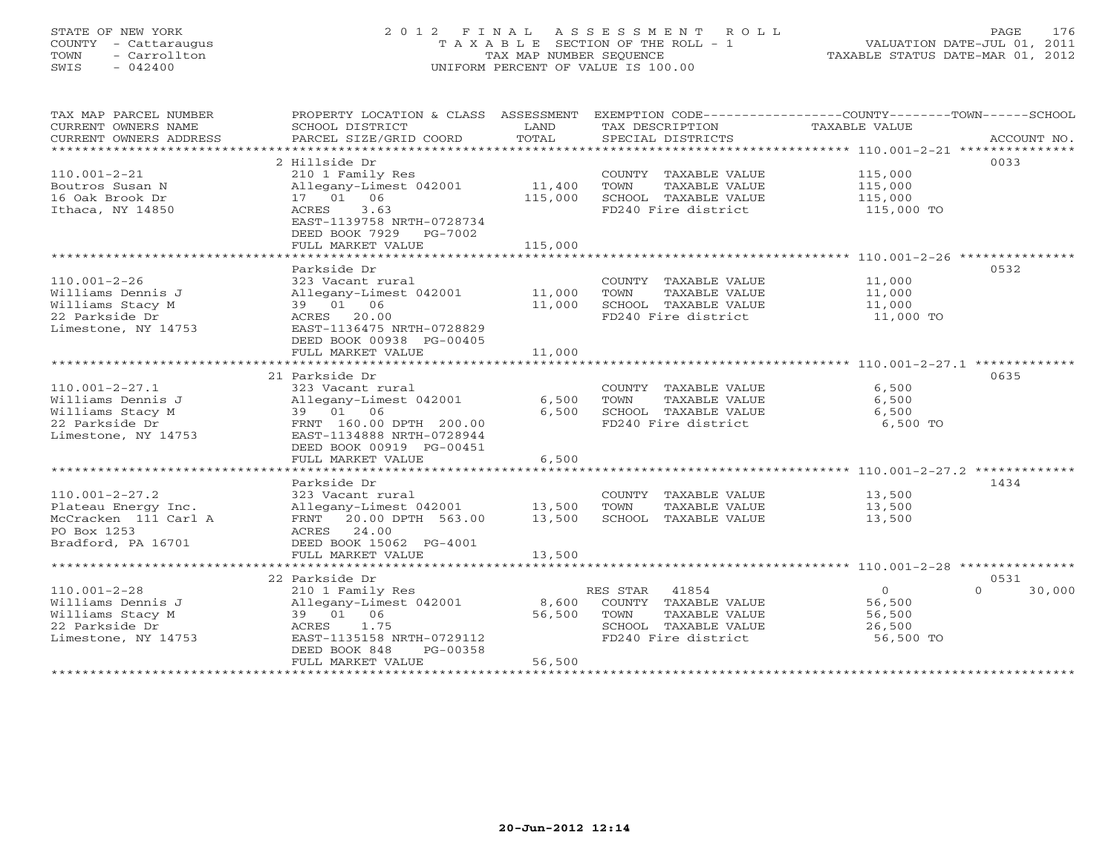# STATE OF NEW YORK 2 0 1 2 F I N A L A S S E S S M E N T R O L L PAGE 176 COUNTY - Cattaraugus T A X A B L E SECTION OF THE ROLL - 1 VALUATION DATE-JUL 01, 2011 TOWN - Carrollton TAX MAP NUMBER SEQUENCE TAXABLE STATUS DATE-MAR 01, 2012 SWIS - 042400 UNIFORM PERCENT OF VALUE IS 100.00UNIFORM PERCENT OF VALUE IS 100.00

| TAX MAP PARCEL NUMBER<br>CURRENT OWNERS NAME | PROPERTY LOCATION & CLASS ASSESSMENT<br>SCHOOL DISTRICT | LAND    | EXEMPTION CODE----------------COUNTY-------TOWN-----SCHOOL<br>TAX DESCRIPTION | <b>TAXABLE VALUE</b> |                    |
|----------------------------------------------|---------------------------------------------------------|---------|-------------------------------------------------------------------------------|----------------------|--------------------|
| CURRENT OWNERS ADDRESS                       | PARCEL SIZE/GRID COORD                                  | TOTAL   | SPECIAL DISTRICTS                                                             |                      | ACCOUNT NO.        |
| *************************                    |                                                         |         |                                                                               |                      |                    |
|                                              | 2 Hillside Dr                                           |         |                                                                               |                      | 0033               |
| $110.001 - 2 - 21$                           | 210 1 Family Res                                        |         | COUNTY TAXABLE VALUE                                                          | 115,000              |                    |
| Boutros Susan N                              | Allegany-Limest 042001                                  | 11,400  | TOWN<br>TAXABLE VALUE                                                         | 115,000              |                    |
| 16 Oak Brook Dr                              | 17 01 06                                                | 115,000 | SCHOOL TAXABLE VALUE                                                          | 115,000              |                    |
| Ithaca, NY 14850                             | 3.63<br>ACRES                                           |         | FD240 Fire district                                                           | 115,000 TO           |                    |
|                                              | EAST-1139758 NRTH-0728734<br>DEED BOOK 7929 PG-7002     |         |                                                                               |                      |                    |
|                                              | FULL MARKET VALUE                                       | 115,000 |                                                                               |                      |                    |
|                                              |                                                         |         |                                                                               |                      |                    |
|                                              | Parkside Dr                                             |         |                                                                               |                      | 0532               |
| $110.001 - 2 - 26$                           | 323 Vacant rural                                        |         | COUNTY TAXABLE VALUE                                                          | 11,000               |                    |
| Williams Dennis J                            | Allegany-Limest 042001                                  | 11,000  | TOWN<br>TAXABLE VALUE                                                         | 11,000               |                    |
| Williams Stacy M                             | 39 01 06                                                | 11,000  | SCHOOL TAXABLE VALUE                                                          | 11,000               |                    |
| 22 Parkside Dr                               | ACRES 20.00                                             |         | FD240 Fire district                                                           | 11,000 TO            |                    |
| Limestone, NY 14753                          | EAST-1136475 NRTH-0728829                               |         |                                                                               |                      |                    |
|                                              |                                                         |         |                                                                               |                      |                    |
|                                              | DEED BOOK 00938 PG-00405                                |         |                                                                               |                      |                    |
|                                              | FULL MARKET VALUE                                       | 11,000  |                                                                               |                      |                    |
|                                              |                                                         |         |                                                                               |                      |                    |
|                                              | 21 Parkside Dr                                          |         |                                                                               |                      | 0635               |
| $110.001 - 2 - 27.1$                         | 323 Vacant rural                                        |         | COUNTY TAXABLE VALUE                                                          | 6,500                |                    |
| Williams Dennis J                            | Allegany-Limest 042001                                  | 6,500   | TOWN<br>TAXABLE VALUE                                                         | 6,500                |                    |
| Williams Stacy M                             | 39 01 06                                                | 6,500   | SCHOOL TAXABLE VALUE                                                          | 6,500                |                    |
| 22 Parkside Dr                               | FRNT 160.00 DPTH 200.00                                 |         | FD240 Fire district                                                           | 6,500 TO             |                    |
| Limestone, NY 14753                          | EAST-1134888 NRTH-0728944                               |         |                                                                               |                      |                    |
|                                              | DEED BOOK 00919 PG-00451                                |         |                                                                               |                      |                    |
|                                              | FULL MARKET VALUE                                       | 6,500   |                                                                               |                      |                    |
|                                              |                                                         |         |                                                                               |                      |                    |
|                                              | Parkside Dr                                             |         |                                                                               |                      | 1434               |
| $110.001 - 2 - 27.2$                         | 323 Vacant rural                                        |         | COUNTY TAXABLE VALUE                                                          | 13,500               |                    |
| Plateau Energy Inc.                          | Allegany-Limest 042001                                  | 13,500  | TOWN<br>TAXABLE VALUE                                                         | 13,500               |                    |
| McCracken 111 Carl A                         | 20.00 DPTH 563.00<br>FRNT                               | 13,500  | SCHOOL TAXABLE VALUE                                                          | 13,500               |                    |
| PO Box 1253                                  | ACRES 24.00                                             |         |                                                                               |                      |                    |
| Bradford, PA 16701                           | DEED BOOK 15062 PG-4001                                 |         |                                                                               |                      |                    |
|                                              | FULL MARKET VALUE                                       | 13,500  |                                                                               |                      |                    |
|                                              |                                                         |         |                                                                               |                      |                    |
|                                              | 22 Parkside Dr                                          |         |                                                                               |                      | 0531               |
|                                              |                                                         |         |                                                                               |                      |                    |
| $110.001 - 2 - 28$                           | 210 1 Family Res                                        |         | RES STAR 41854                                                                | $\overline{0}$       | 30,000<br>$\Omega$ |
| Williams Dennis J                            | Allegany-Limest 042001                                  | 8,600   | COUNTY TAXABLE VALUE                                                          | 56,500               |                    |
| Williams Stacy M                             | 39 01 06                                                | 56,500  | TOWN<br>TAXABLE VALUE                                                         | 56,500               |                    |
| 22 Parkside Dr                               | 1.75<br>ACRES                                           |         | SCHOOL TAXABLE VALUE                                                          | 26,500               |                    |
| Limestone, NY 14753                          | EAST-1135158 NRTH-0729112                               |         | FD240 Fire district                                                           | 56,500 TO            |                    |
|                                              | DEED BOOK 848<br>PG-00358                               |         |                                                                               |                      |                    |
|                                              | FULL MARKET VALUE                                       | 56,500  |                                                                               |                      |                    |
|                                              |                                                         |         |                                                                               |                      |                    |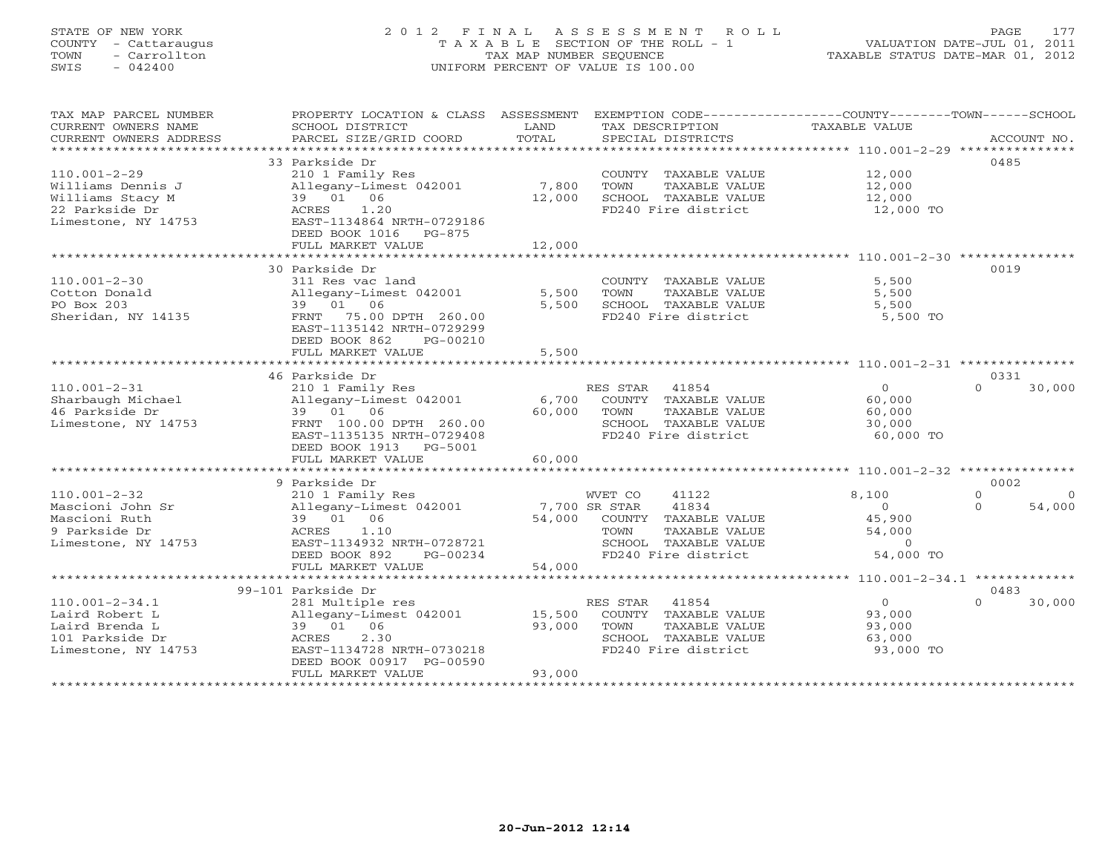# STATE OF NEW YORK 2 0 1 2 F I N A L A S S E S S M E N T R O L L PAGE 177 COUNTY - Cattaraugus T A X A B L E SECTION OF THE ROLL - 1 VALUATION DATE-JUL 01, 2011 TOWN - Carrollton TAX MAP NUMBER SEQUENCE TAXABLE STATUS DATE-MAR 01, 2012 SWIS - 042400 UNIFORM PERCENT OF VALUE IS 100.00UNIFORM PERCENT OF VALUE IS 100.00

| TAX MAP PARCEL NUMBER<br>CURRENT OWNERS NAME<br>CURRENT OWNERS ADDRESS | PROPERTY LOCATION & CLASS ASSESSMENT<br>SCHOOL DISTRICT<br>PARCEL SIZE/GRID COORD | LAND<br>TOTAL            | EXEMPTION CODE-----------------COUNTY-------TOWN------SCHOOL<br>TAX DESCRIPTION<br>SPECIAL DISTRICTS | <b>TAXABLE VALUE</b> | ACCOUNT NO.                      |
|------------------------------------------------------------------------|-----------------------------------------------------------------------------------|--------------------------|------------------------------------------------------------------------------------------------------|----------------------|----------------------------------|
| ***************************                                            |                                                                                   |                          |                                                                                                      |                      |                                  |
|                                                                        | 33 Parkside Dr                                                                    |                          |                                                                                                      |                      | 0485                             |
| $110.001 - 2 - 29$                                                     | 210 1 Family Res                                                                  |                          | COUNTY TAXABLE VALUE                                                                                 | 12,000               |                                  |
| Williams Dennis J                                                      | Allegany-Limest 042001                                                            | 7,800                    | TOWN<br>TAXABLE VALUE                                                                                | 12,000               |                                  |
| Williams Stacy M                                                       | 39 01 06                                                                          | 12,000                   | SCHOOL TAXABLE VALUE                                                                                 | 12,000               |                                  |
| 22 Parkside Dr                                                         | 1.20<br>ACRES                                                                     |                          | FD240 Fire district                                                                                  | 12,000 TO            |                                  |
| Limestone, NY 14753                                                    | EAST-1134864 NRTH-0729186                                                         |                          |                                                                                                      |                      |                                  |
|                                                                        | DEED BOOK 1016<br>$PG-875$                                                        |                          |                                                                                                      |                      |                                  |
|                                                                        | FULL MARKET VALUE<br>*****************************                                | 12,000<br>************** |                                                                                                      |                      |                                  |
|                                                                        | 30 Parkside Dr                                                                    |                          |                                                                                                      |                      | 0019                             |
| $110.001 - 2 - 30$                                                     | 311 Res vac land                                                                  |                          | COUNTY TAXABLE VALUE                                                                                 | 5,500                |                                  |
| Cotton Donald                                                          | Allegany-Limest 042001                                                            | 5,500                    | TOWN<br>TAXABLE VALUE                                                                                | 5,500                |                                  |
| PO Box 203                                                             | 39 01 06                                                                          | 5,500                    | SCHOOL TAXABLE VALUE                                                                                 | 5,500                |                                  |
| Sheridan, NY 14135                                                     | 75.00 DPTH 260.00<br>FRNT                                                         |                          | FD240 Fire district                                                                                  | 5,500 TO             |                                  |
|                                                                        | EAST-1135142 NRTH-0729299                                                         |                          |                                                                                                      |                      |                                  |
|                                                                        | DEED BOOK 862<br>PG-00210                                                         |                          |                                                                                                      |                      |                                  |
|                                                                        | FULL MARKET VALUE                                                                 | 5,500                    |                                                                                                      |                      |                                  |
|                                                                        |                                                                                   |                          |                                                                                                      |                      |                                  |
|                                                                        | 46 Parkside Dr                                                                    |                          |                                                                                                      |                      | 0331                             |
| $110.001 - 2 - 31$                                                     | 210 1 Family Res                                                                  |                          | 41854<br>RES STAR                                                                                    | $\Omega$             | 30,000<br>$\cap$                 |
| Sharbaugh Michael                                                      | Allegany-Limest 042001                                                            | 6,700                    | COUNTY TAXABLE VALUE                                                                                 | 60,000               |                                  |
| 46 Parkside Dr                                                         | 39 01 06                                                                          | 60,000                   | TOWN<br>TAXABLE VALUE                                                                                | 60,000               |                                  |
| Limestone, NY 14753                                                    | FRNT 100.00 DPTH 260.00                                                           |                          | SCHOOL TAXABLE VALUE                                                                                 | 30,000               |                                  |
|                                                                        | EAST-1135135 NRTH-0729408                                                         |                          | FD240 Fire district                                                                                  | 60,000 TO            |                                  |
|                                                                        | DEED BOOK 1913 PG-5001                                                            |                          |                                                                                                      |                      |                                  |
|                                                                        | FULL MARKET VALUE                                                                 | 60,000                   |                                                                                                      |                      |                                  |
|                                                                        | **************************                                                        |                          |                                                                                                      |                      |                                  |
|                                                                        | 9 Parkside Dr                                                                     |                          |                                                                                                      |                      | 0002                             |
| $110.001 - 2 - 32$                                                     | 210 1 Family Res                                                                  |                          | WVET CO<br>41122<br>41834                                                                            | 8,100<br>$\Omega$    | $\Omega$<br>$\Omega$<br>$\Omega$ |
| Mascioni John Sr<br>Mascioni Ruth                                      | Allegany-Limest 042001<br>39 01 06                                                | 54,000                   | 7,700 SR STAR<br>COUNTY TAXABLE VALUE                                                                | 45,900               | 54,000                           |
| 9 Parkside Dr                                                          | 1.10<br>ACRES                                                                     |                          | TAXABLE VALUE<br>TOWN                                                                                | 54,000               |                                  |
| Limestone, NY 14753                                                    | EAST-1134932 NRTH-0728721                                                         |                          | SCHOOL TAXABLE VALUE                                                                                 | $\Omega$             |                                  |
|                                                                        | DEED BOOK 892<br>PG-00234                                                         |                          | FD240 Fire district                                                                                  | 54,000 TO            |                                  |
|                                                                        | FULL MARKET VALUE                                                                 | 54,000                   |                                                                                                      |                      |                                  |
|                                                                        |                                                                                   |                          |                                                                                                      |                      |                                  |
|                                                                        | 99-101 Parkside Dr                                                                |                          |                                                                                                      |                      | 0483                             |
| $110.001 - 2 - 34.1$                                                   | 281 Multiple res                                                                  |                          | RES STAR<br>41854                                                                                    | $\circ$              | $\cap$<br>30,000                 |
| Laird Robert L                                                         | Allegany-Limest 042001                                                            | 15,500                   | COUNTY TAXABLE VALUE                                                                                 | 93,000               |                                  |
| Laird Brenda L                                                         | 39 01 06                                                                          | 93,000                   | TOWN<br>TAXABLE VALUE                                                                                | 93,000               |                                  |
| 101 Parkside Dr                                                        | 2.30<br>ACRES                                                                     |                          | SCHOOL TAXABLE VALUE                                                                                 | 63,000               |                                  |
| Limestone, NY 14753                                                    | EAST-1134728 NRTH-0730218                                                         |                          | FD240 Fire district                                                                                  | 93,000 TO            |                                  |
|                                                                        | DEED BOOK 00917 PG-00590                                                          |                          |                                                                                                      |                      |                                  |
|                                                                        | FULL MARKET VALUE                                                                 | 93,000                   |                                                                                                      |                      |                                  |
|                                                                        |                                                                                   |                          |                                                                                                      |                      |                                  |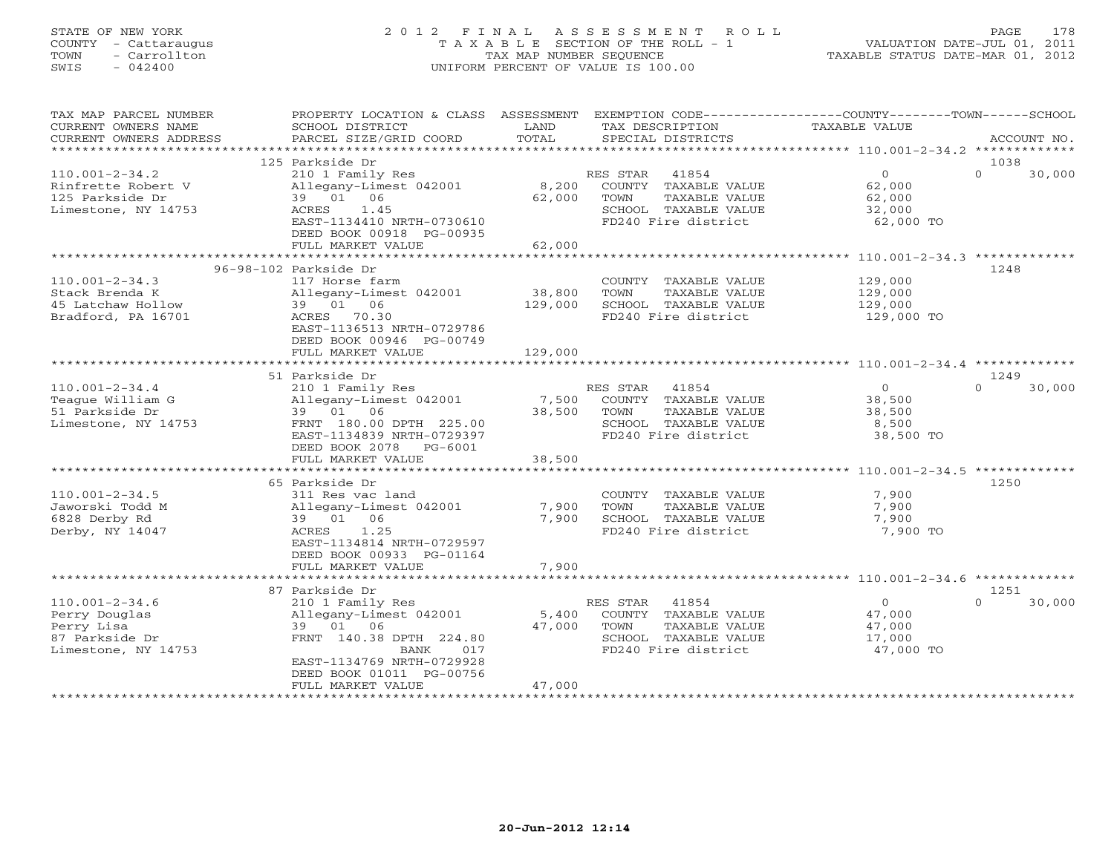# STATE OF NEW YORK 2 0 1 2 F I N A L A S S E S S M E N T R O L L PAGE 178 COUNTY - Cattaraugus T A X A B L E SECTION OF THE ROLL - 1 VALUATION DATE-JUL 01, 2011 TOWN - Carrollton TAX MAP NUMBER SEQUENCE TAXABLE STATUS DATE-MAR 01, 2012 SWIS - 042400 UNIFORM PERCENT OF VALUE IS 100.00UNIFORM PERCENT OF VALUE IS 100.00

| TAX MAP PARCEL NUMBER<br>CURRENT OWNERS NAME<br>CURRENT OWNERS ADDRESS                       | PROPERTY LOCATION & CLASS ASSESSMENT<br>SCHOOL DISTRICT<br>PARCEL SIZE/GRID COORD                                                                                                 | LAND<br>TOTAL                | EXEMPTION CODE-----------------COUNTY-------TOWN------SCHOOL<br>TAX DESCRIPTION<br>SPECIAL DISTRICTS              | <b>TAXABLE VALUE</b>                                         | ACCOUNT NO.                |
|----------------------------------------------------------------------------------------------|-----------------------------------------------------------------------------------------------------------------------------------------------------------------------------------|------------------------------|-------------------------------------------------------------------------------------------------------------------|--------------------------------------------------------------|----------------------------|
| **********************                                                                       |                                                                                                                                                                                   |                              |                                                                                                                   |                                                              |                            |
| $110.001 - 2 - 34.2$<br>Rinfrette Robert V<br>125 Parkside Dr<br>Limestone, NY 14753         | 125 Parkside Dr<br>210 1 Family Res<br>Allegany-Limest 042001<br>39 01 06<br>1.45<br>ACRES<br>EAST-1134410 NRTH-0730610<br>DEED BOOK 00918 PG-00935                               | 8,200<br>62,000              | 41854<br>RES STAR<br>COUNTY TAXABLE VALUE<br>TOWN<br>TAXABLE VALUE<br>SCHOOL TAXABLE VALUE<br>FD240 Fire district | $\overline{0}$<br>62,000<br>62,000<br>32,000<br>62,000 TO    | 1038<br>$\Omega$<br>30,000 |
|                                                                                              | FULL MARKET VALUE                                                                                                                                                                 | 62,000                       |                                                                                                                   |                                                              |                            |
|                                                                                              | *****************************                                                                                                                                                     | ************                 |                                                                                                                   | ****************************** 110.001-2-34.3 ************** |                            |
| $110.001 - 2 - 34.3$<br>Stack Brenda K<br>45 Latchaw Hollow<br>Bradford, PA 16701            | 96-98-102 Parkside Dr<br>117 Horse farm<br>Allegany-Limest 042001<br>39 01 06<br>ACRES 70.30<br>EAST-1136513 NRTH-0729786<br>DEED BOOK 00946 PG-00749<br>FULL MARKET VALUE        | 38,800<br>129,000<br>129,000 | COUNTY TAXABLE VALUE<br>TOWN<br>TAXABLE VALUE<br>SCHOOL TAXABLE VALUE<br>FD240 Fire district                      | 129,000<br>129,000<br>129,000<br>129,000 TO                  | 1248                       |
|                                                                                              | 51 Parkside Dr                                                                                                                                                                    |                              |                                                                                                                   |                                                              | 1249                       |
| $110.001 - 2 - 34.4$<br>Teaque William G<br>51 Parkside Dr<br>Limestone, NY 14753            | 210 1 Family Res<br>Allegany-Limest 042001<br>39 01 06<br>FRNT 180.00 DPTH 225.00<br>EAST-1134839 NRTH-0729397<br>DEED BOOK 2078 PG-6001<br>FULL MARKET VALUE                     | 7,500<br>38,500<br>38,500    | 41854<br>RES STAR<br>COUNTY TAXABLE VALUE<br>TOWN<br>TAXABLE VALUE<br>SCHOOL TAXABLE VALUE<br>FD240 Fire district | $\circ$<br>38,500<br>38,500<br>8,500<br>38,500 TO            | 30,000<br>$\Omega$         |
|                                                                                              |                                                                                                                                                                                   |                              |                                                                                                                   |                                                              |                            |
| $110.001 - 2 - 34.5$<br>Jaworski Todd M<br>6828 Derby Rd<br>Derby, NY 14047                  | 65 Parkside Dr<br>311 Res vac land<br>Allegany-Limest 042001<br>39 01 06<br>1.25<br>ACRES<br>EAST-1134814 NRTH-0729597<br>DEED BOOK 00933 PG-01164                                | 7,900<br>7,900               | COUNTY TAXABLE VALUE<br>TOWN<br>TAXABLE VALUE<br>SCHOOL TAXABLE VALUE<br>FD240 Fire district                      | 7,900<br>7,900<br>7,900<br>7,900 TO                          | 1250                       |
|                                                                                              | FULL MARKET VALUE<br>******************************                                                                                                                               | 7,900<br>************        |                                                                                                                   | ****************************** 110.001-2-34.6 *************  |                            |
|                                                                                              | 87 Parkside Dr                                                                                                                                                                    |                              |                                                                                                                   |                                                              | 1251                       |
| $110.001 - 2 - 34.6$<br>Perry Douglas<br>Perry Lisa<br>87 Parkside Dr<br>Limestone, NY 14753 | 210 1 Family Res<br>Allegany-Limest 042001<br>39 01<br>06<br>FRNT 140.38 DPTH 224.80<br>017<br>BANK<br>EAST-1134769 NRTH-0729928<br>DEED BOOK 01011 PG-00756<br>FULL MARKET VALUE | 5,400<br>47,000<br>47,000    | 41854<br>RES STAR<br>COUNTY TAXABLE VALUE<br>TOWN<br>TAXABLE VALUE<br>SCHOOL TAXABLE VALUE<br>FD240 Fire district | $\overline{0}$<br>47,000<br>47,000<br>17,000<br>47,000 TO    | 30,000<br>$\Omega$         |
|                                                                                              |                                                                                                                                                                                   |                              |                                                                                                                   |                                                              |                            |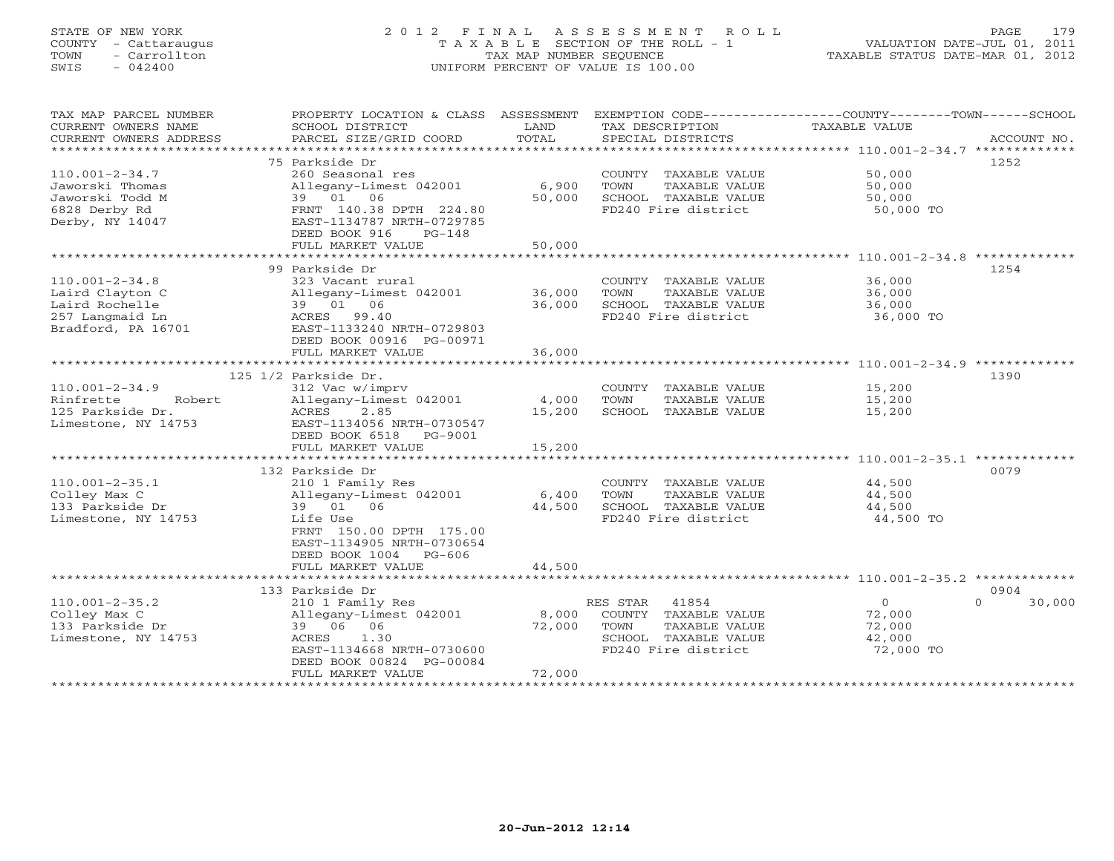# STATE OF NEW YORK 2 0 1 2 F I N A L A S S E S S M E N T R O L L PAGE 179 COUNTY - Cattaraugus T A X A B L E SECTION OF THE ROLL - 1 VALUATION DATE-JUL 01, 2011 TOWN - Carrollton TAX MAP NUMBER SEQUENCE TAXABLE STATUS DATE-MAR 01, 2012 SWIS - 042400 UNIFORM PERCENT OF VALUE IS 100.00UNIFORM PERCENT OF VALUE IS 100.00

| TAX MAP PARCEL NUMBER                               | PROPERTY LOCATION & CLASS ASSESSMENT |            | EXEMPTION CODE----------------COUNTY-------TOWN------SCHOOL |                                                    |                    |
|-----------------------------------------------------|--------------------------------------|------------|-------------------------------------------------------------|----------------------------------------------------|--------------------|
| CURRENT OWNERS NAME                                 | SCHOOL DISTRICT                      | LAND       | TAX DESCRIPTION                                             | <b>TAXABLE VALUE</b>                               |                    |
| CURRENT OWNERS ADDRESS<br>************************* | PARCEL SIZE/GRID COORD               | TOTAL      | SPECIAL DISTRICTS                                           |                                                    | ACCOUNT NO.        |
|                                                     | 75 Parkside Dr                       |            |                                                             |                                                    | 1252               |
| $110.001 - 2 - 34.7$                                | 260 Seasonal res                     |            | COUNTY TAXABLE VALUE                                        | 50,000                                             |                    |
| Jaworski Thomas                                     | Allegany-Limest 042001               | 6,900      | TOWN<br>TAXABLE VALUE                                       | 50,000                                             |                    |
| Jaworski Todd M                                     | 39 01 06                             | 50,000     | SCHOOL TAXABLE VALUE                                        | 50,000                                             |                    |
| 6828 Derby Rd                                       | FRNT 140.38 DPTH 224.80              |            | FD240 Fire district                                         | 50,000 TO                                          |                    |
| Derby, NY 14047                                     | EAST-1134787 NRTH-0729785            |            |                                                             |                                                    |                    |
|                                                     | DEED BOOK 916<br>$PG-148$            |            |                                                             |                                                    |                    |
|                                                     | FULL MARKET VALUE                    | 50,000     |                                                             |                                                    |                    |
|                                                     | ******************                   | ********** |                                                             | ********************* 110.001-2-34.8 ************* |                    |
|                                                     | 99 Parkside Dr                       |            |                                                             |                                                    | 1254               |
| $110.001 - 2 - 34.8$                                | 323 Vacant rural                     |            | COUNTY TAXABLE VALUE                                        | 36,000                                             |                    |
| Laird Clayton C                                     | Allegany-Limest 042001               | 36,000     | TOWN<br>TAXABLE VALUE                                       | 36,000                                             |                    |
| Laird Rochelle                                      | 39 01 06                             | 36,000     | SCHOOL TAXABLE VALUE                                        | 36,000                                             |                    |
| 257 Langmaid Ln                                     | ACRES 99.40                          |            | FD240 Fire district                                         | 36,000 TO                                          |                    |
| Bradford, PA 16701                                  | EAST-1133240 NRTH-0729803            |            |                                                             |                                                    |                    |
|                                                     | DEED BOOK 00916 PG-00971             |            |                                                             |                                                    |                    |
|                                                     | FULL MARKET VALUE                    | 36,000     |                                                             |                                                    |                    |
|                                                     |                                      |            |                                                             |                                                    |                    |
|                                                     | 125 1/2 Parkside Dr.                 |            |                                                             |                                                    | 1390               |
| $110.001 - 2 - 34.9$                                | 312 Vac w/imprv                      |            | COUNTY TAXABLE VALUE                                        | 15,200                                             |                    |
| Rinfrette<br>Robert                                 | Allegany-Limest 042001               | 4,000      | TOWN<br>TAXABLE VALUE                                       | 15,200                                             |                    |
| 125 Parkside Dr.                                    | ACRES<br>2.85                        | 15,200     | SCHOOL TAXABLE VALUE                                        | 15,200                                             |                    |
| Limestone, NY 14753                                 | EAST-1134056 NRTH-0730547            |            |                                                             |                                                    |                    |
|                                                     | DEED BOOK 6518 PG-9001               |            |                                                             |                                                    |                    |
|                                                     | FULL MARKET VALUE                    | 15,200     |                                                             |                                                    |                    |
|                                                     | 132 Parkside Dr                      |            |                                                             |                                                    | 0079               |
| $110.001 - 2 - 35.1$                                | 210 1 Family Res                     |            | COUNTY TAXABLE VALUE                                        | 44,500                                             |                    |
| Colley Max C                                        | Allegany-Limest 042001               | 6,400      | TOWN<br>TAXABLE VALUE                                       | 44,500                                             |                    |
| 133 Parkside Dr                                     | 39 01 06                             | 44,500     | SCHOOL TAXABLE VALUE                                        | 44,500                                             |                    |
| Limestone, NY 14753                                 | Life Use                             |            | FD240 Fire district                                         | 44,500 TO                                          |                    |
|                                                     | FRNT 150.00 DPTH 175.00              |            |                                                             |                                                    |                    |
|                                                     | EAST-1134905 NRTH-0730654            |            |                                                             |                                                    |                    |
|                                                     | DEED BOOK 1004 PG-606                |            |                                                             |                                                    |                    |
|                                                     | FULL MARKET VALUE                    | 44,500     |                                                             |                                                    |                    |
|                                                     |                                      |            |                                                             |                                                    |                    |
|                                                     | 133 Parkside Dr                      |            |                                                             |                                                    | 0904               |
| $110.001 - 2 - 35.2$                                | 210 1 Family Res                     |            | RES STAR<br>41854                                           | $\circ$                                            | 30,000<br>$\Omega$ |
| Colley Max C                                        | Allegany-Limest 042001               | 8,000      | COUNTY TAXABLE VALUE                                        | 72,000                                             |                    |
| 133 Parkside Dr                                     | 39 06<br>06                          | 72,000     | TOWN<br>TAXABLE VALUE                                       | 72,000                                             |                    |
| Limestone, NY 14753                                 | 1.30<br>ACRES                        |            | SCHOOL TAXABLE VALUE                                        | 42,000                                             |                    |
|                                                     | EAST-1134668 NRTH-0730600            |            | FD240 Fire district                                         | 72,000 TO                                          |                    |
|                                                     | DEED BOOK 00824 PG-00084             |            |                                                             |                                                    |                    |
|                                                     | FULL MARKET VALUE                    | 72,000     |                                                             |                                                    |                    |
|                                                     |                                      |            |                                                             |                                                    |                    |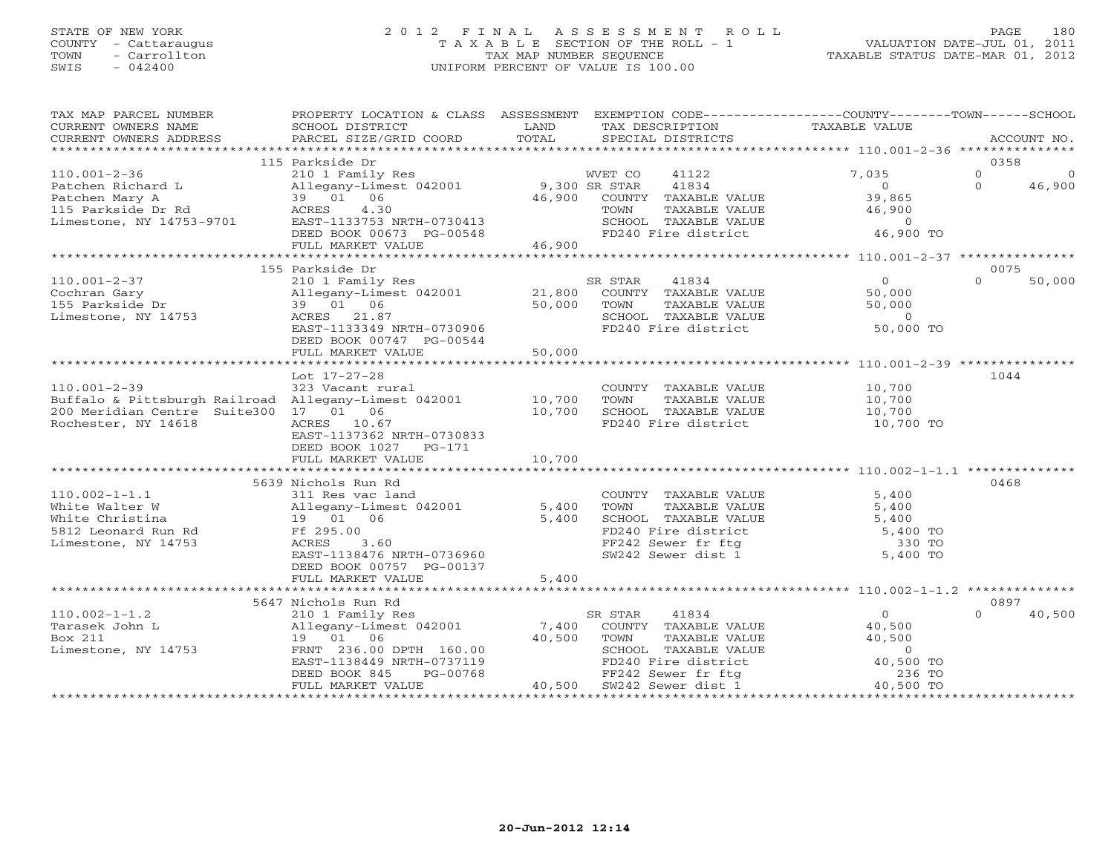## STATE OF NEW YORK 2 0 1 2 F I N A L A S S E S S M E N T R O L L PAGE 180 COUNTY - Cattaraugus T A X A B L E SECTION OF THE ROLL - 1 VALUATION DATE-JUL 01, 2011 TOWN - Carrollton TAX MAP NUMBER SEQUENCE TAXABLE STATUS DATE-MAR 01, 2012 SWIS - 042400 UNIFORM PERCENT OF VALUE IS 100.00UNIFORM PERCENT OF VALUE IS 100.00

| TAX MAP PARCEL NUMBER<br>CURRENT OWNERS NAME                                                                                               | PROPERTY LOCATION & CLASS ASSESSMENT EXEMPTION CODE---------------COUNTY-------TOWN------SCHOOL<br>SCHOOL DISTRICT                                                                          | LAND<br>TOTAL              | TAX DESCRIPTION                                                                                                                                              | <b>TAXABLE VALUE</b>                                                        |                                            |
|--------------------------------------------------------------------------------------------------------------------------------------------|---------------------------------------------------------------------------------------------------------------------------------------------------------------------------------------------|----------------------------|--------------------------------------------------------------------------------------------------------------------------------------------------------------|-----------------------------------------------------------------------------|--------------------------------------------|
| CURRENT OWNERS ADDRESS                                                                                                                     | PARCEL SIZE/GRID COORD                                                                                                                                                                      |                            | SPECIAL DISTRICTS                                                                                                                                            |                                                                             | ACCOUNT NO.                                |
|                                                                                                                                            | 115 Parkside Dr                                                                                                                                                                             |                            |                                                                                                                                                              |                                                                             | 0358                                       |
| $110.001 - 2 - 36$<br>Patchen Richard L<br>Patchen Mary A<br>115 Parkside Dr Rd<br>Limestone, NY 14753-9701                                | 210 1 Family Res<br>Allegany-Limest 042001<br>39 01 06<br>ACRES<br>4.30<br>EAST-1133753 NRTH-0730413<br>DEED BOOK 00673 PG-00548                                                            | 9,300 SR STAR<br>46,900    | 41122<br>WVET CO<br>41834<br>COUNTY TAXABLE VALUE<br>TOWN<br>TAXABLE VALUE<br>SCHOOL TAXABLE VALUE<br>FD240 Fire district                                    | 7,035<br>$\Omega$<br>39,865<br>46,900<br>$\overline{0}$<br>46,900 TO        | $\Omega$<br>$\Omega$<br>$\Omega$<br>46,900 |
|                                                                                                                                            | FULL MARKET VALUE                                                                                                                                                                           | 46,900                     |                                                                                                                                                              |                                                                             |                                            |
|                                                                                                                                            |                                                                                                                                                                                             |                            |                                                                                                                                                              |                                                                             |                                            |
| $110.001 - 2 - 37$<br>Cochran Gary<br>155 Parkside Dr<br>Limestone, NY 14753                                                               | 155 Parkside Dr<br>210 1 Family Res<br>Allegany-Limest 042001<br>39 01 06<br>ACRES 21.87<br>EAST-1133349 NRTH-0730906<br>DEED BOOK 00747 PG-00544                                           | 21,800<br>50,000           | SR STAR<br>41834<br>COUNTY TAXABLE VALUE<br>TOWN<br>TAXABLE VALUE<br>SCHOOL TAXABLE VALUE<br>FD240 Fire district                                             | $\circ$<br>50,000<br>50,000<br>$\overline{0}$<br>50,000 TO                  | 0075<br>$\Omega$<br>50,000                 |
|                                                                                                                                            | FULL MARKET VALUE                                                                                                                                                                           | 50,000                     |                                                                                                                                                              |                                                                             |                                            |
|                                                                                                                                            | Lot 17-27-28                                                                                                                                                                                |                            |                                                                                                                                                              |                                                                             | 1044                                       |
| $110.001 - 2 - 39$<br>Buffalo & Pittsburgh Railroad Allegany-Limest 042001<br>200 Meridian Centre Suite300 17 01 06<br>Rochester, NY 14618 | 323 Vacant rural<br>ACRES 10.67<br>EAST-1137362 NRTH-0730833<br>DEED BOOK 1027<br>PG-171<br>FULL MARKET VALUE                                                                               | 10,700<br>10,700<br>10,700 | COUNTY TAXABLE VALUE<br>TOWN<br>TAXABLE VALUE<br>SCHOOL TAXABLE VALUE<br>FD240 Fire district                                                                 | 10,700<br>10,700<br>10,700<br>10,700 TO                                     |                                            |
|                                                                                                                                            |                                                                                                                                                                                             |                            |                                                                                                                                                              |                                                                             |                                            |
| $110.002 - 1 - 1.1$<br>White Walter W<br>White Christina<br>5812 Leonard Run Rd<br>Limestone, NY 14753                                     | 5639 Nichols Run Rd<br>311 Res vac land<br>Allegany-Limest 042001<br>19  01  06<br>Ff 295.00<br>ACRES<br>3.60<br>EAST-1138476 NRTH-0736960<br>DEED BOOK 00757 PG-00137<br>FULL MARKET VALUE | 5,400<br>5,400<br>5,400    | COUNTY TAXABLE VALUE<br>TOWN<br>TAXABLE VALUE<br>SCHOOL TAXABLE VALUE<br>FD240 Fire district<br>FF242 Sewer fr ftg<br>SW242 Sewer dist 1                     | 5,400<br>5,400<br>5,400<br>5,400 TO<br>330 TO<br>5,400 TO                   | 0468                                       |
|                                                                                                                                            | ***************************                                                                                                                                                                 | ************               |                                                                                                                                                              | ************** 110.002-1-1.2 ***************                                |                                            |
|                                                                                                                                            | 5647 Nichols Run Rd                                                                                                                                                                         |                            |                                                                                                                                                              |                                                                             | 0897                                       |
| $110.002 - 1 - 1.2$<br>Tarasek John L<br>Box 211<br>Limestone, NY 14753                                                                    | 210 1 Family Res<br>Allegany-Limest 042001<br>19  01  06<br>FRNT 236.00 DPTH 160.00<br>EAST-1138449 NRTH-0737119<br>PG-00768<br>DEED BOOK 845<br>FULL MARKET VALUE                          | 7,400<br>40,500<br>40,500  | 41834<br>SR STAR<br>COUNTY TAXABLE VALUE<br>TOWN<br>TAXABLE VALUE<br>SCHOOL TAXABLE VALUE<br>FD240 Fire district<br>FF242 Sewer fr ftg<br>SW242 Sewer dist 1 | 0<br>40,500<br>40,500<br>$\overline{0}$<br>40,500 TO<br>236 TO<br>40,500 TO | $\Omega$<br>40,500                         |
|                                                                                                                                            |                                                                                                                                                                                             |                            |                                                                                                                                                              |                                                                             |                                            |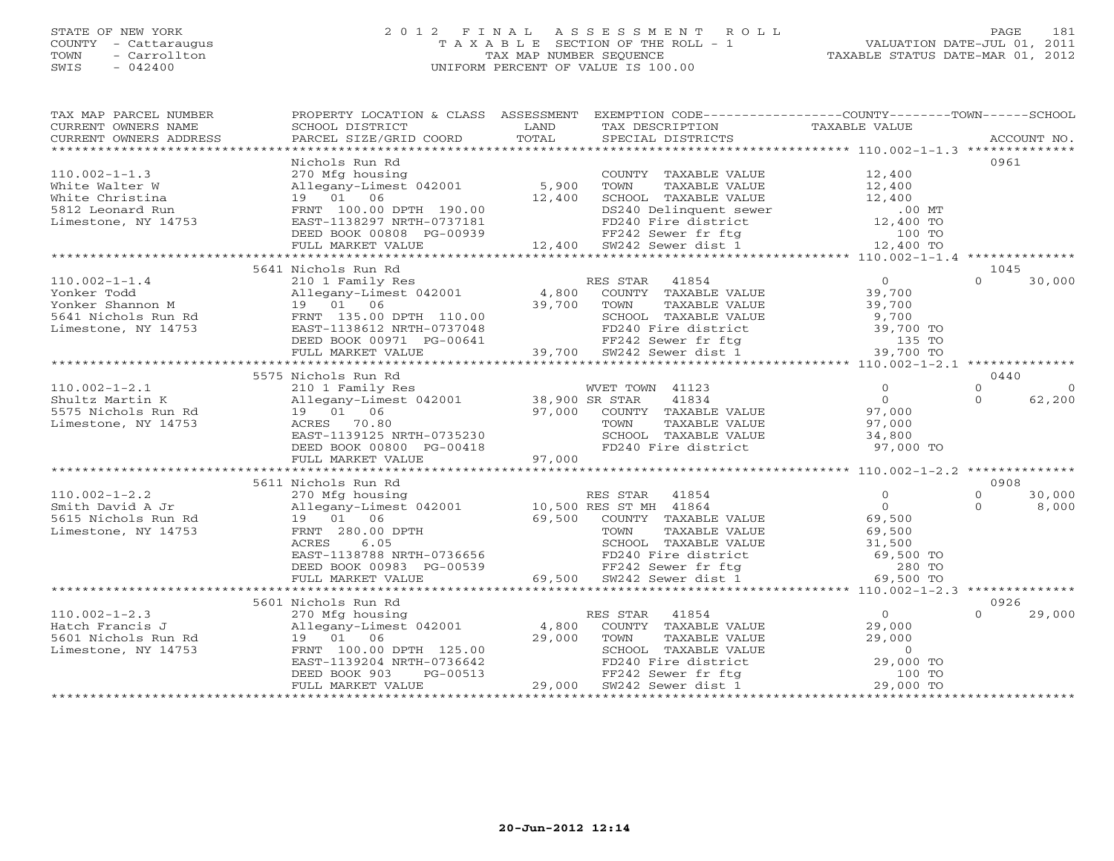### STATE OF NEW YORK 2 0 1 2 F I N A L A S S E S S M E N T R O L L PAGE 181 COUNTY - Cattaraugus T A X A B L E SECTION OF THE ROLL - 1 VALUATION DATE-JUL 01, 2011 TOWN - Carrollton TAX MAP NUMBER SEQUENCE TAXABLE STATUS DATE-MAR 01, 2012 SWIS - 042400 UNIFORM PERCENT OF VALUE IS 100.00UNIFORM PERCENT OF VALUE IS 100.00

| TAX DESCRIPTION TAXABLE VALUE<br>SCHOOL DISTRICT<br>LAND<br>CURRENT OWNERS NAME<br>CURRENT OWNERS ADDRESS<br>- CURRENT OWNERS ADDRESS PARCEL SIZE/GRID COORD TOTAL SPECIAL DISTRICTS (2000) ACCOUNT NO ACCOUNT NO ACCOUNT NO SPECIAL SIZE SERVERS AND A SERVERS ASSESS TRACEL STRICTS (2002) A SERVERS AND A SERVERS AND A SERVERS AND A SE<br>0961<br>Nichols Run Rd<br>270 Mfg housing<br>Allegany-Limest 042001 5,900<br>19 01 06 12,400<br>COUNTY TAXABLE VALUE 12,400<br>$110.002 - 1 - 1.3$<br>Vhite Walter W allegary-Limest 042001<br>White Christina 19 01 06<br>5812 Leonard Run FRNT 100.00 DPTH 190.00<br>Limestone, NY 14753<br>ERRNT 100.00 DPTH 190.00<br>ERRNT 100.00 DPTH 197.07181<br>-11egany-Limest 042001 5,900 TOWN TAXABLE VALUE 12,400<br>19 01 06 12,400 SCHOOL TAXABLE VALUE 12,400<br>FRNT 100.00 DPTH 190.00 12,400 DS240 Delinquent sewer 00 MT<br>EAST-1138297 NRTH-0737181 FD240 Fire district 12,400 TO<br>DEE<br>5641 Nichols Run Rd<br>1045<br>5575 Nichols Run Rd<br>0440<br>$110.002 - 1 - 2.1$<br>$\Omega$<br>3373 NET TOWN 41123<br>210 1 Family Res<br>210 1 Family Res<br>219 01 06<br>27,000 COUNTY TAXABLE VALUE<br>27,000 COUNTY TAXABLE VALUE<br>27,000 TOWN TAXABLE VALUE<br>27,000 TOWN TAXABLE VALUE<br>27,000<br>27,000 EAST-1139125 NRTH-0735230<br><br>$\Omega$<br>Shultz Martin K<br>$\Omega$<br>62,200<br>5575 Nichols Run Rd<br>Limestone, NY 14753<br>FD240 Fire district 97,000 TO<br>5611 Nichols Run Rd<br>0908<br>Allegany-Limest 042001 RES STAR 41854 0<br>Smith David A Jr allegany-Limest 042001 10,500 RES STAR 41864 0<br>5615 Nichols Run Rd 19 01 06 69,500 COUNTY TAXABLE VALUE 69,500<br>Limestone, NY 14753 RRNT 280.00 DPTH TOWN TAXABLE V<br>$\Omega$<br>30,000<br>8,000<br>$\Omega$<br>ACRES 6.05<br>EAST-1138788 NRTH-0736656<br>DEED BOOK 00983 PG-00539 69,500 EXTERNABLE VALUE<br>FEZ42 Sewer fr ftg 280 TO<br>FULL MARKET VALUE 69,500 SW242 Sewer dist 1 69,500 TO<br>0926<br>5601 Nichols Run Rd<br>110.002-1-2.3<br>Hatch Francis J<br>Hatch Francis J<br>Sour Mighousing<br>Hatch Francis J<br>29,000<br>Sour Mighousing<br>Allegany-Limest 042001<br>29,000<br>29,000 TOM TAXABLE VALUE<br>29,000<br>29,000 TOM TAXABLE VALUE<br>29,000<br>29,000 TOM TA<br>$\cap$<br>29,000 | TAX MAP PARCEL NUMBER | PROPERTY LOCATION & CLASS ASSESSMENT EXEMPTION CODE----------------COUNTY-------TOWN------SCHOOL |  |  |
|----------------------------------------------------------------------------------------------------------------------------------------------------------------------------------------------------------------------------------------------------------------------------------------------------------------------------------------------------------------------------------------------------------------------------------------------------------------------------------------------------------------------------------------------------------------------------------------------------------------------------------------------------------------------------------------------------------------------------------------------------------------------------------------------------------------------------------------------------------------------------------------------------------------------------------------------------------------------------------------------------------------------------------------------------------------------------------------------------------------------------------------------------------------------------------------------------------------------------------------------------------------------------------------------------------------------------------------------------------------------------------------------------------------------------------------------------------------------------------------------------------------------------------------------------------------------------------------------------------------------------------------------------------------------------------------------------------------------------------------------------------------------------------------------------------------------------------------------------------------------------------------------------------------------------------------------------------------------------------------------------------------------------------------------------------------------------------------------------------------------------------------------------------------------------------------------------------------------------------------------------------------|-----------------------|--------------------------------------------------------------------------------------------------|--|--|
|                                                                                                                                                                                                                                                                                                                                                                                                                                                                                                                                                                                                                                                                                                                                                                                                                                                                                                                                                                                                                                                                                                                                                                                                                                                                                                                                                                                                                                                                                                                                                                                                                                                                                                                                                                                                                                                                                                                                                                                                                                                                                                                                                                                                                                                                |                       |                                                                                                  |  |  |
|                                                                                                                                                                                                                                                                                                                                                                                                                                                                                                                                                                                                                                                                                                                                                                                                                                                                                                                                                                                                                                                                                                                                                                                                                                                                                                                                                                                                                                                                                                                                                                                                                                                                                                                                                                                                                                                                                                                                                                                                                                                                                                                                                                                                                                                                |                       |                                                                                                  |  |  |
|                                                                                                                                                                                                                                                                                                                                                                                                                                                                                                                                                                                                                                                                                                                                                                                                                                                                                                                                                                                                                                                                                                                                                                                                                                                                                                                                                                                                                                                                                                                                                                                                                                                                                                                                                                                                                                                                                                                                                                                                                                                                                                                                                                                                                                                                |                       |                                                                                                  |  |  |
|                                                                                                                                                                                                                                                                                                                                                                                                                                                                                                                                                                                                                                                                                                                                                                                                                                                                                                                                                                                                                                                                                                                                                                                                                                                                                                                                                                                                                                                                                                                                                                                                                                                                                                                                                                                                                                                                                                                                                                                                                                                                                                                                                                                                                                                                |                       |                                                                                                  |  |  |
|                                                                                                                                                                                                                                                                                                                                                                                                                                                                                                                                                                                                                                                                                                                                                                                                                                                                                                                                                                                                                                                                                                                                                                                                                                                                                                                                                                                                                                                                                                                                                                                                                                                                                                                                                                                                                                                                                                                                                                                                                                                                                                                                                                                                                                                                |                       |                                                                                                  |  |  |
|                                                                                                                                                                                                                                                                                                                                                                                                                                                                                                                                                                                                                                                                                                                                                                                                                                                                                                                                                                                                                                                                                                                                                                                                                                                                                                                                                                                                                                                                                                                                                                                                                                                                                                                                                                                                                                                                                                                                                                                                                                                                                                                                                                                                                                                                |                       |                                                                                                  |  |  |
|                                                                                                                                                                                                                                                                                                                                                                                                                                                                                                                                                                                                                                                                                                                                                                                                                                                                                                                                                                                                                                                                                                                                                                                                                                                                                                                                                                                                                                                                                                                                                                                                                                                                                                                                                                                                                                                                                                                                                                                                                                                                                                                                                                                                                                                                |                       |                                                                                                  |  |  |
|                                                                                                                                                                                                                                                                                                                                                                                                                                                                                                                                                                                                                                                                                                                                                                                                                                                                                                                                                                                                                                                                                                                                                                                                                                                                                                                                                                                                                                                                                                                                                                                                                                                                                                                                                                                                                                                                                                                                                                                                                                                                                                                                                                                                                                                                |                       |                                                                                                  |  |  |
|                                                                                                                                                                                                                                                                                                                                                                                                                                                                                                                                                                                                                                                                                                                                                                                                                                                                                                                                                                                                                                                                                                                                                                                                                                                                                                                                                                                                                                                                                                                                                                                                                                                                                                                                                                                                                                                                                                                                                                                                                                                                                                                                                                                                                                                                |                       |                                                                                                  |  |  |
|                                                                                                                                                                                                                                                                                                                                                                                                                                                                                                                                                                                                                                                                                                                                                                                                                                                                                                                                                                                                                                                                                                                                                                                                                                                                                                                                                                                                                                                                                                                                                                                                                                                                                                                                                                                                                                                                                                                                                                                                                                                                                                                                                                                                                                                                |                       |                                                                                                  |  |  |
|                                                                                                                                                                                                                                                                                                                                                                                                                                                                                                                                                                                                                                                                                                                                                                                                                                                                                                                                                                                                                                                                                                                                                                                                                                                                                                                                                                                                                                                                                                                                                                                                                                                                                                                                                                                                                                                                                                                                                                                                                                                                                                                                                                                                                                                                |                       |                                                                                                  |  |  |
|                                                                                                                                                                                                                                                                                                                                                                                                                                                                                                                                                                                                                                                                                                                                                                                                                                                                                                                                                                                                                                                                                                                                                                                                                                                                                                                                                                                                                                                                                                                                                                                                                                                                                                                                                                                                                                                                                                                                                                                                                                                                                                                                                                                                                                                                |                       |                                                                                                  |  |  |
|                                                                                                                                                                                                                                                                                                                                                                                                                                                                                                                                                                                                                                                                                                                                                                                                                                                                                                                                                                                                                                                                                                                                                                                                                                                                                                                                                                                                                                                                                                                                                                                                                                                                                                                                                                                                                                                                                                                                                                                                                                                                                                                                                                                                                                                                |                       |                                                                                                  |  |  |
|                                                                                                                                                                                                                                                                                                                                                                                                                                                                                                                                                                                                                                                                                                                                                                                                                                                                                                                                                                                                                                                                                                                                                                                                                                                                                                                                                                                                                                                                                                                                                                                                                                                                                                                                                                                                                                                                                                                                                                                                                                                                                                                                                                                                                                                                |                       |                                                                                                  |  |  |
|                                                                                                                                                                                                                                                                                                                                                                                                                                                                                                                                                                                                                                                                                                                                                                                                                                                                                                                                                                                                                                                                                                                                                                                                                                                                                                                                                                                                                                                                                                                                                                                                                                                                                                                                                                                                                                                                                                                                                                                                                                                                                                                                                                                                                                                                |                       |                                                                                                  |  |  |
|                                                                                                                                                                                                                                                                                                                                                                                                                                                                                                                                                                                                                                                                                                                                                                                                                                                                                                                                                                                                                                                                                                                                                                                                                                                                                                                                                                                                                                                                                                                                                                                                                                                                                                                                                                                                                                                                                                                                                                                                                                                                                                                                                                                                                                                                |                       |                                                                                                  |  |  |
|                                                                                                                                                                                                                                                                                                                                                                                                                                                                                                                                                                                                                                                                                                                                                                                                                                                                                                                                                                                                                                                                                                                                                                                                                                                                                                                                                                                                                                                                                                                                                                                                                                                                                                                                                                                                                                                                                                                                                                                                                                                                                                                                                                                                                                                                |                       |                                                                                                  |  |  |
|                                                                                                                                                                                                                                                                                                                                                                                                                                                                                                                                                                                                                                                                                                                                                                                                                                                                                                                                                                                                                                                                                                                                                                                                                                                                                                                                                                                                                                                                                                                                                                                                                                                                                                                                                                                                                                                                                                                                                                                                                                                                                                                                                                                                                                                                |                       |                                                                                                  |  |  |
|                                                                                                                                                                                                                                                                                                                                                                                                                                                                                                                                                                                                                                                                                                                                                                                                                                                                                                                                                                                                                                                                                                                                                                                                                                                                                                                                                                                                                                                                                                                                                                                                                                                                                                                                                                                                                                                                                                                                                                                                                                                                                                                                                                                                                                                                |                       |                                                                                                  |  |  |
|                                                                                                                                                                                                                                                                                                                                                                                                                                                                                                                                                                                                                                                                                                                                                                                                                                                                                                                                                                                                                                                                                                                                                                                                                                                                                                                                                                                                                                                                                                                                                                                                                                                                                                                                                                                                                                                                                                                                                                                                                                                                                                                                                                                                                                                                |                       |                                                                                                  |  |  |
|                                                                                                                                                                                                                                                                                                                                                                                                                                                                                                                                                                                                                                                                                                                                                                                                                                                                                                                                                                                                                                                                                                                                                                                                                                                                                                                                                                                                                                                                                                                                                                                                                                                                                                                                                                                                                                                                                                                                                                                                                                                                                                                                                                                                                                                                |                       |                                                                                                  |  |  |
|                                                                                                                                                                                                                                                                                                                                                                                                                                                                                                                                                                                                                                                                                                                                                                                                                                                                                                                                                                                                                                                                                                                                                                                                                                                                                                                                                                                                                                                                                                                                                                                                                                                                                                                                                                                                                                                                                                                                                                                                                                                                                                                                                                                                                                                                |                       |                                                                                                  |  |  |
|                                                                                                                                                                                                                                                                                                                                                                                                                                                                                                                                                                                                                                                                                                                                                                                                                                                                                                                                                                                                                                                                                                                                                                                                                                                                                                                                                                                                                                                                                                                                                                                                                                                                                                                                                                                                                                                                                                                                                                                                                                                                                                                                                                                                                                                                |                       |                                                                                                  |  |  |
|                                                                                                                                                                                                                                                                                                                                                                                                                                                                                                                                                                                                                                                                                                                                                                                                                                                                                                                                                                                                                                                                                                                                                                                                                                                                                                                                                                                                                                                                                                                                                                                                                                                                                                                                                                                                                                                                                                                                                                                                                                                                                                                                                                                                                                                                |                       |                                                                                                  |  |  |
|                                                                                                                                                                                                                                                                                                                                                                                                                                                                                                                                                                                                                                                                                                                                                                                                                                                                                                                                                                                                                                                                                                                                                                                                                                                                                                                                                                                                                                                                                                                                                                                                                                                                                                                                                                                                                                                                                                                                                                                                                                                                                                                                                                                                                                                                |                       |                                                                                                  |  |  |
|                                                                                                                                                                                                                                                                                                                                                                                                                                                                                                                                                                                                                                                                                                                                                                                                                                                                                                                                                                                                                                                                                                                                                                                                                                                                                                                                                                                                                                                                                                                                                                                                                                                                                                                                                                                                                                                                                                                                                                                                                                                                                                                                                                                                                                                                |                       |                                                                                                  |  |  |
|                                                                                                                                                                                                                                                                                                                                                                                                                                                                                                                                                                                                                                                                                                                                                                                                                                                                                                                                                                                                                                                                                                                                                                                                                                                                                                                                                                                                                                                                                                                                                                                                                                                                                                                                                                                                                                                                                                                                                                                                                                                                                                                                                                                                                                                                |                       |                                                                                                  |  |  |
|                                                                                                                                                                                                                                                                                                                                                                                                                                                                                                                                                                                                                                                                                                                                                                                                                                                                                                                                                                                                                                                                                                                                                                                                                                                                                                                                                                                                                                                                                                                                                                                                                                                                                                                                                                                                                                                                                                                                                                                                                                                                                                                                                                                                                                                                |                       |                                                                                                  |  |  |
|                                                                                                                                                                                                                                                                                                                                                                                                                                                                                                                                                                                                                                                                                                                                                                                                                                                                                                                                                                                                                                                                                                                                                                                                                                                                                                                                                                                                                                                                                                                                                                                                                                                                                                                                                                                                                                                                                                                                                                                                                                                                                                                                                                                                                                                                |                       |                                                                                                  |  |  |
|                                                                                                                                                                                                                                                                                                                                                                                                                                                                                                                                                                                                                                                                                                                                                                                                                                                                                                                                                                                                                                                                                                                                                                                                                                                                                                                                                                                                                                                                                                                                                                                                                                                                                                                                                                                                                                                                                                                                                                                                                                                                                                                                                                                                                                                                |                       |                                                                                                  |  |  |
|                                                                                                                                                                                                                                                                                                                                                                                                                                                                                                                                                                                                                                                                                                                                                                                                                                                                                                                                                                                                                                                                                                                                                                                                                                                                                                                                                                                                                                                                                                                                                                                                                                                                                                                                                                                                                                                                                                                                                                                                                                                                                                                                                                                                                                                                |                       |                                                                                                  |  |  |
|                                                                                                                                                                                                                                                                                                                                                                                                                                                                                                                                                                                                                                                                                                                                                                                                                                                                                                                                                                                                                                                                                                                                                                                                                                                                                                                                                                                                                                                                                                                                                                                                                                                                                                                                                                                                                                                                                                                                                                                                                                                                                                                                                                                                                                                                |                       |                                                                                                  |  |  |
|                                                                                                                                                                                                                                                                                                                                                                                                                                                                                                                                                                                                                                                                                                                                                                                                                                                                                                                                                                                                                                                                                                                                                                                                                                                                                                                                                                                                                                                                                                                                                                                                                                                                                                                                                                                                                                                                                                                                                                                                                                                                                                                                                                                                                                                                |                       |                                                                                                  |  |  |
|                                                                                                                                                                                                                                                                                                                                                                                                                                                                                                                                                                                                                                                                                                                                                                                                                                                                                                                                                                                                                                                                                                                                                                                                                                                                                                                                                                                                                                                                                                                                                                                                                                                                                                                                                                                                                                                                                                                                                                                                                                                                                                                                                                                                                                                                |                       |                                                                                                  |  |  |
|                                                                                                                                                                                                                                                                                                                                                                                                                                                                                                                                                                                                                                                                                                                                                                                                                                                                                                                                                                                                                                                                                                                                                                                                                                                                                                                                                                                                                                                                                                                                                                                                                                                                                                                                                                                                                                                                                                                                                                                                                                                                                                                                                                                                                                                                |                       |                                                                                                  |  |  |
|                                                                                                                                                                                                                                                                                                                                                                                                                                                                                                                                                                                                                                                                                                                                                                                                                                                                                                                                                                                                                                                                                                                                                                                                                                                                                                                                                                                                                                                                                                                                                                                                                                                                                                                                                                                                                                                                                                                                                                                                                                                                                                                                                                                                                                                                |                       |                                                                                                  |  |  |
|                                                                                                                                                                                                                                                                                                                                                                                                                                                                                                                                                                                                                                                                                                                                                                                                                                                                                                                                                                                                                                                                                                                                                                                                                                                                                                                                                                                                                                                                                                                                                                                                                                                                                                                                                                                                                                                                                                                                                                                                                                                                                                                                                                                                                                                                |                       |                                                                                                  |  |  |
|                                                                                                                                                                                                                                                                                                                                                                                                                                                                                                                                                                                                                                                                                                                                                                                                                                                                                                                                                                                                                                                                                                                                                                                                                                                                                                                                                                                                                                                                                                                                                                                                                                                                                                                                                                                                                                                                                                                                                                                                                                                                                                                                                                                                                                                                |                       |                                                                                                  |  |  |
|                                                                                                                                                                                                                                                                                                                                                                                                                                                                                                                                                                                                                                                                                                                                                                                                                                                                                                                                                                                                                                                                                                                                                                                                                                                                                                                                                                                                                                                                                                                                                                                                                                                                                                                                                                                                                                                                                                                                                                                                                                                                                                                                                                                                                                                                |                       |                                                                                                  |  |  |
|                                                                                                                                                                                                                                                                                                                                                                                                                                                                                                                                                                                                                                                                                                                                                                                                                                                                                                                                                                                                                                                                                                                                                                                                                                                                                                                                                                                                                                                                                                                                                                                                                                                                                                                                                                                                                                                                                                                                                                                                                                                                                                                                                                                                                                                                |                       |                                                                                                  |  |  |
|                                                                                                                                                                                                                                                                                                                                                                                                                                                                                                                                                                                                                                                                                                                                                                                                                                                                                                                                                                                                                                                                                                                                                                                                                                                                                                                                                                                                                                                                                                                                                                                                                                                                                                                                                                                                                                                                                                                                                                                                                                                                                                                                                                                                                                                                |                       |                                                                                                  |  |  |
|                                                                                                                                                                                                                                                                                                                                                                                                                                                                                                                                                                                                                                                                                                                                                                                                                                                                                                                                                                                                                                                                                                                                                                                                                                                                                                                                                                                                                                                                                                                                                                                                                                                                                                                                                                                                                                                                                                                                                                                                                                                                                                                                                                                                                                                                |                       |                                                                                                  |  |  |
|                                                                                                                                                                                                                                                                                                                                                                                                                                                                                                                                                                                                                                                                                                                                                                                                                                                                                                                                                                                                                                                                                                                                                                                                                                                                                                                                                                                                                                                                                                                                                                                                                                                                                                                                                                                                                                                                                                                                                                                                                                                                                                                                                                                                                                                                |                       |                                                                                                  |  |  |
|                                                                                                                                                                                                                                                                                                                                                                                                                                                                                                                                                                                                                                                                                                                                                                                                                                                                                                                                                                                                                                                                                                                                                                                                                                                                                                                                                                                                                                                                                                                                                                                                                                                                                                                                                                                                                                                                                                                                                                                                                                                                                                                                                                                                                                                                |                       |                                                                                                  |  |  |
|                                                                                                                                                                                                                                                                                                                                                                                                                                                                                                                                                                                                                                                                                                                                                                                                                                                                                                                                                                                                                                                                                                                                                                                                                                                                                                                                                                                                                                                                                                                                                                                                                                                                                                                                                                                                                                                                                                                                                                                                                                                                                                                                                                                                                                                                |                       |                                                                                                  |  |  |
|                                                                                                                                                                                                                                                                                                                                                                                                                                                                                                                                                                                                                                                                                                                                                                                                                                                                                                                                                                                                                                                                                                                                                                                                                                                                                                                                                                                                                                                                                                                                                                                                                                                                                                                                                                                                                                                                                                                                                                                                                                                                                                                                                                                                                                                                |                       |                                                                                                  |  |  |
|                                                                                                                                                                                                                                                                                                                                                                                                                                                                                                                                                                                                                                                                                                                                                                                                                                                                                                                                                                                                                                                                                                                                                                                                                                                                                                                                                                                                                                                                                                                                                                                                                                                                                                                                                                                                                                                                                                                                                                                                                                                                                                                                                                                                                                                                |                       |                                                                                                  |  |  |
|                                                                                                                                                                                                                                                                                                                                                                                                                                                                                                                                                                                                                                                                                                                                                                                                                                                                                                                                                                                                                                                                                                                                                                                                                                                                                                                                                                                                                                                                                                                                                                                                                                                                                                                                                                                                                                                                                                                                                                                                                                                                                                                                                                                                                                                                |                       |                                                                                                  |  |  |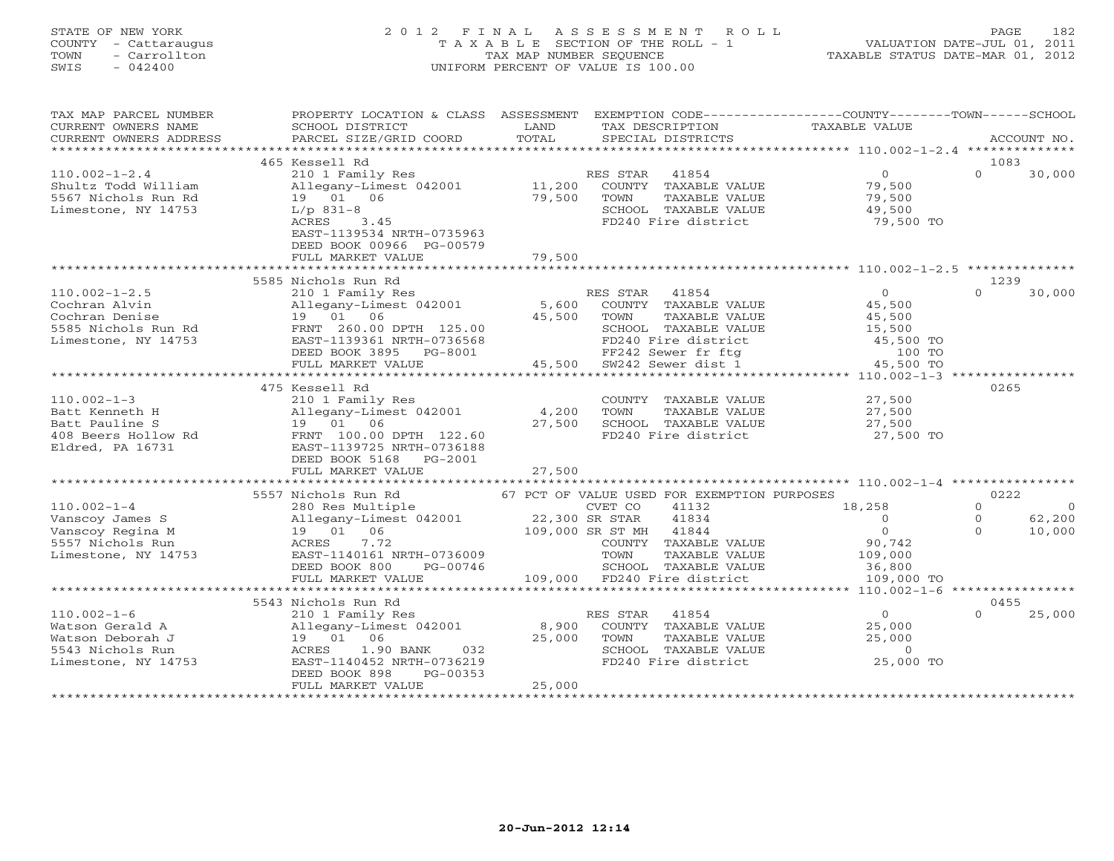# STATE OF NEW YORK 2 0 1 2 F I N A L A S S E S S M E N T R O L L PAGE 182 COUNTY - Cattaraugus T A X A B L E SECTION OF THE ROLL - 1 VALUATION DATE-JUL 01, 2011 TOWN - Carrollton TAX MAP NUMBER SEQUENCE TAXABLE STATUS DATE-MAR 01, 2012 SWIS - 042400 UNIFORM PERCENT OF VALUE IS 100.00UNIFORM PERCENT OF VALUE IS 100.00

| TAX MAP PARCEL NUMBER<br>CURRENT OWNERS NAME<br>CURRENT OWNERS ADDRESS                   | PROPERTY LOCATION & CLASS ASSESSMENT<br>SCHOOL DISTRICT<br>PARCEL SIZE/GRID COORD                                                                 | LAND             | TAX DESCRIPTION                                                                                                | EXEMPTION CODE-----------------COUNTY-------TOWN------SCHOOL<br>TAXABLE VALUE |                        |
|------------------------------------------------------------------------------------------|---------------------------------------------------------------------------------------------------------------------------------------------------|------------------|----------------------------------------------------------------------------------------------------------------|-------------------------------------------------------------------------------|------------------------|
| **********************                                                                   |                                                                                                                                                   |                  |                                                                                                                |                                                                               |                        |
|                                                                                          | 465 Kessell Rd                                                                                                                                    |                  |                                                                                                                |                                                                               | 1083                   |
| $110.002 - 1 - 2.4$<br>Shultz Todd William<br>5567 Nichols Run Rd<br>Limestone, NY 14753 | 210 1 Family Res<br>Allegany-Limest 042001<br>19  01  06<br>$L/p$ 831-8<br>ACRES<br>3.45<br>EAST-1139534 NRTH-0735963<br>DEED BOOK 00966 PG-00579 | 11,200<br>79,500 | RES STAR 41854<br>COUNTY TAXABLE VALUE<br>TOWN<br>TAXABLE VALUE<br>SCHOOL TAXABLE VALUE<br>FD240 Fire district | $\overline{0}$<br>79,500<br>79,500<br>49,500<br>79,500 TO                     | $\Omega$<br>30,000     |
|                                                                                          | FULL MARKET VALUE                                                                                                                                 | 79,500           |                                                                                                                |                                                                               |                        |
|                                                                                          |                                                                                                                                                   |                  |                                                                                                                |                                                                               |                        |
|                                                                                          | 5585 Nichols Run Rd                                                                                                                               |                  |                                                                                                                |                                                                               | 1239                   |
| $110.002 - 1 - 2.5$                                                                      | 210 1 Family Res                                                                                                                                  |                  | RES STAR 41854                                                                                                 | $\Omega$                                                                      | $\cap$<br>30,000       |
| Cochran Alvin                                                                            | Allegany-Limest 042001                                                                                                                            | 5,600            | COUNTY TAXABLE VALUE                                                                                           | 45,500                                                                        |                        |
| Cochran Denise                                                                           | 19 01 06                                                                                                                                          | 45,500           | TOWN<br>TAXABLE VALUE                                                                                          | 45,500                                                                        |                        |
| 5585 Nichols Run Rd                                                                      | FRNT 260.00 DPTH 125.00                                                                                                                           |                  | SCHOOL TAXABLE VALUE                                                                                           | 15,500                                                                        |                        |
| Limestone, NY 14753                                                                      | EAST-1139361 NRTH-0736568                                                                                                                         |                  | FD240 Fire district                                                                                            | 45,500 TO                                                                     |                        |
|                                                                                          | DEED BOOK 3895 PG-8001                                                                                                                            |                  | FF242 Sewer fr ftg                                                                                             | 100 TO                                                                        |                        |
|                                                                                          | FULL MARKET VALUE                                                                                                                                 | 45,500           | SW242 Sewer dist 1                                                                                             | 45,500 TO                                                                     |                        |
|                                                                                          |                                                                                                                                                   |                  |                                                                                                                | $********************110.002-1-3$                                             |                        |
|                                                                                          | 475 Kessell Rd                                                                                                                                    |                  |                                                                                                                |                                                                               | 0265                   |
| $110.002 - 1 - 3$                                                                        | 210 1 Family Res                                                                                                                                  |                  | COUNTY TAXABLE VALUE                                                                                           | 27,500                                                                        |                        |
| Batt Kenneth H                                                                           | Allegany-Limest 042001                                                                                                                            | 4,200            | TOWN<br>TAXABLE VALUE                                                                                          | 27,500                                                                        |                        |
| Batt Pauline S                                                                           | 19 01 06                                                                                                                                          | 27,500           | SCHOOL TAXABLE VALUE                                                                                           | 27,500                                                                        |                        |
| 408 Beers Hollow Rd                                                                      | FRNT 100.00 DPTH 122.60                                                                                                                           |                  | FD240 Fire district                                                                                            | 27,500 TO                                                                     |                        |
| Eldred, PA 16731                                                                         | EAST-1139725 NRTH-0736188                                                                                                                         |                  |                                                                                                                |                                                                               |                        |
|                                                                                          | DEED BOOK 5168 PG-2001                                                                                                                            |                  |                                                                                                                |                                                                               |                        |
|                                                                                          | FULL MARKET VALUE                                                                                                                                 | 27,500           |                                                                                                                |                                                                               |                        |
|                                                                                          | ******************************                                                                                                                    |                  |                                                                                                                |                                                                               |                        |
|                                                                                          | 5557 Nichols Run Rd                                                                                                                               |                  | 67 PCT OF VALUE USED FOR EXEMPTION PURPOSES                                                                    |                                                                               | 0222                   |
| $110.002 - 1 - 4$                                                                        | 280 Res Multiple                                                                                                                                  |                  | CVET CO<br>41132                                                                                               | 18,258                                                                        | $\Omega$<br>$\bigcirc$ |
| Vanscoy James S                                                                          | Allegany-Limest 042001                                                                                                                            | 22,300 SR STAR   | 41834                                                                                                          | $\overline{0}$                                                                | 62,200<br>$\circ$      |
| Vanscoy Regina M                                                                         | 19 01 06                                                                                                                                          |                  | 109,000 SR ST MH 41844                                                                                         | $\Omega$                                                                      | $\cap$<br>10,000       |
| 5557 Nichols Run                                                                         | ACRES<br>7.72                                                                                                                                     |                  | COUNTY TAXABLE VALUE                                                                                           | 90,742                                                                        |                        |
| Limestone, NY 14753                                                                      | EAST-1140161 NRTH-0736009                                                                                                                         |                  | TOWN<br>TAXABLE VALUE                                                                                          | 109,000                                                                       |                        |
|                                                                                          | DEED BOOK 800<br>PG-00746                                                                                                                         |                  | SCHOOL TAXABLE VALUE                                                                                           | 36,800                                                                        |                        |
|                                                                                          | FULL MARKET VALUE                                                                                                                                 |                  | 109,000 FD240 Fire district                                                                                    | 109,000 TO                                                                    |                        |
|                                                                                          | **************************                                                                                                                        |                  | **********************************                                                                             | ******* 110.002-1-6                                                           | ****************       |
|                                                                                          | 5543 Nichols Run Rd                                                                                                                               |                  |                                                                                                                |                                                                               | 0455                   |
| $110.002 - 1 - 6$                                                                        | 210 1 Family Res                                                                                                                                  |                  | RES STAR<br>41854                                                                                              | $\circ$                                                                       | 25,000<br>$\Omega$     |
| Watson Gerald A                                                                          | Allegany-Limest 042001                                                                                                                            | 8,900            | COUNTY TAXABLE VALUE                                                                                           | 25,000                                                                        |                        |
| Watson Deborah J                                                                         | 19 01 06                                                                                                                                          | 25,000           | TOWN<br>TAXABLE VALUE                                                                                          | 25,000                                                                        |                        |
| 5543 Nichols Run                                                                         | ACRES<br>1.90 BANK<br>032                                                                                                                         |                  | SCHOOL TAXABLE VALUE                                                                                           | $\overline{0}$                                                                |                        |
| Limestone, NY 14753                                                                      | EAST-1140452 NRTH-0736219                                                                                                                         |                  | FD240 Fire district                                                                                            | 25,000 TO                                                                     |                        |
|                                                                                          | DEED BOOK 898<br>PG-00353                                                                                                                         |                  |                                                                                                                |                                                                               |                        |
|                                                                                          | FULL MARKET VALUE                                                                                                                                 | 25,000           |                                                                                                                |                                                                               |                        |
|                                                                                          |                                                                                                                                                   |                  |                                                                                                                |                                                                               |                        |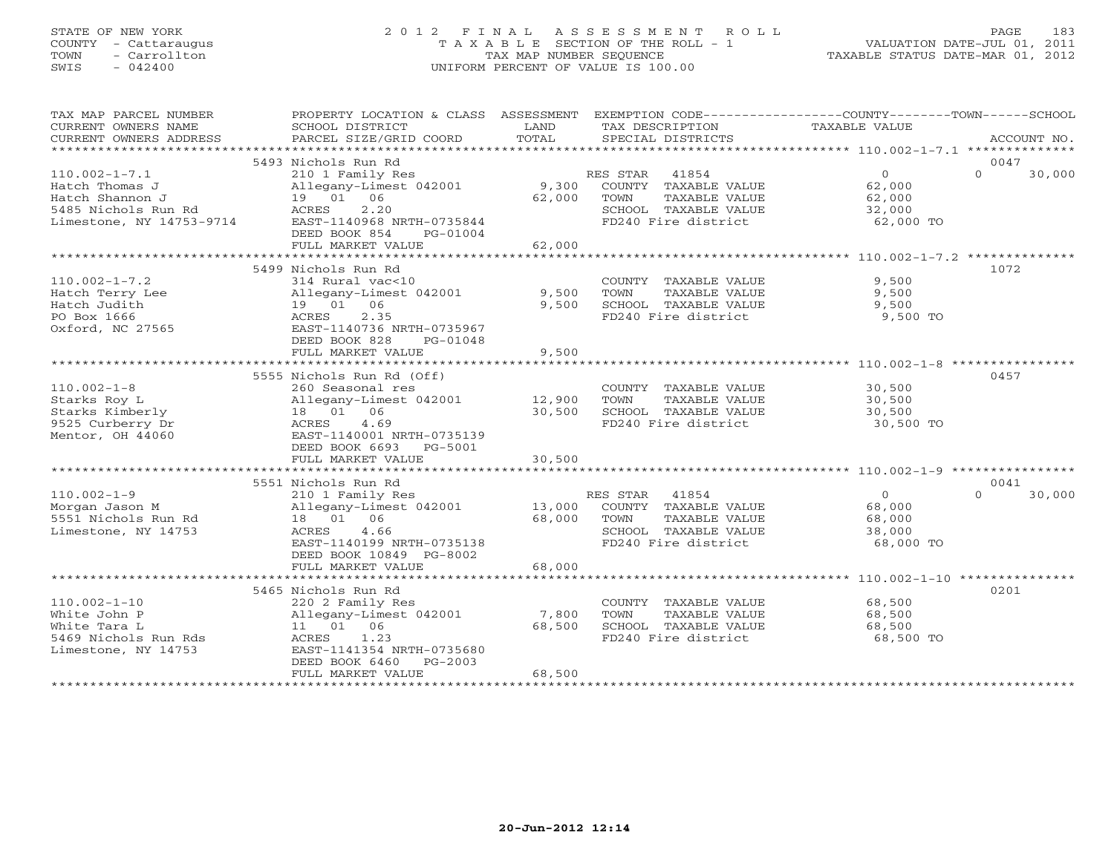# STATE OF NEW YORK 2 0 1 2 F I N A L A S S E S S M E N T R O L L PAGE 183 COUNTY - Cattaraugus T A X A B L E SECTION OF THE ROLL - 1 VALUATION DATE-JUL 01, 2011 TOWN - Carrollton TAX MAP NUMBER SEQUENCE TAXABLE STATUS DATE-MAR 01, 2012 SWIS - 042400 UNIFORM PERCENT OF VALUE IS 100.00UNIFORM PERCENT OF VALUE IS 100.00

| TAX MAP PARCEL NUMBER<br>CURRENT OWNERS NAME<br>CURRENT OWNERS ADDRESS                                      | PROPERTY LOCATION & CLASS ASSESSMENT<br>SCHOOL DISTRICT<br>PARCEL SIZE/GRID COORD                                                                                               | LAND<br>TOTAL             | TAX DESCRIPTION<br>SPECIAL DISTRICTS                                                                              | EXEMPTION CODE-----------------COUNTY-------TOWN------SCHOOL<br>TAXABLE VALUE<br>ACCOUNT NO. |
|-------------------------------------------------------------------------------------------------------------|---------------------------------------------------------------------------------------------------------------------------------------------------------------------------------|---------------------------|-------------------------------------------------------------------------------------------------------------------|----------------------------------------------------------------------------------------------|
|                                                                                                             |                                                                                                                                                                                 |                           |                                                                                                                   |                                                                                              |
| $110.002 - 1 - 7.1$<br>Hatch Thomas J<br>Hatch Shannon J<br>5485 Nichols Run Rd<br>Limestone, NY 14753-9714 | 5493 Nichols Run Rd<br>210 1 Family Res<br>Allegany-Limest 042001<br>19 01 06<br>2.20<br>ACRES<br>EAST-1140968 NRTH-0735844<br>DEED BOOK 854<br>PG-01004<br>FULL MARKET VALUE   | 9,300<br>62,000<br>62,000 | RES STAR<br>41854<br>COUNTY TAXABLE VALUE<br>TOWN<br>TAXABLE VALUE<br>SCHOOL TAXABLE VALUE<br>FD240 Fire district | 0047<br>$\Omega$<br>$\Omega$<br>30,000<br>62,000<br>62,000<br>32,000<br>62,000 TO            |
|                                                                                                             |                                                                                                                                                                                 |                           |                                                                                                                   |                                                                                              |
| $110.002 - 1 - 7.2$<br>Hatch Terry Lee<br>Hatch Judith<br>PO Box 1666<br>Oxford, NC 27565                   | 5499 Nichols Run Rd<br>314 Rural vac<10<br>Allegany-Limest 042001<br>19  01  06<br>2.35<br>ACRES<br>EAST-1140736 NRTH-0735967<br>DEED BOOK 828<br>PG-01048<br>FULL MARKET VALUE | 9,500<br>9,500<br>9,500   | COUNTY TAXABLE VALUE<br>TOWN<br>TAXABLE VALUE<br>SCHOOL TAXABLE VALUE<br>FD240 Fire district                      | 1072<br>9,500<br>9,500<br>9,500<br>9,500 TO                                                  |
|                                                                                                             |                                                                                                                                                                                 |                           |                                                                                                                   |                                                                                              |
| $110.002 - 1 - 8$<br>Starks Roy L<br>Starks Kimberly<br>9525 Curberry Dr<br>Mentor, OH 44060                | 5555 Nichols Run Rd (Off)<br>260 Seasonal res<br>Allegany-Limest 042001<br>18  01  06<br>4.69<br>ACRES<br>EAST-1140001 NRTH-0735139<br>DEED BOOK 6693<br>PG-5001                | 12,900<br>30,500          | COUNTY TAXABLE VALUE<br>TOWN<br>TAXABLE VALUE<br>SCHOOL TAXABLE VALUE<br>FD240 Fire district                      | 0457<br>30,500<br>30,500<br>30,500<br>30,500 TO                                              |
|                                                                                                             | FULL MARKET VALUE                                                                                                                                                               | 30,500                    |                                                                                                                   |                                                                                              |
|                                                                                                             |                                                                                                                                                                                 |                           |                                                                                                                   |                                                                                              |
| $110.002 - 1 - 9$<br>Morgan Jason M<br>5551 Nichols Run Rd<br>Limestone, NY 14753                           | 5551 Nichols Run Rd<br>210 1 Family Res<br>Allegany-Limest 042001<br>18  01  06<br>ACRES<br>4.66<br>EAST-1140199 NRTH-0735138<br>DEED BOOK 10849 PG-8002                        | 13,000<br>68,000          | RES STAR<br>41854<br>COUNTY TAXABLE VALUE<br>TAXABLE VALUE<br>TOWN<br>SCHOOL TAXABLE VALUE<br>FD240 Fire district | 0041<br>$\Omega$<br>$\Omega$<br>30,000<br>68,000<br>68,000<br>38,000<br>68,000 TO            |
|                                                                                                             | FULL MARKET VALUE                                                                                                                                                               | 68,000                    |                                                                                                                   |                                                                                              |
|                                                                                                             | 5465 Nichols Run Rd                                                                                                                                                             |                           |                                                                                                                   | 0201                                                                                         |
| $110.002 - 1 - 10$<br>White John P<br>White Tara L<br>5469 Nichols Run Rds<br>Limestone, NY 14753           | 220 2 Family Res<br>Allegany-Limest 042001<br>11  01  06<br>1.23<br>ACRES<br>EAST-1141354 NRTH-0735680<br>DEED BOOK 6460<br>$PG-2003$                                           | 7,800<br>68,500           | COUNTY TAXABLE VALUE<br>TAXABLE VALUE<br>TOWN<br>SCHOOL TAXABLE VALUE<br>FD240 Fire district                      | 68,500<br>68,500<br>68,500<br>68,500 TO                                                      |
|                                                                                                             | FULL MARKET VALUE                                                                                                                                                               | 68,500                    |                                                                                                                   |                                                                                              |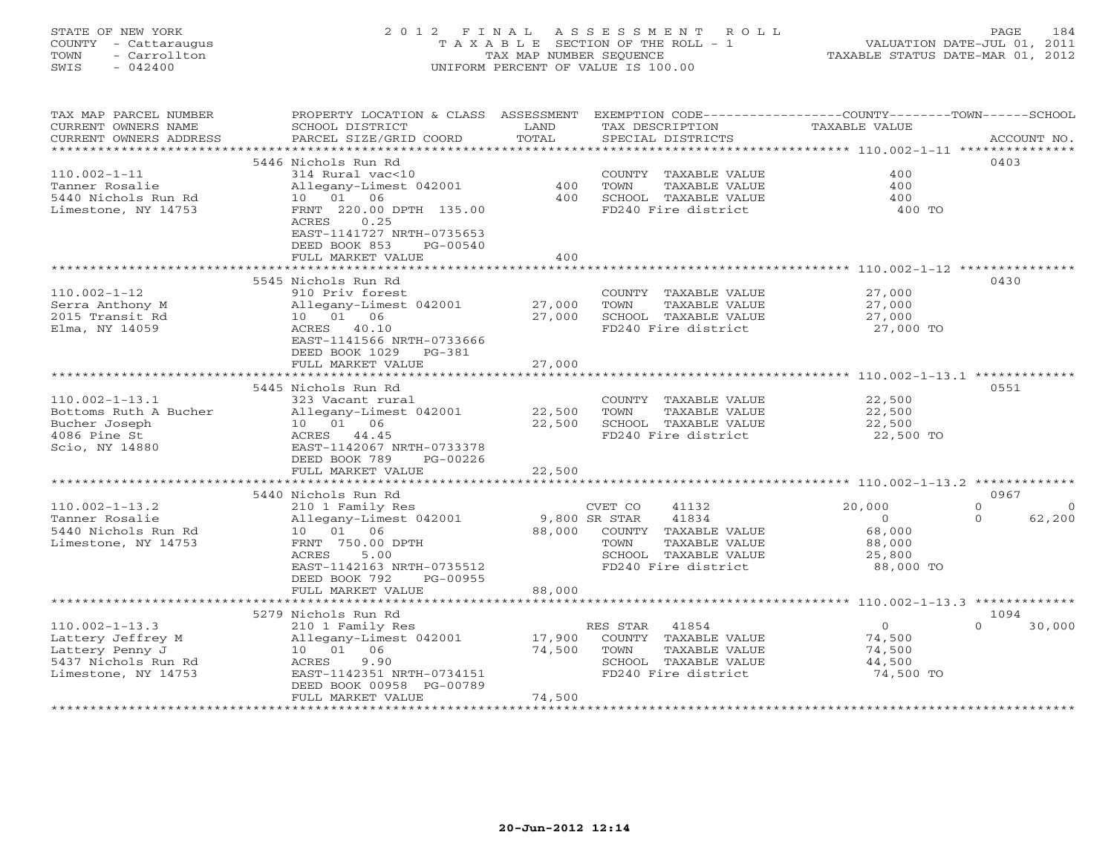# STATE OF NEW YORK 2 0 1 2 F I N A L A S S E S S M E N T R O L L PAGE 184 COUNTY - Cattaraugus T A X A B L E SECTION OF THE ROLL - 1 VALUATION DATE-JUL 01, 2011 TOWN - Carrollton TAX MAP NUMBER SEQUENCE TAXABLE STATUS DATE-MAR 01, 2012 SWIS - 042400 UNIFORM PERCENT OF VALUE IS 100.00UNIFORM PERCENT OF VALUE IS 100.00

| TAX MAP PARCEL NUMBER<br>CURRENT OWNERS NAME<br>CURRENT OWNERS ADDRESS | PROPERTY LOCATION & CLASS ASSESSMENT<br>SCHOOL DISTRICT<br>PARCEL SIZE/GRID COORD | LAND<br>TOTAL       | EXEMPTION CODE----------------COUNTY-------TOWN-----SCHOOL<br>TAX DESCRIPTION<br>SPECIAL DISTRICTS | TAXABLE VALUE                                               | ACCOUNT NO.                    |
|------------------------------------------------------------------------|-----------------------------------------------------------------------------------|---------------------|----------------------------------------------------------------------------------------------------|-------------------------------------------------------------|--------------------------------|
| *************************                                              |                                                                                   |                     |                                                                                                    |                                                             |                                |
|                                                                        | 5446 Nichols Run Rd                                                               |                     |                                                                                                    |                                                             | 0403                           |
| $110.002 - 1 - 11$                                                     | 314 Rural vac<10                                                                  |                     | COUNTY TAXABLE VALUE                                                                               | 400                                                         |                                |
| Tanner Rosalie                                                         | Allegany-Limest 042001                                                            | 400                 | TOWN<br>TAXABLE VALUE                                                                              | 400                                                         |                                |
| 5440 Nichols Run Rd                                                    | 06<br>10 01                                                                       | 400                 | SCHOOL TAXABLE VALUE                                                                               | 400                                                         |                                |
| Limestone, NY 14753                                                    | FRNT 220.00 DPTH 135.00                                                           |                     | FD240 Fire district                                                                                | 400 TO                                                      |                                |
|                                                                        | 0.25<br>ACRES                                                                     |                     |                                                                                                    |                                                             |                                |
|                                                                        | EAST-1141727 NRTH-0735653                                                         |                     |                                                                                                    |                                                             |                                |
|                                                                        | DEED BOOK 853<br>PG-00540                                                         |                     |                                                                                                    |                                                             |                                |
|                                                                        | FULL MARKET VALUE<br>* * * * * * * * * * * * * * * * * * * *                      | 400<br>************ |                                                                                                    | ************************** 110.002-1-12                     |                                |
|                                                                        | 5545 Nichols Run Rd                                                               |                     |                                                                                                    |                                                             | 0430                           |
| $110.002 - 1 - 12$                                                     | 910 Priv forest                                                                   |                     | COUNTY TAXABLE VALUE                                                                               | 27,000                                                      |                                |
| Serra Anthony M                                                        | Allegany-Limest 042001                                                            | 27,000              | TOWN<br>TAXABLE VALUE                                                                              | 27,000                                                      |                                |
| 2015 Transit Rd                                                        | 10 01 06                                                                          | 27,000              | SCHOOL TAXABLE VALUE                                                                               | 27,000                                                      |                                |
| Elma, NY 14059                                                         | ACRES 40.10                                                                       |                     | FD240 Fire district                                                                                | 27,000 TO                                                   |                                |
|                                                                        | EAST-1141566 NRTH-0733666                                                         |                     |                                                                                                    |                                                             |                                |
|                                                                        | DEED BOOK 1029<br>$PG-381$                                                        |                     |                                                                                                    |                                                             |                                |
|                                                                        | FULL MARKET VALUE                                                                 | 27,000              |                                                                                                    |                                                             |                                |
|                                                                        | **************************                                                        | ***********         |                                                                                                    | ****************************** 110.002-1-13.1 ************* |                                |
|                                                                        | 5445 Nichols Run Rd                                                               |                     |                                                                                                    |                                                             | 0551                           |
| $110.002 - 1 - 13.1$                                                   | 323 Vacant rural                                                                  |                     | COUNTY TAXABLE VALUE                                                                               | 22,500                                                      |                                |
| Bottoms Ruth A Bucher                                                  | Allegany-Limest 042001                                                            | 22,500              | TOWN<br>TAXABLE VALUE                                                                              | 22,500                                                      |                                |
| Bucher Joseph                                                          | 10 01 06                                                                          | 22,500              | SCHOOL TAXABLE VALUE                                                                               | 22,500                                                      |                                |
| 4086 Pine St                                                           | ACRES 44.45                                                                       |                     | FD240 Fire district                                                                                | 22,500 TO                                                   |                                |
| Scio, NY 14880                                                         | EAST-1142067 NRTH-0733378                                                         |                     |                                                                                                    |                                                             |                                |
|                                                                        | DEED BOOK 789<br>PG-00226                                                         |                     |                                                                                                    |                                                             |                                |
|                                                                        | FULL MARKET VALUE                                                                 | 22,500              |                                                                                                    |                                                             |                                |
|                                                                        |                                                                                   |                     |                                                                                                    |                                                             |                                |
| $110.002 - 1 - 13.2$                                                   | 5440 Nichols Run Rd                                                               |                     |                                                                                                    |                                                             | 0967<br>$\Omega$               |
| Tanner Rosalie                                                         | 210 1 Family Res                                                                  |                     | CVET CO<br>41132<br>9,800 SR STAR<br>41834                                                         | 20,000<br>$\Omega$                                          | $\Omega$<br>$\Omega$<br>62,200 |
| 5440 Nichols Run Rd                                                    | Allegany-Limest 042001<br>10 01<br>06                                             | 88,000              | COUNTY TAXABLE VALUE                                                                               | 68,000                                                      |                                |
| Limestone, NY 14753                                                    | FRNT 750.00 DPTH                                                                  |                     | TOWN<br>TAXABLE VALUE                                                                              | 88,000                                                      |                                |
|                                                                        | 5.00<br>ACRES                                                                     |                     | SCHOOL TAXABLE VALUE                                                                               | 25,800                                                      |                                |
|                                                                        | EAST-1142163 NRTH-0735512                                                         |                     | FD240 Fire district                                                                                | 88,000 TO                                                   |                                |
|                                                                        | DEED BOOK 792<br>PG-00955                                                         |                     |                                                                                                    |                                                             |                                |
|                                                                        | FULL MARKET VALUE                                                                 | 88,000              |                                                                                                    |                                                             |                                |
|                                                                        | *********************                                                             | ********            |                                                                                                    | ********************** 110.002-1-13.3 *************         |                                |
|                                                                        | 5279 Nichols Run Rd                                                               |                     |                                                                                                    |                                                             | 1094                           |
| $110.002 - 1 - 13.3$                                                   | 210 1 Family Res                                                                  |                     | RES STAR<br>41854                                                                                  | $\overline{0}$                                              | 30,000<br>$\Omega$             |
| Lattery Jeffrey M                                                      | Allegany-Limest 042001                                                            | 17,900              | COUNTY TAXABLE VALUE                                                                               | 74,500                                                      |                                |
| Lattery Penny J                                                        | 10 01 06                                                                          | 74,500              | TOWN<br>TAXABLE VALUE                                                                              | 74,500                                                      |                                |
| 5437 Nichols Run Rd                                                    | 9.90<br>ACRES                                                                     |                     | SCHOOL TAXABLE VALUE                                                                               | 44,500                                                      |                                |
| Limestone, NY 14753                                                    | EAST-1142351 NRTH-0734151                                                         |                     | FD240 Fire district                                                                                | 74,500 TO                                                   |                                |
|                                                                        | DEED BOOK 00958 PG-00789                                                          |                     |                                                                                                    |                                                             |                                |
|                                                                        | FULL MARKET VALUE                                                                 | 74,500              |                                                                                                    |                                                             |                                |
|                                                                        |                                                                                   |                     |                                                                                                    |                                                             |                                |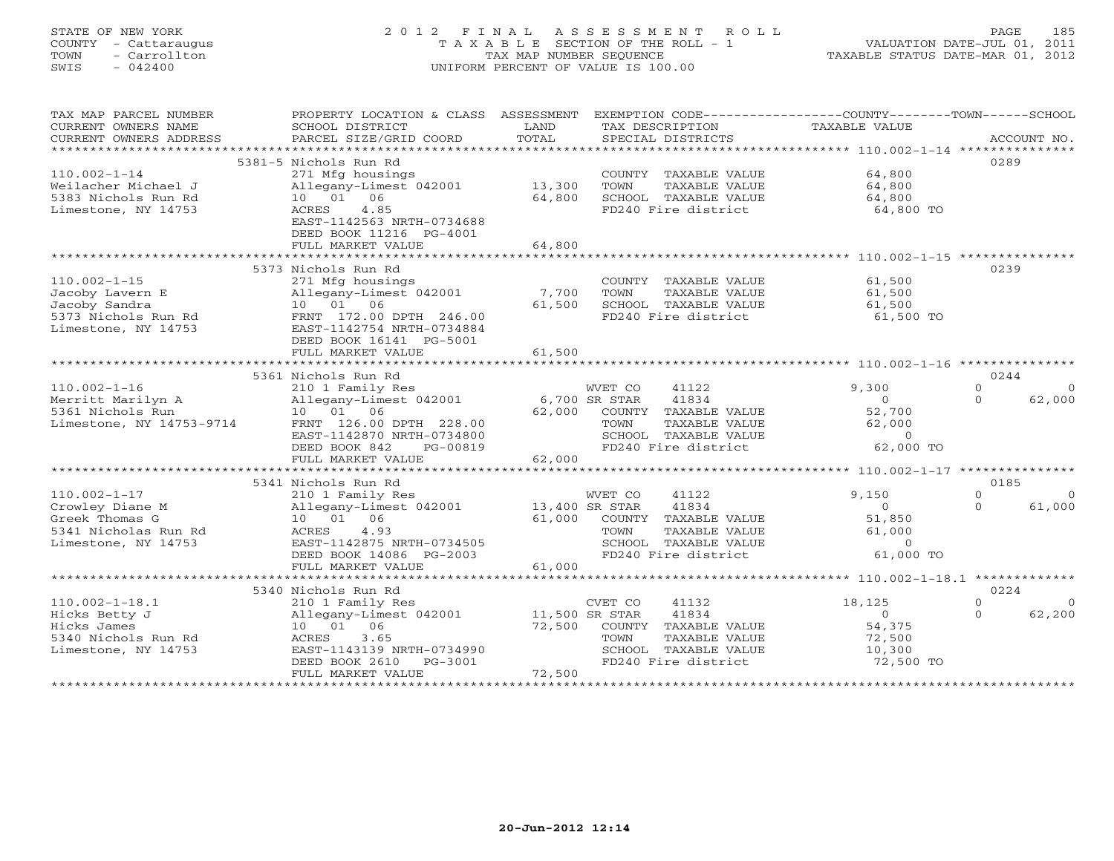# STATE OF NEW YORK 2 0 1 2 F I N A L A S S E S S M E N T R O L L PAGE 185 COUNTY - Cattaraugus T A X A B L E SECTION OF THE ROLL - 1 VALUATION DATE-JUL 01, 2011 TOWN - Carrollton TAX MAP NUMBER SEQUENCE TAXABLE STATUS DATE-MAR 01, 2012 SWIS - 042400 UNIFORM PERCENT OF VALUE IS 100.00UNIFORM PERCENT OF VALUE IS 100.00

| 5381-5 Nichols Run Rd<br>0289<br>$110.002 - 1 - 14$<br>64,800<br>271 Mfg housings<br>COUNTY TAXABLE VALUE<br>Allegany-Limest 042001<br>13,300<br>TOWN<br>TAXABLE VALUE<br>64,800<br>Weilacher Michael J<br>10  01  06<br>5383 Nichols Run Rd<br>64,800<br>SCHOOL TAXABLE VALUE<br>64,800<br>4.85<br>FD240 Fire district<br>64,800 TO<br>Limestone, NY 14753<br>ACRES<br>EAST-1142563 NRTH-0734688<br>DEED BOOK 11216 PG-4001<br>FULL MARKET VALUE<br>64,800<br>0239<br>5373 Nichols Run Rd<br>$110.002 - 1 - 15$<br>271 Mfg housings<br>COUNTY TAXABLE VALUE<br>61,500<br>7,700<br>Jacoby Lavern E<br>Allegany-Limest 042001<br>TOWN<br>TAXABLE VALUE<br>61,500<br>Jacoby Sandra<br>10 01 06<br>61,500<br>SCHOOL TAXABLE VALUE<br>61,500<br>5373 Nichols Run Rd<br>FRNT 172.00 DPTH 246.00<br>FD240 Fire district<br>61,500 TO<br>Limestone, NY 14753<br>EAST-1142754 NRTH-0734884<br>DEED BOOK 16141 PG-5001<br>61,500<br>FULL MARKET VALUE<br>************<br>**************************<br>0244<br>5361 Nichols Run Rd<br>9,300<br>$110.002 - 1 - 16$<br>WVET CO<br>41122<br>$\Omega$<br>210 1 Family Res<br>41834<br>Merritt Marilyn A<br>Allegany-Limest 042001<br>6,700 SR STAR<br>62,000<br>$\circ$<br>$\Omega$<br>10  01  06<br>52,700<br>5361 Nichols Run<br>62,000<br>COUNTY TAXABLE VALUE<br>Limestone, NY 14753-9714<br>FRNT 126.00 DPTH 228.00<br>TAXABLE VALUE<br>62,000<br>TOWN<br>EAST-1142870 NRTH-0734800<br>SCHOOL TAXABLE VALUE<br>$\Omega$<br>FD240 Fire district<br>62,000 TO<br>DEED BOOK 842<br>PG-00819<br>62,000<br>FULL MARKET VALUE<br>5341 Nichols Run Rd<br>0185<br>$110.002 - 1 - 17$<br>WVET CO<br>41122<br>9.150<br>210 1 Family Res<br>$\Omega$<br>$\Omega$<br>Crowley Diane M<br>41834<br>Allegany-Limest 042001<br>13,400 SR STAR<br>$\Omega$<br>$\Omega$<br>61,000<br>Greek Thomas G<br>10  01  06<br>61,000<br>TAXABLE VALUE<br>51,850<br>COUNTY<br>5341 Nicholas Run Rd<br>ACRES<br>4.93<br>TOWN<br>TAXABLE VALUE<br>61,000<br>EAST-1142875 NRTH-0734505<br>SCHOOL TAXABLE VALUE<br>Limestone, NY 14753<br>$\circ$<br>DEED BOOK 14086 PG-2003<br>FD240 Fire district<br>61,000 TO<br>FULL MARKET VALUE<br>61,000<br>0224<br>5340 Nichols Run Rd<br>$110.002 - 1 - 18.1$<br>210 1 Family Res<br>CVET CO<br>41132<br>18,125<br>$\Omega$<br>$\Omega$<br>41834<br>Allegany-Limest 042001<br>11,500 SR STAR<br>$\circ$<br>62,200<br>Hicks Betty J<br>$\Omega$<br>10 01 06<br>Hicks James<br>72,500<br>COUNTY TAXABLE VALUE<br>54,375<br>5340 Nichols Run Rd<br>3.65<br>TOWN<br>TAXABLE VALUE<br>72,500<br>ACRES<br>EAST-1143139 NRTH-0734990<br>SCHOOL<br>TAXABLE VALUE<br>10,300<br>Limestone, NY 14753<br>72,500 TO<br>DEED BOOK 2610<br>PG-3001<br>FD240 Fire district<br>72,500<br>FULL MARKET VALUE | TAX MAP PARCEL NUMBER<br>CURRENT OWNERS NAME<br>CURRENT OWNERS ADDRESS | PROPERTY LOCATION & CLASS<br>SCHOOL DISTRICT<br>PARCEL SIZE/GRID COORD | ASSESSMENT<br>LAND<br>TOTAL | EXEMPTION CODE-----------------COUNTY-------TOWN------SCHOOL<br>TAX DESCRIPTION<br>SPECIAL DISTRICTS | TAXABLE VALUE | ACCOUNT NO. |
|--------------------------------------------------------------------------------------------------------------------------------------------------------------------------------------------------------------------------------------------------------------------------------------------------------------------------------------------------------------------------------------------------------------------------------------------------------------------------------------------------------------------------------------------------------------------------------------------------------------------------------------------------------------------------------------------------------------------------------------------------------------------------------------------------------------------------------------------------------------------------------------------------------------------------------------------------------------------------------------------------------------------------------------------------------------------------------------------------------------------------------------------------------------------------------------------------------------------------------------------------------------------------------------------------------------------------------------------------------------------------------------------------------------------------------------------------------------------------------------------------------------------------------------------------------------------------------------------------------------------------------------------------------------------------------------------------------------------------------------------------------------------------------------------------------------------------------------------------------------------------------------------------------------------------------------------------------------------------------------------------------------------------------------------------------------------------------------------------------------------------------------------------------------------------------------------------------------------------------------------------------------------------------------------------------------------------------------------------------------------------------------------------------------------------------------------------------------------------------------------------------------------------------------------------------------------------------------------------------------------------------------------------------------------------------------------------------------------------------------------|------------------------------------------------------------------------|------------------------------------------------------------------------|-----------------------------|------------------------------------------------------------------------------------------------------|---------------|-------------|
|                                                                                                                                                                                                                                                                                                                                                                                                                                                                                                                                                                                                                                                                                                                                                                                                                                                                                                                                                                                                                                                                                                                                                                                                                                                                                                                                                                                                                                                                                                                                                                                                                                                                                                                                                                                                                                                                                                                                                                                                                                                                                                                                                                                                                                                                                                                                                                                                                                                                                                                                                                                                                                                                                                                                            |                                                                        |                                                                        |                             |                                                                                                      |               |             |
|                                                                                                                                                                                                                                                                                                                                                                                                                                                                                                                                                                                                                                                                                                                                                                                                                                                                                                                                                                                                                                                                                                                                                                                                                                                                                                                                                                                                                                                                                                                                                                                                                                                                                                                                                                                                                                                                                                                                                                                                                                                                                                                                                                                                                                                                                                                                                                                                                                                                                                                                                                                                                                                                                                                                            |                                                                        |                                                                        |                             |                                                                                                      |               |             |
|                                                                                                                                                                                                                                                                                                                                                                                                                                                                                                                                                                                                                                                                                                                                                                                                                                                                                                                                                                                                                                                                                                                                                                                                                                                                                                                                                                                                                                                                                                                                                                                                                                                                                                                                                                                                                                                                                                                                                                                                                                                                                                                                                                                                                                                                                                                                                                                                                                                                                                                                                                                                                                                                                                                                            |                                                                        |                                                                        |                             |                                                                                                      |               |             |
|                                                                                                                                                                                                                                                                                                                                                                                                                                                                                                                                                                                                                                                                                                                                                                                                                                                                                                                                                                                                                                                                                                                                                                                                                                                                                                                                                                                                                                                                                                                                                                                                                                                                                                                                                                                                                                                                                                                                                                                                                                                                                                                                                                                                                                                                                                                                                                                                                                                                                                                                                                                                                                                                                                                                            |                                                                        |                                                                        |                             |                                                                                                      |               |             |
|                                                                                                                                                                                                                                                                                                                                                                                                                                                                                                                                                                                                                                                                                                                                                                                                                                                                                                                                                                                                                                                                                                                                                                                                                                                                                                                                                                                                                                                                                                                                                                                                                                                                                                                                                                                                                                                                                                                                                                                                                                                                                                                                                                                                                                                                                                                                                                                                                                                                                                                                                                                                                                                                                                                                            |                                                                        |                                                                        |                             |                                                                                                      |               |             |
|                                                                                                                                                                                                                                                                                                                                                                                                                                                                                                                                                                                                                                                                                                                                                                                                                                                                                                                                                                                                                                                                                                                                                                                                                                                                                                                                                                                                                                                                                                                                                                                                                                                                                                                                                                                                                                                                                                                                                                                                                                                                                                                                                                                                                                                                                                                                                                                                                                                                                                                                                                                                                                                                                                                                            |                                                                        |                                                                        |                             |                                                                                                      |               |             |
|                                                                                                                                                                                                                                                                                                                                                                                                                                                                                                                                                                                                                                                                                                                                                                                                                                                                                                                                                                                                                                                                                                                                                                                                                                                                                                                                                                                                                                                                                                                                                                                                                                                                                                                                                                                                                                                                                                                                                                                                                                                                                                                                                                                                                                                                                                                                                                                                                                                                                                                                                                                                                                                                                                                                            |                                                                        |                                                                        |                             |                                                                                                      |               |             |
|                                                                                                                                                                                                                                                                                                                                                                                                                                                                                                                                                                                                                                                                                                                                                                                                                                                                                                                                                                                                                                                                                                                                                                                                                                                                                                                                                                                                                                                                                                                                                                                                                                                                                                                                                                                                                                                                                                                                                                                                                                                                                                                                                                                                                                                                                                                                                                                                                                                                                                                                                                                                                                                                                                                                            |                                                                        |                                                                        |                             |                                                                                                      |               |             |
|                                                                                                                                                                                                                                                                                                                                                                                                                                                                                                                                                                                                                                                                                                                                                                                                                                                                                                                                                                                                                                                                                                                                                                                                                                                                                                                                                                                                                                                                                                                                                                                                                                                                                                                                                                                                                                                                                                                                                                                                                                                                                                                                                                                                                                                                                                                                                                                                                                                                                                                                                                                                                                                                                                                                            |                                                                        |                                                                        |                             |                                                                                                      |               |             |
|                                                                                                                                                                                                                                                                                                                                                                                                                                                                                                                                                                                                                                                                                                                                                                                                                                                                                                                                                                                                                                                                                                                                                                                                                                                                                                                                                                                                                                                                                                                                                                                                                                                                                                                                                                                                                                                                                                                                                                                                                                                                                                                                                                                                                                                                                                                                                                                                                                                                                                                                                                                                                                                                                                                                            |                                                                        |                                                                        |                             |                                                                                                      |               |             |
|                                                                                                                                                                                                                                                                                                                                                                                                                                                                                                                                                                                                                                                                                                                                                                                                                                                                                                                                                                                                                                                                                                                                                                                                                                                                                                                                                                                                                                                                                                                                                                                                                                                                                                                                                                                                                                                                                                                                                                                                                                                                                                                                                                                                                                                                                                                                                                                                                                                                                                                                                                                                                                                                                                                                            |                                                                        |                                                                        |                             |                                                                                                      |               |             |
|                                                                                                                                                                                                                                                                                                                                                                                                                                                                                                                                                                                                                                                                                                                                                                                                                                                                                                                                                                                                                                                                                                                                                                                                                                                                                                                                                                                                                                                                                                                                                                                                                                                                                                                                                                                                                                                                                                                                                                                                                                                                                                                                                                                                                                                                                                                                                                                                                                                                                                                                                                                                                                                                                                                                            |                                                                        |                                                                        |                             |                                                                                                      |               |             |
|                                                                                                                                                                                                                                                                                                                                                                                                                                                                                                                                                                                                                                                                                                                                                                                                                                                                                                                                                                                                                                                                                                                                                                                                                                                                                                                                                                                                                                                                                                                                                                                                                                                                                                                                                                                                                                                                                                                                                                                                                                                                                                                                                                                                                                                                                                                                                                                                                                                                                                                                                                                                                                                                                                                                            |                                                                        |                                                                        |                             |                                                                                                      |               |             |
|                                                                                                                                                                                                                                                                                                                                                                                                                                                                                                                                                                                                                                                                                                                                                                                                                                                                                                                                                                                                                                                                                                                                                                                                                                                                                                                                                                                                                                                                                                                                                                                                                                                                                                                                                                                                                                                                                                                                                                                                                                                                                                                                                                                                                                                                                                                                                                                                                                                                                                                                                                                                                                                                                                                                            |                                                                        |                                                                        |                             |                                                                                                      |               |             |
|                                                                                                                                                                                                                                                                                                                                                                                                                                                                                                                                                                                                                                                                                                                                                                                                                                                                                                                                                                                                                                                                                                                                                                                                                                                                                                                                                                                                                                                                                                                                                                                                                                                                                                                                                                                                                                                                                                                                                                                                                                                                                                                                                                                                                                                                                                                                                                                                                                                                                                                                                                                                                                                                                                                                            |                                                                        |                                                                        |                             |                                                                                                      |               |             |
|                                                                                                                                                                                                                                                                                                                                                                                                                                                                                                                                                                                                                                                                                                                                                                                                                                                                                                                                                                                                                                                                                                                                                                                                                                                                                                                                                                                                                                                                                                                                                                                                                                                                                                                                                                                                                                                                                                                                                                                                                                                                                                                                                                                                                                                                                                                                                                                                                                                                                                                                                                                                                                                                                                                                            |                                                                        |                                                                        |                             |                                                                                                      |               |             |
|                                                                                                                                                                                                                                                                                                                                                                                                                                                                                                                                                                                                                                                                                                                                                                                                                                                                                                                                                                                                                                                                                                                                                                                                                                                                                                                                                                                                                                                                                                                                                                                                                                                                                                                                                                                                                                                                                                                                                                                                                                                                                                                                                                                                                                                                                                                                                                                                                                                                                                                                                                                                                                                                                                                                            |                                                                        |                                                                        |                             |                                                                                                      |               |             |
|                                                                                                                                                                                                                                                                                                                                                                                                                                                                                                                                                                                                                                                                                                                                                                                                                                                                                                                                                                                                                                                                                                                                                                                                                                                                                                                                                                                                                                                                                                                                                                                                                                                                                                                                                                                                                                                                                                                                                                                                                                                                                                                                                                                                                                                                                                                                                                                                                                                                                                                                                                                                                                                                                                                                            |                                                                        |                                                                        |                             |                                                                                                      |               |             |
|                                                                                                                                                                                                                                                                                                                                                                                                                                                                                                                                                                                                                                                                                                                                                                                                                                                                                                                                                                                                                                                                                                                                                                                                                                                                                                                                                                                                                                                                                                                                                                                                                                                                                                                                                                                                                                                                                                                                                                                                                                                                                                                                                                                                                                                                                                                                                                                                                                                                                                                                                                                                                                                                                                                                            |                                                                        |                                                                        |                             |                                                                                                      |               |             |
|                                                                                                                                                                                                                                                                                                                                                                                                                                                                                                                                                                                                                                                                                                                                                                                                                                                                                                                                                                                                                                                                                                                                                                                                                                                                                                                                                                                                                                                                                                                                                                                                                                                                                                                                                                                                                                                                                                                                                                                                                                                                                                                                                                                                                                                                                                                                                                                                                                                                                                                                                                                                                                                                                                                                            |                                                                        |                                                                        |                             |                                                                                                      |               |             |
|                                                                                                                                                                                                                                                                                                                                                                                                                                                                                                                                                                                                                                                                                                                                                                                                                                                                                                                                                                                                                                                                                                                                                                                                                                                                                                                                                                                                                                                                                                                                                                                                                                                                                                                                                                                                                                                                                                                                                                                                                                                                                                                                                                                                                                                                                                                                                                                                                                                                                                                                                                                                                                                                                                                                            |                                                                        |                                                                        |                             |                                                                                                      |               |             |
|                                                                                                                                                                                                                                                                                                                                                                                                                                                                                                                                                                                                                                                                                                                                                                                                                                                                                                                                                                                                                                                                                                                                                                                                                                                                                                                                                                                                                                                                                                                                                                                                                                                                                                                                                                                                                                                                                                                                                                                                                                                                                                                                                                                                                                                                                                                                                                                                                                                                                                                                                                                                                                                                                                                                            |                                                                        |                                                                        |                             |                                                                                                      |               |             |
|                                                                                                                                                                                                                                                                                                                                                                                                                                                                                                                                                                                                                                                                                                                                                                                                                                                                                                                                                                                                                                                                                                                                                                                                                                                                                                                                                                                                                                                                                                                                                                                                                                                                                                                                                                                                                                                                                                                                                                                                                                                                                                                                                                                                                                                                                                                                                                                                                                                                                                                                                                                                                                                                                                                                            |                                                                        |                                                                        |                             |                                                                                                      |               |             |
|                                                                                                                                                                                                                                                                                                                                                                                                                                                                                                                                                                                                                                                                                                                                                                                                                                                                                                                                                                                                                                                                                                                                                                                                                                                                                                                                                                                                                                                                                                                                                                                                                                                                                                                                                                                                                                                                                                                                                                                                                                                                                                                                                                                                                                                                                                                                                                                                                                                                                                                                                                                                                                                                                                                                            |                                                                        |                                                                        |                             |                                                                                                      |               |             |
|                                                                                                                                                                                                                                                                                                                                                                                                                                                                                                                                                                                                                                                                                                                                                                                                                                                                                                                                                                                                                                                                                                                                                                                                                                                                                                                                                                                                                                                                                                                                                                                                                                                                                                                                                                                                                                                                                                                                                                                                                                                                                                                                                                                                                                                                                                                                                                                                                                                                                                                                                                                                                                                                                                                                            |                                                                        |                                                                        |                             |                                                                                                      |               |             |
|                                                                                                                                                                                                                                                                                                                                                                                                                                                                                                                                                                                                                                                                                                                                                                                                                                                                                                                                                                                                                                                                                                                                                                                                                                                                                                                                                                                                                                                                                                                                                                                                                                                                                                                                                                                                                                                                                                                                                                                                                                                                                                                                                                                                                                                                                                                                                                                                                                                                                                                                                                                                                                                                                                                                            |                                                                        |                                                                        |                             |                                                                                                      |               |             |
|                                                                                                                                                                                                                                                                                                                                                                                                                                                                                                                                                                                                                                                                                                                                                                                                                                                                                                                                                                                                                                                                                                                                                                                                                                                                                                                                                                                                                                                                                                                                                                                                                                                                                                                                                                                                                                                                                                                                                                                                                                                                                                                                                                                                                                                                                                                                                                                                                                                                                                                                                                                                                                                                                                                                            |                                                                        |                                                                        |                             |                                                                                                      |               |             |
|                                                                                                                                                                                                                                                                                                                                                                                                                                                                                                                                                                                                                                                                                                                                                                                                                                                                                                                                                                                                                                                                                                                                                                                                                                                                                                                                                                                                                                                                                                                                                                                                                                                                                                                                                                                                                                                                                                                                                                                                                                                                                                                                                                                                                                                                                                                                                                                                                                                                                                                                                                                                                                                                                                                                            |                                                                        |                                                                        |                             |                                                                                                      |               |             |
|                                                                                                                                                                                                                                                                                                                                                                                                                                                                                                                                                                                                                                                                                                                                                                                                                                                                                                                                                                                                                                                                                                                                                                                                                                                                                                                                                                                                                                                                                                                                                                                                                                                                                                                                                                                                                                                                                                                                                                                                                                                                                                                                                                                                                                                                                                                                                                                                                                                                                                                                                                                                                                                                                                                                            |                                                                        |                                                                        |                             |                                                                                                      |               |             |
|                                                                                                                                                                                                                                                                                                                                                                                                                                                                                                                                                                                                                                                                                                                                                                                                                                                                                                                                                                                                                                                                                                                                                                                                                                                                                                                                                                                                                                                                                                                                                                                                                                                                                                                                                                                                                                                                                                                                                                                                                                                                                                                                                                                                                                                                                                                                                                                                                                                                                                                                                                                                                                                                                                                                            |                                                                        |                                                                        |                             |                                                                                                      |               |             |
|                                                                                                                                                                                                                                                                                                                                                                                                                                                                                                                                                                                                                                                                                                                                                                                                                                                                                                                                                                                                                                                                                                                                                                                                                                                                                                                                                                                                                                                                                                                                                                                                                                                                                                                                                                                                                                                                                                                                                                                                                                                                                                                                                                                                                                                                                                                                                                                                                                                                                                                                                                                                                                                                                                                                            |                                                                        |                                                                        |                             |                                                                                                      |               |             |
|                                                                                                                                                                                                                                                                                                                                                                                                                                                                                                                                                                                                                                                                                                                                                                                                                                                                                                                                                                                                                                                                                                                                                                                                                                                                                                                                                                                                                                                                                                                                                                                                                                                                                                                                                                                                                                                                                                                                                                                                                                                                                                                                                                                                                                                                                                                                                                                                                                                                                                                                                                                                                                                                                                                                            |                                                                        |                                                                        |                             |                                                                                                      |               |             |
|                                                                                                                                                                                                                                                                                                                                                                                                                                                                                                                                                                                                                                                                                                                                                                                                                                                                                                                                                                                                                                                                                                                                                                                                                                                                                                                                                                                                                                                                                                                                                                                                                                                                                                                                                                                                                                                                                                                                                                                                                                                                                                                                                                                                                                                                                                                                                                                                                                                                                                                                                                                                                                                                                                                                            |                                                                        |                                                                        |                             |                                                                                                      |               |             |
|                                                                                                                                                                                                                                                                                                                                                                                                                                                                                                                                                                                                                                                                                                                                                                                                                                                                                                                                                                                                                                                                                                                                                                                                                                                                                                                                                                                                                                                                                                                                                                                                                                                                                                                                                                                                                                                                                                                                                                                                                                                                                                                                                                                                                                                                                                                                                                                                                                                                                                                                                                                                                                                                                                                                            |                                                                        |                                                                        |                             |                                                                                                      |               |             |
|                                                                                                                                                                                                                                                                                                                                                                                                                                                                                                                                                                                                                                                                                                                                                                                                                                                                                                                                                                                                                                                                                                                                                                                                                                                                                                                                                                                                                                                                                                                                                                                                                                                                                                                                                                                                                                                                                                                                                                                                                                                                                                                                                                                                                                                                                                                                                                                                                                                                                                                                                                                                                                                                                                                                            |                                                                        |                                                                        |                             |                                                                                                      |               |             |
|                                                                                                                                                                                                                                                                                                                                                                                                                                                                                                                                                                                                                                                                                                                                                                                                                                                                                                                                                                                                                                                                                                                                                                                                                                                                                                                                                                                                                                                                                                                                                                                                                                                                                                                                                                                                                                                                                                                                                                                                                                                                                                                                                                                                                                                                                                                                                                                                                                                                                                                                                                                                                                                                                                                                            |                                                                        |                                                                        |                             |                                                                                                      |               |             |
|                                                                                                                                                                                                                                                                                                                                                                                                                                                                                                                                                                                                                                                                                                                                                                                                                                                                                                                                                                                                                                                                                                                                                                                                                                                                                                                                                                                                                                                                                                                                                                                                                                                                                                                                                                                                                                                                                                                                                                                                                                                                                                                                                                                                                                                                                                                                                                                                                                                                                                                                                                                                                                                                                                                                            |                                                                        |                                                                        |                             |                                                                                                      |               |             |
|                                                                                                                                                                                                                                                                                                                                                                                                                                                                                                                                                                                                                                                                                                                                                                                                                                                                                                                                                                                                                                                                                                                                                                                                                                                                                                                                                                                                                                                                                                                                                                                                                                                                                                                                                                                                                                                                                                                                                                                                                                                                                                                                                                                                                                                                                                                                                                                                                                                                                                                                                                                                                                                                                                                                            |                                                                        |                                                                        |                             |                                                                                                      |               |             |
|                                                                                                                                                                                                                                                                                                                                                                                                                                                                                                                                                                                                                                                                                                                                                                                                                                                                                                                                                                                                                                                                                                                                                                                                                                                                                                                                                                                                                                                                                                                                                                                                                                                                                                                                                                                                                                                                                                                                                                                                                                                                                                                                                                                                                                                                                                                                                                                                                                                                                                                                                                                                                                                                                                                                            |                                                                        |                                                                        |                             |                                                                                                      |               |             |
|                                                                                                                                                                                                                                                                                                                                                                                                                                                                                                                                                                                                                                                                                                                                                                                                                                                                                                                                                                                                                                                                                                                                                                                                                                                                                                                                                                                                                                                                                                                                                                                                                                                                                                                                                                                                                                                                                                                                                                                                                                                                                                                                                                                                                                                                                                                                                                                                                                                                                                                                                                                                                                                                                                                                            |                                                                        |                                                                        |                             |                                                                                                      |               |             |
|                                                                                                                                                                                                                                                                                                                                                                                                                                                                                                                                                                                                                                                                                                                                                                                                                                                                                                                                                                                                                                                                                                                                                                                                                                                                                                                                                                                                                                                                                                                                                                                                                                                                                                                                                                                                                                                                                                                                                                                                                                                                                                                                                                                                                                                                                                                                                                                                                                                                                                                                                                                                                                                                                                                                            |                                                                        |                                                                        |                             |                                                                                                      |               |             |
|                                                                                                                                                                                                                                                                                                                                                                                                                                                                                                                                                                                                                                                                                                                                                                                                                                                                                                                                                                                                                                                                                                                                                                                                                                                                                                                                                                                                                                                                                                                                                                                                                                                                                                                                                                                                                                                                                                                                                                                                                                                                                                                                                                                                                                                                                                                                                                                                                                                                                                                                                                                                                                                                                                                                            |                                                                        |                                                                        |                             |                                                                                                      |               |             |
|                                                                                                                                                                                                                                                                                                                                                                                                                                                                                                                                                                                                                                                                                                                                                                                                                                                                                                                                                                                                                                                                                                                                                                                                                                                                                                                                                                                                                                                                                                                                                                                                                                                                                                                                                                                                                                                                                                                                                                                                                                                                                                                                                                                                                                                                                                                                                                                                                                                                                                                                                                                                                                                                                                                                            |                                                                        |                                                                        |                             |                                                                                                      |               |             |
|                                                                                                                                                                                                                                                                                                                                                                                                                                                                                                                                                                                                                                                                                                                                                                                                                                                                                                                                                                                                                                                                                                                                                                                                                                                                                                                                                                                                                                                                                                                                                                                                                                                                                                                                                                                                                                                                                                                                                                                                                                                                                                                                                                                                                                                                                                                                                                                                                                                                                                                                                                                                                                                                                                                                            |                                                                        |                                                                        |                             |                                                                                                      |               |             |
|                                                                                                                                                                                                                                                                                                                                                                                                                                                                                                                                                                                                                                                                                                                                                                                                                                                                                                                                                                                                                                                                                                                                                                                                                                                                                                                                                                                                                                                                                                                                                                                                                                                                                                                                                                                                                                                                                                                                                                                                                                                                                                                                                                                                                                                                                                                                                                                                                                                                                                                                                                                                                                                                                                                                            |                                                                        |                                                                        |                             |                                                                                                      |               |             |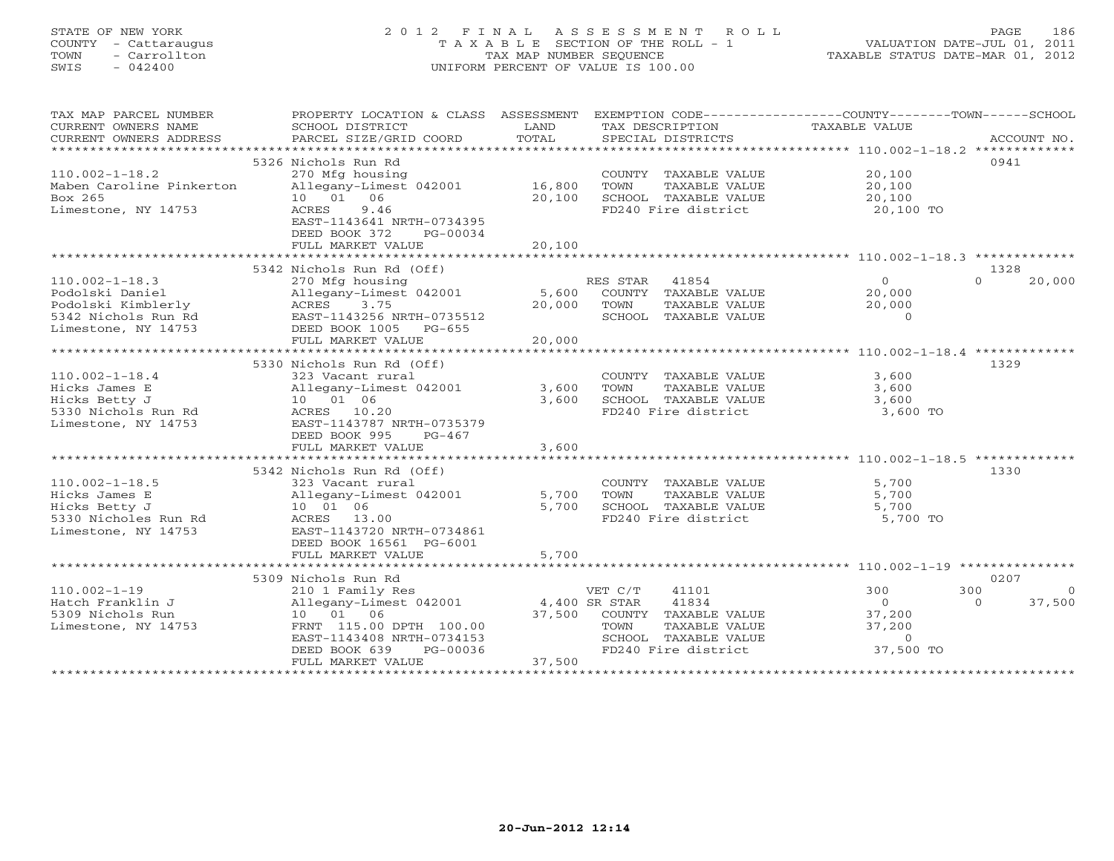# STATE OF NEW YORK 2 0 1 2 F I N A L A S S E S S M E N T R O L L PAGE 186 COUNTY - Cattaraugus T A X A B L E SECTION OF THE ROLL - 1 VALUATION DATE-JUL 01, 2011 TOWN - Carrollton TAX MAP NUMBER SEQUENCE TAXABLE STATUS DATE-MAR 01, 2012 SWIS - 042400 UNIFORM PERCENT OF VALUE IS 100.00UNIFORM PERCENT OF VALUE IS 100.00

| TAX MAP PARCEL NUMBER<br>CURRENT OWNERS NAME<br>CURRENT OWNERS ADDRESS<br>***********************           | PROPERTY LOCATION & CLASS ASSESSMENT<br>SCHOOL DISTRICT<br>PARCEL SIZE/GRID COORD                                                                                                       | LAND<br>TOTAL                     | TAX DESCRIPTION<br>SPECIAL DISTRICTS                                                                                      | EXEMPTION CODE-----------------COUNTY-------TOWN------SCHOOL<br>TAXABLE VALUE  | ACCOUNT NO.                |
|-------------------------------------------------------------------------------------------------------------|-----------------------------------------------------------------------------------------------------------------------------------------------------------------------------------------|-----------------------------------|---------------------------------------------------------------------------------------------------------------------------|--------------------------------------------------------------------------------|----------------------------|
| $110.002 - 1 - 18.2$<br>Maben Caroline Pinkerton<br>Box 265<br>Limestone, NY 14753                          | 5326 Nichols Run Rd<br>270 Mfg housing<br>Allegany-Limest 042001<br>10  01  06<br>9.46<br>ACRES<br>EAST-1143641 NRTH-0734395<br>DEED BOOK 372<br>PG-00034<br>FULL MARKET VALUE          | 16,800<br>20,100<br>20,100        | COUNTY TAXABLE VALUE<br>TAXABLE VALUE<br>TOWN<br>SCHOOL TAXABLE VALUE<br>FD240 Fire district                              | 20,100<br>20,100<br>20,100<br>20,100 TO                                        | 0941                       |
|                                                                                                             | 5342 Nichols Run Rd (Off)                                                                                                                                                               |                                   |                                                                                                                           |                                                                                | 1328                       |
| $110.002 - 1 - 18.3$<br>Podolski Daniel<br>Podolski Kimblerly<br>5342 Nichols Run Rd<br>Limestone, NY 14753 | 270 Mfg housing<br>Allegany-Limest 042001<br>ACRES<br>3.75<br>EAST-1143256 NRTH-0735512<br>DEED BOOK 1005<br>PG-655<br>FULL MARKET VALUE                                                | 5,600<br>20,000<br>20,000         | 41854<br>RES STAR<br>COUNTY TAXABLE VALUE<br>TOWN<br>TAXABLE VALUE<br>SCHOOL TAXABLE VALUE                                | $\overline{0}$<br>20,000<br>20,000<br>$\Omega$                                 | 20,000<br>$\Omega$         |
|                                                                                                             | 5330 Nichols Run Rd (Off)                                                                                                                                                               |                                   |                                                                                                                           |                                                                                | 1329                       |
| $110.002 - 1 - 18.4$<br>Hicks James E<br>Hicks Betty J<br>5330 Nichols Run Rd<br>Limestone, NY 14753        | 323 Vacant rural<br>Allegany-Limest 042001<br>10 01 06<br>ACRES 10.20<br>EAST-1143787 NRTH-0735379<br>DEED BOOK 995<br>$PG-467$<br>FULL MARKET VALUE                                    | 3,600<br>3,600<br>3,600           | COUNTY TAXABLE VALUE<br>TOWN<br>TAXABLE VALUE<br>SCHOOL TAXABLE VALUE<br>FD240 Fire district                              | 3,600<br>3,600<br>3,600<br>3,600 TO                                            |                            |
|                                                                                                             |                                                                                                                                                                                         |                                   |                                                                                                                           |                                                                                |                            |
| $110.002 - 1 - 18.5$<br>Hicks James E<br>Hicks Betty J<br>5330 Nicholes Run Rd<br>Limestone, NY 14753       | 5342 Nichols Run Rd (Off)<br>323 Vacant rural<br>Allegany-Limest 042001<br>10 01 06<br>ACRES 13.00<br>EAST-1143720 NRTH-0734861<br>DEED BOOK 16561 PG-6001<br>FULL MARKET VALUE         | 5,700<br>5,700<br>5,700           | COUNTY TAXABLE VALUE<br>TOWN<br>TAXABLE VALUE<br>SCHOOL TAXABLE VALUE<br>FD240 Fire district                              | 5,700<br>5,700<br>5,700<br>5,700 TO                                            | 1330                       |
|                                                                                                             | *************************                                                                                                                                                               |                                   |                                                                                                                           |                                                                                |                            |
| $110.002 - 1 - 19$<br>Hatch Franklin J<br>5309 Nichols Run<br>Limestone, NY 14753                           | 5309 Nichols Run Rd<br>210 1 Family Res<br>Allegany-Limest 042001<br>10 01 06<br>FRNT 115.00 DPTH 100.00<br>EAST-1143408 NRTH-0734153<br>DEED BOOK 639<br>PG-00036<br>FULL MARKET VALUE | 4,400 SR STAR<br>37,500<br>37,500 | VET C/T<br>41101<br>41834<br>COUNTY TAXABLE VALUE<br>TOWN<br>TAXABLE VALUE<br>SCHOOL TAXABLE VALUE<br>FD240 Fire district | 300<br>300<br>$\Omega$<br>$\Omega$<br>37,200<br>37,200<br>$\circ$<br>37,500 TO | 0207<br>$\Omega$<br>37,500 |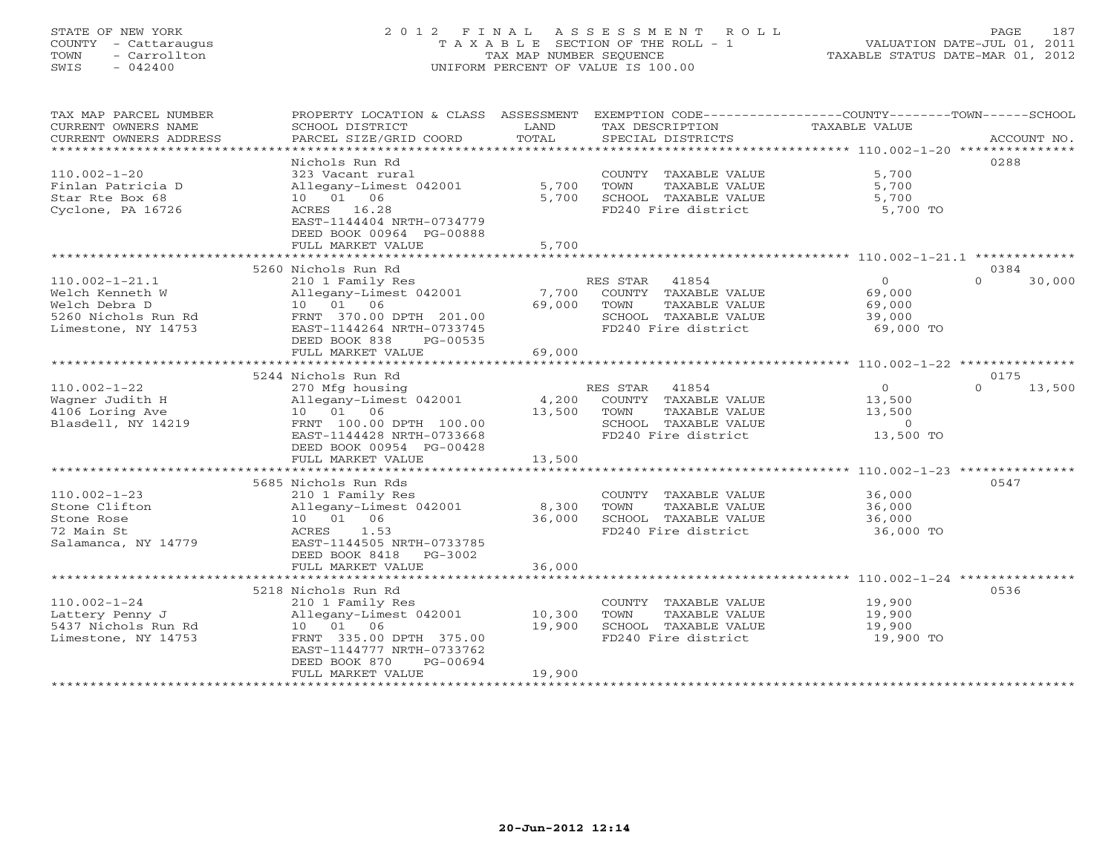# STATE OF NEW YORK 2 0 1 2 F I N A L A S S E S S M E N T R O L L PAGE 187 COUNTY - Cattaraugus T A X A B L E SECTION OF THE ROLL - 1 VALUATION DATE-JUL 01, 2011 TOWN - Carrollton TAX MAP NUMBER SEQUENCE TAXABLE STATUS DATE-MAR 01, 2012 SWIS - 042400 UNIFORM PERCENT OF VALUE IS 100.00UNIFORM PERCENT OF VALUE IS 100.00

| TAX MAP PARCEL NUMBER<br>CURRENT OWNERS NAME<br>CURRENT OWNERS ADDRESS                                 | PROPERTY LOCATION & CLASS ASSESSMENT<br>SCHOOL DISTRICT<br>PARCEL SIZE/GRID COORD                                                                                                       | LAND<br>TOTAL              | EXEMPTION CODE-----------------COUNTY-------TOWN------SCHOOL<br>TAX DESCRIPTION<br>SPECIAL DISTRICTS                    | TAXABLE VALUE                                              | ACCOUNT NO.                |
|--------------------------------------------------------------------------------------------------------|-----------------------------------------------------------------------------------------------------------------------------------------------------------------------------------------|----------------------------|-------------------------------------------------------------------------------------------------------------------------|------------------------------------------------------------|----------------------------|
| $110.002 - 1 - 20$<br>Finlan Patricia D<br>Star Rte Box 68<br>Cyclone, PA 16726                        | Nichols Run Rd<br>323 Vacant rural<br>Allegany-Limest 042001<br>10  01  06<br>ACRES 16.28<br>EAST-1144404 NRTH-0734779<br>DEED BOOK 00964 PG-00888<br>FULL MARKET VALUE                 | 5,700<br>5,700<br>5,700    | COUNTY TAXABLE VALUE<br>TOWN<br>TAXABLE VALUE<br>SCHOOL TAXABLE VALUE<br>FD240 Fire district                            | 5,700<br>5,700<br>5,700<br>5,700 TO                        | 0288                       |
|                                                                                                        | 5260 Nichols Run Rd                                                                                                                                                                     |                            |                                                                                                                         |                                                            | 0384                       |
| $110.002 - 1 - 21.1$<br>Welch Kenneth W<br>Welch Debra D<br>5260 Nichols Run Rd<br>Limestone, NY 14753 | 210 1 Family Res<br>Allegany-Limest 042001<br>10 01 06<br>FRNT 370.00 DPTH 201.00<br>EAST-1144264 NRTH-0733745<br>DEED BOOK 838<br>PG-00535<br>FULL MARKET VALUE                        | 7,700<br>69,000<br>69,000  | RES STAR 41854<br>COUNTY TAXABLE VALUE<br>TOWN<br>TAXABLE VALUE<br>SCHOOL TAXABLE VALUE<br>FD240 Fire district          | $\overline{0}$<br>69,000<br>69,000<br>39,000<br>69,000 TO  | $\Omega$<br>30,000         |
|                                                                                                        |                                                                                                                                                                                         |                            |                                                                                                                         |                                                            |                            |
| $110.002 - 1 - 22$<br>Wagner Judith H<br>4106 Loring Ave<br>Blasdell, NY 14219                         | 5244 Nichols Run Rd<br>270 Mfg housing<br>Allegany-Limest 042001<br>10 01 06<br>FRNT 100.00 DPTH 100.00<br>EAST-1144428 NRTH-0733668<br>DEED BOOK 00954 PG-00428                        | 13,500                     | RES STAR<br>41854<br>4,200 COUNTY TAXABLE VALUE<br>TAXABLE VALUE<br>TOWN<br>SCHOOL TAXABLE VALUE<br>FD240 Fire district | $\overline{0}$<br>13,500<br>13,500<br>$\circ$<br>13,500 TO | 0175<br>13,500<br>$\Omega$ |
|                                                                                                        | FULL MARKET VALUE                                                                                                                                                                       | 13,500                     |                                                                                                                         |                                                            |                            |
| $110.002 - 1 - 23$<br>Stone Clifton<br>Stone Rose<br>72 Main St<br>Salamanca, NY 14779                 | 5685 Nichols Run Rds<br>210 1 Family Res<br>Allegany-Limest 042001<br>10  01  06<br>ACRES<br>1.53<br>EAST-1144505 NRTH-0733785<br>DEED BOOK 8418 PG-3002                                | 8,300<br>36,000            | COUNTY TAXABLE VALUE<br>TOWN<br>TAXABLE VALUE<br>SCHOOL TAXABLE VALUE<br>FD240 Fire district                            | 36,000<br>36,000<br>36,000<br>36,000 TO                    | 0547                       |
|                                                                                                        | FULL MARKET VALUE                                                                                                                                                                       | 36,000                     |                                                                                                                         |                                                            |                            |
| $110.002 - 1 - 24$<br>Lattery Penny J<br>5437 Nichols Run Rd<br>Limestone, NY 14753                    | 5218 Nichols Run Rd<br>210 1 Family Res<br>Allegany-Limest 042001<br>10 01 06<br>FRNT 335.00 DPTH 375.00<br>EAST-1144777 NRTH-0733762<br>DEED BOOK 870<br>PG-00694<br>FULL MARKET VALUE | 10,300<br>19,900<br>19,900 | COUNTY TAXABLE VALUE<br>TAXABLE VALUE<br>TOWN<br>SCHOOL TAXABLE VALUE<br>FD240 Fire district                            | 19,900<br>19,900<br>19,900<br>19,900 TO                    | 0536                       |
|                                                                                                        |                                                                                                                                                                                         |                            |                                                                                                                         |                                                            |                            |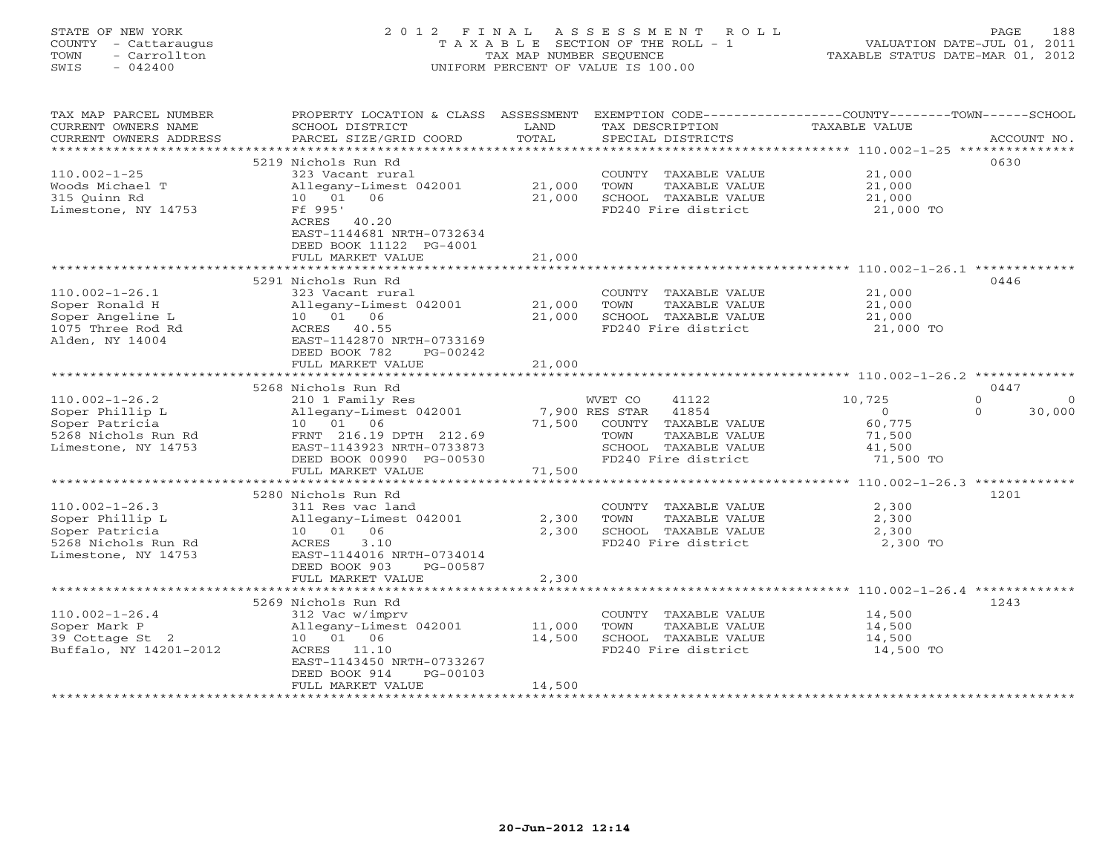# STATE OF NEW YORK 2 0 1 2 F I N A L A S S E S S M E N T R O L L PAGE 188 COUNTY - Cattaraugus T A X A B L E SECTION OF THE ROLL - 1 VALUATION DATE-JUL 01, 2011 TOWN - Carrollton TAX MAP NUMBER SEQUENCE TAXABLE STATUS DATE-MAR 01, 2012 SWIS - 042400 UNIFORM PERCENT OF VALUE IS 100.00UNIFORM PERCENT OF VALUE IS 100.00

| TAX MAP PARCEL NUMBER  | PROPERTY LOCATION & CLASS ASSESSMENT |        | EXEMPTION CODE-----------------COUNTY-------TOWN------SCHOOL |               |                    |
|------------------------|--------------------------------------|--------|--------------------------------------------------------------|---------------|--------------------|
| CURRENT OWNERS NAME    | SCHOOL DISTRICT                      | LAND   | TAX DESCRIPTION                                              | TAXABLE VALUE |                    |
| CURRENT OWNERS ADDRESS | PARCEL SIZE/GRID COORD               | TOTAL  | SPECIAL DISTRICTS                                            |               | ACCOUNT NO.        |
|                        |                                      |        |                                                              |               |                    |
|                        | 5219 Nichols Run Rd                  |        |                                                              |               | 0630               |
| $110.002 - 1 - 25$     | 323 Vacant rural                     |        | COUNTY TAXABLE VALUE                                         | 21,000        |                    |
| Woods Michael T        | Allegany-Limest 042001               | 21,000 | TOWN<br>TAXABLE VALUE                                        | 21,000        |                    |
| 315 Ouinn Rd           | 10 01 06                             | 21,000 | SCHOOL TAXABLE VALUE                                         | 21,000        |                    |
| Limestone, NY 14753    | Ff 995'                              |        | FD240 Fire district                                          | 21,000 TO     |                    |
|                        | ACRES 40.20                          |        |                                                              |               |                    |
|                        | EAST-1144681 NRTH-0732634            |        |                                                              |               |                    |
|                        |                                      |        |                                                              |               |                    |
|                        | DEED BOOK 11122 PG-4001              |        |                                                              |               |                    |
|                        | FULL MARKET VALUE                    | 21,000 |                                                              |               |                    |
|                        |                                      |        |                                                              |               |                    |
|                        | 5291 Nichols Run Rd                  |        |                                                              |               | 0446               |
| $110.002 - 1 - 26.1$   | 323 Vacant rural                     |        | COUNTY TAXABLE VALUE                                         | 21,000        |                    |
| Soper Ronald H         | Allegany-Limest 042001               | 21,000 | TAXABLE VALUE<br>TOWN                                        | 21,000        |                    |
| Soper Angeline L       | 10  01  06                           | 21,000 | SCHOOL TAXABLE VALUE                                         | 21,000        |                    |
| 1075 Three Rod Rd      | ACRES 40.55                          |        | FD240 Fire district                                          | 21,000 TO     |                    |
| Alden, NY 14004        | EAST-1142870 NRTH-0733169            |        |                                                              |               |                    |
|                        | DEED BOOK 782<br>$PG-00242$          |        |                                                              |               |                    |
|                        | FULL MARKET VALUE                    | 21,000 |                                                              |               |                    |
|                        | *******************************      |        |                                                              |               |                    |
|                        | 5268 Nichols Run Rd                  |        |                                                              |               | 0447               |
| $110.002 - 1 - 26.2$   | 210 1 Family Res                     |        | WVET CO<br>41122                                             | 10,725        | $\Omega$           |
| Soper Phillip L        | Allegany-Limest 042001               |        | 7,900 RES STAR<br>41854                                      | $\Omega$      | $\Omega$<br>30,000 |
| Soper Patricia         | 10 01 06                             | 71,500 | COUNTY TAXABLE VALUE                                         | 60,775        |                    |
| 5268 Nichols Run Rd    | FRNT 216.19 DPTH 212.69              |        | TAXABLE VALUE<br>TOWN                                        | 71,500        |                    |
| Limestone, NY 14753    | EAST-1143923 NRTH-0733873            |        | SCHOOL TAXABLE VALUE                                         | 41,500        |                    |
|                        | DEED BOOK 00990 PG-00530             |        | FD240 Fire district                                          | 71,500 TO     |                    |
|                        | FULL MARKET VALUE                    | 71,500 |                                                              |               |                    |
|                        |                                      |        |                                                              |               |                    |
|                        |                                      |        |                                                              |               |                    |
|                        | 5280 Nichols Run Rd                  |        |                                                              |               | 1201               |
| $110.002 - 1 - 26.3$   | 311 Res vac land                     |        | COUNTY TAXABLE VALUE                                         | 2,300         |                    |
| Soper Phillip L        | Allegany-Limest 042001               | 2,300  | TOWN<br>TAXABLE VALUE                                        | 2,300         |                    |
| Soper Patricia         | 10 01 06                             | 2,300  | SCHOOL TAXABLE VALUE                                         | 2,300         |                    |
| 5268 Nichols Run Rd    | 3.10<br>ACRES                        |        | FD240 Fire district                                          | 2,300 TO      |                    |
| Limestone, NY 14753    | EAST-1144016 NRTH-0734014            |        |                                                              |               |                    |
|                        | DEED BOOK 903<br>PG-00587            |        |                                                              |               |                    |
|                        | FULL MARKET VALUE                    | 2,300  |                                                              |               |                    |
|                        | *****************************        |        |                                                              |               |                    |
|                        | 5269 Nichols Run Rd                  |        |                                                              |               | 1243               |
| $110.002 - 1 - 26.4$   | 312 Vac w/imprv                      |        | COUNTY TAXABLE VALUE                                         | 14,500        |                    |
| Soper Mark P           | Allegany-Limest 042001               | 11,000 | TOWN<br>TAXABLE VALUE                                        | 14,500        |                    |
| 39 Cottage St 2        | 10 01 06                             | 14,500 | SCHOOL TAXABLE VALUE                                         | 14,500        |                    |
| Buffalo, NY 14201-2012 | ACRES 11.10                          |        | FD240 Fire district                                          | 14,500 TO     |                    |
|                        | EAST-1143450 NRTH-0733267            |        |                                                              |               |                    |
|                        | DEED BOOK 914<br>PG-00103            |        |                                                              |               |                    |
|                        | FULL MARKET VALUE                    | 14,500 |                                                              |               |                    |
|                        |                                      |        |                                                              |               |                    |
|                        |                                      |        |                                                              |               |                    |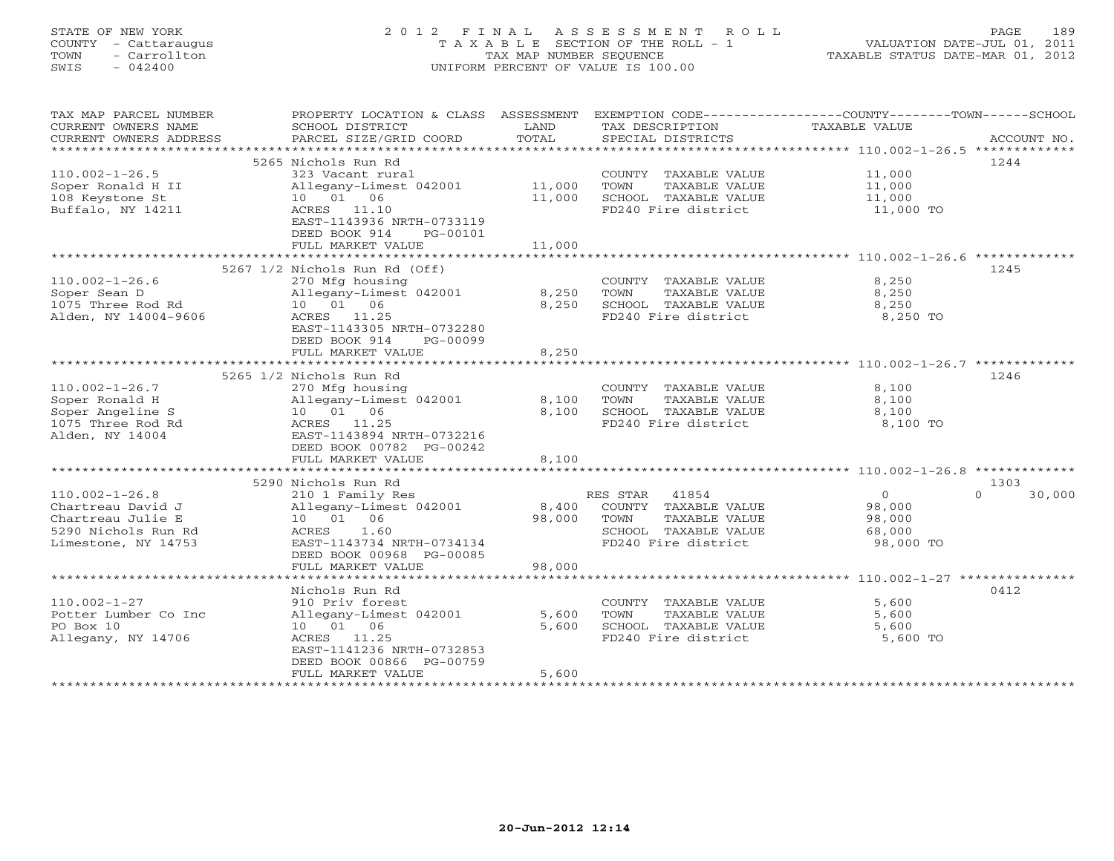# STATE OF NEW YORK 2 0 1 2 F I N A L A S S E S S M E N T R O L L PAGE 189 COUNTY - Cattaraugus T A X A B L E SECTION OF THE ROLL - 1 VALUATION DATE-JUL 01, 2011 TOWN - Carrollton TAX MAP NUMBER SEQUENCE TAXABLE STATUS DATE-MAR 01, 2012 SWIS - 042400 UNIFORM PERCENT OF VALUE IS 100.00UNIFORM PERCENT OF VALUE IS 100.00

| TAX MAP PARCEL NUMBER<br>CURRENT OWNERS NAME<br>CURRENT OWNERS ADDRESS | SCHOOL DISTRICT<br>PARCEL SIZE/GRID COORD | LAND<br>TOTAL | TAX DESCRIPTION<br>SPECIAL DISTRICTS        | PROPERTY LOCATION & CLASS ASSESSMENT EXEMPTION CODE---------------COUNTY-------TOWN------SCHOOL<br>TAXABLE VALUE<br>ACCOUNT NO. |
|------------------------------------------------------------------------|-------------------------------------------|---------------|---------------------------------------------|---------------------------------------------------------------------------------------------------------------------------------|
|                                                                        |                                           |               |                                             |                                                                                                                                 |
|                                                                        | 5265 Nichols Run Rd                       |               |                                             | 1244                                                                                                                            |
| $110.002 - 1 - 26.5$                                                   | 323 Vacant rural                          |               | COUNTY TAXABLE VALUE                        | 11,000                                                                                                                          |
| Soper Ronald H II                                                      | Allegany-Limest 042001 11,000             |               | TOWN<br>TAXABLE VALUE                       | 11,000                                                                                                                          |
| 108 Keystone St                                                        | 10  01  06                                | 11,000        | SCHOOL TAXABLE VALUE                        | 11,000                                                                                                                          |
| Buffalo, NY 14211                                                      | ACRES 11.10                               |               | FD240 Fire district                         | 11,000 TO                                                                                                                       |
|                                                                        | EAST-1143936 NRTH-0733119                 |               |                                             |                                                                                                                                 |
|                                                                        | DEED BOOK 914<br>PG-00101                 |               |                                             |                                                                                                                                 |
|                                                                        | FULL MARKET VALUE                         | 11,000        |                                             |                                                                                                                                 |
|                                                                        | 5267 1/2 Nichols Run Rd (Off)             |               |                                             | 1245                                                                                                                            |
| $110.002 - 1 - 26.6$                                                   | 270 Mfg housing                           |               | COUNTY TAXABLE VALUE                        | 8,250                                                                                                                           |
| Soper Sean D                                                           | Allegany-Limest 042001                    | 8,250         | TOWN<br>TAXABLE VALUE                       | 8,250                                                                                                                           |
| 1075 Three Rod Rd                                                      | 10  01  06                                | 8,250         | SCHOOL TAXABLE VALUE                        | 8,250                                                                                                                           |
| Alden, NY 14004-9606                                                   | ACRES 11.25                               |               | FD240 Fire district                         | 8,250 TO                                                                                                                        |
|                                                                        | EAST-1143305 NRTH-0732280                 |               |                                             |                                                                                                                                 |
|                                                                        | DEED BOOK 914<br>PG-00099                 |               |                                             |                                                                                                                                 |
|                                                                        | FULL MARKET VALUE                         | 8,250         |                                             |                                                                                                                                 |
|                                                                        |                                           | ************* |                                             | ************************************110.002-1-26.7 **************                                                               |
|                                                                        | 5265 1/2 Nichols Run Rd                   |               |                                             | 1246                                                                                                                            |
| $110.002 - 1 - 26.7$                                                   | 270 Mfg housing                           |               | COUNTY TAXABLE VALUE                        | 8,100                                                                                                                           |
| Soper Ronald H                                                         | Allegany-Limest 042001                    | 8,100         | TOWN<br>TAXABLE VALUE                       | 8,100                                                                                                                           |
| Soper Angeline S                                                       | 10 01 06                                  | 8,100         | SCHOOL TAXABLE VALUE                        | 8,100                                                                                                                           |
| 1075 Three Rod Rd                                                      | ACRES 11.25                               |               | FD240 Fire district                         | 8,100 TO                                                                                                                        |
| Alden, NY 14004                                                        | EAST-1143894 NRTH-0732216                 |               |                                             |                                                                                                                                 |
|                                                                        | DEED BOOK 00782 PG-00242                  |               |                                             |                                                                                                                                 |
|                                                                        | FULL MARKET VALUE                         | 8,100         |                                             |                                                                                                                                 |
|                                                                        |                                           |               |                                             |                                                                                                                                 |
|                                                                        | 5290 Nichols Run Rd                       |               |                                             | 1303                                                                                                                            |
| $110.002 - 1 - 26.8$                                                   | 210 1 Family Res                          |               | RES STAR 41854                              | $\overline{0}$<br>30,000<br>$\cap$                                                                                              |
| Chartreau David J                                                      | Allegany-Limest 042001                    | 8,400         | COUNTY TAXABLE VALUE                        | 98,000                                                                                                                          |
| Chartreau Julie E                                                      | 10  01  06                                | 98,000        | TOWN<br>TAXABLE VALUE                       | 98,000                                                                                                                          |
| 5290 Nichols Run Rd                                                    | ACRES 1.60                                |               | SCHOOL TAXABLE VALUE                        | 68,000                                                                                                                          |
| Limestone, NY 14753                                                    | EAST-1143734 NRTH-0734134                 |               | FD240 Fire district                         | 98,000 TO                                                                                                                       |
|                                                                        | DEED BOOK 00968 PG-00085                  |               |                                             |                                                                                                                                 |
|                                                                        | FULL MARKET VALUE                         | 98,000        |                                             |                                                                                                                                 |
|                                                                        |                                           |               |                                             |                                                                                                                                 |
|                                                                        | Nichols Run Rd                            |               |                                             | 0412                                                                                                                            |
| $110.002 - 1 - 27$                                                     | 910 Priv forest                           |               | COUNTY TAXABLE VALUE                        | 5,600                                                                                                                           |
| Potter Lumber Co Inc                                                   | Allegany-Limest 042001                    | 5,600         | TOWN<br>TAXABLE VALUE                       | 5,600                                                                                                                           |
| PO Box 10                                                              | 10  01  06                                | 5,600         | SCHOOL TAXABLE VALUE<br>FD240 Fire district | 5,600<br>5,600 TO                                                                                                               |
| Allegany, NY 14706                                                     | ACRES 11.25<br>EAST-1141236 NRTH-0732853  |               |                                             |                                                                                                                                 |
|                                                                        | DEED BOOK 00866 PG-00759                  |               |                                             |                                                                                                                                 |
|                                                                        | FULL MARKET VALUE                         | 5,600         |                                             |                                                                                                                                 |
|                                                                        |                                           |               |                                             |                                                                                                                                 |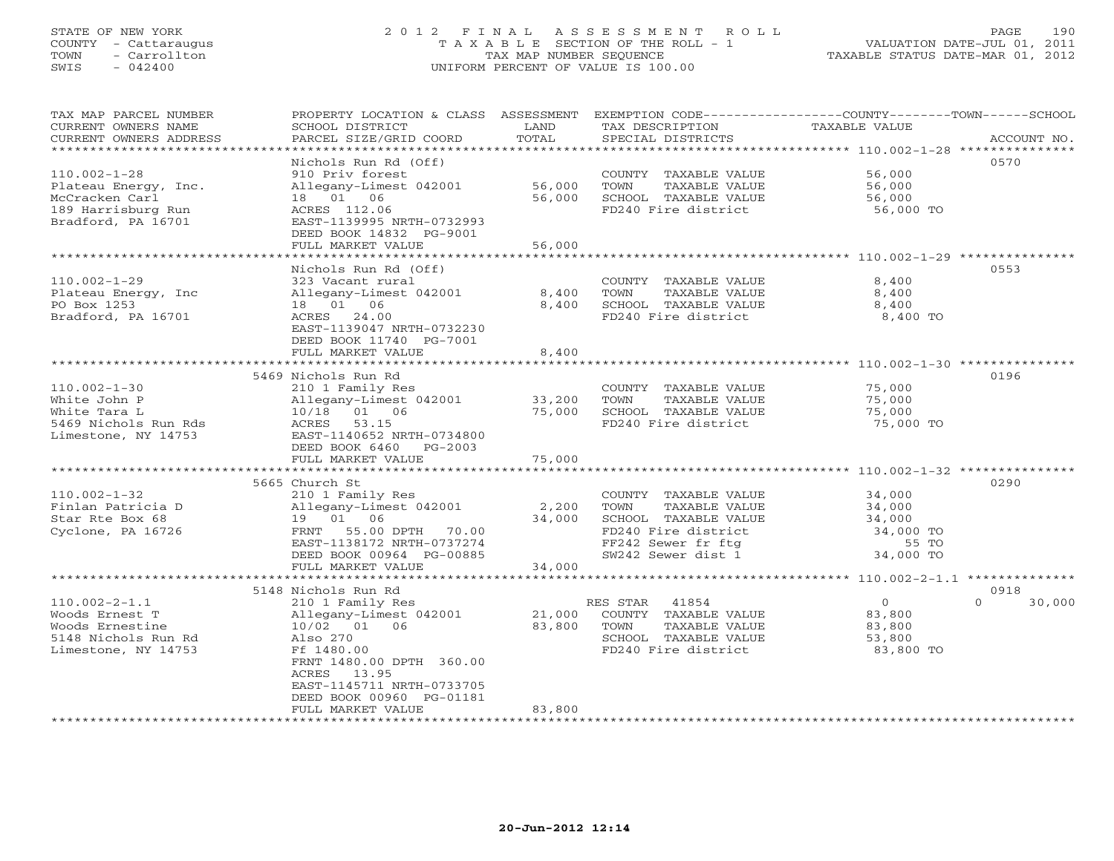# STATE OF NEW YORK 2 0 1 2 F I N A L A S S E S S M E N T R O L L PAGE 190 COUNTY - Cattaraugus T A X A B L E SECTION OF THE ROLL - 1 VALUATION DATE-JUL 01, 2011 TOWN - Carrollton TAX MAP NUMBER SEQUENCE TAXABLE STATUS DATE-MAR 01, 2012 SWIS - 042400 UNIFORM PERCENT OF VALUE IS 100.00UNIFORM PERCENT OF VALUE IS 100.00

| TAX MAP PARCEL NUMBER<br>CURRENT OWNERS NAME<br>CURRENT OWNERS ADDRESS | PROPERTY LOCATION & CLASS ASSESSMENT<br>SCHOOL DISTRICT<br>PARCEL SIZE/GRID COORD  | LAND<br>TOTAL  | EXEMPTION CODE-----------------COUNTY-------TOWN------SCHOOL<br>TAX DESCRIPTION<br>SPECIAL DISTRICTS | TAXABLE VALUE                              | ACCOUNT NO.        |
|------------------------------------------------------------------------|------------------------------------------------------------------------------------|----------------|------------------------------------------------------------------------------------------------------|--------------------------------------------|--------------------|
| ************************                                               |                                                                                    |                |                                                                                                      |                                            |                    |
| $110.002 - 1 - 28$<br>Plateau Energy, Inc.                             | Nichols Run Rd (Off)<br>910 Priv forest<br>Allegany-Limest 042001                  | 56,000         | COUNTY TAXABLE VALUE<br>TOWN<br>TAXABLE VALUE                                                        | 56,000<br>56,000                           | 0570               |
| McCracken Carl<br>189 Harrisburg Run<br>Bradford, PA 16701             | 18  01  06<br>ACRES 112.06<br>EAST-1139995 NRTH-0732993<br>DEED BOOK 14832 PG-9001 | 56,000         | SCHOOL TAXABLE VALUE<br>FD240 Fire district                                                          | 56,000<br>56,000 TO                        |                    |
|                                                                        | FULL MARKET VALUE                                                                  | 56,000         |                                                                                                      |                                            |                    |
|                                                                        |                                                                                    |                |                                                                                                      |                                            |                    |
|                                                                        | Nichols Run Rd (Off)                                                               |                |                                                                                                      |                                            | 0553               |
| $110.002 - 1 - 29$                                                     | 323 Vacant rural                                                                   |                | COUNTY TAXABLE VALUE                                                                                 | 8,400                                      |                    |
| Plateau Energy, Inc                                                    | Allegany-Limest 042001                                                             | 8,400          | TOWN<br>TAXABLE VALUE                                                                                | 8,400                                      |                    |
| PO Box 1253                                                            | 18  01  06                                                                         | 8,400          | SCHOOL TAXABLE VALUE                                                                                 | 8,400                                      |                    |
| Bradford, PA 16701                                                     | ACRES 24.00<br>EAST-1139047 NRTH-0732230<br>DEED BOOK 11740 PG-7001                |                | FD240 Fire district                                                                                  | 8,400 TO                                   |                    |
|                                                                        | FULL MARKET VALUE                                                                  | 8,400          |                                                                                                      |                                            |                    |
|                                                                        | **********************************                                                 | ************** |                                                                                                      |                                            |                    |
|                                                                        | 5469 Nichols Run Rd                                                                |                |                                                                                                      |                                            | 0196               |
| $110.002 - 1 - 30$                                                     | 210 1 Family Res                                                                   |                | COUNTY TAXABLE VALUE                                                                                 | 75,000                                     |                    |
| White John P                                                           | Allegany-Limest 042001                                                             | 33,200         | TOWN<br>TAXABLE VALUE                                                                                | 75,000                                     |                    |
| White Tara L                                                           | 10/18 01 06                                                                        | 75,000         | SCHOOL TAXABLE VALUE                                                                                 | 75,000                                     |                    |
| 5469 Nichols Run Rds                                                   | ACRES<br>53.15                                                                     |                | FD240 Fire district                                                                                  | 75,000 TO                                  |                    |
| Limestone, NY 14753                                                    | EAST-1140652 NRTH-0734800                                                          |                |                                                                                                      |                                            |                    |
|                                                                        | DEED BOOK 6460<br>PG-2003                                                          |                |                                                                                                      |                                            |                    |
|                                                                        | FULL MARKET VALUE                                                                  | 75,000         |                                                                                                      |                                            |                    |
|                                                                        |                                                                                    |                |                                                                                                      |                                            |                    |
|                                                                        | 5665 Church St                                                                     |                |                                                                                                      |                                            | 0290               |
| $110.002 - 1 - 32$                                                     | 210 1 Family Res                                                                   |                | COUNTY TAXABLE VALUE                                                                                 | 34,000                                     |                    |
| Finlan Patricia D                                                      | Allegany-Limest 042001                                                             | 2,200          | TOWN<br>TAXABLE VALUE                                                                                | 34,000                                     |                    |
| Star Rte Box 68                                                        | 19 01 06                                                                           | 34,000         | SCHOOL TAXABLE VALUE                                                                                 | 34,000                                     |                    |
| Cyclone, PA 16726                                                      | 55.00 DPTH<br>FRNT<br>70.00                                                        |                | FD240 Fire district                                                                                  | 34,000 TO                                  |                    |
|                                                                        | EAST-1138172 NRTH-0737274                                                          |                | FF242 Sewer fr ftg                                                                                   | 55 TO                                      |                    |
|                                                                        | DEED BOOK 00964 PG-00885                                                           |                | SW242 Sewer dist 1                                                                                   | 34,000 TO                                  |                    |
|                                                                        | FULL MARKET VALUE<br>*****************                                             | 34,000         |                                                                                                      | ************ 110.002-2-1.1 *************** |                    |
|                                                                        | 5148 Nichols Run Rd                                                                |                |                                                                                                      |                                            | 0918               |
| $110.002 - 2 - 1.1$                                                    | 210 1 Family Res                                                                   |                | RES STAR<br>41854                                                                                    | $\circ$                                    | $\Omega$<br>30,000 |
| Woods Ernest T                                                         | Allegany-Limest 042001                                                             | 21,000         | COUNTY TAXABLE VALUE                                                                                 | 83,800                                     |                    |
| Woods Ernestine                                                        | 10/02 01 06                                                                        | 83,800         | TOWN<br>TAXABLE VALUE                                                                                | 83,800                                     |                    |
| 5148 Nichols Run Rd                                                    | Also 270                                                                           |                | SCHOOL TAXABLE VALUE                                                                                 | 53,800                                     |                    |
| Limestone, NY 14753                                                    | Ff 1480.00                                                                         |                | FD240 Fire district                                                                                  | 83,800 TO                                  |                    |
|                                                                        | FRNT 1480.00 DPTH 360.00                                                           |                |                                                                                                      |                                            |                    |
|                                                                        | ACRES 13.95                                                                        |                |                                                                                                      |                                            |                    |
|                                                                        | EAST-1145711 NRTH-0733705                                                          |                |                                                                                                      |                                            |                    |
|                                                                        | DEED BOOK 00960 PG-01181                                                           |                |                                                                                                      |                                            |                    |
|                                                                        | FULL MARKET VALUE                                                                  | 83,800         |                                                                                                      |                                            |                    |
|                                                                        |                                                                                    |                |                                                                                                      |                                            |                    |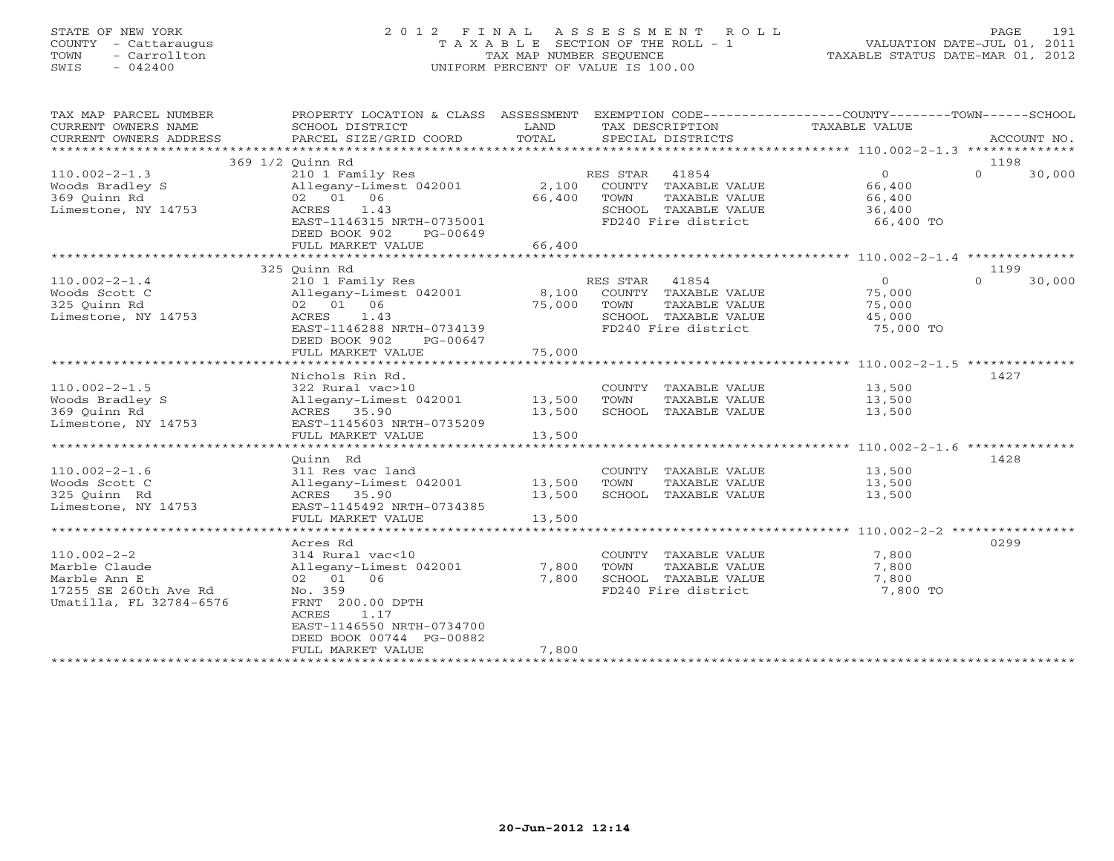### STATE OF NEW YORK 2 0 1 2 F I N A L A S S E S S M E N T R O L L PAGE 191 COUNTY - Cattaraugus T A X A B L E SECTION OF THE ROLL - 1 VALUATION DATE-JUL 01, 2011 TOWN - Carrollton TAX MAP NUMBER SEQUENCE TAXABLE STATUS DATE-MAR 01, 2012 SWIS - 042400 UNIFORM PERCENT OF VALUE IS 100.00UNIFORM PERCENT OF VALUE IS 100.00

| TAX MAP PARCEL NUMBER<br>CURRENT OWNERS NAME<br>CURRENT OWNERS ADDRESS | PROPERTY LOCATION & CLASS ASSESSMENT<br>SCHOOL DISTRICT<br>PARCEL SIZE/GRID COORD | LAND<br>TOTAL | TAX DESCRIPTION<br>SPECIAL DISTRICTS | EXEMPTION CODE-----------------COUNTY-------TOWN------SCHOOL<br>TAXABLE VALUE | ACCOUNT NO.        |
|------------------------------------------------------------------------|-----------------------------------------------------------------------------------|---------------|--------------------------------------|-------------------------------------------------------------------------------|--------------------|
|                                                                        |                                                                                   |               |                                      |                                                                               |                    |
|                                                                        | 369 1/2 Ouinn Rd                                                                  |               |                                      |                                                                               | 1198               |
| $110.002 - 2 - 1.3$                                                    | 210 1 Family Res                                                                  |               | RES STAR<br>41854                    | $\overline{0}$                                                                | $\Omega$<br>30,000 |
| Woods Bradley S                                                        | Allegany-Limest 042001 2,100                                                      |               | COUNTY TAXABLE VALUE                 | 66,400                                                                        |                    |
| 369 Quinn Rd                                                           | 02 01 06                                                                          | 66,400        | TOWN<br>TAXABLE VALUE                | 66,400                                                                        |                    |
| Limestone, NY 14753                                                    | 1.43<br>ACRES                                                                     |               | SCHOOL TAXABLE VALUE                 | 36,400                                                                        |                    |
|                                                                        | $2.2$<br>EAST-1146315 NRTH-0735001                                                |               | FD240 Fire district                  | 66,400 TO                                                                     |                    |
|                                                                        | DEED BOOK 902<br>PG-00649                                                         |               |                                      |                                                                               |                    |
|                                                                        | FULL MARKET VALUE                                                                 | 66,400        |                                      |                                                                               |                    |
|                                                                        |                                                                                   |               |                                      |                                                                               |                    |
|                                                                        | 325 Ouinn Rd                                                                      |               |                                      |                                                                               | 1199               |
| $110.002 - 2 - 1.4$                                                    | 210 1 Family Res                                                                  |               | RES STAR<br>41854                    | $\Omega$                                                                      | $\Omega$<br>30,000 |
| Woods Scott C                                                          | Allegany-Limest 042001 8,100                                                      |               | COUNTY TAXABLE VALUE                 | 75,000                                                                        |                    |
| 325 Ouinn Rd                                                           | 02 01 06                                                                          | 75,000        | TOWN<br>TAXABLE VALUE                | 75,000                                                                        |                    |
| Limestone, NY 14753                                                    | ACRES<br>1.43                                                                     |               | SCHOOL TAXABLE VALUE                 | 45,000                                                                        |                    |
|                                                                        | EAST-1146288 NRTH-0734139                                                         |               | FD240 Fire district                  | 75,000 TO                                                                     |                    |
|                                                                        | DEED BOOK 902<br>PG-00647                                                         |               |                                      |                                                                               |                    |
|                                                                        | FULL MARKET VALUE                                                                 | 75,000        |                                      |                                                                               |                    |
|                                                                        | Nichols Rin Rd.                                                                   |               |                                      |                                                                               | 1427               |
| $110.002 - 2 - 1.5$                                                    | 322 Rural vac>10                                                                  |               | COUNTY TAXABLE VALUE                 | 13,500                                                                        |                    |
| Woods Bradley S                                                        | Allegany-Limest 042001 13,500                                                     |               | TOWN<br>TAXABLE VALUE                | 13,500                                                                        |                    |
| 369 Ouinn Rd                                                           | ACRES 35.90                                                                       | 13,500        | SCHOOL TAXABLE VALUE                 | 13,500                                                                        |                    |
| Limestone, NY 14753                                                    | EAST-1145603 NRTH-0735209                                                         |               |                                      |                                                                               |                    |
|                                                                        | FULL MARKET VALUE                                                                 | 13,500        |                                      |                                                                               |                    |
|                                                                        |                                                                                   |               |                                      |                                                                               |                    |
|                                                                        | Quinn Rd                                                                          |               |                                      |                                                                               | 1428               |
| $110.002 - 2 - 1.6$                                                    | 311 Res vac land                                                                  |               | COUNTY TAXABLE VALUE                 | 13,500                                                                        |                    |
| Woods Scott C                                                          | Allegany-Limest 042001                                                            | 13,500        | TOWN<br>TAXABLE VALUE                | 13,500                                                                        |                    |
| 325 Quinn Rd                                                           | ACRES 35.90                                                                       | 13,500        | SCHOOL TAXABLE VALUE                 | 13,500                                                                        |                    |
| Limestone, NY 14753                                                    | EAST-1145492 NRTH-0734385                                                         |               |                                      |                                                                               |                    |
|                                                                        | FULL MARKET VALUE                                                                 | 13,500        |                                      |                                                                               |                    |
|                                                                        |                                                                                   |               |                                      |                                                                               |                    |
|                                                                        | Acres Rd                                                                          |               |                                      |                                                                               | 0299               |
| $110.002 - 2 - 2$                                                      | 314 Rural vac<10                                                                  |               | COUNTY TAXABLE VALUE                 | 7,800                                                                         |                    |
| Marble Claude                                                          | Allegany-Limest 042001                                                            | 7,800         | TOWN<br>TAXABLE VALUE                | 7,800                                                                         |                    |
| Marble Ann E                                                           | 02 01 06                                                                          | 7,800         | SCHOOL TAXABLE VALUE                 | 7,800                                                                         |                    |
| 17255 SE 260th Ave Rd                                                  | No. 359                                                                           |               | FD240 Fire district                  | 7,800 TO                                                                      |                    |
| Umatilla, FL 32784-6576                                                | FRNT 200.00 DPTH                                                                  |               |                                      |                                                                               |                    |
|                                                                        | ACRES<br>1.17                                                                     |               |                                      |                                                                               |                    |
|                                                                        | EAST-1146550 NRTH-0734700                                                         |               |                                      |                                                                               |                    |
|                                                                        | DEED BOOK 00744 PG-00882                                                          |               |                                      |                                                                               |                    |
|                                                                        | FULL MARKET VALUE                                                                 | 7,800         |                                      |                                                                               |                    |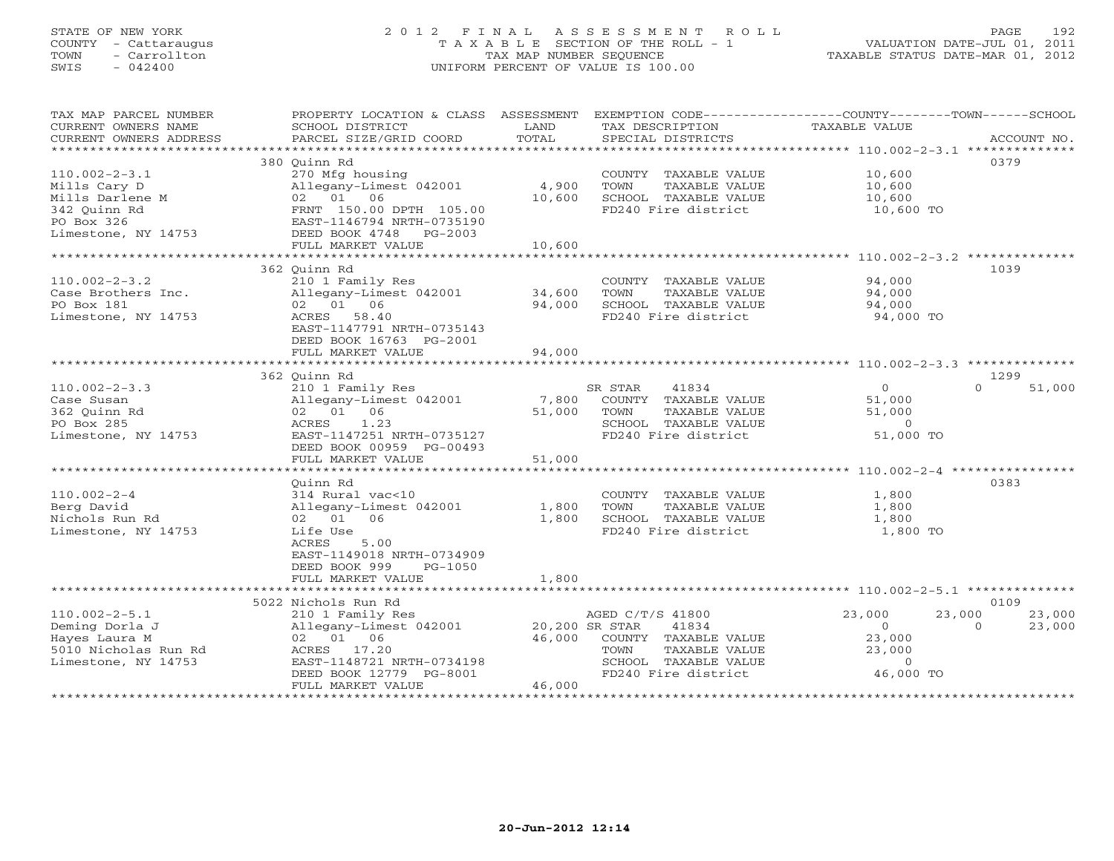# STATE OF NEW YORK 2 0 1 2 F I N A L A S S E S S M E N T R O L L PAGE 192 COUNTY - Cattaraugus T A X A B L E SECTION OF THE ROLL - 1 VALUATION DATE-JUL 01, 2011 TOWN - Carrollton TAX MAP NUMBER SEQUENCE TAXABLE STATUS DATE-MAR 01, 2012 SWIS - 042400 UNIFORM PERCENT OF VALUE IS 100.00UNIFORM PERCENT OF VALUE IS 100.00

| TAX MAP PARCEL NUMBER                                                                                                                                                                                                                                                                                                                                                                                                                                                                                                  | PROPERTY LOCATION & CLASS ASSESSMENT EXEMPTION CODE----------------COUNTY-------TOWN------SCHOOL                     |        |                                                         |                |                    |
|------------------------------------------------------------------------------------------------------------------------------------------------------------------------------------------------------------------------------------------------------------------------------------------------------------------------------------------------------------------------------------------------------------------------------------------------------------------------------------------------------------------------|----------------------------------------------------------------------------------------------------------------------|--------|---------------------------------------------------------|----------------|--------------------|
| CURRENT OWNERS NAME                                                                                                                                                                                                                                                                                                                                                                                                                                                                                                    | SCHOOL DISTRICT                                                                                                      | LAND   | TAX DESCRIPTION                                         | TAXABLE VALUE  |                    |
| $\begin{minipage}{.45\textwidth} \begin{minipage}{.45\textwidth} \begin{minipage}{.45\textwidth} \begin{minipage}{.45\textwidth} \begin{minipage}{.45\textwidth} \begin{minipage}{.45\textwidth} \begin{minipage}{.45\textwidth} \begin{minipage}{.45\textwidth} \begin{minipage}{.45\textwidth} \begin{minipage}{.45\textwidth} \begin{minipage}{.45\textwidth} \begin{minipage}{.45\textwidth} \begin{minipage}{.45\textwidth} \begin{minipage}{.45\textwidth} \begin{minipage}{.45\textwidth} \begin{minipage}{.45$ |                                                                                                                      |        |                                                         |                |                    |
|                                                                                                                                                                                                                                                                                                                                                                                                                                                                                                                        |                                                                                                                      |        |                                                         |                |                    |
|                                                                                                                                                                                                                                                                                                                                                                                                                                                                                                                        | 380 Ouinn Rd                                                                                                         |        |                                                         |                | 0379               |
| $110.002 - 2 - 3.1$                                                                                                                                                                                                                                                                                                                                                                                                                                                                                                    | 270 Mfg housing                                                                                                      |        | COUNTY TAXABLE VALUE                                    | 10,600         |                    |
| Mills Cary D                                                                                                                                                                                                                                                                                                                                                                                                                                                                                                           | Allegany-Limest 042001                                                                                               | 4,900  | TOWN<br>TAXABLE VALUE                                   | 10,600         |                    |
| Mills Darlene M                                                                                                                                                                                                                                                                                                                                                                                                                                                                                                        |                                                                                                                      | 10,600 | SCHOOL TAXABLE VALUE                                    | 10,600         |                    |
| 342 Quinn Rd                                                                                                                                                                                                                                                                                                                                                                                                                                                                                                           | Allegany-Limest 042001<br>02 01 06<br>FRNT 150.00 DPTH 105.00<br>EAST-1146794 NRTH-0735190<br>DEED BOOK 4748 PC-0000 |        | FD240 Fire district                                     | 10,600 TO      |                    |
| PO Box 326                                                                                                                                                                                                                                                                                                                                                                                                                                                                                                             |                                                                                                                      |        |                                                         |                |                    |
| Limestone, NY 14753                                                                                                                                                                                                                                                                                                                                                                                                                                                                                                    | FULL MARKET VALUE                                                                                                    | 10,600 |                                                         |                |                    |
|                                                                                                                                                                                                                                                                                                                                                                                                                                                                                                                        |                                                                                                                      |        |                                                         |                |                    |
|                                                                                                                                                                                                                                                                                                                                                                                                                                                                                                                        | 362 Ouinn Rd                                                                                                         |        |                                                         |                | 1039               |
| $110.002 - 2 - 3.2$                                                                                                                                                                                                                                                                                                                                                                                                                                                                                                    | 210 1 Family Res                                                                                                     |        | COUNTY TAXABLE VALUE                                    | 94,000         |                    |
| Case Brothers Inc.                                                                                                                                                                                                                                                                                                                                                                                                                                                                                                     | Allegany-Limest 042001 34,600                                                                                        |        | TOWN<br>TAXABLE VALUE                                   | 94,000         |                    |
| PO Box 181                                                                                                                                                                                                                                                                                                                                                                                                                                                                                                             | 02 01 06                                                                                                             | 94,000 | SCHOOL TAXABLE VALUE                                    | 94,000         |                    |
| Limestone, NY 14753                                                                                                                                                                                                                                                                                                                                                                                                                                                                                                    | ACRES 58.40                                                                                                          |        | FD240 Fire district                                     | 94,000 TO      |                    |
|                                                                                                                                                                                                                                                                                                                                                                                                                                                                                                                        | EAST-1147791 NRTH-0735143                                                                                            |        |                                                         |                |                    |
|                                                                                                                                                                                                                                                                                                                                                                                                                                                                                                                        | DEED BOOK 16763 PG-2001                                                                                              |        |                                                         |                |                    |
|                                                                                                                                                                                                                                                                                                                                                                                                                                                                                                                        |                                                                                                                      |        |                                                         |                |                    |
|                                                                                                                                                                                                                                                                                                                                                                                                                                                                                                                        |                                                                                                                      |        |                                                         |                |                    |
|                                                                                                                                                                                                                                                                                                                                                                                                                                                                                                                        | 362 Quinn Rd                                                                                                         |        |                                                         |                | 1299               |
| $110.002 - 2 - 3.3$                                                                                                                                                                                                                                                                                                                                                                                                                                                                                                    | 210 1 Family Res                                                                                                     |        | SR STAR<br>41834                                        | $\overline{0}$ | $\Omega$<br>51,000 |
| Case Susan                                                                                                                                                                                                                                                                                                                                                                                                                                                                                                             |                                                                                                                      |        |                                                         | 51,000         |                    |
| 362 Ouinn Rd                                                                                                                                                                                                                                                                                                                                                                                                                                                                                                           | Allegany-Limest 042001 7,800 COUNTY TAXABLE VALUE<br>02 01 06 51,000 TOWN TAXABLE VALUE                              |        |                                                         | 51,000         |                    |
| PO Box 285                                                                                                                                                                                                                                                                                                                                                                                                                                                                                                             | ACRES 1.23                                                                                                           |        |                                                         |                |                    |
| Limestone, NY 14753                                                                                                                                                                                                                                                                                                                                                                                                                                                                                                    | EAST-1147251 NRTH-0735127                                                                                            |        | SCHOOL TAXABLE VALUE 0<br>FD240 Fire district 51,000 TO |                |                    |
|                                                                                                                                                                                                                                                                                                                                                                                                                                                                                                                        | DEED BOOK 00959 PG-00493                                                                                             |        |                                                         |                |                    |
|                                                                                                                                                                                                                                                                                                                                                                                                                                                                                                                        | FULL MARKET VALUE                                                                                                    | 51,000 |                                                         |                |                    |
|                                                                                                                                                                                                                                                                                                                                                                                                                                                                                                                        |                                                                                                                      |        |                                                         |                |                    |
|                                                                                                                                                                                                                                                                                                                                                                                                                                                                                                                        | Ouinn Rd                                                                                                             |        |                                                         |                | 0383               |
| $110.002 - 2 - 4$                                                                                                                                                                                                                                                                                                                                                                                                                                                                                                      | 314 Rural vac<10                                                                                                     |        | COUNTY TAXABLE VALUE                                    | 1,800          |                    |
| Berg David                                                                                                                                                                                                                                                                                                                                                                                                                                                                                                             | Allegany-Limest 042001                                                                                               | 1,800  | TOWN<br>TAXABLE VALUE                                   | 1,800          |                    |
| Nichols Run Rd                                                                                                                                                                                                                                                                                                                                                                                                                                                                                                         | 02 01 06                                                                                                             | 1,800  | SCHOOL TAXABLE VALUE                                    | 1,800          |                    |
| Limestone, NY 14753                                                                                                                                                                                                                                                                                                                                                                                                                                                                                                    | Life Use                                                                                                             |        | FD240 Fire district                                     | 1,800 TO       |                    |
|                                                                                                                                                                                                                                                                                                                                                                                                                                                                                                                        | ACRES 5.00                                                                                                           |        |                                                         |                |                    |
|                                                                                                                                                                                                                                                                                                                                                                                                                                                                                                                        | EAST-1149018 NRTH-0734909                                                                                            |        |                                                         |                |                    |
|                                                                                                                                                                                                                                                                                                                                                                                                                                                                                                                        | DEED BOOK 999<br>PG-1050                                                                                             |        |                                                         |                |                    |
|                                                                                                                                                                                                                                                                                                                                                                                                                                                                                                                        | FULL MARKET VALUE                                                                                                    | 1,800  |                                                         |                |                    |
|                                                                                                                                                                                                                                                                                                                                                                                                                                                                                                                        |                                                                                                                      |        |                                                         |                |                    |
|                                                                                                                                                                                                                                                                                                                                                                                                                                                                                                                        | 5022 Nichols Run Rd                                                                                                  |        |                                                         |                | 0109               |
| $110.002 - 2 - 5.1$                                                                                                                                                                                                                                                                                                                                                                                                                                                                                                    | 210 1 Family Res AGED C/T<br>Allegany-Limest 042001 20,200 SR STAR                                                   |        | AGED C/T/S 41800                                        | 23,000         | 23,000<br>23,000   |
| Deming Dorla J                                                                                                                                                                                                                                                                                                                                                                                                                                                                                                         |                                                                                                                      |        | 41834                                                   | $\overline{0}$ | $\Omega$<br>23,000 |
| Hayes Laura M                                                                                                                                                                                                                                                                                                                                                                                                                                                                                                          | 02 01 06                                                                                                             |        | 46,000 COUNTY TAXABLE VALUE                             | 23,000         |                    |
| 5010 Nicholas Run Rd                                                                                                                                                                                                                                                                                                                                                                                                                                                                                                   | ACRES 17.20                                                                                                          |        | TOWN<br>TAXABLE VALUE                                   | 23,000         |                    |
| Limestone, NY 14753                                                                                                                                                                                                                                                                                                                                                                                                                                                                                                    | EAST-1148721 NRTH-0734198                                                                                            |        | SCHOOL TAXABLE VALUE 0<br>FD240 Fire district 46,000 TO |                |                    |
|                                                                                                                                                                                                                                                                                                                                                                                                                                                                                                                        | DEED BOOK 12779 PG-8001                                                                                              |        |                                                         |                |                    |
|                                                                                                                                                                                                                                                                                                                                                                                                                                                                                                                        | FULL MARKET VALUE                                                                                                    | 46,000 |                                                         |                |                    |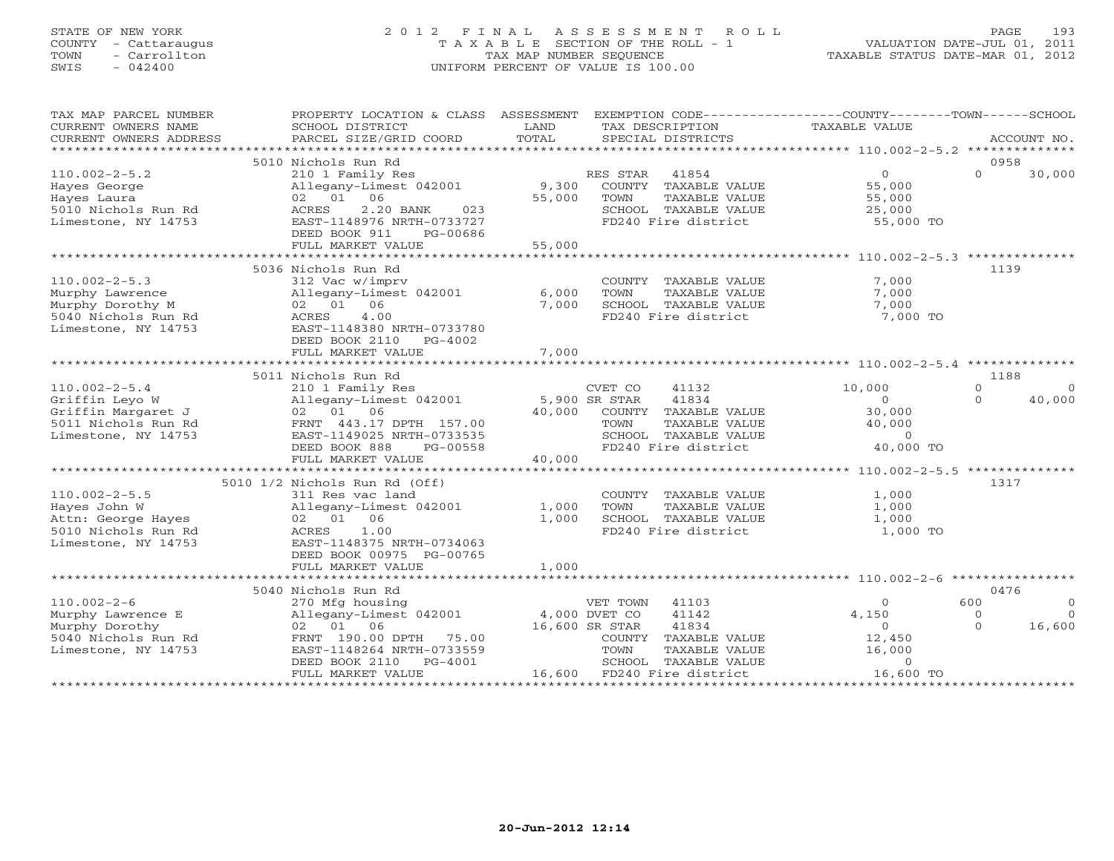# STATE OF NEW YORK 2 0 1 2 F I N A L A S S E S S M E N T R O L L PAGE 193 COUNTY - Cattaraugus T A X A B L E SECTION OF THE ROLL - 1 VALUATION DATE-JUL 01, 2011 TOWN - Carrollton TAX MAP NUMBER SEQUENCE TAXABLE STATUS DATE-MAR 01, 2012 SWIS - 042400 UNIFORM PERCENT OF VALUE IS 100.00

| TAX MAP PARCEL NUMBER<br>CURRENT OWNERS NAME<br>CURRENT OWNERS ADDRESS | PROPERTY LOCATION & CLASS ASSESSMENT EXEMPTION CODE---------------COUNTY-------TOWN------SCHOOL<br>SCHOOL DISTRICT<br>PARCEL SIZE/GRID COORD | LAND<br>TOTAL   | TAX DESCRIPTION<br>SPECIAL DISTRICTS                                  | TAXABLE VALUE              | ACCOUNT NO.                |
|------------------------------------------------------------------------|----------------------------------------------------------------------------------------------------------------------------------------------|-----------------|-----------------------------------------------------------------------|----------------------------|----------------------------|
|                                                                        |                                                                                                                                              |                 |                                                                       |                            |                            |
| $110.002 - 2 - 5.2$                                                    | 5010 Nichols Run Rd<br>210 1 Family Res                                                                                                      |                 | RES STAR<br>41854                                                     | $\Omega$                   | 0958<br>$\Omega$<br>30,000 |
| Hayes George<br>Hayes Laura<br>5010 Nichols Run Rd                     | Allegany-Limest 042001<br>02 01 06<br>2.20 BANK<br>ACRES<br>023                                                                              | 9,300<br>55,000 | COUNTY TAXABLE VALUE<br>TOWN<br>TAXABLE VALUE<br>SCHOOL TAXABLE VALUE | 55,000<br>55,000<br>25,000 |                            |
| Limestone, NY 14753                                                    | EAST-1148976 NRTH-0733727<br>DEED BOOK 911<br>PG-00686                                                                                       |                 | FD240 Fire district                                                   | 55,000 TO                  |                            |
|                                                                        | FULL MARKET VALUE                                                                                                                            | 55,000          |                                                                       |                            |                            |
|                                                                        |                                                                                                                                              |                 |                                                                       |                            |                            |
|                                                                        | 5036 Nichols Run Rd                                                                                                                          |                 |                                                                       |                            | 1139                       |
| $110.002 - 2 - 5.3$                                                    | 312 Vac w/imprv                                                                                                                              |                 | COUNTY TAXABLE VALUE                                                  | 7,000                      |                            |
| Murphy Lawrence                                                        | Allegany-Limest 042001                                                                                                                       | 6,000           | TOWN<br>TAXABLE VALUE                                                 | 7,000                      |                            |
| Murphy Dorothy M                                                       | 02 01 06                                                                                                                                     | 7,000           | SCHOOL TAXABLE VALUE                                                  | 7,000                      |                            |
| 5040 Nichols Run Rd<br>Limestone, NY 14753                             | 4.00<br>ACRES<br>EAST-1148380 NRTH-0733780<br>DEED BOOK 2110<br>$PG-4002$                                                                    |                 | FD240 Fire district                                                   | 7,000 TO                   |                            |
|                                                                        | FULL MARKET VALUE                                                                                                                            | 7,000           |                                                                       |                            |                            |
|                                                                        | 5011 Nichols Run Rd                                                                                                                          |                 |                                                                       |                            | 1188                       |
| $110.002 - 2 - 5.4$                                                    | 210 1 Family Res                                                                                                                             |                 | CVET CO<br>41132                                                      | 10,000                     | $\Omega$<br>$\Omega$       |
| Griffin Leyo W                                                         | Allegany-Limest 042001                                                                                                                       | 5,900 SR STAR   | 41834                                                                 | $\circ$                    | 40,000<br>$\Omega$         |
| Griffin Margaret J                                                     | 02 01 06                                                                                                                                     | 40,000          | COUNTY TAXABLE VALUE                                                  | 30,000                     |                            |
| 5011 Nichols Run Rd                                                    | FRNT 443.17 DPTH 157.00                                                                                                                      |                 | TOWN<br>TAXABLE VALUE                                                 | 40,000                     |                            |
| Limestone, NY 14753                                                    | EAST-1149025 NRTH-0733535                                                                                                                    |                 | SCHOOL TAXABLE VALUE                                                  | $\Omega$                   |                            |
|                                                                        | DEED BOOK 888<br>PG-00558                                                                                                                    |                 | FD240 Fire district                                                   | 40,000 TO                  |                            |
|                                                                        | FULL MARKET VALUE                                                                                                                            | 40,000          |                                                                       |                            |                            |
|                                                                        |                                                                                                                                              |                 |                                                                       |                            |                            |
|                                                                        | 5010 1/2 Nichols Run Rd (Off)                                                                                                                |                 |                                                                       |                            | 1317                       |
| $110.002 - 2 - 5.5$                                                    | 311 Res vac land                                                                                                                             |                 | COUNTY TAXABLE VALUE                                                  | 1,000                      |                            |
| Hayes John W                                                           | Allegany-Limest 042001                                                                                                                       | 1,000           | TAXABLE VALUE<br>TOWN                                                 | 1,000                      |                            |
| Attn: George Hayes                                                     | 02 01 06                                                                                                                                     | 1,000           | SCHOOL TAXABLE VALUE                                                  | 1,000                      |                            |
| 5010 Nichols Run Rd                                                    | 1.00<br>ACRES                                                                                                                                |                 | FD240 Fire district                                                   | 1,000 TO                   |                            |
| Limestone, NY 14753                                                    | EAST-1148375 NRTH-0734063                                                                                                                    |                 |                                                                       |                            |                            |
|                                                                        | DEED BOOK 00975 PG-00765                                                                                                                     |                 |                                                                       |                            |                            |
|                                                                        | FULL MARKET VALUE                                                                                                                            | 1,000           |                                                                       |                            |                            |
|                                                                        | 5040 Nichols Run Rd                                                                                                                          |                 |                                                                       |                            | 0476                       |
| $110.002 - 2 - 6$                                                      | 270 Mfg housing                                                                                                                              |                 | VET TOWN<br>41103                                                     | $\mathbf{0}$               | 600<br>$\circ$             |
| Murphy Lawrence E                                                      | Allegany-Limest 042001                                                                                                                       | 4,000 DVET CO   | 41142                                                                 | 4,150                      | $\Omega$<br>$\Omega$       |
| Murphy Dorothy                                                         | 02 01 06                                                                                                                                     |                 | 16,600 SR STAR<br>41834                                               | $\circ$                    | $\Omega$<br>16,600         |
| 5040 Nichols Run Rd                                                    | FRNT 190.00 DPTH 75.00                                                                                                                       |                 | COUNTY TAXABLE VALUE                                                  | 12,450                     |                            |
| Limestone, NY 14753                                                    | EAST-1148264 NRTH-0733559                                                                                                                    |                 | TOWN<br>TAXABLE VALUE                                                 | 16,000                     |                            |
|                                                                        | $PG-4001$<br>DEED BOOK 2110                                                                                                                  |                 | SCHOOL TAXABLE VALUE                                                  | $\circ$                    |                            |
|                                                                        | FULL MARKET VALUE                                                                                                                            |                 | 16,600 FD240 Fire district                                            | 16,600 TO                  |                            |
|                                                                        |                                                                                                                                              |                 |                                                                       |                            |                            |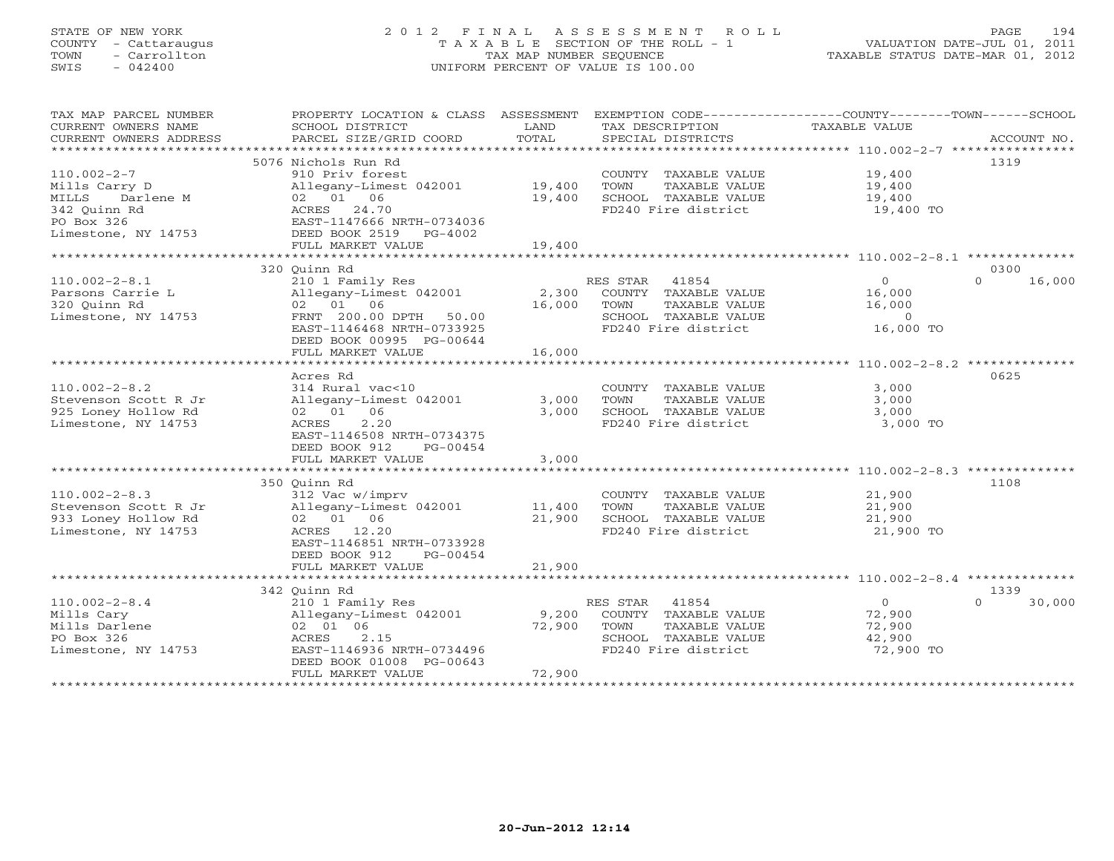# STATE OF NEW YORK 2 0 1 2 F I N A L A S S E S S M E N T R O L L PAGE 194 COUNTY - Cattaraugus T A X A B L E SECTION OF THE ROLL - 1 VALUATION DATE-JUL 01, 2011 TOWN - Carrollton TAX MAP NUMBER SEQUENCE TAXABLE STATUS DATE-MAR 01, 2012 SWIS - 042400 UNIFORM PERCENT OF VALUE IS 100.00UNIFORM PERCENT OF VALUE IS 100.00

| TAX MAP PARCEL NUMBER<br>CURRENT OWNERS NAME<br>CURRENT OWNERS ADDRESS | PROPERTY LOCATION & CLASS ASSESSMENT<br>SCHOOL DISTRICT<br>PARCEL SIZE/GRID COORD | LAND<br>TOTAL | TAX DESCRIPTION<br>SPECIAL DISTRICTS        | EXEMPTION CODE-----------------COUNTY-------TOWN------SCHOOL<br>TAXABLE VALUE | ACCOUNT NO.      |
|------------------------------------------------------------------------|-----------------------------------------------------------------------------------|---------------|---------------------------------------------|-------------------------------------------------------------------------------|------------------|
|                                                                        |                                                                                   |               |                                             |                                                                               |                  |
|                                                                        | 5076 Nichols Run Rd                                                               |               |                                             |                                                                               | 1319             |
| $110.002 - 2 - 7$                                                      | 910 Priv forest                                                                   |               | COUNTY TAXABLE VALUE                        | 19,400                                                                        |                  |
| Mills Carry D                                                          | Allegany-Limest 042001 19,400                                                     |               | TOWN<br>TAXABLE VALUE                       | 19,400                                                                        |                  |
| Darlene M<br>MILLS                                                     | 02 01 06                                                                          | 19,400        | SCHOOL TAXABLE VALUE                        | 19,400                                                                        |                  |
| 342 Ouinn Rd                                                           | ACRES 24.70                                                                       |               | FD240 Fire district                         | 19,400 TO                                                                     |                  |
| PO Box 326                                                             | EAST-1147666 NRTH-0734036                                                         |               |                                             |                                                                               |                  |
| Limestone, NY 14753                                                    | DEED BOOK 2519 PG-4002                                                            |               |                                             |                                                                               |                  |
|                                                                        | FULL MARKET VALUE                                                                 | 19,400        |                                             |                                                                               |                  |
|                                                                        |                                                                                   |               |                                             |                                                                               |                  |
|                                                                        | 320 Ouinn Rd                                                                      |               |                                             |                                                                               | 0300             |
| $110.002 - 2 - 8.1$                                                    | 210 1 Family Res                                                                  |               | RES STAR 41854                              | $\overline{0}$                                                                | 16,000<br>$\cap$ |
| Parsons Carrie L                                                       | Allegany-Limest 042001                                                            |               | 2,300 COUNTY TAXABLE VALUE                  | 16,000                                                                        |                  |
| 320 Ouinn Rd                                                           | 02 01 06                                                                          | 16,000        | TAXABLE VALUE<br>TOWN                       | 16,000                                                                        |                  |
| Limestone, NY 14753                                                    | FRNT 200.00 DPTH 50.00                                                            |               | SCHOOL TAXABLE VALUE<br>FD240 Fire district | $\overline{0}$<br>16,000 TO                                                   |                  |
|                                                                        | EAST-1146468 NRTH-0733925                                                         |               |                                             |                                                                               |                  |
|                                                                        | DEED BOOK 00995 PG-00644<br>FULL MARKET VALUE                                     | 16,000        |                                             |                                                                               |                  |
|                                                                        | *************************                                                         | ************  |                                             |                                                                               |                  |
|                                                                        | Acres Rd                                                                          |               |                                             |                                                                               | 0625             |
| $110.002 - 2 - 8.2$                                                    | 314 Rural vac<10                                                                  |               | COUNTY TAXABLE VALUE                        | 3,000                                                                         |                  |
| Stevenson Scott R Jr                                                   | Allegany-Limest 042001                                                            | 3,000         | TOWN<br>TAXABLE VALUE                       | 3,000                                                                         |                  |
| 925 Loney Hollow Rd                                                    | 02 01 06                                                                          | 3,000         | SCHOOL TAXABLE VALUE                        | 3,000                                                                         |                  |
| Limestone, NY 14753                                                    | 2.20<br>ACRES                                                                     |               | FD240 Fire district                         | 3,000 TO                                                                      |                  |
|                                                                        | EAST-1146508 NRTH-0734375                                                         |               |                                             |                                                                               |                  |
|                                                                        | DEED BOOK 912<br>PG-00454                                                         |               |                                             |                                                                               |                  |
|                                                                        | FULL MARKET VALUE                                                                 | 3,000         |                                             |                                                                               |                  |
|                                                                        |                                                                                   |               |                                             |                                                                               |                  |
|                                                                        | 350 Ouinn Rd                                                                      |               |                                             |                                                                               | 1108             |
| $110.002 - 2 - 8.3$                                                    | 312 Vac w/imprv                                                                   |               | COUNTY TAXABLE VALUE                        | 21,900                                                                        |                  |
| Stevenson Scott R Jr                                                   | Allegany-Limest 042001 11,400                                                     |               | TOWN<br>TAXABLE VALUE                       | 21,900                                                                        |                  |
| 933 Loney Hollow Rd                                                    | 02 01 06                                                                          | 21,900        | SCHOOL TAXABLE VALUE<br>FD240 Fire district | 21,900                                                                        |                  |
| Limestone, NY 14753                                                    | ACRES 12.20                                                                       |               |                                             | 21,900 TO                                                                     |                  |
|                                                                        | EAST-1146851 NRTH-0733928                                                         |               |                                             |                                                                               |                  |
|                                                                        | DEED BOOK 912<br>PG-00454                                                         |               |                                             |                                                                               |                  |
|                                                                        | FULL MARKET VALUE                                                                 | 21,900        |                                             |                                                                               |                  |
|                                                                        | 342 Quinn Rd                                                                      |               |                                             |                                                                               | 1339             |
| $110.002 - 2 - 8.4$                                                    | 210 1 Family Res                                                                  |               | RES STAR 41854                              | $\overline{0}$                                                                | $\cap$<br>30,000 |
| Mills Cary                                                             | Allegany-Limest 042001                                                            | 9,200         | COUNTY TAXABLE VALUE                        | 72,900                                                                        |                  |
| Mills Darlene                                                          | 02 01 06                                                                          | 72,900        | TOWN<br>TAXABLE VALUE                       | 72,900                                                                        |                  |
| PO Box 326                                                             | 2.15<br>ACRES                                                                     |               | SCHOOL TAXABLE VALUE                        | 42,900                                                                        |                  |
| Limestone, NY 14753                                                    | EAST-1146936 NRTH-0734496                                                         |               | FD240 Fire district                         | 72,900 TO                                                                     |                  |
|                                                                        | DEED BOOK 01008 PG-00643                                                          |               |                                             |                                                                               |                  |
|                                                                        | FULL MARKET VALUE                                                                 | 72,900        |                                             |                                                                               |                  |
|                                                                        |                                                                                   |               |                                             |                                                                               |                  |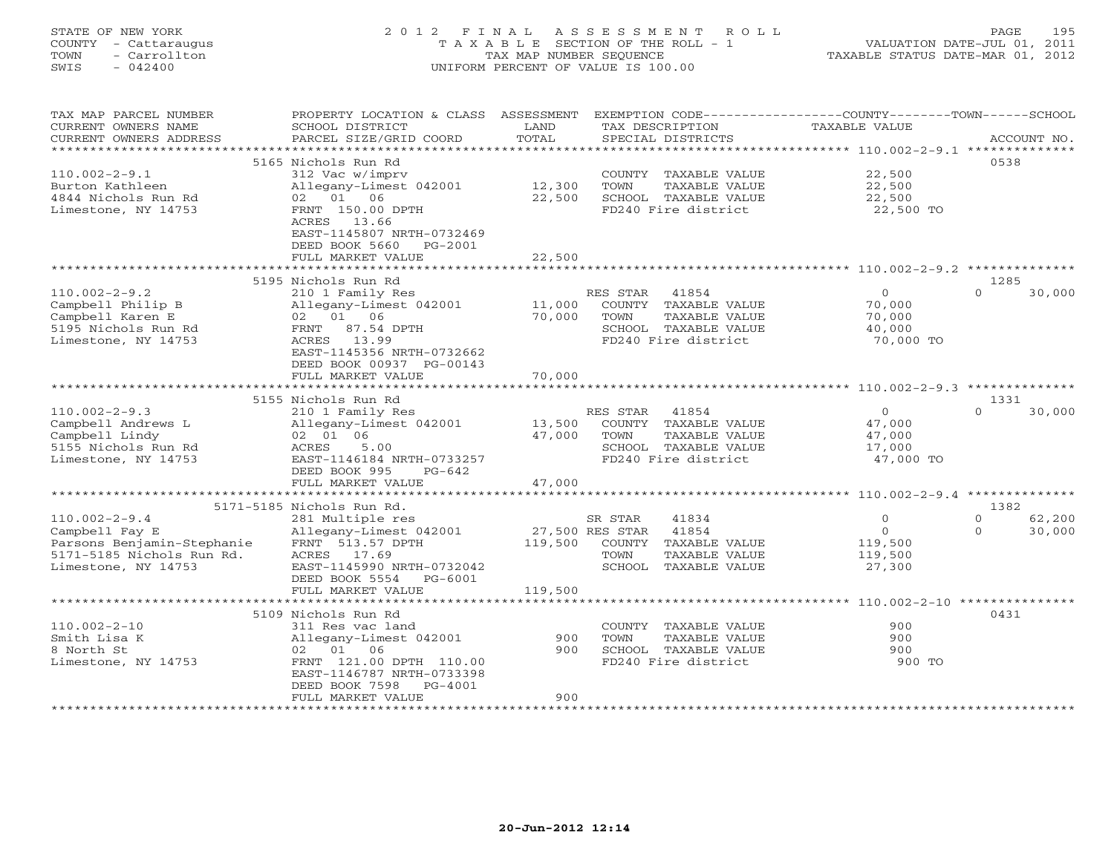# STATE OF NEW YORK 2 0 1 2 F I N A L A S S E S S M E N T R O L L PAGE 195 COUNTY - Cattaraugus T A X A B L E SECTION OF THE ROLL - 1 VALUATION DATE-JUL 01, 2011 TOWN - Carrollton TAX MAP NUMBER SEQUENCE TAXABLE STATUS DATE-MAR 01, 2012 SWIS - 042400 UNIFORM PERCENT OF VALUE IS 100.00UNIFORM PERCENT OF VALUE IS 100.00

| TAX MAP PARCEL NUMBER<br>CURRENT OWNERS NAME<br>CURRENT OWNERS ADDRESS                                     | PROPERTY LOCATION & CLASS ASSESSMENT<br>SCHOOL DISTRICT<br>PARCEL SIZE/GRID COORD                                                                 | LAND<br>TOTAL              | EXEMPTION CODE-----------------COUNTY-------TOWN------SCHOOL<br>TAX DESCRIPTION<br>SPECIAL DISTRICTS           | TAXABLE VALUE                                             | ACCOUNT NO.                |
|------------------------------------------------------------------------------------------------------------|---------------------------------------------------------------------------------------------------------------------------------------------------|----------------------------|----------------------------------------------------------------------------------------------------------------|-----------------------------------------------------------|----------------------------|
| **********************                                                                                     |                                                                                                                                                   |                            |                                                                                                                |                                                           |                            |
| $110.002 - 2 - 9.1$<br>Burton Kathleen                                                                     | 5165 Nichols Run Rd<br>312 Vac w/imprv<br>Allegany-Limest 042001                                                                                  | 12,300                     | COUNTY TAXABLE VALUE<br>TOWN<br>TAXABLE VALUE                                                                  | 22,500<br>22,500                                          | 0538                       |
| 4844 Nichols Run Rd<br>Limestone, NY 14753                                                                 | 02 01 06<br>FRNT 150.00 DPTH<br>ACRES 13.66<br>EAST-1145807 NRTH-0732469<br>DEED BOOK 5660<br>PG-2001                                             | 22,500<br>22,500           | SCHOOL TAXABLE VALUE<br>FD240 Fire district                                                                    | 22,500<br>22,500 TO                                       |                            |
|                                                                                                            | FULL MARKET VALUE                                                                                                                                 |                            |                                                                                                                |                                                           |                            |
|                                                                                                            | 5195 Nichols Run Rd                                                                                                                               |                            |                                                                                                                |                                                           | 1285                       |
| $110.002 - 2 - 9.2$<br>Campbell Philip B<br>Campbell Karen E<br>5195 Nichols Run Rd<br>Limestone, NY 14753 | 210 1 Family Res<br>Allegany-Limest 042001<br>02 01 06<br>FRNT 87.54 DPTH<br>ACRES 13.99<br>EAST-1145356 NRTH-0732662<br>DEED BOOK 00937 PG-00143 | 11,000<br>70,000           | RES STAR 41854<br>COUNTY TAXABLE VALUE<br>TOWN<br>TAXABLE VALUE<br>SCHOOL TAXABLE VALUE<br>FD240 Fire district | $\overline{O}$<br>70,000<br>70,000<br>40,000<br>70,000 TO | $\Omega$<br>30,000         |
|                                                                                                            | FULL MARKET VALUE                                                                                                                                 | 70,000                     |                                                                                                                |                                                           |                            |
|                                                                                                            |                                                                                                                                                   |                            |                                                                                                                |                                                           |                            |
|                                                                                                            | 5155 Nichols Run Rd                                                                                                                               |                            |                                                                                                                |                                                           | 1331                       |
| $110.002 - 2 - 9.3$<br>Campbell Andrews L<br>Campbell Lindy<br>5155 Nichols Run Rd<br>Limestone, NY 14753  | 210 1 Family Res<br>Allegany-Limest 042001<br>02 01 06<br>ACRES<br>5.00<br>EAST-1146184 NRTH-0733257<br>DEED BOOK 995<br>PG-642                   | 13,500<br>47,000           | RES STAR 41854<br>COUNTY TAXABLE VALUE<br>TOWN<br>TAXABLE VALUE<br>SCHOOL TAXABLE VALUE<br>FD240 Fire district | $\circ$<br>47,000<br>47,000<br>17,000<br>47,000 TO        | $\Omega$<br>30,000         |
|                                                                                                            | FULL MARKET VALUE                                                                                                                                 | 47,000                     |                                                                                                                |                                                           |                            |
|                                                                                                            |                                                                                                                                                   |                            |                                                                                                                |                                                           |                            |
| $110.002 - 2 - 9.4$                                                                                        | 5171-5185 Nichols Run Rd.<br>281 Multiple res                                                                                                     |                            | SR STAR<br>41834                                                                                               | $\Omega$                                                  | 1382<br>$\Omega$<br>62,200 |
| Campbell Fay E<br>Parsons Benjamin-Stephanie<br>5171-5185 Nichols Run Rd.<br>Limestone, NY 14753           | Allegany-Limest 042001<br>FRNT 513.57 DPTH<br>ACRES 17.69<br>EAST-1145990 NRTH-0732042<br>DEED BOOK 5554<br>PG-6001                               | 27,500 RES STAR<br>119,500 | 41854<br>COUNTY TAXABLE VALUE<br>TOWN<br>TAXABLE VALUE<br>SCHOOL TAXABLE VALUE                                 | $\circ$<br>119,500<br>119,500<br>27,300                   | $\mathbf{0}$<br>30,000     |
|                                                                                                            | FULL MARKET VALUE<br>*************************                                                                                                    | 119,500                    |                                                                                                                |                                                           |                            |
|                                                                                                            | 5109 Nichols Run Rd                                                                                                                               |                            |                                                                                                                |                                                           | 0431                       |
| $110.002 - 2 - 10$<br>Smith Lisa K<br>8 North St<br>Limestone, NY 14753                                    | 311 Res vac land<br>Allegany-Limest 042001<br>02 01 06<br>FRNT 121.00 DPTH 110.00<br>EAST-1146787 NRTH-0733398<br>DEED BOOK 7598<br>PG-4001       | 900<br>900                 | COUNTY TAXABLE VALUE<br>TOWN<br>TAXABLE VALUE<br>SCHOOL TAXABLE VALUE<br>FD240 Fire district                   | 900<br>900<br>900<br>900 TO                               |                            |
|                                                                                                            | FULL MARKET VALUE                                                                                                                                 | 900                        |                                                                                                                |                                                           |                            |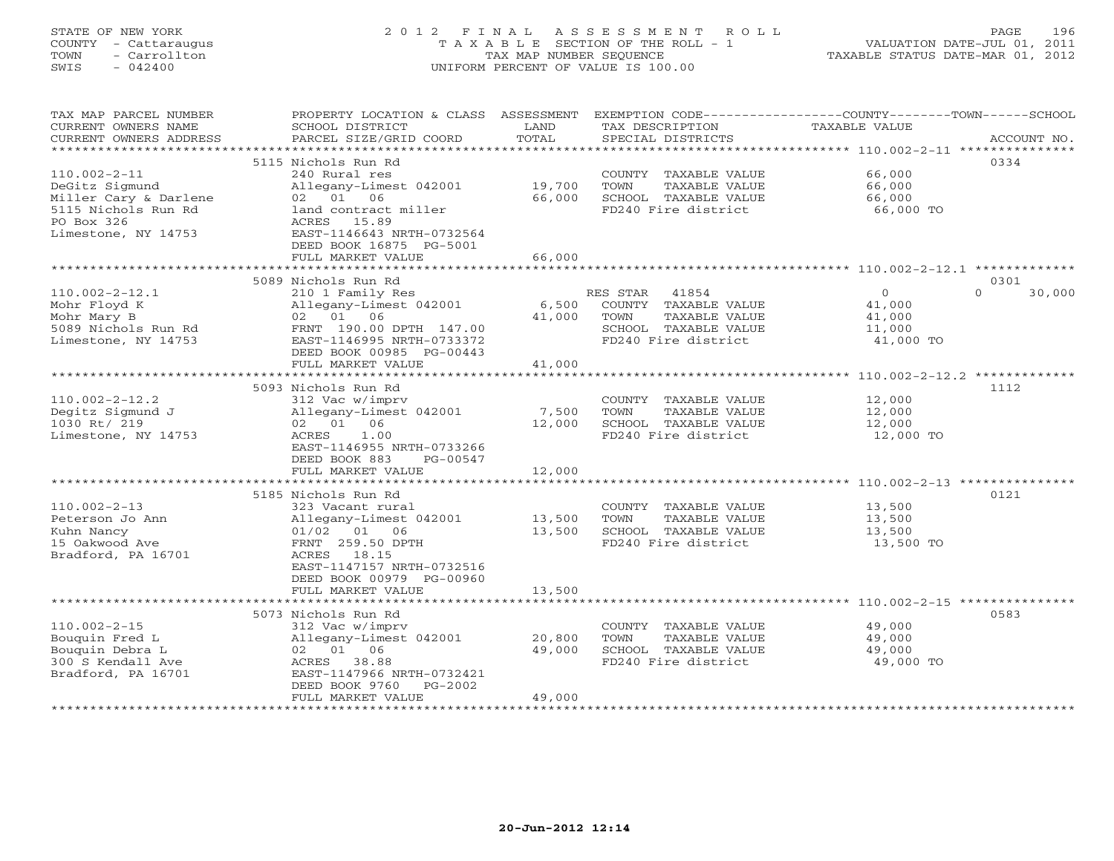# STATE OF NEW YORK 2 0 1 2 F I N A L A S S E S S M E N T R O L L PAGE 196 COUNTY - Cattaraugus T A X A B L E SECTION OF THE ROLL - 1 VALUATION DATE-JUL 01, 2011 TOWN - Carrollton TAX MAP NUMBER SEQUENCE TAXABLE STATUS DATE-MAR 01, 2012 SWIS - 042400 UNIFORM PERCENT OF VALUE IS 100.00UNIFORM PERCENT OF VALUE IS 100.00

| TAX MAP PARCEL NUMBER<br>CURRENT OWNERS NAME<br>CURRENT OWNERS ADDRESS                             | PROPERTY LOCATION & CLASS<br>SCHOOL DISTRICT<br>PARCEL SIZE/GRID COORD                                                                                      | ASSESSMENT<br>LAND<br>TOTAL | EXEMPTION CODE-----------------COUNTY-------TOWN------SCHOOL<br>TAX DESCRIPTION<br>SPECIAL DISTRICTS              | TAXABLE VALUE                                          | ACCOUNT NO.        |
|----------------------------------------------------------------------------------------------------|-------------------------------------------------------------------------------------------------------------------------------------------------------------|-----------------------------|-------------------------------------------------------------------------------------------------------------------|--------------------------------------------------------|--------------------|
| *************************                                                                          |                                                                                                                                                             |                             |                                                                                                                   |                                                        |                    |
| $110.002 - 2 - 11$<br>DeGitz Sigmund<br>Miller Cary & Darlene<br>5115 Nichols Run Rd               | 5115 Nichols Run Rd<br>240 Rural res<br>Allegany-Limest 042001<br>02 01<br>06<br>land contract miller                                                       | 19,700<br>66,000            | COUNTY TAXABLE VALUE<br>TOWN<br>TAXABLE VALUE<br>SCHOOL TAXABLE VALUE<br>FD240 Fire district                      | 66,000<br>66,000<br>66,000<br>66,000 TO                | 0334               |
| PO Box 326<br>Limestone, NY 14753                                                                  | 15.89<br>ACRES<br>EAST-1146643 NRTH-0732564<br>DEED BOOK 16875 PG-5001<br>FULL MARKET VALUE                                                                 | 66,000                      |                                                                                                                   |                                                        |                    |
|                                                                                                    |                                                                                                                                                             |                             |                                                                                                                   |                                                        |                    |
|                                                                                                    | 5089 Nichols Run Rd                                                                                                                                         |                             |                                                                                                                   |                                                        | 0301               |
| $110.002 - 2 - 12.1$<br>Mohr Floyd K<br>Mohr Mary B<br>5089 Nichols Run Rd<br>Limestone, NY 14753  | 210 1 Family Res<br>Allegany-Limest 042001<br>02 01<br>06<br>FRNT 190.00 DPTH 147.00<br>EAST-1146995 NRTH-0733372<br>DEED BOOK 00985 PG-00443               | 6,500<br>41,000             | RES STAR<br>41854<br>COUNTY TAXABLE VALUE<br>TOWN<br>TAXABLE VALUE<br>SCHOOL TAXABLE VALUE<br>FD240 Fire district | $\circ$<br>41,000<br>41,000<br>11,000<br>41,000 TO     | $\Omega$<br>30,000 |
|                                                                                                    | FULL MARKET VALUE                                                                                                                                           | 41,000                      |                                                                                                                   |                                                        |                    |
|                                                                                                    | ***************************                                                                                                                                 |                             |                                                                                                                   |                                                        |                    |
| $110.002 - 2 - 12.2$<br>Degitz Sigmund J<br>1030 Rt/ 219<br>Limestone, NY 14753                    | 5093 Nichols Run Rd<br>312 Vac w/imprv<br>Allegany-Limest 042001<br>02 01 06<br>ACRES<br>1.00<br>EAST-1146955 NRTH-0733266<br>DEED BOOK 883<br>PG-00547     | 7,500<br>12,000             | COUNTY TAXABLE VALUE<br>TOWN<br>TAXABLE VALUE<br>SCHOOL TAXABLE VALUE<br>FD240 Fire district                      | 12,000<br>12,000<br>12,000<br>12,000 TO                | 1112               |
|                                                                                                    | FULL MARKET VALUE                                                                                                                                           | 12,000                      |                                                                                                                   |                                                        |                    |
|                                                                                                    |                                                                                                                                                             |                             |                                                                                                                   |                                                        |                    |
|                                                                                                    | 5185 Nichols Run Rd                                                                                                                                         |                             |                                                                                                                   |                                                        | 0121               |
| $110.002 - 2 - 13$<br>Peterson Jo Ann<br>Kuhn Nancy<br>15 Oakwood Ave<br>Bradford, PA 16701        | 323 Vacant rural<br>Allegany-Limest 042001<br>01/02<br>01 06<br>FRNT 259.50 DPTH<br>18.15<br>ACRES<br>EAST-1147157 NRTH-0732516<br>DEED BOOK 00979 PG-00960 | 13,500<br>13,500            | COUNTY TAXABLE VALUE<br>TOWN<br>TAXABLE VALUE<br>SCHOOL TAXABLE VALUE<br>FD240 Fire district                      | 13,500<br>13,500<br>13,500<br>13,500 TO                |                    |
|                                                                                                    | FULL MARKET VALUE                                                                                                                                           | 13,500                      |                                                                                                                   |                                                        |                    |
|                                                                                                    |                                                                                                                                                             | ********                    |                                                                                                                   | ************************ 110.002-2-15 **************** |                    |
|                                                                                                    | 5073 Nichols Run Rd                                                                                                                                         |                             |                                                                                                                   |                                                        | 0583               |
| $110.002 - 2 - 15$<br>Bouguin Fred L<br>Bouquin Debra L<br>300 S Kendall Ave<br>Bradford, PA 16701 | 312 Vac w/imprv<br>Allegany-Limest 042001<br>02 01 06<br>38.88<br>ACRES<br>EAST-1147966 NRTH-0732421<br>DEED BOOK 9760<br>$PG-2002$                         | 20,800<br>49,000            | COUNTY TAXABLE VALUE<br>TOWN<br>TAXABLE VALUE<br>SCHOOL TAXABLE VALUE<br>FD240 Fire district                      | 49,000<br>49,000<br>49,000<br>49,000 TO                |                    |
|                                                                                                    | FULL MARKET VALUE<br>***********************                                                                                                                | 49,000                      |                                                                                                                   |                                                        |                    |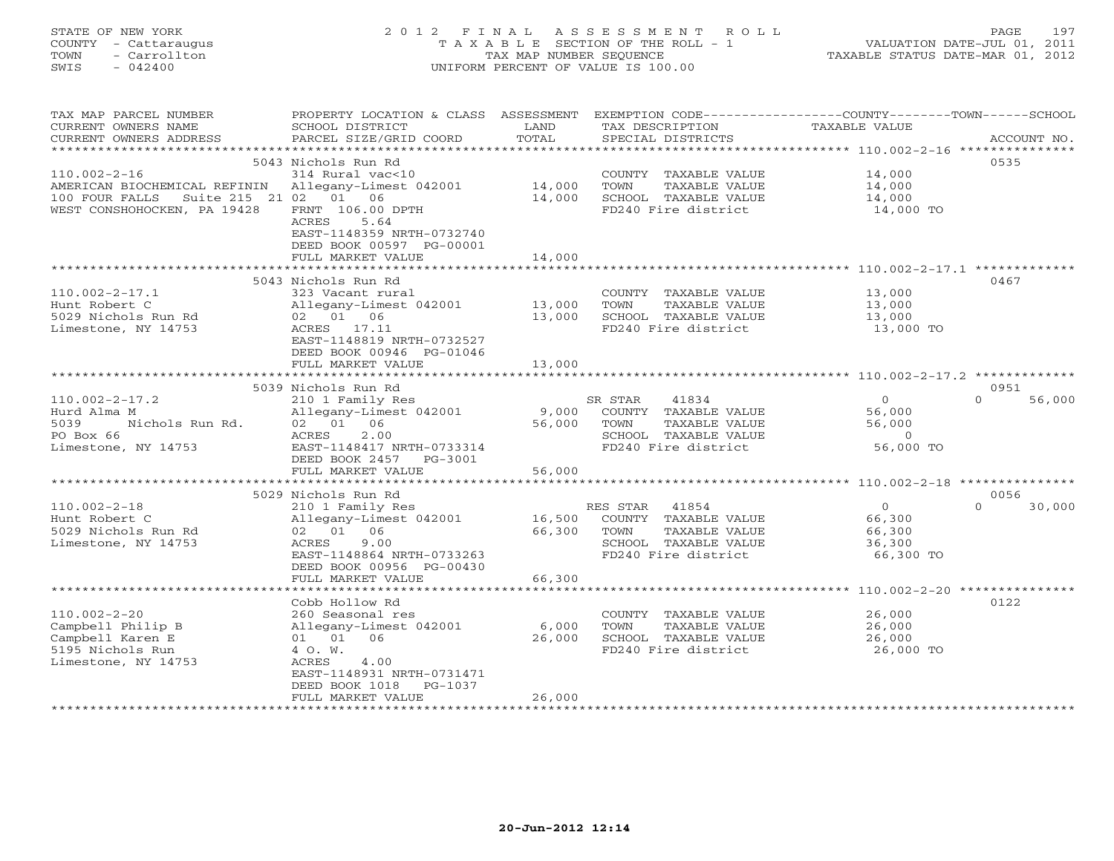| STATE OF NEW YORK    | 2012 FINAL ASSESSMENT ROLL         | 197<br>PAGE                      |
|----------------------|------------------------------------|----------------------------------|
| COUNTY - Cattaraugus | TAXABLE SECTION OF THE ROLL - 1    | VALUATION DATE-JUL 01, 2011      |
| - Carrollton<br>TOWN | TAX MAP NUMBER SEOUENCE            | TAXABLE STATUS DATE-MAR 01, 2012 |
| SWIS<br>$-042400$    | UNIFORM PERCENT OF VALUE IS 100.00 |                                  |
|                      |                                    |                                  |

| TAX MAP PARCEL NUMBER                               | PROPERTY LOCATION & CLASS ASSESSMENT                |             | EXEMPTION CODE----------------COUNTY-------TOWN------SCHOOL |                     |                    |
|-----------------------------------------------------|-----------------------------------------------------|-------------|-------------------------------------------------------------|---------------------|--------------------|
| CURRENT OWNERS NAME                                 | SCHOOL DISTRICT                                     | LAND        | TAX DESCRIPTION                                             | TAXABLE VALUE       |                    |
| CURRENT OWNERS ADDRESS                              | PARCEL SIZE/GRID COORD                              | TOTAL       | SPECIAL DISTRICTS                                           |                     | ACCOUNT NO.        |
| ***********************                             |                                                     |             |                                                             |                     |                    |
|                                                     | 5043 Nichols Run Rd                                 |             |                                                             |                     | 0535               |
| $110.002 - 2 - 16$                                  | 314 Rural vac<10                                    |             | COUNTY TAXABLE VALUE                                        | 14,000              |                    |
| AMERICAN BIOCHEMICAL REFININ Allegany-Limest 042001 |                                                     | 14,000      | TOWN<br>TAXABLE VALUE                                       | 14,000              |                    |
| Suite 215 21 02 01 06<br>100 FOUR FALLS             |                                                     | 14,000      | SCHOOL TAXABLE VALUE                                        | 14,000<br>14,000 TO |                    |
| WEST CONSHOHOCKEN, PA 19428                         | FRNT 106.00 DPTH                                    |             | FD240 Fire district                                         |                     |                    |
|                                                     | ACRES<br>5.64                                       |             |                                                             |                     |                    |
|                                                     | EAST-1148359 NRTH-0732740                           |             |                                                             |                     |                    |
|                                                     | DEED BOOK 00597 PG-00001<br>FULL MARKET VALUE       | 14,000      |                                                             |                     |                    |
|                                                     |                                                     |             |                                                             |                     |                    |
|                                                     | 5043 Nichols Run Rd                                 |             |                                                             |                     | 0467               |
| $110.002 - 2 - 17.1$                                | 323 Vacant rural                                    |             | COUNTY TAXABLE VALUE                                        | 13,000              |                    |
| Hunt Robert C                                       | Allegany-Limest 042001 13,000                       |             | TOWN<br>TAXABLE VALUE                                       | 13,000              |                    |
| 5029 Nichols Run Rd                                 | 02 01 06                                            | 13,000      | SCHOOL TAXABLE VALUE                                        | 13,000              |                    |
| Limestone, NY 14753                                 | ACRES 17.11                                         |             | FD240 Fire district                                         | 13,000 TO           |                    |
|                                                     | EAST-1148819 NRTH-0732527                           |             |                                                             |                     |                    |
|                                                     | DEED BOOK 00946 PG-01046                            |             |                                                             |                     |                    |
|                                                     | FULL MARKET VALUE                                   | 13,000      |                                                             |                     |                    |
|                                                     |                                                     |             |                                                             |                     |                    |
|                                                     | 5039 Nichols Run Rd                                 |             |                                                             |                     | 0951               |
| $110.002 - 2 - 17.2$                                |                                                     |             | SR STAR<br>41834                                            | $\overline{0}$      | 56,000<br>$\Omega$ |
| Hurd Alma M<br>M<br>Nichols Run Rd.                 | 210 1 Family Res 5F<br>Allegany-Limest 042001 9,000 |             | COUNTY TAXABLE VALUE                                        | 56,000              |                    |
| 5039                                                | 02 01 06                                            | 56,000      | TAXABLE VALUE<br>TOWN                                       | 56,000              |                    |
| PO Box 66                                           | 2.00<br>ACRES                                       |             | SCHOOL TAXABLE VALUE                                        | $\sim$ 0            |                    |
| Limestone, NY 14753                                 | EAST-1148417 NRTH-0733314                           |             | FD240 Fire district                                         | 56,000 TO           |                    |
|                                                     | DEED BOOK 2457 PG-3001                              |             |                                                             |                     |                    |
|                                                     | FULL MARKET VALUE                                   | 56,000      |                                                             |                     |                    |
|                                                     |                                                     |             |                                                             |                     |                    |
|                                                     | 5029 Nichols Run Rd                                 |             |                                                             |                     | 0056               |
| $110.002 - 2 - 18$                                  | 210 1 Family Res                                    |             | RES STAR 41854                                              | $\overline{0}$      | $\Omega$<br>30,000 |
| Hunt Robert C                                       |                                                     |             |                                                             | 66,300              |                    |
| 5029 Nichols Run Rd                                 | 02 01 06<br>ACRES 9.00                              | 66,300 TOWN | TAXABLE VALUE                                               | 66,300              |                    |
| Limestone, NY 14753                                 | EAST-1148864 NRTH-0733263                           |             | SCHOOL TAXABLE VALUE<br>FD240 Fire district                 | 36,300<br>66,300 TO |                    |
|                                                     | DEED BOOK 00956 PG-00430                            |             |                                                             |                     |                    |
|                                                     | FULL MARKET VALUE                                   | 66,300      |                                                             |                     |                    |
|                                                     |                                                     |             |                                                             |                     |                    |
|                                                     | Cobb Hollow Rd                                      |             |                                                             |                     | 0122               |
| $110.002 - 2 - 20$                                  | 260 Seasonal res                                    |             | COUNTY TAXABLE VALUE 26,000                                 |                     |                    |
| Campbell Philip B                                   | Allegany-Limest 042001                              | 6,000       | TAXABLE VALUE<br>TOWN                                       | 26,000              |                    |
| Campbell Karen E                                    | 01 01 06                                            | 26,000      | SCHOOL TAXABLE VALUE                                        | 26,000<br>26,000    |                    |
| 5195 Nichols Run                                    | 4 O.W.                                              |             | FD240 Fire district                                         | 26,000 TO           |                    |
| Limestone, NY 14753                                 | ACRES<br>4.00                                       |             |                                                             |                     |                    |
|                                                     | EAST-1148931 NRTH-0731471                           |             |                                                             |                     |                    |
|                                                     | DEED BOOK 1018 PG-1037                              |             |                                                             |                     |                    |
|                                                     | FULL MARKET VALUE                                   | 26,000      |                                                             |                     |                    |
|                                                     |                                                     |             |                                                             |                     |                    |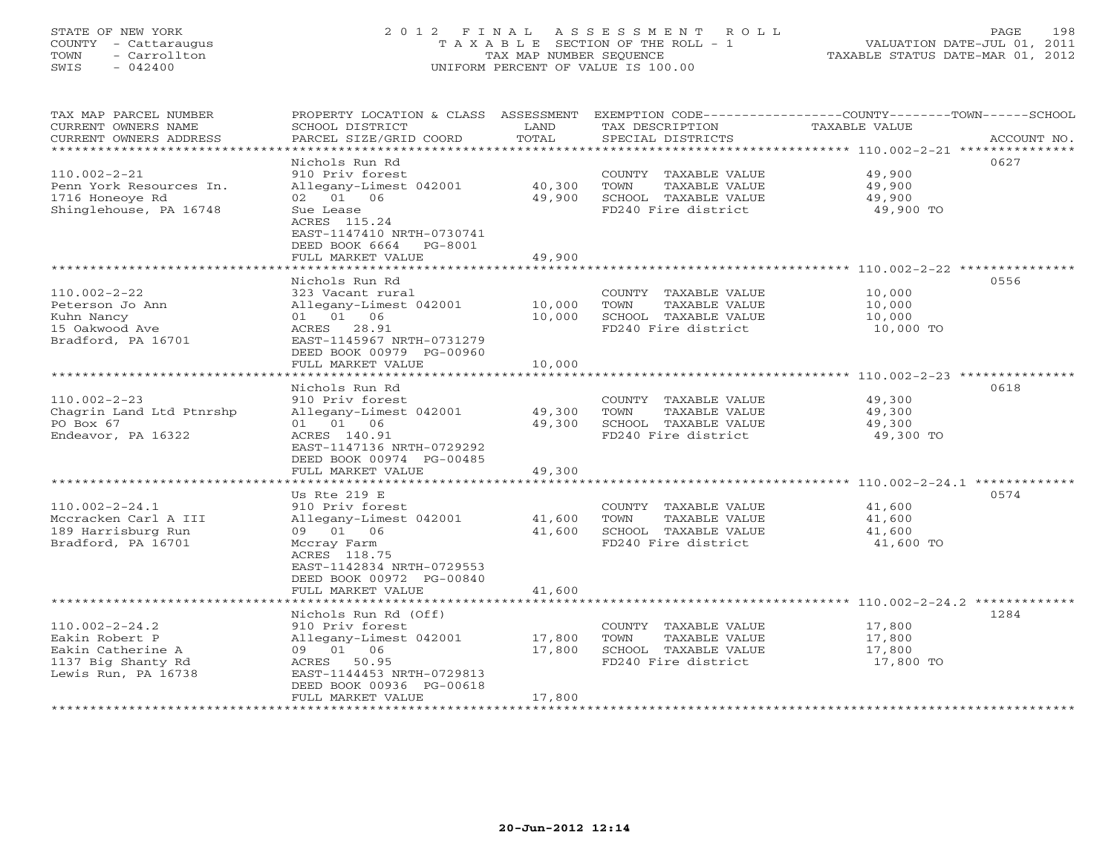# STATE OF NEW YORK 2 0 1 2 F I N A L A S S E S S M E N T R O L L PAGE 198 COUNTY - Cattaraugus T A X A B L E SECTION OF THE ROLL - 1 VALUATION DATE-JUL 01, 2011 TOWN - Carrollton TAX MAP NUMBER SEQUENCE TAXABLE STATUS DATE-MAR 01, 2012 SWIS - 042400 UNIFORM PERCENT OF VALUE IS 100.00UNIFORM PERCENT OF VALUE IS 100.00

| TAX MAP PARCEL NUMBER<br>CURRENT OWNERS NAME<br>CURRENT OWNERS ADDRESS | PROPERTY LOCATION & CLASS ASSESSMENT<br>SCHOOL DISTRICT<br>PARCEL SIZE/GRID COORD | LAND<br>TOTAL | TAX DESCRIPTION<br>SPECIAL DISTRICTS        | EXEMPTION CODE-----------------COUNTY-------TOWN------SCHOOL<br><b>TAXABLE VALUE</b><br>ACCOUNT NO. |
|------------------------------------------------------------------------|-----------------------------------------------------------------------------------|---------------|---------------------------------------------|-----------------------------------------------------------------------------------------------------|
| ***********************                                                |                                                                                   |               |                                             |                                                                                                     |
|                                                                        | Nichols Run Rd                                                                    |               |                                             | 0627                                                                                                |
| $110.002 - 2 - 21$                                                     | 910 Priv forest                                                                   |               | COUNTY TAXABLE VALUE                        | 49,900                                                                                              |
| Penn York Resources In.                                                | Allegany-Limest 042001                                                            | 40,300        | TOWN<br>TAXABLE VALUE                       | 49,900                                                                                              |
| 1716 Honeoye Rd                                                        | 02 01 06                                                                          | 49,900        | SCHOOL TAXABLE VALUE                        | 49,900                                                                                              |
| Shinglehouse, PA 16748                                                 | Sue Lease                                                                         |               | FD240 Fire district                         | 49,900 TO                                                                                           |
|                                                                        | ACRES 115.24                                                                      |               |                                             |                                                                                                     |
|                                                                        | EAST-1147410 NRTH-0730741                                                         |               |                                             |                                                                                                     |
|                                                                        | DEED BOOK 6664<br>PG-8001                                                         |               |                                             |                                                                                                     |
|                                                                        | FULL MARKET VALUE                                                                 | 49,900        |                                             | ************************ 110.002-2-22                                                               |
|                                                                        | Nichols Run Rd                                                                    |               |                                             | 0556                                                                                                |
| $110.002 - 2 - 22$                                                     | 323 Vacant rural                                                                  |               | COUNTY TAXABLE VALUE                        | 10,000                                                                                              |
| Peterson Jo Ann                                                        | Allegany-Limest 042001                                                            | 10,000        | TOWN<br>TAXABLE VALUE                       | 10,000                                                                                              |
| Kuhn Nancy                                                             | 01 01 06                                                                          | 10,000        | SCHOOL TAXABLE VALUE                        | 10,000                                                                                              |
| 15 Oakwood Ave                                                         | ACRES 28.91                                                                       |               | FD240 Fire district                         | 10,000 TO                                                                                           |
| Bradford, PA 16701                                                     | EAST-1145967 NRTH-0731279                                                         |               |                                             |                                                                                                     |
|                                                                        | DEED BOOK 00979 PG-00960                                                          |               |                                             |                                                                                                     |
|                                                                        | FULL MARKET VALUE                                                                 | 10,000        |                                             |                                                                                                     |
|                                                                        | *********************                                                             | ********      |                                             | ****************************** 110.002-2-23 ***************                                         |
|                                                                        | Nichols Run Rd                                                                    |               |                                             | 0618                                                                                                |
| $110.002 - 2 - 23$                                                     | 910 Priv forest                                                                   |               | COUNTY TAXABLE VALUE                        | 49,300                                                                                              |
| Chagrin Land Ltd Ptnrshp                                               | Allegany-Limest 042001                                                            | 49,300        | TOWN<br>TAXABLE VALUE                       | 49,300                                                                                              |
| PO Box 67                                                              | 01 01 06                                                                          | 49,300        | SCHOOL TAXABLE VALUE                        | 49,300                                                                                              |
| Endeavor, PA 16322                                                     | ACRES 140.91                                                                      |               | FD240 Fire district                         | 49,300 TO                                                                                           |
|                                                                        | EAST-1147136 NRTH-0729292                                                         |               |                                             |                                                                                                     |
|                                                                        | DEED BOOK 00974 PG-00485<br>FULL MARKET VALUE                                     | 49,300        |                                             |                                                                                                     |
|                                                                        | *******************                                                               |               |                                             |                                                                                                     |
|                                                                        | Us Rte 219 E                                                                      |               |                                             | 0574                                                                                                |
| $110.002 - 2 - 24.1$                                                   | 910 Priv forest                                                                   |               | COUNTY TAXABLE VALUE                        | 41,600                                                                                              |
| Mccracken Carl A III                                                   | Allegany-Limest 042001                                                            | 41,600        | TAXABLE VALUE<br>TOWN                       | 41,600                                                                                              |
| 189 Harrisburg Run                                                     | 09 01 06                                                                          | 41,600        | SCHOOL TAXABLE VALUE                        | 41,600                                                                                              |
| Bradford, PA 16701                                                     | Mccray Farm                                                                       |               | FD240 Fire district                         | 41,600 TO                                                                                           |
|                                                                        | ACRES 118.75                                                                      |               |                                             |                                                                                                     |
|                                                                        | EAST-1142834 NRTH-0729553                                                         |               |                                             |                                                                                                     |
|                                                                        | DEED BOOK 00972 PG-00840                                                          |               |                                             |                                                                                                     |
|                                                                        | FULL MARKET VALUE                                                                 | 41,600        |                                             |                                                                                                     |
|                                                                        |                                                                                   | *********     |                                             |                                                                                                     |
|                                                                        | Nichols Run Rd (Off)                                                              |               |                                             | 1284                                                                                                |
| $110.002 - 2 - 24.2$                                                   | 910 Priv forest                                                                   |               | COUNTY TAXABLE VALUE                        | 17,800                                                                                              |
| Eakin Robert P                                                         | Allegany-Limest 042001                                                            | 17,800        | TOWN<br>TAXABLE VALUE                       | 17,800                                                                                              |
| Eakin Catherine A                                                      | 09 01 06<br>50.95<br>ACRES                                                        | 17,800        | SCHOOL TAXABLE VALUE<br>FD240 Fire district | 17,800<br>17,800 TO                                                                                 |
| 1137 Big Shanty Rd<br>Lewis Run, PA 16738                              | EAST-1144453 NRTH-0729813                                                         |               |                                             |                                                                                                     |
|                                                                        | DEED BOOK 00936 PG-00618                                                          |               |                                             |                                                                                                     |
|                                                                        | FULL MARKET VALUE                                                                 | 17,800        |                                             |                                                                                                     |
|                                                                        |                                                                                   |               |                                             |                                                                                                     |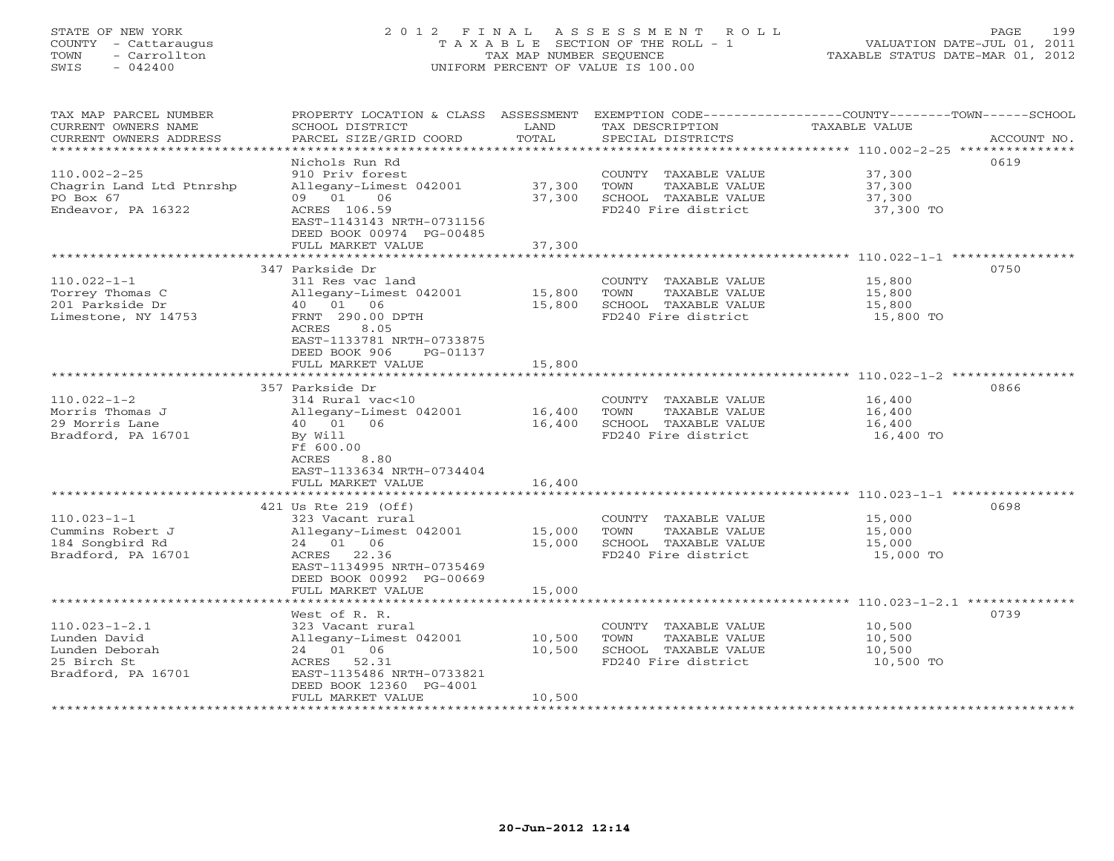# STATE OF NEW YORK 2 0 1 2 F I N A L A S S E S S M E N T R O L L PAGE 199 COUNTY - Cattaraugus T A X A B L E SECTION OF THE ROLL - 1 VALUATION DATE-JUL 01, 2011 TOWN - Carrollton TAX MAP NUMBER SEQUENCE TAXABLE STATUS DATE-MAR 01, 2012 SWIS - 042400 UNIFORM PERCENT OF VALUE IS 100.00UNIFORM PERCENT OF VALUE IS 100.00

| TAX MAP PARCEL NUMBER<br>CURRENT OWNERS NAME<br>CURRENT OWNERS ADDRESS         | PROPERTY LOCATION & CLASS<br>SCHOOL DISTRICT<br>PARCEL SIZE/GRID COORD                       | ASSESSMENT<br>LAND<br>TOTAL | TAX DESCRIPTION<br>SPECIAL DISTRICTS                                                         | EXEMPTION CODE-----------------COUNTY-------TOWN------SCHOOL<br>TAXABLE VALUE<br>ACCOUNT NO. |
|--------------------------------------------------------------------------------|----------------------------------------------------------------------------------------------|-----------------------------|----------------------------------------------------------------------------------------------|----------------------------------------------------------------------------------------------|
| ********************                                                           |                                                                                              |                             |                                                                                              |                                                                                              |
|                                                                                | Nichols Run Rd                                                                               |                             |                                                                                              | 0619                                                                                         |
| $110.002 - 2 - 25$<br>Chagrin Land Ltd Ptnrshp<br>PO Box 67                    | 910 Priv forest<br>Allegany-Limest 042001<br>01<br>06<br>09                                  | 37,300<br>37,300            | COUNTY TAXABLE VALUE<br>TOWN<br>TAXABLE VALUE<br>SCHOOL TAXABLE VALUE                        | 37,300<br>37,300<br>37,300                                                                   |
| Endeavor, PA 16322                                                             | ACRES 106.59<br>EAST-1143143 NRTH-0731156<br>DEED BOOK 00974 PG-00485                        |                             | FD240 Fire district                                                                          | 37,300 TO                                                                                    |
|                                                                                | FULL MARKET VALUE                                                                            | 37,300                      |                                                                                              | *************** 110.022-1-1 **********                                                       |
|                                                                                | 347 Parkside Dr                                                                              |                             |                                                                                              | 0750                                                                                         |
| $110.022 - 1 - 1$<br>Torrey Thomas C<br>201 Parkside Dr<br>Limestone, NY 14753 | 311 Res vac land<br>Allegany-Limest 042001<br>40 01<br>06<br>FRNT 290.00 DPTH                | 15,800<br>15,800            | COUNTY TAXABLE VALUE<br>TOWN<br>TAXABLE VALUE<br>SCHOOL TAXABLE VALUE<br>FD240 Fire district | 15,800<br>15,800<br>15,800<br>15,800 TO                                                      |
|                                                                                | 8.05<br>ACRES<br>EAST-1133781 NRTH-0733875<br>DEED BOOK 906<br>PG-01137<br>FULL MARKET VALUE | 15,800                      |                                                                                              |                                                                                              |
|                                                                                | ************************                                                                     | *********                   |                                                                                              |                                                                                              |
|                                                                                | 357 Parkside Dr                                                                              |                             |                                                                                              | 0866                                                                                         |
| $110.022 - 1 - 2$                                                              | 314 Rural vac<10                                                                             |                             | COUNTY TAXABLE VALUE                                                                         | 16,400                                                                                       |
| Morris Thomas J                                                                | Allegany-Limest 042001                                                                       | 16,400                      | TOWN<br>TAXABLE VALUE                                                                        | 16,400                                                                                       |
| 29 Morris Lane<br>Bradford, PA 16701                                           | 01<br>06<br>40<br>By Will<br>Ff 600.00<br>8.80<br>ACRES                                      | 16,400                      | SCHOOL TAXABLE VALUE<br>FD240 Fire district                                                  | 16,400<br>16,400 TO                                                                          |
|                                                                                | EAST-1133634 NRTH-0734404                                                                    |                             |                                                                                              |                                                                                              |
|                                                                                | FULL MARKET VALUE                                                                            | 16,400                      |                                                                                              |                                                                                              |
|                                                                                | 421 Us Rte 219 (Off)                                                                         |                             |                                                                                              | 0698                                                                                         |
| $110.023 - 1 - 1$                                                              | 323 Vacant rural                                                                             |                             | COUNTY TAXABLE VALUE                                                                         | 15,000                                                                                       |
| Cummins Robert J                                                               | Allegany-Limest 042001                                                                       | 15,000                      | TOWN<br><b>TAXABLE VALUE</b>                                                                 | 15,000                                                                                       |
| 184 Songbird Rd                                                                | 24 01 06                                                                                     | 15,000                      | SCHOOL TAXABLE VALUE                                                                         | 15,000                                                                                       |
| Bradford, PA 16701                                                             | 22.36<br>ACRES<br>EAST-1134995 NRTH-0735469<br>DEED BOOK 00992 PG-00669<br>FULL MARKET VALUE | 15,000                      | FD240 Fire district                                                                          | 15,000 TO                                                                                    |
|                                                                                |                                                                                              |                             |                                                                                              | *** 110.023-1-2.1 *********                                                                  |
|                                                                                | West of R. R.                                                                                |                             |                                                                                              | 0739                                                                                         |
| $110.023 - 1 - 2.1$                                                            | 323 Vacant rural                                                                             |                             | COUNTY TAXABLE VALUE                                                                         | 10,500                                                                                       |
| Lunden David                                                                   | Allegany-Limest 042001                                                                       | 10,500                      | TOWN<br>TAXABLE VALUE                                                                        | 10,500                                                                                       |
| Lunden Deborah                                                                 | 24 01<br>06                                                                                  | 10,500                      | SCHOOL TAXABLE VALUE                                                                         | 10,500                                                                                       |
| 25 Birch St<br>Bradford, PA 16701                                              | 52.31<br>ACRES<br>EAST-1135486 NRTH-0733821<br>DEED BOOK 12360 PG-4001                       |                             | FD240 Fire district                                                                          | 10,500 TO                                                                                    |
|                                                                                | FULL MARKET VALUE                                                                            | 10,500                      |                                                                                              |                                                                                              |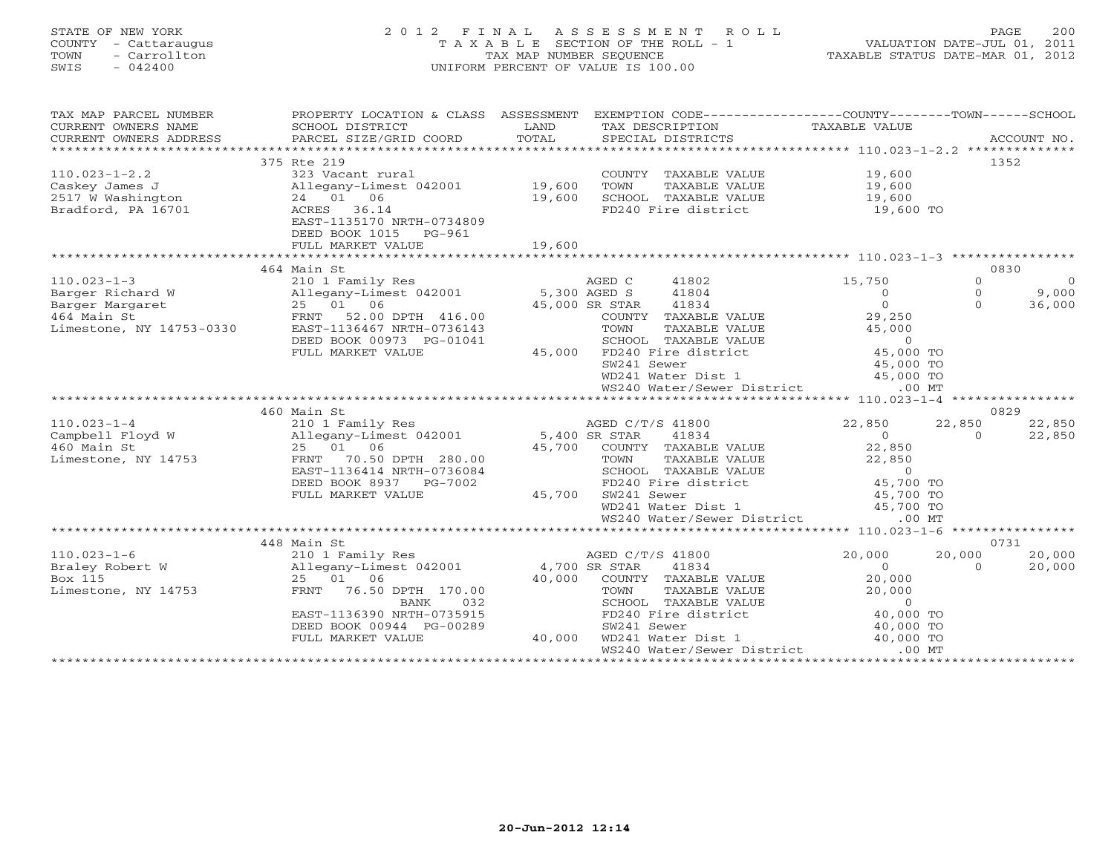### STATE OF NEW YORK 2 0 1 2 F I N A L A S S E S S M E N T R O L L PAGE 200 COUNTY - Cattaraugus T A X A B L E SECTION OF THE ROLL - 1 VALUATION DATE-JUL 01, 2011 TOWN - Carrollton TAX MAP NUMBER SEQUENCE TAXABLE STATUS DATE-MAR 01, 2012 SWIS - 042400 UNIFORM PERCENT OF VALUE IS 100.00

| TAX MAP PARCEL NUMBER<br>$\begin{array}{ccccccccc}\n\text{CURRENT} & \text{OWIERS} & \text{NALE} & \text{SCHOOL} & \text{DISTRICT} & \text{LAND} & \text{TAX} & \text{DESCRIPTION} & \text{TAXABLE VALUE} & \text{ACCOUNT NO.} \end{array}$ |                                                                                    |        | PROPERTY LOCATION & CLASS ASSESSMENT EXEMPTION CODE----------------COUNTY-------TOWN------SCHOOL                                                                                                                                                                         |                  |          |                |
|---------------------------------------------------------------------------------------------------------------------------------------------------------------------------------------------------------------------------------------------|------------------------------------------------------------------------------------|--------|--------------------------------------------------------------------------------------------------------------------------------------------------------------------------------------------------------------------------------------------------------------------------|------------------|----------|----------------|
|                                                                                                                                                                                                                                             |                                                                                    |        |                                                                                                                                                                                                                                                                          |                  |          |                |
| $110.023 - 1 - 2.2$                                                                                                                                                                                                                         | 375 Rte 219<br>323 Vacant rural                                                    |        | COUNTY TAXABLE VALUE<br>TOWN<br>TAXABLE VALUE<br>SCHOOL TAXABLE VALUE 19,600                                                                                                                                                                                             | 19,600<br>19,600 | 1352     |                |
| Bradford, PA 16701                                                                                                                                                                                                                          | ACRES 36.14<br>EAST-1135170 NRTH-0734809<br>DEED BOOK 1015 PG-961                  |        | FD240 Fire district                                                                                                                                                                                                                                                      | 19,600 TO        |          |                |
|                                                                                                                                                                                                                                             |                                                                                    |        |                                                                                                                                                                                                                                                                          |                  |          |                |
|                                                                                                                                                                                                                                             | 464 Main St                                                                        |        |                                                                                                                                                                                                                                                                          |                  | 0830     |                |
| $110.023 - 1 - 3$                                                                                                                                                                                                                           |                                                                                    |        |                                                                                                                                                                                                                                                                          | 15,750           | $\Omega$ | $\overline{0}$ |
|                                                                                                                                                                                                                                             |                                                                                    |        |                                                                                                                                                                                                                                                                          | $\overline{0}$   | $\Omega$ | 9,000          |
| Exercise Alleg<br>Barger Margaret 25<br>464 Main St FRNT<br>Limestone, NY 14753-0330 EAST-                                                                                                                                                  | 25 01 06                                                                           |        | 45,000 SR STAR 41834                                                                                                                                                                                                                                                     | $\Omega$         | $\Omega$ | 36,000         |
|                                                                                                                                                                                                                                             | 52.00 DPTH 416.00                                                                  |        | COUNTY TAXABLE VALUE<br>TOWN TAXABLE VALUE<br>SCHOOL TAXABLE VALUE<br>FD240 Fire district<br>FD240 Fire district<br>45,000 TO<br>45,000 TO<br>45,000 TO                                                                                                                  | 29,250           |          |                |
|                                                                                                                                                                                                                                             | EAST-1136467 NRTH-0736143                                                          |        |                                                                                                                                                                                                                                                                          |                  |          |                |
|                                                                                                                                                                                                                                             | DEED BOOK 00973 PG-01041                                                           |        |                                                                                                                                                                                                                                                                          |                  |          |                |
|                                                                                                                                                                                                                                             | FULL MARKET VALUE                                                                  | 45,000 |                                                                                                                                                                                                                                                                          |                  |          |                |
|                                                                                                                                                                                                                                             |                                                                                    |        |                                                                                                                                                                                                                                                                          |                  |          |                |
|                                                                                                                                                                                                                                             |                                                                                    |        | WD241 Water Dist 1 45,000 TO                                                                                                                                                                                                                                             |                  |          |                |
|                                                                                                                                                                                                                                             |                                                                                    |        | WS240 Water/Sewer District                                                                                                                                                                                                                                               | $.00$ MT         |          |                |
|                                                                                                                                                                                                                                             |                                                                                    |        |                                                                                                                                                                                                                                                                          |                  |          |                |
|                                                                                                                                                                                                                                             | 460 Main St                                                                        |        |                                                                                                                                                                                                                                                                          |                  | 0829     |                |
| $110.023 - 1 - 4$                                                                                                                                                                                                                           | 210 1 Family Res                                                                   |        | 9 AGEN CONTY TAXABLE VALUE<br>30.00 5,400 SR STAR 41834<br>45,700 COUNTY TAXABLE VALUE<br>TOWN TAXABLE VALUE<br>SCHOOL TAXABLE VALUE<br>TOPTH 280.00 TOWN TAXABLE VALUE<br>SCHOOL TAXABLE VALUE<br>FD240 Fire district<br>$\begin{array}{ccccccccc}\n & & & & & & & & &$ |                  | 22,850   | 22,850         |
| Campbell Floyd W 210 1 Funning NCS<br>Campbell Floyd W 25 01 06 45,700 COUNTY<br>Limestone, NY 14753 FRNT 70.50 DPTH 280.00 TOWN                                                                                                            |                                                                                    |        |                                                                                                                                                                                                                                                                          |                  | $\Omega$ | 22,850         |
|                                                                                                                                                                                                                                             |                                                                                    |        |                                                                                                                                                                                                                                                                          |                  |          |                |
|                                                                                                                                                                                                                                             |                                                                                    |        |                                                                                                                                                                                                                                                                          |                  |          |                |
|                                                                                                                                                                                                                                             |                                                                                    |        |                                                                                                                                                                                                                                                                          |                  |          |                |
|                                                                                                                                                                                                                                             | EAST-1136414 NRTH-0736084                                                          |        |                                                                                                                                                                                                                                                                          |                  |          |                |
|                                                                                                                                                                                                                                             | DEED BOOK 8937 PG-7002                                                             |        |                                                                                                                                                                                                                                                                          |                  |          |                |
|                                                                                                                                                                                                                                             | FULL MARKET VALUE                                                                  |        |                                                                                                                                                                                                                                                                          |                  |          |                |
|                                                                                                                                                                                                                                             |                                                                                    |        |                                                                                                                                                                                                                                                                          |                  |          |                |
|                                                                                                                                                                                                                                             |                                                                                    |        |                                                                                                                                                                                                                                                                          |                  |          |                |
|                                                                                                                                                                                                                                             |                                                                                    |        |                                                                                                                                                                                                                                                                          |                  |          |                |
|                                                                                                                                                                                                                                             | 448 Main St                                                                        |        |                                                                                                                                                                                                                                                                          |                  |          | 0731           |
| $110.023 - 1 - 6$                                                                                                                                                                                                                           | 210 1 Family Res<br>Allegany-Limest 042001 4,700 SR STAR<br>25 01 06 40,000 COUNTY |        | AGED C/T/S 41800                                                                                                                                                                                                                                                         | 20,000           | 20,000   | 20,000         |
| Braley Robert W                                                                                                                                                                                                                             |                                                                                    |        | 41834                                                                                                                                                                                                                                                                    | $\overline{0}$   | $\Omega$ | 20,000         |
| Box 115                                                                                                                                                                                                                                     |                                                                                    |        | 40,000 COUNTY TAXABLE VALUE                                                                                                                                                                                                                                              | 20,000           |          |                |
| Limestone, NY 14753                                                                                                                                                                                                                         | FRNT 76.50 DPTH 170.00                                                             |        |                                                                                                                                                                                                                                                                          |                  |          |                |
|                                                                                                                                                                                                                                             | 032<br>BANK                                                                        |        |                                                                                                                                                                                                                                                                          |                  |          |                |
|                                                                                                                                                                                                                                             | EAST-1136390 NRTH-0735915                                                          |        | TOWN TAXABLE VALUE<br>SCHOOL TAXABLE VALUE<br>FD240 Fire district<br>A0,000 TO                                                                                                                                                                                           |                  |          |                |
|                                                                                                                                                                                                                                             | DEED BOOK 00944 PG-00289                                                           |        |                                                                                                                                                                                                                                                                          |                  |          |                |
|                                                                                                                                                                                                                                             | FULL MARKET VALUE                                                                  | 40,000 | SW241 Sewer 40,000 TO<br>WD241 Water Dist 1 40,000 TO                                                                                                                                                                                                                    |                  |          |                |
|                                                                                                                                                                                                                                             |                                                                                    |        | WS240 Water/Sewer District .00 MT                                                                                                                                                                                                                                        |                  |          |                |
|                                                                                                                                                                                                                                             |                                                                                    |        |                                                                                                                                                                                                                                                                          |                  |          |                |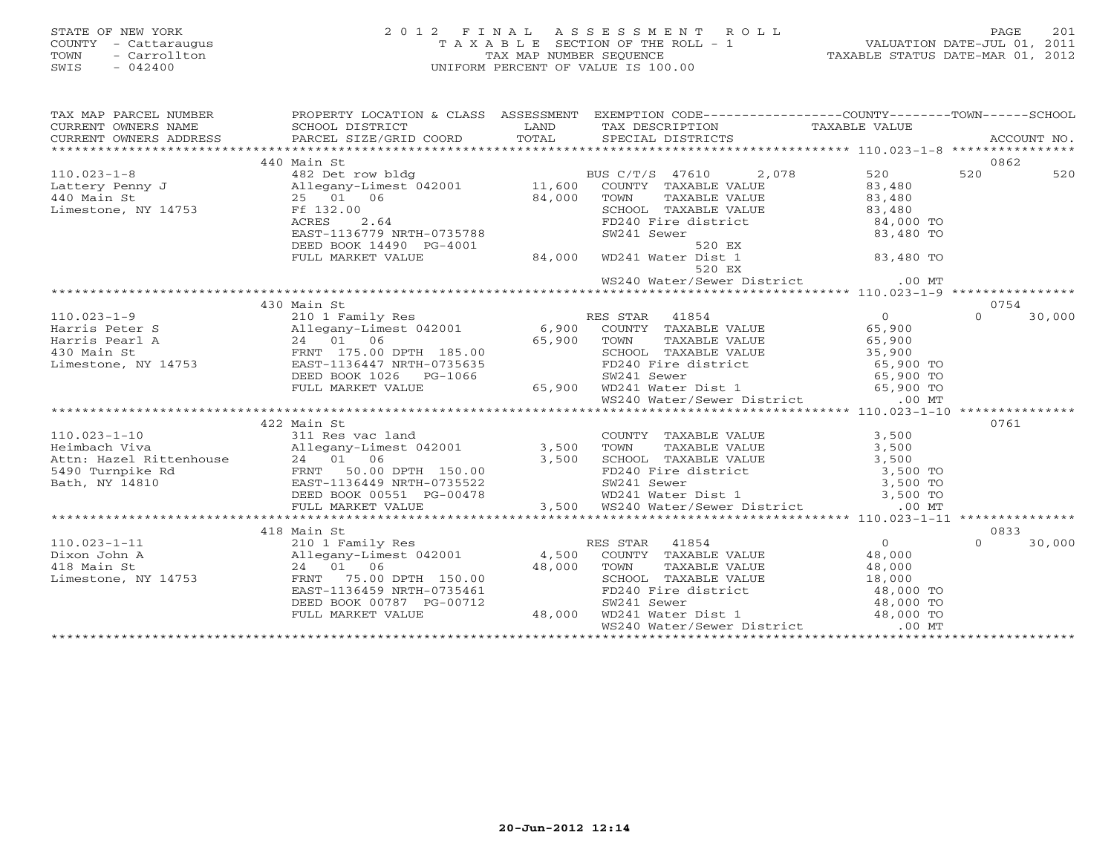### STATE OF NEW YORK 2 0 1 2 F I N A L A S S E S S M E N T R O L L PAGE 201 COUNTY - Cattaraugus T A X A B L E SECTION OF THE ROLL - 1 VALUATION DATE-JUL 01, 2011 TOWN - Carrollton TAX MAP NUMBER SEQUENCE TAXABLE STATUS DATE-MAR 01, 2012 SWIS - 042400 UNIFORM PERCENT OF VALUE IS 100.00UNIFORM PERCENT OF VALUE IS 100.00

| TAX MAP PARCEL NUMBER |                                                                                                                                                                                                                                                     | PROPERTY LOCATION & CLASS ASSESSMENT EXEMPTION CODE----------------COUNTY-------TOWN------SCHOOL |                    |
|-----------------------|-----------------------------------------------------------------------------------------------------------------------------------------------------------------------------------------------------------------------------------------------------|--------------------------------------------------------------------------------------------------|--------------------|
|                       | CURRENT OWNERS NAME<br>CURRENT OWNERS NAME SCHOOL DISTRICT LAND TAX DESCRIPTION TAXABLE VALUE<br>CURRENT OWNERS ADDRESS PARCEL SIZE/GRID COORD TOTAL SPECIAL DISTRICTS                                                                              |                                                                                                  |                    |
|                       |                                                                                                                                                                                                                                                     |                                                                                                  |                    |
|                       |                                                                                                                                                                                                                                                     |                                                                                                  |                    |
|                       | 440 Main St                                                                                                                                                                                                                                         |                                                                                                  | 0862               |
|                       |                                                                                                                                                                                                                                                     |                                                                                                  |                    |
|                       |                                                                                                                                                                                                                                                     |                                                                                                  |                    |
|                       |                                                                                                                                                                                                                                                     |                                                                                                  |                    |
|                       |                                                                                                                                                                                                                                                     |                                                                                                  |                    |
|                       |                                                                                                                                                                                                                                                     |                                                                                                  |                    |
|                       |                                                                                                                                                                                                                                                     |                                                                                                  |                    |
|                       |                                                                                                                                                                                                                                                     |                                                                                                  |                    |
|                       |                                                                                                                                                                                                                                                     |                                                                                                  |                    |
|                       |                                                                                                                                                                                                                                                     |                                                                                                  |                    |
|                       |                                                                                                                                                                                                                                                     |                                                                                                  |                    |
|                       | 430 Main St                                                                                                                                                                                                                                         |                                                                                                  | 0754               |
|                       |                                                                                                                                                                                                                                                     |                                                                                                  | $\Omega$<br>30,000 |
|                       |                                                                                                                                                                                                                                                     |                                                                                                  |                    |
|                       |                                                                                                                                                                                                                                                     |                                                                                                  |                    |
|                       |                                                                                                                                                                                                                                                     |                                                                                                  |                    |
|                       |                                                                                                                                                                                                                                                     |                                                                                                  |                    |
|                       |                                                                                                                                                                                                                                                     |                                                                                                  |                    |
|                       |                                                                                                                                                                                                                                                     |                                                                                                  |                    |
|                       | 110.023-1-9<br>Harris Peter S<br>Harris Peter S<br>Harris Pearl A<br>24 01 06<br>Limestone, NY 14753<br>DEED BOOK 1026 PG-1066<br>FRNT 175.00 DPTH 185.00<br>DEED BOOK 1026 PG-1066<br>FRNT 175.00 DPTH 185.00<br>DEED BOOK 1026 PG-1066<br>FRNT VA |                                                                                                  |                    |
|                       |                                                                                                                                                                                                                                                     |                                                                                                  |                    |
|                       | 422 Main St                                                                                                                                                                                                                                         |                                                                                                  | 0761               |
|                       |                                                                                                                                                                                                                                                     |                                                                                                  |                    |
|                       |                                                                                                                                                                                                                                                     |                                                                                                  |                    |
|                       |                                                                                                                                                                                                                                                     |                                                                                                  |                    |
|                       |                                                                                                                                                                                                                                                     |                                                                                                  |                    |
|                       |                                                                                                                                                                                                                                                     |                                                                                                  |                    |
|                       |                                                                                                                                                                                                                                                     |                                                                                                  |                    |
|                       |                                                                                                                                                                                                                                                     |                                                                                                  |                    |
|                       | 418 Main St                                                                                                                                                                                                                                         |                                                                                                  | 0833               |
|                       |                                                                                                                                                                                                                                                     |                                                                                                  | 30,000             |
|                       |                                                                                                                                                                                                                                                     |                                                                                                  |                    |
|                       |                                                                                                                                                                                                                                                     |                                                                                                  |                    |
|                       |                                                                                                                                                                                                                                                     |                                                                                                  |                    |
|                       |                                                                                                                                                                                                                                                     |                                                                                                  |                    |
|                       |                                                                                                                                                                                                                                                     |                                                                                                  |                    |
|                       |                                                                                                                                                                                                                                                     |                                                                                                  |                    |
|                       |                                                                                                                                                                                                                                                     |                                                                                                  |                    |
|                       |                                                                                                                                                                                                                                                     |                                                                                                  |                    |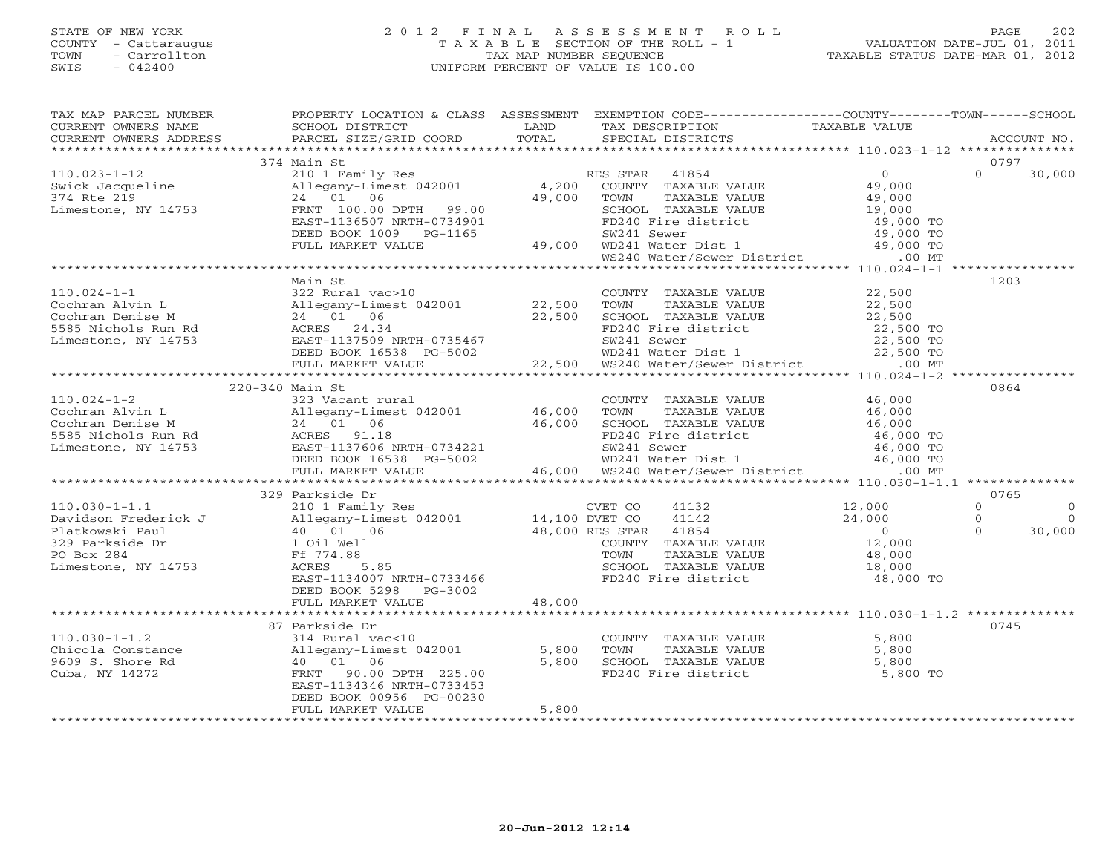# STATE OF NEW YORK 2 0 1 2 F I N A L A S S E S S M E N T R O L L PAGE 202 COUNTY - Cattaraugus T A X A B L E SECTION OF THE ROLL - 1 VALUATION DATE-JUL 01, 2011 TOWN - Carrollton TAX MAP NUMBER SEQUENCE TAXABLE STATUS DATE-MAR 01, 2012 SWIS - 042400 UNIFORM PERCENT OF VALUE IS 100.00UNIFORM PERCENT OF VALUE IS 100.00

| TAX MAP PARCEL NUMBER                                                                                                                                                                                                                                                                                                                                           | PROPERTY LOCATION & CLASS ASSESSMENT EXEMPTION CODE----------------COUNTY-------TOWN------SCHOOL |       |  |                            |
|-----------------------------------------------------------------------------------------------------------------------------------------------------------------------------------------------------------------------------------------------------------------------------------------------------------------------------------------------------------------|--------------------------------------------------------------------------------------------------|-------|--|----------------------------|
| TA PIAN DESCRIPTION TRANSPORTED TRANSPORTED TRANSPORT TRANSPORT TRANSPORT TRANSPORT OWNERS NAME SCHOOL DISTRICT LAND TAXABLES TO TAXABLE VALUE<br>CURRENT OWNERS ADDRESS BARCEL SIZE/GRID COORD TOTAL SPECIAL DISTRICTS ACCOUNT N<br>----<br>CURRENT OWNERS NAME<br>CURRENT OWNERS ADDRESS                                                                      |                                                                                                  |       |  |                            |
|                                                                                                                                                                                                                                                                                                                                                                 |                                                                                                  |       |  |                            |
|                                                                                                                                                                                                                                                                                                                                                                 |                                                                                                  |       |  | 0797                       |
| $\begin{array}{cccccccc} 110.023-1-12 & 374 \text{ Main St} & \text{RES STR} & 41854 & 0 & 0 & 30,000 \\ & 210 & 10 & 10 & 10 & 10 & 10 & 0 & 30,000 \\ \text{Swick Jacqueline} & 210 & 1 & 06 & 49,000 & 0 & 30,000 \\ \text{Limesstone, NY 14753} & \text{FERN T 100.00 DPTH} & 99.00 & \text{SCH 1000} & \text{FDM} & \text{TAXABLE VALUE} & 49,000 \\ & 24$ | 374 Main St                                                                                      |       |  |                            |
|                                                                                                                                                                                                                                                                                                                                                                 |                                                                                                  |       |  |                            |
|                                                                                                                                                                                                                                                                                                                                                                 |                                                                                                  |       |  |                            |
|                                                                                                                                                                                                                                                                                                                                                                 |                                                                                                  |       |  |                            |
|                                                                                                                                                                                                                                                                                                                                                                 |                                                                                                  |       |  |                            |
|                                                                                                                                                                                                                                                                                                                                                                 |                                                                                                  |       |  |                            |
|                                                                                                                                                                                                                                                                                                                                                                 |                                                                                                  |       |  |                            |
|                                                                                                                                                                                                                                                                                                                                                                 |                                                                                                  |       |  |                            |
|                                                                                                                                                                                                                                                                                                                                                                 |                                                                                                  |       |  |                            |
|                                                                                                                                                                                                                                                                                                                                                                 | Main St                                                                                          |       |  | 1203                       |
|                                                                                                                                                                                                                                                                                                                                                                 |                                                                                                  |       |  |                            |
|                                                                                                                                                                                                                                                                                                                                                                 |                                                                                                  |       |  |                            |
|                                                                                                                                                                                                                                                                                                                                                                 |                                                                                                  |       |  |                            |
|                                                                                                                                                                                                                                                                                                                                                                 |                                                                                                  |       |  |                            |
|                                                                                                                                                                                                                                                                                                                                                                 |                                                                                                  |       |  |                            |
|                                                                                                                                                                                                                                                                                                                                                                 |                                                                                                  |       |  |                            |
|                                                                                                                                                                                                                                                                                                                                                                 |                                                                                                  |       |  |                            |
|                                                                                                                                                                                                                                                                                                                                                                 |                                                                                                  |       |  |                            |
|                                                                                                                                                                                                                                                                                                                                                                 | 220-340 Main St                                                                                  |       |  | 0864                       |
|                                                                                                                                                                                                                                                                                                                                                                 |                                                                                                  |       |  |                            |
|                                                                                                                                                                                                                                                                                                                                                                 |                                                                                                  |       |  |                            |
|                                                                                                                                                                                                                                                                                                                                                                 |                                                                                                  |       |  |                            |
|                                                                                                                                                                                                                                                                                                                                                                 |                                                                                                  |       |  |                            |
|                                                                                                                                                                                                                                                                                                                                                                 |                                                                                                  |       |  |                            |
|                                                                                                                                                                                                                                                                                                                                                                 |                                                                                                  |       |  |                            |
|                                                                                                                                                                                                                                                                                                                                                                 |                                                                                                  |       |  |                            |
|                                                                                                                                                                                                                                                                                                                                                                 |                                                                                                  |       |  |                            |
|                                                                                                                                                                                                                                                                                                                                                                 |                                                                                                  |       |  | 0765                       |
|                                                                                                                                                                                                                                                                                                                                                                 |                                                                                                  |       |  | $\Omega$<br>$\overline{0}$ |
|                                                                                                                                                                                                                                                                                                                                                                 |                                                                                                  |       |  | $\overline{0}$             |
|                                                                                                                                                                                                                                                                                                                                                                 |                                                                                                  |       |  | 30,000                     |
|                                                                                                                                                                                                                                                                                                                                                                 |                                                                                                  |       |  |                            |
|                                                                                                                                                                                                                                                                                                                                                                 |                                                                                                  |       |  |                            |
|                                                                                                                                                                                                                                                                                                                                                                 |                                                                                                  |       |  |                            |
|                                                                                                                                                                                                                                                                                                                                                                 |                                                                                                  |       |  |                            |
|                                                                                                                                                                                                                                                                                                                                                                 | DEED BOOK 5298 PG-3002                                                                           |       |  |                            |
|                                                                                                                                                                                                                                                                                                                                                                 | FULL MARKET VALUE 48,000                                                                         |       |  |                            |
|                                                                                                                                                                                                                                                                                                                                                                 |                                                                                                  |       |  |                            |
|                                                                                                                                                                                                                                                                                                                                                                 |                                                                                                  |       |  | 0745                       |
| 314 Rural vacks and the model of the country of the countral on the country of the country of the country of the country of the country of the country of the country of the country of the country of the country of the coun                                                                                                                                  |                                                                                                  |       |  |                            |
|                                                                                                                                                                                                                                                                                                                                                                 |                                                                                                  |       |  |                            |
|                                                                                                                                                                                                                                                                                                                                                                 |                                                                                                  |       |  |                            |
|                                                                                                                                                                                                                                                                                                                                                                 |                                                                                                  |       |  |                            |
|                                                                                                                                                                                                                                                                                                                                                                 |                                                                                                  |       |  |                            |
|                                                                                                                                                                                                                                                                                                                                                                 | DEED BOOK 00956 PG-00230                                                                         |       |  |                            |
|                                                                                                                                                                                                                                                                                                                                                                 | FULL MARKET VALUE                                                                                | 5,800 |  |                            |
|                                                                                                                                                                                                                                                                                                                                                                 |                                                                                                  |       |  |                            |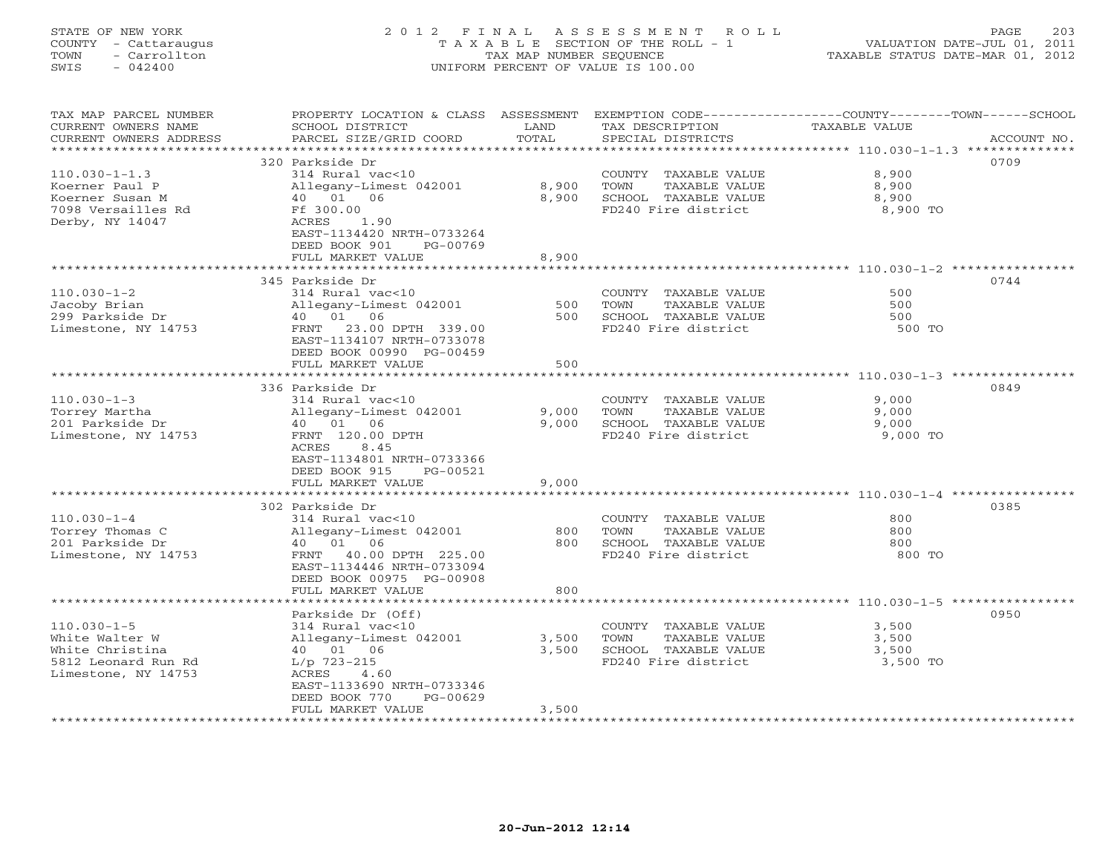# STATE OF NEW YORK 2 0 1 2 F I N A L A S S E S S M E N T R O L L PAGE 203 COUNTY - Cattaraugus T A X A B L E SECTION OF THE ROLL - 1 VALUATION DATE-JUL 01, 2011 TOWN - Carrollton TAX MAP NUMBER SEQUENCE TAXABLE STATUS DATE-MAR 01, 2012 SWIS - 042400 UNIFORM PERCENT OF VALUE IS 100.00UNIFORM PERCENT OF VALUE IS 100.00

| TAX MAP PARCEL NUMBER                            | PROPERTY LOCATION & CLASS ASSESSMENT EXEMPTION CODE---------------COUNTY-------TOWN------SCHOOL |       |                       |                                                             |             |
|--------------------------------------------------|-------------------------------------------------------------------------------------------------|-------|-----------------------|-------------------------------------------------------------|-------------|
| CURRENT OWNERS NAME                              | SCHOOL DISTRICT                                                                                 | LAND  | TAX DESCRIPTION       | TAXABLE VALUE                                               |             |
| CURRENT OWNERS ADDRESS<br>********************** | PARCEL SIZE/GRID COORD                                                                          | TOTAL | SPECIAL DISTRICTS     |                                                             | ACCOUNT NO. |
|                                                  | 320 Parkside Dr                                                                                 |       |                       |                                                             | 0709        |
| $110.030 - 1 - 1.3$                              | 314 Rural vac<10                                                                                |       | COUNTY TAXABLE VALUE  | 8,900                                                       |             |
| Koerner Paul P                                   | Allegany-Limest 042001                                                                          | 8,900 | TOWN<br>TAXABLE VALUE | 8,900                                                       |             |
| Koerner Susan M                                  | 40  01  06                                                                                      | 8,900 | SCHOOL TAXABLE VALUE  | 8,900                                                       |             |
| 7098 Versailles Rd                               | Ff 300.00                                                                                       |       | FD240 Fire district   | 8,900 TO                                                    |             |
| Derby, NY 14047                                  | ACRES<br>1.90                                                                                   |       |                       |                                                             |             |
|                                                  | EAST-1134420 NRTH-0733264                                                                       |       |                       |                                                             |             |
|                                                  | DEED BOOK 901<br>PG-00769                                                                       |       |                       |                                                             |             |
|                                                  | FULL MARKET VALUE                                                                               | 8,900 |                       |                                                             |             |
|                                                  | ****************************                                                                    |       |                       | ****************************** 110.030-1-2 **************** |             |
|                                                  | 345 Parkside Dr                                                                                 |       |                       |                                                             | 0744        |
| $110.030 - 1 - 2$                                | 314 Rural vac<10                                                                                |       | COUNTY TAXABLE VALUE  | 500                                                         |             |
| Jacoby Brian                                     | Allegany-Limest 042001                                                                          | 500   | TOWN<br>TAXABLE VALUE | 500                                                         |             |
| 299 Parkside Dr                                  | 40 01 06                                                                                        | 500   | SCHOOL TAXABLE VALUE  | 500                                                         |             |
| Limestone, NY 14753                              | FRNT 23.00 DPTH 339.00                                                                          |       | FD240 Fire district   | 500 TO                                                      |             |
|                                                  | EAST-1134107 NRTH-0733078<br>DEED BOOK 00990 PG-00459                                           |       |                       |                                                             |             |
|                                                  | FULL MARKET VALUE                                                                               | 500   |                       |                                                             |             |
|                                                  |                                                                                                 |       |                       |                                                             |             |
|                                                  | 336 Parkside Dr                                                                                 |       |                       |                                                             | 0849        |
| $110.030 - 1 - 3$                                | 314 Rural vac<10                                                                                |       | COUNTY TAXABLE VALUE  | 9,000                                                       |             |
| Torrey Martha                                    | Allegany-Limest 042001                                                                          | 9,000 | TAXABLE VALUE<br>TOWN | 9,000                                                       |             |
| 201 Parkside Dr                                  | 40  01  06                                                                                      | 9,000 | SCHOOL TAXABLE VALUE  | 9,000                                                       |             |
| Limestone, NY 14753                              | FRNT 120.00 DPTH                                                                                |       | FD240 Fire district   | 9,000 TO                                                    |             |
|                                                  | ACRES<br>8.45                                                                                   |       |                       |                                                             |             |
|                                                  | EAST-1134801 NRTH-0733366                                                                       |       |                       |                                                             |             |
|                                                  | DEED BOOK 915<br>PG-00521                                                                       |       |                       |                                                             |             |
|                                                  | FULL MARKET VALUE<br>**********************************                                         | 9,000 |                       |                                                             |             |
|                                                  | 302 Parkside Dr                                                                                 |       |                       |                                                             | 0385        |
| $110.030 - 1 - 4$                                | 314 Rural vac<10                                                                                |       | COUNTY TAXABLE VALUE  | 800                                                         |             |
| Torrey Thomas C                                  | Allegany-Limest 042001                                                                          | 800   | TOWN<br>TAXABLE VALUE | 800                                                         |             |
| 201 Parkside Dr                                  | 40 01 06                                                                                        | 800   | SCHOOL TAXABLE VALUE  | 800                                                         |             |
| Limestone, NY 14753                              | FRNT 40.00 DPTH 225.00                                                                          |       | FD240 Fire district   | 800 TO                                                      |             |
|                                                  | EAST-1134446 NRTH-0733094                                                                       |       |                       |                                                             |             |
|                                                  | DEED BOOK 00975 PG-00908                                                                        |       |                       |                                                             |             |
|                                                  | FULL MARKET VALUE                                                                               | 800   |                       |                                                             |             |
|                                                  |                                                                                                 |       |                       |                                                             |             |
|                                                  | Parkside Dr (Off)                                                                               |       |                       |                                                             | 0950        |
| $110.030 - 1 - 5$                                | 314 Rural vac<10                                                                                |       | COUNTY TAXABLE VALUE  | 3,500                                                       |             |
| White Walter W                                   | Allegany-Limest 042001                                                                          | 3,500 | TOWN<br>TAXABLE VALUE | 3,500                                                       |             |
| White Christina                                  | 40 01 06                                                                                        | 3,500 | SCHOOL TAXABLE VALUE  | 3,500                                                       |             |
| 5812 Leonard Run Rd                              | $L/p$ 723-215                                                                                   |       | FD240 Fire district   | 3,500 TO                                                    |             |
| Limestone, NY 14753                              | ACRES<br>4.60<br>EAST-1133690 NRTH-0733346                                                      |       |                       |                                                             |             |
|                                                  | DEED BOOK 770<br>PG-00629                                                                       |       |                       |                                                             |             |
|                                                  | FULL MARKET VALUE                                                                               | 3,500 |                       |                                                             |             |
|                                                  |                                                                                                 |       |                       |                                                             |             |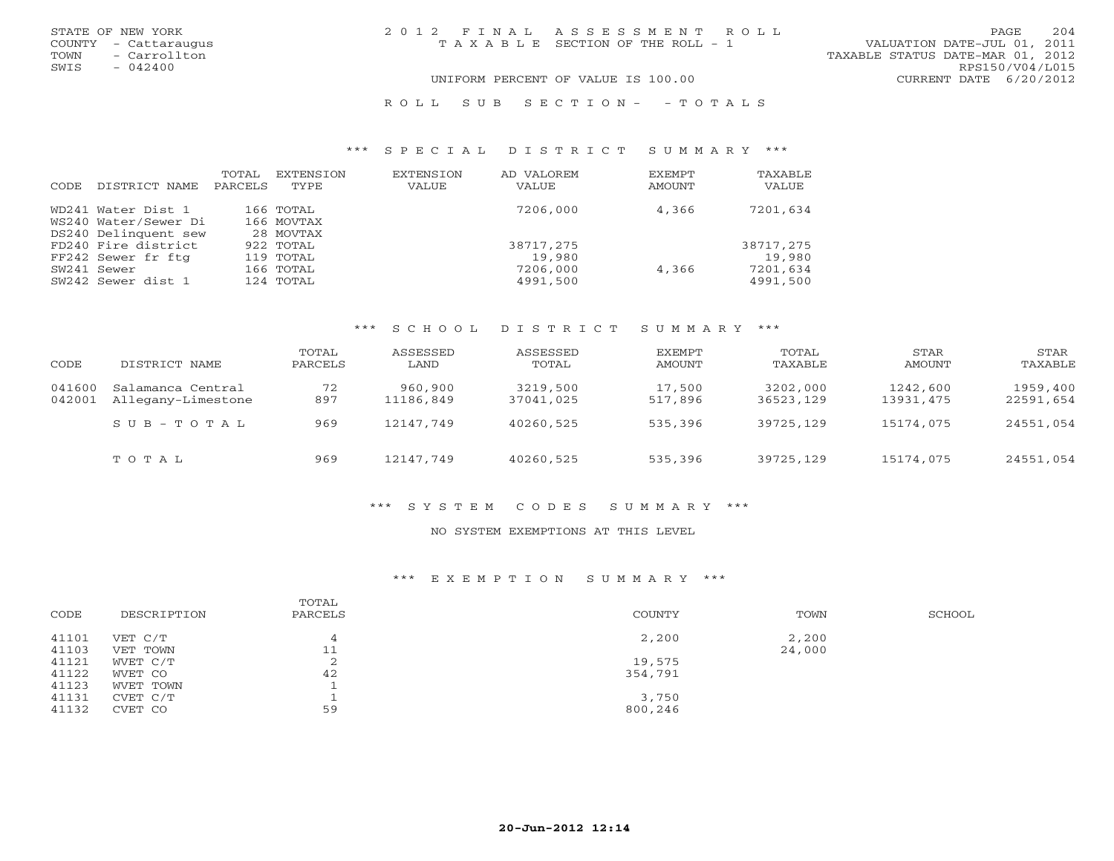| STATE OF NEW YORK    | 2012 FINAL ASSESSMENT ROLL            | 204<br>PAGE                      |
|----------------------|---------------------------------------|----------------------------------|
| COUNTY - Cattaraugus | T A X A B L E SECTION OF THE ROLL - 1 | VALUATION DATE-JUL 01, 2011      |
| TOWN<br>- Carrollton |                                       | TAXABLE STATUS DATE-MAR 01, 2012 |
| SWIS<br>$-042400$    |                                       | RPS150/V04/L015                  |
|                      | UNIFORM PERCENT OF VALUE IS 100.00    | CURRENT DATE 6/20/2012           |
|                      |                                       |                                  |

#### R O L L S U B S E C T I O N - - T O T A L S

#### \*\*\* S P E C I A L D I S T R I C T S U M M A R Y \*\*\*

| CODE | DISTRICT NAME                                           | TOTAL<br>PARCELS | EXTENSION<br>TYPE                   | EXTENSION<br><b>VALUE</b> | AD VALOREM<br><b>VALUE</b>     | EXEMPT<br>AMOUNT | TAXABLE<br>VALUE               |
|------|---------------------------------------------------------|------------------|-------------------------------------|---------------------------|--------------------------------|------------------|--------------------------------|
|      | WD241 Water Dist 1<br>WS240 Water/Sewer Di              |                  | 166 TOTAL<br>166 MOVTAX             |                           | 7206,000                       | 4,366            | 7201,634                       |
|      | DS240 Delinquent sew<br>FD240 Fire district             |                  | 28 MOVTAX<br>922 TOTAL              |                           | 38717,275                      |                  | 38717,275                      |
|      | FF242 Sewer fr ftg<br>SW241 Sewer<br>SW242 Sewer dist 1 |                  | 119 TOTAL<br>166 TOTAL<br>124 TOTAL |                           | 19,980<br>7206,000<br>4991,500 | 4,366            | 19,980<br>7201,634<br>4991,500 |

#### \*\*\* S C H O O L D I S T R I C T S U M M A R Y \*\*\*

| CODE             | DISTRICT NAME                           | TOTAL<br>PARCELS | ASSESSED<br>LAND     | ASSESSED<br>TOTAL     | EXEMPT<br>AMOUNT  | TOTAL<br>TAXABLE      | STAR<br>AMOUNT        | STAR<br>TAXABLE       |
|------------------|-----------------------------------------|------------------|----------------------|-----------------------|-------------------|-----------------------|-----------------------|-----------------------|
| 041600<br>042001 | Salamanca Central<br>Allegany-Limestone | 72<br>897        | 960,900<br>11186,849 | 3219,500<br>37041,025 | 17,500<br>517,896 | 3202,000<br>36523,129 | 1242,600<br>13931,475 | 1959,400<br>22591,654 |
|                  | $SUB - TO T AL$                         | 969              | 12147,749            | 40260,525             | 535,396           | 39725,129             | 15174,075             | 24551,054             |
|                  | TOTAL                                   | 969              | 12147,749            | 40260,525             | 535,396           | 39725,129             | 15174,075             | 24551,054             |

#### \*\*\* S Y S T E M C O D E S S U M M A R Y \*\*\*

#### NO SYSTEM EXEMPTIONS AT THIS LEVEL

#### \*\*\* E X E M P T I O N S U M M A R Y \*\*\*

| CODE  | DESCRIPTION | TOTAL<br>PARCELS | COUNTY  | TOWN   | SCHOOL |
|-------|-------------|------------------|---------|--------|--------|
| 41101 | VET C/T     |                  | 2,200   | 2,200  |        |
| 41103 | VET TOWN    | 11               |         | 24,000 |        |
| 41121 | WVET C/T    |                  | 19,575  |        |        |
| 41122 | WVET CO     | 42               | 354,791 |        |        |
| 41123 | WVET TOWN   |                  |         |        |        |
| 41131 | CVET C/T    |                  | 3,750   |        |        |
| 41132 | CVET CO     | 59               | 800,246 |        |        |
|       |             |                  |         |        |        |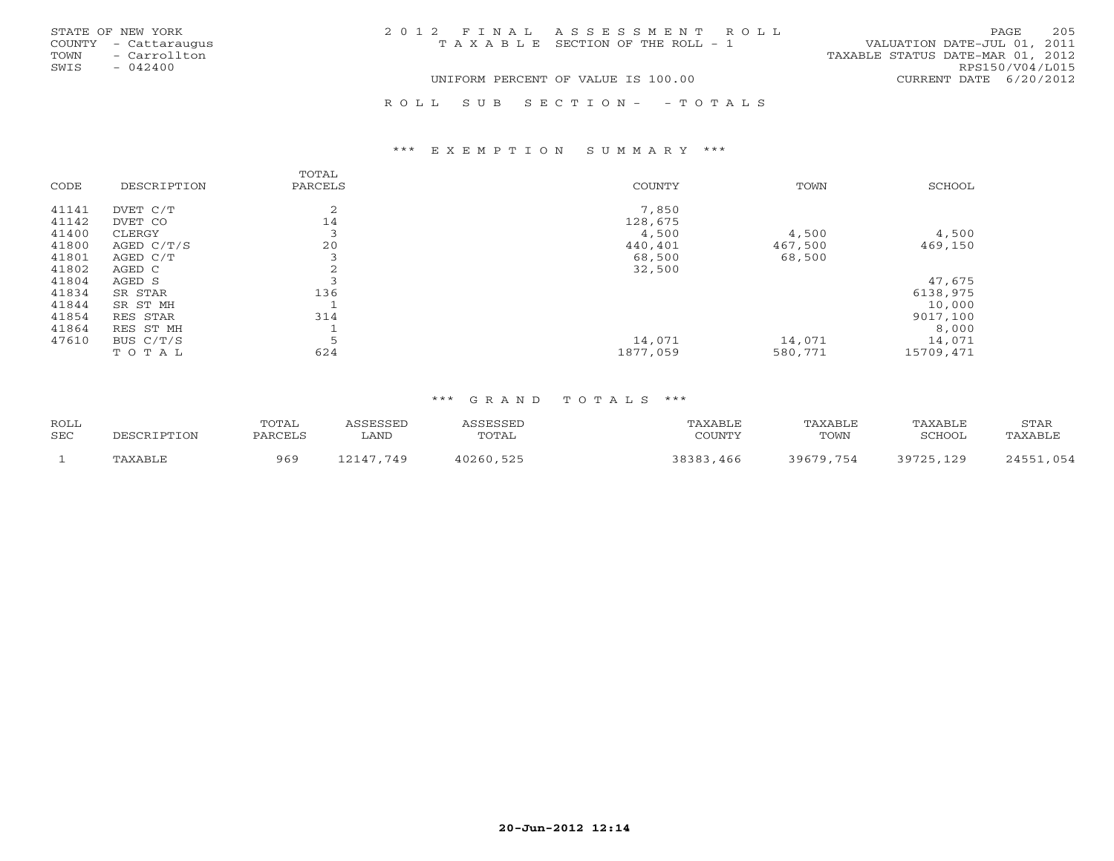| STATE OF NEW YORK    |              | 2012 FINAL ASSESSMENT ROLL            |                                  | PAGE                   | 205 |
|----------------------|--------------|---------------------------------------|----------------------------------|------------------------|-----|
| COUNTY - Cattaraugus |              | T A X A B L E SECTION OF THE ROLL - 1 | VALUATION DATE-JUL 01, 2011      |                        |     |
| TOWN                 | - Carrollton |                                       | TAXABLE STATUS DATE-MAR 01, 2012 |                        |     |
| SWIS<br>$-042400$    |              |                                       |                                  | RPS150/V04/L015        |     |
|                      |              | UNIFORM PERCENT OF VALUE IS 100.00    |                                  | CURRENT DATE 6/20/2012 |     |
|                      |              |                                       |                                  |                        |     |

#### R O L L S U B S E C T I O N - - T O T A L S

#### \*\*\* E X E M P T I O N S U M M A R Y \*\*\*

| CODE  | DESCRIPTION  | TOTAL<br>PARCELS | COUNTY   | TOWN    | SCHOOL    |
|-------|--------------|------------------|----------|---------|-----------|
| 41141 | DVET C/T     | 2                | 7,850    |         |           |
| 41142 | DVET CO      | 14               | 128,675  |         |           |
| 41400 | CLERGY       |                  | 4,500    | 4,500   | 4,500     |
| 41800 | AGED $C/T/S$ | 20               | 440,401  | 467,500 | 469,150   |
| 41801 | AGED C/T     |                  | 68,500   | 68,500  |           |
| 41802 | AGED C       | ∠                | 32,500   |         |           |
| 41804 | AGED S       |                  |          |         | 47,675    |
| 41834 | SR STAR      | 136              |          |         | 6138,975  |
| 41844 | SR ST MH     |                  |          |         | 10,000    |
| 41854 | RES STAR     | 314              |          |         | 9017,100  |
| 41864 | RES ST MH    |                  |          |         | 8,000     |
| 47610 | BUS C/T/S    | 5                | 14,071   | 14,071  | 14,071    |
|       | TOTAL        | 624              | 1877,059 | 580,771 | 15709,471 |

#### \*\*\* G R A N D T O T A L S \*\*\*

| <b>ROLL</b><br><b>SEC</b> | DESCRIPTION | TOTAL<br>PARCELS | <i><b>ASSESSED</b></i><br>∟AND | ASSESSED<br>TOTAL | TAXABLE<br>COUNTY | TAXABLE<br>TOWN | TAXABLE<br>SCHOOL | STAR<br>TAXABLE |
|---------------------------|-------------|------------------|--------------------------------|-------------------|-------------------|-----------------|-------------------|-----------------|
|                           | TAXABLE     | 969              | 12147.749                      | 40260,525         | 38383,466         | 39679,754       | 39725,129         | 24551,054       |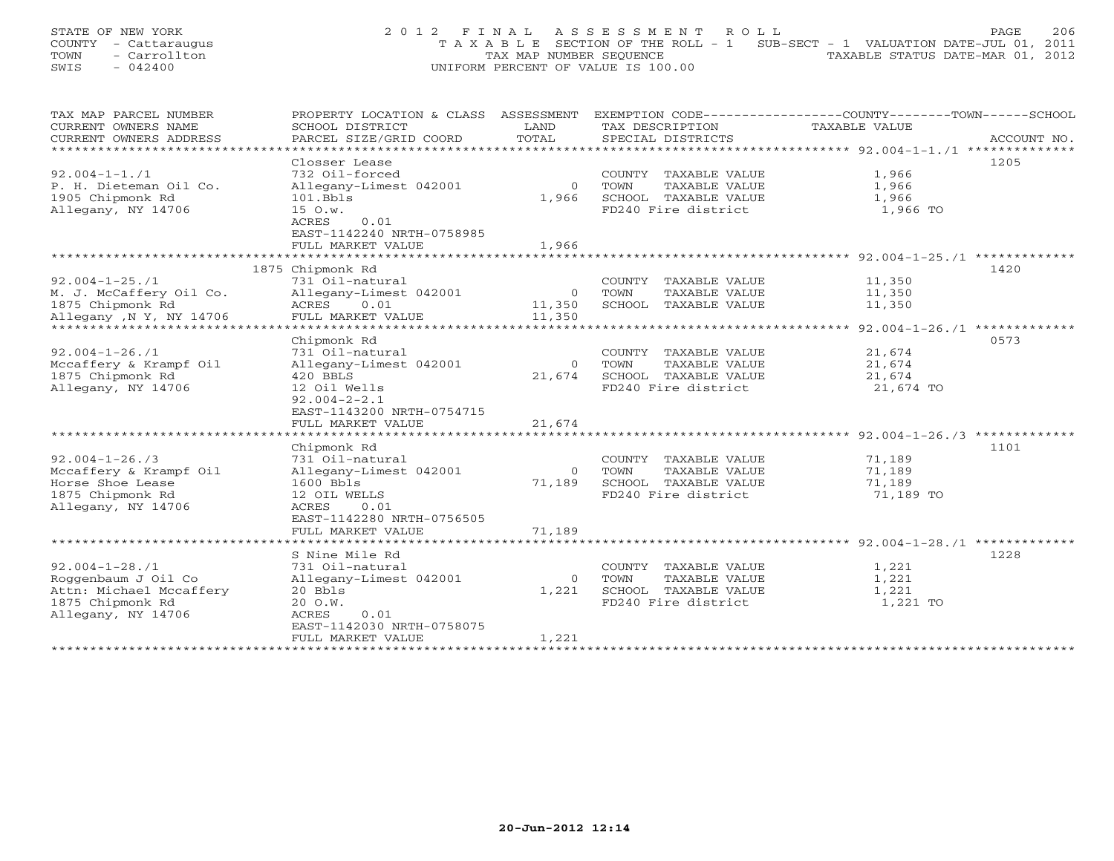| STATE OF NEW YORK |                      |  | 2012 FINAL ASSESSMENT ROLL                                                     |                                  | PAGE. | 206 |
|-------------------|----------------------|--|--------------------------------------------------------------------------------|----------------------------------|-------|-----|
|                   | COUNTY - Cattaraugus |  | T A X A B L E SECTION OF THE ROLL - 1 SUB-SECT - 1 VALUATION DATE-JUL 01, 2011 |                                  |       |     |
| TOWN              | - Carrollton         |  | TAX MAP NUMBER SEOUENCE                                                        | TAXABLE STATUS DATE-MAR 01, 2012 |       |     |
| SWIS              | $-042400$            |  | UNIFORM PERCENT OF VALUE IS 100.00                                             |                                  |       |     |

| TAX MAP PARCEL NUMBER   | PROPERTY LOCATION & CLASS ASSESSMENT |          |                         | EXEMPTION CODE-----------------COUNTY-------TOWN------SCHOOL |
|-------------------------|--------------------------------------|----------|-------------------------|--------------------------------------------------------------|
| CURRENT OWNERS NAME     | SCHOOL DISTRICT                      | LAND     | TAX DESCRIPTION         | TAXABLE VALUE                                                |
| CURRENT OWNERS ADDRESS  | PARCEL SIZE/GRID COORD               | TOTAL    | SPECIAL DISTRICTS       | ACCOUNT NO.                                                  |
| ********************    |                                      |          |                         |                                                              |
|                         | Closser Lease                        |          |                         | 1205                                                         |
| $92.004 - 1 - 1.71$     | 732 Oil-forced                       |          | COUNTY TAXABLE VALUE    | 1,966                                                        |
| P. H. Dieteman Oil Co.  | Allegany-Limest 042001               | $\circ$  | TOWN<br>TAXABLE VALUE   | 1,966                                                        |
| 1905 Chipmonk Rd        | 101.Bbls                             | 1,966    | SCHOOL TAXABLE VALUE    | 1,966                                                        |
| Allegany, NY 14706      | 150.w.                               |          | FD240 Fire district     | 1,966 TO                                                     |
|                         | ACRES<br>0.01                        |          |                         |                                                              |
|                         |                                      |          |                         |                                                              |
|                         | EAST-1142240 NRTH-0758985            |          |                         |                                                              |
|                         | FULL MARKET VALUE                    | 1,966    |                         |                                                              |
|                         | **************************           |          |                         |                                                              |
|                         | 1875 Chipmonk Rd                     |          |                         | 1420                                                         |
| $92.004 - 1 - 25.71$    | 731 Oil-natural                      |          | COUNTY<br>TAXABLE VALUE | 11,350                                                       |
| M. J. McCaffery Oil Co. | Allegany-Limest 042001               | $\circ$  | TOWN<br>TAXABLE VALUE   | 11,350                                                       |
| 1875 Chipmonk Rd        | ACRES 0.01                           | 11,350   | SCHOOL TAXABLE VALUE    | 11,350                                                       |
| Allegany, N Y, NY 14706 | FULL MARKET VALUE                    | 11,350   |                         |                                                              |
|                         |                                      |          |                         |                                                              |
|                         | Chipmonk Rd                          |          |                         | 0573                                                         |
| $92.004 - 1 - 26.71$    | 731 Oil-natural                      |          | COUNTY TAXABLE VALUE    | 21,674                                                       |
| Mccaffery & Krampf Oil  | Allegany-Limest 042001               | $\circ$  | TAXABLE VALUE<br>TOWN   | 21,674                                                       |
| 1875 Chipmonk Rd        | 420 BBLS                             | 21,674   | SCHOOL TAXABLE VALUE    | 21,674                                                       |
|                         |                                      |          |                         |                                                              |
| Allegany, NY 14706      | 12 Oil Wells                         |          | FD240 Fire district     | 21,674 TO                                                    |
|                         | $92.004 - 2 - 2.1$                   |          |                         |                                                              |
|                         | EAST-1143200 NRTH-0754715            |          |                         |                                                              |
|                         | FULL MARKET VALUE                    | 21,674   |                         |                                                              |
|                         |                                      |          |                         | **************** 92.004-1-26./3 **************               |
|                         | Chipmonk Rd                          |          |                         | 1101                                                         |
| $92.004 - 1 - 26.73$    | 731 Oil-natural                      |          | COUNTY TAXABLE VALUE    | 71,189                                                       |
| Mccaffery & Krampf Oil  | Allegany-Limest 042001               | $\Omega$ | TAXABLE VALUE<br>TOWN   | 71,189                                                       |
| Horse Shoe Lease        | 1600 Bbls                            | 71,189   | SCHOOL TAXABLE VALUE    | 71,189                                                       |
| 1875 Chipmonk Rd        | 12 OIL WELLS                         |          | FD240 Fire district     | 71,189 TO                                                    |
| Allegany, NY 14706      | ACRES<br>0.01                        |          |                         |                                                              |
|                         | EAST-1142280 NRTH-0756505            |          |                         |                                                              |
|                         | FULL MARKET VALUE                    | 71,189   |                         |                                                              |
|                         | *******************                  |          |                         | ************************* 92.004-1-28./1 *************       |
|                         |                                      |          |                         |                                                              |
|                         | S Nine Mile Rd                       |          |                         | 1228                                                         |
| $92.004 - 1 - 28.11$    | 731 Oil-natural                      |          | COUNTY TAXABLE VALUE    | 1,221                                                        |
| Roggenbaum J Oil Co     | Allegany-Limest 042001               | $\circ$  | TOWN<br>TAXABLE VALUE   | 1,221                                                        |
| Attn: Michael Mccaffery | 20 Bbls                              | 1,221    | SCHOOL TAXABLE VALUE    | 1,221                                                        |
| 1875 Chipmonk Rd        | 20 O.W.                              |          | FD240 Fire district     | 1,221 TO                                                     |
| Allegany, NY 14706      | ACRES<br>0.01                        |          |                         |                                                              |
|                         | EAST-1142030 NRTH-0758075            |          |                         |                                                              |
|                         | FULL MARKET VALUE                    | 1,221    |                         |                                                              |
|                         |                                      |          |                         |                                                              |
|                         |                                      |          |                         |                                                              |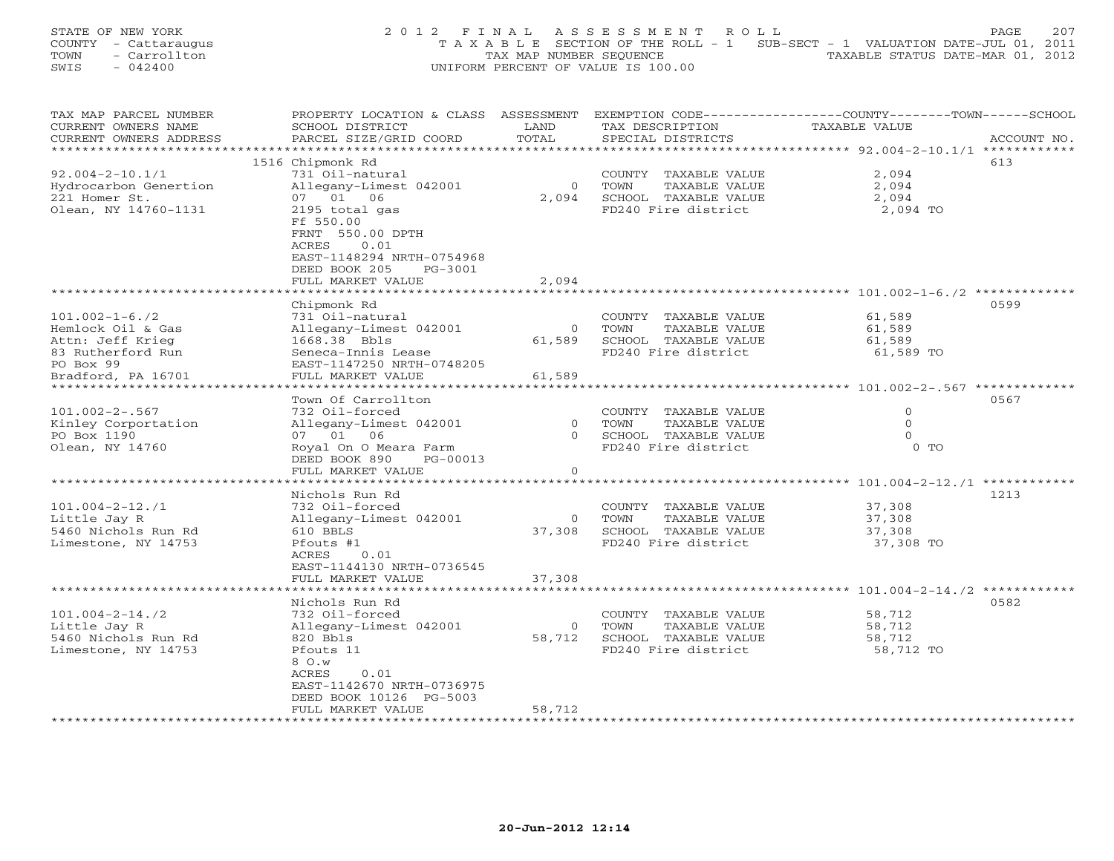STATE OF NEW YORK 2 0 1 2 F I N A L A S S E S S M E N T R O L L PAGE 207 COUNTY - Cattaraugus T A X A B L E SECTION OF THE ROLL - 1 SUB-SECT - 1 VALUATION DATE-JUL 01, 2011 TOWN - Carrollton - Carrollton TAX MAP NUMBER SEQUENCE TAXABLE STATUS DATE-MAR 01, 2012<br>
SWIS - 042400 - CARROLLTON TAXABLE STATUS DATE-MAR 01, 2012 SWIS - 042400 UNIFORM PERCENT OF VALUE IS 100.00

| TAX MAP PARCEL NUMBER   | PROPERTY LOCATION & CLASS ASSESSMENT |                |                         | EXEMPTION CODE-----------------COUNTY-------TOWN-----SCHOOL |             |
|-------------------------|--------------------------------------|----------------|-------------------------|-------------------------------------------------------------|-------------|
| CURRENT OWNERS NAME     | SCHOOL DISTRICT                      | LAND           | TAX DESCRIPTION         | TAXABLE VALUE                                               |             |
| CURRENT OWNERS ADDRESS  | PARCEL SIZE/GRID COORD               | TOTAL          | SPECIAL DISTRICTS       |                                                             | ACCOUNT NO. |
|                         |                                      |                |                         | **************** 92.004-2-10.1/1 ************               |             |
|                         | 1516 Chipmonk Rd                     |                |                         |                                                             | 613         |
| $92.004 - 2 - 10.1/1$   | 731 Oil-natural                      |                | COUNTY TAXABLE VALUE    | 2,094                                                       |             |
| Hydrocarbon Genertion   | Allegany-Limest 042001               | $\Omega$       | TAXABLE VALUE<br>TOWN   | 2,094                                                       |             |
| 221 Homer St.           | 07 01 06                             | 2,094          | SCHOOL TAXABLE VALUE    | 2,094                                                       |             |
|                         |                                      |                |                         |                                                             |             |
| Olean, NY 14760-1131    | 2195 total gas                       |                | FD240 Fire district     | 2,094 TO                                                    |             |
|                         | Ff 550.00                            |                |                         |                                                             |             |
|                         | FRNT 550.00 DPTH                     |                |                         |                                                             |             |
|                         | ACRES<br>0.01                        |                |                         |                                                             |             |
|                         | EAST-1148294 NRTH-0754968            |                |                         |                                                             |             |
|                         | DEED BOOK 205<br>PG-3001             |                |                         |                                                             |             |
|                         | FULL MARKET VALUE                    | 2,094          |                         |                                                             |             |
|                         |                                      |                |                         |                                                             |             |
|                         | Chipmonk Rd                          |                |                         |                                                             | 0599        |
| $101.002 - 1 - 6.72$    | 731 Oil-natural                      |                | COUNTY TAXABLE VALUE    | 61,589                                                      |             |
| Hemlock Oil & Gas       | Allegany-Limest 042001               | $\circ$        | TAXABLE VALUE<br>TOWN   | 61,589                                                      |             |
| Attn: Jeff Krieg        | 1668.38 Bbls                         | 61,589         | SCHOOL TAXABLE VALUE    | 61,589                                                      |             |
| 83 Rutherford Run       | Seneca-Innis Lease                   |                | FD240 Fire district     | 61,589 TO                                                   |             |
| PO Box 99               | EAST-1147250 NRTH-0748205            |                |                         |                                                             |             |
| Bradford, PA 16701      | FULL MARKET VALUE                    | 61,589         |                         |                                                             |             |
| *********************** |                                      |                |                         |                                                             |             |
|                         |                                      |                |                         |                                                             |             |
|                         | Town Of Carrollton                   |                |                         |                                                             | 0567        |
| $101.002 - 2 - .567$    | 732 Oil-forced                       |                | COUNTY TAXABLE VALUE    | $\mathbf{0}$                                                |             |
| Kinley Corportation     | Allegany-Limest 042001               |                | 0 TOWN<br>TAXABLE VALUE | $\mathbf{0}$                                                |             |
| PO Box 1190             | 07 01 06                             |                | 0 SCHOOL TAXABLE VALUE  | $\Omega$                                                    |             |
| Olean, NY 14760         | Royal On O Meara Farm                |                | FD240 Fire district     | $0$ TO                                                      |             |
|                         | DEED BOOK 890<br>PG-00013            |                |                         |                                                             |             |
|                         | FULL MARKET VALUE                    | $\circ$        |                         |                                                             |             |
|                         | *************************            |                |                         |                                                             |             |
|                         | Nichols Run Rd                       |                |                         |                                                             | 1213        |
| $101.004 - 2 - 12.71$   | 732 Oil-forced                       |                | COUNTY TAXABLE VALUE    | 37,308                                                      |             |
| Little Jay R            | Allegany-Limest 042001               | $\overline{0}$ | TOWN<br>TAXABLE VALUE   | 37,308                                                      |             |
| 5460 Nichols Run Rd     | 610 BBLS                             | 37,308         | SCHOOL TAXABLE VALUE    | 37,308                                                      |             |
| Limestone, NY 14753     | Pfouts #1                            |                | FD240 Fire district     | 37,308 TO                                                   |             |
|                         | ACRES<br>0.01                        |                |                         |                                                             |             |
|                         |                                      |                |                         |                                                             |             |
|                         | EAST-1144130 NRTH-0736545            |                |                         |                                                             |             |
|                         | FULL MARKET VALUE                    | 37,308         |                         |                                                             |             |
|                         |                                      |                |                         |                                                             |             |
|                         | Nichols Run Rd                       |                |                         |                                                             | 0582        |
| $101.004 - 2 - 14.72$   | 732 Oil-forced                       |                | COUNTY TAXABLE VALUE    | 58,712                                                      |             |
| Little Jay R            | Allegany-Limest 042001               | $\overline{0}$ | TOWN<br>TAXABLE VALUE   | 58,712                                                      |             |
| 5460 Nichols Run Rd     | 820 Bbls                             | 58,712         | SCHOOL TAXABLE VALUE    | 58,712                                                      |             |
| Limestone, NY 14753     | Pfouts 11                            |                | FD240 Fire district     | 58,712 TO                                                   |             |
|                         | 8 O.W                                |                |                         |                                                             |             |
|                         | ACRES<br>0.01                        |                |                         |                                                             |             |
|                         | EAST-1142670 NRTH-0736975            |                |                         |                                                             |             |
|                         | DEED BOOK 10126 PG-5003              |                |                         |                                                             |             |
|                         | FULL MARKET VALUE                    | 58,712         |                         |                                                             |             |
|                         |                                      |                |                         |                                                             |             |
|                         |                                      |                |                         |                                                             |             |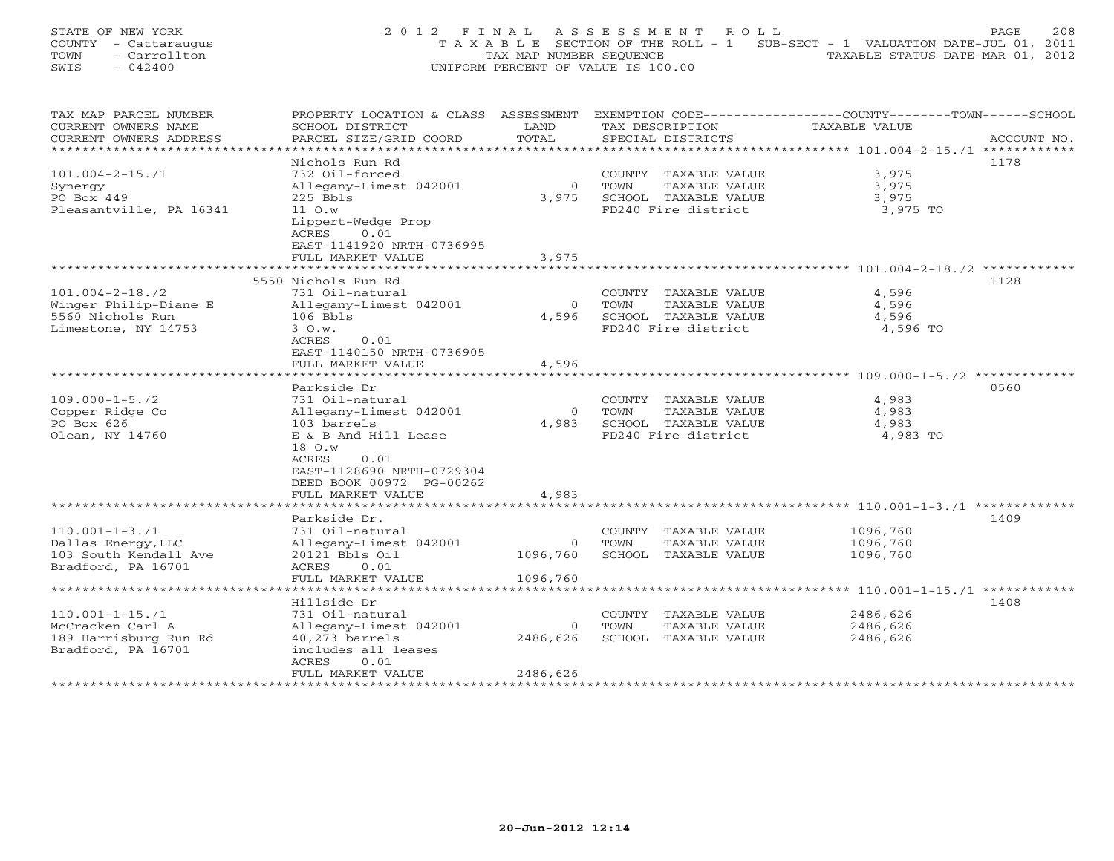STATE OF NEW YORK 2 0 1 2 F I N A L A S S E S S M E N T R O L L PAGE 208 COUNTY - Cattaraugus T A X A B L E SECTION OF THE ROLL - 1 SUB-SECT - 1 VALUATION DATE-JUL 01, 2011 TOWN - Carrollton - Carrollton TAX MAP NUMBER SEQUENCE TAXABLE STATUS DATE-MAR 01, 2012<br>
SWIS - 042400 - CARROLLTON TAXABLE STATUS DATE-MAR 01, 2012 SWIS - 042400 UNIFORM PERCENT OF VALUE IS 100.00

| TAX MAP PARCEL NUMBER   | PROPERTY LOCATION & CLASS ASSESSMENT |                | EXEMPTION CODE-----------------COUNTY-------TOWN------SCHOOL |               |             |
|-------------------------|--------------------------------------|----------------|--------------------------------------------------------------|---------------|-------------|
| CURRENT OWNERS NAME     | SCHOOL DISTRICT                      | LAND           | TAX DESCRIPTION                                              | TAXABLE VALUE |             |
| CURRENT OWNERS ADDRESS  | PARCEL SIZE/GRID COORD               | TOTAL          | SPECIAL DISTRICTS                                            |               | ACCOUNT NO. |
| *******************     |                                      |                |                                                              |               |             |
|                         | Nichols Run Rd                       |                |                                                              |               | 1178        |
| $101.004 - 2 - 15.71$   | 732 Oil-forced                       |                | COUNTY TAXABLE VALUE                                         | 3,975         |             |
| Synergy                 | Allegany-Limest 042001               | $\overline{0}$ | TOWN<br>TAXABLE VALUE                                        | 3,975         |             |
| PO Box 449              | $225$ Bbls                           | 3,975          | SCHOOL TAXABLE VALUE                                         | 3,975         |             |
| Pleasantville, PA 16341 | 11 O.w                               |                | FD240 Fire district                                          | 3,975 TO      |             |
|                         | Lippert-Wedge Prop                   |                |                                                              |               |             |
|                         | 0.01<br>ACRES                        |                |                                                              |               |             |
|                         | EAST-1141920 NRTH-0736995            |                |                                                              |               |             |
|                         | FULL MARKET VALUE                    | 3,975          |                                                              |               |             |
|                         |                                      |                |                                                              |               |             |
|                         | 5550 Nichols Run Rd                  |                |                                                              |               | 1128        |
| $101.004 - 2 - 18.72$   | 731 Oil-natural                      |                | COUNTY TAXABLE VALUE                                         | 4,596         |             |
| Winger Philip-Diane E   |                                      | $\Omega$       | TAXABLE VALUE<br>TOWN                                        | 4,596         |             |
|                         | Allegany-Limest 042001               |                |                                                              |               |             |
| 5560 Nichols Run        | $106$ Bbls                           | 4,596          | SCHOOL TAXABLE VALUE                                         | 4,596         |             |
| Limestone, NY 14753     | 3 O.w.                               |                | FD240 Fire district                                          | 4,596 TO      |             |
|                         | ACRES<br>0.01                        |                |                                                              |               |             |
|                         | EAST-1140150 NRTH-0736905            |                |                                                              |               |             |
|                         | FULL MARKET VALUE                    | 4,596          |                                                              |               |             |
|                         | ***********************              |                |                                                              |               |             |
|                         | Parkside Dr                          |                |                                                              |               | 0560        |
| $109.000 - 1 - 5.72$    | 731 Oil-natural                      |                | COUNTY TAXABLE VALUE                                         | 4,983         |             |
| Copper Ridge Co         | Allegany-Limest 042001               | $\circ$        | TAXABLE VALUE<br>TOWN                                        | 4,983         |             |
| PO Box 626              | 103 barrels                          | 4,983          | SCHOOL TAXABLE VALUE                                         | 4,983         |             |
| Olean, NY 14760         | E & B And Hill Lease                 |                | FD240 Fire district                                          | 4,983 TO      |             |
|                         | 18 O.w                               |                |                                                              |               |             |
|                         | <b>ACRES</b><br>0.01                 |                |                                                              |               |             |
|                         | EAST-1128690 NRTH-0729304            |                |                                                              |               |             |
|                         | DEED BOOK 00972 PG-00262             |                |                                                              |               |             |
|                         | FULL MARKET VALUE                    | 4,983          |                                                              |               |             |
|                         | ********************                 | ************   |                                                              |               |             |
|                         | Parkside Dr.                         |                |                                                              |               | 1409        |
| $110.001 - 1 - 3.71$    | 731 Oil-natural                      |                | COUNTY TAXABLE VALUE                                         | 1096,760      |             |
| Dallas Energy, LLC      | Allegany-Limest 042001               | $\circ$        | TOWN<br>TAXABLE VALUE                                        | 1096,760      |             |
| 103 South Kendall Ave   | 20121 Bbls Oil                       | 1096,760       | SCHOOL TAXABLE VALUE                                         | 1096,760      |             |
| Bradford, PA 16701      | ACRES<br>0.01                        |                |                                                              |               |             |
|                         | FULL MARKET VALUE                    | 1096,760       |                                                              |               |             |
|                         |                                      |                |                                                              |               |             |
|                         | Hillside Dr                          |                |                                                              |               | 1408        |
|                         |                                      |                |                                                              |               |             |
| $110.001 - 1 - 15.71$   | 731 Oil-natural                      |                | COUNTY TAXABLE VALUE                                         | 2486,626      |             |
| McCracken Carl A        | Allegany-Limest 042001               | $\overline{0}$ | TOWN<br>TAXABLE VALUE                                        | 2486,626      |             |
| 189 Harrisburg Run Rd   | 40,273 barrels                       | 2486,626       | SCHOOL TAXABLE VALUE                                         | 2486,626      |             |
| Bradford, PA 16701      | includes all leases                  |                |                                                              |               |             |
|                         | ACRES<br>0.01                        |                |                                                              |               |             |
|                         | FULL MARKET VALUE                    | 2486,626       |                                                              |               |             |
|                         |                                      |                |                                                              |               |             |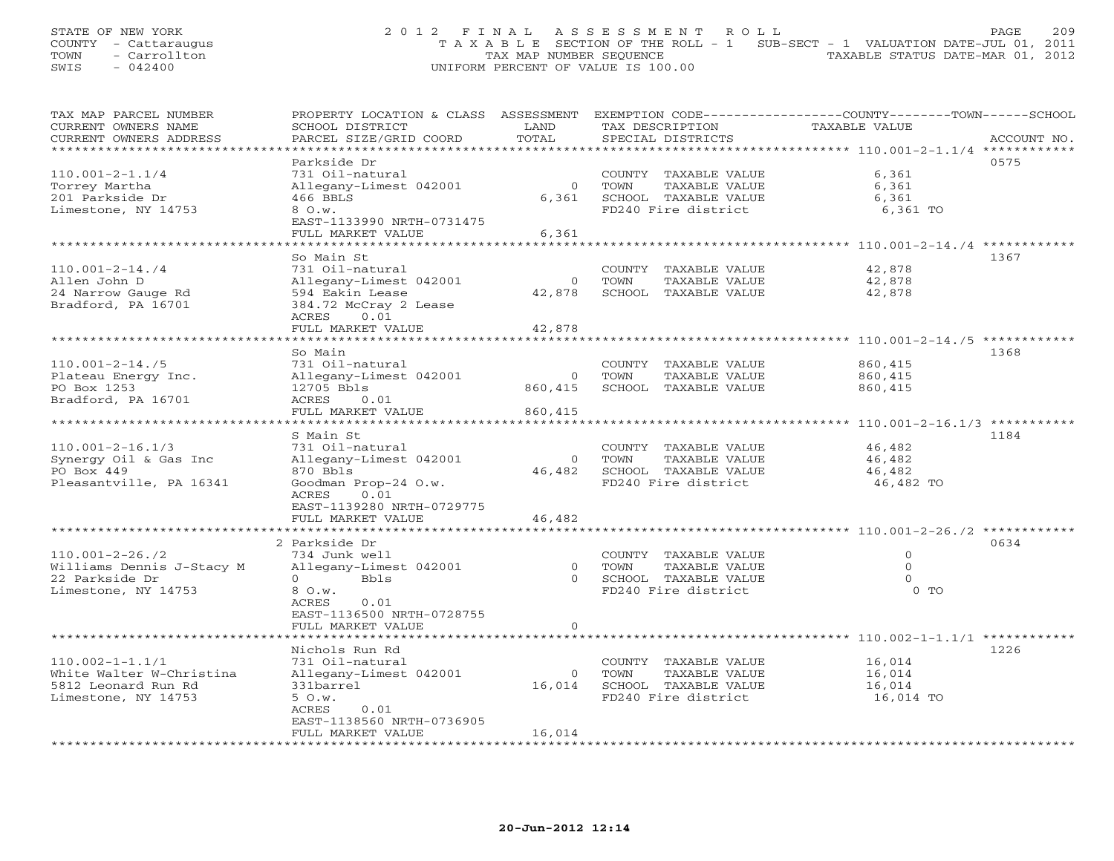STATE OF NEW YORK 20 2 0 1 2 F I N A L A S S E S S M E N T R O L L PAGE 209 COUNTY - Cattaraugus T A X A B L E SECTION OF THE ROLL - 1 SUB-SECT - 1 VALUATION DATE-JUL 01, 2011 TOWN - Carrollton - Carrollton TAX MAP NUMBER SEQUENCE TAXABLE STATUS DATE-MAR 01, 2012<br>
SWIS - 042400 - CARROLLTON TAXABLE STATUS DATE-MAR 01, 2012 SWIS - 042400 UNIFORM PERCENT OF VALUE IS 100.00

| TAX MAP PARCEL NUMBER     | PROPERTY LOCATION & CLASS ASSESSMENT |                |                             | EXEMPTION CODE-----------------COUNTY-------TOWN------SCHOOL |             |
|---------------------------|--------------------------------------|----------------|-----------------------------|--------------------------------------------------------------|-------------|
| CURRENT OWNERS NAME       | SCHOOL DISTRICT                      | LAND           | TAX DESCRIPTION             | TAXABLE VALUE                                                |             |
| CURRENT OWNERS ADDRESS    | PARCEL SIZE/GRID COORD               | TOTAL          | SPECIAL DISTRICTS           |                                                              | ACCOUNT NO. |
|                           |                                      |                |                             |                                                              |             |
|                           | Parkside Dr                          |                |                             |                                                              | 0575        |
| $110.001 - 2 - 1.1/4$     | 731 Oil-natural                      |                | COUNTY TAXABLE VALUE        | 6,361                                                        |             |
| Torrey Martha             | Allegany-Limest 042001               | $\Omega$       | TOWN<br>TAXABLE VALUE       | 6,361                                                        |             |
| 201 Parkside Dr           | 466 BBLS                             | 6,361          | SCHOOL TAXABLE VALUE        | 6,361                                                        |             |
| Limestone, NY 14753       | 8 O.w.                               |                | FD240 Fire district         | 6,361 TO                                                     |             |
|                           | EAST-1133990 NRTH-0731475            |                |                             |                                                              |             |
|                           | FULL MARKET VALUE                    | 6,361          |                             |                                                              |             |
|                           |                                      |                |                             |                                                              |             |
|                           |                                      |                |                             |                                                              |             |
|                           | So Main St                           |                |                             |                                                              | 1367        |
| $110.001 - 2 - 14.74$     | 731 Oil-natural                      |                | COUNTY TAXABLE VALUE        | 42,878                                                       |             |
| Allen John D              | Allegany-Limest 042001               | $\circ$        | TOWN<br>TAXABLE VALUE       | 42,878                                                       |             |
| 24 Narrow Gauge Rd        | 594 Eakin Lease                      | 42,878         | SCHOOL TAXABLE VALUE        | 42,878                                                       |             |
| Bradford, PA 16701        | 384.72 McCray 2 Lease                |                |                             |                                                              |             |
|                           | ACRES<br>0.01                        |                |                             |                                                              |             |
|                           | FULL MARKET VALUE                    | 42,878         |                             |                                                              |             |
|                           | *******************                  | ***********    |                             | ********************* 110.001-2-14.75 *************          |             |
|                           | So Main                              |                |                             |                                                              | 1368        |
| $110.001 - 2 - 14.75$     | 731 Oil-natural                      |                | COUNTY TAXABLE VALUE        | 860,415                                                      |             |
| Plateau Energy Inc.       | Allegany-Limest 042001               | $\circ$        | TOWN<br>TAXABLE VALUE       | 860,415                                                      |             |
|                           |                                      |                |                             |                                                              |             |
| PO Box 1253               | 12705 Bbls                           | 860,415        | SCHOOL TAXABLE VALUE        | 860,415                                                      |             |
| Bradford, PA 16701        | ACRES<br>0.01                        |                |                             |                                                              |             |
|                           | FULL MARKET VALUE                    | 860,415        |                             |                                                              |             |
|                           | ******************                   |                |                             | *********** 110.001-2-16.1/3 **********                      |             |
|                           | S Main St                            |                |                             |                                                              | 1184        |
| $110.001 - 2 - 16.1/3$    | 731 Oil-natural                      |                | COUNTY TAXABLE VALUE        | 46,482                                                       |             |
| Synergy Oil & Gas Inc     | Allegany-Limest 042001               | $\overline{0}$ | TAXABLE VALUE<br>TOWN       | 46,482                                                       |             |
| PO Box 449                | 870 Bbls                             |                | 46,482 SCHOOL TAXABLE VALUE | 46,482                                                       |             |
| Pleasantville, PA 16341   | Goodman Prop-24 O.w.                 |                | FD240 Fire district         | 46,482 TO                                                    |             |
|                           | ACRES<br>0.01                        |                |                             |                                                              |             |
|                           | EAST-1139280 NRTH-0729775            |                |                             |                                                              |             |
|                           | FULL MARKET VALUE                    | 46,482         |                             |                                                              |             |
|                           |                                      |                |                             |                                                              |             |
|                           |                                      |                |                             |                                                              |             |
|                           | 2 Parkside Dr                        |                |                             |                                                              | 0634        |
| $110.001 - 2 - 26.72$     | 734 Junk well                        |                | COUNTY TAXABLE VALUE        | $\circ$                                                      |             |
| Williams Dennis J-Stacy M | Allegany-Limest 042001               | $\circ$        | TAXABLE VALUE<br>TOWN       | $\circ$                                                      |             |
| 22 Parkside Dr            | $\Omega$<br>Bbls                     | $\cap$         | SCHOOL TAXABLE VALUE        | $\Omega$                                                     |             |
| Limestone, NY 14753       | 8 O.w.                               |                | FD240 Fire district         | $0$ TO                                                       |             |
|                           | 0.01<br>ACRES                        |                |                             |                                                              |             |
|                           | EAST-1136500 NRTH-0728755            |                |                             |                                                              |             |
|                           | FULL MARKET VALUE                    | $\Omega$       |                             |                                                              |             |
|                           |                                      |                |                             |                                                              |             |
|                           | Nichols Run Rd                       |                |                             |                                                              | 1226        |
| $110.002 - 1 - 1.1/1$     | 731 Oil-natural                      |                | COUNTY TAXABLE VALUE        | 16,014                                                       |             |
| White Walter W-Christina  | Allegany-Limest 042001               | $\overline{0}$ | TOWN<br>TAXABLE VALUE       | 16,014                                                       |             |
|                           | 331barrel                            | 16,014         |                             |                                                              |             |
| 5812 Leonard Run Rd       |                                      |                | SCHOOL TAXABLE VALUE        | 16,014                                                       |             |
| Limestone, NY 14753       | 5 O.w.                               |                | FD240 Fire district         | 16,014 TO                                                    |             |
|                           | ACRES<br>0.01                        |                |                             |                                                              |             |
|                           | EAST-1138560 NRTH-0736905            |                |                             |                                                              |             |
|                           | FULL MARKET VALUE                    | 16,014         |                             |                                                              |             |
|                           |                                      |                |                             |                                                              |             |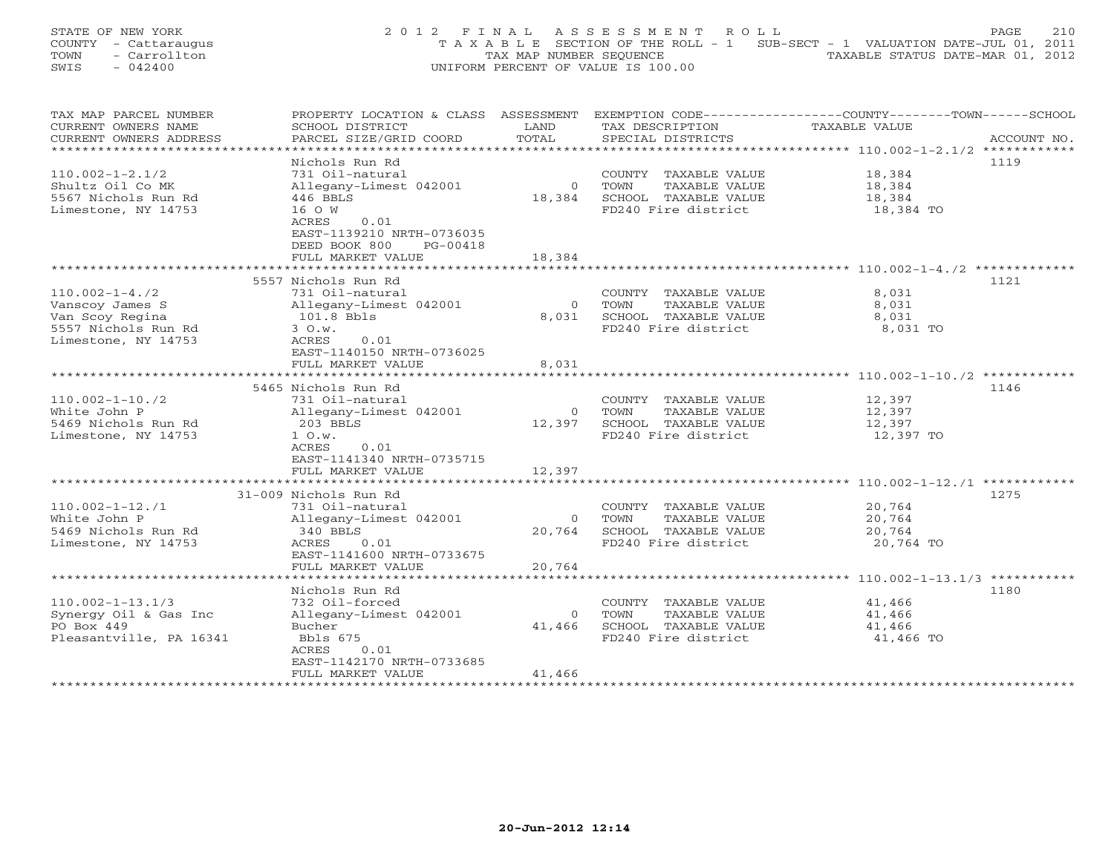STATE OF NEW YORK 2 0 1 2 F I N A L A S S E S S M E N T R O L L PAGE 210 COUNTY - Cattaraugus T A X A B L E SECTION OF THE ROLL - 1 SUB-SECT - 1 VALUATION DATE-JUL 01, 2011 TOWN - Carrollton - Carrollton TAX MAP NUMBER SEQUENCE TAXABLE STATUS DATE-MAR 01, 2012<br>
SWIS - 042400 - CARROLLTON TAXABLE STATUS DATE-MAR 01, 2012 SWIS - 042400 UNIFORM PERCENT OF VALUE IS 100.00

| TAX MAP PARCEL NUMBER   | PROPERTY LOCATION & CLASS ASSESSMENT |                |                       | EXEMPTION CODE-----------------COUNTY-------TOWN------SCHOOL |
|-------------------------|--------------------------------------|----------------|-----------------------|--------------------------------------------------------------|
| CURRENT OWNERS NAME     | SCHOOL DISTRICT                      | LAND           | TAX DESCRIPTION       | TAXABLE VALUE                                                |
| CURRENT OWNERS ADDRESS  | PARCEL SIZE/GRID COORD               | TOTAL          | SPECIAL DISTRICTS     | ACCOUNT NO.                                                  |
| ********************    | **********************               |                |                       |                                                              |
|                         | Nichols Run Rd                       |                |                       | 1119                                                         |
| $110.002 - 1 - 2.1/2$   | 731 Oil-natural                      |                | COUNTY TAXABLE VALUE  | 18,384                                                       |
| Shultz Oil Co MK        | Allegany-Limest 042001               | $\overline{0}$ | TOWN<br>TAXABLE VALUE | 18,384                                                       |
| 5567 Nichols Run Rd     | 446 BBLS                             | 18,384         | SCHOOL TAXABLE VALUE  | 18,384                                                       |
| Limestone, NY 14753     | 16 O W                               |                | FD240 Fire district   | 18,384 TO                                                    |
|                         | ACRES<br>0.01                        |                |                       |                                                              |
|                         | EAST-1139210 NRTH-0736035            |                |                       |                                                              |
|                         | DEED BOOK 800<br>PG-00418            |                |                       |                                                              |
|                         | FULL MARKET VALUE                    | 18,384         |                       |                                                              |
|                         |                                      |                |                       |                                                              |
|                         | 5557 Nichols Run Rd                  |                |                       | 1121                                                         |
| $110.002 - 1 - 4.72$    | 731 Oil-natural                      |                | COUNTY TAXABLE VALUE  | 8,031                                                        |
| Vanscoy James S         | Allegany-Limest 042001               | $\circ$        | TOWN<br>TAXABLE VALUE | 8,031                                                        |
| Van Scoy Regina         | 101.8 Bbls                           | 8,031          | SCHOOL TAXABLE VALUE  | 8,031                                                        |
| 5557 Nichols Run Rd     | 3 O.w.                               |                | FD240 Fire district   | 8,031 TO                                                     |
| Limestone, NY 14753     | 0.01<br>ACRES                        |                |                       |                                                              |
|                         | EAST-1140150 NRTH-0736025            |                |                       |                                                              |
|                         | FULL MARKET VALUE                    | 8,031          |                       |                                                              |
|                         |                                      |                |                       |                                                              |
|                         | 5465 Nichols Run Rd                  |                |                       | 1146                                                         |
| $110.002 - 1 - 10.72$   | 731 Oil-natural                      |                | COUNTY TAXABLE VALUE  | 12,397                                                       |
| White John P            |                                      | $\overline{0}$ | TAXABLE VALUE<br>TOWN |                                                              |
|                         | Allegany-Limest 042001               |                |                       | 12,397                                                       |
| 5469 Nichols Run Rd     | $203$ BBLS                           | 12,397         | SCHOOL TAXABLE VALUE  | 12,397                                                       |
| Limestone, NY 14753     | 1 O.w.                               |                | FD240 Fire district   | 12,397 TO                                                    |
|                         | ACRES<br>0.01                        |                |                       |                                                              |
|                         | EAST-1141340 NRTH-0735715            |                |                       |                                                              |
|                         | FULL MARKET VALUE                    | 12,397         |                       |                                                              |
|                         |                                      |                |                       |                                                              |
|                         | 31-009 Nichols Run Rd                |                |                       | 1275                                                         |
| $110.002 - 1 - 12.71$   | 731 Oil-natural                      |                | COUNTY TAXABLE VALUE  | 20,764                                                       |
| White John P            | Allegany-Limest 042001               | $\overline{0}$ | TOWN<br>TAXABLE VALUE | 20,764                                                       |
| 5469 Nichols Run Rd     | 340 BBLS                             | 20,764         | SCHOOL TAXABLE VALUE  | 20,764                                                       |
| Limestone, NY 14753     | ACRES<br>0.01                        |                | FD240 Fire district   | 20,764 TO                                                    |
|                         | EAST-1141600 NRTH-0733675            |                |                       |                                                              |
|                         | FULL MARKET VALUE                    | 20,764         |                       |                                                              |
|                         |                                      |                |                       |                                                              |
|                         | Nichols Run Rd                       |                |                       | 1180                                                         |
| $110.002 - 1 - 13.1/3$  | 732 Oil-forced                       |                | COUNTY TAXABLE VALUE  | 41,466                                                       |
| Synergy Oil & Gas Inc   | Allegany-Limest 042001               | $\circ$        | TOWN<br>TAXABLE VALUE | 41,466                                                       |
| PO Box 449              | Bucher                               | 41,466         | SCHOOL TAXABLE VALUE  | 41,466                                                       |
| Pleasantville, PA 16341 | Bbls 675                             |                | FD240 Fire district   | 41,466 TO                                                    |
|                         | ACRES<br>0.01                        |                |                       |                                                              |
|                         | EAST-1142170 NRTH-0733685            |                |                       |                                                              |
|                         | FULL MARKET VALUE                    | 41,466         |                       |                                                              |
|                         | ********************                 |                |                       |                                                              |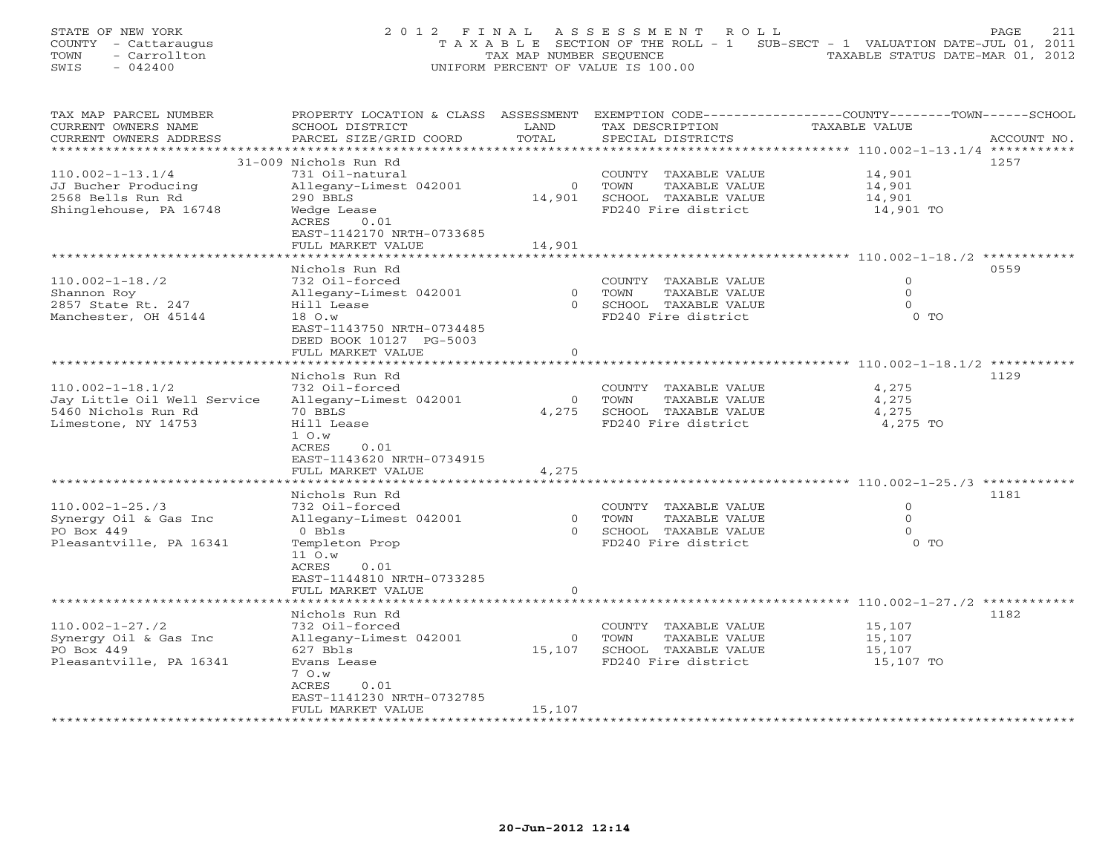STATE OF NEW YORK 2 0 1 2 F I N A L A S S E S S M E N T R O L L PAGE 211 COUNTY - Cattaraugus T A X A B L E SECTION OF THE ROLL - 1 SUB-SECT - 1 VALUATION DATE-JUL 01, 2011 TOWN - Carrollton - Carrollton TAX MAP NUMBER SEQUENCE TAXABLE STATUS DATE-MAR 01, 2012<br>
SWIS - 042400 - CARROLLTON TAXABLE STATUS DATE-MAR 01, 2012 SWIS - 042400 UNIFORM PERCENT OF VALUE IS 100.00

| TAX MAP PARCEL NUMBER                             | PROPERTY LOCATION & CLASS ASSESSMENT EXEMPTION CODE----------------COUNTY-------TOWN------SCHOOL |                |                                                   |                              |             |
|---------------------------------------------------|--------------------------------------------------------------------------------------------------|----------------|---------------------------------------------------|------------------------------|-------------|
| CURRENT OWNERS NAME                               | SCHOOL DISTRICT                                                                                  | LAND           | TAX DESCRIPTION                                   | TAXABLE VALUE                |             |
| CURRENT OWNERS ADDRESS<br>*********************** | PARCEL SIZE/GRID COORD                                                                           | TOTAL          | SPECIAL DISTRICTS                                 |                              | ACCOUNT NO. |
|                                                   | 31-009 Nichols Run Rd                                                                            |                |                                                   |                              | 1257        |
| $110.002 - 1 - 13.1/4$                            | 731 Oil-natural                                                                                  |                | COUNTY TAXABLE VALUE                              | 14,901                       |             |
| JJ Bucher Producing                               | Allegany-Limest 042001                                                                           | $\circ$        | TOWN<br>TAXABLE VALUE                             | 14,901                       |             |
| 2568 Bells Run Rd                                 | 290 BBLS                                                                                         | 14,901         | SCHOOL TAXABLE VALUE                              | 14,901                       |             |
| Shinglehouse, PA 16748                            | Wedge Lease                                                                                      |                | FD240 Fire district                               | 14,901 TO                    |             |
|                                                   | ACRES<br>0.01                                                                                    |                |                                                   |                              |             |
|                                                   | EAST-1142170 NRTH-0733685                                                                        |                |                                                   |                              |             |
|                                                   | FULL MARKET VALUE                                                                                | 14,901         |                                                   |                              |             |
|                                                   |                                                                                                  |                |                                                   |                              |             |
|                                                   | Nichols Run Rd                                                                                   |                |                                                   |                              | 0559        |
| $110.002 - 1 - 18.72$                             | 732 Oil-forced                                                                                   |                | COUNTY TAXABLE VALUE                              | $\circ$                      |             |
| Shannon Roy                                       | Allegany-Limest 042001                                                                           | $\overline{0}$ | TAXABLE VALUE<br>TOWN                             | $\mathbf{0}$                 |             |
| 2857 State Rt. 247                                | Hill Lease                                                                                       | $\Omega$       | SCHOOL TAXABLE VALUE                              | $\Omega$                     |             |
| Manchester, OH 45144                              | 18 O.w                                                                                           |                | FD240 Fire district                               | 0 <sub>0</sub>               |             |
|                                                   | EAST-1143750 NRTH-0734485                                                                        |                |                                                   |                              |             |
|                                                   | DEED BOOK 10127 PG-5003<br>FULL MARKET VALUE                                                     | $\mathbf{0}$   |                                                   |                              |             |
|                                                   |                                                                                                  |                |                                                   |                              |             |
|                                                   | Nichols Run Rd                                                                                   |                |                                                   |                              | 1129        |
| $110.002 - 1 - 18.1/2$                            | 732 Oil-forced                                                                                   |                | COUNTY TAXABLE VALUE                              | 4,275                        |             |
| Jay Little Oil Well Service                       | Allegany-Limest 042001                                                                           | $\circ$        | TAXABLE VALUE<br>TOWN                             | 4,275                        |             |
| 5460 Nichols Run Rd                               | 70 BBLS                                                                                          | 4,275          | SCHOOL TAXABLE VALUE                              | 4,275                        |             |
| Limestone, NY 14753                               | Hill Lease                                                                                       |                | FD240 Fire district                               | 4,275 TO                     |             |
|                                                   | 1 O.w                                                                                            |                |                                                   |                              |             |
|                                                   | ACRES<br>0.01                                                                                    |                |                                                   |                              |             |
|                                                   | EAST-1143620 NRTH-0734915                                                                        |                |                                                   |                              |             |
|                                                   | FULL MARKET VALUE                                                                                | 4,275          |                                                   |                              |             |
|                                                   |                                                                                                  |                |                                                   |                              |             |
|                                                   | Nichols Run Rd                                                                                   |                |                                                   |                              | 1181        |
| $110.002 - 1 - 25.73$                             | 732 Oil-forced                                                                                   |                | COUNTY TAXABLE VALUE                              | $\mathbf{0}$<br>$\mathbf{0}$ |             |
| Synergy Oil & Gas Inc<br>PO Box 449               | Allegany-Limest 042001                                                                           |                | 0 TOWN<br>TAXABLE VALUE<br>0 SCHOOL TAXABLE VALUE | $\Omega$                     |             |
| Pleasantville, PA 16341                           | 0 Bbls<br>Templeton Prop                                                                         |                | FD240 Fire district                               | $0$ TO                       |             |
|                                                   | 11 O.w                                                                                           |                |                                                   |                              |             |
|                                                   | ACRES<br>0.01                                                                                    |                |                                                   |                              |             |
|                                                   | EAST-1144810 NRTH-0733285                                                                        |                |                                                   |                              |             |
|                                                   | FULL MARKET VALUE                                                                                | $\circ$        |                                                   |                              |             |
|                                                   |                                                                                                  |                |                                                   |                              |             |
|                                                   | Nichols Run Rd                                                                                   |                |                                                   |                              | 1182        |
| $110.002 - 1 - 27.72$                             | 732 Oil-forced                                                                                   |                | COUNTY TAXABLE VALUE                              | 15,107                       |             |
| Synergy Oil & Gas Inc                             | Allegany-Limest 042001                                                                           | $\overline{0}$ | TOWN<br>TAXABLE VALUE                             | 15,107                       |             |
| PO Box 449                                        | 627 Bbls                                                                                         | 15,107         | SCHOOL TAXABLE VALUE                              | 15,107                       |             |
| Pleasantville, PA 16341                           | Evans Lease                                                                                      |                | FD240 Fire district                               | 15,107 TO                    |             |
|                                                   | 7 O.W                                                                                            |                |                                                   |                              |             |
|                                                   | ACRES<br>0.01                                                                                    |                |                                                   |                              |             |
|                                                   | EAST-1141230 NRTH-0732785                                                                        |                |                                                   |                              |             |
|                                                   | FULL MARKET VALUE                                                                                | 15,107         |                                                   |                              |             |
|                                                   |                                                                                                  |                |                                                   |                              |             |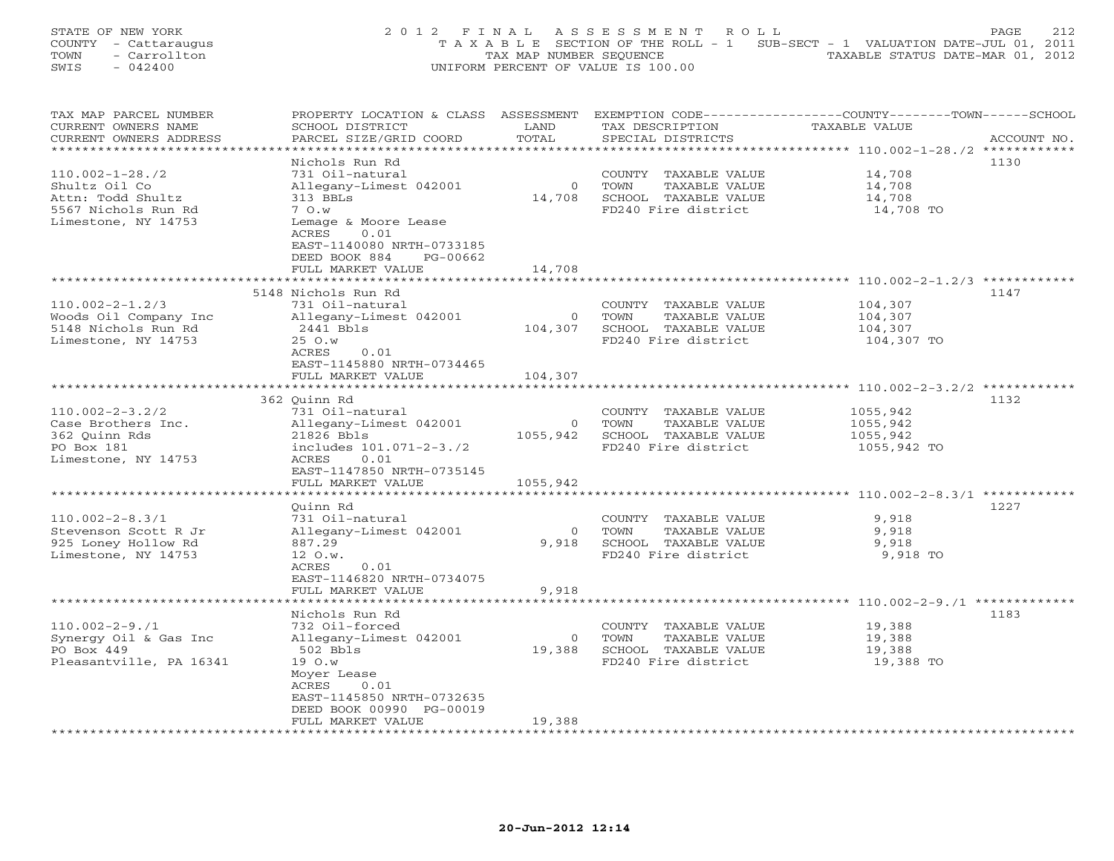STATE OF NEW YORK 22 0 1 2 F I N A L A S S E S S M E N T R O L L PAGE 212 COUNTY - Cattaraugus T A X A B L E SECTION OF THE ROLL - 1 SUB-SECT - 1 VALUATION DATE-JUL 01, 2011 TOWN - Carrollton - Carrollton TAX MAP NUMBER SEQUENCE TAXABLE STATUS DATE-MAR 01, 2012<br>
SWIS - 042400 - CARROLLTON TAXABLE STATUS DATE-MAR 01, 2012 SWIS - 042400 UNIFORM PERCENT OF VALUE IS 100.00

| TAX MAP PARCEL NUMBER   | PROPERTY LOCATION & CLASS ASSESSMENT |                         |                       | EXEMPTION CODE-----------------COUNTY-------TOWN------SCHOOL |
|-------------------------|--------------------------------------|-------------------------|-----------------------|--------------------------------------------------------------|
| CURRENT OWNERS NAME     | SCHOOL DISTRICT                      | LAND                    | TAX DESCRIPTION       | TAXABLE VALUE                                                |
| CURRENT OWNERS ADDRESS  | PARCEL SIZE/GRID COORD               | TOTAL                   | SPECIAL DISTRICTS     | ACCOUNT NO.                                                  |
|                         |                                      |                         |                       |                                                              |
|                         | Nichols Run Rd                       |                         |                       | 1130                                                         |
| $110.002 - 1 - 28.72$   | 731 Oil-natural                      |                         | COUNTY TAXABLE VALUE  | 14,708                                                       |
|                         |                                      |                         |                       |                                                              |
| Shultz Oil Co           | Allegany-Limest 042001               | $\circ$                 | TOWN<br>TAXABLE VALUE | 14,708                                                       |
| Attn: Todd Shultz       | 313 BBLs                             | 14,708                  | SCHOOL TAXABLE VALUE  | 14,708                                                       |
| 5567 Nichols Run Rd     | 7 O.W                                |                         | FD240 Fire district   | 14,708 TO                                                    |
| Limestone, NY 14753     | Lemage & Moore Lease                 |                         |                       |                                                              |
|                         | ACRES<br>0.01                        |                         |                       |                                                              |
|                         | EAST-1140080 NRTH-0733185            |                         |                       |                                                              |
|                         | DEED BOOK 884<br>PG-00662            |                         |                       |                                                              |
|                         | FULL MARKET VALUE                    | 14,708                  |                       |                                                              |
|                         |                                      |                         |                       |                                                              |
|                         | 5148 Nichols Run Rd                  |                         |                       | 1147                                                         |
| $110.002 - 2 - 1.2/3$   | 731 Oil-natural                      |                         | COUNTY TAXABLE VALUE  | 104,307                                                      |
|                         |                                      |                         |                       |                                                              |
| Woods Oil Company Inc   | Allegany-Limest 042001               | $\overline{0}$          | TOWN<br>TAXABLE VALUE | 104,307                                                      |
| 5148 Nichols Run Rd     | 2441 Bbls                            | 104,307                 | SCHOOL TAXABLE VALUE  | 104,307                                                      |
| Limestone, NY 14753     | 25 O.w                               |                         | FD240 Fire district   | 104,307 TO                                                   |
|                         | ACRES<br>0.01                        |                         |                       |                                                              |
|                         | EAST-1145880 NRTH-0734465            |                         |                       |                                                              |
|                         | FULL MARKET VALUE                    | 104,307                 |                       |                                                              |
|                         | ********************                 | * * * * * * * * * * * * |                       | *************************** 110.002-2-3.2/2 ***********      |
|                         | 362 Ouinn Rd                         |                         |                       | 1132                                                         |
| $110.002 - 2 - 3.2/2$   | 731 Oil-natural                      |                         | COUNTY TAXABLE VALUE  | 1055,942                                                     |
| Case Brothers Inc.      | Allegany-Limest 042001               | $\circ$                 | TAXABLE VALUE<br>TOWN | 1055,942                                                     |
| 362 Quinn Rds           | 21826 Bbls                           | 1055,942                | SCHOOL TAXABLE VALUE  | 1055,942                                                     |
|                         |                                      |                         | FD240 Fire district   |                                                              |
| PO Box 181              | includes 101.071-2-3./2              |                         |                       | 1055,942 TO                                                  |
| Limestone, NY 14753     | ACRES<br>0.01                        |                         |                       |                                                              |
|                         | EAST-1147850 NRTH-0735145            |                         |                       |                                                              |
|                         | FULL MARKET VALUE                    | 1055,942                |                       |                                                              |
|                         |                                      |                         |                       |                                                              |
|                         | Ouinn Rd                             |                         |                       | 1227                                                         |
| $110.002 - 2 - 8.3/1$   | 731 Oil-natural                      |                         | COUNTY TAXABLE VALUE  | 9,918                                                        |
| Stevenson Scott R Jr    | Allegany-Limest 042001               | $\Omega$                | TOWN<br>TAXABLE VALUE | 9,918                                                        |
| 925 Loney Hollow Rd     | 887.29                               | 9,918                   | SCHOOL TAXABLE VALUE  | 9,918                                                        |
| Limestone, NY 14753     | 12 O.w.                              |                         | FD240 Fire district   | 9,918 TO                                                     |
|                         | ACRES<br>0.01                        |                         |                       |                                                              |
|                         | EAST-1146820 NRTH-0734075            |                         |                       |                                                              |
|                         | FULL MARKET VALUE                    | 9,918                   |                       |                                                              |
|                         | ******************                   |                         |                       |                                                              |
|                         |                                      |                         |                       |                                                              |
|                         | Nichols Run Rd                       |                         |                       | 1183                                                         |
| $110.002 - 2 - 9.1$     | 732 Oil-forced                       |                         | COUNTY TAXABLE VALUE  | 19,388                                                       |
| Synergy Oil & Gas Inc   | Allegany-Limest 042001               | $\circ$                 | TOWN<br>TAXABLE VALUE | 19,388                                                       |
| PO Box 449              | 502 Bbls                             | 19,388                  | SCHOOL TAXABLE VALUE  | 19,388                                                       |
| Pleasantville, PA 16341 | 19 O.w                               |                         | FD240 Fire district   | 19,388 TO                                                    |
|                         | Moyer Lease                          |                         |                       |                                                              |
|                         | ACRES<br>0.01                        |                         |                       |                                                              |
|                         | EAST-1145850 NRTH-0732635            |                         |                       |                                                              |
|                         | DEED BOOK 00990 PG-00019             |                         |                       |                                                              |
|                         | FULL MARKET VALUE                    | 19,388                  |                       |                                                              |
|                         |                                      |                         |                       |                                                              |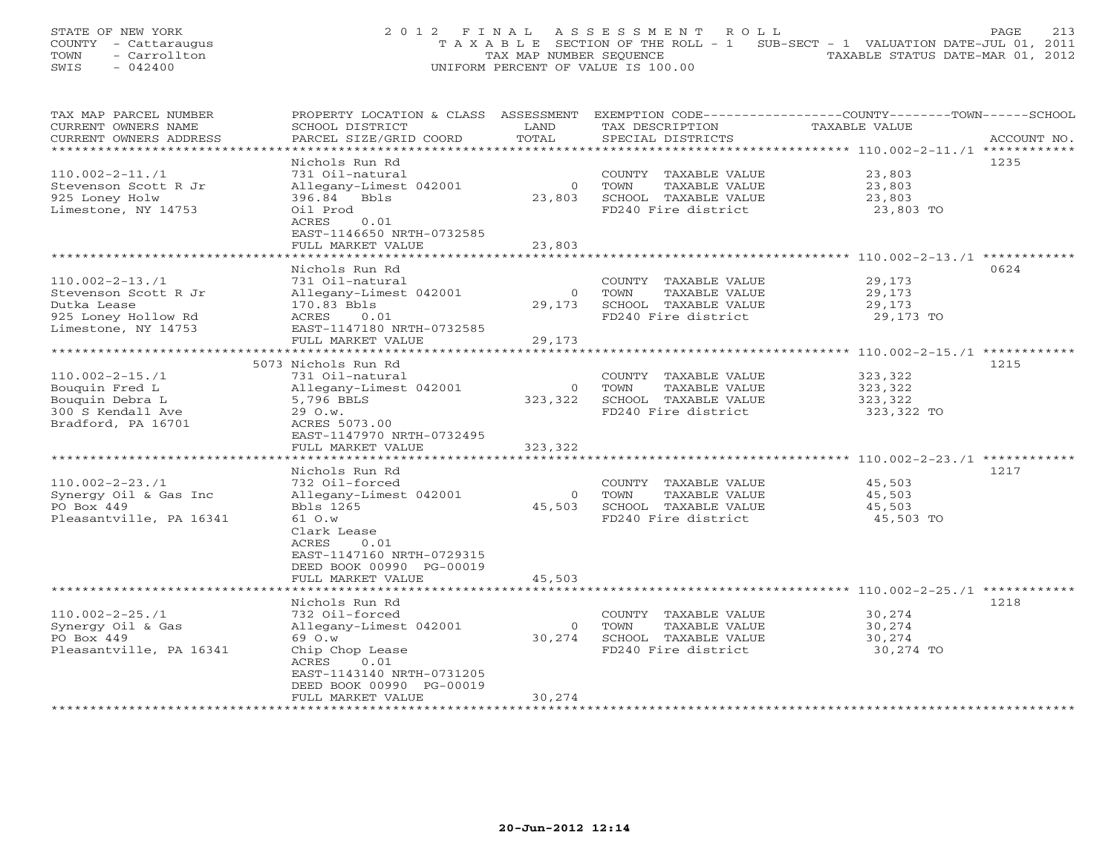STATE OF NEW YORK 213 2012 FINAL ASSESSMENT ROLL PAGE 213 COUNTY - Cattaraugus T A X A B L E SECTION OF THE ROLL - 1 SUB-SECT - 1 VALUATION DATE-JUL 01, 2011 TOWN - Carrollton - Carrollton TAX MAP NUMBER SEQUENCE TAXABLE STATUS DATE-MAR 01, 2012<br>
SWIS - 042400 - CARROLLTON TAXABLE STATUS DATE-MAR 01, 2012 SWIS - 042400 UNIFORM PERCENT OF VALUE IS 100.00

| TAX MAP PARCEL NUMBER   | PROPERTY LOCATION & CLASS             | ASSESSMENT     |                       | EXEMPTION CODE-----------------COUNTY-------TOWN------SCHOOL |
|-------------------------|---------------------------------------|----------------|-----------------------|--------------------------------------------------------------|
| CURRENT OWNERS NAME     | SCHOOL DISTRICT                       | LAND           | TAX DESCRIPTION       | TAXABLE VALUE                                                |
| CURRENT OWNERS ADDRESS  | PARCEL SIZE/GRID COORD                | TOTAL          | SPECIAL DISTRICTS     | ACCOUNT NO.                                                  |
|                         |                                       |                |                       |                                                              |
|                         | Nichols Run Rd                        |                |                       | 1235                                                         |
| $110.002 - 2 - 11.71$   | 731 Oil-natural                       |                | COUNTY TAXABLE VALUE  | 23,803                                                       |
|                         |                                       | $\mathbf{0}$   | TOWN                  |                                                              |
| Stevenson Scott R Jr    | Allegany-Limest 042001                |                | TAXABLE VALUE         | 23,803                                                       |
| 925 Loney Holw          | 396.84 Bbls                           | 23,803         | SCHOOL TAXABLE VALUE  | 23,803                                                       |
| Limestone, NY 14753     | Oil Prod                              |                | FD240 Fire district   | 23,803 TO                                                    |
|                         | ACRES<br>0.01                         |                |                       |                                                              |
|                         | EAST-1146650 NRTH-0732585             |                |                       |                                                              |
|                         | FULL MARKET VALUE                     | 23,803         |                       |                                                              |
|                         |                                       |                |                       |                                                              |
|                         | Nichols Run Rd                        |                |                       | 0624                                                         |
| $110.002 - 2 - 13.71$   | 731 Oil-natural                       |                | COUNTY TAXABLE VALUE  | 29,173                                                       |
| Stevenson Scott R Jr    | Allegany-Limest 042001                | $\overline{0}$ | TOWN<br>TAXABLE VALUE | 29,173                                                       |
|                         | 170.83 Bbls                           | 29,173         | SCHOOL TAXABLE VALUE  | 29,173                                                       |
| Dutka Lease             |                                       |                |                       |                                                              |
| 925 Loney Hollow Rd     | 0.01<br>ACRES                         |                | FD240 Fire district   | 29,173 TO                                                    |
| Limestone, NY 14753     | EAST-1147180 NRTH-0732585             |                |                       |                                                              |
|                         | FULL MARKET VALUE                     | 29,173         |                       |                                                              |
| *******************     |                                       |                |                       |                                                              |
|                         | 5073 Nichols Run Rd                   |                |                       | 1215                                                         |
| $110.002 - 2 - 15.71$   | 731 Oil-natural                       |                | COUNTY TAXABLE VALUE  | 323,322                                                      |
| Bouquin Fred L          | Allegany-Limest 042001                | $\circ$        | TOWN<br>TAXABLE VALUE | 323,322                                                      |
| Bouquin Debra L         | 5,796 BBLS                            | 323,322        | SCHOOL TAXABLE VALUE  | 323,322                                                      |
| 300 S Kendall Ave       | 29 O.w.                               |                | FD240 Fire district   | 323,322 TO                                                   |
|                         |                                       |                |                       |                                                              |
| Bradford, PA 16701      | ACRES 5073.00                         |                |                       |                                                              |
|                         | EAST-1147970 NRTH-0732495             |                |                       |                                                              |
|                         | FULL MARKET VALUE                     | 323,322        |                       |                                                              |
|                         | + + + + + + + + + + + + + + + + + + + |                |                       | *********************** 110.002-2-23./1 ************         |
|                         | Nichols Run Rd                        |                |                       | 1217                                                         |
| $110.002 - 2 - 23.71$   | 732 Oil-forced                        |                | COUNTY TAXABLE VALUE  | 45,503                                                       |
| Synergy Oil & Gas Inc   | Allegany-Limest 042001                | $\overline{0}$ | TOWN<br>TAXABLE VALUE | 45,503                                                       |
| PO Box 449              | Bbls 1265                             | 45,503         | SCHOOL TAXABLE VALUE  | 45,503                                                       |
| Pleasantville, PA 16341 | 61 O.w                                |                | FD240 Fire district   | 45,503 TO                                                    |
|                         | Clark Lease                           |                |                       |                                                              |
|                         | ACRES<br>0.01                         |                |                       |                                                              |
|                         |                                       |                |                       |                                                              |
|                         | EAST-1147160 NRTH-0729315             |                |                       |                                                              |
|                         | DEED BOOK 00990 PG-00019              |                |                       |                                                              |
|                         | FULL MARKET VALUE                     | 45,503         |                       |                                                              |
|                         | ********************                  |                |                       | ****************************** 110.002-2-25./1 ************  |
|                         | Nichols Run Rd                        |                |                       | 1218                                                         |
| $110.002 - 2 - 25.71$   | 732 Oil-forced                        |                | COUNTY TAXABLE VALUE  | 30,274                                                       |
| Synergy Oil & Gas       | Allegany-Limest 042001                | $\overline{0}$ | TOWN<br>TAXABLE VALUE | 30,274                                                       |
| PO Box 449              | 69 O.W                                | 30,274         | SCHOOL TAXABLE VALUE  | 30,274                                                       |
| Pleasantville, PA 16341 | Chip Chop Lease                       |                | FD240 Fire district   | 30,274 TO                                                    |
|                         |                                       |                |                       |                                                              |
|                         | 0.01<br>ACRES                         |                |                       |                                                              |
|                         | EAST-1143140 NRTH-0731205             |                |                       |                                                              |
|                         | DEED BOOK 00990 PG-00019              |                |                       |                                                              |
|                         | FULL MARKET VALUE                     | 30,274         |                       |                                                              |
|                         | ******************                    |                |                       |                                                              |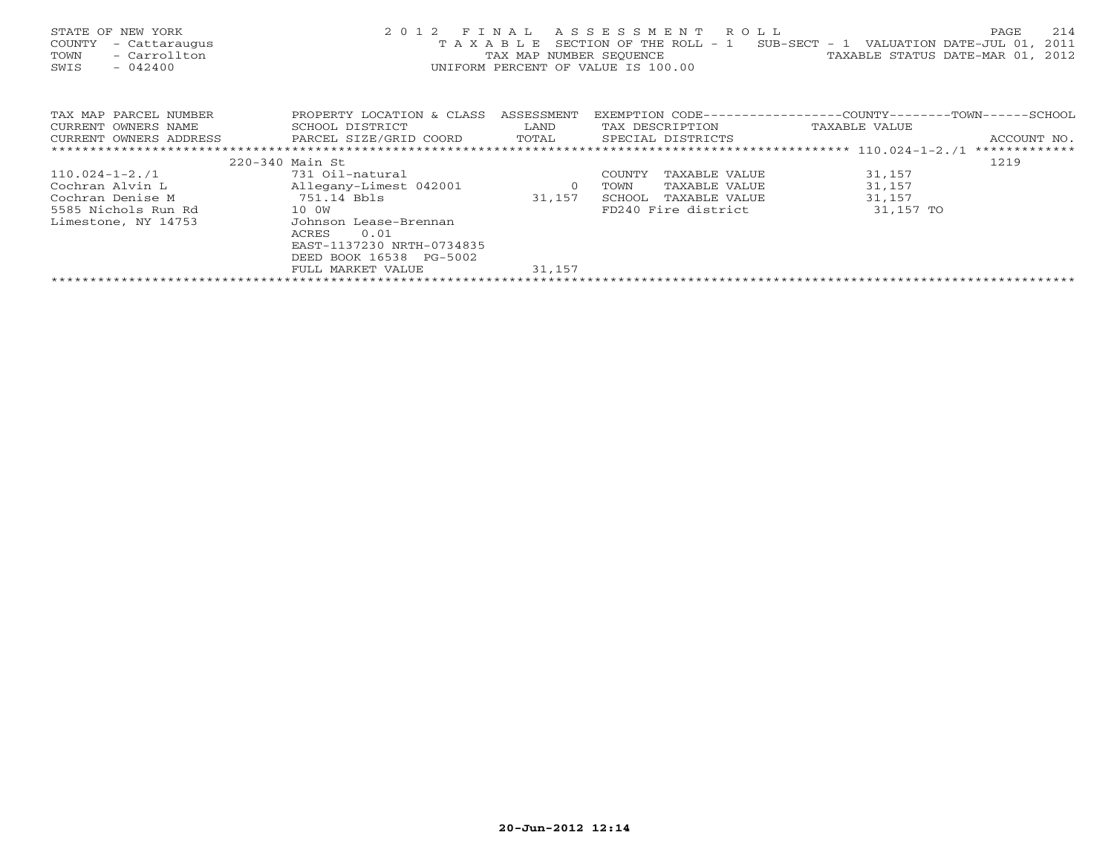| STATE OF NEW YORK<br>- Cattaraugus<br>COUNTY<br>- Carrollton<br>TOWN<br>$-042400$<br>SWIS | 2012 FINAL<br>ASSESSMENT ROLL<br>SECTION OF THE ROLL - $1$ SUB-SECT - 1 VALUATION DATE-JUL 01,<br>TAXABLE<br>TAXABLE STATUS DATE-MAR 01, 2012<br>TAX MAP NUMBER SEOUENCE<br>UNIFORM PERCENT OF VALUE IS 100.00 |        |                         |                                                              |             |  |
|-------------------------------------------------------------------------------------------|----------------------------------------------------------------------------------------------------------------------------------------------------------------------------------------------------------------|--------|-------------------------|--------------------------------------------------------------|-------------|--|
| TAX MAP PARCEL NUMBER                                                                     | PROPERTY LOCATION & CLASS ASSESSMENT                                                                                                                                                                           |        |                         | EXEMPTION CODE-----------------COUNTY-------TOWN------SCHOOL |             |  |
| CURRENT OWNERS NAME                                                                       | <b>Example 12 Distribution of the LAND</b><br>SCHOOL DISTRICT                                                                                                                                                  |        | TAX DESCRIPTION         | TAXABLE VALUE                                                |             |  |
| CURRENT OWNERS ADDRESS                                                                    | PARCEL SIZE/GRID COORD TOTAL                                                                                                                                                                                   |        | SPECIAL DISTRICTS       |                                                              | ACCOUNT NO. |  |
|                                                                                           |                                                                                                                                                                                                                |        |                         |                                                              |             |  |
|                                                                                           | 220-340 Main St                                                                                                                                                                                                |        |                         |                                                              | 1219        |  |
| 110.024-1-2./1                                                                            | 731 Oil-natural                                                                                                                                                                                                |        | COUNTY<br>TAXABLE VALUE | 31,157                                                       |             |  |
| Cochran Alvin L                                                                           | Allegany-Limest 042001 0                                                                                                                                                                                       |        | TAXABLE VALUE<br>TOWN   | 31,157                                                       |             |  |
| Cochran Denise M                                                                          | 751.14 Bbls                                                                                                                                                                                                    | 31,157 | SCHOOL<br>TAXABLE VALUE | 31,157                                                       |             |  |
| 10 OW<br>5585 Nichols Run Rd                                                              |                                                                                                                                                                                                                |        | FD240 Fire district     | 31,157 TO                                                    |             |  |
| Limestone, NY 14753                                                                       | Johnson Lease-Brennan                                                                                                                                                                                          |        |                         |                                                              |             |  |
|                                                                                           | 0.01<br>ACRES                                                                                                                                                                                                  |        |                         |                                                              |             |  |
|                                                                                           | EAST-1137230 NRTH-0734835                                                                                                                                                                                      |        |                         |                                                              |             |  |
|                                                                                           | DEED BOOK 16538 PG-5002                                                                                                                                                                                        |        |                         |                                                              |             |  |
|                                                                                           | FULL MARKET VALUE                                                                                                                                                                                              | 31,157 |                         |                                                              |             |  |
|                                                                                           |                                                                                                                                                                                                                |        |                         |                                                              |             |  |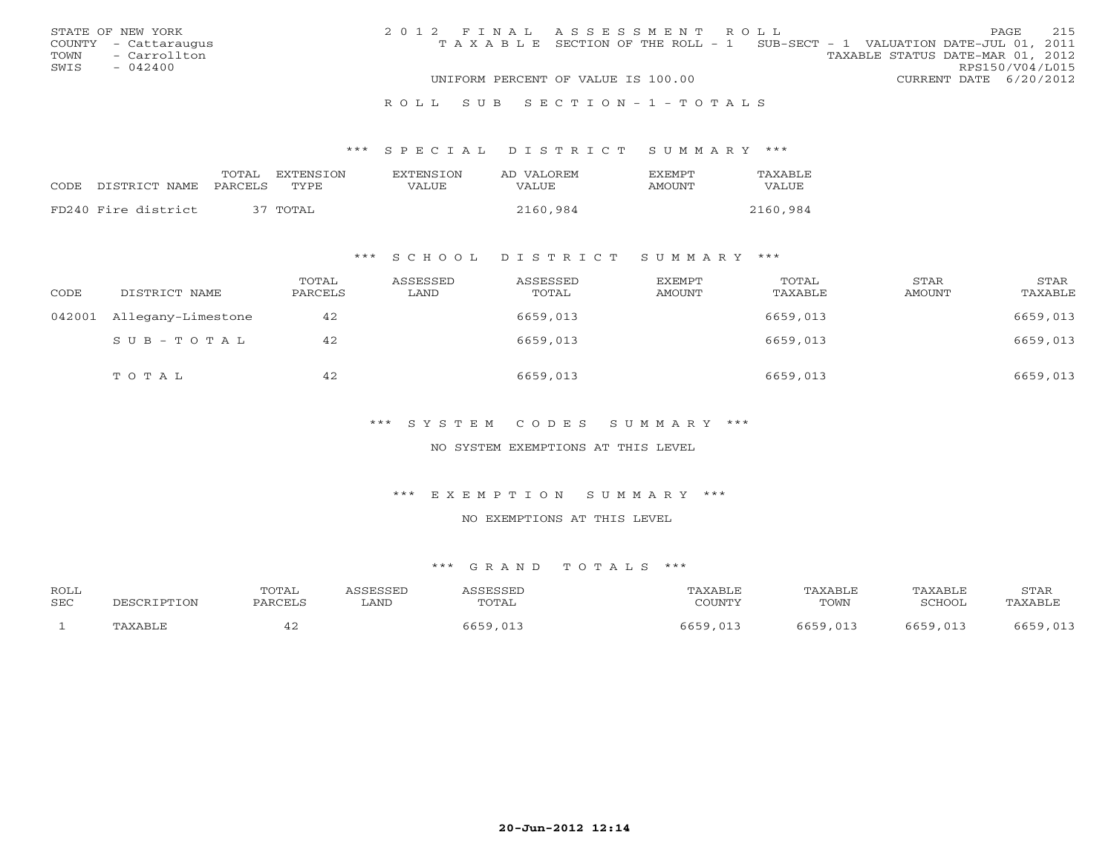|      | STATE OF NEW YORK    | 2012 FINAL ASSESSMENT ROLL |                                                                                |                                  |                        | <b>PAGE</b> | 215 |
|------|----------------------|----------------------------|--------------------------------------------------------------------------------|----------------------------------|------------------------|-------------|-----|
|      | COUNTY - Cattaraugus |                            | T A X A B L E SECTION OF THE ROLL - 1 SUB-SECT - 1 VALUATION DATE-JUL 01, 2011 |                                  |                        |             |     |
| TOWN | - Carrollton         |                            |                                                                                | TAXABLE STATUS DATE-MAR 01, 2012 |                        |             |     |
| SWIS | $-042400$            |                            |                                                                                |                                  | RPS150/V04/L015        |             |     |
|      |                      |                            | UNIFORM PERCENT OF VALUE IS 100.00                                             |                                  | CURRENT DATE 6/20/2012 |             |     |
|      |                      |                            |                                                                                |                                  |                        |             |     |

#### R O L L S U B S E C T I O N - 1 - T O T A L S

#### \*\*\* S P E C I A L D I S T R I C T S U M M A R Y \*\*\*

|                     | TOTAL.  | EXTENSION | <b>EXTENSION</b> | AD VALOREM | <b>FXFMPT</b> | TAXABLE  |
|---------------------|---------|-----------|------------------|------------|---------------|----------|
| CODE DISTRICT NAME  | PARCELS | TYPE.     | VALUE            | VALUE      | AMOUNT        | VALUE    |
| FD240 Fire district |         | 37 TOTAL  |                  | 2160,984   |               | 2160,984 |
|                     |         |           |                  |            |               |          |

#### \*\*\* S C H O O L D I S T R I C T S U M M A R Y \*\*\*

| CODE | DISTRICT NAME             | TOTAL<br>PARCELS | ASSESSED<br>LAND | ASSESSED<br>TOTAL | EXEMPT<br>AMOUNT | TOTAL<br>TAXABLE | STAR<br>AMOUNT | STAR<br>TAXABLE |
|------|---------------------------|------------------|------------------|-------------------|------------------|------------------|----------------|-----------------|
|      | 042001 Allegany-Limestone | 42               |                  | 6659,013          |                  | 6659,013         |                | 6659,013        |
|      | SUB-TOTAL                 | 42               |                  | 6659,013          |                  | 6659,013         |                | 6659,013        |
|      | TOTAL                     | 42               |                  | 6659,013          |                  | 6659,013         |                | 6659,013        |

#### \*\*\* S Y S T E M C O D E S S U M M A R Y \*\*\*

#### NO SYSTEM EXEMPTIONS AT THIS LEVEL

#### \*\*\* E X E M P T I O N S U M M A R Y \*\*\*

#### NO EXEMPTIONS AT THIS LEVEL

#### \*\*\* G R A N D T O T A L S \*\*\*

| <b>ROLL</b><br><b>SEC</b> | DESCRIPTION | TOTAL<br>PARCELS | <i><b>ISSESSED</b></i><br>LAND | <i><b>\SSESSED</b></i><br>TOTAL | TAXABLE<br>COUNTY | TAXABLE<br>TOWN | TAXABLE<br>SCHOOL | STAR<br>TAXABLE |
|---------------------------|-------------|------------------|--------------------------------|---------------------------------|-------------------|-----------------|-------------------|-----------------|
|                           | TAXABLE     |                  |                                | ذ01,055 6                       | 5659<br>013       | 6659,013        | 6659,013          |                 |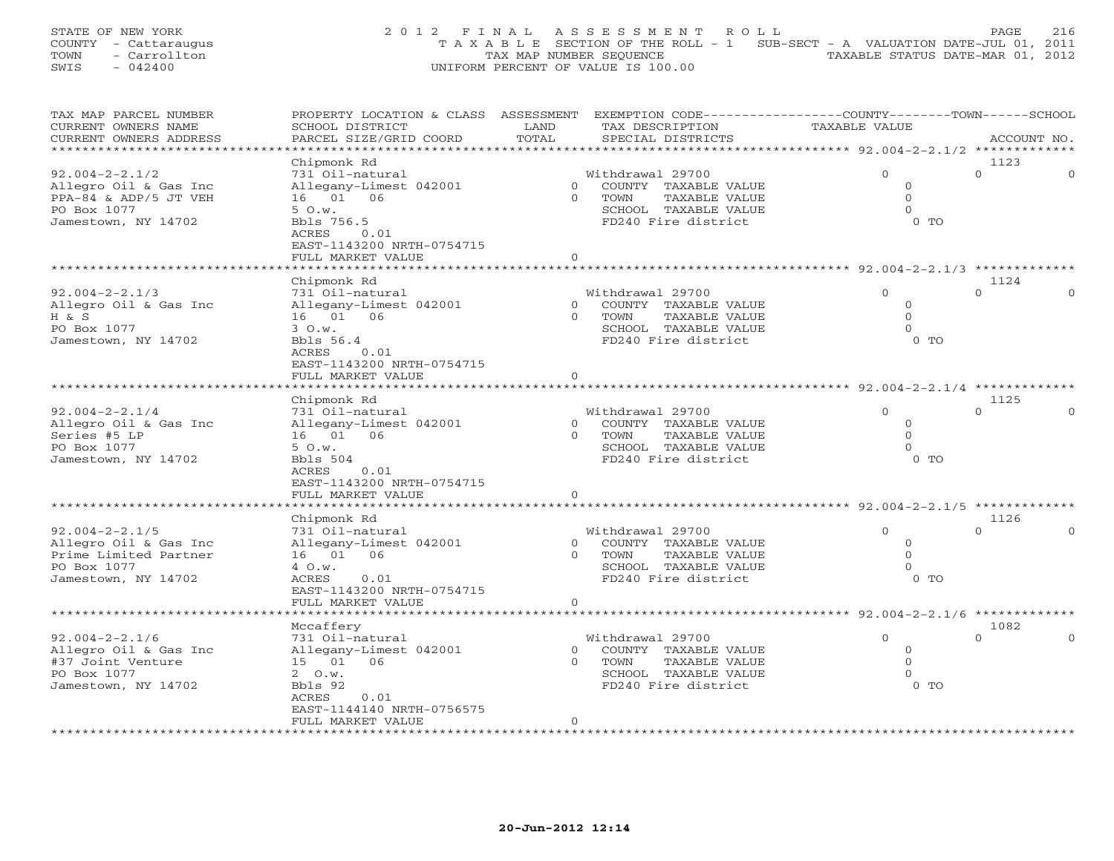STATE OF NEW YORK 200 2012 FINAL ASSESSMENT ROLL PAGE 216 COUNTY - Cattaraugus T A X A B L E SECTION OF THE ROLL - 1 SUB-SECT - A VALUATION DATE-JUL 01, 2011 TOWN - Carrollton - Carrollton TAX MAP NUMBER SEQUENCE TAXABLE STATUS DATE-MAR 01, 2012<br>
SWIS - 042400 - CARROLLTON TAXABLE STATUS DATE-MAR 01, 2012 SWIS - 042400 UNIFORM PERCENT OF VALUE IS 100.00

| TAX MAP PARCEL NUMBER<br>CURRENT OWNERS NAME | PROPERTY LOCATION & CLASS ASSESSMENT<br>SCHOOL DISTRICT | LAND           | EXEMPTION CODE-----------------COUNTY-------TOWN------SCHOOL<br>TAX DESCRIPTION | <b>TAXABLE VALUE</b>                      |                |  |
|----------------------------------------------|---------------------------------------------------------|----------------|---------------------------------------------------------------------------------|-------------------------------------------|----------------|--|
| CURRENT OWNERS ADDRESS                       | PARCEL SIZE/GRID COORD                                  | TOTAL          | SPECIAL DISTRICTS                                                               |                                           | ACCOUNT NO.    |  |
| *********************                        |                                                         |                |                                                                                 |                                           |                |  |
|                                              | Chipmonk Rd                                             |                |                                                                                 |                                           | 1123           |  |
| $92.004 - 2 - 2.1/2$                         | 731 Oil-natural                                         |                | Withdrawal 29700                                                                | $\Omega$                                  | $\Omega$       |  |
| Allegro Oil & Gas Inc                        | Allegany-Limest 042001                                  | $\Omega$       | COUNTY TAXABLE VALUE                                                            | $\Omega$                                  |                |  |
| PPA-84 & ADP/5 JT VEH                        | 16 01 06                                                | $\Omega$       | TOWN<br>TAXABLE VALUE                                                           | $\circ$                                   |                |  |
| PO Box 1077                                  | 50.w.                                                   |                | SCHOOL TAXABLE VALUE                                                            | $\Omega$                                  |                |  |
| Jamestown, NY 14702                          | Bbls 756.5                                              |                | FD240 Fire district                                                             | $0$ TO                                    |                |  |
|                                              | 0.01<br>ACRES                                           |                |                                                                                 |                                           |                |  |
|                                              | EAST-1143200 NRTH-0754715                               |                |                                                                                 |                                           |                |  |
|                                              | FULL MARKET VALUE                                       | $\mathbf{0}$   |                                                                                 |                                           |                |  |
|                                              | .                                                       |                | ********                                                                        | ********* 92.004-2-2.1/3 *********        |                |  |
|                                              | Chipmonk Rd                                             |                |                                                                                 |                                           | 1124           |  |
| $92.004 - 2 - 2.1/3$                         | 731 Oil-natural                                         |                | Withdrawal 29700                                                                | $\Omega$                                  | $\Omega$       |  |
| Allegro Oil & Gas Inc                        | Allegany-Limest 042001                                  | $\overline{0}$ | COUNTY TAXABLE VALUE                                                            | $\circ$                                   |                |  |
| H & S                                        | 16  01  06                                              | $\Omega$       | TOWN<br>TAXABLE VALUE                                                           | $\Omega$                                  |                |  |
| PO Box 1077                                  | 3 O.w.                                                  |                | SCHOOL TAXABLE VALUE                                                            | $\Omega$                                  |                |  |
| Jamestown, NY 14702                          | Bbls 56.4                                               |                | FD240 Fire district                                                             | $0$ TO                                    |                |  |
|                                              | ACRES<br>0.01                                           |                |                                                                                 |                                           |                |  |
|                                              | EAST-1143200 NRTH-0754715                               |                |                                                                                 |                                           |                |  |
|                                              | FULL MARKET VALUE                                       | $\mathbf{0}$   |                                                                                 |                                           |                |  |
|                                              | ******************                                      |                | *****************                                                               | ************** 92.004-2-2.1/4 *********** |                |  |
|                                              | Chipmonk Rd                                             |                |                                                                                 |                                           | 1125           |  |
| $92.004 - 2 - 2.1/4$                         | 731 Oil-natural                                         |                | Withdrawal 29700                                                                | $\Omega$                                  | $\Omega$       |  |
| Allegro Oil & Gas Inc                        | Allegany-Limest 042001                                  | $\overline{0}$ | COUNTY TAXABLE VALUE                                                            | $\circ$                                   |                |  |
| Series #5 LP                                 | 16 01 06                                                | $\Omega$       | TOWN<br>TAXABLE VALUE                                                           | $\Omega$                                  |                |  |
| PO Box 1077                                  | 5 O.w.                                                  |                | SCHOOL TAXABLE VALUE                                                            | $\Omega$                                  |                |  |
| Jamestown, NY 14702                          | Bbls 504                                                |                | FD240 Fire district                                                             | $0$ TO                                    |                |  |
|                                              | 0.01<br>ACRES                                           |                |                                                                                 |                                           |                |  |
|                                              | EAST-1143200 NRTH-0754715                               |                |                                                                                 |                                           |                |  |
|                                              | FULL MARKET VALUE                                       | $\mathbf{0}$   | *********************                                                           |                                           |                |  |
|                                              |                                                         |                |                                                                                 | ******** 92.004-2-2.1/5 *********         |                |  |
|                                              | Chipmonk Rd                                             |                |                                                                                 |                                           | 1126           |  |
| $92.004 - 2 - 2.1/5$                         | 731 Oil-natural                                         |                | Withdrawal 29700                                                                | $\Omega$                                  | $\Omega$       |  |
| Allegro Oil & Gas Inc                        | Allegany-Limest 042001                                  | $\circ$        | COUNTY TAXABLE VALUE                                                            | $\circ$                                   |                |  |
| Prime Limited Partner                        | 16  01  06                                              | $\Omega$       | TOWN<br>TAXABLE VALUE                                                           | $\Omega$                                  |                |  |
| PO Box 1077                                  | 4 O.w.                                                  |                | SCHOOL TAXABLE VALUE                                                            | $\Omega$<br>$0$ TO                        |                |  |
| Jamestown, NY 14702                          | ACRES<br>0.01                                           |                | FD240 Fire district                                                             |                                           |                |  |
|                                              | EAST-1143200 NRTH-0754715                               |                |                                                                                 |                                           |                |  |
|                                              | FULL MARKET VALUE                                       | $\mathbf 0$    |                                                                                 |                                           |                |  |
|                                              |                                                         |                |                                                                                 | ************ 92.004-2-2.1/6 ***********   |                |  |
|                                              | Mccaffery                                               |                |                                                                                 | $\Omega$                                  | 1082<br>$\cap$ |  |
| $92.004 - 2 - 2.1/6$                         | 731 Oil-natural                                         | $\overline{0}$ | Withdrawal 29700                                                                | $\circ$                                   |                |  |
| Allegro Oil & Gas Inc<br>#37 Joint Venture   | Allegany-Limest 042001<br>15 01 06                      | $\Omega$       | COUNTY TAXABLE VALUE<br>TOWN<br><b>TAXABLE VALUE</b>                            | $\Omega$                                  |                |  |
| PO Box 1077                                  | $2 \quad 0.w.$                                          |                | SCHOOL TAXABLE VALUE                                                            | $\Omega$                                  |                |  |
| Jamestown, NY 14702                          | Bbls 92                                                 |                | FD240 Fire district                                                             | $0$ TO                                    |                |  |
|                                              | ACRES<br>0.01                                           |                |                                                                                 |                                           |                |  |
|                                              | EAST-1144140 NRTH-0756575                               |                |                                                                                 |                                           |                |  |
|                                              | FULL MARKET VALUE                                       | $\mathbf 0$    |                                                                                 |                                           |                |  |
|                                              | * * * * * * * * * * * * * * * * * * * *                 |                |                                                                                 |                                           |                |  |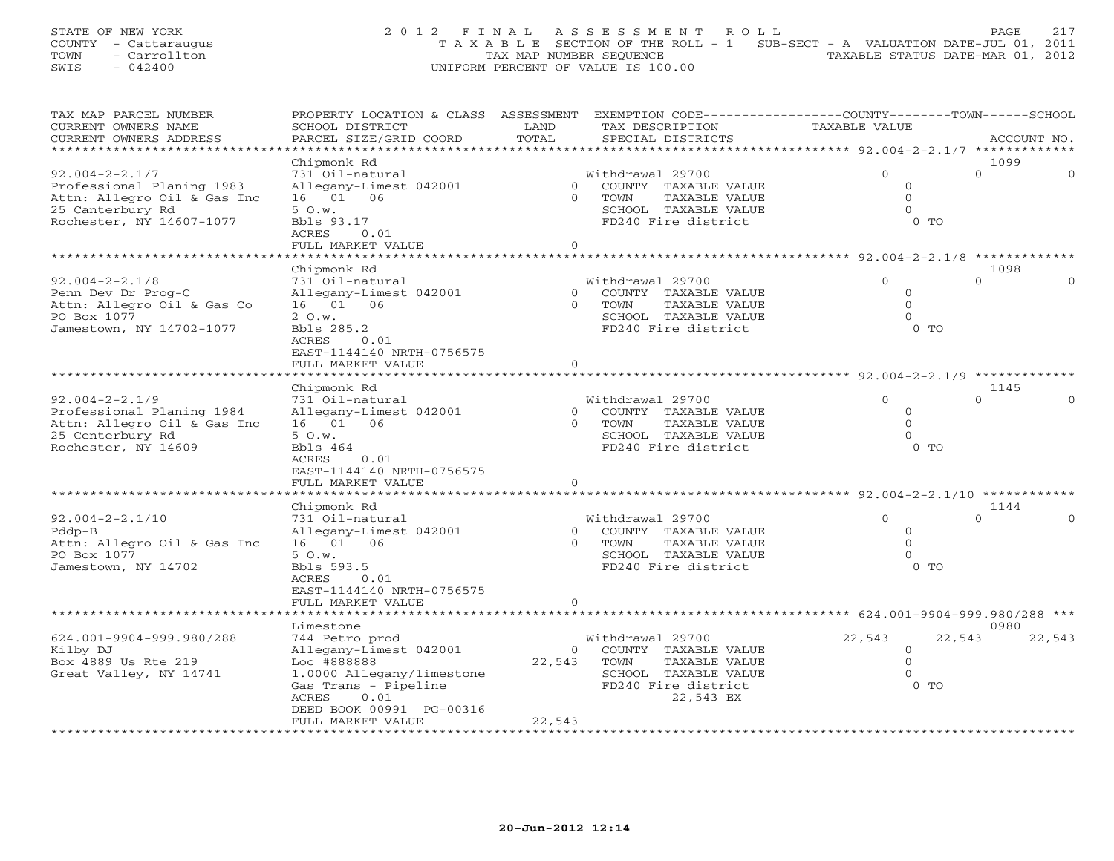STATE OF NEW YORK 2 0 1 2 F I N A L A S S E S S M E N T R O L L PAGE 217 COUNTY - Cattaraugus T A X A B L E SECTION OF THE ROLL - 1 SUB-SECT - A VALUATION DATE-JUL 01, 2011 TOWN - Carrollton - Carrollton TAX MAP NUMBER SEQUENCE TAXABLE STATUS DATE-MAR 01, 2012<br>
SWIS - 042400 - CARROLLTON TAXABLE STATUS DATE-MAR 01, 2012 SWIS - 042400 UNIFORM PERCENT OF VALUE IS 100.00

| TAX MAP PARCEL NUMBER       | PROPERTY LOCATION & CLASS ASSESSMENT EXEMPTION CODE----------------COUNTY-------TOWN------SCHOOL |                |                        |                                           |                      |
|-----------------------------|--------------------------------------------------------------------------------------------------|----------------|------------------------|-------------------------------------------|----------------------|
| CURRENT OWNERS NAME         | SCHOOL DISTRICT                                                                                  | LAND           | TAX DESCRIPTION        | <b>TAXABLE VALUE</b>                      |                      |
| CURRENT OWNERS ADDRESS      | PARCEL SIZE/GRID COORD                                                                           | TOTAL          | SPECIAL DISTRICTS      |                                           | ACCOUNT NO.          |
| ***********************     |                                                                                                  |                |                        |                                           |                      |
|                             | Chipmonk Rd                                                                                      |                |                        |                                           | 1099                 |
| $92.004 - 2 - 2.1/7$        | 731 Oil-natural                                                                                  |                | Withdrawal 29700       | $\Omega$                                  | $\Omega$<br>$\Omega$ |
| Professional Planing 1983   | Allegany-Limest 042001                                                                           | $\Omega$       | COUNTY TAXABLE VALUE   | $\circ$                                   |                      |
| Attn: Allegro Oil & Gas Inc | 16 01 06                                                                                         | $\Omega$       | TOWN<br>TAXABLE VALUE  | $\Omega$                                  |                      |
| 25 Canterbury Rd            | 50.w.                                                                                            |                | SCHOOL TAXABLE VALUE   | $\Omega$                                  |                      |
| Rochester, NY 14607-1077    | Bbls 93.17                                                                                       |                | FD240 Fire district    | $0$ TO                                    |                      |
|                             | ACRES<br>0.01                                                                                    |                |                        |                                           |                      |
|                             | FULL MARKET VALUE                                                                                | $\circ$        |                        |                                           |                      |
|                             |                                                                                                  |                |                        |                                           |                      |
|                             | Chipmonk Rd                                                                                      |                |                        |                                           | 1098                 |
| $92.004 - 2 - 2.1/8$        | 731 Oil-natural                                                                                  |                | Withdrawal 29700       | $\Omega$                                  | $\Omega$             |
| Penn Dev Dr Prog-C          | Allegany-Limest 042001                                                                           | $\overline{0}$ | COUNTY TAXABLE VALUE   | $\Omega$                                  |                      |
| Attn: Allegro Oil & Gas Co  | 16 01 06                                                                                         | $\Omega$       | TOWN<br>TAXABLE VALUE  | $\Omega$                                  |                      |
| PO Box 1077                 | 2 O.w.                                                                                           |                | SCHOOL TAXABLE VALUE   | $\Omega$                                  |                      |
| Jamestown, NY 14702-1077    | Bbls 285.2                                                                                       |                | FD240 Fire district    | $0$ TO                                    |                      |
|                             | ACRES<br>0.01                                                                                    |                |                        |                                           |                      |
|                             | EAST-1144140 NRTH-0756575                                                                        |                |                        |                                           |                      |
|                             | FULL MARKET VALUE                                                                                | $\Omega$       |                        |                                           |                      |
|                             |                                                                                                  |                |                        |                                           |                      |
|                             | Chipmonk Rd                                                                                      |                |                        |                                           | 1145                 |
| $92.004 - 2 - 2.1/9$        | 731 Oil-natural                                                                                  |                | Withdrawal 29700       | $\Omega$                                  | $\Omega$             |
| Professional Planing 1984   | Allegany-Limest 042001                                                                           |                | 0 COUNTY TAXABLE VALUE | $\circ$                                   |                      |
| Attn: Allegro Oil & Gas Inc | 16 01 06                                                                                         | $\Omega$       | TAXABLE VALUE<br>TOWN  | $\Omega$                                  |                      |
| 25 Centerbury Rd            | 50.w.                                                                                            |                | SCHOOL TAXABLE VALUE   | $\Omega$                                  |                      |
| Rochester, NY 14609         | Bbls 464                                                                                         |                | FD240 Fire district    | $0$ TO                                    |                      |
|                             | ACRES<br>0.01                                                                                    |                |                        |                                           |                      |
|                             |                                                                                                  |                |                        |                                           |                      |
|                             | EAST-1144140 NRTH-0756575<br>FULL MARKET VALUE                                                   | $\circ$        |                        |                                           |                      |
|                             |                                                                                                  |                |                        |                                           |                      |
|                             | Chipmonk Rd                                                                                      |                |                        |                                           | 1144                 |
| $92.004 - 2 - 2.1/10$       | 731 Oil-natural                                                                                  |                | Withdrawal 29700       | $\Omega$                                  | $\Omega$             |
| $Pddp-B$                    | Allegany-Limest 042001                                                                           |                | 0 COUNTY TAXABLE VALUE | $\circ$                                   |                      |
| Attn: Allegro Oil & Gas Inc | 16 01 06                                                                                         | $\Omega$       | TOWN<br>TAXABLE VALUE  | $\Omega$                                  |                      |
| PO Box 1077                 | 50.w.                                                                                            |                | SCHOOL TAXABLE VALUE   | $\Omega$                                  |                      |
| Jamestown, NY 14702         | Bbls 593.5                                                                                       |                | FD240 Fire district    | $0$ TO                                    |                      |
|                             | ACRES<br>0.01                                                                                    |                |                        |                                           |                      |
|                             |                                                                                                  |                |                        |                                           |                      |
|                             | EAST-1144140 NRTH-0756575                                                                        | $\circ$        |                        |                                           |                      |
|                             | FULL MARKET VALUE                                                                                |                |                        | ************ 624.001-9904-999.980/288 *** |                      |
|                             |                                                                                                  |                |                        |                                           | 0980                 |
|                             | Limestone                                                                                        |                |                        |                                           |                      |
| 624.001-9904-999.980/288    | 744 Petro prod                                                                                   |                | Withdrawal 29700       | 22,543                                    | 22,543<br>22,543     |
| Kilby DJ                    | Allegany-Limest 042001                                                                           | $\overline{0}$ | COUNTY TAXABLE VALUE   | $\circ$                                   |                      |
| Box 4889 Us Rte 219         | Loc #888888                                                                                      | 22,543         | TOWN<br>TAXABLE VALUE  | $\Omega$<br>$\Omega$                      |                      |
| Great Valley, NY 14741      | 1.0000 Allegany/limestone                                                                        |                | SCHOOL TAXABLE VALUE   |                                           |                      |
|                             | Gas Trans - Pipeline                                                                             |                | FD240 Fire district    | $0$ TO                                    |                      |
|                             | ACRES<br>0.01                                                                                    |                | 22,543 EX              |                                           |                      |
|                             | DEED BOOK 00991 PG-00316                                                                         |                |                        |                                           |                      |
|                             | FULL MARKET VALUE                                                                                | 22,543         |                        |                                           |                      |
|                             | ********************                                                                             |                |                        |                                           |                      |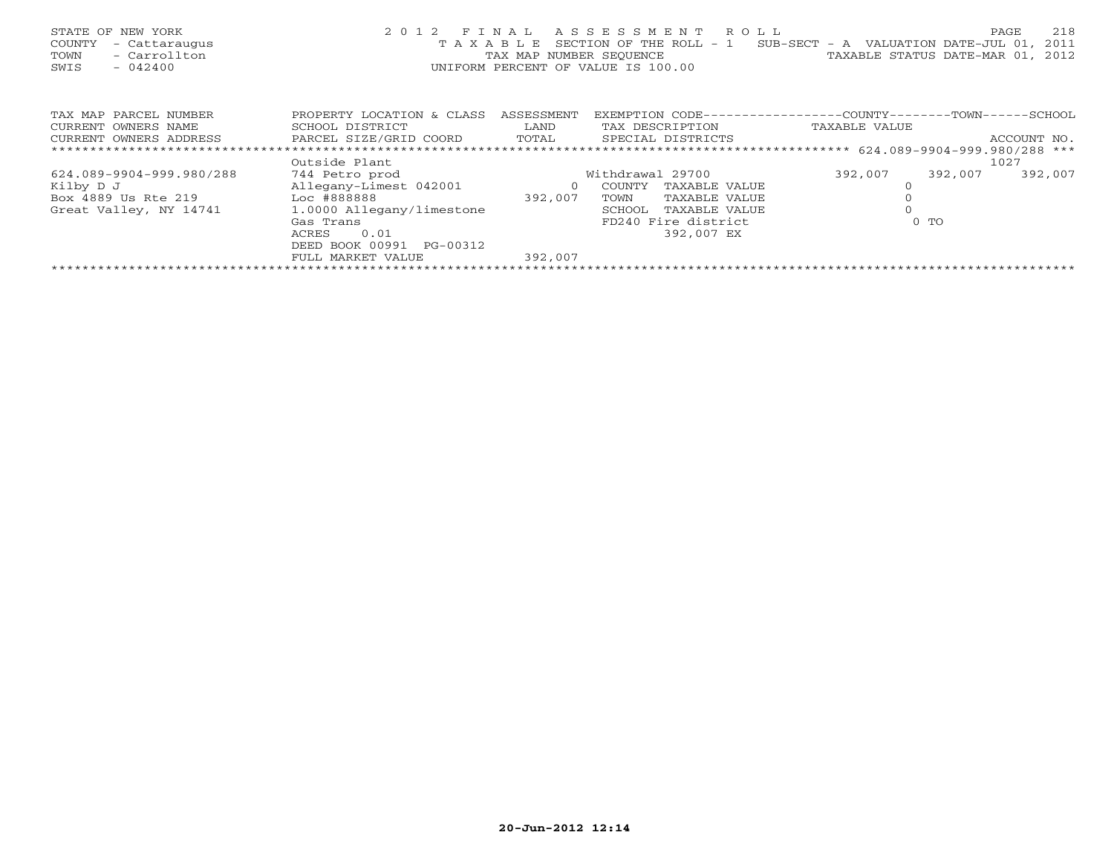| STATE OF NEW YORK<br>COUNTY<br>- Cattaraugus<br>- Carrollton<br>TOWN<br>$-042400$<br>SWIS | 2 0 1 2<br>TAXABLE        | FINAL<br>TAX MAP NUMBER SEOUENCE | R O L L<br>ASSESSMENT<br>SECTION OF THE ROLL - 1<br>UNIFORM PERCENT OF VALUE IS 100.00 | SUB-SECT - A VALUATION DATE-JUL 01,<br>TAXABLE STATUS DATE-MAR 01, | 218<br>PAGE<br>2011<br>2012 |
|-------------------------------------------------------------------------------------------|---------------------------|----------------------------------|----------------------------------------------------------------------------------------|--------------------------------------------------------------------|-----------------------------|
| TAX MAP PARCEL NUMBER                                                                     | PROPERTY LOCATION & CLASS | ASSESSMENT                       | EXEMPTION CODE---                                                                      | -----------COUNTY--------TOWN------SCHOOL                          |                             |
| CURRENT OWNERS NAME                                                                       | SCHOOL DISTRICT           | LAND                             | TAX DESCRIPTION                                                                        | TAXABLE VALUE                                                      |                             |
| CURRENT OWNERS ADDRESS                                                                    | PARCEL SIZE/GRID COORD    | TOTAL                            | SPECIAL DISTRICTS                                                                      |                                                                    | ACCOUNT NO.                 |
|                                                                                           |                           |                                  |                                                                                        |                                                                    |                             |
|                                                                                           | Outside Plant             |                                  |                                                                                        |                                                                    | 1027                        |
| 624.089-9904-999.980/288                                                                  | 744 Petro prod            |                                  | Withdrawal 29700                                                                       | 392,007<br>392,007                                                 | 392,007                     |
| Kilby D J                                                                                 | Allegany-Limest 042001    | $\overline{O}$                   | COUNTY<br>TAXABLE VALUE                                                                | $\Omega$                                                           |                             |
| Box 4889 Us Rte 219 Loc #888888                                                           |                           | 392,007                          | TOWN<br>TAXABLE VALUE                                                                  |                                                                    |                             |
| Great Valley, NY 14741                                                                    | 1.0000 Allegany/limestone |                                  | SCHOOL<br>TAXABLE VALUE                                                                |                                                                    |                             |
|                                                                                           | Gas Trans                 |                                  | FD240 Fire district                                                                    | $0$ TO                                                             |                             |
|                                                                                           | 0.01<br>ACRES             |                                  | 392,007 EX                                                                             |                                                                    |                             |
|                                                                                           | DEED BOOK 00991 PG-00312  |                                  |                                                                                        |                                                                    |                             |
|                                                                                           | FULL MARKET VALUE         | 392,007                          |                                                                                        |                                                                    |                             |
|                                                                                           |                           | ************************         |                                                                                        |                                                                    |                             |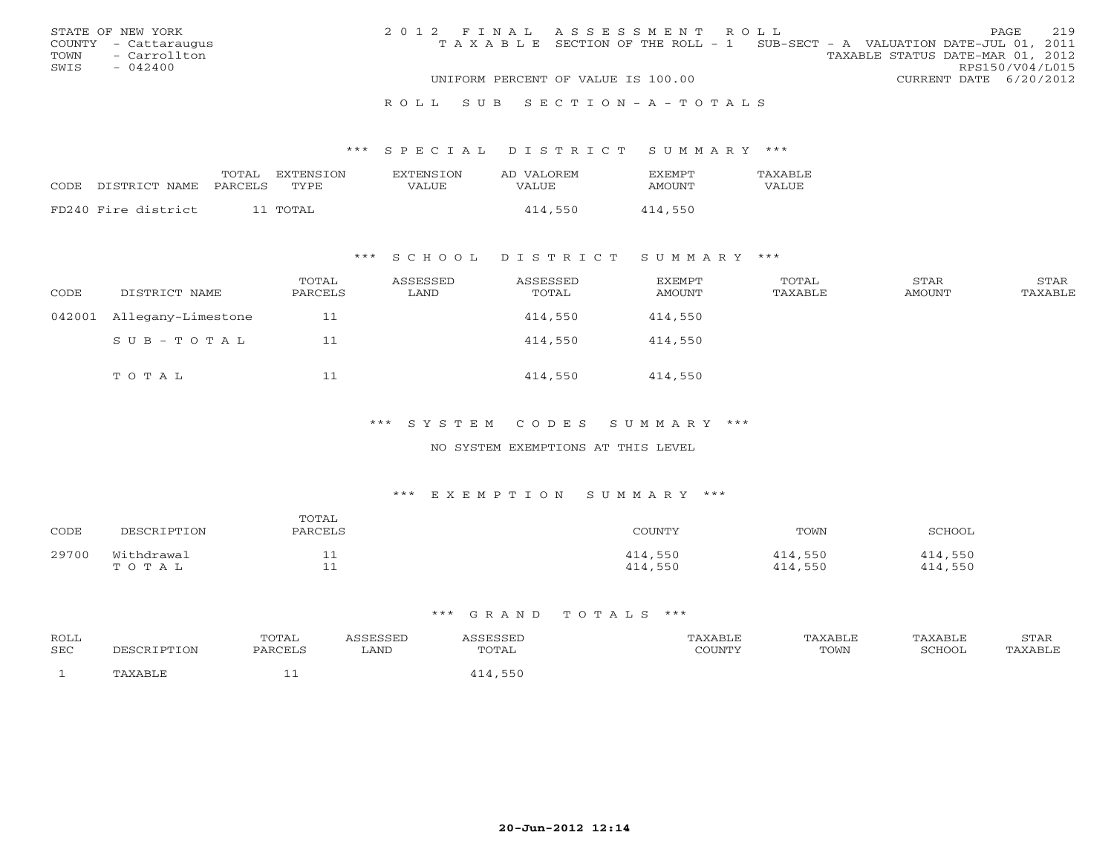|      | STATE OF NEW YORK    | 2012 FINAL ASSESSMENT ROLL |                                                                                |  |                                  |                        | PAGE. | 219 |
|------|----------------------|----------------------------|--------------------------------------------------------------------------------|--|----------------------------------|------------------------|-------|-----|
|      | COUNTY - Cattaraugus |                            | T A X A B L E SECTION OF THE ROLL - 1 SUB-SECT - A VALUATION DATE-JUL 01, 2011 |  |                                  |                        |       |     |
| TOWN | - Carrollton         |                            |                                                                                |  | TAXABLE STATUS DATE-MAR 01, 2012 |                        |       |     |
| SWIS | $-042400$            |                            |                                                                                |  |                                  | RPS150/V04/L015        |       |     |
|      |                      |                            | UNIFORM PERCENT OF VALUE IS 100.00                                             |  |                                  | CURRENT DATE 6/20/2012 |       |     |
|      |                      |                            |                                                                                |  |                                  |                        |       |     |

#### R O L L S U B S E C T I O N - A - T O T A L S

#### \*\*\* S P E C I A L D I S T R I C T S U M M A R Y \*\*\*

|                     |                          | TOTAL EXTENSION | <b>EXTENSION</b> | AD VALOREM | <b>EXEMPT</b> | TAXABLE |
|---------------------|--------------------------|-----------------|------------------|------------|---------------|---------|
| CODE                | DISTRICT NAME<br>PARCELS | TYPE            | VALUE            | VALUE      | AMOUNT        | VALUE   |
| FD240 Fire district |                          | 11 TOTAL        |                  | 414,550    | 414,550       |         |

### \*\*\* S C H O O L D I S T R I C T S U M M A R Y \*\*\*

| CODE | DISTRICT NAME             | TOTAL<br>PARCELS | ASSESSED<br>LAND | ASSESSED<br>TOTAL | <b>EXEMPT</b><br>AMOUNT | TOTAL<br>TAXABLE | STAR<br><b>AMOUNT</b> | STAR<br>TAXABLE |
|------|---------------------------|------------------|------------------|-------------------|-------------------------|------------------|-----------------------|-----------------|
|      | 042001 Allegany-Limestone | 11               |                  | 414,550           | 414,550                 |                  |                       |                 |
|      | SUB-TOTAL                 | 11               |                  | 414,550           | 414,550                 |                  |                       |                 |
|      | TOTAL                     | 11               |                  | 414,550           | 414,550                 |                  |                       |                 |

### \*\*\* S Y S T E M C O D E S S U M M A R Y \*\*\*

#### NO SYSTEM EXEMPTIONS AT THIS LEVEL

#### \*\*\* E X E M P T I O N S U M M A R Y \*\*\*

| CODE  | DESCRIPTION | TOTAL<br>PARCELS | COUNTY  | TOWN    | SCHOOL  |
|-------|-------------|------------------|---------|---------|---------|
| 29700 | Withdrawal  | <u>ــ ـ</u>      | 414,550 | 414,550 | 414,550 |
|       | TOTAL       |                  | 414,550 | 414,550 | 414,550 |

| ROLL | TOTAL            |      |       | BLE | `XARLF. | XABLL  | STAR |
|------|------------------|------|-------|-----|---------|--------|------|
| SEC  | $\sum_{i=1}^{n}$ | LAND | TOTAL |     | TOWN    | SCHOOL |      |
|      |                  |      |       |     |         |        |      |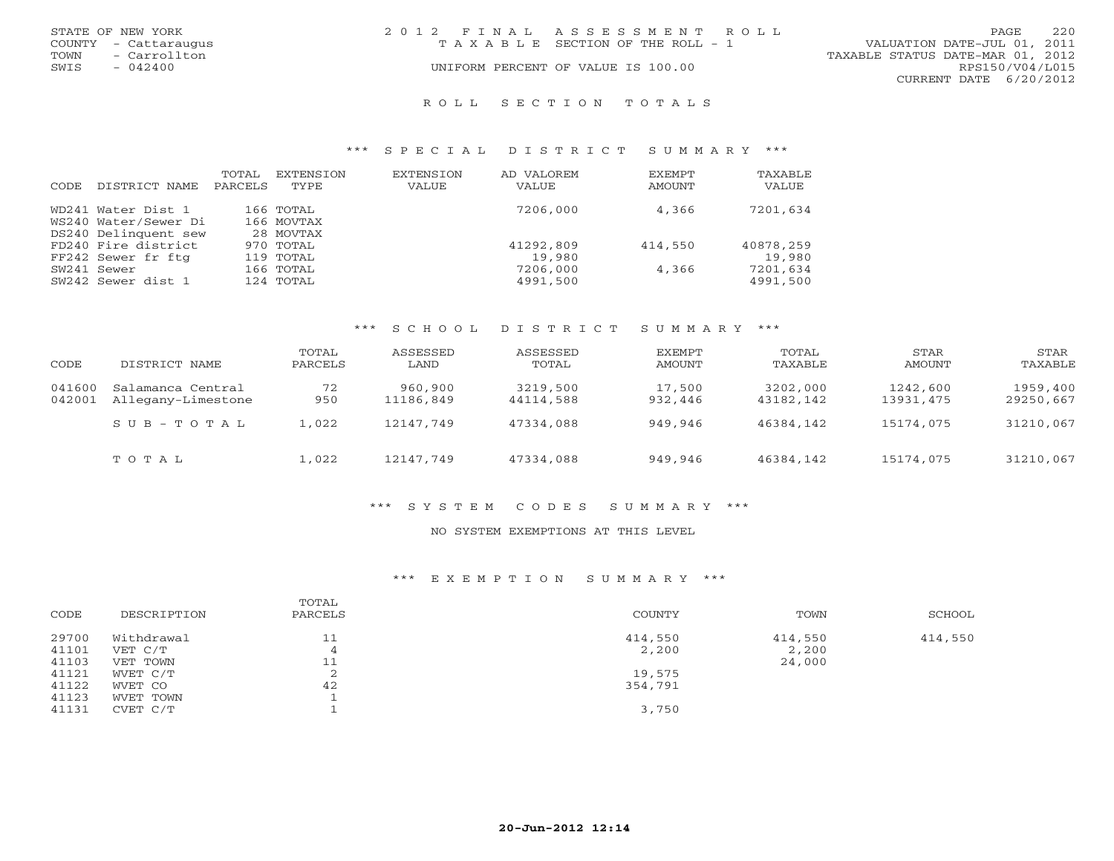| STATE OF NEW YORK    | 2012 FINAL ASSESSMENT ROLL            |                                  | 2.2.0<br>PAGE.  |
|----------------------|---------------------------------------|----------------------------------|-----------------|
| COUNTY - Cattaraugus | T A X A B L E SECTION OF THE ROLL - 1 | VALUATION DATE-JUL 01, 2011      |                 |
| - Carrollton<br>TOWN |                                       | TAXABLE STATUS DATE-MAR 01, 2012 |                 |
| SWIS<br>$-042400$    | UNIFORM PERCENT OF VALUE IS 100.00    |                                  | RPS150/V04/L015 |
|                      |                                       | CURRENT DATE 6/20/2012           |                 |
|                      |                                       |                                  |                 |

#### R O L L S E C T I O N T O T A L S

#### \*\*\* S P E C I A L D I S T R I C T S U M M A R Y \*\*\*

| CODE. | DISTRICT NAME                              | TOTAL<br>PARCELS | EXTENSION<br>TYPE       | <b>EXTENSION</b><br><b>VALUE</b> | AD VALOREM<br>VALUE | EXEMPT<br>AMOUNT | TAXABLE<br>VALUE |
|-------|--------------------------------------------|------------------|-------------------------|----------------------------------|---------------------|------------------|------------------|
|       | WD241 Water Dist 1<br>WS240 Water/Sewer Di |                  | 166 TOTAL<br>166 MOVTAX |                                  | 7206,000            | 4,366            | 7201,634         |
|       | DS240 Delinquent sew                       |                  | 28 MOVTAX               |                                  |                     |                  |                  |
|       | FD240 Fire district                        |                  | 970 TOTAL               |                                  | 41292,809           | 414,550          | 40878,259        |
|       | FF242 Sewer fr ftg                         |                  | 119 TOTAL               |                                  | 19,980              |                  | 19,980           |
|       | SW241 Sewer                                |                  | 166 TOTAL               |                                  | 7206,000            | 4,366            | 7201,634         |
|       | SW242 Sewer dist 1                         |                  | 124 TOTAL               |                                  | 4991,500            |                  | 4991,500         |

### \*\*\* S C H O O L D I S T R I C T S U M M A R Y \*\*\*

| CODE             | DISTRICT NAME                           | TOTAL<br>PARCELS | ASSESSED<br>LAND     | ASSESSED<br>TOTAL     | EXEMPT<br>AMOUNT  | TOTAL<br>TAXABLE      | STAR<br>AMOUNT        | STAR<br>TAXABLE       |
|------------------|-----------------------------------------|------------------|----------------------|-----------------------|-------------------|-----------------------|-----------------------|-----------------------|
| 041600<br>042001 | Salamanca Central<br>Allegany-Limestone | 72<br>950        | 960,900<br>11186,849 | 3219,500<br>44114,588 | 17,500<br>932,446 | 3202,000<br>43182,142 | 1242,600<br>13931,475 | 1959,400<br>29250,667 |
|                  | $SUB - TO T AL$                         | 1,022            | 12147,749            | 47334,088             | 949.946           | 46384,142             | 15174,075             | 31210,067             |
|                  | TOTAL                                   | 1,022            | 12147,749            | 47334,088             | 949,946           | 46384,142             | 15174,075             | 31210,067             |

### \*\*\* S Y S T E M C O D E S S U M M A R Y \*\*\*

#### NO SYSTEM EXEMPTIONS AT THIS LEVEL

#### \*\*\* E X E M P T I O N S U M M A R Y \*\*\*

| CODE  | DESCRIPTION | TOTAL<br>PARCELS | COUNTY  | TOWN    | SCHOOL  |
|-------|-------------|------------------|---------|---------|---------|
| 29700 | Withdrawal  | 11               | 414,550 | 414,550 | 414,550 |
| 41101 | VET C/T     | 4                | 2,200   | 2,200   |         |
| 41103 | VET TOWN    | 11               |         | 24,000  |         |
| 41121 | WVET C/T    | ▵                | 19,575  |         |         |
| 41122 | WVET CO     | 42               | 354,791 |         |         |
| 41123 | WVET TOWN   |                  |         |         |         |
| 41131 | CVET C/T    |                  | 3,750   |         |         |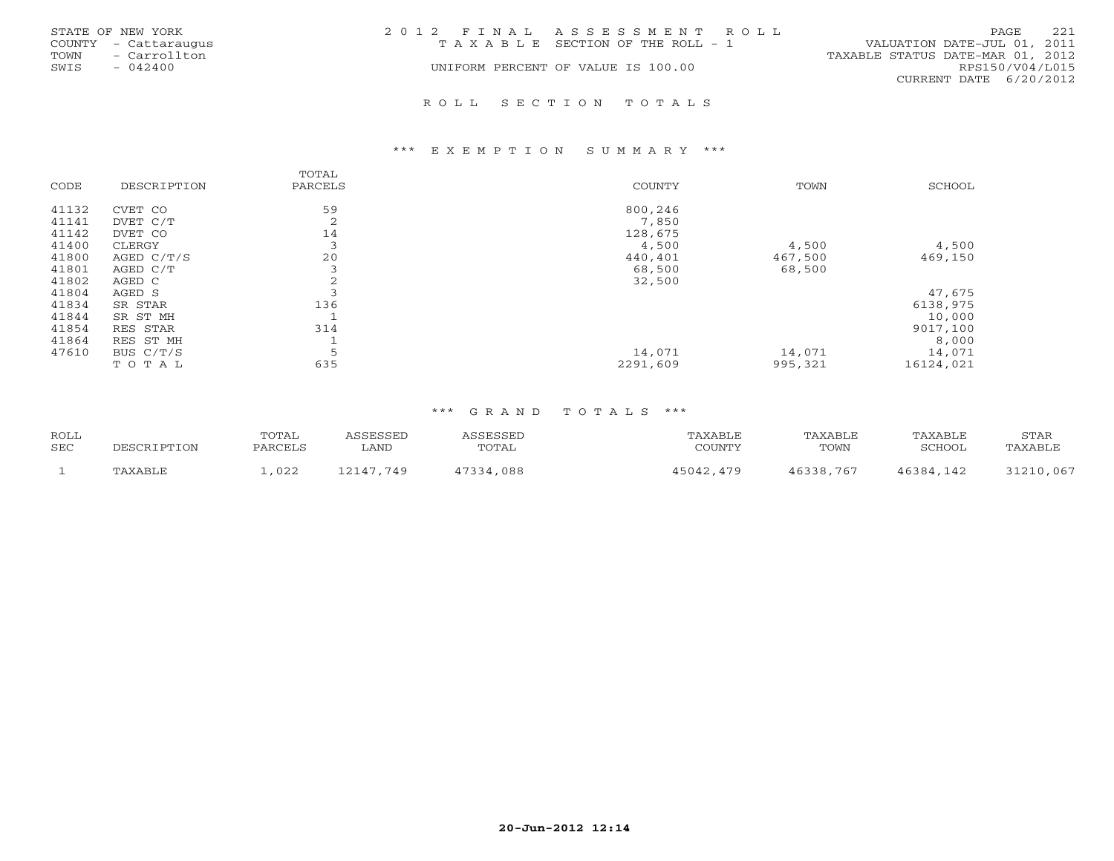| STATE OF NEW YORK<br>COUNTY - Cattaraugus<br>- Carrollton<br>TOWN<br>SWIS<br>$-042400$ | 2012 FINAL ASSESSMENT ROLL<br>T A X A B L E SECTION OF THE ROLL - 1<br>UNIFORM PERCENT OF VALUE IS 100.00 | 221<br>PAGE<br>VALUATION DATE-JUL 01, 2011<br>TAXABLE STATUS DATE-MAR 01, 2012<br>RPS150/V04/L015 |
|----------------------------------------------------------------------------------------|-----------------------------------------------------------------------------------------------------------|---------------------------------------------------------------------------------------------------|
|                                                                                        | ROLL SECTION TOTALS                                                                                       | CURRENT DATE 6/20/2012                                                                            |

#### \*\*\* E X E M P T I O N S U M M A R Y \*\*\*

| CODE  | DESCRIPTION  | TOTAL<br>PARCELS         | <b>COUNTY</b> | TOWN    | SCHOOL    |
|-------|--------------|--------------------------|---------------|---------|-----------|
| 41132 | CVET CO      | 59                       | 800,246       |         |           |
| 41141 | DVET C/T     | 2                        | 7,850         |         |           |
| 41142 | DVET CO      | 14                       | 128,675       |         |           |
| 41400 | CLERGY       | $\overline{\phantom{0}}$ | 4,500         | 4,500   | 4,500     |
| 41800 | AGED $C/T/S$ | 20                       | 440,401       | 467,500 | 469,150   |
| 41801 | AGED C/T     |                          | 68,500        | 68,500  |           |
| 41802 | AGED C       | ∠                        | 32,500        |         |           |
| 41804 | AGED S       |                          |               |         | 47,675    |
| 41834 | SR STAR      | 136                      |               |         | 6138,975  |
| 41844 | SR ST MH     |                          |               |         | 10,000    |
| 41854 | RES STAR     | 314                      |               |         | 9017,100  |
| 41864 | RES ST MH    |                          |               |         | 8,000     |
| 47610 | BUS $C/T/S$  |                          | 14,071        | 14,071  | 14,071    |
|       | TOTAL        | 635                      | 2291,609      | 995,321 | 16124,021 |

| <b>ROLL</b> |         | TOTAL   | CCFCCFD   | A C C F C C F T | TAXABLE      | TAXABLE   | TAXABLE   | STAR      |
|-------------|---------|---------|-----------|-----------------|--------------|-----------|-----------|-----------|
| <b>SEC</b>  |         | PARCELS | ∟AND      | TOTAL           | ™™™™         | TOWN      | SCHOOL    | TAXABLE   |
|             | TAXABLE | ,022    | 12147,749 | 17334<br>,088   | 15042<br>179 | 46338,767 | 46384 142 | 31210,067 |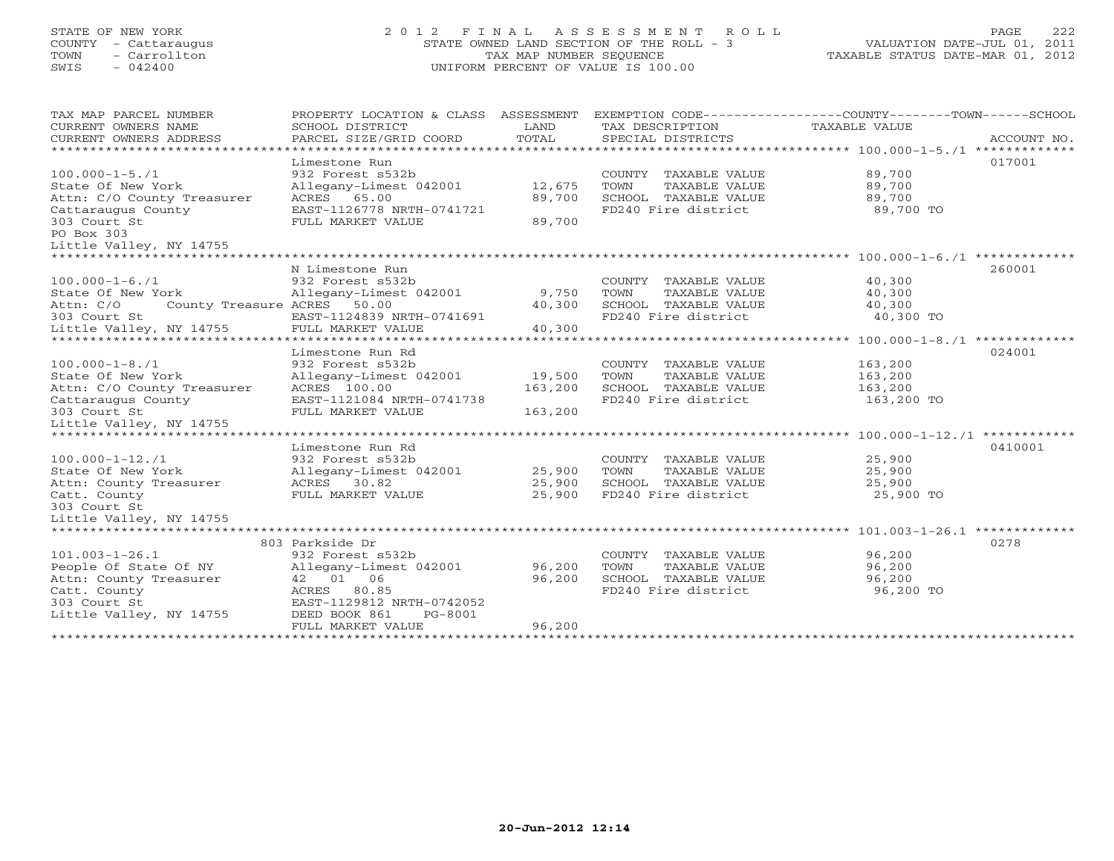# STATE OF NEW YORK 2 0 1 2 F I N A L A S S E S S M E N T R O L L PAGE 222 COUNTY - Cattaraugus STATE OWNED LAND SECTION OF THE ROLL - 3 VALUATION DATE-JUL 01, 2011 TOWN - Carrollton TAX MAP NUMBER SEQUENCE TAXABLE STATUS DATE-MAR 01, 2012 SWIS - 042400 UNIFORM PERCENT OF VALUE IS 100.00UNIFORM PERCENT OF VALUE IS 100.00

| TAX MAP PARCEL NUMBER                    | PROPERTY LOCATION & CLASS ASSESSMENT |         |                                               | EXEMPTION CODE-----------------COUNTY-------TOWN------SCHOOL |             |
|------------------------------------------|--------------------------------------|---------|-----------------------------------------------|--------------------------------------------------------------|-------------|
| CURRENT OWNERS NAME                      | SCHOOL DISTRICT                      | LAND    | TAX DESCRIPTION                               | TAXABLE VALUE                                                |             |
| CURRENT OWNERS ADDRESS                   | PARCEL SIZE/GRID COORD               | TOTAL   | SPECIAL DISTRICTS                             |                                                              | ACCOUNT NO. |
|                                          |                                      |         |                                               |                                                              |             |
|                                          | Limestone Run                        |         |                                               | 017001                                                       |             |
| $100.000 - 1 - 5.71$                     | 932 Forest s532b                     |         | COUNTY TAXABLE VALUE                          | 89,700                                                       |             |
| State Of New York                        | Allegany-Limest 042001               | 12,675  | TAXABLE VALUE<br>TOWN                         | 89,700                                                       |             |
| Attn: C/O County Treasurer               | ACRES 65.00                          | 89,700  | SCHOOL TAXABLE VALUE                          | 89,700                                                       |             |
| Cattaraugus County                       | EAST-1126778 NRTH-0741721            |         | FD240 Fire district                           | 89,700 TO                                                    |             |
| 303 Court St                             | FULL MARKET VALUE                    | 89,700  |                                               |                                                              |             |
| PO Box 303                               |                                      |         |                                               |                                                              |             |
| Little Valley, NY 14755                  |                                      |         |                                               |                                                              |             |
| ******************************           |                                      |         |                                               |                                                              |             |
|                                          | N Limestone Run                      |         |                                               | 260001                                                       |             |
| $100.000 - 1 - 6.71$                     | 932 Forest s532b                     |         |                                               | 40,300                                                       |             |
| State Of New York                        |                                      |         | COUNTY TAXABLE VALUE<br>TOWN<br>TAXABLE VALUE |                                                              |             |
|                                          | Allegany-Limest 042001               | 9,750   |                                               | 40,300                                                       |             |
| Attn: C/O<br>County Treasure ACRES 50.00 |                                      | 40,300  | SCHOOL TAXABLE VALUE                          | 40,300                                                       |             |
| 303 Court St                             | EAST-1124839 NRTH-0741691            |         | FD240 Fire district                           | 40,300 TO                                                    |             |
| Little Valley, NY 14755                  | FULL MARKET VALUE                    | 40,300  |                                               |                                                              |             |
|                                          |                                      |         |                                               |                                                              |             |
|                                          | Limestone Run Rd                     |         |                                               | 024001                                                       |             |
| $100.000 - 1 - 8.71$                     | 932 Forest s532b                     |         | COUNTY TAXABLE VALUE                          | 163,200                                                      |             |
| State Of New York                        | Allegany-Limest 042001               | 19,500  | TOWN<br>TAXABLE VALUE                         | 163,200                                                      |             |
| Attn: C/O County Treasurer               | ACRES 100.00                         | 163,200 | SCHOOL TAXABLE VALUE                          | 163,200                                                      |             |
| Cattaraugus County                       | EAST-1121084 NRTH-0741738            |         | FD240 Fire district                           | 163,200 TO                                                   |             |
| 303 Court St                             | FULL MARKET VALUE                    | 163,200 |                                               |                                                              |             |
| Little Valley, NY 14755                  |                                      |         |                                               |                                                              |             |
|                                          |                                      |         |                                               |                                                              |             |
|                                          | Limestone Run Rd                     |         |                                               |                                                              | 0410001     |
| $100.000 - 1 - 12.71$                    | 932 Forest s532b                     |         | COUNTY TAXABLE VALUE                          | 25,900                                                       |             |
| State Of New York                        | Allegany-Limest 042001               | 25,900  | TOWN<br>TAXABLE VALUE                         | 25,900                                                       |             |
| Attn: County Treasurer                   | ACRES 30.82                          | 25,900  | SCHOOL TAXABLE VALUE                          | 25,900                                                       |             |
| Catt. County                             | FULL MARKET VALUE                    | 25,900  | FD240 Fire district                           | 25,900 TO                                                    |             |
| 303 Court St                             |                                      |         |                                               |                                                              |             |
| Little Valley, NY 14755                  |                                      |         |                                               |                                                              |             |
|                                          |                                      |         |                                               |                                                              |             |
|                                          | 803 Parkside Dr                      |         |                                               | 0278                                                         |             |
| $101.003 - 1 - 26.1$                     | 932 Forest s532b                     |         | COUNTY TAXABLE VALUE                          | 96,200                                                       |             |
| People Of State Of NY                    | Allegany-Limest 042001               | 96,200  | TOWN<br>TAXABLE VALUE                         | 96,200                                                       |             |
| Attn: County Treasurer                   | 42 01 06                             | 96,200  | SCHOOL TAXABLE VALUE                          | 96,200                                                       |             |
| Catt. County                             | ACRES<br>80.85                       |         | FD240 Fire district                           | 96,200 TO                                                    |             |
| 303 Court St                             | EAST-1129812 NRTH-0742052            |         |                                               |                                                              |             |
| Little Valley, NY 14755                  | DEED BOOK 861<br>PG-8001             |         |                                               |                                                              |             |
|                                          | FULL MARKET VALUE                    | 96,200  |                                               |                                                              |             |
| ***********************                  |                                      |         |                                               |                                                              |             |
|                                          |                                      |         |                                               |                                                              |             |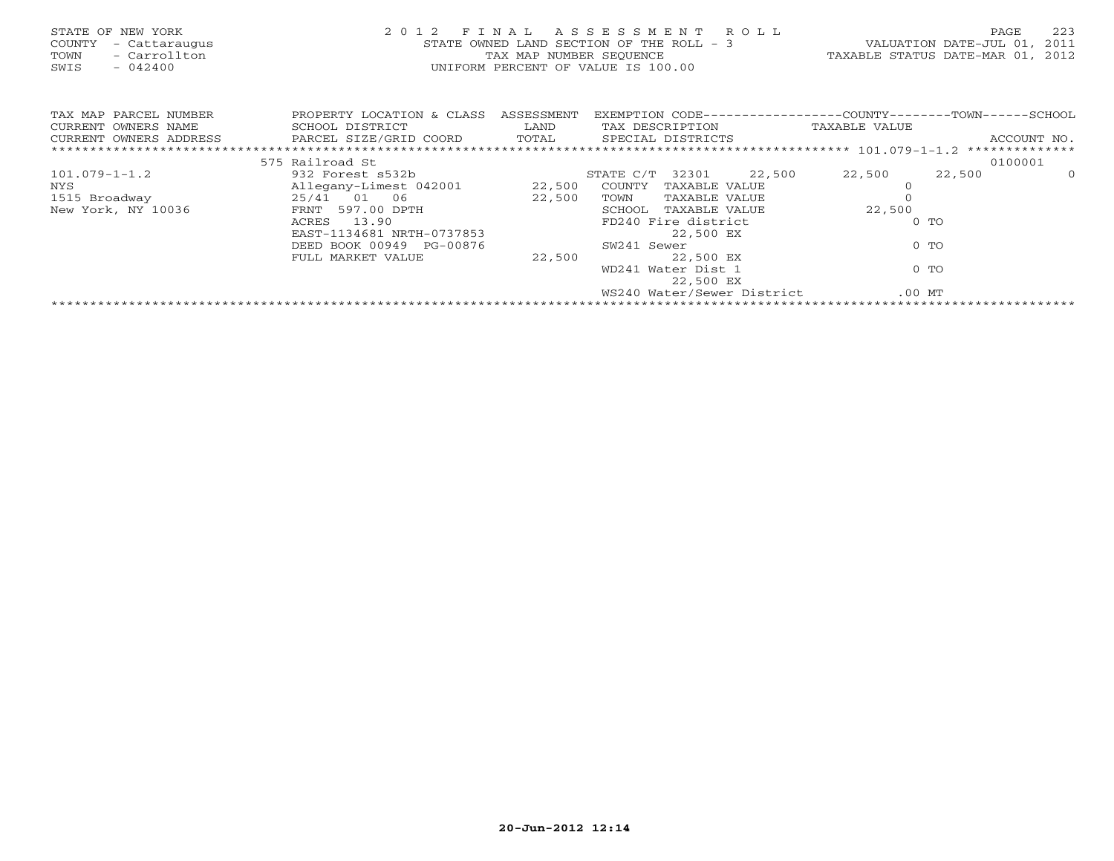| STATE OF NEW YORK<br>COUNTY<br>- Cattaraugus<br>- Carrollton<br>TOWN<br>$-042400$<br>SWIS | 2012 FINAL<br>STATE OWNED LAND SECTION OF THE ROLL - 3<br>UNIFORM PERCENT OF VALUE IS 100.00 | A S S E S S M E N T R O L L<br>VALUATION DATE-JUL 01, 2011<br>TAX MAP NUMBER SEQUENCE TAXABLE STATUS DATE-MAR 01, 2012 | 223<br>PAGE                                                  |               |             |
|-------------------------------------------------------------------------------------------|----------------------------------------------------------------------------------------------|------------------------------------------------------------------------------------------------------------------------|--------------------------------------------------------------|---------------|-------------|
| TAX MAP PARCEL NUMBER                                                                     | PROPERTY LOCATION & CLASS ASSESSMENT                                                         |                                                                                                                        | EXEMPTION CODE-----------------COUNTY-------TOWN------SCHOOL |               |             |
| CURRENT OWNERS NAME                                                                       | SCHOOL DISTRICT                                                                              |                                                                                                                        | LAND TAX DESCRIPTION                                         | TAXABLE VALUE |             |
| CURRENT OWNERS ADDRESS                                                                    | PARCEL SIZE/GRID COORD TOTAL SPECIAL DISTRICTS                                               |                                                                                                                        |                                                              |               | ACCOUNT NO. |
|                                                                                           |                                                                                              |                                                                                                                        |                                                              |               |             |
|                                                                                           | 575 Railroad St                                                                              |                                                                                                                        |                                                              |               | 0100001     |
| $101.079 - 1 - 1.2$                                                                       |                                                                                              |                                                                                                                        | 932 Forest s532b 3TATE C/T 32301 22,500                      | 22,500 22,500 | $\Omega$    |
| NYS                                                                                       | Allegany-Limest 042001 22,500                                                                |                                                                                                                        | COUNTY TAXABLE VALUE                                         |               |             |
| 1515 Broadway                                                                             | 25/41 01 06                                                                                  | 22,500                                                                                                                 | TOWN<br>TAXABLE VALUE                                        |               |             |
| New York, NY 10036                                                                        |                                                                                              |                                                                                                                        | SCHOOL TAXABLE VALUE                                         | 22,500        |             |
|                                                                                           |                                                                                              |                                                                                                                        | FD240 Fire district                                          | $0$ TO        |             |
|                                                                                           |                                                                                              |                                                                                                                        | 22,500 EX                                                    |               |             |
|                                                                                           | DEED BOOK 00949 PG-00876                                                                     |                                                                                                                        | SW241 Sewer                                                  | $0$ TO        |             |
|                                                                                           | FULL MARKET VALUE                                                                            | 22,500                                                                                                                 | 22,500 EX                                                    |               |             |
|                                                                                           |                                                                                              |                                                                                                                        | WD241 Water Dist 1                                           | $0$ TO        |             |
|                                                                                           |                                                                                              |                                                                                                                        | 22,500 EX                                                    |               |             |
|                                                                                           |                                                                                              |                                                                                                                        | WS240 Water/Sewer District                                   | $.00$ MT      |             |
|                                                                                           |                                                                                              |                                                                                                                        |                                                              |               |             |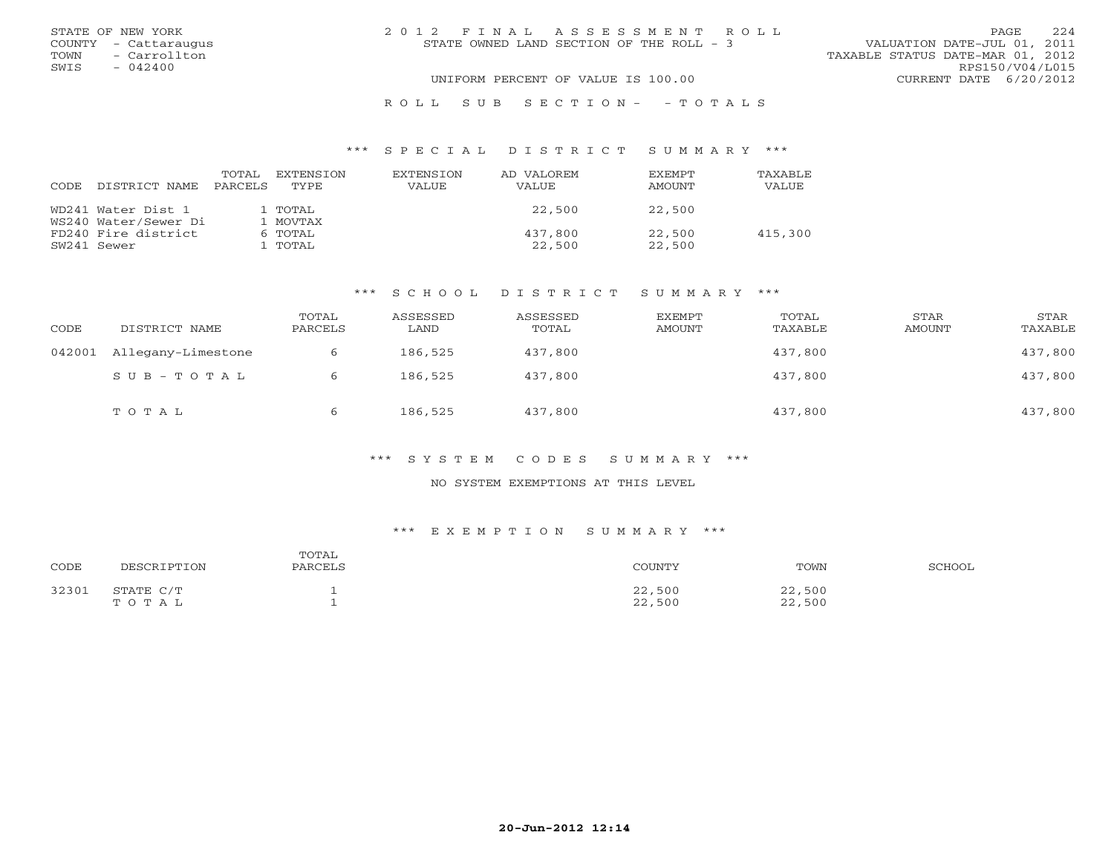|      | STATE OF NEW YORK    | 2012 FINAL ASSESSMENT ROLL               | 2.2.4<br>PAGE                    |
|------|----------------------|------------------------------------------|----------------------------------|
|      | COUNTY - Cattaraugus | STATE OWNED LAND SECTION OF THE ROLL - 3 | VALUATION DATE-JUL 01, 2011      |
| TOWN | - Carrollton         |                                          | TAXABLE STATUS DATE-MAR 01, 2012 |
| SWIS | $-042400$            |                                          | RPS150/V04/L015                  |
|      |                      | UNIFORM PERCENT OF VALUE IS 100.00       | CURRENT DATE 6/20/2012           |
|      |                      | ROLL SUB SECTION- - TOTALS               |                                  |

#### \*\*\* S P E C I A L D I S T R I C T S U M M A R Y \*\*\*

| CODE. | DISTRICT NAME        | TOTAL<br>PARCELS | EXTENSION<br>TYPE | EXTENSION<br>VALUE | AD VALOREM<br>VALUE | <b>FXFMPT</b><br>AMOUNT | <b>TAXABLE</b><br>VALUE |
|-------|----------------------|------------------|-------------------|--------------------|---------------------|-------------------------|-------------------------|
|       | WD241 Water Dist 1   |                  | 1 TOTAL           |                    | 22,500              | 22,500                  |                         |
|       | WS240 Water/Sewer Di |                  | 1 MOVTAX          |                    |                     |                         |                         |
|       | FD240 Fire district  |                  | 6 TOTAL           |                    | 437,800             | 22,500                  | 415,300                 |
|       | SW241 Sewer          |                  | I TOTAL           |                    | 22,500              | 22,500                  |                         |

### \*\*\* S C H O O L D I S T R I C T S U M M A R Y \*\*\*

| CODE   | DISTRICT NAME      | TOTAL<br>PARCELS | ASSESSED<br>LAND | ASSESSED<br>TOTAL | EXEMPT<br>AMOUNT | TOTAL<br>TAXABLE | STAR<br>AMOUNT | STAR<br>TAXABLE |
|--------|--------------------|------------------|------------------|-------------------|------------------|------------------|----------------|-----------------|
| 042001 | Allegany-Limestone |                  | 186,525          | 437,800           |                  | 437,800          |                | 437,800         |
|        | SUB-TOTAL          |                  | 186,525          | 437,800           |                  | 437,800          |                | 437,800         |
|        | TOTAL              | 6                | 186,525          | 437,800           |                  | 437,800          |                | 437,800         |

### \*\*\* S Y S T E M C O D E S S U M M A R Y \*\*\*

#### NO SYSTEM EXEMPTIONS AT THIS LEVEL

#### \*\*\* E X E M P T I O N S U M M A R Y \*\*\*

| CODE  | DESCRIPTION        | TOTAL<br>PARCELS | COUNTY           | TOWN             | SCHOOL |
|-------|--------------------|------------------|------------------|------------------|--------|
| 32301 | STATE C/T<br>TOTAL |                  | 22,500<br>22,500 | 22,500<br>22,500 |        |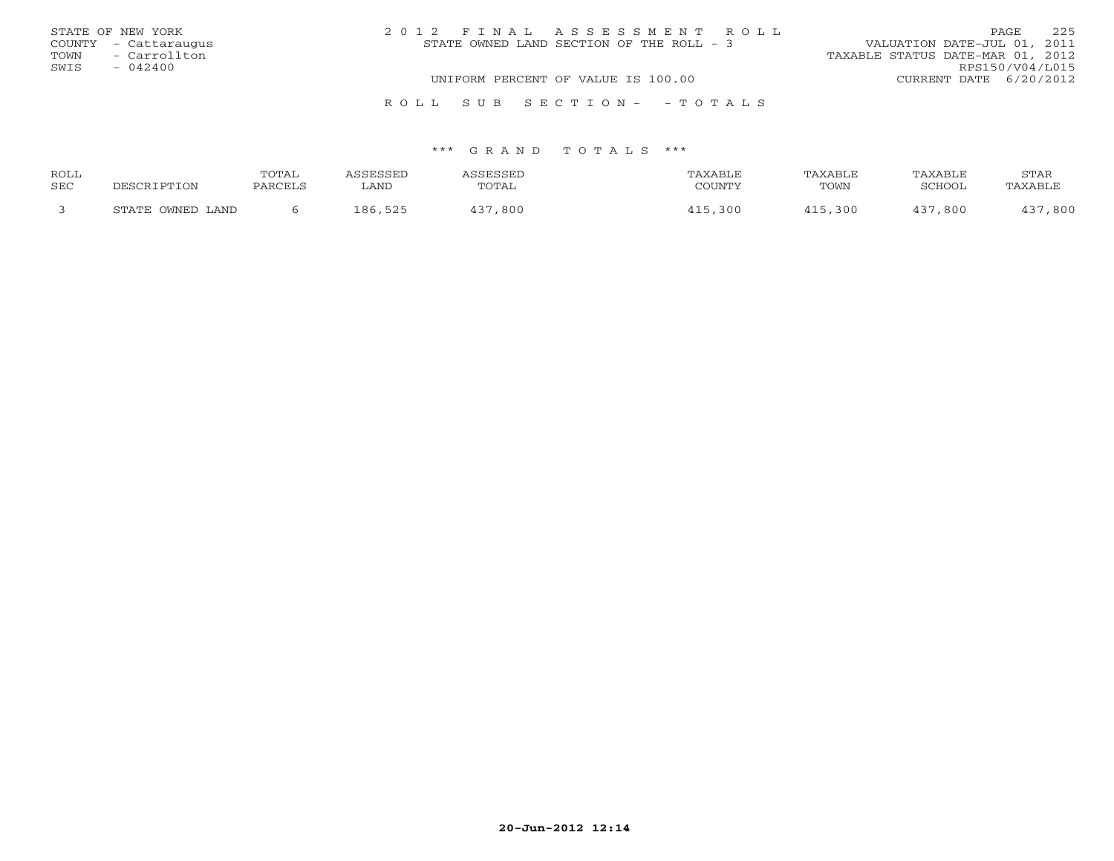|      | STATE OF NEW YORK    | 2012 FINAL ASSESSMENT ROLL               | 225<br><b>PAGE</b>               |
|------|----------------------|------------------------------------------|----------------------------------|
|      | COUNTY - Cattaraugus | STATE OWNED LAND SECTION OF THE ROLL - 3 | VALUATION DATE-JUL 01, 2011      |
| TOWN | - Carrollton         |                                          | TAXABLE STATUS DATE-MAR 01, 2012 |
| SWIS | $-042400$            |                                          | RPS150/V04/L015                  |
|      |                      | UNIFORM PERCENT OF VALUE IS 100.00       | CURRENT DATE 6/20/2012           |
|      |                      | ROLL SUB SECTION- - TOTALS               |                                  |

| ROLL |                  | TOTAL   | <b>\SSESSED</b> | ASSESSED | TAXABLE | TAXABLE | TAXABLE | STAR    |
|------|------------------|---------|-----------------|----------|---------|---------|---------|---------|
| SEC  | DESCRIPTION      | PARCELS | AND             | TOTAL    | COUNTY  | TOWN    | SCHOOL  | TAXABLE |
|      | STATE OWNED LAND |         | 186,525         | 437,800  | 415,300 | 415,300 | 437,800 | 437,800 |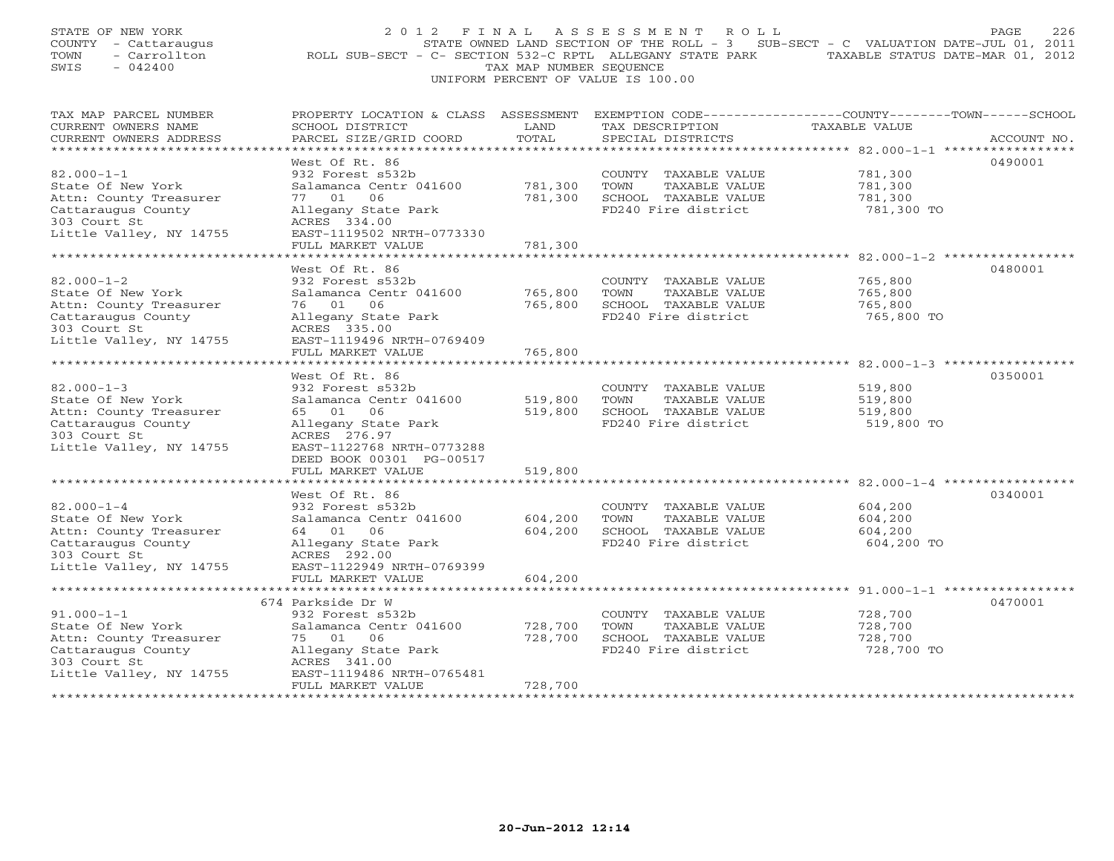| STATE OF NEW YORK<br>COUNTY - Cattaraugus<br>- Carrollton<br>TOWN<br>$-042400$<br>SWIS                                                                                      | 2012 FINAL<br>ROLL SUB-SECT - C- SECTION 532-C RPTL ALLEGANY STATE PARK                                                                                                                                                                  | TAX MAP NUMBER SEQUENCE                             | ASSESSMENT ROLL<br>UNIFORM PERCENT OF VALUE IS 100.00                                        | STATE OWNED LAND SECTION OF THE ROLL - 3 SUB-SECT - C VALUATION DATE-JUL 01, 2011<br>TAXABLE STATUS DATE-MAR 01, 2012 | 226<br>PAGE |
|-----------------------------------------------------------------------------------------------------------------------------------------------------------------------------|------------------------------------------------------------------------------------------------------------------------------------------------------------------------------------------------------------------------------------------|-----------------------------------------------------|----------------------------------------------------------------------------------------------|-----------------------------------------------------------------------------------------------------------------------|-------------|
| TAX MAP PARCEL NUMBER<br>CURRENT OWNERS NAME<br>CURRENT OWNERS ADDRESS<br>******************************                                                                    | PROPERTY LOCATION & CLASS ASSESSMENT EXEMPTION CODE----------------COUNTY-------TOWN------SCHOOL<br>SCHOOL DISTRICT<br>PARCEL SIZE/GRID COORD                                                                                            | LAND<br>TOTAL                                       | TAX DESCRIPTION<br>SPECIAL DISTRICTS                                                         | TAXABLE VALUE                                                                                                         | ACCOUNT NO. |
| $82.000 - 1 - 1$<br>State Of New York<br>Attn: County Treasurer<br>Cattaraugus County<br>303 Court St<br>Little Valley, NY 14755                                            | West Of Rt. 86<br>932 Forest s532b<br>Salamanca Centr 041600<br>77 01<br>06<br>Allegany State Park<br>ACRES 334.00<br>EAST-1119502 NRTH-0773330<br>FULL MARKET VALUE                                                                     | 781,300<br>781,300<br>781,300                       | COUNTY TAXABLE VALUE<br>TOWN<br>TAXABLE VALUE<br>SCHOOL TAXABLE VALUE<br>FD240 Fire district | 781,300<br>781,300<br>781,300<br>781,300 TO                                                                           | 0490001     |
| $82.000 - 1 - 2$<br>State Of New York<br>Attn: County Treasurer<br>Cattaraugus County<br>303 Court St<br>Little Valley, NY 14755                                            | *********************<br>West Of Rt. 86<br>932 Forest s532b<br>Salamanca Centr 041600<br>76 01<br>06<br>Allegany State Park<br>ACRES 335.00<br>EAST-1119496 NRTH-0769409<br>FULL MARKET VALUE<br>.                                       | 765,800<br>765,800<br>765,800                       | COUNTY TAXABLE VALUE<br>TOWN<br>TAXABLE VALUE<br>SCHOOL TAXABLE VALUE<br>FD240 Fire district | 765,800<br>765,800<br>765,800<br>765,800 TO<br>**************** 82.000-1-3 ****                                       | 0480001     |
| $82.000 - 1 - 3$<br>State Of New York<br>Attn: County Treasurer<br>Cattaraugus County<br>303 Court St<br>Little Valley, NY 14755                                            | West Of Rt. 86<br>932 Forest s532b<br>Salamanca Centr 041600<br>65 01 06<br>Allegany State Park<br>ACRES 276.97<br>EAST-1122768 NRTH-0773288<br>DEED BOOK 00301 PG-00517<br>FULL MARKET VALUE                                            | 519,800<br>519,800<br>519,800                       | COUNTY TAXABLE VALUE<br>TOWN<br>TAXABLE VALUE<br>SCHOOL TAXABLE VALUE<br>FD240 Fire district | 519,800<br>519,800<br>519,800<br>519,800 TO                                                                           | 0350001     |
| * * * * * * * * * * * * * * * * * * * *<br>$82.000 - 1 - 4$<br>State Of New York<br>Attn: County Treasurer<br>Cattaraugus County<br>303 Court St<br>Little Valley, NY 14755 | * * * * * * * * * * * * * * * * * * *<br>West Of Rt. 86<br>932 Forest s532b<br>Salamanca Centr 041600<br>64 01 06<br>Allegany State Park<br>ACRES 292.00<br>EAST-1122949 NRTH-0769399<br>FULL MARKET VALUE<br>************************** | ***********<br>604,200<br>604,200<br>604,200        | COUNTY TAXABLE VALUE<br>TOWN<br>TAXABLE VALUE<br>SCHOOL TAXABLE VALUE<br>FD240 Fire district | 604,200<br>604,200<br>604,200<br>604,200 TO                                                                           | 0340001     |
| $91.000 - 1 - 1$<br>State Of New York<br>Attn: County Treasurer<br>Cattaraugus County<br>303 Court St<br>Little Valley, NY 14755                                            | 674 Parkside Dr W<br>932 Forest s532b<br>Salamanca Centr 041600<br>75 01<br>06<br>Allegany State Park<br>ACRES 341.00<br>EAST-1119486 NRTH-0765481<br>FULL MARKET VALUE                                                                  | 728,700<br>728,700<br>728,700<br><b>+++++++++++</b> | COUNTY TAXABLE VALUE<br>TOWN<br>TAXABLE VALUE<br>SCHOOL TAXABLE VALUE<br>FD240 Fire district | 728,700<br>728,700<br>728,700<br>728,700 TO                                                                           | 0470001     |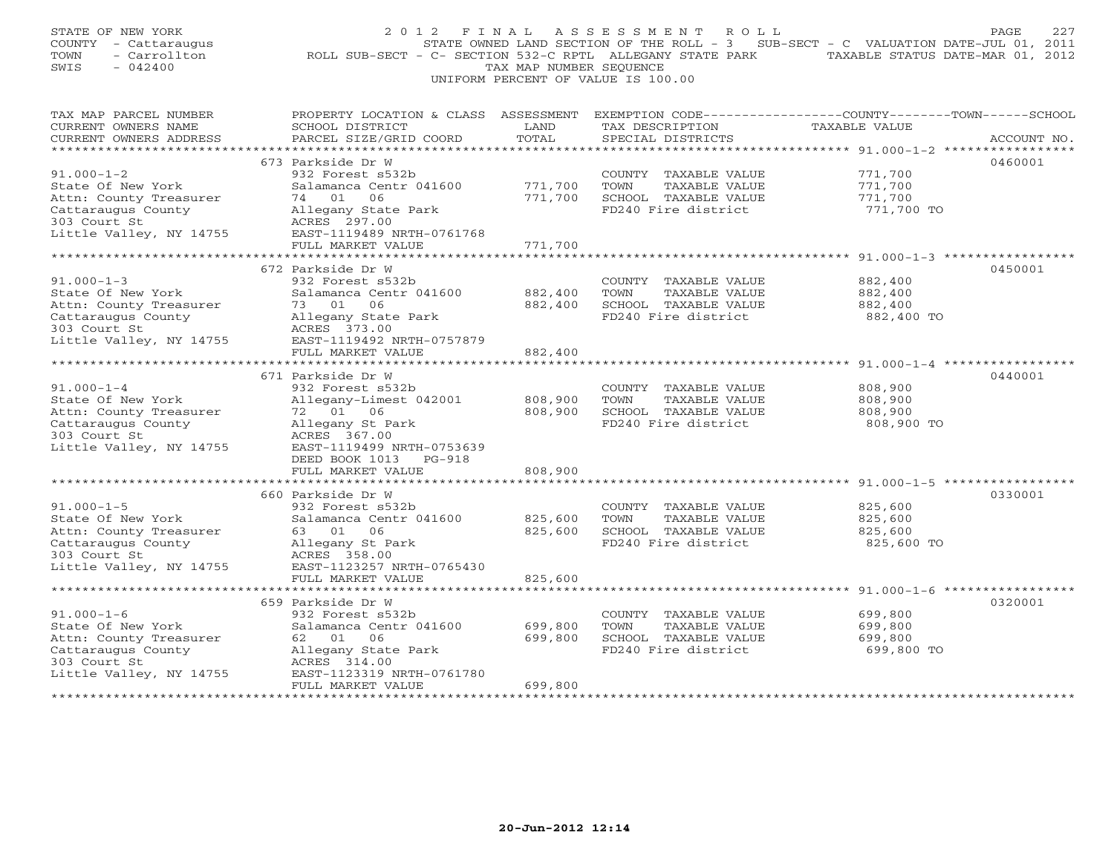| STATE OF NEW YORK<br>COUNTY - Cattaraugus<br>- Carrollton<br>TOWN<br>SWIS<br>$-042400$                | 2012 FINAL<br>ROLL SUB-SECT - C- SECTION 532-C RPTL ALLEGANY STATE PARK TAXABLE STATUS DATE-MAR 01, 2012 | TAX MAP NUMBER SEOUENCE            | A S S E S S M E N T<br>ROLL<br>UNIFORM PERCENT OF VALUE IS 100.00                            | STATE OWNED LAND SECTION OF THE ROLL - 3 SUB-SECT - C VALUATION DATE-JUL 01, 2011                                | 227<br>PAGE |
|-------------------------------------------------------------------------------------------------------|----------------------------------------------------------------------------------------------------------|------------------------------------|----------------------------------------------------------------------------------------------|------------------------------------------------------------------------------------------------------------------|-------------|
| TAX MAP PARCEL NUMBER<br>CURRENT OWNERS NAME<br>CURRENT OWNERS ADDRESS<br>********************        | PROPERTY LOCATION & CLASS ASSESSMENT<br>SCHOOL DISTRICT<br>PARCEL SIZE/GRID COORD                        | LAND<br>TOTAL<br>**********        | TAX DESCRIPTION<br>SPECIAL DISTRICTS                                                         | EXEMPTION CODE-----------------COUNTY-------TOWN------SCHOOL<br>TAXABLE VALUE<br>************** 91.000-1-2 ***** | ACCOUNT NO. |
|                                                                                                       | 673 Parkside Dr W                                                                                        |                                    |                                                                                              |                                                                                                                  | 0460001     |
| $91.000 - 1 - 2$<br>State Of New York<br>Attn: County Treasurer                                       | 932 Forest s532b<br>Salamanca Centr 041600<br>74 01 06                                                   | 771,700<br>771,700                 | COUNTY TAXABLE VALUE<br>TOWN<br>TAXABLE VALUE<br>SCHOOL TAXABLE VALUE                        | 771,700<br>771,700<br>771,700                                                                                    |             |
| Cattaraugus County<br>303 Court St<br>Little Valley, NY 14755                                         | Allegany State Park<br>ACRES 297.00<br>EAST-1119489 NRTH-0761768                                         |                                    | FD240 Fire district                                                                          | 771,700 TO                                                                                                       |             |
|                                                                                                       | FULL MARKET VALUE                                                                                        | 771,700                            |                                                                                              |                                                                                                                  |             |
|                                                                                                       |                                                                                                          |                                    |                                                                                              |                                                                                                                  |             |
| $91.000 - 1 - 3$<br>State Of New York                                                                 | 672 Parkside Dr W<br>932 Forest s532b<br>Salamanca Centr 041600                                          | 882,400                            | COUNTY TAXABLE VALUE<br>TOWN<br>TAXABLE VALUE                                                | 882,400<br>882,400                                                                                               | 0450001     |
| Attn: County Treasurer<br>Cattaraugus County<br>303 Court St                                          | 73 01 06<br>Allegany State Park<br>ACRES 373.00                                                          | 882,400                            | SCHOOL TAXABLE VALUE<br>FD240 Fire district                                                  | 882,400<br>882,400 TO                                                                                            |             |
| Little Valley, NY 14755                                                                               | EAST-1119492 NRTH-0757879<br>FULL MARKET VALUE<br>****************************                           | 882,400                            |                                                                                              |                                                                                                                  |             |
|                                                                                                       | 671 Parkside Dr W                                                                                        |                                    |                                                                                              |                                                                                                                  | 0440001     |
| $91.000 - 1 - 4$<br>State Of New York<br>Attn: County Treasurer                                       | 932 Forest s532b<br>Allegany-Limest 042001<br>72 01 06                                                   | 808,900<br>808,900                 | COUNTY TAXABLE VALUE<br>TOWN<br>TAXABLE VALUE<br>SCHOOL TAXABLE VALUE                        | 808,900<br>808,900<br>808,900                                                                                    |             |
| Cattaraugus County<br>303 Court St<br>Little Valley, NY 14755                                         | Allegany St Park<br>ACRES 367.00<br>EAST-1119499 NRTH-0753639<br>DEED BOOK 1013<br>PG-918                |                                    | FD240 Fire district                                                                          | 808,900 TO                                                                                                       |             |
|                                                                                                       | FULL MARKET VALUE                                                                                        | 808,900                            |                                                                                              |                                                                                                                  |             |
|                                                                                                       | 660 Parkside Dr W                                                                                        |                                    |                                                                                              |                                                                                                                  | 0330001     |
| $91.000 - 1 - 5$<br>State Of New York<br>Attn: County Treasurer<br>Cattaraugus County<br>303 Court St | 932 Forest s532b<br>Salamanca Centr 041600<br>63 01 06<br>Allegany St Park<br>ACRES 358.00               | 825,600<br>825,600                 | COUNTY TAXABLE VALUE<br>TOWN<br>TAXABLE VALUE<br>SCHOOL TAXABLE VALUE<br>FD240 Fire district | 825,600<br>825,600<br>825,600<br>825,600 TO                                                                      |             |
| Little Valley, NY 14755                                                                               | EAST-1123257 NRTH-0765430<br>FULL MARKET VALUE<br>************************                               | 825,600                            |                                                                                              |                                                                                                                  |             |
|                                                                                                       | 659 Parkside Dr W                                                                                        |                                    |                                                                                              |                                                                                                                  | 0320001     |
| $91.000 - 1 - 6$<br>State Of New York<br>Attn: County Treasurer                                       | 932 Forest s532b<br>Salamanca Centr 041600<br>62 01<br>06                                                | 699,800<br>699,800                 | COUNTY TAXABLE VALUE<br>TOWN<br>TAXABLE VALUE<br>SCHOOL TAXABLE VALUE                        | 699,800<br>699,800<br>699,800                                                                                    |             |
| Cattaraugus County<br>303 Court St<br>Little Valley, NY 14755                                         | Allegany State Park<br>ACRES 314.00<br>EAST-1123319 NRTH-0761780                                         |                                    | FD240 Fire district                                                                          | 699,800 TO                                                                                                       |             |
|                                                                                                       | FULL MARKET VALUE<br>++++++++++++++++++++++++                                                            | 699,800<br>+ + + + + + + + + + + + |                                                                                              |                                                                                                                  |             |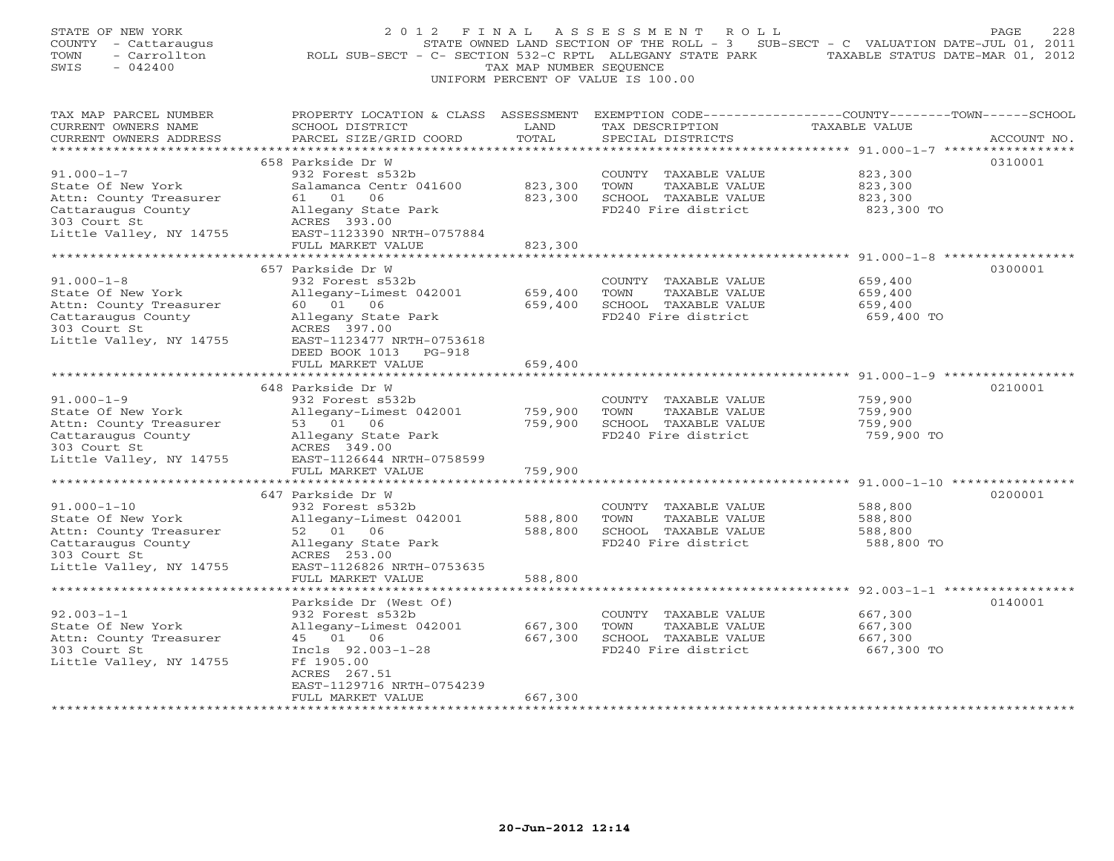| STATE OF NEW YORK<br>COUNTY - Cattaraugus<br>- Carrollton<br>TOWN<br>SWIS<br>$-042400$ | 2 0 1 2<br>FINAL<br>ROLL SUB-SECT - C- SECTION 532-C RPTL ALLEGANY STATE PARK     | TAX MAP NUMBER SEOUENCE | ASSESSMENT<br>ROLL<br>UNIFORM PERCENT OF VALUE IS 100.00 | STATE OWNED LAND SECTION OF THE ROLL - 3 SUB-SECT - C VALUATION DATE-JUL 01, 2011<br>TAXABLE STATUS DATE-MAR 01, 2012 | 228<br>PAGE |
|----------------------------------------------------------------------------------------|-----------------------------------------------------------------------------------|-------------------------|----------------------------------------------------------|-----------------------------------------------------------------------------------------------------------------------|-------------|
| TAX MAP PARCEL NUMBER<br>CURRENT OWNERS NAME<br>CURRENT OWNERS ADDRESS                 | PROPERTY LOCATION & CLASS ASSESSMENT<br>SCHOOL DISTRICT<br>PARCEL SIZE/GRID COORD | LAND<br>TOTAL           | TAX DESCRIPTION<br>SPECIAL DISTRICTS                     | EXEMPTION CODE-----------------COUNTY-------TOWN------SCHOOL<br>TAXABLE VALUE                                         | ACCOUNT NO. |
| ************************                                                               | 658 Parkside Dr W                                                                 |                         |                                                          |                                                                                                                       |             |
| $91.000 - 1 - 7$                                                                       | 932 Forest s532b                                                                  |                         | COUNTY TAXABLE VALUE                                     | 823,300                                                                                                               | 0310001     |
| State Of New York                                                                      | Salamanca Centr 041600                                                            | 823,300                 | TOWN<br>TAXABLE VALUE                                    | 823,300                                                                                                               |             |
| Attn: County Treasurer                                                                 | 61 01<br>06                                                                       | 823,300                 | SCHOOL TAXABLE VALUE                                     | 823,300                                                                                                               |             |
| Cattaraugus County                                                                     | Allegany State Park                                                               |                         | FD240 Fire district                                      | 823,300 TO                                                                                                            |             |
| 303 Court St<br>Little Valley, NY 14755                                                | ACRES 393.00<br>EAST-1123390 NRTH-0757884                                         |                         |                                                          |                                                                                                                       |             |
|                                                                                        | FULL MARKET VALUE                                                                 | 823,300                 |                                                          |                                                                                                                       |             |
|                                                                                        |                                                                                   |                         |                                                          |                                                                                                                       |             |
|                                                                                        | 657 Parkside Dr W                                                                 |                         |                                                          |                                                                                                                       | 0300001     |
| $91.000 - 1 - 8$                                                                       | 932 Forest s532b                                                                  |                         | COUNTY TAXABLE VALUE                                     | 659,400                                                                                                               |             |
| State Of New York                                                                      | Allegany-Limest 042001<br>60 01 06                                                | 659,400<br>659,400      | TOWN<br>TAXABLE VALUE                                    | 659,400                                                                                                               |             |
| Attn: County Treasurer<br>Cattaraugus County                                           | Allegany State Park                                                               |                         | SCHOOL TAXABLE VALUE<br>FD240 Fire district              | 659,400<br>659,400 TO                                                                                                 |             |
| 303 Court St                                                                           | ACRES 397.00                                                                      |                         |                                                          |                                                                                                                       |             |
| Little Valley, NY 14755                                                                | EAST-1123477 NRTH-0753618                                                         |                         |                                                          |                                                                                                                       |             |
|                                                                                        | DEED BOOK 1013 PG-918                                                             |                         |                                                          |                                                                                                                       |             |
|                                                                                        | FULL MARKET VALUE                                                                 | 659,400                 |                                                          | ****************************** 91.000-1-9 ***********                                                                 |             |
|                                                                                        | 648 Parkside Dr W                                                                 |                         |                                                          |                                                                                                                       | 0210001     |
| $91.000 - 1 - 9$                                                                       | 932 Forest s532b                                                                  |                         | COUNTY TAXABLE VALUE                                     | 759,900                                                                                                               |             |
| State Of New York                                                                      | Allegany-Limest 042001                                                            | 759,900                 | TOWN<br>TAXABLE VALUE                                    | 759,900                                                                                                               |             |
| Attn: County Treasurer                                                                 | 53 01 06                                                                          | 759,900                 | SCHOOL TAXABLE VALUE                                     | 759,900                                                                                                               |             |
| Cattaraugus County                                                                     | Allegany State Park                                                               |                         | FD240 Fire district                                      | 759,900 TO                                                                                                            |             |
| 303 Court St<br>Little Valley, NY 14755                                                | ACRES 349.00<br>EAST-1126644 NRTH-0758599                                         |                         |                                                          |                                                                                                                       |             |
|                                                                                        | FULL MARKET VALUE                                                                 | 759,900                 |                                                          |                                                                                                                       |             |
|                                                                                        | ******************                                                                |                         |                                                          | ********************************* 91.000-1-10 ****                                                                    |             |
|                                                                                        | 647 Parkside Dr W                                                                 |                         |                                                          |                                                                                                                       | 0200001     |
| $91.000 - 1 - 10$                                                                      | 932 Forest s532b                                                                  |                         | COUNTY TAXABLE VALUE                                     | 588,800                                                                                                               |             |
| State Of New York                                                                      | Allegany-Limest 042001                                                            | 588,800                 | TOWN<br>TAXABLE VALUE                                    | 588,800                                                                                                               |             |
| Attn: County Treasurer<br>Cattaraugus County                                           | 52 01 06<br>Allegany State Park                                                   | 588,800                 | SCHOOL TAXABLE VALUE<br>FD240 Fire district              | 588,800<br>588,800 TO                                                                                                 |             |
| 303 Court St                                                                           | ACRES 253.00                                                                      |                         |                                                          |                                                                                                                       |             |
| Little Valley, NY 14755                                                                | EAST-1126826 NRTH-0753635                                                         |                         |                                                          |                                                                                                                       |             |
|                                                                                        | FULL MARKET VALUE                                                                 | 588,800                 |                                                          |                                                                                                                       |             |
|                                                                                        |                                                                                   |                         |                                                          | ******************************* 92.003-1-1 *************                                                              |             |
| $92.003 - 1 - 1$                                                                       | Parkside Dr (West Of)<br>932 Forest s532b                                         |                         | COUNTY TAXABLE VALUE                                     | 667,300                                                                                                               | 0140001     |
| State Of New York                                                                      | Allegany-Limest 042001                                                            | 667,300                 | TOWN<br>TAXABLE VALUE                                    | 667,300                                                                                                               |             |
| Attn: County Treasurer                                                                 | 45 01 06                                                                          | 667,300                 | SCHOOL TAXABLE VALUE                                     | 667,300                                                                                                               |             |
| 303 Court St                                                                           | Incls 92.003-1-28                                                                 |                         | FD240 Fire district                                      | 667,300 TO                                                                                                            |             |
| Little Valley, NY 14755                                                                | Ff 1905.00                                                                        |                         |                                                          |                                                                                                                       |             |
|                                                                                        | ACRES 267.51                                                                      |                         |                                                          |                                                                                                                       |             |
|                                                                                        | EAST-1129716 NRTH-0754239<br>FULL MARKET VALUE                                    | 667,300                 |                                                          |                                                                                                                       |             |
|                                                                                        | * * * * * * * * * * * * * * * * * * *                                             |                         |                                                          |                                                                                                                       |             |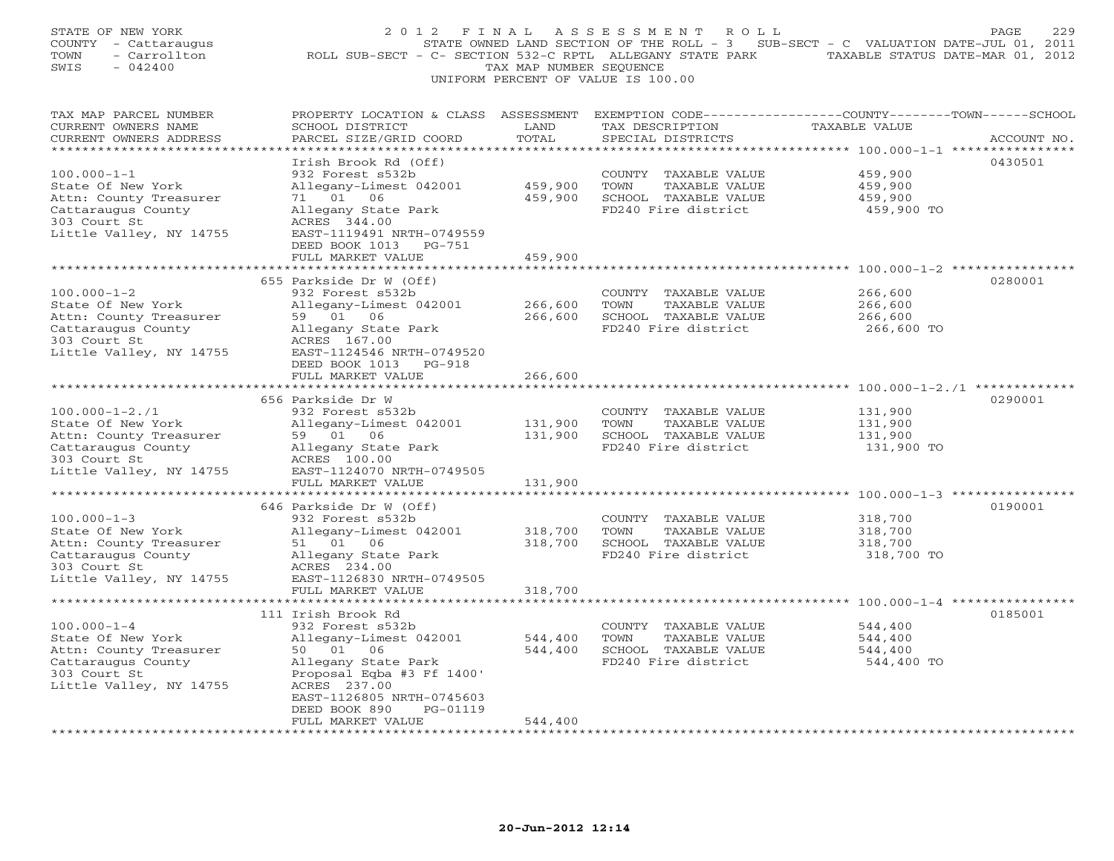| STATE OF NEW YORK<br>COUNTY - Cattaraugus<br>TOWN<br>- Carrollton<br>SWIS<br>$-042400$                                                                         | 2012 FINAL                                                                                                                                                                                                                                              | TAX MAP NUMBER SEQUENCE                                      | ASSESSMENT ROLL<br>UNIFORM PERCENT OF VALUE IS 100.00                                        | PAGE<br>229<br>STATE OWNED LAND SECTION OF THE ROLL - 3 SUB-SECT - C VALUATION DATE-JUL 01, 2011<br>ROLL SUB-SECT - C- SECTION 532-C RPTL ALLEGANY STATE PARK TAXABLE STATUS DATE-MAR 01, 2012 |
|----------------------------------------------------------------------------------------------------------------------------------------------------------------|---------------------------------------------------------------------------------------------------------------------------------------------------------------------------------------------------------------------------------------------------------|--------------------------------------------------------------|----------------------------------------------------------------------------------------------|------------------------------------------------------------------------------------------------------------------------------------------------------------------------------------------------|
| TAX MAP PARCEL NUMBER<br>CURRENT OWNERS NAME<br>CURRENT OWNERS ADDRESS<br>******************************                                                       | SCHOOL DISTRICT<br>PARCEL SIZE/GRID COORD                                                                                                                                                                                                               | LAND<br>TOTAL                                                | TAX DESCRIPTION<br>SPECIAL DISTRICTS                                                         | PROPERTY LOCATION & CLASS ASSESSMENT EXEMPTION CODE---------------COUNTY-------TOWN-----SCHOOL<br>TAXABLE VALUE<br>ACCOUNT NO.                                                                 |
| $100.000 - 1 - 1$<br>State Of New York<br>Attn: County Treasurer<br>Cattaraugus County<br>303 Court St<br>Little Valley, NY 14755                              | Irish Brook Rd (Off)<br>932 Forest s532b<br>Allegany-Limest 042001<br>71 01 06<br>Allegany State Park<br>ACRES 344.00<br>EAST-1119491 NRTH-0749559<br>DEED BOOK 1013 PG-751                                                                             | 459,900<br>459,900                                           | COUNTY TAXABLE VALUE<br>TOWN<br>TAXABLE VALUE<br>SCHOOL TAXABLE VALUE<br>FD240 Fire district | 0430501<br>459,900<br>459,900<br>459,900<br>459,900 TO                                                                                                                                         |
| $100.000 - 1 - 2$<br>State Of New York<br>Attn: County Treasurer<br>Cattaraugus County<br>303 Court St<br>Little Valley, NY 14755                              | FULL MARKET VALUE<br>************************<br>655 Parkside Dr W (Off)<br>932 Forest s532b<br>Allegany-Limest 042001<br>59 01 06<br>Allegany State Park<br>ACRES 167.00<br>EAST-1124546 NRTH-0749520<br>DEED BOOK 1013 PG-918<br>FULL MARKET VALUE    | 459,900<br>****************<br>266,600<br>266,600<br>266,600 | COUNTY TAXABLE VALUE<br>TOWN<br>TAXABLE VALUE<br>SCHOOL TAXABLE VALUE<br>FD240 Fire district | 0280001<br>266,600<br>266,600<br>266,600<br>266,600 TO<br>******************* 100.000-1-2./1 **************                                                                                    |
| $100.000 - 1 - 2.71$<br>State Of New York<br>Attn: County Treasurer<br>Cattaraugus County<br>303 Court St<br>Little Valley, NY 14755                           | 656 Parkside Dr W<br>932 Forest s532b<br>Allegany-Limest 042001<br>59 01 06<br>Allegany State Park<br>ACRES 100.00<br>EAST-1124070 NRTH-0749505<br>FULL MARKET VALUE                                                                                    | 131,900<br>131,900<br>131,900                                | COUNTY TAXABLE VALUE<br>TOWN<br>TAXABLE VALUE<br>SCHOOL TAXABLE VALUE<br>FD240 Fire district | 0290001<br>131,900<br>131,900<br>131,900<br>131,900 TO                                                                                                                                         |
| $100.000 - 1 - 3$<br>State Of New York<br>Attn: County Treasurer<br>Cattaraugus County<br>303 Court St<br>Little Valley, NY 14755                              | ****************************<br>646 Parkside Dr W (Off)<br>932 Forest s532b<br>Allegany-Limest 042001<br>51 01 06<br>Allegany State Park<br>ACRES 234.00<br>EAST-1126830 NRTH-0749505<br>FULL MARKET VALUE                                              | 318,700<br>318,700<br>318,700                                | COUNTY TAXABLE VALUE<br>TOWN<br>TAXABLE VALUE<br>SCHOOL TAXABLE VALUE<br>FD240 Fire district | 0190001<br>318,700<br>318,700<br>318,700<br>318,700 TO                                                                                                                                         |
| $100.000 - 1 - 4$<br>State Of New York<br>Attn: County Treasurer<br>Cattaraugus County<br>303 Court St<br>Little Valley, NY 14755<br>************************* | 111 Irish Brook Rd<br>932 Forest s532b<br>Allegany-Limest 042001<br>50 01 06<br>Allegany State Park<br>Proposal Eqba #3 Ff 1400'<br>ACRES 237.00<br>EAST-1126805 NRTH-0745603<br>PG-01119<br>DEED BOOK 890<br>FULL MARKET VALUE<br>******************** | 544,400<br>544,400<br>544,400<br>********                    | COUNTY TAXABLE VALUE<br>TOWN<br>TAXABLE VALUE<br>SCHOOL TAXABLE VALUE<br>FD240 Fire district | 0185001<br>544,400<br>544,400<br>544,400<br>544,400 TO                                                                                                                                         |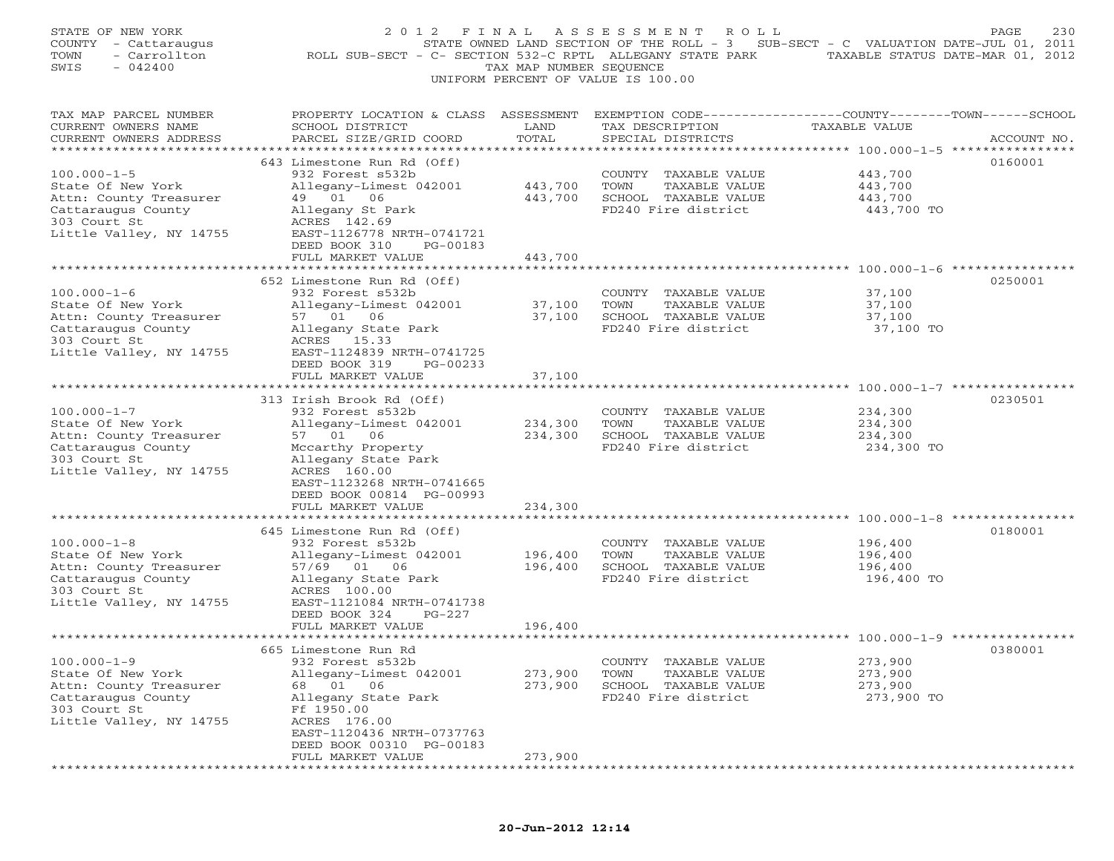| STATE OF NEW YORK<br>COUNTY - Cattaraugus<br>- Carrollton<br>TOWN<br>$-042400$<br>SWIS                                            | 2 0 1 2<br>F I N A L<br>ROLL SUB-SECT - C- SECTION 532-C RPTL ALLEGANY STATE PARK TAXABLE STATUS DATE-MAR 01, 2012                                                                                                           | TAX MAP NUMBER SEQUENCE       | ASSESSMENT ROLL<br>STATE OWNED LAND SECTION OF THE ROLL - 3 SUB-SECT - C VALUATION DATE-JUL 01, 2011<br>UNIFORM PERCENT OF VALUE IS 100.00 |                                             | 230<br>PAGE |
|-----------------------------------------------------------------------------------------------------------------------------------|------------------------------------------------------------------------------------------------------------------------------------------------------------------------------------------------------------------------------|-------------------------------|--------------------------------------------------------------------------------------------------------------------------------------------|---------------------------------------------|-------------|
| TAX MAP PARCEL NUMBER<br>CURRENT OWNERS NAME<br>CURRENT OWNERS ADDRESS                                                            | PROPERTY LOCATION & CLASS ASSESSMENT EXEMPTION CODE---------------COUNTY-------TOWN------SCHOOL<br>SCHOOL DISTRICT<br>PARCEL SIZE/GRID COORD                                                                                 | LAND<br>TOTAL                 | TAX DESCRIPTION<br>SPECIAL DISTRICTS                                                                                                       | TAXABLE VALUE                               | ACCOUNT NO. |
| $100.000 - 1 - 5$<br>State Of New York<br>Attn: County Treasurer<br>Cattaraugus County<br>303 Court St<br>Little Valley, NY 14755 | 643 Limestone Run Rd (Off)<br>932 Forest s532b<br>Allegany-Limest 042001<br>49 01 06<br>Allegany St Park<br>ACRES 142.69<br>EAST-1126778 NRTH-0741721<br>DEED BOOK 310<br>PG-00183<br>FULL MARKET VALUE                      | 443,700<br>443,700<br>443,700 | COUNTY TAXABLE VALUE<br>TAXABLE VALUE<br>TOWN<br>SCHOOL TAXABLE VALUE<br>FD240 Fire district                                               | 443,700<br>443,700<br>443,700<br>443,700 TO | 0160001     |
| $100.000 - 1 - 6$<br>State Of New York<br>Attn: County Treasurer<br>Cattaraugus County<br>303 Court St<br>Little Valley, NY 14755 | 652 Limestone Run Rd (Off)<br>932 Forest s532b<br>Allegany-Limest 042001<br>57 01 06<br>Allegany State Park<br>ACRES 15.33<br>EAST-1124839 NRTH-0741725<br>DEED BOOK 319<br>PG-00233<br>FULL MARKET VALUE                    | 37,100<br>37,100<br>37,100    | COUNTY TAXABLE VALUE<br>TOWN<br>TAXABLE VALUE<br>SCHOOL TAXABLE VALUE<br>FD240 Fire district                                               | 37,100<br>37,100<br>37,100<br>37,100 TO     | 0250001     |
| $100.000 - 1 - 7$<br>State Of New York<br>Attn: County Treasurer<br>Cattaraugus County<br>303 Court St<br>Little Valley, NY 14755 | 313 Irish Brook Rd (Off)<br>932 Forest s532b<br>Allegany-Limest 042001<br>57 01 06<br>Mccarthy Property<br>Allegany State Park<br>ACRES 160.00<br>EAST-1123268 NRTH-0741665<br>DEED BOOK 00814 PG-00993<br>FULL MARKET VALUE | 234,300<br>234,300<br>234,300 | COUNTY TAXABLE VALUE<br>TOWN<br>TAXABLE VALUE<br>SCHOOL TAXABLE VALUE<br>FD240 Fire district                                               | 234,300<br>234,300<br>234,300<br>234,300 TO | 0230501     |
| $100.000 - 1 - 8$<br>State Of New York<br>Attn: County Treasurer<br>Cattaraugus County<br>303 Court St<br>Little Valley, NY 14755 | 645 Limestone Run Rd (Off)<br>932 Forest s532b<br>Allegany-Limest 042001<br>57/69 01 06<br>Allegany State Park<br>ACRES 100.00<br>EAST-1121084 NRTH-0741738<br>$PG-227$<br>DEED BOOK 324<br>FULL MARKET VALUE                | 196,400<br>196,400<br>196,400 | COUNTY TAXABLE VALUE<br>TOWN<br>TAXABLE VALUE<br>SCHOOL TAXABLE VALUE<br>FD240 Fire district                                               | 196,400<br>196,400<br>196,400<br>196,400 TO | 0180001     |
| $100.000 - 1 - 9$<br>State Of New York<br>Attn: County Treasurer<br>Cattaraugus County<br>303 Court St<br>Little Valley, NY 14755 | 665 Limestone Run Rd<br>932 Forest s532b<br>Allegany-Limest 042001<br>01<br>68<br>06<br>Allegany State Park<br>Ff 1950.00<br>ACRES 176.00<br>EAST-1120436 NRTH-0737763<br>DEED BOOK 00310 PG-00183<br>FULL MARKET VALUE<br>. | 273,900<br>273,900<br>273,900 | COUNTY<br>TAXABLE VALUE<br>TOWN<br>TAXABLE VALUE<br>SCHOOL TAXABLE VALUE<br>FD240 Fire district                                            | 273,900<br>273,900<br>273,900<br>273,900 TO | 0380001     |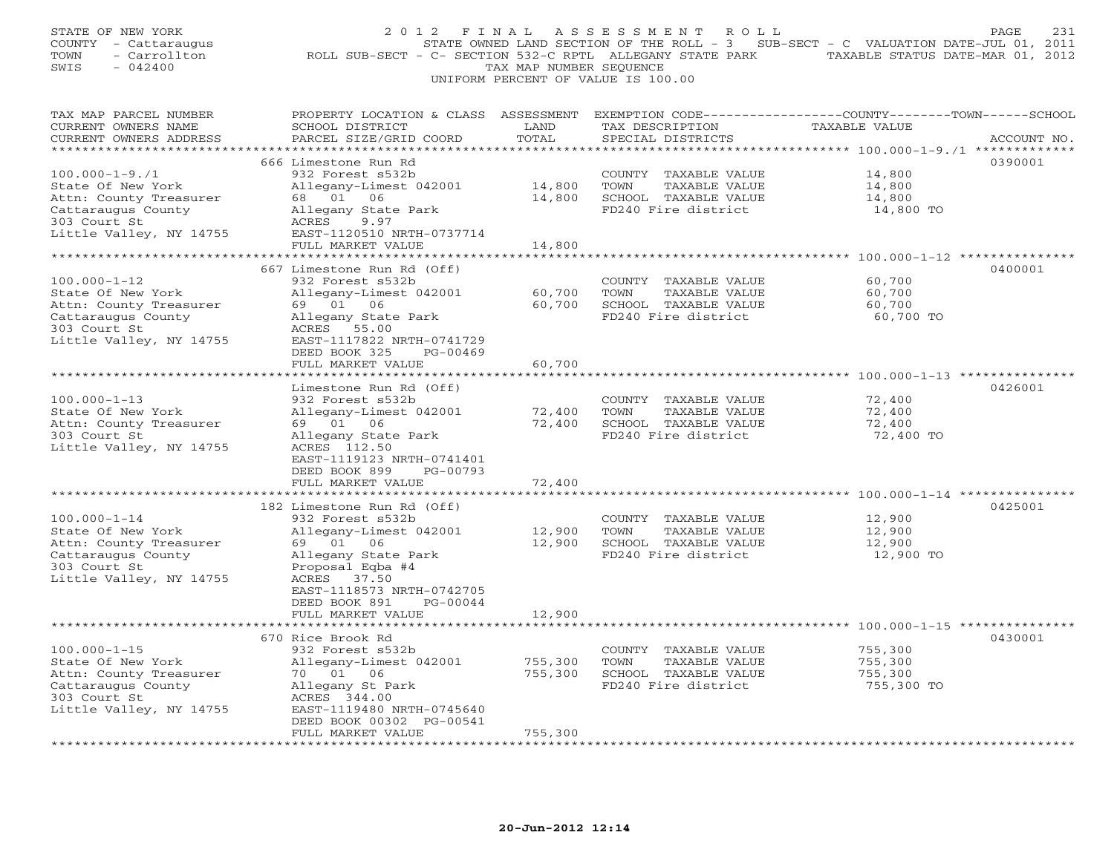| STATE OF NEW YORK<br>COUNTY - Cattaraugus<br>TOWN<br>- Carrollton<br>$-042400$<br>SWIS                                                                        | 2 0 1 2<br>ROLL SUB-SECT - C- SECTION 532-C RPTL ALLEGANY STATE PARK TAXABLE STATUS DATE-MAR 01, 2012                                                                                                                           | FINAL<br>TAX MAP NUMBER SEQUENCE                | ASSESSMENT ROLL<br>STATE OWNED LAND SECTION OF THE ROLL - 3 SUB-SECT - C VALUATION DATE-JUL 01, 2011<br>UNIFORM PERCENT OF VALUE IS 100.00 |                                                                                        | 231<br>PAGE |
|---------------------------------------------------------------------------------------------------------------------------------------------------------------|---------------------------------------------------------------------------------------------------------------------------------------------------------------------------------------------------------------------------------|-------------------------------------------------|--------------------------------------------------------------------------------------------------------------------------------------------|----------------------------------------------------------------------------------------|-------------|
| TAX MAP PARCEL NUMBER<br>CURRENT OWNERS NAME<br>CURRENT OWNERS ADDRESS<br>***********************                                                             | PROPERTY LOCATION & CLASS ASSESSMENT EXEMPTION CODE---------------COUNTY-------TOWN------SCHOOL<br>SCHOOL DISTRICT<br>PARCEL SIZE/GRID COORD<br>******************************                                                  | LAND<br>TOTAL                                   | TAX DESCRIPTION<br>SPECIAL DISTRICTS                                                                                                       | TAXABLE VALUE                                                                          | ACCOUNT NO. |
| $100.000 - 1 - 9.71$<br>State Of New York<br>Attn: County Treasurer<br>Cattaraugus County<br>303 Court St<br>Little Valley, NY 14755                          | 666 Limestone Run Rd<br>932 Forest s532b<br>Allegany-Limest 042001<br>68 01 06<br>Allegany State Park<br>ACRES<br>9.97<br>EAST-1120510 NRTH-0737714<br>FULL MARKET VALUE                                                        | 14,800<br>14,800<br>14,800                      | COUNTY TAXABLE VALUE<br>TOWN<br>TAXABLE VALUE<br>SCHOOL TAXABLE VALUE<br>FD240 Fire district                                               | 14,800<br>14,800<br>14,800<br>14,800 TO                                                | 0390001     |
| $100.000 - 1 - 12$<br>State Of New York<br>Attn: County Treasurer<br>Cattaraugus County<br>303 Court St<br>Little Valley, NY 14755                            | 667 Limestone Run Rd (Off)<br>932 Forest s532b<br>Allegany-Limest 042001<br>69 01 06<br>Allegany State Park<br>ACRES 55.00<br>EAST-1117822 NRTH-0741729<br>DEED BOOK 325<br>PG-00469<br>FULL MARKET VALUE<br>****************** | 60,700<br>60,700<br>60,700<br>**********        | COUNTY TAXABLE VALUE<br>TOWN<br>TAXABLE VALUE<br>SCHOOL TAXABLE VALUE<br>FD240 Fire district                                               | 60,700<br>60,700<br>60,700<br>60,700 TO                                                | 0400001     |
| $100.000 - 1 - 13$<br>State Of New York<br>Attn: County Treasurer<br>303 Court St<br>Little Valley, NY 14755                                                  | Limestone Run Rd (Off)<br>932 Forest s532b<br>Allegany-Limest 042001<br>69 01 06<br>Allegany State Park<br>ACRES 112.50<br>EAST-1119123 NRTH-0741401<br>DEED BOOK 899<br>PG-00793<br>FULL MARKET VALUE                          | 72,400<br>72,400<br>72,400                      | COUNTY TAXABLE VALUE<br>TOWN<br>TAXABLE VALUE<br>SCHOOL TAXABLE VALUE<br>FD240 Fire district                                               | 72,400<br>72,400<br>72,400<br>72,400 TO                                                | 0426001     |
| $100.000 - 1 - 14$<br>State Of New York<br>Attn: County Treasurer<br>Cattaraugus County<br>303 Court St<br>Little Valley, NY 14755                            | 182 Limestone Run Rd (Off)<br>932 Forest s532b<br>Allegany-Limest 042001<br>69 01 06<br>Allegany State Park<br>Proposal Eqba #4<br>ACRES<br>37.50<br>EAST-1118573 NRTH-0742705<br>DEED BOOK 891<br>PG-00044                     | 12,900                                          | COUNTY TAXABLE VALUE<br>TOWN<br>TAXABLE VALUE<br>12,900 SCHOOL TAXABLE VALUE<br>FD240 Fire district                                        | ***************** 100.000-1-14 ************<br>12,900<br>12,900<br>12,900<br>12,900 TO | 0425001     |
|                                                                                                                                                               | FULL MARKET VALUE<br>670 Rice Brook Rd                                                                                                                                                                                          | 12,900                                          |                                                                                                                                            |                                                                                        | 0430001     |
| $100.000 - 1 - 15$<br>State Of New York<br>Attn: County Treasurer<br>Cattaraugus County<br>303 Court St<br>Little Valley, NY 14755<br>*********************** | 932 Forest s532b<br>Allegany-Limest 042001<br>70 01 06<br>Allegany St Park<br>ACRES 344.00<br>EAST-1119480 NRTH-0745640<br>DEED BOOK 00302 PG-00541<br>FULL MARKET VALUE<br>**********************                              | 755,300<br>755,300<br>755,300<br>************** | COUNTY TAXABLE VALUE<br>TOWN<br>TAXABLE VALUE<br>SCHOOL TAXABLE VALUE<br>FD240 Fire district                                               | 755,300<br>755,300<br>755,300<br>755,300 TO                                            |             |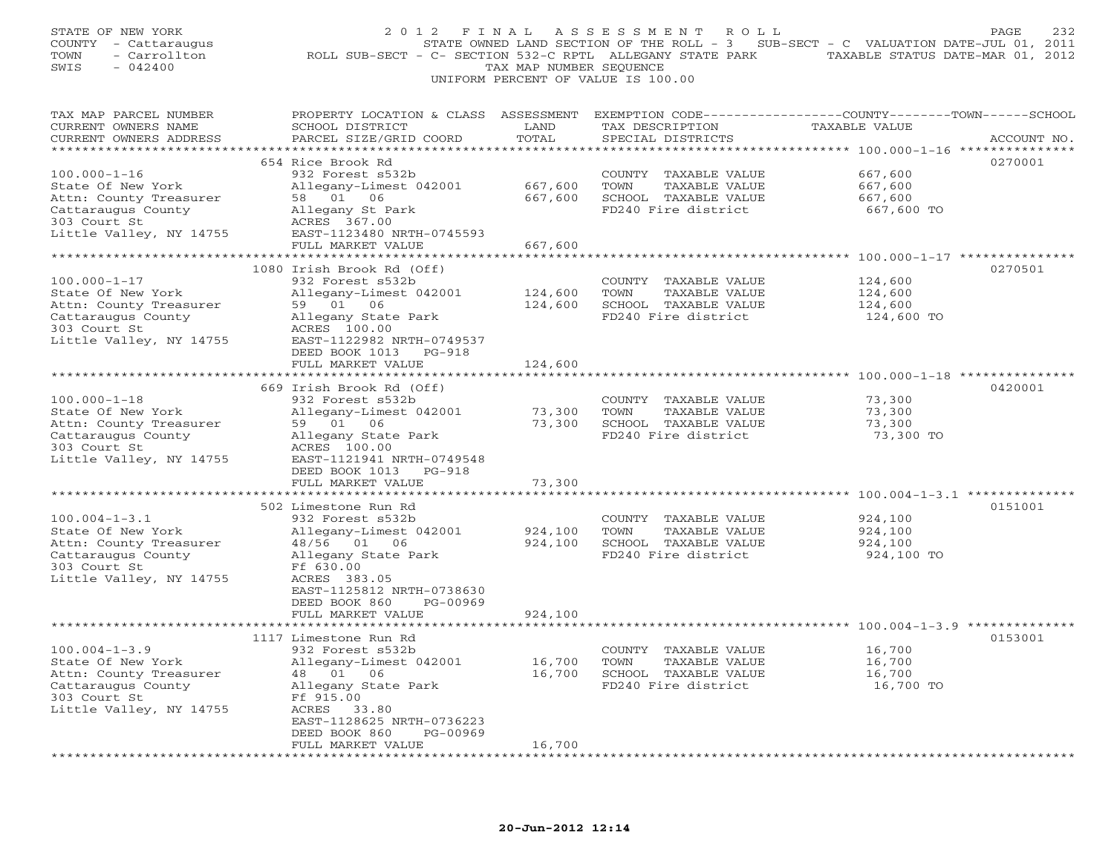| STATE OF NEW YORK<br>COUNTY - Cattaraugus<br>- Carrollton<br>TOWN<br>SWIS<br>$-042400$ | 2012 FINAL                                                                                     | TAX MAP NUMBER SEQUENCE | ASSESSMENT<br>ROLL<br>STATE OWNED LAND SECTION OF THE ROLL - 3 SUB-SECT - C VALUATION DATE-JUL 01, 2011<br>ROLL SUB-SECT - C- SECTION 532-C RPTL ALLEGANY STATE PARK TAXABLE STATUS DATE-MAR 01, 2012<br>UNIFORM PERCENT OF VALUE IS 100.00 |                                                      | 232<br>PAGE |
|----------------------------------------------------------------------------------------|------------------------------------------------------------------------------------------------|-------------------------|---------------------------------------------------------------------------------------------------------------------------------------------------------------------------------------------------------------------------------------------|------------------------------------------------------|-------------|
| TAX MAP PARCEL NUMBER                                                                  | PROPERTY LOCATION & CLASS ASSESSMENT EXEMPTION CODE---------------COUNTY-------TOWN-----SCHOOL |                         |                                                                                                                                                                                                                                             |                                                      |             |
| CURRENT OWNERS NAME                                                                    | SCHOOL DISTRICT                                                                                | LAND                    | TAX DESCRIPTION                                                                                                                                                                                                                             | TAXABLE VALUE                                        |             |
| CURRENT OWNERS ADDRESS                                                                 | PARCEL SIZE/GRID COORD                                                                         | TOTAL                   | SPECIAL DISTRICTS                                                                                                                                                                                                                           |                                                      | ACCOUNT NO. |
|                                                                                        | 654 Rice Brook Rd                                                                              |                         |                                                                                                                                                                                                                                             |                                                      | 0270001     |
| $100.000 - 1 - 16$                                                                     | 932 Forest s532b                                                                               |                         | COUNTY TAXABLE VALUE                                                                                                                                                                                                                        | 667,600                                              |             |
| State Of New York                                                                      | Allegany-Limest 042001                                                                         | 667,600                 | TOWN<br>TAXABLE VALUE                                                                                                                                                                                                                       | 667,600                                              |             |
| Attn: County Treasurer                                                                 | 58 01 06                                                                                       | 667,600                 | SCHOOL TAXABLE VALUE                                                                                                                                                                                                                        | 667,600                                              |             |
| Cattaraugus County                                                                     | Allegany St Park                                                                               |                         | FD240 Fire district                                                                                                                                                                                                                         | 667,600 TO                                           |             |
| 303 Court St                                                                           | ACRES 367.00                                                                                   |                         |                                                                                                                                                                                                                                             |                                                      |             |
| Little Valley, NY 14755                                                                | EAST-1123480 NRTH-0745593                                                                      |                         |                                                                                                                                                                                                                                             |                                                      |             |
|                                                                                        | FULL MARKET VALUE                                                                              | 667,600                 |                                                                                                                                                                                                                                             |                                                      |             |
|                                                                                        |                                                                                                |                         |                                                                                                                                                                                                                                             |                                                      |             |
|                                                                                        | 1080 Irish Brook Rd (Off)                                                                      |                         |                                                                                                                                                                                                                                             |                                                      | 0270501     |
| $100.000 - 1 - 17$                                                                     | 932 Forest s532b                                                                               |                         | COUNTY TAXABLE VALUE                                                                                                                                                                                                                        | 124,600                                              |             |
| State Of New York                                                                      | Allegany-Limest 042001                                                                         | 124,600                 | TOWN<br>TAXABLE VALUE                                                                                                                                                                                                                       | 124,600                                              |             |
| Attn: County Treasurer                                                                 | 59 01 06                                                                                       | 124,600                 | SCHOOL TAXABLE VALUE                                                                                                                                                                                                                        | 124,600                                              |             |
| Cattaraugus County                                                                     | Allegany State Park                                                                            |                         | FD240 Fire district                                                                                                                                                                                                                         | 124,600 TO                                           |             |
| 303 Court St<br>Little Valley, NY 14755                                                | ACRES 100.00<br>EAST-1122982 NRTH-0749537                                                      |                         |                                                                                                                                                                                                                                             |                                                      |             |
|                                                                                        | DEED BOOK 1013 PG-918                                                                          |                         |                                                                                                                                                                                                                                             |                                                      |             |
|                                                                                        | FULL MARKET VALUE                                                                              | 124,600                 |                                                                                                                                                                                                                                             |                                                      |             |
|                                                                                        | * * * * * * * * * * * * * * * * * * *                                                          |                         |                                                                                                                                                                                                                                             |                                                      |             |
|                                                                                        | 669 Irish Brook Rd (Off)                                                                       |                         |                                                                                                                                                                                                                                             |                                                      | 0420001     |
| $100.000 - 1 - 18$                                                                     | 932 Forest s532b                                                                               |                         | COUNTY TAXABLE VALUE                                                                                                                                                                                                                        | 73,300                                               |             |
| State Of New York                                                                      | Allegany-Limest 042001                                                                         | 73,300                  | TOWN<br>TAXABLE VALUE                                                                                                                                                                                                                       | 73,300                                               |             |
| Attn: County Treasurer                                                                 | 59 01 06                                                                                       | 73,300                  | SCHOOL TAXABLE VALUE                                                                                                                                                                                                                        | 73,300                                               |             |
| Cattaraugus County                                                                     | Allegany State Park                                                                            |                         | FD240 Fire district                                                                                                                                                                                                                         | 73,300 TO                                            |             |
| 303 Court St                                                                           | ACRES 100.00                                                                                   |                         |                                                                                                                                                                                                                                             |                                                      |             |
| Little Valley, NY 14755                                                                | EAST-1121941 NRTH-0749548                                                                      |                         |                                                                                                                                                                                                                                             |                                                      |             |
|                                                                                        | DEED BOOK 1013 PG-918                                                                          |                         |                                                                                                                                                                                                                                             |                                                      |             |
| ********************                                                                   | FULL MARKET VALUE                                                                              | 73,300                  |                                                                                                                                                                                                                                             |                                                      |             |
|                                                                                        |                                                                                                |                         |                                                                                                                                                                                                                                             |                                                      | 0151001     |
| $100.004 - 1 - 3.1$                                                                    | 502 Limestone Run Rd<br>932 Forest s532b                                                       |                         | COUNTY TAXABLE VALUE                                                                                                                                                                                                                        | 924,100                                              |             |
| State Of New York                                                                      | Allegany-Limest 042001                                                                         | 924,100                 | TOWN<br>TAXABLE VALUE                                                                                                                                                                                                                       | 924,100                                              |             |
| Attn: County Treasurer                                                                 | 48/56 01 06                                                                                    | 924,100                 | SCHOOL TAXABLE VALUE                                                                                                                                                                                                                        | 924,100                                              |             |
| Cattaraugus County                                                                     | Allegany State Park                                                                            |                         | FD240 Fire district                                                                                                                                                                                                                         | 924,100 TO                                           |             |
| 303 Court St                                                                           | Ff 630.00                                                                                      |                         |                                                                                                                                                                                                                                             |                                                      |             |
| Little Valley, NY 14755                                                                | ACRES 383.05                                                                                   |                         |                                                                                                                                                                                                                                             |                                                      |             |
|                                                                                        | EAST-1125812 NRTH-0738630                                                                      |                         |                                                                                                                                                                                                                                             |                                                      |             |
|                                                                                        | PG-00969<br>DEED BOOK 860                                                                      |                         |                                                                                                                                                                                                                                             |                                                      |             |
|                                                                                        | FULL MARKET VALUE                                                                              | 924,100                 |                                                                                                                                                                                                                                             |                                                      |             |
|                                                                                        | **********************                                                                         | * * * * * * * * * * *   |                                                                                                                                                                                                                                             | *********************** 100.004-1-3.9 ************** |             |
|                                                                                        | 1117 Limestone Run Rd                                                                          |                         |                                                                                                                                                                                                                                             |                                                      | 0153001     |
| $100.004 - 1 - 3.9$                                                                    | 932 Forest s532b                                                                               |                         | COUNTY TAXABLE VALUE                                                                                                                                                                                                                        | 16,700                                               |             |
| State Of New York                                                                      | Allegany-Limest 042001                                                                         | 16,700<br>16.700        | TOWN<br>TAXABLE VALUE<br>16,700 SCHOOL TAXABLE VALUE                                                                                                                                                                                        | 16,700                                               |             |
| Attn: County Treasurer<br>Cattaraugus County                                           | 06<br>48 01                                                                                    |                         | FD240 Fire district                                                                                                                                                                                                                         | 16,700<br>16,700 TO                                  |             |
| 303 Court St                                                                           | Allegany State Park<br>Ff 915.00                                                               |                         |                                                                                                                                                                                                                                             |                                                      |             |
| Little Valley, NY 14755                                                                | ACRES 33.80                                                                                    |                         |                                                                                                                                                                                                                                             |                                                      |             |
|                                                                                        | EAST-1128625 NRTH-0736223                                                                      |                         |                                                                                                                                                                                                                                             |                                                      |             |
|                                                                                        | PG-00969<br>DEED BOOK 860                                                                      |                         |                                                                                                                                                                                                                                             |                                                      |             |
|                                                                                        | FULL MARKET VALUE                                                                              | 16,700                  |                                                                                                                                                                                                                                             |                                                      |             |
|                                                                                        | *******************                                                                            | **********              |                                                                                                                                                                                                                                             |                                                      |             |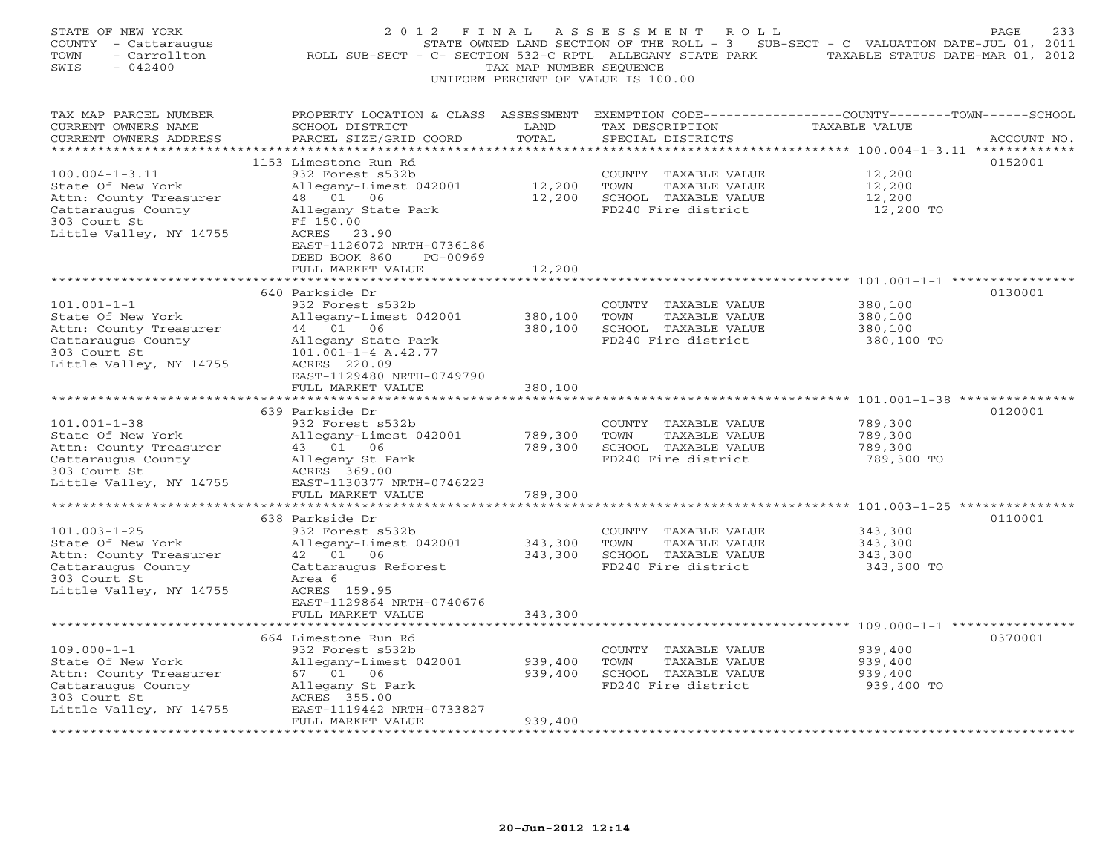| STATE OF NEW YORK<br>COUNTY<br>- Cattaraugus<br>TOWN<br>- Carrollton<br>$-042400$<br>SWIS                                                                   | 2 0 1 2<br>F I N A L<br>ROLL SUB-SECT - C- SECTION 532-C RPTL ALLEGANY STATE PARK                                                                                                                                                          | TAX MAP NUMBER SEQUENCE                    | A S S E S S M E N T<br>ROLL<br>UNIFORM PERCENT OF VALUE IS 100.00                               | STATE OWNED LAND SECTION OF THE ROLL - 3 SUB-SECT - C VALUATION DATE-JUL 01, 2011<br>TAXABLE STATUS DATE-MAR 01, 2012 | PAGE<br>233 |
|-------------------------------------------------------------------------------------------------------------------------------------------------------------|--------------------------------------------------------------------------------------------------------------------------------------------------------------------------------------------------------------------------------------------|--------------------------------------------|-------------------------------------------------------------------------------------------------|-----------------------------------------------------------------------------------------------------------------------|-------------|
| TAX MAP PARCEL NUMBER<br>CURRENT OWNERS NAME<br>CURRENT OWNERS ADDRESS                                                                                      | PROPERTY LOCATION & CLASS ASSESSMENT<br>SCHOOL DISTRICT<br>PARCEL SIZE/GRID COORD                                                                                                                                                          | LAND<br>TOTAL                              | TAX DESCRIPTION<br>SPECIAL DISTRICTS                                                            | EXEMPTION CODE-----------------COUNTY-------TOWN------SCHOOL<br>TAXABLE VALUE                                         | ACCOUNT NO. |
| $100.004 - 1 - 3.11$<br>State Of New York<br>Attn: County Treasurer<br>Cattaraugus County<br>303 Court St<br>Little Valley, NY 14755                        | 1153 Limestone Run Rd<br>932 Forest s532b<br>Allegany-Limest 042001<br>48  01  06<br>Allegany State Park<br>Ff 150.00<br>ACRES 23.90<br>EAST-1126072 NRTH-0736186<br>DEED BOOK 860<br>PG-00969<br>FULL MARKET VALUE                        | 12,200<br>12,200<br>12,200                 | COUNTY<br>TAXABLE VALUE<br>TOWN<br>TAXABLE VALUE<br>SCHOOL TAXABLE VALUE<br>FD240 Fire district | ********** 100.004-1-3.11 **************<br>12,200<br>12,200<br>12,200<br>12,200 TO                                   | 0152001     |
| $101.001 - 1 - 1$<br>State Of New York<br>Attn: County Treasurer<br>Cattaraugus County<br>303 Court St<br>Little Valley, NY 14755                           | ******************<br>640 Parkside Dr<br>932 Forest s532b<br>Allegany-Limest 042001<br>44 01 06<br>Allegany State Park<br>101.001-1-4 A.42.77<br>ACRES 220.09<br>EAST-1129480 NRTH-0749790<br>FULL MARKET VALUE                            | 380,100<br>380,100<br>380,100              | COUNTY TAXABLE VALUE<br>TOWN<br>TAXABLE VALUE<br>SCHOOL TAXABLE VALUE<br>FD240 Fire district    | 380,100<br>380,100<br>380,100<br>380,100 TO                                                                           | 0130001     |
| $101.001 - 1 - 38$<br>State Of New York<br>Attn: County Treasurer<br>Cattaraugus County<br>303 Court St<br>Little Valley, NY 14755                          | *******************<br>639 Parkside Dr<br>932 Forest s532b<br>Allegany-Limest 042001<br>43 01 06<br>Allegany St Park<br>ACRES 369.00<br>EAST-1130377 NRTH-0746223<br>FULL MARKET VALUE                                                     | 789,300<br>789,300<br>789,300              | COUNTY TAXABLE VALUE<br>TOWN<br>TAXABLE VALUE<br>SCHOOL TAXABLE VALUE<br>FD240 Fire district    | ******************************** 101.001-1-38 ************<br>789,300<br>789,300<br>789,300<br>789,300 TO             | 0120001     |
| *********************<br>$101.003 - 1 - 25$<br>State Of New York<br>Attn: County Treasurer<br>Cattaraugus County<br>303 Court St<br>Little Valley, NY 14755 | ************************<br>638 Parkside Dr<br>932 Forest s532b<br>Allegany-Limest 042001<br>42 01 06<br>Cattaraugus Reforest<br>Area 6<br>ACRES 159.95<br>EAST-1129864 NRTH-0740676<br>FULL MARKET VALUE<br>***************************** | *********<br>343,300<br>343,300<br>343,300 | COUNTY TAXABLE VALUE<br>TOWN<br>TAXABLE VALUE<br>SCHOOL TAXABLE VALUE<br>FD240 Fire district    | ************************* 101.003-1-25 ***************<br>343,300<br>343,300<br>343,300<br>343,300 TO                 | 0110001     |
| $109.000 - 1 - 1$<br>State Of New York<br>Attn: County Treasurer<br>Cattaraugus County<br>303 Court St<br>Little Valley, NY 14755<br>***********            | 664 Limestone Run Rd<br>932 Forest s532b<br>Allegany-Limest 042001<br>67 01 06<br>Allegany St Park<br>ACRES 355.00<br>EAST-1119442 NRTH-0733827<br>FULL MARKET VALUE<br>* * * * * * * * * * * * * * * * * * *                              | 939,400<br>939,400<br>939,400              | COUNTY TAXABLE VALUE<br>TOWN<br>TAXABLE VALUE<br>SCHOOL TAXABLE VALUE<br>FD240 Fire district    | ************************* 109.000-1-1 *****************<br>939,400<br>939,400<br>939,400<br>939,400 TO                | 0370001     |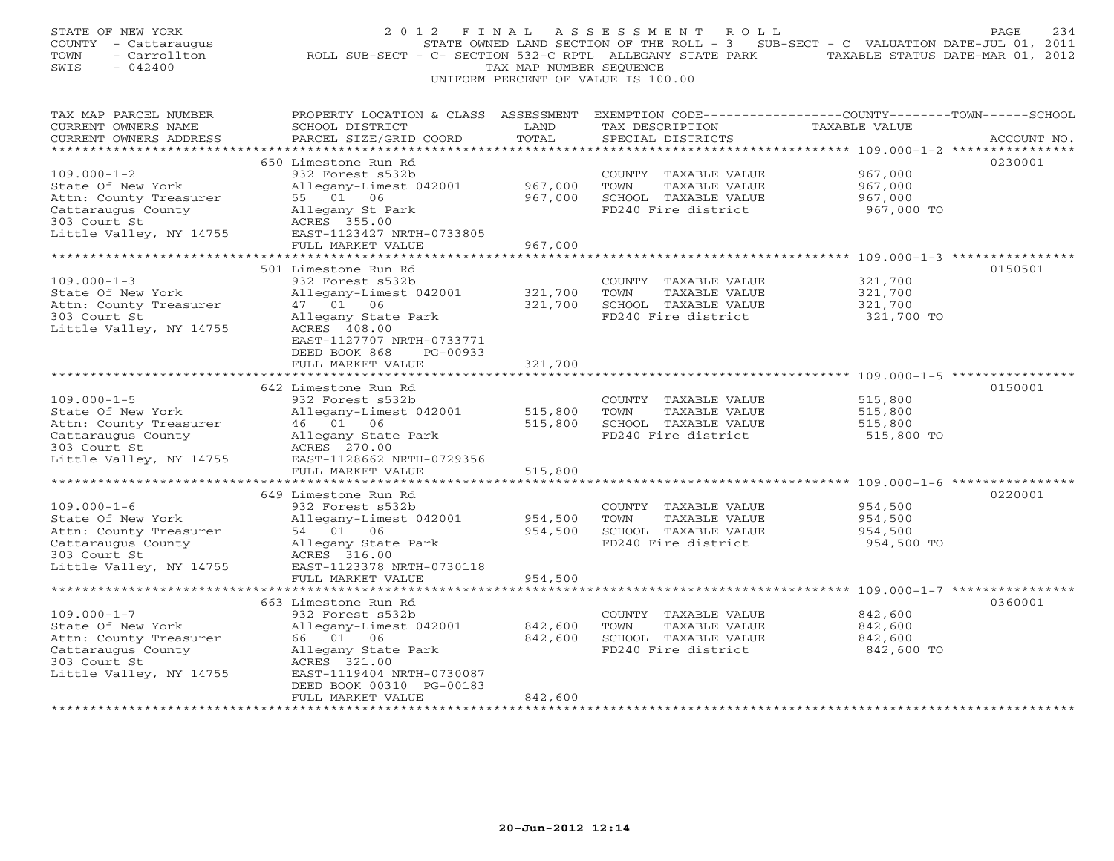| STATE OF NEW YORK<br>COUNTY - Cattaraugus<br>- Carrollton<br>TOWN<br>$-042400$<br>SWIS | 2 0 1 2<br>ROLL SUB-SECT - C- SECTION 532-C RPTL ALLEGANY STATE PARK TAXABLE STATUS DATE-MAR 01, 2012                                        | FINAL<br>TAX MAP NUMBER SEOUENCE | ASSESSMENT<br>ROLL<br>STATE OWNED LAND SECTION OF THE ROLL - 3 SUB-SECT - C VALUATION DATE-JUL 01, 2011<br>UNIFORM PERCENT OF VALUE IS 100.00 |                                                                | PAGE<br>234 |
|----------------------------------------------------------------------------------------|----------------------------------------------------------------------------------------------------------------------------------------------|----------------------------------|-----------------------------------------------------------------------------------------------------------------------------------------------|----------------------------------------------------------------|-------------|
| TAX MAP PARCEL NUMBER<br>CURRENT OWNERS NAME<br>CURRENT OWNERS ADDRESS                 | PROPERTY LOCATION & CLASS ASSESSMENT EXEMPTION CODE---------------COUNTY-------TOWN------SCHOOL<br>SCHOOL DISTRICT<br>PARCEL SIZE/GRID COORD | LAND<br>TOTAL                    | TAX DESCRIPTION<br>SPECIAL DISTRICTS                                                                                                          | <b>TAXABLE VALUE</b>                                           | ACCOUNT NO. |
|                                                                                        |                                                                                                                                              |                                  |                                                                                                                                               |                                                                |             |
| $109.000 - 1 - 2$                                                                      | 650 Limestone Run Rd<br>932 Forest s532b                                                                                                     |                                  | COUNTY TAXABLE VALUE                                                                                                                          | 967,000                                                        | 0230001     |
| State Of New York<br>Attn: County Treasurer                                            | Allegany-Limest 042001<br>55 01 06                                                                                                           | 967,000<br>967,000               | TOWN<br>TAXABLE VALUE<br>SCHOOL TAXABLE VALUE                                                                                                 | 967,000<br>967,000                                             |             |
| Cattaraugus County<br>303 Court St                                                     | Allegany St Park<br>ACRES 355.00                                                                                                             |                                  | FD240 Fire district                                                                                                                           | 967,000 TO                                                     |             |
| Little Valley, NY 14755                                                                | EAST-1123427 NRTH-0733805<br>FULL MARKET VALUE                                                                                               | 967,000                          |                                                                                                                                               |                                                                |             |
|                                                                                        |                                                                                                                                              |                                  |                                                                                                                                               |                                                                |             |
|                                                                                        | 501 Limestone Run Rd                                                                                                                         |                                  |                                                                                                                                               |                                                                | 0150501     |
| $109.000 - 1 - 3$                                                                      | 932 Forest s532b                                                                                                                             |                                  | COUNTY TAXABLE VALUE                                                                                                                          | 321,700                                                        |             |
| State Of New York                                                                      | Allegany-Limest 042001                                                                                                                       | 321,700                          | TOWN<br>TAXABLE VALUE                                                                                                                         | 321,700                                                        |             |
| Attn: County Treasurer<br>303 Court St                                                 | 47 01 06<br>Allegany State Park                                                                                                              | 321,700                          | SCHOOL TAXABLE VALUE<br>FD240 Fire district                                                                                                   | 321,700<br>321,700 TO                                          |             |
| Little Valley, NY 14755                                                                | ACRES 408.00<br>EAST-1127707 NRTH-0733771<br>DEED BOOK 868<br>PG-00933                                                                       |                                  |                                                                                                                                               |                                                                |             |
|                                                                                        | FULL MARKET VALUE<br>*******************                                                                                                     | 321,700                          |                                                                                                                                               | ********************************* 109.000-1-5 **************** |             |
|                                                                                        | 642 Limestone Run Rd                                                                                                                         |                                  |                                                                                                                                               |                                                                | 0150001     |
| $109.000 - 1 - 5$                                                                      | 932 Forest s532b                                                                                                                             |                                  | COUNTY TAXABLE VALUE                                                                                                                          | 515,800                                                        |             |
| State Of New York                                                                      | Allegany-Limest 042001                                                                                                                       | 515,800                          | TAXABLE VALUE<br>TOWN                                                                                                                         | 515,800                                                        |             |
| Attn: County Treasurer                                                                 | 46 01 06                                                                                                                                     | 515,800                          | SCHOOL TAXABLE VALUE                                                                                                                          | 515,800                                                        |             |
| Cattaraugus County<br>303 Court St                                                     | Allegany State Park<br>ACRES 270.00                                                                                                          |                                  | FD240 Fire district                                                                                                                           | 515,800 TO                                                     |             |
| Little Valley, NY 14755                                                                | EAST-1128662 NRTH-0729356                                                                                                                    |                                  |                                                                                                                                               |                                                                |             |
|                                                                                        | FULL MARKET VALUE                                                                                                                            | 515,800                          |                                                                                                                                               |                                                                |             |
|                                                                                        |                                                                                                                                              |                                  |                                                                                                                                               | ************************************ 109.000-1-6 ****          |             |
|                                                                                        | 649 Limestone Run Rd                                                                                                                         |                                  |                                                                                                                                               |                                                                | 0220001     |
| $109.000 - 1 - 6$                                                                      | 932 Forest s532b                                                                                                                             |                                  | COUNTY TAXABLE VALUE                                                                                                                          | 954,500                                                        |             |
| State Of New York<br>Attn: County Treasurer                                            | Allegany-Limest 042001<br>54 01 06                                                                                                           | 954,500<br>954,500               | TOWN<br>TAXABLE VALUE<br>SCHOOL TAXABLE VALUE                                                                                                 | 954,500<br>954,500                                             |             |
| Cattaraugus County                                                                     | Allegany State Park                                                                                                                          |                                  | FD240 Fire district                                                                                                                           | 954,500 TO                                                     |             |
| 303 Court St                                                                           | ACRES 316.00                                                                                                                                 |                                  |                                                                                                                                               |                                                                |             |
| Little Valley, NY 14755                                                                | EAST-1123378 NRTH-0730118                                                                                                                    |                                  |                                                                                                                                               |                                                                |             |
|                                                                                        | FULL MARKET VALUE                                                                                                                            | 954,500                          |                                                                                                                                               |                                                                |             |
|                                                                                        |                                                                                                                                              |                                  |                                                                                                                                               |                                                                |             |
| $109.000 - 1 - 7$                                                                      | 663 Limestone Run Rd<br>932 Forest s532b                                                                                                     |                                  | COUNTY TAXABLE VALUE                                                                                                                          | 842,600                                                        | 0360001     |
| State Of New York                                                                      | Allegany-Limest 042001                                                                                                                       | 842,600                          | TOWN<br>TAXABLE VALUE                                                                                                                         | 842,600                                                        |             |
| Attn: County Treasurer                                                                 | 66 01 06                                                                                                                                     | 842,600                          | SCHOOL TAXABLE VALUE                                                                                                                          | 842,600                                                        |             |
| Cattaraugus County                                                                     | Allegany State Park                                                                                                                          |                                  | FD240 Fire district                                                                                                                           | 842,600 TO                                                     |             |
| 303 Court St                                                                           | ACRES 321.00                                                                                                                                 |                                  |                                                                                                                                               |                                                                |             |
| Little Valley, NY 14755                                                                | EAST-1119404 NRTH-0730087<br>DEED BOOK 00310 PG-00183                                                                                        |                                  |                                                                                                                                               |                                                                |             |
|                                                                                        | FULL MARKET VALUE                                                                                                                            | 842,600                          |                                                                                                                                               |                                                                |             |
|                                                                                        | *******************                                                                                                                          | **********                       |                                                                                                                                               |                                                                |             |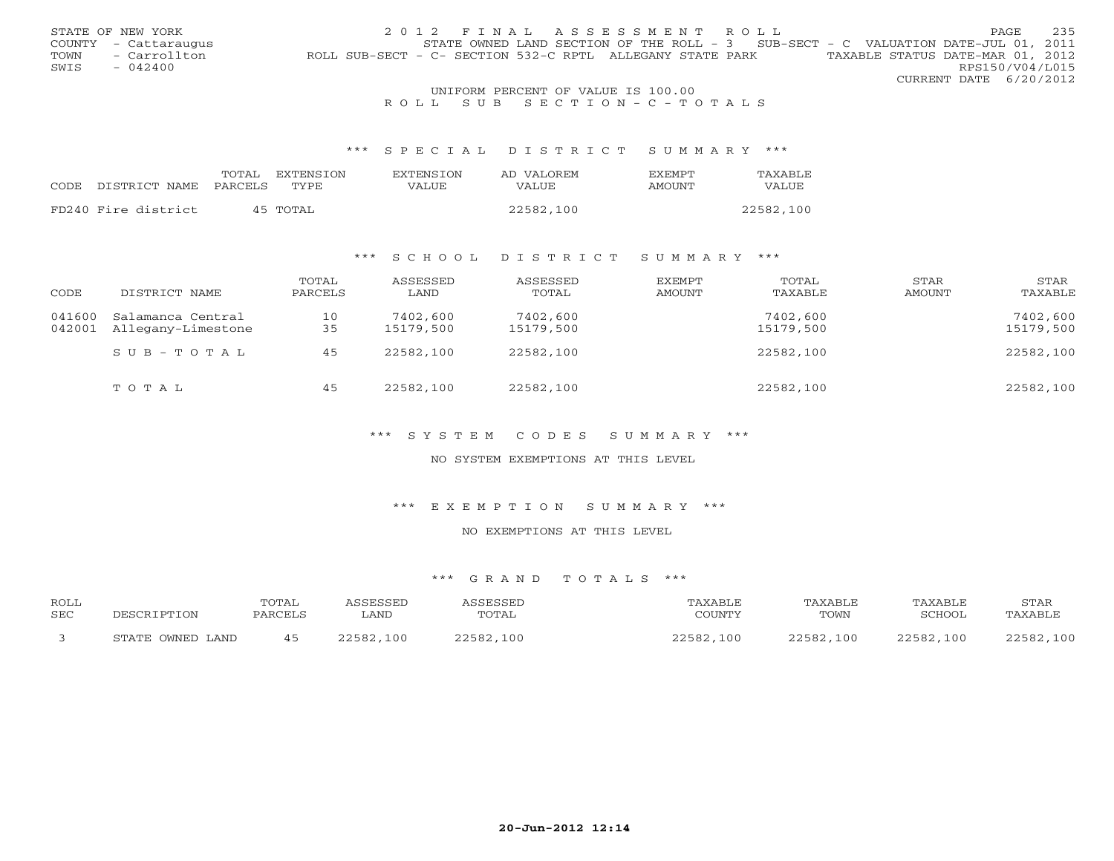|      | STATE OF NEW YORK    | 2012 FINAL ASSESSMENT ROLL                                                                    | <b>PAGE</b>            | 235 |
|------|----------------------|-----------------------------------------------------------------------------------------------|------------------------|-----|
|      | COUNTY - Cattaraugus | STATE OWNED LAND SECTION OF THE ROLL - 3 SUB-SECT - C VALUATION DATE-JUL 01, 2011             |                        |     |
| TOWN | - Carrollton         | TAXABLE STATUS DATE-MAR 01, 2012<br>ROLL SUB-SECT - C- SECTION 532-C RPTL ALLEGANY STATE PARK |                        |     |
| SWIS | $-042400$            |                                                                                               | RPS150/V04/L015        |     |
|      |                      |                                                                                               | CURRENT DATE 6/20/2012 |     |
|      |                      | UNIFORM PERCENT OF VALUE IS 100.00                                                            |                        |     |

### R O L L S U B S E C T I O N - C - T O T A L S

#### \*\*\* S P E C I A L D I S T R I C T S U M M A R Y \*\*\*

|      |                     | TOTAL          | EXTENSION | <b>EXTENSION</b> | AD VALOREM | <b>FXFMPT</b> | TAXABLE   |
|------|---------------------|----------------|-----------|------------------|------------|---------------|-----------|
| CODE | DISTRICT NAME       | <b>PARCELS</b> | TYPE.     | VALUE            | VALUE      | AMOUNT        | VALUE     |
|      |                     |                |           |                  |            |               |           |
|      | FD240 Fire district |                | 45 TOTAL  |                  | 22582,100  |               | 22582,100 |

### \*\*\* S C H O O L D I S T R I C T S U M M A R Y \*\*\*

| CODE             | DISTRICT NAME                           | TOTAL<br>PARCELS | ASSESSED<br>LAND      | ASSESSED<br>TOTAL     | EXEMPT<br>AMOUNT | TOTAL<br>TAXABLE      | STAR<br>AMOUNT | STAR<br>TAXABLE       |
|------------------|-----------------------------------------|------------------|-----------------------|-----------------------|------------------|-----------------------|----------------|-----------------------|
| 041600<br>042001 | Salamanca Central<br>Allegany-Limestone | 10<br>35         | 7402,600<br>15179,500 | 7402,600<br>15179,500 |                  | 7402,600<br>15179,500 |                | 7402,600<br>15179,500 |
|                  | $S \cup B - T \cup T A$                 | 45               | 22582,100             | 22582,100             |                  | 22582,100             |                | 22582,100             |
|                  | TOTAL                                   | 45               | 22582,100             | 22582,100             |                  | 22582,100             |                | 22582,100             |

\*\*\* S Y S T E M C O D E S S U M M A R Y \*\*\*

NO SYSTEM EXEMPTIONS AT THIS LEVEL

\*\*\* E X E M P T I O N S U M M A R Y \*\*\*

NO EXEMPTIONS AT THIS LEVEL

| ROLL |                  | TOTAI   | <i>SSESSED</i> | <b>ACCECCEL</b> | TAXABLE       | TAXABLE       | TAXABLE   | STAR          |
|------|------------------|---------|----------------|-----------------|---------------|---------------|-----------|---------------|
| SEC  | DESCRIPTION      | PARCELS | LAND           | TOTAL           | COUNTY        | TOWN          | SCHOOL    | TAXABLE       |
|      |                  |         |                |                 |               |               |           |               |
|      | STATE OWNED LAND |         | 100<br>22582.  | 22582<br>.100   | 22582.<br>100 | つつち9つ<br>,100 | 22582,100 | 22582<br>,100 |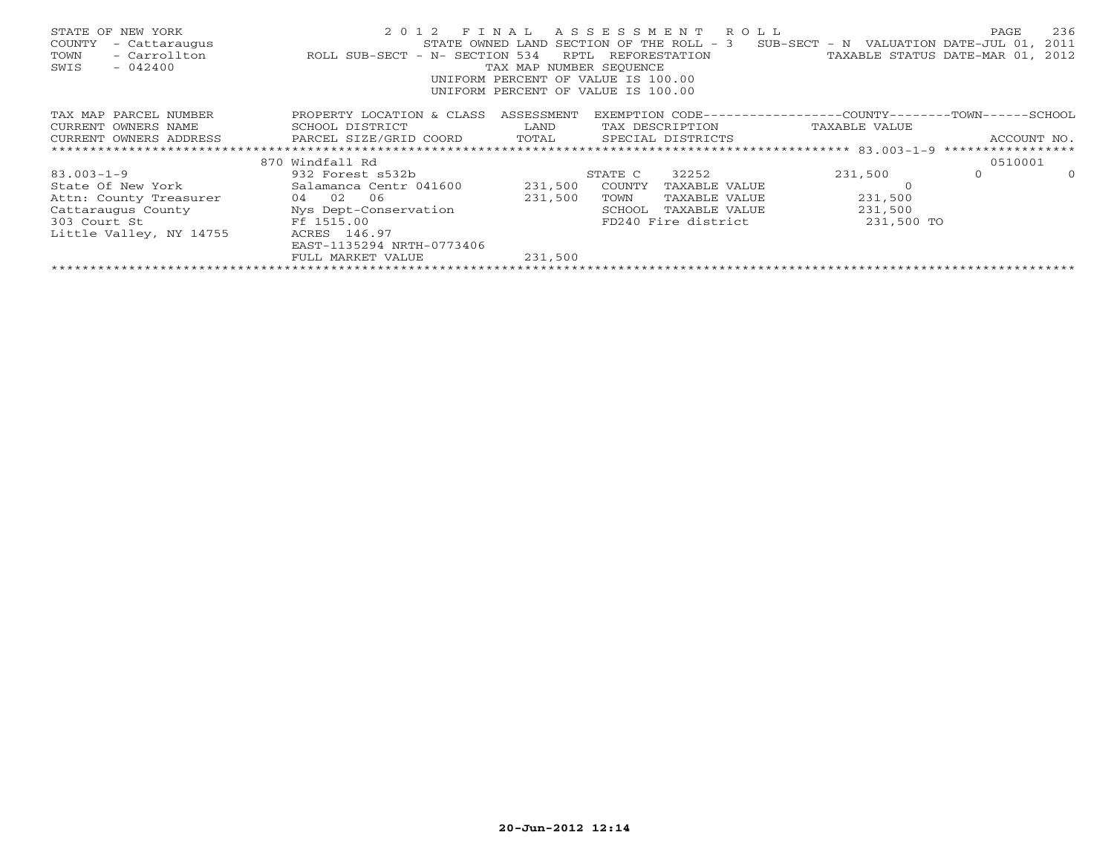| STATE OF NEW YORK<br>- Cattaraugus<br>COUNTY<br>- Carrollton<br>TOWN<br>$-042400$<br>SWIS | ROLL SUB-SECT - N- SECTION 534                                                                  | RPTL<br>TAX MAP NUMBER SEOUENCE | 2012 FINAL ASSESSMENT ROLL<br>STATE OWNED LAND SECTION OF THE ROLL - 3<br>REFORESTATION<br>UNIFORM PERCENT OF VALUE IS 100.00<br>UNIFORM PERCENT OF VALUE IS 100.00 | SUB-SECT - N VALUATION DATE-JUL 01, | 236<br>PAGE<br>2011<br>TAXABLE STATUS DATE-MAR 01, 2012 |
|-------------------------------------------------------------------------------------------|-------------------------------------------------------------------------------------------------|---------------------------------|---------------------------------------------------------------------------------------------------------------------------------------------------------------------|-------------------------------------|---------------------------------------------------------|
| TAX MAP PARCEL NUMBER                                                                     | PROPERTY LOCATION & CLASS ASSESSMENT                                                            |                                 | EXEMPTION CODE-----------------COUNTY-------TOWN------SCHOOL                                                                                                        |                                     |                                                         |
| CURRENT OWNERS NAME                                                                       | SCHOOL DISTRICT                                                                                 | <b>EXAMPLE TO A LAND</b>        | TAX DESCRIPTION TAXABLE VALUE                                                                                                                                       |                                     |                                                         |
|                                                                                           | CURRENT OWNERS ADDRESS             PARCEL SIZE/GRID COORD         TOTAL       SPECIAL DISTRICTS |                                 |                                                                                                                                                                     |                                     | ACCOUNT NO.                                             |
|                                                                                           |                                                                                                 |                                 |                                                                                                                                                                     |                                     |                                                         |
|                                                                                           | 870 Windfall Rd                                                                                 |                                 |                                                                                                                                                                     |                                     | 0510001                                                 |
| $83.003 - 1 - 9$                                                                          | 932 Forest s532b                                                                                |                                 | 32252<br>STATE C                                                                                                                                                    | 231,500                             | $\circ$<br>$\circ$                                      |
|                                                                                           | State Of New York Salamanca Centr 041600 231,500                                                |                                 | COUNTY<br>TAXABLE VALUE                                                                                                                                             |                                     |                                                         |
| Attn: County Treasurer 04 02 06                                                           |                                                                                                 | 231,500                         | TAXABLE VALUE<br>TOWN                                                                                                                                               | 231,500                             |                                                         |
|                                                                                           | Cattaraugus County Mys Dept-Conservation                                                        |                                 | SCHOOL<br>TAXABLE VALUE                                                                                                                                             | 231,500                             |                                                         |
| Free 1515.00<br>303 Court St                                                              |                                                                                                 |                                 | FD240 Fire district                                                                                                                                                 | 231,500 TO                          |                                                         |
| Little Valley, NY 14755                                                                   | ACRES 146.97                                                                                    |                                 |                                                                                                                                                                     |                                     |                                                         |
|                                                                                           | EAST-1135294 NRTH-0773406                                                                       |                                 |                                                                                                                                                                     |                                     |                                                         |
|                                                                                           | FULL MARKET VALUE                                                                               | 231,500                         |                                                                                                                                                                     |                                     |                                                         |
|                                                                                           |                                                                                                 |                                 |                                                                                                                                                                     |                                     |                                                         |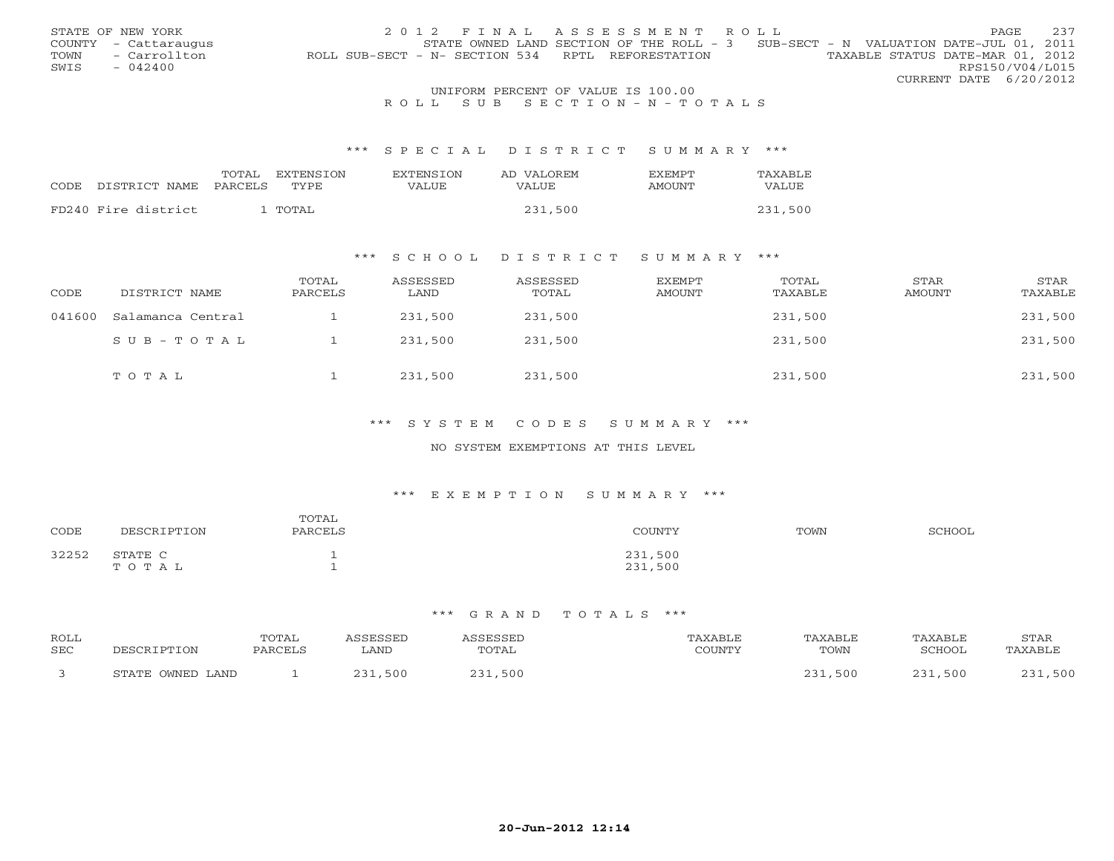|      | STATE OF NEW YORK    | 2012 FINAL ASSESSMENT ROLL                                                            | PAGE.           | 237 |
|------|----------------------|---------------------------------------------------------------------------------------|-----------------|-----|
|      | COUNTY - Cattaraugus | STATE OWNED LAND SECTION OF THE ROLL - 3 SUB-SECT - N VALUATION DATE-JUL 01, 2011     |                 |     |
| TOWN | - Carrollton         | TAXABLE STATUS DATE-MAR 01, 2012<br>ROLL SUB-SECT - N- SECTION 534 RPTL REFORESTATION |                 |     |
| SWIS | $-042400$            |                                                                                       | RPS150/V04/L015 |     |
|      |                      | CURRENT DATE 6/20/2012                                                                |                 |     |
|      |                      | UNIFORM PERCENT OF VALUE IS 100.00                                                    |                 |     |

### R O L L S U B S E C T I O N - N - T O T A L S

#### \*\*\* S P E C I A L D I S T R I C T S U M M A R Y \*\*\*

|                     | TOTAL   | EXTENSION | <b>EXTENSION</b> | AD VALOREM | <b>FXFMPT</b> | TAXABLE |
|---------------------|---------|-----------|------------------|------------|---------------|---------|
| CODE DISTRICT NAME  | PARCELS | TYPE.     | VALUE            | VALUE      | <b>AMOUNT</b> | VALUE   |
| FD240 Fire district |         | TOTAL     |                  | 231,500    |               | 231,500 |
|                     |         |           |                  |            |               |         |

### \*\*\* S C H O O L D I S T R I C T S U M M A R Y \*\*\*

| CODE   | DISTRICT NAME     | TOTAL<br>PARCELS | ASSESSED<br>LAND | ASSESSED<br>TOTAL | EXEMPT<br>AMOUNT | TOTAL<br>TAXABLE | STAR<br>AMOUNT | STAR<br>TAXABLE |
|--------|-------------------|------------------|------------------|-------------------|------------------|------------------|----------------|-----------------|
| 041600 | Salamanca Central |                  | 231,500          | 231,500           |                  | 231,500          |                | 231,500         |
|        | SUB-TOTAL         |                  | 231,500          | 231,500           |                  | 231,500          |                | 231,500         |
|        | TOTAL             |                  | 231,500          | 231,500           |                  | 231,500          |                | 231,500         |

### \*\*\* S Y S T E M C O D E S S U M M A R Y \*\*\*

#### NO SYSTEM EXEMPTIONS AT THIS LEVEL

#### \*\*\* E X E M P T I O N S U M M A R Y \*\*\*

| CODE  | DESCRIPTION      | TOTAL<br>PARCELS | COUNTY             | TOWN | SCHOOL |
|-------|------------------|------------------|--------------------|------|--------|
| 32252 | STATE C<br>TOTAL |                  | 231,500<br>231,500 |      |        |

| ROLL<br><b>SEC</b> | ים ה                   | <b>TOTAL</b><br><b>PARCEI</b> | LAND | FSSFI<br><b>TOTAL</b> | $\bigcap$ | <b>TAXABLE</b><br>TOWN | AXABLE.<br>SCHOOL | STAR<br><b>AXABL!</b> |
|--------------------|------------------------|-------------------------------|------|-----------------------|-----------|------------------------|-------------------|-----------------------|
|                    | . OWNED LAND<br>STATE. |                               | 500  | 500                   |           | 500                    | 500               | 500                   |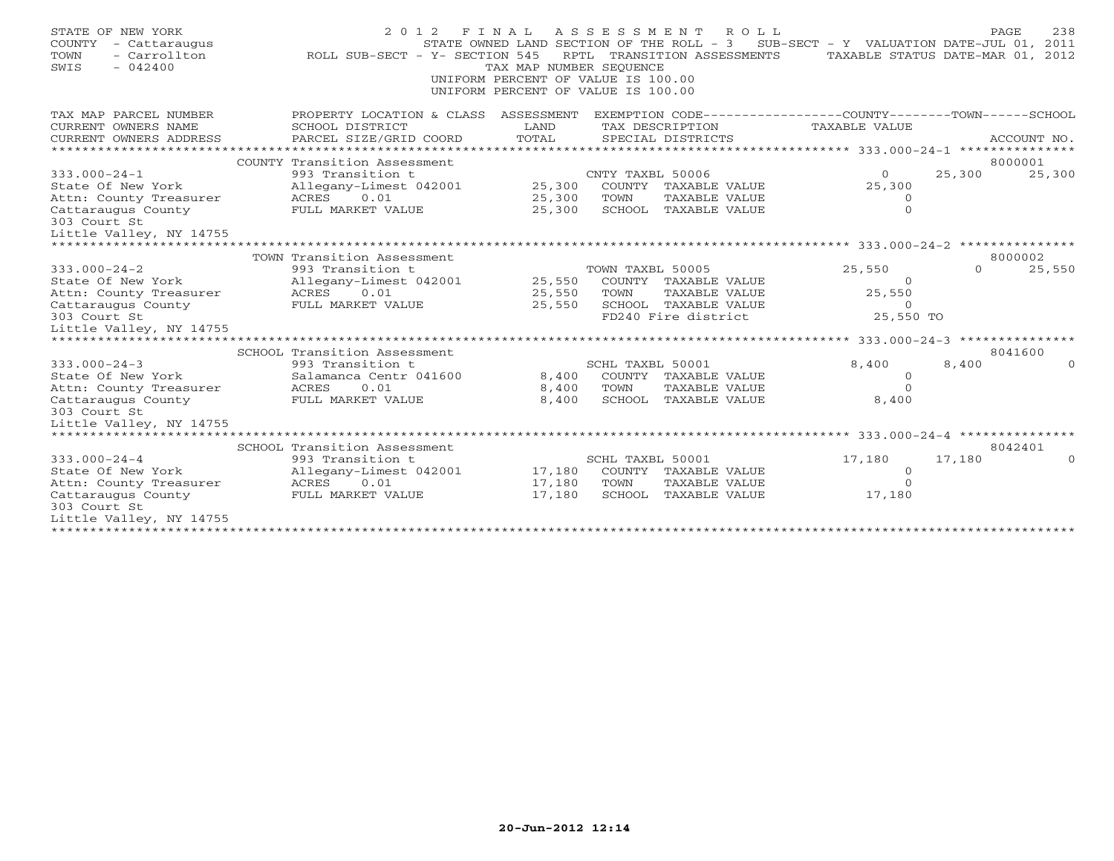| STATE OF NEW YORK<br>COUNTY<br>- Cattaraugus<br>- Carrollton<br>TOWN<br>$-042400$<br>SWIS | 2 0 1 2<br>ROLL SUB-SECT - Y- SECTION 545  | FINAL<br>TAX MAP NUMBER SEQUENCE<br>UNIFORM PERCENT OF VALUE IS 100.00<br>UNIFORM PERCENT OF VALUE IS 100.00 |                  | ASSESSMENT ROLL<br>STATE OWNED LAND SECTION OF THE ROLL - 3<br>RPTL TRANSITION ASSESSMENTS | SUB-SECT - Y VALUATION DATE-JUL 01, 2011<br>TAXABLE STATUS DATE-MAR 01, 2012 |          | PAGE<br>238 |
|-------------------------------------------------------------------------------------------|--------------------------------------------|--------------------------------------------------------------------------------------------------------------|------------------|--------------------------------------------------------------------------------------------|------------------------------------------------------------------------------|----------|-------------|
| TAX MAP PARCEL NUMBER                                                                     | PROPERTY LOCATION & CLASS ASSESSMENT       |                                                                                                              |                  |                                                                                            | EXEMPTION CODE----------------COUNTY-------TOWN------SCHOOL                  |          |             |
| CURRENT OWNERS NAME                                                                       | SCHOOL DISTRICT                            | LAND                                                                                                         |                  | TAX DESCRIPTION                                                                            | TAXABLE VALUE                                                                |          |             |
| CURRENT OWNERS ADDRESS                                                                    | PARCEL SIZE/GRID COORD                     | TOTAL                                                                                                        |                  | SPECIAL DISTRICTS                                                                          |                                                                              |          | ACCOUNT NO. |
|                                                                                           | COUNTY Transition Assessment               |                                                                                                              |                  |                                                                                            |                                                                              |          | 8000001     |
| $333.000 - 24 - 1$                                                                        | 993 Transition t                           |                                                                                                              | CNTY TAXBL 50006 |                                                                                            | $\circ$                                                                      | 25,300   | 25,300      |
| State Of New York                                                                         | Allegany-Limest 042001                     | 25,300                                                                                                       |                  | COUNTY TAXABLE VALUE                                                                       | 25,300                                                                       |          |             |
| Attn: County Treasurer                                                                    | 0.01<br>ACRES                              | 25,300                                                                                                       | TOWN             | TAXABLE VALUE                                                                              | $\circ$                                                                      |          |             |
| Cattaraugus County                                                                        | FULL MARKET VALUE                          | 25,300                                                                                                       |                  | SCHOOL TAXABLE VALUE                                                                       | $\Omega$                                                                     |          |             |
| 303 Court St                                                                              |                                            |                                                                                                              |                  |                                                                                            |                                                                              |          |             |
| Little Valley, NY 14755                                                                   |                                            |                                                                                                              |                  |                                                                                            |                                                                              |          |             |
| * * * * * * * * * * * * * * * * * * *                                                     |                                            |                                                                                                              |                  |                                                                                            |                                                                              |          |             |
|                                                                                           | TOWN Transition Assessment                 |                                                                                                              |                  |                                                                                            |                                                                              | $\Omega$ | 8000002     |
| $333.000 - 24 - 2$<br>State Of New York                                                   | 993 Transition t<br>Allegany-Limest 042001 | 25,550                                                                                                       | TOWN TAXBL 50005 | COUNTY TAXABLE VALUE                                                                       | 25,550<br>$\Omega$                                                           |          | 25,550      |
| Attn: County Treasurer                                                                    | 0.01<br>ACRES                              | 25,550                                                                                                       | TOWN             | TAXABLE VALUE                                                                              | 25,550                                                                       |          |             |
| Cattaraugus County                                                                        | FULL MARKET VALUE                          | 25,550                                                                                                       |                  | SCHOOL TAXABLE VALUE                                                                       | $\circ$                                                                      |          |             |
| 303 Court St                                                                              |                                            |                                                                                                              |                  | FD240 Fire district                                                                        | 25,550 TO                                                                    |          |             |
| Little Valley, NY 14755                                                                   |                                            |                                                                                                              |                  |                                                                                            |                                                                              |          |             |
|                                                                                           |                                            |                                                                                                              |                  |                                                                                            |                                                                              |          |             |
|                                                                                           | SCHOOL Transition Assessment               |                                                                                                              |                  |                                                                                            |                                                                              |          | 8041600     |
| $333.000 - 24 - 3$                                                                        | 993 Transition t                           |                                                                                                              | SCHL TAXBL 50001 |                                                                                            | 8,400                                                                        | 8,400    |             |
| State Of New York                                                                         | Salamanca Centr 041600                     | 8,400                                                                                                        |                  | COUNTY TAXABLE VALUE                                                                       | $\circ$                                                                      |          |             |
| Attn: County Treasurer                                                                    | ACRES<br>0.01                              | 8,400                                                                                                        | TOWN             | TAXABLE VALUE                                                                              | $\Omega$                                                                     |          |             |
| Cattaraugus County<br>303 Court St                                                        | FULL MARKET VALUE                          | 8,400                                                                                                        |                  | SCHOOL TAXABLE VALUE                                                                       | 8,400                                                                        |          |             |
| Little Valley, NY 14755                                                                   |                                            |                                                                                                              |                  |                                                                                            |                                                                              |          |             |
|                                                                                           |                                            |                                                                                                              |                  |                                                                                            |                                                                              |          |             |
|                                                                                           | SCHOOL Transition Assessment               |                                                                                                              |                  |                                                                                            |                                                                              |          | 8042401     |
| $333.000 - 24 - 4$                                                                        | 993 Transition t                           |                                                                                                              | SCHL TAXBL 50001 |                                                                                            | 17,180                                                                       | 17,180   |             |
| State Of New York                                                                         | Allegany-Limest 042001                     | 17,180                                                                                                       |                  | COUNTY TAXABLE VALUE                                                                       | $\circ$                                                                      |          |             |
| Attn: County Treasurer                                                                    | ACRES<br>0.01                              | 17,180                                                                                                       | TOWN             | TAXABLE VALUE                                                                              | $\Omega$                                                                     |          |             |
| Cattaraugus County                                                                        | FULL MARKET VALUE                          | 17,180                                                                                                       |                  | SCHOOL TAXABLE VALUE                                                                       | 17,180                                                                       |          |             |
| 303 Court St                                                                              |                                            |                                                                                                              |                  |                                                                                            |                                                                              |          |             |
| Little Valley, NY 14755                                                                   |                                            |                                                                                                              |                  |                                                                                            |                                                                              |          |             |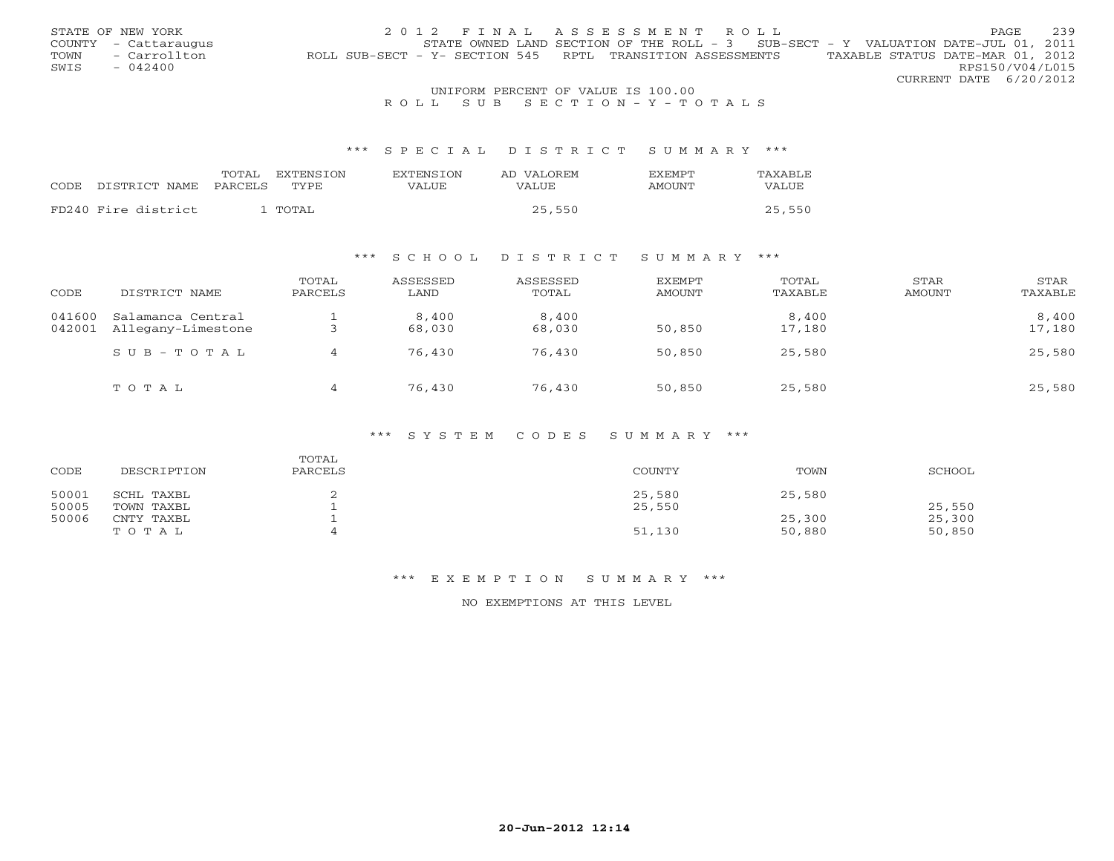|      | STATE OF NEW YORK                   | 2012 FINAL ASSESSMENT ROLL                                                                     | <b>PAGE</b>            | 239 |  |  |  |
|------|-------------------------------------|------------------------------------------------------------------------------------------------|------------------------|-----|--|--|--|
|      | COUNTY - Cattaraugus                | STATE OWNED LAND SECTION OF THE ROLL - $3$ SUB-SECT - Y VALUATION DATE-JUL 01, 2011            |                        |     |  |  |  |
| TOWN | - Carrollton                        | TAXABLE STATUS DATE-MAR 01, 2012<br>ROLL SUB-SECT - Y- SECTION 545 RPTL TRANSITION ASSESSMENTS |                        |     |  |  |  |
| SWIS | $-042400$                           |                                                                                                | RPS150/V04/L015        |     |  |  |  |
|      |                                     |                                                                                                | CURRENT DATE 6/20/2012 |     |  |  |  |
|      | INITEOPM DEPOEME OF VALUE TO 100 00 |                                                                                                |                        |     |  |  |  |

# UNIFORM PERCENT OF VALUE IS 100.00<br>R O L L S U B S E C T I O N – Y – T O T A L S

#### \*\*\* S P E C I A L D I S T R I C T S U M M A R Y \*\*\*

|                     | TOTAL<br>EXTENSTON | <b>EXTENSION</b><br>AD VALOREM | TAXABLE<br><b>EXEMPT</b>      |
|---------------------|--------------------|--------------------------------|-------------------------------|
| CODE DISTRICT NAME  | TYPE.<br>PARCELS   | VALUE<br>VALUE                 | <b>AMOUNT</b><br><b>VALUE</b> |
|                     |                    |                                |                               |
| FD240 Fire district | ' TOTAL            | 25,550                         | 25,550                        |

### \*\*\* S C H O O L D I S T R I C T S U M M A R Y \*\*\*

| CODE             | DISTRICT NAME                           | TOTAL<br>PARCELS | ASSESSED<br>LAND | ASSESSED<br>TOTAL | <b>EXEMPT</b><br>AMOUNT | TOTAL<br>TAXABLE | STAR<br>AMOUNT | <b>STAR</b><br>TAXABLE |
|------------------|-----------------------------------------|------------------|------------------|-------------------|-------------------------|------------------|----------------|------------------------|
| 041600<br>042001 | Salamanca Central<br>Allegany-Limestone |                  | 8,400<br>68,030  | 8,400<br>68,030   | 50,850                  | 8,400<br>17,180  |                | 8,400<br>17,180        |
|                  | $SUB - TO T AL$                         | 4                | 76,430           | 76,430            | 50,850                  | 25,580           |                | 25,580                 |
|                  | TOTAL                                   | 4                | 76,430           | 76,430            | 50,850                  | 25,580           |                | 25,580                 |

#### \*\*\* S Y S T E M C O D E S S U M M A R Y \*\*\*

| CODE           | DESCRIPTION              | TOTAL<br>PARCELS | COUNTY           | TOWN             | SCHOOL           |
|----------------|--------------------------|------------------|------------------|------------------|------------------|
| 50001<br>50005 | SCHL TAXBL<br>TOWN TAXBL |                  | 25,580<br>25,550 | 25,580           | 25,550           |
| 50006          | CNTY TAXBL<br>TOTAL      |                  | 51,130           | 25,300<br>50,880 | 25,300<br>50,850 |

#### \*\*\* E X E M P T I O N S U M M A R Y \*\*\*

NO EXEMPTIONS AT THIS LEVEL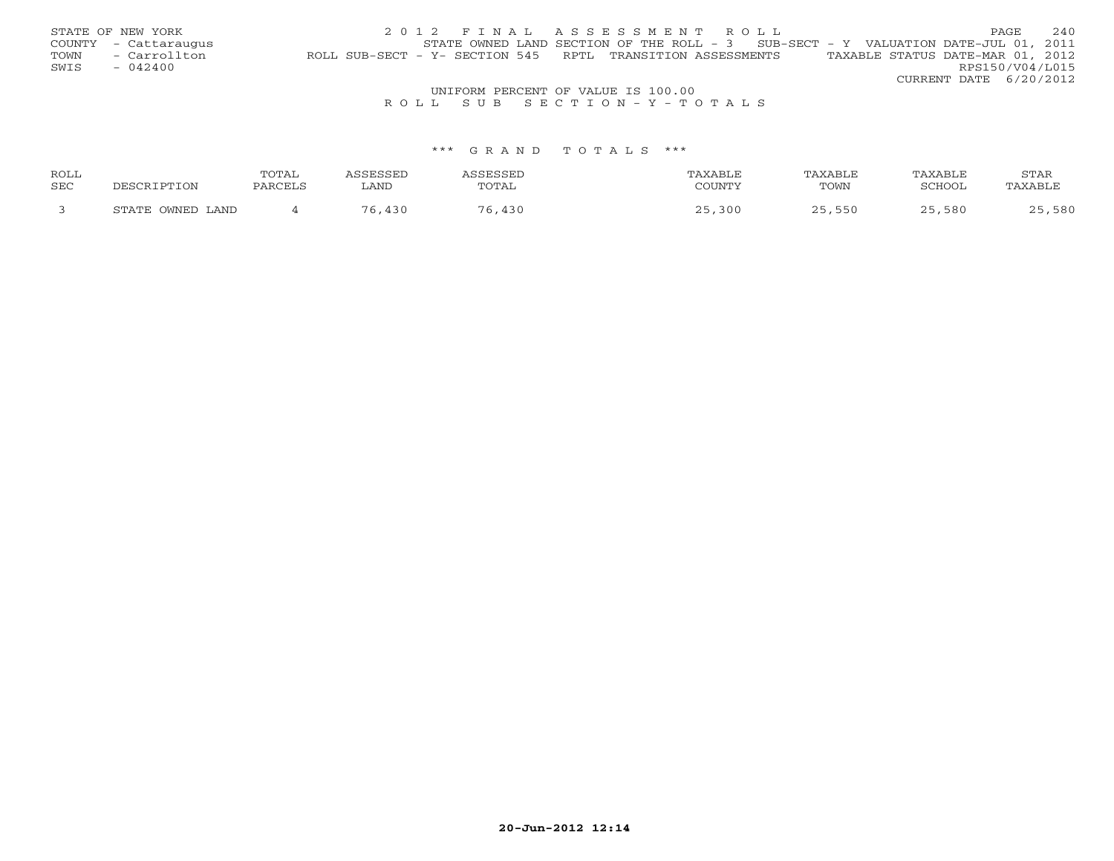|      | STATE OF NEW YORK    | 2012 FINAL ASSESSMENT ROLL                                                                     | PAGE.           | 2.40 |
|------|----------------------|------------------------------------------------------------------------------------------------|-----------------|------|
|      | COUNTY - Cattaraugus | STATE OWNED LAND SECTION OF THE ROLL - $3$ SUB-SECT - Y VALUATION DATE-JUL 01, 2011            |                 |      |
| TOWN | - Carrollton         | TAXABLE STATUS DATE-MAR 01, 2012<br>ROLL SUB-SECT - Y- SECTION 545 RPTL TRANSITION ASSESSMENTS |                 |      |
| SWIS | - 042400             |                                                                                                | RPS150/V04/L015 |      |
|      |                      | CURRENT DATE 6/20/2012                                                                         |                 |      |
|      |                      | UNIFORM PERCENT OF VALUE IS 100.00                                                             |                 |      |

### R O L L S U B S E C T I O N - Y - T O T A L S

| ROLL       |                  | ⊺∆⊤∩ن         |              |       |     | TAXABLE |        | STAR |
|------------|------------------|---------------|--------------|-------|-----|---------|--------|------|
| <b>SEC</b> |                  | <b>DARCEL</b> | <b>BRATE</b> | 'OTAL |     | TOWN    | SCHOCT |      |
|            | STATE OWNED LAND |               |              |       | 300 |         | 580    | 580  |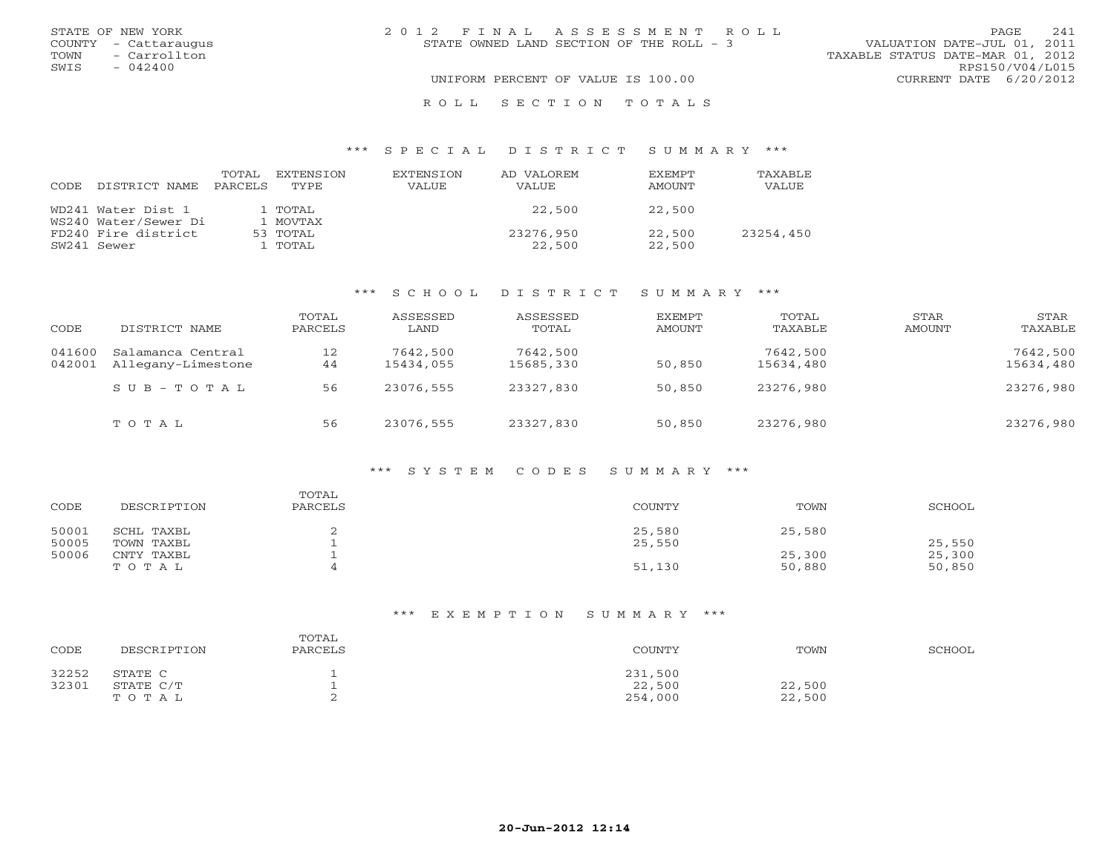| STATE OF NEW YORK    | 2012 FINAL ASSESSMENT ROLL               | 241<br>PAGE.                     |
|----------------------|------------------------------------------|----------------------------------|
| COUNTY - Cattaraugus | STATE OWNED LAND SECTION OF THE ROLL - 3 | VALUATION DATE-JUL 01, 2011      |
| TOWN - Carrollton    |                                          | TAXABLE STATUS DATE-MAR 01, 2012 |
| SWIS<br>$-042400$    |                                          | RPS150/V04/L015                  |
|                      | UNIFORM PERCENT OF VALUE IS 100.00       | CURRENT DATE 6/20/2012           |
|                      | ROLL SECTION TOTALS                      |                                  |

#### \*\*\* S P E C I A L D I S T R I C T S U M M A R Y \*\*\*

| CODE. | DISTRICT NAME        | TOTAL<br>PARCELS | EXTENSTON<br>TYPE | EXTENSION<br>VALUE | AD VALOREM<br><b>VALUE</b> | <b>EXEMPT</b><br>AMOUNT | <b>TAXABLE</b><br>VALUE |
|-------|----------------------|------------------|-------------------|--------------------|----------------------------|-------------------------|-------------------------|
|       | WD241 Water Dist 1   |                  | 1 TOTAL           |                    | 22,500                     | 22,500                  |                         |
|       | WS240 Water/Sewer Di |                  | 1 MOVTAX          |                    |                            |                         |                         |
|       | FD240 Fire district  |                  | 53 TOTAL          |                    | 23276,950                  | 22,500                  | 23254,450               |
|       | SW241 Sewer          |                  | 1 TOTAL           |                    | 22,500                     | 22,500                  |                         |

### \*\*\* S C H O O L D I S T R I C T S U M M A R Y \*\*\*

| CODE             | DISTRICT NAME                           | TOTAL<br>PARCELS | ASSESSED<br>LAND      | ASSESSED<br>TOTAL     | EXEMPT<br>AMOUNT | TOTAL<br>TAXABLE      | STAR<br>AMOUNT | STAR<br>TAXABLE       |
|------------------|-----------------------------------------|------------------|-----------------------|-----------------------|------------------|-----------------------|----------------|-----------------------|
| 041600<br>042001 | Salamanca Central<br>Allegany-Limestone | 12<br>44         | 7642,500<br>15434,055 | 7642,500<br>15685,330 | 50,850           | 7642,500<br>15634,480 |                | 7642,500<br>15634,480 |
|                  | $SUB - TO T AL$                         | 56               | 23076,555             | 23327,830             | 50,850           | 23276,980             |                | 23276,980             |
|                  | TOTAL                                   | 56               | 23076,555             | 23327,830             | 50,850           | 23276,980             |                | 23276,980             |

### \*\*\* S Y S T E M C O D E S S U M M A R Y \*\*\*

| CODE           | DESCRIPTION              | TOTAL<br>PARCELS | COUNTY           | TOWN             | SCHOOL           |
|----------------|--------------------------|------------------|------------------|------------------|------------------|
| 50001<br>50005 | SCHL TAXBL<br>TOWN TAXBL |                  | 25,580<br>25,550 | 25,580           | 25,550           |
| 50006          | CNTY TAXBL<br>TOTAL      |                  | 51,130           | 25,300<br>50,880 | 25,300<br>50,850 |

### \*\*\* E X E M P T I O N S U M M A R Y \*\*\*

| CODE  | DESCRIPTION | TOTAL<br>PARCELS | COUNTY  | TOWN   | SCHOOL |
|-------|-------------|------------------|---------|--------|--------|
| 32252 | STATE C     |                  | 231,500 |        |        |
| 32301 | STATE C/T   |                  | 22,500  | 22,500 |        |
|       | TOTAL       |                  | 254,000 | 22,500 |        |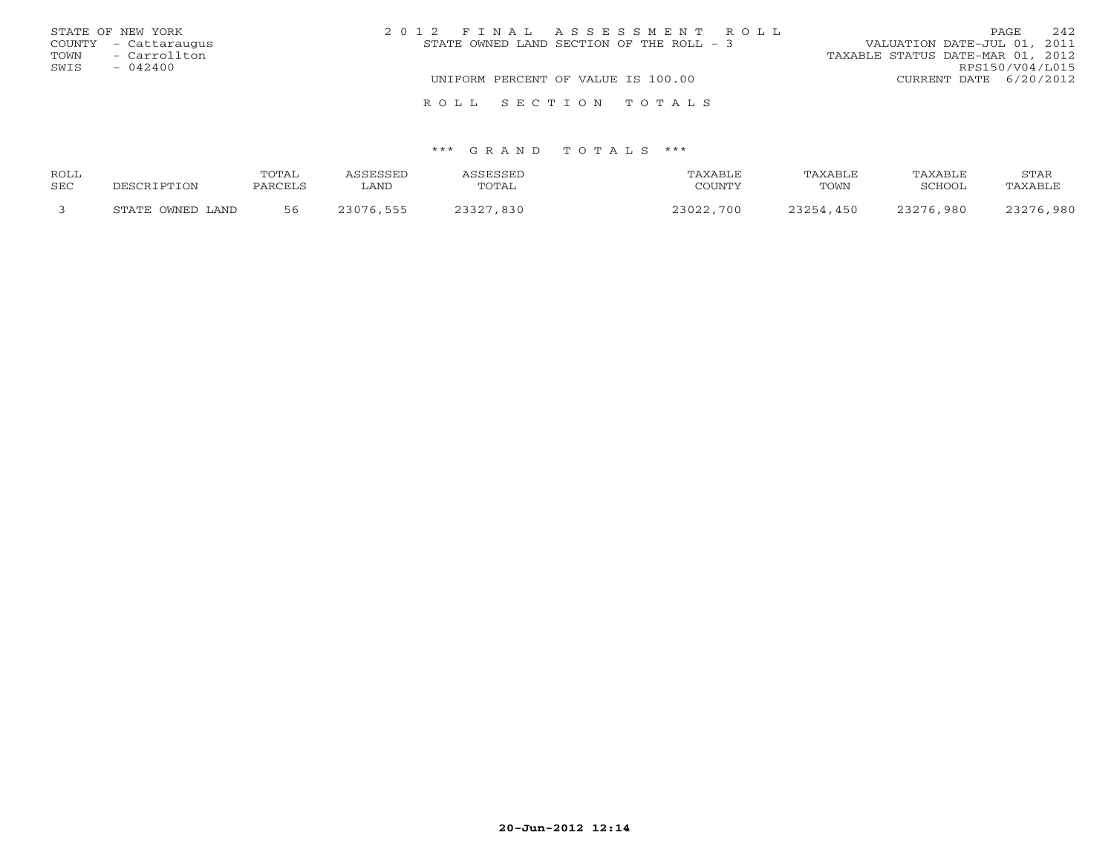|      | STATE OF NEW YORK    | 2012 FINAL ASSESSMENT ROLL |                                    |                                          |                                  | PAGE            | 242 |
|------|----------------------|----------------------------|------------------------------------|------------------------------------------|----------------------------------|-----------------|-----|
|      | COUNTY - Cattaraugus |                            |                                    | STATE OWNED LAND SECTION OF THE ROLL - 3 | VALUATION DATE-JUL 01, 2011      |                 |     |
| TOWN | - Carrollton         |                            |                                    |                                          | TAXABLE STATUS DATE-MAR 01, 2012 |                 |     |
| SWIS | $-042400$            |                            |                                    |                                          |                                  | RPS150/V04/L015 |     |
|      |                      |                            | UNIFORM PERCENT OF VALUE IS 100.00 |                                          | CURRENT DATE 6/20/2012           |                 |     |
|      |                      |                            |                                    | ROLL SECTION TOTALS                      |                                  |                 |     |

| <b>ROLL</b><br>SEC | DESCRIPTION      | TOTAL<br>PARCELS | CCPCCPT<br>∟AND | TOTAL     | TAXABLE<br>COUNTY | TAXABLE<br>TOWN | TAXABLE<br>SCHOOL | STAR<br>TAXABLE |
|--------------------|------------------|------------------|-----------------|-----------|-------------------|-----------------|-------------------|-----------------|
|                    | STATE OWNED LAND | 56               | 23076.555       | 23327,830 | 23022,700         | 23254,450       | 23276,980         | 23276,980       |
|                    |                  |                  |                 |           |                   |                 |                   |                 |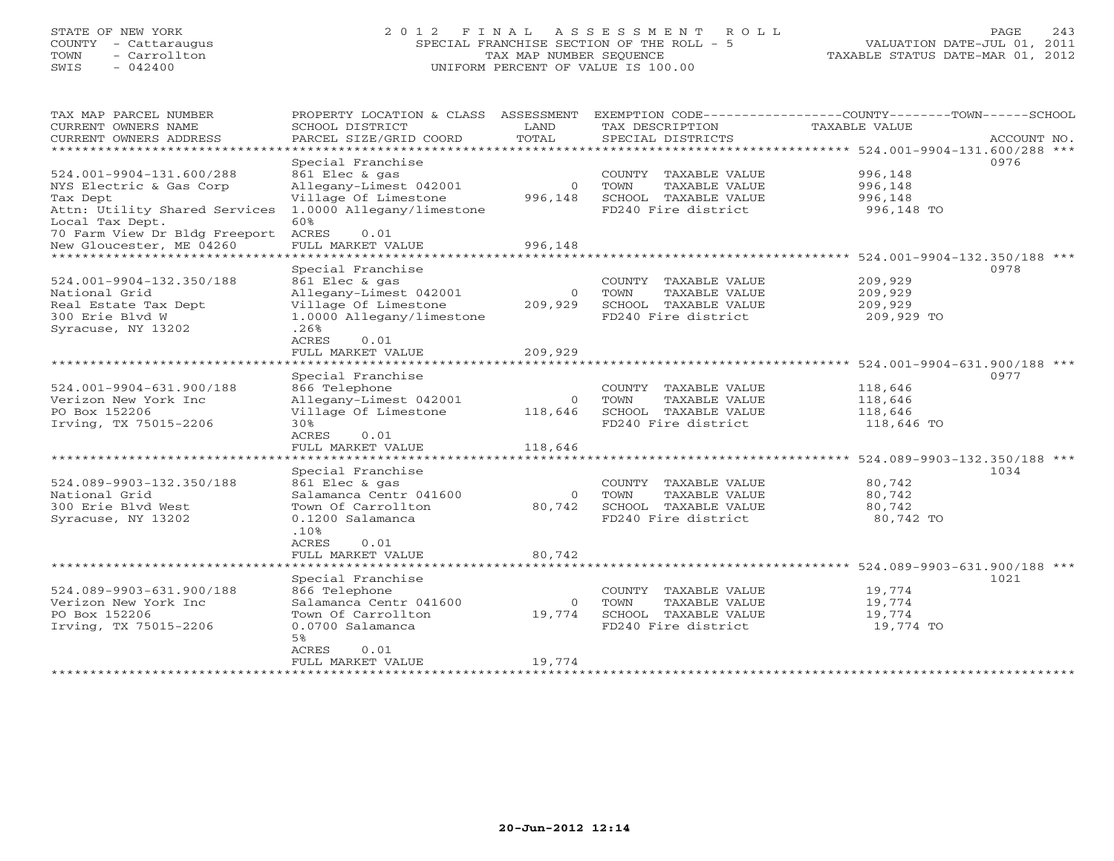# STATE OF NEW YORK 2 0 1 2 F I N A L A S S E S S M E N T R O L L PAGE 243 COUNTY - Cattaraugus SPECIAL FRANCHISE SECTION OF THE ROLL - 5 VALUATION DATE-JUL 01, 2011 TOWN - Carrollton TAX MAP NUMBER SEQUENCE TAXABLE STATUS DATE-MAR 01, 2012 SWIS - 042400 UNIFORM PERCENT OF VALUE IS 100.00UNIFORM PERCENT OF VALUE IS 100.00

| TAX MAP PARCEL NUMBER<br>CURRENT OWNERS NAME<br>CURRENT OWNERS ADDRESS | PROPERTY LOCATION & CLASS<br>SCHOOL DISTRICT<br>PARCEL SIZE/GRID COORD | ASSESSMENT<br>LAND<br>TOTAL | EXEMPTION CODE----------------COUNTY-------TOWN------SCHOOL<br>TAX DESCRIPTION<br>SPECIAL DISTRICTS | <b>TAXABLE VALUE</b> | ACCOUNT NO. |
|------------------------------------------------------------------------|------------------------------------------------------------------------|-----------------------------|-----------------------------------------------------------------------------------------------------|----------------------|-------------|
| *******************                                                    |                                                                        |                             |                                                                                                     |                      |             |
|                                                                        | Special Franchise                                                      |                             |                                                                                                     |                      | 0976        |
| 524.001-9904-131.600/288                                               | 861 Elec & gas                                                         |                             | COUNTY TAXABLE VALUE                                                                                | 996,148              |             |
| NYS Electric & Gas Corp                                                | Allegany-Limest 042001                                                 | $\Omega$                    | TOWN<br>TAXABLE VALUE                                                                               | 996,148              |             |
| Tax Dept                                                               | Village Of Limestone                                                   | 996,148                     | SCHOOL TAXABLE VALUE                                                                                | 996,148              |             |
| Attn: Utility Shared Services                                          | 1.0000 Allegany/limestone                                              |                             | FD240 Fire district                                                                                 | 996,148 TO           |             |
| Local Tax Dept.<br>70 Farm View Dr Bldg Freeport ACRES                 | 60%<br>0.01                                                            |                             |                                                                                                     |                      |             |
| New Gloucester, ME 04260                                               | FULL MARKET VALUE                                                      | 996,148                     |                                                                                                     |                      |             |
| *********************                                                  |                                                                        |                             |                                                                                                     |                      |             |
|                                                                        | Special Franchise                                                      |                             |                                                                                                     |                      | 0978        |
| 524.001-9904-132.350/188                                               | 861 Elec & gas                                                         |                             | COUNTY TAXABLE VALUE                                                                                | 209,929              |             |
| National Grid                                                          | Allegany-Limest 042001                                                 | $\Omega$                    | TOWN<br>TAXABLE VALUE                                                                               | 209,929              |             |
| Real Estate Tax Dept                                                   | Village Of Limestone                                                   | 209,929                     | SCHOOL TAXABLE VALUE                                                                                | 209,929              |             |
| 300 Erie Blvd W                                                        | 1.0000 Allegany/limestone                                              |                             | FD240 Fire district                                                                                 | 209,929 TO           |             |
| Syracuse, NY 13202                                                     | .26%                                                                   |                             |                                                                                                     |                      |             |
|                                                                        | ACRES<br>0.01                                                          |                             |                                                                                                     |                      |             |
|                                                                        | FULL MARKET VALUE                                                      | 209,929                     |                                                                                                     |                      |             |
|                                                                        | Special Franchise                                                      |                             |                                                                                                     |                      | 0977        |
| 524.001-9904-631.900/188                                               | 866 Telephone                                                          |                             | COUNTY TAXABLE VALUE                                                                                | 118,646              |             |
| Verizon New York Inc                                                   | Allegany-Limest 042001                                                 | $\Omega$                    | TOWN<br>TAXABLE VALUE                                                                               | 118,646              |             |
| PO Box 152206                                                          | Village Of Limestone                                                   | 118,646                     | SCHOOL TAXABLE VALUE                                                                                | 118,646              |             |
| Irving, TX 75015-2206                                                  | 30%                                                                    |                             | FD240 Fire district                                                                                 | 118,646 TO           |             |
|                                                                        | ACRES<br>0.01                                                          |                             |                                                                                                     |                      |             |
|                                                                        | FULL MARKET VALUE                                                      | 118,646                     |                                                                                                     |                      |             |
|                                                                        |                                                                        |                             |                                                                                                     |                      |             |
|                                                                        | Special Franchise                                                      |                             |                                                                                                     |                      | 1034        |
| 524.089-9903-132.350/188                                               | 861 Elec & gas                                                         |                             | COUNTY TAXABLE VALUE                                                                                | 80,742               |             |
| National Grid                                                          | Salamanca Centr 041600                                                 | $\circ$                     | TOWN<br>TAXABLE VALUE                                                                               | 80,742               |             |
| 300 Erie Blvd West                                                     | Town Of Carrollton                                                     | 80,742                      | SCHOOL TAXABLE VALUE                                                                                | 80,742               |             |
| Syracuse, NY 13202                                                     | 0.1200 Salamanca<br>.10%                                               |                             | FD240 Fire district                                                                                 | 80,742 TO            |             |
|                                                                        | ACRES<br>0.01                                                          |                             |                                                                                                     |                      |             |
|                                                                        | FULL MARKET VALUE                                                      | 80,742                      |                                                                                                     |                      |             |
|                                                                        | *************************                                              |                             |                                                                                                     |                      |             |
|                                                                        | Special Franchise                                                      |                             |                                                                                                     |                      | 1021        |
| 524.089-9903-631.900/188                                               | 866 Telephone                                                          |                             | COUNTY TAXABLE VALUE                                                                                | 19,774               |             |
| Verizon New York Inc                                                   | Salamanca Centr 041600                                                 | $\circ$                     | TOWN<br>TAXABLE VALUE                                                                               | 19,774               |             |
| PO Box 152206                                                          | Town Of Carrollton                                                     | 19,774                      | SCHOOL TAXABLE VALUE                                                                                | 19,774               |             |
| Irving, TX 75015-2206                                                  | 0.0700 Salamanca                                                       |                             | FD240 Fire district                                                                                 | 19,774 TO            |             |
|                                                                        | 5%                                                                     |                             |                                                                                                     |                      |             |
|                                                                        | ACRES<br>0.01<br>FULL MARKET VALUE                                     | 19,774                      |                                                                                                     |                      |             |
|                                                                        |                                                                        |                             |                                                                                                     |                      |             |
|                                                                        |                                                                        |                             |                                                                                                     |                      |             |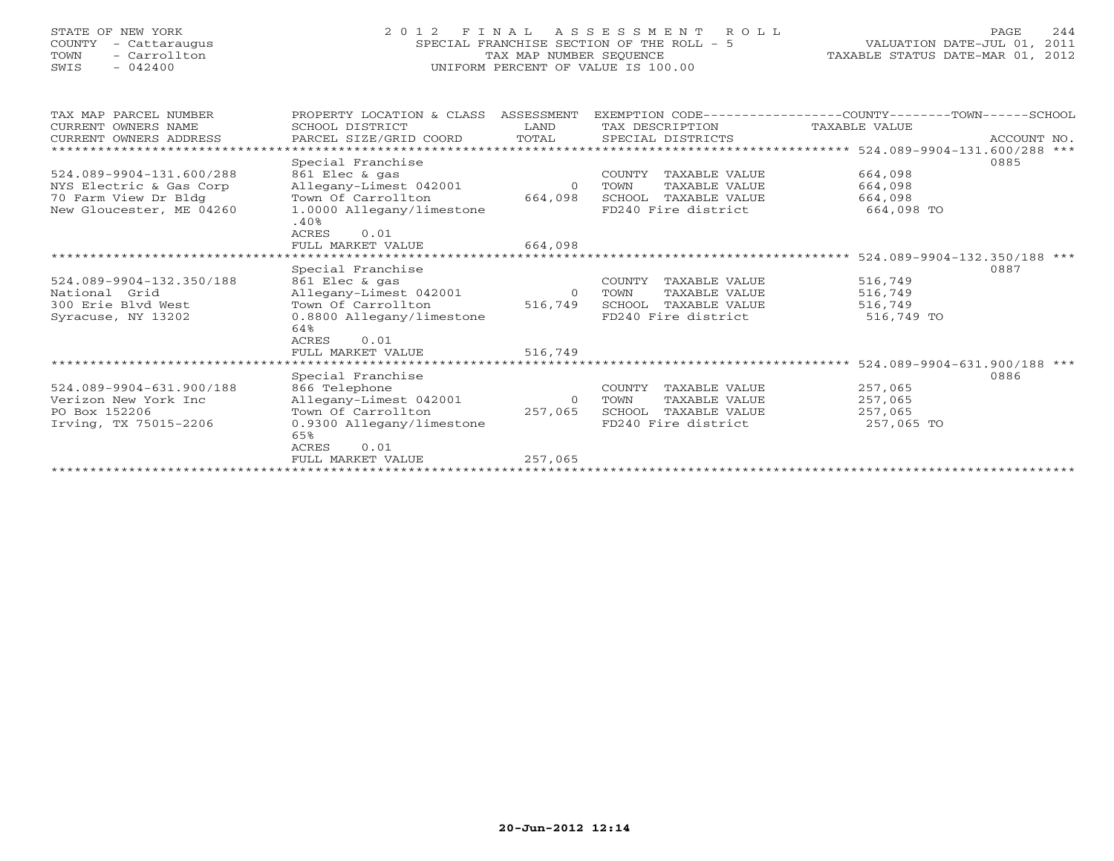# STATE OF NEW YORK 2 0 1 2 F I N A L A S S E S S M E N T R O L L PAGE 244 COUNTY - Cattaraugus SPECIAL FRANCHISE SECTION OF THE ROLL - 5 VALUATION DATE-JUL 01, 2011 TOWN - Carrollton TAX MAP NUMBER SEQUENCE TAXABLE STATUS DATE-MAR 01, 2012 SWIS - 042400 UNIFORM PERCENT OF VALUE IS 100.00UNIFORM PERCENT OF VALUE IS 100.00

| TAX MAP PARCEL NUMBER<br>CURRENT OWNERS NAME | PROPERTY LOCATION & CLASS<br>SCHOOL DISTRICT | ASSESSMENT<br>LAND | TAX DESCRIPTION         | EXEMPTION CODE----------------COUNTY-------TOWN------SCHOOL<br>TAXABLE VALUE |             |
|----------------------------------------------|----------------------------------------------|--------------------|-------------------------|------------------------------------------------------------------------------|-------------|
| CURRENT OWNERS ADDRESS                       | PARCEL SIZE/GRID COORD                       | TOTAL              | SPECIAL DISTRICTS       |                                                                              | ACCOUNT NO. |
|                                              |                                              |                    |                         | ******************* 524.089-9904-131.600/288 ***                             |             |
|                                              |                                              |                    |                         |                                                                              |             |
|                                              | Special Franchise                            |                    |                         | 0885                                                                         |             |
| 524.089-9904-131.600/288                     | 861 Elec & gas                               |                    | TAXABLE VALUE<br>COUNTY | 664,098                                                                      |             |
| NYS Electric & Gas Corp                      | Allegany-Limest 042001                       | $\Omega$           | TAXABLE VALUE<br>TOWN   | 664,098                                                                      |             |
| 70 Farm View Dr Bldg                         | Town Of Carrollton                           | 664,098            | SCHOOL TAXABLE VALUE    | 664,098                                                                      |             |
| New Gloucester, ME 04260                     | 1.0000 Allegany/limestone                    |                    | FD240 Fire district     | 664,098 TO                                                                   |             |
|                                              | .40%                                         |                    |                         |                                                                              |             |
|                                              | <b>ACRES</b><br>0.01                         |                    |                         |                                                                              |             |
|                                              | FULL MARKET VALUE                            | 664,098            |                         |                                                                              |             |
|                                              |                                              |                    |                         | ******************************** 524.089-9904-132.350/188 ***                |             |
|                                              | Special Franchise                            |                    |                         | 0887                                                                         |             |
| 524.089-9904-132.350/188                     | 861 Elec & gas                               |                    | COUNTY<br>TAXABLE VALUE | 516,749                                                                      |             |
| National Grid                                | Allegany-Limest 042001                       | $\overline{0}$     | TOWN<br>TAXABLE VALUE   | 516,749                                                                      |             |
| 300 Erie Blyd West                           | Town Of Carrollton                           | 516,749            | SCHOOL<br>TAXABLE VALUE | 516,749                                                                      |             |
|                                              |                                              |                    | FD240 Fire district     | 516,749 TO                                                                   |             |
| Syracuse, NY 13202                           | 0.8800 Allegany/limestone                    |                    |                         |                                                                              |             |
|                                              | 64%                                          |                    |                         |                                                                              |             |
|                                              | 0.01<br><b>ACRES</b>                         |                    |                         |                                                                              |             |
|                                              | FULL MARKET VALUE                            | 516,749            |                         |                                                                              |             |
| ******************************               |                                              |                    |                         |                                                                              |             |
|                                              | Special Franchise                            |                    |                         | 0886                                                                         |             |
| 524.089-9904-631.900/188                     | 866 Telephone                                |                    | COUNTY<br>TAXABLE VALUE | 257,065                                                                      |             |
| Verizon New York Inc                         | Allegany-Limest 042001                       | $\overline{0}$     | TOWN<br>TAXABLE VALUE   | 257,065                                                                      |             |
| PO Box 152206                                | Town Of Carrollton                           | 257,065            | SCHOOL<br>TAXABLE VALUE | 257,065                                                                      |             |
| Irving, TX 75015-2206                        | 0.9300 Allegany/limestone                    |                    | FD240 Fire district     | 257,065 TO                                                                   |             |
|                                              | 65%                                          |                    |                         |                                                                              |             |
|                                              | <b>ACRES</b><br>0.01                         |                    |                         |                                                                              |             |
|                                              | FULL MARKET VALUE                            | 257,065            |                         |                                                                              |             |
|                                              |                                              |                    |                         |                                                                              |             |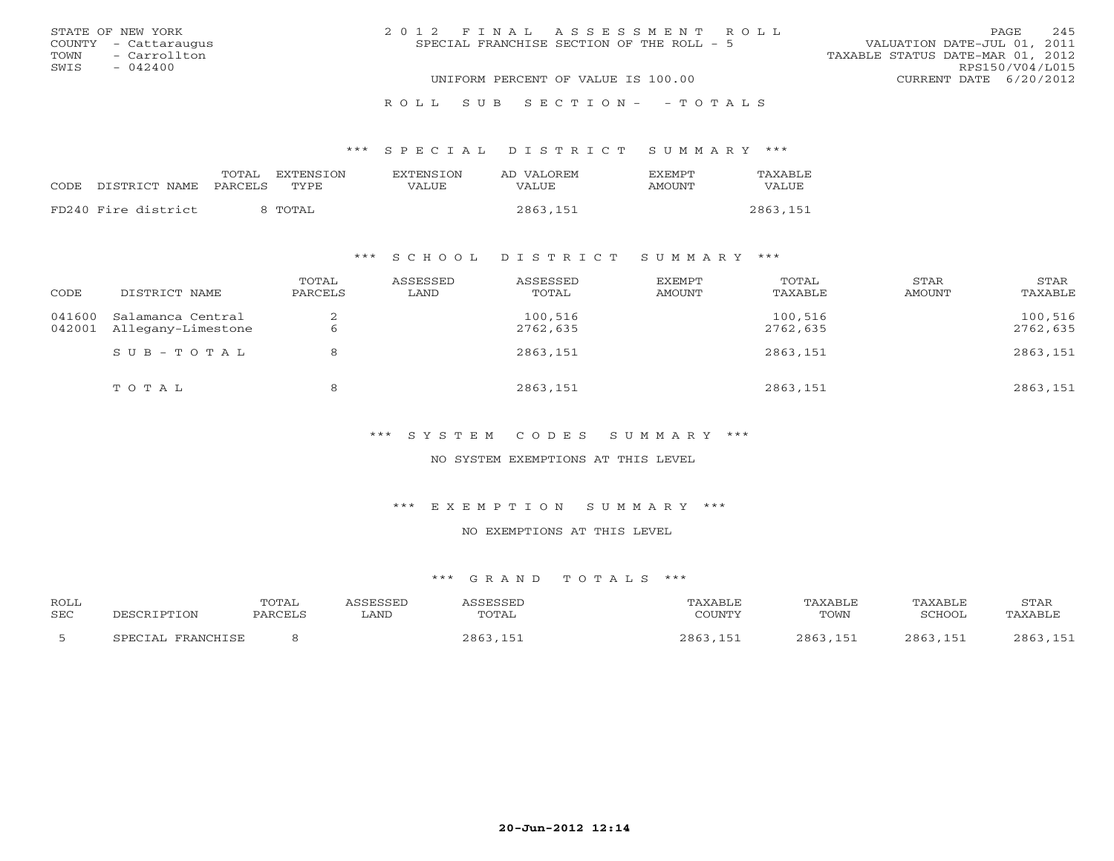|      | STATE OF NEW YORK    | 2012 FINAL ASSESSMENT ROLL |                                           |                                  | PAGE. | 245 |
|------|----------------------|----------------------------|-------------------------------------------|----------------------------------|-------|-----|
|      | COUNTY - Cattaraugus |                            | SPECIAL FRANCHISE SECTION OF THE ROLL - 5 | VALUATION DATE-JUL 01, 2011      |       |     |
|      | TOWN - Carrollton    |                            |                                           | TAXABLE STATUS DATE-MAR 01, 2012 |       |     |
| SWIS | $-042400$            |                            |                                           | RPS150/V04/L015                  |       |     |
|      |                      |                            | UNIFORM PERCENT OF VALUE IS 100.00        | CURRENT DATE 6/20/2012           |       |     |
|      |                      |                            |                                           |                                  |       |     |

R O L L S U B S E C T I O N - - T O T A L S

\*\*\* S P E C I A L D I S T R I C T S U M M A R Y \*\*\*

|       |                     | TOTAL<br>EXTENSION | <b>EXTENSION</b> | AD VALOREM | <b>EXEMPT</b> | TAXABLE  |
|-------|---------------------|--------------------|------------------|------------|---------------|----------|
| CODE. | DISTRICT NAME       | TYPE.<br>PARCELS   | VALUE            | VALUE      | AMOUNT        | VALUE    |
|       | FD240 Fire district | 8 TOTAL            |                  | 2863,151   |               | 2863,151 |

### \*\*\* S C H O O L D I S T R I C T S U M M A R Y \*\*\*

| CODE             | DISTRICT NAME                           | TOTAL<br>PARCELS | ASSESSED<br>LAND | ASSESSED<br>TOTAL   | EXEMPT<br>AMOUNT | TOTAL<br>TAXABLE    | STAR<br>AMOUNT | STAR<br>TAXABLE     |
|------------------|-----------------------------------------|------------------|------------------|---------------------|------------------|---------------------|----------------|---------------------|
| 041600<br>042001 | Salamanca Central<br>Allegany-Limestone |                  |                  | 100,516<br>2762,635 |                  | 100,516<br>2762,635 |                | 100,516<br>2762,635 |
|                  | $SUB - TO T AL$                         |                  |                  | 2863,151            |                  | 2863,151            |                | 2863,151            |
|                  | TOTAL                                   |                  |                  | 2863,151            |                  | 2863,151            |                | 2863,151            |

\*\*\* S Y S T E M C O D E S S U M M A R Y \*\*\*

NO SYSTEM EXEMPTIONS AT THIS LEVEL

\*\*\* E X E M P T I O N S U M M A R Y \*\*\*

NO EXEMPTIONS AT THIS LEVEL

| ROLL       |                   | TOTAL   | ASSESSED | ASSESSED | TAXABLE  | TAXABLE  | TAXABLE       | STAR     |
|------------|-------------------|---------|----------|----------|----------|----------|---------------|----------|
| <b>SEC</b> | DESCRIPTION       | PARCELS | LAND     | TOTAL    | COUNTY   | TOWN     | <b>SCHOOL</b> | TAXABLE  |
|            | SPECIAL FRANCHISE |         |          | 2863,151 | 2863,151 | 2863,151 | 2863,151      | 2863,151 |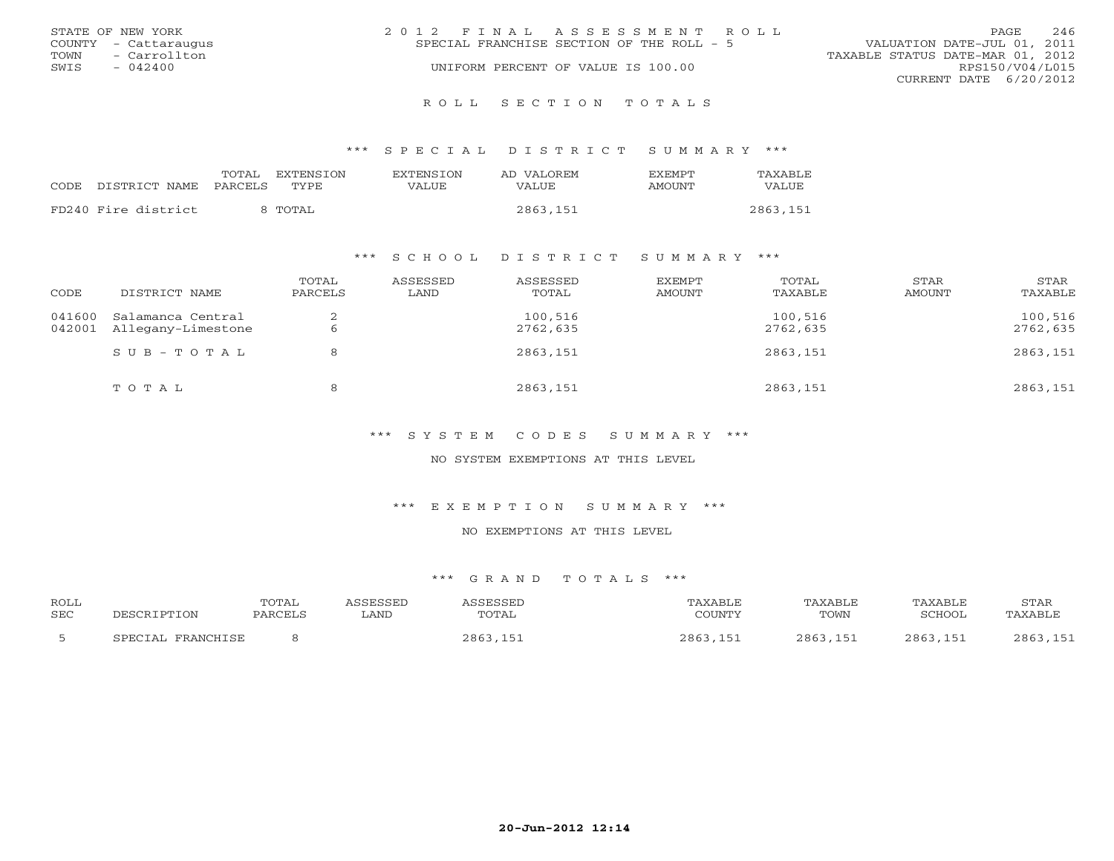|      | STATE OF NEW YORK    | 2012 FINAL ASSESSMENT ROLL                |                                  | PAGE            | 246 |
|------|----------------------|-------------------------------------------|----------------------------------|-----------------|-----|
|      | COUNTY - Cattaraugus | SPECIAL FRANCHISE SECTION OF THE ROLL - 5 | VALUATION DATE-JUL 01, 2011      |                 |     |
| TOWN | - Carrollton         |                                           | TAXABLE STATUS DATE-MAR 01, 2012 |                 |     |
| SWIS | $-042400$            | UNIFORM PERCENT OF VALUE IS 100.00        |                                  | RPS150/V04/L015 |     |
|      |                      |                                           | CURRENT DATE 6/20/2012           |                 |     |
|      |                      |                                           |                                  |                 |     |

R O L L S E C T I O N T O T A L S

\*\*\* S P E C I A L D I S T R I C T S U M M A R Y \*\*\*

|                            | TOTAL<br>EXTENSTON | <b>EXTENSION</b> | AD VALOREM   | <b>FXFMPT</b> | TAXABLE      |
|----------------------------|--------------------|------------------|--------------|---------------|--------------|
| CODE DISTRICT NAME PARCELS | TYPE.              | VALUE            | <b>VALUE</b> | AMOUNT        | <b>VALUE</b> |
| FD240 Fire district        | 8 TOTAL            |                  | 2863,151     |               | 2863,151     |

### \*\*\* S C H O O L D I S T R I C T S U M M A R Y \*\*\*

| CODE             | DISTRICT NAME                           | TOTAL<br>PARCELS | ASSESSED<br>LAND | ASSESSED<br>TOTAL   | EXEMPT<br>AMOUNT | TOTAL<br>TAXABLE    | STAR<br>AMOUNT | STAR<br>TAXABLE     |
|------------------|-----------------------------------------|------------------|------------------|---------------------|------------------|---------------------|----------------|---------------------|
| 041600<br>042001 | Salamanca Central<br>Allegany-Limestone |                  |                  | 100,516<br>2762,635 |                  | 100,516<br>2762,635 |                | 100,516<br>2762,635 |
|                  | $SUB - TO TAL$                          |                  |                  | 2863,151            |                  | 2863,151            |                | 2863,151            |
|                  | TOTAL                                   |                  |                  | 2863,151            |                  | 2863,151            |                | 2863,151            |

\*\*\* S Y S T E M C O D E S S U M M A R Y \*\*\*

NO SYSTEM EXEMPTIONS AT THIS LEVEL

\*\*\* E X E M P T I O N S U M M A R Y \*\*\*

NO EXEMPTIONS AT THIS LEVEL

| ROLL       |                   | <b>TOTAL</b> | ASSESSED | ASSESSED | TAXABLE  | TAXABLE  | TAXABLE  | STAR     |
|------------|-------------------|--------------|----------|----------|----------|----------|----------|----------|
| <b>SEC</b> | DESCRIPTION       | PARCELS      | LAND     | TOTAL    | COUNTY   | TOWN     | SCHOOL   | TAXABLE  |
|            | SPECIAL FRANCHISE |              |          | 2863,151 | 2863,151 | 2863,151 | 2863,151 | 2863,151 |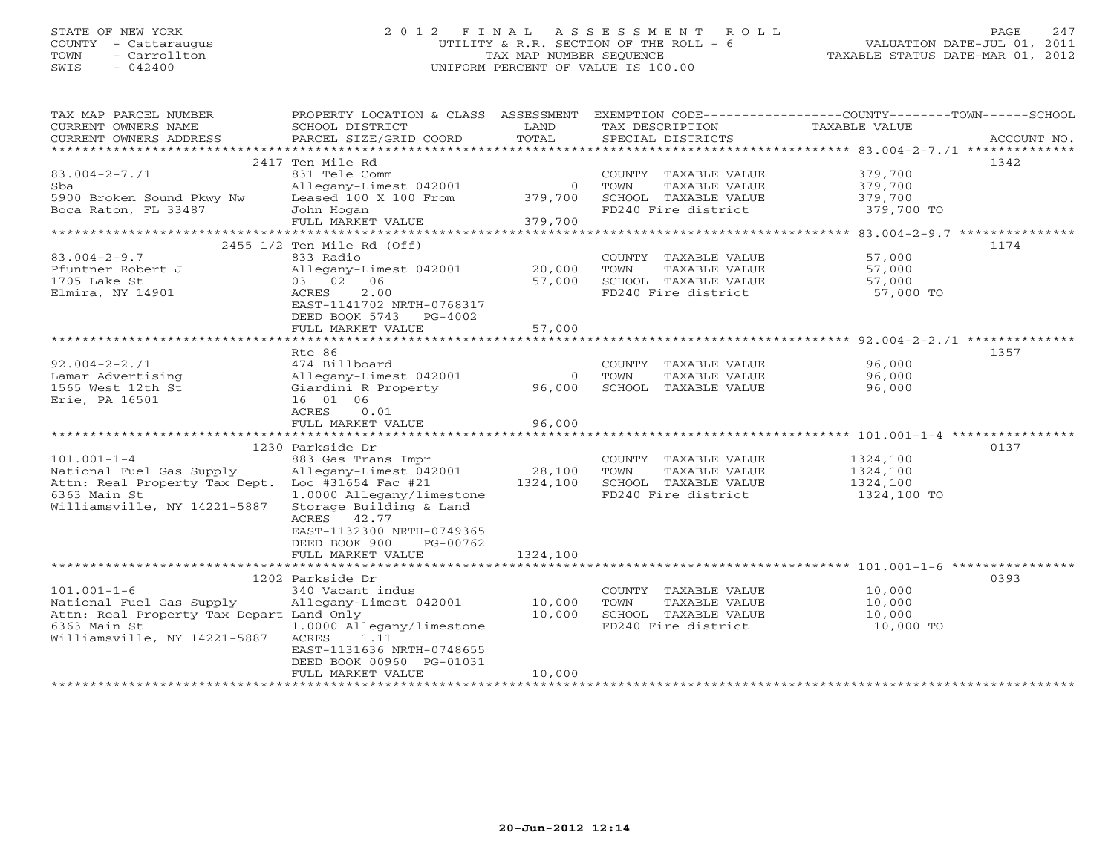# STATE OF NEW YORK 2 0 1 2 F I N A L A S S E S S M E N T R O L L PAGE 247 COUNTY - Cattaraugus UTILITY & R.R. SECTION OF THE ROLL - 6 VALUATION DATE-JUL 01, 2011 TOWN - Carrollton TAX MAP NUMBER SEQUENCE TAXABLE STATUS DATE-MAR 01, 2012 SWIS - 042400 UNIFORM PERCENT OF VALUE IS 100.00UNIFORM PERCENT OF VALUE IS 100.00

| TAX MAP PARCEL NUMBER<br>CURRENT OWNERS NAME<br>CURRENT OWNERS ADDRESS | PROPERTY LOCATION & CLASS ASSESSMENT<br>SCHOOL DISTRICT<br>PARCEL SIZE/GRID COORD | LAND<br>TOTAL | TAX DESCRIPTION<br>SPECIAL DISTRICTS | EXEMPTION CODE-----------------COUNTY-------TOWN------SCHOOL<br>TAXABLE VALUE<br>ACCOUNT NO. |
|------------------------------------------------------------------------|-----------------------------------------------------------------------------------|---------------|--------------------------------------|----------------------------------------------------------------------------------------------|
| ***********************                                                |                                                                                   |               |                                      |                                                                                              |
|                                                                        | 2417 Ten Mile Rd                                                                  |               |                                      | 1342                                                                                         |
| $83.004 - 2 - 7.71$                                                    | 831 Tele Comm                                                                     |               | COUNTY TAXABLE VALUE                 | 379,700                                                                                      |
| Sba                                                                    | Allegany-Limest 042001                                                            | $\Omega$      | TOWN<br>TAXABLE VALUE                | 379,700                                                                                      |
| 5900 Broken Sound Pkwy Nw                                              | Leased 100 X 100 From                                                             | 379,700       | SCHOOL TAXABLE VALUE                 | 379,700                                                                                      |
| Boca Raton, FL 33487                                                   | John Hogan                                                                        |               | FD240 Fire district                  | 379,700 TO                                                                                   |
|                                                                        | FULL MARKET VALUE                                                                 | 379,700       |                                      |                                                                                              |
|                                                                        |                                                                                   |               |                                      |                                                                                              |
|                                                                        | 2455 1/2 Ten Mile Rd (Off)                                                        |               |                                      | 1174                                                                                         |
| $83.004 - 2 - 9.7$                                                     | 833 Radio                                                                         |               | COUNTY TAXABLE VALUE                 | 57,000                                                                                       |
| Pfuntner Robert J                                                      | Allegany-Limest 042001                                                            | 20,000        | TOWN<br>TAXABLE VALUE                | 57,000                                                                                       |
| 1705 Lake St                                                           | 03 02 06                                                                          | 57,000        | SCHOOL TAXABLE VALUE                 | 57,000                                                                                       |
| Elmira, NY 14901                                                       | ACRES<br>2.00                                                                     |               | FD240 Fire district                  | 57,000 TO                                                                                    |
|                                                                        | EAST-1141702 NRTH-0768317                                                         |               |                                      |                                                                                              |
|                                                                        | DEED BOOK 5743 PG-4002                                                            | 57,000        |                                      |                                                                                              |
|                                                                        | FULL MARKET VALUE                                                                 |               |                                      |                                                                                              |
|                                                                        | Rte 86                                                                            |               |                                      | 1357                                                                                         |
| $92.004 - 2 - 2.71$                                                    | 474 Billboard                                                                     |               | COUNTY TAXABLE VALUE                 | 96,000                                                                                       |
| Lamar Advertising                                                      | Allegany-Limest 042001                                                            | $\Omega$      | TOWN<br>TAXABLE VALUE                | 96,000                                                                                       |
| 1565 West 12th St                                                      | Giardini R Property                                                               | 96,000        | SCHOOL TAXABLE VALUE                 | 96,000                                                                                       |
| Erie, PA 16501                                                         | 16 01 06                                                                          |               |                                      |                                                                                              |
|                                                                        | ACRES<br>0.01                                                                     |               |                                      |                                                                                              |
|                                                                        | FULL MARKET VALUE                                                                 | 96,000        |                                      |                                                                                              |
|                                                                        |                                                                                   |               |                                      |                                                                                              |
|                                                                        | 1230 Parkside Dr                                                                  |               |                                      | 0137                                                                                         |
| $101.001 - 1 - 4$                                                      | 883 Gas Trans Impr                                                                |               | COUNTY TAXABLE VALUE                 | 1324,100                                                                                     |
| National Fuel Gas Supply                                               | Allegany-Limest 042001                                                            | 28,100        | TOWN<br>TAXABLE VALUE                | 1324,100                                                                                     |
| Attn: Real Property Tax Dept. Loc #31654 Fac #21                       |                                                                                   | 1324,100      | SCHOOL TAXABLE VALUE                 | 1324,100                                                                                     |
| 6363 Main St                                                           | 1.0000 Allegany/limestone                                                         |               | FD240 Fire district                  | 1324,100 TO                                                                                  |
| Williamsville, NY 14221-5887                                           | Storage Building & Land                                                           |               |                                      |                                                                                              |
|                                                                        | ACRES 42.77                                                                       |               |                                      |                                                                                              |
|                                                                        | EAST-1132300 NRTH-0749365                                                         |               |                                      |                                                                                              |
|                                                                        | DEED BOOK 900<br>PG-00762                                                         |               |                                      |                                                                                              |
|                                                                        | FULL MARKET VALUE                                                                 | 1324,100      |                                      |                                                                                              |
|                                                                        |                                                                                   |               |                                      |                                                                                              |
|                                                                        | 1202 Parkside Dr                                                                  |               |                                      | 0393                                                                                         |
| $101.001 - 1 - 6$                                                      | 340 Vacant indus                                                                  |               | COUNTY TAXABLE VALUE                 | 10,000                                                                                       |
| National Fuel Gas Supply                                               | Allegany-Limest 042001                                                            | 10,000        | TAXABLE VALUE<br>TOWN                | 10,000                                                                                       |
| Attn: Real Property Tax Depart Land Only                               |                                                                                   | 10,000        | SCHOOL TAXABLE VALUE                 | 10,000                                                                                       |
| 6363 Main St                                                           | 1.0000 Allegany/limestone                                                         |               | FD240 Fire district                  | 10,000 TO                                                                                    |
| Williamsville, NY 14221-5887                                           | 1.11<br>ACRES                                                                     |               |                                      |                                                                                              |
|                                                                        | EAST-1131636 NRTH-0748655                                                         |               |                                      |                                                                                              |
|                                                                        | DEED BOOK 00960 PG-01031                                                          |               |                                      |                                                                                              |
|                                                                        | FULL MARKET VALUE                                                                 | 10,000        |                                      |                                                                                              |
|                                                                        |                                                                                   |               |                                      |                                                                                              |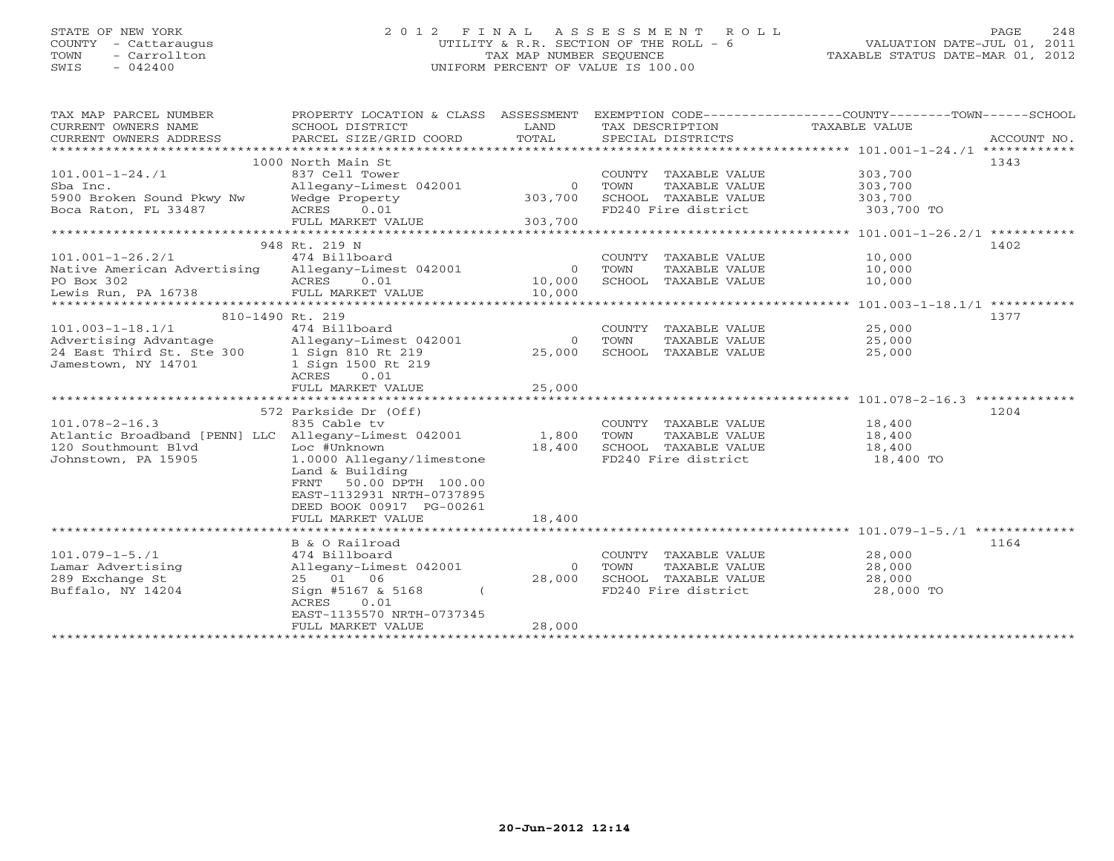# STATE OF NEW YORK 2 0 1 2 F I N A L A S S E S S M E N T R O L L PAGE 248 COUNTY - Cattaraugus UTILITY & R.R. SECTION OF THE ROLL - 6 VALUATION DATE-JUL 01, 2011 TOWN - Carrollton TAX MAP NUMBER SEQUENCE TAXABLE STATUS DATE-MAR 01, 2012 SWIS - 042400 UNIFORM PERCENT OF VALUE IS 100.00UNIFORM PERCENT OF VALUE IS 100.00

| TAX MAP PARCEL NUMBER<br>CURRENT OWNERS NAME<br>CURRENT OWNERS ADDRESS | PROPERTY LOCATION & CLASS ASSESSMENT<br>SCHOOL DISTRICT<br>PARCEL SIZE/GRID COORD | LAND<br>TOTAL | TAX DESCRIPTION<br>SPECIAL DISTRICTS          | EXEMPTION CODE----------------COUNTY-------TOWN------SCHOOL<br>TAXABLE VALUE<br>ACCOUNT NO. |
|------------------------------------------------------------------------|-----------------------------------------------------------------------------------|---------------|-----------------------------------------------|---------------------------------------------------------------------------------------------|
|                                                                        |                                                                                   |               |                                               |                                                                                             |
|                                                                        | 1000 North Main St                                                                |               |                                               | 1343                                                                                        |
| $101.001 - 1 - 24.71$                                                  | 837 Cell Tower                                                                    |               | COUNTY TAXABLE VALUE                          | 303,700                                                                                     |
| Sba Inc.                                                               | Allegany-Limest 042001                                                            | $\Omega$      | TAXABLE VALUE<br>TOWN                         | 303,700                                                                                     |
| 5900 Broken Sound Pkwy Nw                                              | Wedge Property                                                                    | 303,700       | SCHOOL TAXABLE VALUE                          | 303,700                                                                                     |
| Boca Raton, FL 33487                                                   | ACRES 0.01                                                                        |               | FD240 Fire district                           | 303,700 TO                                                                                  |
|                                                                        | FULL MARKET VALUE                                                                 | 303,700       |                                               |                                                                                             |
|                                                                        |                                                                                   |               |                                               |                                                                                             |
|                                                                        | 948 Rt. 219 N                                                                     |               |                                               | 1402                                                                                        |
| $101.001 - 1 - 26.2/1$                                                 | 474 Billboard                                                                     |               | COUNTY TAXABLE VALUE                          | 10,000                                                                                      |
| Native American Advertising Allegany-Limest 042001                     |                                                                                   | $\Omega$      | TOWN<br>TAXABLE VALUE                         | 10,000                                                                                      |
| PO Box 302                                                             | ACRES<br>0.01                                                                     | 10,000        | SCHOOL TAXABLE VALUE                          | 10,000                                                                                      |
| Lewis Run, PA 16738                                                    | FULL MARKET VALUE                                                                 | 10,000        |                                               |                                                                                             |
|                                                                        |                                                                                   |               |                                               | 1377                                                                                        |
| $101.003 - 1 - 18.1/1$                                                 | 810-1490 Rt. 219<br>474 Billboard                                                 |               | COUNTY TAXABLE VALUE                          | 25,000                                                                                      |
| Advertising Advantage                                                  |                                                                                   | $\circ$       |                                               | 25,000                                                                                      |
| 24 East Third St. Ste 300                                              | 1.1 Diamonton Milegany-Limest 042001<br>300 1 Sign 810 Rt 219                     | 25,000        | TOWN<br>TAXABLE VALUE<br>SCHOOL TAXABLE VALUE | 25,000                                                                                      |
|                                                                        |                                                                                   |               |                                               |                                                                                             |
| Jamestown, NY 14701                                                    | 1 Sign 1500 Rt 219<br>ACRES 0.01                                                  |               |                                               |                                                                                             |
|                                                                        | FULL MARKET VALUE                                                                 | 25,000        |                                               |                                                                                             |
|                                                                        |                                                                                   |               |                                               |                                                                                             |
|                                                                        | 572 Parkside Dr (Off)                                                             |               |                                               | 1204                                                                                        |
| $101.078 - 2 - 16.3$                                                   | 835 Cable tv                                                                      |               | COUNTY TAXABLE VALUE                          | 18,400                                                                                      |
| Atlantic Broadband [PENN] LLC Allegany-Limest 042001                   |                                                                                   | 1,800         | TOWN<br>TAXABLE VALUE                         | 18,400                                                                                      |
| 120 Southmount Blvd                                                    | Loc #Unknown                                                                      | 18,400        | SCHOOL TAXABLE VALUE                          | 18,400                                                                                      |
| Johnstown, PA 15905                                                    | 1.0000 Allegany/limestone                                                         |               | FD240 Fire district                           | 18,400 TO                                                                                   |
|                                                                        | Land & Building                                                                   |               |                                               |                                                                                             |
|                                                                        | FRNT 50.00 DPTH 100.00                                                            |               |                                               |                                                                                             |
|                                                                        | EAST-1132931 NRTH-0737895                                                         |               |                                               |                                                                                             |
|                                                                        | DEED BOOK 00917 PG-00261                                                          |               |                                               |                                                                                             |
|                                                                        | FULL MARKET VALUE                                                                 | 18,400        |                                               |                                                                                             |
|                                                                        |                                                                                   |               |                                               |                                                                                             |
|                                                                        | B & O Railroad                                                                    |               |                                               | 1164                                                                                        |
| $101.079 - 1 - 5.71$                                                   | 474 Billboard                                                                     |               | COUNTY TAXABLE VALUE                          | 28,000                                                                                      |
| Lamar Advertising                                                      | Allegany-Limest 042001                                                            | $\circ$       | TOWN<br>TAXABLE VALUE                         | 28,000                                                                                      |
| 289 Exchange St                                                        | 25 01 06                                                                          | 28,000        | SCHOOL TAXABLE VALUE                          | 28,000                                                                                      |
| Buffalo, NY 14204                                                      | Sign #5167 & 5168                                                                 |               | FD240 Fire district                           | 28,000 TO                                                                                   |
|                                                                        | ACRES<br>0.01                                                                     |               |                                               |                                                                                             |
|                                                                        | EAST-1135570 NRTH-0737345                                                         |               |                                               |                                                                                             |
|                                                                        | FULL MARKET VALUE                                                                 | 28,000        |                                               |                                                                                             |
|                                                                        |                                                                                   |               |                                               |                                                                                             |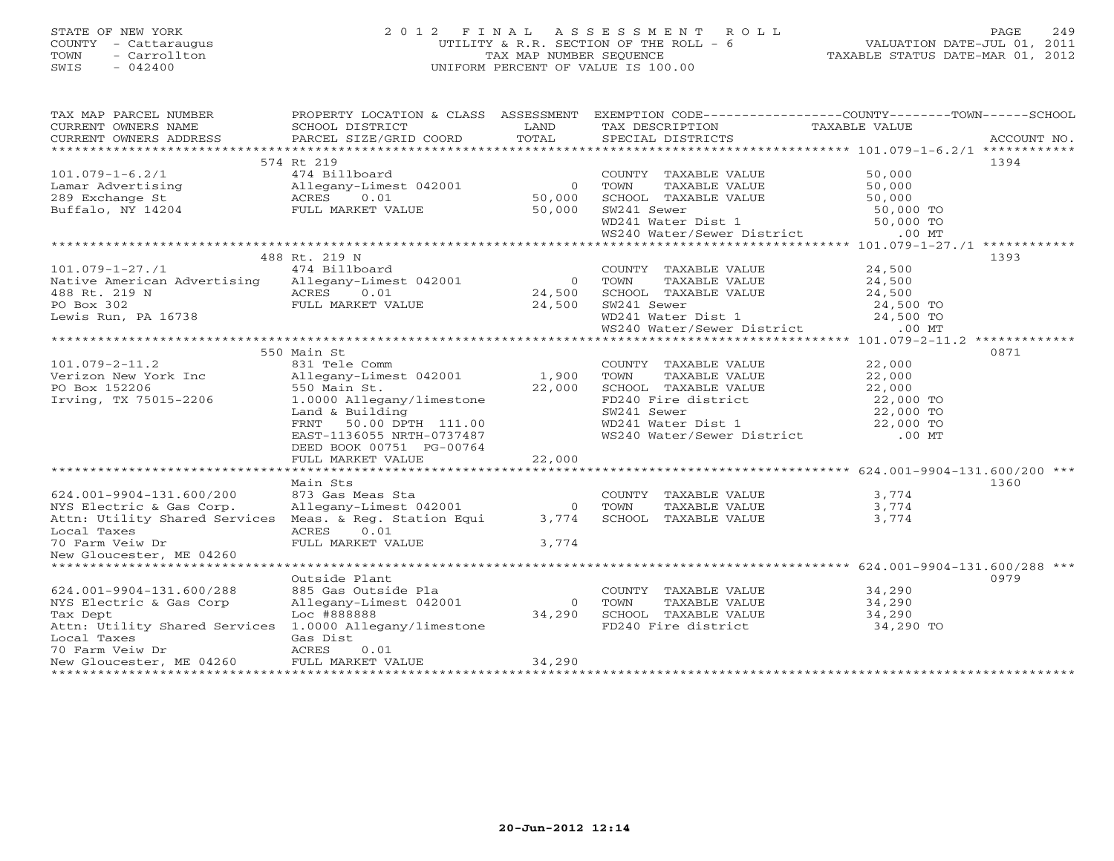# STATE OF NEW YORK 2 0 1 2 F I N A L A S S E S S M E N T R O L L PAGE 249 COUNTY - Cattaraugus UTILITY & R.R. SECTION OF THE ROLL - 6 VALUATION DATE-JUL 01, 2011 TOWN - Carrollton TAX MAP NUMBER SEQUENCE TAXABLE STATUS DATE-MAR 01, 2012 SWIS - 042400 UNIFORM PERCENT OF VALUE IS 100.00UNIFORM PERCENT OF VALUE IS 100.00

| TAXABLE VALUE<br>CURRENT OWNERS NAME<br>SCHOOL DISTRICT<br>LAND<br>TAX DESCRIPTION<br>TOTAL<br>CURRENT OWNERS ADDRESS<br>PARCEL SIZE/GRID COORD<br>SPECIAL DISTRICTS<br>ACCOUNT NO.<br>574 Rt 219<br>1394<br>COUNTY TAXABLE VALUE<br>474 Billboard<br>50,000<br>$101.079 - 1 - 6.2/1$<br>$\sim$ 0<br>50,000<br>TOWN<br>TAXABLE VALUE<br>50,000<br>SCHOOL TAXABLE VALUE<br>50,000<br>50,000<br>50,000 TO<br>SW241 Sewer<br>SW241 Sewer<br>WD241 Water Dist 1 50,000 TO<br>WS240 Water/Sewer District .00 MT<br>488 Rt. 219 N<br>1393<br>$101.079 - 1 - 27.71$<br>474 Billboard<br>COUNTY TAXABLE VALUE<br>24,500<br>Native American Advertising Allegany-Limest 042001<br>TOWN<br>TOWN TAXABLE VALUE 24,500<br>SCHOOL TAXABLE VALUE 24,500<br>$\overline{0}$<br>24,500<br>ACRES 0.01 24,500<br>FULL MARKET VALUE 24,500<br>488 Rt. 219 N<br>PO Box 302<br>SW241 Sewer 24,500 TO<br>WD241 Water Dist 1 24,500 TO<br>Lewis Run, PA 16738<br>WS240 Water/Sewer District<br>$.00$ MT<br>0871<br>550 Main St<br>$101.079 - 2 - 11.2$<br>831 Tele Comm<br>22,000<br>COUNTY TAXABLE VALUE<br>Verizon New York Inc allegany-Limest 042001 1,900<br>TAXABLE VALUE<br>22,000<br>TOWN<br>PO Box 152206<br>Irving, TX 75015-2206<br>22,000<br>SCHOOL TAXABLE VALUE 22,000<br>FD240 Fire district 22,000 TO<br>550 Main St.<br>1.0000 Allegany/limestone<br>22,000 TO<br>WD241 Water Dist 1 22,000 TO<br>WS240 Water/Sewer District .00 MT<br>Land & Building<br>FRNT 50.00 DPTH 111.00<br>EAST-1136055 NRTH-0737487<br>DEED BOOK 00751 PG-00764<br>22,000<br>FULL MARKET VALUE<br>Main Sts<br>1360<br>624.001-9904-131.600/200<br>873 Gas Meas Sta<br>Allegany-Limest 042001<br>3,774<br>COUNTY TAXABLE VALUE<br>NYS Electric & Gas Corp.<br>0 TOWN<br>TAXABLE VALUE<br>3,774<br>SCHOOL TAXABLE VALUE<br>Attn: Utility Shared Services Meas. & Reg. Station Equi 3,774<br>3,774<br>Local Taxes<br>ACRES 0.01<br>70 Farm Veiw Dr<br>3,774<br>FULL MARKET VALUE<br>New Gloucester, ME 04260<br>Outside Plant<br>0979<br>885 Gas Outside Pla<br>Allegany-Limest 042001<br>34,290<br>624.001-9904-131.600/288<br>COUNTY TAXABLE VALUE<br>$\overline{0}$<br>TOWN<br>TAXABLE VALUE<br>NYS Electric & Gas Corp<br>34,290<br>34,290 SCHOOL TAXABLE VALUE 34,290<br>FD240 Fire district 34,290 TO<br>Loc #888888<br>Tax Dept<br>Attn: Utility Shared Services 1.0000 Allegany/limestone<br>Local Taxes<br>Gas Dist<br>ACRES<br>0.01<br>70 Farm Veiw Dr<br>34,290<br>New Gloucester, ME 04260<br>FULL MARKET VALUE | TAX MAP PARCEL NUMBER |  | PROPERTY LOCATION & CLASS ASSESSMENT EXEMPTION CODE---------------COUNTY-------TOWN------SCHOOL |  |
|---------------------------------------------------------------------------------------------------------------------------------------------------------------------------------------------------------------------------------------------------------------------------------------------------------------------------------------------------------------------------------------------------------------------------------------------------------------------------------------------------------------------------------------------------------------------------------------------------------------------------------------------------------------------------------------------------------------------------------------------------------------------------------------------------------------------------------------------------------------------------------------------------------------------------------------------------------------------------------------------------------------------------------------------------------------------------------------------------------------------------------------------------------------------------------------------------------------------------------------------------------------------------------------------------------------------------------------------------------------------------------------------------------------------------------------------------------------------------------------------------------------------------------------------------------------------------------------------------------------------------------------------------------------------------------------------------------------------------------------------------------------------------------------------------------------------------------------------------------------------------------------------------------------------------------------------------------------------------------------------------------------------------------------------------------------------------------------------------------------------------------------------------------------------------------------------------------------------------------------------------------------------------------------------------------------------------------------------------------------------------------------------------------------------------------------------------------------------------------------------|-----------------------|--|-------------------------------------------------------------------------------------------------|--|
|                                                                                                                                                                                                                                                                                                                                                                                                                                                                                                                                                                                                                                                                                                                                                                                                                                                                                                                                                                                                                                                                                                                                                                                                                                                                                                                                                                                                                                                                                                                                                                                                                                                                                                                                                                                                                                                                                                                                                                                                                                                                                                                                                                                                                                                                                                                                                                                                                                                                                             |                       |  |                                                                                                 |  |
|                                                                                                                                                                                                                                                                                                                                                                                                                                                                                                                                                                                                                                                                                                                                                                                                                                                                                                                                                                                                                                                                                                                                                                                                                                                                                                                                                                                                                                                                                                                                                                                                                                                                                                                                                                                                                                                                                                                                                                                                                                                                                                                                                                                                                                                                                                                                                                                                                                                                                             |                       |  |                                                                                                 |  |
|                                                                                                                                                                                                                                                                                                                                                                                                                                                                                                                                                                                                                                                                                                                                                                                                                                                                                                                                                                                                                                                                                                                                                                                                                                                                                                                                                                                                                                                                                                                                                                                                                                                                                                                                                                                                                                                                                                                                                                                                                                                                                                                                                                                                                                                                                                                                                                                                                                                                                             |                       |  |                                                                                                 |  |
|                                                                                                                                                                                                                                                                                                                                                                                                                                                                                                                                                                                                                                                                                                                                                                                                                                                                                                                                                                                                                                                                                                                                                                                                                                                                                                                                                                                                                                                                                                                                                                                                                                                                                                                                                                                                                                                                                                                                                                                                                                                                                                                                                                                                                                                                                                                                                                                                                                                                                             |                       |  |                                                                                                 |  |
|                                                                                                                                                                                                                                                                                                                                                                                                                                                                                                                                                                                                                                                                                                                                                                                                                                                                                                                                                                                                                                                                                                                                                                                                                                                                                                                                                                                                                                                                                                                                                                                                                                                                                                                                                                                                                                                                                                                                                                                                                                                                                                                                                                                                                                                                                                                                                                                                                                                                                             |                       |  |                                                                                                 |  |
|                                                                                                                                                                                                                                                                                                                                                                                                                                                                                                                                                                                                                                                                                                                                                                                                                                                                                                                                                                                                                                                                                                                                                                                                                                                                                                                                                                                                                                                                                                                                                                                                                                                                                                                                                                                                                                                                                                                                                                                                                                                                                                                                                                                                                                                                                                                                                                                                                                                                                             |                       |  |                                                                                                 |  |
|                                                                                                                                                                                                                                                                                                                                                                                                                                                                                                                                                                                                                                                                                                                                                                                                                                                                                                                                                                                                                                                                                                                                                                                                                                                                                                                                                                                                                                                                                                                                                                                                                                                                                                                                                                                                                                                                                                                                                                                                                                                                                                                                                                                                                                                                                                                                                                                                                                                                                             |                       |  |                                                                                                 |  |
|                                                                                                                                                                                                                                                                                                                                                                                                                                                                                                                                                                                                                                                                                                                                                                                                                                                                                                                                                                                                                                                                                                                                                                                                                                                                                                                                                                                                                                                                                                                                                                                                                                                                                                                                                                                                                                                                                                                                                                                                                                                                                                                                                                                                                                                                                                                                                                                                                                                                                             |                       |  |                                                                                                 |  |
|                                                                                                                                                                                                                                                                                                                                                                                                                                                                                                                                                                                                                                                                                                                                                                                                                                                                                                                                                                                                                                                                                                                                                                                                                                                                                                                                                                                                                                                                                                                                                                                                                                                                                                                                                                                                                                                                                                                                                                                                                                                                                                                                                                                                                                                                                                                                                                                                                                                                                             |                       |  |                                                                                                 |  |
|                                                                                                                                                                                                                                                                                                                                                                                                                                                                                                                                                                                                                                                                                                                                                                                                                                                                                                                                                                                                                                                                                                                                                                                                                                                                                                                                                                                                                                                                                                                                                                                                                                                                                                                                                                                                                                                                                                                                                                                                                                                                                                                                                                                                                                                                                                                                                                                                                                                                                             |                       |  |                                                                                                 |  |
|                                                                                                                                                                                                                                                                                                                                                                                                                                                                                                                                                                                                                                                                                                                                                                                                                                                                                                                                                                                                                                                                                                                                                                                                                                                                                                                                                                                                                                                                                                                                                                                                                                                                                                                                                                                                                                                                                                                                                                                                                                                                                                                                                                                                                                                                                                                                                                                                                                                                                             |                       |  |                                                                                                 |  |
|                                                                                                                                                                                                                                                                                                                                                                                                                                                                                                                                                                                                                                                                                                                                                                                                                                                                                                                                                                                                                                                                                                                                                                                                                                                                                                                                                                                                                                                                                                                                                                                                                                                                                                                                                                                                                                                                                                                                                                                                                                                                                                                                                                                                                                                                                                                                                                                                                                                                                             |                       |  |                                                                                                 |  |
|                                                                                                                                                                                                                                                                                                                                                                                                                                                                                                                                                                                                                                                                                                                                                                                                                                                                                                                                                                                                                                                                                                                                                                                                                                                                                                                                                                                                                                                                                                                                                                                                                                                                                                                                                                                                                                                                                                                                                                                                                                                                                                                                                                                                                                                                                                                                                                                                                                                                                             |                       |  |                                                                                                 |  |
|                                                                                                                                                                                                                                                                                                                                                                                                                                                                                                                                                                                                                                                                                                                                                                                                                                                                                                                                                                                                                                                                                                                                                                                                                                                                                                                                                                                                                                                                                                                                                                                                                                                                                                                                                                                                                                                                                                                                                                                                                                                                                                                                                                                                                                                                                                                                                                                                                                                                                             |                       |  |                                                                                                 |  |
|                                                                                                                                                                                                                                                                                                                                                                                                                                                                                                                                                                                                                                                                                                                                                                                                                                                                                                                                                                                                                                                                                                                                                                                                                                                                                                                                                                                                                                                                                                                                                                                                                                                                                                                                                                                                                                                                                                                                                                                                                                                                                                                                                                                                                                                                                                                                                                                                                                                                                             |                       |  |                                                                                                 |  |
|                                                                                                                                                                                                                                                                                                                                                                                                                                                                                                                                                                                                                                                                                                                                                                                                                                                                                                                                                                                                                                                                                                                                                                                                                                                                                                                                                                                                                                                                                                                                                                                                                                                                                                                                                                                                                                                                                                                                                                                                                                                                                                                                                                                                                                                                                                                                                                                                                                                                                             |                       |  |                                                                                                 |  |
|                                                                                                                                                                                                                                                                                                                                                                                                                                                                                                                                                                                                                                                                                                                                                                                                                                                                                                                                                                                                                                                                                                                                                                                                                                                                                                                                                                                                                                                                                                                                                                                                                                                                                                                                                                                                                                                                                                                                                                                                                                                                                                                                                                                                                                                                                                                                                                                                                                                                                             |                       |  |                                                                                                 |  |
|                                                                                                                                                                                                                                                                                                                                                                                                                                                                                                                                                                                                                                                                                                                                                                                                                                                                                                                                                                                                                                                                                                                                                                                                                                                                                                                                                                                                                                                                                                                                                                                                                                                                                                                                                                                                                                                                                                                                                                                                                                                                                                                                                                                                                                                                                                                                                                                                                                                                                             |                       |  |                                                                                                 |  |
|                                                                                                                                                                                                                                                                                                                                                                                                                                                                                                                                                                                                                                                                                                                                                                                                                                                                                                                                                                                                                                                                                                                                                                                                                                                                                                                                                                                                                                                                                                                                                                                                                                                                                                                                                                                                                                                                                                                                                                                                                                                                                                                                                                                                                                                                                                                                                                                                                                                                                             |                       |  |                                                                                                 |  |
|                                                                                                                                                                                                                                                                                                                                                                                                                                                                                                                                                                                                                                                                                                                                                                                                                                                                                                                                                                                                                                                                                                                                                                                                                                                                                                                                                                                                                                                                                                                                                                                                                                                                                                                                                                                                                                                                                                                                                                                                                                                                                                                                                                                                                                                                                                                                                                                                                                                                                             |                       |  |                                                                                                 |  |
|                                                                                                                                                                                                                                                                                                                                                                                                                                                                                                                                                                                                                                                                                                                                                                                                                                                                                                                                                                                                                                                                                                                                                                                                                                                                                                                                                                                                                                                                                                                                                                                                                                                                                                                                                                                                                                                                                                                                                                                                                                                                                                                                                                                                                                                                                                                                                                                                                                                                                             |                       |  |                                                                                                 |  |
|                                                                                                                                                                                                                                                                                                                                                                                                                                                                                                                                                                                                                                                                                                                                                                                                                                                                                                                                                                                                                                                                                                                                                                                                                                                                                                                                                                                                                                                                                                                                                                                                                                                                                                                                                                                                                                                                                                                                                                                                                                                                                                                                                                                                                                                                                                                                                                                                                                                                                             |                       |  |                                                                                                 |  |
|                                                                                                                                                                                                                                                                                                                                                                                                                                                                                                                                                                                                                                                                                                                                                                                                                                                                                                                                                                                                                                                                                                                                                                                                                                                                                                                                                                                                                                                                                                                                                                                                                                                                                                                                                                                                                                                                                                                                                                                                                                                                                                                                                                                                                                                                                                                                                                                                                                                                                             |                       |  |                                                                                                 |  |
|                                                                                                                                                                                                                                                                                                                                                                                                                                                                                                                                                                                                                                                                                                                                                                                                                                                                                                                                                                                                                                                                                                                                                                                                                                                                                                                                                                                                                                                                                                                                                                                                                                                                                                                                                                                                                                                                                                                                                                                                                                                                                                                                                                                                                                                                                                                                                                                                                                                                                             |                       |  |                                                                                                 |  |
|                                                                                                                                                                                                                                                                                                                                                                                                                                                                                                                                                                                                                                                                                                                                                                                                                                                                                                                                                                                                                                                                                                                                                                                                                                                                                                                                                                                                                                                                                                                                                                                                                                                                                                                                                                                                                                                                                                                                                                                                                                                                                                                                                                                                                                                                                                                                                                                                                                                                                             |                       |  |                                                                                                 |  |
|                                                                                                                                                                                                                                                                                                                                                                                                                                                                                                                                                                                                                                                                                                                                                                                                                                                                                                                                                                                                                                                                                                                                                                                                                                                                                                                                                                                                                                                                                                                                                                                                                                                                                                                                                                                                                                                                                                                                                                                                                                                                                                                                                                                                                                                                                                                                                                                                                                                                                             |                       |  |                                                                                                 |  |
|                                                                                                                                                                                                                                                                                                                                                                                                                                                                                                                                                                                                                                                                                                                                                                                                                                                                                                                                                                                                                                                                                                                                                                                                                                                                                                                                                                                                                                                                                                                                                                                                                                                                                                                                                                                                                                                                                                                                                                                                                                                                                                                                                                                                                                                                                                                                                                                                                                                                                             |                       |  |                                                                                                 |  |
|                                                                                                                                                                                                                                                                                                                                                                                                                                                                                                                                                                                                                                                                                                                                                                                                                                                                                                                                                                                                                                                                                                                                                                                                                                                                                                                                                                                                                                                                                                                                                                                                                                                                                                                                                                                                                                                                                                                                                                                                                                                                                                                                                                                                                                                                                                                                                                                                                                                                                             |                       |  |                                                                                                 |  |
|                                                                                                                                                                                                                                                                                                                                                                                                                                                                                                                                                                                                                                                                                                                                                                                                                                                                                                                                                                                                                                                                                                                                                                                                                                                                                                                                                                                                                                                                                                                                                                                                                                                                                                                                                                                                                                                                                                                                                                                                                                                                                                                                                                                                                                                                                                                                                                                                                                                                                             |                       |  |                                                                                                 |  |
|                                                                                                                                                                                                                                                                                                                                                                                                                                                                                                                                                                                                                                                                                                                                                                                                                                                                                                                                                                                                                                                                                                                                                                                                                                                                                                                                                                                                                                                                                                                                                                                                                                                                                                                                                                                                                                                                                                                                                                                                                                                                                                                                                                                                                                                                                                                                                                                                                                                                                             |                       |  |                                                                                                 |  |
|                                                                                                                                                                                                                                                                                                                                                                                                                                                                                                                                                                                                                                                                                                                                                                                                                                                                                                                                                                                                                                                                                                                                                                                                                                                                                                                                                                                                                                                                                                                                                                                                                                                                                                                                                                                                                                                                                                                                                                                                                                                                                                                                                                                                                                                                                                                                                                                                                                                                                             |                       |  |                                                                                                 |  |
|                                                                                                                                                                                                                                                                                                                                                                                                                                                                                                                                                                                                                                                                                                                                                                                                                                                                                                                                                                                                                                                                                                                                                                                                                                                                                                                                                                                                                                                                                                                                                                                                                                                                                                                                                                                                                                                                                                                                                                                                                                                                                                                                                                                                                                                                                                                                                                                                                                                                                             |                       |  |                                                                                                 |  |
|                                                                                                                                                                                                                                                                                                                                                                                                                                                                                                                                                                                                                                                                                                                                                                                                                                                                                                                                                                                                                                                                                                                                                                                                                                                                                                                                                                                                                                                                                                                                                                                                                                                                                                                                                                                                                                                                                                                                                                                                                                                                                                                                                                                                                                                                                                                                                                                                                                                                                             |                       |  |                                                                                                 |  |
|                                                                                                                                                                                                                                                                                                                                                                                                                                                                                                                                                                                                                                                                                                                                                                                                                                                                                                                                                                                                                                                                                                                                                                                                                                                                                                                                                                                                                                                                                                                                                                                                                                                                                                                                                                                                                                                                                                                                                                                                                                                                                                                                                                                                                                                                                                                                                                                                                                                                                             |                       |  |                                                                                                 |  |
|                                                                                                                                                                                                                                                                                                                                                                                                                                                                                                                                                                                                                                                                                                                                                                                                                                                                                                                                                                                                                                                                                                                                                                                                                                                                                                                                                                                                                                                                                                                                                                                                                                                                                                                                                                                                                                                                                                                                                                                                                                                                                                                                                                                                                                                                                                                                                                                                                                                                                             |                       |  |                                                                                                 |  |
|                                                                                                                                                                                                                                                                                                                                                                                                                                                                                                                                                                                                                                                                                                                                                                                                                                                                                                                                                                                                                                                                                                                                                                                                                                                                                                                                                                                                                                                                                                                                                                                                                                                                                                                                                                                                                                                                                                                                                                                                                                                                                                                                                                                                                                                                                                                                                                                                                                                                                             |                       |  |                                                                                                 |  |
|                                                                                                                                                                                                                                                                                                                                                                                                                                                                                                                                                                                                                                                                                                                                                                                                                                                                                                                                                                                                                                                                                                                                                                                                                                                                                                                                                                                                                                                                                                                                                                                                                                                                                                                                                                                                                                                                                                                                                                                                                                                                                                                                                                                                                                                                                                                                                                                                                                                                                             |                       |  |                                                                                                 |  |
|                                                                                                                                                                                                                                                                                                                                                                                                                                                                                                                                                                                                                                                                                                                                                                                                                                                                                                                                                                                                                                                                                                                                                                                                                                                                                                                                                                                                                                                                                                                                                                                                                                                                                                                                                                                                                                                                                                                                                                                                                                                                                                                                                                                                                                                                                                                                                                                                                                                                                             |                       |  |                                                                                                 |  |
|                                                                                                                                                                                                                                                                                                                                                                                                                                                                                                                                                                                                                                                                                                                                                                                                                                                                                                                                                                                                                                                                                                                                                                                                                                                                                                                                                                                                                                                                                                                                                                                                                                                                                                                                                                                                                                                                                                                                                                                                                                                                                                                                                                                                                                                                                                                                                                                                                                                                                             |                       |  |                                                                                                 |  |
|                                                                                                                                                                                                                                                                                                                                                                                                                                                                                                                                                                                                                                                                                                                                                                                                                                                                                                                                                                                                                                                                                                                                                                                                                                                                                                                                                                                                                                                                                                                                                                                                                                                                                                                                                                                                                                                                                                                                                                                                                                                                                                                                                                                                                                                                                                                                                                                                                                                                                             |                       |  |                                                                                                 |  |
|                                                                                                                                                                                                                                                                                                                                                                                                                                                                                                                                                                                                                                                                                                                                                                                                                                                                                                                                                                                                                                                                                                                                                                                                                                                                                                                                                                                                                                                                                                                                                                                                                                                                                                                                                                                                                                                                                                                                                                                                                                                                                                                                                                                                                                                                                                                                                                                                                                                                                             |                       |  |                                                                                                 |  |
|                                                                                                                                                                                                                                                                                                                                                                                                                                                                                                                                                                                                                                                                                                                                                                                                                                                                                                                                                                                                                                                                                                                                                                                                                                                                                                                                                                                                                                                                                                                                                                                                                                                                                                                                                                                                                                                                                                                                                                                                                                                                                                                                                                                                                                                                                                                                                                                                                                                                                             |                       |  |                                                                                                 |  |
|                                                                                                                                                                                                                                                                                                                                                                                                                                                                                                                                                                                                                                                                                                                                                                                                                                                                                                                                                                                                                                                                                                                                                                                                                                                                                                                                                                                                                                                                                                                                                                                                                                                                                                                                                                                                                                                                                                                                                                                                                                                                                                                                                                                                                                                                                                                                                                                                                                                                                             |                       |  |                                                                                                 |  |
|                                                                                                                                                                                                                                                                                                                                                                                                                                                                                                                                                                                                                                                                                                                                                                                                                                                                                                                                                                                                                                                                                                                                                                                                                                                                                                                                                                                                                                                                                                                                                                                                                                                                                                                                                                                                                                                                                                                                                                                                                                                                                                                                                                                                                                                                                                                                                                                                                                                                                             |                       |  |                                                                                                 |  |
|                                                                                                                                                                                                                                                                                                                                                                                                                                                                                                                                                                                                                                                                                                                                                                                                                                                                                                                                                                                                                                                                                                                                                                                                                                                                                                                                                                                                                                                                                                                                                                                                                                                                                                                                                                                                                                                                                                                                                                                                                                                                                                                                                                                                                                                                                                                                                                                                                                                                                             |                       |  |                                                                                                 |  |
|                                                                                                                                                                                                                                                                                                                                                                                                                                                                                                                                                                                                                                                                                                                                                                                                                                                                                                                                                                                                                                                                                                                                                                                                                                                                                                                                                                                                                                                                                                                                                                                                                                                                                                                                                                                                                                                                                                                                                                                                                                                                                                                                                                                                                                                                                                                                                                                                                                                                                             |                       |  |                                                                                                 |  |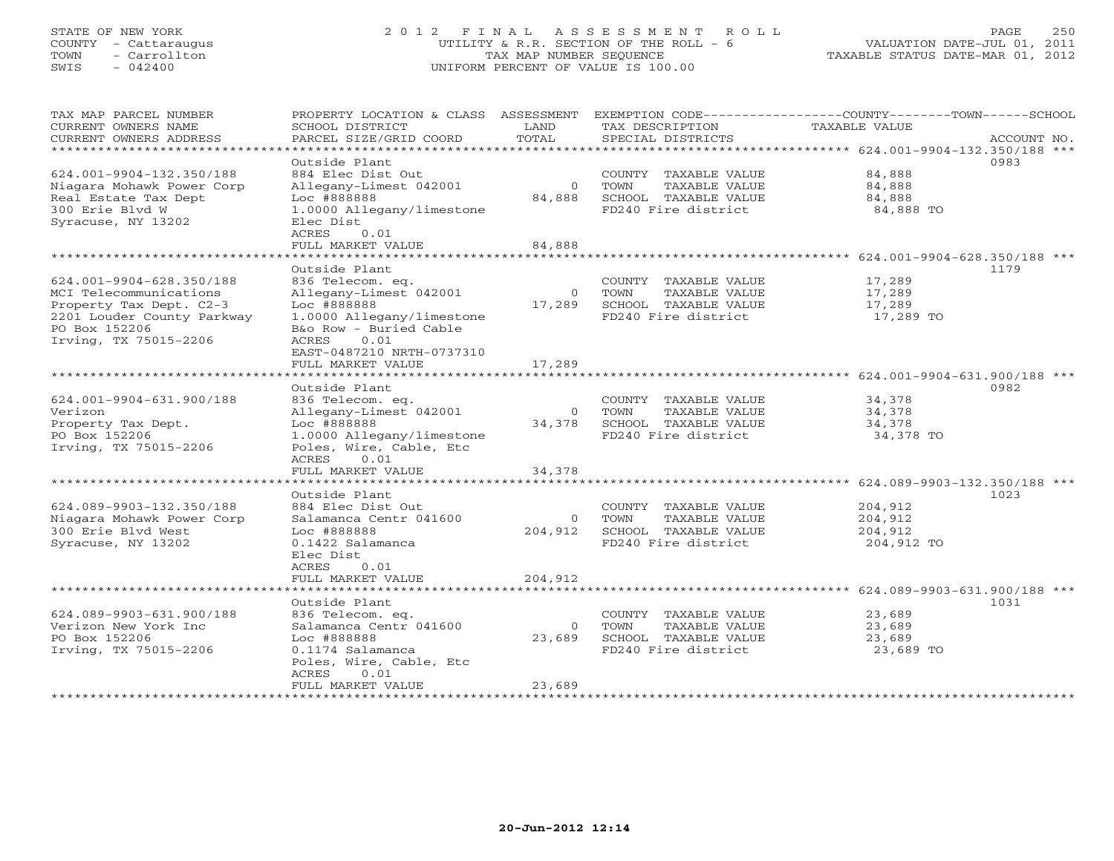# STATE OF NEW YORK 2 0 1 2 F I N A L A S S E S S M E N T R O L L PAGE 250 COUNTY - Cattaraugus UTILITY & R.R. SECTION OF THE ROLL - 6 VALUATION DATE-JUL 01, 2011 TOWN - Carrollton TAX MAP NUMBER SEQUENCE TAXABLE STATUS DATE-MAR 01, 2012 SWIS - 042400 UNIFORM PERCENT OF VALUE IS 100.00UNIFORM PERCENT OF VALUE IS 100.00

| TAX MAP PARCEL NUMBER          | PROPERTY LOCATION & CLASS ASSESSMENT EXEMPTION CODE---------------COUNTY-------TOWN------SCHOOL |                |                             |               |             |
|--------------------------------|-------------------------------------------------------------------------------------------------|----------------|-----------------------------|---------------|-------------|
| CURRENT OWNERS NAME            | SCHOOL DISTRICT                                                                                 | LAND           | TAX DESCRIPTION             | TAXABLE VALUE |             |
| CURRENT OWNERS ADDRESS         | PARCEL SIZE/GRID COORD                                                                          | TOTAL          | SPECIAL DISTRICTS           |               | ACCOUNT NO. |
| ****************************** |                                                                                                 |                |                             |               |             |
|                                | Outside Plant                                                                                   |                |                             |               | 0983        |
| 624.001-9904-132.350/188       | 884 Elec Dist Out                                                                               |                | COUNTY TAXABLE VALUE        | 84,888        |             |
| Niagara Mohawk Power Corp      | Allegany-Limest 042001                                                                          | $\overline{0}$ | TOWN<br>TAXABLE VALUE       | 84,888        |             |
| Real Estate Tax Dept           | Loc #888888                                                                                     |                | 84,888 SCHOOL TAXABLE VALUE | 84,888        |             |
| 300 Erie Blvd W                | 1.0000 Allegany/limestone                                                                       |                | FD240 Fire district         | 84,888 TO     |             |
| Syracuse, NY 13202             | Elec Dist                                                                                       |                |                             |               |             |
|                                | 0.01<br>ACRES<br>FULL MARKET VALUE                                                              | 84,888         |                             |               |             |
|                                |                                                                                                 |                |                             |               |             |
|                                | Outside Plant                                                                                   |                |                             |               | 1179        |
| 624.001-9904-628.350/188       | 836 Telecom. eq.                                                                                |                | COUNTY TAXABLE VALUE        | 17,289        |             |
| MCI Telecommunications         | Allegany-Limest 042001                                                                          | $\Omega$       | TOWN<br>TAXABLE VALUE       | 17,289        |             |
| Property Tax Dept. C2-3        | Loc #888888                                                                                     | 17,289         | SCHOOL TAXABLE VALUE        | 17,289        |             |
| 2201 Louder County Parkway     | 1.0000 Allegany/limestone                                                                       |                | FD240 Fire district         | 17,289 TO     |             |
| PO Box 152206                  | B&o Row - Buried Cable                                                                          |                |                             |               |             |
| Irving, TX 75015-2206          | ACRES<br>0.01                                                                                   |                |                             |               |             |
|                                | EAST-0487210 NRTH-0737310                                                                       |                |                             |               |             |
|                                | FULL MARKET VALUE                                                                               | 17,289         |                             |               |             |
|                                |                                                                                                 |                |                             |               |             |
|                                | Outside Plant                                                                                   |                |                             |               | 0982        |
| 624.001-9904-631.900/188       | 836 Telecom. eq.                                                                                |                | COUNTY TAXABLE VALUE        | 34,378        |             |
| Verizon                        | Allegany-Limest 042001                                                                          | $\overline{0}$ | TOWN<br>TAXABLE VALUE       | 34,378        |             |
| Property Tax Dept.             | Loc #888888                                                                                     |                | 34,378 SCHOOL TAXABLE VALUE | 34,378        |             |
| PO Box 152206                  | 1.0000 Allegany/limestone                                                                       |                | FD240 Fire district         | 34,378 TO     |             |
| Irving, TX 75015-2206          | Poles, Wire, Cable, Etc                                                                         |                |                             |               |             |
|                                | ACRES<br>0.01                                                                                   |                |                             |               |             |
|                                | FULL MARKET VALUE                                                                               | 34,378         |                             |               |             |
|                                |                                                                                                 |                |                             |               |             |
|                                | Outside Plant                                                                                   |                |                             |               | 1023        |
| 624.089-9903-132.350/188       | 884 Elec Dist Out                                                                               |                | COUNTY TAXABLE VALUE        | 204,912       |             |
| Niagara Mohawk Power Corp      | Salamanca Centr 041600                                                                          |                | 0 TOWN<br>TAXABLE VALUE     | 204,912       |             |
| 300 Erie Blyd West             | Loc #888888                                                                                     | 204,912        | SCHOOL TAXABLE VALUE        | 204,912       |             |
| Syracuse, NY 13202             | 0.1422 Salamanca                                                                                |                | FD240 Fire district         | 204,912 TO    |             |
|                                | Elec Dist                                                                                       |                |                             |               |             |
|                                | ACRES<br>0.01                                                                                   |                |                             |               |             |
|                                | FULL MARKET VALUE                                                                               | 204,912        |                             |               |             |
|                                |                                                                                                 |                |                             |               |             |
|                                | Outside Plant                                                                                   |                |                             |               | 1031        |
| 624.089-9903-631.900/188       | 836 Telecom. eq.                                                                                |                | COUNTY TAXABLE VALUE        | 23,689        |             |
| Verizon New York Inc           | Salamanca Centr 041600                                                                          | $\circ$        | TOWN<br>TAXABLE VALUE       | 23,689        |             |
| PO Box 152206                  | Loc #888888                                                                                     | 23,689         | SCHOOL TAXABLE VALUE        | 23,689        |             |
| Irving, TX 75015-2206          | 0.1174 Salamanca                                                                                |                | FD240 Fire district         | 23,689 TO     |             |
|                                | Poles, Wire, Cable, Etc                                                                         |                |                             |               |             |
|                                | ACRES<br>0.01                                                                                   |                |                             |               |             |
|                                | FULL MARKET VALUE                                                                               | 23,689         |                             |               |             |
|                                |                                                                                                 |                |                             |               |             |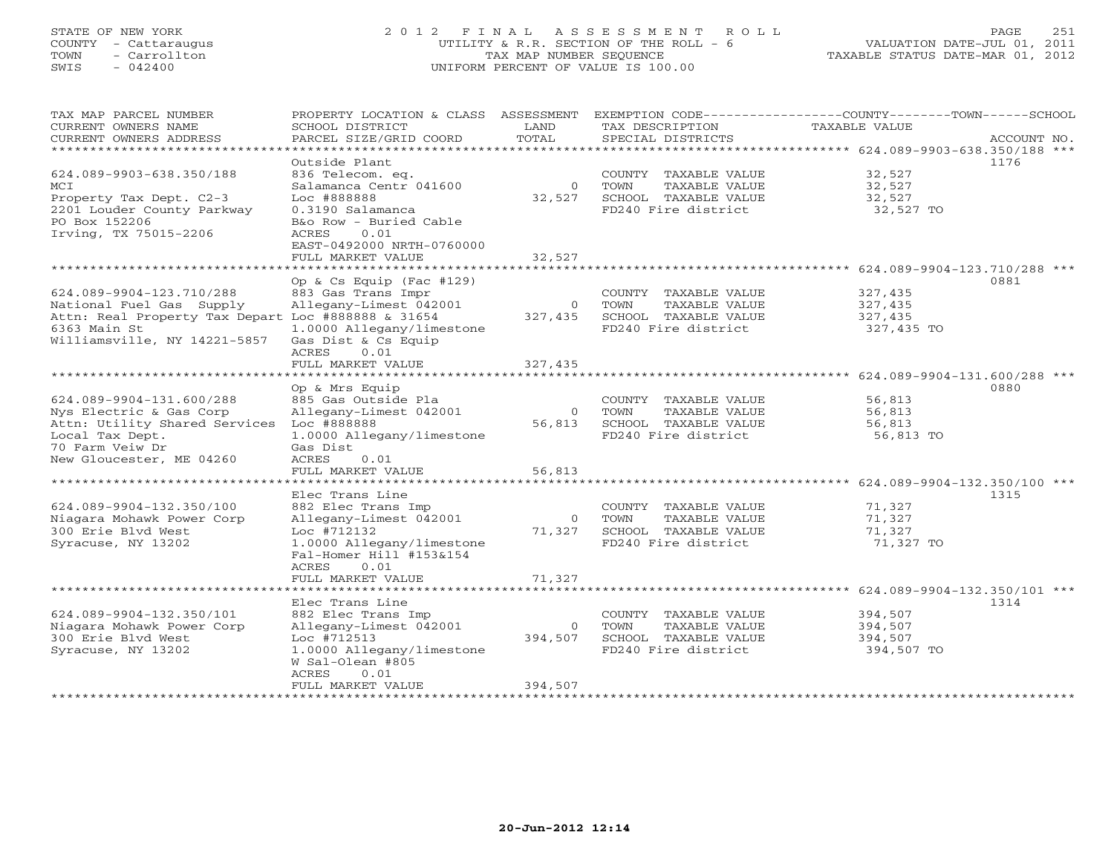# STATE OF NEW YORK 2 0 1 2 F I N A L A S S E S S M E N T R O L L PAGE 251 COUNTY - Cattaraugus UTILITY & R.R. SECTION OF THE ROLL - 6 VALUATION DATE-JUL 01, 2011 TOWN - Carrollton TAX MAP NUMBER SEQUENCE TAXABLE STATUS DATE-MAR 01, 2012 SWIS - 042400 UNIFORM PERCENT OF VALUE IS 100.00UNIFORM PERCENT OF VALUE IS 100.00

| TAX MAP PARCEL NUMBER<br>CURRENT OWNERS NAME<br>CURRENT OWNERS ADDRESS | PROPERTY LOCATION & CLASS ASSESSMENT<br>SCHOOL DISTRICT<br>PARCEL SIZE/GRID COORD | LAND<br>TOTAL  | TAX DESCRIPTION<br>SPECIAL DISTRICTS | EXEMPTION CODE----------------COUNTY-------TOWN------SCHOOL<br>TAXABLE VALUE | ACCOUNT NO. |
|------------------------------------------------------------------------|-----------------------------------------------------------------------------------|----------------|--------------------------------------|------------------------------------------------------------------------------|-------------|
| *********************                                                  |                                                                                   |                |                                      |                                                                              |             |
|                                                                        | Outside Plant                                                                     |                |                                      |                                                                              | 1176        |
| 624.089-9903-638.350/188                                               | 836 Telecom. eq.                                                                  |                | COUNTY TAXABLE VALUE                 | 32,527                                                                       |             |
| MCI                                                                    | Salamanca Centr 041600                                                            | $\Omega$       | TOWN<br>TAXABLE VALUE                | 32,527                                                                       |             |
| Property Tax Dept. C2-3                                                | Loc #888888                                                                       | 32,527         | SCHOOL TAXABLE VALUE                 | 32,527                                                                       |             |
| 2201 Louder County Parkway                                             | 0.3190 Salamanca                                                                  |                | FD240 Fire district                  | 32,527 TO                                                                    |             |
| PO Box 152206                                                          | B&o Row - Buried Cable                                                            |                |                                      |                                                                              |             |
| Irving, TX 75015-2206                                                  | 0.01<br>ACRES                                                                     |                |                                      |                                                                              |             |
|                                                                        | EAST-0492000 NRTH-0760000                                                         |                |                                      |                                                                              |             |
|                                                                        | FULL MARKET VALUE                                                                 | 32,527         |                                      |                                                                              |             |
|                                                                        |                                                                                   |                |                                      |                                                                              |             |
|                                                                        | Op & Cs Equip (Fac $#129$ )                                                       |                |                                      |                                                                              | 0881        |
| 624.089-9904-123.710/288                                               | 883 Gas Trans Impr                                                                |                | COUNTY TAXABLE VALUE                 | 327,435                                                                      |             |
| National Fuel Gas Supply                                               | Allegany-Limest 042001                                                            | $\overline{0}$ | TOWN<br>TAXABLE VALUE                | 327,435                                                                      |             |
| Attn: Real Property Tax Depart Loc #888888 & 31654                     |                                                                                   | 327,435        | SCHOOL TAXABLE VALUE                 | 327,435                                                                      |             |
| 6363 Main St                                                           | 1.0000 Allegany/limestone                                                         |                | FD240 Fire district                  | 327,435 TO                                                                   |             |
| Williamsville, NY 14221-5857                                           | Gas Dist & Cs Equip                                                               |                |                                      |                                                                              |             |
|                                                                        | ACRES<br>0.01                                                                     |                |                                      |                                                                              |             |
|                                                                        | FULL MARKET VALUE                                                                 | 327,435        |                                      |                                                                              |             |
|                                                                        |                                                                                   |                |                                      |                                                                              |             |
|                                                                        | Op & Mrs Equip                                                                    |                |                                      |                                                                              | 0880        |
| 624.089-9904-131.600/288                                               | 885 Gas Outside Pla                                                               |                | COUNTY TAXABLE VALUE                 | 56,813                                                                       |             |
| Nys Electric & Gas Corp                                                | Allegany-Limest 042001                                                            | $\overline{0}$ | TOWN<br>TAXABLE VALUE                | 56,813                                                                       |             |
| Attn: Utility Shared Services Loc #888888                              |                                                                                   | 56,813         | SCHOOL TAXABLE VALUE                 | 56,813                                                                       |             |
| Local Tax Dept.                                                        | 1.0000 Allegany/limestone                                                         |                | FD240 Fire district                  | 56,813 TO                                                                    |             |
| 70 Farm Veiw Dr                                                        | Gas Dist                                                                          |                |                                      |                                                                              |             |
| New Gloucester, ME 04260                                               | ACRES<br>0.01<br>FULL MARKET VALUE                                                | 56,813         |                                      |                                                                              |             |
| *************************                                              |                                                                                   |                |                                      |                                                                              |             |
|                                                                        | Elec Trans Line                                                                   |                |                                      |                                                                              | 1315        |
| 624.089-9904-132.350/100                                               | 882 Elec Trans Imp                                                                |                | COUNTY TAXABLE VALUE                 | 71,327                                                                       |             |
| Niagara Mohawk Power Corp                                              | Allegany-Limest 042001                                                            | $\overline{O}$ | TOWN<br>TAXABLE VALUE                | 71,327                                                                       |             |
| 300 Erie Blvd West                                                     | Loc #712132                                                                       | 71,327         | SCHOOL TAXABLE VALUE                 | 71,327                                                                       |             |
| Syracuse, NY 13202                                                     | 1.0000 Allegany/limestone                                                         |                | FD240 Fire district                  | 71,327 TO                                                                    |             |
|                                                                        | Fal-Homer Hill #153&154                                                           |                |                                      |                                                                              |             |
|                                                                        | ACRES<br>0.01                                                                     |                |                                      |                                                                              |             |
|                                                                        | FULL MARKET VALUE                                                                 | 71,327         |                                      |                                                                              |             |
|                                                                        | **********************                                                            |                |                                      | ******************** 624.089-9904-132.350/101 ***                            |             |
|                                                                        | Elec Trans Line                                                                   |                |                                      |                                                                              | 1314        |
| 624.089-9904-132.350/101                                               | 882 Elec Trans Imp                                                                |                | COUNTY TAXABLE VALUE                 | 394,507                                                                      |             |
| Niagara Mohawk Power Corp                                              | Allegany-Limest 042001                                                            | $\circ$        | TAXABLE VALUE<br>TOWN                | 394,507                                                                      |             |
| 300 Erie Blvd West                                                     | Loc #712513                                                                       | 394,507        | SCHOOL TAXABLE VALUE                 | 394,507                                                                      |             |
| Syracuse, NY 13202                                                     | 1.0000 Allegany/limestone                                                         |                | FD240 Fire district                  | 394,507 TO                                                                   |             |
|                                                                        | W Sal-Olean #805                                                                  |                |                                      |                                                                              |             |
|                                                                        | ACRES<br>0.01                                                                     |                |                                      |                                                                              |             |
|                                                                        | FULL MARKET VALUE                                                                 | 394,507        |                                      |                                                                              |             |
|                                                                        |                                                                                   |                |                                      |                                                                              |             |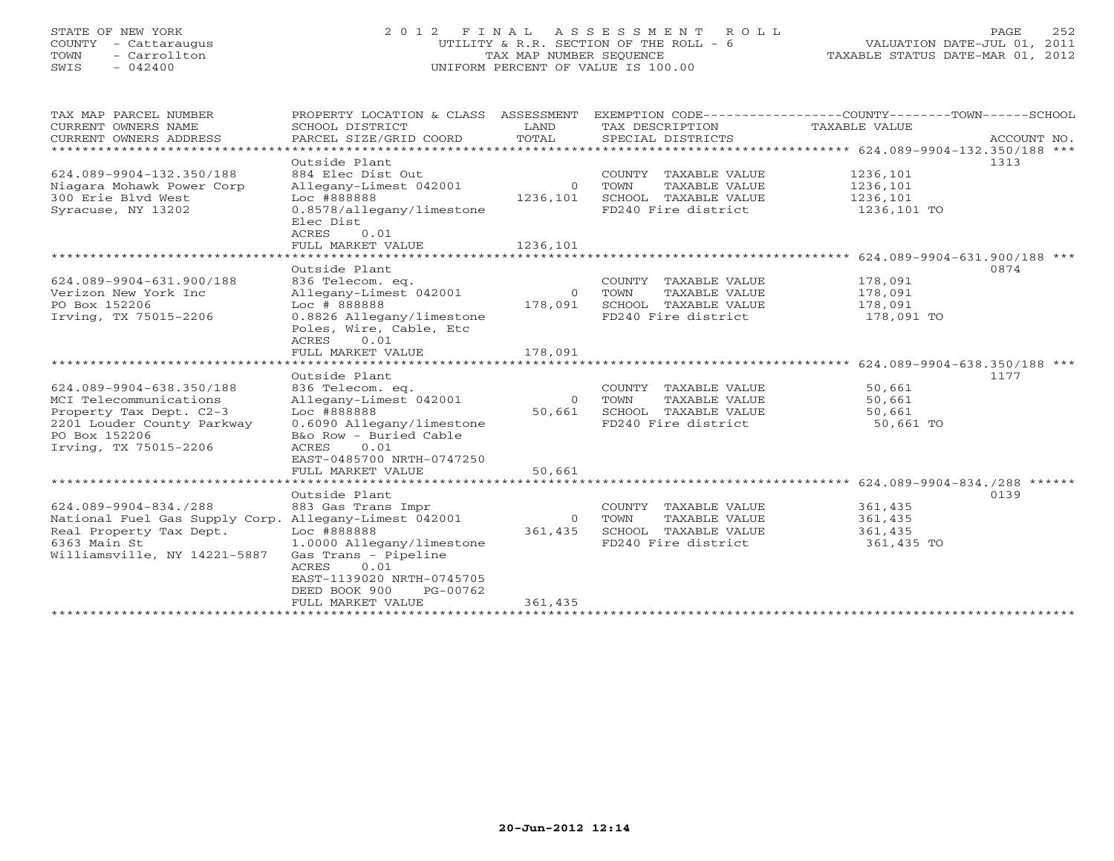# STATE OF NEW YORK 2 0 1 2 F I N A L A S S E S S M E N T R O L L PAGE 252 COUNTY - Cattaraugus UTILITY & R.R. SECTION OF THE ROLL - 6 VALUATION DATE-JUL 01, 2011 TOWN - Carrollton TAX MAP NUMBER SEQUENCE TAXABLE STATUS DATE-MAR 01, 2012 SWIS - 042400 UNIFORM PERCENT OF VALUE IS 100.00UNIFORM PERCENT OF VALUE IS 100.00

| TAX MAP PARCEL NUMBER<br>CURRENT OWNERS NAME             | PROPERTY LOCATION & CLASS ASSESSMENT<br>SCHOOL DISTRICT | LAND               | TAX DESCRIPTION                               | EXEMPTION CODE-----------------COUNTY-------TOWN------SCHOOL<br>TAXABLE VALUE |
|----------------------------------------------------------|---------------------------------------------------------|--------------------|-----------------------------------------------|-------------------------------------------------------------------------------|
| CURRENT OWNERS ADDRESS<br>****************************** | PARCEL SIZE/GRID COORD                                  | TOTAL              | SPECIAL DISTRICTS                             | ACCOUNT NO.                                                                   |
|                                                          | Outside Plant                                           |                    |                                               | 1313                                                                          |
| 624.089-9904-132.350/188                                 | 884 Elec Dist Out                                       |                    | COUNTY TAXABLE VALUE                          | 1236,101                                                                      |
| Niagara Mohawk Power Corp                                | Allegany-Limest 042001                                  | $\overline{0}$     | TOWN<br>TAXABLE VALUE                         | 1236,101                                                                      |
| 300 Erie Blvd West                                       | Loc #888888                                             | 1236,101           | SCHOOL TAXABLE VALUE                          | 1236,101                                                                      |
| Syracuse, NY 13202                                       | 0.8578/allegany/limestone<br>Elec Dist                  |                    | FD240 Fire district                           | 1236,101 TO                                                                   |
|                                                          | ACRES<br>0.01                                           |                    |                                               |                                                                               |
|                                                          | FULL MARKET VALUE                                       | 1236,101           |                                               |                                                                               |
|                                                          |                                                         |                    |                                               |                                                                               |
|                                                          | Outside Plant                                           |                    |                                               | 0874                                                                          |
| 624.089-9904-631.900/188                                 | 836 Telecom. eq.                                        |                    | COUNTY TAXABLE VALUE                          | 178,091                                                                       |
| Verizon New York Inc<br>PO Box 152206                    | Allegany-Limest 042001<br>Loc # 888888                  | $\circ$<br>178,091 | TOWN<br>TAXABLE VALUE<br>SCHOOL TAXABLE VALUE | 178,091<br>178,091                                                            |
| Irving, TX 75015-2206                                    | 0.8826 Allegany/limestone                               |                    | FD240 Fire district                           | 178,091 TO                                                                    |
|                                                          | Poles, Wire, Cable, Etc                                 |                    |                                               |                                                                               |
|                                                          | ACRES<br>0.01                                           |                    |                                               |                                                                               |
|                                                          | FULL MARKET VALUE                                       | 178,091            |                                               |                                                                               |
|                                                          |                                                         |                    |                                               | ******************* 624.089-9904-638.350/188 ***                              |
|                                                          | Outside Plant                                           |                    |                                               | 1177                                                                          |
| 624.089-9904-638.350/188                                 | 836 Telecom. eq.                                        |                    | COUNTY TAXABLE VALUE                          | 50,661                                                                        |
| MCI Telecommunications                                   | Allegany-Limest 042001                                  | $\overline{O}$     | TAXABLE VALUE<br>TOWN                         | 50,661                                                                        |
| Property Tax Dept. C2-3                                  | Loc #888888                                             | 50,661             | SCHOOL TAXABLE VALUE                          | 50,661                                                                        |
| 2201 Louder County Parkway                               | 0.6090 Allegany/limestone                               |                    | FD240 Fire district                           | 50,661 TO                                                                     |
| PO Box 152206                                            | B&o Row - Buried Cable                                  |                    |                                               |                                                                               |
| Irving, TX 75015-2206                                    | 0.01<br>ACRES                                           |                    |                                               |                                                                               |
|                                                          | EAST-0485700 NRTH-0747250                               |                    |                                               |                                                                               |
|                                                          | FULL MARKET VALUE                                       | 50,661             |                                               |                                                                               |
|                                                          |                                                         |                    |                                               |                                                                               |
|                                                          | Outside Plant                                           |                    |                                               | 0139                                                                          |
| 624.089-9904-834./288                                    | 883 Gas Trans Impr                                      |                    | COUNTY TAXABLE VALUE                          | 361,435                                                                       |
| National Fuel Gas Supply Corp.                           | Allegany-Limest 042001                                  | $\Omega$           | TOWN<br>TAXABLE VALUE                         | 361,435                                                                       |
| Real Property Tax Dept.                                  | Loc #888888                                             | 361,435            | SCHOOL TAXABLE VALUE                          | 361,435                                                                       |
| 6363 Main St                                             | 1.0000 Allegany/limestone                               |                    | FD240 Fire district                           | 361,435 TO                                                                    |
| Williamsville, NY 14221-5887                             | Gas Trans - Pipeline                                    |                    |                                               |                                                                               |
|                                                          | <b>ACRES</b><br>0.01                                    |                    |                                               |                                                                               |
|                                                          | EAST-1139020 NRTH-0745705                               |                    |                                               |                                                                               |
|                                                          | DEED BOOK 900<br>PG-00762                               |                    |                                               |                                                                               |
|                                                          | FULL MARKET VALUE                                       | 361,435            |                                               |                                                                               |
|                                                          |                                                         |                    |                                               |                                                                               |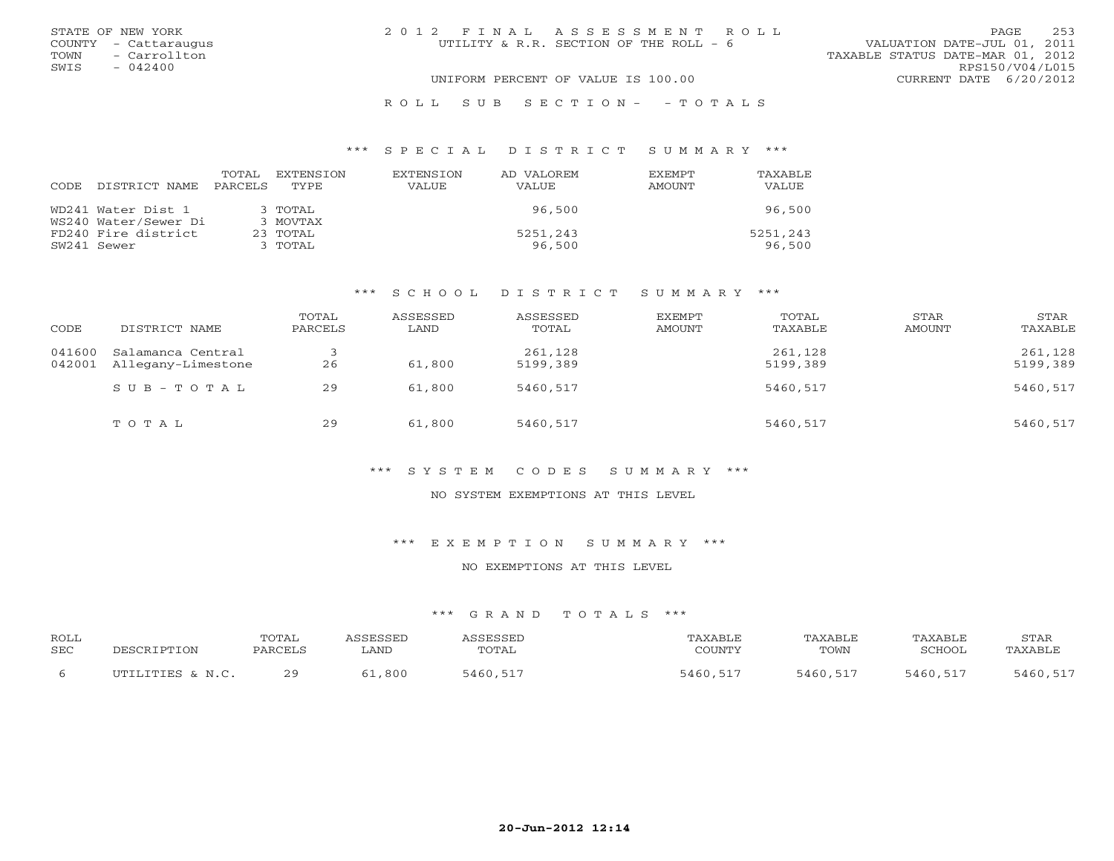|      | STATE OF NEW YORK    | 2012 FINAL ASSESSMENT ROLL                                            | PAGE.                  | 253 |
|------|----------------------|-----------------------------------------------------------------------|------------------------|-----|
|      | COUNTY - Cattaraugus | VALUATION DATE-JUL 01, 2011<br>UTILITY & R.R. SECTION OF THE ROLL - 6 |                        |     |
| TOWN | - Carrollton         | TAXABLE STATUS DATE-MAR 01, 2012                                      |                        |     |
| SWIS | $-042400$            |                                                                       | RPS150/V04/L015        |     |
|      |                      | UNIFORM PERCENT OF VALUE IS 100.00                                    | CURRENT DATE 6/20/2012 |     |
|      |                      |                                                                       |                        |     |

#### R O L L S U B S E C T I O N - - T O T A L S

#### \*\*\* S P E C I A L D I S T R I C T S U M M A R Y \*\*\*

| <b>CODE</b> | DISTRICT NAME        | TOTAL<br>PARCELS | EXTENSTON<br>TYPE. | <b>EXTENSION</b><br><b>VALUE</b> | AD VALOREM<br>VALUE | <b>EXEMPT</b><br>AMOUNT | TAXABLE<br><b>VALUE</b> |
|-------------|----------------------|------------------|--------------------|----------------------------------|---------------------|-------------------------|-------------------------|
|             | WD241 Water Dist 1   |                  | $3$ TOTAL          |                                  | 96,500              |                         | 96,500                  |
|             | WS240 Water/Sewer Di |                  | 3 MOVTAX           |                                  |                     |                         |                         |
|             | FD240 Fire district  |                  | $23$ TOTAL         |                                  | 5251,243            |                         | 5251,243                |
|             | SW241 Sewer          |                  | 3 TOTAL            |                                  | 96,500              |                         | 96,500                  |

## \*\*\* S C H O O L D I S T R I C T S U M M A R Y \*\*\*

| CODE   | DISTRICT NAME                                  | TOTAL<br>PARCELS | ASSESSED<br>LAND | ASSESSED<br>TOTAL   | <b>EXEMPT</b><br>AMOUNT | TOTAL<br>TAXABLE    | STAR<br>AMOUNT | STAR<br>TAXABLE     |
|--------|------------------------------------------------|------------------|------------------|---------------------|-------------------------|---------------------|----------------|---------------------|
| 041600 | Salamanca Central<br>042001 Allegany-Limestone | 26               | 61,800           | 261,128<br>5199,389 |                         | 261,128<br>5199,389 |                | 261,128<br>5199,389 |
|        | $SUB - TO T AL$                                | 29               | 61,800           | 5460,517            |                         | 5460,517            |                | 5460,517            |
|        | TOTAL                                          | 29               | 61,800           | 5460,517            |                         | 5460,517            |                | 5460,517            |

## \*\*\* S Y S T E M C O D E S S U M M A R Y \*\*\*

#### NO SYSTEM EXEMPTIONS AT THIS LEVEL

\*\*\* E X E M P T I O N S U M M A R Y \*\*\*

### NO EXEMPTIONS AT THIS LEVEL

| <b>ROLL</b><br><b>SEC</b> | PESCRIPTION      | TOTAL<br>PARCELS | <i><b>\SSESSED</b></i><br>LAND | ASSESSED<br>TOTAL | TAXABLE<br>COUNTY | TAXABLE<br>TOWN | TAXABLE<br>SCHOOL | STAR<br>TAXABLE |
|---------------------------|------------------|------------------|--------------------------------|-------------------|-------------------|-----------------|-------------------|-----------------|
|                           | UTILITIES & N.C. | 29               | 61,800                         | 5460,517          | 5460,517          | 5460,517        | 5460,517          | 5460,517        |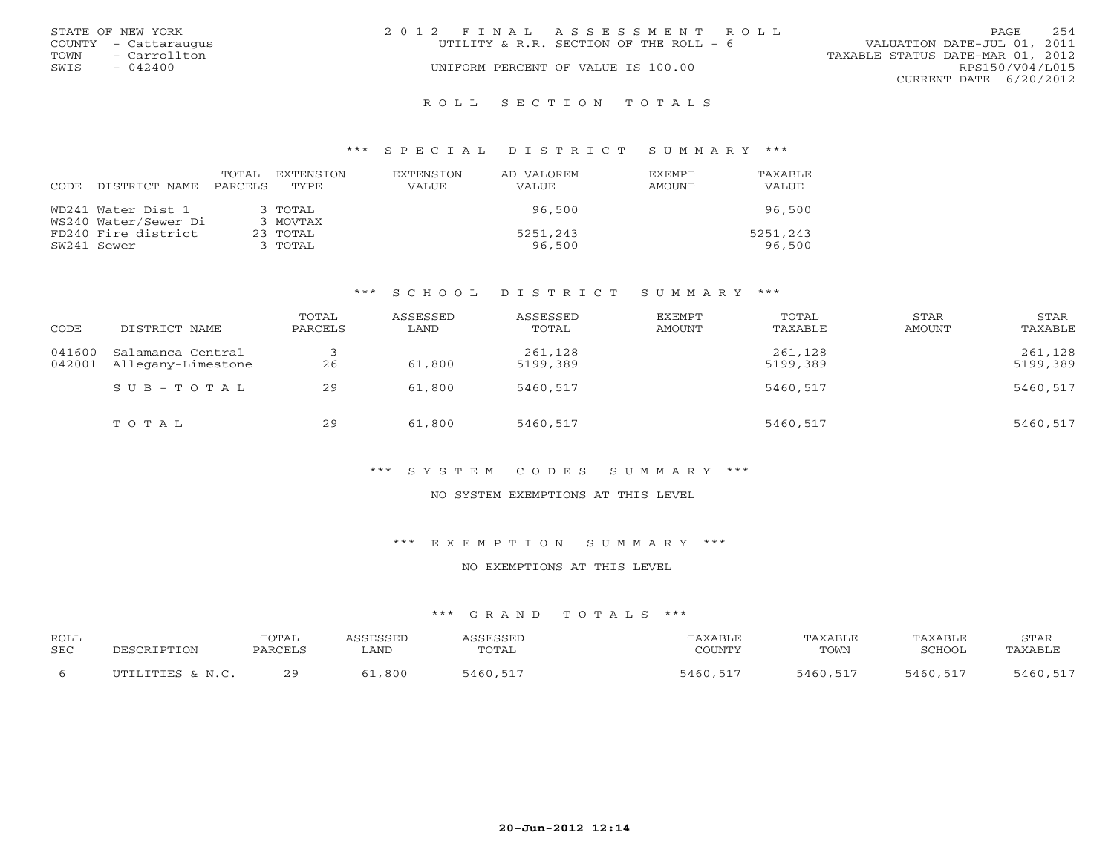|      | STATE OF NEW YORK    | 2012 FINAL ASSESSMENT ROLL             |                                  | PAGE            | 254 |
|------|----------------------|----------------------------------------|----------------------------------|-----------------|-----|
|      | COUNTY - Cattaraugus | UTILITY & R.R. SECTION OF THE ROLL - 6 | VALUATION DATE-JUL 01, 2011      |                 |     |
| TOWN | - Carrollton         |                                        | TAXABLE STATUS DATE-MAR 01, 2012 |                 |     |
| SWIS | $-042400$            | UNIFORM PERCENT OF VALUE IS 100.00     |                                  | RPS150/V04/L015 |     |
|      |                      |                                        | CURRENT DATE 6/20/2012           |                 |     |
|      |                      |                                        |                                  |                 |     |

#### R O L L S E C T I O N T O T A L S

### \*\*\* S P E C I A L D I S T R I C T S U M M A R Y \*\*\*

| CODE. | DISTRICT NAME        | TOTAL<br>PARCELS | EXTENSTON<br>TYPE. | <b>EXTENSION</b><br><b>VALUE</b> | AD VALOREM<br><b>VALUE</b> | <b>FXFMPT</b><br>AMOUNT | TAXABLE<br>VALUE |
|-------|----------------------|------------------|--------------------|----------------------------------|----------------------------|-------------------------|------------------|
|       |                      |                  |                    |                                  |                            |                         |                  |
|       | WD241 Water Dist 1   |                  | $3$ TOTAL          |                                  | 96,500                     |                         | 96,500           |
|       | WS240 Water/Sewer Di |                  | 3 MOVTAX           |                                  |                            |                         |                  |
|       | FD240 Fire district  |                  | 23 TOTAL           |                                  | 5251,243                   |                         | 5251,243         |
|       | SW241 Sewer          |                  | 3 TOTAL            |                                  | 96,500                     |                         | 96,500           |

## \*\*\* S C H O O L D I S T R I C T S U M M A R Y \*\*\*

| CODE   | DISTRICT NAME                                  | TOTAL<br>PARCELS | ASSESSED<br>LAND | ASSESSED<br>TOTAL   | EXEMPT<br>AMOUNT | TOTAL<br>TAXABLE    | STAR<br>AMOUNT | STAR<br>TAXABLE     |
|--------|------------------------------------------------|------------------|------------------|---------------------|------------------|---------------------|----------------|---------------------|
| 041600 | Salamanca Central<br>042001 Allegany-Limestone | 26               | 61,800           | 261,128<br>5199,389 |                  | 261,128<br>5199,389 |                | 261,128<br>5199,389 |
|        | SUB-TOTAL                                      | 29               | 61,800           | 5460,517            |                  | 5460,517            |                | 5460,517            |
|        | TOTAL                                          | 29               | 61,800           | 5460,517            |                  | 5460,517            |                | 5460,517            |

## \*\*\* S Y S T E M C O D E S S U M M A R Y \*\*\*

### NO SYSTEM EXEMPTIONS AT THIS LEVEL

\*\*\* E X E M P T I O N S U M M A R Y \*\*\*

### NO EXEMPTIONS AT THIS LEVEL

| ROLL<br>SEC | DESCRIPTION      | TOTAL<br>PARCELS | <i><b>\SSESSED</b></i><br>. AND | ASSESSED<br>TOTAL | TAXABLE<br>COUNTY | TAXABLE<br>TOWN | TAXABLE<br>SCHOOL | STAR<br>TAXABLE |
|-------------|------------------|------------------|---------------------------------|-------------------|-------------------|-----------------|-------------------|-----------------|
|             | UTILITIES & N.C. | 20               | 61,800                          | 5460,517          | 5460,517          | 5460,517        | 5460,517          | 5460,517        |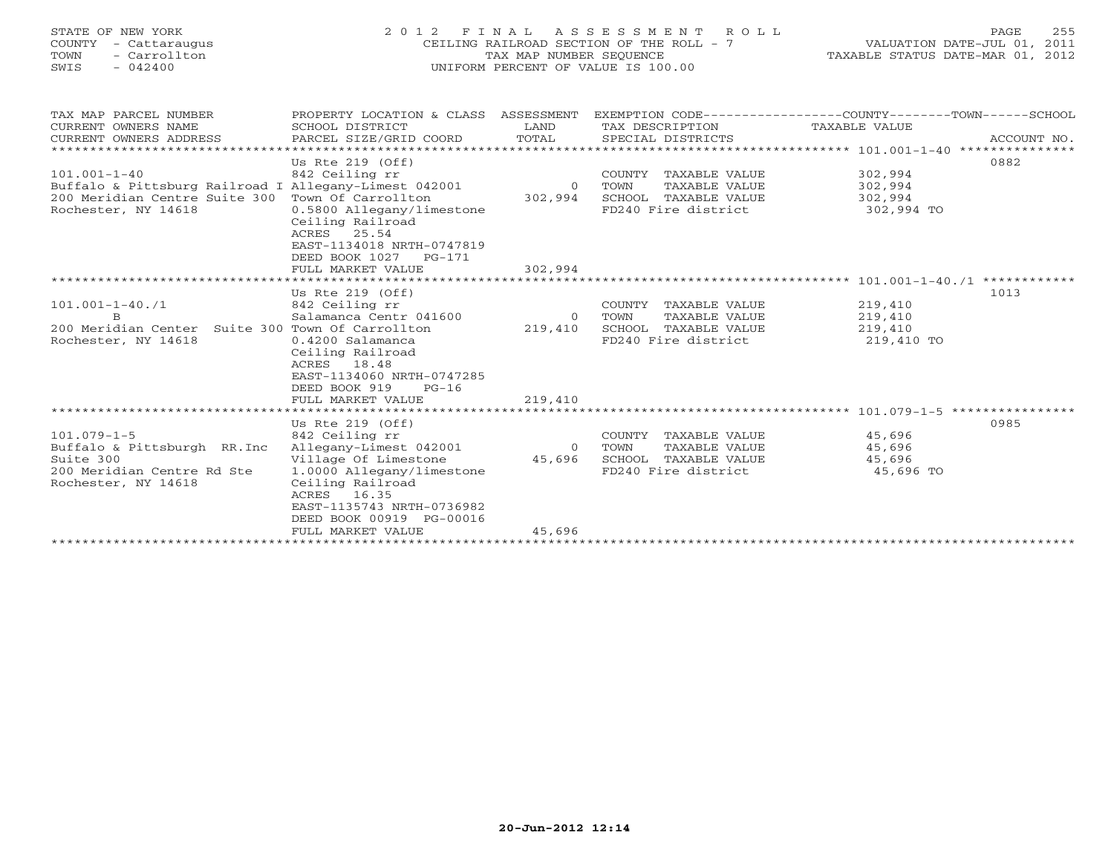| STATE OF NEW YORK |     |  |               |  |
|-------------------|-----|--|---------------|--|
| <b>COUNTY</b>     |     |  | - Cattaraugus |  |
| TOWN              | $-$ |  | Carrollton    |  |
| SWTS              |     |  | 042400        |  |

# STATE OF NEW YORK 2 0 1 2 F I N A L A S S E S S M E N T R O L L PAGE 255 COUNTY - Cattaraugus CEILING RAILROAD SECTION OF THE ROLL - 7 VALUATION DATE-JUL 01, 2011 TOWN - Carrollton TAX MAP NUMBER SEQUENCE TAXABLE STATUS DATE-MAR 01, 2012 SWIS - 042400 UNIFORM PERCENT OF VALUE IS 100.00UNIFORM PERCENT OF VALUE IS 100.00

| TAX MAP PARCEL NUMBER                                   | PROPERTY LOCATION & CLASS ASSESSMENT |                | EXEMPTION CODE----------------COUNTY-------TOWN-----SCHOOL |               |              |
|---------------------------------------------------------|--------------------------------------|----------------|------------------------------------------------------------|---------------|--------------|
| CURRENT OWNERS NAME                                     | SCHOOL DISTRICT                      | LAND           | TAX DESCRIPTION                                            | TAXABLE VALUE |              |
| CURRENT OWNERS ADDRESS                                  | PARCEL SIZE/GRID COORD               |                |                                                            |               |              |
| ********************************                        |                                      |                |                                                            |               |              |
|                                                         | Us Rte $219$ (Off)                   |                |                                                            |               | 0882         |
| $101.001 - 1 - 40$                                      | 842 Ceiling rr                       |                | COUNTY TAXABLE VALUE                                       | 302,994       |              |
| Buffalo & Pittsburg Railroad I Allegany-Limest 042001 0 |                                      |                | TAXABLE VALUE<br>TOWN                                      | 302,994       |              |
| 200 Meridian Centre Suite 300 Town Of Carrollton        |                                      | 302,994        | SCHOOL TAXABLE VALUE 302,994                               |               |              |
| Rochester, NY 14618                                     | 0.5800 Allegany/limestone            |                | FD240 Fire district                                        | 302,994 TO    |              |
|                                                         | Ceiling Railroad                     |                |                                                            |               |              |
|                                                         | ACRES 25.54                          |                |                                                            |               |              |
|                                                         | EAST-1134018 NRTH-0747819            |                |                                                            |               |              |
|                                                         | DEED BOOK 1027 PG-171                |                |                                                            |               |              |
|                                                         | FULL MARKET VALUE                    | 302,994        |                                                            |               |              |
|                                                         |                                      |                |                                                            |               | ************ |
|                                                         | Us Rte $219$ (Off)                   |                |                                                            |               | 1013         |
| $101.001 - 1 - 40.71$                                   | 842 Ceiling rr                       |                | COUNTY TAXABLE VALUE                                       | 219,410       |              |
| <sub>B</sub>                                            | Salamanca Centr 041600               | $\overline{O}$ | TOWN<br>TAXABLE VALUE                                      | 219,410       |              |
| 200 Meridian Center Suite 300 Town Of Carrollton        |                                      | 219,410        | SCHOOL TAXABLE VALUE                                       | 219,410       |              |
| Rochester, NY 14618                                     | 0.4200 Salamanca                     |                | FD240 Fire district                                        | 219,410 TO    |              |
|                                                         | Ceiling Railroad                     |                |                                                            |               |              |
|                                                         | ACRES 18.48                          |                |                                                            |               |              |
|                                                         | EAST-1134060 NRTH-0747285            |                |                                                            |               |              |
|                                                         | DEED BOOK 919<br>$PG-16$             |                |                                                            |               |              |
|                                                         | FULL MARKET VALUE                    | 219,410        |                                                            |               |              |
|                                                         |                                      |                |                                                            |               |              |
|                                                         | Us Rte $219$ (Off)                   |                |                                                            |               | 0985         |
| $101.079 - 1 - 5$                                       | 842 Ceiling rr                       |                | COUNTY TAXABLE VALUE                                       | 45,696        |              |
| Buffalo & Pittsburgh RR. Inc Allegany-Limest 042001     |                                      | $\overline{0}$ | TAXABLE VALUE<br>TOWN                                      | 45,696        |              |
| Suite 300                                               | Village Of Limestone                 | 45,696         | SCHOOL TAXABLE VALUE                                       | 45,696        |              |
| 200 Meridian Centre Rd Ste                              | 1.0000 Allegany/limestone            |                | FD240 Fire district                                        | 45,696 TO     |              |
| Rochester, NY 14618                                     | Ceiling Railroad                     |                |                                                            |               |              |
|                                                         | ACRES 16.35                          |                |                                                            |               |              |
|                                                         | EAST-1135743 NRTH-0736982            |                |                                                            |               |              |
|                                                         | DEED BOOK 00919 PG-00016             |                |                                                            |               |              |
|                                                         | FULL MARKET VALUE                    | 45,696         |                                                            |               |              |
|                                                         |                                      |                |                                                            |               |              |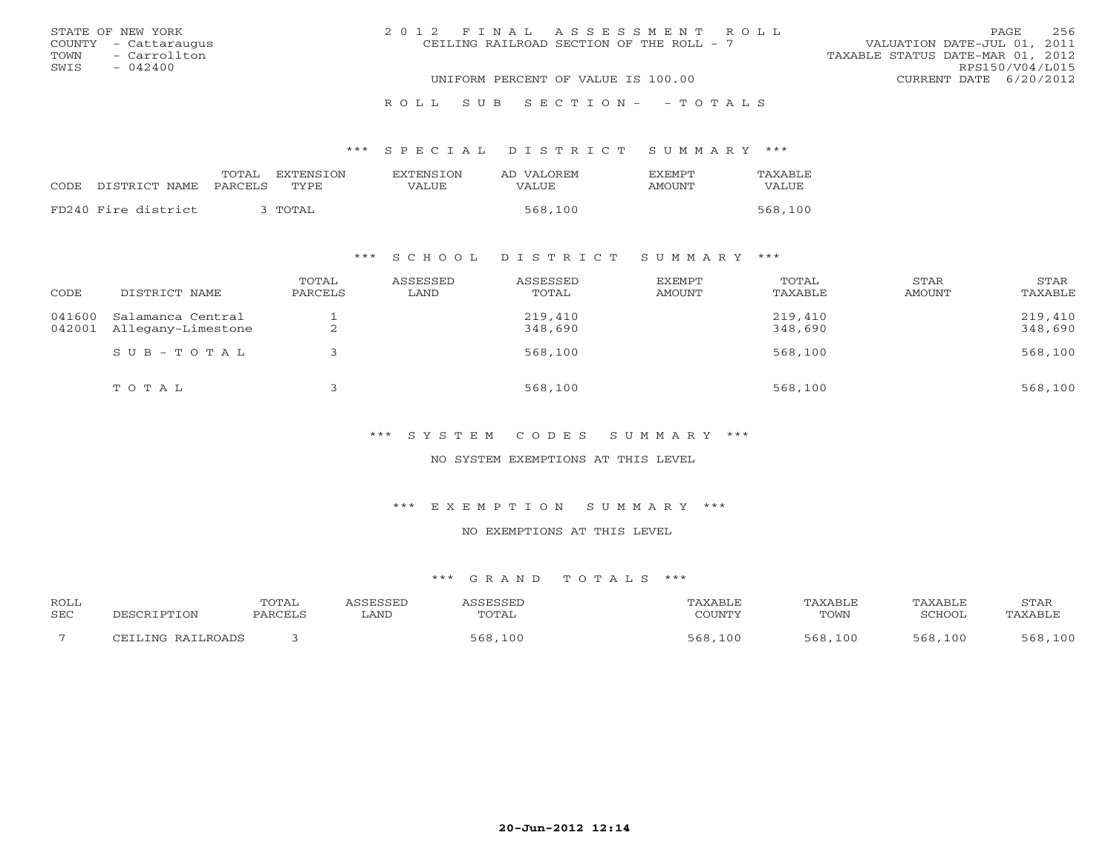| STATE OF NEW YORK    | 2012 FINAL ASSESSMENT ROLL               | 256<br>PAGE                      |
|----------------------|------------------------------------------|----------------------------------|
| COUNTY - Cattaraugus | CEILING RAILROAD SECTION OF THE ROLL - 7 | VALUATION DATE-JUL 01, 2011      |
| TOWN - Carrollton    |                                          | TAXABLE STATUS DATE-MAR 01, 2012 |
| SWIS<br>$-042400$    |                                          | RPS150/V04/L015                  |
|                      | UNIFORM PERCENT OF VALUE IS 100.00       | CURRENT DATE 6/20/2012           |
|                      | ROLL SUB SECTION- - TOTALS               |                                  |

### \*\*\* S P E C I A L D I S T R I C T S U M M A R Y \*\*\*

|      |                     | TOTAL   | EXTENSTON | <b>EXTENSION</b> | AD VALOREM | <b>FXFMPT</b> | TAXABLE |
|------|---------------------|---------|-----------|------------------|------------|---------------|---------|
| CODE | DISTRICT NAME       | PARCELS | TYPE      | <b>VALUE</b>     | VALUE      | AMOUNT        | VALUE   |
|      | FD240 Fire district |         | TOTAL     |                  | 568,100    |               | 568,100 |

### \*\*\* S C H O O L D I S T R I C T S U M M A R Y \*\*\*

| CODE             | DISTRICT NAME                           | TOTAL<br>PARCELS | ASSESSED<br>LAND | ASSESSED<br>TOTAL  | EXEMPT<br><b>AMOUNT</b> | TOTAL<br>TAXABLE   | STAR<br>AMOUNT | STAR<br>TAXABLE    |
|------------------|-----------------------------------------|------------------|------------------|--------------------|-------------------------|--------------------|----------------|--------------------|
| 041600<br>042001 | Salamanca Central<br>Allegany-Limestone | ∠                |                  | 219,410<br>348,690 |                         | 219,410<br>348,690 |                | 219,410<br>348,690 |
|                  | $SUB - TO T AL$                         |                  |                  | 568,100            |                         | 568,100            |                | 568,100            |
|                  | TOTAL                                   |                  |                  | 568,100            |                         | 568,100            |                | 568,100            |

\*\*\* S Y S T E M C O D E S S U M M A R Y \*\*\*

NO SYSTEM EXEMPTIONS AT THIS LEVEL

\*\*\* E X E M P T I O N S U M M A R Y \*\*\*

NO EXEMPTIONS AT THIS LEVEL

| ROLL |                   | <b>TOTAL</b> | ASSESSED | ASSESSED | TAXABLE | TAXABLE | TAXABLE | STAR    |
|------|-------------------|--------------|----------|----------|---------|---------|---------|---------|
| SEC  | DESCRIPTION       | PARCELS      | LAND     | TOTAL    | COUNTY  | TOWN    | SCHOOL  | TAXABLE |
|      | CEILING RAILROADS |              |          | 568,100  | 568,100 | 568,100 | 568,100 | 568,100 |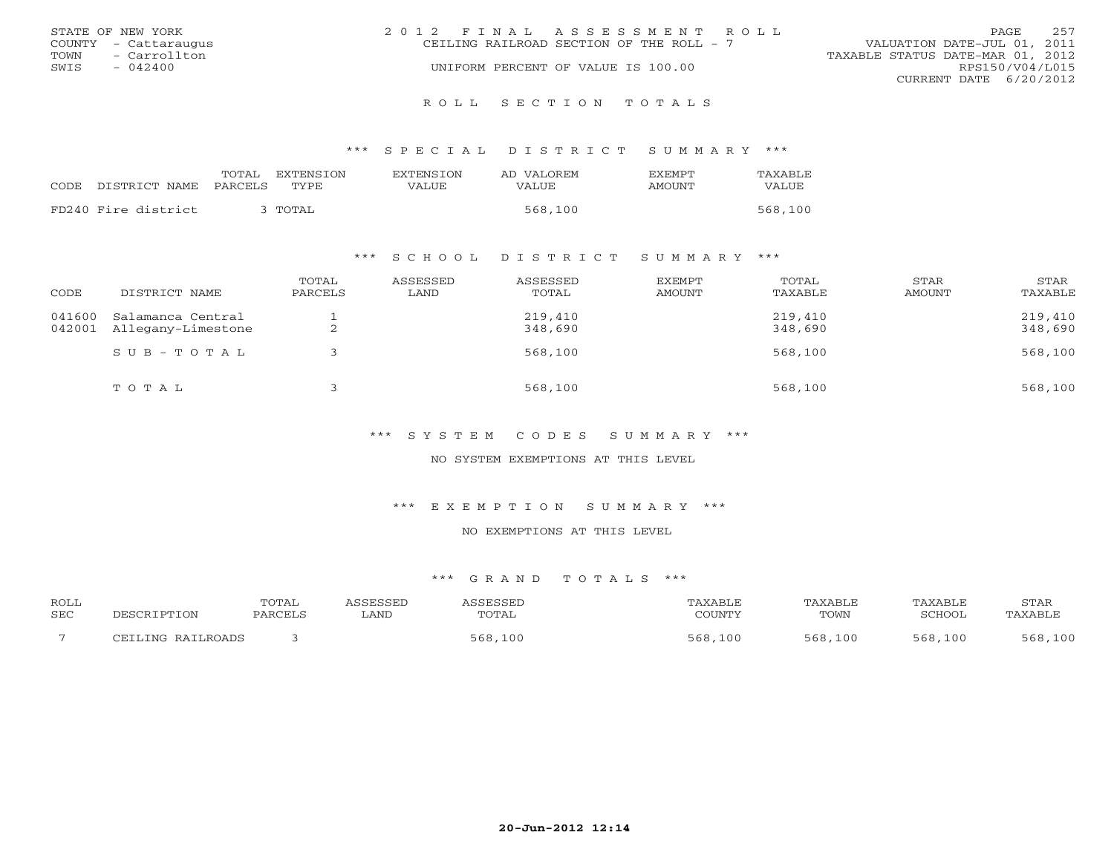|      | STATE OF NEW YORK    | 2012 FINAL ASSESSMENT ROLL               |                                  | PAGE            | 257 |
|------|----------------------|------------------------------------------|----------------------------------|-----------------|-----|
|      | COUNTY - Cattaraugus | CEILING RAILROAD SECTION OF THE ROLL - 7 | VALUATION DATE-JUL 01, 2011      |                 |     |
| TOWN | - Carrollton         |                                          | TAXABLE STATUS DATE-MAR 01, 2012 |                 |     |
| SWIS | $-042400$            | UNIFORM PERCENT OF VALUE IS 100.00       |                                  | RPS150/V04/L015 |     |
|      |                      |                                          | CURRENT DATE $6/20/2012$         |                 |     |
|      |                      |                                          |                                  |                 |     |

R O L L S E C T I O N T O T A L S

\*\*\* S P E C I A L D I S T R I C T S U M M A R Y \*\*\*

|      |                     | TOTAL<br>EXTENSION | <b>EXTENSION</b> | AD VALOREM | <b>EXEMPT</b> | TAXABLE |
|------|---------------------|--------------------|------------------|------------|---------------|---------|
| CODE | DISTRICT NAME       | TYPE.<br>PARCELS   | VALUE            | VALUE      | AMOUNT        | VALUE   |
|      | FD240 Fire district | TOTAL              |                  | 568,100    |               | 568,100 |

## \*\*\* S C H O O L D I S T R I C T S U M M A R Y \*\*\*

| CODE             | DISTRICT NAME                           | TOTAL<br>PARCELS | ASSESSED<br>LAND | ASSESSED<br>TOTAL  | EXEMPT<br>AMOUNT | TOTAL<br>TAXABLE   | STAR<br>AMOUNT | STAR<br>TAXABLE    |
|------------------|-----------------------------------------|------------------|------------------|--------------------|------------------|--------------------|----------------|--------------------|
| 041600<br>042001 | Salamanca Central<br>Allegany-Limestone | ▵                |                  | 219,410<br>348,690 |                  | 219,410<br>348,690 |                | 219,410<br>348,690 |
|                  | $SUB - TO T AL$                         |                  |                  | 568,100            |                  | 568,100            |                | 568,100            |
|                  | TOTAL                                   |                  |                  | 568,100            |                  | 568,100            |                | 568,100            |

\*\*\* S Y S T E M C O D E S S U M M A R Y \*\*\*

NO SYSTEM EXEMPTIONS AT THIS LEVEL

\*\*\* E X E M P T I O N S U M M A R Y \*\*\*

NO EXEMPTIONS AT THIS LEVEL

| <b>ROLL</b> |                     | TOTAL   | SSESSED | SSESSEL |             | TAXABI F    | TAXABLE | <b>STAR</b>  |
|-------------|---------------------|---------|---------|---------|-------------|-------------|---------|--------------|
| <b>SEC</b>  |                     | PARCEL: | LAND    | TOTAL   | CCTNTMIX    | TOWN        | SCHOOT  | TAXABL:      |
|             | RAILROADS<br>. TNIC |         |         | 568,100 | 568,<br>100 | 568.<br>100 | 568,100 | ,100<br>568. |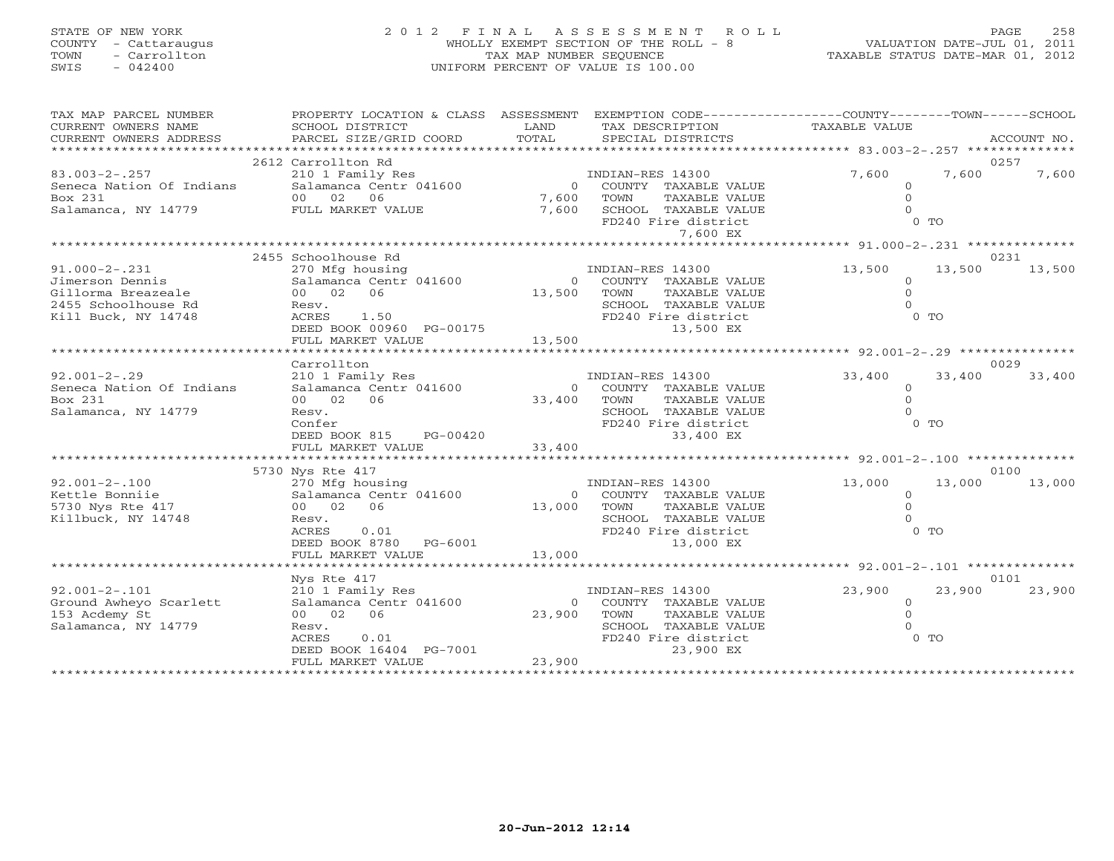# STATE OF NEW YORK 2 0 1 2 F I N A L A S S E S S M E N T R O L L PAGE 258 COUNTY - Cattaraugus WHOLLY EXEMPT SECTION OF THE ROLL - 8 VALUATION DATE-JUL 01, 2011 TOWN - Carrollton TAX MAP NUMBER SEQUENCE TAXABLE STATUS DATE-MAR 01, 2012 SWIS - 042400 UNIFORM PERCENT OF VALUE IS 100.00UNIFORM PERCENT OF VALUE IS 100.00

| TAX MAP PARCEL NUMBER<br>CURRENT OWNERS NAME<br>CURRENT OWNERS ADDRESS | PROPERTY LOCATION & CLASS ASSESSMENT EXEMPTION CODE---------------COUNTY-------TOWN------SCHOOL<br>SCHOOL DISTRICT<br>PARCEL SIZE/GRID COORD | LAND<br>TOTAL  | TAX DESCRIPTION<br>SPECIAL DISTRICTS | TAXABLE VALUE                                         | ACCOUNT NO.    |
|------------------------------------------------------------------------|----------------------------------------------------------------------------------------------------------------------------------------------|----------------|--------------------------------------|-------------------------------------------------------|----------------|
|                                                                        |                                                                                                                                              |                |                                      |                                                       |                |
|                                                                        | 2612 Carrollton Rd                                                                                                                           |                |                                      |                                                       | 0257           |
| $83.003 - 2 - .257$                                                    | 210 1 Family Res                                                                                                                             |                | INDIAN-RES 14300                     | 7,600<br>7,600                                        | 7,600          |
| Seneca Nation Of Indians                                               | Salamanca Centr 041600                                                                                                                       | $\overline{0}$ | COUNTY TAXABLE VALUE                 | $\Omega$                                              |                |
| Box 231                                                                | 00 02 06                                                                                                                                     | 7,600<br>7,600 | TOWN<br>TAXABLE VALUE                | $\Omega$                                              |                |
| Salamanca, NY 14779 FULL MARKET VALUE                                  |                                                                                                                                              |                | SCHOOL TAXABLE VALUE                 | $\Omega$                                              |                |
|                                                                        |                                                                                                                                              |                | FD240 Fire district                  | $0$ TO                                                |                |
|                                                                        |                                                                                                                                              |                | 7,600 EX                             |                                                       |                |
|                                                                        | 2455 Schoolhouse Rd                                                                                                                          |                |                                      | *********************** 91.000-2-.231 *************** |                |
| $91.000 - 2 - .231$                                                    | 270 Mfg housing                                                                                                                              |                | INDIAN-RES 14300                     | 13,500<br>13,500                                      | 0231<br>13,500 |
| Jimerson Dennis                                                        | Salamanca Centr 041600                                                                                                                       |                | 0 COUNTY TAXABLE VALUE               | $\circ$                                               |                |
| Gillorma Breazeale                                                     | 00 02 06                                                                                                                                     | 13,500         | TOWN<br>TAXABLE VALUE                | $\Omega$                                              |                |
| 2455 Schoolhouse Rd                                                    | Resv.                                                                                                                                        |                | SCHOOL TAXABLE VALUE                 | $\Omega$                                              |                |
| Kill Buck, NY 14748                                                    |                                                                                                                                              |                |                                      |                                                       |                |
|                                                                        |                                                                                                                                              |                |                                      |                                                       |                |
|                                                                        |                                                                                                                                              |                |                                      |                                                       |                |
|                                                                        |                                                                                                                                              |                |                                      |                                                       |                |
|                                                                        | Carrollton                                                                                                                                   |                |                                      |                                                       | 0029           |
| $92.001 - 2 - .29$                                                     | 210 1 Family Res                                                                                                                             |                | INDIAN-RES 14300                     | 33,400<br>33,400                                      | 33,400         |
| Seneca Nation Of Indians                                               | Salamanca Centr 041600                                                                                                                       |                | 0 COUNTY TAXABLE VALUE               | $\circ$                                               |                |
| Box 231                                                                | 00 02 06                                                                                                                                     | 33,400         | TAXABLE VALUE<br>TOWN                | $\Omega$                                              |                |
| Salamanca, NY 14779                                                    | Resv.                                                                                                                                        |                | SCHOOL TAXABLE VALUE                 | $\Omega$                                              |                |
|                                                                        | Confer                                                                                                                                       |                | FD240 Fire district                  | $0$ TO                                                |                |
|                                                                        | DEED BOOK 815 PG-00420                                                                                                                       |                | 33,400 EX                            |                                                       |                |
|                                                                        |                                                                                                                                              |                |                                      |                                                       |                |
|                                                                        | 5730 Nys Rte 417                                                                                                                             |                |                                      |                                                       | 0100           |
| $92.001 - 2 - .100$                                                    | 270 Mfg housing                                                                                                                              |                | INDIAN-RES 14300                     | 13,000<br>13,000                                      | 13,000         |
| Kettle Bonniie                                                         | Salamanca Centr 041600                                                                                                                       | $\Omega$       | COUNTY TAXABLE VALUE                 | $\circ$                                               |                |
| 5730 Nys Rte 417                                                       | 00 02 06                                                                                                                                     | 13,000         | TOWN<br>TAXABLE VALUE                | $\Omega$                                              |                |
| Killbuck, NY 14748                                                     | Resv.                                                                                                                                        |                | SCHOOL TAXABLE VALUE                 | $\Omega$                                              |                |
|                                                                        | ACRES<br>0.01                                                                                                                                |                | FD240 Fire district                  | $0$ TO                                                |                |
|                                                                        | DEED BOOK 8780 PG-6001                                                                                                                       |                | 13,000 EX                            |                                                       |                |
|                                                                        | FULL MARKET VALUE                                                                                                                            | 13,000         |                                      |                                                       |                |
|                                                                        |                                                                                                                                              |                |                                      |                                                       |                |
|                                                                        | Nys Rte 417                                                                                                                                  |                |                                      |                                                       | 0101           |
| $92.001 - 2 - 101$                                                     | 210 1 Family Res                                                                                                                             |                | INDIAN-RES 14300                     | 23,900<br>23,900                                      | 23,900         |
| Ground Awheyo Scarlett                                                 | Salamanca Centr 041600                                                                                                                       | $\Omega$       | COUNTY TAXABLE VALUE                 | $\circ$                                               |                |
| 153 Acdemy St                                                          | 00 02 06                                                                                                                                     | 23,900         | TOWN<br>TAXABLE VALUE                | $\Omega$                                              |                |
| Salamanca, NY 14779                                                    | Resv.                                                                                                                                        |                | SCHOOL TAXABLE VALUE                 | $\cap$                                                |                |
|                                                                        | ACRES<br>0.01                                                                                                                                |                | FD240 Fire district<br>23,900 EX     | $0$ TO                                                |                |
|                                                                        | DEED BOOK 16404 PG-7001<br>FULL MARKET VALUE                                                                                                 | 23,900         |                                      |                                                       |                |
|                                                                        |                                                                                                                                              |                |                                      |                                                       |                |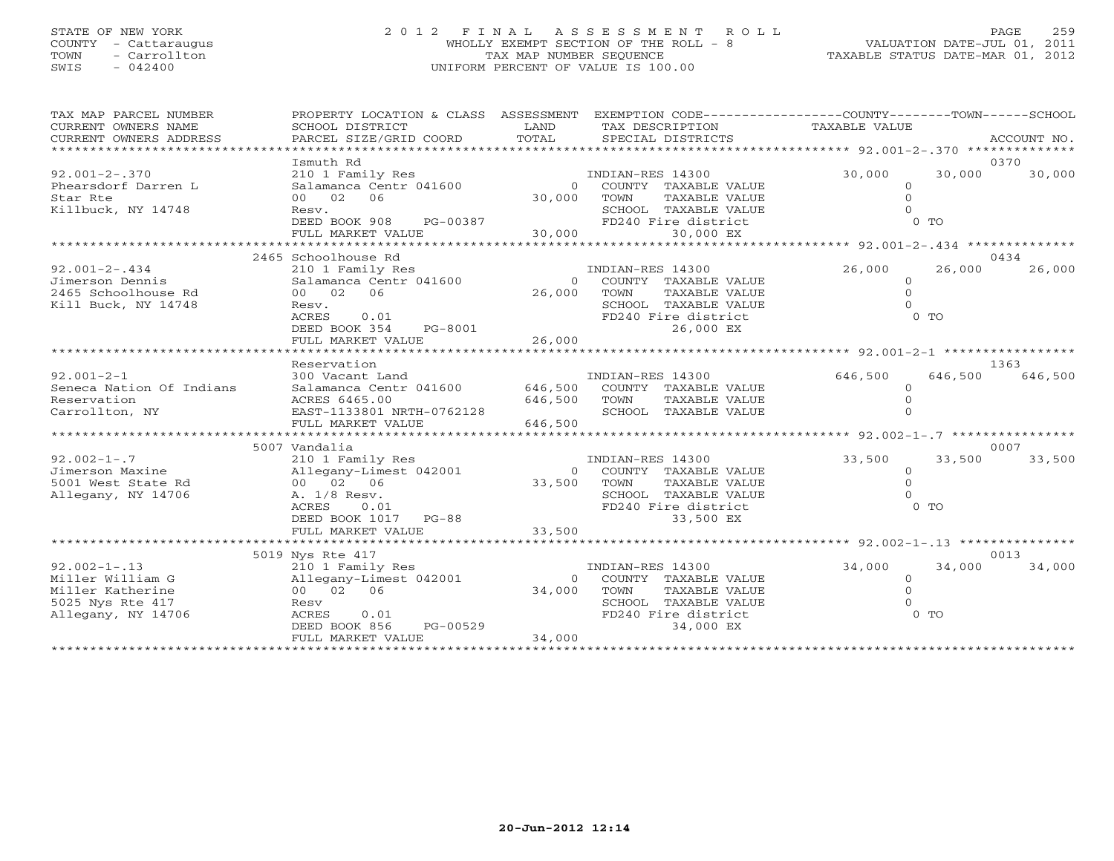# STATE OF NEW YORK 2 0 1 2 F I N A L A S S E S S M E N T R O L L PAGE 259 COUNTY - Cattaraugus WHOLLY EXEMPT SECTION OF THE ROLL - 8 VALUATION DATE-JUL 01, 2011 TOWN - Carrollton TAX MAP NUMBER SEQUENCE TAXABLE STATUS DATE-MAR 01, 2012 SWIS - 042400 UNIFORM PERCENT OF VALUE IS 100.00UNIFORM PERCENT OF VALUE IS 100.00

| TAX MAP PARCEL NUMBER<br>CURRENT OWNERS NAME<br>CURRENT OWNERS ADDRESS<br>**********************     | PROPERTY LOCATION & CLASS ASSESSMENT<br>SCHOOL DISTRICT<br>PARCEL SIZE/GRID COORD                                                                | LAND<br>TOTAL                 | EXEMPTION CODE-----------------COUNTY-------TOWN------SCHOOL<br>TAX DESCRIPTION<br>SPECIAL DISTRICTS                          | TAXABLE VALUE                               |         | ACCOUNT NO.     |
|------------------------------------------------------------------------------------------------------|--------------------------------------------------------------------------------------------------------------------------------------------------|-------------------------------|-------------------------------------------------------------------------------------------------------------------------------|---------------------------------------------|---------|-----------------|
| $92.001 - 2 - .370$<br>Phearsdorf Darren L<br>Star Rte<br>Killbuck, NY 14748                         | Ismuth Rd<br>210 1 Family Res<br>Salamanca Centr 041600<br>00 02<br>06<br>Resv.<br>DEED BOOK 908<br>PG-00387<br>FULL MARKET VALUE                | $\Omega$<br>30,000<br>30,000  | INDIAN-RES 14300<br>COUNTY TAXABLE VALUE<br>TOWN<br>TAXABLE VALUE<br>SCHOOL TAXABLE VALUE<br>FD240 Fire district<br>30,000 EX | 30,000<br>$\circ$<br>$\mathbf{0}$<br>$0$ To | 30,000  | 0370<br>30,000  |
|                                                                                                      | 2465 Schoolhouse Rd                                                                                                                              | ********                      |                                                                                                                               | ****** 92.001-2-.434 ***************        |         | 0434            |
| $92.001 - 2 - .434$<br>Jimerson Dennis<br>2465 Schoolhouse Rd<br>Kill Buck, NY 14748                 | 210 1 Family Res<br>Salamanca Centr 041600<br>00 02<br>06<br>Resv.<br>ACRES<br>0.01<br>DEED BOOK 354<br>PG-8001<br>FULL MARKET VALUE             | $\Omega$<br>26,000<br>26,000  | INDIAN-RES 14300<br>COUNTY TAXABLE VALUE<br>TOWN<br>TAXABLE VALUE<br>SCHOOL TAXABLE VALUE<br>FD240 Fire district<br>26,000 EX | 26,000<br>$\circ$<br>$\mathbf{0}$<br>$0$ TO | 26,000  | 26,000          |
|                                                                                                      |                                                                                                                                                  |                               |                                                                                                                               |                                             |         |                 |
| $92.001 - 2 - 1$<br>Seneca Nation Of Indians<br>Reservation<br>Carrollton, NY                        | Reservation<br>300 Vacant Land<br>Salamanca Centr 041600<br>ACRES 6465.00<br>EAST-1133801 NRTH-0762128<br>FULL MARKET VALUE                      | 646,500<br>646,500<br>646,500 | INDIAN-RES 14300<br>COUNTY TAXABLE VALUE<br>TOWN<br>TAXABLE VALUE<br>SCHOOL TAXABLE VALUE                                     | 646,500<br>$\Omega$                         | 646,500 | 1363<br>646,500 |
|                                                                                                      | 5007 Vandalia                                                                                                                                    |                               |                                                                                                                               | ******* 92.002-1-.7 ************            |         | 0007            |
| $92.002 - 1 - .7$<br>Jimerson Maxine<br>5001 West State Rd<br>Allegany, NY 14706                     | 210 1 Family Res<br>Allegany-Limest 042001<br>00 02 06<br>A. 1/8 Resv.<br><b>ACRES</b><br>0.01<br>DEED BOOK 1017<br>$PG-88$<br>FULL MARKET VALUE | $\Omega$<br>33,500<br>33,500  | INDIAN-RES 14300<br>COUNTY TAXABLE VALUE<br>TOWN<br>TAXABLE VALUE<br>SCHOOL TAXABLE VALUE<br>FD240 Fire district<br>33,500 EX | 33,500<br>$\circ$<br>$\circ$<br>$0$ TO      | 33,500  | 33,500          |
|                                                                                                      | 5019 Nys Rte 417                                                                                                                                 |                               |                                                                                                                               | ********* 92.002-1-.13 **********           |         | 0013            |
| $92.002 - 1 - .13$<br>Miller William G<br>Miller Katherine<br>5025 Nys Rte 417<br>Allegany, NY 14706 | 210 1 Family Res<br>Allegany-Limest 042001<br>00 02<br>06<br>Resv<br>ACRES<br>0.01<br>DEED BOOK 856<br>PG-00529<br>FULL MARKET VALUE             | $\circ$<br>34,000<br>34,000   | INDIAN-RES 14300<br>COUNTY TAXABLE VALUE<br>TOWN<br>TAXABLE VALUE<br>SCHOOL TAXABLE VALUE<br>FD240 Fire district<br>34,000 EX | 34,000<br>$\circ$<br>$\Omega$<br>$0$ TO     | 34,000  | 34,000          |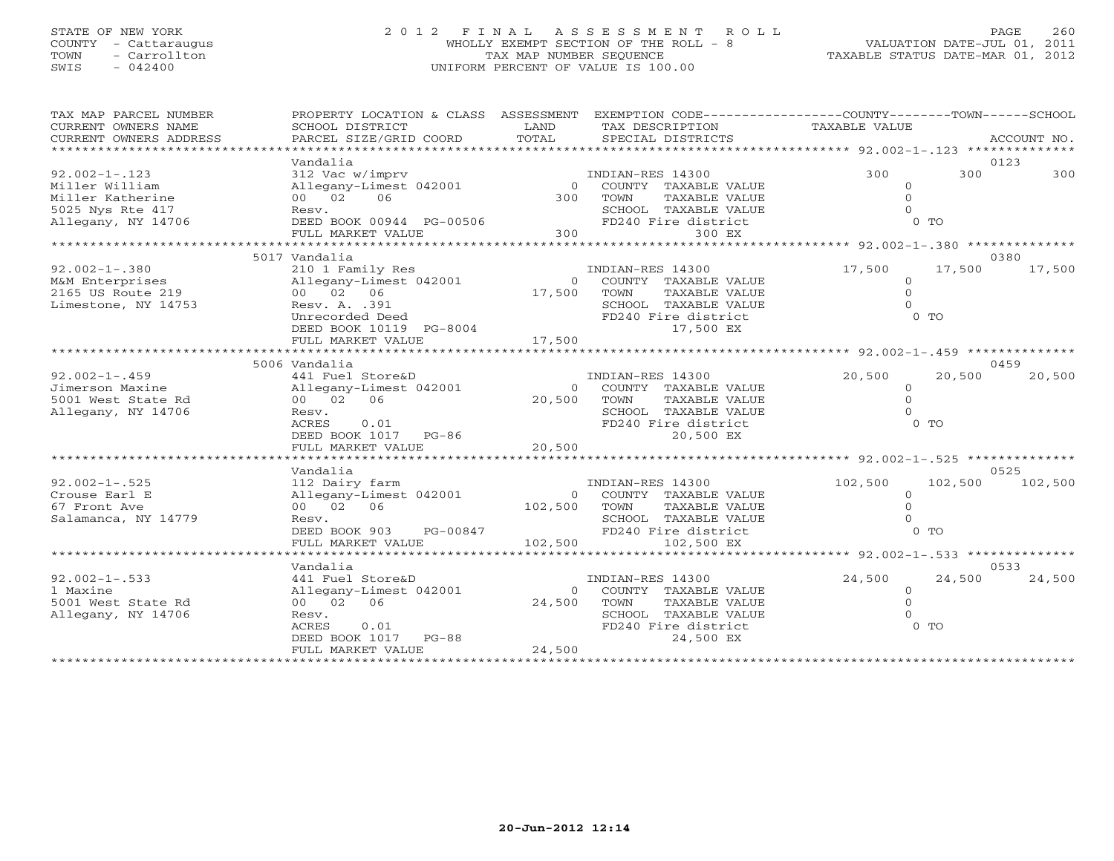# STATE OF NEW YORK 2 0 1 2 F I N A L A S S E S S M E N T R O L L PAGE 260 COUNTY - Cattaraugus WHOLLY EXEMPT SECTION OF THE ROLL - 8 VALUATION DATE-JUL 01, 2011 TOWN - Carrollton TAX MAP NUMBER SEQUENCE TAXABLE STATUS DATE-MAR 01, 2012 SWIS - 042400 UNIFORM PERCENT OF VALUE IS 100.00UNIFORM PERCENT OF VALUE IS 100.00

| TAX MAP PARCEL NUMBER<br>CURRENT OWNERS NAME<br>CURRENT OWNERS ADDRESS | PROPERTY LOCATION & CLASS ASSESSMENT EXEMPTION CODE---------------COUNTY-------TOWN------SCHOOL<br>SCHOOL DISTRICT<br>PARCEL SIZE/GRID COORD                                                                                          | LAND<br>TOTAL | TAX DESCRIPTION TAXABLE VALUE<br>SPECIAL DISTRICTS |                | ACCOUNT NO.      |
|------------------------------------------------------------------------|---------------------------------------------------------------------------------------------------------------------------------------------------------------------------------------------------------------------------------------|---------------|----------------------------------------------------|----------------|------------------|
|                                                                        |                                                                                                                                                                                                                                       |               |                                                    |                |                  |
|                                                                        | Vandalia                                                                                                                                                                                                                              |               |                                                    |                | 0123             |
| $92.002 - 1 - .123$                                                    | $\begin{array}{cccc} \texttt{312 \texttt{Vac w/imprv}} & \texttt{INDIAN-RES 14300} \\ \texttt{Allegany-Limest 042001} & 0 & \texttt{COUNTY TAXABLE VALUE} \\ 00 & 02 & 06 & 300 & \texttt{TOWN} & \texttt{TAXABLE VALUE} \end{array}$ |               |                                                    | 300            | 300<br>300       |
| Miller William                                                         |                                                                                                                                                                                                                                       |               |                                                    | $\Omega$       |                  |
| Miller Katherine                                                       |                                                                                                                                                                                                                                       |               |                                                    | $\Omega$       |                  |
| 5025 Nys Rte 417                                                       | Resv.                                                                                                                                                                                                                                 |               | SCHOOL TAXABLE VALUE                               |                |                  |
| Allegany, NY 14706                                                     | Resv. SCHC<br>DEED BOOK 00944 PG-00506 FD24<br>FULL MARKET VALUE 700506 700                                                                                                                                                           |               | FD240 Fire district                                | $0$ TO         |                  |
|                                                                        |                                                                                                                                                                                                                                       |               | 300 EX                                             |                |                  |
|                                                                        |                                                                                                                                                                                                                                       |               |                                                    |                |                  |
|                                                                        | 5017 Vandalia                                                                                                                                                                                                                         |               |                                                    |                | 0380             |
| $92.002 - 1 - .380$                                                    | 210 1 Family Res                           INDIAN-RES 14300<br>Allegany-Limest 042001                   0   COUNTY TAXABLE VALUE                                                                                                      |               |                                                    | 17,500         | 17,500 17,500    |
| M&M Enterprises                                                        |                                                                                                                                                                                                                                       |               |                                                    | $\Omega$       |                  |
| 2165 US Route 219                                                      | 00 02 06                                                                                                                                                                                                                              | $17,500$ TOWN | TAXABLE VALUE                                      | $\Omega$       |                  |
| Limestone, NY 14753                                                    | Resv. A. .391                                                                                                                                                                                                                         |               | SCHOOL TAXABLE VALUE                               |                |                  |
|                                                                        |                                                                                                                                                                                                                                       |               | FD240 Fire district                                | $0$ TO         |                  |
|                                                                        |                                                                                                                                                                                                                                       |               | 17,500 EX                                          |                |                  |
|                                                                        |                                                                                                                                                                                                                                       |               |                                                    |                |                  |
|                                                                        |                                                                                                                                                                                                                                       |               |                                                    |                |                  |
|                                                                        | 5006 Vandalia                                                                                                                                                                                                                         |               |                                                    |                | 0459             |
| $92.002 - 1 - .459$                                                    |                                                                                                                                                                                                                                       |               | INDIAN-RES 14300                                   | 20,500         | 20,500<br>20,500 |
| Jimerson Maxine                                                        | 441 Fuel Store&D<br>Allegany-Limest 042001<br>00 02 06                                                                                                                                                                                |               | 0 COUNTY TAXABLE VALUE                             | $\circ$        |                  |
| 5001 West State Rd                                                     |                                                                                                                                                                                                                                       | 20,500 TOWN   | TAXABLE VALUE                                      | $\Omega$       |                  |
| Allegany, NY 14706                                                     | Resv.                                                                                                                                                                                                                                 |               | SCHOOL TAXABLE VALUE                               |                |                  |
|                                                                        | 0.01<br>ACRES                                                                                                                                                                                                                         |               | FD240 Fire district                                | $0$ TO         |                  |
|                                                                        | DEED BOOK 1017 PG-86                                                                                                                                                                                                                  |               | 20,500 EX                                          |                |                  |
|                                                                        | FULL MARKET VALUE                                                                                                                                                                                                                     | 20,500        |                                                    |                |                  |
|                                                                        |                                                                                                                                                                                                                                       |               |                                                    |                |                  |
|                                                                        | Vandalia                                                                                                                                                                                                                              |               |                                                    |                | 0525             |
| $92.002 - 1 - .525$                                                    | 112 Dairy farm                                                                                                                                                                                                                        |               | INDIAN-RES 14300                                   | 102,500        | 102,500 102,500  |
| Crouse Earl E                                                          | Allegany-Limest 042001                                                                                                                                                                                                                |               | 0 COUNTY TAXABLE VALUE                             | $\Omega$       |                  |
| 67 Front Ave                                                           | 00 02 06                                                                                                                                                                                                                              |               | 102,500 TOWN TAXABLE VALUE                         |                |                  |
| Salamanca, NY 14779                                                    |                                                                                                                                                                                                                                       |               | SCHOOL TAXABLE VALUE                               |                |                  |
|                                                                        |                                                                                                                                                                                                                                       |               |                                                    |                |                  |
|                                                                        |                                                                                                                                                                                                                                       |               |                                                    |                |                  |
|                                                                        |                                                                                                                                                                                                                                       |               |                                                    |                |                  |
|                                                                        | Vandalia                                                                                                                                                                                                                              |               |                                                    |                | 0533             |
| $92.002 - 1 - .533$                                                    | 441 Fuel Store&D                                                                                                                                                                                                                      |               | INDIAN-RES 14300                                   | 24,500         | 24,500<br>24,500 |
| 1 Maxine                                                               | Allegany-Limest 042001                                                                                                                                                                                                                |               | 0 COUNTY TAXABLE VALUE                             | $\overline{0}$ |                  |
| 5001 West State Rd                                                     | 00 02 06                                                                                                                                                                                                                              | 24,500        | TOWN<br>TAXABLE VALUE                              | $\Omega$       |                  |
| Allegany, NY 14706                                                     | Resv.                                                                                                                                                                                                                                 |               | SCHOOL TAXABLE VALUE                               |                |                  |
|                                                                        | ACRES 0.01<br>DEED BOOK 1017 PG-88                                                                                                                                                                                                    |               | FD240 Fire district                                | $0$ TO         |                  |
|                                                                        |                                                                                                                                                                                                                                       |               | 24,500 EX                                          |                |                  |
|                                                                        | FULL MARKET VALUE                                                                                                                                                                                                                     | 24,500        |                                                    |                |                  |
|                                                                        |                                                                                                                                                                                                                                       |               |                                                    |                |                  |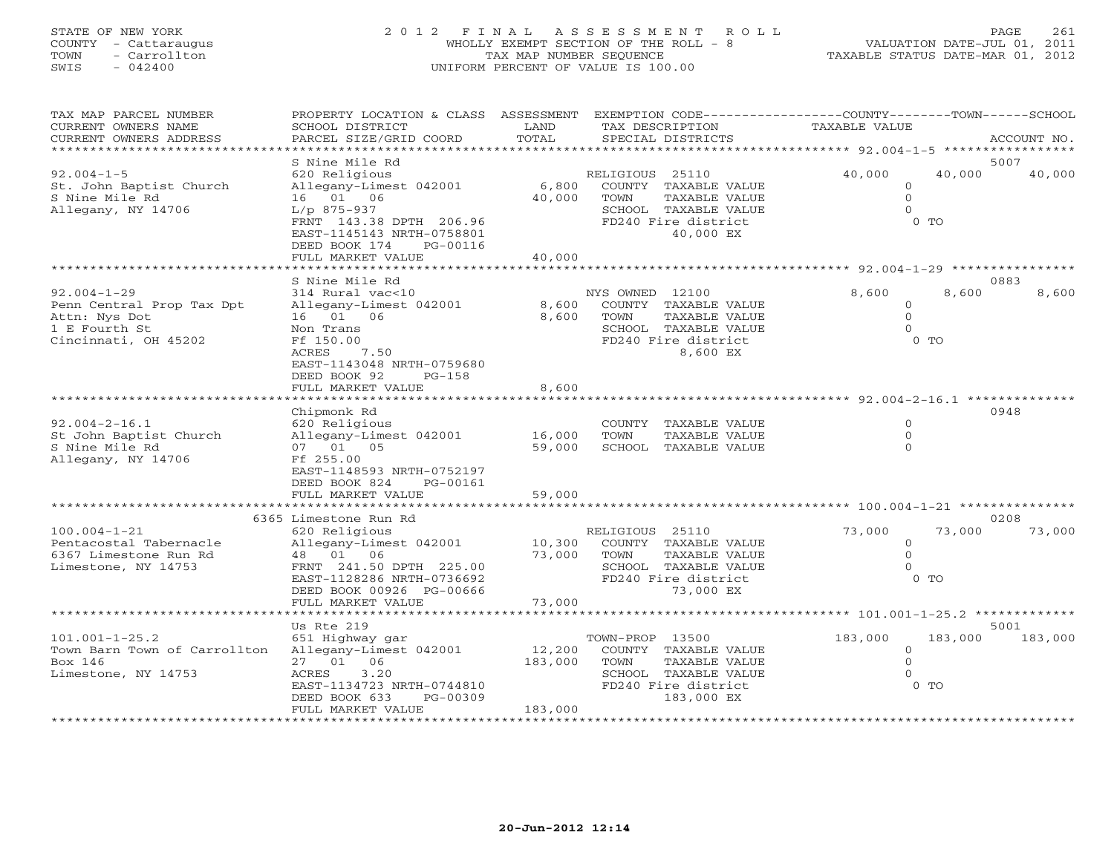# STATE OF NEW YORK 2 0 1 2 F I N A L A S S E S S M E N T R O L L PAGE 261 COUNTY - Cattaraugus WHOLLY EXEMPT SECTION OF THE ROLL - 8 VALUATION DATE-JUL 01, 2011 TOWN - Carrollton TAX MAP NUMBER SEQUENCE TAXABLE STATUS DATE-MAR 01, 2012 SWIS - 042400 UNIFORM PERCENT OF VALUE IS 100.00UNIFORM PERCENT OF VALUE IS 100.00

| TAX MAP PARCEL NUMBER<br>CURRENT OWNERS NAME<br>CURRENT OWNERS ADDRESS                                   | PROPERTY LOCATION & CLASS ASSESSMENT<br>SCHOOL DISTRICT<br>PARCEL SIZE/GRID COORD                                                                                                                  | LAND<br>TOTAL                                      | TAX DESCRIPTION<br>SPECIAL DISTRICTS                                                                                         | EXEMPTION CODE-----------------COUNTY-------TOWN------SCHOOL<br><b>TAXABLE VALUE</b> | ACCOUNT NO.     |
|----------------------------------------------------------------------------------------------------------|----------------------------------------------------------------------------------------------------------------------------------------------------------------------------------------------------|----------------------------------------------------|------------------------------------------------------------------------------------------------------------------------------|--------------------------------------------------------------------------------------|-----------------|
|                                                                                                          |                                                                                                                                                                                                    |                                                    |                                                                                                                              |                                                                                      |                 |
| $92.004 - 1 - 5$<br>St. John Baptist Church<br>S Nine Mile Rd<br>Allegany, NY 14706                      | S Nine Mile Rd<br>620 Religious<br>Allegany-Limest 042001<br>16  01  06<br>$L/p$ 875-937<br>FRNT 143.38 DPTH 206.96<br>EAST-1145143 NRTH-0758801<br>DEED BOOK 174<br>PG-00116<br>FULL MARKET VALUE | 6,800<br>40,000<br>40,000                          | RELIGIOUS 25110<br>COUNTY TAXABLE VALUE<br>TOWN<br>TAXABLE VALUE<br>SCHOOL TAXABLE VALUE<br>FD240 Fire district<br>40,000 EX | 40,000<br>40,000<br>$\mathbf 0$<br>$\mathbf{0}$<br>$\Omega$<br>$0$ TO                | 5007<br>40,000  |
|                                                                                                          |                                                                                                                                                                                                    |                                                    |                                                                                                                              |                                                                                      |                 |
| $92.004 - 1 - 29$<br>Penn Central Prop Tax Dpt<br>Attn: Nys Dot<br>1 E Fourth St<br>Cincinnati, OH 45202 | S Nine Mile Rd<br>314 Rural vac<10<br>Allegany-Limest 042001<br>16  01  06<br>Non Trans<br>Ff 150.00<br>7.50<br>ACRES<br>EAST-1143048 NRTH-0759680<br>DEED BOOK 92<br>$PG-158$                     | 8,600<br>8,600                                     | NYS OWNED 12100<br>COUNTY TAXABLE VALUE<br>TOWN<br>TAXABLE VALUE<br>SCHOOL TAXABLE VALUE<br>FD240 Fire district<br>8,600 EX  | 8,600<br>8,600<br>$\circ$<br>$\Omega$<br>$\Omega$<br>$0$ TO                          | 0883<br>8,600   |
|                                                                                                          | FULL MARKET VALUE                                                                                                                                                                                  | 8,600                                              |                                                                                                                              |                                                                                      |                 |
| $92.004 - 2 - 16.1$<br>St John Baptist Church<br>S Nine Mile Rd<br>Allegany, NY 14706                    | Chipmonk Rd<br>620 Religious<br>Allegany-Limest 042001<br>07 01 05<br>Ff 255.00<br>EAST-1148593 NRTH-0752197<br>DEED BOOK 824<br>PG-00161<br>FULL MARKET VALUE                                     | 16,000<br>59,000<br>59,000                         | COUNTY TAXABLE VALUE<br>TOWN<br>TAXABLE VALUE<br>SCHOOL TAXABLE VALUE                                                        | $\Omega$<br>$\Omega$<br>$\Omega$                                                     | 0948            |
|                                                                                                          |                                                                                                                                                                                                    | * * * * * * * * * * * * *                          |                                                                                                                              |                                                                                      |                 |
| $100.004 - 1 - 21$<br>Pentacostal Tabernacle<br>6367 Limestone Run Rd<br>Limestone, NY 14753             | 6365 Limestone Run Rd<br>620 Religious<br>Allegany-Limest 042001<br>48  01  06<br>FRNT 241.50 DPTH 225.00<br>EAST-1128286 NRTH-0736692<br>DEED BOOK 00926 PG-00666<br>FULL MARKET VALUE            | 10,300<br>73,000<br>73,000                         | RELIGIOUS 25110<br>COUNTY TAXABLE VALUE<br>TOWN<br>TAXABLE VALUE<br>SCHOOL TAXABLE VALUE<br>FD240 Fire district<br>73,000 EX | 73,000<br>73,000<br>$\Omega$<br>$\Omega$<br>$\Omega$<br>$0$ TO                       | 0208<br>73,000  |
|                                                                                                          |                                                                                                                                                                                                    |                                                    |                                                                                                                              | ********** $101.001 - 1 - 25.2$                                                      |                 |
| $101.001 - 1 - 25.2$                                                                                     | Us Rte 219<br>651 Highway gar                                                                                                                                                                      |                                                    | TOWN-PROP 13500                                                                                                              | 183,000<br>183,000                                                                   | 5001<br>183,000 |
| Town Barn Town of Carrollton<br>Box 146<br>Limestone, NY 14753                                           | Allegany-Limest 042001<br>06<br>27 01<br>3.20<br>ACRES<br>EAST-1134723 NRTH-0744810<br>DEED BOOK 633<br>PG-00309<br>FULL MARKET VALUE<br>***************************                               | 12,200<br>183,000<br>183,000<br>****************** | COUNTY TAXABLE VALUE<br>TOWN<br>TAXABLE VALUE<br>SCHOOL TAXABLE VALUE<br>FD240 Fire district<br>183,000 EX                   | $\mathbf 0$<br>$\Omega$<br>$\Omega$<br>$0$ TO                                        |                 |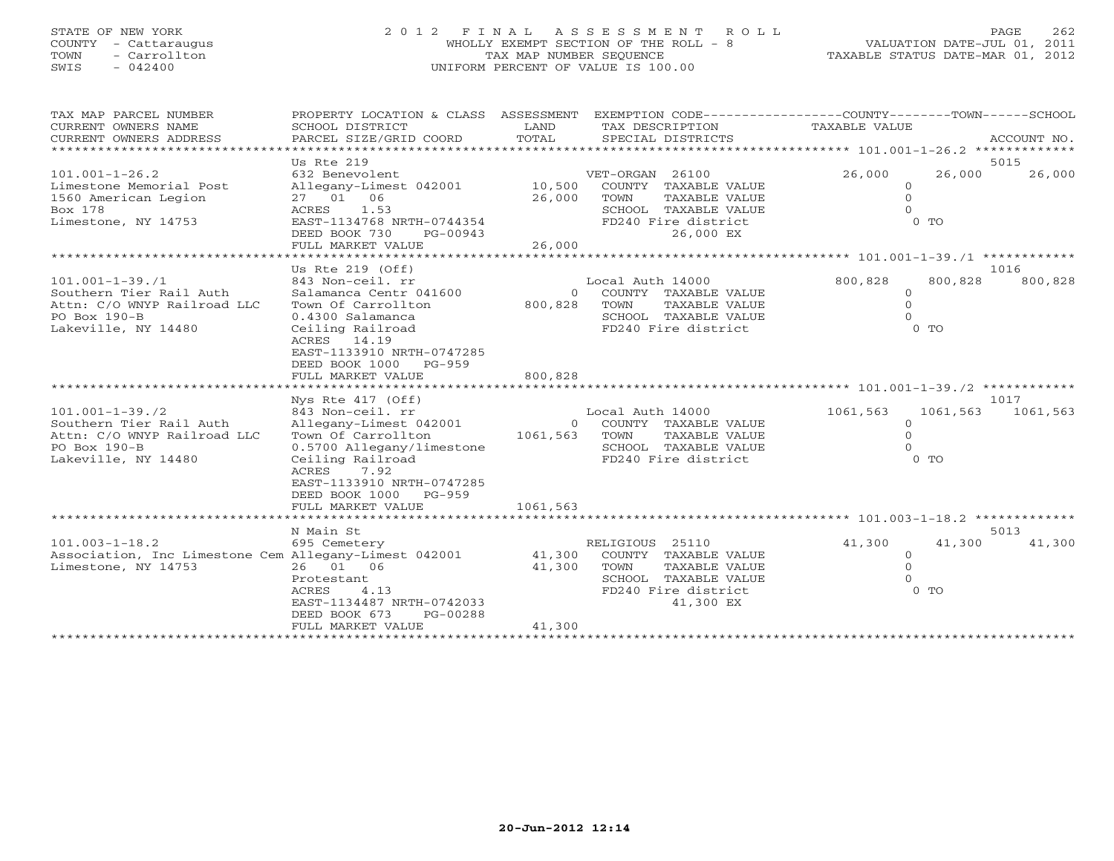# STATE OF NEW YORK 2 0 1 2 F I N A L A S S E S S M E N T R O L L PAGE 262 COUNTY - Cattaraugus WHOLLY EXEMPT SECTION OF THE ROLL - 8 VALUATION DATE-JUL 01, 2011 TOWN - Carrollton TAX MAP NUMBER SEQUENCE TAXABLE STATUS DATE-MAR 01, 2012 SWIS - 042400 UNIFORM PERCENT OF VALUE IS 100.00UNIFORM PERCENT OF VALUE IS 100.00

| TAX MAP PARCEL NUMBER<br>CURRENT OWNERS NAME<br>CURRENT OWNERS ADDRESS                                                 | PROPERTY LOCATION & CLASS ASSESSMENT<br>SCHOOL DISTRICT<br>PARCEL SIZE/GRID COORD                                                                                                                                                                           | LAND<br>TOTAL              | TAX DESCRIPTION<br>SPECIAL DISTRICTS                                                                                                                  | EXEMPTION CODE-----------------COUNTY-------TOWN------SCHOOL<br>TAXABLE VALUE<br>ACCOUNT NO.                                              |
|------------------------------------------------------------------------------------------------------------------------|-------------------------------------------------------------------------------------------------------------------------------------------------------------------------------------------------------------------------------------------------------------|----------------------------|-------------------------------------------------------------------------------------------------------------------------------------------------------|-------------------------------------------------------------------------------------------------------------------------------------------|
| $101.001 - 1 - 26.2$<br>Limestone Memorial Post<br>1560 American Legion<br>Box 178<br>Limestone, NY 14753              | Us Rte 219<br>632 Benevolent<br>Allegany-Limest 042001<br>27 01 06<br>ACRES<br>1.53<br>EAST-1134768 NRTH-0744354<br>DEED BOOK 730<br>PG-00943<br>FULL MARKET VALUE                                                                                          | 10,500<br>26,000<br>26,000 | VET-ORGAN 26100<br>COUNTY TAXABLE VALUE<br>TOWN<br>TAXABLE VALUE<br>SCHOOL TAXABLE VALUE<br>FD240 Fire district<br>26,000 EX                          | 5015<br>26,000<br>26,000<br>26,000<br>$\mathbf{0}$<br>$\circ$<br>$\Omega$<br>$0$ TO                                                       |
| $101.001 - 1 - 39.11$<br>Southern Tier Rail Auth<br>Attn: C/O WNYP Railroad LLC<br>PO Box 190-B<br>Lakeville, NY 14480 | Us Rte $219$ (Off)<br>843 Non-ceil. rr<br>Salamanca Centr 041600<br>Town Of Carrollton<br>0.4300 Salamanca<br>Ceiling Railroad<br>ACRES 14.19<br>EAST-1133910 NRTH-0747285<br>DEED BOOK 1000<br>$PG-959$<br>FULL MARKET VALUE<br>************************** | 800,828<br>800,828         | *********************<br>Local Auth 14000<br>COUNTY TAXABLE VALUE<br>$\Omega$<br>TAXABLE VALUE<br>TOWN<br>SCHOOL TAXABLE VALUE<br>FD240 Fire district | *************** 101.001-1-39./1 ************<br>1016<br>800,828<br>800,828<br>800,828<br>$\mathbf{0}$<br>$\mathbf{0}$<br>$\cap$<br>$0$ TO |
| $101.001 - 1 - 39.72$<br>Southern Tier Rail Auth<br>Attn: C/O WNYP Railroad LLC<br>PO Box 190-B<br>Lakeville, NY 14480 | Nys Rte 417 (Off)<br>843 Non-ceil. rr<br>Allegany-Limest 042001<br>Town Of Carrollton<br>0.5700 Allegany/limestone<br>Ceiling Railroad<br>ACRES<br>7.92<br>EAST-1133910 NRTH-0747285<br>DEED BOOK 1000<br>PG-959<br>FULL MARKET VALUE                       | 1061,563 TOWN<br>1061,563  | Local Auth 14000<br>0 COUNTY TAXABLE VALUE<br>TAXABLE VALUE<br>SCHOOL TAXABLE VALUE<br>FD240 Fire district                                            | 1017<br>1061,563<br>1061,563<br>1061,563<br>$\circ$<br>$\mathbf{O}$<br>$\Omega$<br>$0$ TO                                                 |
| $101.003 - 1 - 18.2$<br>Association, Inc Limestone Cem Allegany-Limest 042001<br>Limestone, NY 14753                   | N Main St<br>695 Cemetery<br>26 01 06<br>Protestant<br>4.13<br>ACRES<br>EAST-1134487 NRTH-0742033<br>DEED BOOK 673<br>PG-00288<br>FULL MARKET VALUE                                                                                                         | 41,300<br>41,300<br>41,300 | RELIGIOUS 25110<br>COUNTY TAXABLE VALUE<br>TOWN<br>TAXABLE VALUE<br>SCHOOL TAXABLE VALUE<br>FD240 Fire district<br>41,300 EX                          | 5013<br>41,300<br>41,300<br>41,300<br>$\circ$<br>$\Omega$<br>$\Omega$<br>$0$ TO                                                           |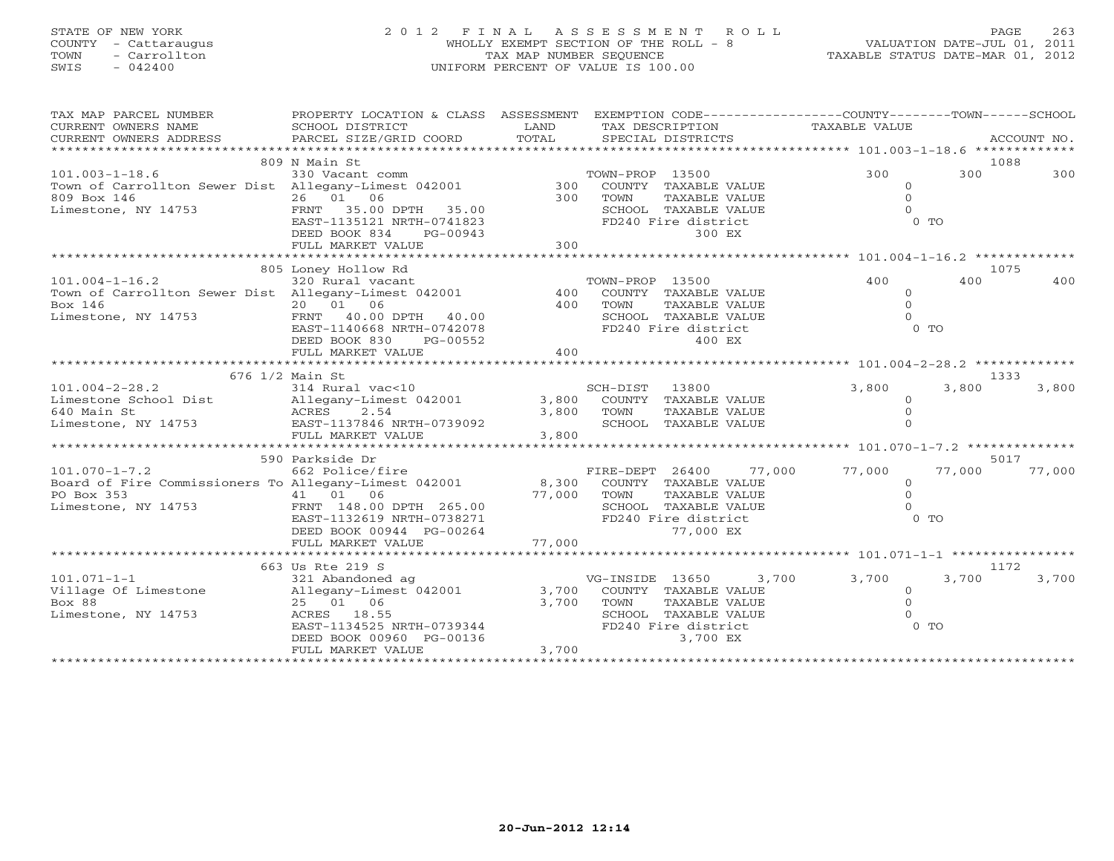# STATE OF NEW YORK 2 0 1 2 F I N A L A S S E S S M E N T R O L L PAGE 263 COUNTY - Cattaraugus WHOLLY EXEMPT SECTION OF THE ROLL - 8 VALUATION DATE-JUL 01, 2011 TOWN - Carrollton TAX MAP NUMBER SEQUENCE TAXABLE STATUS DATE-MAR 01, 2012 SWIS - 042400 UNIFORM PERCENT OF VALUE IS 100.00UNIFORM PERCENT OF VALUE IS 100.00

| TAX MAP PARCEL NUMBER                                                          | PROPERTY LOCATION & CLASS ASSESSMENT |                |                            |                                       | EXEMPTION CODE-----------------COUNTY-------TOWN------SCHOOL |               |                     |             |
|--------------------------------------------------------------------------------|--------------------------------------|----------------|----------------------------|---------------------------------------|--------------------------------------------------------------|---------------|---------------------|-------------|
| CURRENT OWNERS NAME                                                            | SCHOOL DISTRICT                      | LAND           |                            | TAX DESCRIPTION                       |                                                              | TAXABLE VALUE |                     |             |
| CURRENT OWNERS ADDRESS                                                         | PARCEL SIZE/GRID COORD               | TOTAL          |                            | SPECIAL DISTRICTS                     |                                                              |               |                     | ACCOUNT NO. |
|                                                                                |                                      |                |                            |                                       |                                                              |               |                     |             |
|                                                                                | 809 N Main St                        |                |                            |                                       |                                                              |               |                     | 1088        |
| $101.003 - 1 - 18.6$                                                           | 330 Vacant comm                      |                | TOWN-PROP 13500            |                                       |                                                              | 300           | 300                 | 300         |
| Town of Carrollton Sewer Dist Allegany-Limest 042001                           |                                      | 300            |                            | COUNTY TAXABLE VALUE                  |                                                              |               | $\Omega$            |             |
| 809 Box 146                                                                    | 26 01 06                             | 300            | TOWN                       | TAXABLE VALUE                         |                                                              |               | $\Omega$            |             |
| Limestone, NY 14753                                                            | FRNT 35.00 DPTH 35.00                |                |                            | SCHOOL TAXABLE VALUE                  |                                                              |               | $\Omega$            |             |
|                                                                                | EAST-1135121 NRTH-0741823            |                |                            | FD240 Fire district                   |                                                              |               | $0$ TO              |             |
|                                                                                | DEED BOOK 834<br>PG-00943            |                |                            | 300 EX                                |                                                              |               |                     |             |
|                                                                                | FULL MARKET VALUE                    | 300            |                            |                                       |                                                              |               |                     |             |
|                                                                                | 805 Loney Hollow Rd                  |                |                            |                                       |                                                              |               |                     | 1075        |
| $101.004 - 1 - 16.2$                                                           | 320 Rural vacant                     |                | TOWN-PROP 13500            |                                       |                                                              | 400           | 400                 | 400         |
| Town of Carrollton Sewer Dist Allegany-Limest 042001                           |                                      | 400            |                            | COUNTY TAXABLE VALUE                  |                                                              |               | $\circ$             |             |
| Box 146                                                                        | 20 01 06                             | 400            | TOWN                       | TAXABLE VALUE                         |                                                              |               | $\Omega$            |             |
| Limestone, NY 14753                                                            | FRNT 40.00 DPTH 40.00                |                |                            | SCHOOL TAXABLE VALUE                  |                                                              |               | $\Omega$            |             |
|                                                                                | EAST-1140668 NRTH-0742078            |                |                            | FD240 Fire district                   |                                                              |               | $0$ TO              |             |
|                                                                                | PG-00552<br>DEED BOOK 830            |                |                            | 400 EX                                |                                                              |               |                     |             |
|                                                                                | FULL MARKET VALUE                    | 400            |                            |                                       |                                                              |               |                     |             |
|                                                                                |                                      |                |                            |                                       |                                                              |               |                     |             |
|                                                                                | 676 1/2 Main St                      |                |                            |                                       |                                                              |               |                     | 1333        |
| $101.004 - 2 - 28.2$                                                           | 314 Rural vac<10                     |                | SCH-DIST                   | 13800                                 |                                                              | 3,800         | 3,800               | 3,800       |
| Limestone School Dist                                                          | Allegany-Limest 042001               | 3,800          |                            | COUNTY TAXABLE VALUE                  |                                                              |               | $\Omega$            |             |
| 640 Main St                                                                    | 2.54<br>ACRES                        | 3,800          | TOWN                       | TAXABLE VALUE                         |                                                              |               | $\circ$             |             |
| Limestone, NY 14753 EAST-1137846 NRTH-0739092                                  |                                      |                |                            | SCHOOL TAXABLE VALUE                  |                                                              |               | $\Omega$            |             |
|                                                                                | FULL MARKET VALUE                    | 3,800          |                            |                                       |                                                              |               |                     |             |
|                                                                                |                                      |                |                            |                                       |                                                              |               |                     |             |
|                                                                                | 590 Parkside Dr                      |                |                            |                                       |                                                              |               |                     | 5017        |
| $101.070 - 1 - 7.2$                                                            | 662 Police/fire                      |                | FIRE-DEPT 26400            |                                       | 77,000                                                       | 77,000        | 77,000              | 77,000      |
| Board of Fire Commissioners To Allegany-Limest 042001                          |                                      |                | 8,300 COUNTY TAXABLE VALUE |                                       |                                                              |               | $\circ$             |             |
| PO Box 353<br>$\begin{array}{cccc} 41 & 01 & 06 \\ 14753 & 148.00 \end{array}$ |                                      | 77,000         | TOWN                       | TAXABLE VALUE                         |                                                              |               | $\Omega$            |             |
| Limestone, NY 14753                                                            | FRNT 148.00 DPTH 265.00              |                |                            | SCHOOL TAXABLE VALUE                  |                                                              |               | $\cap$              |             |
|                                                                                | EAST-1132619 NRTH-0738271            |                |                            | FD240 Fire district                   |                                                              |               | $0$ TO              |             |
|                                                                                | DEED BOOK 00944 PG-00264             |                |                            | 77,000 EX                             |                                                              |               |                     |             |
|                                                                                | FULL MARKET VALUE                    | 77,000         |                            |                                       |                                                              |               |                     |             |
|                                                                                |                                      |                |                            |                                       |                                                              |               |                     |             |
|                                                                                | 663 Us Rte 219 S                     |                |                            |                                       |                                                              |               |                     | 1172        |
| $101.071 - 1 - 1$                                                              | 321 Abandoned ag                     |                | VG-INSIDE 13650            |                                       | 3,700                                                        | 3,700         | 3,700               | 3,700       |
| Village Of Limestone<br>Box 88                                                 | Allegany-Limest 042001<br>25 01 06   | 3,700<br>3,700 | TOWN                       | COUNTY TAXABLE VALUE<br>TAXABLE VALUE |                                                              |               | $\circ$<br>$\Omega$ |             |
| Limestone, NY 14753                                                            | ACRES 18.55                          |                |                            | SCHOOL TAXABLE VALUE                  |                                                              |               |                     |             |
|                                                                                | EAST-1134525 NRTH-0739344            |                |                            | FD240 Fire district                   |                                                              |               | $0$ TO              |             |
|                                                                                | DEED BOOK 00960 PG-00136             |                |                            | 3,700 EX                              |                                                              |               |                     |             |
|                                                                                | FULL MARKET VALUE                    | 3,700          |                            |                                       |                                                              |               |                     |             |
|                                                                                |                                      |                |                            |                                       |                                                              |               |                     |             |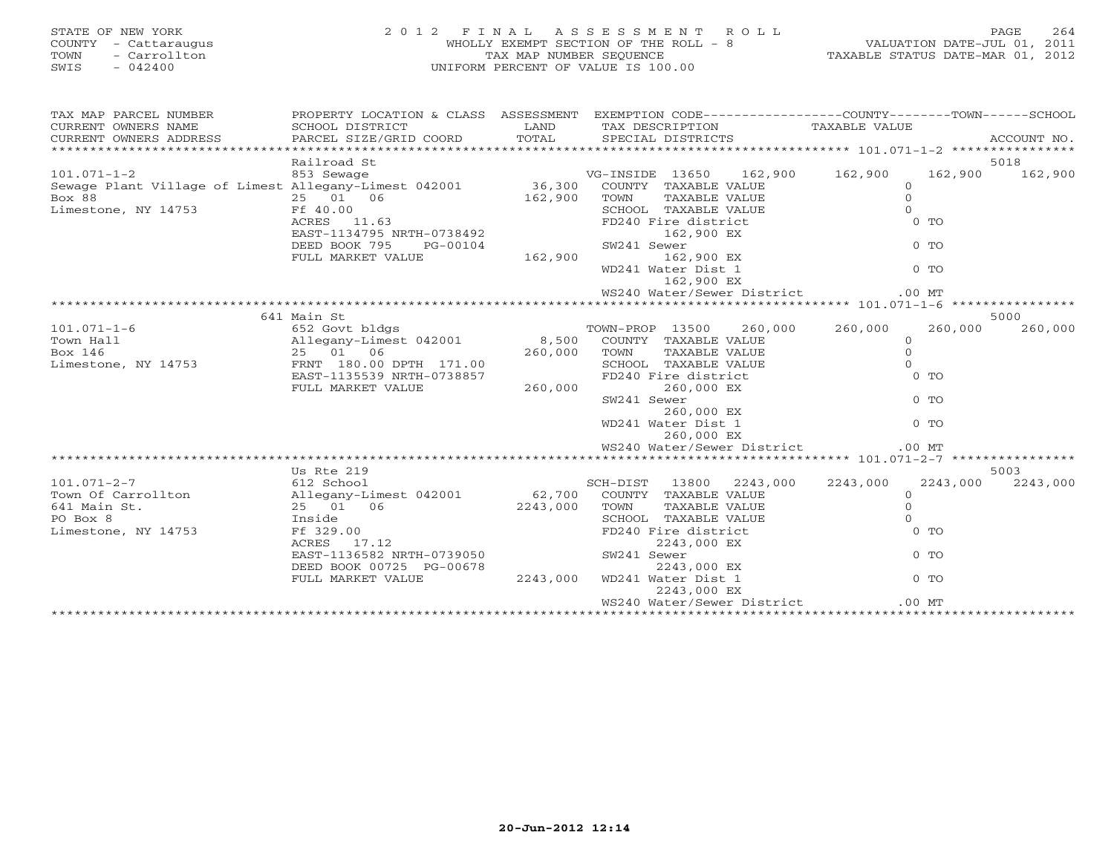| STATE OF NEW YORK<br>COUNTY - Cattaraugus<br>- Carrollton<br>TOWN<br>$-042400$<br>SWIS                                                                                                                                                                                                                                                                                                                                                                                | $\begin{array}{c} 2 & 0 \\ 2 & 0 \end{array}$ |                              | 2012 FINAL ASSESSMENT ROLL<br>WHOLLY EXEMPT SECTION OF THE ROLL - 8<br>TAXABLE STATUS DATE-JUL 01, 2011<br>TAXABLE STATUS DATE-MAR 01, 2012<br>UNIFORM PERCENT OF VALUE IS 100.00 |          |                 |
|-----------------------------------------------------------------------------------------------------------------------------------------------------------------------------------------------------------------------------------------------------------------------------------------------------------------------------------------------------------------------------------------------------------------------------------------------------------------------|-----------------------------------------------|------------------------------|-----------------------------------------------------------------------------------------------------------------------------------------------------------------------------------|----------|-----------------|
| TAX MAP PARCEL NUMBER                                                                                                                                                                                                                                                                                                                                                                                                                                                 |                                               |                              | PROPERTY LOCATION & CLASS ASSESSMENT EXEMPTION CODE---------------COUNTY-------TOWN-----SCHOOL                                                                                    |          |                 |
| $\begin{tabular}{lllllll} \multicolumn{2}{c}{\textbf{CURRENT}} & \multicolumn{2}{c}{\textbf{WMERS}} & \multicolumn{2}{c}{\textbf{NAME}} & \multicolumn{2}{c}{\textbf{SCHOOL}} & \multicolumn{2}{c}{\textbf{ISTRICT}} & \multicolumn{2}{c}{\textbf{LAND}} & \multicolumn{2}{c}{\textbf{TAX} BESCRIPTION} & \multicolumn{2}{c}{\textbf{TAXABLE} & \textbf{VALUE} \\ & & & & & & & \\ \multicolumn{2}{c}{\textbf{CURERNT}} & \multicolumn{2}{c}{\textbf{WMERS}} & \mult$ |                                               |                              |                                                                                                                                                                                   |          |                 |
|                                                                                                                                                                                                                                                                                                                                                                                                                                                                       | Railroad St                                   |                              |                                                                                                                                                                                   |          | 5018            |
| Railroad St<br>Sewage Plant Village of Limest Allegany-Limest 042001<br>Box 88<br>Limestone, NY 14753<br>Example 13650 US-INSIDE 13650 162,<br>Example 25 01 06<br>Example 25 11.63<br>Example 240 Fire district<br>EXABLE VALUE<br>EXAMPLE VALU                                                                                                                                                                                                                      |                                               |                              | VG-INSIDE 13650 162,900 162,900                                                                                                                                                   |          | 162,900 162,900 |
|                                                                                                                                                                                                                                                                                                                                                                                                                                                                       |                                               |                              | COUNTY TAXABLE VALUE 0<br>TOWN TAXABLE VALUE 0<br>SCHOOL TAXABLE VALUE 0<br>FD240 Fire district 0 TO                                                                              |          |                 |
|                                                                                                                                                                                                                                                                                                                                                                                                                                                                       |                                               |                              |                                                                                                                                                                                   |          |                 |
|                                                                                                                                                                                                                                                                                                                                                                                                                                                                       |                                               |                              |                                                                                                                                                                                   |          |                 |
|                                                                                                                                                                                                                                                                                                                                                                                                                                                                       |                                               |                              |                                                                                                                                                                                   |          |                 |
|                                                                                                                                                                                                                                                                                                                                                                                                                                                                       | DEED BOOK 795<br>PG-00104                     | $0738492$<br>3-00104 SW241 S | SW241 Sewer                                                                                                                                                                       | $0$ TO   |                 |
|                                                                                                                                                                                                                                                                                                                                                                                                                                                                       | FULL MARKET VALUE                             |                              | 162,900 EX                                                                                                                                                                        |          |                 |
|                                                                                                                                                                                                                                                                                                                                                                                                                                                                       |                                               |                              | WD241 Water Dist 1                                                                                                                                                                | $0$ TO   |                 |
|                                                                                                                                                                                                                                                                                                                                                                                                                                                                       |                                               |                              | 162,900 EX                                                                                                                                                                        |          |                 |
|                                                                                                                                                                                                                                                                                                                                                                                                                                                                       |                                               |                              | WS240 Water/Sewer District                                                                                                                                                        | $.00$ MT |                 |
|                                                                                                                                                                                                                                                                                                                                                                                                                                                                       |                                               |                              |                                                                                                                                                                                   |          |                 |
|                                                                                                                                                                                                                                                                                                                                                                                                                                                                       |                                               |                              |                                                                                                                                                                                   |          | 5000            |
| $\begin{array}{lcccc} \text{101.071--1-6} & & \text{641 Main St} & & \text{TOWN-PROP} & 13500 & 260,000 & 260,000 & 260,000 & 260,000 & 260,000 & 260,000 & 260,000 & 260,000 & 260,000 & 260,000 & 260,000 & 260,000 & 260,000 & 260,000 & 260,000 & 260,000 & 260,000 & 260,000 & 260,$                                                                                                                                                                             |                                               |                              |                                                                                                                                                                                   | 260,000  | 260,000         |
|                                                                                                                                                                                                                                                                                                                                                                                                                                                                       |                                               |                              |                                                                                                                                                                                   |          |                 |
|                                                                                                                                                                                                                                                                                                                                                                                                                                                                       |                                               |                              |                                                                                                                                                                                   |          |                 |
|                                                                                                                                                                                                                                                                                                                                                                                                                                                                       |                                               |                              |                                                                                                                                                                                   |          |                 |
|                                                                                                                                                                                                                                                                                                                                                                                                                                                                       | FULL MARKET VALUE                             | 260,000                      | 260,000 EX                                                                                                                                                                        |          |                 |
|                                                                                                                                                                                                                                                                                                                                                                                                                                                                       |                                               |                              | SW241 Sewer                                                                                                                                                                       | $0$ TO   |                 |
|                                                                                                                                                                                                                                                                                                                                                                                                                                                                       |                                               |                              | 260,000 EX                                                                                                                                                                        |          |                 |
|                                                                                                                                                                                                                                                                                                                                                                                                                                                                       |                                               |                              | WD241 Water Dist 1                                                                                                                                                                | $0$ TO   |                 |
|                                                                                                                                                                                                                                                                                                                                                                                                                                                                       |                                               |                              | 260,000 EX                                                                                                                                                                        |          |                 |
|                                                                                                                                                                                                                                                                                                                                                                                                                                                                       |                                               |                              | WS240 Water/Sewer District                                                                                                                                                        | $.00$ MT |                 |
|                                                                                                                                                                                                                                                                                                                                                                                                                                                                       |                                               |                              |                                                                                                                                                                                   |          | 5003            |
|                                                                                                                                                                                                                                                                                                                                                                                                                                                                       |                                               |                              |                                                                                                                                                                                   | 2243,000 | 2243,000        |
|                                                                                                                                                                                                                                                                                                                                                                                                                                                                       |                                               |                              |                                                                                                                                                                                   |          |                 |
|                                                                                                                                                                                                                                                                                                                                                                                                                                                                       |                                               |                              |                                                                                                                                                                                   |          |                 |
|                                                                                                                                                                                                                                                                                                                                                                                                                                                                       |                                               |                              |                                                                                                                                                                                   |          |                 |
|                                                                                                                                                                                                                                                                                                                                                                                                                                                                       |                                               |                              |                                                                                                                                                                                   |          |                 |
|                                                                                                                                                                                                                                                                                                                                                                                                                                                                       |                                               |                              |                                                                                                                                                                                   |          |                 |
|                                                                                                                                                                                                                                                                                                                                                                                                                                                                       |                                               |                              |                                                                                                                                                                                   |          |                 |
|                                                                                                                                                                                                                                                                                                                                                                                                                                                                       |                                               |                              |                                                                                                                                                                                   |          |                 |
|                                                                                                                                                                                                                                                                                                                                                                                                                                                                       |                                               |                              |                                                                                                                                                                                   |          |                 |
|                                                                                                                                                                                                                                                                                                                                                                                                                                                                       |                                               |                              | WS240 Water/Sewer District                                                                                                                                                        | $.00$ MT |                 |
|                                                                                                                                                                                                                                                                                                                                                                                                                                                                       |                                               |                              |                                                                                                                                                                                   |          |                 |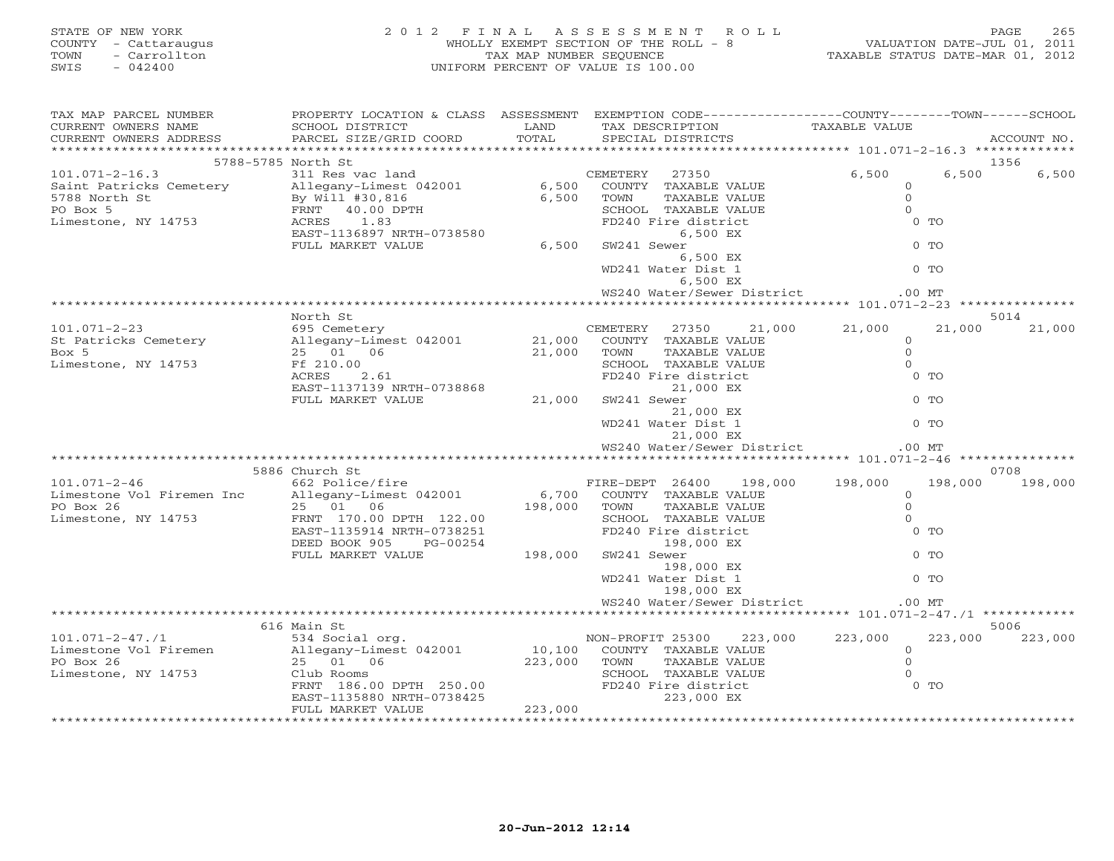| COUNTY - Cattaraugus<br>TOWN<br>- Carrollton<br>SWIS<br>$-042400$      |                                                                                                                                                                                                                                                         | WHOLLY EXEMPT SECTION OF THE ROLL - 8 VALUATION DATE-JUL 01, 2011<br>TAX MAP NUMBER SEQUENCE TAXABLE STATUS DATE-MAR 01, 2012<br>UNIFORM PERCENT OF VALUE IS 100.00 |                                                                                                                                                                                                                                                                                                                                                                                                                                              |                                                                                 |                         |
|------------------------------------------------------------------------|---------------------------------------------------------------------------------------------------------------------------------------------------------------------------------------------------------------------------------------------------------|---------------------------------------------------------------------------------------------------------------------------------------------------------------------|----------------------------------------------------------------------------------------------------------------------------------------------------------------------------------------------------------------------------------------------------------------------------------------------------------------------------------------------------------------------------------------------------------------------------------------------|---------------------------------------------------------------------------------|-------------------------|
| TAX MAP PARCEL NUMBER<br>CURRENT OWNERS NAME<br>CURRENT OWNERS ADDRESS | PROPERTY LOCATION & CLASS ASSESSMENT EXEMPTION CODE------------------COUNTY--------TOWN------SCHOOL<br>SCHOOL DISTRICT                                                                                                                                  |                                                                                                                                                                     |                                                                                                                                                                                                                                                                                                                                                                                                                                              |                                                                                 | ACCOUNT NO.             |
|                                                                        |                                                                                                                                                                                                                                                         |                                                                                                                                                                     |                                                                                                                                                                                                                                                                                                                                                                                                                                              |                                                                                 |                         |
|                                                                        | 5788-5785 North St                                                                                                                                                                                                                                      |                                                                                                                                                                     |                                                                                                                                                                                                                                                                                                                                                                                                                                              |                                                                                 | 1356                    |
|                                                                        | 37350 5788-5788 North St<br>311 Res vac land<br>Saint Patricks Cemetery 27350 6,500<br>5788 North St<br>By Will #30,816 6,500 COUNTY TAXABLE VALUE<br>PO Box 5 FRNT 40.00 DPTH<br>Limestone, NY 14753 ACRES 1.83<br>FULL MARKET VALUE 6,500             |                                                                                                                                                                     |                                                                                                                                                                                                                                                                                                                                                                                                                                              | 6,500<br>$\overline{O}$<br>$\overline{0}$<br>$\overline{0}$<br>$0$ TO<br>$0$ TO | 6,500                   |
|                                                                        |                                                                                                                                                                                                                                                         |                                                                                                                                                                     | $6,500$ EX<br>WD241 Water Dist 1 0 TO<br>$6,500$ EX<br>6,500 EX<br>WS240 Water/Sewer District .00 MT                                                                                                                                                                                                                                                                                                                                         |                                                                                 |                         |
|                                                                        |                                                                                                                                                                                                                                                         |                                                                                                                                                                     |                                                                                                                                                                                                                                                                                                                                                                                                                                              |                                                                                 |                         |
|                                                                        | North St                                                                                                                                                                                                                                                |                                                                                                                                                                     |                                                                                                                                                                                                                                                                                                                                                                                                                                              | 21,000                                                                          | 5014<br>21,000          |
|                                                                        | 101.071-2-23<br>505 CEMETERY 27350 21,000 21,000<br>50 CEMETERY 27350 21,000 21,000 21,000<br>50x 5<br>50x 5<br>501 06 21,000 TOWN TAXABLE VALUE 0<br>50x 5<br>51 06 21,000 TOWN TAXABLE VALUE 0<br>5000L TAXABLE VALUE 0<br>5000L TAXABLE VALUE        |                                                                                                                                                                     |                                                                                                                                                                                                                                                                                                                                                                                                                                              | $\begin{array}{c} 0 \\ 0 \\ 0 \\ 0 \end{array}$<br>0 <sub>T</sub>               |                         |
|                                                                        |                                                                                                                                                                                                                                                         |                                                                                                                                                                     | Allegany-<br>25 01 06<br>Ff 210.00<br>RCRES 2.61<br>EAST-1137139 NRTH-0738868<br>FULL MARKET VALUE<br>21,000 EX<br>21,000 EX<br>WD241 Water Dist 1<br>21,000 EX<br>21,000 EX<br>21,000 EX<br>21,000 EX<br>21,000 EX<br>21,000 EX<br>21,000 EX<br>21,000 EX<br>21<br>WS240 Water/Sewer District .00 MT                                                                                                                                        | $0$ TO<br>$0$ TO                                                                |                         |
|                                                                        |                                                                                                                                                                                                                                                         |                                                                                                                                                                     |                                                                                                                                                                                                                                                                                                                                                                                                                                              |                                                                                 |                         |
|                                                                        |                                                                                                                                                                                                                                                         |                                                                                                                                                                     |                                                                                                                                                                                                                                                                                                                                                                                                                                              |                                                                                 |                         |
|                                                                        |                                                                                                                                                                                                                                                         |                                                                                                                                                                     |                                                                                                                                                                                                                                                                                                                                                                                                                                              |                                                                                 |                         |
|                                                                        |                                                                                                                                                                                                                                                         |                                                                                                                                                                     | 198,000 EX<br>ater Dist 1<br>198,000 EX<br>ther/Sources -<br>WD241 Water Dist 1                                                                                                                                                                                                                                                                                                                                                              | $0$ TO                                                                          |                         |
|                                                                        |                                                                                                                                                                                                                                                         |                                                                                                                                                                     | WS240 Water/Sewer District .00 MT                                                                                                                                                                                                                                                                                                                                                                                                            |                                                                                 |                         |
|                                                                        |                                                                                                                                                                                                                                                         |                                                                                                                                                                     |                                                                                                                                                                                                                                                                                                                                                                                                                                              |                                                                                 |                         |
|                                                                        | 616 Main St<br>101.071-2-47./1<br>101.071-2-47./1<br>Limestone Vol Firemen 534 Social org.<br>223,000 223,000 223,000 223,000 223,000 223,000 Allegany-Limest 042001 10,100 COUNTY TAXABLE VALUE 0<br>223,000 TOWN TAXABLE VALUE 0<br>223,000 TOWN TAXA |                                                                                                                                                                     | $\begin{tabular}{lcccc} \multicolumn{2}{c}{\begin{tabular}{l} \multicolumn{2}{c}{\text{c1ub Room}}\\ \multicolumn{2}{c}{\begin{tabular}{c}{\begin{tabular}{l} \multicolumn{2}{c}{\text{c1ub Room}}\\ \multicolumn{2}{c}{\text{C1ub Room}}\\ \multicolumn{2}{c}{\text{FRNT}} & 186.00 DPTH & 250.00}\\ \multicolumn{2}{c}{\text{FRNT}} & 13580 NRTH-0738425\\ \multicolumn{2}{c}{\text{FST}} & 0738425\\ \multicolumn{2}{c}{\text{FST}} & 07$ | $0$ TO                                                                          | 5006<br>223,000 223,000 |
|                                                                        | FULL MARKET VALUE                                                                                                                                                                                                                                       | 223,000                                                                                                                                                             |                                                                                                                                                                                                                                                                                                                                                                                                                                              |                                                                                 |                         |

STATE OF NEW YORK 265 2002 FINAL ASSESSMENT ROLL PAGE 265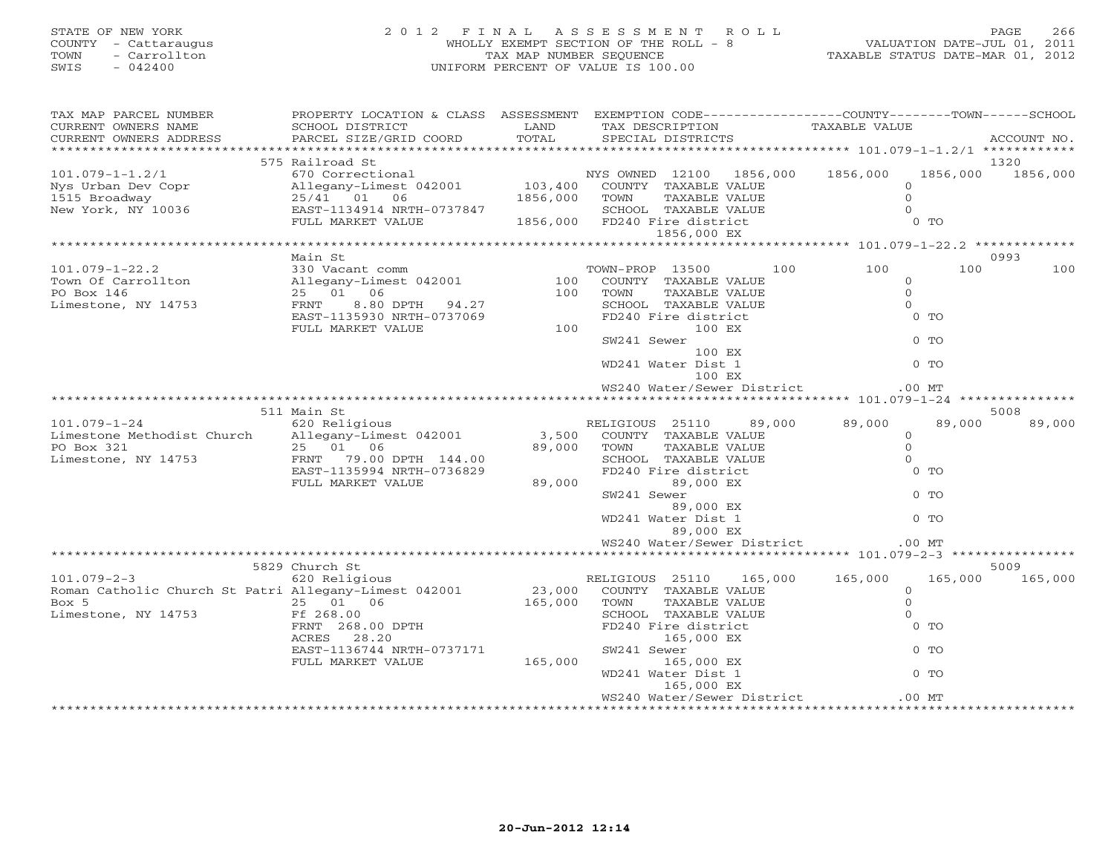# STATE OF NEW YORK 2 0 1 2 F I N A L A S S E S S M E N T R O L L PAGE 266 COUNTY - Cattaraugus WHOLLY EXEMPT SECTION OF THE ROLL - 8 VALUATION DATE-JUL 01, 2011 TOWN - Carrollton TAX MAP NUMBER SEQUENCE TAXABLE STATUS DATE-MAR 01, 2012 SWIS - 042400 UNIFORM PERCENT OF VALUE IS 100.00UNIFORM PERCENT OF VALUE IS 100.00

| TAX MAP PARCEL NUMBER                                 | PROPERTY LOCATION & CLASS ASSESSMENT EXEMPTION CODE----------------COUNTY-------TOWN------SCHOOL          |                                                                                                            |                 |                                             |     |                                 |                                  |          |
|-------------------------------------------------------|-----------------------------------------------------------------------------------------------------------|------------------------------------------------------------------------------------------------------------|-----------------|---------------------------------------------|-----|---------------------------------|----------------------------------|----------|
| CURRENT OWNERS NAME                                   | SCHOOL DISTRICT                                                                                           | LAND                                                                                                       |                 | TAX DESCRIPTION                             |     | TAXABLE VALUE                   |                                  |          |
| CURRENT OWNERS ADDRESS                                |                                                                                                           |                                                                                                            |                 |                                             |     |                                 |                                  |          |
| *************************                             |                                                                                                           |                                                                                                            |                 |                                             |     |                                 |                                  |          |
|                                                       | 575 Railroad St                                                                                           |                                                                                                            |                 |                                             |     |                                 |                                  | 1320     |
| $101.079 - 1 - 1.2/1$                                 | 670 Correctional MYS OWNED 12100 1856,000 1856,000<br>Allegany-Limest 042001 103,400 COUNTY TAXABLE VALUE |                                                                                                            |                 |                                             |     |                                 | 1856,000                         | 1856,000 |
| Nys Urban Dev Copr                                    | 670 Correctional<br>Allegany-Limest 042001 103,40<br>25/41 01 06 1856,00<br>EAST-1134914 NRTH-0737847     |                                                                                                            |                 |                                             |     |                                 | $\Omega$                         |          |
| 1515 Broadway<br>New York, NY 10036                   |                                                                                                           |                                                                                                            |                 |                                             |     |                                 | $\circ$                          |          |
|                                                       |                                                                                                           |                                                                                                            |                 |                                             |     |                                 | $\Omega$                         |          |
|                                                       | FULL MARKET VALUE                                                                                         | 1856,000 TOWN TAXABLE VALUE<br>CHOOL TAXABLE VALUE<br>1856,000 FD240 Fire district<br>1856,000 TRS6,000 FY |                 |                                             |     |                                 | 0 TO                             |          |
|                                                       |                                                                                                           |                                                                                                            |                 | 1856,000 EX                                 |     |                                 |                                  |          |
|                                                       | Main St                                                                                                   |                                                                                                            |                 |                                             |     |                                 |                                  | 0993     |
|                                                       |                                                                                                           |                                                                                                            | TOWN-PROP 13500 |                                             | 100 | 100                             | 100                              | 100      |
|                                                       |                                                                                                           |                                                                                                            |                 | COUNTY TAXABLE VALUE                        |     |                                 | $\Omega$                         |          |
|                                                       |                                                                                                           |                                                                                                            | TOWN            | TAXABLE VALUE                               |     |                                 | $\overline{0}$                   |          |
|                                                       |                                                                                                           |                                                                                                            |                 | SCHOOL TAXABLE VALUE                        |     |                                 | $\Omega$                         |          |
|                                                       |                                                                                                           |                                                                                                            |                 | FD240 Fire district                         |     |                                 | $0$ TO                           |          |
|                                                       |                                                                                                           |                                                                                                            |                 | 100 EX                                      |     |                                 |                                  |          |
|                                                       |                                                                                                           |                                                                                                            | SW241 Sewer     |                                             |     |                                 | $0$ TO                           |          |
|                                                       |                                                                                                           |                                                                                                            |                 | 100 EX                                      |     |                                 |                                  |          |
|                                                       |                                                                                                           |                                                                                                            |                 | WD241 Water Dist 1                          |     |                                 | $0$ TO                           |          |
|                                                       |                                                                                                           |                                                                                                            |                 |                                             |     |                                 |                                  |          |
|                                                       |                                                                                                           |                                                                                                            |                 |                                             |     |                                 |                                  |          |
|                                                       |                                                                                                           |                                                                                                            |                 |                                             |     |                                 |                                  |          |
|                                                       | 511 Main St                                                                                               |                                                                                                            |                 |                                             |     |                                 |                                  | 5008     |
|                                                       |                                                                                                           |                                                                                                            |                 |                                             |     |                                 |                                  |          |
|                                                       |                                                                                                           |                                                                                                            |                 |                                             |     |                                 |                                  |          |
| $101.079 - 1 - 24$                                    | 620 Religious                                                                                             |                                                                                                            |                 |                                             |     | RELIGIOUS 25110 89,000 89,000   | 89,000                           | 89,000   |
| Limestone Methodist Church                            | Allegany-Limest 042001 3,500 COUNTY TAXABLE VALUE                                                         |                                                                                                            |                 |                                             |     |                                 | $\overline{0}$<br>$\overline{0}$ |          |
|                                                       | 25 01 06                                                                                                  |                                                                                                            | 89,000 TOWN     | TAXABLE VALUE                               |     |                                 | $\Omega$                         |          |
| PO Box 321<br>Limestone, NY 14753                     | FRNT 79.00 DPTH 144.00<br>EAST-1135994 NRTH-0736829                                                       |                                                                                                            |                 | SCHOOL TAXABLE VALUE<br>FD240 Fire district |     |                                 | $0$ TO                           |          |
|                                                       | FULL MARKET VALUE                                                                                         | 89,000                                                                                                     |                 | 89,000 EX                                   |     |                                 |                                  |          |
|                                                       |                                                                                                           |                                                                                                            | SW241 Sewer     |                                             |     |                                 | $0$ TO                           |          |
|                                                       |                                                                                                           |                                                                                                            |                 | 89,000 EX                                   |     |                                 |                                  |          |
|                                                       |                                                                                                           |                                                                                                            |                 | WD241 Water Dist 1                          |     |                                 | $0$ TO                           |          |
|                                                       |                                                                                                           |                                                                                                            |                 | 89,000 EX                                   |     |                                 |                                  |          |
|                                                       |                                                                                                           |                                                                                                            |                 |                                             |     | WS240 Water/Sewer District      | $.00$ MT                         |          |
|                                                       |                                                                                                           |                                                                                                            |                 |                                             |     |                                 |                                  |          |
|                                                       | 5829 Church St                                                                                            |                                                                                                            |                 |                                             |     |                                 |                                  | 5009     |
| $101.079 - 2 - 3$                                     | 620 Religious                                                                                             |                                                                                                            |                 |                                             |     |                                 | 165,000                          | 165,000  |
| Roman Catholic Church St Patri Allegany-Limest 042001 |                                                                                                           |                                                                                                            |                 | COUNTY TAXABLE VALUE                        |     | RELIGIOUS 25110 165,000 165,000 | $\circ$                          |          |
| Box 5                                                 |                                                                                                           | 23,000<br>165,000                                                                                          | TOWN            | TAXABLE VALUE                               |     |                                 | $\Omega$                         |          |
| Limestone, NY 14753                                   |                                                                                                           |                                                                                                            |                 |                                             |     |                                 | $\Omega$                         |          |
|                                                       |                                                                                                           |                                                                                                            |                 | SCHOOL TAXABLE VALUE<br>FD240 Fire district |     |                                 | $0$ TO                           |          |
|                                                       | Allegany-Dimes - 1997<br>25 01 06 165,000<br>FRNT 268.00 DPTH<br>19920 2000                               |                                                                                                            |                 | 165,000 EX                                  |     |                                 |                                  |          |
|                                                       | EAST-1136744 NRTH-0737171                                                                                 |                                                                                                            | SW241 Sewer     |                                             |     |                                 | $0$ TO                           |          |
|                                                       | FULL MARKET VALUE                                                                                         | 165,000                                                                                                    |                 | 165,000 EX                                  |     |                                 |                                  |          |
|                                                       |                                                                                                           |                                                                                                            |                 | WD241 Water Dist 1                          |     |                                 | $0$ TO                           |          |
|                                                       |                                                                                                           |                                                                                                            |                 | 165,000 EX                                  |     |                                 |                                  |          |
|                                                       |                                                                                                           |                                                                                                            |                 | WS240 Water/Sewer District                  |     |                                 | $.00$ MT                         |          |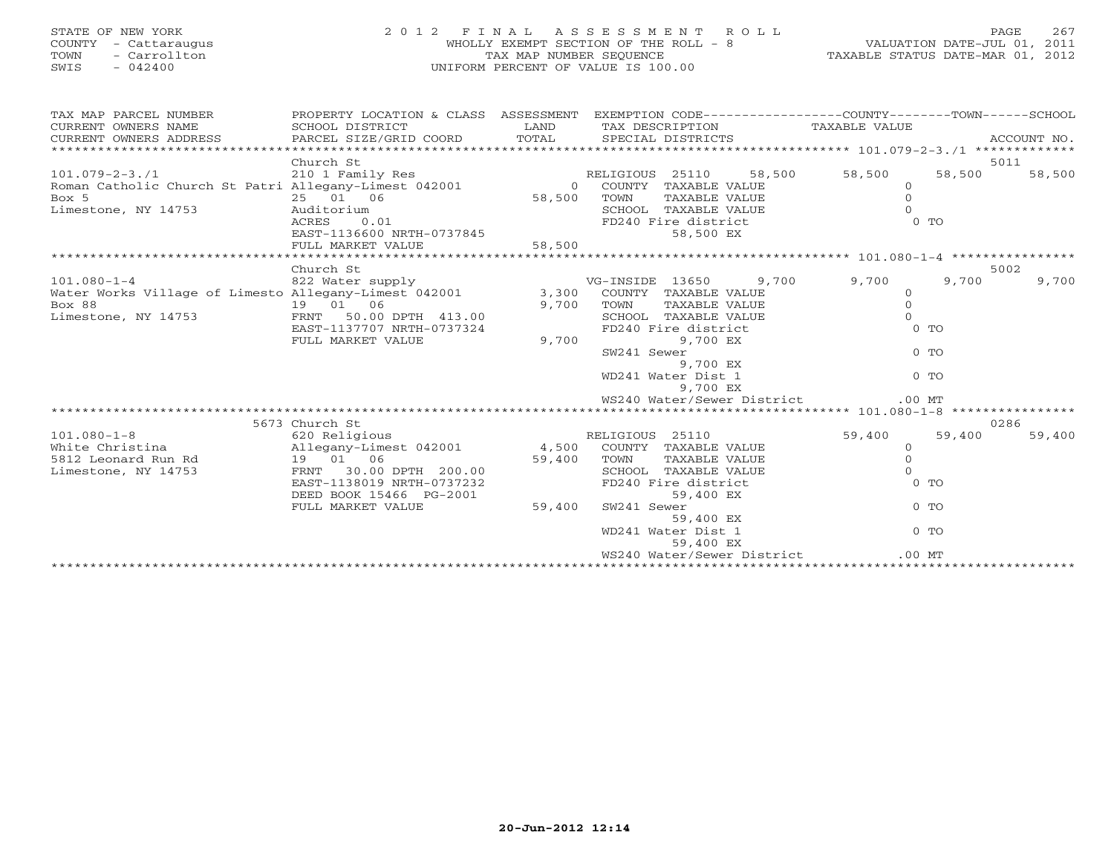| STATE OF NEW YORK<br>COUNTY<br>- Cattaraugus<br>- Carrollton<br>TOWN<br>$-042400$<br>SWIS | 2012 FINAL ASSESSMENT ROLL                              | WHOLLY EXEMPT SECTION OF THE ROLL - 8<br>TAX MAP NUMBER SEQUENCE<br>UNIFORM PERCENT OF VALUE IS 100.00 |                        |                      |        | ROLL - 8<br>TAXABLE STATUS DATE-JUL 01, 2011<br>TAXABLE STATUS DATE-MAR 01, 2012              |                | 267<br>PAGE |
|-------------------------------------------------------------------------------------------|---------------------------------------------------------|--------------------------------------------------------------------------------------------------------|------------------------|----------------------|--------|-----------------------------------------------------------------------------------------------|----------------|-------------|
| TAX MAP PARCEL NUMBER<br>CURRENT OWNERS NAME                                              | PROPERTY LOCATION & CLASS ASSESSMENT<br>SCHOOL DISTRICT | <b>LAND</b>                                                                                            |                        |                      |        | EXEMPTION CODE-----------------COUNTY-------TOWN------SCHOOL<br>TAX DESCRIPTION TAXABLE VALUE |                |             |
| CURRENT OWNERS ADDRESS                                                                    | PARCEL SIZE/GRID COORD TOTAL                            |                                                                                                        |                        | SPECIAL DISTRICTS    |        |                                                                                               |                | ACCOUNT NO. |
|                                                                                           |                                                         |                                                                                                        |                        |                      |        |                                                                                               |                |             |
|                                                                                           | Church St                                               |                                                                                                        |                        |                      |        |                                                                                               |                | 5011        |
| $101.079 - 2 - 3.71$                                                                      | 210 1 Family Res                                        |                                                                                                        | RELIGIOUS 25110 58,500 |                      |        | 58,500                                                                                        | 58,500         | 58,500      |
| Roman Catholic Church St Patri Allegany-Limest 042001                                     |                                                         |                                                                                                        | 0 COUNTY               | TAXABLE VALUE        |        | $\Omega$                                                                                      |                |             |
| Box 5                                                                                     | 25 01 06                                                | 58,500                                                                                                 | TOWN                   | TAXABLE VALUE        |        |                                                                                               |                |             |
| Limestone, NY 14753                                                                       | Auditorium                                              |                                                                                                        |                        | SCHOOL TAXABLE VALUE |        |                                                                                               |                |             |
|                                                                                           | 0.01<br>ACRES                                           |                                                                                                        |                        | FD240 Fire district  | $0$ TO |                                                                                               |                |             |
|                                                                                           | EAST-1136600 NRTH-0737845                               |                                                                                                        |                        | 58,500 EX            |        |                                                                                               |                |             |
|                                                                                           | FULL MARKET VALUE                                       | 58,500                                                                                                 |                        |                      |        |                                                                                               |                |             |
|                                                                                           |                                                         |                                                                                                        |                        |                      |        |                                                                                               |                |             |
|                                                                                           | Church St                                               |                                                                                                        |                        |                      |        |                                                                                               |                | 5002        |
| $101.080 - 1 - 4$                                                                         | 822 Water supply                                        |                                                                                                        | VG-INSIDE 13650        |                      | 9,700  | 9,700                                                                                         | 9,700          | 9,700       |
| Water Works Village of Limesto Allegany-Limest 042001                                     |                                                         | 3,300                                                                                                  |                        | COUNTY TAXABLE VALUE |        | $\circ$                                                                                       |                |             |
| Box 88                                                                                    | 19  01  06                                              | 9,700                                                                                                  | TOWN                   | TAXABLE VALUE        |        | $\Omega$                                                                                      |                |             |
| Limestone, NY 14753                                                                       | 50.00 DPTH 413.00<br>FRNT                               |                                                                                                        |                        | SCHOOL TAXABLE VALUE |        |                                                                                               |                |             |
|                                                                                           | EAST-1137707 NRTH-0737324                               |                                                                                                        |                        | FD240 Fire district  |        |                                                                                               | 0 TO           |             |
|                                                                                           | FULL MARKET VALUE                                       | 9,700                                                                                                  |                        | 9,700 EX             |        |                                                                                               | 0 <sub>0</sub> |             |
|                                                                                           |                                                         |                                                                                                        | SW241 Sewer            |                      |        |                                                                                               |                |             |
|                                                                                           |                                                         |                                                                                                        |                        | 9,700 EX             |        |                                                                                               |                |             |

\*\*\*\*\*\*\*\*\*\*\*\*\*\*\*\*\*\*\*\*\*\*\*\*\*\*\*\*\*\*\*\*\*\*\*\*\*\*\*\*\*\*\*\*\*\*\*\*\*\*\*\*\*\*\*\*\*\*\*\*\*\*\*\*\*\*\*\*\*\*\*\*\*\*\*\*\*\*\*\*\*\*\*\*\*\*\*\*\*\*\*\*\*\*\*\*\*\*\*\*\*\*\* 101.080-1-8 \*\*\*\*\*\*\*\*\*\*\*\*\*\*\*\*

101.080-1-8 620 Religious RELIGIOUS 25110 59,400 59,400 59,400

\*\*\*\*\*\*\*\*\*\*\*\*\*\*\*\*\*\*\*\*\*\*\*\*\*\*\*\*\*\*\*\*\*\*\*\*\*\*\*\*\*\*\*\*\*\*\*\*\*\*\*\*\*\*\*\*\*\*\*\*\*\*\*\*\*\*\*\*\*\*\*\*\*\*\*\*\*\*\*\*\*\*\*\*\*\*\*\*\*\*\*\*\*\*\*\*\*\*\*\*\*\*\*\*\*\*\*\*\*\*\*\*\*\*\*\*\*\*\*\*\*\*\*\*\*\*\*\*\*\*\*\*

White Christina Allegany-Limest 042001 4,500 COUNTY TAXABLE VALUE 0 5812 Leonard Run Rd 19 01 06 59,400 TOWN TAXABLE VALUE 0 Limestone, NY 14753 FRNT 30.00 DPTH 200.00 SCHOOL TAXABLE VALUE 0 EAST-1138019 NRTH-0737232 FD240 Fire district 0 TO

FULL MARKET VALUE 59,400 SW241 Sewer 0 TO

DEED BOOK 15466 PG-2001 59,400 EX

 $59,400$  example  $59,400$  example  $59,400$ 

5673 Church St 0286

WD241 Water Dist 1 0 TO

WS240 Water/Sewer District .00 MT

WD241 Water Dist 1 0 TO

WS240 Water/Sewer District .00 MT

59,400 59,400

 $0$  TO

9,700 EX

59,400 EX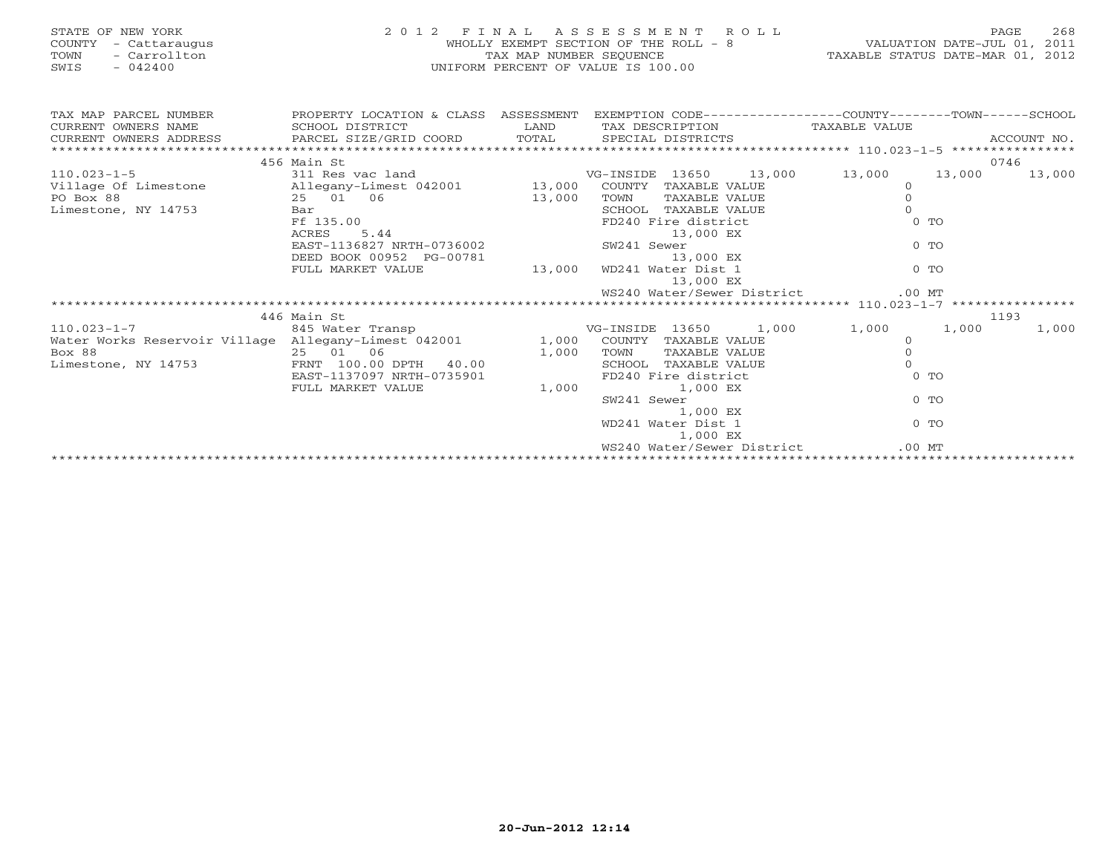| STATE OF NEW YORK<br>COUNTY - Cattaraugus<br>- Carrollton<br>TOWN<br>$-042400$<br>SWIS                                               | $\begin{array}{ccccccccccccc} \Delta & \vee & \perp & \perp & \perp \end{array}$<br>2 0 1 2 F I N A L A S S E S S M E N T R O L L<br>WHOLLY EXEMPT SECTION OF THE ROLL - 8 VALUATION DATE-JUL 01, 2011<br>TAX MAP NUMBER SEQUENCE TAXABLE STATUS DATE-MAR 01, 2012<br>UNIFORM PERCENT OF VALUE IS 100.00 |             |  |                         |                                                                                                          |                                   |          |                       |
|--------------------------------------------------------------------------------------------------------------------------------------|----------------------------------------------------------------------------------------------------------------------------------------------------------------------------------------------------------------------------------------------------------------------------------------------------------|-------------|--|-------------------------|----------------------------------------------------------------------------------------------------------|-----------------------------------|----------|-----------------------|
|                                                                                                                                      |                                                                                                                                                                                                                                                                                                          |             |  |                         |                                                                                                          |                                   |          |                       |
| TAX MAP PARCEL NUMBER THE PROPERTY LOCATION & CLASS ASSESSMENT EXEMPTION CODE--------------COUNTY-------TOWN------SCHOOL             |                                                                                                                                                                                                                                                                                                          |             |  |                         |                                                                                                          |                                   |          |                       |
| CURRENT OWNERS NAME                                                                                                                  |                                                                                                                                                                                                                                                                                                          |             |  |                         |                                                                                                          |                                   |          |                       |
|                                                                                                                                      |                                                                                                                                                                                                                                                                                                          |             |  |                         |                                                                                                          |                                   |          |                       |
|                                                                                                                                      |                                                                                                                                                                                                                                                                                                          |             |  |                         |                                                                                                          |                                   |          |                       |
| 110.023-1-5<br>VG-INSIDE 13650 13,000 13,000<br>PO Box 88 11 Milloge Of Limestone allegany-Limest 042001 13,000 COUNTY TAXABLE VALUE | 456 Main St                                                                                                                                                                                                                                                                                              |             |  |                         |                                                                                                          |                                   |          | 0746<br>13,000 13,000 |
|                                                                                                                                      |                                                                                                                                                                                                                                                                                                          |             |  |                         | INSIDE 13650<br>COUNTY TAXABLE VALUE<br>TOWN TAXABLE VALUE<br>SCHOOL TAXABLE VALUE<br>COLO Fire district |                                   |          |                       |
| PO Box 88                                                                                                                            | 25 01 06                                                                                                                                                                                                                                                                                                 | 13,000 TOWN |  |                         |                                                                                                          | $\circ$                           |          |                       |
| Limestone, NY 14753                                                                                                                  |                                                                                                                                                                                                                                                                                                          |             |  |                         |                                                                                                          | $\Omega$                          |          |                       |
|                                                                                                                                      |                                                                                                                                                                                                                                                                                                          |             |  |                         |                                                                                                          |                                   | $0$ TO   |                       |
|                                                                                                                                      |                                                                                                                                                                                                                                                                                                          |             |  |                         |                                                                                                          |                                   |          |                       |
|                                                                                                                                      |                                                                                                                                                                                                                                                                                                          |             |  |                         |                                                                                                          |                                   | $0$ TO   |                       |
|                                                                                                                                      |                                                                                                                                                                                                                                                                                                          |             |  |                         |                                                                                                          |                                   |          |                       |
|                                                                                                                                      | Bar<br>Bar<br>Ff 135.00<br>RES 5.44<br>EAST-1136827 NRTH-0736002<br>DEED BOOK 00952 PG-00781<br>FULL MARKET VALUE<br>FULL MARKET VALUE<br>13,000 WD241 Water Dist 1<br>13,000 EX<br>13,000 EX<br>13,000 EX<br>13,000 EX<br>13,000 EX<br>13,000 EX<br>13,000                                              |             |  |                         |                                                                                                          |                                   | $0$ TO   |                       |
|                                                                                                                                      |                                                                                                                                                                                                                                                                                                          |             |  | 13,000 EX               |                                                                                                          |                                   |          |                       |
|                                                                                                                                      |                                                                                                                                                                                                                                                                                                          |             |  |                         |                                                                                                          |                                   |          |                       |
|                                                                                                                                      |                                                                                                                                                                                                                                                                                                          |             |  |                         |                                                                                                          |                                   |          |                       |
|                                                                                                                                      | 446 Main St                                                                                                                                                                                                                                                                                              |             |  |                         |                                                                                                          |                                   |          | 1193                  |
| $110.023 - 1 - 7$                                                                                                                    | 845 Water Transp                                                                                                                                                                                                                                                                                         |             |  |                         |                                                                                                          | VG-INSIDE 13650 1,000 1,000 1,000 |          | 1,000                 |
| Water Works Reservoir Village Allegany-Limest 042001 1,000 COUNTY TAXABLE VALUE                                                      |                                                                                                                                                                                                                                                                                                          |             |  |                         | TAXABLE VALUE<br>TAXABLE VALUE                                                                           | $\Omega$                          |          |                       |
| Box 88                                                                                                                               | 25 01 06 1,000 TOWN<br>FRNT 100.00 DPTH 40.00 1,000 SCHOO                                                                                                                                                                                                                                                |             |  |                         |                                                                                                          | $\Omega$                          |          |                       |
| Limestone, NY 14753                                                                                                                  |                                                                                                                                                                                                                                                                                                          |             |  | SCHOOL TAXABLE VALUE    |                                                                                                          | $\Omega$                          |          |                       |
|                                                                                                                                      | EAST-1137097 NRTH-0735901                                                                                                                                                                                                                                                                                | 1,000       |  | FD240 Fire district     |                                                                                                          |                                   | $0$ TO   |                       |
|                                                                                                                                      | FULL MARKET VALUE                                                                                                                                                                                                                                                                                        |             |  | 1,000 EX<br>SW241 Sewer |                                                                                                          |                                   | $0$ To   |                       |
|                                                                                                                                      |                                                                                                                                                                                                                                                                                                          |             |  | 1,000 EX                |                                                                                                          |                                   |          |                       |
|                                                                                                                                      |                                                                                                                                                                                                                                                                                                          |             |  | WD241 Water Dist 1      |                                                                                                          |                                   | $0$ To   |                       |
|                                                                                                                                      |                                                                                                                                                                                                                                                                                                          |             |  | 1,000 EX                |                                                                                                          |                                   |          |                       |
|                                                                                                                                      |                                                                                                                                                                                                                                                                                                          |             |  |                         |                                                                                                          | WS240 Water/Sewer District        | $.00$ MT |                       |
|                                                                                                                                      |                                                                                                                                                                                                                                                                                                          |             |  |                         |                                                                                                          |                                   |          |                       |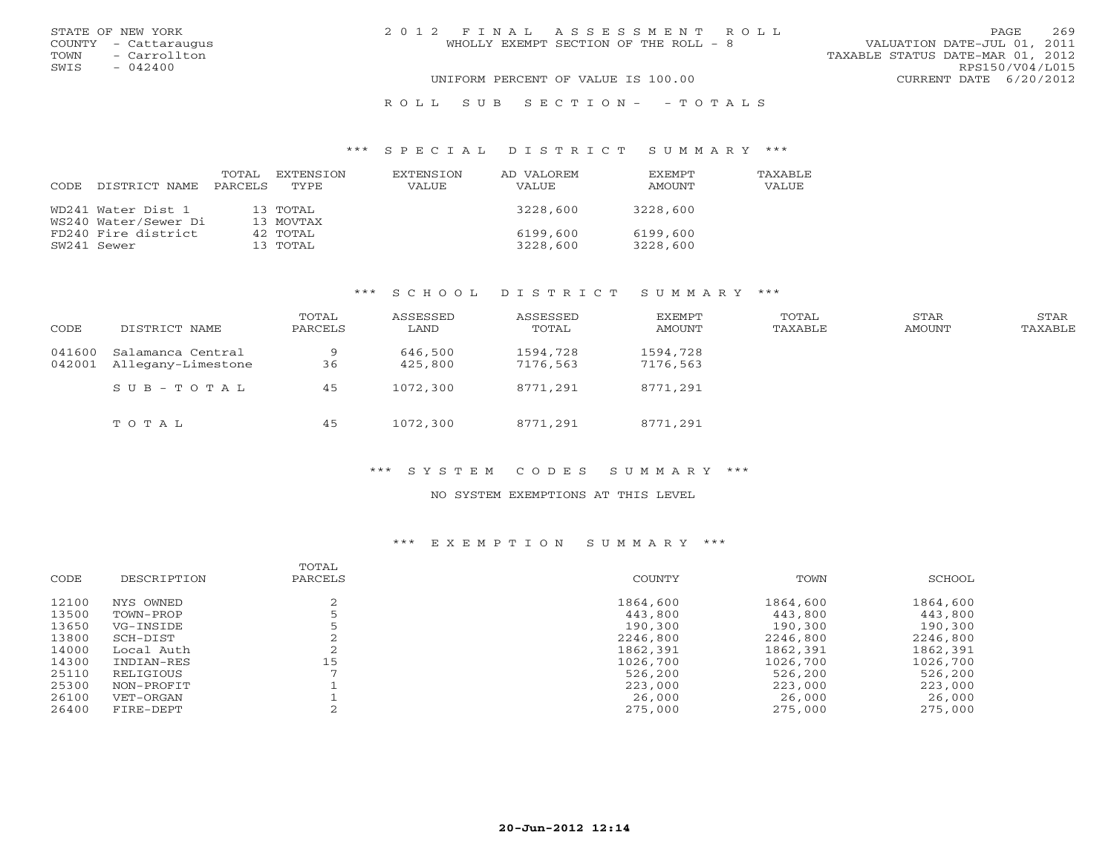|      | STATE OF NEW YORK    | 2012 FINAL ASSESSMENT ROLL            | 269<br>PAGE                      |
|------|----------------------|---------------------------------------|----------------------------------|
|      | COUNTY - Cattaraugus | WHOLLY EXEMPT SECTION OF THE ROLL - 8 | VALUATION DATE-JUL 01, 2011      |
| TOWN | - Carrollton         |                                       | TAXABLE STATUS DATE-MAR 01, 2012 |
| SWIS | $-042400$            |                                       | RPS150/V04/L015                  |
|      |                      | UNIFORM PERCENT OF VALUE IS 100.00    | CURRENT DATE 6/20/2012           |
|      |                      |                                       |                                  |

#### R O L L S U B S E C T I O N - - T O T A L S

#### \*\*\* S P E C I A L D I S T R I C T S U M M A R Y \*\*\*

| CODE | DISTRICT NAME        | TOTAL<br>PARCELS | EXTENSION<br>TYPE. | EXTENSION<br>VALUE | AD VALOREM<br>VALUE | <b>FXFMPT</b><br>AMOUNT | <b>TAXABLE</b><br><b>VALUE</b> |
|------|----------------------|------------------|--------------------|--------------------|---------------------|-------------------------|--------------------------------|
|      |                      |                  |                    |                    |                     |                         |                                |
|      | WD241 Water Dist 1   |                  | 13 TOTAL           |                    | 3228,600            | 3228,600                |                                |
|      | WS240 Water/Sewer Di |                  | 13 MOVTAX          |                    |                     |                         |                                |
|      | FD240 Fire district  |                  | 42 TOTAL           |                    | 6199,600            | 6199,600                |                                |
|      | SW241 Sewer          |                  | 13 TOTAL           |                    | 3228,600            | 3228,600                |                                |

## \*\*\* S C H O O L D I S T R I C T S U M M A R Y \*\*\*

| CODE             | DISTRICT NAME                           | TOTAL<br>PARCELS | ASSESSED<br>LAND   | ASSESSED<br>TOTAL    | EXEMPT<br>AMOUNT     | TOTAL<br>TAXABLE | STAR<br>AMOUNT | STAR<br>TAXABLE |
|------------------|-----------------------------------------|------------------|--------------------|----------------------|----------------------|------------------|----------------|-----------------|
| 041600<br>042001 | Salamanca Central<br>Allegany-Limestone | 9<br>36          | 646,500<br>425,800 | 1594,728<br>7176,563 | 1594,728<br>7176,563 |                  |                |                 |
|                  | SUB-TOTAL                               | 45               | 1072,300           | 8771,291             | 8771,291             |                  |                |                 |
|                  | TOTAL                                   | 45               | 1072,300           | 8771,291             | 8771,291             |                  |                |                 |

## \*\*\* S Y S T E M C O D E S S U M M A R Y \*\*\*

#### NO SYSTEM EXEMPTIONS AT THIS LEVEL

# \*\*\* E X E M P T I O N S U M M A R Y \*\*\*

|       |             | TOTAL   |          |          |          |
|-------|-------------|---------|----------|----------|----------|
| CODE  | DESCRIPTION | PARCELS | COUNTY   | TOWN     | SCHOOL   |
| 12100 | NYS OWNED   |         | 1864,600 | 1864,600 | 1864,600 |
| 13500 | TOWN-PROP   |         | 443,800  | 443,800  | 443,800  |
| 13650 | VG-INSIDE   |         | 190,300  | 190,300  | 190,300  |
| 13800 | SCH-DIST    |         | 2246,800 | 2246,800 | 2246,800 |
| 14000 | Local Auth  |         | 1862,391 | 1862,391 | 1862,391 |
| 14300 | INDIAN-RES  | 15      | 1026,700 | 1026,700 | 1026,700 |
| 25110 | RELIGIOUS   |         | 526,200  | 526,200  | 526,200  |
| 25300 | NON-PROFIT  |         | 223,000  | 223,000  | 223,000  |
| 26100 | VET-ORGAN   |         | 26,000   | 26,000   | 26,000   |
| 26400 | FIRE-DEPT   |         | 275,000  | 275,000  | 275,000  |
|       |             |         |          |          |          |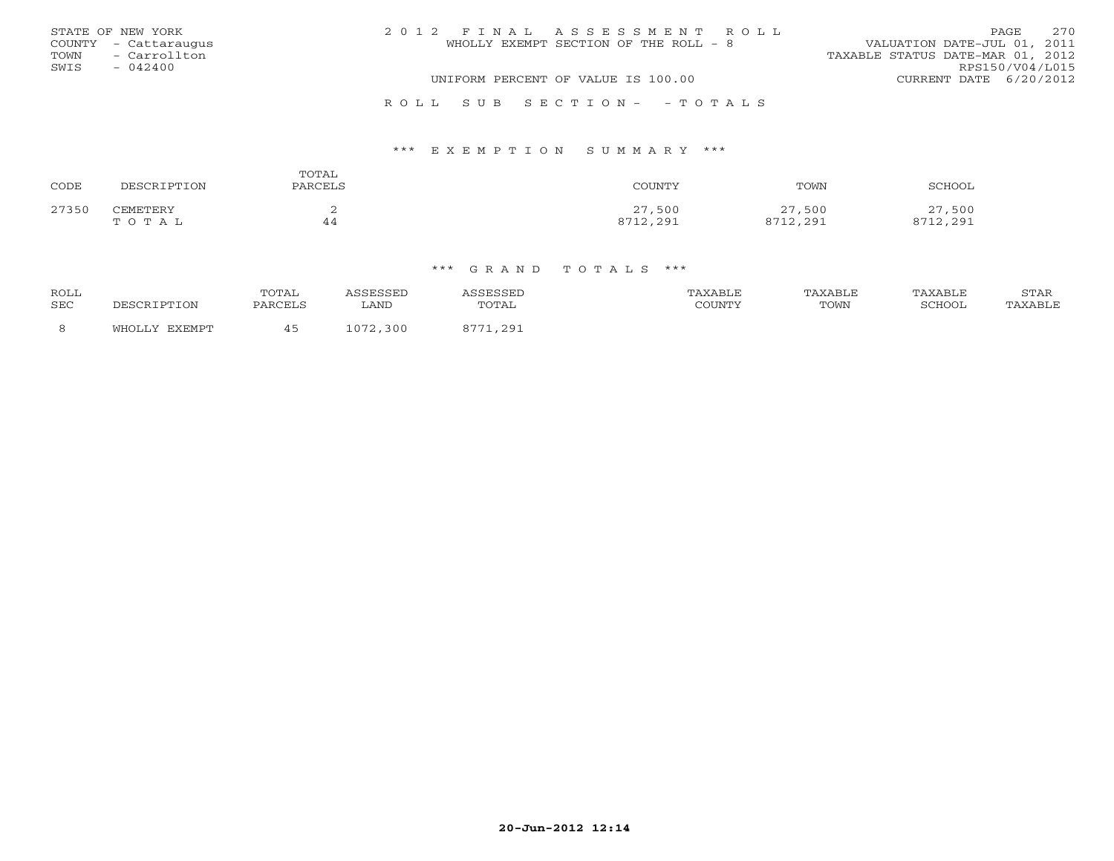|      | STATE OF NEW YORK    | 2012 FINAL ASSESSMENT ROLL            | 2.70<br>PAGE                     |
|------|----------------------|---------------------------------------|----------------------------------|
|      | COUNTY - Cattaraugus | WHOLLY EXEMPT SECTION OF THE ROLL - 8 | VALUATION DATE-JUL 01, 2011      |
| TOWN | - Carrollton         |                                       | TAXABLE STATUS DATE-MAR 01, 2012 |
| SWIS | $-042400$            |                                       | RPS150/V04/L015                  |
|      |                      | UNIFORM PERCENT OF VALUE IS 100.00    | CURRENT DATE 6/20/2012           |
|      |                      |                                       |                                  |

### R O L L S U B S E C T I O N - - T O T A L S

### \*\*\* E X E M P T I O N S U M M A R Y \*\*\*

| CODE  | DESCRIPTION | TOTAL<br>PARCELS | COUNTY   | TOWN     | SCHOOL   |
|-------|-------------|------------------|----------|----------|----------|
| 27350 | CEMETERY    | ∼                | 27,500   | 27,500   | 27,500   |
|       | TOTAL       | 44               | 8712,291 | 8712,291 | 8712,291 |

| <b>ROLL</b><br>SEC | DESCRIPTION      | TOTAL<br>PARCELS | SSESSED<br>∟AND              | <i><b>\SSESSED</b></i><br>TOTAL | TAXABLE<br>COUNTY | TAXABLE<br>TOWN | TAXABLE<br>SCHOOL | STAR<br>TAXABLE |
|--------------------|------------------|------------------|------------------------------|---------------------------------|-------------------|-----------------|-------------------|-----------------|
| 8                  | EXEMPT<br>WHOLLY |                  | 072<br>300<br>1 U <i>I L</i> | 11,291<br>0.771                 |                   |                 |                   |                 |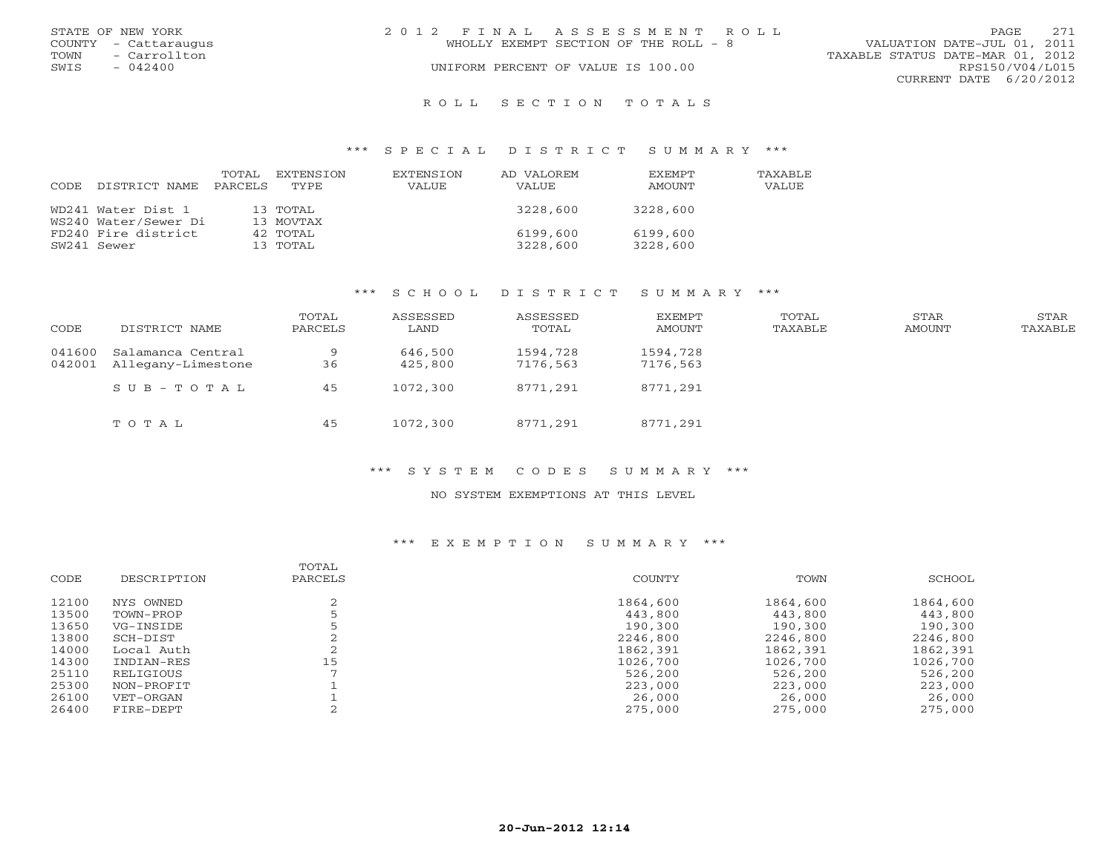| STATE OF NEW YORK    | 2012 FINAL ASSESSMENT ROLL            | 271<br>PAGE                      |
|----------------------|---------------------------------------|----------------------------------|
| COUNTY - Cattaraugus | WHOLLY EXEMPT SECTION OF THE ROLL - 8 | VALUATION DATE-JUL 01, 2011      |
| TOWN - Carrollton    |                                       | TAXABLE STATUS DATE-MAR 01, 2012 |
| SWIS<br>$-042400$    | UNIFORM PERCENT OF VALUE IS 100.00    | RPS150/V04/L015                  |
|                      |                                       | CURRENT DATE 6/20/2012           |
|                      |                                       |                                  |

## R O L L S E C T I O N T O T A L S

#### \*\*\* S P E C I A L D I S T R I C T S U M M A R Y \*\*\*

| CODE | DISTRICT NAME        | TOTAL<br>PARCELS | EXTENSION<br>TYPE. | EXTENSION<br>VALUE | AD VALOREM<br>VALUE | <b>EXEMPT</b><br>AMOUNT | TAXABLE<br>VALUE |
|------|----------------------|------------------|--------------------|--------------------|---------------------|-------------------------|------------------|
|      | WD241 Water Dist 1   |                  | 13 TOTAL           |                    | 3228,600            | 3228,600                |                  |
|      | WS240 Water/Sewer Di |                  | 13 MOVTAX          |                    |                     |                         |                  |
|      | FD240 Fire district  |                  | 42 TOTAL           |                    | 6199,600            | 6199,600                |                  |
|      | SW241 Sewer          |                  | 13 TOTAL           |                    | 3228,600            | 3228,600                |                  |

## \*\*\* S C H O O L D I S T R I C T S U M M A R Y \*\*\*

| CODE   | DISTRICT NAME                                  | TOTAL<br>PARCELS | ASSESSED<br>LAND   | ASSESSED<br>TOTAL    | EXEMPT<br>AMOUNT     | TOTAL<br>TAXABLE | STAR<br>AMOUNT | STAR<br>TAXABLE |
|--------|------------------------------------------------|------------------|--------------------|----------------------|----------------------|------------------|----------------|-----------------|
| 041600 | Salamanca Central<br>042001 Allegany-Limestone | 9<br>36          | 646,500<br>425,800 | 1594,728<br>7176,563 | 1594,728<br>7176,563 |                  |                |                 |
|        | SUB-TOTAL                                      | 45               | 1072,300           | 8771,291             | 8771,291             |                  |                |                 |
|        | TOTAL                                          | 45               | 1072,300           | 8771,291             | 8771,291             |                  |                |                 |

## \*\*\* S Y S T E M C O D E S S U M M A R Y \*\*\*

#### NO SYSTEM EXEMPTIONS AT THIS LEVEL

# \*\*\* E X E M P T I O N S U M M A R Y \*\*\*

|       |             | TOTAL   |          |          |          |
|-------|-------------|---------|----------|----------|----------|
| CODE  | DESCRIPTION | PARCELS | COUNTY   | TOWN     | SCHOOL   |
| 12100 | NYS OWNED   |         | 1864,600 | 1864,600 | 1864,600 |
| 13500 | TOWN-PROP   |         | 443,800  | 443,800  | 443,800  |
| 13650 | VG-INSIDE   |         | 190,300  | 190,300  | 190,300  |
| 13800 | SCH-DIST    |         | 2246,800 | 2246,800 | 2246,800 |
| 14000 | Local Auth  |         | 1862,391 | 1862,391 | 1862,391 |
| 14300 | INDIAN-RES  | 15      | 1026,700 | 1026,700 | 1026,700 |
| 25110 | RELIGIOUS   |         | 526,200  | 526,200  | 526,200  |
| 25300 | NON-PROFIT  |         | 223,000  | 223,000  | 223,000  |
| 26100 | VET-ORGAN   |         | 26,000   | 26,000   | 26,000   |
| 26400 | FIRE-DEPT   |         | 275,000  | 275,000  | 275,000  |
|       |             |         |          |          |          |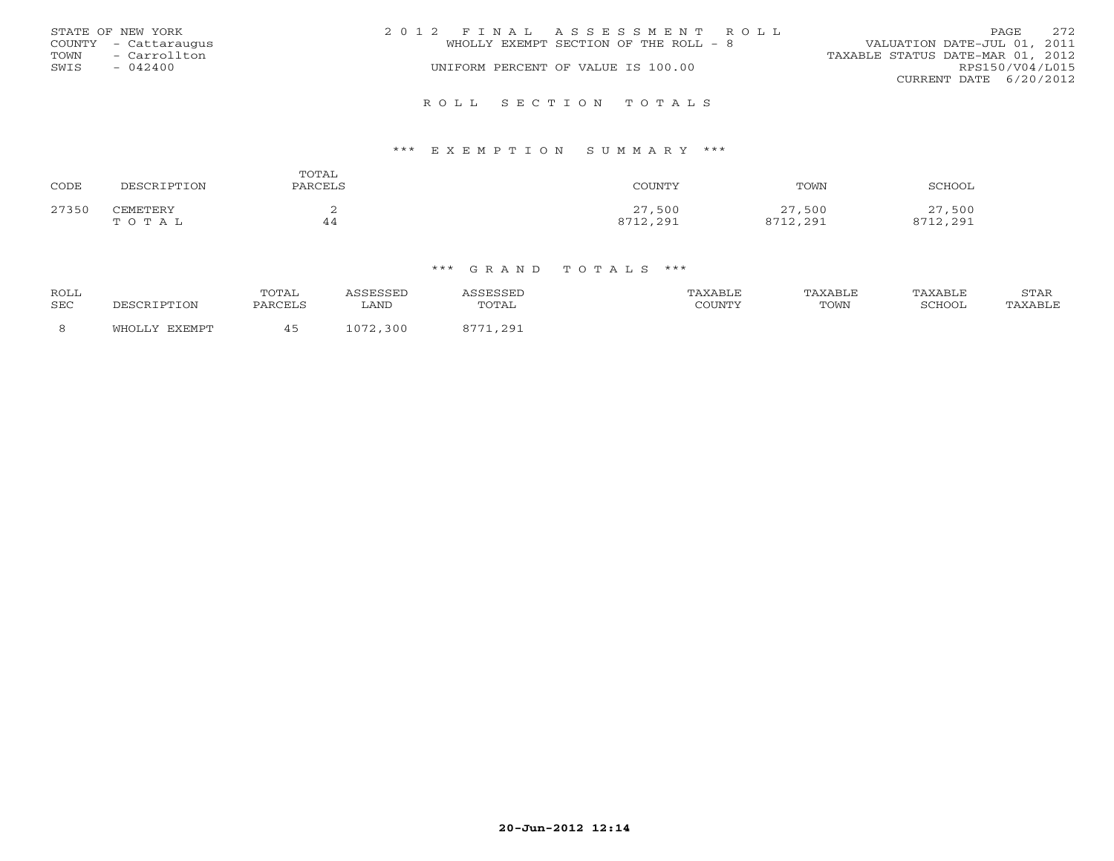| STATE OF NEW YORK<br>COUNTY - Cattaraugus | 2012 FINAL ASSESSMENT ROLL<br>WHOLLY EXEMPT SECTION OF THE ROLL - 8 | 2.72<br>PAGE<br>VALUATION DATE-JUL 01, 2011 |
|-------------------------------------------|---------------------------------------------------------------------|---------------------------------------------|
| - Carrollton<br>TOWN                      |                                                                     | TAXABLE STATUS DATE-MAR 01, 2012            |
| SWIS<br>$-042400$                         | UNIFORM PERCENT OF VALUE IS 100.00                                  | RPS150/V04/L015                             |
|                                           |                                                                     | CURRENT DATE 6/20/2012                      |
|                                           | ROLL SECTION TOTALS                                                 |                                             |

### \*\*\* E X E M P T I O N S U M M A R Y \*\*\*

| CODE  | DESCRIPTION       | TOTAL<br>PARCELS | COUNTY             | TOWN               | SCHOOL             |
|-------|-------------------|------------------|--------------------|--------------------|--------------------|
| 27350 | CEMETERY<br>TOTAL | ∼<br>44          | 27,500<br>8712,291 | 27,500<br>8712,291 | 27,500<br>8712,291 |

| <b>ROLL</b><br>SEC | DESCRIPTION      | TOTAL<br>PARCELS | SSESSED<br>∟AND              | <i><b>\SSESSED</b></i><br>TOTAL | TAXABLE<br>COUNTY | TAXABLE<br>TOWN | TAXABLE<br>SCHOOL | STAR<br>TAXABLE |
|--------------------|------------------|------------------|------------------------------|---------------------------------|-------------------|-----------------|-------------------|-----------------|
| 8                  | EXEMPT<br>WHOLLY |                  | 072<br>300<br>1 U <i>I L</i> | 11,291<br>0.771                 |                   |                 |                   |                 |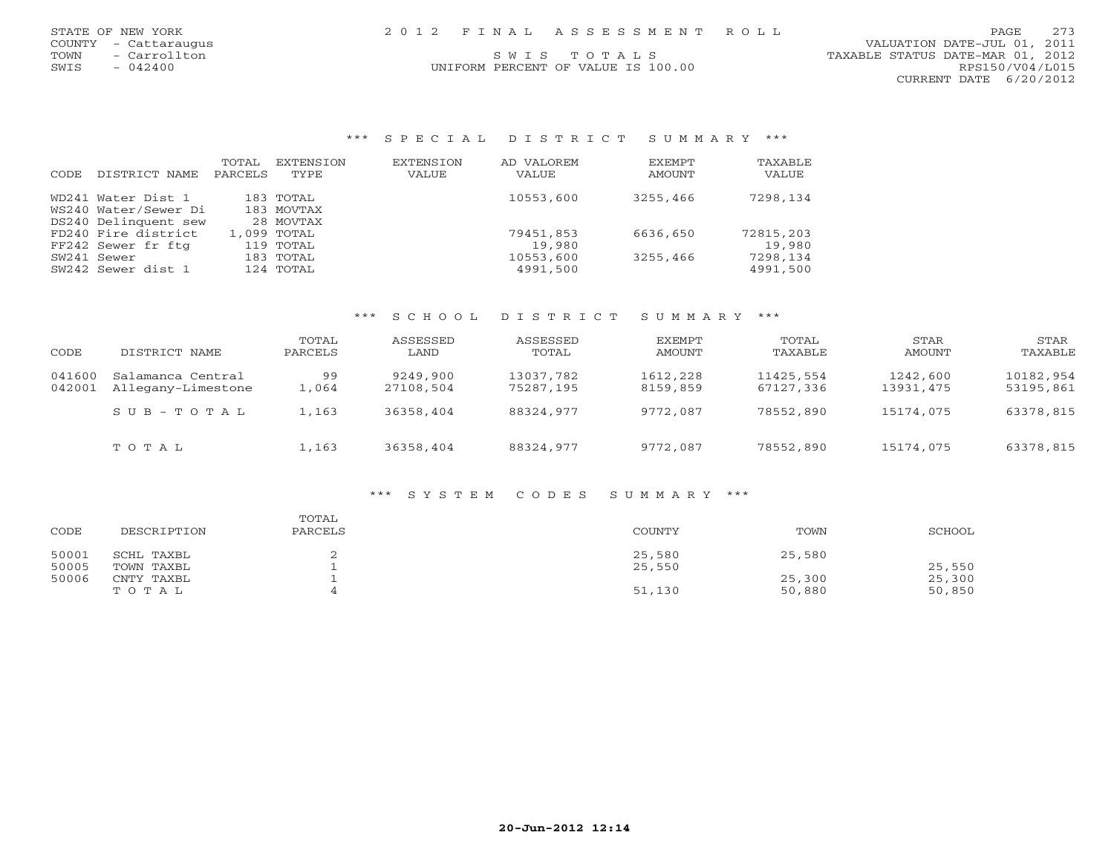| STATE OF NEW YORK<br>COUNTY - Cattaraugus<br>- Carrollton<br>TOWN<br>$-042400$<br>SWIS | 2012 FINAL ASSESSMENT ROLL<br>SWTS TOTALS<br>UNIFORM PERCENT OF VALUE IS 100.00 | - 273<br><b>PAGE</b><br>VALUATION DATE-JUL 01, 2011<br>TAXABLE STATUS DATE-MAR 01, 2012<br>RPS150/V04/L015<br>CURRENT DATE 6/20/2012 |
|----------------------------------------------------------------------------------------|---------------------------------------------------------------------------------|--------------------------------------------------------------------------------------------------------------------------------------|
|                                                                                        |                                                                                 |                                                                                                                                      |

### \*\*\* S P E C I A L D I S T R I C T S U M M A R Y \*\*\*

 $\begin{array}{c} 273 \\ 2011 \end{array}$ 

| CODE. | DISTRICT NAME        | TOTAL<br>PARCELS | EXTENSION<br>TYPE | <b>EXTENSION</b><br>VALUE | AD VALOREM<br>VALUE | <b>EXEMPT</b><br>AMOUNT | TAXABLE<br>VALUE |
|-------|----------------------|------------------|-------------------|---------------------------|---------------------|-------------------------|------------------|
|       | WD241 Water Dist 1   |                  | 183 TOTAL         |                           | 10553,600           | 3255,466                | 7298,134         |
|       | WS240 Water/Sewer Di |                  | 183 MOVTAX        |                           |                     |                         |                  |
|       | DS240 Delinquent sew |                  | 28 MOVTAX         |                           |                     |                         |                  |
|       | FD240 Fire district  |                  | 1,099 TOTAL       |                           | 79451,853           | 6636,650                | 72815,203        |
|       | FF242 Sewer fr ftg   |                  | 119 TOTAL         |                           | 19,980              |                         | 19,980           |
|       | SW241 Sewer          |                  | 183 TOTAL         |                           | 10553,600           | 3255,466                | 7298,134         |
|       | SW242 Sewer dist 1   |                  | 124 TOTAL         |                           | 4991,500            |                         | 4991,500         |

### \*\*\* S C H O O L D I S T R I C T S U M M A R Y \*\*\*

| CODE             | DISTRICT NAME                           | TOTAL<br>PARCELS | ASSESSED<br>LAND      | ASSESSED<br>TOTAL      | EXEMPT<br>AMOUNT     | TOTAL<br>TAXABLE       | STAR<br>AMOUNT        | STAR<br>TAXABLE        |
|------------------|-----------------------------------------|------------------|-----------------------|------------------------|----------------------|------------------------|-----------------------|------------------------|
| 041600<br>042001 | Salamanca Central<br>Allegany-Limestone | 99<br>.,064      | 9249,900<br>27108,504 | 13037,782<br>75287,195 | 1612,228<br>8159,859 | 11425,554<br>67127,336 | 1242,600<br>13931,475 | 10182,954<br>53195,861 |
|                  | SUB-TOTAL                               | 1,163            | 36358,404             | 88324,977              | 9772,087             | 78552,890              | 15174,075             | 63378,815              |
|                  | TOTAL                                   | 1,163            | 36358,404             | 88324,977              | 9772,087             | 78552,890              | 15174,075             | 63378,815              |

### \*\*\* S Y S T E M C O D E S S U M M A R Y \*\*\*

| CODE           | DESCRIPTION              | TOTAL<br>PARCELS | COUNTY           | TOWN   | SCHOOL |
|----------------|--------------------------|------------------|------------------|--------|--------|
| 50001<br>50005 | SCHL TAXBL<br>TOWN TAXBL |                  | 25,580<br>25,550 | 25,580 | 25,550 |
|                |                          |                  |                  |        |        |
| 50006          | CNTY TAXBL               |                  |                  | 25,300 | 25,300 |
|                | TOTAL                    |                  | 51,130           | 50,880 | 50,850 |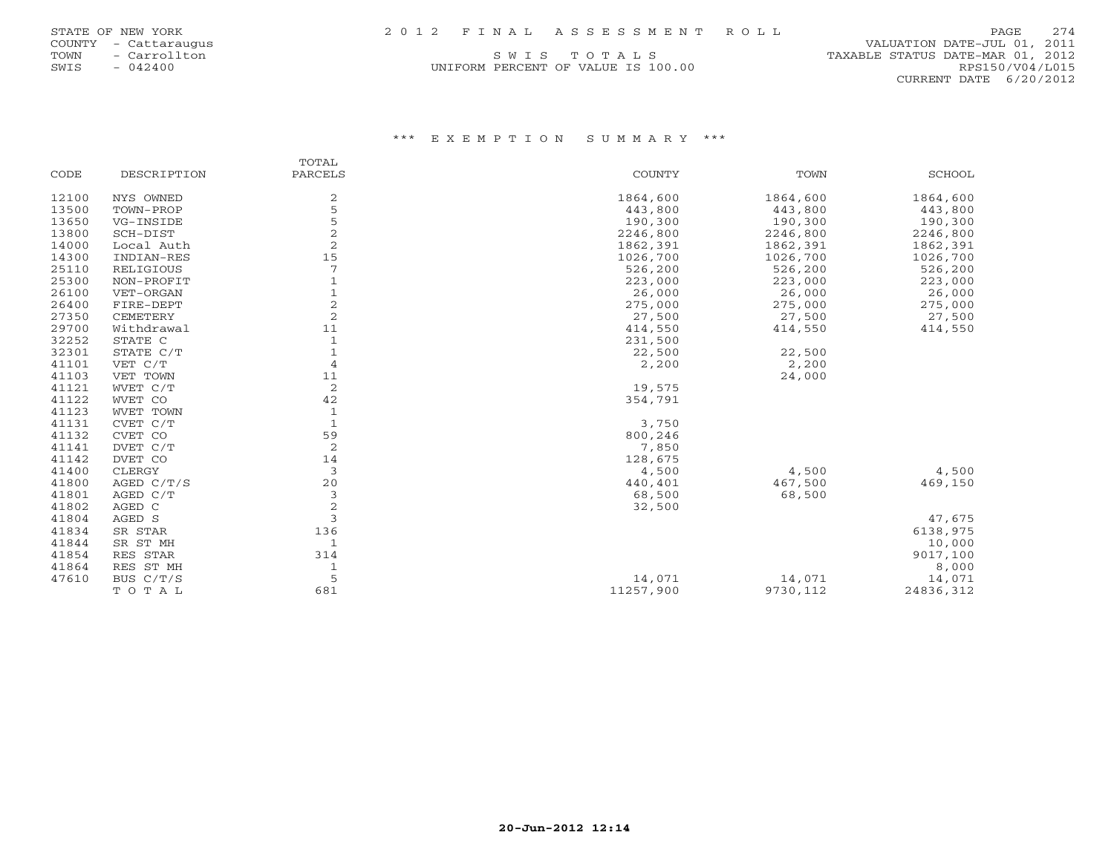| STATE OF NEW YORK | 2012 FINAL ASSESSMENT ROLL | PAGE 274 |
|-------------------|----------------------------|----------|
|-------------------|----------------------------|----------|

| STATE OF NEW YORK |     |        |               |
|-------------------|-----|--------|---------------|
| <b>COUNTY</b>     |     |        | - Cattaraugu; |
| <b>TOWN</b>       | $-$ |        | Carrollton    |
| SWTS              | $-$ | 042400 |               |

UNIFORM PERCENT OF VALUE IS 100.00 RPS150/V04/L015

 COUNTY - Cattaraugus VALUATION DATE-JUL 01, 2011 S W I S T O T A L S TAXABLE STATUS DATE-MAR 01, 2012 CURRENT DATE 6/20/2012

### \*\*\* E X E M P T I O N S U M M A R Y \*\*\*

|       |              | TOTAL          |               |          |               |
|-------|--------------|----------------|---------------|----------|---------------|
| CODE  | DESCRIPTION  | PARCELS        | <b>COUNTY</b> | TOWN     | <b>SCHOOL</b> |
| 12100 | NYS OWNED    | 2              | 1864,600      | 1864,600 | 1864,600      |
| 13500 | TOWN-PROP    | 5              | 443,800       | 443,800  | 443,800       |
| 13650 | VG-INSIDE    | 5              | 190,300       | 190,300  | 190,300       |
| 13800 | SCH-DIST     | $\overline{a}$ | 2246,800      | 2246,800 | 2246,800      |
| 14000 | Local Auth   | 2              | 1862,391      | 1862,391 | 1862,391      |
| 14300 | INDIAN-RES   | 15             | 1026,700      | 1026,700 | 1026,700      |
| 25110 | RELIGIOUS    | 7              | 526,200       | 526,200  | 526,200       |
| 25300 | NON-PROFIT   | $\mathbf{1}$   | 223,000       | 223,000  | 223,000       |
| 26100 | VET-ORGAN    | $\mathbf{1}$   | 26,000        | 26,000   | 26,000        |
| 26400 | FIRE-DEPT    | 2              | 275,000       | 275,000  | 275,000       |
| 27350 | CEMETERY     | $\overline{c}$ | 27,500        | 27,500   | 27,500        |
| 29700 | Withdrawal   | 11             | 414,550       | 414,550  | 414,550       |
| 32252 | STATE C      | $\mathbf{1}$   | 231,500       |          |               |
| 32301 | STATE C/T    | $\mathbf{1}$   | 22,500        | 22,500   |               |
| 41101 | VET C/T      | $\overline{4}$ | 2,200         | 2,200    |               |
| 41103 | VET TOWN     | 11             |               | 24,000   |               |
| 41121 | WVET C/T     | 2              | 19,575        |          |               |
| 41122 | WVET CO      | 42             | 354,791       |          |               |
| 41123 | WVET TOWN    | $\mathbf{1}$   |               |          |               |
| 41131 | CVET C/T     | $\overline{1}$ | 3,750         |          |               |
| 41132 | CVET CO      | 59             | 800,246       |          |               |
| 41141 | DVET C/T     | 2              | 7,850         |          |               |
| 41142 | DVET CO      | 14             | 128,675       |          |               |
| 41400 | CLERGY       | 3              | 4,500         | 4,500    | 4,500         |
| 41800 | AGED $C/T/S$ | 20             | 440,401       | 467,500  | 469,150       |
| 41801 | AGED C/T     | 3              | 68,500        | 68,500   |               |
| 41802 | AGED C       | 2              | 32,500        |          |               |
| 41804 | AGED S       | 3              |               |          | 47,675        |
| 41834 | SR STAR      | 136            |               |          | 6138,975      |
| 41844 | SR ST MH     | 1              |               |          | 10,000        |
| 41854 | RES STAR     | 314            |               |          | 9017,100      |
| 41864 | RES ST MH    | $\mathbf{1}$   |               |          | 8,000         |
| 47610 | BUS C/T/S    | 5              | 14,071        | 14,071   | 14,071        |
|       | TOTAL        | 681            | 11257,900     | 9730,112 | 24836,312     |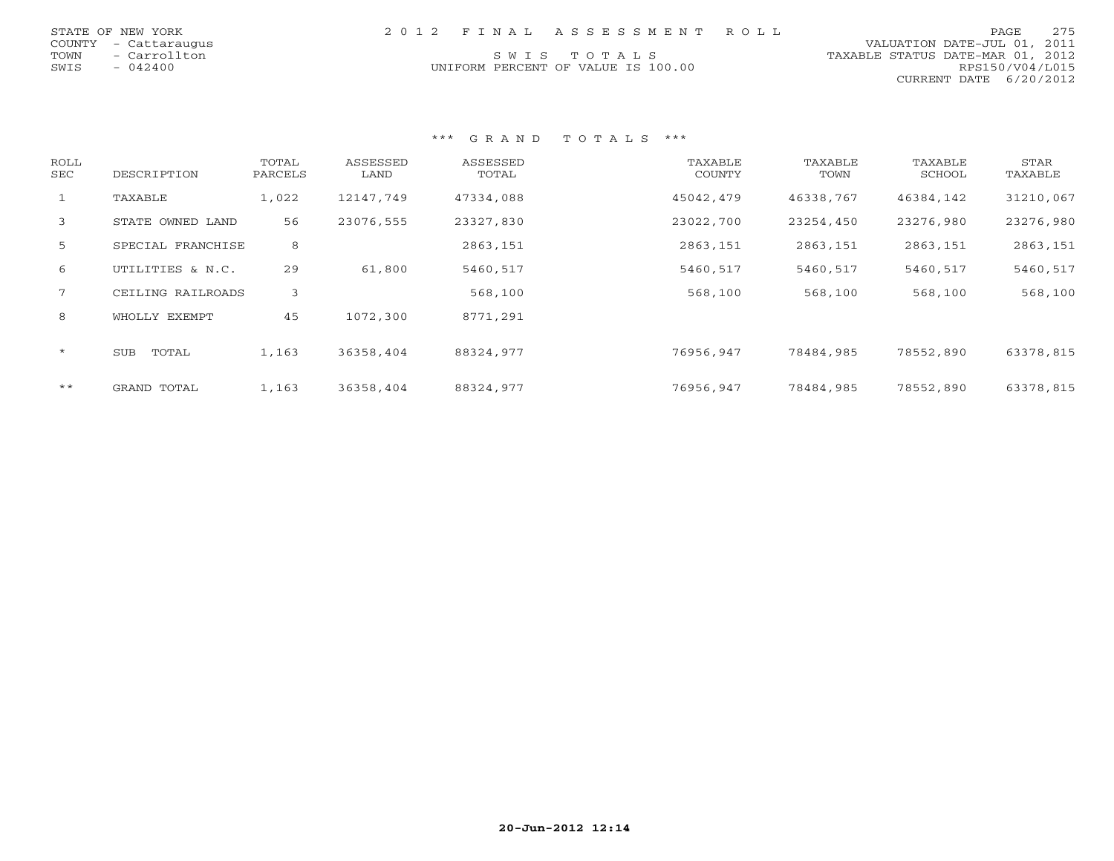| STATE OF NEW YORK    | 2012 FINAL ASSESSMENT ROLL         | 2.75<br>PAGE                     |
|----------------------|------------------------------------|----------------------------------|
| COUNTY - Cattaraugus |                                    | VALUATION DATE-JUL 01, 2011      |
| TOWN - Carrollton    | SWIS TOTALS                        | TAXABLE STATUS DATE-MAR 01, 2012 |
| SWIS<br>$-042400$    | UNIFORM PERCENT OF VALUE IS 100.00 | RPS150/V04/L015                  |
|                      |                                    | CURRENT DATE 6/20/2012           |

| ROLL<br>SEC  | DESCRIPTION         | TOTAL<br>PARCELS | ASSESSED<br>LAND | ASSESSED<br>TOTAL | TAXABLE<br>COUNTY | TAXABLE<br>TOWN | TAXABLE<br>SCHOOL | STAR<br>TAXABLE |
|--------------|---------------------|------------------|------------------|-------------------|-------------------|-----------------|-------------------|-----------------|
| $\mathbf{1}$ | TAXABLE             | 1,022            | 12147,749        | 47334,088         | 45042,479         | 46338,767       | 46384,142         | 31210,067       |
| 3            | STATE OWNED LAND    | 56               | 23076,555        | 23327,830         | 23022,700         | 23254,450       | 23276,980         | 23276,980       |
| 5            | SPECIAL FRANCHISE   | 8                |                  | 2863,151          | 2863,151          | 2863,151        | 2863,151          | 2863,151        |
| 6            | UTILITIES & N.C.    | 29               | 61,800           | 5460,517          | 5460,517          | 5460,517        | 5460,517          | 5460,517        |
| $7^{\circ}$  | CEILING RAILROADS   | 3                |                  | 568,100           | 568,100           | 568,100         | 568,100           | 568,100         |
| 8            | WHOLLY EXEMPT       | 45               | 1072,300         | 8771,291          |                   |                 |                   |                 |
| $\star$      | <b>SUB</b><br>TOTAL | 1,163            | 36358,404        | 88324,977         | 76956.947         | 78484,985       | 78552,890         | 63378,815       |
| $***$        | GRAND TOTAL         | 1,163            | 36358,404        | 88324,977         | 76956,947         | 78484,985       | 78552,890         | 63378,815       |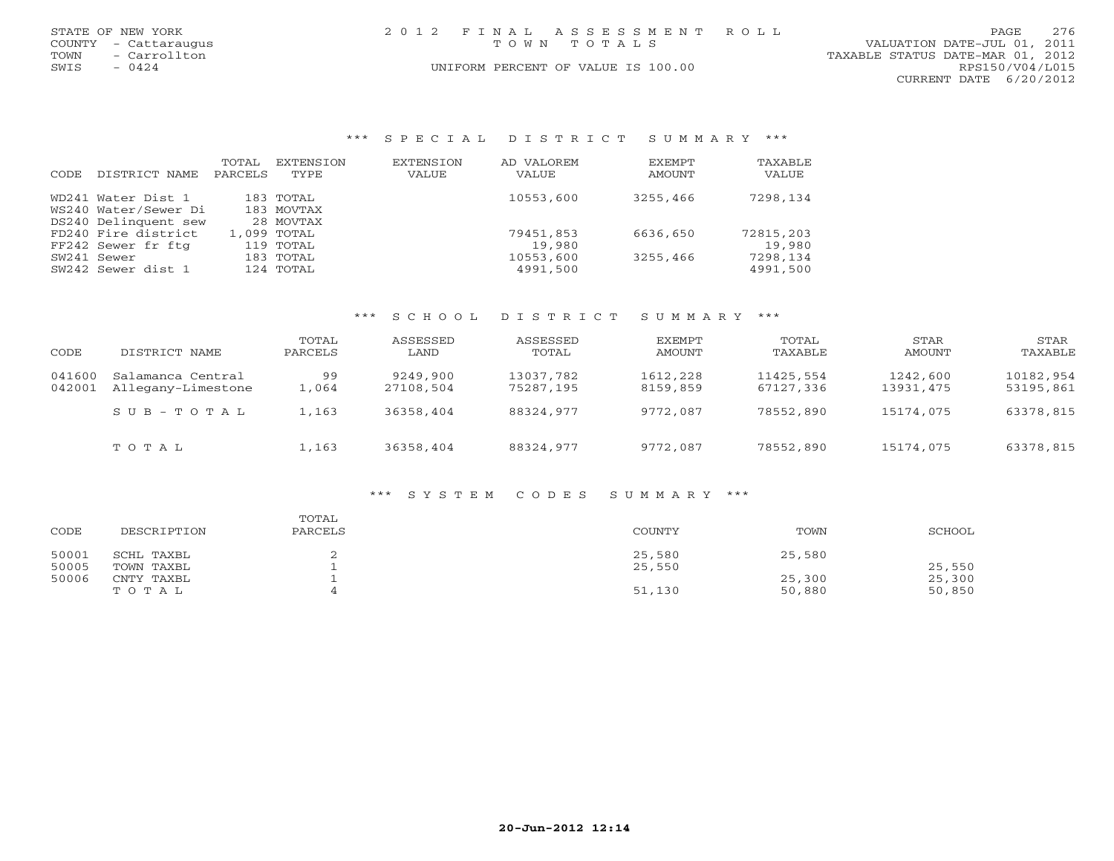| STATE OF NEW YORK    | 2012 FINAL ASSESSMENT ROLL         | 276<br>PAGE                      |
|----------------------|------------------------------------|----------------------------------|
| COUNTY - Cattaraugus | TOWN TOTALS                        | VALUATION DATE-JUL 01, 2011      |
| - Carrollton<br>TOWN |                                    | TAXABLE STATUS DATE-MAR 01, 2012 |
| $-0424$<br>SWIS      | UNIFORM PERCENT OF VALUE IS 100.00 | RPS150/V04/L015                  |
|                      |                                    | CURRENT DATE 6/20/2012           |
|                      |                                    |                                  |
|                      |                                    |                                  |
|                      |                                    |                                  |
|                      |                                    |                                  |

| *** SPECIAL DISTRICT SUMMARY *** |  |  |  |  |  |  |  |  |  |  |  |  |  |  |  |  |  |  |  |  |  |  |  |
|----------------------------------|--|--|--|--|--|--|--|--|--|--|--|--|--|--|--|--|--|--|--|--|--|--|--|
|----------------------------------|--|--|--|--|--|--|--|--|--|--|--|--|--|--|--|--|--|--|--|--|--|--|--|

| DISTRICT NAME<br>CODE | TOTAL<br>PARCELS | EXTENSION<br>TYPE. | EXTENSION<br>VALUE | AD VALOREM<br>VALUE | EXEMPT<br>AMOUNT | TAXABLE<br><b>VALUE</b> |
|-----------------------|------------------|--------------------|--------------------|---------------------|------------------|-------------------------|
| WD241 Water Dist 1    |                  | $183$ TOTAL        |                    | 10553,600           | 3255,466         | 7298,134                |
| WS240 Water/Sewer Di  |                  | 183 MOVTAX         |                    |                     |                  |                         |
| DS240 Delinquent sew  |                  | 28 MOVTAX          |                    |                     |                  |                         |
| FD240 Fire district   |                  | 1,099 TOTAL        |                    | 79451,853           | 6636,650         | 72815,203               |
| FF242 Sewer fr ftg    |                  | 119 TOTAL          |                    | 19,980              |                  | 19,980                  |
| SW241 Sewer           |                  | $183$ TOTAL        |                    | 10553,600           | 3255,466         | 7298,134                |
| SW242 Sewer dist 1    |                  | 124 TOTAL          |                    | 4991,500            |                  | 4991,500                |

### \*\*\* S C H O O L D I S T R I C T S U M M A R Y \*\*\*

| CODE             | DISTRICT NAME                           | TOTAL<br>PARCELS | ASSESSED<br>LAND      | ASSESSED<br>TOTAL      | EXEMPT<br>AMOUNT     | TOTAL<br>TAXABLE       | STAR<br>AMOUNT        | STAR<br>TAXABLE        |
|------------------|-----------------------------------------|------------------|-----------------------|------------------------|----------------------|------------------------|-----------------------|------------------------|
| 041600<br>042001 | Salamanca Central<br>Allegany-Limestone | 99<br>1,064      | 9249,900<br>27108,504 | 13037,782<br>75287,195 | 1612,228<br>8159,859 | 11425,554<br>67127,336 | 1242,600<br>13931,475 | 10182,954<br>53195,861 |
|                  | SUB-TOTAL                               | 1,163            | 36358,404             | 88324,977              | 9772,087             | 78552,890              | 15174,075             | 63378,815              |
|                  | TOTAL                                   | 1,163            | 36358,404             | 88324,977              | 9772,087             | 78552,890              | 15174,075             | 63378,815              |

### \*\*\* S Y S T E M C O D E S S U M M A R Y \*\*\*

| CODE  | DESCRIPTION | TOTAL<br>PARCELS | <b>COUNTY</b> | TOWN   | SCHOOL |
|-------|-------------|------------------|---------------|--------|--------|
| 50001 | SCHL TAXBL  |                  | 25,580        | 25,580 |        |
| 50005 | TOWN TAXBL  |                  | 25,550        |        | 25,550 |
| 50006 | CNTY TAXBL  |                  |               | 25,300 | 25,300 |
|       | TOTAL       |                  | 51,130        | 50,880 | 50,850 |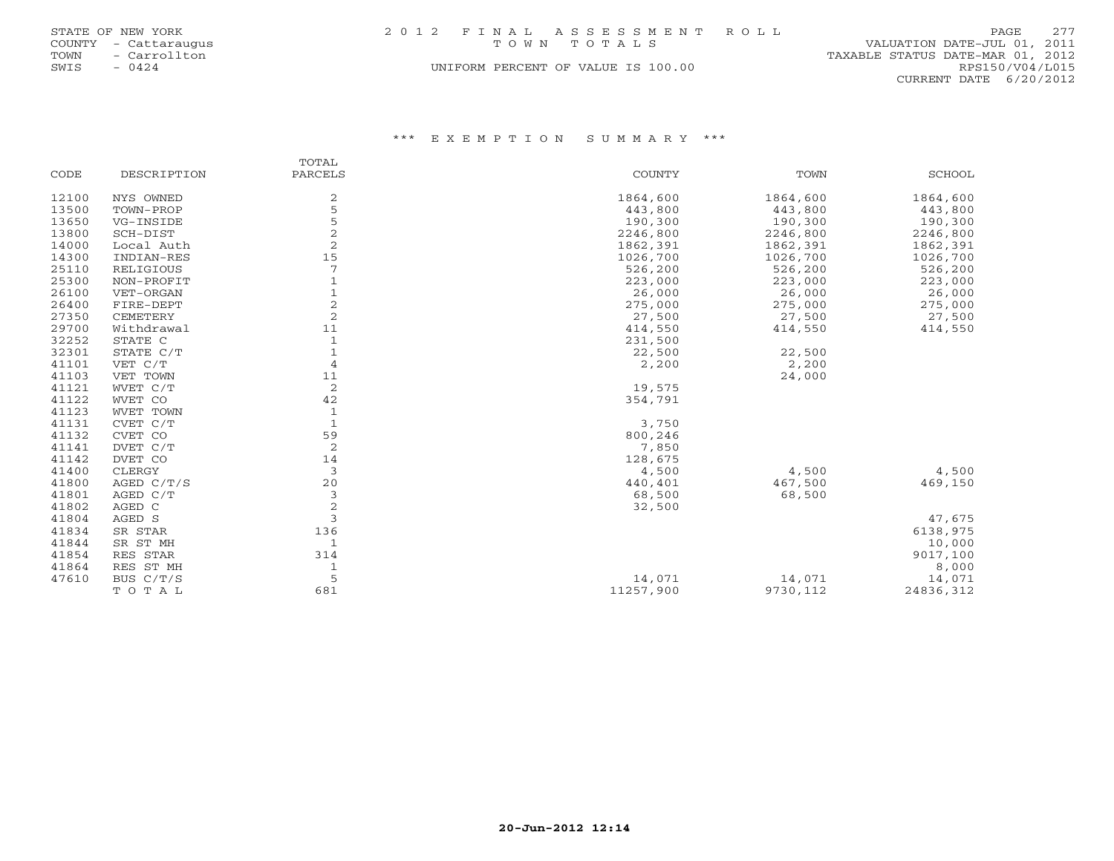|      | STATE OF NEW YORK    | 2012 FINAL ASSESSMENT ROLL         | PAGE                             | 2.77 |
|------|----------------------|------------------------------------|----------------------------------|------|
|      | COUNTY - Cattaraugus | TOWN TOTALS                        | VALUATION DATE-JUL 01, 2011      |      |
|      | TOWN - Carrollton    |                                    | TAXABLE STATUS DATE-MAR 01, 2012 |      |
| SWIS | $-0424$              | UNIFORM PERCENT OF VALUE IS 100.00 | RPS150/V04/L015                  |      |
|      |                      |                                    | CURRENT DATE 6/20/2012           |      |

### \*\*\* E X E M P T I O N S U M M A R Y \*\*\*

|       |              | TOTAL          |           |          |               |
|-------|--------------|----------------|-----------|----------|---------------|
| CODE  | DESCRIPTION  | PARCELS        | COUNTY    | TOWN     | <b>SCHOOL</b> |
| 12100 | NYS OWNED    | 2              | 1864,600  | 1864,600 | 1864,600      |
| 13500 | TOWN-PROP    | 5              | 443,800   | 443,800  | 443,800       |
| 13650 | VG-INSIDE    | 5              | 190,300   | 190,300  | 190,300       |
| 13800 | SCH-DIST     | $\overline{2}$ | 2246,800  | 2246,800 | 2246,800      |
| 14000 | Local Auth   | $\overline{2}$ | 1862,391  | 1862,391 | 1862,391      |
| 14300 | INDIAN-RES   | 15             | 1026,700  | 1026,700 | 1026,700      |
| 25110 | RELIGIOUS    | 7              | 526,200   | 526,200  | 526,200       |
| 25300 | NON-PROFIT   |                | 223,000   | 223,000  | 223,000       |
| 26100 | VET-ORGAN    |                | 26,000    | 26,000   | 26,000        |
| 26400 | FIRE-DEPT    | $\sqrt{2}$     | 275,000   | 275,000  | 275,000       |
| 27350 | CEMETERY     | $\overline{c}$ | 27,500    | 27,500   | 27,500        |
| 29700 | Withdrawal   | 11             | 414,550   | 414,550  | 414,550       |
| 32252 | STATE C      | 1              | 231,500   |          |               |
| 32301 | STATE C/T    | $\mathbf{1}$   | 22,500    | 22,500   |               |
| 41101 | VET C/T      | $\overline{4}$ | 2,200     | 2,200    |               |
| 41103 | VET TOWN     | 11             |           | 24,000   |               |
| 41121 | WVET C/T     | $\overline{2}$ | 19,575    |          |               |
| 41122 | WVET CO      | 42             | 354,791   |          |               |
| 41123 | WVET TOWN    | 1              |           |          |               |
| 41131 | CVET C/T     | $\mathbf{1}$   | 3,750     |          |               |
| 41132 | CVET CO      | 59             | 800,246   |          |               |
| 41141 | DVET C/T     | 2              | 7,850     |          |               |
| 41142 | DVET CO      | 14             | 128,675   |          |               |
| 41400 | CLERGY       | 3              | 4,500     | 4,500    | 4,500         |
| 41800 | AGED $C/T/S$ | 20             | 440,401   | 467,500  | 469,150       |
| 41801 | AGED C/T     | 3              | 68,500    | 68,500   |               |
| 41802 | AGED C       | $\overline{c}$ | 32,500    |          |               |
| 41804 | AGED S       | 3              |           |          | 47,675        |
| 41834 | SR STAR      | 136            |           |          | 6138,975      |
| 41844 | SR ST MH     | 1              |           |          | 10,000        |
| 41854 | RES STAR     | 314            |           |          | 9017,100      |
| 41864 | RES ST MH    | $\mathbf{1}$   |           |          | 8,000         |
| 47610 | BUS C/T/S    | 5              | 14,071    | 14,071   | 14,071        |
|       | TOTAL        | 681            | 11257,900 | 9730,112 | 24836,312     |